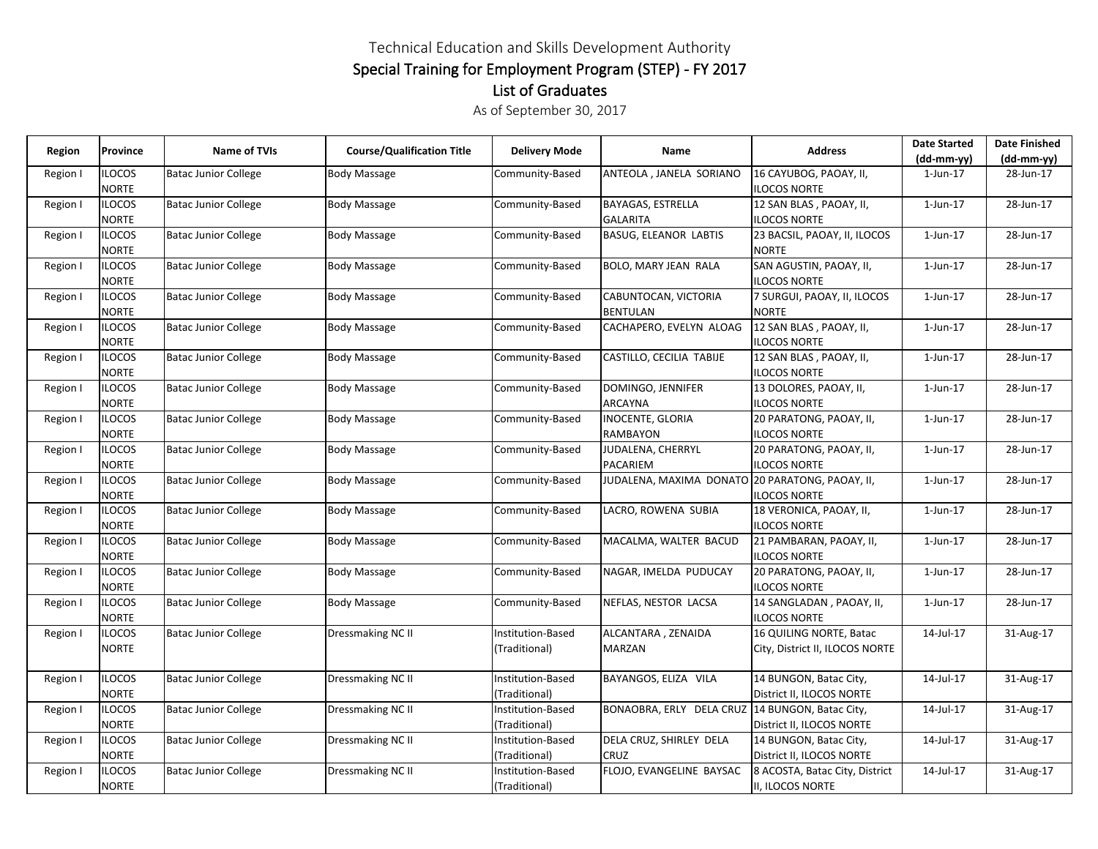## Technical Education and Skills Development Authority Special Training for Employment Program (STEP) - FY 2017 List of Graduates

As of September 30, 2017

| Region   | Province                      | <b>Name of TVIs</b>         | <b>Course/Qualification Title</b> | <b>Delivery Mode</b> | Name                                            | <b>Address</b>                                  | <b>Date Started</b> | <b>Date Finished</b> |
|----------|-------------------------------|-----------------------------|-----------------------------------|----------------------|-------------------------------------------------|-------------------------------------------------|---------------------|----------------------|
|          |                               |                             |                                   |                      |                                                 |                                                 | $(dd-mm-yy)$        | (dd-mm-yy)           |
| Region I | <b>ILOCOS</b><br><b>NORTE</b> | <b>Batac Junior College</b> | Body Massage                      | Community-Based      | ANTEOLA, JANELA SORIANO                         | 16 CAYUBOG, PAOAY, II,<br><b>ILOCOS NORTE</b>   | $1$ -Jun- $17$      | 28-Jun-17            |
| Region I | <b>ILOCOS</b>                 | <b>Batac Junior College</b> | <b>Body Massage</b>               | Community-Based      | <b>BAYAGAS, ESTRELLA</b>                        | 12 SAN BLAS, PAOAY, II,                         | $1$ -Jun- $17$      | 28-Jun-17            |
|          | <b>NORTE</b>                  |                             |                                   |                      | <b>GALARITA</b>                                 | <b>ILOCOS NORTE</b>                             |                     |                      |
| Region I | <b>ILOCOS</b>                 | <b>Batac Junior College</b> | <b>Body Massage</b>               | Community-Based      | <b>BASUG, ELEANOR LABTIS</b>                    | 23 BACSIL, PAOAY, II, ILOCOS                    | $1$ -Jun- $17$      | 28-Jun-17            |
|          | <b>NORTE</b>                  |                             |                                   |                      |                                                 | <b>NORTE</b>                                    |                     |                      |
| Region I | <b>ILOCOS</b>                 | <b>Batac Junior College</b> | <b>Body Massage</b>               | Community-Based      | BOLO, MARY JEAN RALA                            | SAN AGUSTIN, PAOAY, II,                         | $1$ -Jun- $17$      | 28-Jun-17            |
|          | <b>NORTE</b>                  |                             |                                   |                      |                                                 | <b>ILOCOS NORTE</b>                             |                     |                      |
| Region I | <b>ILOCOS</b>                 | <b>Batac Junior College</b> | Body Massage                      | Community-Based      | CABUNTOCAN, VICTORIA                            | 7 SURGUI, PAOAY, II, ILOCOS                     | $1$ -Jun- $17$      | 28-Jun-17            |
|          | <b>NORTE</b>                  |                             |                                   |                      | <b>BENTULAN</b>                                 | <b>NORTE</b>                                    |                     |                      |
| Region I | <b>ILOCOS</b>                 | <b>Batac Junior College</b> | <b>Body Massage</b>               | Community-Based      | CACHAPERO, EVELYN ALOAG                         | 12 SAN BLAS, PAOAY, II,                         | $1$ -Jun- $17$      | 28-Jun-17            |
|          | <b>NORTE</b>                  |                             |                                   |                      |                                                 | <b>ILOCOS NORTE</b>                             |                     |                      |
| Region I | <b>ILOCOS</b>                 | <b>Batac Junior College</b> | <b>Body Massage</b>               | Community-Based      | CASTILLO, CECILIA TABIJE                        | 12 SAN BLAS, PAOAY, II,                         | $1$ -Jun- $17$      | 28-Jun-17            |
|          | <b>NORTE</b>                  |                             |                                   |                      |                                                 | <b>ILOCOS NORTE</b>                             |                     |                      |
| Region I | <b>ILOCOS</b>                 | <b>Batac Junior College</b> | <b>Body Massage</b>               | Community-Based      | DOMINGO, JENNIFER                               | 13 DOLORES, PAOAY, II,                          | $1$ -Jun- $17$      | 28-Jun-17            |
|          | <b>NORTE</b>                  |                             |                                   |                      | <b>ARCAYNA</b>                                  | <b>ILOCOS NORTE</b>                             |                     |                      |
| Region I | <b>ILOCOS</b>                 | <b>Batac Junior College</b> | Body Massage                      | Community-Based      | <b>INOCENTE, GLORIA</b>                         | 20 PARATONG, PAOAY, II,                         | $1$ -Jun- $17$      | 28-Jun-17            |
|          | <b>NORTE</b>                  |                             |                                   |                      | RAMBAYON                                        | <b>ILOCOS NORTE</b>                             |                     |                      |
| Region I | <b>ILOCOS</b>                 | <b>Batac Junior College</b> | <b>Body Massage</b>               | Community-Based      | JUDALENA, CHERRYL                               | 20 PARATONG, PAOAY, II,                         | $1$ -Jun- $17$      | 28-Jun-17            |
|          | <b>NORTE</b>                  |                             |                                   |                      | <b>PACARIEM</b>                                 | <b>ILOCOS NORTE</b>                             |                     |                      |
| Region I | ilocos                        | <b>Batac Junior College</b> | <b>Body Massage</b>               | Community-Based      | JUDALENA, MAXIMA DONATO 20 PARATONG, PAOAY, II, |                                                 | 1-Jun-17            | 28-Jun-17            |
|          | <b>NORTE</b>                  |                             |                                   |                      |                                                 | <b>ILOCOS NORTE</b>                             |                     |                      |
| Region I | <b>ILOCOS</b>                 | <b>Batac Junior College</b> | <b>Body Massage</b>               | Community-Based      | LACRO, ROWENA SUBIA                             | 18 VERONICA, PAOAY, II,                         | 1-Jun-17            | 28-Jun-17            |
|          | <b>NORTE</b>                  |                             |                                   |                      |                                                 | <b>ILOCOS NORTE</b>                             |                     |                      |
| Region I | ilocos                        | <b>Batac Junior College</b> | Body Massage                      | Community-Based      | MACALMA, WALTER BACUD                           | 21 PAMBARAN, PAOAY, II,                         | $1$ -Jun- $17$      | 28-Jun-17            |
|          | <b>NORTE</b>                  |                             |                                   |                      |                                                 | <b>ILOCOS NORTE</b>                             |                     |                      |
| Region I | <b>ILOCOS</b>                 | <b>Batac Junior College</b> | Body Massage                      | Community-Based      | NAGAR, IMELDA PUDUCAY                           | 20 PARATONG, PAOAY, II,                         | $1$ -Jun- $17$      | 28-Jun-17            |
| Region I | <b>NORTE</b><br><b>ILOCOS</b> | <b>Batac Junior College</b> | <b>Body Massage</b>               | Community-Based      | NEFLAS, NESTOR LACSA                            | <b>ILOCOS NORTE</b><br>14 SANGLADAN, PAOAY, II, | $1$ -Jun- $17$      | 28-Jun-17            |
|          | <b>NORTE</b>                  |                             |                                   |                      |                                                 | <b>ILOCOS NORTE</b>                             |                     |                      |
| Region I | <b>ILOCOS</b>                 | <b>Batac Junior College</b> | Dressmaking NC II                 | Institution-Based    | ALCANTARA, ZENAIDA                              | 16 QUILING NORTE, Batac                         | 14-Jul-17           | 31-Aug-17            |
|          | NORTE                         |                             |                                   | (Traditional)        | <b>MARZAN</b>                                   | City, District II, ILOCOS NORTE                 |                     |                      |
|          |                               |                             |                                   |                      |                                                 |                                                 |                     |                      |
| Region I | <b>ILOCOS</b>                 | <b>Batac Junior College</b> | Dressmaking NC II                 | Institution-Based    | BAYANGOS, ELIZA VILA                            | 14 BUNGON, Batac City,                          | 14-Jul-17           | 31-Aug-17            |
|          | <b>NORTE</b>                  |                             |                                   | (Traditional)        |                                                 | District II, ILOCOS NORTE                       |                     |                      |
| Region I | <b>ILOCOS</b>                 | <b>Batac Junior College</b> | Dressmaking NC II                 | Institution-Based    | BONAOBRA, ERLY DELA CRUZ 14 BUNGON, Batac City, |                                                 | 14-Jul-17           | 31-Aug-17            |
|          | <b>NORTE</b>                  |                             |                                   | (Traditional)        |                                                 | District II, ILOCOS NORTE                       |                     |                      |
| Region I | <b>ILOCOS</b>                 | <b>Batac Junior College</b> | Dressmaking NC II                 | Institution-Based    | DELA CRUZ, SHIRLEY DELA                         | 14 BUNGON, Batac City,                          | 14-Jul-17           | 31-Aug-17            |
|          | <b>NORTE</b>                  |                             |                                   | (Traditional)        | <b>CRUZ</b>                                     | District II, ILOCOS NORTE                       |                     |                      |
| Region I | <b>ILOCOS</b>                 | <b>Batac Junior College</b> | Dressmaking NC II                 | Institution-Based    | FLOJO, EVANGELINE BAYSAC                        | 8 ACOSTA, Batac City, District                  | 14-Jul-17           | 31-Aug-17            |
|          | <b>NORTE</b>                  |                             |                                   | (Traditional)        |                                                 | II, ILOCOS NORTE                                |                     |                      |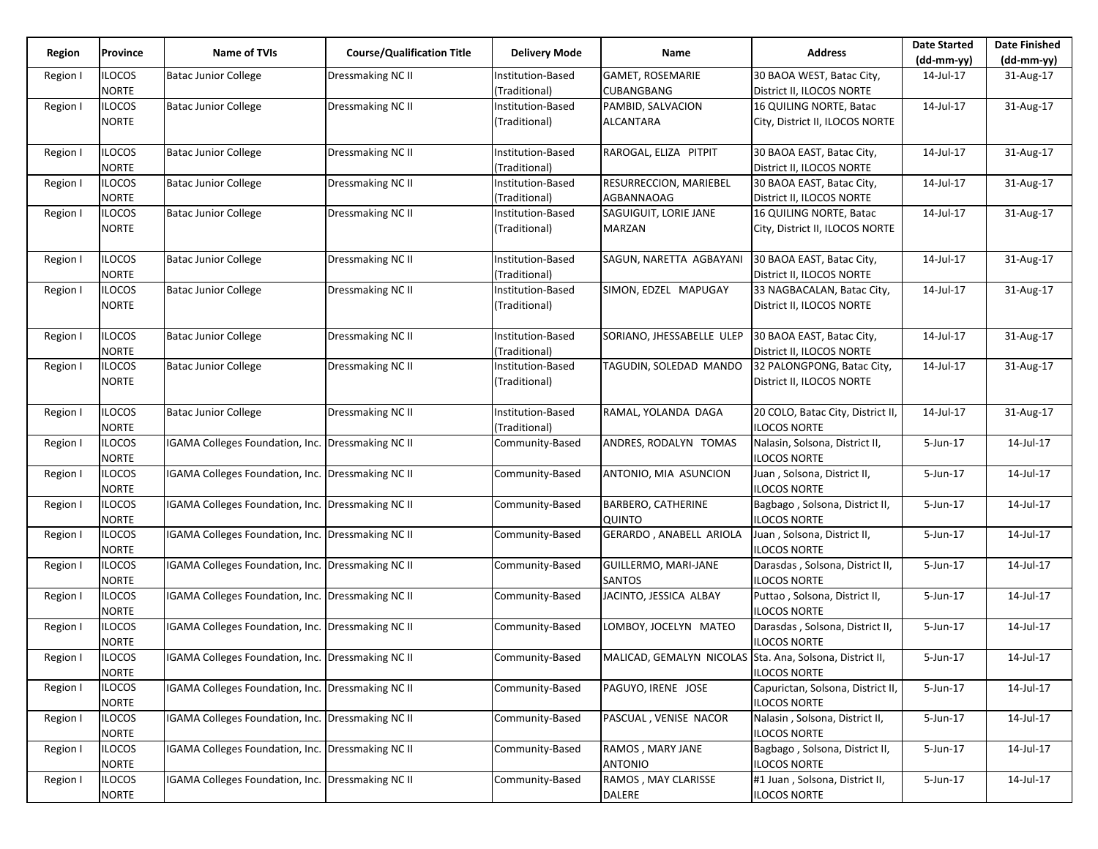| Region   | Province                     | <b>Name of TVIs</b>                                      | <b>Course/Qualification Title</b> | <b>Delivery Mode</b>               | Name                                                     | <b>Address</b>                                           | <b>Date Started</b> | <b>Date Finished</b> |
|----------|------------------------------|----------------------------------------------------------|-----------------------------------|------------------------------------|----------------------------------------------------------|----------------------------------------------------------|---------------------|----------------------|
|          |                              |                                                          |                                   |                                    |                                                          |                                                          | $(dd-mm-yy)$        | $(dd-mm-yy)$         |
| Region I | <b>LOCOS</b><br><b>NORTE</b> | <b>Batac Junior College</b>                              | Dressmaking NC II                 | Institution-Based<br>(Traditional) | <b>GAMET, ROSEMARIE</b><br>CUBANGBANG                    | 30 BAOA WEST, Batac City,<br>District II, ILOCOS NORTE   | 14-Jul-17           | 31-Aug-17            |
| Region I | ilocos                       | <b>Batac Junior College</b>                              | Dressmaking NC II                 | Institution-Based                  | PAMBID, SALVACION                                        | 16 QUILING NORTE, Batac                                  | 14-Jul-17           | 31-Aug-17            |
|          | NORTE                        |                                                          |                                   | (Traditional)                      | ALCANTARA                                                | City, District II, ILOCOS NORTE                          |                     |                      |
| Region I | ilocos                       | <b>Batac Junior College</b>                              | Dressmaking NC II                 | Institution-Based                  | RAROGAL, ELIZA PITPIT                                    | 30 BAOA EAST, Batac City,                                | 14-Jul-17           | 31-Aug-17            |
|          | <b>NORTE</b>                 |                                                          |                                   | (Traditional)                      |                                                          | District II, ILOCOS NORTE                                |                     |                      |
| Region I | <b>ILOCOS</b>                | <b>Batac Junior College</b>                              | Dressmaking NC II                 | Institution-Based                  | RESURRECCION, MARIEBEL                                   | 30 BAOA EAST, Batac City,                                | 14-Jul-17           | 31-Aug-17            |
|          | NORTE                        |                                                          |                                   | (Traditional)                      | AGBANNAOAG                                               | District II, ILOCOS NORTE                                |                     |                      |
| Region I | ilocos                       | <b>Batac Junior College</b>                              | Dressmaking NC II                 | Institution-Based                  | SAGUIGUIT, LORIE JANE                                    | 16 QUILING NORTE, Batac                                  | 14-Jul-17           | 31-Aug-17            |
|          | NORTE                        |                                                          |                                   | (Traditional)                      | MARZAN                                                   | City, District II, ILOCOS NORTE                          |                     |                      |
|          |                              |                                                          |                                   |                                    |                                                          |                                                          |                     |                      |
| Region I | <b>ILOCOS</b>                | <b>Batac Junior College</b>                              | Dressmaking NC II                 | Institution-Based                  | SAGUN, NARETTA AGBAYANI                                  | 30 BAOA EAST, Batac City,                                | 14-Jul-17           | 31-Aug-17            |
|          | NORTE                        |                                                          |                                   | (Traditional)                      |                                                          | District II, ILOCOS NORTE                                |                     |                      |
| Region I | <b>ILOCOS</b>                | <b>Batac Junior College</b>                              | Dressmaking NC II                 | Institution-Based                  | SIMON, EDZEL MAPUGAY                                     | 33 NAGBACALAN, Batac City,                               | 14-Jul-17           | 31-Aug-17            |
|          | NORTE                        |                                                          |                                   | (Traditional)                      |                                                          | District II, ILOCOS NORTE                                |                     |                      |
|          |                              |                                                          |                                   |                                    |                                                          |                                                          |                     |                      |
| Region I | <b>ILOCOS</b>                | <b>Batac Junior College</b>                              | Dressmaking NC II                 | Institution-Based                  | SORIANO, JHESSABELLE ULEP                                | 30 BAOA EAST, Batac City,                                | 14-Jul-17           | 31-Aug-17            |
|          | NORTE                        |                                                          |                                   | (Traditional)                      |                                                          | District II, ILOCOS NORTE                                |                     |                      |
| Region I | ilocos                       | <b>Batac Junior College</b>                              | Dressmaking NC II                 | Institution-Based                  | TAGUDIN, SOLEDAD MANDO                                   | 32 PALONGPONG, Batac City,                               | 14-Jul-17           | 31-Aug-17            |
|          |                              |                                                          |                                   |                                    |                                                          |                                                          |                     |                      |
|          | NORTE                        |                                                          |                                   | (Traditional)                      |                                                          | District II, ILOCOS NORTE                                |                     |                      |
|          |                              |                                                          |                                   |                                    | RAMAL, YOLANDA DAGA                                      | 20 COLO, Batac City, District II,                        | 14-Jul-17           |                      |
| Region I | ilocos<br>NORTE              | <b>Batac Junior College</b>                              | Dressmaking NC II                 | Institution-Based<br>(Traditional) |                                                          | <b>ILOCOS NORTE</b>                                      |                     | 31-Aug-17            |
|          |                              | IGAMA Colleges Foundation, Inc. Dressmaking NC II        |                                   |                                    | ANDRES, RODALYN TOMAS                                    |                                                          |                     | 14-Jul-17            |
| Region I | ilocos<br>NORTE              |                                                          |                                   | Community-Based                    |                                                          | Nalasin, Solsona, District II,<br><b>ILOCOS NORTE</b>    | 5-Jun-17            |                      |
|          | <b>ILOCOS</b>                | IGAMA Colleges Foundation, Inc. Dressmaking NC II        |                                   | Community-Based                    | ANTONIO, MIA ASUNCION                                    | Juan, Solsona, District II,                              | 5-Jun-17            | 14-Jul-17            |
| Region I | NORTE                        |                                                          |                                   |                                    |                                                          | <b>ILOCOS NORTE</b>                                      |                     |                      |
|          | ilocos                       | <b>IGAMA Colleges Foundation, Inc. Dressmaking NC II</b> |                                   | Community-Based                    | BARBERO, CATHERINE                                       | Bagbago, Solsona, District II,                           | 5-Jun-17            | 14-Jul-17            |
| Region I | NORTE                        |                                                          |                                   |                                    | QUINTO                                                   | <b>ILOCOS NORTE</b>                                      |                     |                      |
| Region I | ilocos                       | <b>IGAMA Colleges Foundation, Inc. Dressmaking NC II</b> |                                   | Community-Based                    | GERARDO, ANABELL ARIOLA                                  | Juan, Solsona, District II,                              | 5-Jun-17            | 14-Jul-17            |
|          | <b>NORTE</b>                 |                                                          |                                   |                                    |                                                          | <b>ILOCOS NORTE</b>                                      |                     |                      |
| Region I | <b>ILOCOS</b>                | <b>IGAMA Colleges Foundation, Inc. Dressmaking NC II</b> |                                   | Community-Based                    | GUILLERMO, MARI-JANE                                     | Darasdas, Solsona, District II,                          | 5-Jun-17            | 14-Jul-17            |
|          | NORTE                        |                                                          |                                   |                                    | SANTOS                                                   | <b>ILOCOS NORTE</b>                                      |                     |                      |
|          | ilocos                       | <b>IGAMA Colleges Foundation, Inc. Dressmaking NC II</b> |                                   | Community-Based                    | JACINTO, JESSICA ALBAY                                   | Puttao, Solsona, District II,                            | 5-Jun-17            | 14-Jul-17            |
| Region I | <b>NORTE</b>                 |                                                          |                                   |                                    |                                                          | <b>ILOCOS NORTE</b>                                      |                     |                      |
| Region I | ilocos                       | IGAMA Colleges Foundation, Inc. Dressmaking NC II        |                                   | Community-Based                    | LOMBOY, JOCELYN MATEO                                    | Darasdas, Solsona, District II,                          | 5-Jun-17            | 14-Jul-17            |
|          | NORTE                        |                                                          |                                   |                                    |                                                          | <b>ILOCOS NORTE</b>                                      |                     |                      |
|          | <b>ILOCOS</b>                | IGAMA Colleges Foundation, Inc. Dressmaking NC II        |                                   | Community-Based                    | MALICAD, GEMALYN NICOLAS Sta. Ana, Solsona, District II, |                                                          | 5-Jun-17            | 14-Jul-17            |
| Region I | <b>NORTE</b>                 |                                                          |                                   |                                    |                                                          | <b>ILOCOS NORTE</b>                                      |                     |                      |
|          |                              |                                                          |                                   | Community-Based                    |                                                          |                                                          |                     |                      |
| Region I | ilocos<br><b>NORTE</b>       | <b>IGAMA Colleges Foundation, Inc. Dressmaking NC II</b> |                                   |                                    | PAGUYO, IRENE JOSE                                       | Capurictan, Solsona, District II,<br><b>ILOCOS NORTE</b> | 5-Jun-17            | 14-Jul-17            |
|          |                              |                                                          |                                   |                                    |                                                          |                                                          |                     |                      |
| Region I | <b>ILOCOS</b>                | IGAMA Colleges Foundation, Inc. Dressmaking NC II        |                                   | Community-Based                    | PASCUAL, VENISE NACOR                                    | Nalasin, Solsona, District II,                           | 5-Jun-17            | 14-Jul-17            |
|          | <b>NORTE</b>                 |                                                          |                                   |                                    |                                                          | <b>ILOCOS NORTE</b>                                      |                     |                      |
| Region I | <b>ILOCOS</b>                | <b>IGAMA Colleges Foundation, Inc. Dressmaking NC II</b> |                                   | Community-Based                    | RAMOS, MARY JANE                                         | Bagbago, Solsona, District II,                           | 5-Jun-17            | 14-Jul-17            |
|          | <b>NORTE</b>                 |                                                          |                                   |                                    | <b>ANTONIO</b>                                           | <b>ILOCOS NORTE</b>                                      |                     |                      |
| Region I | ilocos                       | <b>IGAMA Colleges Foundation, Inc. Dressmaking NC II</b> |                                   | Community-Based                    | RAMOS, MAY CLARISSE                                      | #1 Juan, Solsona, District II,                           | 5-Jun-17            | 14-Jul-17            |
|          | NORTE                        |                                                          |                                   |                                    | DALERE                                                   | <b>ILOCOS NORTE</b>                                      |                     |                      |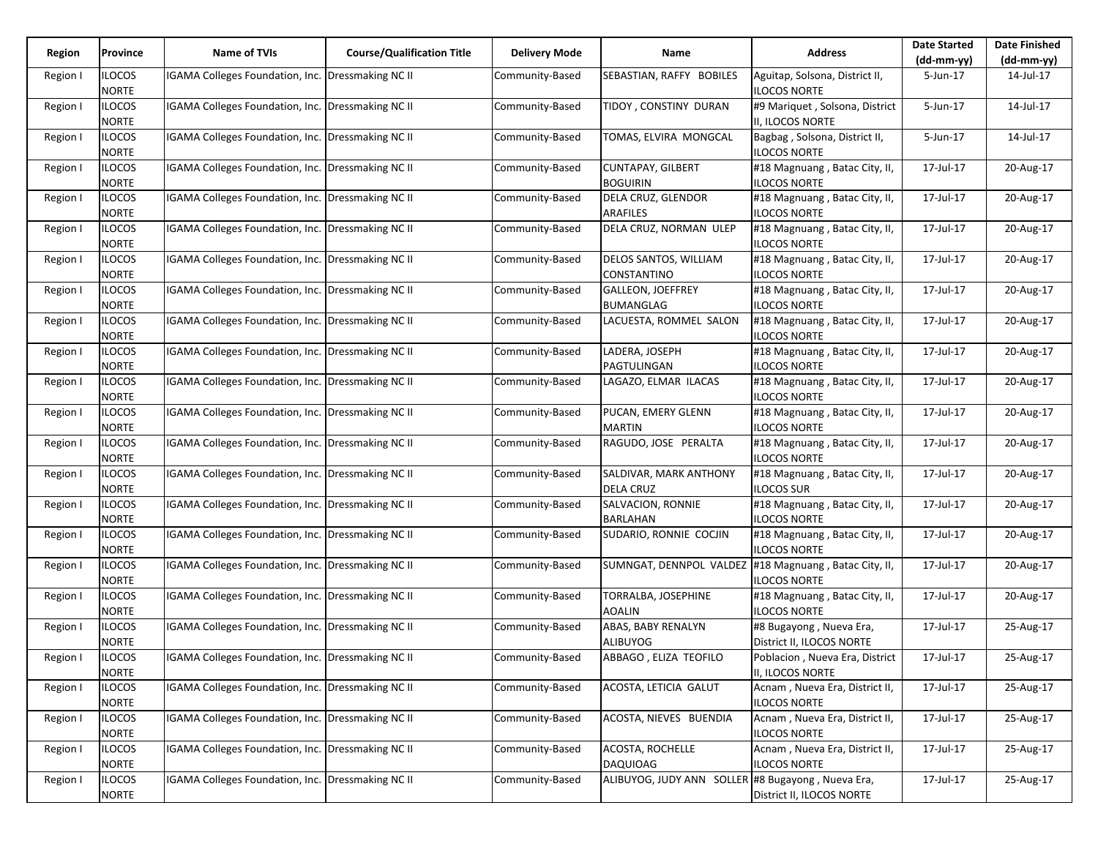| Region<br>Province |                               | <b>Name of TVIs</b>                               |                                   |                      |                                                       | <b>Address</b>                                        | <b>Date Started</b> | <b>Date Finished</b> |
|--------------------|-------------------------------|---------------------------------------------------|-----------------------------------|----------------------|-------------------------------------------------------|-------------------------------------------------------|---------------------|----------------------|
|                    |                               |                                                   | <b>Course/Qualification Title</b> | <b>Delivery Mode</b> | Name                                                  |                                                       | $(dd-mm-yy)$        | (dd-mm-yy)           |
| Region I           | <b>ILOCOS</b><br><b>NORTE</b> | IGAMA Colleges Foundation, Inc. Dressmaking NC II |                                   | Community-Based      | SEBASTIAN, RAFFY BOBILES                              | Aguitap, Solsona, District II,<br><b>ILOCOS NORTE</b> | 5-Jun-17            | 14-Jul-17            |
| Region I           | <b>ILOCOS</b><br><b>NORTE</b> | IGAMA Colleges Foundation, Inc.                   | Dressmaking NC II                 | Community-Based      | TIDOY, CONSTINY DURAN                                 | #9 Mariquet, Solsona, District<br>II, ILOCOS NORTE    | 5-Jun-17            | 14-Jul-17            |
| Region I           | <b>ILOCOS</b><br><b>NORTE</b> | IGAMA Colleges Foundation, Inc. Dressmaking NC II |                                   | Community-Based      | TOMAS, ELVIRA MONGCAL                                 | Bagbag, Solsona, District II,<br><b>ILOCOS NORTE</b>  | 5-Jun-17            | 14-Jul-17            |
| Region I           | <b>ILOCOS</b><br><b>NORTE</b> | IGAMA Colleges Foundation, Inc. Dressmaking NC II |                                   | Community-Based      | <b>CUNTAPAY, GILBERT</b><br><b>BOGUIRIN</b>           | #18 Magnuang, Batac City, II,<br><b>ILOCOS NORTE</b>  | 17-Jul-17           | 20-Aug-17            |
| Region I           | <b>ILOCOS</b><br><b>NORTE</b> | IGAMA Colleges Foundation, Inc.                   | <b>Dressmaking NC II</b>          | Community-Based      | DELA CRUZ, GLENDOR<br><b>ARAFILES</b>                 | #18 Magnuang, Batac City, II,<br><b>ILOCOS NORTE</b>  | 17-Jul-17           | 20-Aug-17            |
| Region I           | <b>ILOCOS</b><br><b>NORTE</b> | IGAMA Colleges Foundation, Inc. Dressmaking NC II |                                   | Community-Based      | DELA CRUZ, NORMAN ULEP                                | #18 Magnuang, Batac City, II,<br><b>ILOCOS NORTE</b>  | 17-Jul-17           | 20-Aug-17            |
| Region I           | <b>ILOCOS</b><br><b>NORTE</b> | IGAMA Colleges Foundation, Inc. Dressmaking NC II |                                   | Community-Based      | DELOS SANTOS, WILLIAM<br>CONSTANTINO                  | #18 Magnuang, Batac City, II,<br><b>ILOCOS NORTE</b>  | 17-Jul-17           | 20-Aug-17            |
| Region I           | <b>ILOCOS</b><br><b>NORTE</b> | IGAMA Colleges Foundation, Inc.                   | Dressmaking NC II                 | Community-Based      | <b>GALLEON, JOEFFREY</b><br><b>BUMANGLAG</b>          | #18 Magnuang, Batac City, II,<br><b>ILOCOS NORTE</b>  | 17-Jul-17           | 20-Aug-17            |
| Region I           | <b>ILOCOS</b><br><b>NORTE</b> | IGAMA Colleges Foundation, Inc. Dressmaking NC II |                                   | Community-Based      | LACUESTA, ROMMEL SALON                                | #18 Magnuang, Batac City, II,<br><b>ILOCOS NORTE</b>  | 17-Jul-17           | 20-Aug-17            |
| Region I           | <b>ILOCOS</b><br><b>NORTE</b> | IGAMA Colleges Foundation, Inc. Dressmaking NC II |                                   | Community-Based      | LADERA, JOSEPH<br>PAGTULINGAN                         | #18 Magnuang, Batac City, II,<br><b>ILOCOS NORTE</b>  | 17-Jul-17           | 20-Aug-17            |
| Region I           | <b>ILOCOS</b><br><b>NORTE</b> | IGAMA Colleges Foundation, Inc. Dressmaking NC II |                                   | Community-Based      | LAGAZO, ELMAR ILACAS                                  | #18 Magnuang, Batac City, II,<br><b>ILOCOS NORTE</b>  | 17-Jul-17           | 20-Aug-17            |
| Region I           | <b>ILOCOS</b><br><b>NORTE</b> | IGAMA Colleges Foundation, Inc. Dressmaking NC II |                                   | Community-Based      | PUCAN, EMERY GLENN<br><b>MARTIN</b>                   | #18 Magnuang, Batac City, II,<br>ILOCOS NORTE         | 17-Jul-17           | 20-Aug-17            |
| Region I           | <b>ILOCOS</b><br><b>NORTE</b> | IGAMA Colleges Foundation, Inc. Dressmaking NC II |                                   | Community-Based      | RAGUDO, JOSE PERALTA                                  | #18 Magnuang, Batac City, II,<br><b>ILOCOS NORTE</b>  | 17-Jul-17           | 20-Aug-17            |
| Region I           | <b>ILOCOS</b><br><b>NORTE</b> | IGAMA Colleges Foundation, Inc. Dressmaking NC II |                                   | Community-Based      | <b>SALDIVAR, MARK ANTHONY</b><br><b>DELA CRUZ</b>     | #18 Magnuang, Batac City, II,<br><b>ILOCOS SUR</b>    | 17-Jul-17           | 20-Aug-17            |
| Region I           | <b>ILOCOS</b><br><b>NORTE</b> | IGAMA Colleges Foundation, Inc. Dressmaking NC II |                                   | Community-Based      | SALVACION, RONNIE<br><b>BARLAHAN</b>                  | #18 Magnuang, Batac City, II,<br><b>ILOCOS NORTE</b>  | 17-Jul-17           | 20-Aug-17            |
| Region I           | <b>ILOCOS</b><br><b>NORTE</b> | IGAMA Colleges Foundation, Inc. Dressmaking NC II |                                   | Community-Based      | SUDARIO, RONNIE COCJIN                                | #18 Magnuang, Batac City, II,<br><b>ILOCOS NORTE</b>  | 17-Jul-17           | 20-Aug-17            |
| Region I           | <b>ILOCOS</b><br><b>NORTE</b> | IGAMA Colleges Foundation, Inc. Dressmaking NC II |                                   | Community-Based      | SUMNGAT, DENNPOL VALDEZ #18 Magnuang, Batac City, II, | <b>ILOCOS NORTE</b>                                   | 17-Jul-17           | 20-Aug-17            |
| Region I           | <b>ILOCOS</b><br><b>NORTE</b> | IGAMA Colleges Foundation, Inc.                   | <b>Dressmaking NC II</b>          | Community-Based      | TORRALBA, JOSEPHINE<br><b>AOALIN</b>                  | #18 Magnuang, Batac City, II,<br><b>ILOCOS NORTE</b>  | 17-Jul-17           | 20-Aug-17            |
| Region I           | <b>ILOCOS</b><br><b>NORTE</b> | IGAMA Colleges Foundation, Inc. Dressmaking NC II |                                   | Community-Based      | ABAS, BABY RENALYN<br><b>ALIBUYOG</b>                 | #8 Bugayong, Nueva Era,<br>District II, ILOCOS NORTE  | 17-Jul-17           | 25-Aug-17            |
| Region I           | <b>ILOCOS</b><br><b>NORTE</b> | IGAMA Colleges Foundation, Inc. Dressmaking NC II |                                   | Community-Based      | ABBAGO, ELIZA TEOFILO                                 | Poblacion, Nueva Era, District<br>II, ILOCOS NORTE    | 17-Jul-17           | 25-Aug-17            |
| Region I           | <b>ILOCOS</b><br><b>NORTE</b> | IGAMA Colleges Foundation, Inc. Dressmaking NC II |                                   | Community-Based      | ACOSTA, LETICIA GALUT                                 | Acnam, Nueva Era, District II,<br><b>ILOCOS NORTE</b> | 17-Jul-17           | 25-Aug-17            |
| Region I           | <b>ILOCOS</b><br><b>NORTE</b> | IGAMA Colleges Foundation, Inc. Dressmaking NC II |                                   | Community-Based      | ACOSTA, NIEVES BUENDIA                                | Acnam, Nueva Era, District II,<br><b>ILOCOS NORTE</b> | 17-Jul-17           | 25-Aug-17            |
| Region I           | <b>ILOCOS</b><br><b>NORTE</b> | IGAMA Colleges Foundation, Inc. Dressmaking NC II |                                   | Community-Based      | ACOSTA, ROCHELLE<br><b>DAQUIOAG</b>                   | Acnam, Nueva Era, District II,<br><b>ILOCOS NORTE</b> | 17-Jul-17           | 25-Aug-17            |
| Region I           | <b>ILOCOS</b><br><b>NORTE</b> | IGAMA Colleges Foundation, Inc.                   | Dressmaking NC II                 | Community-Based      | ALIBUYOG, JUDY ANN SOLLER #8 Bugayong, Nueva Era,     | District II, ILOCOS NORTE                             | 17-Jul-17           | 25-Aug-17            |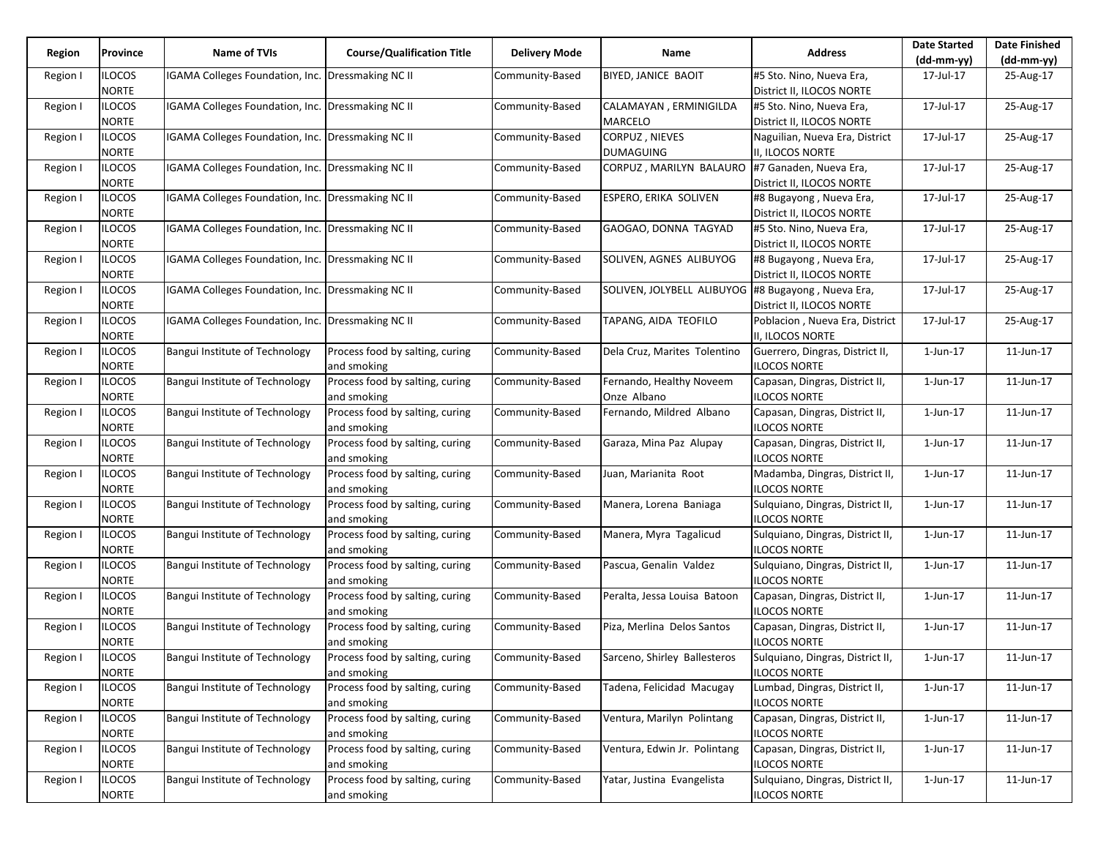| Region   | Province                      | Name of TVIs                                      | <b>Course/Qualification Title</b>              | Delivery Mode   | Name                                    | <b>Address</b>                                          | <b>Date Started</b><br>$(dd-mm-yy)$ | <b>Date Finished</b><br>$(dd-mm-yy)$ |
|----------|-------------------------------|---------------------------------------------------|------------------------------------------------|-----------------|-----------------------------------------|---------------------------------------------------------|-------------------------------------|--------------------------------------|
| Region I | <b>ILOCOS</b><br><b>NORTE</b> | IGAMA Colleges Foundation, Inc.                   | Dressmaking NC II                              | Community-Based | <b>BIYED, JANICE BAOIT</b>              | #5 Sto. Nino, Nueva Era,<br>District II, ILOCOS NORTE   | 17-Jul-17                           | 25-Aug-17                            |
| Region I | <b>ILOCOS</b><br><b>NORTE</b> | IGAMA Colleges Foundation, Inc.                   | Dressmaking NC II                              | Community-Based | CALAMAYAN, ERMINIGILDA<br>MARCELO       | #5 Sto. Nino, Nueva Era,<br>District II, ILOCOS NORTE   | 17-Jul-17                           | 25-Aug-17                            |
| Region I | <b>ILOCOS</b><br><b>NORTE</b> | IGAMA Colleges Foundation, Inc. Dressmaking NC II |                                                | Community-Based | CORPUZ, NIEVES<br><b>DUMAGUING</b>      | Naguilian, Nueva Era, District<br>II, ILOCOS NORTE      | 17-Jul-17                           | 25-Aug-17                            |
| Region I | <b>ILOCOS</b><br><b>NORTE</b> | IGAMA Colleges Foundation, Inc. Dressmaking NC II |                                                | Community-Based | CORPUZ, MARILYN BALAURO                 | #7 Ganaden, Nueva Era,<br>District II, ILOCOS NORTE     | 17-Jul-17                           | 25-Aug-17                            |
| Region I | <b>ILOCOS</b><br><b>NORTE</b> | IGAMA Colleges Foundation, Inc.                   | Dressmaking NC II                              | Community-Based | ESPERO, ERIKA SOLIVEN                   | #8 Bugayong, Nueva Era,<br>District II, ILOCOS NORTE    | 17-Jul-17                           | 25-Aug-17                            |
| Region I | <b>ILOCOS</b><br><b>NORTE</b> | IGAMA Colleges Foundation, Inc. Dressmaking NC II |                                                | Community-Based | GAOGAO, DONNA TAGYAD                    | #5 Sto. Nino, Nueva Era,<br>District II, ILOCOS NORTE   | 17-Jul-17                           | 25-Aug-17                            |
| Region I | <b>ILOCOS</b><br><b>NORTE</b> | IGAMA Colleges Foundation, Inc. Dressmaking NC II |                                                | Community-Based | SOLIVEN, AGNES ALIBUYOG                 | #8 Bugayong, Nueva Era,<br>District II, ILOCOS NORTE    | 17-Jul-17                           | 25-Aug-17                            |
| Region I | <b>ILOCOS</b><br><b>NORTE</b> | IGAMA Colleges Foundation, Inc.                   | Dressmaking NC II                              | Community-Based | SOLIVEN, JOLYBELL ALIBUYOG              | #8 Bugayong, Nueva Era,<br>District II, ILOCOS NORTE    | 17-Jul-17                           | 25-Aug-17                            |
| Region I | <b>ILOCOS</b><br><b>NORTE</b> | IGAMA Colleges Foundation, Inc. Dressmaking NC II |                                                | Community-Based | TAPANG, AIDA TEOFILO                    | Poblacion, Nueva Era, District<br>II, ILOCOS NORTE      | 17-Jul-17                           | 25-Aug-17                            |
| Region I | <b>ILOCOS</b><br><b>NORTE</b> | Bangui Institute of Technology                    | Process food by salting, curing<br>and smoking | Community-Based | Dela Cruz, Marites Tolentino            | Guerrero, Dingras, District II,<br><b>ILOCOS NORTE</b>  | $1$ -Jun- $17$                      | 11-Jun-17                            |
| Region I | <b>ILOCOS</b><br><b>NORTE</b> | Bangui Institute of Technology                    | Process food by salting, curing<br>and smoking | Community-Based | Fernando, Healthy Noveem<br>Onze Albano | Capasan, Dingras, District II,<br>ILOCOS NORTE          | 1-Jun-17                            | 11-Jun-17                            |
| Region I | <b>ILOCOS</b><br><b>NORTE</b> | Bangui Institute of Technology                    | Process food by salting, curing<br>and smoking | Community-Based | Fernando, Mildred Albano                | Capasan, Dingras, District II,<br><b>ILOCOS NORTE</b>   | 1-Jun-17                            | 11-Jun-17                            |
| Region I | <b>ILOCOS</b><br><b>NORTE</b> | Bangui Institute of Technology                    | Process food by salting, curing<br>and smoking | Community-Based | Garaza, Mina Paz Alupay                 | Capasan, Dingras, District II,<br><b>ILOCOS NORTE</b>   | $1$ -Jun- $17$                      | 11-Jun-17                            |
| Region I | <b>ILOCOS</b><br><b>NORTE</b> | Bangui Institute of Technology                    | Process food by salting, curing<br>and smoking | Community-Based | Juan, Marianita Root                    | Madamba, Dingras, District II,<br><b>ILOCOS NORTE</b>   | 1-Jun-17                            | 11-Jun-17                            |
| Region I | <b>ILOCOS</b><br><b>NORTE</b> | Bangui Institute of Technology                    | Process food by salting, curing<br>and smoking | Community-Based | Manera, Lorena Baniaga                  | Sulquiano, Dingras, District II,<br>ILOCOS NORTE        | 1-Jun-17                            | 11-Jun-17                            |
| Region I | <b>ILOCOS</b><br><b>NORTE</b> | Bangui Institute of Technology                    | Process food by salting, curing<br>and smoking | Community-Based | Manera, Myra Tagalicud                  | Sulquiano, Dingras, District II,<br>ILOCOS NORTE        | $1$ -Jun- $17$                      | 11-Jun-17                            |
| Region I | <b>ILOCOS</b><br><b>NORTE</b> | Bangui Institute of Technology                    | Process food by salting, curing<br>and smoking | Community-Based | Pascua, Genalin Valdez                  | Sulquiano, Dingras, District II,<br><b>ILOCOS NORTE</b> | 1-Jun-17                            | 11-Jun-17                            |
| Region I | <b>ILOCOS</b><br><b>NORTE</b> | Bangui Institute of Technology                    | Process food by salting, curing<br>and smoking | Community-Based | Peralta, Jessa Louisa Batoon            | Capasan, Dingras, District II,<br>ILOCOS NORTE          | 1-Jun-17                            | 11-Jun-17                            |
| Region I | <b>ILOCOS</b><br><b>NORTE</b> | Bangui Institute of Technology                    | Process food by salting, curing<br>and smoking | Community-Based | Piza, Merlina Delos Santos              | Capasan, Dingras, District II,<br><b>ILOCOS NORTE</b>   | $1$ -Jun- $17$                      | 11-Jun-17                            |
| Region I | <b>ILOCOS</b><br><b>NORTE</b> | Bangui Institute of Technology                    | Process food by salting, curing<br>and smoking | Community-Based | Sarceno, Shirley Ballesteros            | Sulquiano, Dingras, District II,<br><b>ILOCOS NORTE</b> | $1$ -Jun- $17$                      | 11-Jun-17                            |
| Region I | <b>ILOCOS</b><br><b>NORTE</b> | Bangui Institute of Technology                    | Process food by salting, curing<br>and smoking | Community-Based | Tadena, Felicidad Macugay               | Lumbad, Dingras, District II,<br><b>ILOCOS NORTE</b>    | 1-Jun-17                            | 11-Jun-17                            |
| Region I | <b>ILOCOS</b><br><b>NORTE</b> | Bangui Institute of Technology                    | Process food by salting, curing<br>and smoking | Community-Based | Ventura, Marilyn Polintang              | Capasan, Dingras, District II,<br><b>ILOCOS NORTE</b>   | $1$ -Jun- $17$                      | 11-Jun-17                            |
| Region I | <b>ILOCOS</b><br><b>NORTE</b> | Bangui Institute of Technology                    | Process food by salting, curing<br>and smoking | Community-Based | Ventura, Edwin Jr. Polintang            | Capasan, Dingras, District II,<br><b>ILOCOS NORTE</b>   | 1-Jun-17                            | 11-Jun-17                            |
| Region I | <b>ILOCOS</b><br><b>NORTE</b> | Bangui Institute of Technology                    | Process food by salting, curing<br>and smoking | Community-Based | Yatar, Justina Evangelista              | Sulquiano, Dingras, District II,<br><b>ILOCOS NORTE</b> | 1-Jun-17                            | 11-Jun-17                            |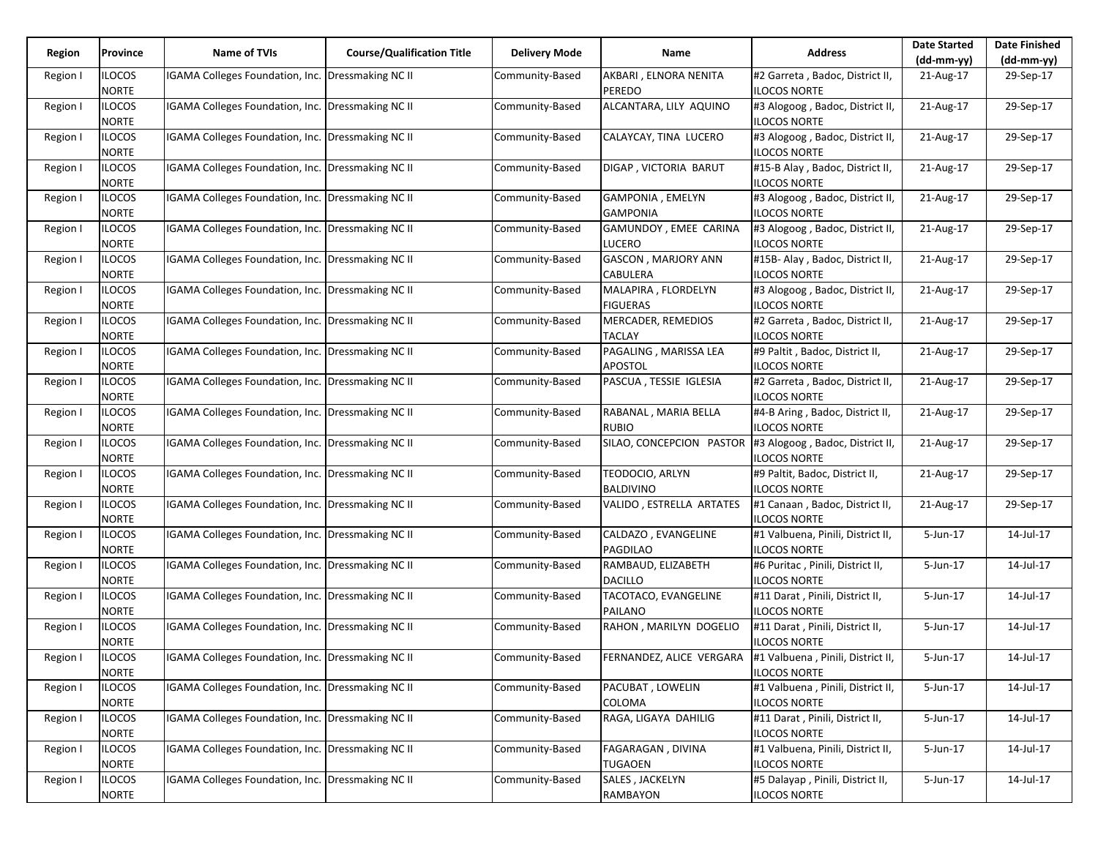| Region   | Province                      | Name of TVIs                                             | <b>Course/Qualification Title</b> | <b>Delivery Mode</b> | Name                                    | <b>Address</b>                                           | <b>Date Started</b> | <b>Date Finished</b> |
|----------|-------------------------------|----------------------------------------------------------|-----------------------------------|----------------------|-----------------------------------------|----------------------------------------------------------|---------------------|----------------------|
|          |                               |                                                          |                                   |                      |                                         |                                                          | $(dd-mm-yy)$        | $(dd-mm-yy)$         |
| Region I | <b>ILOCOS</b><br><b>NORTE</b> | IGAMA Colleges Foundation, Inc.                          | Dressmaking NC II                 | Community-Based      | AKBARI, ELNORA NENITA<br>PEREDO         | #2 Garreta, Badoc, District II,<br><b>ILOCOS NORTE</b>   | 21-Aug-17           | 29-Sep-17            |
| Region I | <b>ILOCOS</b><br><b>NORTE</b> | IGAMA Colleges Foundation, Inc.                          | Dressmaking NC II                 | Community-Based      | ALCANTARA, LILY AQUINO                  | #3 Alogoog, Badoc, District II,<br><b>ILOCOS NORTE</b>   | 21-Aug-17           | 29-Sep-17            |
| Region I | <b>ILOCOS</b><br><b>NORTE</b> | IGAMA Colleges Foundation, Inc. Dressmaking NC II        |                                   | Community-Based      | CALAYCAY, TINA LUCERO                   | #3 Alogoog, Badoc, District II,<br>ILOCOS NORTE          | 21-Aug-17           | 29-Sep-17            |
| Region I | <b>ILOCOS</b><br><b>NORTE</b> | IGAMA Colleges Foundation, Inc. Dressmaking NC II        |                                   | Community-Based      | DIGAP, VICTORIA BARUT                   | #15-B Alay, Badoc, District II,<br><b>ILOCOS NORTE</b>   | 21-Aug-17           | 29-Sep-17            |
| Region I | <b>ILOCOS</b><br><b>NORTE</b> | IGAMA Colleges Foundation, Inc.                          | Dressmaking NC II                 | Community-Based      | GAMPONIA, EMELYN<br><b>GAMPONIA</b>     | #3 Alogoog, Badoc, District II,<br><b>ILOCOS NORTE</b>   | 21-Aug-17           | 29-Sep-17            |
| Region I | <b>ILOCOS</b><br><b>NORTE</b> | IGAMA Colleges Foundation, Inc. Dressmaking NC II        |                                   | Community-Based      | GAMUNDOY, EMEE CARINA<br><b>LUCERO</b>  | #3 Alogoog, Badoc, District II,<br><b>ILOCOS NORTE</b>   | 21-Aug-17           | 29-Sep-17            |
| Region I | <b>ILOCOS</b><br><b>NORTE</b> | IGAMA Colleges Foundation, Inc.                          | Dressmaking NC II                 | Community-Based      | GASCON, MARJORY ANN<br>CABULERA         | #15B-Alay, Badoc, District II,<br><b>ILOCOS NORTE</b>    | 21-Aug-17           | 29-Sep-17            |
| Region I | <b>ILOCOS</b><br><b>NORTE</b> | IGAMA Colleges Foundation, Inc.                          | Dressmaking NC II                 | Community-Based      | MALAPIRA, FLORDELYN<br><b>FIGUERAS</b>  | #3 Alogoog, Badoc, District II,<br>ILOCOS NORTE          | 21-Aug-17           | 29-Sep-17            |
| Region I | <b>ILOCOS</b><br><b>NORTE</b> | IGAMA Colleges Foundation, Inc.                          | <b>Dressmaking NC II</b>          | Community-Based      | MERCADER, REMEDIOS<br>TACLAY            | #2 Garreta, Badoc, District II,<br><b>ILOCOS NORTE</b>   | 21-Aug-17           | 29-Sep-17            |
| Region I | <b>ILOCOS</b><br><b>NORTE</b> | IGAMA Colleges Foundation, Inc. Dressmaking NC II        |                                   | Community-Based      | PAGALING, MARISSA LEA<br><b>APOSTOL</b> | #9 Paltit, Badoc, District II,<br>ILOCOS NORTE           | 21-Aug-17           | 29-Sep-17            |
| Region I | <b>ILOCOS</b><br><b>NORTE</b> | IGAMA Colleges Foundation, Inc.                          | Dressmaking NC II                 | Community-Based      | PASCUA, TESSIE IGLESIA                  | #2 Garreta, Badoc, District II,<br><b>ILOCOS NORTE</b>   | 21-Aug-17           | 29-Sep-17            |
| Region I | <b>ILOCOS</b><br><b>NORTE</b> | <b>IGAMA Colleges Foundation, Inc. Dressmaking NC II</b> |                                   | Community-Based      | RABANAL, MARIA BELLA<br><b>RUBIO</b>    | #4-B Aring, Badoc, District II,<br><b>ILOCOS NORTE</b>   | 21-Aug-17           | 29-Sep-17            |
| Region I | <b>ILOCOS</b><br><b>NORTE</b> | IGAMA Colleges Foundation, Inc. Dressmaking NC II        |                                   | Community-Based      | SILAO, CONCEPCION PASTOR                | #3 Alogoog, Badoc, District II,<br><b>ILOCOS NORTE</b>   | 21-Aug-17           | 29-Sep-17            |
| Region I | <b>ILOCOS</b><br><b>NORTE</b> | IGAMA Colleges Foundation, Inc.                          | Dressmaking NC II                 | Community-Based      | TEODOCIO, ARLYN<br><b>BALDIVINO</b>     | #9 Paltit, Badoc, District II,<br><b>ILOCOS NORTE</b>    | 21-Aug-17           | 29-Sep-17            |
| Region I | <b>ILOCOS</b><br><b>NORTE</b> | IGAMA Colleges Foundation, Inc.                          | Dressmaking NC II                 | Community-Based      | VALIDO, ESTRELLA ARTATES                | #1 Canaan, Badoc, District II,<br><b>ILOCOS NORTE</b>    | 21-Aug-17           | 29-Sep-17            |
| Region I | <b>ILOCOS</b><br><b>NORTE</b> | IGAMA Colleges Foundation, Inc. Dressmaking NC II        |                                   | Community-Based      | CALDAZO, EVANGELINE<br>PAGDILAO         | #1 Valbuena, Pinili, District II,<br><b>ILOCOS NORTE</b> | 5-Jun-17            | 14-Jul-17            |
| Region I | <b>ILOCOS</b><br><b>NORTE</b> | IGAMA Colleges Foundation, Inc.                          | Dressmaking NC II                 | Community-Based      | RAMBAUD, ELIZABETH<br><b>DACILLO</b>    | #6 Puritac, Pinili, District II,<br>ILOCOS NORTE         | 5-Jun-17            | 14-Jul-17            |
| Region I | <b>ILOCOS</b><br><b>NORTE</b> | <b>IGAMA Colleges Foundation, Inc.</b>                   | Dressmaking NC II                 | Community-Based      | TACOTACO, EVANGELINE<br>PAILANO         | #11 Darat, Pinili, District II,<br><b>ILOCOS NORTE</b>   | 5-Jun-17            | 14-Jul-17            |
| Region I | <b>ILOCOS</b><br><b>NORTE</b> | IGAMA Colleges Foundation, Inc. Dressmaking NC II        |                                   | Community-Based      | RAHON, MARILYN DOGELIO                  | #11 Darat, Pinili, District II,<br>ILOCOS NORTE          | 5-Jun-17            | 14-Jul-17            |
| Region I | <b>ILOCOS</b><br><b>NORTE</b> | IGAMA Colleges Foundation, Inc. Dressmaking NC II        |                                   | Community-Based      | FERNANDEZ, ALICE VERGARA                | #1 Valbuena, Pinili, District II,<br>ILOCOS NORTE        | 5-Jun-17            | 14-Jul-17            |
| Region I | <b>ILOCOS</b><br><b>NORTE</b> | IGAMA Colleges Foundation, Inc.                          | Dressmaking NC II                 | Community-Based      | PACUBAT, LOWELIN<br>COLOMA              | #1 Valbuena, Pinili, District II,<br><b>ILOCOS NORTE</b> | 5-Jun-17            | 14-Jul-17            |
| Region I | <b>ILOCOS</b><br><b>NORTE</b> | IGAMA Colleges Foundation, Inc. Dressmaking NC II        |                                   | Community-Based      | RAGA, LIGAYA DAHILIG                    | #11 Darat, Pinili, District II,<br><b>ILOCOS NORTE</b>   | 5-Jun-17            | 14-Jul-17            |
| Region I | <b>ILOCOS</b><br><b>NORTE</b> | IGAMA Colleges Foundation, Inc.                          | Dressmaking NC II                 | Community-Based      | FAGARAGAN, DIVINA<br><b>TUGAOEN</b>     | #1 Valbuena, Pinili, District II,<br><b>ILOCOS NORTE</b> | 5-Jun-17            | 14-Jul-17            |
| Region I | <b>ILOCOS</b><br><b>NORTE</b> | IGAMA Colleges Foundation, Inc.                          | Dressmaking NC II                 | Community-Based      | SALES, JACKELYN<br>RAMBAYON             | #5 Dalayap, Pinili, District II,<br><b>ILOCOS NORTE</b>  | 5-Jun-17            | 14-Jul-17            |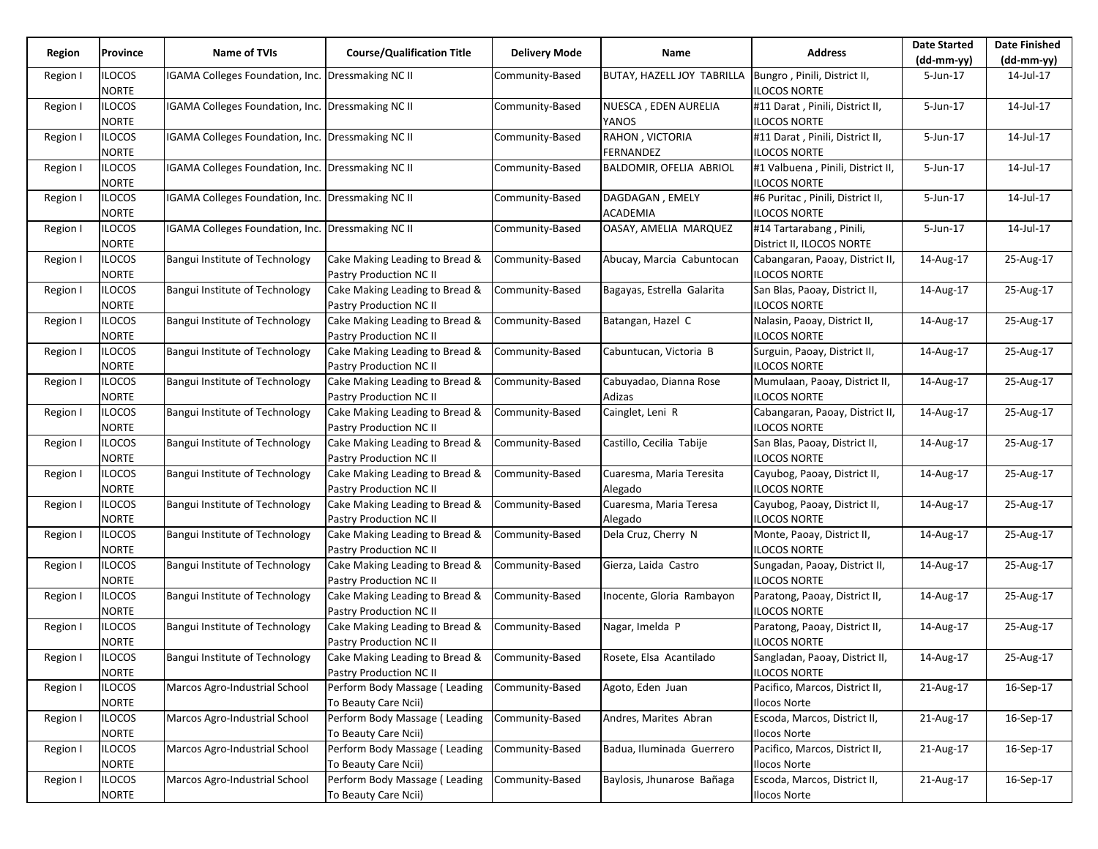| Region   |                               |                                                          |                                                           |                      |                                     |                                                         | <b>Date Started</b> | <b>Date Finished</b> |
|----------|-------------------------------|----------------------------------------------------------|-----------------------------------------------------------|----------------------|-------------------------------------|---------------------------------------------------------|---------------------|----------------------|
|          | Province                      | Name of TVIs                                             | <b>Course/Qualification Title</b>                         | <b>Delivery Mode</b> | Name                                | <b>Address</b>                                          | $(dd-mm-yy)$        | (dd-mm-yy)           |
| Region I | <b>ILOCOS</b><br><b>NORTE</b> | IGAMA Colleges Foundation, Inc. Dressmaking NC II        |                                                           | Community-Based      | BUTAY, HAZELL JOY TABRILLA          | Bungro, Pinili, District II,<br><b>ILOCOS NORTE</b>     | 5-Jun-17            | 14-Jul-17            |
| Region I | <b>ILOCOS</b><br><b>NORTE</b> | IGAMA Colleges Foundation, Inc. Dressmaking NC II        |                                                           | Community-Based      | NUESCA, EDEN AURELIA<br>YANOS       | #11 Darat, Pinili, District II,<br>ILOCOS NORTE         | 5-Jun-17            | 14-Jul-17            |
| Region I | <b>ILOCOS</b><br><b>NORTE</b> | IGAMA Colleges Foundation, Inc. Dressmaking NC II        |                                                           | Community-Based      | RAHON, VICTORIA<br>FERNANDEZ        | #11 Darat, Pinili, District II,<br>ILOCOS NORTE         | 5-Jun-17            | 14-Jul-17            |
| Region I | <b>ILOCOS</b><br><b>NORTE</b> | IGAMA Colleges Foundation, Inc. Dressmaking NC II        |                                                           | Community-Based      | BALDOMIR, OFELIA ABRIOL             | #1 Valbuena, Pinili, District II,<br>ILOCOS NORTE       | 5-Jun-17            | 14-Jul-17            |
| Region I | <b>ILOCOS</b><br><b>NORTE</b> | <b>IGAMA Colleges Foundation, Inc. Dressmaking NC II</b> |                                                           | Community-Based      | DAGDAGAN, EMELY<br>ACADEMIA         | #6 Puritac, Pinili, District II,<br><b>ILOCOS NORTE</b> | 5-Jun-17            | 14-Jul-17            |
| Region I | <b>ILOCOS</b><br><b>NORTE</b> | IGAMA Colleges Foundation, Inc. Dressmaking NC II        |                                                           | Community-Based      | OASAY, AMELIA MARQUEZ               | #14 Tartarabang, Pinili,<br>District II, ILOCOS NORTE   | 5-Jun-17            | 14-Jul-17            |
| Region I | <b>ILOCOS</b><br><b>NORTE</b> | Bangui Institute of Technology                           | Cake Making Leading to Bread &<br>Pastry Production NC II | Community-Based      | Abucay, Marcia Cabuntocan           | Cabangaran, Paoay, District II,<br><b>ILOCOS NORTE</b>  | 14-Aug-17           | 25-Aug-17            |
| Region I | <b>ILOCOS</b><br><b>NORTE</b> | Bangui Institute of Technology                           | Cake Making Leading to Bread &<br>Pastry Production NC II | Community-Based      | Bagayas, Estrella Galarita          | San Blas, Paoay, District II,<br>ILOCOS NORTE           | 14-Aug-17           | 25-Aug-17            |
| Region I | <b>ILOCOS</b><br><b>NORTE</b> | Bangui Institute of Technology                           | Cake Making Leading to Bread &<br>Pastry Production NC II | Community-Based      | Batangan, Hazel C                   | Nalasin, Paoay, District II,<br><b>ILOCOS NORTE</b>     | 14-Aug-17           | 25-Aug-17            |
| Region I | <b>ILOCOS</b><br><b>NORTE</b> | Bangui Institute of Technology                           | Cake Making Leading to Bread &<br>Pastry Production NC II | Community-Based      | Cabuntucan, Victoria B              | Surguin, Paoay, District II,<br><b>ILOCOS NORTE</b>     | 14-Aug-17           | 25-Aug-17            |
| Region I | <b>ILOCOS</b><br><b>NORTE</b> | Bangui Institute of Technology                           | Cake Making Leading to Bread &<br>Pastry Production NC II | Community-Based      | Cabuyadao, Dianna Rose<br>Adizas    | Mumulaan, Paoay, District II,<br>ILOCOS NORTE           | 14-Aug-17           | 25-Aug-17            |
| Region I | <b>ILOCOS</b><br><b>NORTE</b> | Bangui Institute of Technology                           | Cake Making Leading to Bread &<br>Pastry Production NC II | Community-Based      | Cainglet, Leni R                    | Cabangaran, Paoay, District II,<br><b>ILOCOS NORTE</b>  | 14-Aug-17           | 25-Aug-17            |
| Region I | <b>ILOCOS</b><br><b>NORTE</b> | Bangui Institute of Technology                           | Cake Making Leading to Bread &<br>Pastry Production NC II | Community-Based      | Castillo, Cecilia Tabije            | San Blas, Paoay, District II,<br><b>ILOCOS NORTE</b>    | 14-Aug-17           | 25-Aug-17            |
| Region I | <b>ILOCOS</b><br><b>NORTE</b> | Bangui Institute of Technology                           | Cake Making Leading to Bread &<br>Pastry Production NC II | Community-Based      | Cuaresma, Maria Teresita<br>Alegado | Cayubog, Paoay, District II,<br>ILOCOS NORTE            | 14-Aug-17           | 25-Aug-17            |
| Region I | <b>ILOCOS</b><br><b>NORTE</b> | Bangui Institute of Technology                           | Cake Making Leading to Bread &<br>Pastry Production NC II | Community-Based      | Cuaresma, Maria Teresa<br>Alegado   | Cayubog, Paoay, District II,<br><b>ILOCOS NORTE</b>     | 14-Aug-17           | 25-Aug-17            |
| Region I | <b>ILOCOS</b><br><b>NORTE</b> | Bangui Institute of Technology                           | Cake Making Leading to Bread &<br>Pastry Production NC II | Community-Based      | Dela Cruz, Cherry N                 | Monte, Paoay, District II,<br><b>ILOCOS NORTE</b>       | 14-Aug-17           | 25-Aug-17            |
| Region I | <b>ILOCOS</b><br><b>NORTE</b> | Bangui Institute of Technology                           | Cake Making Leading to Bread &<br>Pastry Production NC II | Community-Based      | Gierza, Laida Castro                | Sungadan, Paoay, District II,<br>ILOCOS NORTE           | 14-Aug-17           | 25-Aug-17            |
| Region I | <b>ILOCOS</b><br><b>NORTE</b> | Bangui Institute of Technology                           | Cake Making Leading to Bread &<br>Pastry Production NC II | Community-Based      | Inocente, Gloria Rambayon           | Paratong, Paoay, District II,<br>ILOCOS NORTE           | 14-Aug-17           | 25-Aug-17            |
| Region I | <b>ILOCOS</b><br><b>NORTE</b> | Bangui Institute of Technology                           | Cake Making Leading to Bread &<br>Pastry Production NC II | Community-Based      | Nagar, Imelda P                     | Paratong, Paoay, District II,<br><b>ILOCOS NORTE</b>    | 14-Aug-17           | 25-Aug-17            |
| Region I | <b>ILOCOS</b><br><b>NORTE</b> | Bangui Institute of Technology                           | Cake Making Leading to Bread &<br>Pastry Production NC II | Community-Based      | Rosete, Elsa Acantilado             | Sangladan, Paoay, District II,<br>ILOCOS NORTE          | 14-Aug-17           | 25-Aug-17            |
| Region I | <b>ILOCOS</b><br><b>NORTE</b> | Marcos Agro-Industrial School                            | Perform Body Massage (Leading<br>To Beauty Care Ncii)     | Community-Based      | Agoto, Eden Juan                    | Pacifico, Marcos, District II,<br>Ilocos Norte          | 21-Aug-17           | 16-Sep-17            |
| Region I | <b>ILOCOS</b><br><b>NORTE</b> | Marcos Agro-Industrial School                            | Perform Body Massage (Leading<br>To Beauty Care Ncii)     | Community-Based      | Andres, Marites Abran               | Escoda, Marcos, District II,<br>Ilocos Norte            | 21-Aug-17           | 16-Sep-17            |
| Region I | <b>ILOCOS</b><br><b>NORTE</b> | Marcos Agro-Industrial School                            | Perform Body Massage (Leading<br>To Beauty Care Ncii)     | Community-Based      | Badua, Iluminada Guerrero           | Pacifico, Marcos, District II,<br><b>Ilocos Norte</b>   | 21-Aug-17           | 16-Sep-17            |
| Region I | <b>ILOCOS</b><br><b>NORTE</b> | Marcos Agro-Industrial School                            | Perform Body Massage (Leading<br>To Beauty Care Ncii)     | Community-Based      | Baylosis, Jhunarose Bañaga          | Escoda, Marcos, District II,<br><b>Ilocos Norte</b>     | 21-Aug-17           | 16-Sep-17            |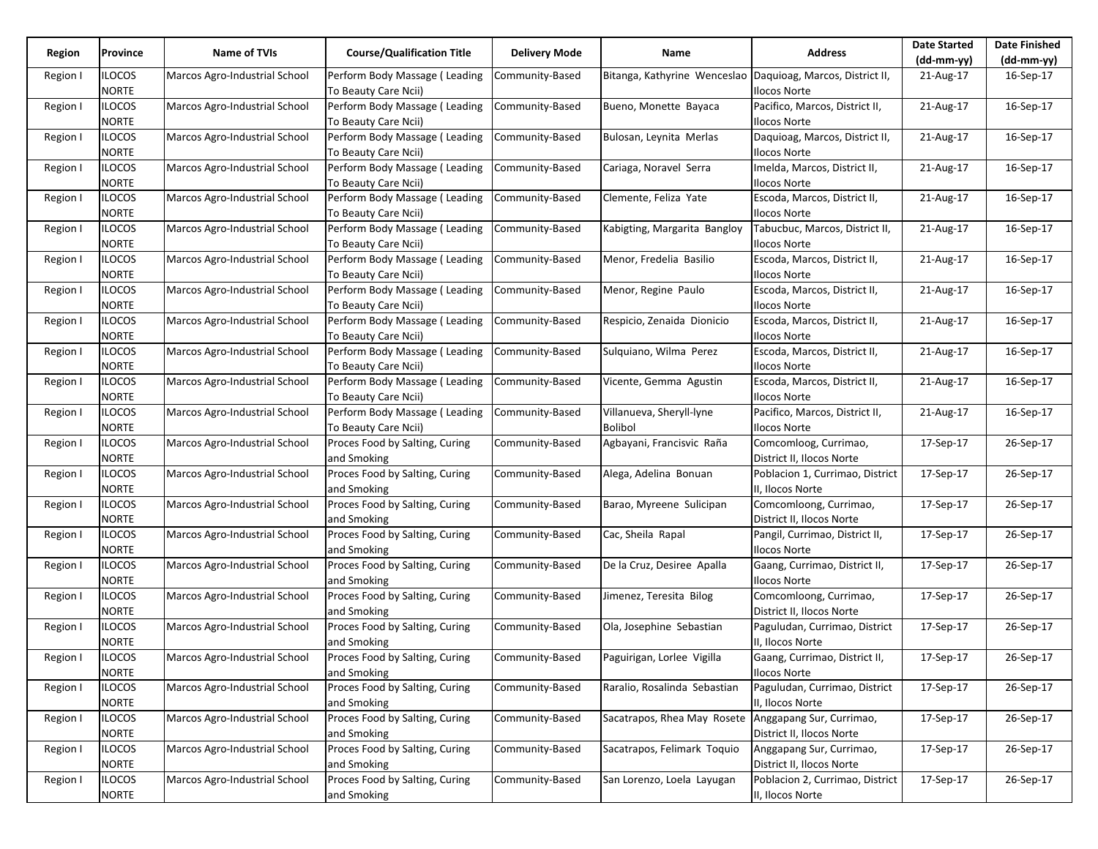| Region   | Province                      | Name of TVIs                  | <b>Course/Qualification Title</b>                     | <b>Delivery Mode</b> | Name                                                        | <b>Address</b>                                 | <b>Date Started</b> | <b>Date Finished</b> |
|----------|-------------------------------|-------------------------------|-------------------------------------------------------|----------------------|-------------------------------------------------------------|------------------------------------------------|---------------------|----------------------|
|          |                               |                               |                                                       |                      |                                                             |                                                | $(dd-mm-yy)$        | $(dd-mm-yy)$         |
| Region I | <b>ILOCOS</b><br><b>NORTE</b> | Marcos Agro-Industrial School | Perform Body Massage (Leading<br>To Beauty Care Ncii) | Community-Based      | Bitanga, Kathyrine Wenceslao Daquioag, Marcos, District II, | <b>Ilocos Norte</b>                            | 21-Aug-17           | 16-Sep-17            |
| Region I | <b>ILOCOS</b><br><b>NORTE</b> | Marcos Agro-Industrial School | Perform Body Massage (Leading                         | Community-Based      | Bueno, Monette Bayaca                                       | Pacifico, Marcos, District II,                 | 21-Aug-17           | 16-Sep-17            |
|          |                               |                               | To Beauty Care Ncii)                                  |                      |                                                             | Ilocos Norte                                   |                     |                      |
| Region I | <b>ILOCOS</b><br><b>NORTE</b> | Marcos Agro-Industrial School | Perform Body Massage (Leading<br>To Beauty Care Ncii) | Community-Based      | Bulosan, Leynita Merlas                                     | Daquioag, Marcos, District II,<br>Ilocos Norte | 21-Aug-17           | 16-Sep-17            |
| Region I | <b>ILOCOS</b><br><b>NORTE</b> | Marcos Agro-Industrial School | Perform Body Massage (Leading<br>To Beauty Care Ncii) | Community-Based      | Cariaga, Noravel Serra                                      | Imelda, Marcos, District II,<br>Ilocos Norte   | 21-Aug-17           | 16-Sep-17            |
| Region I | <b>ILOCOS</b>                 | Marcos Agro-Industrial School | Perform Body Massage (Leading                         | Community-Based      | Clemente, Feliza Yate                                       | Escoda, Marcos, District II,                   | 21-Aug-17           | 16-Sep-17            |
|          | <b>NORTE</b>                  |                               | To Beauty Care Ncii)                                  |                      |                                                             | Ilocos Norte                                   |                     |                      |
| Region I | <b>ILOCOS</b>                 | Marcos Agro-Industrial School | Perform Body Massage (Leading                         | Community-Based      | Kabigting, Margarita Bangloy                                | Tabucbuc, Marcos, District II,                 | 21-Aug-17           | 16-Sep-17            |
|          | <b>NORTE</b>                  |                               | To Beauty Care Ncii)                                  |                      |                                                             | llocos Norte                                   |                     |                      |
|          | <b>ILOCOS</b>                 | Marcos Agro-Industrial School | Perform Body Massage (Leading                         | Community-Based      | Menor, Fredelia Basilio                                     | Escoda, Marcos, District II,                   | 21-Aug-17           | 16-Sep-17            |
| Region I |                               |                               |                                                       |                      |                                                             |                                                |                     |                      |
|          | <b>NORTE</b>                  |                               | To Beauty Care Ncii)                                  |                      |                                                             | Ilocos Norte                                   |                     |                      |
| Region I | <b>ILOCOS</b>                 | Marcos Agro-Industrial School | Perform Body Massage (Leading                         | Community-Based      | Menor, Regine Paulo                                         | Escoda, Marcos, District II,                   | 21-Aug-17           | 16-Sep-17            |
|          | <b>NORTE</b>                  |                               | To Beauty Care Ncii)                                  |                      |                                                             | Ilocos Norte                                   |                     |                      |
| Region I | <b>ILOCOS</b>                 | Marcos Agro-Industrial School | Perform Body Massage (Leading                         | Community-Based      | Respicio, Zenaida Dionicio                                  | Escoda, Marcos, District II,                   | 21-Aug-17           | 16-Sep-17            |
|          | <b>NORTE</b>                  |                               | To Beauty Care Ncii)                                  |                      |                                                             | llocos Norte                                   |                     |                      |
| Region I | <b>ILOCOS</b>                 | Marcos Agro-Industrial School | Perform Body Massage (Leading                         | Community-Based      | Sulguiano, Wilma Perez                                      | Escoda, Marcos, District II,                   | 21-Aug-17           | 16-Sep-17            |
|          | <b>NORTE</b>                  |                               | To Beauty Care Ncii)                                  |                      |                                                             | Ilocos Norte                                   |                     |                      |
| Region I | <b>ILOCOS</b>                 | Marcos Agro-Industrial School | Perform Body Massage (Leading                         | Community-Based      | Vicente, Gemma Agustin                                      | Escoda, Marcos, District II,                   | 21-Aug-17           | 16-Sep-17            |
|          | <b>NORTE</b>                  |                               | To Beauty Care Ncii)                                  |                      |                                                             | Ilocos Norte                                   |                     |                      |
| Region I | <b>ILOCOS</b>                 | Marcos Agro-Industrial School | Perform Body Massage (Leading                         | Community-Based      | Villanueva, Sheryll-lyne                                    | Pacifico, Marcos, District II,                 | 21-Aug-17           | 16-Sep-17            |
|          | <b>NORTE</b>                  |                               | To Beauty Care Ncii)                                  |                      | <b>Bolibol</b>                                              | Ilocos Norte                                   |                     |                      |
| Region I | <b>ILOCOS</b>                 | Marcos Agro-Industrial School | Proces Food by Salting, Curing                        | Community-Based      | Agbayani, Francisvic Raña                                   | Comcomloog, Currimao,                          | 17-Sep-17           | 26-Sep-17            |
|          | <b>NORTE</b>                  |                               | and Smoking                                           |                      |                                                             | District II, Ilocos Norte                      |                     |                      |
| Region I | <b>ILOCOS</b>                 | Marcos Agro-Industrial School | Proces Food by Salting, Curing                        | Community-Based      | Alega, Adelina Bonuan                                       | Poblacion 1, Currimao, District                | 17-Sep-17           | 26-Sep-17            |
|          | <b>NORTE</b>                  |                               | and Smoking                                           |                      |                                                             | II, Ilocos Norte                               |                     |                      |
| Region I | <b>ILOCOS</b>                 | Marcos Agro-Industrial School | Proces Food by Salting, Curing                        | Community-Based      | Barao, Myreene Sulicipan                                    | Comcomloong, Currimao,                         | 17-Sep-17           | 26-Sep-17            |
|          | <b>NORTE</b>                  |                               | and Smoking                                           |                      |                                                             | District II, Ilocos Norte                      |                     |                      |
| Region I | <b>ILOCOS</b>                 | Marcos Agro-Industrial School | Proces Food by Salting, Curing                        | Community-Based      | Cac, Sheila Rapal                                           | Pangil, Currimao, District II,                 | 17-Sep-17           | 26-Sep-17            |
|          | <b>NORTE</b>                  |                               | and Smoking                                           |                      |                                                             | Ilocos Norte                                   |                     |                      |
| Region I | <b>ILOCOS</b>                 | Marcos Agro-Industrial School | Proces Food by Salting, Curing                        | Community-Based      | De la Cruz, Desiree Apalla                                  | Gaang, Currimao, District II,                  | 17-Sep-17           | 26-Sep-17            |
|          | <b>NORTE</b>                  |                               | and Smoking                                           |                      |                                                             | Ilocos Norte                                   |                     |                      |
| Region I | <b>ILOCOS</b>                 | Marcos Agro-Industrial School | Proces Food by Salting, Curing                        | Community-Based      | Jimenez, Teresita Bilog                                     | Comcomloong, Currimao,                         | 17-Sep-17           | 26-Sep-17            |
|          | <b>NORTE</b>                  |                               | and Smoking                                           |                      |                                                             | District II, Ilocos Norte                      |                     |                      |
| Region I | <b>ILOCOS</b>                 | Marcos Agro-Industrial School | Proces Food by Salting, Curing                        | Community-Based      | Ola, Josephine Sebastian                                    | Paguludan, Currimao, District                  | 17-Sep-17           | 26-Sep-17            |
|          | <b>NORTE</b>                  |                               | and Smoking                                           |                      |                                                             | II, Ilocos Norte                               |                     |                      |
| Region I | <b>ILOCOS</b>                 | Marcos Agro-Industrial School | Proces Food by Salting, Curing                        | Community-Based      | Paguirigan, Lorlee Vigilla                                  | Gaang, Currimao, District II,                  | 17-Sep-17           | 26-Sep-17            |
|          | <b>NORTE</b>                  |                               | and Smoking                                           |                      |                                                             | Ilocos Norte                                   |                     |                      |
| Region I | <b>ILOCOS</b>                 | Marcos Agro-Industrial School | Proces Food by Salting, Curing                        | Community-Based      | Raralio, Rosalinda Sebastian                                | Paguludan, Currimao, District                  | 17-Sep-17           | 26-Sep-17            |
|          | <b>NORTE</b>                  |                               | and Smoking                                           |                      |                                                             | II, Ilocos Norte                               |                     |                      |
| Region I | <b>ILOCOS</b>                 | Marcos Agro-Industrial School | Proces Food by Salting, Curing                        | Community-Based      | Sacatrapos, Rhea May Rosete Anggapang Sur, Currimao,        |                                                | 17-Sep-17           | 26-Sep-17            |
|          | <b>NORTE</b>                  |                               | and Smoking                                           |                      |                                                             | District II, Ilocos Norte                      |                     |                      |
|          | <b>ILOCOS</b>                 | Marcos Agro-Industrial School | Proces Food by Salting, Curing                        | Community-Based      | Sacatrapos, Felimark Toquio                                 |                                                |                     | 26-Sep-17            |
| Region I |                               |                               |                                                       |                      |                                                             | Anggapang Sur, Currimao,                       | 17-Sep-17           |                      |
|          | <b>NORTE</b>                  |                               | and Smoking                                           |                      |                                                             | District II, Ilocos Norte                      |                     |                      |
| Region I | <b>ILOCOS</b>                 | Marcos Agro-Industrial School | Proces Food by Salting, Curing                        | Community-Based      | San Lorenzo, Loela Layugan                                  | Poblacion 2, Currimao, District                | 17-Sep-17           | 26-Sep-17            |
|          | <b>NORTE</b>                  |                               | and Smoking                                           |                      |                                                             | II, Ilocos Norte                               |                     |                      |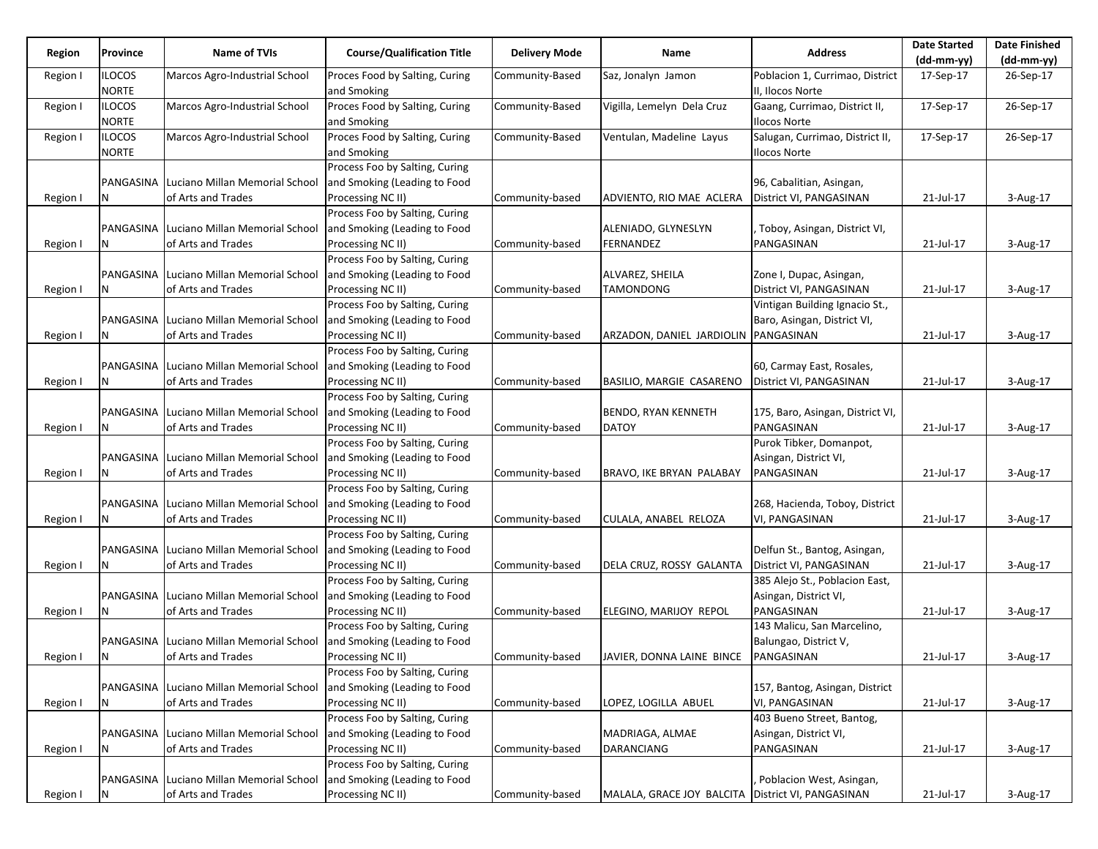| Region   | Province                      | Name of TVIs                             | <b>Course/Qualification Title</b>             | <b>Delivery Mode</b> | Name                                                | <b>Address</b>                                      | <b>Date Started</b> | <b>Date Finished</b> |
|----------|-------------------------------|------------------------------------------|-----------------------------------------------|----------------------|-----------------------------------------------------|-----------------------------------------------------|---------------------|----------------------|
|          |                               |                                          |                                               |                      |                                                     |                                                     | $(dd-mm-yy)$        | $(dd-mm-yy)$         |
| Region I | <b>ILOCOS</b><br><b>NORTE</b> | Marcos Agro-Industrial School            | Proces Food by Salting, Curing<br>and Smoking | Community-Based      | Saz, Jonalyn Jamon                                  | Poblacion 1, Currimao, District<br>II, Ilocos Norte | 17-Sep-17           | 26-Sep-17            |
| Region I | <b>ILOCOS</b><br><b>NORTE</b> | Marcos Agro-Industrial School            | Proces Food by Salting, Curing<br>and Smoking | Community-Based      | Vigilla, Lemelyn Dela Cruz                          | Gaang, Currimao, District II,<br>Ilocos Norte       | 17-Sep-17           | 26-Sep-17            |
| Region I | <b>ILOCOS</b>                 | Marcos Agro-Industrial School            | Proces Food by Salting, Curing                | Community-Based      | Ventulan, Madeline Layus                            | Salugan, Currimao, District II,                     | 17-Sep-17           | 26-Sep-17            |
|          | <b>NORTE</b>                  |                                          | and Smoking                                   |                      |                                                     | llocos Norte                                        |                     |                      |
|          |                               |                                          | Process Foo by Salting, Curing                |                      |                                                     |                                                     |                     |                      |
|          |                               | PANGASINA Luciano Millan Memorial School | and Smoking (Leading to Food                  |                      |                                                     | 96, Cabalitian, Asingan,                            |                     |                      |
| Region I | N                             | of Arts and Trades                       | Processing NC II)                             | Community-based      | ADVIENTO, RIO MAE ACLERA                            | District VI, PANGASINAN                             | 21-Jul-17           | 3-Aug-17             |
|          |                               |                                          | Process Foo by Salting, Curing                |                      |                                                     |                                                     |                     |                      |
|          |                               | PANGASINA Luciano Millan Memorial School | and Smoking (Leading to Food                  |                      | ALENIADO, GLYNESLYN                                 | , Toboy, Asingan, District VI,                      |                     |                      |
| Region I | N                             | of Arts and Trades                       | Processing NC II)                             | Community-based      | FERNANDEZ                                           | PANGASINAN                                          | 21-Jul-17           | 3-Aug-17             |
|          |                               |                                          | Process Foo by Salting, Curing                |                      |                                                     |                                                     |                     |                      |
|          |                               | PANGASINA Luciano Millan Memorial School | and Smoking (Leading to Food                  |                      | ALVAREZ, SHEILA                                     | Zone I, Dupac, Asingan,                             |                     |                      |
| Region I | N                             | of Arts and Trades                       | Processing NC II)                             | Community-based      | TAMONDONG                                           | District VI, PANGASINAN                             | 21-Jul-17           | 3-Aug-17             |
|          |                               |                                          | Process Foo by Salting, Curing                |                      |                                                     | Vintigan Building Ignacio St.,                      |                     |                      |
|          |                               | PANGASINA Luciano Millan Memorial School | and Smoking (Leading to Food                  |                      |                                                     | Baro, Asingan, District VI,                         |                     |                      |
| Region I | N                             | of Arts and Trades                       | Processing NC II)                             | Community-based      | ARZADON, DANIEL JARDIOLIN                           | PANGASINAN                                          | 21-Jul-17           | 3-Aug-17             |
|          |                               |                                          | Process Foo by Salting, Curing                |                      |                                                     |                                                     |                     |                      |
|          |                               | PANGASINA Luciano Millan Memorial School | and Smoking (Leading to Food                  |                      |                                                     | 60, Carmay East, Rosales,                           |                     |                      |
| Region I | N                             | of Arts and Trades                       | Processing NC II)                             | Community-based      | BASILIO, MARGIE CASARENO                            | District VI, PANGASINAN                             | 21-Jul-17           | 3-Aug-17             |
|          |                               |                                          | Process Foo by Salting, Curing                |                      |                                                     |                                                     |                     |                      |
|          |                               | PANGASINA Luciano Millan Memorial School | and Smoking (Leading to Food                  |                      | BENDO, RYAN KENNETH                                 | 175, Baro, Asingan, District VI,                    |                     |                      |
| Region I | N                             | of Arts and Trades                       | Processing NC II)                             | Community-based      | <b>DATOY</b>                                        | PANGASINAN                                          | 21-Jul-17           | 3-Aug-17             |
|          |                               |                                          | Process Foo by Salting, Curing                |                      |                                                     | Purok Tibker, Domanpot,                             |                     |                      |
|          |                               | PANGASINA Luciano Millan Memorial School | and Smoking (Leading to Food                  |                      |                                                     | Asingan, District VI,                               |                     |                      |
| Region I | N                             | of Arts and Trades                       | Processing NC II)                             | Community-based      | BRAVO, IKE BRYAN PALABAY                            | PANGASINAN                                          | 21-Jul-17           | 3-Aug-17             |
|          |                               |                                          | Process Foo by Salting, Curing                |                      |                                                     |                                                     |                     |                      |
|          |                               | PANGASINA Luciano Millan Memorial School | and Smoking (Leading to Food                  |                      |                                                     | 268, Hacienda, Toboy, District                      |                     |                      |
| Region I | N                             | of Arts and Trades                       | Processing NC II)                             | Community-based      | CULALA, ANABEL RELOZA                               | VI, PANGASINAN                                      | 21-Jul-17           | 3-Aug-17             |
|          |                               |                                          | Process Foo by Salting, Curing                |                      |                                                     |                                                     |                     |                      |
|          |                               | PANGASINA Luciano Millan Memorial School | and Smoking (Leading to Food                  |                      |                                                     | Delfun St., Bantog, Asingan,                        |                     |                      |
| Region I | Ν                             | of Arts and Trades                       | Processing NC II)                             | Community-based      | DELA CRUZ, ROSSY GALANTA                            | District VI, PANGASINAN                             | 21-Jul-17           | 3-Aug-17             |
|          |                               |                                          | Process Foo by Salting, Curing                |                      |                                                     | 385 Alejo St., Poblacion East,                      |                     |                      |
|          |                               | PANGASINA Luciano Millan Memorial School | and Smoking (Leading to Food                  |                      |                                                     | Asingan, District VI,                               |                     |                      |
| Region I | N                             | of Arts and Trades                       | Processing NC II)                             | Community-based      | ELEGINO, MARIJOY REPOL                              | PANGASINAN                                          | 21-Jul-17           | 3-Aug-17             |
|          |                               |                                          | Process Foo by Salting, Curing                |                      |                                                     | 143 Malicu, San Marcelino,                          |                     |                      |
|          |                               | PANGASINA Luciano Millan Memorial School | and Smoking (Leading to Food                  |                      |                                                     | Balungao, District V,                               |                     |                      |
| Region I | IN.                           | of Arts and Trades                       | Processing NC II)                             | Community-based      | JAVIER, DONNA LAINE BINCE                           | PANGASINAN                                          | 21-Jul-17           | 3-Aug-17             |
|          |                               |                                          | Process Foo by Salting, Curing                |                      |                                                     |                                                     |                     |                      |
|          |                               | PANGASINA Luciano Millan Memorial School | and Smoking (Leading to Food                  |                      |                                                     | 157, Bantog, Asingan, District                      |                     |                      |
| Region I | N                             | of Arts and Trades                       | Processing NC II)                             | Community-based      | LOPEZ, LOGILLA ABUEL                                | VI, PANGASINAN                                      | 21-Jul-17           | 3-Aug-17             |
|          |                               |                                          | Process Foo by Salting, Curing                |                      |                                                     | 403 Bueno Street, Bantog,                           |                     |                      |
|          |                               | PANGASINA Luciano Millan Memorial School | and Smoking (Leading to Food                  |                      | MADRIAGA, ALMAE                                     | Asingan, District VI,                               |                     |                      |
| Region I | N                             | of Arts and Trades                       | Processing NC II)                             | Community-based      | <b>DARANCIANG</b>                                   | PANGASINAN                                          | 21-Jul-17           | 3-Aug-17             |
|          |                               |                                          | Process Foo by Salting, Curing                |                      |                                                     |                                                     |                     |                      |
|          |                               | PANGASINA Luciano Millan Memorial School | and Smoking (Leading to Food                  |                      |                                                     | Poblacion West, Asingan,                            |                     |                      |
| Region I | N                             | of Arts and Trades                       | Processing NC II)                             | Community-based      | MALALA, GRACE JOY BALCITA   District VI, PANGASINAN |                                                     | 21-Jul-17           | 3-Aug-17             |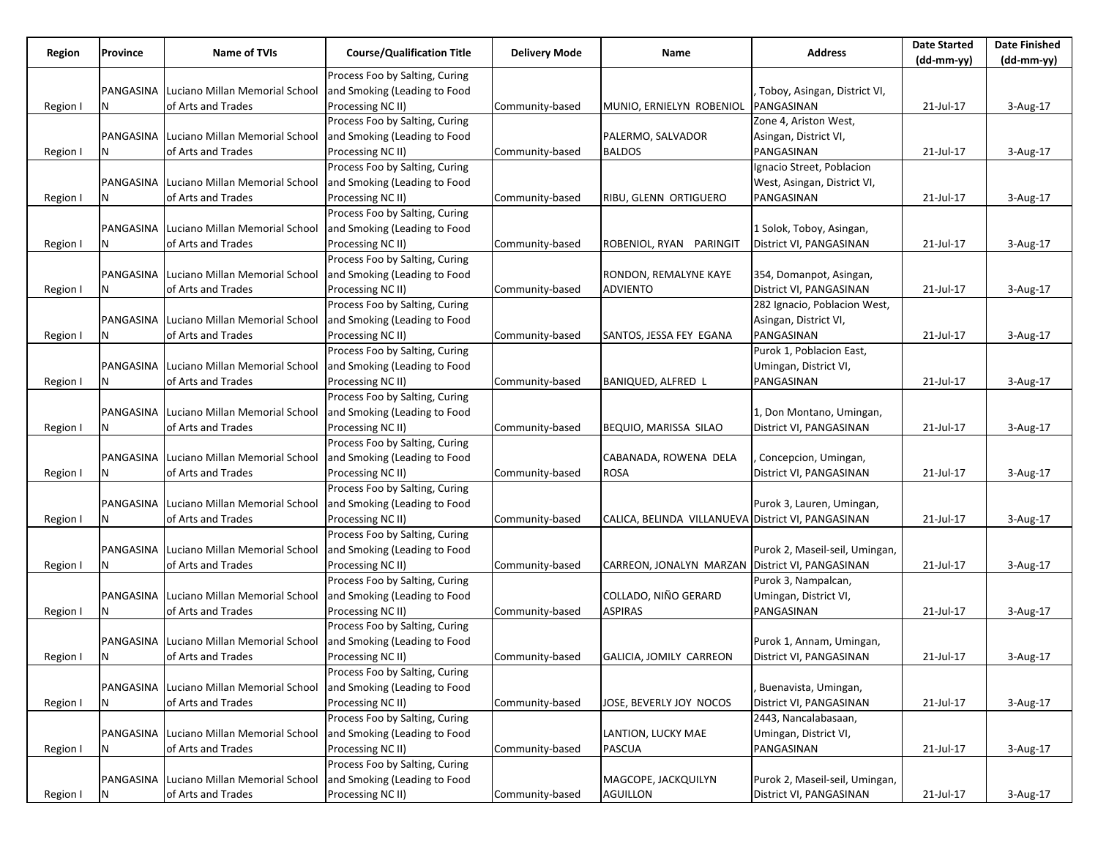|          |           |                                          |                                   |                      |                                                    |                                     | <b>Date Started</b> | <b>Date Finished</b> |
|----------|-----------|------------------------------------------|-----------------------------------|----------------------|----------------------------------------------------|-------------------------------------|---------------------|----------------------|
| Region   | Province  | Name of TVIs                             | <b>Course/Qualification Title</b> | <b>Delivery Mode</b> | Name                                               | <b>Address</b>                      | $(dd-mm-yy)$        | $(dd-mm-yy)$         |
|          |           |                                          | Process Foo by Salting, Curing    |                      |                                                    |                                     |                     |                      |
|          | PANGASINA | Luciano Millan Memorial School           | and Smoking (Leading to Food      |                      |                                                    | Toboy, Asingan, District VI,        |                     |                      |
| Region I | N         | of Arts and Trades                       | Processing NC II)                 | Community-based      | MUNIO, ERNIELYN ROBENIOL                           | PANGASINAN                          | 21-Jul-17           | 3-Aug-17             |
|          |           |                                          | Process Foo by Salting, Curing    |                      |                                                    | Zone 4, Ariston West,               |                     |                      |
|          |           | PANGASINA Luciano Millan Memorial School | and Smoking (Leading to Food      |                      | PALERMO, SALVADOR                                  | Asingan, District VI,               |                     |                      |
| Region I |           | of Arts and Trades                       | Processing NC II)                 | Community-based      | <b>BALDOS</b>                                      | PANGASINAN                          | 21-Jul-17           | 3-Aug-17             |
|          |           |                                          | Process Foo by Salting, Curing    |                      |                                                    | Ignacio Street, Poblacion           |                     |                      |
|          |           | PANGASINA Luciano Millan Memorial School | and Smoking (Leading to Food      |                      |                                                    | West, Asingan, District VI,         |                     |                      |
| Region I | N         | of Arts and Trades                       | Processing NC II)                 | Community-based      | RIBU, GLENN ORTIGUERO                              | PANGASINAN                          | 21-Jul-17           | 3-Aug-17             |
|          |           |                                          | Process Foo by Salting, Curing    |                      |                                                    |                                     |                     |                      |
|          |           | PANGASINA Luciano Millan Memorial School | and Smoking (Leading to Food      |                      |                                                    | 1 Solok, Toboy, Asingan,            |                     |                      |
| Region I |           | of Arts and Trades                       | Processing NC II)                 | Community-based      | ROBENIOL, RYAN PARINGIT                            | District VI, PANGASINAN             | 21-Jul-17           | 3-Aug-17             |
|          |           |                                          | Process Foo by Salting, Curing    |                      |                                                    |                                     |                     |                      |
|          |           | PANGASINA Luciano Millan Memorial School | and Smoking (Leading to Food      |                      | RONDON, REMALYNE KAYE                              | 354, Domanpot, Asingan,             |                     |                      |
| Region I | N         | of Arts and Trades                       | Processing NC II)                 | Community-based      | ADVIENTO                                           | District VI, PANGASINAN             | 21-Jul-17           | 3-Aug-17             |
|          |           |                                          | Process Foo by Salting, Curing    |                      |                                                    | 282 Ignacio, Poblacion West,        |                     |                      |
|          |           | PANGASINA Luciano Millan Memorial School | and Smoking (Leading to Food      |                      |                                                    | Asingan, District VI,               |                     |                      |
| Region I | N         | of Arts and Trades                       | Processing NC II)                 | Community-based      | SANTOS, JESSA FEY EGANA                            | PANGASINAN                          | 21-Jul-17           | $3-Aug-17$           |
|          |           |                                          | Process Foo by Salting, Curing    |                      |                                                    | Purok 1, Poblacion East,            |                     |                      |
|          |           | PANGASINA Luciano Millan Memorial School | and Smoking (Leading to Food      |                      |                                                    |                                     |                     |                      |
|          |           |                                          |                                   |                      |                                                    | Umingan, District VI,<br>PANGASINAN |                     |                      |
| Region I | Ν         | of Arts and Trades                       | Processing NC II)                 | Community-based      | BANIQUED, ALFRED L                                 |                                     | 21-Jul-17           | 3-Aug-17             |
|          |           |                                          | Process Foo by Salting, Curing    |                      |                                                    |                                     |                     |                      |
|          | PANGASINA | Luciano Millan Memorial School           | and Smoking (Leading to Food      |                      |                                                    | 1, Don Montano, Umingan,            |                     |                      |
| Region I | N         | of Arts and Trades                       | Processing NC II)                 | Community-based      | BEQUIO, MARISSA SILAO                              | District VI, PANGASINAN             | 21-Jul-17           | 3-Aug-17             |
|          |           |                                          | Process Foo by Salting, Curing    |                      |                                                    |                                     |                     |                      |
|          |           | PANGASINA Luciano Millan Memorial School | and Smoking (Leading to Food      |                      | CABANADA, ROWENA DELA                              | Concepcion, Umingan,                |                     |                      |
| Region I | Ν         | of Arts and Trades                       | Processing NC II)                 | Community-based      | <b>ROSA</b>                                        | District VI, PANGASINAN             | 21-Jul-17           | 3-Aug-17             |
|          |           |                                          | Process Foo by Salting, Curing    |                      |                                                    |                                     |                     |                      |
|          |           | PANGASINA Luciano Millan Memorial School | and Smoking (Leading to Food      |                      |                                                    | Purok 3, Lauren, Umingan,           |                     |                      |
| Region I |           | of Arts and Trades                       | Processing NC II)                 | Community-based      | CALICA, BELINDA VILLANUEVA District VI, PANGASINAN |                                     | 21-Jul-17           | 3-Aug-17             |
|          |           |                                          | Process Foo by Salting, Curing    |                      |                                                    |                                     |                     |                      |
|          |           | PANGASINA Luciano Millan Memorial School | and Smoking (Leading to Food      |                      |                                                    | Purok 2, Maseil-seil, Umingan,      |                     |                      |
| Region I | N         | of Arts and Trades                       | Processing NC II)                 | Community-based      | CARREON, JONALYN MARZAN District VI, PANGASINAN    |                                     | 21-Jul-17           | 3-Aug-17             |
|          |           |                                          | Process Foo by Salting, Curing    |                      |                                                    | Purok 3, Nampalcan,                 |                     |                      |
|          |           | PANGASINA Luciano Millan Memorial School | and Smoking (Leading to Food      |                      | COLLADO, NIÑO GERARD                               | Umingan, District VI,               |                     |                      |
| Region I | N         | of Arts and Trades                       | Processing NC II)                 | Community-based      | ASPIRAS                                            | PANGASINAN                          | 21-Jul-17           | 3-Aug-17             |
|          |           |                                          | Process Foo by Salting, Curing    |                      |                                                    |                                     |                     |                      |
|          |           | PANGASINA Luciano Millan Memorial School | and Smoking (Leading to Food      |                      |                                                    | Purok 1, Annam, Umingan,            |                     |                      |
| Region I | N         | of Arts and Trades                       | Processing NC II)                 | Community-based      | GALICIA, JOMILY CARREON                            | District VI, PANGASINAN             | 21-Jul-17           | 3-Aug-17             |
|          |           |                                          | Process Foo by Salting, Curing    |                      |                                                    |                                     |                     |                      |
|          |           | PANGASINA Luciano Millan Memorial School | and Smoking (Leading to Food      |                      |                                                    | Buenavista, Umingan,                |                     |                      |
| Region I | N         | of Arts and Trades                       | Processing NC II)                 | Community-based      | JOSE, BEVERLY JOY NOCOS                            | District VI, PANGASINAN             | 21-Jul-17           | 3-Aug-17             |
|          |           |                                          | Process Foo by Salting, Curing    |                      |                                                    | 2443, Nancalabasaan,                |                     |                      |
|          |           | PANGASINA Luciano Millan Memorial School | and Smoking (Leading to Food      |                      | LANTION, LUCKY MAE                                 | Umingan, District VI,               |                     |                      |
| Region I | Ν         | of Arts and Trades                       | Processing NC II)                 | Community-based      | <b>PASCUA</b>                                      | PANGASINAN                          | 21-Jul-17           | 3-Aug-17             |
|          |           |                                          | Process Foo by Salting, Curing    |                      |                                                    |                                     |                     |                      |
|          | PANGASINA | Luciano Millan Memorial School           | and Smoking (Leading to Food      |                      | MAGCOPE, JACKQUILYN                                | Purok 2, Maseil-seil, Umingan,      |                     |                      |
| Region I | N         | of Arts and Trades                       | Processing NC II)                 | Community-based      | AGUILLON                                           | District VI, PANGASINAN             | 21-Jul-17           | 3-Aug-17             |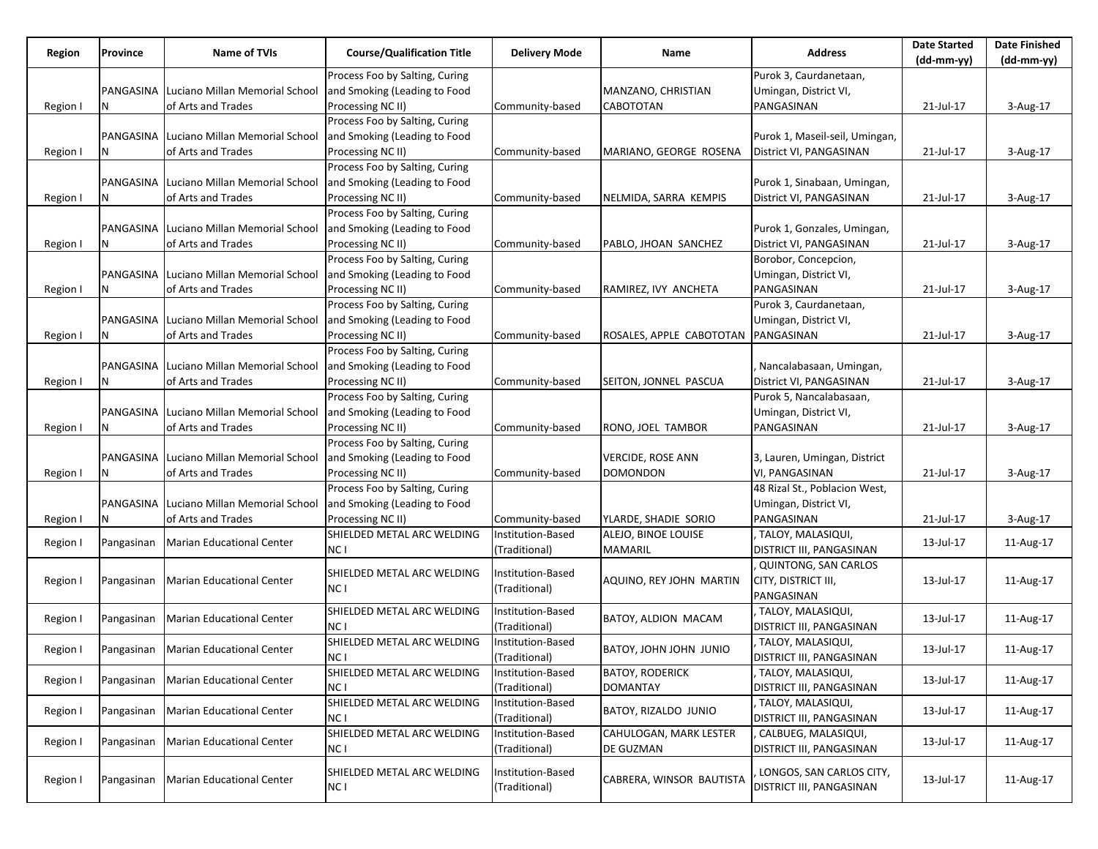| Region   | <b>Province</b> | <b>Name of TVIs</b>                      | <b>Course/Qualification Title</b> | <b>Delivery Mode</b> | Name                     | <b>Address</b>                  | <b>Date Started</b><br>$(dd-mm-yy)$ | <b>Date Finished</b><br>(dd-mm-yy) |
|----------|-----------------|------------------------------------------|-----------------------------------|----------------------|--------------------------|---------------------------------|-------------------------------------|------------------------------------|
|          |                 |                                          | Process Foo by Salting, Curing    |                      |                          | Purok 3, Caurdanetaan,          |                                     |                                    |
|          | PANGASINA       | Luciano Millan Memorial School           | and Smoking (Leading to Food      |                      | MANZANO, CHRISTIAN       | Umingan, District VI,           |                                     |                                    |
| Region I | N               | of Arts and Trades                       | Processing NC II)                 | Community-based      | CABOTOTAN                | PANGASINAN                      | 21-Jul-17                           | 3-Aug-17                           |
|          |                 |                                          | Process Foo by Salting, Curing    |                      |                          |                                 |                                     |                                    |
|          |                 | PANGASINA Luciano Millan Memorial School | and Smoking (Leading to Food      |                      |                          | Purok 1, Maseil-seil, Umingan,  |                                     |                                    |
| Region I | N               | of Arts and Trades                       | Processing NC II)                 | Community-based      | MARIANO, GEORGE ROSENA   | District VI, PANGASINAN         | 21-Jul-17                           | 3-Aug-17                           |
|          |                 |                                          | Process Foo by Salting, Curing    |                      |                          |                                 |                                     |                                    |
|          |                 | PANGASINA Luciano Millan Memorial School | and Smoking (Leading to Food      |                      |                          | Purok 1, Sinabaan, Umingan,     |                                     |                                    |
| Region I | Ν               | of Arts and Trades                       | Processing NC II)                 | Community-based      | NELMIDA, SARRA KEMPIS    | District VI, PANGASINAN         | 21-Jul-17                           | 3-Aug-17                           |
|          |                 |                                          | Process Foo by Salting, Curing    |                      |                          |                                 |                                     |                                    |
|          |                 | PANGASINA Luciano Millan Memorial School | and Smoking (Leading to Food      |                      |                          | Purok 1, Gonzales, Umingan,     |                                     |                                    |
| Region I | N               | of Arts and Trades                       | Processing NC II)                 | Community-based      | PABLO, JHOAN SANCHEZ     | District VI, PANGASINAN         | 21-Jul-17                           | 3-Aug-17                           |
|          |                 |                                          | Process Foo by Salting, Curing    |                      |                          | Borobor, Concepcion,            |                                     |                                    |
|          |                 | PANGASINA Luciano Millan Memorial School | and Smoking (Leading to Food      |                      |                          | Umingan, District VI,           |                                     |                                    |
|          | Ν               | of Arts and Trades                       | Processing NC II)                 |                      | RAMIREZ, IVY ANCHETA     | PANGASINAN                      | 21-Jul-17                           |                                    |
| Region I |                 |                                          |                                   | Community-based      |                          |                                 |                                     | 3-Aug-17                           |
|          |                 |                                          | Process Foo by Salting, Curing    |                      |                          | Purok 3, Caurdanetaan,          |                                     |                                    |
|          |                 | PANGASINA Luciano Millan Memorial School | and Smoking (Leading to Food      |                      |                          | Umingan, District VI,           |                                     |                                    |
| Region I |                 | of Arts and Trades                       | Processing NC II)                 | Community-based      | ROSALES, APPLE CABOTOTAN | PANGASINAN                      | 21-Jul-17                           | 3-Aug-17                           |
|          |                 |                                          | Process Foo by Salting, Curing    |                      |                          |                                 |                                     |                                    |
|          |                 | PANGASINA Luciano Millan Memorial School | and Smoking (Leading to Food      |                      |                          | Nancalabasaan, Umingan,         |                                     |                                    |
| Region I | N               | of Arts and Trades                       | Processing NC II)                 | Community-based      | SEITON, JONNEL PASCUA    | District VI, PANGASINAN         | 21-Jul-17                           | 3-Aug-17                           |
|          |                 |                                          | Process Foo by Salting, Curing    |                      |                          | Purok 5, Nancalabasaan,         |                                     |                                    |
|          |                 | PANGASINA Luciano Millan Memorial School | and Smoking (Leading to Food      |                      |                          | Umingan, District VI,           |                                     |                                    |
| Region I | N               | of Arts and Trades                       | Processing NC II)                 | Community-based      | RONO, JOEL TAMBOR        | PANGASINAN                      | 21-Jul-17                           | 3-Aug-17                           |
|          |                 |                                          | Process Foo by Salting, Curing    |                      |                          |                                 |                                     |                                    |
|          |                 | PANGASINA Luciano Millan Memorial School | and Smoking (Leading to Food      |                      | <b>VERCIDE, ROSE ANN</b> | 3, Lauren, Umingan, District    |                                     |                                    |
| Region I | N               | of Arts and Trades                       | Processing NC II)                 | Community-based      | <b>DOMONDON</b>          | VI, PANGASINAN                  | 21-Jul-17                           | 3-Aug-17                           |
|          |                 |                                          | Process Foo by Salting, Curing    |                      |                          | 48 Rizal St., Poblacion West,   |                                     |                                    |
|          |                 | PANGASINA Luciano Millan Memorial School | and Smoking (Leading to Food      |                      |                          | Umingan, District VI,           |                                     |                                    |
| Region I | N               | of Arts and Trades                       | Processing NC II)                 | Community-based      | YLARDE, SHADIE SORIO     | PANGASINAN                      | 21-Jul-17                           | 3-Aug-17                           |
| Region I | Pangasinan      | Marian Educational Center                | SHIELDED METAL ARC WELDING        | Institution-Based    | ALEJO, BINOE LOUISE      | TALOY, MALASIQUI,               | 13-Jul-17                           | 11-Aug-17                          |
|          |                 |                                          | NC I                              | (Traditional)        | MAMARIL                  | <b>DISTRICT III, PANGASINAN</b> |                                     |                                    |
|          |                 |                                          | SHIELDED METAL ARC WELDING        | Institution-Based    |                          | <b>QUINTONG, SAN CARLOS</b>     |                                     |                                    |
| Region I | Pangasinan      | Marian Educational Center                | NC I                              | (Traditional)        | AQUINO, REY JOHN MARTIN  | CITY, DISTRICT III,             | 13-Jul-17                           | 11-Aug-17                          |
|          |                 |                                          |                                   |                      |                          | PANGASINAN                      |                                     |                                    |
| Region I | Pangasinan      | <b>Marian Educational Center</b>         | SHIELDED METAL ARC WELDING        | Institution-Based    | BATOY, ALDION MACAM      | TALOY, MALASIQUI,               | 13-Jul-17                           | 11-Aug-17                          |
|          |                 |                                          | NC I                              | (Traditional)        |                          | <b>DISTRICT III, PANGASINAN</b> |                                     |                                    |
| Region I |                 | Pangasinan Marian Educational Center     | SHIELDED METAL ARC WELDING        | Institution-Based    | BATOY, JOHN JOHN JUNIO   | TALOY, MALASIQUI,               | 13-Jul-17                           | 11-Aug-17                          |
|          |                 |                                          | NC L                              | (Traditional)        |                          | DISTRICT III, PANGASINAN        |                                     |                                    |
| Region I | Pangasinan      | Marian Educational Center                | SHIELDED METAL ARC WELDING        | Institution-Based    | <b>BATOY, RODERICK</b>   | TALOY, MALASIQUI,               | 13-Jul-17                           | 11-Aug-17                          |
|          |                 |                                          | NC I                              | (Traditional)        | <b>DOMANTAY</b>          | <b>DISTRICT III, PANGASINAN</b> |                                     |                                    |
| Region I | Pangasinan      | <b>Marian Educational Center</b>         | SHIELDED METAL ARC WELDING        | Institution-Based    | BATOY, RIZALDO JUNIO     | TALOY, MALASIQUI,               | 13-Jul-17                           | 11-Aug-17                          |
|          |                 |                                          | NC I                              | (Traditional)        |                          | <b>DISTRICT III, PANGASINAN</b> |                                     |                                    |
| Region I | Pangasinan      | Marian Educational Center                | SHIELDED METAL ARC WELDING        | Institution-Based    | CAHULOGAN, MARK LESTER   | CALBUEG, MALASIQUI,             | 13-Jul-17                           | 11-Aug-17                          |
|          |                 |                                          | NC I                              | (Traditional)        | DE GUZMAN                | <b>DISTRICT III, PANGASINAN</b> |                                     |                                    |
|          |                 |                                          | SHIELDED METAL ARC WELDING        | Institution-Based    |                          | LONGOS, SAN CARLOS CITY,        |                                     |                                    |
| Region I | Pangasinan      | Marian Educational Center                | NC I                              | (Traditional)        | CABRERA, WINSOR BAUTISTA | DISTRICT III, PANGASINAN        | 13-Jul-17                           | 11-Aug-17                          |
|          |                 |                                          |                                   |                      |                          |                                 |                                     |                                    |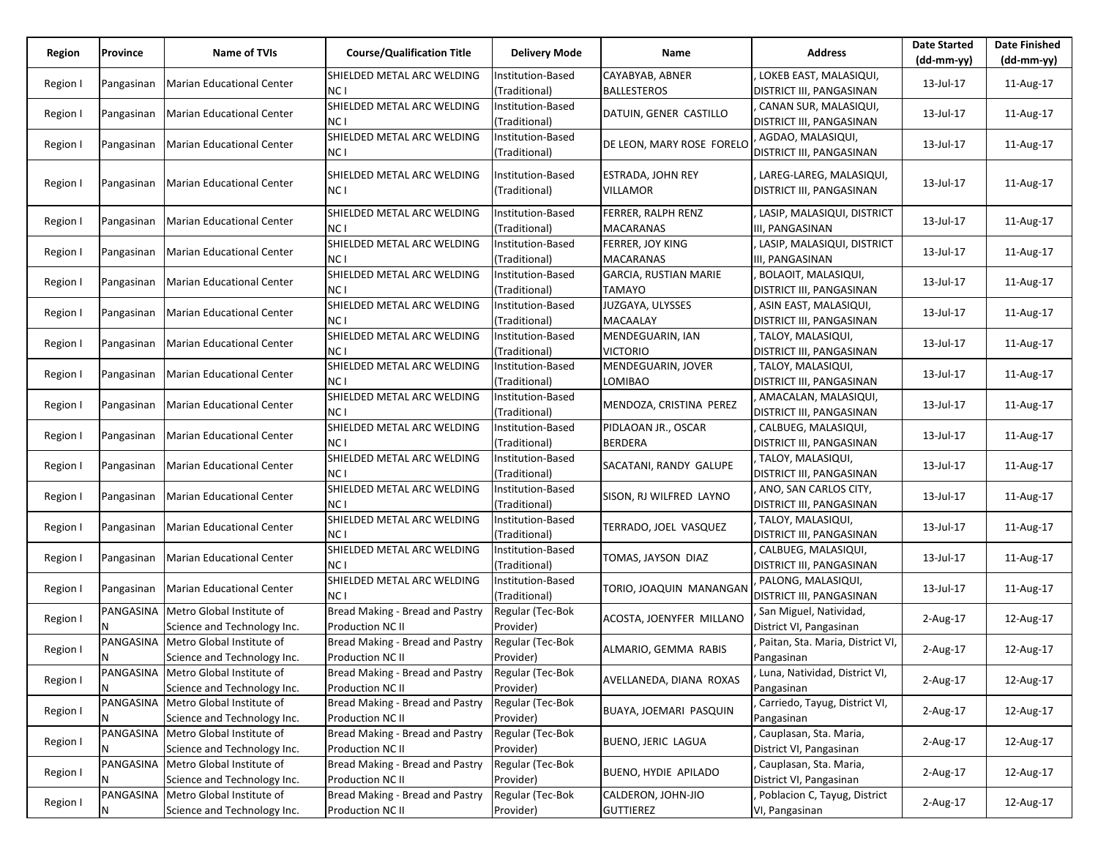| Region   | Province   | Name of TVIs                                                         | <b>Course/Qualification Title</b>                   | <b>Delivery Mode</b>               | Name                                   | <b>Address</b>                                             | <b>Date Started</b><br>(dd-mm-yy) | <b>Date Finished</b><br>(dd-mm-yy) |
|----------|------------|----------------------------------------------------------------------|-----------------------------------------------------|------------------------------------|----------------------------------------|------------------------------------------------------------|-----------------------------------|------------------------------------|
| Region I | Pangasinan | Marian Educational Center                                            | SHIELDED METAL ARC WELDING<br>NC I                  | Institution-Based<br>(Traditional) | CAYABYAB, ABNER<br><b>BALLESTEROS</b>  | LOKEB EAST, MALASIQUI,<br>DISTRICT III, PANGASINAN         | 13-Jul-17                         | 11-Aug-17                          |
| Region I | Pangasinan | Marian Educational Center                                            | SHIELDED METAL ARC WELDING<br>NC I                  | Institution-Based<br>(Traditional) | DATUIN, GENER CASTILLO                 | CANAN SUR, MALASIQUI,<br><b>DISTRICT III, PANGASINAN</b>   | 13-Jul-17                         | 11-Aug-17                          |
| Region I |            | Pangasinan Marian Educational Center                                 | SHIELDED METAL ARC WELDING<br>NC I                  | Institution-Based<br>(Traditional) | DE LEON, MARY ROSE FORELO              | AGDAO, MALASIQUI,<br><b>DISTRICT III, PANGASINAN</b>       | 13-Jul-17                         | 11-Aug-17                          |
| Region I | Pangasinan | Marian Educational Center                                            | SHIELDED METAL ARC WELDING<br>NC I                  | Institution-Based<br>(Traditional) | ESTRADA, JOHN REY<br><b>VILLAMOR</b>   | LAREG-LAREG, MALASIQUI,<br><b>DISTRICT III, PANGASINAN</b> | 13-Jul-17                         | 11-Aug-17                          |
| Region I | Pangasinan | Marian Educational Center                                            | SHIELDED METAL ARC WELDING<br>NC I                  | Institution-Based<br>(Traditional) | FERRER, RALPH RENZ<br>MACARANAS        | LASIP, MALASIQUI, DISTRICT<br>III, PANGASINAN              | 13-Jul-17                         | 11-Aug-17                          |
| Region I | Pangasinan | Marian Educational Center                                            | SHIELDED METAL ARC WELDING<br>NC I                  | Institution-Based<br>(Traditional) | FERRER, JOY KING<br><b>MACARANAS</b>   | LASIP, MALASIQUI, DISTRICT<br>III, PANGASINAN              | 13-Jul-17                         | 11-Aug-17                          |
| Region I | Pangasinan | Marian Educational Center                                            | SHIELDED METAL ARC WELDING<br>NC I                  | Institution-Based<br>(Traditional) | <b>GARCIA, RUSTIAN MARIE</b><br>TAMAYO | BOLAOIT, MALASIQUI,<br><b>DISTRICT III, PANGASINAN</b>     | 13-Jul-17                         | 11-Aug-17                          |
| Region I | Pangasinan | Marian Educational Center                                            | SHIELDED METAL ARC WELDING<br>NC I                  | Institution-Based<br>(Traditional) | JUZGAYA, ULYSSES<br>MACAALAY           | ASIN EAST, MALASIQUI,<br>DISTRICT III, PANGASINAN          | 13-Jul-17                         | 11-Aug-17                          |
| Region I |            | Pangasinan   Marian Educational Center                               | SHIELDED METAL ARC WELDING<br>NC I                  | Institution-Based<br>(Traditional) | MENDEGUARIN, IAN<br>VICTORIO           | , TALOY, MALASIQUI,<br>DISTRICT III, PANGASINAN            | 13-Jul-17                         | 11-Aug-17                          |
| Region I | Pangasinan | Marian Educational Center                                            | SHIELDED METAL ARC WELDING<br>NC I                  | Institution-Based<br>(Traditional) | MENDEGUARIN, JOVER<br>LOMIBAO          | , TALOY, MALASIQUI,<br>DISTRICT III, PANGASINAN            | 13-Jul-17                         | 11-Aug-17                          |
| Region I | Pangasinan | Marian Educational Center                                            | SHIELDED METAL ARC WELDING<br>NC I                  | Institution-Based<br>(Traditional) | MENDOZA, CRISTINA PEREZ                | AMACALAN, MALASIQUI,<br>DISTRICT III, PANGASINAN           | 13-Jul-17                         | 11-Aug-17                          |
| Region I | Pangasinan | Marian Educational Center                                            | SHIELDED METAL ARC WELDING<br>NC I                  | Institution-Based<br>(Traditional) | PIDLAOAN JR., OSCAR<br><b>BERDERA</b>  | CALBUEG, MALASIQUI,<br><b>DISTRICT III, PANGASINAN</b>     | 13-Jul-17                         | 11-Aug-17                          |
| Region I | Pangasinan | Marian Educational Center                                            | SHIELDED METAL ARC WELDING<br>NC I                  | Institution-Based<br>(Traditional) | SACATANI, RANDY GALUPE                 | , TALOY, MALASIQUI,<br><b>DISTRICT III, PANGASINAN</b>     | 13-Jul-17                         | 11-Aug-17                          |
| Region I | Pangasinan | Marian Educational Center                                            | SHIELDED METAL ARC WELDING<br>NC I                  | Institution-Based<br>(Traditional) | SISON, RJ WILFRED LAYNO                | ANO, SAN CARLOS CITY,<br><b>DISTRICT III, PANGASINAN</b>   | 13-Jul-17                         | 11-Aug-17                          |
| Region I |            | Pangasinan Marian Educational Center                                 | SHIELDED METAL ARC WELDING<br>NC I                  | Institution-Based<br>(Traditional) | TERRADO, JOEL VASQUEZ                  | TALOY, MALASIQUI,<br><b>DISTRICT III, PANGASINAN</b>       | 13-Jul-17                         | 11-Aug-17                          |
| Region I |            | Pangasinan Marian Educational Center                                 | SHIELDED METAL ARC WELDING<br>NC I                  | Institution-Based<br>(Traditional) | TOMAS, JAYSON DIAZ                     | CALBUEG, MALASIQUI,<br><b>DISTRICT III, PANGASINAN</b>     | 13-Jul-17                         | 11-Aug-17                          |
| Region I | Pangasinan | Marian Educational Center                                            | SHIELDED METAL ARC WELDING<br>NC I                  | Institution-Based<br>(Traditional) | TORIO, JOAQUIN MANANGAN                | PALONG, MALASIQUI,<br><b>DISTRICT III, PANGASINAN</b>      | 13-Jul-17                         | 11-Aug-17                          |
| Region I |            | PANGASINA   Metro Global Institute of<br>Science and Technology Inc. | Bread Making - Bread and Pastry<br>Production NC II | Regular (Tec-Bok<br>Provider)      | ACOSTA, JOENYFER MILLANO               | San Miguel, Natividad,<br>District VI, Pangasinan          | 2-Aug-17                          | 12-Aug-17                          |
| Region I | N          | PANGASINA Metro Global Institute of<br>Science and Technology Inc.   | Bread Making - Bread and Pastry<br>Production NC II | Regular (Tec-Bok<br>Provider)      | ALMARIO, GEMMA RABIS                   | Paitan, Sta. Maria, District VI,<br>Pangasinan             | 2-Aug-17                          | 12-Aug-17                          |
| Region I | Ν          | PANGASINA   Metro Global Institute of<br>Science and Technology Inc. | Bread Making - Bread and Pastry<br>Production NC II | Regular (Tec-Bok<br>Provider)      | AVELLANEDA, DIANA ROXAS                | Luna, Natividad, District VI,<br>Pangasinan                | 2-Aug-17                          | 12-Aug-17                          |
| Region I | N          | PANGASINA Metro Global Institute of<br>Science and Technology Inc.   | Bread Making - Bread and Pastry<br>Production NC II | Regular (Tec-Bok<br>Provider)      | BUAYA, JOEMARI PASQUIN                 | Carriedo, Tayug, District VI,<br>Pangasinan                | 2-Aug-17                          | 12-Aug-17                          |
| Region I |            | PANGASINA Metro Global Institute of<br>Science and Technology Inc.   | Bread Making - Bread and Pastry<br>Production NC II | Regular (Tec-Bok<br>Provider)      | <b>BUENO, JERIC LAGUA</b>              | Cauplasan, Sta. Maria,<br>District VI, Pangasinan          | 2-Aug-17                          | 12-Aug-17                          |
| Region I |            | PANGASINA Metro Global Institute of<br>Science and Technology Inc.   | Bread Making - Bread and Pastry<br>Production NC II | Regular (Tec-Bok<br>Provider)      | BUENO, HYDIE APILADO                   | Cauplasan, Sta. Maria,<br>District VI, Pangasinan          | 2-Aug-17                          | 12-Aug-17                          |
| Region I | N          | PANGASINA Metro Global Institute of<br>Science and Technology Inc.   | Bread Making - Bread and Pastry<br>Production NC II | Regular (Tec-Bok<br>Provider)      | CALDERON, JOHN-JIO<br><b>GUTTIEREZ</b> | Poblacion C, Tayug, District<br>VI, Pangasinan             | 2-Aug-17                          | 12-Aug-17                          |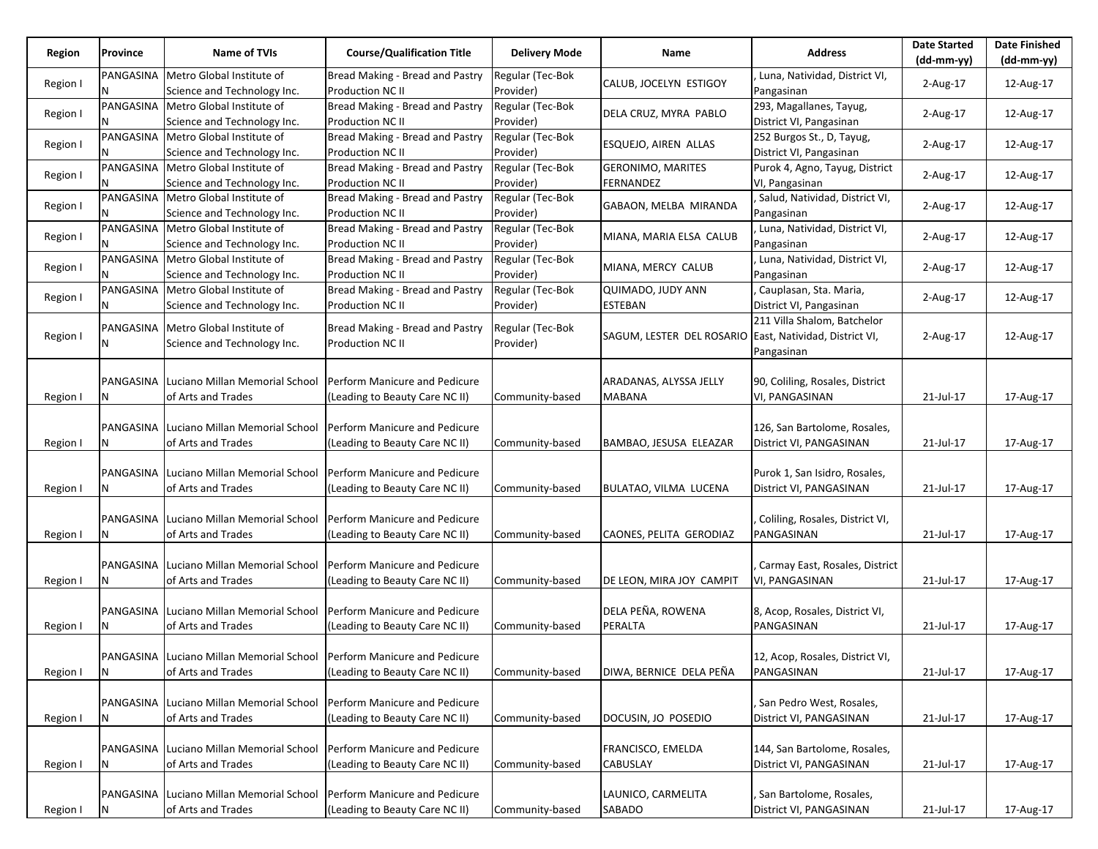| Region   | Province       | Name of TVIs                                                               | <b>Course/Qualification Title</b>                   | <b>Delivery Mode</b>          | Name                                                    | <b>Address</b>                                       | <b>Date Started</b><br>$(dd-mm-vv)$ | <b>Date Finished</b><br>(dd-mm-yy) |
|----------|----------------|----------------------------------------------------------------------------|-----------------------------------------------------|-------------------------------|---------------------------------------------------------|------------------------------------------------------|-------------------------------------|------------------------------------|
|          |                |                                                                            |                                                     |                               |                                                         |                                                      |                                     |                                    |
| Region I | PANGASINA<br>N | Metro Global Institute of<br>Science and Technology Inc.                   | Bread Making - Bread and Pastry<br>Production NC II | Regular (Tec-Bok<br>Provider) | CALUB, JOCELYN ESTIGOY                                  | Luna, Natividad, District VI,<br>Pangasinan          | $2$ -Aug-17                         | 12-Aug-17                          |
| Region I | PANGASINA      | Metro Global Institute of                                                  | Bread Making - Bread and Pastry                     | Regular (Tec-Bok              | DELA CRUZ, MYRA PABLO                                   | 293, Magallanes, Tayug,                              | 2-Aug-17                            | 12-Aug-17                          |
|          |                | Science and Technology Inc.                                                | <b>Production NC II</b>                             | Provider)                     |                                                         | District VI, Pangasinan                              |                                     |                                    |
| Region I |                | PANGASINA   Metro Global Institute of<br>Science and Technology Inc.       | Bread Making - Bread and Pastry<br>Production NC II | Regular (Tec-Bok<br>Provider) | ESQUEJO, AIREN ALLAS                                    | 252 Burgos St., D, Tayug,<br>District VI, Pangasinan | 2-Aug-17                            | 12-Aug-17                          |
| Region I |                | PANGASINA   Metro Global Institute of                                      | Bread Making - Bread and Pastry                     | Regular (Tec-Bok              | <b>GERONIMO, MARITES</b>                                | Purok 4, Agno, Tayug, District                       | 2-Aug-17                            | 12-Aug-17                          |
|          |                | Science and Technology Inc.                                                | Production NC II                                    | Provider)                     | FERNANDEZ                                               | VI, Pangasinan                                       |                                     |                                    |
| Region I | PANGASINA      | Metro Global Institute of<br>Science and Technology Inc.                   | Bread Making - Bread and Pastry<br>Production NC II | Regular (Tec-Bok<br>Provider) | GABAON, MELBA MIRANDA                                   | , Salud, Natividad, District VI,<br>Pangasinan       | $2$ -Aug-17                         | 12-Aug-17                          |
|          |                | PANGASINA Metro Global Institute of                                        | Bread Making - Bread and Pastry                     | Regular (Tec-Bok              |                                                         | Luna, Natividad, District VI,                        |                                     |                                    |
| Region I |                | Science and Technology Inc.                                                | Production NC II                                    | Provider)                     | MIANA, MARIA ELSA CALUB                                 | Pangasinan                                           | 2-Aug-17                            | 12-Aug-17                          |
|          |                | PANGASINA   Metro Global Institute of                                      | Bread Making - Bread and Pastry                     | Regular (Tec-Bok              |                                                         | Luna, Natividad, District VI,                        |                                     |                                    |
| Region I |                | Science and Technology Inc.                                                | <b>Production NC II</b>                             | Provider)                     | MIANA, MERCY CALUB                                      | Pangasinan                                           | $2$ -Aug-17                         | 12-Aug-17                          |
|          |                | PANGASINA Metro Global Institute of                                        | Bread Making - Bread and Pastry                     | Regular (Tec-Bok              | QUIMADO, JUDY ANN                                       | Cauplasan, Sta. Maria,                               |                                     |                                    |
| Region I | N              | Science and Technology Inc.                                                | Production NC II                                    | Provider)                     | <b>ESTEBAN</b>                                          | District VI, Pangasinan                              | $2$ -Aug-17                         | 12-Aug-17                          |
|          |                |                                                                            |                                                     |                               |                                                         | 211 Villa Shalom, Batchelor                          |                                     |                                    |
| Region I |                | PANGASINA   Metro Global Institute of                                      | Bread Making - Bread and Pastry                     | Regular (Tec-Bok              | SAGUM, LESTER DEL ROSARIO East, Natividad, District VI, |                                                      | 2-Aug-17                            | 12-Aug-17                          |
|          | N              | Science and Technology Inc.                                                | Production NC II                                    | Provider)                     |                                                         | Pangasinan                                           |                                     |                                    |
|          |                |                                                                            |                                                     |                               |                                                         |                                                      |                                     |                                    |
|          |                | <b>PANGASINA Luciano Millan Memorial School</b>                            | Perform Manicure and Pedicure                       |                               | ARADANAS, ALYSSA JELLY                                  | 90, Coliling, Rosales, District                      |                                     |                                    |
| Region I | N              | of Arts and Trades                                                         | (Leading to Beauty Care NC II)                      | Community-based               | <b>MABANA</b>                                           | VI, PANGASINAN                                       | 21-Jul-17                           | 17-Aug-17                          |
|          |                |                                                                            |                                                     |                               |                                                         |                                                      |                                     |                                    |
|          |                | PANGASINA Luciano Millan Memorial School                                   | Perform Manicure and Pedicure                       |                               |                                                         | 126, San Bartolome, Rosales,                         |                                     |                                    |
| Region I | N              | of Arts and Trades                                                         | (Leading to Beauty Care NC II)                      | Community-based               | BAMBAO, JESUSA ELEAZAR                                  | District VI, PANGASINAN                              | 21-Jul-17                           | 17-Aug-17                          |
|          |                |                                                                            |                                                     |                               |                                                         |                                                      |                                     |                                    |
|          |                | PANGASINA Luciano Millan Memorial School                                   | Perform Manicure and Pedicure                       |                               |                                                         | Purok 1, San Isidro, Rosales,                        |                                     |                                    |
| Region I | N              | of Arts and Trades                                                         | (Leading to Beauty Care NC II)                      | Community-based               | BULATAO, VILMA LUCENA                                   | District VI, PANGASINAN                              | 21-Jul-17                           | 17-Aug-17                          |
|          |                |                                                                            |                                                     |                               |                                                         |                                                      |                                     |                                    |
|          |                | <b>PANGASINA Luciano Millan Memorial School</b>                            | Perform Manicure and Pedicure                       |                               |                                                         | Coliling, Rosales, District VI,                      |                                     |                                    |
| Region I | N              | of Arts and Trades                                                         | (Leading to Beauty Care NC II)                      | Community-based               | CAONES, PELITA GERODIAZ                                 | PANGASINAN                                           | 21-Jul-17                           | 17-Aug-17                          |
|          |                |                                                                            |                                                     |                               |                                                         |                                                      |                                     |                                    |
|          |                | PANGASINA Luciano Millan Memorial School                                   | Perform Manicure and Pedicure                       |                               |                                                         | Carmay East, Rosales, District                       |                                     |                                    |
| Region I | N              | of Arts and Trades                                                         | (Leading to Beauty Care NC II)                      | Community-based               | DE LEON, MIRA JOY CAMPIT                                | VI, PANGASINAN                                       | 21-Jul-17                           | 17-Aug-17                          |
|          |                |                                                                            |                                                     |                               |                                                         |                                                      |                                     |                                    |
|          |                | PANGASINA Luciano Millan Memorial School                                   | Perform Manicure and Pedicure                       |                               | DELA PEÑA, ROWENA                                       | 8, Acop, Rosales, District VI,                       |                                     |                                    |
| Region I | N              | of Arts and Trades                                                         | (Leading to Beauty Care NC II)                      | Community-based               | PERALTA                                                 | PANGASINAN                                           | 21-Jul-17                           | 17-Aug-17                          |
|          |                |                                                                            |                                                     |                               |                                                         |                                                      |                                     |                                    |
|          |                | PANGASINA   Luciano Millan Memorial School   Perform Manicure and Pedicure |                                                     |                               |                                                         | 12, Acop, Rosales, District VI,                      |                                     |                                    |
| Region I | N              | of Arts and Trades                                                         | (Leading to Beauty Care NC II)                      | Community-based               | DIWA, BERNICE DELA PEÑA                                 | PANGASINAN                                           | 21-Jul-17                           | 17-Aug-17                          |
|          |                |                                                                            |                                                     |                               |                                                         |                                                      |                                     |                                    |
|          |                | PANGASINA Luciano Millan Memorial School                                   | Perform Manicure and Pedicure                       |                               |                                                         | , San Pedro West, Rosales,                           |                                     |                                    |
| Region I | N              | of Arts and Trades                                                         | (Leading to Beauty Care NC II)                      | Community-based               | DOCUSIN, JO POSEDIO                                     | District VI, PANGASINAN                              | 21-Jul-17                           | 17-Aug-17                          |
|          |                |                                                                            |                                                     |                               |                                                         |                                                      |                                     |                                    |
|          |                | PANGASINA Luciano Millan Memorial School                                   | Perform Manicure and Pedicure                       |                               | <b>FRANCISCO, EMELDA</b>                                | 144, San Bartolome, Rosales,                         |                                     |                                    |
| Region I | N              | of Arts and Trades                                                         | (Leading to Beauty Care NC II)                      | Community-based               | <b>CABUSLAY</b>                                         | District VI, PANGASINAN                              | 21-Jul-17                           | 17-Aug-17                          |
|          |                |                                                                            |                                                     |                               |                                                         |                                                      |                                     |                                    |
|          |                | PANGASINA Luciano Millan Memorial School                                   | Perform Manicure and Pedicure                       |                               | LAUNICO, CARMELITA                                      | San Bartolome, Rosales,                              |                                     |                                    |
| Region I | N              | of Arts and Trades                                                         | (Leading to Beauty Care NC II)                      | Community-based               | SABADO                                                  | District VI, PANGASINAN                              | 21-Jul-17                           | 17-Aug-17                          |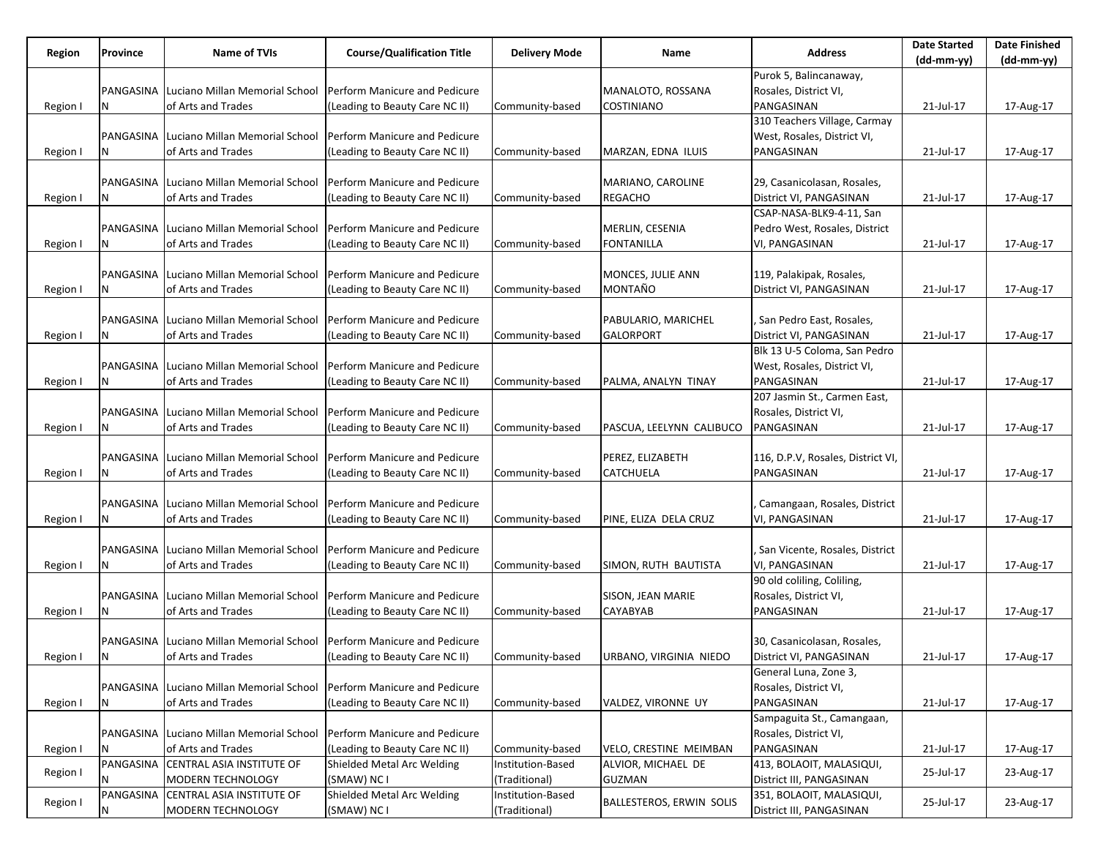| Region   | Province  | <b>Name of TVIs</b>                      | <b>Course/Qualification Title</b> | <b>Delivery Mode</b> | Name                            | <b>Address</b>                    | <b>Date Started</b><br>$(dd-mm-yy)$ | <b>Date Finished</b><br>$(dd-mm-yy)$ |
|----------|-----------|------------------------------------------|-----------------------------------|----------------------|---------------------------------|-----------------------------------|-------------------------------------|--------------------------------------|
|          |           |                                          |                                   |                      |                                 | Purok 5, Balincanaway,            |                                     |                                      |
|          | PANGASINA | Luciano Millan Memorial School           | Perform Manicure and Pedicure     |                      | MANALOTO, ROSSANA               | Rosales, District VI,             |                                     |                                      |
| Region I | N         | of Arts and Trades                       | (Leading to Beauty Care NC II)    | Community-based      | <b>COSTINIANO</b>               | PANGASINAN                        | 21-Jul-17                           | 17-Aug-17                            |
|          |           |                                          |                                   |                      |                                 | 310 Teachers Village, Carmay      |                                     |                                      |
|          | PANGASINA | Luciano Millan Memorial School           | Perform Manicure and Pedicure     |                      |                                 | West, Rosales, District VI,       |                                     |                                      |
|          |           |                                          |                                   |                      |                                 |                                   |                                     |                                      |
| Region I |           | of Arts and Trades                       | (Leading to Beauty Care NC II)    | Community-based      | MARZAN, EDNA ILUIS              | PANGASINAN                        | 21-Jul-17                           | 17-Aug-17                            |
|          |           |                                          |                                   |                      |                                 |                                   |                                     |                                      |
|          | PANGASINA | Luciano Millan Memorial School           | Perform Manicure and Pedicure     |                      | MARIANO, CAROLINE               | 29, Casanicolasan, Rosales,       |                                     |                                      |
| Region I | Ν         | of Arts and Trades                       | (Leading to Beauty Care NC II)    | Community-based      | <b>REGACHO</b>                  | District VI, PANGASINAN           | 21-Jul-17                           | 17-Aug-17                            |
|          |           |                                          |                                   |                      |                                 | CSAP-NASA-BLK9-4-11, San          |                                     |                                      |
|          | PANGASINA | Luciano Millan Memorial School           | Perform Manicure and Pedicure     |                      | MERLIN, CESENIA                 | Pedro West, Rosales, District     |                                     |                                      |
| Region I |           | of Arts and Trades                       | (Leading to Beauty Care NC II)    | Community-based      | <b>FONTANILLA</b>               | VI, PANGASINAN                    | 21-Jul-17                           | 17-Aug-17                            |
|          |           |                                          |                                   |                      |                                 |                                   |                                     |                                      |
|          | PANGASINA | Luciano Millan Memorial School           | Perform Manicure and Pedicure     |                      | MONCES, JULIE ANN               | 119, Palakipak, Rosales,          |                                     |                                      |
| Region I | N         | of Arts and Trades                       | (Leading to Beauty Care NC II)    | Community-based      | MONTAÑO                         | District VI, PANGASINAN           | 21-Jul-17                           | 17-Aug-17                            |
|          |           |                                          |                                   |                      |                                 |                                   |                                     |                                      |
|          |           | PANGASINA Luciano Millan Memorial School | Perform Manicure and Pedicure     |                      | PABULARIO, MARICHEL             | , San Pedro East, Rosales,        |                                     |                                      |
| Region I | N         | of Arts and Trades                       | (Leading to Beauty Care NC II)    | Community-based      | <b>GALORPORT</b>                | District VI, PANGASINAN           | 21-Jul-17                           | 17-Aug-17                            |
|          |           |                                          |                                   |                      |                                 | Blk 13 U-5 Coloma, San Pedro      |                                     |                                      |
|          | PANGASINA | Luciano Millan Memorial School           | Perform Manicure and Pedicure     |                      |                                 | West, Rosales, District VI,       |                                     |                                      |
|          | Ν         | of Arts and Trades                       | (Leading to Beauty Care NC II)    |                      | PALMA, ANALYN TINAY             | PANGASINAN                        | 21-Jul-17                           |                                      |
| Region I |           |                                          |                                   | Community-based      |                                 |                                   |                                     | 17-Aug-17                            |
|          |           |                                          |                                   |                      |                                 | 207 Jasmin St., Carmen East,      |                                     |                                      |
|          | PANGASINA | Luciano Millan Memorial School           | Perform Manicure and Pedicure     |                      |                                 | Rosales, District VI,             |                                     |                                      |
| Region I |           | of Arts and Trades                       | (Leading to Beauty Care NC II)    | Community-based      | PASCUA, LEELYNN CALIBUCO        | PANGASINAN                        | 21-Jul-17                           | 17-Aug-17                            |
|          |           |                                          |                                   |                      |                                 |                                   |                                     |                                      |
|          | PANGASINA | Luciano Millan Memorial School           | Perform Manicure and Pedicure     |                      | PEREZ, ELIZABETH                | 116, D.P.V, Rosales, District VI, |                                     |                                      |
| Region I | Ν         | of Arts and Trades                       | (Leading to Beauty Care NC II)    | Community-based      | <b>CATCHUELA</b>                | PANGASINAN                        | 21-Jul-17                           | 17-Aug-17                            |
|          |           |                                          |                                   |                      |                                 |                                   |                                     |                                      |
|          | PANGASINA | Luciano Millan Memorial School           | Perform Manicure and Pedicure     |                      |                                 | Camangaan, Rosales, District      |                                     |                                      |
| Region I |           | of Arts and Trades                       | (Leading to Beauty Care NC II)    | Community-based      | PINE, ELIZA DELA CRUZ           | VI, PANGASINAN                    | 21-Jul-17                           | 17-Aug-17                            |
|          |           |                                          |                                   |                      |                                 |                                   |                                     |                                      |
|          | PANGASINA | Luciano Millan Memorial School           | Perform Manicure and Pedicure     |                      |                                 | , San Vicente, Rosales, District  |                                     |                                      |
| Region I | N         | of Arts and Trades                       | (Leading to Beauty Care NC II)    | Community-based      | SIMON, RUTH BAUTISTA            | VI, PANGASINAN                    | 21-Jul-17                           | 17-Aug-17                            |
|          |           |                                          |                                   |                      |                                 | 90 old coliling, Coliling,        |                                     |                                      |
|          | PANGASINA | Luciano Millan Memorial School           | Perform Manicure and Pedicure     |                      | <b>SISON, JEAN MARIE</b>        | Rosales, District VI,             |                                     |                                      |
| Region I | N         | of Arts and Trades                       | (Leading to Beauty Care NC II)    | Community-based      | <b>CAYABYAB</b>                 | PANGASINAN                        | 21-Jul-17                           | 17-Aug-17                            |
|          |           |                                          |                                   |                      |                                 |                                   |                                     |                                      |
|          |           | PANGASINA Luciano Millan Memorial School | Perform Manicure and Pedicure     |                      |                                 | 30, Casanicolasan, Rosales,       |                                     |                                      |
|          | <b>N</b>  |                                          |                                   |                      |                                 | District VI, PANGASINAN           | 21-Jul-17                           |                                      |
| Region I |           | of Arts and Trades                       | (Leading to Beauty Care NC II)    | Community-based      | URBANO, VIRGINIA NIEDO          |                                   |                                     | 17-Aug-17                            |
|          |           |                                          |                                   |                      |                                 | General Luna, Zone 3,             |                                     |                                      |
|          |           | PANGASINA Luciano Millan Memorial School | Perform Manicure and Pedicure     |                      |                                 | Rosales, District VI,             |                                     |                                      |
| Region I | N         | of Arts and Trades                       | (Leading to Beauty Care NC II)    | Community-based      | VALDEZ, VIRONNE UY              | PANGASINAN                        | 21-Jul-17                           | 17-Aug-17                            |
|          |           |                                          |                                   |                      |                                 | Sampaguita St., Camangaan,        |                                     |                                      |
|          |           | PANGASINA Luciano Millan Memorial School | Perform Manicure and Pedicure     |                      |                                 | Rosales, District VI,             |                                     |                                      |
| Region I | N         | of Arts and Trades                       | (Leading to Beauty Care NC II)    | Community-based      | VELO, CRESTINE MEIMBAN          | PANGASINAN                        | 21-Jul-17                           | 17-Aug-17                            |
| Region I |           | PANGASINA CENTRAL ASIA INSTITUTE OF      | Shielded Metal Arc Welding        | Institution-Based    | ALVIOR, MICHAEL DE              | 413, BOLAOIT, MALASIQUI,          | 25-Jul-17                           | 23-Aug-17                            |
|          | Ν         | MODERN TECHNOLOGY                        | (SMAW) NC I                       | (Traditional)        | <b>GUZMAN</b>                   | District III, PANGASINAN          |                                     |                                      |
|          |           | PANGASINA CENTRAL ASIA INSTITUTE OF      | Shielded Metal Arc Welding        | Institution-Based    |                                 | 351, BOLAOIT, MALASIQUI,          |                                     |                                      |
| Region I |           | MODERN TECHNOLOGY                        | (SMAW) NC I                       | (Traditional)        | <b>BALLESTEROS, ERWIN SOLIS</b> | District III, PANGASINAN          | 25-Jul-17                           | 23-Aug-17                            |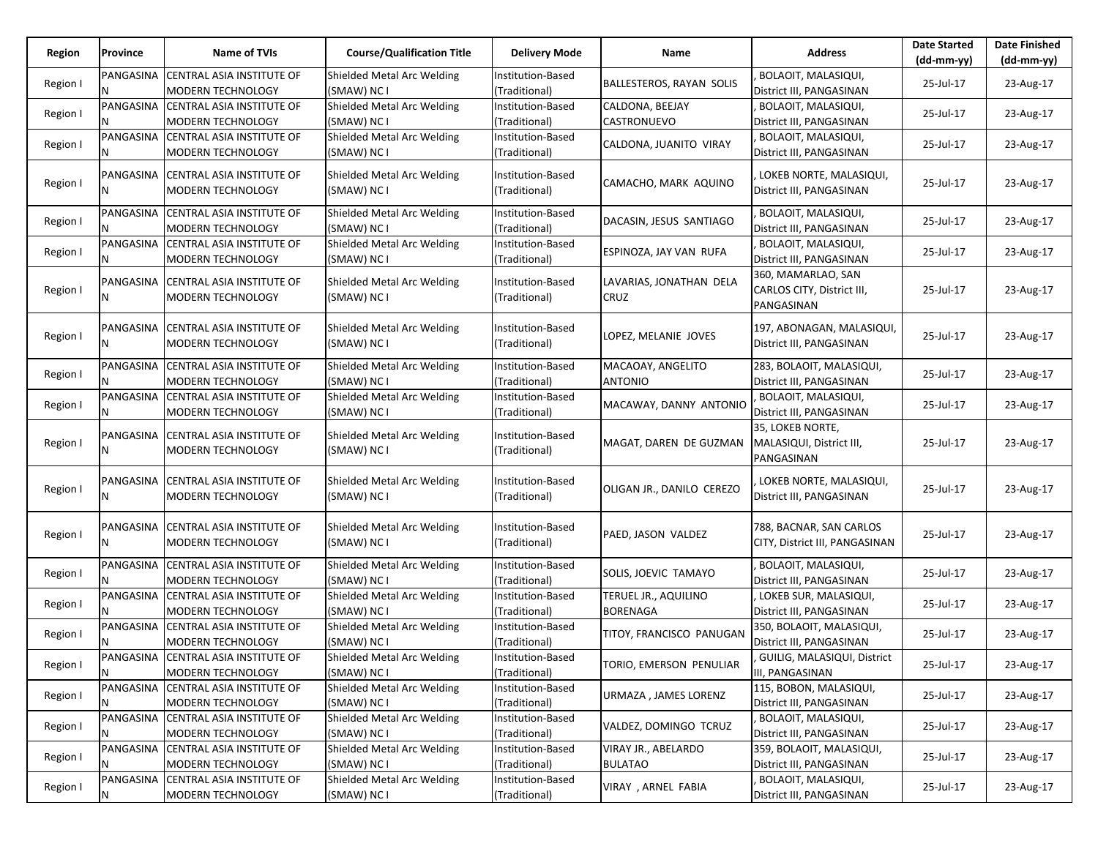| Region   | Province       | Name of TVIs                                                      | <b>Course/Qualification Title</b>         | <b>Delivery Mode</b>               | Name                                    | <b>Address</b>                                                 | <b>Date Started</b> | <b>Date Finished</b> |
|----------|----------------|-------------------------------------------------------------------|-------------------------------------------|------------------------------------|-----------------------------------------|----------------------------------------------------------------|---------------------|----------------------|
|          |                |                                                                   |                                           |                                    |                                         |                                                                | $(dd-mm-yy)$        | $(dd-mm-yy)$         |
| Region I | PANGASINA<br>N | <b>CENTRAL ASIA INSTITUTE OF</b><br><b>MODERN TECHNOLOGY</b>      | Shielded Metal Arc Welding<br>(SMAW) NC I | Institution-Based<br>(Traditional) | BALLESTEROS, RAYAN SOLIS                | BOLAOIT, MALASIQUI,<br>District III, PANGASINAN                | 25-Jul-17           | 23-Aug-17            |
| Region I | PANGASINA<br>N | <b>CENTRAL ASIA INSTITUTE OF</b><br><b>MODERN TECHNOLOGY</b>      | Shielded Metal Arc Welding<br>(SMAW) NC I | Institution-Based<br>(Traditional) | CALDONA, BEEJAY<br>CASTRONUEVO          | BOLAOIT, MALASIQUI,<br>District III, PANGASINAN                | 25-Jul-17           | 23-Aug-17            |
| Region I |                | PANGASINA CENTRAL ASIA INSTITUTE OF<br><b>MODERN TECHNOLOGY</b>   | Shielded Metal Arc Welding<br>(SMAW) NC I | Institution-Based<br>(Traditional) | CALDONA, JUANITO VIRAY                  | BOLAOIT, MALASIQUI,<br>District III, PANGASINAN                | 25-Jul-17           | 23-Aug-17            |
| Region I | N              | PANGASINA CENTRAL ASIA INSTITUTE OF<br><b>MODERN TECHNOLOGY</b>   | Shielded Metal Arc Welding<br>(SMAW) NC I | Institution-Based<br>(Traditional) | CAMACHO, MARK AQUINO                    | LOKEB NORTE, MALASIQUI,<br>District III, PANGASINAN            | 25-Jul-17           | 23-Aug-17            |
| Region I | PANGASINA<br>N | <b>CENTRAL ASIA INSTITUTE OF</b><br><b>MODERN TECHNOLOGY</b>      | Shielded Metal Arc Welding<br>(SMAW) NC I | Institution-Based<br>(Traditional) | DACASIN, JESUS SANTIAGO                 | BOLAOIT, MALASIQUI,<br>District III, PANGASINAN                | 25-Jul-17           | 23-Aug-17            |
| Region I |                | PANGASINA CENTRAL ASIA INSTITUTE OF<br><b>MODERN TECHNOLOGY</b>   | Shielded Metal Arc Welding<br>(SMAW) NC I | Institution-Based<br>(Traditional) | ESPINOZA, JAY VAN RUFA                  | BOLAOIT, MALASIQUI,<br>District III, PANGASINAN                | 25-Jul-17           | 23-Aug-17            |
| Region I | N              | PANGASINA CENTRAL ASIA INSTITUTE OF<br>MODERN TECHNOLOGY          | Shielded Metal Arc Welding<br>(SMAW) NC I | Institution-Based<br>(Traditional) | LAVARIAS, JONATHAN DELA<br>CRUZ         | 360, MAMARLAO, SAN<br>CARLOS CITY, District III,<br>PANGASINAN | 25-Jul-17           | 23-Aug-17            |
| Region I | N              | PANGASINA CENTRAL ASIA INSTITUTE OF<br><b>MODERN TECHNOLOGY</b>   | Shielded Metal Arc Welding<br>(SMAW) NC I | Institution-Based<br>(Traditional) | LOPEZ, MELANIE JOVES                    | 197, ABONAGAN, MALASIQUI,<br>District III, PANGASINAN          | 25-Jul-17           | 23-Aug-17            |
| Region I | N              | PANGASINA CENTRAL ASIA INSTITUTE OF<br><b>MODERN TECHNOLOGY</b>   | Shielded Metal Arc Welding<br>(SMAW) NC I | Institution-Based<br>(Traditional) | MACAOAY, ANGELITO<br><b>ANTONIO</b>     | 283, BOLAOIT, MALASIQUI,<br>District III, PANGASINAN           | 25-Jul-17           | 23-Aug-17            |
| Region I | PANGASINA<br>N | <b>CENTRAL ASIA INSTITUTE OF</b><br>MODERN TECHNOLOGY             | Shielded Metal Arc Welding<br>(SMAW) NC I | Institution-Based<br>(Traditional) | MACAWAY, DANNY ANTONIO                  | BOLAOIT, MALASIQUI,<br>District III, PANGASINAN                | 25-Jul-17           | 23-Aug-17            |
| Region I | N              | PANGASINA CENTRAL ASIA INSTITUTE OF<br><b>MODERN TECHNOLOGY</b>   | Shielded Metal Arc Welding<br>(SMAW) NC I | Institution-Based<br>(Traditional) | MAGAT, DAREN DE GUZMAN                  | 35, LOKEB NORTE,<br>MALASIQUI, District III,<br>PANGASINAN     | 25-Jul-17           | 23-Aug-17            |
| Region I | PANGASINA<br>N | <b>CENTRAL ASIA INSTITUTE OF</b><br><b>MODERN TECHNOLOGY</b>      | Shielded Metal Arc Welding<br>(SMAW) NC I | Institution-Based<br>(Traditional) | OLIGAN JR., DANILO CEREZO               | LOKEB NORTE, MALASIQUI,<br>District III, PANGASINAN            | 25-Jul-17           | 23-Aug-17            |
| Region I | N              | PANGASINA   CENTRAL ASIA INSTITUTE OF<br><b>MODERN TECHNOLOGY</b> | Shielded Metal Arc Welding<br>(SMAW) NC I | Institution-Based<br>(Traditional) | PAED, JASON VALDEZ                      | 788, BACNAR, SAN CARLOS<br>CITY, District III, PANGASINAN      | 25-Jul-17           | 23-Aug-17            |
| Region I | PANGASINA      | <b>CENTRAL ASIA INSTITUTE OF</b><br><b>MODERN TECHNOLOGY</b>      | Shielded Metal Arc Welding<br>(SMAW) NC I | Institution-Based<br>(Traditional) | SOLIS, JOEVIC TAMAYO                    | BOLAOIT, MALASIQUI,<br>District III, PANGASINAN                | 25-Jul-17           | 23-Aug-17            |
| Region I | PANGASINA      | CENTRAL ASIA INSTITUTE OF<br><b>MODERN TECHNOLOGY</b>             | Shielded Metal Arc Welding<br>(SMAW) NC I | institution-Based<br>(Traditional) | TERUEL JR., AQUILINO<br><b>BORENAGA</b> | LOKEB SUR, MALASIQUI,<br>District III, PANGASINAN              | 25-Jul-17           | 23-Aug-17            |
| Region I |                | PANGASINA CENTRAL ASIA INSTITUTE OF<br><b>MODERN TECHNOLOGY</b>   | Shielded Metal Arc Welding<br>(SMAW) NC I | Institution-Based<br>(Traditional) | TITOY, FRANCISCO PANUGAN                | 350, BOLAOIT, MALASIQUI,<br>District III, PANGASINAN           | 25-Jul-17           | 23-Aug-17            |
| Region I | Ν              | PANGASINA CENTRAL ASIA INSTITUTE OF<br><b>MODERN TECHNOLOGY</b>   | Shielded Metal Arc Welding<br>(SMAW) NC I | Institution-Based<br>(Traditional) | TORIO, EMERSON PENULIAR                 | GUILIG, MALASIQUI, District<br>III, PANGASINAN                 | 25-Jul-17           | 23-Aug-17            |
| Region I | PANGASINA<br>N | CENTRAL ASIA INSTITUTE OF<br><b>MODERN TECHNOLOGY</b>             | Shielded Metal Arc Welding<br>(SMAW) NC I | Institution-Based<br>(Traditional) | URMAZA , JAMES LORENZ                   | 115, BOBON, MALASIQUI,<br>District III, PANGASINAN             | 25-Jul-17           | 23-Aug-17            |
| Region I |                | PANGASINA CENTRAL ASIA INSTITUTE OF<br>MODERN TECHNOLOGY          | Shielded Metal Arc Welding<br>(SMAW) NC I | Institution-Based<br>(Traditional) | VALDEZ, DOMINGO TCRUZ                   | BOLAOIT, MALASIQUI,<br>District III, PANGASINAN                | 25-Jul-17           | 23-Aug-17            |
| Region I | N              | PANGASINA CENTRAL ASIA INSTITUTE OF<br><b>MODERN TECHNOLOGY</b>   | Shielded Metal Arc Welding<br>(SMAW) NC I | Institution-Based<br>(Traditional) | VIRAY JR., ABELARDO<br><b>BULATAO</b>   | 359, BOLAOIT, MALASIQUI,<br>District III, PANGASINAN           | 25-Jul-17           | 23-Aug-17            |
| Region I | PANGASINA<br>Ν | <b>CENTRAL ASIA INSTITUTE OF</b><br>MODERN TECHNOLOGY             | Shielded Metal Arc Welding<br>(SMAW) NC I | Institution-Based<br>(Traditional) | VIRAY, ARNEL FABIA                      | BOLAOIT, MALASIQUI,<br>District III, PANGASINAN                | 25-Jul-17           | 23-Aug-17            |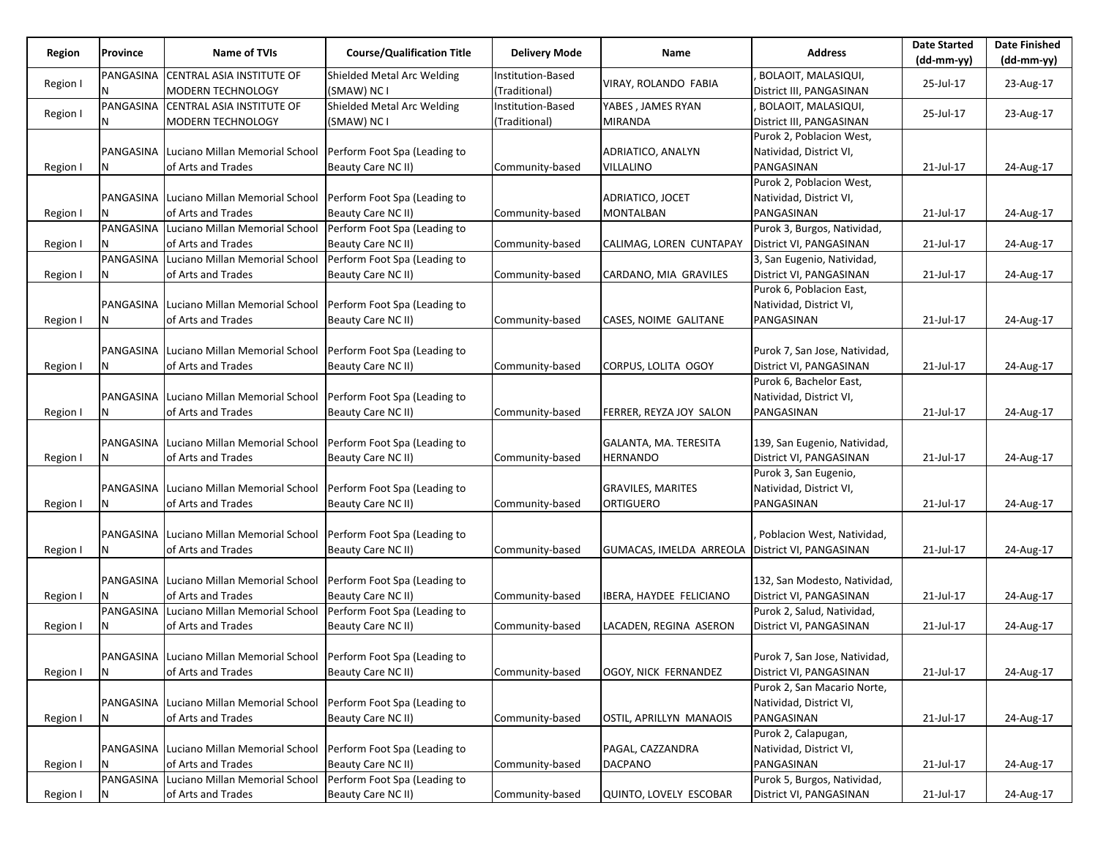| Province<br>Region         | <b>Name of TVIs</b>                                                   | <b>Course/Qualification Title</b>         | <b>Delivery Mode</b>               | Name                                            | <b>Address</b>                                  | <b>Date Started</b> | <b>Date Finished</b> |
|----------------------------|-----------------------------------------------------------------------|-------------------------------------------|------------------------------------|-------------------------------------------------|-------------------------------------------------|---------------------|----------------------|
|                            |                                                                       |                                           |                                    |                                                 |                                                 | (dd-mm-yy)          | $(dd-mm-yy)$         |
| Region I<br>N              | CENTRAL ASIA INSTITUTE OF<br>PANGASINA<br><b>MODERN TECHNOLOGY</b>    | Shielded Metal Arc Welding<br>(SMAW) NC I | Institution-Based<br>(Traditional) | VIRAY, ROLANDO FABIA                            | BOLAOIT, MALASIQUI,<br>District III, PANGASINAN | 25-Jul-17           | 23-Aug-17            |
| PANGASINA<br>Region I<br>N | CENTRAL ASIA INSTITUTE OF<br>MODERN TECHNOLOGY                        | Shielded Metal Arc Welding<br>(SMAW) NC I | Institution-Based<br>(Traditional) | YABES, JAMES RYAN<br>MIRANDA                    | BOLAOIT, MALASIQUI,<br>District III, PANGASINAN | 25-Jul-17           | 23-Aug-17            |
|                            |                                                                       |                                           |                                    |                                                 | Purok 2, Poblacion West,                        |                     |                      |
|                            | PANGASINA Luciano Millan Memorial School                              | Perform Foot Spa (Leading to              |                                    |                                                 | Natividad, District VI,                         |                     |                      |
| N                          |                                                                       |                                           |                                    | ADRIATICO, ANALYN                               | PANGASINAN                                      |                     |                      |
| Region I                   | of Arts and Trades                                                    | Beauty Care NC II)                        | Community-based                    | VILLALINO                                       |                                                 | 21-Jul-17           | 24-Aug-17            |
|                            |                                                                       |                                           |                                    |                                                 | Purok 2, Poblacion West,                        |                     |                      |
|                            | PANGASINA Luciano Millan Memorial School                              | Perform Foot Spa (Leading to              |                                    | ADRIATICO, JOCET                                | Natividad, District VI,                         |                     |                      |
| Region I                   | of Arts and Trades                                                    | Beauty Care NC II)                        | Community-based                    | <b>MONTALBAN</b>                                | PANGASINAN                                      | 21-Jul-17           | 24-Aug-17            |
|                            | PANGASINA Luciano Millan Memorial School                              | Perform Foot Spa (Leading to              |                                    |                                                 | Purok 3, Burgos, Natividad,                     |                     |                      |
| Region I                   | of Arts and Trades                                                    | Beauty Care NC II)                        | Community-based                    | CALIMAG, LOREN CUNTAPAY                         | District VI, PANGASINAN                         | 21-Jul-17           | 24-Aug-17            |
|                            | PANGASINA Luciano Millan Memorial School                              | Perform Foot Spa (Leading to              |                                    |                                                 | 3, San Eugenio, Natividad,                      |                     |                      |
| N<br>Region I              | of Arts and Trades                                                    | Beauty Care NC II)                        | Community-based                    | CARDANO, MIA GRAVILES                           | District VI, PANGASINAN                         | 21-Jul-17           | 24-Aug-17            |
|                            |                                                                       |                                           |                                    |                                                 | Purok 6, Poblacion East,                        |                     |                      |
|                            | PANGASINA Luciano Millan Memorial School                              | Perform Foot Spa (Leading to              |                                    |                                                 | Natividad, District VI,                         |                     |                      |
| Region I                   | of Arts and Trades                                                    | Beauty Care NC II)                        | Community-based                    | CASES, NOIME GALITANE                           | PANGASINAN                                      | 21-Jul-17           | 24-Aug-17            |
|                            |                                                                       |                                           |                                    |                                                 |                                                 |                     |                      |
|                            | PANGASINA Luciano Millan Memorial School                              | Perform Foot Spa (Leading to              |                                    |                                                 | Purok 7, San Jose, Natividad,                   |                     |                      |
| N<br>Region I              | of Arts and Trades                                                    | Beauty Care NC II)                        | Community-based                    | CORPUS, LOLITA OGOY                             | District VI, PANGASINAN                         | 21-Jul-17           | 24-Aug-17            |
|                            |                                                                       |                                           |                                    |                                                 | Purok 6, Bachelor East,                         |                     |                      |
|                            | PANGASINA Luciano Millan Memorial School                              | Perform Foot Spa (Leading to              |                                    |                                                 | Natividad, District VI,                         |                     |                      |
| Region I                   | of Arts and Trades                                                    | Beauty Care NC II)                        | Community-based                    | FERRER, REYZA JOY SALON                         | PANGASINAN                                      | 21-Jul-17           | 24-Aug-17            |
|                            |                                                                       |                                           |                                    |                                                 |                                                 |                     |                      |
|                            | PANGASINA Luciano Millan Memorial School                              | Perform Foot Spa (Leading to              |                                    | GALANTA, MA. TERESITA                           | 139, San Eugenio, Natividad,                    |                     |                      |
| N<br>Region I              | of Arts and Trades                                                    | Beauty Care NC II)                        | Community-based                    | <b>HERNANDO</b>                                 | District VI, PANGASINAN                         | 21-Jul-17           | 24-Aug-17            |
|                            |                                                                       |                                           |                                    |                                                 | Purok 3, San Eugenio,                           |                     |                      |
|                            | PANGASINA Luciano Millan Memorial School                              | Perform Foot Spa (Leading to              |                                    | <b>GRAVILES, MARITES</b>                        | Natividad, District VI,                         |                     |                      |
| Region I<br>N              | of Arts and Trades                                                    | Beauty Care NC II)                        | Community-based                    | ORTIGUERO                                       | PANGASINAN                                      | 21-Jul-17           | 24-Aug-17            |
|                            |                                                                       |                                           |                                    |                                                 |                                                 |                     |                      |
|                            | PANGASINA Luciano Millan Memorial School                              | Perform Foot Spa (Leading to              |                                    |                                                 | Poblacion West, Natividad,                      |                     |                      |
| Region I<br>N              | of Arts and Trades                                                    | Beauty Care NC II)                        | Community-based                    | GUMACAS, IMELDA ARREOLA District VI, PANGASINAN |                                                 | 21-Jul-17           | 24-Aug-17            |
|                            |                                                                       |                                           |                                    |                                                 |                                                 |                     |                      |
|                            | PANGASINA Luciano Millan Memorial School                              | Perform Foot Spa (Leading to              |                                    |                                                 | 132, San Modesto, Natividad,                    |                     |                      |
| Region I                   | of Arts and Trades                                                    | Beauty Care NC II)                        | Community-based                    | IBERA, HAYDEE FELICIANO                         | District VI, PANGASINAN                         | 21-Jul-17           | 24-Aug-17            |
|                            | PANGASINA Luciano Millan Memorial School                              | Perform Foot Spa (Leading to              |                                    |                                                 | Purok 2, Salud, Natividad,                      |                     |                      |
| Region I                   | of Arts and Trades                                                    | Beauty Care NC II)                        | Community-based                    | LACADEN, REGINA ASERON                          | District VI, PANGASINAN                         | 21-Jul-17           | 24-Aug-17            |
|                            |                                                                       |                                           |                                    |                                                 |                                                 |                     |                      |
|                            | PANGASINA Luciano Millan Memorial School Perform Foot Spa (Leading to |                                           |                                    |                                                 | Purok 7, San Jose, Natividad,                   |                     |                      |
| N<br>Region I              | of Arts and Trades                                                    | Beauty Care NC II)                        | Community-based                    | OGOY, NICK FERNANDEZ                            | District VI, PANGASINAN                         | 21-Jul-17           | 24-Aug-17            |
|                            |                                                                       |                                           |                                    |                                                 | Purok 2, San Macario Norte,                     |                     |                      |
|                            | PANGASINA Luciano Millan Memorial School                              | Perform Foot Spa (Leading to              |                                    |                                                 | Natividad, District VI,                         |                     |                      |
| Region I<br>N.             | of Arts and Trades                                                    | Beauty Care NC II)                        | Community-based                    | OSTIL, APRILLYN MANAOIS                         | PANGASINAN                                      | 21-Jul-17           | 24-Aug-17            |
|                            |                                                                       |                                           |                                    |                                                 | Purok 2, Calapugan,                             |                     |                      |
|                            | PANGASINA Luciano Millan Memorial School                              | Perform Foot Spa (Leading to              |                                    | PAGAL, CAZZANDRA                                | Natividad, District VI,                         |                     |                      |
| Region I<br>N.             | of Arts and Trades                                                    | Beauty Care NC II)                        | Community-based                    | <b>DACPANO</b>                                  | PANGASINAN                                      | 21-Jul-17           | 24-Aug-17            |
|                            | PANGASINA Luciano Millan Memorial School                              | Perform Foot Spa (Leading to              |                                    |                                                 | Purok 5, Burgos, Natividad,                     |                     |                      |
|                            |                                                                       | Beauty Care NC II)                        | Community-based                    |                                                 | District VI, PANGASINAN                         |                     | 24-Aug-17            |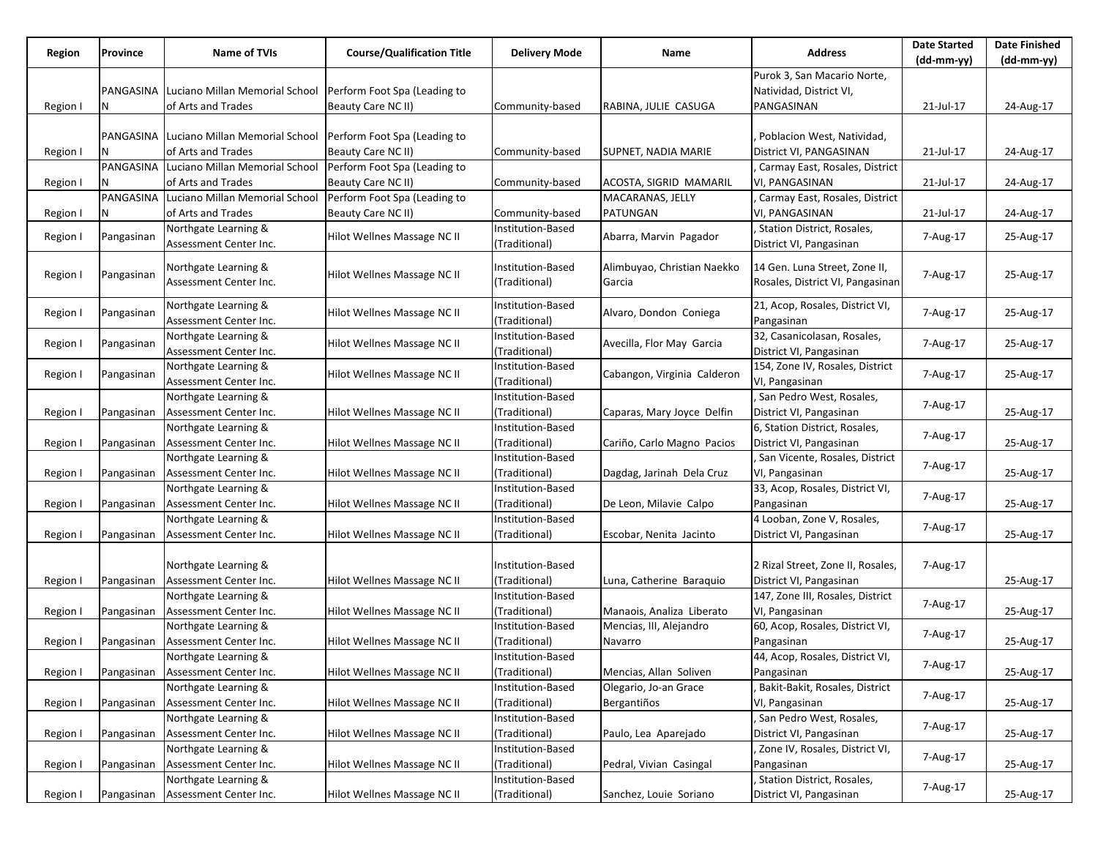| Region   | Province   | <b>Name of TVIs</b>                      | <b>Course/Qualification Title</b> | <b>Delivery Mode</b> | Name                        | <b>Address</b>                    | <b>Date Started</b> | <b>Date Finished</b> |
|----------|------------|------------------------------------------|-----------------------------------|----------------------|-----------------------------|-----------------------------------|---------------------|----------------------|
|          |            |                                          |                                   |                      |                             | Purok 3, San Macario Norte,       | $(dd-mm-yy)$        | (dd-mm-yy)           |
|          |            |                                          |                                   |                      |                             |                                   |                     |                      |
|          |            | PANGASINA Luciano Millan Memorial School | Perform Foot Spa (Leading to      |                      |                             | Natividad, District VI,           |                     |                      |
| Region I | N          | of Arts and Trades                       | Beauty Care NC II)                | Community-based      | RABINA, JULIE CASUGA        | PANGASINAN                        | 21-Jul-17           | 24-Aug-17            |
|          |            |                                          |                                   |                      |                             |                                   |                     |                      |
|          |            | PANGASINA Luciano Millan Memorial School | Perform Foot Spa (Leading to      |                      |                             | Poblacion West, Natividad,        |                     |                      |
| Region I |            | of Arts and Trades                       | Beauty Care NC II)                | Community-based      | SUPNET, NADIA MARIE         | District VI, PANGASINAN           | 21-Jul-17           | 24-Aug-17            |
|          |            | PANGASINA Luciano Millan Memorial School | Perform Foot Spa (Leading to      |                      |                             | Carmay East, Rosales, District    |                     |                      |
| Region I | Ν          | of Arts and Trades                       | Beauty Care NC II)                | Community-based      | ACOSTA, SIGRID MAMARIL      | VI, PANGASINAN                    | 21-Jul-17           | 24-Aug-17            |
|          |            | PANGASINA Luciano Millan Memorial School | Perform Foot Spa (Leading to      |                      | MACARANAS, JELLY            | Carmay East, Rosales, District    |                     |                      |
| Region I | Ν          | of Arts and Trades                       | Beauty Care NC II)                | Community-based      | PATUNGAN                    | VI, PANGASINAN                    | 21-Jul-17           | 24-Aug-17            |
|          |            | Northgate Learning &                     |                                   | Institution-Based    |                             | Station District, Rosales,        |                     |                      |
| Region I | Pangasinan | Assessment Center Inc.                   | Hilot Wellnes Massage NC II       | (Traditional)        | Abarra, Marvin Pagador      | District VI, Pangasinan           | 7-Aug-17            | 25-Aug-17            |
|          |            |                                          |                                   |                      |                             |                                   |                     |                      |
| Region I | Pangasinan | Northgate Learning &                     | Hilot Wellnes Massage NC II       | Institution-Based    | Alimbuyao, Christian Naekko | 14 Gen. Luna Street, Zone II,     | 7-Aug-17            | 25-Aug-17            |
|          |            | Assessment Center Inc.                   |                                   | (Traditional)        | Garcia                      | Rosales, District VI, Pangasinan  |                     |                      |
|          |            | Northgate Learning &                     |                                   | Institution-Based    |                             | 21, Acop, Rosales, District VI,   |                     |                      |
| Region I | Pangasinan | Assessment Center Inc.                   | Hilot Wellnes Massage NC II       | (Traditional)        | Alvaro, Dondon Coniega      | Pangasinan                        | 7-Aug-17            | 25-Aug-17            |
|          |            | Northgate Learning &                     |                                   | Institution-Based    |                             | 32, Casanicolasan, Rosales,       |                     |                      |
| Region I | Pangasinan |                                          | Hilot Wellnes Massage NC II       |                      | Avecilla, Flor May Garcia   | District VI, Pangasinan           | 7-Aug-17            | 25-Aug-17            |
|          |            | Assessment Center Inc.                   |                                   | (Traditional)        |                             |                                   |                     |                      |
| Region I | Pangasinan | Northgate Learning &                     | Hilot Wellnes Massage NC II       | Institution-Based    | Cabangon, Virginia Calderon | 154, Zone IV, Rosales, District   | 7-Aug-17            | 25-Aug-17            |
|          |            | Assessment Center Inc.                   |                                   | (Traditional)        |                             | VI, Pangasinan                    |                     |                      |
|          |            | Northgate Learning &                     |                                   | Institution-Based    |                             | San Pedro West, Rosales,          | 7-Aug-17            |                      |
| Region I | Pangasinan | Assessment Center Inc.                   | Hilot Wellnes Massage NC II       | (Traditional)        | Caparas, Mary Joyce Delfin  | District VI, Pangasinan           |                     | 25-Aug-17            |
|          |            | Northgate Learning &                     |                                   | Institution-Based    |                             | 6, Station District, Rosales,     | 7-Aug-17            |                      |
| Region I | Pangasinan | Assessment Center Inc.                   | Hilot Wellnes Massage NC II       | (Traditional)        | Cariño, Carlo Magno Pacios  | District VI, Pangasinan           |                     | 25-Aug-17            |
|          |            | Northgate Learning &                     |                                   | Institution-Based    |                             | San Vicente, Rosales, District    | 7-Aug-17            |                      |
| Region I | Pangasinan | Assessment Center Inc.                   | Hilot Wellnes Massage NC II       | (Traditional)        | Dagdag, Jarinah Dela Cruz   | VI, Pangasinan                    |                     | 25-Aug-17            |
|          |            | Northgate Learning &                     |                                   | Institution-Based    |                             | 33, Acop, Rosales, District VI,   | 7-Aug-17            |                      |
| Region I | Pangasinan | Assessment Center Inc.                   | Hilot Wellnes Massage NC II       | (Traditional)        | De Leon, Milavie Calpo      | Pangasinan                        |                     | 25-Aug-17            |
|          |            | Northgate Learning &                     |                                   | Institution-Based    |                             | 4 Looban, Zone V, Rosales,        |                     |                      |
| Region I | Pangasinan | Assessment Center Inc.                   | Hilot Wellnes Massage NC II       | (Traditional)        | Escobar, Nenita Jacinto     | District VI, Pangasinan           | 7-Aug-17            | 25-Aug-17            |
|          |            |                                          |                                   |                      |                             |                                   |                     |                      |
|          |            | Northgate Learning &                     |                                   | Institution-Based    |                             | 2 Rizal Street, Zone II, Rosales, | 7-Aug-17            |                      |
| Region I | Pangasinan | Assessment Center Inc.                   | Hilot Wellnes Massage NC II       | (Traditional)        | Luna, Catherine Baraquio    | District VI, Pangasinan           |                     | 25-Aug-17            |
|          |            | Northgate Learning &                     |                                   | Institution-Based    |                             | 147, Zone III, Rosales, District  |                     |                      |
| Region I | Pangasinan | Assessment Center Inc.                   | Hilot Wellnes Massage NC II       | (Traditional)        | Manaois, Analiza Liberato   | VI, Pangasinan                    | 7-Aug-17            | 25-Aug-17            |
|          |            | Northgate Learning &                     |                                   | Institution-Based    | Mencias, III, Alejandro     | 60, Acop, Rosales, District VI,   |                     |                      |
| Region I | Pangasinan | Assessment Center Inc.                   | Hilot Wellnes Massage NC II       | (Traditional)        | Navarro                     | Pangasinan                        | 7-Aug-17            | 25-Aug-17            |
|          |            | Northgate Learning &                     |                                   | Institution-Based    |                             | 44, Acop, Rosales, District VI,   |                     |                      |
| Region I |            | Pangasinan Assessment Center Inc.        | Hilot Wellnes Massage NC II       | (Traditional)        | Mencias, Allan Soliven      | Pangasinan                        | 7-Aug-17            | 25-Aug-17            |
|          |            | Northgate Learning &                     |                                   | Institution-Based    | Olegario, Jo-an Grace       | Bakit-Bakit, Rosales, District    |                     |                      |
| Region I | Pangasinan | Assessment Center Inc.                   | Hilot Wellnes Massage NC II       | (Traditional)        | Bergantiños                 | VI, Pangasinan                    | 7-Aug-17            | 25-Aug-17            |
|          |            |                                          |                                   | Institution-Based    |                             |                                   |                     |                      |
|          |            | Northgate Learning &                     |                                   |                      |                             | San Pedro West, Rosales,          | 7-Aug-17            |                      |
| Region I | Pangasinan | Assessment Center Inc.                   | Hilot Wellnes Massage NC II       | (Traditional)        | Paulo, Lea Aparejado        | District VI, Pangasinan           |                     | 25-Aug-17            |
|          |            | Northgate Learning &                     |                                   | Institution-Based    |                             | , Zone IV, Rosales, District VI,  | 7-Aug-17            |                      |
| Region I | Pangasinan | Assessment Center Inc.                   | Hilot Wellnes Massage NC II       | (Traditional)        | Pedral, Vivian Casingal     | Pangasinan                        |                     | 25-Aug-17            |
|          |            | Northgate Learning &                     |                                   | Institution-Based    |                             | Station District, Rosales,        | 7-Aug-17            |                      |
| Region I | Pangasinan | Assessment Center Inc.                   | Hilot Wellnes Massage NC II       | (Traditional)        | Sanchez, Louie Soriano      | District VI, Pangasinan           |                     | 25-Aug-17            |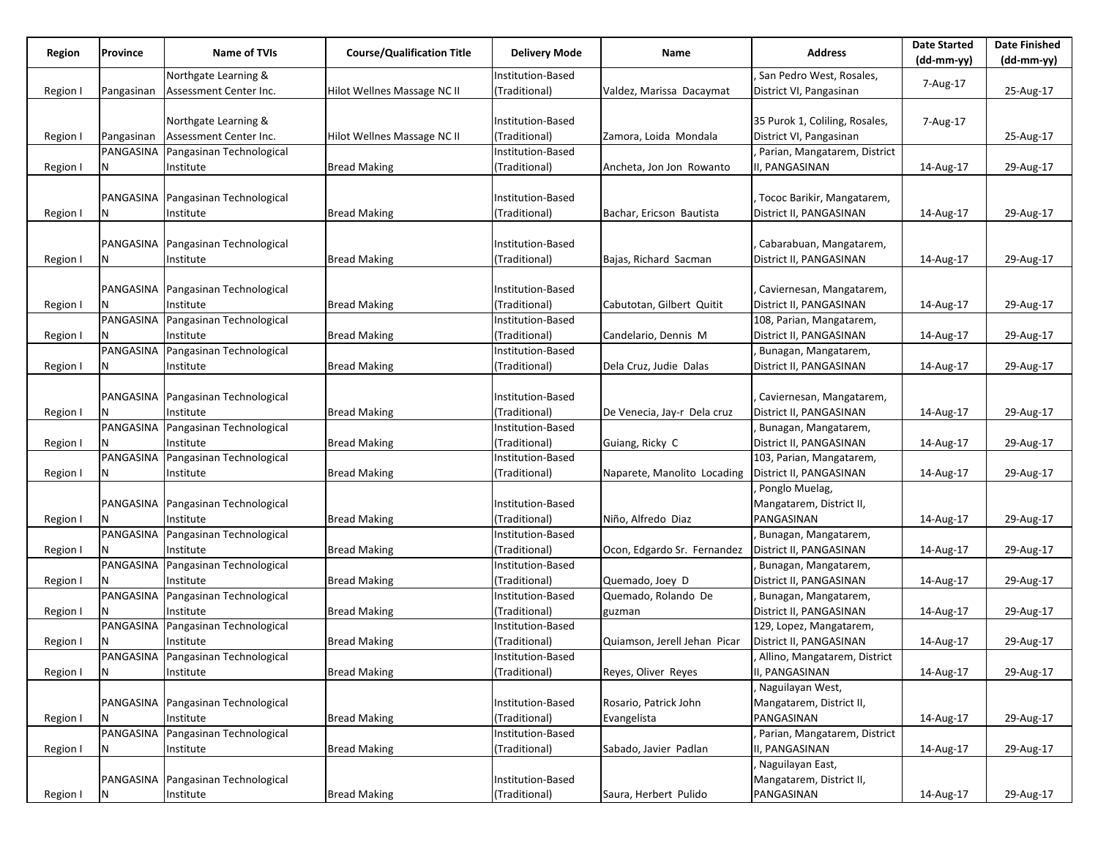| Region   | Province   | Name of TVIs                         | <b>Course/Qualification Title</b> | <b>Delivery Mode</b> | Name                         | <b>Address</b>                 | <b>Date Started</b> | <b>Date Finished</b> |
|----------|------------|--------------------------------------|-----------------------------------|----------------------|------------------------------|--------------------------------|---------------------|----------------------|
|          |            |                                      |                                   |                      |                              |                                | (dd-mm-yy)          | $(dd-mm-yy)$         |
|          |            | Northgate Learning &                 |                                   | Institution-Based    |                              | San Pedro West, Rosales,       | 7-Aug-17            |                      |
| Region I | Pangasinan | Assessment Center Inc.               | Hilot Wellnes Massage NC II       | (Traditional)        | Valdez, Marissa Dacaymat     | District VI, Pangasinan        |                     | 25-Aug-17            |
|          |            |                                      |                                   |                      |                              |                                |                     |                      |
|          |            | Northgate Learning &                 |                                   | Institution-Based    |                              | 35 Purok 1, Coliling, Rosales, | 7-Aug-17            |                      |
| Region I | Pangasinan | Assessment Center Inc.               | Hilot Wellnes Massage NC II       | (Traditional)        | Zamora, Loida Mondala        | District VI, Pangasinan        |                     | 25-Aug-17            |
|          | PANGASINA  | Pangasinan Technological             |                                   | Institution-Based    |                              | Parian, Mangatarem, District   |                     |                      |
| Region I |            | Institute                            | <b>Bread Making</b>               | (Traditional)        | Ancheta, Jon Jon Rowanto     | I, PANGASINAN                  | 14-Aug-17           | 29-Aug-17            |
|          |            |                                      |                                   |                      |                              |                                |                     |                      |
|          | PANGASINA  | Pangasinan Technological             |                                   | Institution-Based    |                              | Tococ Barikir, Mangatarem,     |                     |                      |
| Region I |            | Institute                            | <b>Bread Making</b>               | (Traditional)        | Bachar, Ericson Bautista     | District II, PANGASINAN        | 14-Aug-17           | 29-Aug-17            |
|          |            |                                      |                                   |                      |                              |                                |                     |                      |
|          |            | PANGASINA   Pangasinan Technological |                                   | Institution-Based    |                              | Cabarabuan, Mangatarem,        |                     |                      |
| Region I | N          | Institute                            | <b>Bread Making</b>               | (Traditional)        | Bajas, Richard Sacman        | District II, PANGASINAN        | 14-Aug-17           | 29-Aug-17            |
|          |            |                                      |                                   |                      |                              |                                |                     |                      |
|          |            |                                      |                                   |                      |                              |                                |                     |                      |
|          | PANGASINA  | Pangasinan Technological             |                                   | Institution-Based    |                              | Caviernesan, Mangatarem,       |                     |                      |
| Region I |            | Institute                            | <b>Bread Making</b>               | (Traditional)        | Cabutotan, Gilbert Quitit    | District II, PANGASINAN        | 14-Aug-17           | 29-Aug-17            |
|          | PANGASINA  | Pangasinan Technological             |                                   | Institution-Based    |                              | 108, Parian, Mangatarem,       |                     |                      |
| Region I |            | Institute                            | <b>Bread Making</b>               | (Traditional)        | Candelario, Dennis M         | District II, PANGASINAN        | 14-Aug-17           | 29-Aug-17            |
|          | PANGASINA  | Pangasinan Technological             |                                   | Institution-Based    |                              | Bunagan, Mangatarem,           |                     |                      |
| Region   | N          | Institute                            | <b>Bread Making</b>               | (Traditional)        | Dela Cruz, Judie Dalas       | District II, PANGASINAN        | 14-Aug-17           | 29-Aug-17            |
|          |            |                                      |                                   |                      |                              |                                |                     |                      |
|          |            | PANGASINA Pangasinan Technological   |                                   | Institution-Based    |                              | Caviernesan, Mangatarem,       |                     |                      |
| Region I |            | Institute                            | <b>Bread Making</b>               | (Traditional)        | De Venecia, Jay-r Dela cruz  | District II, PANGASINAN        | 14-Aug-17           | 29-Aug-17            |
|          |            | PANGASINA Pangasinan Technological   |                                   | Institution-Based    |                              | Bunagan, Mangatarem,           |                     |                      |
| Region I |            | Institute                            | <b>Bread Making</b>               | (Traditional)        | Guiang, Ricky C              | District II, PANGASINAN        | 14-Aug-17           | 29-Aug-17            |
|          |            | PANGASINA Pangasinan Technological   |                                   | Institution-Based    |                              | 103, Parian, Mangatarem,       |                     |                      |
| Region I | N          | Institute                            | <b>Bread Making</b>               | (Traditional)        | Naparete, Manolito Locading  | District II, PANGASINAN        | 14-Aug-17           | 29-Aug-17            |
|          |            |                                      |                                   |                      |                              | Ponglo Muelag,                 |                     |                      |
|          |            | PANGASINA Pangasinan Technological   |                                   | Institution-Based    |                              | Mangatarem, District II,       |                     |                      |
| Region I |            | Institute                            | <b>Bread Making</b>               | (Traditional)        | Niño, Alfredo Diaz           | PANGASINAN                     | 14-Aug-17           | 29-Aug-17            |
|          |            | PANGASINA Pangasinan Technological   |                                   | Institution-Based    |                              | Bunagan, Mangatarem,           |                     |                      |
| Region I |            | Institute                            | <b>Bread Making</b>               | (Traditional)        | Ocon, Edgardo Sr. Fernandez  | District II, PANGASINAN        | 14-Aug-17           | 29-Aug-17            |
|          | PANGASINA  | Pangasinan Technological             |                                   | Institution-Based    |                              | Bunagan, Mangatarem,           |                     |                      |
| Region I |            | Institute                            | <b>Bread Making</b>               | (Traditional)        | Quemado, Joey D              | District II, PANGASINAN        | 14-Aug-17           | 29-Aug-17            |
|          |            | PANGASINA Pangasinan Technological   |                                   | Institution-Based    | Quemado, Rolando De          | Bunagan, Mangatarem,           |                     |                      |
| Region I |            | Institute                            | <b>Bread Making</b>               | (Traditional)        | guzman                       | District II, PANGASINAN        | 14-Aug-17           | 29-Aug-17            |
|          |            | PANGASINA Pangasinan Technological   |                                   | Institution-Based    |                              | 129, Lopez, Mangatarem,        |                     |                      |
|          |            |                                      | <b>Bread Making</b>               | (Traditional)        |                              |                                |                     |                      |
| Region I |            | Institute                            |                                   |                      | Quiamson, Jerell Jehan Picar | District II, PANGASINAN        | 14-Aug-17           | 29-Aug-17            |
|          |            | PANGASINA Pangasinan Technological   |                                   | Institution-Based    |                              | Allino, Mangatarem, District   |                     |                      |
| Region I | N          | Institute                            | <b>Bread Making</b>               | (Traditional)        | Reyes, Oliver Reyes          | II, PANGASINAN                 | 14-Aug-17           | 29-Aug-17            |
|          |            |                                      |                                   |                      |                              | Naguilayan West,               |                     |                      |
|          |            | PANGASINA Pangasinan Technological   |                                   | Institution-Based    | Rosario, Patrick John        | Mangatarem, District II,       |                     |                      |
| Region I | Ν          | Institute                            | <b>Bread Making</b>               | (Traditional)        | Evangelista                  | PANGASINAN                     | 14-Aug-17           | 29-Aug-17            |
|          |            | PANGASINA Pangasinan Technological   |                                   | Institution-Based    |                              | Parian, Mangatarem, District   |                     |                      |
| Region I | N          | Institute                            | <b>Bread Making</b>               | (Traditional)        | Sabado, Javier Padlan        | II, PANGASINAN                 | 14-Aug-17           | 29-Aug-17            |
|          |            |                                      |                                   |                      |                              | Naguilayan East,               |                     |                      |
|          |            | PANGASINA Pangasinan Technological   |                                   | Institution-Based    |                              | Mangatarem, District II,       |                     |                      |
| Region I | Ν          | Institute                            | <b>Bread Making</b>               | (Traditional)        | Saura, Herbert Pulido        | PANGASINAN                     | 14-Aug-17           | 29-Aug-17            |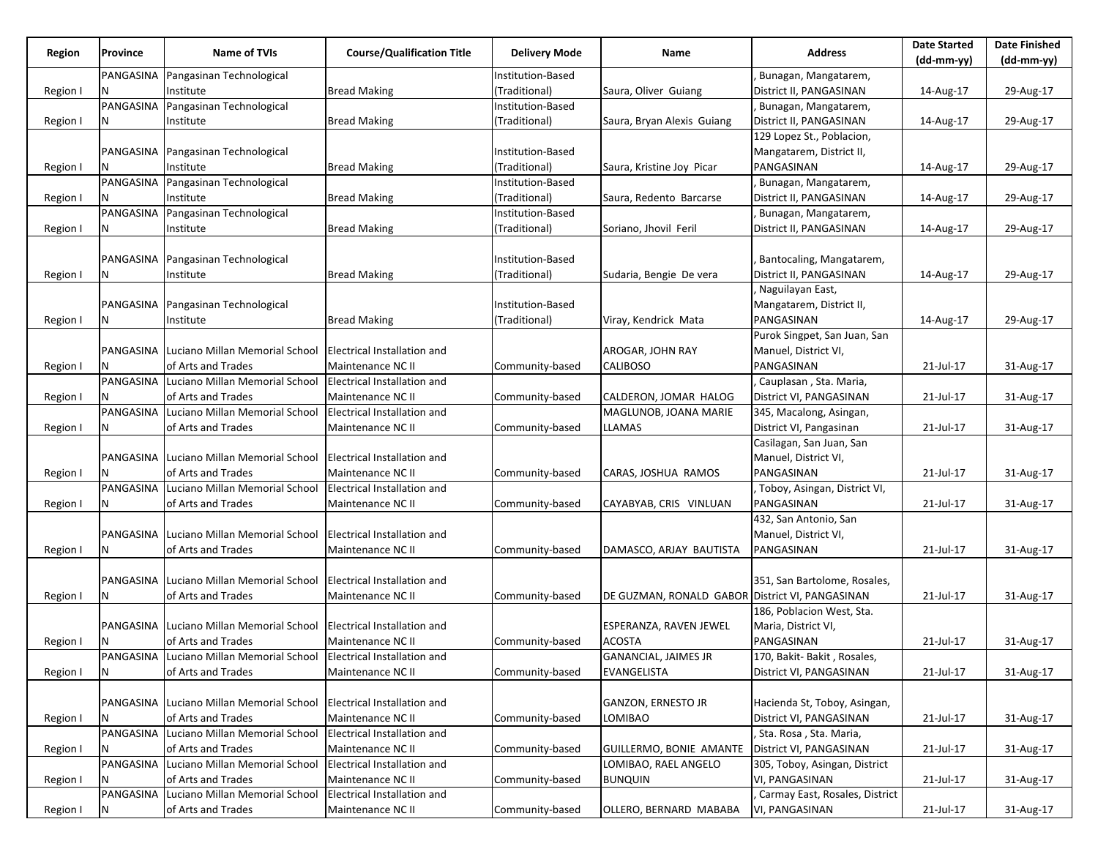| Region   | Province  | <b>Name of TVIs</b>                                                  | <b>Course/Qualification Title</b>  | <b>Delivery Mode</b> | Name                                            | <b>Address</b>                 | <b>Date Started</b> | <b>Date Finished</b> |
|----------|-----------|----------------------------------------------------------------------|------------------------------------|----------------------|-------------------------------------------------|--------------------------------|---------------------|----------------------|
|          |           |                                                                      |                                    |                      |                                                 |                                | $(dd-mm-yy)$        | (dd-mm-yy)           |
|          | PANGASINA | Pangasinan Technological                                             |                                    | Institution-Based    |                                                 | Bunagan, Mangatarem,           |                     |                      |
| Region   |           | Institute                                                            | <b>Bread Making</b>                | (Traditional)        | Saura, Oliver Guiang                            | District II, PANGASINAN        | 14-Aug-17           | 29-Aug-17            |
|          | PANGASINA | Pangasinan Technological                                             |                                    | Institution-Based    |                                                 | Bunagan, Mangatarem,           |                     |                      |
| Region I | Ν         | Institute                                                            | <b>Bread Making</b>                | (Traditional)        | Saura, Bryan Alexis Guiang                      | District II, PANGASINAN        | 14-Aug-17           | 29-Aug-17            |
|          |           |                                                                      |                                    |                      |                                                 | 129 Lopez St., Poblacion,      |                     |                      |
|          |           | PANGASINA   Pangasinan Technological                                 |                                    | Institution-Based    |                                                 | Mangatarem, District II,       |                     |                      |
| Region I |           | Institute                                                            | <b>Bread Making</b>                | (Traditional)        | Saura, Kristine Joy Picar                       | PANGASINAN                     | 14-Aug-17           | 29-Aug-17            |
|          |           | PANGASINA Pangasinan Technological                                   |                                    | Institution-Based    |                                                 | Bunagan, Mangatarem,           |                     |                      |
| Region I | N         | Institute                                                            | <b>Bread Making</b>                | (Traditional)        | Saura, Redento Barcarse                         | District II, PANGASINAN        | 14-Aug-17           | 29-Aug-17            |
|          | PANGASINA | Pangasinan Technological                                             |                                    | Institution-Based    |                                                 | Bunagan, Mangatarem,           |                     |                      |
| Region I | N         | Institute                                                            | <b>Bread Making</b>                | (Traditional)        | Soriano, Jhovil Feril                           | District II, PANGASINAN        | 14-Aug-17           | 29-Aug-17            |
|          |           |                                                                      |                                    |                      |                                                 |                                |                     |                      |
|          |           | PANGASINA Pangasinan Technological                                   |                                    | Institution-Based    |                                                 | Bantocaling, Mangatarem,       |                     |                      |
| Region I | N         | Institute                                                            | <b>Bread Making</b>                | (Traditional)        | Sudaria, Bengie De vera                         | District II, PANGASINAN        | 14-Aug-17           | 29-Aug-17            |
|          |           |                                                                      |                                    |                      |                                                 | Naguilayan East,               |                     |                      |
|          | PANGASINA | Pangasinan Technological                                             |                                    | Institution-Based    |                                                 | Mangatarem, District II,       |                     |                      |
| Region I | N         | Institute                                                            | <b>Bread Making</b>                | (Traditional)        | Viray, Kendrick Mata                            | PANGASINAN                     | 14-Aug-17           | 29-Aug-17            |
|          |           |                                                                      |                                    |                      |                                                 | Purok Singpet, San Juan, San   |                     |                      |
|          |           | PANGASINA Luciano Millan Memorial School                             | <b>Electrical Installation and</b> |                      | AROGAR, JOHN RAY                                | Manuel, District VI,           |                     |                      |
| Region I |           | of Arts and Trades                                                   | Maintenance NC II                  | Community-based      | <b>CALIBOSO</b>                                 | PANGASINAN                     | 21-Jul-17           | 31-Aug-17            |
|          | PANGASINA | Luciano Millan Memorial School                                       | <b>Electrical Installation and</b> |                      |                                                 | Cauplasan, Sta. Maria,         |                     |                      |
| Region I | N         | of Arts and Trades                                                   | Maintenance NC II                  | Community-based      | CALDERON, JOMAR HALOG                           | District VI, PANGASINAN        | 21-Jul-17           | 31-Aug-17            |
|          | PANGASINA | Luciano Millan Memorial School                                       | <b>Electrical Installation and</b> |                      | MAGLUNOB, JOANA MARIE                           | 345, Macalong, Asingan,        |                     |                      |
| Region I | N         | of Arts and Trades                                                   | Maintenance NC II                  | Community-based      | LLAMAS                                          | District VI, Pangasinan        | 21-Jul-17           | 31-Aug-17            |
|          |           |                                                                      |                                    |                      |                                                 | Casilagan, San Juan, San       |                     |                      |
|          |           | PANGASINA Luciano Millan Memorial School                             | <b>Electrical Installation and</b> |                      |                                                 | Manuel, District VI,           |                     |                      |
|          | N         | of Arts and Trades                                                   | Maintenance NC II                  | Community-based      | CARAS, JOSHUA RAMOS                             | PANGASINAN                     | 21-Jul-17           | 31-Aug-17            |
| Region I | PANGASINA | Luciano Millan Memorial School                                       | Electrical Installation and        |                      |                                                 | Toboy, Asingan, District VI,   |                     |                      |
|          |           |                                                                      |                                    |                      |                                                 |                                |                     |                      |
| Region I | Ν         | of Arts and Trades                                                   | Maintenance NC II                  | Community-based      | CAYABYAB, CRIS VINLUAN                          | PANGASINAN                     | 21-Jul-17           | 31-Aug-17            |
|          |           |                                                                      |                                    |                      |                                                 | 432, San Antonio, San          |                     |                      |
|          | PANGASINA | Luciano Millan Memorial School                                       | <b>Electrical Installation and</b> |                      |                                                 | Manuel, District VI,           |                     |                      |
| Region I | N         | of Arts and Trades                                                   | Maintenance NC II                  | Community-based      | DAMASCO, ARJAY BAUTISTA                         | PANGASINAN                     | 21-Jul-17           | 31-Aug-17            |
|          |           |                                                                      |                                    |                      |                                                 |                                |                     |                      |
|          | PANGASINA | Luciano Millan Memorial School                                       | Electrical Installation and        |                      |                                                 | 351, San Bartolome, Rosales,   |                     |                      |
| Region I | N         | of Arts and Trades                                                   | Maintenance NC II                  | Community-based      | DE GUZMAN, RONALD GABOR District VI, PANGASINAN |                                | 21-Jul-17           | 31-Aug-17            |
|          |           |                                                                      |                                    |                      |                                                 | 186, Poblacion West, Sta.      |                     |                      |
|          |           | PANGASINA Luciano Millan Memorial School                             | Electrical Installation and        |                      | ESPERANZA, RAVEN JEWEL                          | Maria, District VI,            |                     |                      |
| Region I |           | of Arts and Trades                                                   | Maintenance NC II                  | Community-based      | <b>ACOSTA</b>                                   | PANGASINAN                     | 21-Jul-17           | 31-Aug-17            |
|          |           | PANGASINA Luciano Millan Memorial School Electrical Installation and |                                    |                      | <b>GANANCIAL, JAIMES JR</b>                     | 170, Bakit-Bakit, Rosales,     |                     |                      |
| Region I | N         | of Arts and Trades                                                   | Maintenance NC II                  | Community-based      | EVANGELISTA                                     | District VI, PANGASINAN        | 21-Jul-17           | 31-Aug-17            |
|          |           |                                                                      |                                    |                      |                                                 |                                |                     |                      |
|          |           | PANGASINA Luciano Millan Memorial School                             | <b>Electrical Installation and</b> |                      | GANZON, ERNESTO JR                              | Hacienda St, Toboy, Asingan,   |                     |                      |
| Region I | N         | of Arts and Trades                                                   | Maintenance NC II                  | Community-based      | LOMIBAO                                         | District VI, PANGASINAN        | 21-Jul-17           | 31-Aug-17            |
|          |           | PANGASINA Luciano Millan Memorial School                             | Electrical Installation and        |                      |                                                 | Sta. Rosa, Sta. Maria,         |                     |                      |
| Region I | N         | of Arts and Trades                                                   | Maintenance NC II                  | Community-based      | GUILLERMO, BONIE AMANTE                         | District VI, PANGASINAN        | 21-Jul-17           | 31-Aug-17            |
|          |           | PANGASINA Luciano Millan Memorial School                             | Electrical Installation and        |                      | LOMIBAO, RAEL ANGELO                            | 305, Toboy, Asingan, District  |                     |                      |
| Region I | N         | of Arts and Trades                                                   | Maintenance NC II                  | Community-based      | <b>BUNQUIN</b>                                  | VI, PANGASINAN                 | 21-Jul-17           | 31-Aug-17            |
|          | PANGASINA | Luciano Millan Memorial School                                       | Electrical Installation and        |                      |                                                 | Carmay East, Rosales, District |                     |                      |
| Region I | N         | of Arts and Trades                                                   | Maintenance NC II                  | Community-based      | OLLERO, BERNARD MABABA                          | VI, PANGASINAN                 | 21-Jul-17           | 31-Aug-17            |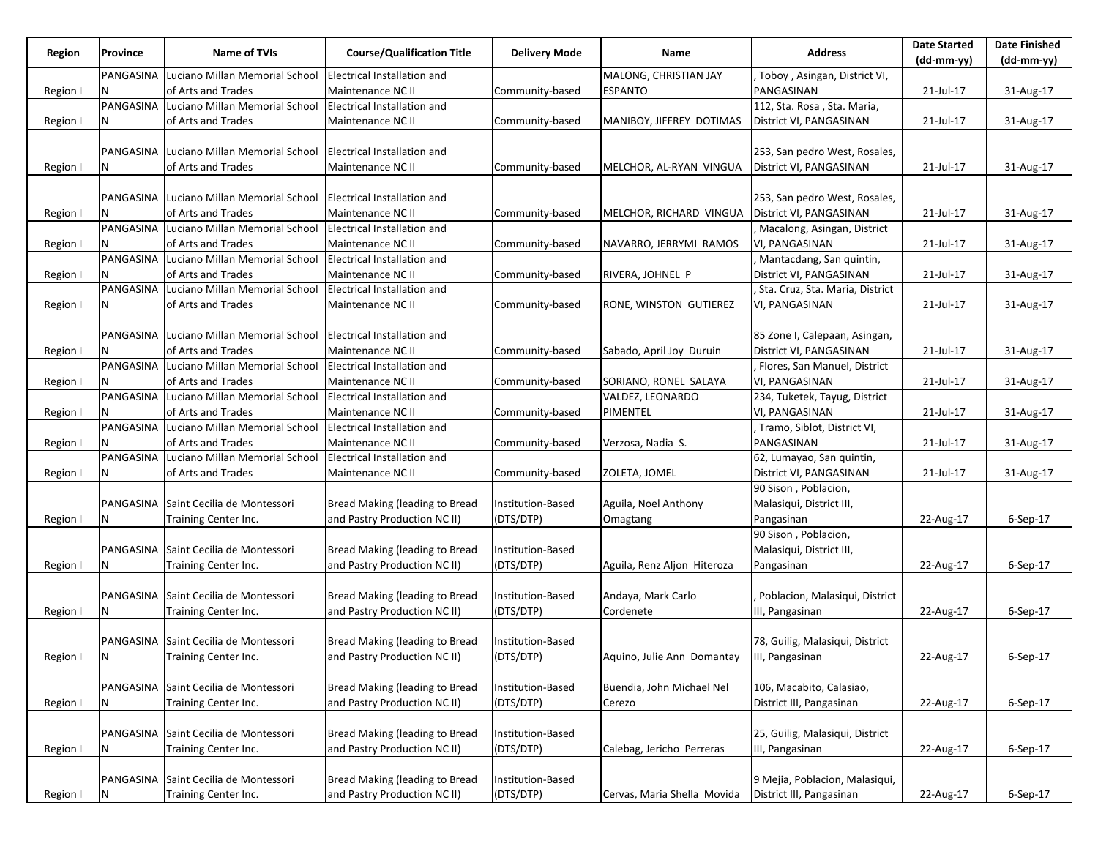| Region   | Province  | <b>Name of TVIs</b>                             | <b>Course/Qualification Title</b>  | <b>Delivery Mode</b> | Name                                        | <b>Address</b>                  | <b>Date Started</b> | <b>Date Finished</b> |
|----------|-----------|-------------------------------------------------|------------------------------------|----------------------|---------------------------------------------|---------------------------------|---------------------|----------------------|
|          |           |                                                 |                                    |                      |                                             |                                 | $(dd-mm-yy)$        | $(dd-mm-yy)$         |
|          | PANGASINA | Luciano Millan Memorial School                  | Electrical Installation and        |                      | MALONG, CHRISTIAN JAY                       | Toboy, Asingan, District VI,    |                     |                      |
| Region I | N         | of Arts and Trades                              | Maintenance NC II                  | Community-based      | <b>ESPANTO</b>                              | PANGASINAN                      | 21-Jul-17           | 31-Aug-17            |
|          | PANGASINA | Luciano Millan Memorial School                  | Electrical Installation and        |                      |                                             | 112, Sta. Rosa, Sta. Maria,     |                     |                      |
| Region I | N         | of Arts and Trades                              | Maintenance NC II                  | Community-based      | MANIBOY, JIFFREY DOTIMAS                    | District VI, PANGASINAN         | 21-Jul-17           | 31-Aug-17            |
|          |           |                                                 |                                    |                      |                                             |                                 |                     |                      |
|          |           | PANGASINA Luciano Millan Memorial School        | <b>Electrical Installation and</b> |                      |                                             | 253, San pedro West, Rosales,   |                     |                      |
| Region I |           | of Arts and Trades                              | Maintenance NC II                  | Community-based      | MELCHOR, AL-RYAN VINGUA                     | District VI, PANGASINAN         | 21-Jul-17           | 31-Aug-17            |
|          |           |                                                 |                                    |                      |                                             |                                 |                     |                      |
|          | PANGASINA | Luciano Millan Memorial School                  | <b>Electrical Installation and</b> |                      |                                             | 253, San pedro West, Rosales,   |                     |                      |
| Region I |           | of Arts and Trades                              | Maintenance NC II                  | Community-based      | MELCHOR, RICHARD VINGUA                     | District VI, PANGASINAN         | 21-Jul-17           | 31-Aug-17            |
|          |           | PANGASINA Luciano Millan Memorial School        | Electrical Installation and        |                      |                                             | Macalong, Asingan, District     |                     |                      |
| Region I |           | of Arts and Trades                              | Maintenance NC II                  | Community-based      | NAVARRO, JERRYMI RAMOS                      | VI, PANGASINAN                  | 21-Jul-17           | 31-Aug-17            |
|          |           | PANGASINA Luciano Millan Memorial School        | <b>Electrical Installation and</b> |                      |                                             | Mantacdang, San quintin,        |                     |                      |
| Region I | N         | of Arts and Trades                              | Maintenance NC II                  | Community-based      | RIVERA, JOHNEL P                            | District VI, PANGASINAN         | 21-Jul-17           | 31-Aug-17            |
|          | PANGASINA | Luciano Millan Memorial School                  | Electrical Installation and        |                      |                                             | Sta. Cruz, Sta. Maria, District |                     |                      |
| Region I |           | of Arts and Trades                              | Maintenance NC II                  | Community-based      | RONE, WINSTON GUTIEREZ                      | VI, PANGASINAN                  | 21-Jul-17           | 31-Aug-17            |
|          |           |                                                 |                                    |                      |                                             |                                 |                     |                      |
|          |           | <b>PANGASINA Luciano Millan Memorial School</b> | <b>Electrical Installation and</b> |                      |                                             | 85 Zone I, Calepaan, Asingan,   |                     |                      |
| Region I |           | of Arts and Trades                              | Maintenance NC II                  | Community-based      | Sabado, April Joy Duruin                    | District VI, PANGASINAN         | 21-Jul-17           | 31-Aug-17            |
|          |           | PANGASINA Luciano Millan Memorial School        | Electrical Installation and        |                      |                                             | Flores, San Manuel, District    |                     |                      |
| Region I |           | of Arts and Trades                              | Maintenance NC II                  | Community-based      | SORIANO, RONEL SALAYA                       | VI, PANGASINAN                  | 21-Jul-17           | 31-Aug-17            |
|          | PANGASINA | Luciano Millan Memorial School                  | Electrical Installation and        |                      | VALDEZ, LEONARDO                            | 234, Tuketek, Tayug, District   |                     |                      |
| Region I |           | of Arts and Trades                              | Maintenance NC II                  | Community-based      | PIMENTEL                                    | VI, PANGASINAN                  | 21-Jul-17           | 31-Aug-17            |
|          |           | PANGASINA Luciano Millan Memorial School        | <b>Electrical Installation and</b> |                      |                                             | , Tramo, Siblot, District VI,   |                     |                      |
| Region I |           | of Arts and Trades                              | Maintenance NC II                  | Community-based      | Verzosa, Nadia S.                           | PANGASINAN                      | 21-Jul-17           | 31-Aug-17            |
|          | PANGASINA | Luciano Millan Memorial School                  | Electrical Installation and        |                      |                                             | 62, Lumayao, San quintin,       |                     |                      |
| Region I | N         | of Arts and Trades                              | Maintenance NC II                  | Community-based      | ZOLETA, JOMEL                               | District VI, PANGASINAN         | 21-Jul-17           | 31-Aug-17            |
|          |           |                                                 |                                    |                      |                                             | 90 Sison, Poblacion,            |                     |                      |
|          |           | PANGASINA Saint Cecilia de Montessori           | Bread Making (leading to Bread     | Institution-Based    | Aguila, Noel Anthony                        | Malasiqui, District III,        |                     |                      |
| Region I |           | Training Center Inc.                            | and Pastry Production NC II)       | (DTS/DTP)            | Omagtang                                    | Pangasinan                      | 22-Aug-17           | $6-Sep-17$           |
|          |           |                                                 |                                    |                      |                                             | 90 Sison, Poblacion,            |                     |                      |
|          |           | PANGASINA Saint Cecilia de Montessori           | Bread Making (leading to Bread     | Institution-Based    |                                             | Malasiqui, District III,        |                     |                      |
| Region I | N         | Training Center Inc.                            | and Pastry Production NC II)       | (DTS/DTP)            | Aguila, Renz Aljon Hiteroza                 | Pangasinan                      | 22-Aug-17           | $6-Sep-17$           |
|          |           |                                                 |                                    |                      |                                             |                                 |                     |                      |
|          |           | PANGASINA Saint Cecilia de Montessori           | Bread Making (leading to Bread     | Institution-Based    | Andaya, Mark Carlo                          | Poblacion, Malasiqui, District  |                     |                      |
| Region I |           | Training Center Inc.                            | and Pastry Production NC II)       | (DTS/DTP)            | Cordenete                                   | III, Pangasinan                 | 22-Aug-17           | 6-Sep-17             |
|          |           |                                                 |                                    |                      |                                             |                                 |                     |                      |
|          |           | PANGASINA Saint Cecilia de Montessori           | Bread Making (leading to Bread     | Institution-Based    |                                             | 78, Guilig, Malasiqui, District |                     |                      |
| Region I | IN.       | Training Center Inc.                            | and Pastry Production NC II)       | (DTS/DTP)            | Aquino, Julie Ann Domantay  III, Pangasinan |                                 | 22-Aug-17           | 6-Sep-17             |
|          |           |                                                 |                                    |                      |                                             |                                 |                     |                      |
|          |           | PANGASINA Saint Cecilia de Montessori           | Bread Making (leading to Bread     | Institution-Based    | Buendia, John Michael Nel                   | 106, Macabito, Calasiao,        |                     |                      |
| Region I | N         | Training Center Inc.                            | and Pastry Production NC II)       | (DTS/DTP)            | Cerezo                                      | District III, Pangasinan        | 22-Aug-17           | 6-Sep-17             |
|          |           |                                                 |                                    |                      |                                             |                                 |                     |                      |
|          |           | PANGASINA Saint Cecilia de Montessori           | Bread Making (leading to Bread     | Institution-Based    |                                             | 25, Guilig, Malasiqui, District |                     |                      |
| Region I | N         | Training Center Inc.                            | and Pastry Production NC II)       | (DTS/DTP)            | Calebag, Jericho Perreras                   | III, Pangasinan                 | 22-Aug-17           | 6-Sep-17             |
|          |           |                                                 |                                    |                      |                                             |                                 |                     |                      |
|          |           | PANGASINA Saint Cecilia de Montessori           | Bread Making (leading to Bread     | Institution-Based    |                                             | 9 Mejia, Poblacion, Malasiqui,  |                     |                      |
| Region I | N         | Training Center Inc.                            | and Pastry Production NC II)       | (DTS/DTP)            | Cervas, Maria Shella Movida                 | District III, Pangasinan        | 22-Aug-17           | 6-Sep-17             |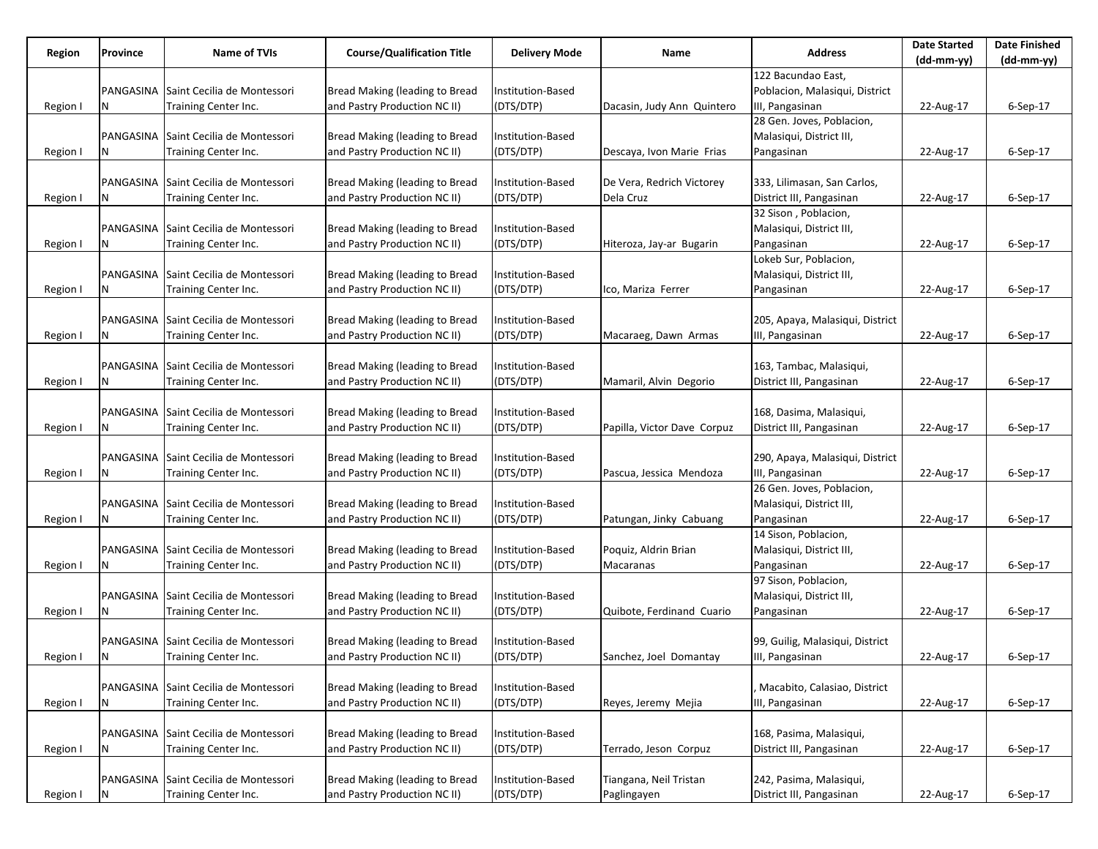|          | Province  | Name of TVIs                          | <b>Course/Qualification Title</b>     |                                | Name                        | <b>Date Started</b><br><b>Address</b> |                                                                                                                                                                                                                 | <b>Date Finished</b> |
|----------|-----------|---------------------------------------|---------------------------------------|--------------------------------|-----------------------------|---------------------------------------|-----------------------------------------------------------------------------------------------------------------------------------------------------------------------------------------------------------------|----------------------|
| Region   |           |                                       |                                       | <b>Delivery Mode</b>           |                             |                                       | $(dd-mm-yy)$<br>22-Aug-17<br>22-Aug-17<br>22-Aug-17<br>22-Aug-17<br>22-Aug-17<br>22-Aug-17<br>22-Aug-17<br>22-Aug-17<br>22-Aug-17<br>22-Aug-17<br>22-Aug-17<br>22-Aug-17<br>22-Aug-17<br>22-Aug-17<br>22-Aug-17 | $(dd-mm-yy)$         |
|          |           |                                       |                                       |                                |                             | 122 Bacundao East.                    |                                                                                                                                                                                                                 |                      |
|          |           | PANGASINA Saint Cecilia de Montessori | Bread Making (leading to Bread        | nstitution-Based               |                             | Poblacion, Malasiqui, District        |                                                                                                                                                                                                                 |                      |
| Region I | N         | Training Center Inc.                  | and Pastry Production NC II)          | (DTS/DTP)                      | Dacasin, Judy Ann Quintero  | III, Pangasinan                       |                                                                                                                                                                                                                 | 6-Sep-17             |
|          |           |                                       |                                       |                                |                             | 28 Gen. Joves, Poblacion,             |                                                                                                                                                                                                                 |                      |
|          |           | PANGASINA Saint Cecilia de Montessori | Bread Making (leading to Bread        | Institution-Based              |                             | Malasiqui, District III,              |                                                                                                                                                                                                                 |                      |
| Region I |           | Training Center Inc.                  | and Pastry Production NC II)          | (DTS/DTP)                      | Descaya, Ivon Marie Frias   | Pangasinan                            |                                                                                                                                                                                                                 | $6-Sep-17$           |
|          |           |                                       |                                       |                                |                             |                                       |                                                                                                                                                                                                                 |                      |
|          |           | PANGASINA Saint Cecilia de Montessori | Bread Making (leading to Bread        | Institution-Based              | De Vera, Redrich Victorey   | 333, Lilimasan, San Carlos,           |                                                                                                                                                                                                                 |                      |
| Region I | N         | Training Center Inc.                  | and Pastry Production NC II)          | (DTS/DTP)                      | Dela Cruz                   | District III, Pangasinan              |                                                                                                                                                                                                                 | $6-Sep-17$           |
|          |           |                                       |                                       |                                |                             | 32 Sison, Poblacion,                  |                                                                                                                                                                                                                 |                      |
|          |           | PANGASINA Saint Cecilia de Montessori | Bread Making (leading to Bread        | Institution-Based              |                             | Malasiqui, District III,              |                                                                                                                                                                                                                 |                      |
| Region I |           | Training Center Inc.                  | and Pastry Production NC II)          | (DTS/DTP)                      | Hiteroza, Jay-ar Bugarin    | Pangasinan                            |                                                                                                                                                                                                                 | 6-Sep-17             |
|          |           |                                       |                                       |                                |                             | Lokeb Sur, Poblacion,                 |                                                                                                                                                                                                                 |                      |
|          |           | PANGASINA Saint Cecilia de Montessori | <b>Bread Making (leading to Bread</b> | Institution-Based              |                             | Malasiqui, District III,              |                                                                                                                                                                                                                 |                      |
| Region I | N         | Training Center Inc.                  | and Pastry Production NC II)          | (DTS/DTP)                      | Ico, Mariza Ferrer          | Pangasinan                            |                                                                                                                                                                                                                 | 6-Sep-17             |
|          |           |                                       |                                       |                                |                             |                                       |                                                                                                                                                                                                                 |                      |
|          |           | PANGASINA Saint Cecilia de Montessori | Bread Making (leading to Bread        | Institution-Based              |                             | 205, Apaya, Malasiqui, District       |                                                                                                                                                                                                                 |                      |
| Region I | N         | Training Center Inc.                  | and Pastry Production NC II)          | (DTS/DTP)                      | Macaraeg, Dawn Armas        | III, Pangasinan                       |                                                                                                                                                                                                                 | 6-Sep-17             |
|          |           |                                       |                                       |                                |                             |                                       |                                                                                                                                                                                                                 |                      |
|          |           | PANGASINA Saint Cecilia de Montessori | Bread Making (leading to Bread        | Institution-Based              |                             | 163, Tambac, Malasiqui,               |                                                                                                                                                                                                                 |                      |
| Region I | Ν         | Training Center Inc.                  | and Pastry Production NC II)          | (DTS/DTP)                      | Mamaril, Alvin Degorio      | District III, Pangasinan              |                                                                                                                                                                                                                 | $6-$ Sep $-17$       |
|          |           |                                       |                                       |                                |                             |                                       |                                                                                                                                                                                                                 |                      |
|          |           | PANGASINA Saint Cecilia de Montessori | Bread Making (leading to Bread        | Institution-Based              |                             | 168, Dasima, Malasiqui,               |                                                                                                                                                                                                                 |                      |
| Region I |           | Training Center Inc.                  | and Pastry Production NC II)          | (DTS/DTP)                      | Papilla, Victor Dave Corpuz | District III, Pangasinan              |                                                                                                                                                                                                                 | $6-Sep-17$           |
|          |           |                                       |                                       |                                |                             |                                       |                                                                                                                                                                                                                 |                      |
|          |           | PANGASINA Saint Cecilia de Montessori | <b>Bread Making (leading to Bread</b> | Institution-Based              |                             | 290, Apaya, Malasiqui, District       |                                                                                                                                                                                                                 |                      |
| Region I | Ν         | Training Center Inc.                  | and Pastry Production NC II)          | (DTS/DTP)                      | Pascua, Jessica Mendoza     | III, Pangasinan                       |                                                                                                                                                                                                                 | 6-Sep-17             |
|          |           |                                       |                                       |                                |                             | 26 Gen. Joves, Poblacion,             |                                                                                                                                                                                                                 |                      |
|          |           | PANGASINA Saint Cecilia de Montessori | Bread Making (leading to Bread        | Institution-Based              |                             | Malasiqui, District III,              |                                                                                                                                                                                                                 |                      |
| Region I |           | Training Center Inc.                  | and Pastry Production NC II)          | (DTS/DTP)                      | Patungan, Jinky Cabuang     | Pangasinan                            |                                                                                                                                                                                                                 | $6-$ Sep $-17$       |
|          |           |                                       | <b>Bread Making (leading to Bread</b> |                                |                             | 14 Sison, Poblacion,                  |                                                                                                                                                                                                                 |                      |
|          | N         | PANGASINA Saint Cecilia de Montessori |                                       | Institution-Based<br>(DTS/DTP) | Poquiz, Aldrin Brian        | Malasiqui, District III,              |                                                                                                                                                                                                                 |                      |
| Region I |           | Training Center Inc.                  | and Pastry Production NC II)          |                                | Macaranas                   | Pangasinan<br>97 Sison, Poblacion,    |                                                                                                                                                                                                                 | 6-Sep-17             |
|          |           | PANGASINA Saint Cecilia de Montessori | Bread Making (leading to Bread        |                                |                             | Malasiqui, District III,              |                                                                                                                                                                                                                 |                      |
|          |           |                                       | and Pastry Production NC II)          | Institution-Based<br>(DTS/DTP) | Quibote, Ferdinand Cuario   |                                       |                                                                                                                                                                                                                 | 6-Sep-17             |
| Region I |           | Training Center Inc.                  |                                       |                                |                             | Pangasinan                            |                                                                                                                                                                                                                 |                      |
|          |           | PANGASINA Saint Cecilia de Montessori | Bread Making (leading to Bread        | Institution-Based              |                             | 99, Guilig, Malasiqui, District       |                                                                                                                                                                                                                 |                      |
|          | N         |                                       | and Pastry Production NC II)          | (DTS/DTP)                      | Sanchez, Joel Domantay      | III, Pangasinan                       |                                                                                                                                                                                                                 | 6-Sep-17             |
| Region I |           | Training Center Inc.                  |                                       |                                |                             |                                       |                                                                                                                                                                                                                 |                      |
|          |           | PANGASINA Saint Cecilia de Montessori | Bread Making (leading to Bread        | Institution-Based              |                             | Macabito, Calasiao, District          |                                                                                                                                                                                                                 |                      |
| Region I | N         | Training Center Inc.                  | and Pastry Production NC II)          | (DTS/DTP)                      | Reyes, Jeremy Mejia         | III, Pangasinan                       |                                                                                                                                                                                                                 | 6-Sep-17             |
|          |           |                                       |                                       |                                |                             |                                       |                                                                                                                                                                                                                 |                      |
|          |           | PANGASINA Saint Cecilia de Montessori | Bread Making (leading to Bread        | Institution-Based              |                             | 168, Pasima, Malasiqui,               |                                                                                                                                                                                                                 |                      |
| Region I | Ν         | Training Center Inc.                  | and Pastry Production NC II)          | (DTS/DTP)                      | Terrado, Jeson Corpuz       | District III, Pangasinan              |                                                                                                                                                                                                                 | 6-Sep-17             |
|          |           |                                       |                                       |                                |                             |                                       |                                                                                                                                                                                                                 |                      |
|          | PANGASINA | Saint Cecilia de Montessori           | Bread Making (leading to Bread        | Institution-Based              | Tiangana, Neil Tristan      | 242, Pasima, Malasiqui,               |                                                                                                                                                                                                                 |                      |
| Region I | N         | Training Center Inc.                  | and Pastry Production NC II)          | (DTS/DTP)                      | Paglingayen                 | District III, Pangasinan              | 22-Aug-17                                                                                                                                                                                                       | 6-Sep-17             |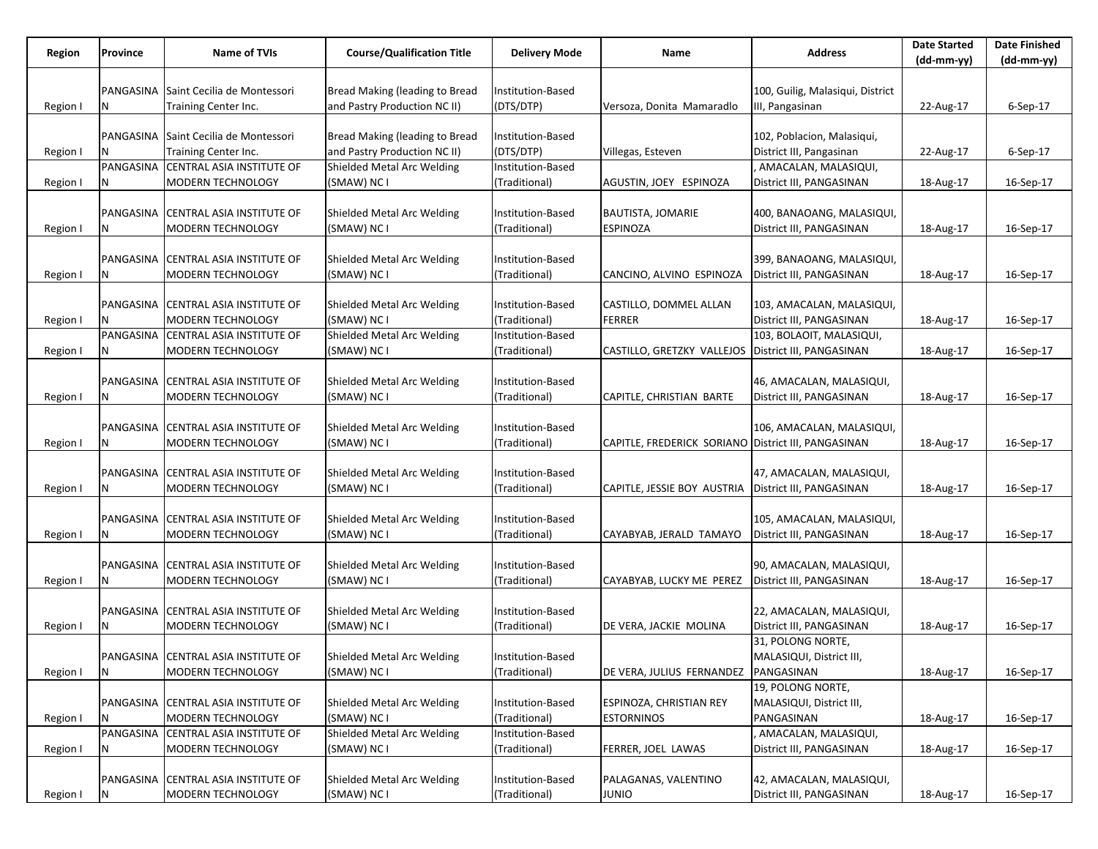|          | Province  | Name of TVIs                                                    | <b>Course/Qualification Title</b>         |                                    | Name                                                | <b>Address</b>                         | <b>Date Started</b> | <b>Date Finished</b> |
|----------|-----------|-----------------------------------------------------------------|-------------------------------------------|------------------------------------|-----------------------------------------------------|----------------------------------------|---------------------|----------------------|
| Region   |           |                                                                 |                                           | <b>Delivery Mode</b>               |                                                     |                                        | $(dd-mm-yy)$        | (dd-mm-yy)           |
|          |           |                                                                 |                                           |                                    |                                                     |                                        |                     |                      |
|          |           | PANGASINA Saint Cecilia de Montessori                           | Bread Making (leading to Bread            | Institution-Based                  |                                                     | 100, Guilig, Malasiqui, District       |                     |                      |
| Region I | Ν         | Training Center Inc.                                            | and Pastry Production NC II)              | (DTS/DTP)                          | Versoza, Donita Mamaradlo                           | III, Pangasinan                        | 22-Aug-17           | 6-Sep-17             |
|          |           |                                                                 |                                           |                                    |                                                     |                                        |                     |                      |
|          |           | PANGASINA Saint Cecilia de Montessori                           | Bread Making (leading to Bread            | Institution-Based                  |                                                     | 102, Poblacion, Malasiqui,             |                     |                      |
| Region I |           | Training Center Inc.                                            | and Pastry Production NC II)              | (DTS/DTP)                          | Villegas, Esteven                                   | District III, Pangasinan               | 22-Aug-17           | $6-Sep-17$           |
|          | PANGASINA | <b>CENTRAL ASIA INSTITUTE OF</b>                                | Shielded Metal Arc Welding                | Institution-Based                  |                                                     | AMACALAN, MALASIQUI,                   |                     |                      |
| Region I | N         | <b>MODERN TECHNOLOGY</b>                                        | (SMAW) NC I                               | (Traditional)                      | AGUSTIN, JOEY ESPINOZA                              | District III, PANGASINAN               | 18-Aug-17           | 16-Sep-17            |
|          |           |                                                                 |                                           |                                    |                                                     |                                        |                     |                      |
|          |           | PANGASINA CENTRAL ASIA INSTITUTE OF                             | Shielded Metal Arc Welding                | Institution-Based                  | <b>BAUTISTA, JOMARIE</b>                            | 400, BANAOANG, MALASIQUI,              |                     |                      |
| Region I | N         | <b>MODERN TECHNOLOGY</b>                                        | (SMAW) NC I                               | (Traditional)                      | <b>ESPINOZA</b>                                     | District III, PANGASINAN               | 18-Aug-17           | 16-Sep-17            |
|          |           |                                                                 |                                           |                                    |                                                     |                                        |                     |                      |
|          |           | PANGASINA CENTRAL ASIA INSTITUTE OF                             | Shielded Metal Arc Welding                | Institution-Based                  |                                                     | 399, BANAOANG, MALASIQUI,              |                     |                      |
| Region I | Ν         | <b>MODERN TECHNOLOGY</b>                                        | (SMAW) NC I                               | (Traditional)                      | CANCINO, ALVINO ESPINOZA                            | District III, PANGASINAN               | 18-Aug-17           | 16-Sep-17            |
|          |           |                                                                 |                                           |                                    |                                                     |                                        |                     |                      |
|          |           | PANGASINA CENTRAL ASIA INSTITUTE OF                             | Shielded Metal Arc Welding                | Institution-Based                  | CASTILLO, DOMMEL ALLAN                              | 103, AMACALAN, MALASIQUI,              |                     |                      |
| Region I |           | <b>MODERN TECHNOLOGY</b>                                        | (SMAW) NC I                               | (Traditional)                      | <b>FERRER</b>                                       | District III, PANGASINAN               | 18-Aug-17           | 16-Sep-17            |
|          |           | PANGASINA CENTRAL ASIA INSTITUTE OF                             | Shielded Metal Arc Welding                | Institution-Based                  |                                                     | 103, BOLAOIT, MALASIQUI,               |                     |                      |
| Region I |           | <b>MODERN TECHNOLOGY</b>                                        | (SMAW) NC I                               | (Traditional)                      | CASTILLO, GRETZKY VALLEJOS District III, PANGASINAN |                                        | 18-Aug-17           | 16-Sep-17            |
|          |           |                                                                 |                                           |                                    |                                                     |                                        |                     |                      |
|          |           | PANGASINA CENTRAL ASIA INSTITUTE OF                             | Shielded Metal Arc Welding                | Institution-Based                  |                                                     | 46, AMACALAN, MALASIQUI,               |                     |                      |
| Region I | Ν         | <b>MODERN TECHNOLOGY</b>                                        | (SMAW) NC I                               | Traditional)                       | CAPITLE, CHRISTIAN BARTE                            | District III, PANGASINAN               | 18-Aug-17           | 16-Sep-17            |
|          |           |                                                                 |                                           |                                    |                                                     |                                        |                     |                      |
|          |           | PANGASINA CENTRAL ASIA INSTITUTE OF                             | Shielded Metal Arc Welding                | Institution-Based                  |                                                     | 106, AMACALAN, MALASIQUI,              |                     |                      |
| Region I |           | <b>MODERN TECHNOLOGY</b>                                        | (SMAW) NC I                               | (Traditional)                      | CAPITLE, FREDERICK SORIANO District III, PANGASINAN |                                        | 18-Aug-17           | 16-Sep-17            |
|          |           |                                                                 |                                           |                                    |                                                     |                                        |                     |                      |
|          |           | PANGASINA CENTRAL ASIA INSTITUTE OF                             | Shielded Metal Arc Welding                | Institution-Based                  |                                                     | 47, AMACALAN, MALASIQUI,               |                     |                      |
| Region I | Ν         | <b>MODERN TECHNOLOGY</b>                                        | (SMAW) NC I                               | (Traditional)                      | CAPITLE, JESSIE BOY AUSTRIA                         | District III, PANGASINAN               | 18-Aug-17           | 16-Sep-17            |
|          |           |                                                                 |                                           |                                    |                                                     |                                        |                     |                      |
|          |           | PANGASINA CENTRAL ASIA INSTITUTE OF                             | Shielded Metal Arc Welding                | Institution-Based                  |                                                     | 105, AMACALAN, MALASIQUI,              |                     |                      |
| Region I | N         | <b>MODERN TECHNOLOGY</b>                                        | (SMAW) NC I                               | (Traditional)                      | CAYABYAB, JERALD TAMAYO                             | District III, PANGASINAN               | 18-Aug-17           | 16-Sep-17            |
|          |           |                                                                 |                                           |                                    |                                                     |                                        |                     |                      |
|          |           | PANGASINA CENTRAL ASIA INSTITUTE OF                             | Shielded Metal Arc Welding                | Institution-Based                  |                                                     | 90, AMACALAN, MALASIQUI,               |                     |                      |
| Region I | N         | <b>MODERN TECHNOLOGY</b>                                        | (SMAW) NC I                               | (Traditional)                      | CAYABYAB, LUCKY ME PEREZ                            | District III, PANGASINAN               | 18-Aug-17           | 16-Sep-17            |
|          |           |                                                                 |                                           |                                    |                                                     |                                        |                     |                      |
|          |           | PANGASINA CENTRAL ASIA INSTITUTE OF                             | Shielded Metal Arc Welding                | Institution-Based                  |                                                     | 22, AMACALAN, MALASIQUI,               |                     |                      |
| Region I | N         | <b>MODERN TECHNOLOGY</b>                                        | (SMAW) NC I                               | (Traditional)                      | DE VERA, JACKIE MOLINA                              | District III, PANGASINAN               | 18-Aug-17           | 16-Sep-17            |
|          |           | PANGASINA CENTRAL ASIA INSTITUTE OF                             |                                           |                                    |                                                     | 31, POLONG NORTE,                      |                     |                      |
|          |           |                                                                 | Shielded Metal Arc Welding                | Institution-Based                  |                                                     | MALASIQUI, District III,               |                     |                      |
| Region I | N         | MODERN TECHNOLOGY                                               | (SMAW) NC I                               | (Traditional)                      | DE VERA, JULIUS FERNANDEZ PANGASINAN                |                                        | 18-Aug-17           | 16-Sep-17            |
|          |           |                                                                 |                                           |                                    |                                                     | 19, POLONG NORTE,                      |                     |                      |
|          |           | PANGASINA CENTRAL ASIA INSTITUTE OF                             | Shielded Metal Arc Welding<br>(SMAW) NC I | Institution-Based                  | <b>ESPINOZA, CHRISTIAN REY</b>                      | MALASIQUI, District III,<br>PANGASINAN |                     |                      |
| Region I | N         | <b>MODERN TECHNOLOGY</b><br>PANGASINA CENTRAL ASIA INSTITUTE OF | Shielded Metal Arc Welding                | (Traditional)<br>Institution-Based | <b>ESTORNINOS</b>                                   | , AMACALAN, MALASIQUI,                 | 18-Aug-17           | 16-Sep-17            |
|          |           | MODERN TECHNOLOGY                                               | (SMAW) NC I                               | (Traditional)                      | FERRER, JOEL LAWAS                                  | District III, PANGASINAN               | 18-Aug-17           | 16-Sep-17            |
| Region I | N         |                                                                 |                                           |                                    |                                                     |                                        |                     |                      |
|          |           | PANGASINA CENTRAL ASIA INSTITUTE OF                             | Shielded Metal Arc Welding                | Institution-Based                  | PALAGANAS, VALENTINO                                | 42, AMACALAN, MALASIQUI,               |                     |                      |
| Region I | Ν         | MODERN TECHNOLOGY                                               | (SMAW) NC I                               | (Traditional)                      | <b>JUNIO</b>                                        | District III, PANGASINAN               | 18-Aug-17           | 16-Sep-17            |
|          |           |                                                                 |                                           |                                    |                                                     |                                        |                     |                      |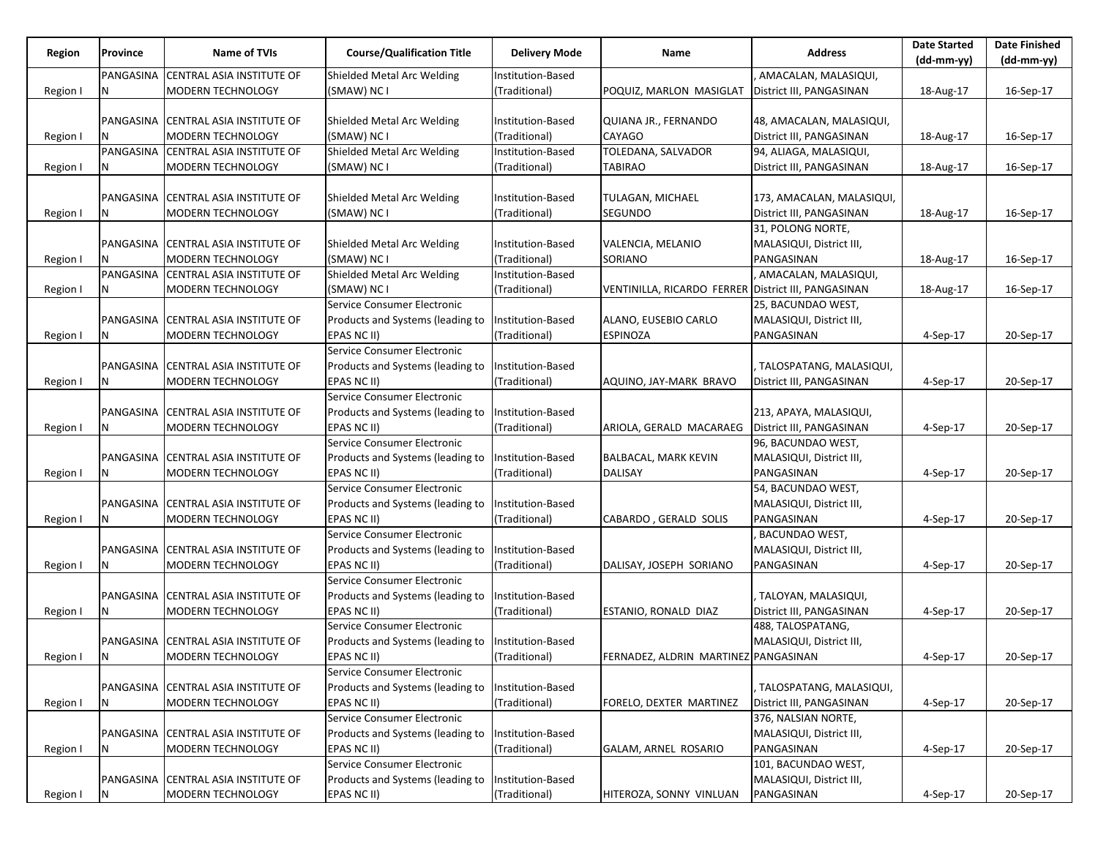|          | Province  | Name of TVIs                          | <b>Course/Qualification Title</b> |                      | Name                                                | <b>Address</b>            | <b>Date Started</b> | <b>Date Finished</b> |
|----------|-----------|---------------------------------------|-----------------------------------|----------------------|-----------------------------------------------------|---------------------------|---------------------|----------------------|
| Region   |           |                                       |                                   | <b>Delivery Mode</b> |                                                     |                           | (dd-mm-yy)          | (dd-mm-yy)           |
|          | PANGASINA | <b>CENTRAL ASIA INSTITUTE OF</b>      | Shielded Metal Arc Welding        | Institution-Based    |                                                     | AMACALAN, MALASIQUI,      |                     |                      |
| Region I | N         | MODERN TECHNOLOGY                     | (SMAW) NC I                       | (Traditional)        | POQUIZ, MARLON MASIGLAT                             | District III, PANGASINAN  | 18-Aug-17           | 16-Sep-17            |
|          |           |                                       |                                   |                      |                                                     |                           |                     |                      |
|          |           | PANGASINA   CENTRAL ASIA INSTITUTE OF | Shielded Metal Arc Welding        | Institution-Based    | QUIANA JR., FERNANDO                                | 48, AMACALAN, MALASIQUI,  |                     |                      |
| Region I |           | MODERN TECHNOLOGY                     | (SMAW) NC I                       | (Traditional)        | <b>CAYAGO</b>                                       | District III, PANGASINAN  | 18-Aug-17           | 16-Sep-17            |
|          |           | PANGASINA CENTRAL ASIA INSTITUTE OF   | Shielded Metal Arc Welding        | Institution-Based    | TOLEDANA, SALVADOR                                  | 94, ALIAGA, MALASIQUI,    |                     |                      |
| Region I |           | MODERN TECHNOLOGY                     | (SMAW) NC I                       | (Traditional)        | TABIRAO                                             | District III, PANGASINAN  | 18-Aug-17           | 16-Sep-17            |
|          |           |                                       |                                   |                      |                                                     |                           |                     |                      |
|          | PANGASINA | CENTRAL ASIA INSTITUTE OF             | Shielded Metal Arc Welding        | Institution-Based    | TULAGAN, MICHAEL                                    | 173, AMACALAN, MALASIQUI, |                     |                      |
| Region I |           | MODERN TECHNOLOGY                     | (SMAW) NC I                       | (Traditional)        | <b>SEGUNDO</b>                                      | District III, PANGASINAN  | 18-Aug-17           | 16-Sep-17            |
|          |           |                                       |                                   |                      |                                                     | 31, POLONG NORTE,         |                     |                      |
|          |           | PANGASINA CENTRAL ASIA INSTITUTE OF   | Shielded Metal Arc Welding        | Institution-Based    | VALENCIA, MELANIO                                   | MALASIQUI, District III,  |                     |                      |
| Region I |           | MODERN TECHNOLOGY                     | (SMAW) NC I                       | (Traditional)        | <b>SORIANO</b>                                      | PANGASINAN                | 18-Aug-17           | 16-Sep-17            |
|          |           | PANGASINA CENTRAL ASIA INSTITUTE OF   | Shielded Metal Arc Welding        | Institution-Based    |                                                     | , AMACALAN, MALASIQUI,    |                     |                      |
| Region I | N         | MODERN TECHNOLOGY                     | (SMAW) NC I                       | (Traditional)        | VENTINILLA, RICARDO FERRER District III, PANGASINAN |                           | 18-Aug-17           | 16-Sep-17            |
|          |           |                                       | Service Consumer Electronic       |                      |                                                     | 25, BACUNDAO WEST,        |                     |                      |
|          |           | PANGASINA CENTRAL ASIA INSTITUTE OF   | Products and Systems (leading to  |                      |                                                     |                           |                     |                      |
|          |           |                                       |                                   | Institution-Based    | ALANO, EUSEBIO CARLO                                | MALASIQUI, District III,  |                     |                      |
| Region I | N         | MODERN TECHNOLOGY                     | EPAS NC II)                       | (Traditional)        | <b>ESPINOZA</b>                                     | PANGASINAN                | $4-Sep-17$          | 20-Sep-17            |
|          |           |                                       | Service Consumer Electronic       |                      |                                                     |                           |                     |                      |
|          |           | PANGASINA CENTRAL ASIA INSTITUTE OF   | Products and Systems (leading to  | Institution-Based    |                                                     | TALOSPATANG, MALASIQUI,   |                     |                      |
| Region I | Ν         | MODERN TECHNOLOGY                     | EPAS NC II)                       | (Traditional)        | AQUINO, JAY-MARK BRAVO                              | District III, PANGASINAN  | 4-Sep-17            | 20-Sep-17            |
|          |           |                                       | Service Consumer Electronic       |                      |                                                     |                           |                     |                      |
|          |           | PANGASINA CENTRAL ASIA INSTITUTE OF   | Products and Systems (leading to  | Institution-Based    |                                                     | 213, APAYA, MALASIQUI,    |                     |                      |
| Region I |           | MODERN TECHNOLOGY                     | EPAS NC II)                       | (Traditional)        | ARIOLA, GERALD MACARAEG                             | District III, PANGASINAN  | $4-Sep-17$          | 20-Sep-17            |
|          |           |                                       | Service Consumer Electronic       |                      |                                                     | 96, BACUNDAO WEST,        |                     |                      |
|          |           | PANGASINA CENTRAL ASIA INSTITUTE OF   | Products and Systems (leading to  | Institution-Based    | <b>BALBACAL, MARK KEVIN</b>                         | MALASIQUI, District III,  |                     |                      |
| Region I | Ν         | MODERN TECHNOLOGY                     | EPAS NC II)                       | (Traditional)        | <b>DALISAY</b>                                      | PANGASINAN                | 4-Sep-17            | 20-Sep-17            |
|          |           |                                       | Service Consumer Electronic       |                      |                                                     | 54, BACUNDAO WEST,        |                     |                      |
|          |           | PANGASINA CENTRAL ASIA INSTITUTE OF   | Products and Systems (leading to  | Institution-Based    |                                                     | MALASIQUI, District III,  |                     |                      |
| Region I |           | MODERN TECHNOLOGY                     | EPAS NC II)                       | (Traditional)        | CABARDO, GERALD SOLIS                               | PANGASINAN                | 4-Sep-17            | 20-Sep-17            |
|          |           |                                       | Service Consumer Electronic       |                      |                                                     | <b>BACUNDAO WEST,</b>     |                     |                      |
|          |           | PANGASINA CENTRAL ASIA INSTITUTE OF   | Products and Systems (leading to  | Institution-Based    |                                                     | MALASIQUI, District III,  |                     |                      |
| Region I | N         | MODERN TECHNOLOGY                     | EPAS NC II)                       | (Traditional)        | DALISAY, JOSEPH SORIANO                             | PANGASINAN                | 4-Sep-17            | 20-Sep-17            |
|          |           |                                       | Service Consumer Electronic       |                      |                                                     |                           |                     |                      |
|          |           | PANGASINA CENTRAL ASIA INSTITUTE OF   | Products and Systems (leading to  | Institution-Based    |                                                     | TALOYAN, MALASIQUI,       |                     |                      |
| Region I | N         | MODERN TECHNOLOGY                     | EPAS NC II)                       | (Traditional)        | ESTANIO, RONALD DIAZ                                | District III, PANGASINAN  | 4-Sep-17            | 20-Sep-17            |
|          |           |                                       | Service Consumer Electronic       |                      |                                                     | 488, TALOSPATANG,         |                     |                      |
|          |           | PANGASINA CENTRAL ASIA INSTITUTE OF   | Products and Systems (leading to  | Institution-Based    |                                                     | MALASIQUI, District III,  |                     |                      |
| Region I | N         | MODERN TECHNOLOGY                     | EPAS NC II)                       | (Traditional)        | FERNADEZ, ALDRIN MARTINEZ PANGASINAN                |                           | 4-Sep-17            | 20-Sep-17            |
|          |           |                                       | Service Consumer Electronic       |                      |                                                     |                           |                     |                      |
|          |           | PANGASINA CENTRAL ASIA INSTITUTE OF   | Products and Systems (leading to  | Institution-Based    |                                                     | TALOSPATANG, MALASIQUI,   |                     |                      |
| Region I | N         | MODERN TECHNOLOGY                     | EPAS NC II)                       | (Traditional)        | FORELO, DEXTER MARTINEZ                             | District III, PANGASINAN  | 4-Sep-17            | 20-Sep-17            |
|          |           |                                       | Service Consumer Electronic       |                      |                                                     | 376, NALSIAN NORTE,       |                     |                      |
|          |           | PANGASINA CENTRAL ASIA INSTITUTE OF   | Products and Systems (leading to  | Institution-Based    |                                                     | MALASIQUI, District III,  |                     |                      |
| Region I | Ν         | MODERN TECHNOLOGY                     | EPAS NC II)                       | (Traditional)        | <b>GALAM, ARNEL ROSARIO</b>                         | PANGASINAN                | 4-Sep-17            | 20-Sep-17            |
|          |           |                                       | Service Consumer Electronic       |                      |                                                     | 101, BACUNDAO WEST,       |                     |                      |
|          | PANGASINA | CENTRAL ASIA INSTITUTE OF             | Products and Systems (leading to  | Institution-Based    |                                                     | MALASIQUI, District III,  |                     |                      |
| Region I | N         | MODERN TECHNOLOGY                     | EPAS NC II)                       | (Traditional)        | HITEROZA, SONNY VINLUAN                             | PANGASINAN                | 4-Sep-17            | 20-Sep-17            |
|          |           |                                       |                                   |                      |                                                     |                           |                     |                      |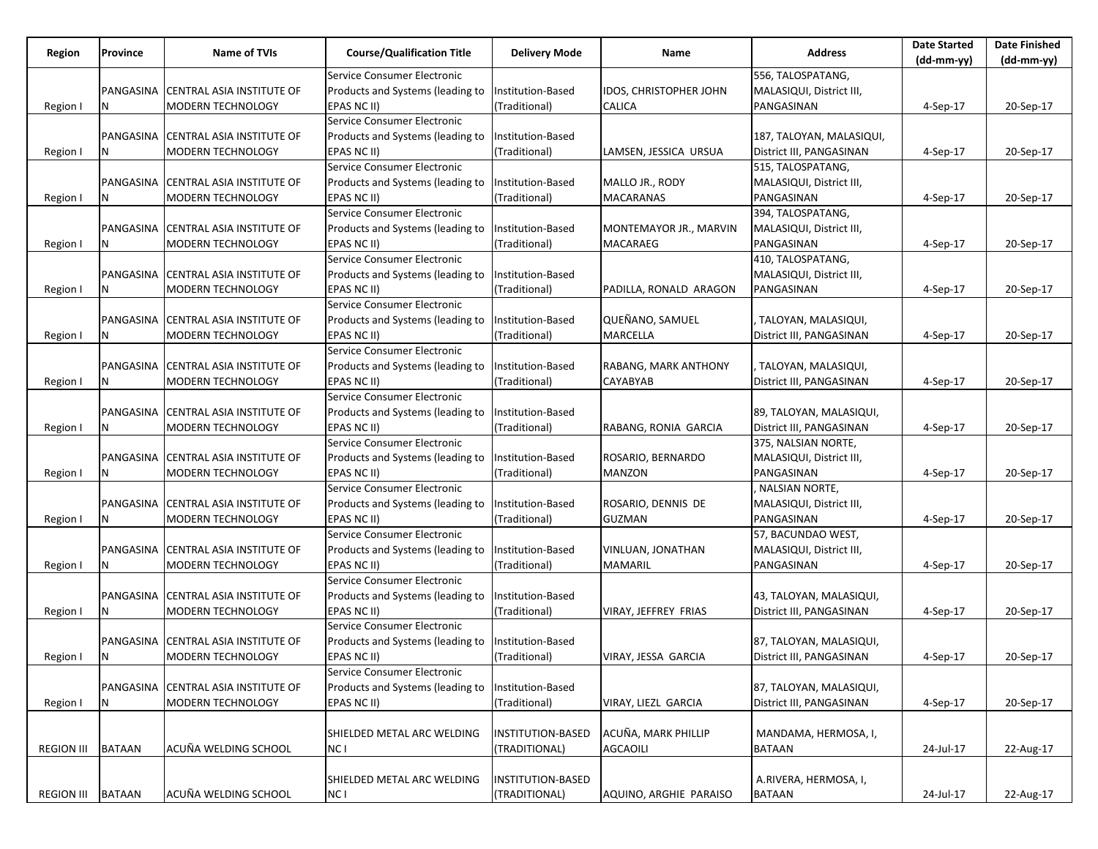|                   |               |                                     |                                   |                          |                               |                          | <b>Date Started</b> | <b>Date Finished</b> |
|-------------------|---------------|-------------------------------------|-----------------------------------|--------------------------|-------------------------------|--------------------------|---------------------|----------------------|
| Region            | Province      | Name of TVIs                        | <b>Course/Qualification Title</b> | <b>Delivery Mode</b>     | Name                          | <b>Address</b>           | (dd-mm-yy)          | $(dd-mm-yy)$         |
|                   |               |                                     | Service Consumer Electronic       |                          |                               | 556, TALOSPATANG,        |                     |                      |
|                   |               | PANGASINA CENTRAL ASIA INSTITUTE OF | Products and Systems (leading to  | Institution-Based        | <b>IDOS, CHRISTOPHER JOHN</b> | MALASIQUI, District III, |                     |                      |
| Region I          | N             | MODERN TECHNOLOGY                   | EPAS NC II)                       | (Traditional)            | CALICA                        | PANGASINAN               | $4-Sep-17$          | 20-Sep-17            |
|                   |               |                                     | Service Consumer Electronic       |                          |                               |                          |                     |                      |
|                   |               | PANGASINA CENTRAL ASIA INSTITUTE OF | Products and Systems (leading to  | Institution-Based        |                               | 187, TALOYAN, MALASIQUI, |                     |                      |
| Region I          |               | MODERN TECHNOLOGY                   | EPAS NC II)                       | (Traditional)            | LAMSEN, JESSICA URSUA         | District III, PANGASINAN | $4-Sep-17$          | 20-Sep-17            |
|                   |               |                                     | Service Consumer Electronic       |                          |                               | 515, TALOSPATANG,        |                     |                      |
|                   |               | PANGASINA CENTRAL ASIA INSTITUTE OF | Products and Systems (leading to  | Institution-Based        | MALLO JR., RODY               | MALASIQUI, District III, |                     |                      |
| Region I          | N             | MODERN TECHNOLOGY                   | EPAS NC II)                       | (Traditional)            | <b>MACARANAS</b>              | PANGASINAN               | 4-Sep-17            | 20-Sep-17            |
|                   |               |                                     | Service Consumer Electronic       |                          |                               | 394, TALOSPATANG,        |                     |                      |
|                   |               | PANGASINA CENTRAL ASIA INSTITUTE OF | Products and Systems (leading to  | Institution-Based        | MONTEMAYOR JR., MARVIN        | MALASIQUI, District III, |                     |                      |
| Region I          | N             | MODERN TECHNOLOGY                   | EPAS NC II)                       | (Traditional)            | MACARAEG                      | PANGASINAN               | $4-Sep-17$          | 20-Sep-17            |
|                   |               |                                     | Service Consumer Electronic       |                          |                               | 410, TALOSPATANG,        |                     |                      |
|                   |               | PANGASINA CENTRAL ASIA INSTITUTE OF | Products and Systems (leading to  | Institution-Based        |                               | MALASIQUI, District III, |                     |                      |
| Region I          | N             | MODERN TECHNOLOGY                   | EPAS NC II)                       | (Traditional)            | PADILLA, RONALD ARAGON        | PANGASINAN               | $4-Sep-17$          | 20-Sep-17            |
|                   |               |                                     | Service Consumer Electronic       |                          |                               |                          |                     |                      |
|                   |               |                                     |                                   |                          | QUEÑANO, SAMUEL               |                          |                     |                      |
|                   |               | PANGASINA CENTRAL ASIA INSTITUTE OF | Products and Systems (leading to  | Institution-Based        |                               | , TALOYAN, MALASIQUI,    |                     |                      |
| Region I          | N             | MODERN TECHNOLOGY                   | EPAS NC II)                       | (Traditional)            | MARCELLA                      | District III, PANGASINAN | $4-Sep-17$          | 20-Sep-17            |
|                   |               |                                     | Service Consumer Electronic       |                          |                               |                          |                     |                      |
|                   |               | PANGASINA CENTRAL ASIA INSTITUTE OF | Products and Systems (leading to  | Institution-Based        | RABANG, MARK ANTHONY          | . TALOYAN, MALASIQUI,    |                     |                      |
| Region I          | N             | MODERN TECHNOLOGY                   | EPAS NC II)                       | (Traditional)            | CAYABYAB                      | District III, PANGASINAN | 4-Sep-17            | 20-Sep-17            |
|                   |               |                                     | Service Consumer Electronic       |                          |                               |                          |                     |                      |
|                   |               | PANGASINA CENTRAL ASIA INSTITUTE OF | Products and Systems (leading to  | Institution-Based        |                               | 89, TALOYAN, MALASIQUI,  |                     |                      |
| Region I          | N             | MODERN TECHNOLOGY                   | EPAS NC II)                       | (Traditional)            | RABANG, RONIA GARCIA          | District III, PANGASINAN | $4-Sep-17$          | 20-Sep-17            |
|                   |               |                                     | Service Consumer Electronic       |                          |                               | 375, NALSIAN NORTE,      |                     |                      |
|                   |               | PANGASINA CENTRAL ASIA INSTITUTE OF | Products and Systems (leading to  | Institution-Based        | ROSARIO, BERNARDO             | MALASIQUI, District III, |                     |                      |
| Region I          | N             | MODERN TECHNOLOGY                   | EPAS NC II)                       | (Traditional)            | <b>MANZON</b>                 | PANGASINAN               | 4-Sep-17            | 20-Sep-17            |
|                   |               |                                     | Service Consumer Electronic       |                          |                               | NALSIAN NORTE,           |                     |                      |
|                   |               | PANGASINA CENTRAL ASIA INSTITUTE OF | Products and Systems (leading to  | Institution-Based        | ROSARIO, DENNIS DE            | MALASIQUI, District III, |                     |                      |
| Region I          | N             | MODERN TECHNOLOGY                   | EPAS NC II)                       | (Traditional)            | <b>GUZMAN</b>                 | PANGASINAN               | $4-Sep-17$          | 20-Sep-17            |
|                   |               |                                     | Service Consumer Electronic       |                          |                               | 57, BACUNDAO WEST,       |                     |                      |
|                   |               | PANGASINA CENTRAL ASIA INSTITUTE OF | Products and Systems (leading to  | Institution-Based        | VINLUAN, JONATHAN             | MALASIQUI, District III, |                     |                      |
| Region I          | N             | MODERN TECHNOLOGY                   | EPAS NC II)                       | (Traditional)            | <b>MAMARIL</b>                | PANGASINAN               | $4-Sep-17$          | 20-Sep-17            |
|                   |               |                                     | Service Consumer Electronic       |                          |                               |                          |                     |                      |
|                   |               | PANGASINA CENTRAL ASIA INSTITUTE OF | Products and Systems (leading to  | Institution-Based        |                               | 43, TALOYAN, MALASIQUI,  |                     |                      |
| Region I          |               | MODERN TECHNOLOGY                   | EPAS NC II)                       | (Traditional)            | VIRAY, JEFFREY FRIAS          | District III, PANGASINAN | 4-Sep-17            | 20-Sep-17            |
|                   |               |                                     | Service Consumer Electronic       |                          |                               |                          |                     |                      |
|                   |               | PANGASINA CENTRAL ASIA INSTITUTE OF | Products and Systems (leading to  | Institution-Based        |                               | 87, TALOYAN, MALASIQUI,  |                     |                      |
| Region I          | IN.           | MODERN TECHNOLOGY                   | EPAS NC II)                       | (Traditional)            | VIRAY, JESSA GARCIA           | District III, PANGASINAN | 4-Sep-17            | 20-Sep-17            |
|                   |               |                                     | Service Consumer Electronic       |                          |                               |                          |                     |                      |
|                   |               | PANGASINA CENTRAL ASIA INSTITUTE OF | Products and Systems (leading to  | <b>Institution-Based</b> |                               | 87, TALOYAN, MALASIQUI,  |                     |                      |
| Region I          | Ν             | MODERN TECHNOLOGY                   | EPAS NC II)                       | (Traditional)            | VIRAY, LIEZL GARCIA           | District III, PANGASINAN | 4-Sep-17            | 20-Sep-17            |
|                   |               |                                     |                                   |                          |                               |                          |                     |                      |
|                   |               |                                     | SHIELDED METAL ARC WELDING        | <b>INSTITUTION-BASED</b> | ACUÑA, MARK PHILLIP           | MANDAMA, HERMOSA, I,     |                     |                      |
| <b>REGION III</b> | <b>BATAAN</b> | ACUÑA WELDING SCHOOL                | NC I                              | (TRADITIONAL)            | <b>AGCAOILI</b>               | <b>BATAAN</b>            | 24-Jul-17           | 22-Aug-17            |
|                   |               |                                     |                                   |                          |                               |                          |                     |                      |
|                   |               |                                     | SHIELDED METAL ARC WELDING        | INSTITUTION-BASED        |                               | A.RIVERA, HERMOSA, I,    |                     |                      |
|                   |               |                                     |                                   |                          |                               |                          |                     |                      |
| <b>REGION III</b> | <b>BATAAN</b> | ACUÑA WELDING SCHOOL                | NC I                              | (TRADITIONAL)            | AQUINO, ARGHIE PARAISO        | <b>BATAAN</b>            | 24-Jul-17           | 22-Aug-17            |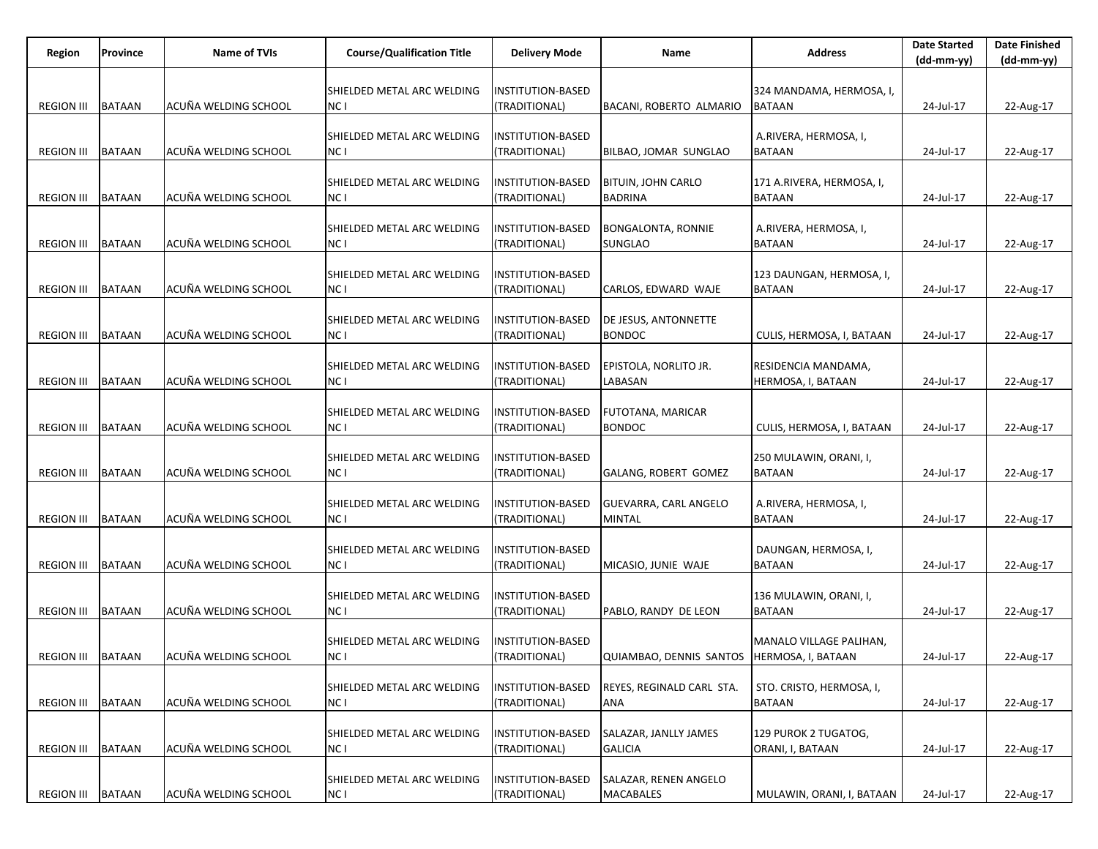| Region              | Province      | Name of TVIs         | <b>Course/Qualification Title</b>             | <b>Delivery Mode</b>                      | Name                                         | <b>Address</b>                            | <b>Date Started</b><br>$(dd-mm-yy)$ | <b>Date Finished</b><br>$(dd-mm-yy)$ |
|---------------------|---------------|----------------------|-----------------------------------------------|-------------------------------------------|----------------------------------------------|-------------------------------------------|-------------------------------------|--------------------------------------|
|                     |               |                      |                                               |                                           |                                              |                                           |                                     |                                      |
| <b>REGION III</b>   | <b>BATAAN</b> | ACUÑA WELDING SCHOOL | SHIELDED METAL ARC WELDING<br>NC I            | <b>INSTITUTION-BASED</b><br>(TRADITIONAL) | BACANI, ROBERTO ALMARIO                      | 324 MANDAMA, HERMOSA, I,<br><b>BATAAN</b> | 24-Jul-17                           | 22-Aug-17                            |
|                     |               |                      |                                               |                                           |                                              |                                           |                                     |                                      |
|                     |               |                      | SHIELDED METAL ARC WELDING                    | <b>INSTITUTION-BASED</b>                  |                                              | A.RIVERA, HERMOSA, I,                     |                                     |                                      |
| <b>REGION III</b>   | <b>BATAAN</b> | ACUÑA WELDING SCHOOL | NC I                                          | (TRADITIONAL)                             | BILBAO, JOMAR SUNGLAO                        | BATAAN                                    | 24-Jul-17                           | 22-Aug-17                            |
|                     |               |                      | SHIELDED METAL ARC WELDING                    | <b>INSTITUTION-BASED</b>                  | <b>BITUIN, JOHN CARLO</b>                    | 171 A.RIVERA, HERMOSA, I,                 |                                     |                                      |
| <b>REGION III</b>   | <b>BATAAN</b> | ACUÑA WELDING SCHOOL | NC I                                          | (TRADITIONAL)                             | <b>BADRINA</b>                               | <b>BATAAN</b>                             | 24-Jul-17                           | 22-Aug-17                            |
|                     |               |                      |                                               | <b>INSTITUTION-BASED</b>                  |                                              | A.RIVERA, HERMOSA, I,                     |                                     |                                      |
| <b>REGION III</b>   | <b>BATAAN</b> | ACUÑA WELDING SCHOOL | SHIELDED METAL ARC WELDING<br>NC I            | (TRADITIONAL)                             | BONGALONTA, RONNIE<br>SUNGLAO                | BATAAN                                    | 24-Jul-17                           | 22-Aug-17                            |
|                     |               |                      |                                               |                                           |                                              |                                           |                                     |                                      |
|                     |               |                      | SHIELDED METAL ARC WELDING                    | <b>INSTITUTION-BASED</b>                  |                                              | 123 DAUNGAN, HERMOSA, I,                  |                                     |                                      |
| <b>REGION III</b>   | <b>BATAAN</b> | ACUÑA WELDING SCHOOL | NC I                                          | (TRADITIONAL)                             | CARLOS, EDWARD WAJE                          | <b>BATAAN</b>                             | 24-Jul-17                           | 22-Aug-17                            |
|                     |               |                      | SHIELDED METAL ARC WELDING                    | INSTITUTION-BASED                         | DE JESUS, ANTONNETTE                         |                                           |                                     |                                      |
| <b>REGION III</b>   | <b>BATAAN</b> | ACUÑA WELDING SCHOOL | NC I                                          | (TRADITIONAL)                             | <b>BONDOC</b>                                | CULIS, HERMOSA, I, BATAAN                 | 24-Jul-17                           | 22-Aug-17                            |
|                     |               |                      | SHIELDED METAL ARC WELDING                    | <b>INSTITUTION-BASED</b>                  | EPISTOLA, NORLITO JR.                        | RESIDENCIA MANDAMA,                       |                                     |                                      |
| <b>REGION III</b>   | <b>BATAAN</b> | ACUÑA WELDING SCHOOL | NC I                                          | (TRADITIONAL)                             | LABASAN                                      | HERMOSA, I, BATAAN                        | 24-Jul-17                           | 22-Aug-17                            |
|                     |               |                      |                                               |                                           |                                              |                                           |                                     |                                      |
|                     |               |                      | SHIELDED METAL ARC WELDING                    | INSTITUTION-BASED                         | FUTOTANA, MARICAR                            |                                           |                                     |                                      |
| <b>REGION III</b>   | <b>BATAAN</b> | ACUÑA WELDING SCHOOL | NC I                                          | (TRADITIONAL)                             | <b>BONDOC</b>                                | CULIS, HERMOSA, I, BATAAN                 | 24-Jul-17                           | 22-Aug-17                            |
|                     |               |                      | SHIELDED METAL ARC WELDING                    | <b>INSTITUTION-BASED</b>                  |                                              | 250 MULAWIN, ORANI, I,                    |                                     |                                      |
| <b>REGION III</b>   | <b>BATAAN</b> | ACUÑA WELDING SCHOOL | NC I                                          | (TRADITIONAL)                             | GALANG, ROBERT GOMEZ                         | <b>BATAAN</b>                             | 24-Jul-17                           | 22-Aug-17                            |
|                     |               |                      | SHIELDED METAL ARC WELDING                    | <b>INSTITUTION-BASED</b>                  | GUEVARRA, CARL ANGELO                        | A.RIVERA, HERMOSA, I,                     |                                     |                                      |
| <b>REGION III</b>   | <b>BATAAN</b> | ACUÑA WELDING SCHOOL | NC I                                          | (TRADITIONAL)                             | MINTAL                                       | <b>BATAAN</b>                             | 24-Jul-17                           | 22-Aug-17                            |
|                     |               |                      |                                               |                                           |                                              |                                           |                                     |                                      |
|                     |               |                      | SHIELDED METAL ARC WELDING                    | <b>INSTITUTION-BASED</b>                  |                                              | DAUNGAN, HERMOSA, I,                      |                                     |                                      |
| <b>REGION III</b>   | <b>BATAAN</b> | ACUÑA WELDING SCHOOL | NC I                                          | (TRADITIONAL)                             | MICASIO, JUNIE WAJE                          | <b>BATAAN</b>                             | 24-Jul-17                           | 22-Aug-17                            |
|                     |               |                      | SHIELDED METAL ARC WELDING                    | <b>INSTITUTION-BASED</b>                  |                                              | 136 MULAWIN, ORANI, I,                    |                                     |                                      |
| <b>REGION III</b>   | <b>BATAAN</b> | ACUÑA WELDING SCHOOL | NC I                                          | (TRADITIONAL)                             | PABLO, RANDY DE LEON                         | <b>BATAAN</b>                             | 24-Jul-17                           | 22-Aug-17                            |
|                     |               |                      | SHIELDED METAL ARC WELDING                    | <b>INSTITUTION-BASED</b>                  |                                              | MANALO VILLAGE PALIHAN,                   |                                     |                                      |
| REGION III   BATAAN |               | ACUÑA WELDING SCHOOL | NC I                                          | (TRADITIONAL)                             | QUIAMBAO, DENNIS SANTOS   HERMOSA, I, BATAAN |                                           | 24-Jul-17                           | 22-Aug-17                            |
|                     |               |                      |                                               |                                           |                                              |                                           |                                     |                                      |
| <b>REGION III</b>   | <b>BATAAN</b> | ACUÑA WELDING SCHOOL | SHIELDED METAL ARC WELDING<br>NC <sub>1</sub> | <b>INSTITUTION-BASED</b>                  | REYES, REGINALD CARL STA.<br>ANA             | STO. CRISTO, HERMOSA, I,<br><b>BATAAN</b> |                                     |                                      |
|                     |               |                      |                                               | (TRADITIONAL)                             |                                              |                                           | 24-Jul-17                           | 22-Aug-17                            |
|                     |               |                      | SHIELDED METAL ARC WELDING                    | <b>INSTITUTION-BASED</b>                  | SALAZAR, JANLLY JAMES                        | 129 PUROK 2 TUGATOG,                      |                                     |                                      |
| <b>REGION III</b>   | <b>BATAAN</b> | ACUÑA WELDING SCHOOL | NC I                                          | (TRADITIONAL)                             | <b>GALICIA</b>                               | ORANI, I, BATAAN                          | 24-Jul-17                           | 22-Aug-17                            |
|                     |               |                      | SHIELDED METAL ARC WELDING                    | <b>INSTITUTION-BASED</b>                  | SALAZAR, RENEN ANGELO                        |                                           |                                     |                                      |
| <b>REGION III</b>   | <b>BATAAN</b> | ACUÑA WELDING SCHOOL | NC I                                          | (TRADITIONAL)                             | MACABALES                                    | MULAWIN, ORANI, I, BATAAN                 | 24-Jul-17                           | 22-Aug-17                            |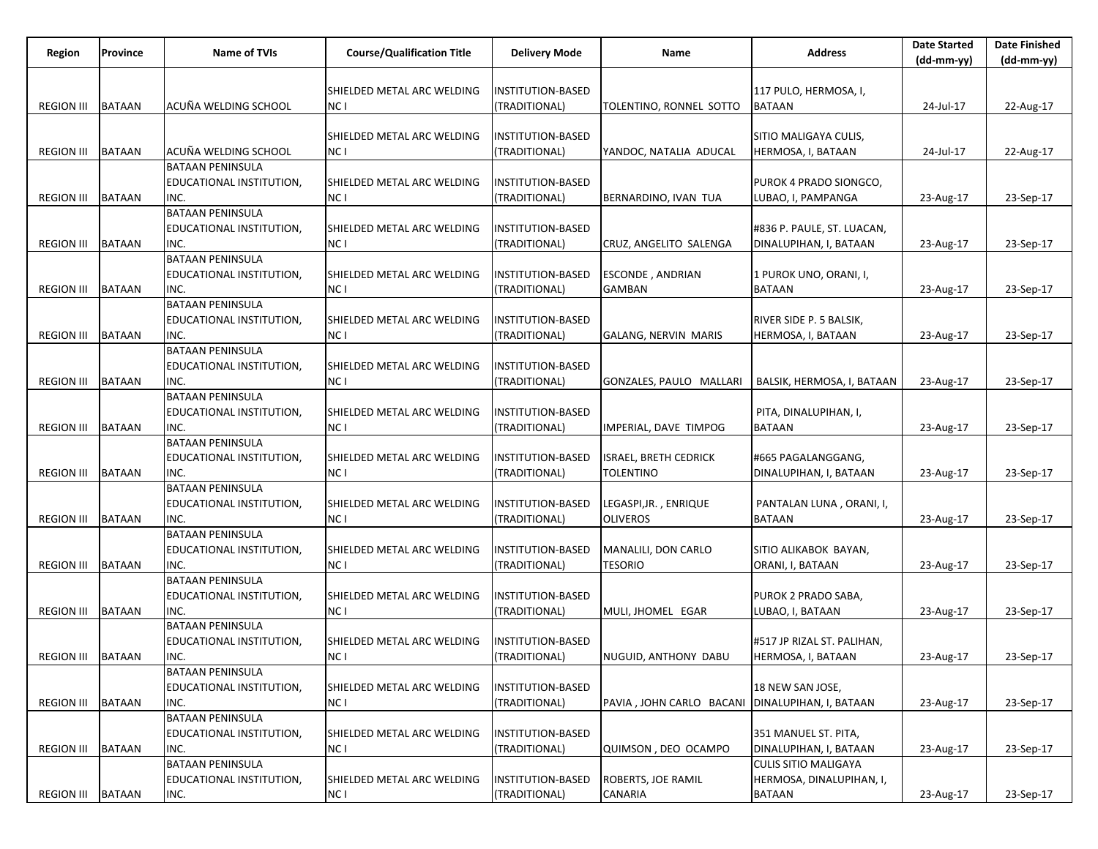| Region            | Province      | Name of TVIs                     | <b>Course/Qualification Title</b>  | <b>Delivery Mode</b>     | Name                                              | <b>Address</b>              | <b>Date Started</b><br>$(dd-mm-yy)$ | <b>Date Finished</b><br>$(dd-mm-yy)$ |
|-------------------|---------------|----------------------------------|------------------------------------|--------------------------|---------------------------------------------------|-----------------------------|-------------------------------------|--------------------------------------|
|                   |               |                                  |                                    |                          |                                                   |                             |                                     |                                      |
|                   |               |                                  | SHIELDED METAL ARC WELDING         | INSTITUTION-BASED        |                                                   | 117 PULO, HERMOSA, I,       |                                     |                                      |
| <b>REGION III</b> | <b>BATAAN</b> | ACUÑA WELDING SCHOOL             | NC I                               | (TRADITIONAL)            | TOLENTINO, RONNEL SOTTO                           | <b>BATAAN</b>               | 24-Jul-17                           | 22-Aug-17                            |
|                   |               |                                  |                                    |                          |                                                   |                             |                                     |                                      |
|                   |               |                                  | SHIELDED METAL ARC WELDING         | INSTITUTION-BASED        |                                                   | SITIO MALIGAYA CULIS,       |                                     |                                      |
| <b>REGION III</b> | <b>BATAAN</b> | ACUÑA WELDING SCHOOL             | NC I                               | (TRADITIONAL)            | YANDOC, NATALIA ADUCAL                            | HERMOSA, I, BATAAN          | 24-Jul-17                           | 22-Aug-17                            |
|                   |               | <b>BATAAN PENINSULA</b>          |                                    |                          |                                                   |                             |                                     |                                      |
|                   |               | EDUCATIONAL INSTITUTION,         | SHIELDED METAL ARC WELDING         | INSTITUTION-BASED        |                                                   | PUROK 4 PRADO SIONGCO,      |                                     |                                      |
| <b>REGION III</b> | <b>BATAAN</b> | INC.                             | NC I                               | (TRADITIONAL)            | BERNARDINO, IVAN TUA                              | LUBAO, I, PAMPANGA          | 23-Aug-17                           | 23-Sep-17                            |
|                   |               | <b>BATAAN PENINSULA</b>          |                                    |                          |                                                   |                             |                                     |                                      |
| <b>REGION III</b> | <b>BATAAN</b> | EDUCATIONAL INSTITUTION,<br>INC. | SHIELDED METAL ARC WELDING<br>NC I | INSTITUTION-BASED        |                                                   | #836 P. PAULE, ST. LUACAN,  |                                     |                                      |
|                   |               | <b>BATAAN PENINSULA</b>          |                                    | (TRADITIONAL)            | CRUZ, ANGELITO SALENGA                            | DINALUPIHAN, I, BATAAN      | 23-Aug-17                           | 23-Sep-17                            |
|                   |               | EDUCATIONAL INSTITUTION,         | SHIELDED METAL ARC WELDING         | <b>INSTITUTION-BASED</b> | <b>ESCONDE, ANDRIAN</b>                           | 1 PUROK UNO, ORANI, I,      |                                     |                                      |
| <b>REGION III</b> | <b>BATAAN</b> | INC.                             | NC I                               | (TRADITIONAL)            | <b>GAMBAN</b>                                     | <b>BATAAN</b>               | 23-Aug-17                           | 23-Sep-17                            |
|                   |               | <b>BATAAN PENINSULA</b>          |                                    |                          |                                                   |                             |                                     |                                      |
|                   |               | EDUCATIONAL INSTITUTION,         | SHIELDED METAL ARC WELDING         | INSTITUTION-BASED        |                                                   | RIVER SIDE P. 5 BALSIK,     |                                     |                                      |
| <b>REGION III</b> | <b>BATAAN</b> | INC.                             | NC I                               | (TRADITIONAL)            | <b>GALANG, NERVIN MARIS</b>                       | HERMOSA, I, BATAAN          | 23-Aug-17                           | 23-Sep-17                            |
|                   |               | <b>BATAAN PENINSULA</b>          |                                    |                          |                                                   |                             |                                     |                                      |
|                   |               | EDUCATIONAL INSTITUTION,         | SHIELDED METAL ARC WELDING         | INSTITUTION-BASED        |                                                   |                             |                                     |                                      |
| <b>REGION III</b> | <b>BATAAN</b> | INC.                             | NC I                               | (TRADITIONAL)            | GONZALES, PAULO MALLARI                           | BALSIK, HERMOSA, I, BATAAN  | 23-Aug-17                           | 23-Sep-17                            |
|                   |               | <b>BATAAN PENINSULA</b>          |                                    |                          |                                                   |                             |                                     |                                      |
|                   |               | EDUCATIONAL INSTITUTION,         | SHIELDED METAL ARC WELDING         | INSTITUTION-BASED        |                                                   | PITA, DINALUPIHAN, I,       |                                     |                                      |
| <b>REGION III</b> | <b>BATAAN</b> | INC.                             | NC I                               | (TRADITIONAL)            | IMPERIAL, DAVE TIMPOG                             | <b>BATAAN</b>               | 23-Aug-17                           | 23-Sep-17                            |
|                   |               | <b>BATAAN PENINSULA</b>          |                                    |                          |                                                   |                             |                                     |                                      |
|                   |               | EDUCATIONAL INSTITUTION,         | SHIELDED METAL ARC WELDING         | INSTITUTION-BASED        | <b>ISRAEL, BRETH CEDRICK</b>                      | #665 PAGALANGGANG,          |                                     |                                      |
| <b>REGION III</b> | <b>BATAAN</b> | INC.                             | NC I                               | (TRADITIONAL)            | TOLENTINO                                         | DINALUPIHAN, I, BATAAN      | 23-Aug-17                           | 23-Sep-17                            |
|                   |               | <b>BATAAN PENINSULA</b>          |                                    |                          |                                                   |                             |                                     |                                      |
|                   |               | EDUCATIONAL INSTITUTION,         | SHIELDED METAL ARC WELDING         | INSTITUTION-BASED        | LEGASPI,JR. , ENRIQUE                             | PANTALAN LUNA, ORANI, I,    |                                     |                                      |
| <b>REGION III</b> | <b>BATAAN</b> | INC.                             | NC I                               | (TRADITIONAL)            | <b>OLIVEROS</b>                                   | <b>BATAAN</b>               | 23-Aug-17                           | 23-Sep-17                            |
|                   |               | <b>BATAAN PENINSULA</b>          |                                    |                          |                                                   |                             |                                     |                                      |
|                   |               | EDUCATIONAL INSTITUTION,         | SHIELDED METAL ARC WELDING         | INSTITUTION-BASED        | MANALILI, DON CARLO                               | SITIO ALIKABOK BAYAN,       |                                     |                                      |
| <b>REGION III</b> | <b>BATAAN</b> | INC.                             | NC I                               | (TRADITIONAL)            | TESORIO                                           | ORANI, I, BATAAN            | 23-Aug-17                           | 23-Sep-17                            |
|                   |               | <b>BATAAN PENINSULA</b>          |                                    |                          |                                                   |                             |                                     |                                      |
|                   |               | EDUCATIONAL INSTITUTION,         | SHIELDED METAL ARC WELDING         | INSTITUTION-BASED        |                                                   | PUROK 2 PRADO SABA,         |                                     |                                      |
| <b>REGION III</b> | <b>BATAAN</b> | INC.                             | NC I                               | (TRADITIONAL)            | MULI, JHOMEL EGAR                                 | LUBAO, I, BATAAN            | 23-Aug-17                           | 23-Sep-17                            |
|                   |               | <b>BATAAN PENINSULA</b>          |                                    |                          |                                                   |                             |                                     |                                      |
|                   |               | EDUCATIONAL INSTITUTION,         | SHIELDED METAL ARC WELDING         | INSTITUTION-BASED        |                                                   | #517 JP RIZAL ST. PALIHAN,  |                                     |                                      |
| REGION III BATAAN |               | INC.                             | NC I                               | (TRADITIONAL)            | NUGUID, ANTHONY DABU                              | HERMOSA, I, BATAAN          | 23-Aug-17                           | 23-Sep-17                            |
|                   |               | <b>BATAAN PENINSULA</b>          |                                    |                          |                                                   |                             |                                     |                                      |
|                   |               | EDUCATIONAL INSTITUTION,         | SHIELDED METAL ARC WELDING         | INSTITUTION-BASED        |                                                   | 18 NEW SAN JOSE,            |                                     |                                      |
| <b>REGION III</b> | <b>BATAAN</b> | INC.                             | NC <sub>1</sub>                    | (TRADITIONAL)            | PAVIA, JOHN CARLO BACANI   DINALUPIHAN, I, BATAAN |                             | 23-Aug-17                           | 23-Sep-17                            |
|                   |               | <b>BATAAN PENINSULA</b>          |                                    |                          |                                                   |                             |                                     |                                      |
|                   |               | EDUCATIONAL INSTITUTION,         | SHIELDED METAL ARC WELDING         | INSTITUTION-BASED        |                                                   | 351 MANUEL ST. PITA,        |                                     |                                      |
| <b>REGION III</b> | <b>BATAAN</b> | INC.                             | NC <sub>1</sub>                    | (TRADITIONAL)            | QUIMSON, DEO OCAMPO                               | DINALUPIHAN, I, BATAAN      | 23-Aug-17                           | 23-Sep-17                            |
|                   |               | <b>BATAAN PENINSULA</b>          |                                    |                          |                                                   | <b>CULIS SITIO MALIGAYA</b> |                                     |                                      |
|                   |               | <b>EDUCATIONAL INSTITUTION,</b>  | SHIELDED METAL ARC WELDING         | INSTITUTION-BASED        | <b>ROBERTS, JOE RAMIL</b>                         | HERMOSA, DINALUPIHAN, I,    |                                     |                                      |
| <b>REGION III</b> | <b>BATAAN</b> | INC.                             | NC I                               | (TRADITIONAL)            | CANARIA                                           | <b>BATAAN</b>               | 23-Aug-17                           | 23-Sep-17                            |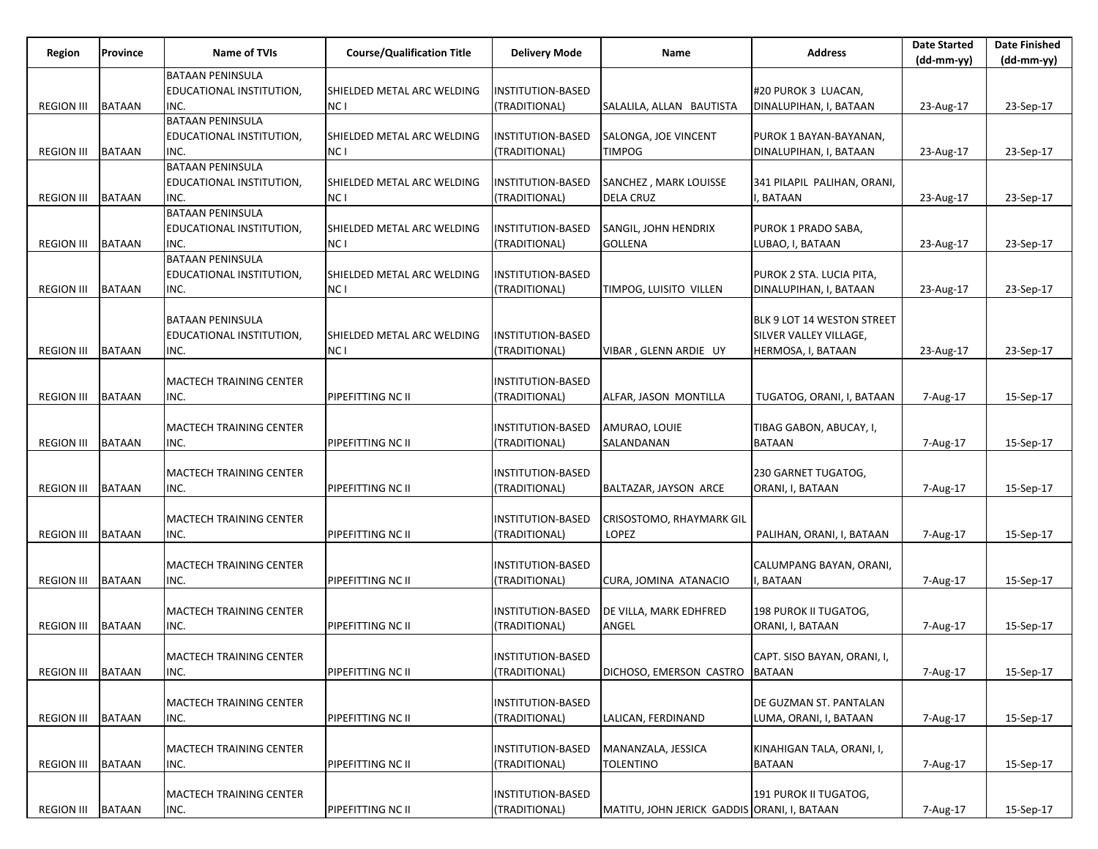| Region            | <b>Province</b> | Name of TVIs                    | <b>Course/Qualification Title</b> | <b>Delivery Mode</b>               | Name                                        | <b>Address</b>                             | <b>Date Started</b><br>(dd-mm-yy) | <b>Date Finished</b><br>$(dd-mm-yy)$ |
|-------------------|-----------------|---------------------------------|-----------------------------------|------------------------------------|---------------------------------------------|--------------------------------------------|-----------------------------------|--------------------------------------|
|                   |                 | <b>BATAAN PENINSULA</b>         |                                   |                                    |                                             |                                            |                                   |                                      |
|                   |                 | EDUCATIONAL INSTITUTION,        | SHIELDED METAL ARC WELDING        | INSTITUTION-BASED                  |                                             | #20 PUROK 3 LUACAN,                        |                                   |                                      |
| <b>REGION III</b> | <b>BATAAN</b>   | INC.                            | NC I                              | (TRADITIONAL)                      | SALALILA, ALLAN BAUTISTA                    | DINALUPIHAN, I, BATAAN                     | 23-Aug-17                         | 23-Sep-17                            |
|                   |                 | <b>BATAAN PENINSULA</b>         |                                   |                                    |                                             |                                            |                                   |                                      |
|                   |                 | EDUCATIONAL INSTITUTION,        | SHIELDED METAL ARC WELDING        | INSTITUTION-BASED                  | SALONGA, JOE VINCENT                        | PUROK 1 BAYAN-BAYANAN,                     |                                   |                                      |
| <b>REGION III</b> | <b>BATAAN</b>   | INC.<br><b>BATAAN PENINSULA</b> | NC I                              | (TRADITIONAL)                      | TIMPOG                                      | DINALUPIHAN, I, BATAAN                     | 23-Aug-17                         | 23-Sep-17                            |
|                   |                 | EDUCATIONAL INSTITUTION,        | SHIELDED METAL ARC WELDING        | INSTITUTION-BASED                  | SANCHEZ, MARK LOUISSE                       | 341 PILAPIL PALIHAN, ORANI,                |                                   |                                      |
| <b>REGION III</b> | <b>BATAAN</b>   | INC.                            | NC I                              | (TRADITIONAL)                      | <b>DELA CRUZ</b>                            | I, BATAAN                                  | 23-Aug-17                         | 23-Sep-17                            |
|                   |                 | <b>BATAAN PENINSULA</b>         |                                   |                                    |                                             |                                            |                                   |                                      |
|                   |                 | EDUCATIONAL INSTITUTION,        | SHIELDED METAL ARC WELDING        | INSTITUTION-BASED                  | SANGIL, JOHN HENDRIX                        | PUROK 1 PRADO SABA,                        |                                   |                                      |
| <b>REGION III</b> | <b>BATAAN</b>   | INC.                            | NC I                              | (TRADITIONAL)                      | <b>GOLLENA</b>                              | LUBAO, I, BATAAN                           | 23-Aug-17                         | 23-Sep-17                            |
|                   |                 | <b>BATAAN PENINSULA</b>         |                                   |                                    |                                             |                                            |                                   |                                      |
|                   |                 | EDUCATIONAL INSTITUTION,        | SHIELDED METAL ARC WELDING        | INSTITUTION-BASED                  |                                             | PUROK 2 STA. LUCIA PITA,                   |                                   |                                      |
| <b>REGION III</b> | <b>BATAAN</b>   | INC.                            | NC I                              | (TRADITIONAL)                      | TIMPOG, LUISITO VILLEN                      | DINALUPIHAN, I, BATAAN                     | 23-Aug-17                         | 23-Sep-17                            |
|                   |                 |                                 |                                   |                                    |                                             |                                            |                                   |                                      |
|                   |                 | <b>BATAAN PENINSULA</b>         |                                   |                                    |                                             | BLK 9 LOT 14 WESTON STREET                 |                                   |                                      |
|                   |                 | EDUCATIONAL INSTITUTION,        | SHIELDED METAL ARC WELDING        | <b>INSTITUTION-BASED</b>           |                                             | SILVER VALLEY VILLAGE,                     |                                   |                                      |
| <b>REGION III</b> | <b>BATAAN</b>   | INC.                            | NC I                              | (TRADITIONAL)                      | VIBAR, GLENN ARDIE UY                       | HERMOSA, I, BATAAN                         | 23-Aug-17                         | 23-Sep-17                            |
|                   |                 | <b>MACTECH TRAINING CENTER</b>  |                                   | INSTITUTION-BASED                  |                                             |                                            |                                   |                                      |
| <b>REGION III</b> | <b>BATAAN</b>   | INC.                            | PIPEFITTING NC II                 | (TRADITIONAL)                      | ALFAR, JASON MONTILLA                       | TUGATOG, ORANI, I, BATAAN                  | 7-Aug-17                          | 15-Sep-17                            |
|                   |                 |                                 |                                   |                                    |                                             |                                            |                                   |                                      |
|                   |                 | MACTECH TRAINING CENTER         |                                   | INSTITUTION-BASED                  | AMURAO, LOUIE                               | TIBAG GABON, ABUCAY, I,                    |                                   |                                      |
| <b>REGION III</b> | <b>BATAAN</b>   | INC.                            | PIPEFITTING NC II                 | (TRADITIONAL)                      | SALANDANAN                                  | <b>BATAAN</b>                              | 7-Aug-17                          | 15-Sep-17                            |
|                   |                 |                                 |                                   |                                    |                                             |                                            |                                   |                                      |
|                   |                 | <b>MACTECH TRAINING CENTER</b>  |                                   | INSTITUTION-BASED                  |                                             | 230 GARNET TUGATOG,                        |                                   |                                      |
| <b>REGION III</b> | <b>BATAAN</b>   | INC.                            | PIPEFITTING NC II                 | (TRADITIONAL)                      | BALTAZAR, JAYSON ARCE                       | ORANI, I, BATAAN                           | 7-Aug-17                          | 15-Sep-17                            |
|                   |                 |                                 |                                   |                                    |                                             |                                            |                                   |                                      |
|                   |                 | MACTECH TRAINING CENTER         |                                   | INSTITUTION-BASED                  | CRISOSTOMO, RHAYMARK GIL                    |                                            |                                   |                                      |
| <b>REGION III</b> | <b>BATAAN</b>   | INC.                            | PIPEFITTING NC II                 | (TRADITIONAL)                      | LOPEZ                                       | PALIHAN, ORANI, I, BATAAN                  | 7-Aug-17                          | 15-Sep-17                            |
|                   |                 | <b>MACTECH TRAINING CENTER</b>  |                                   | INSTITUTION-BASED                  |                                             |                                            |                                   |                                      |
| <b>REGION III</b> | <b>BATAAN</b>   | INC.                            | PIPEFITTING NC II                 | (TRADITIONAL)                      | CURA, JOMINA ATANACIO                       | CALUMPANG BAYAN, ORANI,<br>I, BATAAN       | 7-Aug-17                          | 15-Sep-17                            |
|                   |                 |                                 |                                   |                                    |                                             |                                            |                                   |                                      |
|                   |                 | MACTECH TRAINING CENTER         |                                   | INSTITUTION-BASED                  | DE VILLA, MARK EDHFRED                      | 198 PUROK II TUGATOG,                      |                                   |                                      |
| <b>REGION III</b> | <b>BATAAN</b>   | INC.                            | PIPEFITTING NC II                 | (TRADITIONAL)                      | ANGEL                                       | ORANI, I, BATAAN                           | 7-Aug-17                          | 15-Sep-17                            |
|                   |                 |                                 |                                   |                                    |                                             |                                            |                                   |                                      |
|                   |                 | MACTECH TRAINING CENTER         |                                   | <b>INSTITUTION-BASED</b>           |                                             | CAPT. SISO BAYAN, ORANI, I,                |                                   |                                      |
| <b>REGION III</b> | <b>BATAAN</b>   | INC.                            | PIPEFITTING NC II                 | (TRADITIONAL)                      | DICHOSO, EMERSON CASTRO BATAAN              |                                            | 7-Aug-17                          | 15-Sep-17                            |
|                   |                 |                                 |                                   |                                    |                                             |                                            |                                   |                                      |
|                   |                 | MACTECH TRAINING CENTER         |                                   | INSTITUTION-BASED                  |                                             | DE GUZMAN ST. PANTALAN                     |                                   |                                      |
| <b>REGION III</b> | <b>BATAAN</b>   | INC.                            | PIPEFITTING NC II                 | (TRADITIONAL)                      | LALICAN, FERDINAND                          | LUMA, ORANI, I, BATAAN                     | 7-Aug-17                          | 15-Sep-17                            |
|                   |                 |                                 |                                   |                                    |                                             |                                            |                                   |                                      |
| <b>REGION III</b> | <b>BATAAN</b>   | MACTECH TRAINING CENTER<br>INC. | PIPEFITTING NC II                 | INSTITUTION-BASED<br>(TRADITIONAL) | MANANZALA, JESSICA<br>TOLENTINO             | KINAHIGAN TALA, ORANI, I,<br><b>BATAAN</b> |                                   | 15-Sep-17                            |
|                   |                 |                                 |                                   |                                    |                                             |                                            | 7-Aug-17                          |                                      |
|                   |                 | MACTECH TRAINING CENTER         |                                   | INSTITUTION-BASED                  |                                             | 191 PUROK II TUGATOG,                      |                                   |                                      |
| <b>REGION III</b> | <b>BATAAN</b>   | INC.                            | PIPEFITTING NC II                 | (TRADITIONAL)                      | MATITU, JOHN JERICK GADDIS ORANI, I, BATAAN |                                            | 7-Aug-17                          | 15-Sep-17                            |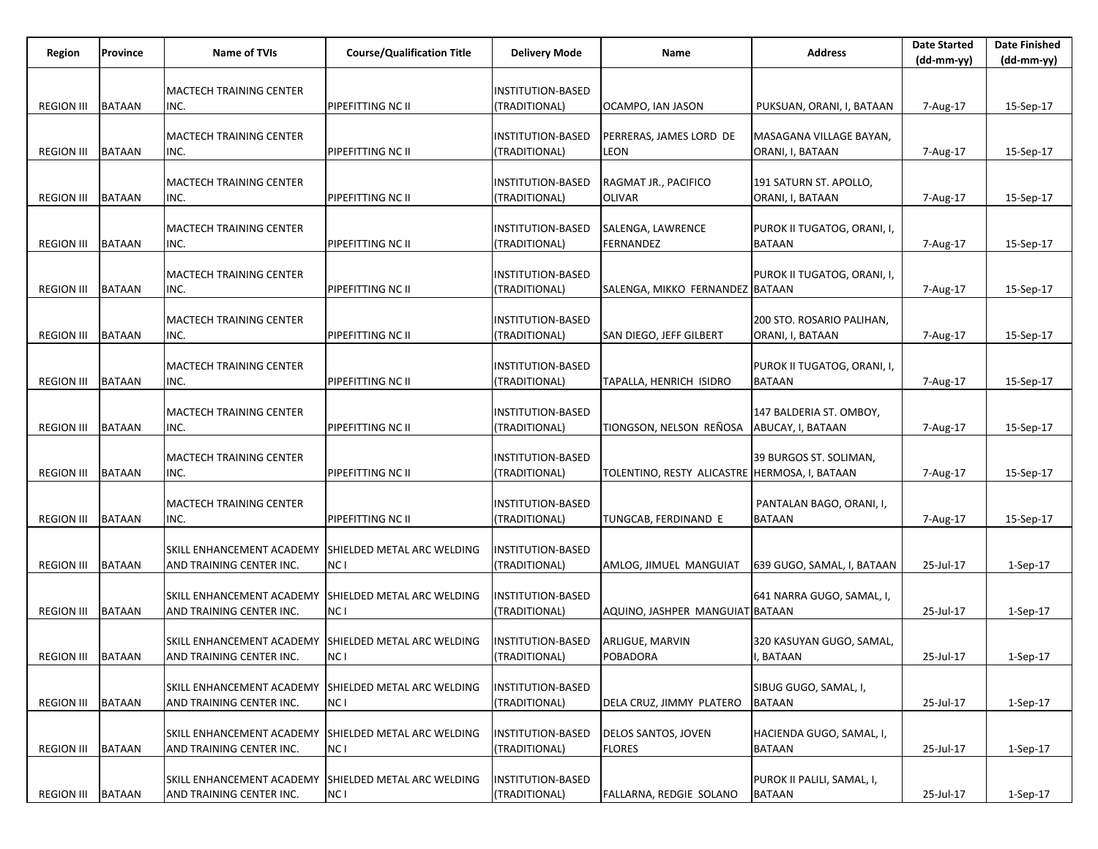| Region              | Province      | <b>Name of TVIs</b>                                   | <b>Course/Qualification Title</b>  | <b>Delivery Mode</b>                      | Name                                          | <b>Address</b>                               | <b>Date Started</b> | <b>Date Finished</b> |
|---------------------|---------------|-------------------------------------------------------|------------------------------------|-------------------------------------------|-----------------------------------------------|----------------------------------------------|---------------------|----------------------|
|                     |               |                                                       |                                    |                                           |                                               |                                              | $(dd-mm-yy)$        | $(dd-mm-yy)$         |
|                     |               | MACTECH TRAINING CENTER                               |                                    | INSTITUTION-BASED                         |                                               |                                              |                     |                      |
| <b>REGION III</b>   | <b>BATAAN</b> | INC.                                                  | PIPEFITTING NC II                  | (TRADITIONAL)                             | OCAMPO, IAN JASON                             | PUKSUAN, ORANI, I, BATAAN                    | 7-Aug-17            | 15-Sep-17            |
|                     |               |                                                       |                                    |                                           |                                               |                                              |                     |                      |
|                     |               | MACTECH TRAINING CENTER                               |                                    | INSTITUTION-BASED                         | PERRERAS, JAMES LORD DE                       | MASAGANA VILLAGE BAYAN,                      |                     |                      |
| <b>REGION III</b>   | <b>BATAAN</b> | INC.                                                  | PIPEFITTING NC II                  | (TRADITIONAL)                             | LEON                                          | ORANI, I, BATAAN                             | 7-Aug-17            | 15-Sep-17            |
|                     |               |                                                       |                                    |                                           |                                               |                                              |                     |                      |
|                     |               | <b>IMACTECH TRAINING CENTER</b>                       |                                    | INSTITUTION-BASED                         | RAGMAT JR., PACIFICO                          | 191 SATURN ST. APOLLO,                       |                     |                      |
| <b>REGION III</b>   | <b>BATAAN</b> | INC.                                                  | PIPEFITTING NC II                  | (TRADITIONAL)                             | <b>OLIVAR</b>                                 | ORANI, I, BATAAN                             | 7-Aug-17            | 15-Sep-17            |
|                     |               | <b>MACTECH TRAINING CENTER</b>                        |                                    | INSTITUTION-BASED                         |                                               | PUROK II TUGATOG, ORANI, I,                  |                     |                      |
| <b>REGION III</b>   | <b>BATAAN</b> | INC.                                                  | PIPEFITTING NC II                  | (TRADITIONAL)                             | SALENGA, LAWRENCE<br>FERNANDEZ                | <b>BATAAN</b>                                | 7-Aug-17            | 15-Sep-17            |
|                     |               |                                                       |                                    |                                           |                                               |                                              |                     |                      |
|                     |               | <b>MACTECH TRAINING CENTER</b>                        |                                    | INSTITUTION-BASED                         |                                               | PUROK II TUGATOG, ORANI, I,                  |                     |                      |
| <b>REGION III</b>   | <b>BATAAN</b> | INC.                                                  | PIPEFITTING NC II                  | (TRADITIONAL)                             | SALENGA, MIKKO FERNANDEZ BATAAN               |                                              | 7-Aug-17            | 15-Sep-17            |
|                     |               |                                                       |                                    |                                           |                                               |                                              |                     |                      |
|                     |               | MACTECH TRAINING CENTER                               |                                    | INSTITUTION-BASED                         |                                               | 200 STO. ROSARIO PALIHAN,                    |                     |                      |
| <b>REGION III</b>   | <b>BATAAN</b> | INC.                                                  | PIPEFITTING NC II                  | (TRADITIONAL)                             | SAN DIEGO, JEFF GILBERT                       | ORANI, I, BATAAN                             | 7-Aug-17            | 15-Sep-17            |
|                     |               |                                                       |                                    |                                           |                                               |                                              |                     |                      |
| <b>REGION III</b>   | <b>BATAAN</b> | <b>MACTECH TRAINING CENTER</b><br>INC.                | PIPEFITTING NC II                  | <b>INSTITUTION-BASED</b><br>(TRADITIONAL) | TAPALLA, HENRICH ISIDRO                       | PUROK II TUGATOG, ORANI, I,<br><b>BATAAN</b> | 7-Aug-17            | 15-Sep-17            |
|                     |               |                                                       |                                    |                                           |                                               |                                              |                     |                      |
|                     |               | <b>MACTECH TRAINING CENTER</b>                        |                                    | INSTITUTION-BASED                         |                                               | 147 BALDERIA ST. OMBOY,                      |                     |                      |
| <b>REGION III</b>   | BATAAN        | INC.                                                  | PIPEFITTING NC II                  | (TRADITIONAL)                             | TIONGSON, NELSON REÑOSA                       | ABUCAY, I, BATAAN                            | 7-Aug-17            | 15-Sep-17            |
|                     |               |                                                       |                                    |                                           |                                               |                                              |                     |                      |
|                     |               | <b>MACTECH TRAINING CENTER</b>                        |                                    | INSTITUTION-BASED                         |                                               | 39 BURGOS ST. SOLIMAN,                       |                     |                      |
| <b>REGION III</b>   | <b>BATAAN</b> | INC.                                                  | PIPEFITTING NC II                  | (TRADITIONAL)                             | TOLENTINO, RESTY ALICASTRE HERMOSA, I, BATAAN |                                              | 7-Aug-17            | 15-Sep-17            |
|                     |               |                                                       |                                    |                                           |                                               |                                              |                     |                      |
| <b>REGION III</b>   | <b>BATAAN</b> | MACTECH TRAINING CENTER                               |                                    | INSTITUTION-BASED                         |                                               | PANTALAN BAGO, ORANI, I,<br><b>BATAAN</b>    |                     |                      |
|                     |               | INC.                                                  | PIPEFITTING NC II                  | (TRADITIONAL)                             | TUNGCAB, FERDINAND E                          |                                              | 7-Aug-17            | 15-Sep-17            |
|                     |               | SKILL ENHANCEMENT ACADEMY                             | SHIELDED METAL ARC WELDING         | INSTITUTION-BASED                         |                                               |                                              |                     |                      |
| <b>REGION III</b>   | <b>BATAAN</b> | AND TRAINING CENTER INC.                              | NC I                               | (TRADITIONAL)                             | AMLOG, JIMUEL MANGUIAT                        | 639 GUGO, SAMAL, I, BATAAN                   | 25-Jul-17           | $1-Sep-17$           |
|                     |               |                                                       |                                    |                                           |                                               |                                              |                     |                      |
|                     |               | SKILL ENHANCEMENT ACADEMY                             | SHIELDED METAL ARC WELDING         | INSTITUTION-BASED                         |                                               | 641 NARRA GUGO, SAMAL, I,                    |                     |                      |
| <b>REGION III</b>   | <b>BATAAN</b> | AND TRAINING CENTER INC.                              | NC I                               | (TRADITIONAL)                             | AQUINO, JASHPER MANGUIAT BATAAN               |                                              | 25-Jul-17           | 1-Sep-17             |
|                     |               |                                                       |                                    |                                           |                                               |                                              |                     |                      |
| REGION III   BATAAN |               | SKILL ENHANCEMENT ACADEMY                             | SHIELDED METAL ARC WELDING         | INSTITUTION-BASED                         | <b>ARLIGUE, MARVIN</b>                        | 320 KASUYAN GUGO, SAMAL,                     |                     |                      |
|                     |               | AND TRAINING CENTER INC.                              | NC I                               | (TRADITIONAL)                             | POBADORA                                      | I, BATAAN                                    | 25-Jul-17           | 1-Sep-17             |
|                     |               | SKILL ENHANCEMENT ACADEMY                             | SHIELDED METAL ARC WELDING         | INSTITUTION-BASED                         |                                               | SIBUG GUGO, SAMAL, I,                        |                     |                      |
| <b>REGION III</b>   | <b>BATAAN</b> | AND TRAINING CENTER INC.                              | NC I                               | (TRADITIONAL)                             | DELA CRUZ, JIMMY PLATERO                      | <b>BATAAN</b>                                | 25-Jul-17           | 1-Sep-17             |
|                     |               |                                                       |                                    |                                           |                                               |                                              |                     |                      |
|                     |               | <b>SKILL ENHANCEMENT ACADEMY</b>                      | SHIELDED METAL ARC WELDING         | <b>INSTITUTION-BASED</b>                  | DELOS SANTOS, JOVEN                           | HACIENDA GUGO, SAMAL, I,                     |                     |                      |
| <b>REGION III</b>   | <b>BATAAN</b> | AND TRAINING CENTER INC.                              | NC <sub>1</sub>                    | (TRADITIONAL)                             | <b>FLORES</b>                                 | <b>BATAAN</b>                                | 25-Jul-17           | 1-Sep-17             |
|                     |               |                                                       |                                    |                                           |                                               |                                              |                     |                      |
| <b>REGION III</b>   | <b>BATAAN</b> | SKILL ENHANCEMENT ACADEMY<br>AND TRAINING CENTER INC. | SHIELDED METAL ARC WELDING<br>NC I | INSTITUTION-BASED<br>(TRADITIONAL)        | FALLARNA, REDGIE SOLANO                       | PUROK II PALILI, SAMAL, I,<br><b>BATAAN</b>  | 25-Jul-17           | 1-Sep-17             |
|                     |               |                                                       |                                    |                                           |                                               |                                              |                     |                      |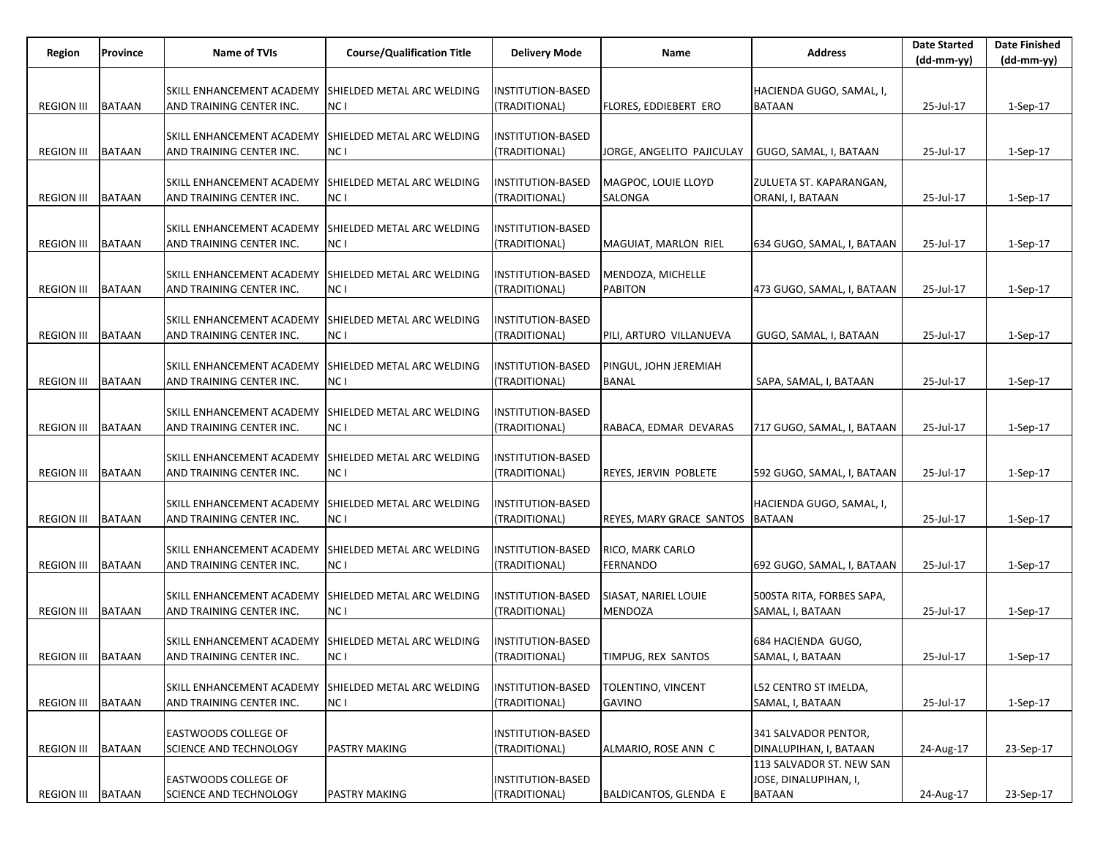| Region            | Province      | Name of TVIs                                          | <b>Course/Qualification Title</b>  | <b>Delivery Mode</b>               | Name                                | <b>Address</b>             | <b>Date Started</b><br>(dd-mm-yy) | <b>Date Finished</b><br>$(dd-mm-yy)$ |
|-------------------|---------------|-------------------------------------------------------|------------------------------------|------------------------------------|-------------------------------------|----------------------------|-----------------------------------|--------------------------------------|
|                   |               |                                                       |                                    |                                    |                                     |                            |                                   |                                      |
|                   |               | SKILL ENHANCEMENT ACADEMY                             | SHIELDED METAL ARC WELDING         | INSTITUTION-BASED                  |                                     | HACIENDA GUGO, SAMAL, I,   |                                   |                                      |
| <b>REGION III</b> | <b>BATAAN</b> | AND TRAINING CENTER INC.                              | NC I                               | (TRADITIONAL)                      | FLORES, EDDIEBERT ERO               | <b>BATAAN</b>              | 25-Jul-17                         | 1-Sep-17                             |
|                   |               | SKILL ENHANCEMENT ACADEMY                             | SHIELDED METAL ARC WELDING         | INSTITUTION-BASED                  |                                     |                            |                                   |                                      |
| <b>REGION III</b> | <b>BATAAN</b> | AND TRAINING CENTER INC.                              | NC I                               | (TRADITIONAL)                      | JORGE, ANGELITO PAJICULAY           | GUGO, SAMAL, I, BATAAN     | 25-Jul-17                         | $1-Sep-17$                           |
|                   |               |                                                       |                                    |                                    |                                     |                            |                                   |                                      |
|                   |               | SKILL ENHANCEMENT ACADEMY                             | SHIELDED METAL ARC WELDING         | INSTITUTION-BASED                  | MAGPOC, LOUIE LLOYD                 | ZULUETA ST. KAPARANGAN,    |                                   |                                      |
| <b>REGION III</b> | <b>BATAAN</b> | AND TRAINING CENTER INC.                              | NC I                               | (TRADITIONAL)                      | SALONGA                             | ORANI, I, BATAAN           | 25-Jul-17                         | 1-Sep-17                             |
|                   |               | SKILL ENHANCEMENT ACADEMY                             | SHIELDED METAL ARC WELDING         | INSTITUTION-BASED                  |                                     |                            |                                   |                                      |
| <b>REGION III</b> | <b>BATAAN</b> | AND TRAINING CENTER INC.                              | NC I                               | (TRADITIONAL)                      | MAGUIAT, MARLON RIEL                | 634 GUGO, SAMAL, I, BATAAN | 25-Jul-17                         | 1-Sep-17                             |
|                   |               |                                                       |                                    |                                    |                                     |                            |                                   |                                      |
|                   |               | SKILL ENHANCEMENT ACADEMY                             | SHIELDED METAL ARC WELDING         | INSTITUTION-BASED                  | MENDOZA, MICHELLE                   |                            |                                   |                                      |
| <b>REGION III</b> | <b>BATAAN</b> | AND TRAINING CENTER INC.                              | NC I                               | (TRADITIONAL)                      | <b>PABITON</b>                      | 473 GUGO, SAMAL, I, BATAAN | 25-Jul-17                         | $1-Sep-17$                           |
|                   |               | SKILL ENHANCEMENT ACADEMY                             | SHIELDED METAL ARC WELDING         | INSTITUTION-BASED                  |                                     |                            |                                   |                                      |
| <b>REGION III</b> | <b>BATAAN</b> | AND TRAINING CENTER INC.                              | NC I                               | (TRADITIONAL)                      | PILI, ARTURO VILLANUEVA             | GUGO, SAMAL, I, BATAAN     | 25-Jul-17                         | 1-Sep-17                             |
|                   |               |                                                       |                                    |                                    |                                     |                            |                                   |                                      |
| <b>REGION III</b> | <b>BATAAN</b> | SKILL ENHANCEMENT ACADEMY<br>AND TRAINING CENTER INC. | SHIELDED METAL ARC WELDING<br>NC I | INSTITUTION-BASED<br>(TRADITIONAL) | PINGUL, JOHN JEREMIAH               |                            |                                   |                                      |
|                   |               |                                                       |                                    |                                    | BANAL                               | SAPA, SAMAL, I, BATAAN     | 25-Jul-17                         | $1-Sep-17$                           |
|                   |               | SKILL ENHANCEMENT ACADEMY                             | SHIELDED METAL ARC WELDING         | INSTITUTION-BASED                  |                                     |                            |                                   |                                      |
| <b>REGION III</b> | <b>BATAAN</b> | AND TRAINING CENTER INC.                              | NC I                               | (TRADITIONAL)                      | RABACA, EDMAR DEVARAS               | 717 GUGO, SAMAL, I, BATAAN | 25-Jul-17                         | $1-Sep-17$                           |
|                   |               |                                                       |                                    |                                    |                                     |                            |                                   |                                      |
| <b>REGION III</b> | <b>BATAAN</b> | SKILL ENHANCEMENT ACADEMY<br>AND TRAINING CENTER INC. | SHIELDED METAL ARC WELDING<br>NC I | INSTITUTION-BASED<br>(TRADITIONAL) | REYES, JERVIN POBLETE               | 592 GUGO, SAMAL, I, BATAAN | 25-Jul-17                         | 1-Sep-17                             |
|                   |               |                                                       |                                    |                                    |                                     |                            |                                   |                                      |
|                   |               | SKILL ENHANCEMENT ACADEMY                             | SHIELDED METAL ARC WELDING         | INSTITUTION-BASED                  |                                     | HACIENDA GUGO, SAMAL, I,   |                                   |                                      |
| <b>REGION III</b> | <b>BATAAN</b> | AND TRAINING CENTER INC.                              | NC I                               | (TRADITIONAL)                      | REYES, MARY GRACE SANTOS            | <b>BATAAN</b>              | 25-Jul-17                         | $1-Sep-17$                           |
|                   |               | SKILL ENHANCEMENT ACADEMY                             |                                    |                                    |                                     |                            |                                   |                                      |
| <b>REGION III</b> | <b>BATAAN</b> | AND TRAINING CENTER INC.                              | SHIELDED METAL ARC WELDING<br>NC I | INSTITUTION-BASED<br>(TRADITIONAL) | RICO, MARK CARLO<br><b>FERNANDO</b> | 692 GUGO, SAMAL, I, BATAAN | 25-Jul-17                         | $1-Sep-17$                           |
|                   |               |                                                       |                                    |                                    |                                     |                            |                                   |                                      |
|                   |               | SKILL ENHANCEMENT ACADEMY                             | SHIELDED METAL ARC WELDING         | INSTITUTION-BASED                  | SIASAT, NARIEL LOUIE                | 500STA RITA, FORBES SAPA,  |                                   |                                      |
| <b>REGION III</b> | <b>BATAAN</b> | AND TRAINING CENTER INC.                              | NC I                               | (TRADITIONAL)                      | <b>MENDOZA</b>                      | SAMAL, I, BATAAN           | 25-Jul-17                         | $1-Sep-17$                           |
|                   |               | SKILL ENHANCEMENT ACADEMY                             | SHIELDED METAL ARC WELDING         | <b>INSTITUTION-BASED</b>           |                                     | 684 HACIENDA GUGO,         |                                   |                                      |
| REGION III BATAAN |               | AND TRAINING CENTER INC.                              | NC I                               | (TRADITIONAL)                      | TIMPUG, REX SANTOS                  | SAMAL, I, BATAAN           | 25-Jul-17                         | 1-Sep-17                             |
|                   |               |                                                       |                                    |                                    |                                     |                            |                                   |                                      |
|                   |               | SKILL ENHANCEMENT ACADEMY                             | SHIELDED METAL ARC WELDING         | INSTITUTION-BASED                  | TOLENTINO, VINCENT                  | L52 CENTRO ST IMELDA,      |                                   |                                      |
| <b>REGION III</b> | <b>BATAAN</b> | AND TRAINING CENTER INC.                              | NC I                               | (TRADITIONAL)                      | <b>GAVINO</b>                       | SAMAL, I, BATAAN           | 25-Jul-17                         | 1-Sep-17                             |
|                   |               | <b>EASTWOODS COLLEGE OF</b>                           |                                    | <b>INSTITUTION-BASED</b>           |                                     | 341 SALVADOR PENTOR,       |                                   |                                      |
| <b>REGION III</b> | <b>BATAAN</b> | SCIENCE AND TECHNOLOGY                                | PASTRY MAKING                      | (TRADITIONAL)                      | ALMARIO, ROSE ANN C                 | DINALUPIHAN, I, BATAAN     | 24-Aug-17                         | 23-Sep-17                            |
|                   |               |                                                       |                                    |                                    |                                     | 113 SALVADOR ST. NEW SAN   |                                   |                                      |
|                   |               | <b>EASTWOODS COLLEGE OF</b>                           |                                    | <b>INSTITUTION-BASED</b>           |                                     | JOSE, DINALUPIHAN, I,      |                                   |                                      |
| <b>REGION III</b> | <b>BATAAN</b> | <b>SCIENCE AND TECHNOLOGY</b>                         | PASTRY MAKING                      | (TRADITIONAL)                      | BALDICANTOS, GLENDA E               | <b>BATAAN</b>              | 24-Aug-17                         | 23-Sep-17                            |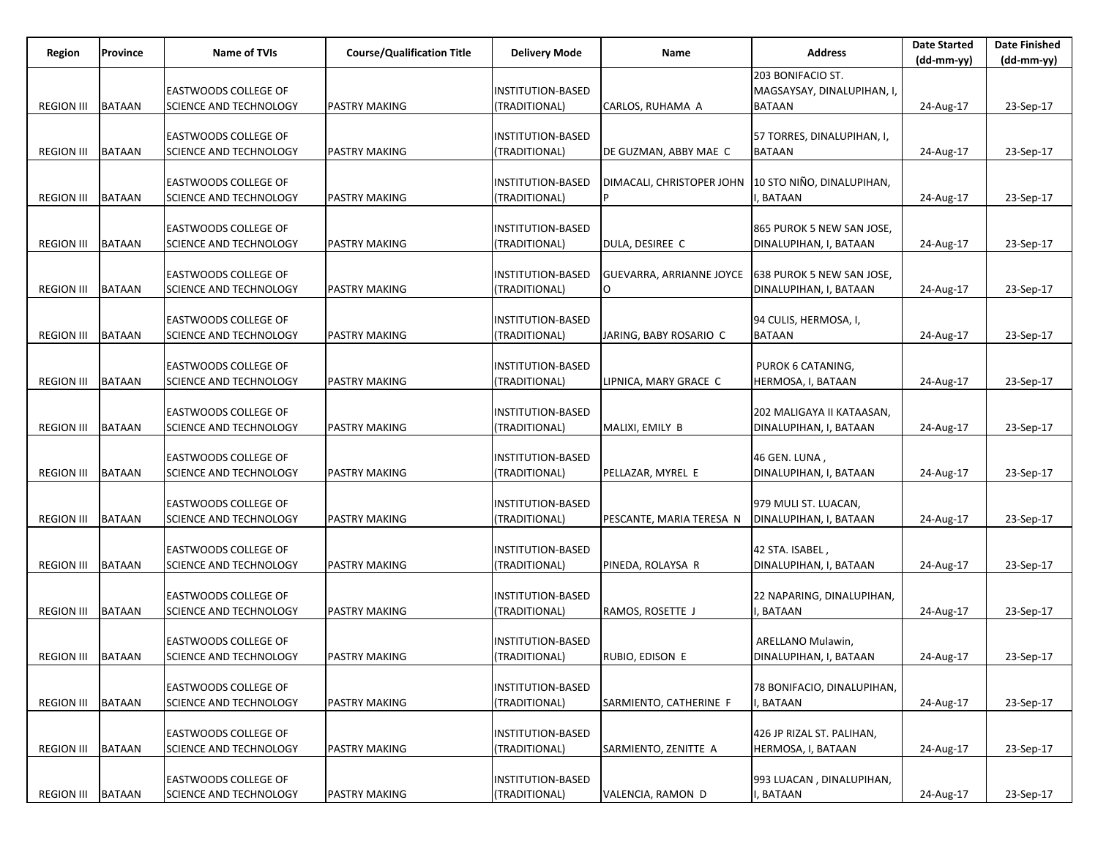| Region              | Province      | <b>Name of TVIs</b>                            | <b>Course/Qualification Title</b> | <b>Delivery Mode</b>               | Name                           | <b>Address</b>             | <b>Date Started</b> | <b>Date Finished</b> |
|---------------------|---------------|------------------------------------------------|-----------------------------------|------------------------------------|--------------------------------|----------------------------|---------------------|----------------------|
|                     |               |                                                |                                   |                                    |                                |                            | $(dd-mm-yy)$        | $(dd-mm-yy)$         |
|                     |               |                                                |                                   |                                    |                                | 203 BONIFACIO ST.          |                     |                      |
|                     |               | EASTWOODS COLLEGE OF                           |                                   | INSTITUTION-BASED                  |                                | MAGSAYSAY, DINALUPIHAN, I, |                     |                      |
| <b>REGION III</b>   | <b>BATAAN</b> | SCIENCE AND TECHNOLOGY                         | <b>PASTRY MAKING</b>              | (TRADITIONAL)                      | CARLOS, RUHAMA A               | <b>BATAAN</b>              | 24-Aug-17           | 23-Sep-17            |
|                     |               |                                                |                                   |                                    |                                |                            |                     |                      |
|                     |               | EASTWOODS COLLEGE OF                           |                                   | <b>INSTITUTION-BASED</b>           |                                | 57 TORRES, DINALUPIHAN, I, |                     |                      |
| <b>REGION III</b>   | <b>BATAAN</b> | SCIENCE AND TECHNOLOGY                         | <b>PASTRY MAKING</b>              | (TRADITIONAL)                      | DE GUZMAN, ABBY MAE C          | <b>BATAAN</b>              | 24-Aug-17           | 23-Sep-17            |
|                     |               |                                                |                                   |                                    |                                | 10 STO NIÑO, DINALUPIHAN,  |                     |                      |
|                     |               | EASTWOODS COLLEGE OF                           |                                   | <b>INSTITUTION-BASED</b>           | DIMACALI, CHRISTOPER JOHN<br>P |                            |                     |                      |
| <b>REGION III</b>   | <b>BATAAN</b> | SCIENCE AND TECHNOLOGY                         | <b>PASTRY MAKING</b>              | (TRADITIONAL)                      |                                | BATAAN                     | 24-Aug-17           | 23-Sep-17            |
|                     |               |                                                |                                   |                                    |                                |                            |                     |                      |
|                     |               | EASTWOODS COLLEGE OF                           |                                   | INSTITUTION-BASED                  |                                | 865 PUROK 5 NEW SAN JOSE,  |                     |                      |
| <b>REGION III</b>   | <b>BATAAN</b> | SCIENCE AND TECHNOLOGY                         | <b>PASTRY MAKING</b>              | (TRADITIONAL)                      | DULA, DESIREE C                | DINALUPIHAN, I, BATAAN     | 24-Aug-17           | 23-Sep-17            |
|                     |               |                                                |                                   |                                    |                                |                            |                     |                      |
|                     |               | <b>EASTWOODS COLLEGE OF</b>                    |                                   | <b>INSTITUTION-BASED</b>           | GUEVARRA, ARRIANNE JOYCE       | 638 PUROK 5 NEW SAN JOSE,  |                     |                      |
| <b>REGION III</b>   | <b>BATAAN</b> | SCIENCE AND TECHNOLOGY                         | <b>PASTRY MAKING</b>              | (TRADITIONAL)                      | 0                              | DINALUPIHAN, I, BATAAN     | 24-Aug-17           | 23-Sep-17            |
|                     |               |                                                |                                   |                                    |                                |                            |                     |                      |
|                     |               | <b>EASTWOODS COLLEGE OF</b>                    |                                   | INSTITUTION-BASED                  |                                | 94 CULIS, HERMOSA, I,      |                     |                      |
| <b>REGION III</b>   | <b>BATAAN</b> | SCIENCE AND TECHNOLOGY                         | <b>PASTRY MAKING</b>              | (TRADITIONAL)                      | JARING, BABY ROSARIO C         | <b>BATAAN</b>              | 24-Aug-17           | 23-Sep-17            |
|                     |               |                                                |                                   |                                    |                                |                            |                     |                      |
|                     |               | <b>EASTWOODS COLLEGE OF</b>                    |                                   | <b>INSTITUTION-BASED</b>           |                                | PUROK 6 CATANING,          |                     |                      |
| <b>REGION III</b>   | <b>BATAAN</b> | SCIENCE AND TECHNOLOGY                         | <b>PASTRY MAKING</b>              | (TRADITIONAL)                      | LIPNICA, MARY GRACE C          | HERMOSA, I, BATAAN         | 24-Aug-17           | 23-Sep-17            |
|                     |               |                                                |                                   |                                    |                                |                            |                     |                      |
|                     |               | EASTWOODS COLLEGE OF                           |                                   | INSTITUTION-BASED                  |                                | 202 MALIGAYA II KATAASAN,  |                     |                      |
| <b>REGION III</b>   | <b>BATAAN</b> | SCIENCE AND TECHNOLOGY                         | <b>PASTRY MAKING</b>              | (TRADITIONAL)                      | MALIXI, EMILY B                | DINALUPIHAN, I, BATAAN     | 24-Aug-17           | 23-Sep-17            |
|                     |               | EASTWOODS COLLEGE OF                           |                                   | <b>INSTITUTION-BASED</b>           |                                | 46 GEN. LUNA,              |                     |                      |
|                     |               |                                                |                                   |                                    |                                |                            |                     |                      |
| <b>REGION III</b>   | <b>BATAAN</b> | SCIENCE AND TECHNOLOGY                         | <b>PASTRY MAKING</b>              | (TRADITIONAL)                      | PELLAZAR, MYREL E              | DINALUPIHAN, I, BATAAN     | 24-Aug-17           | 23-Sep-17            |
|                     |               |                                                |                                   |                                    |                                |                            |                     |                      |
| <b>REGION III</b>   | <b>BATAAN</b> | EASTWOODS COLLEGE OF<br>SCIENCE AND TECHNOLOGY | <b>PASTRY MAKING</b>              | INSTITUTION-BASED<br>(TRADITIONAL) |                                | 979 MULI ST. LUACAN,       |                     |                      |
|                     |               |                                                |                                   |                                    | PESCANTE, MARIA TERESA N       | DINALUPIHAN, I, BATAAN     | 24-Aug-17           | 23-Sep-17            |
|                     |               | EASTWOODS COLLEGE OF                           |                                   | INSTITUTION-BASED                  |                                | 42 STA. ISABEL,            |                     |                      |
| <b>REGION III</b>   | <b>BATAAN</b> | SCIENCE AND TECHNOLOGY                         | <b>PASTRY MAKING</b>              | (TRADITIONAL)                      | PINEDA, ROLAYSA R              | DINALUPIHAN, I, BATAAN     | 24-Aug-17           | 23-Sep-17            |
|                     |               |                                                |                                   |                                    |                                |                            |                     |                      |
|                     |               | EASTWOODS COLLEGE OF                           |                                   | INSTITUTION-BASED                  |                                | 22 NAPARING, DINALUPIHAN,  |                     |                      |
| <b>REGION III</b>   | <b>BATAAN</b> | SCIENCE AND TECHNOLOGY                         | <b>PASTRY MAKING</b>              | (TRADITIONAL)                      | RAMOS, ROSETTE J               | BATAAN                     | 24-Aug-17           | 23-Sep-17            |
|                     |               |                                                |                                   |                                    |                                |                            |                     |                      |
|                     |               | EASTWOODS COLLEGE OF                           |                                   | INSTITUTION-BASED                  |                                | ARELLANO Mulawin,          |                     |                      |
| REGION III   BATAAN |               | SCIENCE AND TECHNOLOGY                         | <b>PASTRY MAKING</b>              | (TRADITIONAL)                      | RUBIO, EDISON E                | DINALUPIHAN, I, BATAAN     | 24-Aug-17           | 23-Sep-17            |
|                     |               |                                                |                                   |                                    |                                |                            |                     |                      |
|                     |               | EASTWOODS COLLEGE OF                           |                                   | INSTITUTION-BASED                  |                                | 78 BONIFACIO, DINALUPIHAN, |                     |                      |
| <b>REGION III</b>   | <b>BATAAN</b> | <b>SCIENCE AND TECHNOLOGY</b>                  | <b>PASTRY MAKING</b>              | (TRADITIONAL)                      | SARMIENTO, CATHERINE F         | <b>BATAAN</b>              | 24-Aug-17           | 23-Sep-17            |
|                     |               |                                                |                                   |                                    |                                |                            |                     |                      |
|                     |               | EASTWOODS COLLEGE OF                           |                                   | <b>INSTITUTION-BASED</b>           |                                | 426 JP RIZAL ST. PALIHAN,  |                     |                      |
| <b>REGION III</b>   | <b>BATAAN</b> | SCIENCE AND TECHNOLOGY                         | <b>PASTRY MAKING</b>              | (TRADITIONAL)                      | SARMIENTO, ZENITTE A           | HERMOSA, I, BATAAN         | 24-Aug-17           | 23-Sep-17            |
|                     |               |                                                |                                   |                                    |                                |                            |                     |                      |
|                     |               | EASTWOODS COLLEGE OF                           |                                   | <b>INSTITUTION-BASED</b>           |                                | 993 LUACAN, DINALUPIHAN,   |                     |                      |
| <b>REGION III</b>   | <b>BATAAN</b> | <b>SCIENCE AND TECHNOLOGY</b>                  | PASTRY MAKING                     | (TRADITIONAL)                      | VALENCIA, RAMON D              | <b>BATAAN</b>              | 24-Aug-17           | 23-Sep-17            |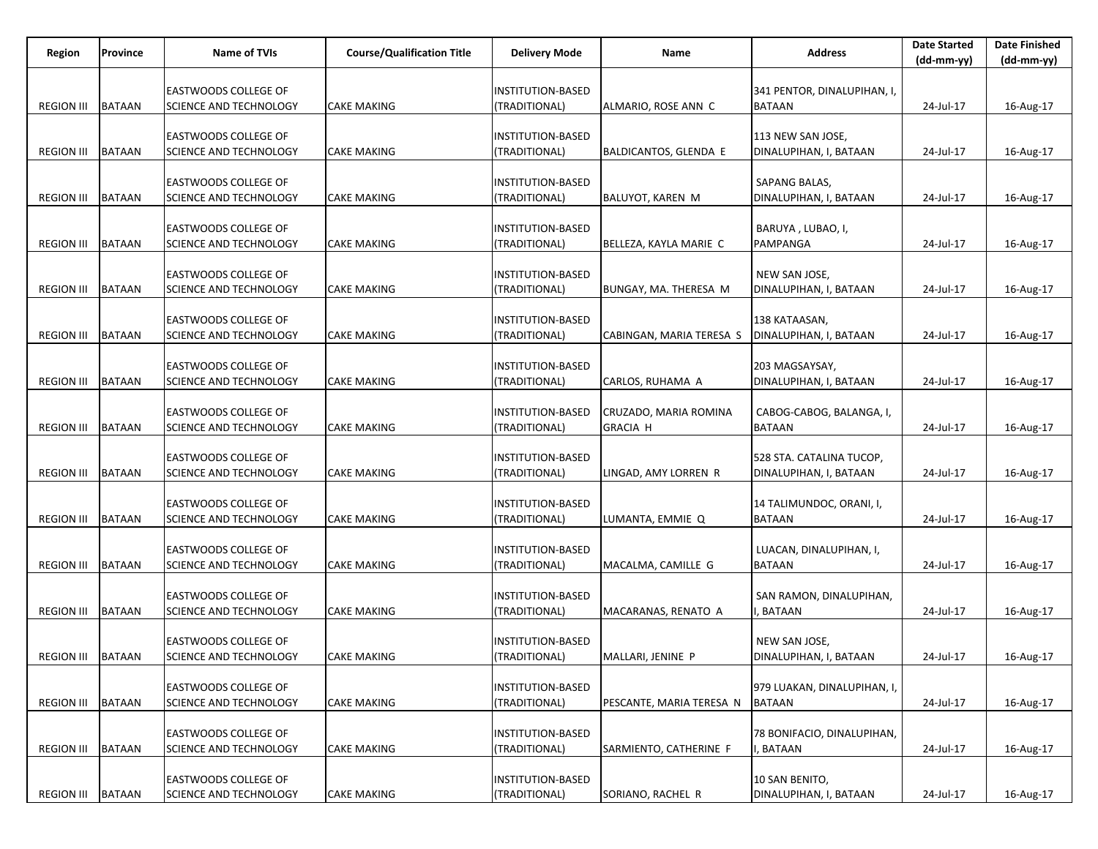| Region              | Province      | Name of TVIs                                          | <b>Course/Qualification Title</b> | <b>Delivery Mode</b>               | Name                                     | <b>Address</b>                               | <b>Date Started</b><br>$(dd-mm-yy)$ | <b>Date Finished</b><br>$(dd-mm-yy)$ |
|---------------------|---------------|-------------------------------------------------------|-----------------------------------|------------------------------------|------------------------------------------|----------------------------------------------|-------------------------------------|--------------------------------------|
|                     |               |                                                       |                                   |                                    |                                          |                                              |                                     |                                      |
| <b>REGION III</b>   | <b>BATAAN</b> | EASTWOODS COLLEGE OF<br>SCIENCE AND TECHNOLOGY        | <b>CAKE MAKING</b>                | INSTITUTION-BASED<br>(TRADITIONAL) | ALMARIO, ROSE ANN C                      | 341 PENTOR, DINALUPIHAN, I,<br><b>BATAAN</b> | 24-Jul-17                           | 16-Aug-17                            |
|                     |               |                                                       |                                   |                                    |                                          |                                              |                                     |                                      |
| <b>REGION III</b>   |               | EASTWOODS COLLEGE OF                                  |                                   | INSTITUTION-BASED                  |                                          | 113 NEW SAN JOSE,                            |                                     |                                      |
|                     | <b>BATAAN</b> | SCIENCE AND TECHNOLOGY                                | <b>CAKE MAKING</b>                | (TRADITIONAL)                      | BALDICANTOS, GLENDA E                    | DINALUPIHAN, I, BATAAN                       | 24-Jul-17                           | 16-Aug-17                            |
|                     |               | EASTWOODS COLLEGE OF                                  |                                   | INSTITUTION-BASED                  |                                          | SAPANG BALAS,                                |                                     |                                      |
| <b>REGION III</b>   | <b>BATAAN</b> | SCIENCE AND TECHNOLOGY                                | <b>CAKE MAKING</b>                | (TRADITIONAL)                      | BALUYOT, KAREN M                         | DINALUPIHAN, I, BATAAN                       | 24-Jul-17                           | 16-Aug-17                            |
|                     |               | EASTWOODS COLLEGE OF                                  |                                   | INSTITUTION-BASED                  |                                          | BARUYA, LUBAO, I,                            |                                     |                                      |
| <b>REGION III</b>   | <b>BATAAN</b> | SCIENCE AND TECHNOLOGY                                | <b>CAKE MAKING</b>                | (TRADITIONAL)                      | BELLEZA, KAYLA MARIE C                   | PAMPANGA                                     | 24-Jul-17                           | 16-Aug-17                            |
|                     |               | EASTWOODS COLLEGE OF                                  |                                   | INSTITUTION-BASED                  |                                          | NEW SAN JOSE,                                |                                     |                                      |
| <b>REGION III</b>   | <b>BATAAN</b> | SCIENCE AND TECHNOLOGY                                | <b>CAKE MAKING</b>                | (TRADITIONAL)                      | BUNGAY, MA. THERESA M                    | DINALUPIHAN, I, BATAAN                       | 24-Jul-17                           | 16-Aug-17                            |
|                     |               | <b>EASTWOODS COLLEGE OF</b>                           |                                   | INSTITUTION-BASED                  |                                          | 138 KATAASAN,                                |                                     |                                      |
| <b>REGION III</b>   | <b>BATAAN</b> | SCIENCE AND TECHNOLOGY                                | <b>CAKE MAKING</b>                | (TRADITIONAL)                      | CABINGAN, MARIA TERESA S                 | DINALUPIHAN, I, BATAAN                       | 24-Jul-17                           | 16-Aug-17                            |
|                     |               |                                                       |                                   |                                    |                                          |                                              |                                     |                                      |
| <b>REGION III</b>   | <b>BATAAN</b> | EASTWOODS COLLEGE OF<br>SCIENCE AND TECHNOLOGY        | CAKE MAKING                       | INSTITUTION-BASED<br>(TRADITIONAL) | CARLOS, RUHAMA A                         | 203 MAGSAYSAY,<br>DINALUPIHAN, I, BATAAN     | 24-Jul-17                           | 16-Aug-17                            |
|                     |               |                                                       |                                   |                                    |                                          |                                              |                                     |                                      |
| <b>REGION III</b>   | <b>BATAAN</b> | EASTWOODS COLLEGE OF<br>SCIENCE AND TECHNOLOGY        | <b>CAKE MAKING</b>                | INSTITUTION-BASED<br>(TRADITIONAL) | CRUZADO, MARIA ROMINA<br><b>GRACIA H</b> | CABOG-CABOG, BALANGA, I,<br><b>BATAAN</b>    | 24-Jul-17                           | 16-Aug-17                            |
|                     |               |                                                       |                                   |                                    |                                          |                                              |                                     |                                      |
|                     |               | EASTWOODS COLLEGE OF                                  |                                   | <b>INSTITUTION-BASED</b>           |                                          | 528 STA. CATALINA TUCOP,                     |                                     |                                      |
| <b>REGION III</b>   | <b>BATAAN</b> | SCIENCE AND TECHNOLOGY                                | <b>CAKE MAKING</b>                | (TRADITIONAL)                      | LINGAD, AMY LORREN R                     | DINALUPIHAN, I, BATAAN                       | 24-Jul-17                           | 16-Aug-17                            |
|                     |               | EASTWOODS COLLEGE OF                                  |                                   | INSTITUTION-BASED                  |                                          | 14 TALIMUNDOC, ORANI, I,                     |                                     |                                      |
| <b>REGION III</b>   | <b>BATAAN</b> | SCIENCE AND TECHNOLOGY                                | <b>CAKE MAKING</b>                | (TRADITIONAL)                      | LUMANTA, EMMIE Q                         | <b>BATAAN</b>                                | 24-Jul-17                           | 16-Aug-17                            |
|                     |               | EASTWOODS COLLEGE OF                                  |                                   | INSTITUTION-BASED                  |                                          | LUACAN, DINALUPIHAN, I,                      |                                     |                                      |
| <b>REGION III</b>   | <b>BATAAN</b> | SCIENCE AND TECHNOLOGY                                | <b>CAKE MAKING</b>                | (TRADITIONAL)                      | MACALMA, CAMILLE G                       | <b>BATAAN</b>                                | 24-Jul-17                           | 16-Aug-17                            |
|                     |               | EASTWOODS COLLEGE OF                                  |                                   | INSTITUTION-BASED                  |                                          | SAN RAMON, DINALUPIHAN,                      |                                     |                                      |
| <b>REGION III</b>   | <b>BATAAN</b> | SCIENCE AND TECHNOLOGY                                | <b>CAKE MAKING</b>                | (TRADITIONAL)                      | MACARANAS, RENATO A                      | BATAAN                                       | 24-Jul-17                           | 16-Aug-17                            |
|                     |               |                                                       |                                   |                                    |                                          |                                              |                                     |                                      |
| REGION III   BATAAN |               | <b>EASTWOODS COLLEGE OF</b><br>SCIENCE AND TECHNOLOGY | <b>CAKE MAKING</b>                | INSTITUTION-BASED<br>(TRADITIONAL) | MALLARI, JENINE P                        | NEW SAN JOSE,<br>DINALUPIHAN, I, BATAAN      | 24-Jul-17                           | 16-Aug-17                            |
|                     |               |                                                       |                                   |                                    |                                          |                                              |                                     |                                      |
| <b>REGION III</b>   | <b>BATAAN</b> | EASTWOODS COLLEGE OF<br><b>SCIENCE AND TECHNOLOGY</b> | <b>CAKE MAKING</b>                | INSTITUTION-BASED<br>(TRADITIONAL) | PESCANTE, MARIA TERESA N                 | 979 LUAKAN, DINALUPIHAN, I,<br><b>BATAAN</b> | 24-Jul-17                           | 16-Aug-17                            |
|                     |               |                                                       |                                   |                                    |                                          |                                              |                                     |                                      |
|                     |               | EASTWOODS COLLEGE OF                                  |                                   | <b>INSTITUTION-BASED</b>           |                                          | 78 BONIFACIO, DINALUPIHAN,                   |                                     |                                      |
| <b>REGION III</b>   | <b>BATAAN</b> | SCIENCE AND TECHNOLOGY                                | <b>CAKE MAKING</b>                | (TRADITIONAL)                      | SARMIENTO, CATHERINE F                   | <b>BATAAN</b>                                | 24-Jul-17                           | 16-Aug-17                            |
|                     |               | EASTWOODS COLLEGE OF                                  |                                   | <b>INSTITUTION-BASED</b>           |                                          | 10 SAN BENITO,                               |                                     |                                      |
| <b>REGION III</b>   | <b>BATAAN</b> | <b>SCIENCE AND TECHNOLOGY</b>                         | <b>CAKE MAKING</b>                | (TRADITIONAL)                      | SORIANO, RACHEL R                        | DINALUPIHAN, I, BATAAN                       | 24-Jul-17                           | 16-Aug-17                            |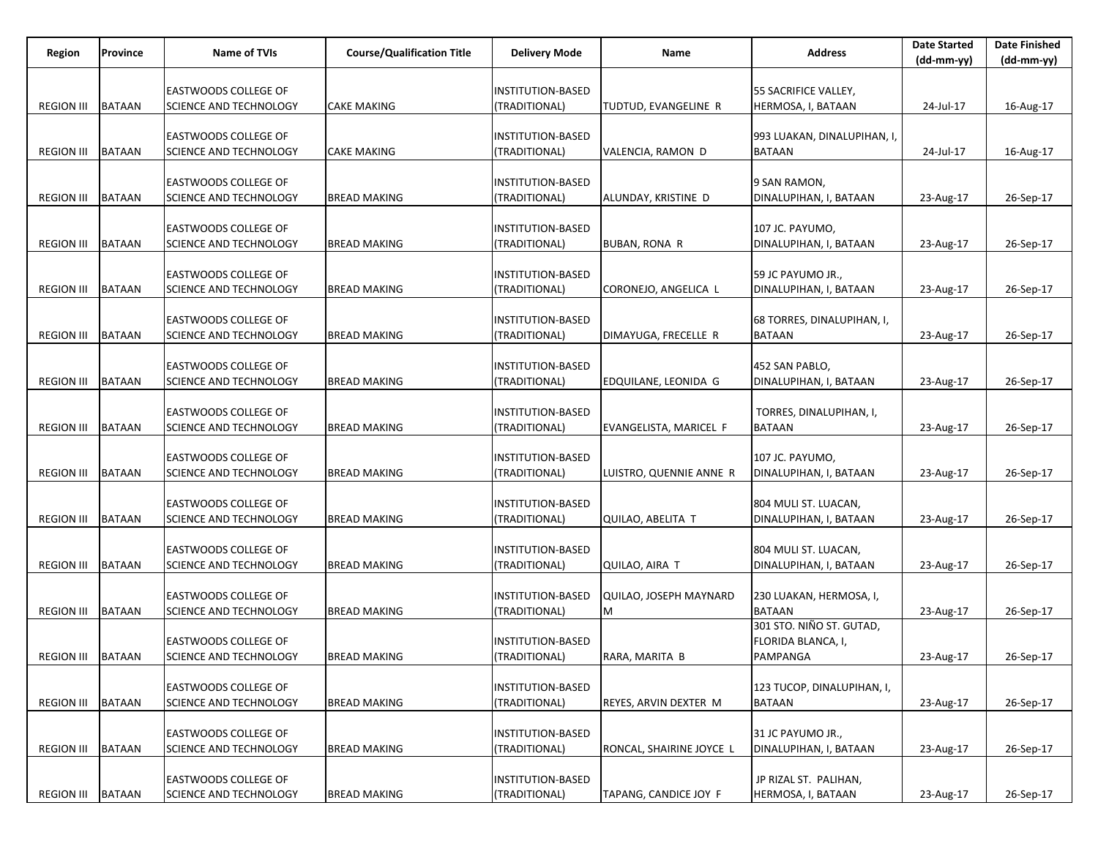| <b>EASTWOODS COLLEGE OF</b><br>INSTITUTION-BASED<br>55 SACRIFICE VALLEY,<br><b>REGION III</b><br><b>BATAAN</b><br>SCIENCE AND TECHNOLOGY<br><b>CAKE MAKING</b><br>(TRADITIONAL)<br>HERMOSA, I, BATAAN<br>24-Jul-17<br>TUDTUD, EVANGELINE R<br>EASTWOODS COLLEGE OF<br><b>INSTITUTION-BASED</b><br>993 LUAKAN, DINALUPIHAN, I,<br><b>REGION III</b><br><b>BATAAN</b><br>SCIENCE AND TECHNOLOGY<br>(TRADITIONAL)<br><b>BATAAN</b><br><b>CAKE MAKING</b><br>VALENCIA, RAMON D<br>24-Jul-17 | Name of TVIs<br>Province    | <b>Course/Qualification Title</b><br><b>Delivery Mode</b> | Name | <b>Address</b> |            | <b>Date Finished</b> |
|-----------------------------------------------------------------------------------------------------------------------------------------------------------------------------------------------------------------------------------------------------------------------------------------------------------------------------------------------------------------------------------------------------------------------------------------------------------------------------------------|-----------------------------|-----------------------------------------------------------|------|----------------|------------|----------------------|
|                                                                                                                                                                                                                                                                                                                                                                                                                                                                                         |                             |                                                           |      |                | (dd-mm-yy) | $(dd-mm-yy)$         |
|                                                                                                                                                                                                                                                                                                                                                                                                                                                                                         |                             |                                                           |      |                |            |                      |
|                                                                                                                                                                                                                                                                                                                                                                                                                                                                                         |                             |                                                           |      |                |            | 16-Aug-17            |
|                                                                                                                                                                                                                                                                                                                                                                                                                                                                                         |                             |                                                           |      |                |            |                      |
|                                                                                                                                                                                                                                                                                                                                                                                                                                                                                         |                             |                                                           |      |                |            |                      |
|                                                                                                                                                                                                                                                                                                                                                                                                                                                                                         |                             |                                                           |      |                |            | 16-Aug-17            |
|                                                                                                                                                                                                                                                                                                                                                                                                                                                                                         |                             |                                                           |      |                |            |                      |
|                                                                                                                                                                                                                                                                                                                                                                                                                                                                                         | <b>EASTWOODS COLLEGE OF</b> | INSTITUTION-BASED                                         |      | 9 SAN RAMON,   |            |                      |
| <b>REGION III</b><br><b>BATAAN</b><br>SCIENCE AND TECHNOLOGY<br><b>BREAD MAKING</b><br>(TRADITIONAL)<br>DINALUPIHAN, I, BATAAN<br> ALUNDAY, KRISTINE D<br>23-Aug-17                                                                                                                                                                                                                                                                                                                     |                             |                                                           |      |                |            | 26-Sep-17            |
|                                                                                                                                                                                                                                                                                                                                                                                                                                                                                         |                             |                                                           |      |                |            |                      |
| EASTWOODS COLLEGE OF<br>INSTITUTION-BASED<br>107 JC. PAYUMO,                                                                                                                                                                                                                                                                                                                                                                                                                            |                             |                                                           |      |                |            |                      |
| <b>BATAAN</b><br><b>REGION III</b><br>SCIENCE AND TECHNOLOGY<br><b>BREAD MAKING</b><br>(TRADITIONAL)<br>DINALUPIHAN, I, BATAAN<br>BUBAN, RONA R<br>23-Aug-17                                                                                                                                                                                                                                                                                                                            |                             |                                                           |      |                |            | 26-Sep-17            |
|                                                                                                                                                                                                                                                                                                                                                                                                                                                                                         |                             |                                                           |      |                |            |                      |
| EASTWOODS COLLEGE OF<br>INSTITUTION-BASED<br>59 JC PAYUMO JR.,                                                                                                                                                                                                                                                                                                                                                                                                                          |                             |                                                           |      |                |            |                      |
| <b>REGION III</b><br><b>BATAAN</b><br>SCIENCE AND TECHNOLOGY<br><b>BREAD MAKING</b><br>(TRADITIONAL)<br>CORONEJO, ANGELICA L<br>DINALUPIHAN, I, BATAAN<br>23-Aug-17                                                                                                                                                                                                                                                                                                                     |                             |                                                           |      |                |            | 26-Sep-17            |
|                                                                                                                                                                                                                                                                                                                                                                                                                                                                                         |                             |                                                           |      |                |            |                      |
| EASTWOODS COLLEGE OF<br>INSTITUTION-BASED<br>68 TORRES, DINALUPIHAN, I,                                                                                                                                                                                                                                                                                                                                                                                                                 |                             |                                                           |      |                |            |                      |
| <b>BATAAN</b><br>SCIENCE AND TECHNOLOGY<br>(TRADITIONAL)<br><b>BATAAN</b><br><b>REGION III</b><br><b>BREAD MAKING</b><br>DIMAYUGA, FRECELLE R<br>23-Aug-17                                                                                                                                                                                                                                                                                                                              |                             |                                                           |      |                |            | 26-Sep-17            |
|                                                                                                                                                                                                                                                                                                                                                                                                                                                                                         |                             |                                                           |      |                |            |                      |
| EASTWOODS COLLEGE OF<br>INSTITUTION-BASED<br>452 SAN PABLO,                                                                                                                                                                                                                                                                                                                                                                                                                             |                             |                                                           |      |                |            |                      |
| <b>REGION III</b><br><b>BATAAN</b><br>SCIENCE AND TECHNOLOGY<br><b>BREAD MAKING</b><br>(TRADITIONAL)<br>DINALUPIHAN, I, BATAAN<br>EDQUILANE, LEONIDA G<br>23-Aug-17                                                                                                                                                                                                                                                                                                                     |                             |                                                           |      |                |            | 26-Sep-17            |
|                                                                                                                                                                                                                                                                                                                                                                                                                                                                                         |                             |                                                           |      |                |            |                      |
| EASTWOODS COLLEGE OF<br>INSTITUTION-BASED<br>TORRES, DINALUPIHAN, I,                                                                                                                                                                                                                                                                                                                                                                                                                    |                             |                                                           |      |                |            |                      |
| <b>BATAAN</b><br>SCIENCE AND TECHNOLOGY<br>(TRADITIONAL)<br><b>BATAAN</b><br><b>REGION III</b><br><b>BREAD MAKING</b><br>EVANGELISTA, MARICEL F<br>23-Aug-17                                                                                                                                                                                                                                                                                                                            |                             |                                                           |      |                |            | 26-Sep-17            |
| EASTWOODS COLLEGE OF<br>INSTITUTION-BASED<br>107 JC. PAYUMO,                                                                                                                                                                                                                                                                                                                                                                                                                            |                             |                                                           |      |                |            |                      |
| <b>REGION III</b><br><b>BATAAN</b><br>SCIENCE AND TECHNOLOGY<br><b>BREAD MAKING</b><br>(TRADITIONAL)<br>LUISTRO, QUENNIE ANNE R<br>DINALUPIHAN, I, BATAAN<br>23-Aug-17                                                                                                                                                                                                                                                                                                                  |                             |                                                           |      |                |            | 26-Sep-17            |
|                                                                                                                                                                                                                                                                                                                                                                                                                                                                                         |                             |                                                           |      |                |            |                      |
| EASTWOODS COLLEGE OF<br>804 MULI ST. LUACAN,<br>INSTITUTION-BASED                                                                                                                                                                                                                                                                                                                                                                                                                       |                             |                                                           |      |                |            |                      |
| <b>BATAAN</b><br>SCIENCE AND TECHNOLOGY<br>(TRADITIONAL)<br><b>REGION III</b><br><b>BREAD MAKING</b><br>QUILAO, ABELITA T<br>DINALUPIHAN, I, BATAAN<br>23-Aug-17                                                                                                                                                                                                                                                                                                                        |                             |                                                           |      |                |            | 26-Sep-17            |
|                                                                                                                                                                                                                                                                                                                                                                                                                                                                                         |                             |                                                           |      |                |            |                      |
| EASTWOODS COLLEGE OF<br>INSTITUTION-BASED<br>804 MULI ST. LUACAN,                                                                                                                                                                                                                                                                                                                                                                                                                       |                             |                                                           |      |                |            |                      |
| <b>BATAAN</b><br>SCIENCE AND TECHNOLOGY<br><b>BREAD MAKING</b><br>(TRADITIONAL)<br>DINALUPIHAN, I, BATAAN<br><b>REGION III</b><br>QUILAO, AIRA T<br>23-Aug-17                                                                                                                                                                                                                                                                                                                           |                             |                                                           |      |                |            | 26-Sep-17            |
|                                                                                                                                                                                                                                                                                                                                                                                                                                                                                         |                             |                                                           |      |                |            |                      |
| EASTWOODS COLLEGE OF<br>INSTITUTION-BASED<br>230 LUAKAN, HERMOSA, I,<br>QUILAO, JOSEPH MAYNARD                                                                                                                                                                                                                                                                                                                                                                                          |                             |                                                           |      |                |            |                      |
| <b>REGION III</b><br><b>BATAAN</b><br>SCIENCE AND TECHNOLOGY<br>(TRADITIONAL)<br><b>BATAAN</b><br><b>BREAD MAKING</b><br>M<br>23-Aug-17                                                                                                                                                                                                                                                                                                                                                 |                             |                                                           |      |                |            | 26-Sep-17            |
| 301 STO. NIÑO ST. GUTAD,                                                                                                                                                                                                                                                                                                                                                                                                                                                                |                             |                                                           |      |                |            |                      |
| <b>EASTWOODS COLLEGE OF</b><br><b>INSTITUTION-BASED</b><br>FLORIDA BLANCA, I,                                                                                                                                                                                                                                                                                                                                                                                                           |                             |                                                           |      |                |            |                      |
| REGION III BATAAN<br>(TRADITIONAL)<br>PAMPANGA<br>SCIENCE AND TECHNOLOGY<br><b>BREAD MAKING</b><br>RARA, MARITA B<br>23-Aug-17                                                                                                                                                                                                                                                                                                                                                          |                             |                                                           |      |                |            | 26-Sep-17            |
|                                                                                                                                                                                                                                                                                                                                                                                                                                                                                         |                             |                                                           |      |                |            |                      |
| <b>EASTWOODS COLLEGE OF</b><br><b>INSTITUTION-BASED</b><br>123 TUCOP, DINALUPIHAN, I,                                                                                                                                                                                                                                                                                                                                                                                                   |                             |                                                           |      |                |            |                      |
| <b>BATAAN</b><br>(TRADITIONAL)<br><b>REGION III</b><br>SCIENCE AND TECHNOLOGY<br><b>BREAD MAKING</b><br>REYES, ARVIN DEXTER M<br><b>BATAAN</b><br>23-Aug-17                                                                                                                                                                                                                                                                                                                             |                             |                                                           |      |                |            | 26-Sep-17            |
|                                                                                                                                                                                                                                                                                                                                                                                                                                                                                         |                             |                                                           |      |                |            |                      |
| EASTWOODS COLLEGE OF<br><b>INSTITUTION-BASED</b><br>31 JC PAYUMO JR.,<br><b>BATAAN</b><br><b>SCIENCE AND TECHNOLOGY</b><br><b>BREAD MAKING</b><br>(TRADITIONAL)<br>DINALUPIHAN, I, BATAAN<br><b>REGION III</b>                                                                                                                                                                                                                                                                          |                             |                                                           |      |                |            |                      |
| RONCAL, SHAIRINE JOYCE L<br>23-Aug-17                                                                                                                                                                                                                                                                                                                                                                                                                                                   |                             |                                                           |      |                |            | 26-Sep-17            |
| <b>EASTWOODS COLLEGE OF</b><br><b>INSTITUTION-BASED</b><br>JP RIZAL ST. PALIHAN,                                                                                                                                                                                                                                                                                                                                                                                                        |                             |                                                           |      |                |            |                      |
| <b>BATAAN</b><br>SCIENCE AND TECHNOLOGY<br>(TRADITIONAL)<br>TAPANG, CANDICE JOY F<br>HERMOSA, I, BATAAN<br><b>REGION III</b><br><b>BREAD MAKING</b><br>23-Aug-17                                                                                                                                                                                                                                                                                                                        |                             |                                                           |      |                |            | 26-Sep-17            |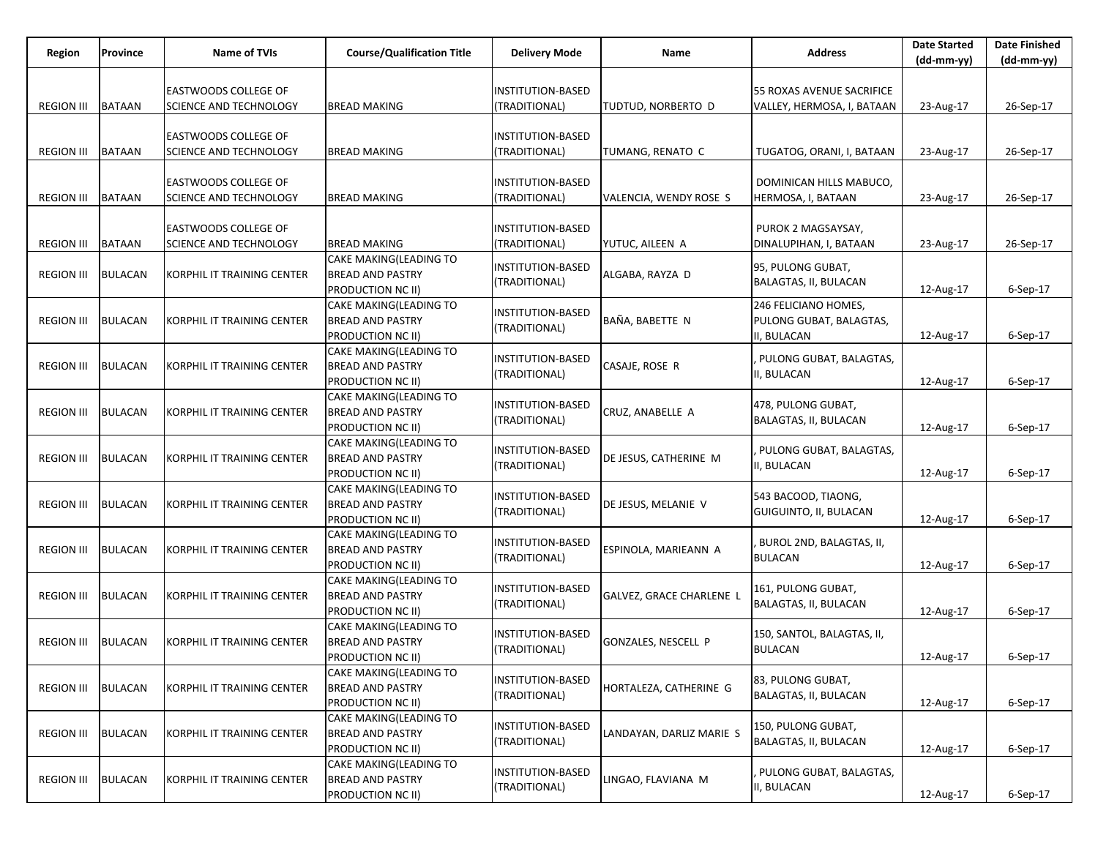| Region            | Province       | Name of TVIs                | <b>Course/Qualification Title</b>                 | <b>Delivery Mode</b>                      | Name                            | <b>Address</b>                             | <b>Date Started</b><br>(dd-mm-yy) | <b>Date Finished</b><br>$(dd-mm-yy)$ |
|-------------------|----------------|-----------------------------|---------------------------------------------------|-------------------------------------------|---------------------------------|--------------------------------------------|-----------------------------------|--------------------------------------|
|                   |                |                             |                                                   |                                           |                                 |                                            |                                   |                                      |
|                   |                | <b>EASTWOODS COLLEGE OF</b> |                                                   | INSTITUTION-BASED                         |                                 | 55 ROXAS AVENUE SACRIFICE                  |                                   |                                      |
| <b>REGION III</b> | <b>BATAAN</b>  | SCIENCE AND TECHNOLOGY      | <b>BREAD MAKING</b>                               | (TRADITIONAL)                             | TUDTUD, NORBERTO D              | VALLEY, HERMOSA, I, BATAAN                 | 23-Aug-17                         | 26-Sep-17                            |
|                   |                | <b>EASTWOODS COLLEGE OF</b> |                                                   | INSTITUTION-BASED                         |                                 |                                            |                                   |                                      |
| <b>REGION III</b> | <b>BATAAN</b>  | SCIENCE AND TECHNOLOGY      | <b>BREAD MAKING</b>                               | (TRADITIONAL)                             | TUMANG, RENATO C                | TUGATOG, ORANI, I, BATAAN                  | 23-Aug-17                         | 26-Sep-17                            |
|                   |                |                             |                                                   |                                           |                                 |                                            |                                   |                                      |
|                   |                | <b>EASTWOODS COLLEGE OF</b> |                                                   | INSTITUTION-BASED                         |                                 | DOMINICAN HILLS MABUCO,                    |                                   |                                      |
| <b>REGION III</b> | <b>BATAAN</b>  | SCIENCE AND TECHNOLOGY      | <b>BREAD MAKING</b>                               | (TRADITIONAL)                             | VALENCIA, WENDY ROSE S          | HERMOSA, I, BATAAN                         | 23-Aug-17                         | 26-Sep-17                            |
|                   |                |                             |                                                   |                                           |                                 |                                            |                                   |                                      |
|                   |                | <b>EASTWOODS COLLEGE OF</b> |                                                   | INSTITUTION-BASED                         |                                 | PUROK 2 MAGSAYSAY,                         |                                   |                                      |
| <b>REGION III</b> | <b>BATAAN</b>  | SCIENCE AND TECHNOLOGY      | <b>BREAD MAKING</b>                               | (TRADITIONAL)                             | YUTUC, AILEEN A                 | DINALUPIHAN, I, BATAAN                     | 23-Aug-17                         | 26-Sep-17                            |
|                   |                |                             | CAKE MAKING(LEADING TO                            | INSTITUTION-BASED                         |                                 | 95, PULONG GUBAT,                          |                                   |                                      |
| <b>REGION III</b> | <b>BULACAN</b> | KORPHIL IT TRAINING CENTER  | <b>BREAD AND PASTRY</b><br>PRODUCTION NC II)      | (TRADITIONAL)                             | ALGABA, RAYZA D                 | BALAGTAS, II, BULACAN                      | 12-Aug-17                         | $6-$ Sep $-17$                       |
|                   |                |                             | CAKE MAKING(LEADING TO                            |                                           |                                 | 246 FELICIANO HOMES,                       |                                   |                                      |
| <b>REGION III</b> | <b>BULACAN</b> | KORPHIL IT TRAINING CENTER  | BREAD AND PASTRY                                  | INSTITUTION-BASED                         | BAÑA, BABETTE N                 | PULONG GUBAT, BALAGTAS,                    |                                   |                                      |
|                   |                |                             | PRODUCTION NC II)                                 | (TRADITIONAL)                             |                                 | II, BULACAN                                | 12-Aug-17                         | $6-$ Sep $-17$                       |
|                   |                |                             | CAKE MAKING(LEADING TO                            |                                           |                                 |                                            |                                   |                                      |
| <b>REGION III</b> | <b>BULACAN</b> | KORPHIL IT TRAINING CENTER  | <b>BREAD AND PASTRY</b>                           | <b>INSTITUTION-BASED</b><br>(TRADITIONAL) | CASAJE, ROSE R                  | PULONG GUBAT, BALAGTAS,<br>II, BULACAN     |                                   |                                      |
|                   |                |                             | PRODUCTION NC II)                                 |                                           |                                 |                                            | 12-Aug-17                         | $6-$ Sep $-17$                       |
|                   |                |                             | CAKE MAKING(LEADING TO                            | INSTITUTION-BASED                         |                                 | 478, PULONG GUBAT,                         |                                   |                                      |
| <b>REGION III</b> | <b>BULACAN</b> | KORPHIL IT TRAINING CENTER  | BREAD AND PASTRY                                  | (TRADITIONAL)                             | CRUZ, ANABELLE A                | BALAGTAS, II, BULACAN                      |                                   |                                      |
|                   |                |                             | PRODUCTION NC II)                                 |                                           |                                 |                                            | 12-Aug-17                         | $6-$ Sep $-17$                       |
| <b>REGION III</b> |                |                             | CAKE MAKING(LEADING TO<br><b>BREAD AND PASTRY</b> | <b>INSTITUTION-BASED</b>                  |                                 | PULONG GUBAT, BALAGTAS,                    |                                   |                                      |
|                   | <b>BULACAN</b> | KORPHIL IT TRAINING CENTER  | PRODUCTION NC II)                                 | (TRADITIONAL)                             | DE JESUS, CATHERINE M           | II, BULACAN                                | 12-Aug-17                         | 6-Sep-17                             |
|                   |                |                             | CAKE MAKING(LEADING TO                            |                                           |                                 |                                            |                                   |                                      |
| <b>REGION III</b> | <b>BULACAN</b> | KORPHIL IT TRAINING CENTER  | BREAD AND PASTRY                                  | <b>INSTITUTION-BASED</b>                  | DE JESUS, MELANIE V             | 543 BACOOD, TIAONG,                        |                                   |                                      |
|                   |                |                             | PRODUCTION NC II)                                 | (TRADITIONAL)                             |                                 | GUIGUINTO, II, BULACAN                     | 12-Aug-17                         | $6-$ Sep $-17$                       |
|                   |                |                             | CAKE MAKING(LEADING TO                            | <b>INSTITUTION-BASED</b>                  |                                 | BUROL 2ND, BALAGTAS, II,                   |                                   |                                      |
| <b>REGION III</b> | <b>BULACAN</b> | KORPHIL IT TRAINING CENTER  | <b>BREAD AND PASTRY</b>                           | (TRADITIONAL)                             | ESPINOLA, MARIEANN A            | <b>BULACAN</b>                             |                                   |                                      |
|                   |                |                             | PRODUCTION NC II)                                 |                                           |                                 |                                            | 12-Aug-17                         | $6-$ Sep $-17$                       |
|                   |                |                             | CAKE MAKING(LEADING TO                            | INSTITUTION-BASED                         |                                 | 161, PULONG GUBAT,                         |                                   |                                      |
| <b>REGION III</b> | <b>BULACAN</b> | KORPHIL IT TRAINING CENTER  | BREAD AND PASTRY                                  | TRADITIONAL)                              | <b>GALVEZ, GRACE CHARLENE L</b> | BALAGTAS, II, BULACAN                      |                                   |                                      |
|                   |                |                             | PRODUCTION NC II)<br>CAKE MAKING(LEADING TO       |                                           |                                 |                                            | 12-Aug-17                         | 6-Sep-17                             |
| <b>REGION III</b> | <b>BULACAN</b> | KORPHIL IT TRAINING CENTER  | BREAD AND PASTRY                                  | INSTITUTION-BASED                         | GONZALES, NESCELL P             | 150, SANTOL, BALAGTAS, II,                 |                                   |                                      |
|                   |                |                             | PRODUCTION NC II)                                 | (TRADITIONAL)                             |                                 | <b>BULACAN</b>                             | 12-Aug-17                         | 6-Sep-17                             |
|                   |                |                             | CAKE MAKING(LEADING TO                            |                                           |                                 |                                            |                                   |                                      |
| <b>REGION III</b> | <b>BULACAN</b> | KORPHIL IT TRAINING CENTER  | <b>BREAD AND PASTRY</b>                           | <b>INSTITUTION-BASED</b><br>(TRADITIONAL) | HORTALEZA, CATHERINE G          | 83, PULONG GUBAT,<br>BALAGTAS, II, BULACAN |                                   |                                      |
|                   |                |                             | PRODUCTION NC II)                                 |                                           |                                 |                                            | 12-Aug-17                         | 6-Sep-17                             |
|                   |                |                             | CAKE MAKING(LEADING TO                            | INSTITUTION-BASED                         |                                 | 150, PULONG GUBAT,                         |                                   |                                      |
| <b>REGION III</b> | <b>BULACAN</b> | KORPHIL IT TRAINING CENTER  | <b>BREAD AND PASTRY</b>                           | (TRADITIONAL)                             | LANDAYAN, DARLIZ MARIE S        | BALAGTAS, II, BULACAN                      |                                   |                                      |
|                   |                |                             | PRODUCTION NC II)                                 |                                           |                                 |                                            | 12-Aug-17                         | 6-Sep-17                             |
| <b>REGION III</b> | <b>BULACAN</b> | KORPHIL IT TRAINING CENTER  | CAKE MAKING(LEADING TO<br><b>BREAD AND PASTRY</b> | INSTITUTION-BASED                         | LINGAO, FLAVIANA M              | PULONG GUBAT, BALAGTAS,                    |                                   |                                      |
|                   |                |                             | PRODUCTION NC II)                                 | (TRADITIONAL)                             |                                 | II, BULACAN                                | 12-Aug-17                         | 6-Sep-17                             |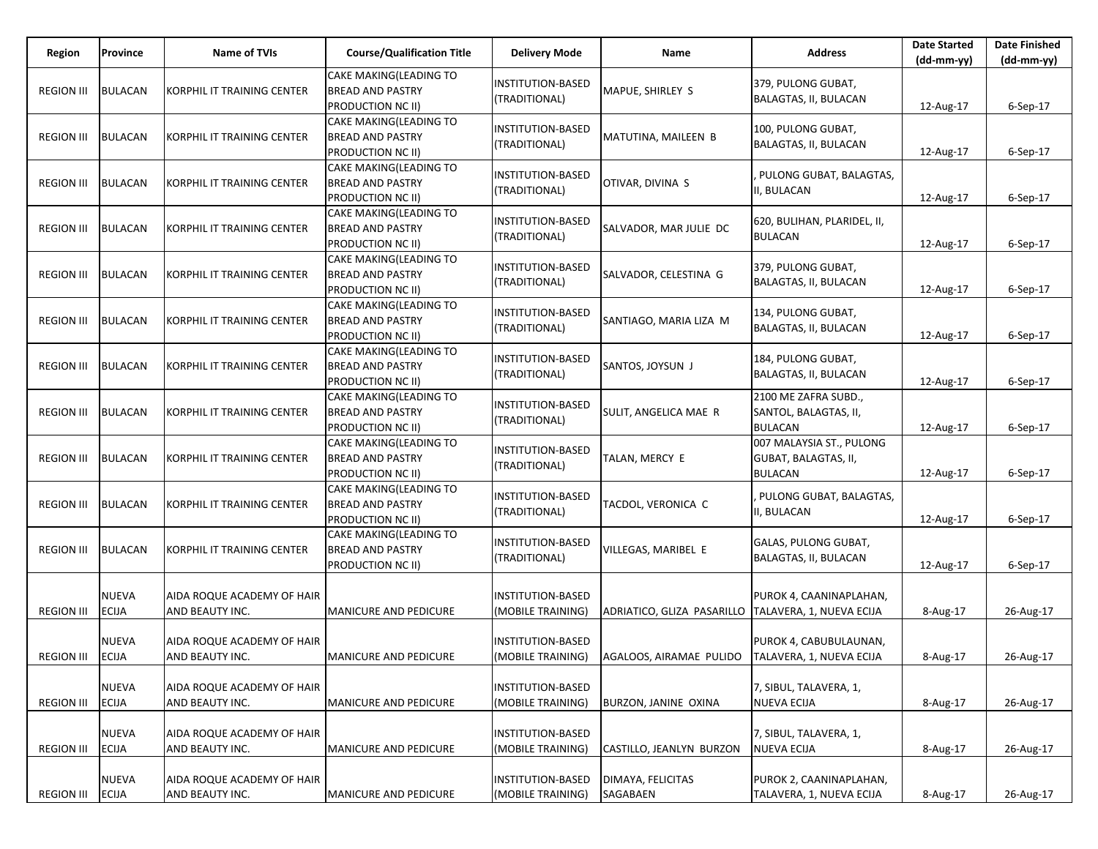| Region            | Province                     | <b>Name of TVIs</b>                           | <b>Course/Qualification Title</b>                                             | <b>Delivery Mode</b>                          | Name                                               | <b>Address</b>                                                     | <b>Date Started</b><br>$(dd-mm-yy)$ | <b>Date Finished</b><br>$(dd-mm-yy)$ |
|-------------------|------------------------------|-----------------------------------------------|-------------------------------------------------------------------------------|-----------------------------------------------|----------------------------------------------------|--------------------------------------------------------------------|-------------------------------------|--------------------------------------|
| <b>REGION III</b> | <b>BULACAN</b>               | KORPHIL IT TRAINING CENTER                    | CAKE MAKING(LEADING TO<br><b>BREAD AND PASTRY</b><br>PRODUCTION NC II)        | <b>INSTITUTION-BASED</b><br>(TRADITIONAL)     | MAPUE, SHIRLEY S                                   | 379, PULONG GUBAT,<br>BALAGTAS, II, BULACAN                        | 12-Aug-17                           | 6-Sep-17                             |
| <b>REGION III</b> | <b>BULACAN</b>               | KORPHIL IT TRAINING CENTER                    | CAKE MAKING(LEADING TO<br><b>BREAD AND PASTRY</b><br>PRODUCTION NC II)        | <b>INSTITUTION-BASED</b><br>(TRADITIONAL)     | MATUTINA, MAILEEN B                                | 100, PULONG GUBAT,<br>BALAGTAS, II, BULACAN                        | 12-Aug-17                           | $6-Sep-17$                           |
| <b>REGION III</b> | <b>BULACAN</b>               | KORPHIL IT TRAINING CENTER                    | CAKE MAKING(LEADING TO<br><b>BREAD AND PASTRY</b><br>PRODUCTION NC II)        | <b>INSTITUTION-BASED</b><br>(TRADITIONAL)     | OTIVAR, DIVINA S                                   | PULONG GUBAT, BALAGTAS,<br>I. BULACAN                              | 12-Aug-17                           | $6-Sep-17$                           |
| <b>REGION III</b> | <b>BULACAN</b>               | KORPHIL IT TRAINING CENTER                    | <b>CAKE MAKING(LEADING TO</b><br><b>BREAD AND PASTRY</b><br>PRODUCTION NC II) | <b>INSTITUTION-BASED</b><br>(TRADITIONAL)     | SALVADOR, MAR JULIE DC                             | 620, BULIHAN, PLARIDEL, II,<br><b>BULACAN</b>                      | 12-Aug-17                           | $6-Sep-17$                           |
| <b>REGION III</b> | <b>BULACAN</b>               | KORPHIL IT TRAINING CENTER                    | CAKE MAKING(LEADING TO<br><b>BREAD AND PASTRY</b><br>PRODUCTION NC II)        | <b>INSTITUTION-BASED</b><br>(TRADITIONAL)     | SALVADOR, CELESTINA G                              | 379, PULONG GUBAT,<br>BALAGTAS, II, BULACAN                        | 12-Aug-17                           | $6-Sep-17$                           |
| <b>REGION III</b> | <b>BULACAN</b>               | KORPHIL IT TRAINING CENTER                    | CAKE MAKING(LEADING TO<br><b>BREAD AND PASTRY</b><br>PRODUCTION NC II)        | INSTITUTION-BASED<br>(TRADITIONAL)            | SANTIAGO, MARIA LIZA M                             | 134, PULONG GUBAT,<br>BALAGTAS, II, BULACAN                        | 12-Aug-17                           | $6-Sep-17$                           |
| <b>REGION III</b> | <b>BULACAN</b>               | KORPHIL IT TRAINING CENTER                    | CAKE MAKING(LEADING TO<br><b>BREAD AND PASTRY</b><br>PRODUCTION NC II)        | <b>INSTITUTION-BASED</b><br>(TRADITIONAL)     | SANTOS, JOYSUN J                                   | 184, PULONG GUBAT,<br>BALAGTAS, II, BULACAN                        | 12-Aug-17                           | $6-Sep-17$                           |
| <b>REGION III</b> | <b>BULACAN</b>               | KORPHIL IT TRAINING CENTER                    | CAKE MAKING(LEADING TO<br><b>BREAD AND PASTRY</b><br>PRODUCTION NC II)        | INSTITUTION-BASED<br>(TRADITIONAL)            | SULIT, ANGELICA MAE R                              | 2100 ME ZAFRA SUBD.,<br>SANTOL, BALAGTAS, II,<br><b>BULACAN</b>    | 12-Aug-17                           | $6-Sep-17$                           |
| <b>REGION III</b> | <b>BULACAN</b>               | KORPHIL IT TRAINING CENTER                    | CAKE MAKING(LEADING TO<br><b>BREAD AND PASTRY</b><br>PRODUCTION NC II)        | <b>INSTITUTION-BASED</b><br>(TRADITIONAL)     | TALAN, MERCY E                                     | 007 MALAYSIA ST., PULONG<br>GUBAT, BALAGTAS, II,<br><b>BULACAN</b> | 12-Aug-17                           | 6-Sep-17                             |
| <b>REGION III</b> | <b>BULACAN</b>               | KORPHIL IT TRAINING CENTER                    | CAKE MAKING(LEADING TO<br><b>BREAD AND PASTRY</b><br>PRODUCTION NC II)        | <b>INSTITUTION-BASED</b><br>(TRADITIONAL)     | TACDOL, VERONICA C                                 | PULONG GUBAT, BALAGTAS,<br>I, BULACAN                              | 12-Aug-17                           | 6-Sep-17                             |
| <b>REGION III</b> | <b>BULACAN</b>               | KORPHIL IT TRAINING CENTER                    | CAKE MAKING(LEADING TO<br><b>BREAD AND PASTRY</b><br><b>PRODUCTION NC II)</b> | INSTITUTION-BASED<br>(TRADITIONAL)            | VILLEGAS, MARIBEL E                                | GALAS, PULONG GUBAT,<br>BALAGTAS, II, BULACAN                      | 12-Aug-17                           | $6-Sep-17$                           |
| <b>REGION III</b> | NUEVA<br><b>ECIJA</b>        | AIDA ROQUE ACADEMY OF HAIR<br>AND BEAUTY INC. | <b>MANICURE AND PEDICURE</b>                                                  | INSTITUTION-BASED<br>(MOBILE TRAINING)        | ADRIATICO, GLIZA PASARILLO                         | PUROK 4, CAANINAPLAHAN,<br>TALAVERA, 1, NUEVA ECIJA                | 8-Aug-17                            | 26-Aug-17                            |
| REGION III ECIJA  | NUEVA                        | AIDA ROQUE ACADEMY OF HAIR<br>AND BEAUTY INC. | MANICURE AND PEDICURE                                                         | <b>INSTITUTION-BASED</b><br>(MOBILE TRAINING) | AGALOOS, AIRAMAE PULIDO   TALAVERA, 1, NUEVA ECIJA | PUROK 4, CABUBULAUNAN,                                             | 8-Aug-17                            | 26-Aug-17                            |
| <b>REGION III</b> | <b>NUEVA</b><br><b>ECIJA</b> | AIDA ROQUE ACADEMY OF HAIR<br>AND BEAUTY INC. | MANICURE AND PEDICURE                                                         | <b>INSTITUTION-BASED</b><br>(MOBILE TRAINING) | <b>BURZON, JANINE OXINA</b>                        | 7, SIBUL, TALAVERA, 1,<br><b>NUEVA ECIJA</b>                       | 8-Aug-17                            | 26-Aug-17                            |
| <b>REGION III</b> | <b>NUEVA</b><br><b>ECIJA</b> | AIDA ROQUE ACADEMY OF HAIR<br>AND BEAUTY INC. | MANICURE AND PEDICURE                                                         | <b>INSTITUTION-BASED</b><br>(MOBILE TRAINING) | CASTILLO, JEANLYN BURZON                           | 7, SIBUL, TALAVERA, 1,<br><b>NUEVA ECIJA</b>                       | 8-Aug-17                            | 26-Aug-17                            |
| <b>REGION III</b> | <b>NUEVA</b><br><b>ECIJA</b> | AIDA ROQUE ACADEMY OF HAIR<br>AND BEAUTY INC. | MANICURE AND PEDICURE                                                         | <b>INSTITUTION-BASED</b><br>(MOBILE TRAINING) | DIMAYA, FELICITAS<br>SAGABAEN                      | PUROK 2, CAANINAPLAHAN,<br>TALAVERA, 1, NUEVA ECIJA                | 8-Aug-17                            | 26-Aug-17                            |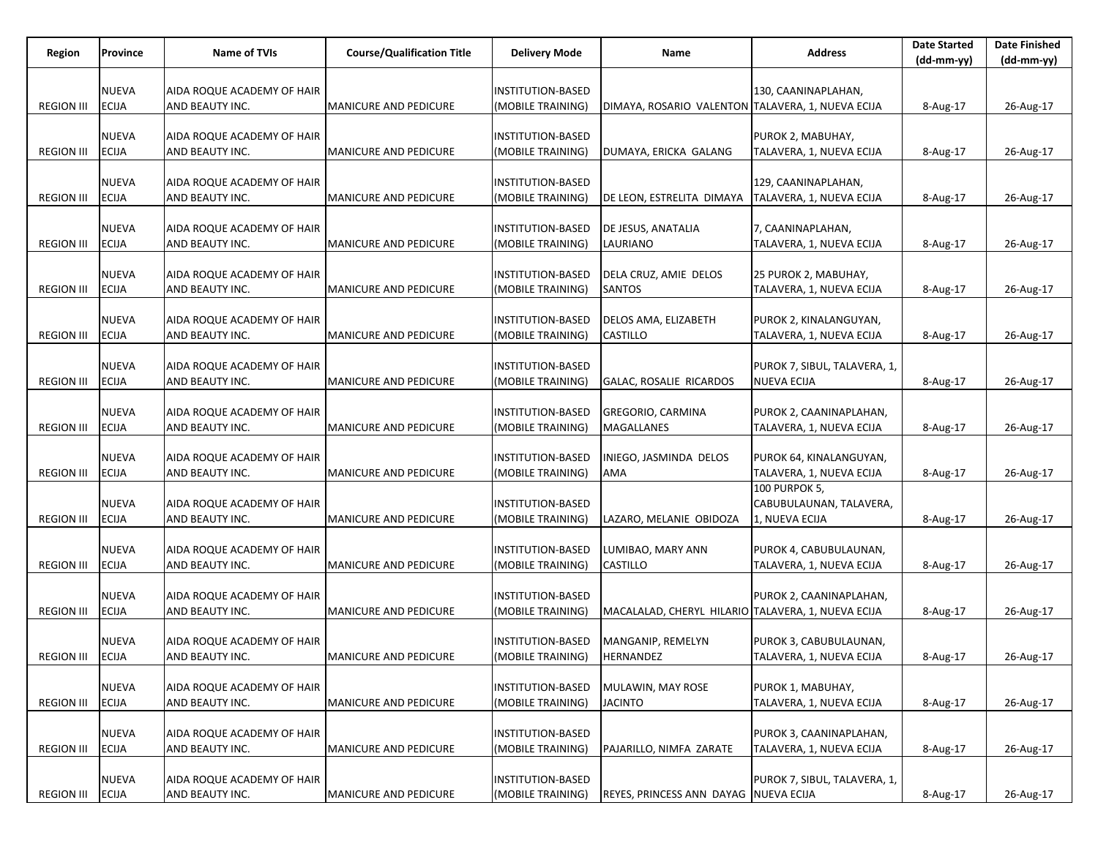| Region            | Province     | <b>Name of TVIs</b>                           | <b>Course/Qualification Title</b> | <b>Delivery Mode</b>     | Name                                               | <b>Address</b>               | <b>Date Started</b> | <b>Date Finished</b> |
|-------------------|--------------|-----------------------------------------------|-----------------------------------|--------------------------|----------------------------------------------------|------------------------------|---------------------|----------------------|
|                   |              |                                               |                                   |                          |                                                    |                              | (dd-mm-yy)          | (dd-mm-yy)           |
|                   | <b>NUEVA</b> |                                               |                                   | INSTITUTION-BASED        |                                                    | 130, CAANINAPLAHAN,          |                     |                      |
| <b>REGION III</b> | <b>ECIJA</b> | AIDA ROQUE ACADEMY OF HAIR<br>AND BEAUTY INC. | MANICURE AND PEDICURE             | MOBILE TRAINING)         | DIMAYA, ROSARIO VALENTON TALAVERA, 1, NUEVA ECIJA  |                              | 8-Aug-17            | 26-Aug-17            |
|                   |              |                                               |                                   |                          |                                                    |                              |                     |                      |
|                   | <b>NUEVA</b> | AIDA ROQUE ACADEMY OF HAIR                    |                                   | INSTITUTION-BASED        |                                                    | PUROK 2, MABUHAY,            |                     |                      |
| <b>REGION III</b> | <b>ECIJA</b> | AND BEAUTY INC.                               | <b>MANICURE AND PEDICURE</b>      | (MOBILE TRAINING)        | DUMAYA, ERICKA GALANG                              | TALAVERA, 1, NUEVA ECIJA     | 8-Aug-17            | 26-Aug-17            |
|                   |              |                                               |                                   |                          |                                                    |                              |                     |                      |
|                   | <b>NUEVA</b> | AIDA ROQUE ACADEMY OF HAIR                    |                                   | INSTITUTION-BASED        |                                                    | 129, CAANINAPLAHAN,          |                     |                      |
| <b>REGION III</b> | <b>ECIJA</b> | AND BEAUTY INC.                               | <b>MANICURE AND PEDICURE</b>      | (MOBILE TRAINING)        | DE LEON, ESTRELITA DIMAYA                          | TALAVERA, 1, NUEVA ECIJA     | 8-Aug-17            | 26-Aug-17            |
|                   |              |                                               |                                   |                          |                                                    |                              |                     |                      |
|                   | <b>NUEVA</b> | AIDA ROQUE ACADEMY OF HAIR                    |                                   | INSTITUTION-BASED        | DE JESUS, ANATALIA                                 | 7, CAANINAPLAHAN,            |                     |                      |
| <b>REGION III</b> | <b>ECIJA</b> | AND BEAUTY INC.                               | <b>MANICURE AND PEDICURE</b>      | (MOBILE TRAINING)        | LAURIANO                                           | TALAVERA, 1, NUEVA ECIJA     | 8-Aug-17            | 26-Aug-17            |
|                   |              |                                               |                                   |                          |                                                    |                              |                     |                      |
|                   | <b>NUEVA</b> | AIDA ROQUE ACADEMY OF HAIR                    |                                   | INSTITUTION-BASED        | DELA CRUZ, AMIE DELOS                              | 25 PUROK 2, MABUHAY,         |                     |                      |
| <b>REGION III</b> | <b>ECIJA</b> | AND BEAUTY INC.                               | <b>MANICURE AND PEDICURE</b>      | (MOBILE TRAINING)        | <b>SANTOS</b>                                      | TALAVERA, 1, NUEVA ECIJA     | 8-Aug-17            | 26-Aug-17            |
|                   |              |                                               |                                   |                          |                                                    |                              |                     |                      |
|                   | <b>NUEVA</b> | AIDA ROQUE ACADEMY OF HAIR                    |                                   | INSTITUTION-BASED        | DELOS AMA, ELIZABETH                               | PUROK 2, KINALANGUYAN,       |                     |                      |
| <b>REGION III</b> | <b>ECIJA</b> | AND BEAUTY INC.                               | MANICURE AND PEDICURE             | (MOBILE TRAINING)        | CASTILLO                                           | TALAVERA, 1, NUEVA ECIJA     | 8-Aug-17            | 26-Aug-17            |
|                   |              |                                               |                                   |                          |                                                    |                              |                     |                      |
|                   | <b>NUEVA</b> | AIDA ROQUE ACADEMY OF HAIR                    |                                   | INSTITUTION-BASED        |                                                    | PUROK 7, SIBUL, TALAVERA, 1, |                     |                      |
| <b>REGION III</b> | <b>ECIJA</b> | AND BEAUTY INC.                               | <b>MANICURE AND PEDICURE</b>      | (MOBILE TRAINING)        | GALAC, ROSALIE RICARDOS                            | <b>NUEVA ECIJA</b>           | 8-Aug-17            | 26-Aug-17            |
|                   | <b>NUEVA</b> | AIDA ROQUE ACADEMY OF HAIR                    |                                   | INSTITUTION-BASED        | <b>GREGORIO, CARMINA</b>                           | PUROK 2, CAANINAPLAHAN,      |                     |                      |
| <b>REGION III</b> | <b>ECIJA</b> | AND BEAUTY INC.                               | <b>MANICURE AND PEDICURE</b>      | (MOBILE TRAINING)        | MAGALLANES                                         | TALAVERA, 1, NUEVA ECIJA     | 8-Aug-17            | 26-Aug-17            |
|                   |              |                                               |                                   |                          |                                                    |                              |                     |                      |
|                   | <b>NUEVA</b> | AIDA ROQUE ACADEMY OF HAIR                    |                                   | INSTITUTION-BASED        | INIEGO, JASMINDA DELOS                             | PUROK 64, KINALANGUYAN,      |                     |                      |
| <b>REGION III</b> | <b>ECIJA</b> | AND BEAUTY INC.                               | MANICURE AND PEDICURE             | (MOBILE TRAINING)        | AMA                                                | TALAVERA, 1, NUEVA ECIJA     | 8-Aug-17            | 26-Aug-17            |
|                   |              |                                               |                                   |                          |                                                    | <b>100 PURPOK 5,</b>         |                     |                      |
|                   | <b>NUEVA</b> | AIDA ROQUE ACADEMY OF HAIR                    |                                   | INSTITUTION-BASED        |                                                    | CABUBULAUNAN, TALAVERA,      |                     |                      |
| <b>REGION III</b> | <b>ECIJA</b> | AND BEAUTY INC.                               | MANICURE AND PEDICURE             | (MOBILE TRAINING)        | LAZARO, MELANIE OBIDOZA                            | 1, NUEVA ECIJA               | 8-Aug-17            | 26-Aug-17            |
|                   |              |                                               |                                   |                          |                                                    |                              |                     |                      |
|                   | <b>NUEVA</b> | AIDA ROQUE ACADEMY OF HAIR                    |                                   | INSTITUTION-BASED        | LUMIBAO, MARY ANN                                  | PUROK 4, CABUBULAUNAN,       |                     |                      |
| <b>REGION III</b> | <b>ECIJA</b> | AND BEAUTY INC.                               | <b>MANICURE AND PEDICURE</b>      | (MOBILE TRAINING)        | CASTILLO                                           | TALAVERA, 1, NUEVA ECIJA     | 8-Aug-17            | 26-Aug-17            |
|                   |              |                                               |                                   |                          |                                                    |                              |                     |                      |
|                   | <b>NUEVA</b> | AIDA ROQUE ACADEMY OF HAIR                    |                                   | INSTITUTION-BASED        |                                                    | PUROK 2, CAANINAPLAHAN,      |                     |                      |
| <b>REGION III</b> | <b>ECIJA</b> | AND BEAUTY INC.                               | <b>MANICURE AND PEDICURE</b>      | (MOBILE TRAINING)        | MACALALAD, CHERYL HILARIO TALAVERA, 1, NUEVA ECIJA |                              | 8-Aug-17            | 26-Aug-17            |
|                   |              |                                               |                                   |                          |                                                    |                              |                     |                      |
|                   | <b>NUEVA</b> | AIDA ROQUE ACADEMY OF HAIR                    |                                   | INSTITUTION-BASED        | MANGANIP, REMELYN                                  | PUROK 3, CABUBULAUNAN,       |                     |                      |
| <b>REGION III</b> | <b>ECIJA</b> | AND BEAUTY INC.                               | MANICURE AND PEDICURE             | (MOBILE TRAINING)        | HERNANDEZ                                          | TALAVERA, 1, NUEVA ECIJA     | 8-Aug-17            | 26-Aug-17            |
|                   | <b>NUEVA</b> | AIDA ROQUE ACADEMY OF HAIR                    |                                   | <b>INSTITUTION-BASED</b> | MULAWIN, MAY ROSE                                  | PUROK 1, MABUHAY,            |                     |                      |
| <b>REGION III</b> | <b>ECIJA</b> | AND BEAUTY INC.                               | MANICURE AND PEDICURE             | (MOBILE TRAINING)        | <b>JACINTO</b>                                     | TALAVERA, 1, NUEVA ECIJA     | 8-Aug-17            | 26-Aug-17            |
|                   |              |                                               |                                   |                          |                                                    |                              |                     |                      |
|                   | <b>NUEVA</b> | AIDA ROQUE ACADEMY OF HAIR                    |                                   | <b>INSTITUTION-BASED</b> |                                                    | PUROK 3, CAANINAPLAHAN,      |                     |                      |
| <b>REGION III</b> | <b>ECIJA</b> | AND BEAUTY INC.                               | MANICURE AND PEDICURE             | (MOBILE TRAINING)        | PAJARILLO, NIMFA ZARATE                            | TALAVERA, 1, NUEVA ECIJA     | 8-Aug-17            | 26-Aug-17            |
|                   |              |                                               |                                   |                          |                                                    |                              |                     |                      |
|                   | <b>NUEVA</b> | AIDA ROQUE ACADEMY OF HAIR                    |                                   | <b>INSTITUTION-BASED</b> |                                                    | PUROK 7, SIBUL, TALAVERA, 1, |                     |                      |
| <b>REGION III</b> | <b>ECIJA</b> | AND BEAUTY INC.                               | MANICURE AND PEDICURE             | (MOBILE TRAINING)        | REYES, PRINCESS ANN DAYAG NUEVA ECIJA              |                              | 8-Aug-17            | 26-Aug-17            |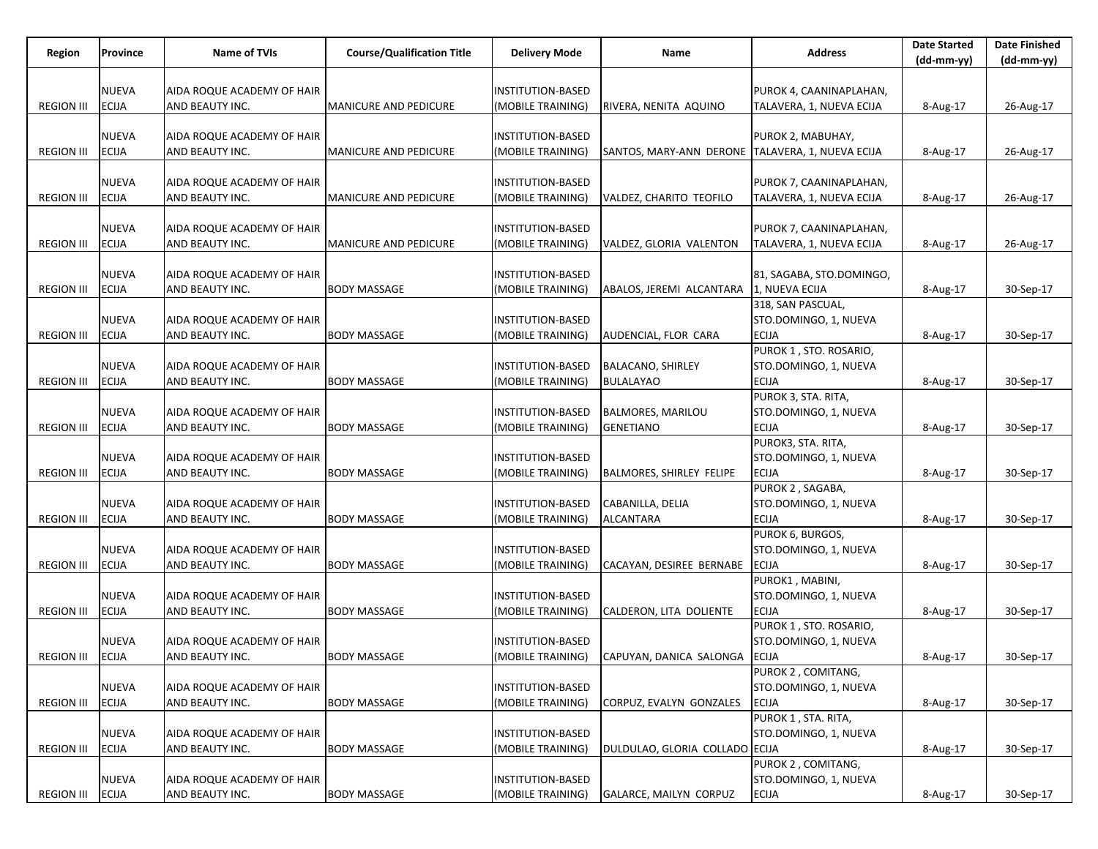| Region            | Province     | <b>Name of TVIs</b>        | <b>Course/Qualification Title</b> | <b>Delivery Mode</b>     | Name                                             | <b>Address</b>           | <b>Date Started</b> | <b>Date Finished</b> |
|-------------------|--------------|----------------------------|-----------------------------------|--------------------------|--------------------------------------------------|--------------------------|---------------------|----------------------|
|                   |              |                            |                                   |                          |                                                  |                          | (dd-mm-yy)          | $(dd-mm-yy)$         |
|                   |              |                            |                                   |                          |                                                  |                          |                     |                      |
|                   | <b>NUEVA</b> | AIDA ROQUE ACADEMY OF HAIR |                                   | <b>INSTITUTION-BASED</b> |                                                  | PUROK 4, CAANINAPLAHAN,  |                     |                      |
| <b>REGION III</b> | <b>ECIJA</b> | AND BEAUTY INC.            | <b>MANICURE AND PEDICURE</b>      | (MOBILE TRAINING)        | RIVERA, NENITA AQUINO                            | TALAVERA, 1, NUEVA ECIJA | 8-Aug-17            | 26-Aug-17            |
|                   |              |                            |                                   |                          |                                                  |                          |                     |                      |
|                   | NUEVA        | AIDA ROQUE ACADEMY OF HAIR |                                   | <b>INSTITUTION-BASED</b> |                                                  | PUROK 2, MABUHAY,        |                     |                      |
| <b>REGION III</b> | <b>ECIJA</b> | AND BEAUTY INC.            | <b>MANICURE AND PEDICURE</b>      | (MOBILE TRAINING)        | SANTOS, MARY-ANN DERONE TALAVERA, 1, NUEVA ECIJA |                          | 8-Aug-17            | 26-Aug-17            |
|                   |              |                            |                                   |                          |                                                  |                          |                     |                      |
|                   | <b>NUEVA</b> | AIDA ROQUE ACADEMY OF HAIR |                                   | <b>INSTITUTION-BASED</b> |                                                  | PUROK 7, CAANINAPLAHAN,  |                     |                      |
| <b>REGION III</b> | <b>ECIJA</b> | AND BEAUTY INC.            | <b>MANICURE AND PEDICURE</b>      | (MOBILE TRAINING)        | VALDEZ, CHARITO TEOFILO                          | TALAVERA, 1, NUEVA ECIJA | 8-Aug-17            | 26-Aug-17            |
|                   |              |                            |                                   |                          |                                                  |                          |                     |                      |
|                   | <b>NUEVA</b> | AIDA ROQUE ACADEMY OF HAIR |                                   | <b>INSTITUTION-BASED</b> |                                                  | PUROK 7, CAANINAPLAHAN,  |                     |                      |
| <b>REGION III</b> | <b>ECIJA</b> | AND BEAUTY INC.            | <b>MANICURE AND PEDICURE</b>      | (MOBILE TRAINING)        | VALDEZ, GLORIA VALENTON                          | TALAVERA, 1, NUEVA ECIJA | 8-Aug-17            | 26-Aug-17            |
|                   |              |                            |                                   |                          |                                                  |                          |                     |                      |
|                   | <b>NUEVA</b> | AIDA ROQUE ACADEMY OF HAIR |                                   | <b>INSTITUTION-BASED</b> |                                                  | 81, SAGABA, STO.DOMINGO, |                     |                      |
| <b>REGION III</b> | <b>ECIJA</b> | AND BEAUTY INC.            | <b>BODY MASSAGE</b>               | (MOBILE TRAINING)        | ABALOS, JEREMI ALCANTARA                         | 1, NUEVA ECIJA           | 8-Aug-17            | 30-Sep-17            |
|                   |              |                            |                                   |                          |                                                  | 318, SAN PASCUAL,        |                     |                      |
|                   | NUEVA        | AIDA ROQUE ACADEMY OF HAIR |                                   | <b>INSTITUTION-BASED</b> |                                                  | STO.DOMINGO, 1, NUEVA    |                     |                      |
| <b>REGION III</b> | <b>ECIJA</b> | AND BEAUTY INC.            | <b>BODY MASSAGE</b>               | (MOBILE TRAINING)        | AUDENCIAL, FLOR CARA                             | <b>ECIJA</b>             | 8-Aug-17            | 30-Sep-17            |
|                   |              |                            |                                   |                          |                                                  | PUROK 1, STO. ROSARIO,   |                     |                      |
|                   | <b>NUEVA</b> | AIDA ROQUE ACADEMY OF HAIR |                                   | <b>INSTITUTION-BASED</b> | <b>BALACANO, SHIRLEY</b>                         | STO.DOMINGO, 1, NUEVA    |                     |                      |
| <b>REGION III</b> | <b>ECIJA</b> | AND BEAUTY INC.            | <b>BODY MASSAGE</b>               | (MOBILE TRAINING)        | <b>BULALAYAO</b>                                 | <b>ECIJA</b>             | 8-Aug-17            | 30-Sep-17            |
|                   |              |                            |                                   |                          |                                                  | PUROK 3, STA. RITA,      |                     |                      |
|                   | NUEVA        | AIDA ROQUE ACADEMY OF HAIR |                                   | <b>INSTITUTION-BASED</b> | <b>BALMORES, MARILOU</b>                         | STO.DOMINGO, 1, NUEVA    |                     |                      |
| <b>REGION III</b> | <b>ECIJA</b> | AND BEAUTY INC.            | <b>BODY MASSAGE</b>               | (MOBILE TRAINING)        | <b>GENETIANO</b>                                 | <b>ECIJA</b>             | 8-Aug-17            | 30-Sep-17            |
|                   |              |                            |                                   |                          |                                                  | PUROK3, STA. RITA,       |                     |                      |
|                   | <b>NUEVA</b> | AIDA ROQUE ACADEMY OF HAIR |                                   | <b>INSTITUTION-BASED</b> |                                                  | STO.DOMINGO, 1, NUEVA    |                     |                      |
| <b>REGION III</b> | <b>ECIJA</b> | AND BEAUTY INC.            | <b>BODY MASSAGE</b>               | (MOBILE TRAINING)        | BALMORES, SHIRLEY FELIPE                         | <b>ECIJA</b>             | 8-Aug-17            | 30-Sep-17            |
|                   |              |                            |                                   |                          |                                                  | PUROK 2, SAGABA,         |                     |                      |
|                   | NUEVA        | AIDA ROQUE ACADEMY OF HAIR |                                   | <b>INSTITUTION-BASED</b> | CABANILLA, DELIA                                 | STO.DOMINGO, 1, NUEVA    |                     |                      |
| <b>REGION III</b> | <b>ECIJA</b> | AND BEAUTY INC.            | <b>BODY MASSAGE</b>               | (MOBILE TRAINING)        | <b>ALCANTARA</b>                                 | <b>ECIJA</b>             | 8-Aug-17            | 30-Sep-17            |
|                   |              |                            |                                   |                          |                                                  | PUROK 6, BURGOS,         |                     |                      |
|                   | NUEVA        | AIDA ROQUE ACADEMY OF HAIR |                                   | <b>INSTITUTION-BASED</b> |                                                  | STO.DOMINGO, 1, NUEVA    |                     |                      |
| <b>REGION III</b> | <b>ECIJA</b> | AND BEAUTY INC.            | <b>BODY MASSAGE</b>               | (MOBILE TRAINING)        | CACAYAN, DESIREE BERNABE                         | <b>ECIJA</b>             | 8-Aug-17            | 30-Sep-17            |
|                   |              |                            |                                   |                          |                                                  | PUROK1, MABINI,          |                     |                      |
|                   | NUEVA        | AIDA ROQUE ACADEMY OF HAIR |                                   | <b>INSTITUTION-BASED</b> |                                                  | STO.DOMINGO, 1, NUEVA    |                     |                      |
| <b>REGION III</b> | <b>ECIJA</b> | AND BEAUTY INC.            | <b>BODY MASSAGE</b>               | (MOBILE TRAINING)        | CALDERON, LITA DOLIENTE                          | <b>ECIJA</b>             | 8-Aug-17            | 30-Sep-17            |
|                   |              |                            |                                   |                          |                                                  | PUROK 1, STO. ROSARIO,   |                     |                      |
|                   | NUEVA        | AIDA ROQUE ACADEMY OF HAIR |                                   | <b>INSTITUTION-BASED</b> |                                                  | STO.DOMINGO, 1, NUEVA    |                     |                      |
| REGION III ECIJA  |              | AND BEAUTY INC.            | <b>BODY MASSAGE</b>               | (MOBILE TRAINING)        | CAPUYAN, DANICA SALONGA ECIJA                    |                          | 8-Aug-17            | 30-Sep-17            |
|                   |              |                            |                                   |                          |                                                  | PUROK 2, COMITANG,       |                     |                      |
|                   | NUEVA        | AIDA ROQUE ACADEMY OF HAIR |                                   | INSTITUTION-BASED        |                                                  | STO.DOMINGO, 1, NUEVA    |                     |                      |
| <b>REGION III</b> | <b>ECIJA</b> | AND BEAUTY INC.            | <b>BODY MASSAGE</b>               | (MOBILE TRAINING)        | CORPUZ, EVALYN GONZALES                          | <b>ECIJA</b>             | 8-Aug-17            | 30-Sep-17            |
|                   |              |                            |                                   |                          |                                                  | PUROK 1, STA. RITA,      |                     |                      |
|                   | <b>NUEVA</b> | AIDA ROQUE ACADEMY OF HAIR |                                   | <b>INSTITUTION-BASED</b> |                                                  | STO.DOMINGO, 1, NUEVA    |                     |                      |
| <b>REGION III</b> | <b>ECIJA</b> | AND BEAUTY INC.            | <b>BODY MASSAGE</b>               | (MOBILE TRAINING)        | DULDULAO, GLORIA COLLADO ECIJA                   |                          | 8-Aug-17            | 30-Sep-17            |
|                   |              |                            |                                   |                          |                                                  | PUROK 2, COMITANG,       |                     |                      |
|                   | NUEVA        | AIDA ROQUE ACADEMY OF HAIR |                                   | <b>INSTITUTION-BASED</b> |                                                  | STO.DOMINGO, 1, NUEVA    |                     |                      |
| <b>REGION III</b> | <b>ECIJA</b> | AND BEAUTY INC.            | <b>BODY MASSAGE</b>               | (MOBILE TRAINING)        | GALARCE, MAILYN CORPUZ                           | <b>ECIJA</b>             | 8-Aug-17            | 30-Sep-17            |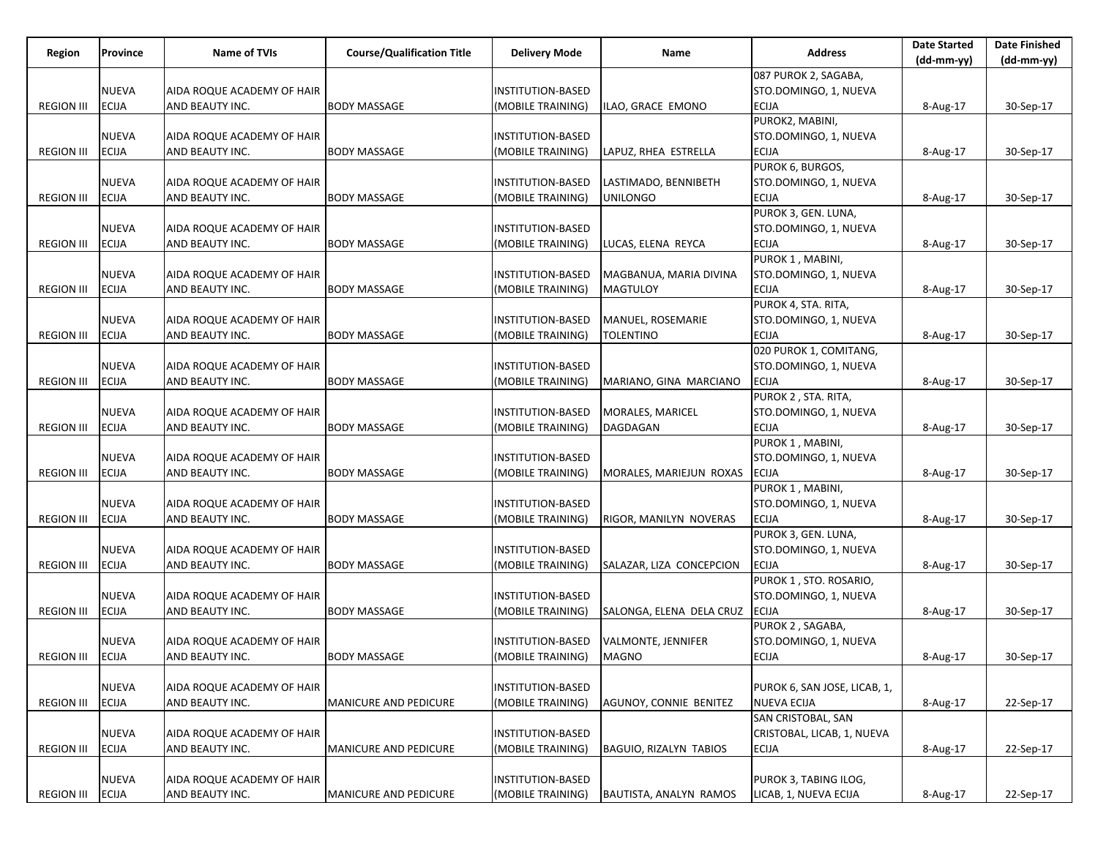| Region            | Province     | <b>Name of TVIs</b>        | <b>Course/Qualification Title</b> | <b>Delivery Mode</b>     | Name                          | <b>Address</b>               | <b>Date Started</b> | <b>Date Finished</b> |
|-------------------|--------------|----------------------------|-----------------------------------|--------------------------|-------------------------------|------------------------------|---------------------|----------------------|
|                   |              |                            |                                   |                          |                               |                              | (dd-mm-yy)          | $(dd-mm-yy)$         |
|                   |              |                            |                                   |                          |                               | 087 PUROK 2, SAGABA,         |                     |                      |
|                   | <b>NUEVA</b> | AIDA ROQUE ACADEMY OF HAIR |                                   | INSTITUTION-BASED        |                               | STO.DOMINGO, 1, NUEVA        |                     |                      |
| <b>REGION III</b> | <b>ECIJA</b> | AND BEAUTY INC.            | BODY MASSAGE                      | (MOBILE TRAINING)        | ILAO, GRACE EMONO             | <b>ECIJA</b>                 | 8-Aug-17            | 30-Sep-17            |
|                   |              |                            |                                   |                          |                               | PUROK2, MABINI,              |                     |                      |
|                   | <b>NUEVA</b> | AIDA ROQUE ACADEMY OF HAIR |                                   | <b>INSTITUTION-BASED</b> |                               | STO.DOMINGO, 1, NUEVA        |                     |                      |
| <b>REGION III</b> | <b>ECIJA</b> | AND BEAUTY INC.            | <b>BODY MASSAGE</b>               | (MOBILE TRAINING)        | LAPUZ, RHEA ESTRELLA          | <b>ECIJA</b>                 | 8-Aug-17            | 30-Sep-17            |
|                   |              |                            |                                   |                          |                               | PUROK 6, BURGOS,             |                     |                      |
|                   | <b>NUEVA</b> | AIDA ROQUE ACADEMY OF HAIR |                                   | INSTITUTION-BASED        | LASTIMADO, BENNIBETH          | STO.DOMINGO, 1, NUEVA        |                     |                      |
| <b>REGION III</b> | <b>ECIJA</b> | AND BEAUTY INC.            | <b>BODY MASSAGE</b>               | MOBILE TRAINING)         | <b>UNILONGO</b>               | <b>ECIJA</b>                 | 8-Aug-17            | 30-Sep-17            |
|                   |              |                            |                                   |                          |                               | PUROK 3, GEN. LUNA,          |                     |                      |
|                   | NUEVA        | AIDA ROQUE ACADEMY OF HAIR |                                   | <b>INSTITUTION-BASED</b> |                               | STO.DOMINGO, 1, NUEVA        |                     |                      |
| <b>REGION III</b> | <b>ECIJA</b> | AND BEAUTY INC.            | <b>BODY MASSAGE</b>               | (MOBILE TRAINING)        | LUCAS, ELENA REYCA            | <b>ECIJA</b>                 | 8-Aug-17            | 30-Sep-17            |
|                   |              |                            |                                   |                          |                               | PUROK 1, MABINI,             |                     |                      |
|                   | <b>NUEVA</b> | AIDA ROQUE ACADEMY OF HAIR |                                   | INSTITUTION-BASED        | MAGBANUA, MARIA DIVINA        | STO.DOMINGO, 1, NUEVA        |                     |                      |
| <b>REGION III</b> | <b>ECIJA</b> | AND BEAUTY INC.            | <b>BODY MASSAGE</b>               | (MOBILE TRAINING)        | <b>MAGTULOY</b>               | <b>ECIJA</b>                 | 8-Aug-17            | 30-Sep-17            |
|                   |              |                            |                                   |                          |                               | PUROK 4, STA. RITA,          |                     |                      |
|                   | <b>NUEVA</b> | AIDA ROQUE ACADEMY OF HAIR |                                   | <b>INSTITUTION-BASED</b> | MANUEL, ROSEMARIE             | STO.DOMINGO, 1, NUEVA        |                     |                      |
| <b>REGION III</b> | <b>ECIJA</b> | AND BEAUTY INC.            | <b>BODY MASSAGE</b>               | (MOBILE TRAINING)        | <b>TOLENTINO</b>              | <b>ECIJA</b>                 | 8-Aug-17            | 30-Sep-17            |
|                   |              |                            |                                   |                          |                               | 020 PUROK 1, COMITANG,       |                     |                      |
|                   | <b>NUEVA</b> | AIDA ROQUE ACADEMY OF HAIR |                                   | INSTITUTION-BASED        |                               | STO.DOMINGO, 1, NUEVA        |                     |                      |
|                   |              |                            |                                   |                          |                               |                              |                     |                      |
| <b>REGION III</b> | <b>ECIJA</b> | AND BEAUTY INC.            | <b>BODY MASSAGE</b>               | (MOBILE TRAINING)        | MARIANO, GINA MARCIANO        | <b>ECIJA</b>                 | 8-Aug-17            | 30-Sep-17            |
|                   |              |                            |                                   |                          |                               | PUROK 2, STA. RITA,          |                     |                      |
|                   | <b>NUEVA</b> | AIDA ROQUE ACADEMY OF HAIR |                                   | INSTITUTION-BASED        | MORALES, MARICEL              | STO.DOMINGO, 1, NUEVA        |                     |                      |
| <b>REGION III</b> | <b>ECIJA</b> | AND BEAUTY INC.            | <b>BODY MASSAGE</b>               | (MOBILE TRAINING)        | DAGDAGAN                      | <b>ECIJA</b>                 | 8-Aug-17            | 30-Sep-17            |
|                   |              |                            |                                   |                          |                               | PUROK 1, MABINI,             |                     |                      |
|                   | <b>NUEVA</b> | AIDA ROQUE ACADEMY OF HAIR |                                   | INSTITUTION-BASED        |                               | STO.DOMINGO, 1, NUEVA        |                     |                      |
| <b>REGION III</b> | <b>ECIJA</b> | AND BEAUTY INC.            | <b>BODY MASSAGE</b>               | (MOBILE TRAINING)        | MORALES, MARIEJUN ROXAS       | <b>ECIJA</b>                 | 8-Aug-17            | 30-Sep-17            |
|                   |              |                            |                                   |                          |                               | PUROK 1, MABINI,             |                     |                      |
|                   | NUEVA        | AIDA ROQUE ACADEMY OF HAIR |                                   | INSTITUTION-BASED        |                               | STO.DOMINGO, 1, NUEVA        |                     |                      |
| <b>REGION III</b> | <b>ECIJA</b> | AND BEAUTY INC.            | <b>BODY MASSAGE</b>               | (MOBILE TRAINING)        | RIGOR, MANILYN NOVERAS        | <b>ECIJA</b>                 | 8-Aug-17            | 30-Sep-17            |
|                   |              |                            |                                   |                          |                               | PUROK 3, GEN. LUNA,          |                     |                      |
|                   | <b>NUEVA</b> | AIDA ROQUE ACADEMY OF HAIR |                                   | INSTITUTION-BASED        |                               | STO.DOMINGO, 1, NUEVA        |                     |                      |
| <b>REGION III</b> | <b>ECIJA</b> | AND BEAUTY INC.            | <b>BODY MASSAGE</b>               | (MOBILE TRAINING)        | SALAZAR, LIZA CONCEPCION      | <b>ECIJA</b>                 | 8-Aug-17            | 30-Sep-17            |
|                   |              |                            |                                   |                          |                               | PUROK 1, STO. ROSARIO,       |                     |                      |
|                   | NUEVA        | AIDA ROQUE ACADEMY OF HAIR |                                   | INSTITUTION-BASED        |                               | STO.DOMINGO, 1, NUEVA        |                     |                      |
| <b>REGION III</b> | <b>ECIJA</b> | AND BEAUTY INC.            | <b>BODY MASSAGE</b>               | (MOBILE TRAINING)        | SALONGA, ELENA DELA CRUZ      | <b>ECIJA</b>                 | 8-Aug-17            | 30-Sep-17            |
|                   |              |                            |                                   |                          |                               | PUROK 2, SAGABA,             |                     |                      |
|                   | NUEVA        | AIDA ROQUE ACADEMY OF HAIR |                                   | INSTITUTION-BASED        | <b>VALMONTE, JENNIFER</b>     | STO.DOMINGO, 1, NUEVA        |                     |                      |
| <b>REGION III</b> | <b>ECIJA</b> | AND BEAUTY INC.            | <b>BODY MASSAGE</b>               | (MOBILE TRAINING)        | MAGNO                         | <b>ECIJA</b>                 | 8-Aug-17            | 30-Sep-17            |
|                   |              |                            |                                   |                          |                               |                              |                     |                      |
|                   | NUEVA        | AIDA ROQUE ACADEMY OF HAIR |                                   | INSTITUTION-BASED        |                               | PUROK 6, SAN JOSE, LICAB, 1, |                     |                      |
| <b>REGION III</b> | <b>ECIJA</b> | AND BEAUTY INC.            | MANICURE AND PEDICURE             | (MOBILE TRAINING)        | AGUNOY, CONNIE BENITEZ        | <b>NUEVA ECIJA</b>           | 8-Aug-17            | 22-Sep-17            |
|                   |              |                            |                                   |                          |                               | SAN CRISTOBAL, SAN           |                     |                      |
|                   | <b>NUEVA</b> | AIDA ROQUE ACADEMY OF HAIR |                                   | <b>INSTITUTION-BASED</b> |                               | CRISTOBAL, LICAB, 1, NUEVA   |                     |                      |
| <b>REGION III</b> | <b>ECIJA</b> | AND BEAUTY INC.            | <b>MANICURE AND PEDICURE</b>      | (MOBILE TRAINING)        | <b>BAGUIO, RIZALYN TABIOS</b> | <b>ECIJA</b>                 |                     | 22-Sep-17            |
|                   |              |                            |                                   |                          |                               |                              | 8-Aug-17            |                      |
|                   |              |                            |                                   |                          |                               | PUROK 3, TABING ILOG,        |                     |                      |
|                   | NUEVA        | AIDA ROQUE ACADEMY OF HAIR |                                   | INSTITUTION-BASED        |                               |                              |                     |                      |
| <b>REGION III</b> | <b>ECIJA</b> | AND BEAUTY INC.            | MANICURE AND PEDICURE             | (MOBILE TRAINING)        | <b>BAUTISTA, ANALYN RAMOS</b> | LICAB, 1, NUEVA ECIJA        | 8-Aug-17            | 22-Sep-17            |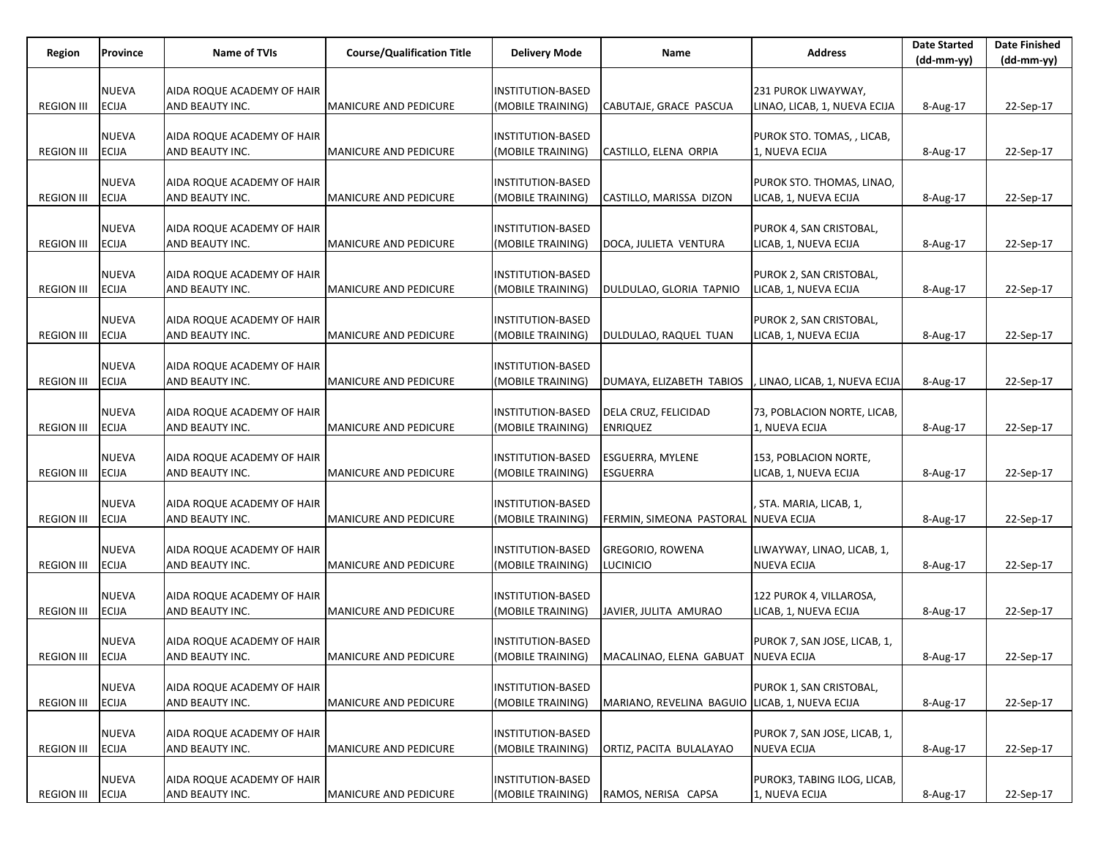| Region            | Province                     | <b>Name of TVIs</b>                           | <b>Course/Qualification Title</b> | <b>Delivery Mode</b>                   | Name                                           | <b>Address</b>                                   | <b>Date Started</b> | <b>Date Finished</b> |
|-------------------|------------------------------|-----------------------------------------------|-----------------------------------|----------------------------------------|------------------------------------------------|--------------------------------------------------|---------------------|----------------------|
|                   |                              |                                               |                                   |                                        |                                                |                                                  | (dd-mm-yy)          | (dd-mm-yy)           |
|                   | <b>NUEVA</b>                 | AIDA ROQUE ACADEMY OF HAIR                    |                                   | INSTITUTION-BASED                      |                                                | 231 PUROK LIWAYWAY,                              |                     |                      |
| <b>REGION III</b> | <b>ECIJA</b>                 | AND BEAUTY INC.                               | MANICURE AND PEDICURE             | MOBILE TRAINING)                       | CABUTAJE, GRACE PASCUA                         | LINAO, LICAB, 1, NUEVA ECIJA                     | 8-Aug-17            | 22-Sep-17            |
|                   |                              |                                               |                                   |                                        |                                                |                                                  |                     |                      |
|                   | <b>NUEVA</b>                 | AIDA ROQUE ACADEMY OF HAIR                    |                                   | INSTITUTION-BASED                      |                                                | PUROK STO. TOMAS, , LICAB,                       |                     |                      |
| <b>REGION III</b> | <b>ECIJA</b>                 | AND BEAUTY INC.                               | <b>MANICURE AND PEDICURE</b>      | (MOBILE TRAINING)                      | CASTILLO, ELENA ORPIA                          | 1, NUEVA ECIJA                                   | 8-Aug-17            | 22-Sep-17            |
|                   |                              |                                               |                                   |                                        |                                                |                                                  |                     |                      |
|                   | <b>NUEVA</b>                 | AIDA ROQUE ACADEMY OF HAIR                    |                                   | INSTITUTION-BASED                      |                                                | PUROK STO. THOMAS, LINAO,                        |                     |                      |
| <b>REGION III</b> | <b>ECIJA</b>                 | AND BEAUTY INC.                               | <b>MANICURE AND PEDICURE</b>      | (MOBILE TRAINING)                      | CASTILLO, MARISSA DIZON                        | LICAB, 1, NUEVA ECIJA                            | 8-Aug-17            | 22-Sep-17            |
|                   |                              |                                               |                                   |                                        |                                                |                                                  |                     |                      |
| <b>REGION III</b> | <b>NUEVA</b><br><b>ECIJA</b> | AIDA ROQUE ACADEMY OF HAIR<br>AND BEAUTY INC. | <b>MANICURE AND PEDICURE</b>      | INSTITUTION-BASED<br>(MOBILE TRAINING) | DOCA, JULIETA VENTURA                          | PUROK 4, SAN CRISTOBAL,<br>LICAB, 1, NUEVA ECIJA |                     | 22-Sep-17            |
|                   |                              |                                               |                                   |                                        |                                                |                                                  | 8-Aug-17            |                      |
|                   | <b>NUEVA</b>                 | AIDA ROQUE ACADEMY OF HAIR                    |                                   | INSTITUTION-BASED                      |                                                | PUROK 2, SAN CRISTOBAL,                          |                     |                      |
| <b>REGION III</b> | <b>ECIJA</b>                 | AND BEAUTY INC.                               | MANICURE AND PEDICURE             | (MOBILE TRAINING)                      | DULDULAO, GLORIA TAPNIO                        | LICAB, 1, NUEVA ECIJA                            | 8-Aug-17            | 22-Sep-17            |
|                   |                              |                                               |                                   |                                        |                                                |                                                  |                     |                      |
|                   | <b>NUEVA</b>                 | AIDA ROQUE ACADEMY OF HAIR                    |                                   | INSTITUTION-BASED                      |                                                | PUROK 2, SAN CRISTOBAL,                          |                     |                      |
| <b>REGION III</b> | <b>ECIJA</b>                 | AND BEAUTY INC.                               | MANICURE AND PEDICURE             | (MOBILE TRAINING)                      | DULDULAO, RAQUEL TUAN                          | LICAB, 1, NUEVA ECIJA                            | 8-Aug-17            | 22-Sep-17            |
|                   |                              |                                               |                                   |                                        |                                                |                                                  |                     |                      |
|                   | <b>NUEVA</b>                 | AIDA ROQUE ACADEMY OF HAIR                    |                                   | INSTITUTION-BASED                      |                                                |                                                  |                     |                      |
| <b>REGION III</b> | <b>ECIJA</b>                 | AND BEAUTY INC.                               | <b>MANICURE AND PEDICURE</b>      | (MOBILE TRAINING)                      | DUMAYA, ELIZABETH TABIOS                       | LINAO, LICAB, 1, NUEVA ECIJA                     | 8-Aug-17            | 22-Sep-17            |
|                   | <b>NUEVA</b>                 | AIDA ROQUE ACADEMY OF HAIR                    |                                   | INSTITUTION-BASED                      | DELA CRUZ, FELICIDAD                           | 73, POBLACION NORTE, LICAB,                      |                     |                      |
| <b>REGION III</b> | <b>ECIJA</b>                 | AND BEAUTY INC.                               | <b>MANICURE AND PEDICURE</b>      | (MOBILE TRAINING)                      | <b>ENRIQUEZ</b>                                | 1, NUEVA ECIJA                                   | 8-Aug-17            | 22-Sep-17            |
|                   |                              |                                               |                                   |                                        |                                                |                                                  |                     |                      |
|                   | <b>NUEVA</b>                 | AIDA ROQUE ACADEMY OF HAIR                    |                                   | INSTITUTION-BASED                      | ESGUERRA, MYLENE                               | 153, POBLACION NORTE,                            |                     |                      |
| <b>REGION III</b> | <b>ECIJA</b>                 | AND BEAUTY INC.                               | <b>MANICURE AND PEDICURE</b>      | (MOBILE TRAINING)                      | <b>ESGUERRA</b>                                | LICAB, 1, NUEVA ECIJA                            | 8-Aug-17            | 22-Sep-17            |
|                   |                              |                                               |                                   |                                        |                                                |                                                  |                     |                      |
|                   | <b>NUEVA</b>                 | AIDA ROQUE ACADEMY OF HAIR                    |                                   | INSTITUTION-BASED                      |                                                | , STA. MARIA, LICAB, 1,                          |                     |                      |
| <b>REGION III</b> | <b>ECIJA</b>                 | AND BEAUTY INC.                               | <b>MANICURE AND PEDICURE</b>      | (MOBILE TRAINING)                      | FERMIN, SIMEONA PASTORAL NUEVA ECIJA           |                                                  | 8-Aug-17            | 22-Sep-17            |
|                   |                              |                                               |                                   |                                        |                                                |                                                  |                     |                      |
|                   | <b>NUEVA</b>                 | AIDA ROQUE ACADEMY OF HAIR                    |                                   | INSTITUTION-BASED                      | <b>GREGORIO, ROWENA</b>                        | LIWAYWAY, LINAO, LICAB, 1,                       |                     |                      |
| <b>REGION III</b> | <b>ECIJA</b>                 | AND BEAUTY INC.                               | <b>MANICURE AND PEDICURE</b>      | (MOBILE TRAINING)                      | Lucinicio                                      | <b>NUEVA ECIJA</b>                               | 8-Aug-17            | 22-Sep-17            |
|                   | <b>NUEVA</b>                 | AIDA ROQUE ACADEMY OF HAIR                    |                                   | INSTITUTION-BASED                      |                                                | 122 PUROK 4, VILLAROSA,                          |                     |                      |
| <b>REGION III</b> | <b>ECIJA</b>                 | AND BEAUTY INC.                               | MANICURE AND PEDICURE             | (MOBILE TRAINING)                      | JAVIER, JULITA AMURAO                          | LICAB, 1, NUEVA ECIJA                            | 8-Aug-17            | 22-Sep-17            |
|                   |                              |                                               |                                   |                                        |                                                |                                                  |                     |                      |
|                   | <b>NUEVA</b>                 | AIDA ROQUE ACADEMY OF HAIR                    |                                   | INSTITUTION-BASED                      |                                                | PUROK 7, SAN JOSE, LICAB, 1,                     |                     |                      |
| <b>REGION III</b> | <b>ECIJA</b>                 | AND BEAUTY INC.                               | MANICURE AND PEDICURE             | (MOBILE TRAINING)                      | MACALINAO, ELENA GABUAT NUEVA ECIJA            |                                                  | 8-Aug-17            | 22-Sep-17            |
|                   |                              |                                               |                                   |                                        |                                                |                                                  |                     |                      |
|                   | <b>NUEVA</b>                 | AIDA ROQUE ACADEMY OF HAIR                    |                                   | INSTITUTION-BASED                      |                                                | PUROK 1, SAN CRISTOBAL,                          |                     |                      |
| <b>REGION III</b> | <b>ECIJA</b>                 | AND BEAUTY INC.                               | <b>MANICURE AND PEDICURE</b>      | (MOBILE TRAINING)                      | MARIANO, REVELINA BAGUIO LICAB, 1, NUEVA ECIJA |                                                  | 8-Aug-17            | 22-Sep-17            |
|                   | <b>NUEVA</b>                 | AIDA ROQUE ACADEMY OF HAIR                    |                                   | <b>INSTITUTION-BASED</b>               |                                                | PUROK 7, SAN JOSE, LICAB, 1,                     |                     |                      |
| <b>REGION III</b> | <b>ECIJA</b>                 | AND BEAUTY INC.                               | MANICURE AND PEDICURE             | (MOBILE TRAINING)                      | ORTIZ, PACITA BULALAYAO                        | <b>NUEVA ECIJA</b>                               | 8-Aug-17            | 22-Sep-17            |
|                   |                              |                                               |                                   |                                        |                                                |                                                  |                     |                      |
|                   | <b>NUEVA</b>                 | AIDA ROQUE ACADEMY OF HAIR                    |                                   | <b>INSTITUTION-BASED</b>               |                                                | PUROK3, TABING ILOG, LICAB,                      |                     |                      |
| <b>REGION III</b> | <b>ECIJA</b>                 | AND BEAUTY INC.                               | MANICURE AND PEDICURE             | (MOBILE TRAINING)                      | RAMOS, NERISA CAPSA                            | 1, NUEVA ECIJA                                   | 8-Aug-17            | 22-Sep-17            |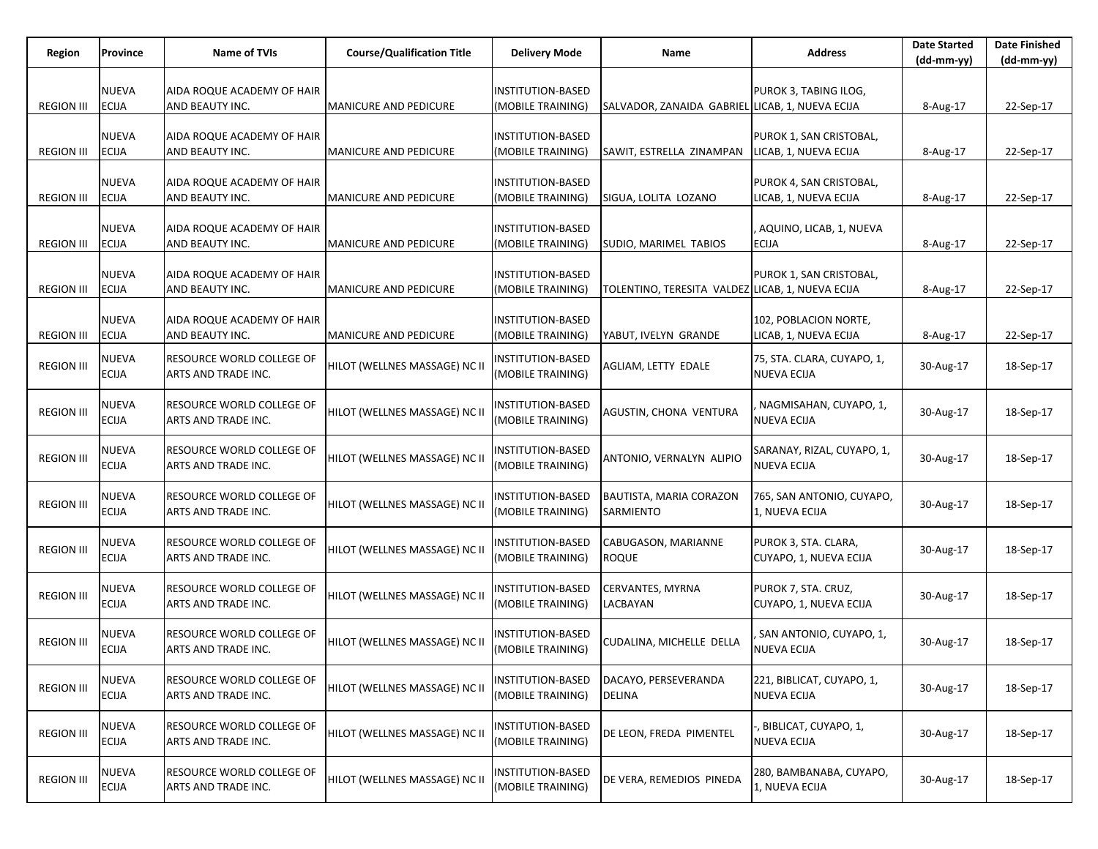| Region            | Province                     | Name of TVIs                                            | <b>Course/Qualification Title</b> | <b>Delivery Mode</b>                          | Name                                             | <b>Address</b>                                   | <b>Date Started</b><br>$(dd-mm-yy)$ | <b>Date Finished</b><br>$(dd-mm-yy)$ |
|-------------------|------------------------------|---------------------------------------------------------|-----------------------------------|-----------------------------------------------|--------------------------------------------------|--------------------------------------------------|-------------------------------------|--------------------------------------|
| <b>REGION III</b> | <b>NUEVA</b><br><b>ECIJA</b> | AIDA ROQUE ACADEMY OF HAIR<br>AND BEAUTY INC.           | MANICURE AND PEDICURE             | INSTITUTION-BASED<br>(MOBILE TRAINING)        | SALVADOR, ZANAIDA GABRIEL LICAB, 1, NUEVA ECIJA  | PUROK 3, TABING ILOG,                            | 8-Aug-17                            | 22-Sep-17                            |
| <b>REGION III</b> | <b>NUEVA</b><br><b>ECIJA</b> | AIDA ROQUE ACADEMY OF HAIR<br>AND BEAUTY INC.           | <b>MANICURE AND PEDICURE</b>      | <b>INSTITUTION-BASED</b><br>(MOBILE TRAINING) | SAWIT, ESTRELLA ZINAMPAN                         | PUROK 1, SAN CRISTOBAL,<br>LICAB, 1, NUEVA ECIJA | 8-Aug-17                            | 22-Sep-17                            |
| <b>REGION III</b> | <b>NUEVA</b><br><b>ECIJA</b> | AIDA ROQUE ACADEMY OF HAIR<br>AND BEAUTY INC.           | <b>MANICURE AND PEDICURE</b>      | INSTITUTION-BASED<br>(MOBILE TRAINING)        | SIGUA, LOLITA LOZANO                             | PUROK 4, SAN CRISTOBAL,<br>LICAB, 1, NUEVA ECIJA | 8-Aug-17                            | 22-Sep-17                            |
| <b>REGION III</b> | <b>NUEVA</b><br><b>ECIJA</b> | AIDA ROQUE ACADEMY OF HAIR<br>AND BEAUTY INC.           | <b>MANICURE AND PEDICURE</b>      | <b>INSTITUTION-BASED</b><br>(MOBILE TRAINING) | SUDIO, MARIMEL TABIOS                            | AQUINO, LICAB, 1, NUEVA<br><b>ECIJA</b>          | 8-Aug-17                            | 22-Sep-17                            |
| <b>REGION III</b> | <b>NUEVA</b><br><b>ECIJA</b> | AIDA ROQUE ACADEMY OF HAIR<br>AND BEAUTY INC.           | MANICURE AND PEDICURE             | INSTITUTION-BASED<br>(MOBILE TRAINING)        | TOLENTINO, TERESITA VALDEZ LICAB, 1, NUEVA ECIJA | PUROK 1, SAN CRISTOBAL,                          | 8-Aug-17                            | 22-Sep-17                            |
| <b>REGION III</b> | <b>NUEVA</b><br><b>ECIJA</b> | AIDA ROQUE ACADEMY OF HAIR<br>AND BEAUTY INC.           | <b>MANICURE AND PEDICURE</b>      | <b>INSTITUTION-BASED</b><br>(MOBILE TRAINING) | YABUT, IVELYN GRANDE                             | 102, POBLACION NORTE,<br>LICAB, 1, NUEVA ECIJA   | 8-Aug-17                            | 22-Sep-17                            |
| <b>REGION III</b> | NUEVA<br><b>ECIJA</b>        | RESOURCE WORLD COLLEGE OF<br>ARTS AND TRADE INC.        | HILOT (WELLNES MASSAGE) NC II     | INSTITUTION-BASED<br>(MOBILE TRAINING)        | AGLIAM, LETTY EDALE                              | 75, STA. CLARA, CUYAPO, 1,<br><b>NUEVA ECIJA</b> | 30-Aug-17                           | 18-Sep-17                            |
| <b>REGION III</b> | NUEVA<br><b>ECIJA</b>        | RESOURCE WORLD COLLEGE OF<br>ARTS AND TRADE INC.        | HILOT (WELLNES MASSAGE) NC II     | NSTITUTION-BASED<br>(MOBILE TRAINING)         | AGUSTIN, CHONA VENTURA                           | . NAGMISAHAN, CUYAPO, 1,<br><b>NUEVA ECIJA</b>   | 30-Aug-17                           | 18-Sep-17                            |
| <b>REGION III</b> | <b>NUEVA</b><br><b>ECIJA</b> | <b>RESOURCE WORLD COLLEGE OF</b><br>ARTS AND TRADE INC. | HILOT (WELLNES MASSAGE) NC II     | INSTITUTION-BASED<br>(MOBILE TRAINING)        | ANTONIO, VERNALYN ALIPIO                         | SARANAY, RIZAL, CUYAPO, 1,<br><b>NUEVA ECIJA</b> | 30-Aug-17                           | 18-Sep-17                            |
| <b>REGION III</b> | NUEVA<br>ECIJA               | RESOURCE WORLD COLLEGE OF<br>ARTS AND TRADE INC.        | HILOT (WELLNES MASSAGE) NC II     | INSTITUTION-BASED<br>(MOBILE TRAINING)        | BAUTISTA, MARIA CORAZON<br><b>SARMIENTO</b>      | 765, SAN ANTONIO, CUYAPO,<br>1, NUEVA ECIJA      | 30-Aug-17                           | 18-Sep-17                            |
| <b>REGION III</b> | <b>NUEVA</b><br><b>ECIJA</b> | <b>RESOURCE WORLD COLLEGE OF</b><br>ARTS AND TRADE INC. | HILOT (WELLNES MASSAGE) NC II     | INSTITUTION-BASED<br>(MOBILE TRAINING)        | CABUGASON, MARIANNE<br><b>ROQUE</b>              | PUROK 3, STA. CLARA,<br>CUYAPO, 1, NUEVA ECIJA   | 30-Aug-17                           | 18-Sep-17                            |
| <b>REGION III</b> | NUEVA<br>ECIJA               | RESOURCE WORLD COLLEGE OF<br>ARTS AND TRADE INC.        | HILOT (WELLNES MASSAGE) NC II     | <b>INSTITUTION-BASED</b><br>(MOBILE TRAINING) | CERVANTES, MYRNA<br>LACBAYAN                     | PUROK 7, STA. CRUZ,<br>CUYAPO, 1, NUEVA ECIJA    | 30-Aug-17                           | 18-Sep-17                            |
| <b>REGION III</b> | NUEVA<br><b>ECIJA</b>        | RESOURCE WORLD COLLEGE OF<br>ARTS AND TRADE INC.        | HILOT (WELLNES MASSAGE) NC II     | INSTITUTION-BASED<br>(MOBILE TRAINING)        | CUDALINA, MICHELLE DELLA                         | SAN ANTONIO, CUYAPO, 1,<br><b>NUEVA ECIJA</b>    | 30-Aug-17                           | 18-Sep-17                            |
| <b>REGION III</b> | <b>NUEVA</b><br><b>ECIJA</b> | RESOURCE WORLD COLLEGE OF<br>ARTS AND TRADE INC.        | HILOT (WELLNES MASSAGE) NC II     | INSTITUTION-BASED<br>(MOBILE TRAINING)        | DACAYO, PERSEVERANDA<br>DELINA                   | 221, BIBLICAT, CUYAPO, 1,<br><b>NUEVA ECIJA</b>  | 30-Aug-17                           | 18-Sep-17                            |
| <b>REGION III</b> | <b>NUEVA</b><br><b>ECIJA</b> | RESOURCE WORLD COLLEGE OF<br>ARTS AND TRADE INC.        | HILOT (WELLNES MASSAGE) NC II     | INSTITUTION-BASED<br>(MOBILE TRAINING)        | DE LEON, FREDA PIMENTEL                          | , BIBLICAT, CUYAPO, 1,<br><b>NUEVA ECIJA</b>     | 30-Aug-17                           | 18-Sep-17                            |
| <b>REGION III</b> | NUEVA<br>ECIJA               | RESOURCE WORLD COLLEGE OF<br>ARTS AND TRADE INC.        | HILOT (WELLNES MASSAGE) NC II     | NSTITUTION-BASED<br>(MOBILE TRAINING)         | DE VERA, REMEDIOS PINEDA                         | 280, BAMBANABA, CUYAPO,<br>1, NUEVA ECIJA        | 30-Aug-17                           | 18-Sep-17                            |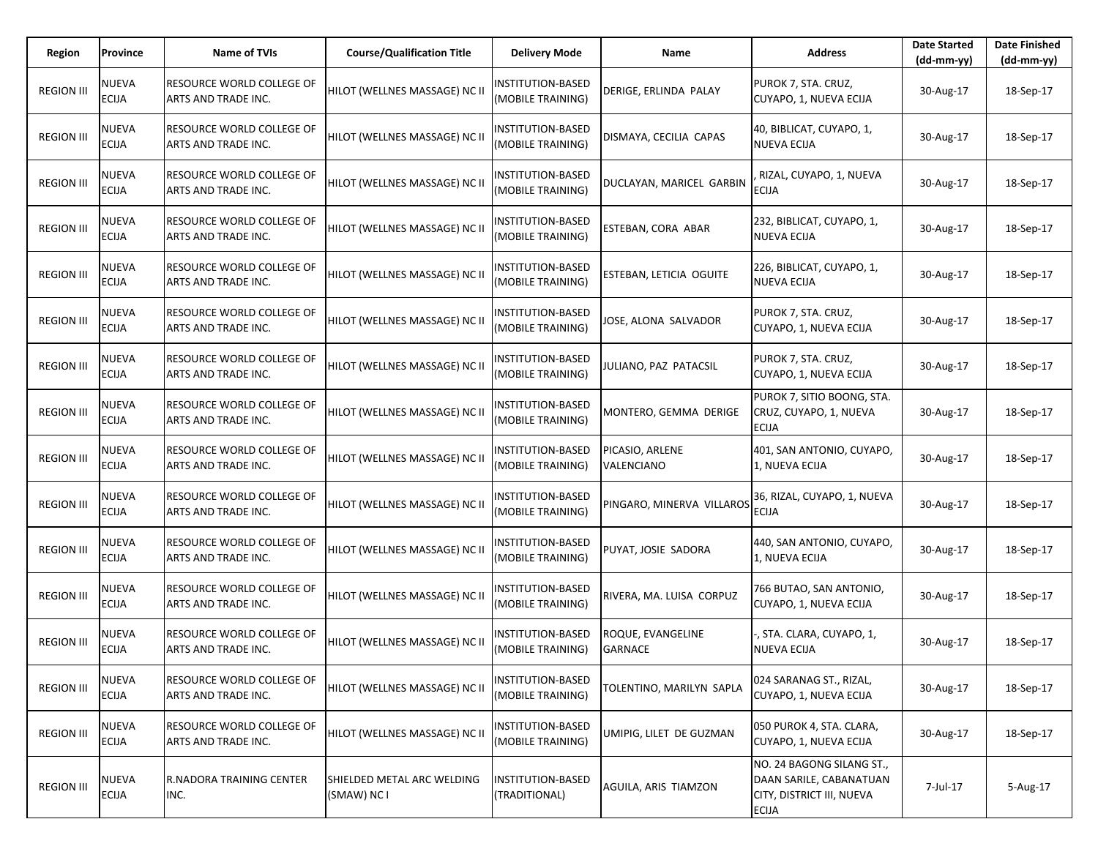| Region            | Province                     | <b>Name of TVIs</b>                              | <b>Course/Qualification Title</b>         | <b>Delivery Mode</b>                          | Name                                 | <b>Address</b>                                                                                    | <b>Date Started</b><br>$(dd-mm-vv)$ | <b>Date Finished</b><br>(dd-mm-yy) |
|-------------------|------------------------------|--------------------------------------------------|-------------------------------------------|-----------------------------------------------|--------------------------------------|---------------------------------------------------------------------------------------------------|-------------------------------------|------------------------------------|
| <b>REGION III</b> | <b>NUEVA</b><br><b>ECIJA</b> | RESOURCE WORLD COLLEGE OF<br>ARTS AND TRADE INC. | HILOT (WELLNES MASSAGE) NC II             | <b>INSTITUTION-BASED</b><br>(MOBILE TRAINING) | DERIGE, ERLINDA PALAY                | PUROK 7, STA. CRUZ,<br>CUYAPO, 1, NUEVA ECIJA                                                     | 30-Aug-17                           | 18-Sep-17                          |
| <b>REGION III</b> | <b>NUEVA</b><br><b>ECIJA</b> | RESOURCE WORLD COLLEGE OF<br>ARTS AND TRADE INC. | HILOT (WELLNES MASSAGE) NC II             | INSTITUTION-BASED<br>(MOBILE TRAINING)        | DISMAYA, CECILIA CAPAS               | 40, BIBLICAT, CUYAPO, 1,<br><b>NUEVA ECIJA</b>                                                    | 30-Aug-17                           | 18-Sep-17                          |
| <b>REGION III</b> | <b>NUEVA</b><br><b>ECIJA</b> | RESOURCE WORLD COLLEGE OF<br>ARTS AND TRADE INC. | HILOT (WELLNES MASSAGE) NC II             | <b>INSTITUTION-BASED</b><br>(MOBILE TRAINING) | DUCLAYAN, MARICEL GARBIN             | RIZAL, CUYAPO, 1, NUEVA<br><b>ECIJA</b>                                                           | 30-Aug-17                           | 18-Sep-17                          |
| <b>REGION III</b> | <b>NUEVA</b><br><b>ECIJA</b> | RESOURCE WORLD COLLEGE OF<br>ARTS AND TRADE INC. | HILOT (WELLNES MASSAGE) NC II             | <b>NSTITUTION-BASED</b><br>(MOBILE TRAINING)  | <b>ESTEBAN, CORA ABAR</b>            | 232, BIBLICAT, CUYAPO, 1,<br><b>NUEVA ECIJA</b>                                                   | 30-Aug-17                           | 18-Sep-17                          |
| <b>REGION III</b> | <b>NUEVA</b><br><b>ECIJA</b> | RESOURCE WORLD COLLEGE OF<br>ARTS AND TRADE INC. | HILOT (WELLNES MASSAGE) NC II             | <b>INSTITUTION-BASED</b><br>(MOBILE TRAINING) | ESTEBAN, LETICIA OGUITE              | 226, BIBLICAT, CUYAPO, 1,<br><b>NUEVA ECIJA</b>                                                   | 30-Aug-17                           | 18-Sep-17                          |
| <b>REGION III</b> | <b>NUEVA</b><br><b>ECIJA</b> | RESOURCE WORLD COLLEGE OF<br>ARTS AND TRADE INC. | HILOT (WELLNES MASSAGE) NC II             | INSTITUTION-BASED<br>(MOBILE TRAINING)        | JOSE, ALONA SALVADOR                 | PUROK 7, STA. CRUZ,<br>CUYAPO, 1, NUEVA ECIJA                                                     | 30-Aug-17                           | 18-Sep-17                          |
| <b>REGION III</b> | <b>NUEVA</b><br><b>ECIJA</b> | RESOURCE WORLD COLLEGE OF<br>ARTS AND TRADE INC. | HILOT (WELLNES MASSAGE) NC II             | <b>INSTITUTION-BASED</b><br>(MOBILE TRAINING) | JULIANO, PAZ PATACSIL                | PUROK 7, STA. CRUZ,<br>CUYAPO, 1, NUEVA ECIJA                                                     | 30-Aug-17                           | 18-Sep-17                          |
| <b>REGION III</b> | <b>NUEVA</b><br><b>ECIJA</b> | RESOURCE WORLD COLLEGE OF<br>ARTS AND TRADE INC. | HILOT (WELLNES MASSAGE) NC II             | <b>NSTITUTION-BASED</b><br>(MOBILE TRAINING)  | MONTERO, GEMMA DERIGE                | PUROK 7, SITIO BOONG, STA.<br>CRUZ, CUYAPO, 1, NUEVA<br><b>ECIJA</b>                              | 30-Aug-17                           | 18-Sep-17                          |
| <b>REGION III</b> | <b>NUEVA</b><br><b>ECIJA</b> | RESOURCE WORLD COLLEGE OF<br>ARTS AND TRADE INC. | HILOT (WELLNES MASSAGE) NC II             | INSTITUTION-BASED<br>(MOBILE TRAINING)        | PICASIO, ARLENE<br><b>VALENCIANO</b> | 401, SAN ANTONIO, CUYAPO,<br>1, NUEVA ECIJA                                                       | 30-Aug-17                           | 18-Sep-17                          |
| <b>REGION III</b> | <b>NUEVA</b><br><b>ECIJA</b> | RESOURCE WORLD COLLEGE OF<br>ARTS AND TRADE INC. | HILOT (WELLNES MASSAGE) NC II             | <b>NSTITUTION-BASED</b><br>(MOBILE TRAINING)  | PINGARO, MINERVA VILLAROS            | 36, RIZAL, CUYAPO, 1, NUEVA<br><b>ECIJA</b>                                                       | 30-Aug-17                           | 18-Sep-17                          |
| <b>REGION III</b> | <b>NUEVA</b><br><b>ECIJA</b> | RESOURCE WORLD COLLEGE OF<br>ARTS AND TRADE INC. | HILOT (WELLNES MASSAGE) NC II             | INSTITUTION-BASED<br>(MOBILE TRAINING)        | PUYAT, JOSIE SADORA                  | 440, SAN ANTONIO, CUYAPO,<br>1, NUEVA ECIJA                                                       | 30-Aug-17                           | 18-Sep-17                          |
| <b>REGION III</b> | <b>NUEVA</b><br><b>ECIJA</b> | RESOURCE WORLD COLLEGE OF<br>ARTS AND TRADE INC. | HILOT (WELLNES MASSAGE) NC II             | <b>NSTITUTION-BASED</b><br>(MOBILE TRAINING)  | RIVERA, MA. LUISA CORPUZ             | 766 BUTAO, SAN ANTONIO,<br>CUYAPO, 1, NUEVA ECIJA                                                 | 30-Aug-17                           | 18-Sep-17                          |
| <b>REGION III</b> | <b>NUEVA</b><br><b>ECIJA</b> | RESOURCE WORLD COLLEGE OF<br>ARTS AND TRADE INC. | HILOT (WELLNES MASSAGE) NC II             | INSTITUTION-BASED<br>(MOBILE TRAINING)        | ROQUE, EVANGELINE<br><b>GARNACE</b>  | , STA. CLARA, CUYAPO, 1,<br><b>NUEVA ECIJA</b>                                                    | 30-Aug-17                           | 18-Sep-17                          |
| <b>REGION III</b> | <b>NUEVA</b><br><b>ECIJA</b> | RESOURCE WORLD COLLEGE OF<br>ARTS AND TRADE INC. | HILOT (WELLNES MASSAGE) NC II             | INSTITUTION-BASED<br>(MOBILE TRAINING)        | TOLENTINO, MARILYN SAPLA             | 024 SARANAG ST., RIZAL,<br>CUYAPO, 1, NUEVA ECIJA                                                 | 30-Aug-17                           | 18-Sep-17                          |
| <b>REGION III</b> | <b>NUEVA</b><br><b>ECIJA</b> | RESOURCE WORLD COLLEGE OF<br>ARTS AND TRADE INC. | HILOT (WELLNES MASSAGE) NC II             | <b>INSTITUTION-BASED</b><br>(MOBILE TRAINING) | UMIPIG, LILET DE GUZMAN              | 050 PUROK 4, STA. CLARA,<br>CUYAPO, 1, NUEVA ECIJA                                                | 30-Aug-17                           | 18-Sep-17                          |
| <b>REGION III</b> | <b>NUEVA</b><br><b>ECIJA</b> | R.NADORA TRAINING CENTER<br>INC.                 | SHIELDED METAL ARC WELDING<br>(SMAW) NC I | <b>INSTITUTION-BASED</b><br>(TRADITIONAL)     | AGUILA, ARIS TIAMZON                 | NO. 24 BAGONG SILANG ST.,<br>DAAN SARILE, CABANATUAN<br>CITY, DISTRICT III, NUEVA<br><b>ECIJA</b> | 7-Jul-17                            | 5-Aug-17                           |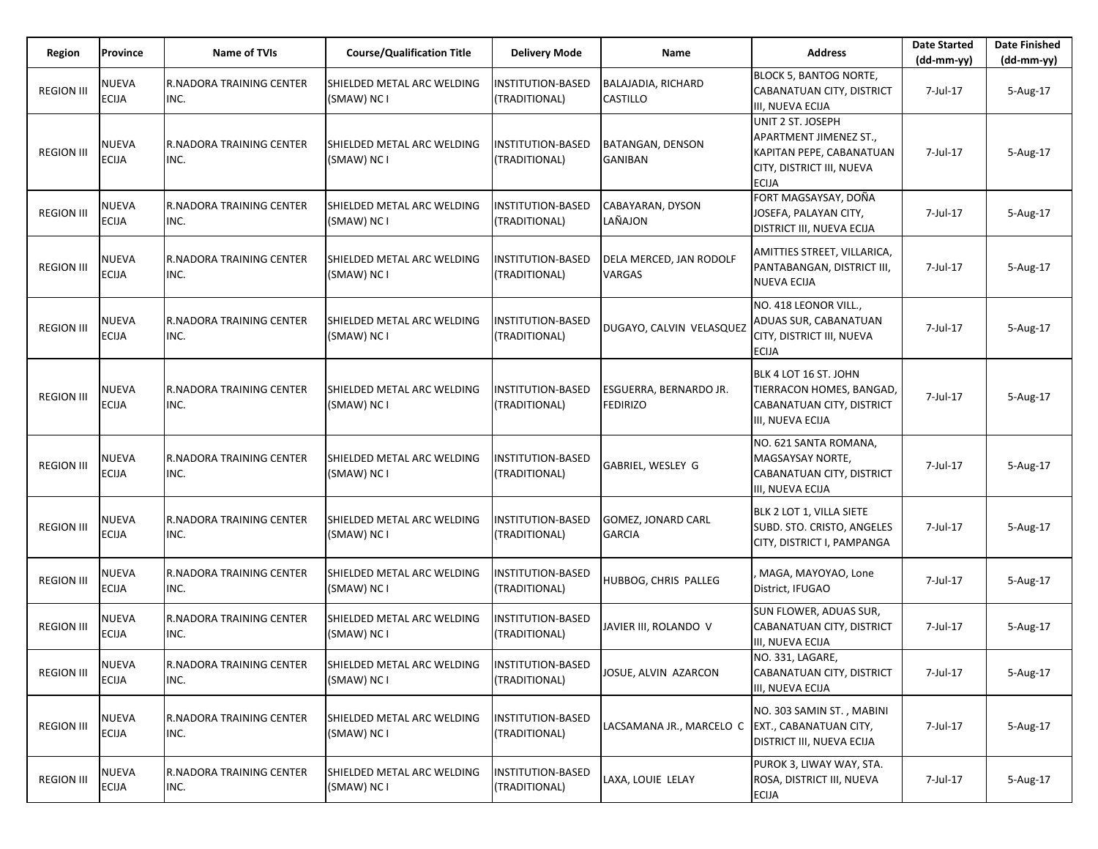| Region            | Province                     | <b>Name of TVIs</b>                     | <b>Course/Qualification Title</b>         | <b>Delivery Mode</b>                      | <b>Name</b>                               | <b>Address</b>                                                                                                              | <b>Date Started</b><br>$(dd-mm-yy)$ | <b>Date Finished</b><br>(dd-mm-yy) |
|-------------------|------------------------------|-----------------------------------------|-------------------------------------------|-------------------------------------------|-------------------------------------------|-----------------------------------------------------------------------------------------------------------------------------|-------------------------------------|------------------------------------|
| <b>REGION III</b> | <b>NUEVA</b><br><b>ECIJA</b> | <b>R.NADORA TRAINING CENTER</b><br>INC. | SHIELDED METAL ARC WELDING<br>(SMAW) NC I | INSTITUTION-BASED<br>(TRADITIONAL)        | <b>BALAJADIA, RICHARD</b><br>CASTILLO     | <b>BLOCK 5, BANTOG NORTE,</b><br>CABANATUAN CITY, DISTRICT<br>III, NUEVA ECIJA                                              | 7-Jul-17                            | 5-Aug-17                           |
| <b>REGION III</b> | NUEVA<br><b>ECIJA</b>        | <b>R.NADORA TRAINING CENTER</b><br>INC. | SHIELDED METAL ARC WELDING<br>(SMAW) NC I | INSTITUTION-BASED<br>(TRADITIONAL)        | BATANGAN, DENSON<br><b>GANIBAN</b>        | UNIT 2 ST. JOSEPH<br><b>APARTMENT JIMENEZ ST.,</b><br>KAPITAN PEPE, CABANATUAN<br>CITY, DISTRICT III, NUEVA<br><b>ECIJA</b> | 7-Jul-17                            | 5-Aug-17                           |
| <b>REGION III</b> | NUEVA<br><b>ECIJA</b>        | <b>R.NADORA TRAINING CENTER</b><br>INC. | SHIELDED METAL ARC WELDING<br>(SMAW) NC I | <b>NSTITUTION-BASED</b><br>(TRADITIONAL)  | CABAYARAN, DYSON<br>LAÑAJON               | FORT MAGSAYSAY, DOÑA<br>JOSEFA, PALAYAN CITY,<br><b>DISTRICT III, NUEVA ECIJA</b>                                           | 7-Jul-17                            | 5-Aug-17                           |
| <b>REGION III</b> | NUEVA<br><b>ECIJA</b>        | <b>R.NADORA TRAINING CENTER</b><br>INC. | SHIELDED METAL ARC WELDING<br>(SMAW) NC I | INSTITUTION-BASED<br>(TRADITIONAL)        | DELA MERCED, JAN RODOLF<br>VARGAS         | AMITTIES STREET, VILLARICA,<br>PANTABANGAN, DISTRICT III,<br><b>NUEVA ECIJA</b>                                             | 7-Jul-17                            | 5-Aug-17                           |
| <b>REGION III</b> | NUEVA<br><b>ECIJA</b>        | <b>R.NADORA TRAINING CENTER</b><br>INC. | SHIELDED METAL ARC WELDING<br>(SMAW) NC I | <b>NSTITUTION-BASED</b><br>(TRADITIONAL)  | DUGAYO, CALVIN VELASQUEZ                  | NO. 418 LEONOR VILL.,<br>ADUAS SUR, CABANATUAN<br>CITY, DISTRICT III, NUEVA<br><b>ECIJA</b>                                 | 7-Jul-17                            | 5-Aug-17                           |
| <b>REGION III</b> | <b>NUEVA</b><br><b>ECIJA</b> | <b>R.NADORA TRAINING CENTER</b><br>INC. | SHIELDED METAL ARC WELDING<br>(SMAW) NC I | <b>INSTITUTION-BASED</b><br>(TRADITIONAL) | ESGUERRA, BERNARDO JR.<br><b>FEDIRIZO</b> | BLK 4 LOT 16 ST. JOHN<br>TIERRACON HOMES, BANGAD,<br>CABANATUAN CITY, DISTRICT<br>III, NUEVA ECIJA                          | 7-Jul-17                            | 5-Aug-17                           |
| <b>REGION III</b> | <b>NUEVA</b><br><b>ECIJA</b> | <b>R.NADORA TRAINING CENTER</b><br>INC. | SHIELDED METAL ARC WELDING<br>(SMAW) NC I | <b>INSTITUTION-BASED</b><br>(TRADITIONAL) | GABRIEL, WESLEY G                         | NO. 621 SANTA ROMANA,<br>MAGSAYSAY NORTE,<br>CABANATUAN CITY, DISTRICT<br>III, NUEVA ECIJA                                  | 7-Jul-17                            | 5-Aug-17                           |
| <b>REGION III</b> | NUEVA<br><b>ECIJA</b>        | <b>R.NADORA TRAINING CENTER</b><br>INC. | SHIELDED METAL ARC WELDING<br>(SMAW) NC I | NSTITUTION-BASED<br>(TRADITIONAL)         | GOMEZ, JONARD CARL<br><b>GARCIA</b>       | BLK 2 LOT 1, VILLA SIETE<br>SUBD. STO. CRISTO, ANGELES<br>CITY, DISTRICT I, PAMPANGA                                        | 7-Jul-17                            | 5-Aug-17                           |
| <b>REGION III</b> | NUEVA<br><b>ECIJA</b>        | <b>R.NADORA TRAINING CENTER</b><br>INC. | SHIELDED METAL ARC WELDING<br>(SMAW) NC I | INSTITUTION-BASED<br>(TRADITIONAL)        | HUBBOG, CHRIS PALLEG                      | MAGA, MAYOYAO, Lone<br>District, IFUGAO                                                                                     | 7-Jul-17                            | 5-Aug-17                           |
| <b>REGION III</b> | NUEVA<br><b>ECIJA</b>        | <b>R.NADORA TRAINING CENTER</b><br>INC. | SHIELDED METAL ARC WELDING<br>(SMAW) NC I | NSTITUTION-BASED<br>(TRADITIONAL)         | JAVIER III, ROLANDO V                     | <b>SUN FLOWER, ADUAS SUR,</b><br>CABANATUAN CITY, DISTRICT<br>III, NUEVA ECIJA                                              | 7-Jul-17                            | 5-Aug-17                           |
| <b>REGION III</b> | <b>NUEVA</b><br>ECIJA        | R.NADORA TRAINING CENTER<br>INC.        | SHIELDED METAL ARC WELDING<br>(SMAW) NC I | INSTITUTION-BASED<br>(TRADITIONAL)        | JOSUE, ALVIN AZARCON                      | NO. 331, LAGARE,<br>CABANATUAN CITY, DISTRICT<br>III, NUEVA ECIJA                                                           | 7-Jul-17                            | 5-Aug-17                           |
| <b>REGION III</b> | NUEVA<br><b>ECIJA</b>        | R.NADORA TRAINING CENTER<br>INC.        | SHIELDED METAL ARC WELDING<br>(SMAW) NC I | INSTITUTION-BASED<br>(TRADITIONAL)        | LACSAMANA JR., MARCELO C                  | NO. 303 SAMIN ST., MABINI<br>EXT., CABANATUAN CITY,<br><b>DISTRICT III, NUEVA ECIJA</b>                                     | 7-Jul-17                            | 5-Aug-17                           |
| <b>REGION III</b> | <b>NUEVA</b><br>ECIJA        | R.NADORA TRAINING CENTER<br>INC.        | SHIELDED METAL ARC WELDING<br>(SMAW) NC I | INSTITUTION-BASED<br>(TRADITIONAL)        | LAXA, LOUIE LELAY                         | PUROK 3, LIWAY WAY, STA.<br>ROSA, DISTRICT III, NUEVA<br><b>ECIJA</b>                                                       | 7-Jul-17                            | 5-Aug-17                           |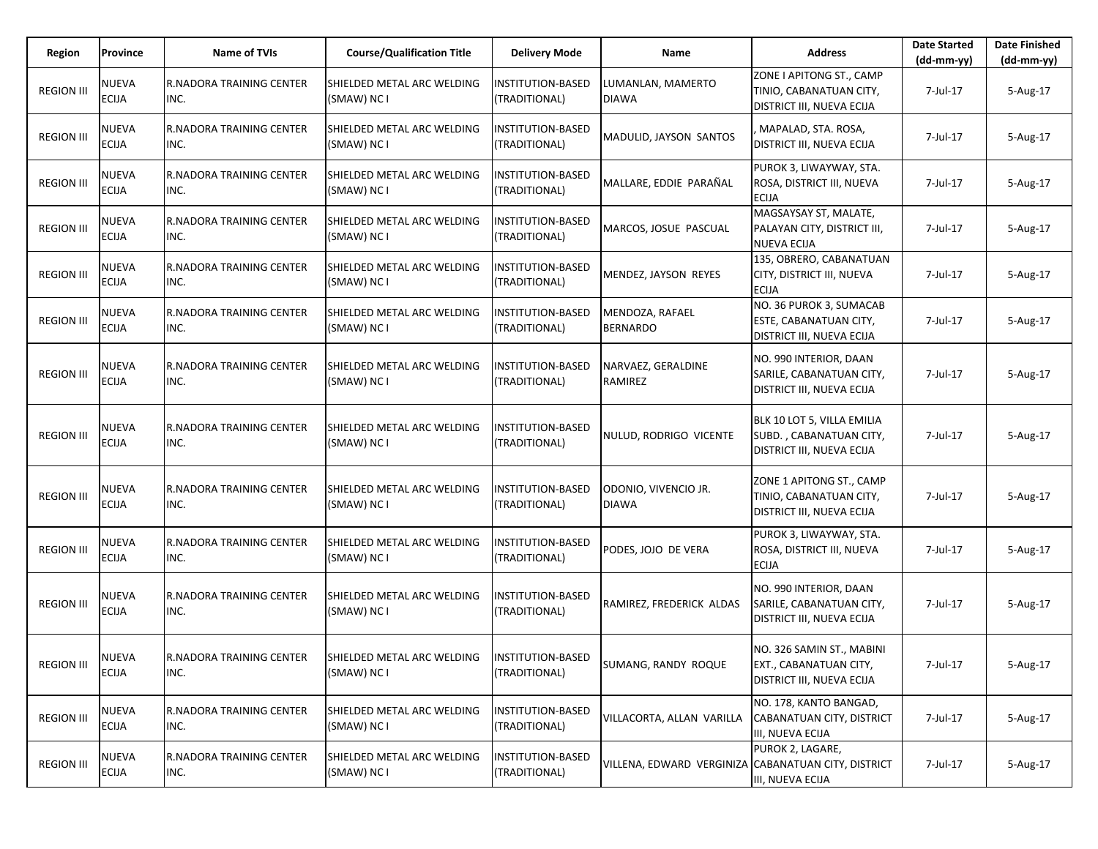| Region            | Province                     | <b>Name of TVIs</b>                     | <b>Course/Qualification Title</b>         | <b>Delivery Mode</b>                      | <b>Name</b>                          | <b>Address</b>                                                                     | <b>Date Started</b><br>$(dd-mm-yy)$ | <b>Date Finished</b><br>$(dd-mm-yy)$ |
|-------------------|------------------------------|-----------------------------------------|-------------------------------------------|-------------------------------------------|--------------------------------------|------------------------------------------------------------------------------------|-------------------------------------|--------------------------------------|
| <b>REGION III</b> | <b>NUEVA</b><br><b>ECIJA</b> | <b>R.NADORA TRAINING CENTER</b><br>INC. | SHIELDED METAL ARC WELDING<br>(SMAW) NC I | <b>INSTITUTION-BASED</b><br>(TRADITIONAL) | LUMANLAN, MAMERTO<br><b>DIAWA</b>    | ZONE I APITONG ST., CAMP<br>TINIO, CABANATUAN CITY,<br>DISTRICT III, NUEVA ECIJA   | 7-Jul-17                            | 5-Aug-17                             |
| <b>REGION III</b> | NUEVA<br><b>ECIJA</b>        | <b>R.NADORA TRAINING CENTER</b><br>INC. | SHIELDED METAL ARC WELDING<br>(SMAW) NC I | INSTITUTION-BASED<br>(TRADITIONAL)        | MADULID, JAYSON SANTOS               | MAPALAD, STA. ROSA,<br>DISTRICT III, NUEVA ECIJA                                   | 7-Jul-17                            | 5-Aug-17                             |
| <b>REGION III</b> | <b>NUEVA</b><br><b>ECIJA</b> | R.NADORA TRAINING CENTER<br>INC.        | SHIELDED METAL ARC WELDING<br>(SMAW) NC I | INSTITUTION-BASED<br>(TRADITIONAL)        | MALLARE, EDDIE PARAÑAL               | PUROK 3, LIWAYWAY, STA.<br>ROSA, DISTRICT III, NUEVA<br><b>ECIJA</b>               | 7-Jul-17                            | 5-Aug-17                             |
| <b>REGION III</b> | NUEVA<br><b>ECIJA</b>        | <b>R.NADORA TRAINING CENTER</b><br>INC. | SHIELDED METAL ARC WELDING<br>(SMAW) NC I | <b>NSTITUTION-BASED</b><br>(TRADITIONAL)  | MARCOS, JOSUE PASCUAL                | MAGSAYSAY ST, MALATE,<br>PALAYAN CITY, DISTRICT III,<br><b>NUEVA ECIJA</b>         | 7-Jul-17                            | 5-Aug-17                             |
| <b>REGION III</b> | <b>NUEVA</b><br><b>ECIJA</b> | R.NADORA TRAINING CENTER<br>INC.        | SHIELDED METAL ARC WELDING<br>(SMAW) NC I | <b>INSTITUTION-BASED</b><br>(TRADITIONAL) | MENDEZ, JAYSON REYES                 | 135, OBRERO, CABANATUAN<br>CITY, DISTRICT III, NUEVA<br><b>ECIJA</b>               | 7-Jul-17                            | 5-Aug-17                             |
| <b>REGION III</b> | NUEVA<br>ECIJA               | <b>R.NADORA TRAINING CENTER</b><br>INC. | SHIELDED METAL ARC WELDING<br>(SMAW) NC I | <b>NSTITUTION-BASED</b><br>TRADITIONAL)   | MENDOZA, RAFAEL<br><b>BERNARDO</b>   | NO. 36 PUROK 3, SUMACAB<br>ESTE, CABANATUAN CITY,<br>DISTRICT III, NUEVA ECIJA     | 7-Jul-17                            | 5-Aug-17                             |
| <b>REGION III</b> | <b>NUEVA</b><br><b>ECIJA</b> | <b>R.NADORA TRAINING CENTER</b><br>INC. | SHIELDED METAL ARC WELDING<br>(SMAW) NC I | <b>INSTITUTION-BASED</b><br>(TRADITIONAL) | NARVAEZ, GERALDINE<br>RAMIREZ        | NO. 990 INTERIOR, DAAN<br>SARILE, CABANATUAN CITY,<br>DISTRICT III, NUEVA ECIJA    | 7-Jul-17                            | 5-Aug-17                             |
| <b>REGION III</b> | NUEVA<br><b>ECIJA</b>        | <b>R.NADORA TRAINING CENTER</b><br>INC. | SHIELDED METAL ARC WELDING<br>(SMAW) NC I | INSTITUTION-BASED<br>(TRADITIONAL)        | NULUD, RODRIGO VICENTE               | BLK 10 LOT 5, VILLA EMILIA<br>SUBD., CABANATUAN CITY,<br>DISTRICT III, NUEVA ECIJA | 7-Jul-17                            | 5-Aug-17                             |
| <b>REGION III</b> | <b>NUEVA</b><br><b>ECIJA</b> | <b>R.NADORA TRAINING CENTER</b><br>INC. | SHIELDED METAL ARC WELDING<br>(SMAW) NC I | <b>NSTITUTION-BASED</b><br>(TRADITIONAL)  | ODONIO, VIVENCIO JR.<br><b>DIAWA</b> | ZONE 1 APITONG ST., CAMP<br>TINIO, CABANATUAN CITY,<br>DISTRICT III, NUEVA ECIJA   | 7-Jul-17                            | 5-Aug-17                             |
| <b>REGION III</b> | NUEVA<br><b>ECIJA</b>        | <b>R.NADORA TRAINING CENTER</b><br>INC. | SHIELDED METAL ARC WELDING<br>(SMAW) NC I | INSTITUTION-BASED<br>(TRADITIONAL)        | PODES, JOJO DE VERA                  | PUROK 3, LIWAYWAY, STA.<br>ROSA, DISTRICT III, NUEVA<br><b>ECIJA</b>               | 7-Jul-17                            | 5-Aug-17                             |
| <b>REGION III</b> | <b>NUEVA</b><br><b>ECIJA</b> | <b>R.NADORA TRAINING CENTER</b><br>INC. | SHIELDED METAL ARC WELDING<br>(SMAW) NC I | <b>NSTITUTION-BASED</b><br>TRADITIONAL)   | RAMIREZ, FREDERICK ALDAS             | NO. 990 INTERIOR, DAAN<br>SARILE, CABANATUAN CITY,<br>DISTRICT III, NUEVA ECIJA    | 7-Jul-17                            | 5-Aug-17                             |
| <b>REGION III</b> | NUEVA<br><b>ECIJA</b>        | R.NADORA TRAINING CENTER<br>INC.        | SHIELDED METAL ARC WELDING<br>(SMAW) NC I | <b>INSTITUTION-BASED</b><br>(TRADITIONAL) | SUMANG, RANDY ROQUE                  | NO. 326 SAMIN ST., MABINI<br>EXT., CABANATUAN CITY,<br>DISTRICT III, NUEVA ECIJA   | 7-Jul-17                            | 5-Aug-17                             |
| <b>REGION III</b> | NUEVA<br>ECIJA               | <b>R.NADORA TRAINING CENTER</b><br>INC. | SHIELDED METAL ARC WELDING<br>(SMAW) NC I | NSTITUTION-BASED<br>(TRADITIONAL)         | VILLACORTA, ALLAN VARILLA            | NO. 178, KANTO BANGAD,<br>CABANATUAN CITY, DISTRICT<br>III, NUEVA ECIJA            | 7-Jul-17                            | 5-Aug-17                             |
| <b>REGION III</b> | <b>NUEVA</b><br><b>ECIJA</b> | R.NADORA TRAINING CENTER<br>INC.        | SHIELDED METAL ARC WELDING<br>(SMAW) NC I | <b>INSTITUTION-BASED</b><br>(TRADITIONAL) | VILLENA, EDWARD VERGINIZA            | PUROK 2, LAGARE,<br>CABANATUAN CITY, DISTRICT<br>III, NUEVA ECIJA                  | 7-Jul-17                            | 5-Aug-17                             |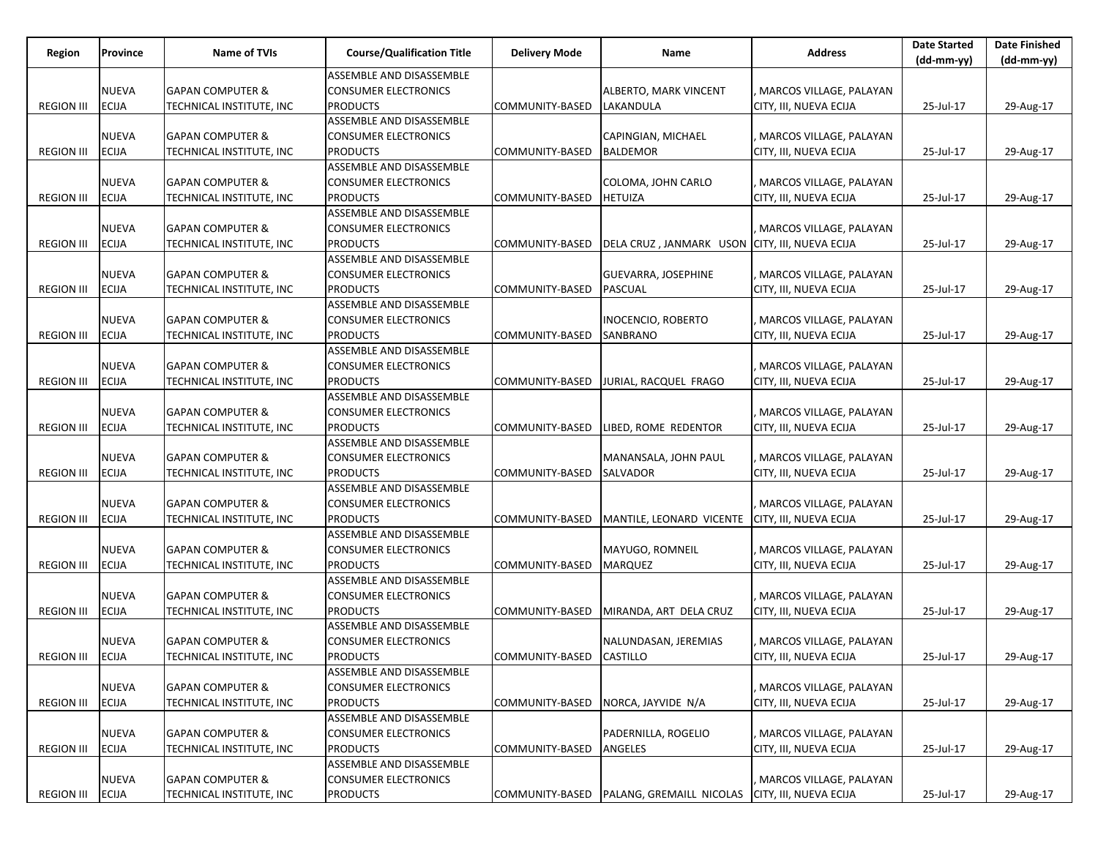| Region            | Province     | Name of TVIs                | <b>Course/Qualification Title</b> | <b>Delivery Mode</b>     | Name                                           | <b>Address</b>          | <b>Date Started</b> | <b>Date Finished</b> |
|-------------------|--------------|-----------------------------|-----------------------------------|--------------------------|------------------------------------------------|-------------------------|---------------------|----------------------|
|                   |              |                             |                                   |                          |                                                |                         | $(dd-mm-yy)$        | $(dd-mm-yy)$         |
|                   |              |                             | ASSEMBLE AND DISASSEMBLE          |                          |                                                |                         |                     |                      |
|                   | <b>NUEVA</b> | <b>GAPAN COMPUTER &amp;</b> | <b>CONSUMER ELECTRONICS</b>       |                          | ALBERTO, MARK VINCENT                          | MARCOS VILLAGE, PALAYAN |                     |                      |
| <b>REGION III</b> | <b>ECIJA</b> | TECHNICAL INSTITUTE, INC    | <b>PRODUCTS</b>                   | COMMUNITY-BASED          | LAKANDULA                                      | CITY, III, NUEVA ECIJA  | 25-Jul-17           | 29-Aug-17            |
|                   |              |                             | ASSEMBLE AND DISASSEMBLE          |                          |                                                |                         |                     |                      |
|                   | <b>NUEVA</b> | <b>GAPAN COMPUTER &amp;</b> | <b>CONSUMER ELECTRONICS</b>       |                          | CAPINGIAN, MICHAEL                             | MARCOS VILLAGE, PALAYAN |                     |                      |
| <b>REGION III</b> | <b>ECIJA</b> | TECHNICAL INSTITUTE, INC    | <b>PRODUCTS</b>                   | COMMUNITY-BASED          | <b>BALDEMOR</b>                                | CITY, III, NUEVA ECIJA  | 25-Jul-17           | 29-Aug-17            |
|                   |              |                             | ASSEMBLE AND DISASSEMBLE          |                          |                                                |                         |                     |                      |
|                   | <b>NUEVA</b> | <b>GAPAN COMPUTER &amp;</b> | <b>CONSUMER ELECTRONICS</b>       |                          | COLOMA, JOHN CARLO                             | MARCOS VILLAGE, PALAYAN |                     |                      |
| <b>REGION III</b> | <b>ECIJA</b> | TECHNICAL INSTITUTE, INC    | <b>PRODUCTS</b>                   | COMMUNITY-BASED          | <b>HETUIZA</b>                                 | CITY, III, NUEVA ECIJA  | 25-Jul-17           | 29-Aug-17            |
|                   |              |                             | ASSEMBLE AND DISASSEMBLE          |                          |                                                |                         |                     |                      |
|                   | <b>NUEVA</b> | <b>GAPAN COMPUTER &amp;</b> | <b>CONSUMER ELECTRONICS</b>       |                          |                                                | MARCOS VILLAGE, PALAYAN |                     |                      |
| <b>REGION III</b> | <b>ECIJA</b> | TECHNICAL INSTITUTE, INC    | <b>PRODUCTS</b>                   | COMMUNITY-BASED          | DELA CRUZ, JANMARK USON CITY, III, NUEVA ECIJA |                         | 25-Jul-17           | 29-Aug-17            |
|                   |              |                             | ASSEMBLE AND DISASSEMBLE          |                          |                                                |                         |                     |                      |
|                   | <b>NUEVA</b> | <b>GAPAN COMPUTER &amp;</b> | <b>CONSUMER ELECTRONICS</b>       |                          | GUEVARRA, JOSEPHINE                            | MARCOS VILLAGE, PALAYAN |                     |                      |
| <b>REGION III</b> | <b>ECIJA</b> | TECHNICAL INSTITUTE, INC    | <b>PRODUCTS</b>                   | COMMUNITY-BASED          | <b>PASCUAL</b>                                 | CITY, III, NUEVA ECIJA  | 25-Jul-17           | 29-Aug-17            |
|                   |              |                             | ASSEMBLE AND DISASSEMBLE          |                          |                                                |                         |                     |                      |
|                   | <b>NUEVA</b> | <b>GAPAN COMPUTER &amp;</b> | <b>CONSUMER ELECTRONICS</b>       |                          | <b>INOCENCIO, ROBERTO</b>                      | MARCOS VILLAGE, PALAYAN |                     |                      |
| <b>REGION III</b> | <b>ECIJA</b> | TECHNICAL INSTITUTE, INC    | <b>PRODUCTS</b>                   | COMMUNITY-BASED          | SANBRANO                                       | CITY, III, NUEVA ECIJA  | 25-Jul-17           | 29-Aug-17            |
|                   |              |                             | ASSEMBLE AND DISASSEMBLE          |                          |                                                |                         |                     |                      |
|                   | <b>NUEVA</b> | <b>GAPAN COMPUTER &amp;</b> | <b>CONSUMER ELECTRONICS</b>       |                          |                                                | MARCOS VILLAGE, PALAYAN |                     |                      |
| <b>REGION III</b> | <b>ECIJA</b> | TECHNICAL INSTITUTE, INC    | <b>PRODUCTS</b>                   | COMMUNITY-BASED          | JURIAL, RACQUEL FRAGO                          | CITY, III, NUEVA ECIJA  | 25-Jul-17           | 29-Aug-17            |
|                   |              |                             | ASSEMBLE AND DISASSEMBLE          |                          |                                                |                         |                     |                      |
|                   | <b>NUEVA</b> | <b>GAPAN COMPUTER &amp;</b> | <b>CONSUMER ELECTRONICS</b>       |                          |                                                | MARCOS VILLAGE, PALAYAN |                     |                      |
| <b>REGION III</b> | <b>ECIJA</b> | TECHNICAL INSTITUTE, INC    | <b>PRODUCTS</b>                   | COMMUNITY-BASED          | LIBED, ROME REDENTOR                           | CITY, III, NUEVA ECIJA  | 25-Jul-17           | 29-Aug-17            |
|                   |              |                             | ASSEMBLE AND DISASSEMBLE          |                          |                                                |                         |                     |                      |
|                   | <b>NUEVA</b> | <b>GAPAN COMPUTER &amp;</b> | <b>CONSUMER ELECTRONICS</b>       |                          | MANANSALA, JOHN PAUL                           | MARCOS VILLAGE, PALAYAN |                     |                      |
| <b>REGION III</b> | <b>ECIJA</b> | TECHNICAL INSTITUTE, INC    | <b>PRODUCTS</b>                   | COMMUNITY-BASED          | SALVADOR                                       | CITY, III, NUEVA ECIJA  | 25-Jul-17           | 29-Aug-17            |
|                   |              |                             | ASSEMBLE AND DISASSEMBLE          |                          |                                                |                         |                     |                      |
|                   | <b>NUEVA</b> | <b>GAPAN COMPUTER &amp;</b> | <b>CONSUMER ELECTRONICS</b>       |                          |                                                | MARCOS VILLAGE, PALAYAN |                     |                      |
| <b>REGION III</b> | <b>ECIJA</b> | TECHNICAL INSTITUTE, INC    | <b>PRODUCTS</b>                   | COMMUNITY-BASED          | MANTILE, LEONARD VICENTE                       | CITY, III, NUEVA ECIJA  | 25-Jul-17           | 29-Aug-17            |
|                   |              |                             | ASSEMBLE AND DISASSEMBLE          |                          |                                                |                         |                     |                      |
|                   | <b>NUEVA</b> | <b>GAPAN COMPUTER &amp;</b> | <b>CONSUMER ELECTRONICS</b>       |                          | MAYUGO, ROMNEIL                                | MARCOS VILLAGE, PALAYAN |                     |                      |
| <b>REGION III</b> | <b>ECIJA</b> | TECHNICAL INSTITUTE, INC    | <b>PRODUCTS</b>                   | COMMUNITY-BASED          | <b>MARQUEZ</b>                                 | CITY, III, NUEVA ECIJA  | 25-Jul-17           | 29-Aug-17            |
|                   |              |                             | ASSEMBLE AND DISASSEMBLE          |                          |                                                |                         |                     |                      |
|                   | <b>NUEVA</b> | <b>GAPAN COMPUTER &amp;</b> | <b>CONSUMER ELECTRONICS</b>       |                          |                                                | MARCOS VILLAGE, PALAYAN |                     |                      |
| <b>REGION III</b> | <b>ECIJA</b> | TECHNICAL INSTITUTE, INC    | <b>PRODUCTS</b>                   | COMMUNITY-BASED          | MIRANDA, ART DELA CRUZ                         | CITY, III, NUEVA ECIJA  | 25-Jul-17           | 29-Aug-17            |
|                   |              |                             | ASSEMBLE AND DISASSEMBLE          |                          |                                                |                         |                     |                      |
|                   | <b>NUEVA</b> | <b>GAPAN COMPUTER &amp;</b> | <b>CONSUMER ELECTRONICS</b>       |                          | NALUNDASAN, JEREMIAS                           | MARCOS VILLAGE, PALAYAN |                     |                      |
| REGION III ECIJA  |              | TECHNICAL INSTITUTE, INC    | <b>PRODUCTS</b>                   | COMMUNITY-BASED CASTILLO |                                                | CITY, III, NUEVA ECIJA  | 25-Jul-17           | 29-Aug-17            |
|                   |              |                             | ASSEMBLE AND DISASSEMBLE          |                          |                                                |                         |                     |                      |
|                   | <b>NUEVA</b> | <b>GAPAN COMPUTER &amp;</b> | <b>CONSUMER ELECTRONICS</b>       |                          |                                                | MARCOS VILLAGE, PALAYAN |                     |                      |
| <b>REGION III</b> | <b>ECIJA</b> | TECHNICAL INSTITUTE, INC    | <b>PRODUCTS</b>                   | COMMUNITY-BASED          | NORCA, JAYVIDE N/A                             | CITY, III, NUEVA ECIJA  | 25-Jul-17           | 29-Aug-17            |
|                   |              |                             | ASSEMBLE AND DISASSEMBLE          |                          |                                                |                         |                     |                      |
|                   | <b>NUEVA</b> | <b>GAPAN COMPUTER &amp;</b> | <b>CONSUMER ELECTRONICS</b>       |                          | PADERNILLA, ROGELIO                            | MARCOS VILLAGE, PALAYAN |                     |                      |
| <b>REGION III</b> | <b>ECIJA</b> | TECHNICAL INSTITUTE, INC    | <b>PRODUCTS</b>                   | COMMUNITY-BASED          | <b>ANGELES</b>                                 | CITY, III, NUEVA ECIJA  | 25-Jul-17           | 29-Aug-17            |
|                   |              |                             | ASSEMBLE AND DISASSEMBLE          |                          |                                                |                         |                     |                      |
|                   | <b>NUEVA</b> | <b>GAPAN COMPUTER &amp;</b> | <b>CONSUMER ELECTRONICS</b>       |                          |                                                | MARCOS VILLAGE, PALAYAN |                     |                      |
|                   | <b>ECIJA</b> |                             |                                   |                          |                                                |                         |                     |                      |
| <b>REGION III</b> |              | TECHNICAL INSTITUTE, INC    | <b>PRODUCTS</b>                   |                          | COMMUNITY-BASED   PALANG, GREMAILL NICOLAS     | CITY, III, NUEVA ECIJA  | 25-Jul-17           | 29-Aug-17            |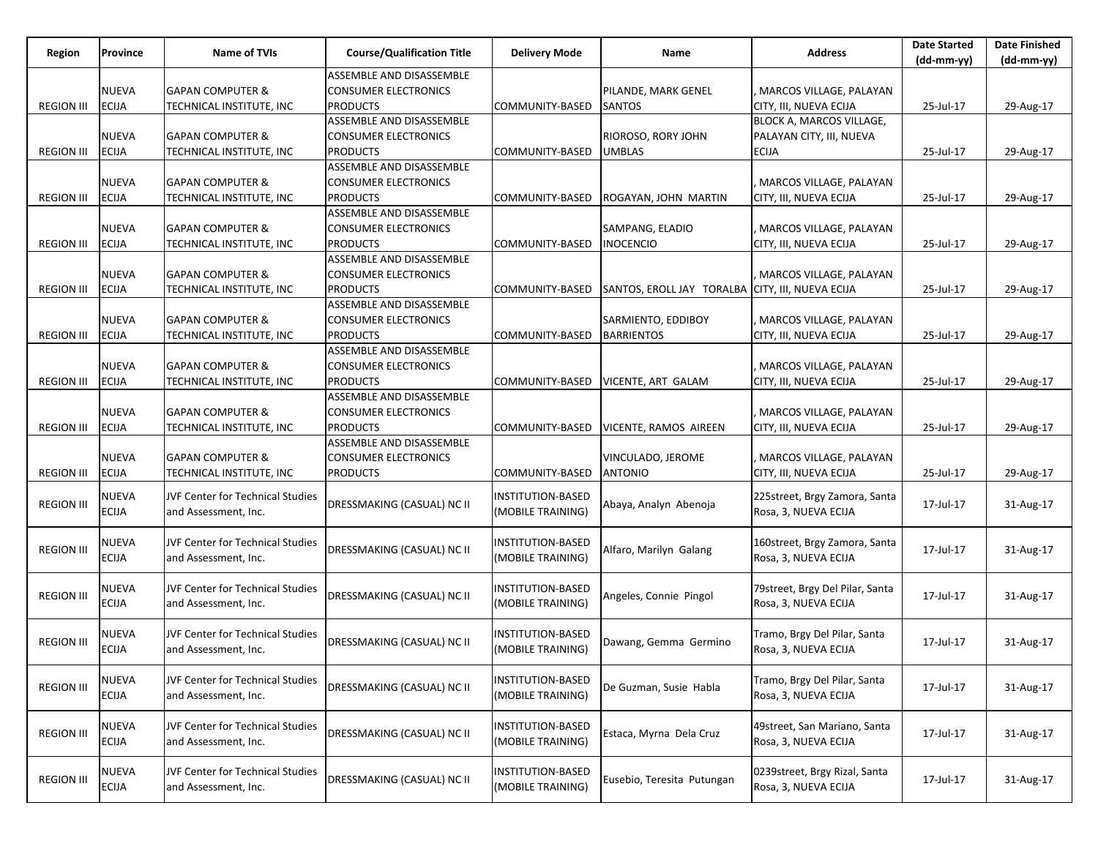| Region            | Province     | Name of TVIs                            | <b>Course/Qualification Title</b> | <b>Delivery Mode</b>     | Name                                             | <b>Address</b>                  | <b>Date Started</b><br>$(dd-mm-yy)$ | <b>Date Finished</b><br>$(dd-mm-yy)$ |
|-------------------|--------------|-----------------------------------------|-----------------------------------|--------------------------|--------------------------------------------------|---------------------------------|-------------------------------------|--------------------------------------|
|                   |              |                                         | ASSEMBLE AND DISASSEMBLE          |                          |                                                  |                                 |                                     |                                      |
|                   | <b>NUEVA</b> | <b>GAPAN COMPUTER &amp;</b>             | <b>CONSUMER ELECTRONICS</b>       |                          | PILANDE, MARK GENEL                              | MARCOS VILLAGE, PALAYAN         |                                     |                                      |
| <b>REGION III</b> | <b>ECIJA</b> | TECHNICAL INSTITUTE, INC                | <b>PRODUCTS</b>                   | COMMUNITY-BASED          | <b>SANTOS</b>                                    | CITY, III, NUEVA ECIJA          | 25-Jul-17                           | 29-Aug-17                            |
|                   |              |                                         | ASSEMBLE AND DISASSEMBLE          |                          |                                                  | BLOCK A, MARCOS VILLAGE,        |                                     |                                      |
|                   | <b>NUEVA</b> | <b>GAPAN COMPUTER &amp;</b>             | <b>CONSUMER ELECTRONICS</b>       |                          | RIOROSO, RORY JOHN                               | PALAYAN CITY, III, NUEVA        |                                     |                                      |
| <b>REGION III</b> | <b>ECIJA</b> | TECHNICAL INSTITUTE, INC                | <b>PRODUCTS</b>                   | COMMUNITY-BASED          | <b>UMBLAS</b>                                    | <b>ECIJA</b>                    | 25-Jul-17                           | 29-Aug-17                            |
|                   |              |                                         | ASSEMBLE AND DISASSEMBLE          |                          |                                                  |                                 |                                     |                                      |
|                   | <b>NUEVA</b> | <b>GAPAN COMPUTER &amp;</b>             | <b>CONSUMER ELECTRONICS</b>       |                          |                                                  | MARCOS VILLAGE, PALAYAN         |                                     |                                      |
| <b>REGION III</b> | <b>ECIJA</b> | TECHNICAL INSTITUTE, INC                | <b>PRODUCTS</b>                   | COMMUNITY-BASED          | ROGAYAN, JOHN MARTIN                             | CITY, III, NUEVA ECIJA          | 25-Jul-17                           | 29-Aug-17                            |
|                   |              |                                         | ASSEMBLE AND DISASSEMBLE          |                          |                                                  |                                 |                                     |                                      |
|                   | <b>NUEVA</b> | <b>GAPAN COMPUTER &amp;</b>             | <b>CONSUMER ELECTRONICS</b>       |                          | SAMPANG, ELADIO                                  | MARCOS VILLAGE, PALAYAN         |                                     |                                      |
| <b>REGION III</b> | <b>ECIJA</b> | TECHNICAL INSTITUTE, INC                | <b>PRODUCTS</b>                   | COMMUNITY-BASED          | <b>INOCENCIO</b>                                 | CITY, III, NUEVA ECIJA          | 25-Jul-17                           | 29-Aug-17                            |
|                   |              |                                         | ASSEMBLE AND DISASSEMBLE          |                          |                                                  |                                 |                                     |                                      |
|                   | <b>NUEVA</b> | <b>GAPAN COMPUTER &amp;</b>             | <b>CONSUMER ELECTRONICS</b>       |                          |                                                  | MARCOS VILLAGE, PALAYAN         |                                     |                                      |
| <b>REGION III</b> | <b>ECIJA</b> | TECHNICAL INSTITUTE, INC                | <b>PRODUCTS</b>                   | COMMUNITY-BASED          | SANTOS, EROLL JAY TORALBA CITY, III, NUEVA ECIJA |                                 | 25-Jul-17                           | 29-Aug-17                            |
|                   |              |                                         | ASSEMBLE AND DISASSEMBLE          |                          |                                                  |                                 |                                     |                                      |
|                   | <b>NUEVA</b> | <b>GAPAN COMPUTER &amp;</b>             | <b>CONSUMER ELECTRONICS</b>       |                          | SARMIENTO, EDDIBOY                               | MARCOS VILLAGE, PALAYAN         |                                     |                                      |
| <b>REGION III</b> | <b>ECIJA</b> | TECHNICAL INSTITUTE, INC                | <b>PRODUCTS</b>                   | COMMUNITY-BASED          | <b>BARRIENTOS</b>                                | CITY, III, NUEVA ECIJA          | 25-Jul-17                           | 29-Aug-17                            |
|                   |              |                                         | ASSEMBLE AND DISASSEMBLE          |                          |                                                  |                                 |                                     |                                      |
|                   | <b>NUEVA</b> | <b>GAPAN COMPUTER &amp;</b>             | <b>CONSUMER ELECTRONICS</b>       |                          |                                                  | MARCOS VILLAGE, PALAYAN         |                                     |                                      |
| <b>REGION III</b> | <b>ECIJA</b> | TECHNICAL INSTITUTE, INC                | <b>PRODUCTS</b>                   | COMMUNITY-BASED          | VICENTE, ART GALAM                               | CITY, III, NUEVA ECIJA          | 25-Jul-17                           | 29-Aug-17                            |
|                   |              |                                         | ASSEMBLE AND DISASSEMBLE          |                          |                                                  |                                 |                                     |                                      |
|                   | <b>NUEVA</b> | <b>GAPAN COMPUTER &amp;</b>             | <b>CONSUMER ELECTRONICS</b>       |                          |                                                  | MARCOS VILLAGE, PALAYAN         |                                     |                                      |
| <b>REGION III</b> | <b>ECIJA</b> | TECHNICAL INSTITUTE, INC                | <b>PRODUCTS</b>                   | COMMUNITY-BASED          | VICENTE, RAMOS AIREEN                            | CITY, III, NUEVA ECIJA          | 25-Jul-17                           | 29-Aug-17                            |
|                   |              |                                         | ASSEMBLE AND DISASSEMBLE          |                          |                                                  |                                 |                                     |                                      |
|                   | <b>NUEVA</b> | <b>GAPAN COMPUTER &amp;</b>             | <b>CONSUMER ELECTRONICS</b>       |                          | VINCULADO, JEROME                                | MARCOS VILLAGE, PALAYAN         |                                     |                                      |
| <b>REGION III</b> | <b>ECIJA</b> | TECHNICAL INSTITUTE, INC                | <b>PRODUCTS</b>                   | COMMUNITY-BASED          | <b>ANTONIO</b>                                   | CITY, III, NUEVA ECIJA          | 25-Jul-17                           | 29-Aug-17                            |
|                   |              |                                         |                                   |                          |                                                  |                                 |                                     |                                      |
| <b>REGION III</b> | NUEVA        | <b>JVF Center for Technical Studies</b> | DRESSMAKING (CASUAL) NC II        | INSTITUTION-BASED        | Abaya, Analyn Abenoja                            | 225street, Brgy Zamora, Santa   | 17-Jul-17                           | 31-Aug-17                            |
|                   | <b>ECIJA</b> | and Assessment, Inc.                    |                                   | (MOBILE TRAINING)        |                                                  | Rosa, 3, NUEVA ECIJA            |                                     |                                      |
|                   |              |                                         |                                   |                          |                                                  |                                 |                                     |                                      |
| <b>REGION III</b> | <b>NUEVA</b> | <b>JVF Center for Technical Studies</b> | DRESSMAKING (CASUAL) NC II        | <b>INSTITUTION-BASED</b> | Alfaro, Marilyn Galang                           | 160street, Brgy Zamora, Santa   | 17-Jul-17                           | 31-Aug-17                            |
|                   | <b>ECIJA</b> | and Assessment, Inc.                    |                                   | (MOBILE TRAINING)        |                                                  | Rosa, 3, NUEVA ECIJA            |                                     |                                      |
|                   |              |                                         |                                   |                          |                                                  |                                 |                                     |                                      |
| <b>REGION III</b> | NUEVA        | <b>JVF Center for Technical Studies</b> | DRESSMAKING (CASUAL) NC II        | <b>INSTITUTION-BASED</b> | Angeles, Connie Pingol                           | 79street, Brgy Del Pilar, Santa | 17-Jul-17                           | 31-Aug-17                            |
|                   | <b>ECIJA</b> | and Assessment, Inc.                    |                                   | (MOBILE TRAINING)        |                                                  | Rosa, 3, NUEVA ECIJA            |                                     |                                      |
|                   |              |                                         |                                   |                          |                                                  |                                 |                                     |                                      |
| <b>REGION III</b> | <b>NUEVA</b> | <b>JVF Center for Technical Studies</b> | DRESSMAKING (CASUAL) NC II        | <b>INSTITUTION-BASED</b> |                                                  | Tramo, Brgy Del Pilar, Santa    |                                     |                                      |
|                   | <b>ECIJA</b> | and Assessment, Inc.                    |                                   | (MOBILE TRAINING)        | Dawang, Gemma Germino                            | Rosa, 3, NUEVA ECIJA            | 17-Jul-17                           | 31-Aug-17                            |
|                   |              |                                         |                                   |                          |                                                  |                                 |                                     |                                      |
|                   | <b>NUEVA</b> | JVF Center for Technical Studies        |                                   | <b>INSTITUTION-BASED</b> |                                                  | Tramo, Brgy Del Pilar, Santa    |                                     |                                      |
| <b>REGION III</b> | <b>ECIJA</b> | and Assessment, Inc.                    | DRESSMAKING (CASUAL) NC II        | (MOBILE TRAINING)        | De Guzman, Susie Habla                           | Rosa, 3, NUEVA ECIJA            | 17-Jul-17                           | 31-Aug-17                            |
|                   |              |                                         |                                   |                          |                                                  |                                 |                                     |                                      |
|                   | <b>NUEVA</b> | JVF Center for Technical Studies        |                                   | <b>INSTITUTION-BASED</b> |                                                  | 49street, San Mariano, Santa    |                                     |                                      |
| <b>REGION III</b> | <b>ECIJA</b> | and Assessment, Inc.                    | DRESSMAKING (CASUAL) NC II        | (MOBILE TRAINING)        | Estaca, Myrna Dela Cruz                          | Rosa, 3, NUEVA ECIJA            | 17-Jul-17                           | 31-Aug-17                            |
|                   |              |                                         |                                   |                          |                                                  |                                 |                                     |                                      |
|                   | <b>NUEVA</b> | JVF Center for Technical Studies        |                                   | <b>INSTITUTION-BASED</b> |                                                  | 0239street, Brgy Rizal, Santa   |                                     |                                      |
| <b>REGION III</b> | <b>ECIJA</b> | and Assessment, Inc.                    | DRESSMAKING (CASUAL) NC II        | (MOBILE TRAINING)        | Eusebio, Teresita Putungan                       | Rosa, 3, NUEVA ECIJA            | 17-Jul-17                           | 31-Aug-17                            |
|                   |              |                                         |                                   |                          |                                                  |                                 |                                     |                                      |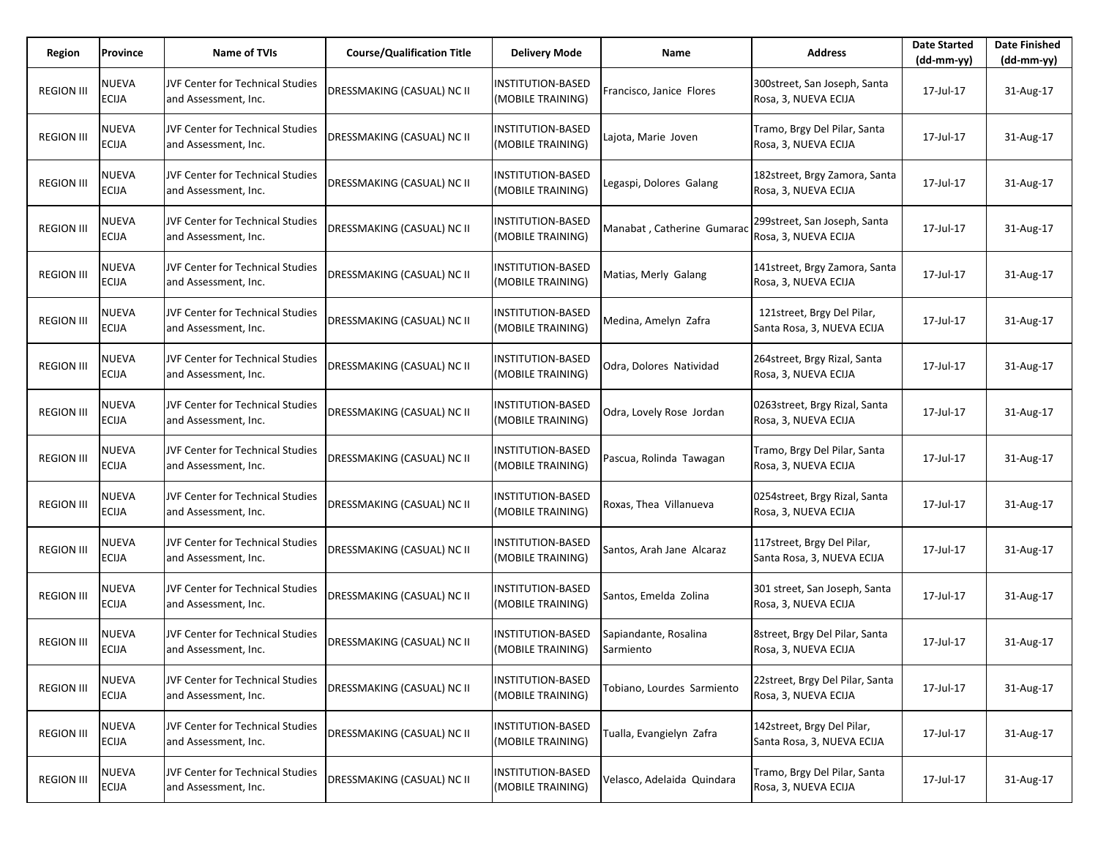| Region            | Province                     | Name of TVIs                                                    | <b>Course/Qualification Title</b> | <b>Delivery Mode</b>                          | Name                               | <b>Address</b>                                           | <b>Date Started</b><br>$(dd-mm-yy)$ | <b>Date Finished</b><br>$(dd-mm-yy)$ |
|-------------------|------------------------------|-----------------------------------------------------------------|-----------------------------------|-----------------------------------------------|------------------------------------|----------------------------------------------------------|-------------------------------------|--------------------------------------|
| <b>REGION III</b> | <b>NUEVA</b><br><b>ECIJA</b> | <b>JVF Center for Technical Studies</b><br>and Assessment, Inc. | DRESSMAKING (CASUAL) NC II        | INSTITUTION-BASED<br>(MOBILE TRAINING)        | Francisco, Janice Flores           | 300street, San Joseph, Santa<br>Rosa, 3, NUEVA ECIJA     | 17-Jul-17                           | 31-Aug-17                            |
| <b>REGION III</b> | <b>NUEVA</b><br><b>ECIJA</b> | <b>JVF Center for Technical Studies</b><br>and Assessment, Inc. | <b>DRESSMAKING (CASUAL) NC II</b> | INSTITUTION-BASED<br>(MOBILE TRAINING)        | Lajota, Marie Joven                | Tramo, Brgy Del Pilar, Santa<br>Rosa, 3, NUEVA ECIJA     | 17-Jul-17                           | 31-Aug-17                            |
| <b>REGION III</b> | <b>NUEVA</b><br><b>ECIJA</b> | JVF Center for Technical Studies<br>and Assessment, Inc.        | DRESSMAKING (CASUAL) NC II        | INSTITUTION-BASED<br>(MOBILE TRAINING)        | Legaspi, Dolores Galang            | 182street, Brgy Zamora, Santa<br>Rosa, 3, NUEVA ECIJA    | 17-Jul-17                           | 31-Aug-17                            |
| <b>REGION III</b> | <b>NUEVA</b><br><b>ECIJA</b> | <b>JVF Center for Technical Studies</b><br>and Assessment, Inc. | <b>DRESSMAKING (CASUAL) NC II</b> | <b>INSTITUTION-BASED</b><br>(MOBILE TRAINING) | Manabat, Catherine Gumarad         | 299street, San Joseph, Santa<br>Rosa, 3, NUEVA ECIJA     | 17-Jul-17                           | 31-Aug-17                            |
| <b>REGION III</b> | <b>NUEVA</b><br><b>ECIJA</b> | <b>JVF Center for Technical Studies</b><br>and Assessment, Inc. | DRESSMAKING (CASUAL) NC II        | INSTITUTION-BASED<br>(MOBILE TRAINING)        | Matias, Merly Galang               | 141street, Brgy Zamora, Santa<br>Rosa, 3, NUEVA ECIJA    | 17-Jul-17                           | 31-Aug-17                            |
| <b>REGION III</b> | NUEVA<br><b>ECIJA</b>        | <b>JVF Center for Technical Studies</b><br>and Assessment, Inc. | DRESSMAKING (CASUAL) NC II        | INSTITUTION-BASED<br>(MOBILE TRAINING)        | Medina, Amelyn Zafra               | 121street, Brgy Del Pilar,<br>Santa Rosa, 3, NUEVA ECIJA | 17-Jul-17                           | 31-Aug-17                            |
| <b>REGION III</b> | <b>NUEVA</b><br><b>ECIJA</b> | JVF Center for Technical Studies<br>and Assessment, Inc.        | DRESSMAKING (CASUAL) NC II        | <b>INSTITUTION-BASED</b><br>(MOBILE TRAINING) | Odra, Dolores Natividad            | 264street, Brgy Rizal, Santa<br>Rosa, 3, NUEVA ECIJA     | 17-Jul-17                           | 31-Aug-17                            |
| <b>REGION III</b> | NUEVA<br><b>ECIJA</b>        | JVF Center for Technical Studies<br>and Assessment, Inc.        | DRESSMAKING (CASUAL) NC II        | <b>INSTITUTION-BASED</b><br>(MOBILE TRAINING) | Odra, Lovely Rose Jordan           | 0263street, Brgy Rizal, Santa<br>Rosa, 3, NUEVA ECIJA    | 17-Jul-17                           | 31-Aug-17                            |
| <b>REGION III</b> | <b>NUEVA</b><br><b>ECIJA</b> | <b>JVF Center for Technical Studies</b><br>and Assessment, Inc. | DRESSMAKING (CASUAL) NC II        | INSTITUTION-BASED<br>(MOBILE TRAINING)        | Pascua, Rolinda Tawagan            | Tramo, Brgy Del Pilar, Santa<br>Rosa, 3, NUEVA ECIJA     | 17-Jul-17                           | 31-Aug-17                            |
| <b>REGION III</b> | NUEVA<br><b>ECIJA</b>        | JVF Center for Technical Studies<br>and Assessment, Inc.        | DRESSMAKING (CASUAL) NC II        | INSTITUTION-BASED<br>(MOBILE TRAINING)        | Roxas, Thea Villanueva             | 0254street, Brgy Rizal, Santa<br>Rosa, 3, NUEVA ECIJA    | 17-Jul-17                           | 31-Aug-17                            |
| <b>REGION III</b> | <b>NUEVA</b><br><b>ECIJA</b> | <b>JVF Center for Technical Studies</b><br>and Assessment, Inc. | DRESSMAKING (CASUAL) NC II        | <b>INSTITUTION-BASED</b><br>(MOBILE TRAINING) | Santos, Arah Jane Alcaraz          | 117street, Brgy Del Pilar,<br>Santa Rosa, 3, NUEVA ECIJA | 17-Jul-17                           | 31-Aug-17                            |
| <b>REGION III</b> | NUEVA<br><b>ECIJA</b>        | <b>JVF Center for Technical Studies</b><br>and Assessment, Inc. | DRESSMAKING (CASUAL) NC II        | <b>INSTITUTION-BASED</b><br>(MOBILE TRAINING) | Santos, Emelda Zolina              | 301 street, San Joseph, Santa<br>Rosa, 3, NUEVA ECIJA    | 17-Jul-17                           | 31-Aug-17                            |
| <b>REGION III</b> | <b>NUEVA</b><br><b>ECIJA</b> | <b>JVF Center for Technical Studies</b><br>and Assessment, Inc. | DRESSMAKING (CASUAL) NC II        | INSTITUTION-BASED<br>(MOBILE TRAINING)        | Sapiandante, Rosalina<br>Sarmiento | 8street, Brgy Del Pilar, Santa<br>Rosa, 3, NUEVA ECIJA   | 17-Jul-17                           | 31-Aug-17                            |
| <b>REGION III</b> | <b>NUEVA</b><br><b>ECIJA</b> | JVF Center for Technical Studies<br>and Assessment, Inc.        | DRESSMAKING (CASUAL) NC II        | <b>INSTITUTION-BASED</b><br>(MOBILE TRAINING) | Tobiano, Lourdes Sarmiento         | 22street, Brgy Del Pilar, Santa<br>Rosa, 3, NUEVA ECIJA  | 17-Jul-17                           | 31-Aug-17                            |
| <b>REGION III</b> | <b>NUEVA</b><br><b>ECIJA</b> | JVF Center for Technical Studies<br>and Assessment, Inc.        | DRESSMAKING (CASUAL) NC II        | <b>INSTITUTION-BASED</b><br>(MOBILE TRAINING) | Tualla, Evangielyn Zafra           | 142street, Brgy Del Pilar,<br>Santa Rosa, 3, NUEVA ECIJA | 17-Jul-17                           | 31-Aug-17                            |
| <b>REGION III</b> | <b>NUEVA</b><br><b>ECIJA</b> | JVF Center for Technical Studies<br>and Assessment, Inc.        | DRESSMAKING (CASUAL) NC II        | <b>INSTITUTION-BASED</b><br>(MOBILE TRAINING) | Velasco, Adelaida Quindara         | Tramo, Brgy Del Pilar, Santa<br>Rosa, 3, NUEVA ECIJA     | 17-Jul-17                           | 31-Aug-17                            |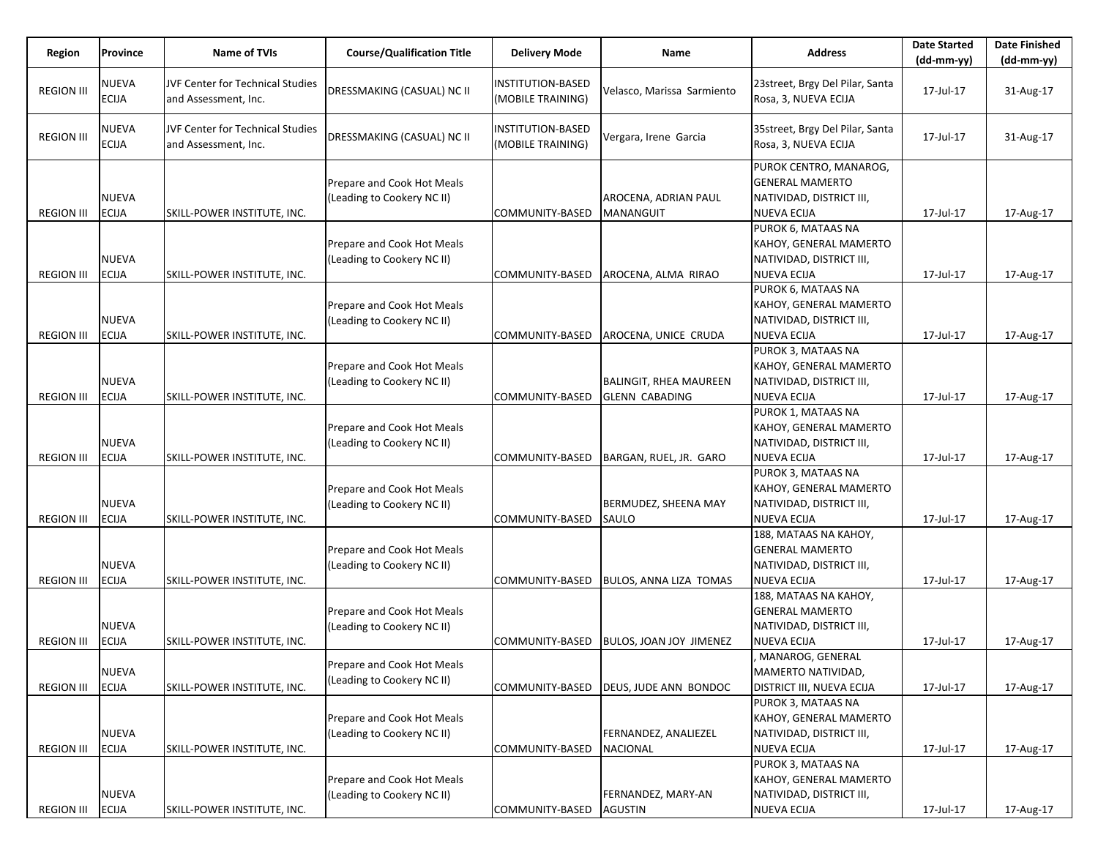|                   |                              |                                                          |                                                          |                                               |                                          |                                                                                                    | <b>Date Started</b> | <b>Date Finished</b> |
|-------------------|------------------------------|----------------------------------------------------------|----------------------------------------------------------|-----------------------------------------------|------------------------------------------|----------------------------------------------------------------------------------------------------|---------------------|----------------------|
| Region            | Province                     | Name of TVIs                                             | <b>Course/Qualification Title</b>                        | <b>Delivery Mode</b>                          | Name                                     | <b>Address</b>                                                                                     | $(dd-mm-yy)$        | $(dd-mm-yy)$         |
| <b>REGION III</b> | <b>NUEVA</b><br><b>ECIJA</b> | JVF Center for Technical Studies<br>and Assessment, Inc. | DRESSMAKING (CASUAL) NC II                               | <b>INSTITUTION-BASED</b><br>(MOBILE TRAINING) | Velasco, Marissa Sarmiento               | 23street, Brgy Del Pilar, Santa<br>Rosa, 3, NUEVA ECIJA                                            | 17-Jul-17           | 31-Aug-17            |
| <b>REGION III</b> | NUEVA<br>ECIJA               | JVF Center for Technical Studies<br>and Assessment, Inc. | DRESSMAKING (CASUAL) NC II                               | <b>INSTITUTION-BASED</b><br>(MOBILE TRAINING) | Vergara, Irene Garcia                    | 35street, Brgy Del Pilar, Santa<br>Rosa, 3, NUEVA ECIJA                                            | 17-Jul-17           | 31-Aug-17            |
| <b>REGION III</b> | <b>NUEVA</b><br><b>ECIJA</b> | SKILL-POWER INSTITUTE, INC.                              | Prepare and Cook Hot Meals<br>(Leading to Cookery NC II) | COMMUNITY-BASED                               | AROCENA, ADRIAN PAUL<br><b>MANANGUIT</b> | PUROK CENTRO, MANAROG,<br><b>GENERAL MAMERTO</b><br>NATIVIDAD, DISTRICT III,<br><b>NUEVA ECIJA</b> | 17-Jul-17           | 17-Aug-17            |
| <b>REGION III</b> | <b>NUEVA</b><br><b>ECIJA</b> | SKILL-POWER INSTITUTE, INC.                              | Prepare and Cook Hot Meals<br>(Leading to Cookery NC II) | COMMUNITY-BASED                               | AROCENA, ALMA RIRAO                      | PUROK 6, MATAAS NA<br>KAHOY, GENERAL MAMERTO<br>NATIVIDAD, DISTRICT III,<br><b>NUEVA ECIJA</b>     | 17-Jul-17           | 17-Aug-17            |
|                   | <b>NUEVA</b>                 |                                                          | Prepare and Cook Hot Meals<br>(Leading to Cookery NC II) |                                               |                                          | PUROK 6, MATAAS NA<br>KAHOY, GENERAL MAMERTO<br>NATIVIDAD, DISTRICT III,                           |                     |                      |
| <b>REGION III</b> | <b>ECIJA</b>                 | SKILL-POWER INSTITUTE, INC.                              |                                                          | COMMUNITY-BASED                               | AROCENA, UNICE CRUDA                     | <b>NUEVA ECIJA</b>                                                                                 | 17-Jul-17           | 17-Aug-17            |
|                   | <b>NUEVA</b>                 |                                                          | Prepare and Cook Hot Meals<br>(Leading to Cookery NC II) |                                               | <b>BALINGIT, RHEA MAUREEN</b>            | PUROK 3, MATAAS NA<br>KAHOY, GENERAL MAMERTO<br>NATIVIDAD, DISTRICT III,                           |                     |                      |
| <b>REGION III</b> | <b>ECIJA</b>                 | SKILL-POWER INSTITUTE, INC.                              |                                                          | COMMUNITY-BASED                               | <b>GLENN CABADING</b>                    | <b>NUEVA ECIJA</b><br>PUROK 1, MATAAS NA                                                           | 17-Jul-17           | 17-Aug-17            |
| <b>REGION III</b> | <b>NUEVA</b><br><b>ECIJA</b> | SKILL-POWER INSTITUTE, INC.                              | Prepare and Cook Hot Meals<br>(Leading to Cookery NC II) | COMMUNITY-BASED                               | BARGAN, RUEL, JR. GARO                   | KAHOY, GENERAL MAMERTO<br>NATIVIDAD, DISTRICT III,<br><b>NUEVA ECIJA</b>                           | 17-Jul-17           | 17-Aug-17            |
| <b>REGION III</b> | <b>NUEVA</b><br><b>ECIJA</b> | SKILL-POWER INSTITUTE, INC.                              | Prepare and Cook Hot Meals<br>(Leading to Cookery NC II) | COMMUNITY-BASED                               | BERMUDEZ, SHEENA MAY<br>SAULO            | PUROK 3, MATAAS NA<br>KAHOY, GENERAL MAMERTO<br>NATIVIDAD, DISTRICT III,<br><b>NUEVA ECIJA</b>     | 17-Jul-17           | 17-Aug-17            |
| <b>REGION III</b> | <b>NUEVA</b><br><b>ECIJA</b> | SKILL-POWER INSTITUTE, INC.                              | Prepare and Cook Hot Meals<br>(Leading to Cookery NC II) | COMMUNITY-BASED                               | <b>BULOS, ANNA LIZA TOMAS</b>            | 188, MATAAS NA KAHOY,<br><b>GENERAL MAMERTO</b><br>NATIVIDAD, DISTRICT III,<br><b>NUEVA ECIJA</b>  | 17-Jul-17           | 17-Aug-17            |
|                   | <b>NUEVA</b>                 |                                                          | Prepare and Cook Hot Meals<br>(Leading to Cookery NC II) |                                               |                                          | 188, MATAAS NA KAHOY,<br><b>GENERAL MAMERTO</b><br>NATIVIDAD, DISTRICT III,                        |                     |                      |
| <b>REGION III</b> | <b>ECIJA</b>                 | SKILL-POWER INSTITUTE, INC.                              |                                                          | COMMUNITY-BASED                               | <b>BULOS, JOAN JOY JIMENEZ</b>           | <b>NUEVA ECIJA</b>                                                                                 | 17-Jul-17           | 17-Aug-17            |
| <b>REGION III</b> | <b>NUEVA</b><br><b>ECIJA</b> | SKILL-POWER INSTITUTE, INC.                              | Prepare and Cook Hot Meals<br>(Leading to Cookery NC II) | COMMUNITY-BASED                               | <b>DEUS, JUDE ANN BONDOC</b>             | MANAROG, GENERAL<br>MAMERTO NATIVIDAD,<br><b>DISTRICT III, NUEVA ECIJA</b>                         | 17-Jul-17           | 17-Aug-17            |
| <b>REGION III</b> | <b>NUEVA</b><br><b>ECIJA</b> | SKILL-POWER INSTITUTE, INC.                              | Prepare and Cook Hot Meals<br>(Leading to Cookery NC II) | COMMUNITY-BASED                               | FERNANDEZ, ANALIEZEL<br><b>NACIONAL</b>  | PUROK 3, MATAAS NA<br>KAHOY, GENERAL MAMERTO<br>NATIVIDAD, DISTRICT III,<br><b>NUEVA ECIJA</b>     | 17-Jul-17           | 17-Aug-17            |
| <b>REGION III</b> | NUEVA<br><b>ECIJA</b>        | SKILL-POWER INSTITUTE, INC.                              | Prepare and Cook Hot Meals<br>(Leading to Cookery NC II) | COMMUNITY-BASED                               | FERNANDEZ, MARY-AN<br><b>AGUSTIN</b>     | PUROK 3, MATAAS NA<br>KAHOY, GENERAL MAMERTO<br>NATIVIDAD, DISTRICT III,<br><b>NUEVA ECIJA</b>     | 17-Jul-17           | 17-Aug-17            |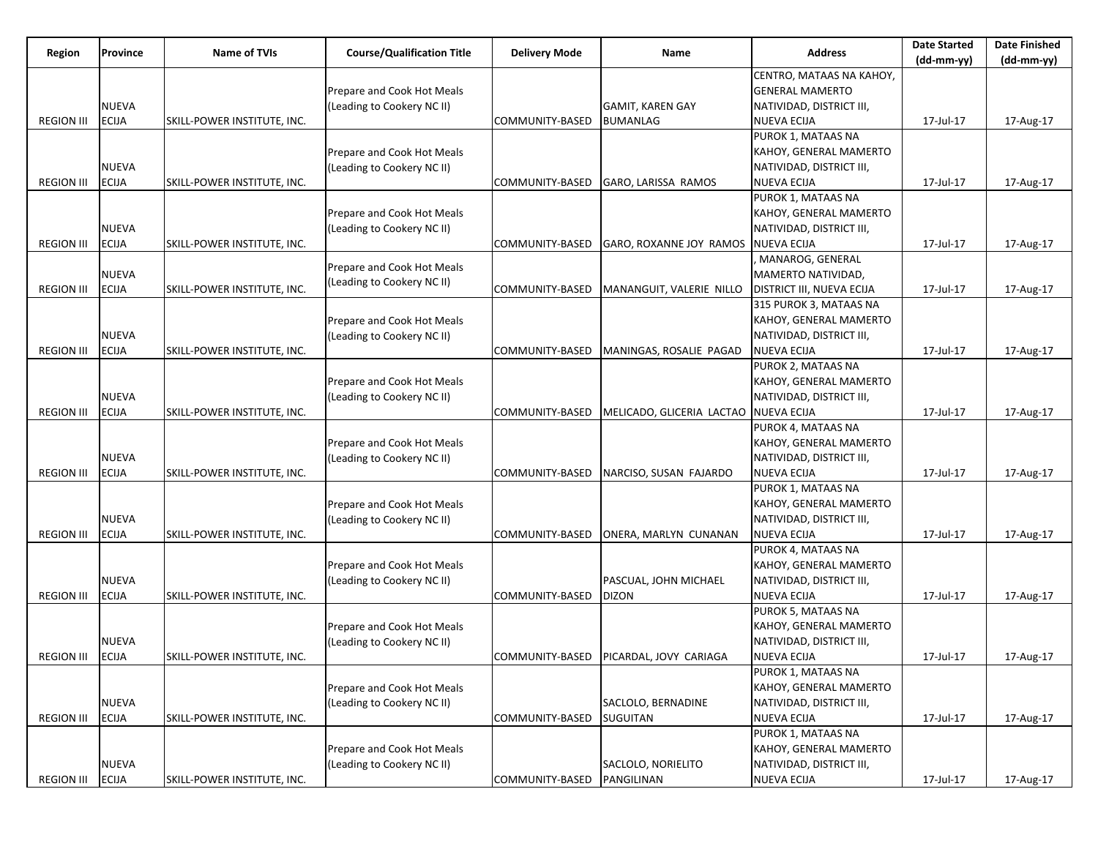| Region            | Province     | <b>Name of TVIs</b>         | <b>Course/Qualification Title</b> | <b>Delivery Mode</b> | Name                                     | <b>Address</b>            | <b>Date Started</b> | <b>Date Finished</b> |
|-------------------|--------------|-----------------------------|-----------------------------------|----------------------|------------------------------------------|---------------------------|---------------------|----------------------|
|                   |              |                             |                                   |                      |                                          |                           | $(dd-mm-yy)$        | $(dd-mm-yy)$         |
|                   |              |                             |                                   |                      |                                          | CENTRO, MATAAS NA KAHOY,  |                     |                      |
|                   |              |                             | Prepare and Cook Hot Meals        |                      |                                          | <b>GENERAL MAMERTO</b>    |                     |                      |
|                   | <b>NUEVA</b> |                             | (Leading to Cookery NC II)        |                      | <b>GAMIT, KAREN GAY</b>                  | NATIVIDAD, DISTRICT III,  |                     |                      |
| <b>REGION III</b> | <b>ECIJA</b> | SKILL-POWER INSTITUTE, INC. |                                   | COMMUNITY-BASED      | <b>BUMANLAG</b>                          | <b>NUEVA ECIJA</b>        | 17-Jul-17           | 17-Aug-17            |
|                   |              |                             |                                   |                      |                                          | PUROK 1, MATAAS NA        |                     |                      |
|                   |              |                             | Prepare and Cook Hot Meals        |                      |                                          | KAHOY, GENERAL MAMERTO    |                     |                      |
|                   | <b>NUEVA</b> |                             | (Leading to Cookery NC II)        |                      |                                          | NATIVIDAD, DISTRICT III,  |                     |                      |
| <b>REGION III</b> | <b>ECIJA</b> | SKILL-POWER INSTITUTE, INC. |                                   | COMMUNITY-BASED      | GARO, LARISSA RAMOS                      | <b>NUEVA ECIJA</b>        | 17-Jul-17           | 17-Aug-17            |
|                   |              |                             |                                   |                      |                                          | PUROK 1, MATAAS NA        |                     |                      |
|                   |              |                             | Prepare and Cook Hot Meals        |                      |                                          | KAHOY, GENERAL MAMERTO    |                     |                      |
|                   | <b>NUEVA</b> |                             | (Leading to Cookery NC II)        |                      |                                          | NATIVIDAD, DISTRICT III,  |                     |                      |
| <b>REGION III</b> | <b>ECIJA</b> | SKILL-POWER INSTITUTE, INC. |                                   | COMMUNITY-BASED      | GARO, ROXANNE JOY RAMOS                  | <b>NUEVA ECIJA</b>        | 17-Jul-17           | 17-Aug-17            |
|                   |              |                             | Prepare and Cook Hot Meals        |                      |                                          | MANAROG, GENERAL          |                     |                      |
|                   | <b>NUEVA</b> |                             | (Leading to Cookery NC II)        |                      |                                          | MAMERTO NATIVIDAD,        |                     |                      |
| <b>REGION III</b> | <b>ECIJA</b> | SKILL-POWER INSTITUTE, INC. |                                   | COMMUNITY-BASED      | MANANGUIT, VALERIE NILLO                 | DISTRICT III, NUEVA ECIJA | 17-Jul-17           | 17-Aug-17            |
|                   |              |                             |                                   |                      |                                          | 315 PUROK 3, MATAAS NA    |                     |                      |
|                   |              |                             | Prepare and Cook Hot Meals        |                      |                                          | KAHOY, GENERAL MAMERTO    |                     |                      |
|                   | <b>NUEVA</b> |                             | (Leading to Cookery NC II)        |                      |                                          | NATIVIDAD, DISTRICT III,  |                     |                      |
| <b>REGION III</b> | <b>ECIJA</b> | SKILL-POWER INSTITUTE, INC. |                                   | COMMUNITY-BASED      | MANINGAS, ROSALIE PAGAD                  | NUEVA ECIJA               | 17-Jul-17           | 17-Aug-17            |
|                   |              |                             |                                   |                      |                                          | PUROK 2, MATAAS NA        |                     |                      |
|                   |              |                             | Prepare and Cook Hot Meals        |                      |                                          | KAHOY, GENERAL MAMERTO    |                     |                      |
|                   | <b>NUEVA</b> |                             | (Leading to Cookery NC II)        |                      |                                          | NATIVIDAD, DISTRICT III,  |                     |                      |
| <b>REGION III</b> | <b>ECIJA</b> | SKILL-POWER INSTITUTE, INC. |                                   | COMMUNITY-BASED      | MELICADO, GLICERIA LACTAO NUEVA ECIJA    |                           | 17-Jul-17           | 17-Aug-17            |
|                   |              |                             |                                   |                      |                                          | PUROK 4, MATAAS NA        |                     |                      |
|                   |              |                             | Prepare and Cook Hot Meals        |                      |                                          | KAHOY, GENERAL MAMERTO    |                     |                      |
|                   | <b>NUEVA</b> |                             | (Leading to Cookery NC II)        |                      |                                          | NATIVIDAD, DISTRICT III,  |                     |                      |
| <b>REGION III</b> | <b>ECIJA</b> | SKILL-POWER INSTITUTE, INC. |                                   | COMMUNITY-BASED      | NARCISO, SUSAN FAJARDO                   | <b>NUEVA ECIJA</b>        | 17-Jul-17           | 17-Aug-17            |
|                   |              |                             |                                   |                      |                                          | PUROK 1, MATAAS NA        |                     |                      |
|                   |              |                             | Prepare and Cook Hot Meals        |                      |                                          | KAHOY, GENERAL MAMERTO    |                     |                      |
|                   | <b>NUEVA</b> |                             | (Leading to Cookery NC II)        |                      |                                          | NATIVIDAD, DISTRICT III,  |                     |                      |
| <b>REGION III</b> | <b>ECIJA</b> | SKILL-POWER INSTITUTE, INC. |                                   | COMMUNITY-BASED      | ONERA, MARLYN CUNANAN                    | NUEVA ECIJA               | 17-Jul-17           | 17-Aug-17            |
|                   |              |                             |                                   |                      |                                          | PUROK 4, MATAAS NA        |                     |                      |
|                   |              |                             | Prepare and Cook Hot Meals        |                      |                                          | KAHOY, GENERAL MAMERTO    |                     |                      |
|                   | <b>NUEVA</b> |                             | (Leading to Cookery NC II)        |                      | PASCUAL, JOHN MICHAEL                    | NATIVIDAD, DISTRICT III,  |                     |                      |
| <b>REGION III</b> | <b>ECIJA</b> | SKILL-POWER INSTITUTE, INC. |                                   | COMMUNITY-BASED      | <b>DIZON</b>                             | <b>NUEVA ECIJA</b>        | 17-Jul-17           | 17-Aug-17            |
|                   |              |                             |                                   |                      |                                          | PUROK 5, MATAAS NA        |                     |                      |
|                   |              |                             | Prepare and Cook Hot Meals        |                      |                                          | KAHOY, GENERAL MAMERTO    |                     |                      |
|                   | <b>NUEVA</b> |                             | (Leading to Cookery NC II)        |                      |                                          | NATIVIDAD, DISTRICT III,  |                     |                      |
| <b>REGION III</b> | <b>ECIJA</b> | SKILL-POWER INSTITUTE, INC. |                                   |                      | COMMUNITY-BASED   PICARDAL, JOVY CARIAGA | NUEVA ECIJA               | 17-Jul-17           | 17-Aug-17            |
|                   |              |                             |                                   |                      |                                          | PUROK 1, MATAAS NA        |                     |                      |
|                   |              |                             | Prepare and Cook Hot Meals        |                      |                                          | KAHOY, GENERAL MAMERTO    |                     |                      |
|                   | <b>NUEVA</b> |                             | (Leading to Cookery NC II)        |                      | SACLOLO, BERNADINE                       | NATIVIDAD, DISTRICT III,  |                     |                      |
| <b>REGION III</b> | <b>ECIJA</b> | SKILL-POWER INSTITUTE, INC. |                                   | COMMUNITY-BASED      | <b>SUGUITAN</b>                          | <b>NUEVA ECIJA</b>        | 17-Jul-17           | 17-Aug-17            |
|                   |              |                             |                                   |                      |                                          | PUROK 1, MATAAS NA        |                     |                      |
|                   |              |                             | Prepare and Cook Hot Meals        |                      |                                          | KAHOY, GENERAL MAMERTO    |                     |                      |
|                   | <b>NUEVA</b> |                             | (Leading to Cookery NC II)        |                      | SACLOLO, NORIELITO                       | NATIVIDAD, DISTRICT III,  |                     |                      |
| <b>REGION III</b> | <b>ECIJA</b> | SKILL-POWER INSTITUTE, INC. |                                   | COMMUNITY-BASED      | PANGILINAN                               | <b>NUEVA ECIJA</b>        | 17-Jul-17           | 17-Aug-17            |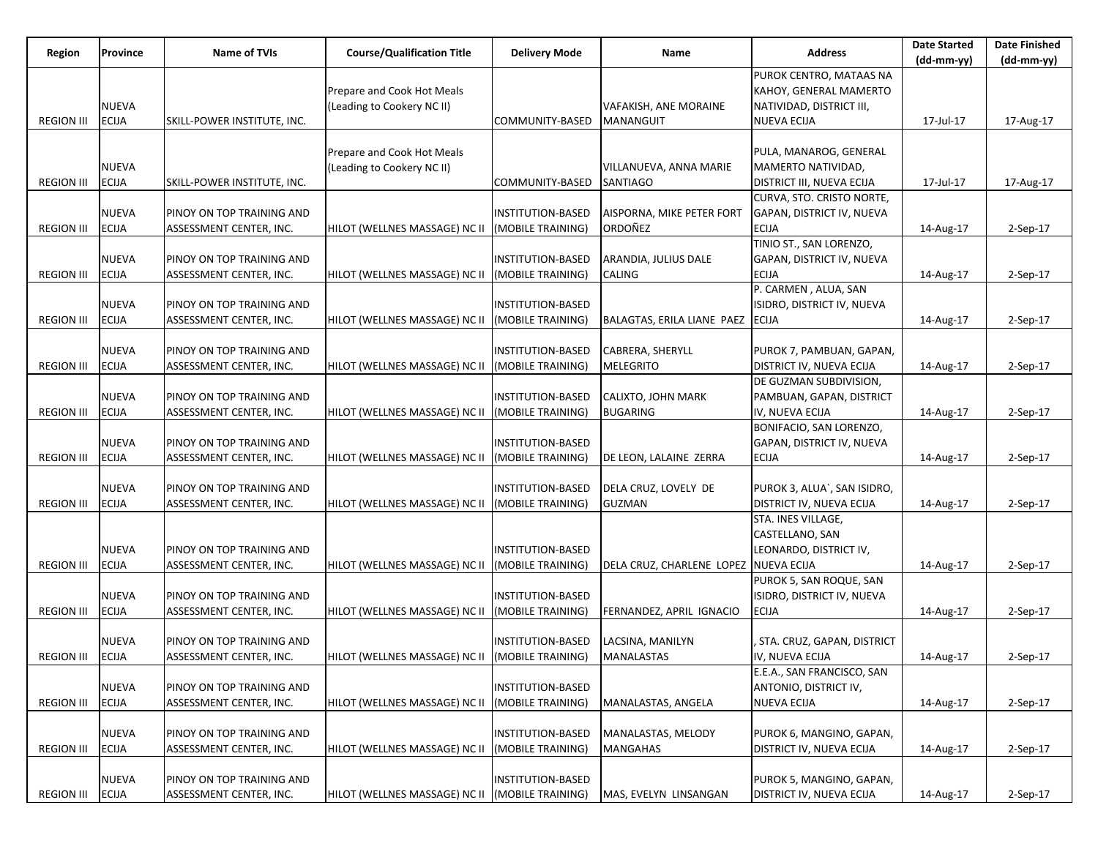| Region            | Province     | <b>Name of TVIs</b>         | <b>Course/Qualification Title</b> | <b>Delivery Mode</b>     | Name                                  | <b>Address</b>                   | <b>Date Started</b> | <b>Date Finished</b> |
|-------------------|--------------|-----------------------------|-----------------------------------|--------------------------|---------------------------------------|----------------------------------|---------------------|----------------------|
|                   |              |                             |                                   |                          |                                       |                                  | (dd-mm-yy)          | (dd-mm-yy)           |
|                   |              |                             |                                   |                          |                                       | PUROK CENTRO, MATAAS NA          |                     |                      |
|                   |              |                             | Prepare and Cook Hot Meals        |                          |                                       | KAHOY, GENERAL MAMERTO           |                     |                      |
|                   | <b>NUEVA</b> |                             | (Leading to Cookery NC II)        |                          | VAFAKISH, ANE MORAINE                 | NATIVIDAD, DISTRICT III,         |                     |                      |
| <b>REGION III</b> | <b>ECIJA</b> | SKILL-POWER INSTITUTE, INC. |                                   | COMMUNITY-BASED          | MANANGUIT                             | <b>NUEVA ECIJA</b>               | 17-Jul-17           | 17-Aug-17            |
|                   |              |                             |                                   |                          |                                       |                                  |                     |                      |
|                   |              |                             | Prepare and Cook Hot Meals        |                          |                                       | PULA, MANAROG, GENERAL           |                     |                      |
|                   | <b>NUEVA</b> |                             | (Leading to Cookery NC II)        |                          | VILLANUEVA, ANNA MARIE                | MAMERTO NATIVIDAD,               |                     |                      |
| <b>REGION III</b> | <b>ECIJA</b> | SKILL-POWER INSTITUTE, INC. |                                   | COMMUNITY-BASED          | <b>SANTIAGO</b>                       | <b>DISTRICT III, NUEVA ECIJA</b> | 17-Jul-17           | 17-Aug-17            |
|                   |              |                             |                                   |                          |                                       | CURVA, STO. CRISTO NORTE,        |                     |                      |
|                   | NUEVA        | PINOY ON TOP TRAINING AND   |                                   | <b>INSTITUTION-BASED</b> | AISPORNA, MIKE PETER FORT             | GAPAN, DISTRICT IV, NUEVA        |                     |                      |
| <b>REGION III</b> | <b>ECIJA</b> | ASSESSMENT CENTER, INC.     | HILOT (WELLNES MASSAGE) NC II     | (MOBILE TRAINING)        | ORDOÑEZ                               | <b>ECIJA</b>                     | 14-Aug-17           | 2-Sep-17             |
|                   |              |                             |                                   |                          |                                       | TINIO ST., SAN LORENZO,          |                     |                      |
|                   | <b>NUEVA</b> | PINOY ON TOP TRAINING AND   |                                   | INSTITUTION-BASED        | ARANDIA, JULIUS DALE                  | GAPAN, DISTRICT IV, NUEVA        |                     |                      |
| <b>REGION III</b> | <b>ECIJA</b> | ASSESSMENT CENTER, INC.     | HILOT (WELLNES MASSAGE) NC II     | (MOBILE TRAINING)        | CALING                                | <b>ECIJA</b>                     | 14-Aug-17           | 2-Sep-17             |
|                   |              |                             |                                   |                          |                                       | P. CARMEN, ALUA, SAN             |                     |                      |
|                   | <b>NUEVA</b> | PINOY ON TOP TRAINING AND   |                                   | INSTITUTION-BASED        |                                       | ISIDRO, DISTRICT IV, NUEVA       |                     |                      |
| <b>REGION III</b> | <b>ECIJA</b> | ASSESSMENT CENTER, INC.     | HILOT (WELLNES MASSAGE) NC II     | (MOBILE TRAINING)        | BALAGTAS, ERILA LIANE PAEZ ECIJA      |                                  | 14-Aug-17           | 2-Sep-17             |
|                   |              |                             |                                   |                          |                                       |                                  |                     |                      |
|                   | <b>NUEVA</b> | PINOY ON TOP TRAINING AND   |                                   | INSTITUTION-BASED        | CABRERA, SHERYLL                      | PUROK 7, PAMBUAN, GAPAN,         |                     |                      |
| <b>REGION III</b> | <b>ECIJA</b> | ASSESSMENT CENTER, INC.     | HILOT (WELLNES MASSAGE) NC II     | (MOBILE TRAINING)        | <b>MELEGRITO</b>                      | DISTRICT IV, NUEVA ECIJA         | 14-Aug-17           | 2-Sep-17             |
|                   |              |                             |                                   |                          |                                       | DE GUZMAN SUBDIVISION,           |                     |                      |
|                   | <b>NUEVA</b> | PINOY ON TOP TRAINING AND   |                                   | <b>INSTITUTION-BASED</b> | <b>CALIXTO, JOHN MARK</b>             | PAMBUAN, GAPAN, DISTRICT         |                     |                      |
| <b>REGION III</b> | <b>ECIJA</b> | ASSESSMENT CENTER, INC.     | HILOT (WELLNES MASSAGE) NC II     | (MOBILE TRAINING)        | <b>BUGARING</b>                       | IV, NUEVA ECIJA                  | 14-Aug-17           | $2-Sep-17$           |
|                   |              |                             |                                   |                          |                                       | BONIFACIO, SAN LORENZO,          |                     |                      |
|                   | NUEVA        | PINOY ON TOP TRAINING AND   |                                   | INSTITUTION-BASED        |                                       | GAPAN, DISTRICT IV, NUEVA        |                     |                      |
| <b>REGION III</b> | <b>ECIJA</b> | ASSESSMENT CENTER, INC.     | HILOT (WELLNES MASSAGE) NC II     | (MOBILE TRAINING)        | DE LEON, LALAINE ZERRA                | <b>ECIJA</b>                     | 14-Aug-17           | 2-Sep-17             |
|                   |              |                             |                                   |                          |                                       |                                  |                     |                      |
|                   | <b>NUEVA</b> | PINOY ON TOP TRAINING AND   |                                   | INSTITUTION-BASED        | DELA CRUZ, LOVELY DE                  | PUROK 3, ALUA`, SAN ISIDRO,      |                     |                      |
| <b>REGION III</b> | ECIJA        | ASSESSMENT CENTER, INC.     | HILOT (WELLNES MASSAGE) NC II     | (MOBILE TRAINING)        | <b>GUZMAN</b>                         | <b>DISTRICT IV, NUEVA ECIJA</b>  | 14-Aug-17           | 2-Sep-17             |
|                   |              |                             |                                   |                          |                                       | STA. INES VILLAGE,               |                     |                      |
|                   |              |                             |                                   |                          |                                       | CASTELLANO, SAN                  |                     |                      |
|                   | <b>NUEVA</b> | PINOY ON TOP TRAINING AND   |                                   | INSTITUTION-BASED        |                                       | LEONARDO, DISTRICT IV,           |                     |                      |
| <b>REGION III</b> | <b>ECIJA</b> | ASSESSMENT CENTER, INC.     | HILOT (WELLNES MASSAGE) NC II     | (MOBILE TRAINING)        | DELA CRUZ, CHARLENE LOPEZ NUEVA ECIJA |                                  | 14-Aug-17           | 2-Sep-17             |
|                   |              |                             |                                   |                          |                                       | PUROK 5, SAN ROQUE, SAN          |                     |                      |
|                   | NUEVA        | PINOY ON TOP TRAINING AND   |                                   | INSTITUTION-BASED        |                                       | ISIDRO, DISTRICT IV, NUEVA       |                     |                      |
| <b>REGION III</b> | <b>ECIJA</b> | ASSESSMENT CENTER, INC.     | HILOT (WELLNES MASSAGE) NC II     | (MOBILE TRAINING)        | FERNANDEZ, APRIL IGNACIO              | <b>ECIJA</b>                     | 14-Aug-17           | 2-Sep-17             |
|                   |              |                             |                                   |                          |                                       |                                  |                     |                      |
|                   | <b>NUEVA</b> | PINOY ON TOP TRAINING AND   |                                   | INSTITUTION-BASED        | LACSINA, MANILYN                      | STA. CRUZ, GAPAN, DISTRICT       |                     |                      |
| <b>REGION III</b> | <b>ECIJA</b> | ASSESSMENT CENTER, INC.     | HILOT (WELLNES MASSAGE) NC II     | (MOBILE TRAINING)        | <b>MANALASTAS</b>                     | IV, NUEVA ECIJA                  | 14-Aug-17           | 2-Sep-17             |
|                   |              |                             |                                   |                          |                                       | E.E.A., SAN FRANCISCO, SAN       |                     |                      |
|                   | NUEVA        | PINOY ON TOP TRAINING AND   |                                   | INSTITUTION-BASED        |                                       | ANTONIO, DISTRICT IV,            |                     |                      |
| <b>REGION III</b> | <b>ECIJA</b> | ASSESSMENT CENTER, INC.     | HILOT (WELLNES MASSAGE) NC II     | (MOBILE TRAINING)        | MANALASTAS, ANGELA                    | <b>NUEVA ECIJA</b>               | 14-Aug-17           | 2-Sep-17             |
|                   |              |                             |                                   |                          |                                       |                                  |                     |                      |
|                   | <b>NUEVA</b> | PINOY ON TOP TRAINING AND   |                                   | <b>INSTITUTION-BASED</b> | MANALASTAS, MELODY                    | PUROK 6, MANGINO, GAPAN,         |                     |                      |
| <b>REGION III</b> | <b>ECIJA</b> | ASSESSMENT CENTER, INC.     | HILOT (WELLNES MASSAGE) NC II     | (MOBILE TRAINING)        | <b>MANGAHAS</b>                       | <b>DISTRICT IV, NUEVA ECIJA</b>  | 14-Aug-17           | 2-Sep-17             |
|                   |              |                             |                                   |                          |                                       |                                  |                     |                      |
|                   | NUEVA        | PINOY ON TOP TRAINING AND   |                                   | INSTITUTION-BASED        |                                       | PUROK 5, MANGINO, GAPAN,         |                     |                      |
| <b>REGION III</b> | <b>ECIJA</b> | ASSESSMENT CENTER, INC.     | HILOT (WELLNES MASSAGE) NC II     | (MOBILE TRAINING)        | MAS, EVELYN LINSANGAN                 | DISTRICT IV, NUEVA ECIJA         | 14-Aug-17           | 2-Sep-17             |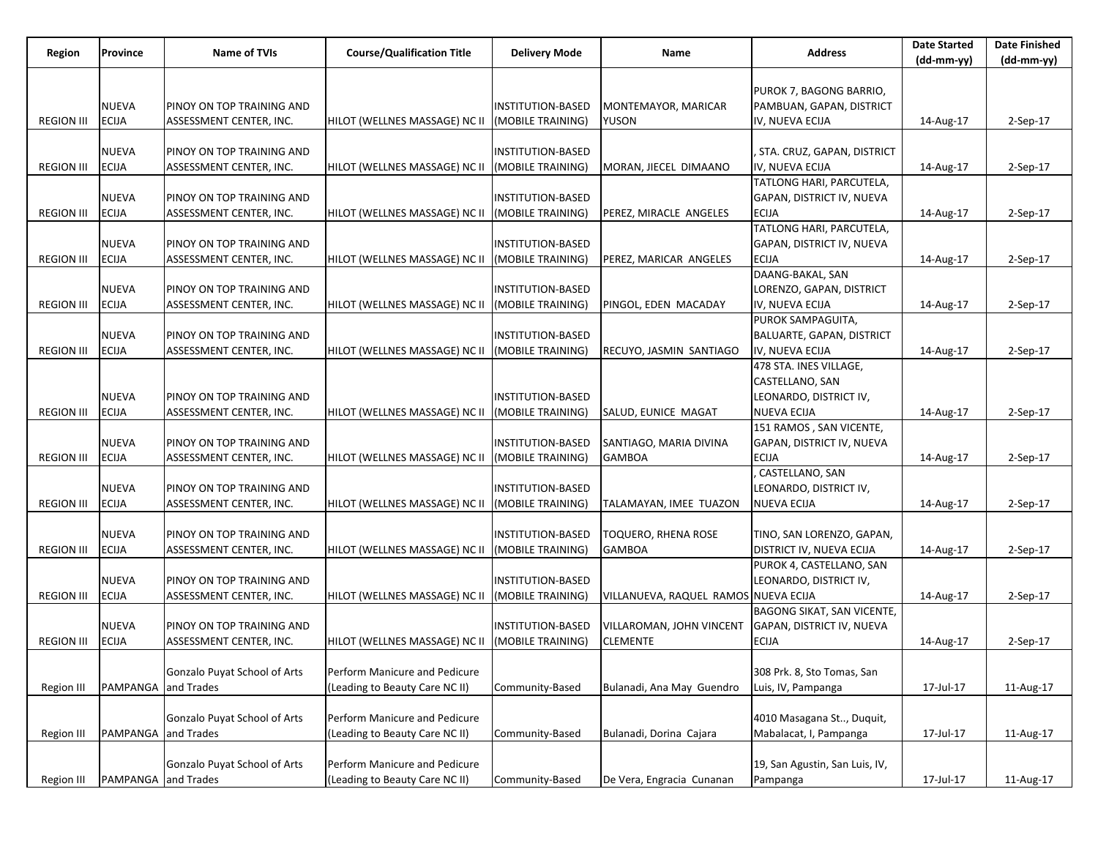|                   | Province                     | <b>Name of TVIs</b>                                  | <b>Course/Qualification Title</b> |                                        | Name                                 | <b>Address</b>                               | <b>Date Started</b> | <b>Date Finished</b> |
|-------------------|------------------------------|------------------------------------------------------|-----------------------------------|----------------------------------------|--------------------------------------|----------------------------------------------|---------------------|----------------------|
| Region            |                              |                                                      |                                   | <b>Delivery Mode</b>                   |                                      |                                              | (dd-mm-yy)          | (dd-mm-yy)           |
|                   |                              |                                                      |                                   |                                        |                                      |                                              |                     |                      |
|                   |                              |                                                      |                                   |                                        |                                      | PUROK 7, BAGONG BARRIO,                      |                     |                      |
|                   | <b>NUEVA</b>                 | PINOY ON TOP TRAINING AND                            |                                   | INSTITUTION-BASED                      | MONTEMAYOR, MARICAR                  | PAMBUAN, GAPAN, DISTRICT                     |                     |                      |
| <b>REGION III</b> | <b>ECIJA</b>                 | ASSESSMENT CENTER, INC.                              | HILOT (WELLNES MASSAGE) NC II     | (MOBILE TRAINING)                      | YUSON                                | IV, NUEVA ECIJA                              | 14-Aug-17           | 2-Sep-17             |
|                   |                              |                                                      |                                   |                                        |                                      |                                              |                     |                      |
|                   | <b>NUEVA</b>                 | PINOY ON TOP TRAINING AND                            |                                   | <b>INSTITUTION-BASED</b>               |                                      | , STA. CRUZ, GAPAN, DISTRICT                 |                     |                      |
| <b>REGION III</b> | <b>ECIJA</b>                 | ASSESSMENT CENTER, INC.                              | HILOT (WELLNES MASSAGE) NC II     | (MOBILE TRAINING)                      | MORAN, JIECEL DIMAANO                | IV, NUEVA ECIJA                              | 14-Aug-17           | 2-Sep-17             |
|                   |                              |                                                      |                                   |                                        |                                      | TATLONG HARI, PARCUTELA,                     |                     |                      |
|                   | <b>NUEVA</b>                 | PINOY ON TOP TRAINING AND                            |                                   | INSTITUTION-BASED                      |                                      | GAPAN, DISTRICT IV, NUEVA                    |                     |                      |
| <b>REGION III</b> | <b>ECIJA</b>                 | ASSESSMENT CENTER, INC.                              | HILOT (WELLNES MASSAGE) NC II     | (MOBILE TRAINING)                      | PEREZ, MIRACLE ANGELES               | <b>ECIJA</b>                                 | 14-Aug-17           | 2-Sep-17             |
|                   |                              |                                                      |                                   |                                        |                                      | TATLONG HARI, PARCUTELA,                     |                     |                      |
|                   | <b>NUEVA</b>                 | PINOY ON TOP TRAINING AND                            |                                   | INSTITUTION-BASED                      |                                      | GAPAN, DISTRICT IV, NUEVA                    |                     |                      |
| <b>REGION III</b> | <b>ECIJA</b>                 | ASSESSMENT CENTER, INC.                              | HILOT (WELLNES MASSAGE) NC II     | (MOBILE TRAINING)                      | PEREZ, MARICAR ANGELES               | <b>ECIJA</b>                                 | 14-Aug-17           | 2-Sep-17             |
|                   |                              |                                                      |                                   |                                        |                                      | DAANG-BAKAL, SAN                             |                     |                      |
|                   | <b>NUEVA</b>                 | PINOY ON TOP TRAINING AND                            |                                   | INSTITUTION-BASED                      |                                      | LORENZO, GAPAN, DISTRICT                     |                     |                      |
| <b>REGION III</b> | <b>ECIJA</b>                 | ASSESSMENT CENTER, INC.                              | HILOT (WELLNES MASSAGE) NC II     | (MOBILE TRAINING)                      | PINGOL, EDEN MACADAY                 | IV, NUEVA ECIJA<br>PUROK SAMPAGUITA,         | 14-Aug-17           | 2-Sep-17             |
|                   |                              |                                                      |                                   |                                        |                                      |                                              |                     |                      |
| <b>REGION III</b> | <b>NUEVA</b><br><b>ECIJA</b> | PINOY ON TOP TRAINING AND<br>ASSESSMENT CENTER, INC. | HILOT (WELLNES MASSAGE) NC II     | INSTITUTION-BASED<br>(MOBILE TRAINING) | RECUYO, JASMIN SANTIAGO              | BALUARTE, GAPAN, DISTRICT<br>IV, NUEVA ECIJA | 14-Aug-17           | $2-Sep-17$           |
|                   |                              |                                                      |                                   |                                        |                                      | 478 STA. INES VILLAGE,                       |                     |                      |
|                   |                              |                                                      |                                   |                                        |                                      | CASTELLANO, SAN                              |                     |                      |
|                   | <b>NUEVA</b>                 | PINOY ON TOP TRAINING AND                            |                                   | INSTITUTION-BASED                      |                                      | LEONARDO, DISTRICT IV,                       |                     |                      |
| <b>REGION III</b> | <b>ECIJA</b>                 | ASSESSMENT CENTER, INC.                              | HILOT (WELLNES MASSAGE) NC II     | (MOBILE TRAINING)                      | SALUD, EUNICE MAGAT                  | <b>NUEVA ECIJA</b>                           | 14-Aug-17           | 2-Sep-17             |
|                   |                              |                                                      |                                   |                                        |                                      | 151 RAMOS, SAN VICENTE,                      |                     |                      |
|                   | <b>NUEVA</b>                 | PINOY ON TOP TRAINING AND                            |                                   | <b>INSTITUTION-BASED</b>               | SANTIAGO, MARIA DIVINA               | GAPAN, DISTRICT IV, NUEVA                    |                     |                      |
| <b>REGION III</b> | <b>ECIJA</b>                 | ASSESSMENT CENTER, INC.                              | HILOT (WELLNES MASSAGE) NC II     | (MOBILE TRAINING)                      | <b>GAMBOA</b>                        | <b>ECIJA</b>                                 | 14-Aug-17           | 2-Sep-17             |
|                   |                              |                                                      |                                   |                                        |                                      | CASTELLANO, SAN                              |                     |                      |
|                   | <b>NUEVA</b>                 | PINOY ON TOP TRAINING AND                            |                                   | INSTITUTION-BASED                      |                                      | LEONARDO, DISTRICT IV,                       |                     |                      |
| <b>REGION III</b> | <b>ECIJA</b>                 | ASSESSMENT CENTER, INC.                              | HILOT (WELLNES MASSAGE) NC II     | (MOBILE TRAINING)                      | TALAMAYAN, IMEE TUAZON               | <b>NUEVA ECIJA</b>                           | 14-Aug-17           | 2-Sep-17             |
|                   |                              |                                                      |                                   |                                        |                                      |                                              |                     |                      |
|                   | <b>NUEVA</b>                 | PINOY ON TOP TRAINING AND                            |                                   | INSTITUTION-BASED                      | TOQUERO, RHENA ROSE                  | TINO, SAN LORENZO, GAPAN,                    |                     |                      |
| <b>REGION III</b> | <b>ECIJA</b>                 | ASSESSMENT CENTER, INC.                              | HILOT (WELLNES MASSAGE) NC II     | (MOBILE TRAINING)                      | <b>GAMBOA</b>                        | DISTRICT IV, NUEVA ECIJA                     | 14-Aug-17           | 2-Sep-17             |
|                   |                              |                                                      |                                   |                                        |                                      | PUROK 4, CASTELLANO, SAN                     |                     |                      |
|                   | <b>NUEVA</b>                 | PINOY ON TOP TRAINING AND                            |                                   | INSTITUTION-BASED                      |                                      | LEONARDO, DISTRICT IV,                       |                     |                      |
| <b>REGION III</b> | <b>ECIJA</b>                 | ASSESSMENT CENTER, INC.                              | HILOT (WELLNES MASSAGE) NC II     | (MOBILE TRAINING)                      | VILLANUEVA, RAQUEL RAMOS NUEVA ECIJA |                                              | 14-Aug-17           | $2-Sep-17$           |
|                   |                              |                                                      |                                   |                                        |                                      | BAGONG SIKAT, SAN VICENTE,                   |                     |                      |
|                   | <b>NUEVA</b>                 | PINOY ON TOP TRAINING AND                            |                                   | <b>INSTITUTION-BASED</b>               | VILLAROMAN, JOHN VINCENT             | GAPAN, DISTRICT IV, NUEVA                    |                     |                      |
| <b>REGION III</b> | <b>ECIJA</b>                 | ASSESSMENT CENTER, INC.                              | HILOT (WELLNES MASSAGE) NC II     | (MOBILE TRAINING)                      | <b>CLEMENTE</b>                      | <b>ECIJA</b>                                 | 14-Aug-17           | 2-Sep-17             |
|                   |                              |                                                      |                                   |                                        |                                      |                                              |                     |                      |
|                   |                              | Gonzalo Puyat School of Arts                         | Perform Manicure and Pedicure     |                                        |                                      | 308 Prk. 8, Sto Tomas, San                   |                     |                      |
| <b>Region III</b> | PAMPANGA and Trades          |                                                      | (Leading to Beauty Care NC II)    | Community-Based                        | Bulanadi, Ana May Guendro            | Luis, IV, Pampanga                           | 17-Jul-17           | 11-Aug-17            |
|                   |                              |                                                      |                                   |                                        |                                      |                                              |                     |                      |
|                   |                              | Gonzalo Puyat School of Arts                         | Perform Manicure and Pedicure     |                                        |                                      | 4010 Masagana St, Duquit,                    |                     |                      |
| <b>Region III</b> | PAMPANGA and Trades          |                                                      | (Leading to Beauty Care NC II)    | Community-Based                        | Bulanadi, Dorina Cajara              | Mabalacat, I, Pampanga                       | 17-Jul-17           | 11-Aug-17            |
|                   |                              |                                                      |                                   |                                        |                                      |                                              |                     |                      |
|                   |                              | Gonzalo Puyat School of Arts                         | Perform Manicure and Pedicure     |                                        |                                      | 19, San Agustin, San Luis, IV,               |                     |                      |
| Region III        | PAMPANGA and Trades          |                                                      | (Leading to Beauty Care NC II)    | Community-Based                        | De Vera, Engracia Cunanan            | Pampanga                                     | 17-Jul-17           | 11-Aug-17            |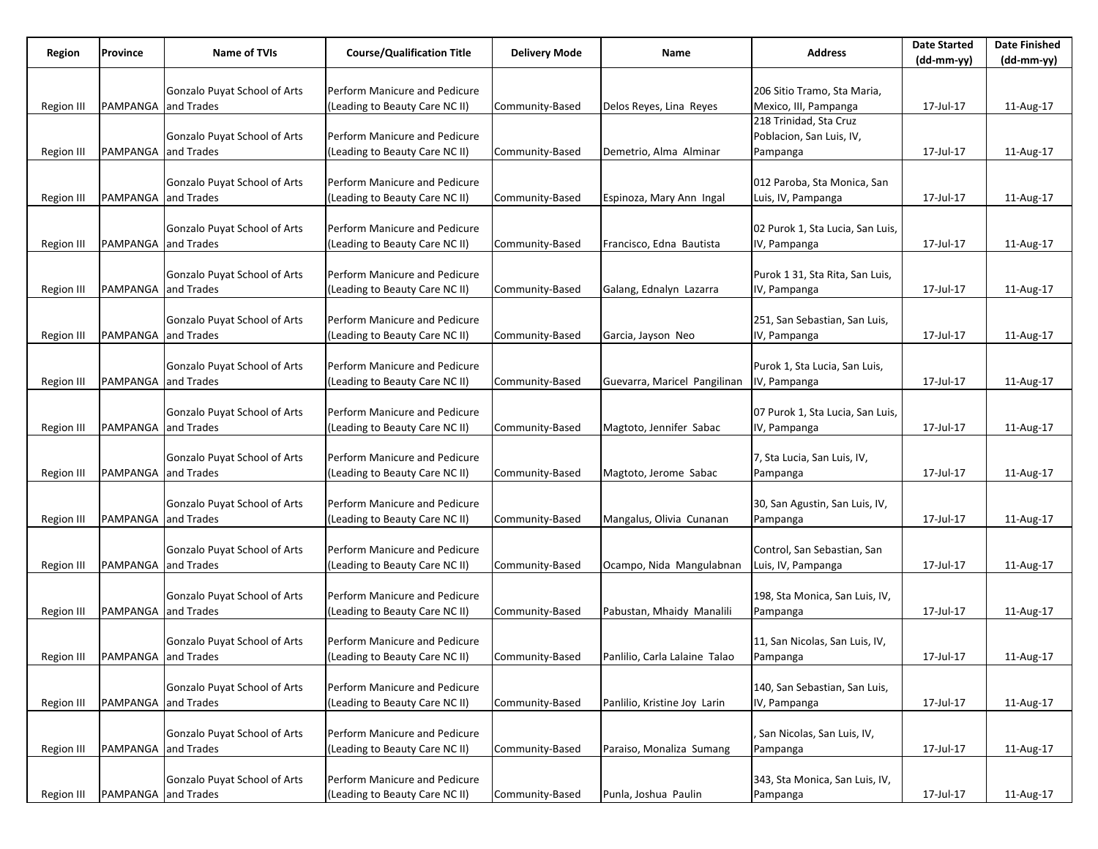| Region            | Province            | Name of TVIs                        | <b>Course/Qualification Title</b> | <b>Delivery Mode</b> | Name                          | <b>Address</b>                                   | <b>Date Started</b> | <b>Date Finished</b><br>(dd-mm-yy) |
|-------------------|---------------------|-------------------------------------|-----------------------------------|----------------------|-------------------------------|--------------------------------------------------|---------------------|------------------------------------|
|                   |                     |                                     |                                   |                      |                               |                                                  | (dd-mm-yy)          |                                    |
|                   |                     | Gonzalo Puyat School of Arts        | Perform Manicure and Pedicure     |                      |                               | 206 Sitio Tramo, Sta Maria,                      |                     |                                    |
| Region III        | PAMPANGA and Trades |                                     | (Leading to Beauty Care NC II)    | Community-Based      | Delos Reyes, Lina Reyes       | Mexico, III, Pampanga                            | 17-Jul-17           | 11-Aug-17                          |
|                   |                     |                                     |                                   |                      |                               | 218 Trinidad, Sta Cruz                           |                     |                                    |
|                   |                     | Gonzalo Puyat School of Arts        | Perform Manicure and Pedicure     |                      |                               | Poblacion, San Luis, IV,                         |                     |                                    |
| Region III        | PAMPANGA and Trades |                                     | (Leading to Beauty Care NC II)    | Community-Based      | Demetrio, Alma Alminar        | Pampanga                                         | 17-Jul-17           | 11-Aug-17                          |
|                   |                     |                                     |                                   |                      |                               |                                                  |                     |                                    |
|                   |                     | Gonzalo Puyat School of Arts        | Perform Manicure and Pedicure     |                      |                               | 012 Paroba, Sta Monica, San                      |                     |                                    |
| Region III        | PAMPANGA and Trades |                                     | (Leading to Beauty Care NC II)    | Community-Based      | Espinoza, Mary Ann Ingal      | Luis, IV, Pampanga                               | 17-Jul-17           | 11-Aug-17                          |
|                   |                     | <b>Gonzalo Puyat School of Arts</b> | Perform Manicure and Pedicure     |                      |                               |                                                  |                     |                                    |
| Region III        | PAMPANGA and Trades |                                     | (Leading to Beauty Care NC II)    | Community-Based      | Francisco, Edna Bautista      | 02 Purok 1, Sta Lucia, San Luis,<br>IV, Pampanga | 17-Jul-17           | 11-Aug-17                          |
|                   |                     |                                     |                                   |                      |                               |                                                  |                     |                                    |
|                   |                     | Gonzalo Puyat School of Arts        | Perform Manicure and Pedicure     |                      |                               | Purok 1 31, Sta Rita, San Luis,                  |                     |                                    |
| Region III        | PAMPANGA and Trades |                                     | (Leading to Beauty Care NC II)    | Community-Based      | Galang, Ednalyn Lazarra       | IV, Pampanga                                     | 17-Jul-17           | 11-Aug-17                          |
|                   |                     |                                     |                                   |                      |                               |                                                  |                     |                                    |
|                   |                     | Gonzalo Puyat School of Arts        | Perform Manicure and Pedicure     |                      |                               | 251, San Sebastian, San Luis,                    |                     |                                    |
| Region III        | PAMPANGA and Trades |                                     | (Leading to Beauty Care NC II)    | Community-Based      | Garcia, Jayson Neo            | IV, Pampanga                                     | 17-Jul-17           | 11-Aug-17                          |
|                   |                     |                                     |                                   |                      |                               |                                                  |                     |                                    |
|                   |                     | Gonzalo Puyat School of Arts        | Perform Manicure and Pedicure     |                      |                               | Purok 1, Sta Lucia, San Luis,                    |                     |                                    |
| Region III        | PAMPANGA and Trades |                                     | (Leading to Beauty Care NC II)    | Community-Based      | Guevarra, Maricel Pangilinan  | IV, Pampanga                                     | 17-Jul-17           | 11-Aug-17                          |
|                   |                     |                                     |                                   |                      |                               |                                                  |                     |                                    |
|                   |                     | Gonzalo Puyat School of Arts        | Perform Manicure and Pedicure     |                      |                               | 07 Purok 1, Sta Lucia, San Luis,                 |                     |                                    |
| Region III        | PAMPANGA and Trades |                                     | (Leading to Beauty Care NC II)    | Community-Based      | Magtoto, Jennifer Sabac       | IV, Pampanga                                     | 17-Jul-17           | 11-Aug-17                          |
|                   |                     | Gonzalo Puyat School of Arts        | Perform Manicure and Pedicure     |                      |                               | 7, Sta Lucia, San Luis, IV,                      |                     |                                    |
| Region III        | PAMPANGA and Trades |                                     | (Leading to Beauty Care NC II)    | Community-Based      | Magtoto, Jerome Sabac         | Pampanga                                         | 17-Jul-17           | 11-Aug-17                          |
|                   |                     |                                     |                                   |                      |                               |                                                  |                     |                                    |
|                   |                     | Gonzalo Puyat School of Arts        | Perform Manicure and Pedicure     |                      |                               | 30, San Agustin, San Luis, IV,                   |                     |                                    |
| Region III        | PAMPANGA and Trades |                                     | (Leading to Beauty Care NC II)    | Community-Based      | Mangalus, Olivia Cunanan      | Pampanga                                         | 17-Jul-17           | 11-Aug-17                          |
|                   |                     |                                     |                                   |                      |                               |                                                  |                     |                                    |
|                   |                     | Gonzalo Puyat School of Arts        | Perform Manicure and Pedicure     |                      |                               | Control, San Sebastian, San                      |                     |                                    |
| Region III        | PAMPANGA and Trades |                                     | (Leading to Beauty Care NC II)    | Community-Based      | Ocampo, Nida Mangulabnan      | Luis, IV, Pampanga                               | 17-Jul-17           | 11-Aug-17                          |
|                   |                     |                                     |                                   |                      |                               |                                                  |                     |                                    |
|                   |                     | Gonzalo Puyat School of Arts        | Perform Manicure and Pedicure     |                      |                               | 198, Sta Monica, San Luis, IV,                   |                     |                                    |
| <b>Region III</b> | PAMPANGA and Trades |                                     | (Leading to Beauty Care NC II)    | Community-Based      | Pabustan, Mhaidy Manalili     | Pampanga                                         | 17-Jul-17           | 11-Aug-17                          |
|                   |                     | Gonzalo Puyat School of Arts        | Perform Manicure and Pedicure     |                      |                               | 11, San Nicolas, San Luis, IV,                   |                     |                                    |
| Region III        | PAMPANGA and Trades |                                     | (Leading to Beauty Care NC II)    | Community-Based      | Panlilio, Carla Lalaine Talao | Pampanga                                         | 17-Jul-17           | $11-Aug-17$                        |
|                   |                     |                                     |                                   |                      |                               |                                                  |                     |                                    |
|                   |                     | Gonzalo Puyat School of Arts        | Perform Manicure and Pedicure     |                      |                               | 140, San Sebastian, San Luis,                    |                     |                                    |
| <b>Region III</b> | PAMPANGA and Trades |                                     | (Leading to Beauty Care NC II)    | Community-Based      | Panlilio, Kristine Joy Larin  | IV, Pampanga                                     | 17-Jul-17           | 11-Aug-17                          |
|                   |                     |                                     |                                   |                      |                               |                                                  |                     |                                    |
|                   |                     | Gonzalo Puyat School of Arts        | Perform Manicure and Pedicure     |                      |                               | San Nicolas, San Luis, IV,                       |                     |                                    |
| <b>Region III</b> | PAMPANGA and Trades |                                     | (Leading to Beauty Care NC II)    | Community-Based      | Paraiso, Monaliza Sumang      | Pampanga                                         | 17-Jul-17           | 11-Aug-17                          |
|                   |                     |                                     |                                   |                      |                               |                                                  |                     |                                    |
|                   |                     | Gonzalo Puyat School of Arts        | Perform Manicure and Pedicure     |                      |                               | 343, Sta Monica, San Luis, IV,                   |                     |                                    |
| <b>Region III</b> | PAMPANGA and Trades |                                     | (Leading to Beauty Care NC II)    | Community-Based      | Punla, Joshua Paulin          | Pampanga                                         | 17-Jul-17           | 11-Aug-17                          |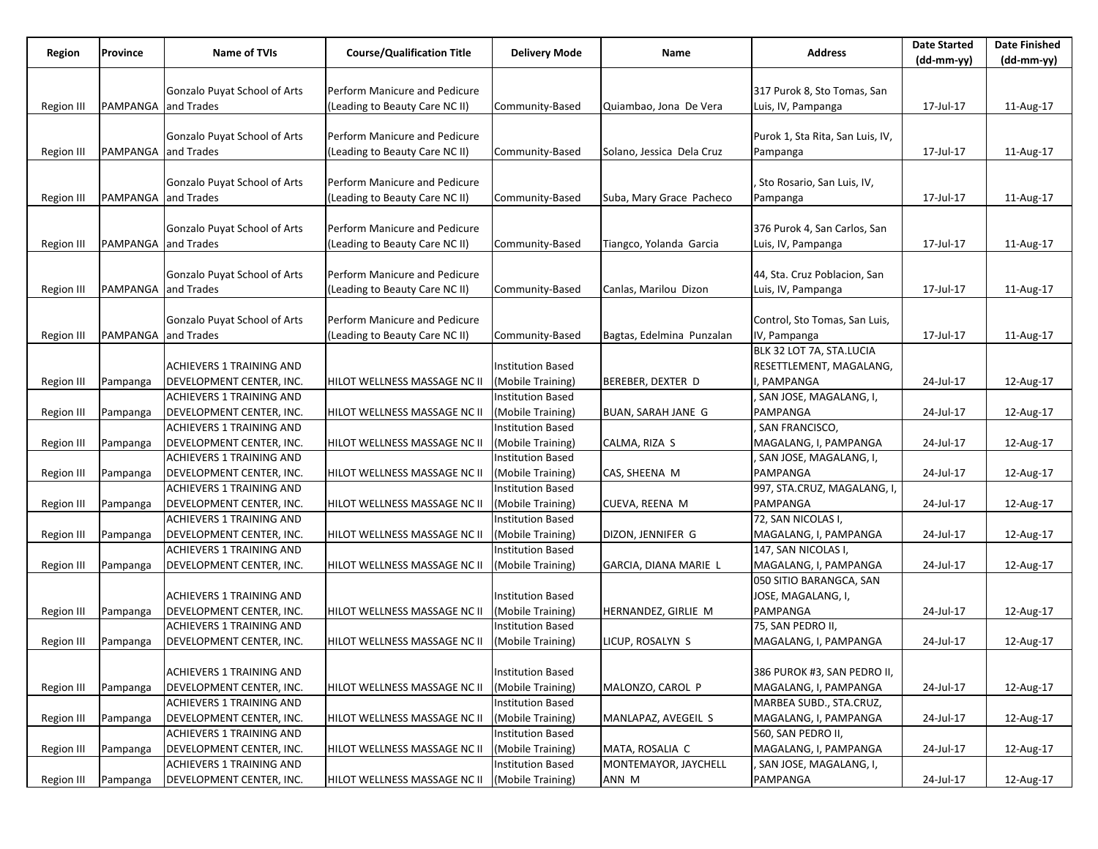| Region            | Province            | <b>Name of TVIs</b>             | <b>Course/Qualification Title</b> | <b>Delivery Mode</b>     | Name                      | <b>Address</b>                   | <b>Date Started</b> | <b>Date Finished</b> |
|-------------------|---------------------|---------------------------------|-----------------------------------|--------------------------|---------------------------|----------------------------------|---------------------|----------------------|
|                   |                     |                                 |                                   |                          |                           |                                  | $(dd-mm-yy)$        | (dd-mm-yy)           |
|                   |                     |                                 |                                   |                          |                           |                                  |                     |                      |
|                   |                     | Gonzalo Puyat School of Arts    | Perform Manicure and Pedicure     |                          |                           | 317 Purok 8, Sto Tomas, San      |                     |                      |
| Region III        | PAMPANGA            | and Trades                      | (Leading to Beauty Care NC II)    | Community-Based          | Quiambao, Jona De Vera    | Luis, IV, Pampanga               | 17-Jul-17           | 11-Aug-17            |
|                   |                     |                                 |                                   |                          |                           |                                  |                     |                      |
|                   |                     | Gonzalo Puyat School of Arts    | Perform Manicure and Pedicure     |                          |                           | Purok 1, Sta Rita, San Luis, IV, |                     |                      |
| Region III        | PAMPANGA and Trades |                                 | (Leading to Beauty Care NC II)    | Community-Based          | Solano, Jessica Dela Cruz | Pampanga                         | 17-Jul-17           | 11-Aug-17            |
|                   |                     |                                 |                                   |                          |                           |                                  |                     |                      |
|                   |                     | Gonzalo Puyat School of Arts    | Perform Manicure and Pedicure     |                          |                           | , Sto Rosario, San Luis, IV,     |                     |                      |
| Region III        | PAMPANGA and Trades |                                 | (Leading to Beauty Care NC II)    | Community-Based          | Suba, Mary Grace Pacheco  | Pampanga                         | 17-Jul-17           | 11-Aug-17            |
|                   |                     |                                 |                                   |                          |                           |                                  |                     |                      |
|                   |                     | Gonzalo Puyat School of Arts    | Perform Manicure and Pedicure     |                          |                           | 376 Purok 4, San Carlos, San     |                     |                      |
| Region III        | PAMPANGA and Trades |                                 | (Leading to Beauty Care NC II)    | Community-Based          | Tiangco, Yolanda Garcia   | Luis, IV, Pampanga               | 17-Jul-17           | 11-Aug-17            |
|                   |                     |                                 |                                   |                          |                           |                                  |                     |                      |
|                   |                     | Gonzalo Puyat School of Arts    | Perform Manicure and Pedicure     |                          |                           | 44, Sta. Cruz Poblacion, San     |                     |                      |
| Region III        | PAMPANGA and Trades |                                 | (Leading to Beauty Care NC II)    | Community-Based          | Canlas, Marilou Dizon     | Luis, IV, Pampanga               | 17-Jul-17           | 11-Aug-17            |
|                   |                     |                                 |                                   |                          |                           |                                  |                     |                      |
|                   |                     | Gonzalo Puyat School of Arts    | Perform Manicure and Pedicure     |                          |                           | Control, Sto Tomas, San Luis,    |                     |                      |
| Region III        | PAMPANGA            | and Trades                      | (Leading to Beauty Care NC II)    | Community-Based          | Bagtas, Edelmina Punzalan | IV, Pampanga                     | 17-Jul-17           | 11-Aug-17            |
|                   |                     |                                 |                                   |                          |                           | BLK 32 LOT 7A, STA.LUCIA         |                     |                      |
|                   |                     | <b>ACHIEVERS 1 TRAINING AND</b> |                                   | <b>Institution Based</b> |                           | RESETTLEMENT, MAGALANG,          |                     |                      |
| Region III        | Pampanga            | DEVELOPMENT CENTER, INC.        | HILOT WELLNESS MASSAGE NC II      | (Mobile Training)        | BEREBER, DEXTER D         | , PAMPANGA                       | 24-Jul-17           | 12-Aug-17            |
|                   |                     | <b>ACHIEVERS 1 TRAINING AND</b> |                                   | <b>Institution Based</b> |                           | SAN JOSE, MAGALANG, I,           |                     |                      |
| <b>Region III</b> | Pampanga            | DEVELOPMENT CENTER, INC.        | HILOT WELLNESS MASSAGE NC II      | (Mobile Training)        | BUAN, SARAH JANE G        | PAMPANGA                         | 24-Jul-17           | 12-Aug-17            |
|                   |                     | <b>ACHIEVERS 1 TRAINING AND</b> |                                   | Institution Based        |                           | SAN FRANCISCO,                   |                     |                      |
| <b>Region III</b> | Pampanga            | DEVELOPMENT CENTER, INC.        | HILOT WELLNESS MASSAGE NC II      | (Mobile Training)        | CALMA, RIZA S             | MAGALANG, I, PAMPANGA            | 24-Jul-17           | 12-Aug-17            |
|                   |                     | <b>ACHIEVERS 1 TRAINING AND</b> |                                   | <b>Institution Based</b> |                           | , SAN JOSE, MAGALANG, I,         |                     |                      |
| Region III        | Pampanga            | DEVELOPMENT CENTER, INC.        | HILOT WELLNESS MASSAGE NC II      | (Mobile Training)        | CAS, SHEENA M             | PAMPANGA                         | 24-Jul-17           | 12-Aug-17            |
|                   |                     | <b>ACHIEVERS 1 TRAINING AND</b> |                                   | <b>Institution Based</b> |                           | 997, STA.CRUZ, MAGALANG, I,      |                     |                      |
| <b>Region III</b> | Pampanga            | DEVELOPMENT CENTER, INC.        | HILOT WELLNESS MASSAGE NC II      | (Mobile Training)        | CUEVA, REENA M            | PAMPANGA                         | 24-Jul-17           | 12-Aug-17            |
|                   |                     | ACHIEVERS 1 TRAINING AND        |                                   | <b>Institution Based</b> |                           | 72, SAN NICOLAS I,               |                     |                      |
| <b>Region III</b> | Pampanga            | DEVELOPMENT CENTER, INC.        | HILOT WELLNESS MASSAGE NC II      | (Mobile Training)        | DIZON, JENNIFER G         | MAGALANG, I, PAMPANGA            | 24-Jul-17           | 12-Aug-17            |
|                   |                     | <b>ACHIEVERS 1 TRAINING AND</b> |                                   | <b>Institution Based</b> |                           | 147, SAN NICOLAS I,              |                     |                      |
| Region III        | Pampanga            | DEVELOPMENT CENTER, INC.        | HILOT WELLNESS MASSAGE NC II      | (Mobile Training)        | GARCIA, DIANA MARIE L     | MAGALANG, I, PAMPANGA            | 24-Jul-17           | 12-Aug-17            |
|                   |                     |                                 |                                   |                          |                           | 050 SITIO BARANGCA, SAN          |                     |                      |
|                   |                     | <b>ACHIEVERS 1 TRAINING AND</b> |                                   | <b>Institution Based</b> |                           | JOSE, MAGALANG, I,               |                     |                      |
| Region III        | Pampanga            | DEVELOPMENT CENTER, INC.        | HILOT WELLNESS MASSAGE NC II      | (Mobile Training)        | HERNANDEZ, GIRLIE M       | PAMPANGA                         | 24-Jul-17           | 12-Aug-17            |
|                   |                     | <b>ACHIEVERS 1 TRAINING AND</b> |                                   | <b>Institution Based</b> |                           | 75, SAN PEDRO II,                |                     |                      |
| Region III        | Pampanga            | DEVELOPMENT CENTER, INC.        | HILOT WELLNESS MASSAGE NC II      | (Mobile Training)        | LICUP, ROSALYN S          | MAGALANG, I, PAMPANGA            | 24-Jul-17           | 12-Aug-17            |
|                   |                     |                                 |                                   |                          |                           |                                  |                     |                      |
|                   |                     | <b>ACHIEVERS 1 TRAINING AND</b> |                                   | Institution Based        |                           | 386 PUROK #3, SAN PEDRO II,      |                     |                      |
| Region III        | Pampanga            | DEVELOPMENT CENTER, INC.        | HILOT WELLNESS MASSAGE NC II      | (Mobile Training)        | MALONZO, CAROL P          | MAGALANG, I, PAMPANGA            | 24-Jul-17           | 12-Aug-17            |
|                   |                     | ACHIEVERS 1 TRAINING AND        |                                   | <b>Institution Based</b> |                           | MARBEA SUBD., STA.CRUZ,          |                     |                      |
| Region III        | Pampanga            | DEVELOPMENT CENTER, INC.        | HILOT WELLNESS MASSAGE NC II      | (Mobile Training)        | MANLAPAZ, AVEGEIL S       | MAGALANG, I, PAMPANGA            | 24-Jul-17           | 12-Aug-17            |
|                   |                     | ACHIEVERS 1 TRAINING AND        |                                   | <b>Institution Based</b> |                           | 560, SAN PEDRO II,               |                     |                      |
| Region III        | Pampanga            | DEVELOPMENT CENTER, INC.        | HILOT WELLNESS MASSAGE NC II      | (Mobile Training)        | MATA, ROSALIA C           | MAGALANG, I, PAMPANGA            | 24-Jul-17           | 12-Aug-17            |
|                   |                     | <b>ACHIEVERS 1 TRAINING AND</b> |                                   | Institution Based        | MONTEMAYOR, JAYCHELL      | SAN JOSE, MAGALANG, I,           |                     |                      |
| Region III        | Pampanga            | DEVELOPMENT CENTER, INC.        | HILOT WELLNESS MASSAGE NC II      | (Mobile Training)        | ANN M                     | PAMPANGA                         | 24-Jul-17           | 12-Aug-17            |
|                   |                     |                                 |                                   |                          |                           |                                  |                     |                      |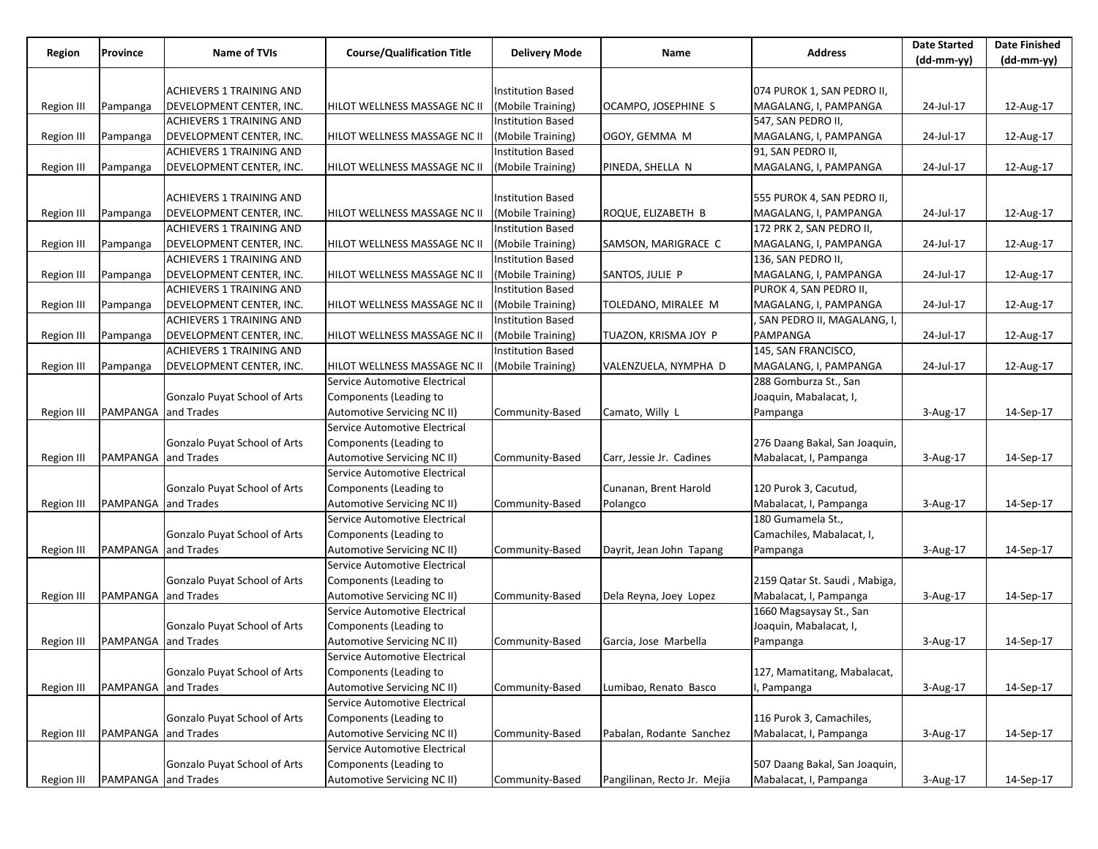| Region            | Province                   | Name of TVIs                                                | <b>Course/Qualification Title</b> | <b>Delivery Mode</b>                          | Name                        | <b>Address</b>                  | <b>Date Started</b> | <b>Date Finished</b> |
|-------------------|----------------------------|-------------------------------------------------------------|-----------------------------------|-----------------------------------------------|-----------------------------|---------------------------------|---------------------|----------------------|
|                   |                            |                                                             |                                   |                                               |                             |                                 | $(dd-mm-yy)$        | $(dd-mm-yy)$         |
|                   |                            |                                                             |                                   |                                               |                             |                                 |                     |                      |
|                   |                            | ACHIEVERS 1 TRAINING AND                                    |                                   | <b>Institution Based</b>                      |                             | 074 PUROK 1, SAN PEDRO II,      |                     |                      |
| <b>Region III</b> | Pampanga                   | DEVELOPMENT CENTER, INC.                                    | HILOT WELLNESS MASSAGE NC II      | (Mobile Training)                             | OCAMPO, JOSEPHINE S         | MAGALANG, I, PAMPANGA           | 24-Jul-17           | 12-Aug-17            |
|                   |                            | ACHIEVERS 1 TRAINING AND                                    |                                   | <b>Institution Based</b>                      |                             | 547, SAN PEDRO II,              |                     |                      |
| Region III        | Pampanga                   | DEVELOPMENT CENTER, INC.                                    | HILOT WELLNESS MASSAGE NC II      | (Mobile Training)                             | OGOY, GEMMA M               | MAGALANG, I, PAMPANGA           | 24-Jul-17           | 12-Aug-17            |
|                   |                            | ACHIEVERS 1 TRAINING AND                                    |                                   | <b>Institution Based</b>                      |                             | 91, SAN PEDRO II,               |                     |                      |
| Region III        | Pampanga                   | DEVELOPMENT CENTER, INC.                                    | HILOT WELLNESS MASSAGE NC II      | (Mobile Training)                             | PINEDA, SHELLA N            | MAGALANG, I, PAMPANGA           | 24-Jul-17           | 12-Aug-17            |
|                   |                            |                                                             |                                   |                                               |                             |                                 |                     |                      |
|                   |                            | <b>ACHIEVERS 1 TRAINING AND</b>                             |                                   | <b>Institution Based</b>                      |                             | 555 PUROK 4, SAN PEDRO II,      |                     |                      |
| Region III        | Pampanga                   | DEVELOPMENT CENTER, INC.                                    | HILOT WELLNESS MASSAGE NC II      | (Mobile Training)                             | ROQUE, ELIZABETH B          | MAGALANG, I, PAMPANGA           | 24-Jul-17           | 12-Aug-17            |
|                   |                            | <b>ACHIEVERS 1 TRAINING AND</b>                             |                                   | <b>Institution Based</b>                      |                             | 172 PRK 2, SAN PEDRO II,        |                     |                      |
| Region III        | Pampanga                   | DEVELOPMENT CENTER, INC.                                    | HILOT WELLNESS MASSAGE NC II      | (Mobile Training)                             | SAMSON, MARIGRACE C         | MAGALANG, I, PAMPANGA           | 24-Jul-17           | 12-Aug-17            |
|                   |                            | <b>ACHIEVERS 1 TRAINING AND</b>                             |                                   | <b>Institution Based</b>                      |                             | 136, SAN PEDRO II,              |                     |                      |
| Region III        | Pampanga                   | DEVELOPMENT CENTER, INC.                                    | HILOT WELLNESS MASSAGE NC II      | (Mobile Training)                             | SANTOS, JULIE P             | MAGALANG, I, PAMPANGA           | 24-Jul-17           | 12-Aug-17            |
|                   |                            | <b>ACHIEVERS 1 TRAINING AND</b>                             |                                   | <b>Institution Based</b>                      |                             | PUROK 4, SAN PEDRO II,          |                     |                      |
| Region III        | Pampanga                   | DEVELOPMENT CENTER, INC.                                    | HILOT WELLNESS MASSAGE NC II      | (Mobile Training)                             | TOLEDANO, MIRALEE M         | MAGALANG, I, PAMPANGA           | 24-Jul-17           | 12-Aug-17            |
|                   |                            | ACHIEVERS 1 TRAINING AND                                    |                                   | <b>Institution Based</b>                      |                             | , SAN PEDRO II, MAGALANG, I,    |                     |                      |
| Region III        | Pampanga                   | DEVELOPMENT CENTER, INC.<br><b>ACHIEVERS 1 TRAINING AND</b> | HILOT WELLNESS MASSAGE NC II      | (Mobile Training)<br><b>Institution Based</b> | TUAZON, KRISMA JOY P        | PAMPANGA<br>145, SAN FRANCISCO, | 24-Jul-17           | 12-Aug-17            |
|                   |                            | DEVELOPMENT CENTER, INC.                                    | HILOT WELLNESS MASSAGE NC II      | (Mobile Training)                             | VALENZUELA, NYMPHA D        | MAGALANG, I, PAMPANGA           | 24-Jul-17           | 12-Aug-17            |
| <b>Region III</b> | Pampanga                   |                                                             | Service Automotive Electrical     |                                               |                             | 288 Gomburza St., San           |                     |                      |
|                   |                            | Gonzalo Puyat School of Arts                                | Components (Leading to            |                                               |                             | Joaquin, Mabalacat, I,          |                     |                      |
| Region III        | PAMPANGA and Trades        |                                                             | Automotive Servicing NC II)       | Community-Based                               | Camato, Willy L             | Pampanga                        | 3-Aug-17            | 14-Sep-17            |
|                   |                            |                                                             | Service Automotive Electrical     |                                               |                             |                                 |                     |                      |
|                   |                            | Gonzalo Puyat School of Arts                                | Components (Leading to            |                                               |                             | 276 Daang Bakal, San Joaquin,   |                     |                      |
| Region III        | PAMPANGA and Trades        |                                                             | Automotive Servicing NC II)       | Community-Based                               | Carr, Jessie Jr. Cadines    | Mabalacat, I, Pampanga          | 3-Aug-17            | 14-Sep-17            |
|                   |                            |                                                             | Service Automotive Electrical     |                                               |                             |                                 |                     |                      |
|                   |                            | Gonzalo Puyat School of Arts                                | Components (Leading to            |                                               | Cunanan, Brent Harold       | 120 Purok 3, Cacutud,           |                     |                      |
| Region III        | <b>PAMPANGA</b> and Trades |                                                             | Automotive Servicing NC II)       | Community-Based                               | Polangco                    | Mabalacat, I, Pampanga          | 3-Aug-17            | 14-Sep-17            |
|                   |                            |                                                             | Service Automotive Electrical     |                                               |                             | 180 Gumamela St.,               |                     |                      |
|                   |                            | Gonzalo Puyat School of Arts                                | Components (Leading to            |                                               |                             | Camachiles, Mabalacat, I,       |                     |                      |
| Region III        | PAMPANGA and Trades        |                                                             | Automotive Servicing NC II)       | Community-Based                               | Dayrit, Jean John Tapang    | Pampanga                        | 3-Aug-17            | 14-Sep-17            |
|                   |                            |                                                             | Service Automotive Electrical     |                                               |                             |                                 |                     |                      |
|                   |                            | Gonzalo Puyat School of Arts                                | Components (Leading to            |                                               |                             | 2159 Qatar St. Saudi, Mabiga,   |                     |                      |
| Region III        | PAMPANGA and Trades        |                                                             | Automotive Servicing NC II)       | Community-Based                               | Dela Reyna, Joey Lopez      | Mabalacat, I, Pampanga          | 3-Aug-17            | 14-Sep-17            |
|                   |                            |                                                             | Service Automotive Electrical     |                                               |                             | 1660 Magsaysay St., San         |                     |                      |
|                   |                            | Gonzalo Puyat School of Arts                                | Components (Leading to            |                                               |                             | Joaquin, Mabalacat, I,          |                     |                      |
| Region III        | PAMPANGA and Trades        |                                                             | Automotive Servicing NC II)       | Community-Based                               | Garcia, Jose Marbella       | Pampanga                        | 3-Aug-17            | 14-Sep-17            |
|                   |                            |                                                             | Service Automotive Electrical     |                                               |                             |                                 |                     |                      |
|                   |                            | Gonzalo Puyat School of Arts                                | Components (Leading to            |                                               |                             | 127, Mamatitang, Mabalacat,     |                     |                      |
| <b>Region III</b> | PAMPANGA and Trades        |                                                             | Automotive Servicing NC II)       | Community-Based                               | Lumibao, Renato Basco       | I, Pampanga                     | 3-Aug-17            | 14-Sep-17            |
|                   |                            |                                                             | Service Automotive Electrical     |                                               |                             |                                 |                     |                      |
|                   |                            | Gonzalo Puyat School of Arts                                | Components (Leading to            |                                               |                             | 116 Purok 3, Camachiles,        |                     |                      |
| Region III        | PAMPANGA and Trades        |                                                             | Automotive Servicing NC II)       | Community-Based                               | Pabalan, Rodante Sanchez    | Mabalacat, I, Pampanga          | 3-Aug-17            | 14-Sep-17            |
|                   |                            |                                                             | Service Automotive Electrical     |                                               |                             |                                 |                     |                      |
|                   |                            | Gonzalo Puyat School of Arts                                | Components (Leading to            |                                               |                             | 507 Daang Bakal, San Joaquin,   |                     |                      |
| Region III        | PAMPANGA and Trades        |                                                             | Automotive Servicing NC II)       | Community-Based                               | Pangilinan, Recto Jr. Mejia | Mabalacat, I, Pampanga          | 3-Aug-17            | 14-Sep-17            |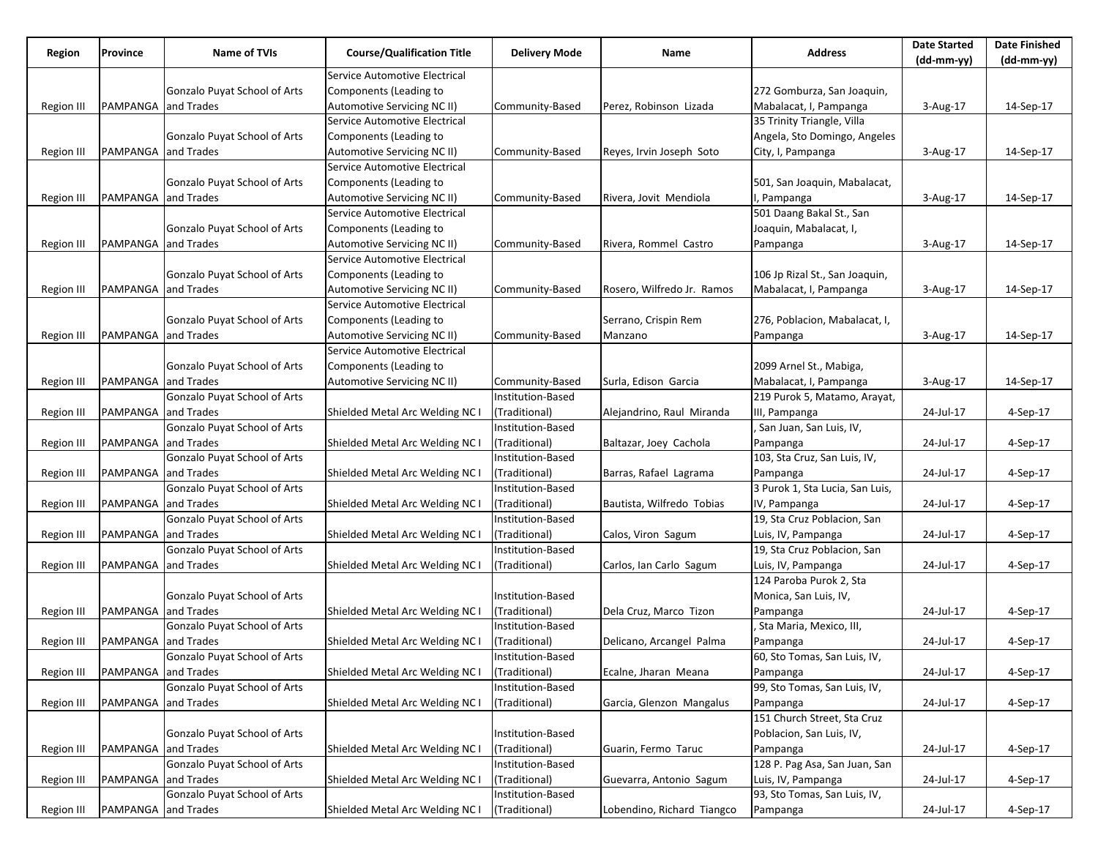|                   | Province            | <b>Name of TVIs</b>                 | <b>Course/Qualification Title</b> |                      | Name                       | <b>Address</b>                           | <b>Date Started</b> | <b>Date Finished</b> |
|-------------------|---------------------|-------------------------------------|-----------------------------------|----------------------|----------------------------|------------------------------------------|---------------------|----------------------|
| Region            |                     |                                     |                                   | <b>Delivery Mode</b> |                            |                                          | (dd-mm-yy)          | (dd-mm-yy)           |
|                   |                     |                                     | Service Automotive Electrical     |                      |                            |                                          |                     |                      |
|                   |                     | Gonzalo Puyat School of Arts        | Components (Leading to            |                      |                            | 272 Gomburza, San Joaquin,               |                     |                      |
| Region III        | PAMPANGA            | and Trades                          | Automotive Servicing NC II)       | Community-Based      | Perez, Robinson Lizada     | Mabalacat, I, Pampanga                   | 3-Aug-17            | 14-Sep-17            |
|                   |                     |                                     | Service Automotive Electrical     |                      |                            | 35 Trinity Triangle, Villa               |                     |                      |
|                   |                     | Gonzalo Puyat School of Arts        | Components (Leading to            |                      |                            | Angela, Sto Domingo, Angeles             |                     |                      |
| Region III        | PAMPANGA and Trades |                                     | Automotive Servicing NC II)       | Community-Based      | Reyes, Irvin Joseph Soto   | City, I, Pampanga                        | 3-Aug-17            | 14-Sep-17            |
|                   |                     |                                     | Service Automotive Electrical     |                      |                            |                                          |                     |                      |
|                   |                     | Gonzalo Puyat School of Arts        | Components (Leading to            |                      |                            | 501, San Joaquin, Mabalacat,             |                     |                      |
| Region III        | PAMPANGA and Trades |                                     | Automotive Servicing NC II)       | Community-Based      | Rivera, Jovit Mendiola     | I, Pampanga                              | 3-Aug-17            | 14-Sep-17            |
|                   |                     |                                     | Service Automotive Electrical     |                      |                            | 501 Daang Bakal St., San                 |                     |                      |
|                   |                     | <b>Gonzalo Puyat School of Arts</b> | Components (Leading to            |                      |                            | Joaquin, Mabalacat, I,                   |                     |                      |
| <b>Region III</b> | PAMPANGA and Trades |                                     | Automotive Servicing NC II)       | Community-Based      | Rivera, Rommel Castro      | Pampanga                                 | 3-Aug-17            | 14-Sep-17            |
|                   |                     |                                     | Service Automotive Electrical     |                      |                            |                                          |                     |                      |
|                   |                     | Gonzalo Puyat School of Arts        | Components (Leading to            |                      |                            | 106 Jp Rizal St., San Joaquin,           |                     |                      |
| Region III        | PAMPANGA and Trades |                                     | Automotive Servicing NC II)       | Community-Based      | Rosero, Wilfredo Jr. Ramos | Mabalacat, I, Pampanga                   | 3-Aug-17            | 14-Sep-17            |
|                   |                     |                                     | Service Automotive Electrical     |                      |                            |                                          |                     |                      |
|                   |                     | <b>Gonzalo Puyat School of Arts</b> | Components (Leading to            |                      | Serrano, Crispin Rem       | 276, Poblacion, Mabalacat, I,            |                     |                      |
| Region III        | PAMPANGA and Trades |                                     | Automotive Servicing NC II)       | Community-Based      | Manzano                    | Pampanga                                 | 3-Aug-17            | 14-Sep-17            |
|                   |                     |                                     | Service Automotive Electrical     |                      |                            |                                          |                     |                      |
|                   |                     | Gonzalo Puyat School of Arts        | Components (Leading to            |                      |                            | 2099 Arnel St., Mabiga,                  |                     |                      |
| Region III        | PAMPANGA and Trades |                                     | Automotive Servicing NC II)       | Community-Based      | Surla, Edison Garcia       | Mabalacat, I, Pampanga                   | 3-Aug-17            | 14-Sep-17            |
|                   |                     | Gonzalo Puyat School of Arts        |                                   | Institution-Based    |                            | 219 Purok 5, Matamo, Arayat,             |                     |                      |
| <b>Region III</b> | PAMPANGA and Trades |                                     | Shielded Metal Arc Welding NC I   | (Traditional)        | Alejandrino, Raul Miranda  | III, Pampanga                            | 24-Jul-17           | 4-Sep-17             |
|                   |                     | Gonzalo Puyat School of Arts        |                                   | Institution-Based    |                            | San Juan, San Luis, IV,                  |                     |                      |
|                   | PAMPANGA            | and Trades                          | Shielded Metal Arc Welding NC I   | (Traditional)        | Baltazar, Joey Cachola     |                                          | 24-Jul-17           | 4-Sep-17             |
| Region III        |                     | Gonzalo Puyat School of Arts        |                                   | Institution-Based    |                            | Pampanga<br>103, Sta Cruz, San Luis, IV, |                     |                      |
|                   |                     |                                     |                                   |                      |                            |                                          |                     |                      |
| Region III        | PAMPANGA and Trades |                                     | Shielded Metal Arc Welding NC I   | (Traditional)        | Barras, Rafael Lagrama     | Pampanga                                 | 24-Jul-17           | 4-Sep-17             |
|                   |                     | Gonzalo Puyat School of Arts        |                                   | Institution-Based    |                            | 3 Purok 1, Sta Lucia, San Luis,          |                     |                      |
| <b>Region III</b> | PAMPANGA            | and Trades                          | Shielded Metal Arc Welding NC I   | (Traditional)        | Bautista, Wilfredo Tobias  | IV, Pampanga                             | 24-Jul-17           | 4-Sep-17             |
|                   |                     | Gonzalo Puyat School of Arts        |                                   | Institution-Based    |                            | 19, Sta Cruz Poblacion, San              |                     |                      |
| <b>Region III</b> | PAMPANGA and Trades |                                     | Shielded Metal Arc Welding NC I   | (Traditional)        | Calos, Viron Sagum         | Luis, IV, Pampanga                       | 24-Jul-17           | 4-Sep-17             |
|                   |                     | Gonzalo Puyat School of Arts        |                                   | Institution-Based    |                            | 19, Sta Cruz Poblacion, San              |                     |                      |
| Region III        | PAMPANGA            | and Trades                          | Shielded Metal Arc Welding NC I   | (Traditional)        | Carlos, Ian Carlo Sagum    | Luis, IV, Pampanga                       | 24-Jul-17           | 4-Sep-17             |
|                   |                     |                                     |                                   |                      |                            | 124 Paroba Purok 2, Sta                  |                     |                      |
|                   |                     | Gonzalo Puyat School of Arts        |                                   | Institution-Based    |                            | Monica, San Luis, IV,                    |                     |                      |
| <b>Region III</b> | PAMPANGA and Trades |                                     | Shielded Metal Arc Welding NC I   | (Traditional)        | Dela Cruz, Marco Tizon     | Pampanga                                 | 24-Jul-17           | 4-Sep-17             |
|                   |                     | Gonzalo Puyat School of Arts        |                                   | Institution-Based    |                            | , Sta Maria, Mexico, III,                |                     |                      |
| Region III        | PAMPANGA and Trades |                                     | Shielded Metal Arc Welding NC I   | (Traditional)        | Delicano, Arcangel Palma   | Pampanga                                 | 24-Jul-17           | 4-Sep-17             |
|                   |                     | Gonzalo Puyat School of Arts        |                                   | Institution-Based    |                            | 60, Sto Tomas, San Luis, IV,             |                     |                      |
| Region III        | PAMPANGA and Trades |                                     | Shielded Metal Arc Welding NC I   | (Traditional)        | Ecalne, Jharan Meana       | Pampanga                                 | 24-Jul-17           | 4-Sep-17             |
|                   |                     | Gonzalo Puyat School of Arts        |                                   | Institution-Based    |                            | 99, Sto Tomas, San Luis, IV,             |                     |                      |
| Region III        | PAMPANGA            | and Trades                          | Shielded Metal Arc Welding NC I   | (Traditional)        | Garcia, Glenzon Mangalus   | Pampanga                                 | 24-Jul-17           | 4-Sep-17             |
|                   |                     |                                     |                                   |                      |                            | 151 Church Street, Sta Cruz              |                     |                      |
|                   |                     | Gonzalo Puyat School of Arts        |                                   | Institution-Based    |                            | Poblacion, San Luis, IV,                 |                     |                      |
| Region III        | PAMPANGA and Trades |                                     | Shielded Metal Arc Welding NC I   | (Traditional)        | Guarin, Fermo Taruc        | Pampanga                                 | 24-Jul-17           | 4-Sep-17             |
|                   |                     | Gonzalo Puyat School of Arts        |                                   | Institution-Based    |                            | 128 P. Pag Asa, San Juan, San            |                     |                      |
| Region III        | PAMPANGA            | and Trades                          | Shielded Metal Arc Welding NC I   | (Traditional)        | Guevarra, Antonio Sagum    | Luis, IV, Pampanga                       | 24-Jul-17           | 4-Sep-17             |
|                   |                     | Gonzalo Puyat School of Arts        |                                   | Institution-Based    |                            | 93, Sto Tomas, San Luis, IV,             |                     |                      |
| Region III        | PAMPANGA and Trades |                                     | Shielded Metal Arc Welding NC I   | (Traditional)        | Lobendino, Richard Tiangco | Pampanga                                 | 24-Jul-17           | 4-Sep-17             |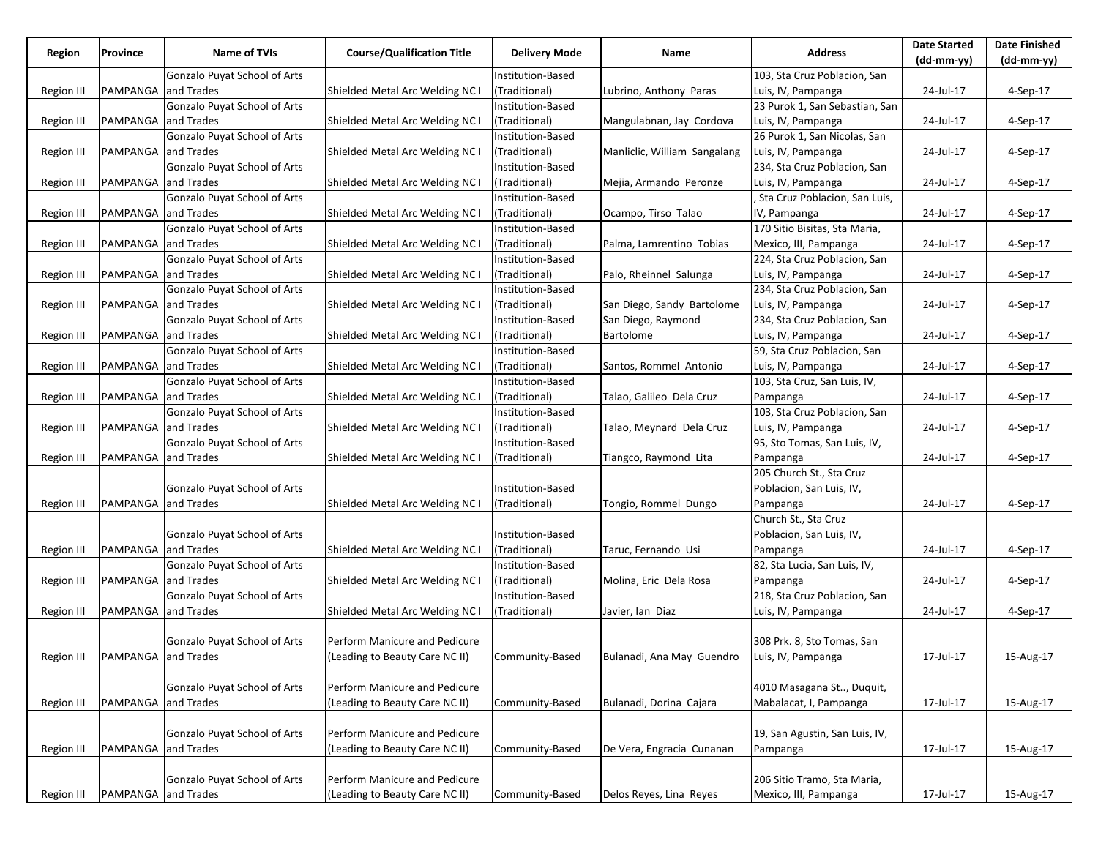| Region            | Province                           | Name of TVIs                 | <b>Course/Qualification Title</b> | <b>Delivery Mode</b>     | Name                         | <b>Address</b>                 | <b>Date Started</b><br>(dd-mm-yy) | <b>Date Finished</b><br>(dd-mm-yy) |
|-------------------|------------------------------------|------------------------------|-----------------------------------|--------------------------|------------------------------|--------------------------------|-----------------------------------|------------------------------------|
|                   |                                    | Gonzalo Puyat School of Arts |                                   | Institution-Based        |                              | 103, Sta Cruz Poblacion, San   |                                   |                                    |
| Region III        | PAMPANGA                           | and Trades                   | Shielded Metal Arc Welding NC I   | (Traditional)            | Lubrino, Anthony Paras       | Luis, IV, Pampanga             | 24-Jul-17                         | 4-Sep-17                           |
|                   |                                    | Gonzalo Puyat School of Arts |                                   | Institution-Based        |                              | 23 Purok 1, San Sebastian, San |                                   |                                    |
| Region III        | PAMPANGA                           | and Trades                   | Shielded Metal Arc Welding NC I   | (Traditional)            | Mangulabnan, Jay Cordova     | Luis, IV, Pampanga             | 24-Jul-17                         | 4-Sep-17                           |
|                   |                                    | Gonzalo Puyat School of Arts |                                   | Institution-Based        |                              | 26 Purok 1, San Nicolas, San   |                                   |                                    |
| Region III        | PAMPANGA                           | and Trades                   | Shielded Metal Arc Welding NC I   | (Traditional)            | Manliclic, William Sangalang | Luis, IV, Pampanga             | 24-Jul-17                         | 4-Sep-17                           |
|                   |                                    | Gonzalo Puyat School of Arts |                                   | Institution-Based        |                              | 234, Sta Cruz Poblacion, San   |                                   |                                    |
| <b>Region III</b> | PAMPANGA                           | and Trades                   | Shielded Metal Arc Welding NC I   | (Traditional)            | Mejia, Armando Peronze       | Luis, IV, Pampanga             | 24-Jul-17                         | 4-Sep-17                           |
|                   |                                    | Gonzalo Puyat School of Arts |                                   | Institution-Based        |                              | Sta Cruz Poblacion, San Luis,  |                                   |                                    |
| Region III        | PAMPANGA                           | and Trades                   | Shielded Metal Arc Welding NC I   | (Traditional)            | Ocampo, Tirso Talao          | IV, Pampanga                   | 24-Jul-17                         | 4-Sep-17                           |
|                   |                                    | Gonzalo Puyat School of Arts |                                   | Institution-Based        |                              | 170 Sitio Bisitas, Sta Maria,  |                                   |                                    |
| Region III        | PAMPANGA and Trades                |                              | Shielded Metal Arc Welding NC I   | (Traditional)            | Palma, Lamrentino Tobias     | Mexico, III, Pampanga          | 24-Jul-17                         | 4-Sep-17                           |
|                   |                                    | Gonzalo Puyat School of Arts |                                   | Institution-Based        |                              | 224, Sta Cruz Poblacion, San   |                                   |                                    |
| Region III        | PAMPANGA                           | and Trades                   | Shielded Metal Arc Welding NC I   | (Traditional)            | Palo, Rheinnel Salunga       | Luis, IV, Pampanga             | 24-Jul-17                         | 4-Sep-17                           |
|                   |                                    | Gonzalo Puyat School of Arts |                                   | <b>Institution-Based</b> |                              | 234, Sta Cruz Poblacion, San   |                                   |                                    |
| <b>Region III</b> | PAMPANGA                           | and Trades                   | Shielded Metal Arc Welding NC I   | (Traditional)            | San Diego, Sandy Bartolome   | Luis, IV, Pampanga             | 24-Jul-17                         | 4-Sep-17                           |
|                   |                                    | Gonzalo Puyat School of Arts |                                   | Institution-Based        | San Diego, Raymond           | 234, Sta Cruz Poblacion, San   |                                   |                                    |
| <b>Region III</b> | PAMPANGA                           | and Trades                   | Shielded Metal Arc Welding NC I   | (Traditional)            | Bartolome                    | Luis, IV, Pampanga             | 24-Jul-17                         | $4-Sep-17$                         |
|                   |                                    | Gonzalo Puyat School of Arts |                                   | Institution-Based        |                              | 59, Sta Cruz Poblacion, San    |                                   |                                    |
| Region III        | PAMPANGA                           | and Trades                   | Shielded Metal Arc Welding NC I   | (Traditional)            | Santos, Rommel Antonio       | Luis, IV, Pampanga             | 24-Jul-17                         | 4-Sep-17                           |
|                   |                                    | Gonzalo Puyat School of Arts |                                   | Institution-Based        |                              | 103, Sta Cruz, San Luis, IV,   |                                   |                                    |
| <b>Region III</b> | PAMPANGA and Trades                |                              | Shielded Metal Arc Welding NC I   | (Traditional)            | Talao, Galileo Dela Cruz     | Pampanga                       | 24-Jul-17                         | 4-Sep-17                           |
|                   |                                    | Gonzalo Puyat School of Arts |                                   | Institution-Based        |                              | 103, Sta Cruz Poblacion, San   |                                   |                                    |
| <b>Region III</b> | PAMPANGA                           | and Trades                   | Shielded Metal Arc Welding NC I   | (Traditional)            | Talao, Meynard Dela Cruz     | Luis, IV, Pampanga             | 24-Jul-17                         | 4-Sep-17                           |
|                   |                                    | Gonzalo Puyat School of Arts |                                   | Institution-Based        |                              | 95, Sto Tomas, San Luis, IV,   |                                   |                                    |
| Region III        | PAMPANGA                           | and Trades                   | Shielded Metal Arc Welding NC I   | (Traditional)            | Tiangco, Raymond Lita        | Pampanga                       | 24-Jul-17                         | 4-Sep-17                           |
|                   |                                    |                              |                                   |                          |                              | 205 Church St., Sta Cruz       |                                   |                                    |
|                   |                                    | Gonzalo Puyat School of Arts |                                   | Institution-Based        |                              | Poblacion, San Luis, IV,       |                                   |                                    |
| Region III        | PAMPANGA                           | and Trades                   | Shielded Metal Arc Welding NC I   | (Traditional)            | Tongio, Rommel Dungo         | Pampanga                       | 24-Jul-17                         | 4-Sep-17                           |
|                   |                                    |                              |                                   |                          |                              | Church St., Sta Cruz           |                                   |                                    |
|                   |                                    | Gonzalo Puyat School of Arts |                                   | Institution-Based        |                              | Poblacion, San Luis, IV,       |                                   |                                    |
| Region III        | PAMPANGA                           | and Trades                   | Shielded Metal Arc Welding NC I   | (Traditional)            | Taruc, Fernando Usi          | Pampanga                       | 24-Jul-17                         | 4-Sep-17                           |
|                   |                                    | Gonzalo Puyat School of Arts |                                   | Institution-Based        |                              | 82, Sta Lucia, San Luis, IV,   |                                   |                                    |
| Region III        | PAMPANGA and Trades                |                              | Shielded Metal Arc Welding NC I   | (Traditional)            | Molina, Eric Dela Rosa       | Pampanga                       | 24-Jul-17                         | $4-Sep-17$                         |
|                   |                                    | Gonzalo Puyat School of Arts |                                   | Institution-Based        |                              | 218, Sta Cruz Poblacion, San   |                                   |                                    |
| <b>Region III</b> | PAMPANGA and Trades                |                              | Shielded Metal Arc Welding NC I   | (Traditional)            | Javier, lan Diaz             | Luis, IV, Pampanga             | 24-Jul-17                         | 4-Sep-17                           |
|                   |                                    |                              |                                   |                          |                              |                                |                                   |                                    |
|                   |                                    | Gonzalo Puyat School of Arts | Perform Manicure and Pedicure     |                          |                              | 308 Prk. 8, Sto Tomas, San     |                                   |                                    |
|                   | Region III   PAMPANGA   and Trades |                              | (Leading to Beauty Care NC II)    | Community-Based          | Bulanadi, Ana May Guendro    | Luis, IV, Pampanga             | 17-Jul-17                         | 15-Aug-17                          |
|                   |                                    | Gonzalo Puyat School of Arts | Perform Manicure and Pedicure     |                          |                              | 4010 Masagana St, Duquit,      |                                   |                                    |
| <b>Region III</b> | PAMPANGA and Trades                |                              | (Leading to Beauty Care NC II)    | Community-Based          | Bulanadi, Dorina Cajara      | Mabalacat, I, Pampanga         | 17-Jul-17                         | 15-Aug-17                          |
|                   |                                    |                              |                                   |                          |                              |                                |                                   |                                    |
|                   |                                    | Gonzalo Puyat School of Arts | Perform Manicure and Pedicure     |                          |                              | 19, San Agustin, San Luis, IV, |                                   |                                    |
| <b>Region III</b> | PAMPANGA and Trades                |                              | (Leading to Beauty Care NC II)    | Community-Based          | De Vera, Engracia Cunanan    | Pampanga                       | 17-Jul-17                         | 15-Aug-17                          |
|                   |                                    |                              |                                   |                          |                              |                                |                                   |                                    |
|                   |                                    | Gonzalo Puyat School of Arts | Perform Manicure and Pedicure     |                          |                              | 206 Sitio Tramo, Sta Maria,    |                                   |                                    |
| Region III        | PAMPANGA and Trades                |                              | (Leading to Beauty Care NC II)    | Community-Based          | Delos Reyes, Lina Reyes      | Mexico, III, Pampanga          | 17-Jul-17                         | 15-Aug-17                          |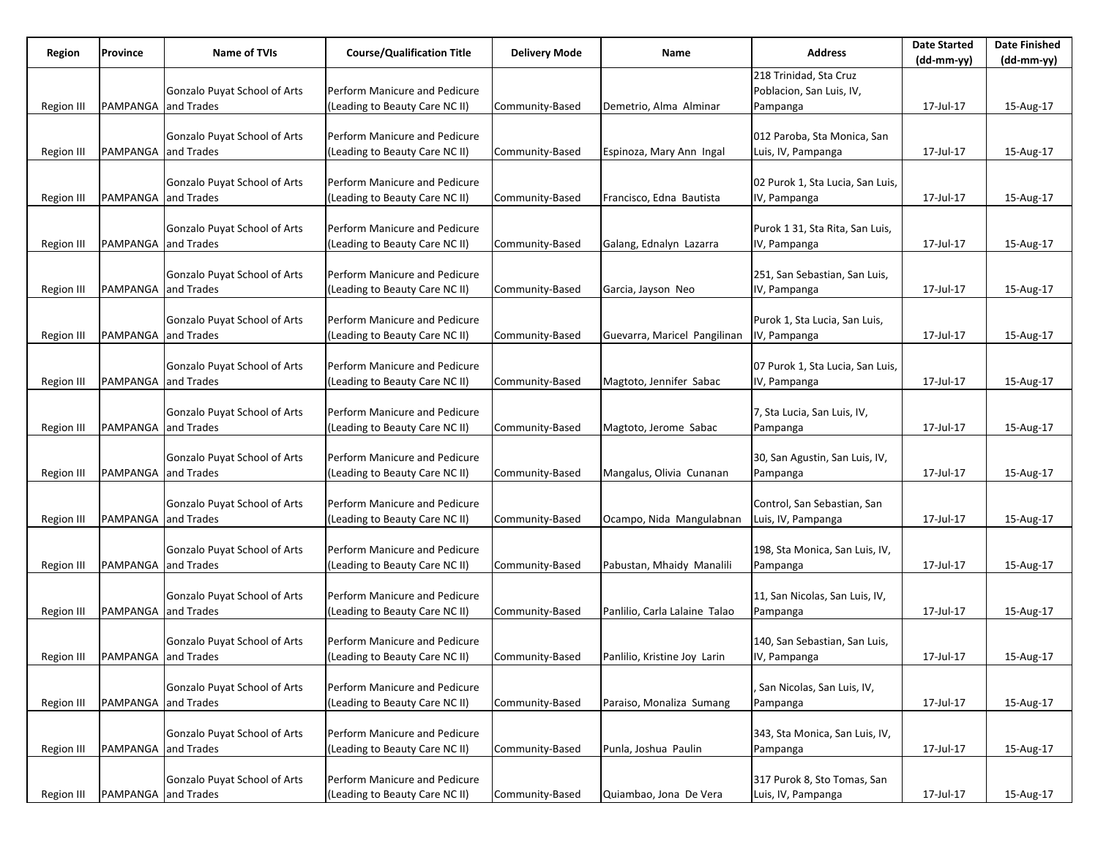| Region            | Province            | Name of TVIs                        | <b>Course/Qualification Title</b> | <b>Delivery Mode</b> | Name                          | <b>Address</b>                   | <b>Date Started</b><br>(dd-mm-yy) | <b>Date Finished</b><br>(dd-mm-yy) |
|-------------------|---------------------|-------------------------------------|-----------------------------------|----------------------|-------------------------------|----------------------------------|-----------------------------------|------------------------------------|
|                   |                     |                                     |                                   |                      |                               | 218 Trinidad, Sta Cruz           |                                   |                                    |
|                   |                     | Gonzalo Puyat School of Arts        | Perform Manicure and Pedicure     |                      |                               | Poblacion, San Luis, IV,         |                                   |                                    |
| Region III        | PAMPANGA and Trades |                                     | (Leading to Beauty Care NC II)    | Community-Based      | Demetrio, Alma Alminar        | Pampanga                         | 17-Jul-17                         | 15-Aug-17                          |
|                   |                     |                                     |                                   |                      |                               |                                  |                                   |                                    |
|                   |                     |                                     | Perform Manicure and Pedicure     |                      |                               |                                  |                                   |                                    |
|                   |                     | Gonzalo Puyat School of Arts        |                                   |                      |                               | 012 Paroba, Sta Monica, San      |                                   |                                    |
| Region III        | PAMPANGA and Trades |                                     | (Leading to Beauty Care NC II)    | Community-Based      | Espinoza, Mary Ann Ingal      | Luis, IV, Pampanga               | 17-Jul-17                         | 15-Aug-17                          |
|                   |                     |                                     |                                   |                      |                               |                                  |                                   |                                    |
|                   |                     | Gonzalo Puyat School of Arts        | Perform Manicure and Pedicure     |                      |                               | 02 Purok 1, Sta Lucia, San Luis, |                                   |                                    |
| Region III        | PAMPANGA and Trades |                                     | (Leading to Beauty Care NC II)    | Community-Based      | Francisco, Edna Bautista      | IV, Pampanga                     | 17-Jul-17                         | 15-Aug-17                          |
|                   |                     |                                     |                                   |                      |                               |                                  |                                   |                                    |
|                   |                     | Gonzalo Puyat School of Arts        | Perform Manicure and Pedicure     |                      |                               | Purok 1 31, Sta Rita, San Luis,  |                                   |                                    |
| <b>Region III</b> | PAMPANGA and Trades |                                     | (Leading to Beauty Care NC II)    | Community-Based      | Galang, Ednalyn Lazarra       | IV, Pampanga                     | 17-Jul-17                         | 15-Aug-17                          |
|                   |                     |                                     |                                   |                      |                               |                                  |                                   |                                    |
|                   |                     | Gonzalo Puyat School of Arts        | Perform Manicure and Pedicure     |                      |                               | 251, San Sebastian, San Luis,    |                                   |                                    |
| Region III        | PAMPANGA and Trades |                                     | (Leading to Beauty Care NC II)    | Community-Based      | Garcia, Jayson Neo            | IV, Pampanga                     | 17-Jul-17                         | 15-Aug-17                          |
|                   |                     |                                     |                                   |                      |                               |                                  |                                   |                                    |
|                   |                     | Gonzalo Puyat School of Arts        | Perform Manicure and Pedicure     |                      |                               | Purok 1, Sta Lucia, San Luis,    |                                   |                                    |
| Region III        | PAMPANGA and Trades |                                     | (Leading to Beauty Care NC II)    | Community-Based      | Guevarra, Maricel Pangilinan  | IV, Pampanga                     | 17-Jul-17                         | 15-Aug-17                          |
|                   |                     |                                     |                                   |                      |                               |                                  |                                   |                                    |
|                   |                     | Gonzalo Puyat School of Arts        | Perform Manicure and Pedicure     |                      |                               | 07 Purok 1, Sta Lucia, San Luis, |                                   |                                    |
| Region III        | PAMPANGA and Trades |                                     | (Leading to Beauty Care NC II)    | Community-Based      | Magtoto, Jennifer Sabac       | IV, Pampanga                     | 17-Jul-17                         | 15-Aug-17                          |
|                   |                     |                                     |                                   |                      |                               |                                  |                                   |                                    |
|                   |                     | Gonzalo Puyat School of Arts        | Perform Manicure and Pedicure     |                      |                               | 7, Sta Lucia, San Luis, IV,      |                                   |                                    |
| Region III        | PAMPANGA and Trades |                                     | (Leading to Beauty Care NC II)    | Community-Based      | Magtoto, Jerome Sabac         | Pampanga                         | 17-Jul-17                         | 15-Aug-17                          |
|                   |                     |                                     |                                   |                      |                               |                                  |                                   |                                    |
|                   |                     | Gonzalo Puyat School of Arts        | Perform Manicure and Pedicure     |                      |                               | 30, San Agustin, San Luis, IV,   |                                   |                                    |
|                   | PAMPANGA and Trades |                                     | (Leading to Beauty Care NC II)    | Community-Based      | Mangalus, Olivia Cunanan      |                                  | 17-Jul-17                         | 15-Aug-17                          |
| Region III        |                     |                                     |                                   |                      |                               | Pampanga                         |                                   |                                    |
|                   |                     |                                     | Perform Manicure and Pedicure     |                      |                               |                                  |                                   |                                    |
|                   |                     | Gonzalo Puyat School of Arts        |                                   |                      |                               | Control, San Sebastian, San      |                                   |                                    |
| Region III        | PAMPANGA and Trades |                                     | (Leading to Beauty Care NC II)    | Community-Based      | Ocampo, Nida Mangulabnan      | Luis, IV, Pampanga               | 17-Jul-17                         | 15-Aug-17                          |
|                   |                     |                                     |                                   |                      |                               |                                  |                                   |                                    |
|                   |                     | Gonzalo Puyat School of Arts        | Perform Manicure and Pedicure     |                      |                               | 198, Sta Monica, San Luis, IV,   |                                   |                                    |
| Region III        | PAMPANGA and Trades |                                     | (Leading to Beauty Care NC II)    | Community-Based      | Pabustan, Mhaidy Manalili     | Pampanga                         | 17-Jul-17                         | 15-Aug-17                          |
|                   |                     |                                     |                                   |                      |                               |                                  |                                   |                                    |
|                   |                     | Gonzalo Puyat School of Arts        | Perform Manicure and Pedicure     |                      |                               | 11, San Nicolas, San Luis, IV,   |                                   |                                    |
| <b>Region III</b> | PAMPANGA and Trades |                                     | (Leading to Beauty Care NC II)    | Community-Based      | Panlilio, Carla Lalaine Talao | Pampanga                         | 17-Jul-17                         | 15-Aug-17                          |
|                   |                     |                                     |                                   |                      |                               |                                  |                                   |                                    |
|                   |                     | Gonzalo Puyat School of Arts        | Perform Manicure and Pedicure     |                      |                               | 140, San Sebastian, San Luis,    |                                   |                                    |
| Region III        | PAMPANGA and Trades |                                     | (Leading to Beauty Care NC II)    | Community-Based      | Panlilio, Kristine Joy Larin  | IV, Pampanga                     | 17-Jul-17                         | 15-Aug-17                          |
|                   |                     |                                     |                                   |                      |                               |                                  |                                   |                                    |
|                   |                     | <b>Gonzalo Puyat School of Arts</b> | Perform Manicure and Pedicure     |                      |                               | , San Nicolas, San Luis, IV,     |                                   |                                    |
| <b>Region III</b> | PAMPANGA and Trades |                                     | (Leading to Beauty Care NC II)    | Community-Based      | Paraiso, Monaliza Sumang      | Pampanga                         | 17-Jul-17                         | 15-Aug-17                          |
|                   |                     |                                     |                                   |                      |                               |                                  |                                   |                                    |
|                   |                     | Gonzalo Puyat School of Arts        | Perform Manicure and Pedicure     |                      |                               | 343, Sta Monica, San Luis, IV,   |                                   |                                    |
| <b>Region III</b> | PAMPANGA and Trades |                                     | (Leading to Beauty Care NC II)    | Community-Based      | Punla, Joshua Paulin          | Pampanga                         | 17-Jul-17                         | 15-Aug-17                          |
|                   |                     |                                     |                                   |                      |                               |                                  |                                   |                                    |
|                   |                     | Gonzalo Puyat School of Arts        | Perform Manicure and Pedicure     |                      |                               | 317 Purok 8, Sto Tomas, San      |                                   |                                    |
| Region III        | PAMPANGA and Trades |                                     | (Leading to Beauty Care NC II)    | Community-Based      | Quiambao, Jona De Vera        | Luis, IV, Pampanga               | 17-Jul-17                         | 15-Aug-17                          |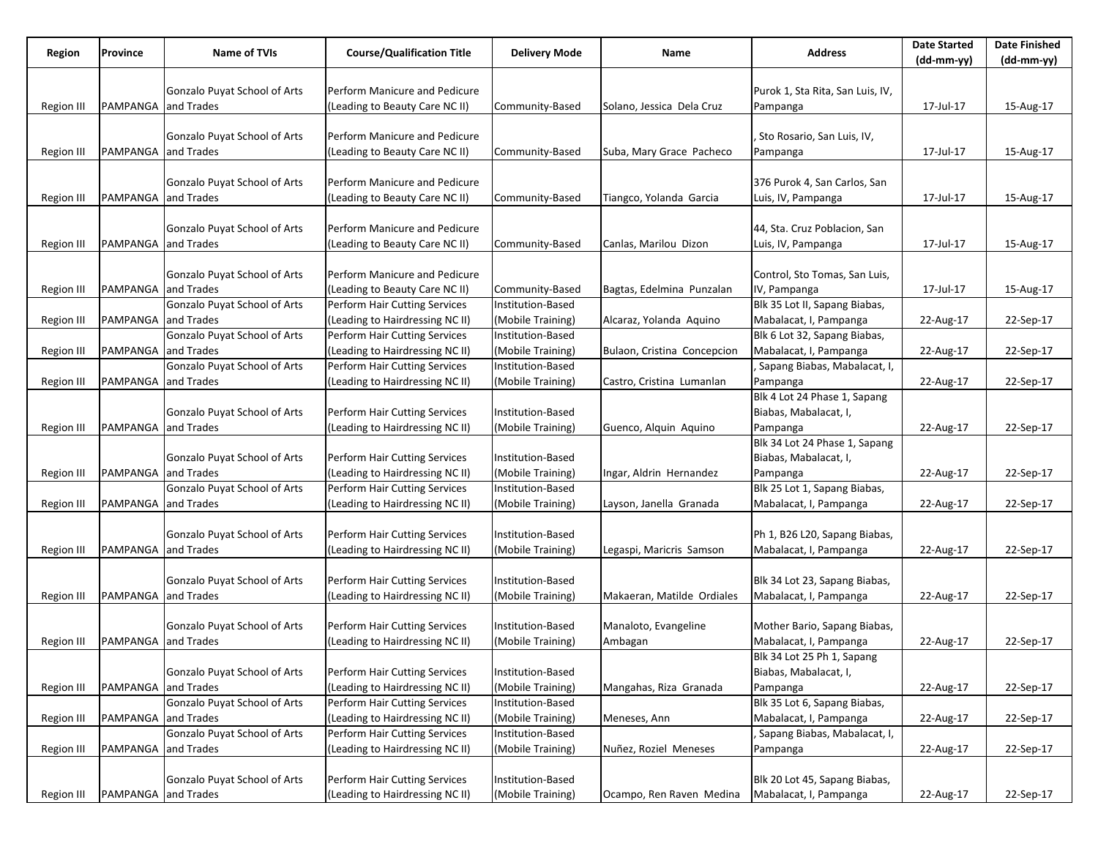| Region            | Province                   | Name of TVIs                 | <b>Course/Qualification Title</b> | <b>Delivery Mode</b> | Name                        | <b>Address</b>                   | <b>Date Started</b> | <b>Date Finished</b> |
|-------------------|----------------------------|------------------------------|-----------------------------------|----------------------|-----------------------------|----------------------------------|---------------------|----------------------|
|                   |                            |                              |                                   |                      |                             |                                  | (dd-mm-yy)          | (dd-mm-yy)           |
|                   |                            |                              |                                   |                      |                             |                                  |                     |                      |
|                   |                            | Gonzalo Puyat School of Arts | Perform Manicure and Pedicure     |                      |                             | Purok 1, Sta Rita, San Luis, IV, |                     |                      |
| Region III        | PAMPANGA and Trades        |                              | (Leading to Beauty Care NC II)    | Community-Based      | Solano, Jessica Dela Cruz   | Pampanga                         | 17-Jul-17           | 15-Aug-17            |
|                   |                            |                              |                                   |                      |                             |                                  |                     |                      |
|                   |                            | Gonzalo Puyat School of Arts | Perform Manicure and Pedicure     |                      |                             | Sto Rosario, San Luis, IV,       |                     |                      |
| Region III        | <b>PAMPANGA</b> and Trades |                              | (Leading to Beauty Care NC II)    | Community-Based      | Suba, Mary Grace Pacheco    | Pampanga                         | 17-Jul-17           | 15-Aug-17            |
|                   |                            |                              |                                   |                      |                             |                                  |                     |                      |
|                   |                            | Gonzalo Puyat School of Arts | Perform Manicure and Pedicure     |                      |                             | 376 Purok 4, San Carlos, San     |                     |                      |
| Region III        | PAMPANGA and Trades        |                              | (Leading to Beauty Care NC II)    | Community-Based      | Tiangco, Yolanda Garcia     | Luis, IV, Pampanga               | 17-Jul-17           | 15-Aug-17            |
|                   |                            |                              |                                   |                      |                             |                                  |                     |                      |
|                   |                            | Gonzalo Puyat School of Arts | Perform Manicure and Pedicure     |                      |                             | 44, Sta. Cruz Poblacion, San     |                     |                      |
| <b>Region III</b> | PAMPANGA and Trades        |                              | (Leading to Beauty Care NC II)    | Community-Based      | Canlas, Marilou Dizon       | Luis, IV, Pampanga               | 17-Jul-17           | 15-Aug-17            |
|                   |                            |                              |                                   |                      |                             |                                  |                     |                      |
|                   |                            | Gonzalo Puyat School of Arts | Perform Manicure and Pedicure     |                      |                             | Control, Sto Tomas, San Luis,    |                     |                      |
| Region III        | PAMPANGA and Trades        |                              | (Leading to Beauty Care NC II)    | Community-Based      | Bagtas, Edelmina Punzalan   | IV, Pampanga                     | 17-Jul-17           | 15-Aug-17            |
|                   |                            | Gonzalo Puyat School of Arts | Perform Hair Cutting Services     | Institution-Based    |                             | Blk 35 Lot II, Sapang Biabas,    |                     |                      |
| Region III        | PAMPANGA and Trades        |                              | (Leading to Hairdressing NC II)   | (Mobile Training)    | Alcaraz, Yolanda Aquino     | Mabalacat, I, Pampanga           | 22-Aug-17           | 22-Sep-17            |
|                   |                            | Gonzalo Puyat School of Arts | Perform Hair Cutting Services     | Institution-Based    |                             | Blk 6 Lot 32, Sapang Biabas,     |                     |                      |
| <b>Region III</b> | PAMPANGA and Trades        |                              | (Leading to Hairdressing NC II)   | (Mobile Training)    | Bulaon, Cristina Concepcion | Mabalacat, I, Pampanga           | 22-Aug-17           | 22-Sep-17            |
|                   |                            | Gonzalo Puyat School of Arts | Perform Hair Cutting Services     | Institution-Based    |                             | Sapang Biabas, Mabalacat, I,     |                     |                      |
| Region III        | PAMPANGA and Trades        |                              | (Leading to Hairdressing NC II)   | (Mobile Training)    | Castro, Cristina Lumanlan   | Pampanga                         | 22-Aug-17           | 22-Sep-17            |
|                   |                            |                              |                                   |                      |                             | Blk 4 Lot 24 Phase 1, Sapang     |                     |                      |
|                   |                            | Gonzalo Puyat School of Arts | Perform Hair Cutting Services     | Institution-Based    |                             | Biabas, Mabalacat, I,            |                     |                      |
| Region III        | PAMPANGA and Trades        |                              | (Leading to Hairdressing NC II)   | (Mobile Training)    | Guenco, Alquin Aquino       | Pampanga                         | 22-Aug-17           | 22-Sep-17            |
|                   |                            |                              |                                   |                      |                             | Blk 34 Lot 24 Phase 1, Sapang    |                     |                      |
|                   |                            | Gonzalo Puyat School of Arts | Perform Hair Cutting Services     | Institution-Based    |                             | Biabas, Mabalacat, I,            |                     |                      |
| Region III        | PAMPANGA and Trades        |                              | (Leading to Hairdressing NC II)   | (Mobile Training)    | Ingar, Aldrin Hernandez     | Pampanga                         | 22-Aug-17           | 22-Sep-17            |
|                   |                            | Gonzalo Puyat School of Arts | Perform Hair Cutting Services     | Institution-Based    |                             | Blk 25 Lot 1, Sapang Biabas,     |                     |                      |
| <b>Region III</b> | PAMPANGA and Trades        |                              | (Leading to Hairdressing NC II)   | (Mobile Training)    | Layson, Janella Granada     | Mabalacat, I, Pampanga           | 22-Aug-17           | 22-Sep-17            |
|                   |                            |                              |                                   |                      |                             |                                  |                     |                      |
|                   |                            | Gonzalo Puyat School of Arts | Perform Hair Cutting Services     | Institution-Based    |                             | Ph 1, B26 L20, Sapang Biabas,    |                     |                      |
| Region III        | PAMPANGA and Trades        |                              | (Leading to Hairdressing NC II)   | (Mobile Training)    | Legaspi, Maricris Samson    | Mabalacat, I, Pampanga           | 22-Aug-17           | 22-Sep-17            |
|                   |                            |                              |                                   |                      |                             |                                  |                     |                      |
|                   |                            | Gonzalo Puyat School of Arts | Perform Hair Cutting Services     | Institution-Based    |                             | Blk 34 Lot 23, Sapang Biabas,    |                     |                      |
| <b>Region III</b> | PAMPANGA and Trades        |                              | (Leading to Hairdressing NC II)   | (Mobile Training)    | Makaeran, Matilde Ordiales  | Mabalacat, I, Pampanga           | 22-Aug-17           | 22-Sep-17            |
|                   |                            |                              |                                   |                      |                             |                                  |                     |                      |
|                   |                            | Gonzalo Puyat School of Arts | Perform Hair Cutting Services     | Institution-Based    | Manaloto, Evangeline        | Mother Bario, Sapang Biabas,     |                     |                      |
| Region III        | PAMPANGA and Trades        |                              | (Leading to Hairdressing NC II)   | (Mobile Training)    | Ambagan                     | Mabalacat, I, Pampanga           | 22-Aug-17           | 22-Sep-17            |
|                   |                            |                              |                                   |                      |                             | Blk 34 Lot 25 Ph 1, Sapang       |                     |                      |
|                   |                            | Gonzalo Puyat School of Arts | Perform Hair Cutting Services     | Institution-Based    |                             | Biabas, Mabalacat, I,            |                     |                      |
| Region III        | PAMPANGA and Trades        |                              | (Leading to Hairdressing NC II)   | (Mobile Training)    | Mangahas, Riza Granada      | Pampanga                         | 22-Aug-17           | 22-Sep-17            |
|                   |                            | Gonzalo Puyat School of Arts | Perform Hair Cutting Services     | Institution-Based    |                             | Blk 35 Lot 6, Sapang Biabas,     |                     |                      |
| <b>Region III</b> | PAMPANGA and Trades        |                              | (Leading to Hairdressing NC II)   | (Mobile Training)    | Meneses, Ann                | Mabalacat, I, Pampanga           | 22-Aug-17           | 22-Sep-17            |
|                   |                            | Gonzalo Puyat School of Arts | Perform Hair Cutting Services     | Institution-Based    |                             | , Sapang Biabas, Mabalacat, I,   |                     |                      |
| Region III        | PAMPANGA and Trades        |                              | (Leading to Hairdressing NC II)   | (Mobile Training)    | Nuñez, Roziel Meneses       | Pampanga                         | 22-Aug-17           | 22-Sep-17            |
|                   |                            |                              |                                   |                      |                             |                                  |                     |                      |
|                   |                            | Gonzalo Puyat School of Arts | Perform Hair Cutting Services     | Institution-Based    |                             | Blk 20 Lot 45, Sapang Biabas,    |                     |                      |
| Region III        | PAMPANGA and Trades        |                              | (Leading to Hairdressing NC II)   | (Mobile Training)    | Ocampo, Ren Raven Medina    | Mabalacat, I, Pampanga           | 22-Aug-17           | 22-Sep-17            |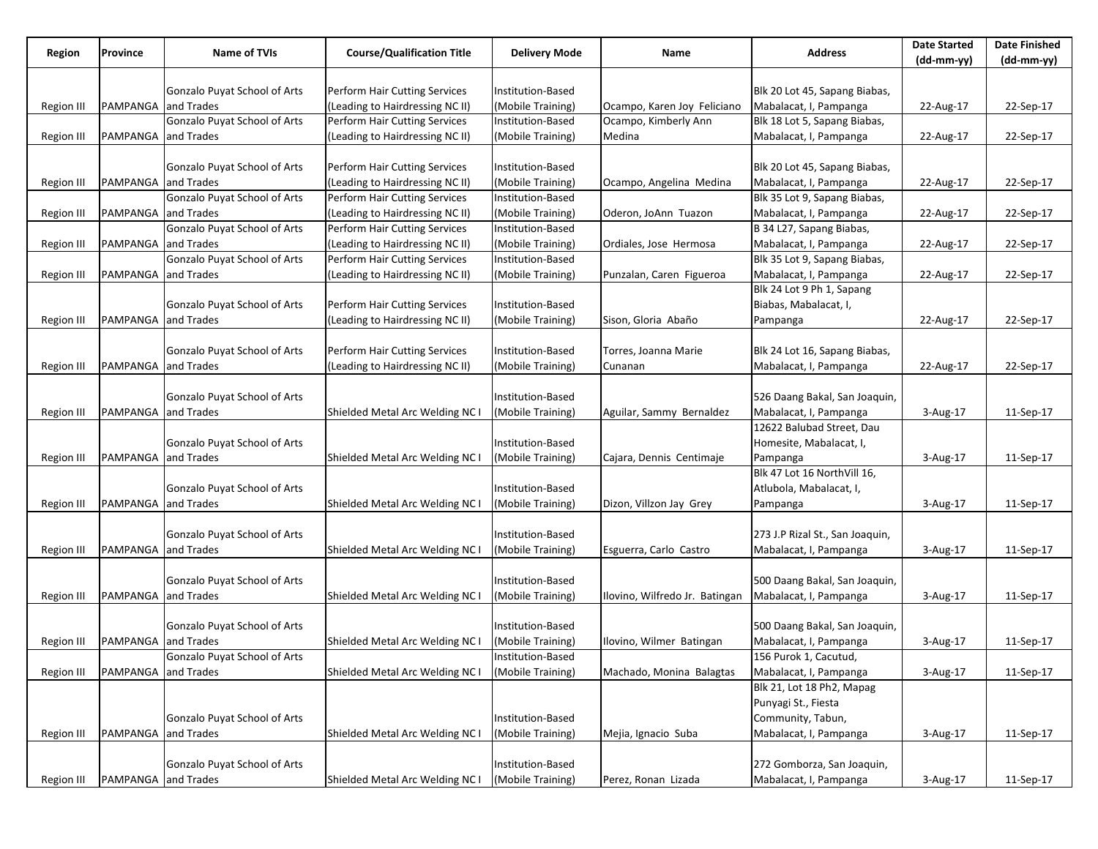| Region            | Province                   | Name of TVIs                        | <b>Course/Qualification Title</b> | <b>Delivery Mode</b> | Name                           | <b>Address</b>                  | <b>Date Started</b> | <b>Date Finished</b> |
|-------------------|----------------------------|-------------------------------------|-----------------------------------|----------------------|--------------------------------|---------------------------------|---------------------|----------------------|
|                   |                            |                                     |                                   |                      |                                |                                 | $(dd-mm-yy)$        | $(dd-mm-yy)$         |
|                   |                            |                                     |                                   |                      |                                |                                 |                     |                      |
|                   |                            | Gonzalo Puyat School of Arts        | Perform Hair Cutting Services     | Institution-Based    |                                | Blk 20 Lot 45, Sapang Biabas,   |                     |                      |
| <b>Region III</b> | PAMPANGA and Trades        |                                     | (Leading to Hairdressing NC II)   | (Mobile Training)    | Ocampo, Karen Joy Feliciano    | Mabalacat, I, Pampanga          | 22-Aug-17           | 22-Sep-17            |
|                   |                            | Gonzalo Puyat School of Arts        | Perform Hair Cutting Services     | Institution-Based    | Ocampo, Kimberly Ann           | Blk 18 Lot 5, Sapang Biabas,    |                     |                      |
| <b>Region III</b> | PAMPANGA                   | and Trades                          | (Leading to Hairdressing NC II)   | (Mobile Training)    | Medina                         | Mabalacat, I, Pampanga          | 22-Aug-17           | 22-Sep-17            |
|                   |                            |                                     |                                   |                      |                                |                                 |                     |                      |
|                   |                            | Gonzalo Puyat School of Arts        | Perform Hair Cutting Services     | Institution-Based    |                                | Blk 20 Lot 45, Sapang Biabas,   |                     |                      |
| Region III        | PAMPANGA and Trades        |                                     | (Leading to Hairdressing NC II)   | (Mobile Training)    | Ocampo, Angelina Medina        | Mabalacat, I, Pampanga          | 22-Aug-17           | 22-Sep-17            |
|                   |                            | Gonzalo Puyat School of Arts        | Perform Hair Cutting Services     | Institution-Based    |                                | Blk 35 Lot 9, Sapang Biabas,    |                     |                      |
| Region III        | PAMPANGA                   | and Trades                          | (Leading to Hairdressing NC II)   | (Mobile Training)    | Oderon, JoAnn Tuazon           | Mabalacat, I, Pampanga          | 22-Aug-17           | 22-Sep-17            |
|                   |                            | Gonzalo Puyat School of Arts        | Perform Hair Cutting Services     | Institution-Based    |                                | B 34 L27, Sapang Biabas,        |                     |                      |
| Region III        | PAMPANGA and Trades        |                                     | (Leading to Hairdressing NC II)   | (Mobile Training)    | Ordiales, Jose Hermosa         | Mabalacat, I, Pampanga          | 22-Aug-17           | 22-Sep-17            |
|                   |                            | Gonzalo Puyat School of Arts        | Perform Hair Cutting Services     | Institution-Based    |                                | Blk 35 Lot 9, Sapang Biabas,    |                     |                      |
| Region II         | PAMPANGA                   | and Trades                          | (Leading to Hairdressing NC II)   | (Mobile Training)    | Punzalan, Caren Figueroa       | Mabalacat, I, Pampanga          | 22-Aug-17           | 22-Sep-17            |
|                   |                            |                                     |                                   |                      |                                | Blk 24 Lot 9 Ph 1, Sapang       |                     |                      |
|                   |                            | Gonzalo Puyat School of Arts        | Perform Hair Cutting Services     | Institution-Based    |                                | Biabas, Mabalacat, I,           |                     |                      |
| Region III        | PAMPANGA                   | and Trades                          | (Leading to Hairdressing NC II)   | (Mobile Training)    | Sison, Gloria Abaño            | Pampanga                        | 22-Aug-17           | 22-Sep-17            |
|                   |                            |                                     |                                   |                      |                                |                                 |                     |                      |
|                   |                            | Gonzalo Puyat School of Arts        | Perform Hair Cutting Services     | Institution-Based    | Torres, Joanna Marie           | Blk 24 Lot 16, Sapang Biabas,   |                     |                      |
| <b>Region III</b> | PAMPANGA and Trades        |                                     | (Leading to Hairdressing NC II)   | (Mobile Training)    | Cunanan                        | Mabalacat, I, Pampanga          | 22-Aug-17           | 22-Sep-17            |
|                   |                            |                                     |                                   |                      |                                |                                 |                     |                      |
|                   |                            | Gonzalo Puyat School of Arts        |                                   | Institution-Based    |                                | 526 Daang Bakal, San Joaquin,   |                     |                      |
| <b>Region III</b> | PAMPANGA and Trades        |                                     | Shielded Metal Arc Welding NC I   | (Mobile Training)    | Aguilar, Sammy Bernaldez       | Mabalacat, I, Pampanga          | 3-Aug-17            | 11-Sep-17            |
|                   |                            |                                     |                                   |                      |                                | 12622 Balubad Street, Dau       |                     |                      |
|                   |                            | Gonzalo Puyat School of Arts        |                                   | Institution-Based    |                                | Homesite, Mabalacat, I,         |                     |                      |
| Region III        | <b>PAMPANGA</b> and Trades |                                     | Shielded Metal Arc Welding NC I   | (Mobile Training)    | Cajara, Dennis Centimaje       | Pampanga                        | 3-Aug-17            | 11-Sep-17            |
|                   |                            |                                     |                                   |                      |                                | Blk 47 Lot 16 NorthVill 16,     |                     |                      |
|                   |                            | Gonzalo Puyat School of Arts        |                                   | Institution-Based    |                                | Atlubola, Mabalacat, I,         |                     |                      |
| Region III        | <b>PAMPANGA</b> and Trades |                                     | Shielded Metal Arc Welding NC I   | (Mobile Training)    | Dizon, Villzon Jay Grey        | Pampanga                        | 3-Aug-17            | 11-Sep-17            |
|                   |                            |                                     |                                   |                      |                                |                                 |                     |                      |
|                   |                            | Gonzalo Puyat School of Arts        |                                   | Institution-Based    |                                | 273 J.P Rizal St., San Joaquin, |                     |                      |
| <b>Region III</b> | PAMPANGA                   | and Trades                          | Shielded Metal Arc Welding NC I   | (Mobile Training)    | Esguerra, Carlo Castro         | Mabalacat, I, Pampanga          | 3-Aug-17            | 11-Sep-17            |
|                   |                            |                                     |                                   |                      |                                |                                 |                     |                      |
|                   |                            | Gonzalo Puyat School of Arts        |                                   | Institution-Based    |                                | 500 Daang Bakal, San Joaquin,   |                     |                      |
| Region III        | PAMPANGA and Trades        |                                     | Shielded Metal Arc Welding NC I   | (Mobile Training)    | Ilovino, Wilfredo Jr. Batingan | Mabalacat, I, Pampanga          | 3-Aug-17            | 11-Sep-17            |
|                   |                            |                                     |                                   |                      |                                |                                 |                     |                      |
|                   |                            | Gonzalo Puyat School of Arts        |                                   | Institution-Based    |                                | 500 Daang Bakal, San Joaquin,   |                     |                      |
| Region III        | <b>PAMPANGA</b> and Trades |                                     | Shielded Metal Arc Welding NC I   | (Mobile Training)    | Ilovino, Wilmer Batingan       | Mabalacat, I, Pampanga          | 3-Aug-17            | 11-Sep-17            |
|                   |                            | Gonzalo Puyat School of Arts        |                                   | Institution-Based    |                                | 156 Purok 1, Cacutud,           |                     |                      |
| Region III        | PAMPANGA and Trades        |                                     | Shielded Metal Arc Welding NC I   | (Mobile Training)    | Machado, Monina Balagtas       | Mabalacat, I, Pampanga          | 3-Aug-17            | 11-Sep-17            |
|                   |                            |                                     |                                   |                      |                                | Blk 21, Lot 18 Ph2, Mapag       |                     |                      |
|                   |                            |                                     |                                   |                      |                                | Punyagi St., Fiesta             |                     |                      |
|                   |                            | <b>Gonzalo Puyat School of Arts</b> |                                   | Institution-Based    |                                | Community, Tabun,               |                     |                      |
| Region III        | <b>PAMPANGA</b> and Trades |                                     | Shielded Metal Arc Welding NC I   | (Mobile Training)    | Mejia, Ignacio Suba            | Mabalacat, I, Pampanga          | 3-Aug-17            | 11-Sep-17            |
|                   |                            |                                     |                                   |                      |                                |                                 |                     |                      |
|                   |                            | Gonzalo Puyat School of Arts        |                                   | Institution-Based    |                                | 272 Gomborza, San Joaquin,      |                     |                      |
| Region III        | PAMPANGA and Trades        |                                     | Shielded Metal Arc Welding NC I   | (Mobile Training)    | Perez, Ronan Lizada            | Mabalacat, I, Pampanga          | 3-Aug-17            | 11-Sep-17            |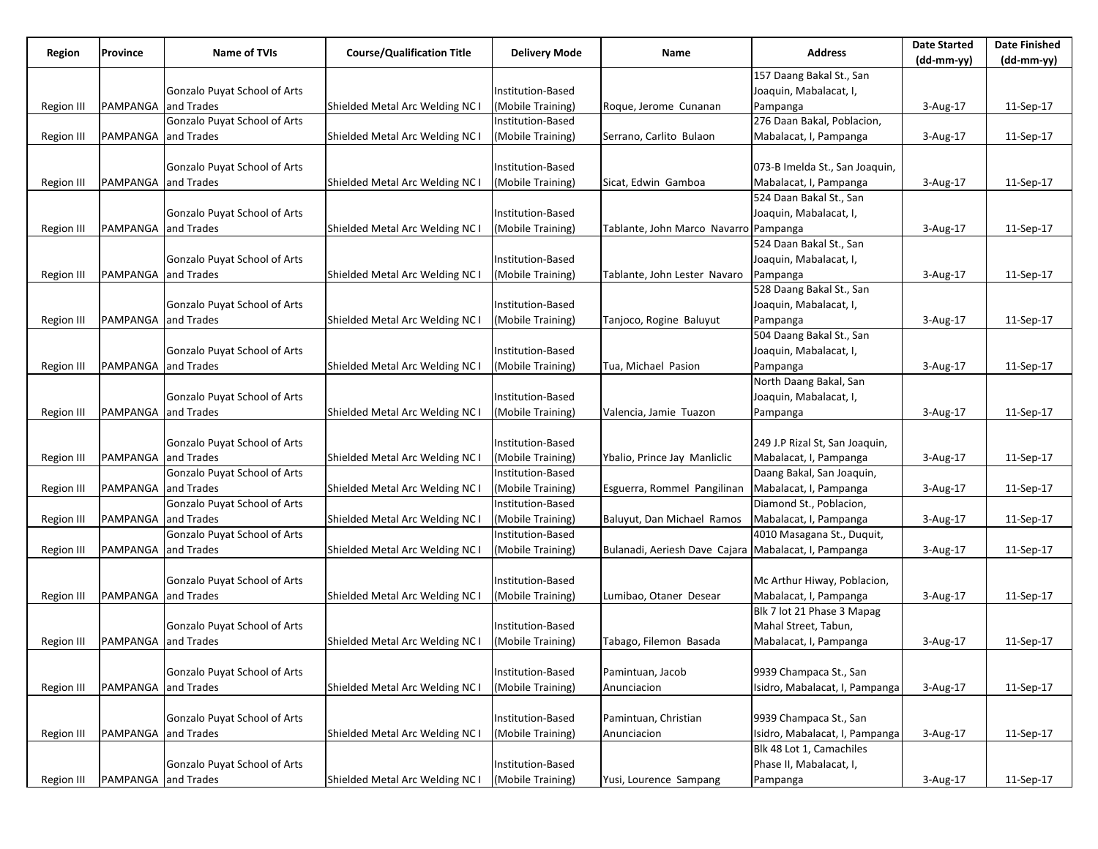| Region            | Province                   | <b>Name of TVIs</b>          | <b>Course/Qualification Title</b> | <b>Delivery Mode</b> | Name                                                 | <b>Address</b>                 | <b>Date Started</b> | <b>Date Finished</b> |
|-------------------|----------------------------|------------------------------|-----------------------------------|----------------------|------------------------------------------------------|--------------------------------|---------------------|----------------------|
|                   |                            |                              |                                   |                      |                                                      |                                | (dd-mm-yy)          | $(dd-mm-yy)$         |
|                   |                            |                              |                                   |                      |                                                      | 157 Daang Bakal St., San       |                     |                      |
|                   |                            | Gonzalo Puyat School of Arts |                                   | Institution-Based    |                                                      | Joaquin, Mabalacat, I,         |                     |                      |
| Region III        | PAMPANGA                   | and Trades                   | Shielded Metal Arc Welding NC I   | (Mobile Training)    | Roque, Jerome Cunanan                                | Pampanga                       | 3-Aug-17            | 11-Sep-17            |
|                   |                            | Gonzalo Puyat School of Arts |                                   | Institution-Based    |                                                      | 276 Daan Bakal, Poblacion,     |                     |                      |
| Region III        | PAMPANGA                   | and Trades                   | Shielded Metal Arc Welding NC I   | (Mobile Training)    | Serrano, Carlito Bulaon                              | Mabalacat, I, Pampanga         | 3-Aug-17            | 11-Sep-17            |
|                   |                            |                              |                                   |                      |                                                      |                                |                     |                      |
|                   |                            | Gonzalo Puyat School of Arts |                                   | Institution-Based    |                                                      | 073-B Imelda St., San Joaquin, |                     |                      |
| Region III        | <b>PAMPANGA</b> and Trades |                              | Shielded Metal Arc Welding NC I   | (Mobile Training)    | Sicat, Edwin Gamboa                                  | Mabalacat, I, Pampanga         | 3-Aug-17            | 11-Sep-17            |
|                   |                            |                              |                                   |                      |                                                      | 524 Daan Bakal St., San        |                     |                      |
|                   |                            | Gonzalo Puyat School of Arts |                                   | Institution-Based    |                                                      | Joaquin, Mabalacat, I,         |                     |                      |
| Region III        | PAMPANGA and Trades        |                              | Shielded Metal Arc Welding NC I   | (Mobile Training)    | Tablante, John Marco Navarro Pampanga                |                                | 3-Aug-17            | 11-Sep-17            |
|                   |                            |                              |                                   |                      |                                                      | 524 Daan Bakal St., San        |                     |                      |
|                   |                            | Gonzalo Puyat School of Arts |                                   | Institution-Based    |                                                      | Joaquin, Mabalacat, I,         |                     |                      |
| Region III        | PAMPANGA                   | and Trades                   | Shielded Metal Arc Welding NC I   | (Mobile Training)    | Tablante, John Lester Navaro                         | Pampanga                       | 3-Aug-17            | 11-Sep-17            |
|                   |                            |                              |                                   |                      |                                                      | 528 Daang Bakal St., San       |                     |                      |
|                   |                            | Gonzalo Puyat School of Arts |                                   | Institution-Based    |                                                      | Joaquin, Mabalacat, I,         |                     |                      |
| Region III        | PAMPANGA                   | and Trades                   | Shielded Metal Arc Welding NC I   | (Mobile Training)    | Tanjoco, Rogine Baluyut                              | Pampanga                       | 3-Aug-17            | 11-Sep-17            |
|                   |                            |                              |                                   |                      |                                                      | 504 Daang Bakal St., San       |                     |                      |
|                   |                            | Gonzalo Puyat School of Arts |                                   | Institution-Based    |                                                      | Joaquin, Mabalacat, I,         |                     |                      |
| Region III        | PAMPANGA and Trades        |                              | Shielded Metal Arc Welding NC I   | (Mobile Training)    | Tua, Michael Pasion                                  | Pampanga                       | 3-Aug-17            | 11-Sep-17            |
|                   |                            |                              |                                   |                      |                                                      | North Daang Bakal, San         |                     |                      |
|                   |                            | Gonzalo Puyat School of Arts |                                   | Institution-Based    |                                                      | Joaquin, Mabalacat, I,         |                     |                      |
| Region III        | <b>PAMPANGA</b> and Trades |                              | Shielded Metal Arc Welding NC I   | (Mobile Training)    | Valencia, Jamie Tuazon                               | Pampanga                       | 3-Aug-17            | 11-Sep-17            |
|                   |                            |                              |                                   |                      |                                                      |                                |                     |                      |
|                   |                            | Gonzalo Puyat School of Arts |                                   | Institution-Based    |                                                      | 249 J.P Rizal St, San Joaquin, |                     |                      |
| Region III        | PAMPANGA and Trades        |                              | Shielded Metal Arc Welding NC I   | (Mobile Training)    | Ybalio, Prince Jay Manliclic                         | Mabalacat, I, Pampanga         | 3-Aug-17            | 11-Sep-17            |
|                   |                            | Gonzalo Puyat School of Arts |                                   | Institution-Based    |                                                      | Daang Bakal, San Joaquin,      |                     |                      |
| <b>Region III</b> | PAMPANGA                   | and Trades                   | Shielded Metal Arc Welding NC I   | (Mobile Training)    | Esguerra, Rommel Pangilinan                          | Mabalacat, I, Pampanga         | 3-Aug-17            | 11-Sep-17            |
|                   |                            | Gonzalo Puyat School of Arts |                                   | Institution-Based    |                                                      | Diamond St., Poblacion,        |                     |                      |
| <b>Region III</b> | PAMPANGA                   | and Trades                   | Shielded Metal Arc Welding NC I   | (Mobile Training)    | Baluyut, Dan Michael Ramos                           | Mabalacat, I, Pampanga         | 3-Aug-17            | 11-Sep-17            |
|                   |                            | Gonzalo Puyat School of Arts |                                   | Institution-Based    |                                                      | 4010 Masagana St., Duquit,     |                     |                      |
| <b>Region III</b> | PAMPANGA                   | and Trades                   | Shielded Metal Arc Welding NC I   | (Mobile Training)    | Bulanadi, Aeriesh Dave Cajara Mabalacat, I, Pampanga |                                | 3-Aug-17            | 11-Sep-17            |
|                   |                            |                              |                                   |                      |                                                      |                                |                     |                      |
|                   |                            | Gonzalo Puyat School of Arts |                                   | Institution-Based    |                                                      | Mc Arthur Hiway, Poblacion,    |                     |                      |
| Region III        | <b>PAMPANGA</b> and Trades |                              | Shielded Metal Arc Welding NC I   | (Mobile Training)    | Lumibao, Otaner Desear                               | Mabalacat, I, Pampanga         | 3-Aug-17            | 11-Sep-17            |
|                   |                            |                              |                                   |                      |                                                      | Blk 7 lot 21 Phase 3 Mapag     |                     |                      |
|                   |                            | Gonzalo Puyat School of Arts |                                   | Institution-Based    |                                                      | Mahal Street, Tabun,           |                     |                      |
| Region III        | <b>PAMPANGA</b> and Trades |                              | Shielded Metal Arc Welding NC I   | (Mobile Training)    | Tabago, Filemon Basada                               | Mabalacat, I, Pampanga         | 3-Aug-17            | 11-Sep-17            |
|                   |                            |                              |                                   |                      |                                                      |                                |                     |                      |
|                   |                            | Gonzalo Puyat School of Arts |                                   | Institution-Based    | Pamintuan, Jacob                                     | 9939 Champaca St., San         |                     |                      |
| <b>Region III</b> | PAMPANGA                   | and Trades                   | Shielded Metal Arc Welding NC I   | (Mobile Training)    | Anunciacion                                          | Isidro, Mabalacat, I, Pampanga | 3-Aug-17            | 11-Sep-17            |
|                   |                            |                              |                                   |                      |                                                      |                                |                     |                      |
|                   |                            | Gonzalo Puyat School of Arts |                                   | Institution-Based    | Pamintuan, Christian                                 | 9939 Champaca St., San         |                     |                      |
| <b>Region III</b> | PAMPANGA                   | and Trades                   | Shielded Metal Arc Welding NC I   | (Mobile Training)    | Anunciacion                                          | Isidro, Mabalacat, I, Pampanga | 3-Aug-17            | 11-Sep-17            |
|                   |                            |                              |                                   |                      |                                                      | Blk 48 Lot 1, Camachiles       |                     |                      |
|                   |                            | Gonzalo Puyat School of Arts |                                   | Institution-Based    |                                                      | Phase II, Mabalacat, I,        |                     |                      |
| Region III        | PAMPANGA and Trades        |                              | Shielded Metal Arc Welding NC I   | (Mobile Training)    | Yusi, Lourence Sampang                               | Pampanga                       | 3-Aug-17            | 11-Sep-17            |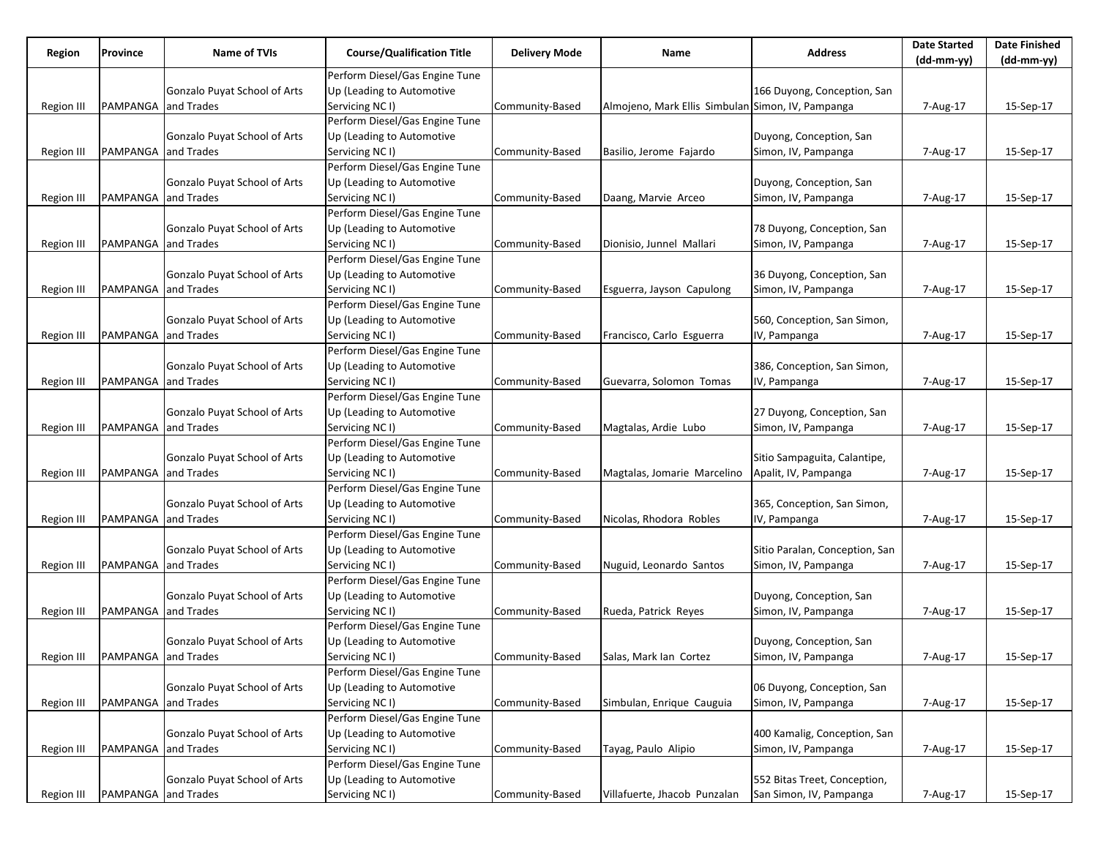| Region            | Province            | Name of TVIs                        | <b>Course/Qualification Title</b> | <b>Delivery Mode</b> | Name                                              | <b>Address</b>                 | <b>Date Started</b> | <b>Date Finished</b> |
|-------------------|---------------------|-------------------------------------|-----------------------------------|----------------------|---------------------------------------------------|--------------------------------|---------------------|----------------------|
|                   |                     |                                     |                                   |                      |                                                   |                                | (dd-mm-yy)          | (dd-mm-yy)           |
|                   |                     |                                     | Perform Diesel/Gas Engine Tune    |                      |                                                   |                                |                     |                      |
|                   |                     | Gonzalo Puyat School of Arts        | Up (Leading to Automotive         |                      |                                                   | 166 Duyong, Conception, San    |                     |                      |
| Region III        | PAMPANGA            | and Trades                          | Servicing NC I)                   | Community-Based      | Almojeno, Mark Ellis Simbulan Simon, IV, Pampanga |                                | 7-Aug-17            | 15-Sep-17            |
|                   |                     |                                     | Perform Diesel/Gas Engine Tune    |                      |                                                   |                                |                     |                      |
|                   |                     | Gonzalo Puyat School of Arts        | Up (Leading to Automotive         |                      |                                                   | Duyong, Conception, San        |                     |                      |
| Region III        | PAMPANGA and Trades |                                     | Servicing NC I)                   | Community-Based      | Basilio, Jerome Fajardo                           | Simon, IV, Pampanga            | 7-Aug-17            | 15-Sep-17            |
|                   |                     |                                     | Perform Diesel/Gas Engine Tune    |                      |                                                   |                                |                     |                      |
|                   |                     | Gonzalo Puyat School of Arts        | Up (Leading to Automotive         |                      |                                                   | Duyong, Conception, San        |                     |                      |
| Region III        | PAMPANGA and Trades |                                     | Servicing NC I)                   | Community-Based      | Daang, Marvie Arceo                               | Simon, IV, Pampanga            | 7-Aug-17            | 15-Sep-17            |
|                   |                     |                                     | Perform Diesel/Gas Engine Tune    |                      |                                                   |                                |                     |                      |
|                   |                     | Gonzalo Puyat School of Arts        | Up (Leading to Automotive         |                      |                                                   | 78 Duyong, Conception, San     |                     |                      |
| Region III        | PAMPANGA and Trades |                                     | Servicing NC I)                   | Community-Based      | Dionisio, Junnel Mallari                          | Simon, IV, Pampanga            | 7-Aug-17            | 15-Sep-17            |
|                   |                     |                                     | Perform Diesel/Gas Engine Tune    |                      |                                                   |                                |                     |                      |
|                   |                     | Gonzalo Puyat School of Arts        | Up (Leading to Automotive         |                      |                                                   | 36 Duyong, Conception, San     |                     |                      |
| Region III        | PAMPANGA and Trades |                                     | Servicing NC I)                   | Community-Based      | Esguerra, Jayson Capulong                         | Simon, IV, Pampanga            | 7-Aug-17            | 15-Sep-17            |
|                   |                     |                                     | Perform Diesel/Gas Engine Tune    |                      |                                                   |                                |                     |                      |
|                   |                     | Gonzalo Puyat School of Arts        | Up (Leading to Automotive         |                      |                                                   | 560, Conception, San Simon,    |                     |                      |
| Region III        | PAMPANGA and Trades |                                     | Servicing NC I)                   | Community-Based      | Francisco, Carlo Esguerra                         | IV, Pampanga                   | 7-Aug-17            | 15-Sep-17            |
|                   |                     |                                     | Perform Diesel/Gas Engine Tune    |                      |                                                   |                                |                     |                      |
|                   |                     | Gonzalo Puyat School of Arts        | Up (Leading to Automotive         |                      |                                                   | 386, Conception, San Simon,    |                     |                      |
| Region III        | PAMPANGA and Trades |                                     | Servicing NC I)                   | Community-Based      | Guevarra, Solomon Tomas                           | IV, Pampanga                   | 7-Aug-17            | 15-Sep-17            |
|                   |                     |                                     | Perform Diesel/Gas Engine Tune    |                      |                                                   |                                |                     |                      |
|                   |                     | Gonzalo Puyat School of Arts        | Up (Leading to Automotive         |                      |                                                   | 27 Duyong, Conception, San     |                     |                      |
| Region III        | PAMPANGA and Trades |                                     | Servicing NC I)                   | Community-Based      | Magtalas, Ardie Lubo                              | Simon, IV, Pampanga            | 7-Aug-17            | 15-Sep-17            |
|                   |                     |                                     | Perform Diesel/Gas Engine Tune    |                      |                                                   |                                |                     |                      |
|                   |                     | Gonzalo Puyat School of Arts        | Up (Leading to Automotive         |                      |                                                   | Sitio Sampaguita, Calantipe,   |                     |                      |
| Region III        | PAMPANGA and Trades |                                     | Servicing NC I)                   | Community-Based      | Magtalas, Jomarie Marcelino                       | Apalit, IV, Pampanga           | 7-Aug-17            | 15-Sep-17            |
|                   |                     |                                     | Perform Diesel/Gas Engine Tune    |                      |                                                   |                                |                     |                      |
|                   |                     | Gonzalo Puyat School of Arts        | Up (Leading to Automotive         |                      |                                                   | 365, Conception, San Simon,    |                     |                      |
| Region III        | PAMPANGA            | and Trades                          | Servicing NC I)                   | Community-Based      | Nicolas, Rhodora Robles                           | IV, Pampanga                   | 7-Aug-17            | 15-Sep-17            |
|                   |                     |                                     | Perform Diesel/Gas Engine Tune    |                      |                                                   |                                |                     |                      |
|                   |                     | Gonzalo Puyat School of Arts        | Up (Leading to Automotive         |                      |                                                   | Sitio Paralan, Conception, San |                     |                      |
| Region III        | PAMPANGA and Trades |                                     | Servicing NC I)                   | Community-Based      | Nuguid, Leonardo Santos                           | Simon, IV, Pampanga            | 7-Aug-17            | 15-Sep-17            |
|                   |                     |                                     | Perform Diesel/Gas Engine Tune    |                      |                                                   |                                |                     |                      |
|                   |                     | Gonzalo Puyat School of Arts        | Up (Leading to Automotive         |                      |                                                   | Duyong, Conception, San        |                     |                      |
| Region III        | PAMPANGA and Trades |                                     | Servicing NC I)                   | Community-Based      | Rueda, Patrick Reyes                              | Simon, IV, Pampanga            | 7-Aug-17            | 15-Sep-17            |
|                   |                     |                                     | Perform Diesel/Gas Engine Tune    |                      |                                                   |                                |                     |                      |
|                   |                     | Gonzalo Puyat School of Arts        | Up (Leading to Automotive         |                      |                                                   | Duyong, Conception, San        |                     |                      |
| Region III        | PAMPANGA and Trades |                                     | Servicing NC I)                   | Community-Based      | Salas, Mark Ian Cortez                            | Simon, IV, Pampanga            | 7-Aug-17            | 15-Sep-17            |
|                   |                     |                                     | Perform Diesel/Gas Engine Tune    |                      |                                                   |                                |                     |                      |
|                   |                     | <b>Gonzalo Puyat School of Arts</b> | Up (Leading to Automotive         |                      |                                                   | 06 Duyong, Conception, San     |                     |                      |
| <b>Region III</b> | PAMPANGA            | and Trades                          | Servicing NC I)                   | Community-Based      | Simbulan, Enrique Cauguia                         | Simon, IV, Pampanga            | 7-Aug-17            | 15-Sep-17            |
|                   |                     |                                     | Perform Diesel/Gas Engine Tune    |                      |                                                   |                                |                     |                      |
|                   |                     | Gonzalo Puyat School of Arts        | Up (Leading to Automotive         |                      |                                                   | 400 Kamalig, Conception, San   |                     |                      |
| Region III        | PAMPANGA and Trades |                                     | Servicing NC I)                   | Community-Based      | Tayag, Paulo Alipio                               | Simon, IV, Pampanga            | 7-Aug-17            | 15-Sep-17            |
|                   |                     |                                     | Perform Diesel/Gas Engine Tune    |                      |                                                   |                                |                     |                      |
|                   |                     | Gonzalo Puyat School of Arts        | Up (Leading to Automotive         |                      |                                                   | 552 Bitas Treet, Conception,   |                     |                      |
| <b>Region III</b> | PAMPANGA and Trades |                                     | Servicing NC I)                   | Community-Based      | Villafuerte, Jhacob Punzalan                      | San Simon, IV, Pampanga        | 7-Aug-17            | 15-Sep-17            |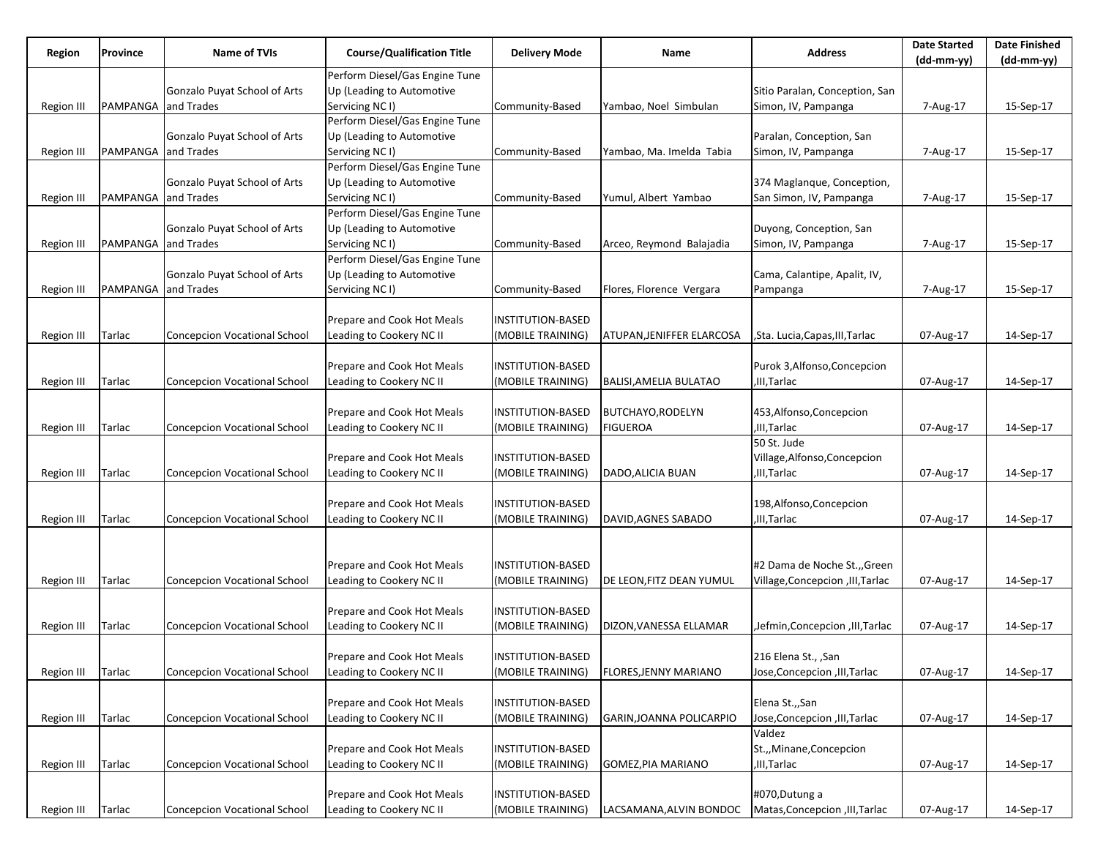| Region            | Province            | Name of TVIs                        | <b>Course/Qualification Title</b> | <b>Delivery Mode</b> | Name                          | <b>Address</b>                   | <b>Date Started</b><br>$(dd-mm-yy)$ | <b>Date Finished</b><br>$(dd-mm-yy)$ |
|-------------------|---------------------|-------------------------------------|-----------------------------------|----------------------|-------------------------------|----------------------------------|-------------------------------------|--------------------------------------|
|                   |                     |                                     | Perform Diesel/Gas Engine Tune    |                      |                               |                                  |                                     |                                      |
|                   |                     | Gonzalo Puyat School of Arts        | Up (Leading to Automotive         |                      |                               | Sitio Paralan, Conception, San   |                                     |                                      |
| Region III        | PAMPANGA and Trades |                                     | Servicing NC I)                   | Community-Based      | Yambao, Noel Simbulan         | Simon, IV, Pampanga              | 7-Aug-17                            | 15-Sep-17                            |
|                   |                     |                                     | Perform Diesel/Gas Engine Tune    |                      |                               |                                  |                                     |                                      |
|                   |                     | Gonzalo Puyat School of Arts        | Up (Leading to Automotive         |                      |                               | Paralan, Conception, San         |                                     |                                      |
| Region III        | PAMPANGA and Trades |                                     | Servicing NC I)                   | Community-Based      | Yambao, Ma. Imelda Tabia      | Simon, IV, Pampanga              | 7-Aug-17                            | 15-Sep-17                            |
|                   |                     |                                     | Perform Diesel/Gas Engine Tune    |                      |                               |                                  |                                     |                                      |
|                   |                     | Gonzalo Puyat School of Arts        | Up (Leading to Automotive         |                      |                               | 374 Maglanque, Conception,       |                                     |                                      |
| Region III        | PAMPANGA and Trades |                                     | Servicing NC I)                   | Community-Based      | Yumul, Albert Yambao          | San Simon, IV, Pampanga          | 7-Aug-17                            | 15-Sep-17                            |
|                   |                     |                                     | Perform Diesel/Gas Engine Tune    |                      |                               |                                  |                                     |                                      |
|                   |                     | Gonzalo Puyat School of Arts        | Up (Leading to Automotive         |                      |                               | Duyong, Conception, San          |                                     |                                      |
| Region III        | PAMPANGA and Trades |                                     | Servicing NC I)                   | Community-Based      | Arceo, Reymond Balajadia      | Simon, IV, Pampanga              | 7-Aug-17                            | 15-Sep-17                            |
|                   |                     |                                     | Perform Diesel/Gas Engine Tune    |                      |                               |                                  |                                     |                                      |
|                   |                     | Gonzalo Puyat School of Arts        | Up (Leading to Automotive         |                      |                               | Cama, Calantipe, Apalit, IV,     |                                     |                                      |
| Region III        | PAMPANGA and Trades |                                     | Servicing NC I)                   | Community-Based      | Flores, Florence Vergara      | Pampanga                         | 7-Aug-17                            | 15-Sep-17                            |
|                   |                     |                                     |                                   |                      |                               |                                  |                                     |                                      |
|                   |                     |                                     | Prepare and Cook Hot Meals        | INSTITUTION-BASED    |                               |                                  |                                     |                                      |
| Region III        | Tarlac              | <b>Concepcion Vocational School</b> | Leading to Cookery NC II          | (MOBILE TRAINING)    | ATUPAN, JENIFFER ELARCOSA     | ,Sta. Lucia,Capas,III,Tarlac     | 07-Aug-17                           | 14-Sep-17                            |
|                   |                     |                                     |                                   |                      |                               |                                  |                                     |                                      |
|                   |                     |                                     | Prepare and Cook Hot Meals        | INSTITUTION-BASED    |                               | Purok 3, Alfonso, Concepcion     |                                     |                                      |
| Region III        | Tarlac              | <b>Concepcion Vocational School</b> | Leading to Cookery NC II          | (MOBILE TRAINING)    | <b>BALISI, AMELIA BULATAO</b> | ,III,Tarlac                      | 07-Aug-17                           | 14-Sep-17                            |
|                   |                     |                                     |                                   |                      |                               |                                  |                                     |                                      |
|                   |                     |                                     | Prepare and Cook Hot Meals        | INSTITUTION-BASED    | <b>BUTCHAYO, RODELYN</b>      | 453,Alfonso,Concepcion           |                                     |                                      |
| Region III        | Tarlac              | <b>Concepcion Vocational School</b> | Leading to Cookery NC II          | (MOBILE TRAINING)    | <b>FIGUEROA</b>               | ,III, Tarlac                     | 07-Aug-17                           | 14-Sep-17                            |
|                   |                     |                                     |                                   |                      |                               | 50 St. Jude                      |                                     |                                      |
|                   |                     |                                     | Prepare and Cook Hot Meals        | INSTITUTION-BASED    |                               | Village, Alfonso, Concepcion     |                                     |                                      |
| Region III        | Tarlac              | <b>Concepcion Vocational School</b> | Leading to Cookery NC II          | (MOBILE TRAINING)    | DADO, ALICIA BUAN             | ,III,Tarlac                      | 07-Aug-17                           | 14-Sep-17                            |
|                   |                     |                                     |                                   |                      |                               |                                  |                                     |                                      |
|                   |                     |                                     | Prepare and Cook Hot Meals        | INSTITUTION-BASED    |                               | 198, Alfonso, Concepcion         |                                     |                                      |
| <b>Region III</b> | Tarlac              | <b>Concepcion Vocational School</b> | Leading to Cookery NC II          | (MOBILE TRAINING)    | DAVID, AGNES SABADO           | ,III,Tarlac                      | 07-Aug-17                           | 14-Sep-17                            |
|                   |                     |                                     |                                   |                      |                               |                                  |                                     |                                      |
|                   |                     |                                     |                                   |                      |                               |                                  |                                     |                                      |
|                   |                     |                                     | Prepare and Cook Hot Meals        | INSTITUTION-BASED    |                               | #2 Dama de Noche St., Green      |                                     |                                      |
| Region III        | Tarlac              | <b>Concepcion Vocational School</b> | Leading to Cookery NC II          | (MOBILE TRAINING)    | DE LEON, FITZ DEAN YUMUL      | Village, Concepcion, III, Tarlac | 07-Aug-17                           | 14-Sep-17                            |
|                   |                     |                                     |                                   |                      |                               |                                  |                                     |                                      |
|                   |                     |                                     | Prepare and Cook Hot Meals        | INSTITUTION-BASED    |                               |                                  |                                     |                                      |
| Region III        | Tarlac              | <b>Concepcion Vocational School</b> | Leading to Cookery NC II          | (MOBILE TRAINING)    | DIZON, VANESSA ELLAMAR        | ,Jefmin,Concepcion ,III,Tarlac   | 07-Aug-17                           | 14-Sep-17                            |
|                   |                     |                                     |                                   |                      |                               |                                  |                                     |                                      |
|                   |                     |                                     | Prepare and Cook Hot Meals        | INSTITUTION-BASED    |                               | San 216 Elena St., ,San          |                                     |                                      |
| Region III        | Tarlac              | <b>Concepcion Vocational School</b> | Leading to Cookery NC II          | (MOBILE TRAINING)    | <b>FLORES, JENNY MARIANO</b>  | Jose, Concepcion, III, Tarlac    | 07-Aug-17                           | 14-Sep-17                            |
|                   |                     |                                     |                                   |                      |                               |                                  |                                     |                                      |
|                   |                     |                                     | Prepare and Cook Hot Meals        | INSTITUTION-BASED    |                               | Elena St.,,San                   |                                     |                                      |
| Region III        | Tarlac              | Concepcion Vocational School        | Leading to Cookery NC II          | (MOBILE TRAINING)    | GARIN, JOANNA POLICARPIO      | Jose, Concepcion, III, Tarlac    | 07-Aug-17                           | 14-Sep-17                            |
|                   |                     |                                     |                                   |                      |                               | Valdez                           |                                     |                                      |
|                   |                     |                                     | Prepare and Cook Hot Meals        | INSTITUTION-BASED    |                               | St.,,Minane,Concepcion           |                                     |                                      |
| Region III        | Tarlac              | <b>Concepcion Vocational School</b> | Leading to Cookery NC II          | (MOBILE TRAINING)    | GOMEZ, PIA MARIANO            | ,III,Tarlac                      | 07-Aug-17                           | 14-Sep-17                            |
|                   |                     |                                     |                                   |                      |                               |                                  |                                     |                                      |
|                   |                     |                                     | Prepare and Cook Hot Meals        | INSTITUTION-BASED    |                               | #070, Dutung a                   |                                     |                                      |
| Region III        | Tarlac              | Concepcion Vocational School        | Leading to Cookery NC II          | (MOBILE TRAINING)    | LACSAMANA,ALVIN BONDOC        | Matas, Concepcion, III, Tarlac   | 07-Aug-17                           | 14-Sep-17                            |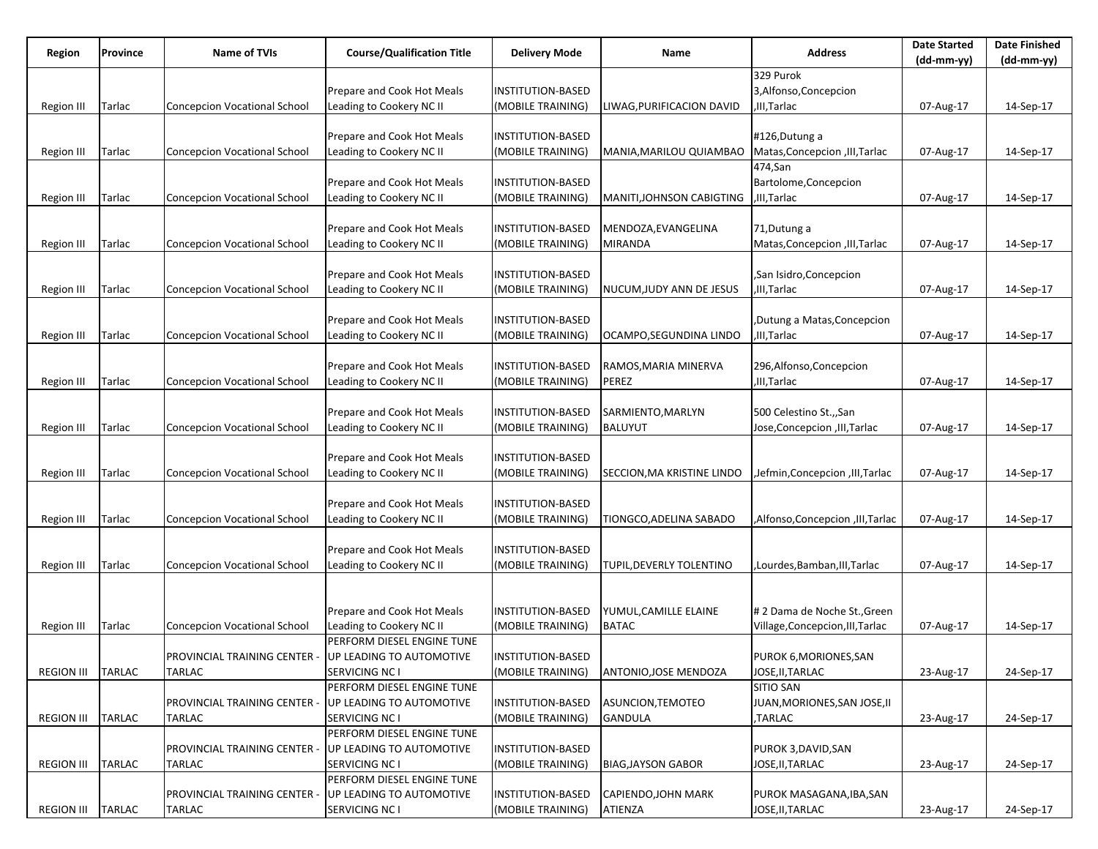| Region            | Province      | <b>Name of TVIs</b>                 | <b>Course/Qualification Title</b> | <b>Delivery Mode</b>     | Name                         | <b>Address</b>                   | <b>Date Started</b><br>$(dd-mm-yy)$ | <b>Date Finished</b><br>(dd-mm-yy) |
|-------------------|---------------|-------------------------------------|-----------------------------------|--------------------------|------------------------------|----------------------------------|-------------------------------------|------------------------------------|
|                   |               |                                     |                                   |                          |                              | 329 Purok                        |                                     |                                    |
|                   |               |                                     | Prepare and Cook Hot Meals        | INSTITUTION-BASED        |                              | 3,Alfonso,Concepcion             |                                     |                                    |
| Region III        | Tarlac        | <b>Concepcion Vocational School</b> | Leading to Cookery NC II          | (MOBILE TRAINING)        | LIWAG,PURIFICACION DAVID     | III, Tarlac                      | 07-Aug-17                           | 14-Sep-17                          |
|                   |               |                                     |                                   |                          |                              |                                  |                                     |                                    |
|                   |               |                                     | Prepare and Cook Hot Meals        | INSTITUTION-BASED        |                              | #126, Dutung a                   |                                     |                                    |
|                   |               |                                     |                                   |                          |                              |                                  |                                     |                                    |
| Region III        | Tarlac        | <b>Concepcion Vocational School</b> | Leading to Cookery NC II          | (MOBILE TRAINING)        | MANIA,MARILOU QUIAMBAO       | Matas, Concepcion, III, Tarlac   | 07-Aug-17                           | 14-Sep-17                          |
|                   |               |                                     |                                   |                          |                              | 474,San                          |                                     |                                    |
|                   |               |                                     | Prepare and Cook Hot Meals        | <b>INSTITUTION-BASED</b> |                              | Bartolome, Concepcion            |                                     |                                    |
| Region III        | Tarlac        | <b>Concepcion Vocational School</b> | Leading to Cookery NC II          | (MOBILE TRAINING)        | MANITI,JOHNSON CABIGTING     | ,III,Tarlac                      | 07-Aug-17                           | 14-Sep-17                          |
|                   |               |                                     |                                   |                          |                              |                                  |                                     |                                    |
|                   |               |                                     | Prepare and Cook Hot Meals        | INSTITUTION-BASED        | MENDOZA, EVANGELINA          | 71, Dutung a                     |                                     |                                    |
| Region III        | Tarlac        | <b>Concepcion Vocational School</b> | Leading to Cookery NC II          | (MOBILE TRAINING)        | <b>MIRANDA</b>               | Matas, Concepcion, III, Tarlac   | 07-Aug-17                           | 14-Sep-17                          |
|                   |               |                                     |                                   |                          |                              |                                  |                                     |                                    |
|                   |               |                                     | Prepare and Cook Hot Meals        | INSTITUTION-BASED        |                              | ,San Isidro,Concepcion           |                                     |                                    |
| Region III        | Tarlac        | <b>Concepcion Vocational School</b> | Leading to Cookery NC II          | (MOBILE TRAINING)        | NUCUM, JUDY ANN DE JESUS     | III, Tarlac                      | 07-Aug-17                           | 14-Sep-17                          |
|                   |               |                                     |                                   |                          |                              |                                  |                                     |                                    |
|                   |               |                                     | Prepare and Cook Hot Meals        | INSTITUTION-BASED        |                              | Dutung a Matas, Concepcion,      |                                     |                                    |
| Region III        | Tarlac        | <b>Concepcion Vocational School</b> | Leading to Cookery NC II          | (MOBILE TRAINING)        | OCAMPO,SEGUNDINA LINDO       | III, Tarlac                      | 07-Aug-17                           | 14-Sep-17                          |
|                   |               |                                     |                                   |                          |                              |                                  |                                     |                                    |
|                   |               |                                     | Prepare and Cook Hot Meals        | INSTITUTION-BASED        | RAMOS, MARIA MINERVA         | 296,Alfonso,Concepcion           |                                     |                                    |
| Region III        | Tarlac        | <b>Concepcion Vocational School</b> | Leading to Cookery NC II          | (MOBILE TRAINING)        | <b>PEREZ</b>                 | ,III,Tarlac                      | 07-Aug-17                           | 14-Sep-17                          |
|                   |               |                                     |                                   |                          |                              |                                  |                                     |                                    |
|                   |               |                                     | Prepare and Cook Hot Meals        | INSTITUTION-BASED        | SARMIENTO,MARLYN             | 500 Celestino St.,,San           |                                     |                                    |
| Region III        | Tarlac        | Concepcion Vocational School        | Leading to Cookery NC II          | (MOBILE TRAINING)        | <b>BALUYUT</b>               | Jose, Concepcion, III, Tarlac    | 07-Aug-17                           | 14-Sep-17                          |
|                   |               |                                     |                                   |                          |                              |                                  |                                     |                                    |
|                   |               |                                     | Prepare and Cook Hot Meals        | INSTITUTION-BASED        |                              |                                  |                                     |                                    |
| Region III        | Tarlac        | <b>Concepcion Vocational School</b> | Leading to Cookery NC II          | (MOBILE TRAINING)        | SECCION, MA KRISTINE LINDO   | Jefmin, Concepcion, III, Tarlac  | 07-Aug-17                           | 14-Sep-17                          |
|                   |               |                                     |                                   |                          |                              |                                  |                                     |                                    |
|                   |               |                                     |                                   |                          |                              |                                  |                                     |                                    |
|                   |               |                                     | Prepare and Cook Hot Meals        | INSTITUTION-BASED        |                              |                                  |                                     |                                    |
| <b>Region III</b> | Tarlac        | <b>Concepcion Vocational School</b> | Leading to Cookery NC II          | (MOBILE TRAINING)        | TIONGCO, ADELINA SABADO      | ,Alfonso,Concepcion,III,Tarlac   | 07-Aug-17                           | 14-Sep-17                          |
|                   |               |                                     |                                   |                          |                              |                                  |                                     |                                    |
|                   |               |                                     | Prepare and Cook Hot Meals        | <b>INSTITUTION-BASED</b> |                              |                                  |                                     |                                    |
| <b>Region III</b> | Tarlac        | <b>Concepcion Vocational School</b> | Leading to Cookery NC II          | (MOBILE TRAINING)        | TUPIL, DEVERLY TOLENTINO     | ,Lourdes,Bamban,III,Tarlac       | 07-Aug-17                           | 14-Sep-17                          |
|                   |               |                                     |                                   |                          |                              |                                  |                                     |                                    |
|                   |               |                                     |                                   |                          |                              |                                  |                                     |                                    |
|                   |               |                                     | Prepare and Cook Hot Meals        | INSTITUTION-BASED        | YUMUL, CAMILLE ELAINE        | # 2 Dama de Noche St., Green     |                                     |                                    |
| Region III        | Tarlac        | <b>Concepcion Vocational School</b> | Leading to Cookery NC II          | (MOBILE TRAINING)        | <b>BATAC</b>                 | Village, Concepcion, III, Tarlac | 07-Aug-17                           | 14-Sep-17                          |
|                   |               |                                     | PERFORM DIESEL ENGINE TUNE        |                          |                              |                                  |                                     |                                    |
|                   |               | PROVINCIAL TRAINING CENTER -        | UP LEADING TO AUTOMOTIVE          | <b>INSTITUTION-BASED</b> |                              | PUROK 6, MORIONES, SAN           |                                     |                                    |
| <b>REGION III</b> | <b>TARLAC</b> | TARLAC                              | SERVICING NC I                    | (MOBILE TRAINING)        | <b>ANTONIO, JOSE MENDOZA</b> | JOSE, II, TARLAC                 | 23-Aug-17                           | 24-Sep-17                          |
|                   |               |                                     | PERFORM DIESEL ENGINE TUNE        |                          |                              | <b>SITIO SAN</b>                 |                                     |                                    |
|                   |               | PROVINCIAL TRAINING CENTER -        | UP LEADING TO AUTOMOTIVE          | INSTITUTION-BASED        | ASUNCION, TEMOTEO            | JUAN, MORIONES, SAN JOSE, II     |                                     |                                    |
| <b>REGION III</b> | <b>TARLAC</b> | TARLAC                              | SERVICING NC I                    | (MOBILE TRAINING)        | <b>GANDULA</b>               | ,TARLAC                          | 23-Aug-17                           | 24-Sep-17                          |
|                   |               |                                     | PERFORM DIESEL ENGINE TUNE        |                          |                              |                                  |                                     |                                    |
|                   |               | PROVINCIAL TRAINING CENTER -        | UP LEADING TO AUTOMOTIVE          | INSTITUTION-BASED        |                              | PUROK 3, DAVID, SAN              |                                     |                                    |
| <b>REGION III</b> | TARLAC        | TARLAC                              | SERVICING NC I                    | (MOBILE TRAINING)        | <b>BIAG, JAYSON GABOR</b>    | JOSE,II,TARLAC                   | 23-Aug-17                           | 24-Sep-17                          |
|                   |               |                                     | PERFORM DIESEL ENGINE TUNE        |                          |                              |                                  |                                     |                                    |
|                   |               | <b>PROVINCIAL TRAINING CENTER -</b> | UP LEADING TO AUTOMOTIVE          | INSTITUTION-BASED        | CAPIENDO,JOHN MARK           | PUROK MASAGANA, IBA, SAN         |                                     |                                    |
| REGION III        | <b>TARLAC</b> | <b>TARLAC</b>                       | SERVICING NC I                    | (MOBILE TRAINING)        | ATIENZA                      | JOSE, II, TARLAC                 | 23-Aug-17                           | 24-Sep-17                          |
|                   |               |                                     |                                   |                          |                              |                                  |                                     |                                    |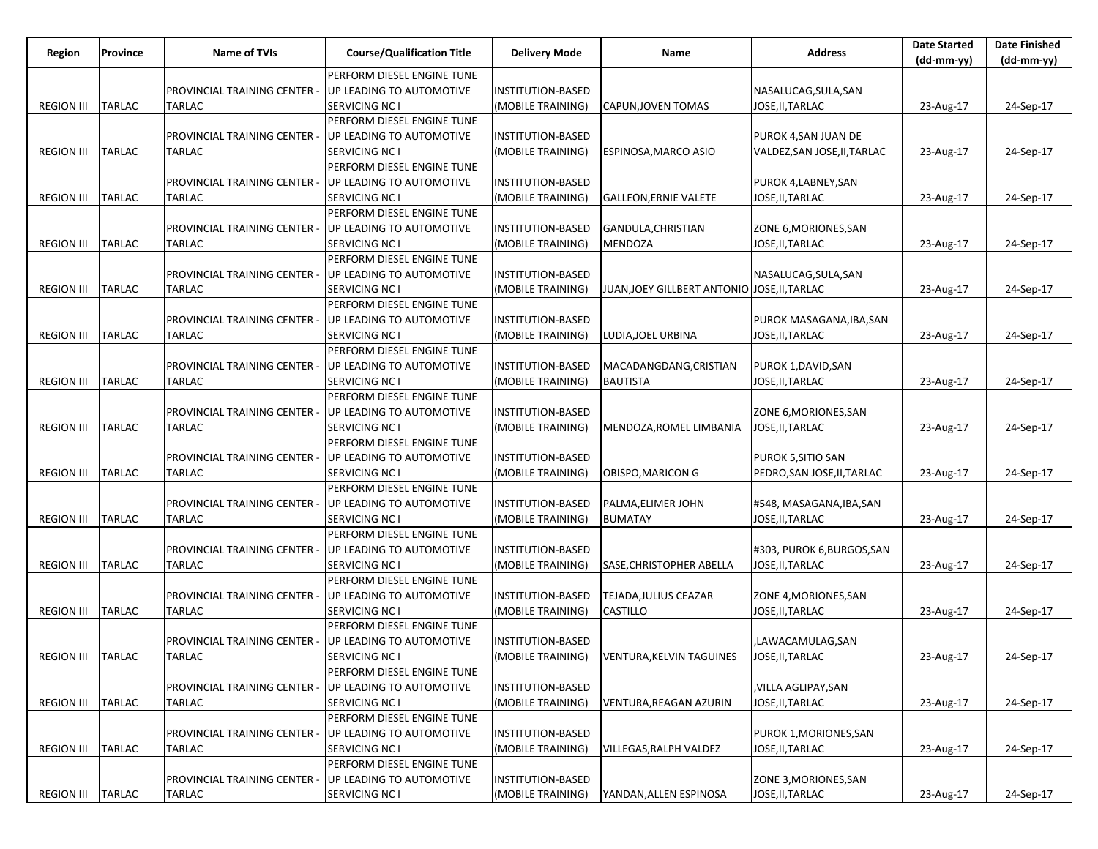| Region              | Province      | Name of TVIs                 | <b>Course/Qualification Title</b> | <b>Delivery Mode</b>     | Name                                         | <b>Address</b>               | <b>Date Started</b> | <b>Date Finished</b> |
|---------------------|---------------|------------------------------|-----------------------------------|--------------------------|----------------------------------------------|------------------------------|---------------------|----------------------|
|                     |               |                              | PERFORM DIESEL ENGINE TUNE        |                          |                                              |                              | $(dd-mm-yy)$        | $(dd-mm-yy)$         |
|                     |               |                              |                                   |                          |                                              |                              |                     |                      |
|                     |               | PROVINCIAL TRAINING CENTER   | UP LEADING TO AUTOMOTIVE          | INSTITUTION-BASED        |                                              | NASALUCAG, SULA, SAN         |                     |                      |
| <b>REGION III</b>   | <b>TARLAC</b> | <b>TARLAC</b>                | SERVICING NC I                    | (MOBILE TRAINING)        | CAPUN, JOVEN TOMAS                           | JOSE, II, TARLAC             | 23-Aug-17           | 24-Sep-17            |
|                     |               |                              | PERFORM DIESEL ENGINE TUNE        |                          |                                              |                              |                     |                      |
|                     |               | PROVINCIAL TRAINING CENTER   | UP LEADING TO AUTOMOTIVE          | INSTITUTION-BASED        |                                              | PUROK 4, SAN JUAN DE         |                     |                      |
| <b>REGION III</b>   | <b>TARLAC</b> | TARLAC                       | SERVICING NC I                    | (MOBILE TRAINING)        | <b>ESPINOSA, MARCO ASIO</b>                  | VALDEZ, SAN JOSE, II, TARLAC | 23-Aug-17           | 24-Sep-17            |
|                     |               |                              | PERFORM DIESEL ENGINE TUNE        |                          |                                              |                              |                     |                      |
|                     |               | PROVINCIAL TRAINING CENTER   | UP LEADING TO AUTOMOTIVE          | INSTITUTION-BASED        |                                              | PUROK 4, LABNEY, SAN         |                     |                      |
| <b>REGION III</b>   | <b>TARLAC</b> | TARLAC                       | SERVICING NC I                    | (MOBILE TRAINING)        | <b>GALLEON, ERNIE VALETE</b>                 | JOSE, II, TARLAC             | 23-Aug-17           | 24-Sep-17            |
|                     |               |                              | PERFORM DIESEL ENGINE TUNE        |                          |                                              |                              |                     |                      |
|                     |               | PROVINCIAL TRAINING CENTER - | UP LEADING TO AUTOMOTIVE          | INSTITUTION-BASED        | GANDULA, CHRISTIAN                           | ZONE 6, MORIONES, SAN        |                     |                      |
| <b>REGION III</b>   | <b>TARLAC</b> | TARLAC                       | <b>SERVICING NC I</b>             | (MOBILE TRAINING)        | MENDOZA                                      | JOSE, II, TARLAC             | 23-Aug-17           | 24-Sep-17            |
|                     |               |                              | PERFORM DIESEL ENGINE TUNE        |                          |                                              |                              |                     |                      |
|                     |               | PROVINCIAL TRAINING CENTER   | UP LEADING TO AUTOMOTIVE          | INSTITUTION-BASED        |                                              | NASALUCAG, SULA, SAN         |                     |                      |
| <b>REGION III</b>   | TARLAC        | <b>TARLAC</b>                | <b>SERVICING NC I</b>             | (MOBILE TRAINING)        | JUAN, JOEY GILLBERT ANTONIO JOSE, II, TARLAC |                              | 23-Aug-17           | 24-Sep-17            |
|                     |               |                              | PERFORM DIESEL ENGINE TUNE        |                          |                                              |                              |                     |                      |
|                     |               | PROVINCIAL TRAINING CENTER - | UP LEADING TO AUTOMOTIVE          | INSTITUTION-BASED        |                                              | PUROK MASAGANA, IBA, SAN     |                     |                      |
| <b>REGION III</b>   | TARLAC        | TARLAC                       | SERVICING NC I                    | (MOBILE TRAINING)        | LUDIA, JOEL URBINA                           | JOSE, II, TARLAC             | 23-Aug-17           | 24-Sep-17            |
|                     |               |                              | PERFORM DIESEL ENGINE TUNE        |                          |                                              |                              |                     |                      |
|                     |               | PROVINCIAL TRAINING CENTER   | UP LEADING TO AUTOMOTIVE          | <b>INSTITUTION-BASED</b> | MACADANGDANG, CRISTIAN                       | PUROK 1,DAVID,SAN            |                     |                      |
| <b>REGION III</b>   | TARLAC        | TARLAC                       | SERVICING NC I                    | (MOBILE TRAINING)        | <b>BAUTISTA</b>                              | JOSE, II, TARLAC             | 23-Aug-17           | 24-Sep-17            |
|                     |               |                              | PERFORM DIESEL ENGINE TUNE        |                          |                                              |                              |                     |                      |
|                     |               | PROVINCIAL TRAINING CENTER - | UP LEADING TO AUTOMOTIVE          | INSTITUTION-BASED        |                                              | ZONE 6, MORIONES, SAN        |                     |                      |
| <b>REGION III</b>   | TARLAC        | TARLAC                       | SERVICING NC I                    | (MOBILE TRAINING)        | MENDOZA, ROMEL LIMBANIA                      | JOSE, II, TARLAC             | 23-Aug-17           | 24-Sep-17            |
|                     |               |                              | PERFORM DIESEL ENGINE TUNE        |                          |                                              |                              |                     |                      |
|                     |               | PROVINCIAL TRAINING CENTER - | UP LEADING TO AUTOMOTIVE          | INSTITUTION-BASED        |                                              | PUROK 5, SITIO SAN           |                     |                      |
| <b>REGION III</b>   | TARLAC        | <b>TARLAC</b>                | SERVICING NC I                    | (MOBILE TRAINING)        | OBISPO, MARICON G                            | PEDRO, SAN JOSE, II, TARLAC  | 23-Aug-17           | 24-Sep-17            |
|                     |               |                              | PERFORM DIESEL ENGINE TUNE        |                          |                                              |                              |                     |                      |
|                     |               | PROVINCIAL TRAINING CENTER - | UP LEADING TO AUTOMOTIVE          | INSTITUTION-BASED        | PALMA, ELIMER JOHN                           | #548, MASAGANA, IBA, SAN     |                     |                      |
| <b>REGION III</b>   | TARLAC        | <b>TARLAC</b>                | SERVICING NC I                    | (MOBILE TRAINING)        | <b>BUMATAY</b>                               | JOSE, II, TARLAC             | 23-Aug-17           | 24-Sep-17            |
|                     |               |                              | PERFORM DIESEL ENGINE TUNE        |                          |                                              |                              |                     |                      |
|                     |               | PROVINCIAL TRAINING CENTER - | UP LEADING TO AUTOMOTIVE          | INSTITUTION-BASED        |                                              | #303, PUROK 6, BURGOS, SAN   |                     |                      |
| <b>REGION III</b>   | TARLAC        | <b>TARLAC</b>                | SERVICING NC I                    | (MOBILE TRAINING)        | SASE, CHRISTOPHER ABELLA                     | JOSE, II, TARLAC             | 23-Aug-17           | 24-Sep-17            |
|                     |               |                              | PERFORM DIESEL ENGINE TUNE        |                          |                                              |                              |                     |                      |
|                     |               | PROVINCIAL TRAINING CENTER - | UP LEADING TO AUTOMOTIVE          | INSTITUTION-BASED        | TEJADA,JULIUS CEAZAR                         | ZONE 4, MORIONES, SAN        |                     |                      |
| <b>REGION III</b>   | <b>TARLAC</b> | <b>TARLAC</b>                | SERVICING NC I                    | (MOBILE TRAINING)        | CASTILLO                                     | JOSE, II, TARLAC             | 23-Aug-17           | 24-Sep-17            |
|                     |               |                              | PERFORM DIESEL ENGINE TUNE        |                          |                                              |                              |                     |                      |
|                     |               | PROVINCIAL TRAINING CENTER - | UP LEADING TO AUTOMOTIVE          | INSTITUTION-BASED        |                                              | ,LAWACAMULAG,SAN             |                     |                      |
| REGION III   TARLAC |               | <b>TARLAC</b>                | SERVICING NC I                    | (MOBILE TRAINING)        | VENTURA, KELVIN TAGUINES                     | JOSE, II, TARLAC             | 23-Aug-17           | 24-Sep-17            |
|                     |               |                              | PERFORM DIESEL ENGINE TUNE        |                          |                                              |                              |                     |                      |
|                     |               | PROVINCIAL TRAINING CENTER - | UP LEADING TO AUTOMOTIVE          | INSTITUTION-BASED        |                                              | ,VILLA AGLIPAY,SAN           |                     |                      |
| <b>REGION III</b>   | <b>TARLAC</b> | <b>TARLAC</b>                | <b>SERVICING NC I</b>             | (MOBILE TRAINING)        | VENTURA, REAGAN AZURIN                       | JOSE, II, TARLAC             | 23-Aug-17           | 24-Sep-17            |
|                     |               |                              | PERFORM DIESEL ENGINE TUNE        |                          |                                              |                              |                     |                      |
|                     |               | PROVINCIAL TRAINING CENTER - | UP LEADING TO AUTOMOTIVE          | <b>INSTITUTION-BASED</b> |                                              | PUROK 1, MORIONES, SAN       |                     |                      |
| <b>REGION III</b>   | <b>TARLAC</b> | TARLAC                       | SERVICING NC I                    | (MOBILE TRAINING)        | VILLEGAS, RALPH VALDEZ                       | JOSE, II, TARLAC             | 23-Aug-17           | 24-Sep-17            |
|                     |               |                              | PERFORM DIESEL ENGINE TUNE        |                          |                                              |                              |                     |                      |
|                     |               | PROVINCIAL TRAINING CENTER - | UP LEADING TO AUTOMOTIVE          | INSTITUTION-BASED        |                                              | ZONE 3, MORIONES, SAN        |                     |                      |
| <b>REGION III</b>   | <b>TARLAC</b> | <b>TARLAC</b>                | SERVICING NC I                    | (MOBILE TRAINING)        | YANDAN, ALLEN ESPINOSA                       | JOSE, II, TARLAC             | 23-Aug-17           | 24-Sep-17            |
|                     |               |                              |                                   |                          |                                              |                              |                     |                      |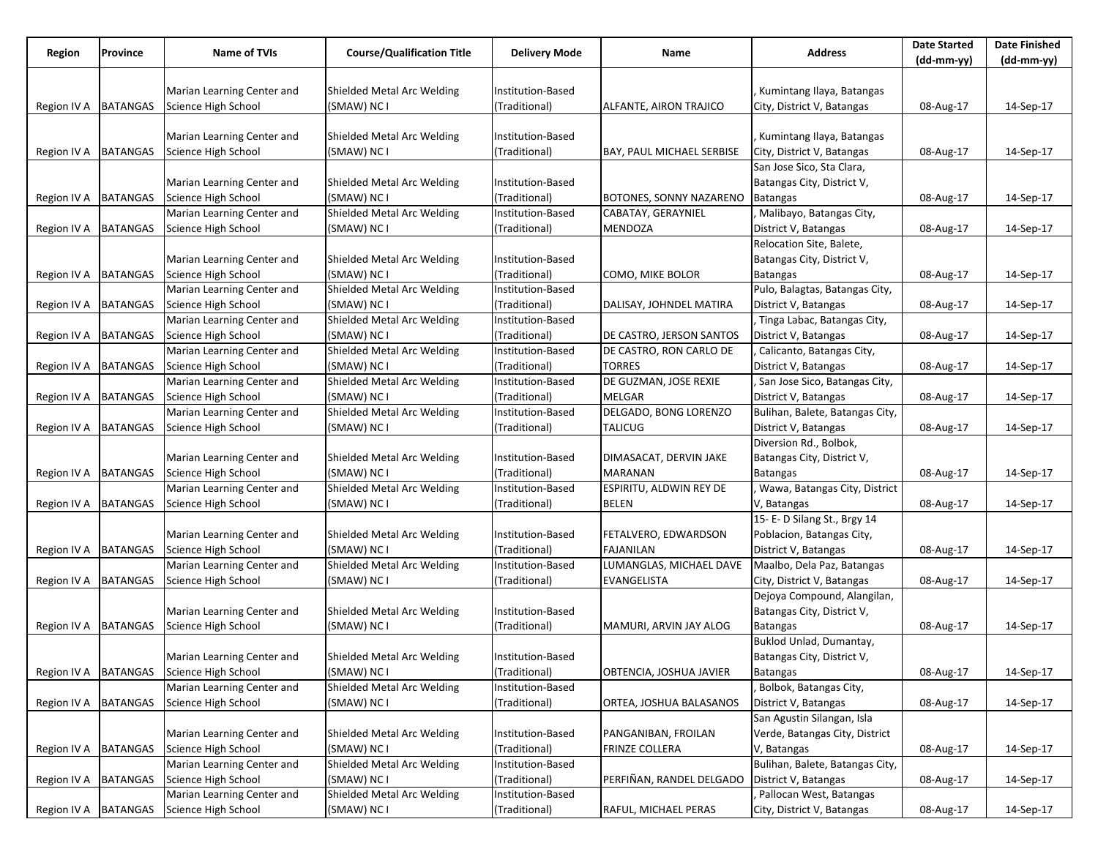|                        |                 |                                              |                                   |                                    |                                        |                                 | <b>Date Started</b> | <b>Date Finished</b> |
|------------------------|-----------------|----------------------------------------------|-----------------------------------|------------------------------------|----------------------------------------|---------------------------------|---------------------|----------------------|
| Region                 | Province        | Name of TVIs                                 | <b>Course/Qualification Title</b> | <b>Delivery Mode</b>               | Name                                   | <b>Address</b>                  | $(dd-mm-yy)$        | $(dd-mm-yy)$         |
|                        |                 |                                              |                                   |                                    |                                        |                                 |                     |                      |
|                        |                 | Marian Learning Center and                   | Shielded Metal Arc Welding        | Institution-Based                  |                                        | Kumintang Ilaya, Batangas       |                     |                      |
| Region IV A            | <b>BATANGAS</b> | Science High School                          | (SMAW) NC I                       | (Traditional)                      | ALFANTE, AIRON TRAJICO                 | City, District V, Batangas      | 08-Aug-17           | 14-Sep-17            |
|                        |                 |                                              |                                   |                                    |                                        |                                 |                     |                      |
|                        |                 | Marian Learning Center and                   | Shielded Metal Arc Welding        | Institution-Based                  |                                        | Kumintang Ilaya, Batangas       |                     |                      |
| Region IV A   BATANGAS |                 | Science High School                          | (SMAW) NC I                       | (Traditional)                      | BAY, PAUL MICHAEL SERBISE              | City, District V, Batangas      | 08-Aug-17           | 14-Sep-17            |
|                        |                 |                                              |                                   |                                    |                                        | San Jose Sico, Sta Clara,       |                     |                      |
|                        |                 | Marian Learning Center and                   | Shielded Metal Arc Welding        | Institution-Based                  |                                        | Batangas City, District V,      |                     |                      |
| Region IV A   BATANGAS |                 | Science High School                          | (SMAW) NC I                       | (Traditional)                      | BOTONES, SONNY NAZARENO                | <b>Batangas</b>                 | 08-Aug-17           | 14-Sep-17            |
|                        |                 | Marian Learning Center and                   | Shielded Metal Arc Welding        | Institution-Based                  | CABATAY, GERAYNIEL                     | , Malibayo, Batangas City,      |                     |                      |
| Region IV A            | <b>BATANGAS</b> | Science High School                          | (SMAW) NC I                       | (Traditional)                      | <b>MENDOZA</b>                         | District V, Batangas            | 08-Aug-17           | 14-Sep-17            |
|                        |                 |                                              |                                   |                                    |                                        | Relocation Site, Balete,        |                     |                      |
|                        |                 | Marian Learning Center and                   | Shielded Metal Arc Welding        | Institution-Based                  |                                        | Batangas City, District V,      |                     |                      |
| Region IV A            | <b>BATANGAS</b> | Science High School                          | (SMAW) NC I                       | (Traditional)                      | COMO, MIKE BOLOR                       | <b>Batangas</b>                 | 08-Aug-17           | 14-Sep-17            |
|                        |                 | Marian Learning Center and                   | Shielded Metal Arc Welding        | Institution-Based                  |                                        | Pulo, Balagtas, Batangas City,  |                     |                      |
| Region IV A            | <b>BATANGAS</b> | Science High School                          | (SMAW) NC I                       | (Traditional)                      | DALISAY, JOHNDEL MATIRA                | District V, Batangas            | 08-Aug-17           | 14-Sep-17            |
|                        |                 | Marian Learning Center and                   | Shielded Metal Arc Welding        | Institution-Based                  |                                        | , Tinga Labac, Batangas City,   |                     |                      |
|                        |                 |                                              | (SMAW) NC I                       |                                    | DE CASTRO, JERSON SANTOS               |                                 |                     |                      |
| Region IV A            | <b>BATANGAS</b> | Science High School                          | Shielded Metal Arc Welding        | (Traditional)<br>Institution-Based | DE CASTRO, RON CARLO DE                | District V, Batangas            | 08-Aug-17           | 14-Sep-17            |
|                        |                 | Marian Learning Center and                   |                                   |                                    |                                        | Calicanto, Batangas City,       |                     |                      |
| Region IV A            | <b>BATANGAS</b> | Science High School                          | (SMAW) NC I                       | (Traditional)                      | <b>TORRES</b><br>DE GUZMAN, JOSE REXIE | District V, Batangas            | 08-Aug-17           | 14-Sep-17            |
|                        |                 | Marian Learning Center and                   | Shielded Metal Arc Welding        | Institution-Based                  |                                        | San Jose Sico, Batangas City,   |                     |                      |
| Region IV A            | <b>BATANGAS</b> | Science High School                          | (SMAW) NC I                       | (Traditional)                      | MELGAR                                 | District V, Batangas            | 08-Aug-17           | 14-Sep-17            |
|                        |                 | Marian Learning Center and                   | Shielded Metal Arc Welding        | Institution-Based                  | DELGADO, BONG LORENZO                  | Bulihan, Balete, Batangas City, |                     |                      |
| Region IV A            | <b>BATANGAS</b> | Science High School                          | (SMAW) NC I                       | (Traditional)                      | <b>TALICUG</b>                         | District V, Batangas            | 08-Aug-17           | 14-Sep-17            |
|                        |                 |                                              |                                   |                                    |                                        | Diversion Rd., Bolbok,          |                     |                      |
|                        |                 | Marian Learning Center and                   | Shielded Metal Arc Welding        | Institution-Based                  | DIMASACAT, DERVIN JAKE                 | Batangas City, District V,      |                     |                      |
| Region IV A            | <b>BATANGAS</b> | Science High School                          | (SMAW) NC I                       | (Traditional)                      | <b>MARANAN</b>                         | Batangas                        | 08-Aug-17           | 14-Sep-17            |
|                        |                 | Marian Learning Center and                   | Shielded Metal Arc Welding        | Institution-Based                  | <b>ESPIRITU, ALDWIN REY DE</b>         | Wawa, Batangas City, District   |                     |                      |
| Region IV A            | <b>BATANGAS</b> | Science High School                          | (SMAW) NC I                       | (Traditional)                      | <b>BELEN</b>                           | V, Batangas                     | 08-Aug-17           | 14-Sep-17            |
|                        |                 |                                              |                                   |                                    |                                        | 15- E- D Silang St., Brgy 14    |                     |                      |
|                        |                 | Marian Learning Center and                   | Shielded Metal Arc Welding        | Institution-Based                  | FETALVERO, EDWARDSON                   | Poblacion, Batangas City,       |                     |                      |
| Region IV A            | <b>BATANGAS</b> | Science High School                          | (SMAW) NC I                       | (Traditional)                      | <b>FAJANILAN</b>                       | District V, Batangas            | 08-Aug-17           | 14-Sep-17            |
|                        |                 | Marian Learning Center and                   | Shielded Metal Arc Welding        | Institution-Based                  | LUMANGLAS, MICHAEL DAVE                | Maalbo, Dela Paz, Batangas      |                     |                      |
| Region IV A   BATANGAS |                 | Science High School                          | (SMAW) NC I                       | (Traditional)                      | EVANGELISTA                            | City, District V, Batangas      | 08-Aug-17           | 14-Sep-17            |
|                        |                 |                                              |                                   |                                    |                                        | Dejoya Compound, Alangilan,     |                     |                      |
|                        |                 | Marian Learning Center and                   | Shielded Metal Arc Welding        | Institution-Based                  |                                        | Batangas City, District V,      |                     |                      |
| Region IV A            | <b>BATANGAS</b> | Science High School                          | (SMAW) NC I                       | (Traditional)                      | MAMURI, ARVIN JAY ALOG                 | <b>Batangas</b>                 | 08-Aug-17           | 14-Sep-17            |
|                        |                 |                                              |                                   |                                    |                                        | Buklod Unlad, Dumantay,         |                     |                      |
|                        |                 | Marian Learning Center and                   | Shielded Metal Arc Welding        | Institution-Based                  |                                        | Batangas City, District V,      |                     |                      |
|                        |                 | Region IV A   BATANGAS   Science High School | (SMAW) NC I                       | (Traditional)                      | OBTENCIA, JOSHUA JAVIER                | Batangas                        | 08-Aug-17           | 14-Sep-17            |
|                        |                 | Marian Learning Center and                   | Shielded Metal Arc Welding        | Institution-Based                  |                                        | Bolbok, Batangas City,          |                     |                      |
| Region IV A            | <b>BATANGAS</b> | Science High School                          | (SMAW) NC I                       | (Traditional)                      | ORTEA, JOSHUA BALASANOS                | District V, Batangas            | 08-Aug-17           | 14-Sep-17            |
|                        |                 |                                              |                                   |                                    |                                        | San Agustin Silangan, Isla      |                     |                      |
|                        |                 | Marian Learning Center and                   | Shielded Metal Arc Welding        | Institution-Based                  | PANGANIBAN, FROILAN                    | Verde, Batangas City, District  |                     |                      |
| Region IV A   BATANGAS |                 | Science High School                          | (SMAW) NC I                       | (Traditional)                      | <b>FRINZE COLLERA</b>                  | V, Batangas                     | 08-Aug-17           | 14-Sep-17            |
|                        |                 | Marian Learning Center and                   | Shielded Metal Arc Welding        | Institution-Based                  |                                        | Bulihan, Balete, Batangas City, |                     |                      |
| Region IV A            | <b>BATANGAS</b> | Science High School                          | (SMAW) NC I                       | (Traditional)                      | PERFIÑAN, RANDEL DELGADO               | District V, Batangas            | 08-Aug-17           | 14-Sep-17            |
|                        |                 | Marian Learning Center and                   | Shielded Metal Arc Welding        | Institution-Based                  |                                        | Pallocan West, Batangas         |                     |                      |
|                        |                 | Region IV A   BATANGAS   Science High School | (SMAW) NC I                       | (Traditional)                      | RAFUL, MICHAEL PERAS                   | City, District V, Batangas      | 08-Aug-17           | 14-Sep-17            |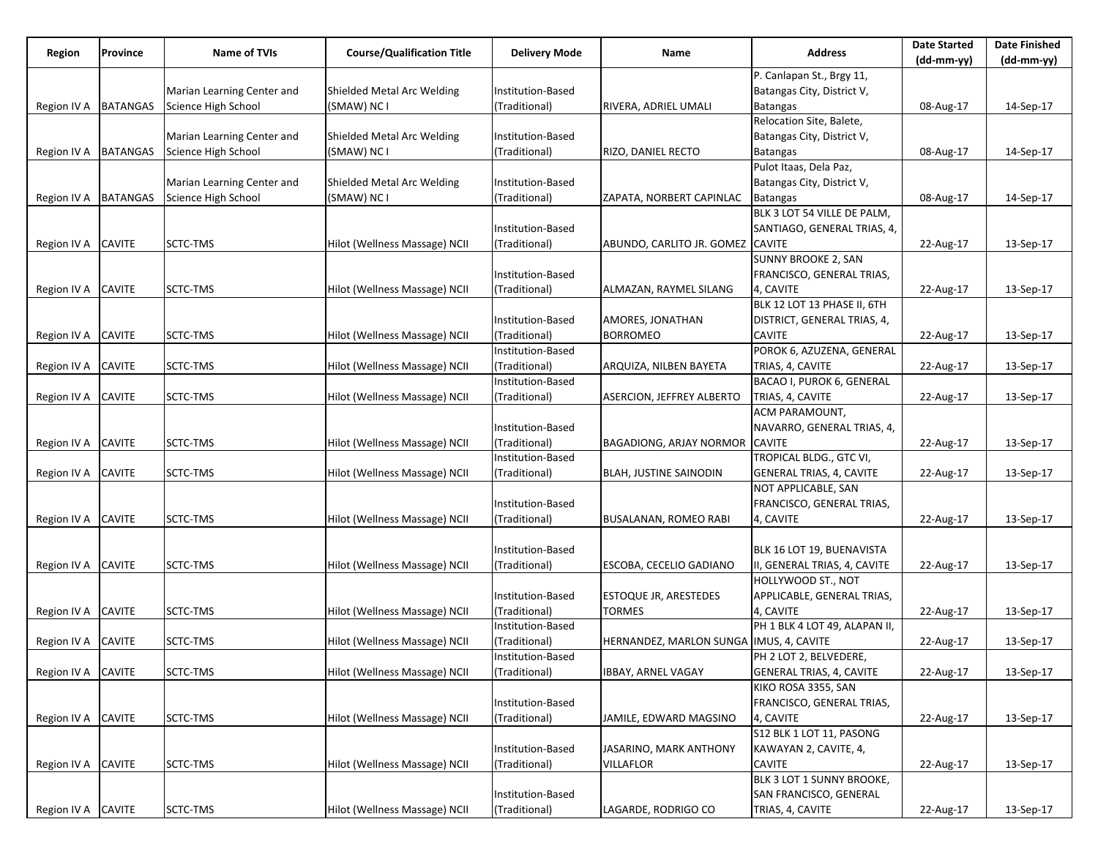| Region                 | Province        | Name of TVIs               | <b>Course/Qualification Title</b> | <b>Delivery Mode</b> | Name                                     | <b>Address</b>                  | <b>Date Started</b> | <b>Date Finished</b> |
|------------------------|-----------------|----------------------------|-----------------------------------|----------------------|------------------------------------------|---------------------------------|---------------------|----------------------|
|                        |                 |                            |                                   |                      |                                          |                                 | (dd-mm-yy)          | $(dd-mm-yy)$         |
|                        |                 |                            |                                   |                      |                                          | P. Canlapan St., Brgy 11,       |                     |                      |
|                        |                 | Marian Learning Center and | Shielded Metal Arc Welding        | Institution-Based    |                                          | Batangas City, District V,      |                     |                      |
| Region IV A            | <b>BATANGAS</b> | Science High School        | (SMAW) NC I                       | (Traditional)        | RIVERA, ADRIEL UMALI                     | <b>Batangas</b>                 | 08-Aug-17           | 14-Sep-17            |
|                        |                 |                            |                                   |                      |                                          | Relocation Site, Balete,        |                     |                      |
|                        |                 | Marian Learning Center and | Shielded Metal Arc Welding        | Institution-Based    |                                          | Batangas City, District V,      |                     |                      |
| Region IV A            | <b>BATANGAS</b> | Science High School        | (SMAW) NC I                       | (Traditional)        | <b>RIZO, DANIEL RECTO</b>                | <b>Batangas</b>                 | 08-Aug-17           | 14-Sep-17            |
|                        |                 |                            |                                   |                      |                                          | Pulot Itaas, Dela Paz,          |                     |                      |
|                        |                 | Marian Learning Center and | Shielded Metal Arc Welding        | Institution-Based    |                                          | Batangas City, District V,      |                     |                      |
| Region IV A   BATANGAS |                 | Science High School        | (SMAW) NC I                       | (Traditional)        | ZAPATA, NORBERT CAPINLAC                 | <b>Batangas</b>                 | 08-Aug-17           | 14-Sep-17            |
|                        |                 |                            |                                   |                      |                                          | BLK 3 LOT 54 VILLE DE PALM,     |                     |                      |
|                        |                 |                            |                                   | Institution-Based    |                                          | SANTIAGO, GENERAL TRIAS, 4,     |                     |                      |
| Region IV A            | <b>CAVITE</b>   | SCTC-TMS                   | Hilot (Wellness Massage) NCII     | (Traditional)        | ABUNDO, CARLITO JR. GOMEZ CAVITE         |                                 | 22-Aug-17           | 13-Sep-17            |
|                        |                 |                            |                                   |                      |                                          | <b>SUNNY BROOKE 2, SAN</b>      |                     |                      |
|                        |                 |                            |                                   | Institution-Based    |                                          | FRANCISCO, GENERAL TRIAS,       |                     |                      |
| Region IV A CAVITE     |                 | SCTC-TMS                   | Hilot (Wellness Massage) NCII     | (Traditional)        | ALMAZAN, RAYMEL SILANG                   | 4, CAVITE                       | 22-Aug-17           | 13-Sep-17            |
|                        |                 |                            |                                   |                      |                                          | BLK 12 LOT 13 PHASE II, 6TH     |                     |                      |
|                        |                 |                            |                                   | Institution-Based    | AMORES, JONATHAN                         | DISTRICT, GENERAL TRIAS, 4,     |                     |                      |
| Region IV A            | <b>CAVITE</b>   | SCTC-TMS                   | Hilot (Wellness Massage) NCII     | (Traditional)        | <b>BORROMEO</b>                          | CAVITE                          | 22-Aug-17           | 13-Sep-17            |
|                        |                 |                            |                                   | Institution-Based    |                                          | POROK 6, AZUZENA, GENERAL       |                     |                      |
| Region IV A            | <b>CAVITE</b>   | SCTC-TMS                   | Hilot (Wellness Massage) NCII     | (Traditional)        | ARQUIZA, NILBEN BAYETA                   | TRIAS, 4, CAVITE                | 22-Aug-17           | 13-Sep-17            |
|                        |                 |                            |                                   | Institution-Based    |                                          | BACAO I, PUROK 6, GENERAL       |                     |                      |
| Region IV A            | <b>CAVITE</b>   | SCTC-TMS                   | Hilot (Wellness Massage) NCII     | (Traditional)        | ASERCION, JEFFREY ALBERTO                | TRIAS, 4, CAVITE                | 22-Aug-17           | 13-Sep-17            |
|                        |                 |                            |                                   |                      |                                          | ACM PARAMOUNT,                  |                     |                      |
|                        |                 |                            |                                   | Institution-Based    |                                          | NAVARRO, GENERAL TRIAS, 4,      |                     |                      |
| Region IV A            | <b>CAVITE</b>   | SCTC-TMS                   | Hilot (Wellness Massage) NCII     | (Traditional)        | <b>BAGADIONG, ARJAY NORMOR</b>           | <b>CAVITE</b>                   | 22-Aug-17           | 13-Sep-17            |
|                        |                 |                            |                                   | Institution-Based    |                                          | TROPICAL BLDG., GTC VI,         |                     |                      |
| Region IV A            | <b>CAVITE</b>   | SCTC-TMS                   | Hilot (Wellness Massage) NCII     | (Traditional)        | <b>BLAH, JUSTINE SAINODIN</b>            | GENERAL TRIAS, 4, CAVITE        | 22-Aug-17           | 13-Sep-17            |
|                        |                 |                            |                                   |                      |                                          | NOT APPLICABLE, SAN             |                     |                      |
|                        |                 |                            |                                   | Institution-Based    |                                          | FRANCISCO, GENERAL TRIAS,       |                     |                      |
| Region IV A            | <b>CAVITE</b>   | SCTC-TMS                   | Hilot (Wellness Massage) NCII     | (Traditional)        | <b>BUSALANAN, ROMEO RABI</b>             | 4, CAVITE                       | 22-Aug-17           | 13-Sep-17            |
|                        |                 |                            |                                   |                      |                                          |                                 |                     |                      |
|                        |                 |                            |                                   | Institution-Based    |                                          | BLK 16 LOT 19, BUENAVISTA       |                     |                      |
| Region IV A            | <b>CAVITE</b>   | SCTC-TMS                   | Hilot (Wellness Massage) NCII     | (Traditional)        | ESCOBA, CECELIO GADIANO                  | II, GENERAL TRIAS, 4, CAVITE    | 22-Aug-17           | 13-Sep-17            |
|                        |                 |                            |                                   |                      |                                          | HOLLYWOOD ST., NOT              |                     |                      |
|                        |                 |                            |                                   | Institution-Based    | <b>ESTOQUE JR, ARESTEDES</b>             | APPLICABLE, GENERAL TRIAS,      |                     |                      |
|                        | <b>CAVITE</b>   | SCTC-TMS                   | Hilot (Wellness Massage) NCII     | (Traditional)        | TORMES                                   | 4, CAVITE                       |                     | 13-Sep-17            |
| Region IV A            |                 |                            |                                   | Institution-Based    |                                          | PH 1 BLK 4 LOT 49, ALAPAN II,   | 22-Aug-17           |                      |
|                        |                 |                            |                                   |                      |                                          |                                 |                     |                      |
| Region IV A            | <b>CAVITE</b>   | SCTC-TMS                   | Hilot (Wellness Massage) NCII     | (Traditional)        | HERNANDEZ, MARLON SUNGA  IMUS, 4, CAVITE | PH 2 LOT 2, BELVEDERE,          | 22-Aug-17           | 13-Sep-17            |
|                        |                 |                            |                                   | Institution-Based    |                                          | <b>GENERAL TRIAS, 4, CAVITE</b> |                     |                      |
| Region IV A CAVITE     |                 | SCTC-TMS                   | Hilot (Wellness Massage) NCII     | (Traditional)        | <b>IBBAY, ARNEL VAGAY</b>                |                                 | 22-Aug-17           | 13-Sep-17            |
|                        |                 |                            |                                   |                      |                                          | KIKO ROSA 3355, SAN             |                     |                      |
|                        |                 |                            |                                   | Institution-Based    |                                          | FRANCISCO, GENERAL TRIAS,       |                     |                      |
| Region IV A CAVITE     |                 | SCTC-TMS                   | Hilot (Wellness Massage) NCII     | (Traditional)        | JAMILE, EDWARD MAGSINO                   | 4, CAVITE                       | 22-Aug-17           | 13-Sep-17            |
|                        |                 |                            |                                   |                      |                                          | S12 BLK 1 LOT 11, PASONG        |                     |                      |
|                        |                 |                            |                                   | Institution-Based    | JASARINO, MARK ANTHONY                   | KAWAYAN 2, CAVITE, 4,           |                     |                      |
| Region IV A            | <b>CAVITE</b>   | SCTC-TMS                   | Hilot (Wellness Massage) NCII     | (Traditional)        | <b>VILLAFLOR</b>                         | <b>CAVITE</b>                   | 22-Aug-17           | 13-Sep-17            |
|                        |                 |                            |                                   |                      |                                          | BLK 3 LOT 1 SUNNY BROOKE,       |                     |                      |
|                        |                 |                            |                                   | Institution-Based    |                                          | SAN FRANCISCO, GENERAL          |                     |                      |
| Region IV A CAVITE     |                 | SCTC-TMS                   | Hilot (Wellness Massage) NCII     | (Traditional)        | LAGARDE, RODRIGO CO                      | TRIAS, 4, CAVITE                | 22-Aug-17           | 13-Sep-17            |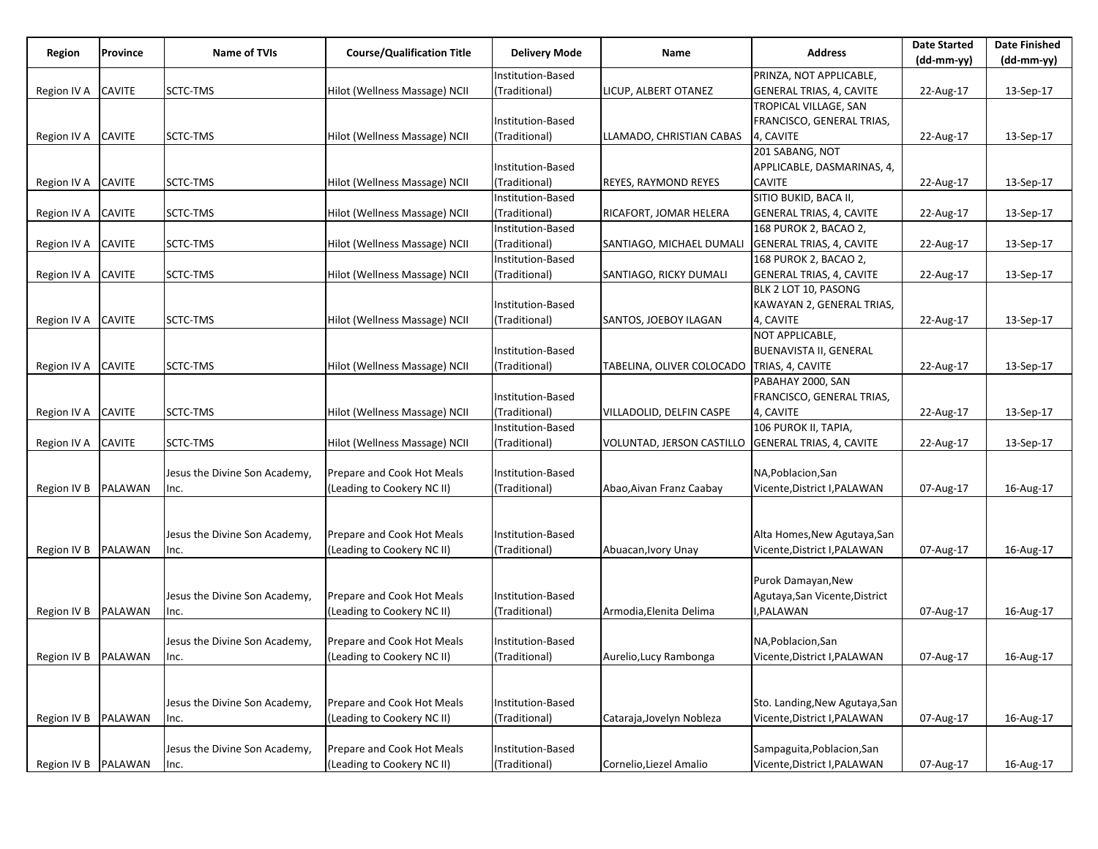| Region              | Province       | <b>Name of TVIs</b>           | <b>Course/Qualification Title</b> | <b>Delivery Mode</b> | Name                                               | <b>Address</b>                  | <b>Date Started</b> | <b>Date Finished</b> |
|---------------------|----------------|-------------------------------|-----------------------------------|----------------------|----------------------------------------------------|---------------------------------|---------------------|----------------------|
|                     |                |                               |                                   |                      |                                                    |                                 | (dd-mm-yy)          | (dd-mm-yy)           |
|                     |                |                               |                                   | Institution-Based    |                                                    | PRINZA, NOT APPLICABLE,         |                     |                      |
| Region IV A         | <b>CAVITE</b>  | SCTC-TMS                      | Hilot (Wellness Massage) NCII     | (Traditional)        | LICUP, ALBERT OTANEZ                               | <b>GENERAL TRIAS, 4, CAVITE</b> | 22-Aug-17           | 13-Sep-17            |
|                     |                |                               |                                   |                      |                                                    | TROPICAL VILLAGE, SAN           |                     |                      |
|                     |                |                               |                                   | Institution-Based    |                                                    | FRANCISCO, GENERAL TRIAS,       |                     |                      |
| Region IV A         | <b>CAVITE</b>  | SCTC-TMS                      | Hilot (Wellness Massage) NCII     | (Traditional)        | LLAMADO, CHRISTIAN CABAS                           | 4, CAVITE                       | 22-Aug-17           | 13-Sep-17            |
|                     |                |                               |                                   |                      |                                                    | 201 SABANG, NOT                 |                     |                      |
|                     |                |                               |                                   | Institution-Based    |                                                    | APPLICABLE, DASMARINAS, 4,      |                     |                      |
| Region IV A         | <b>CAVITE</b>  | SCTC-TMS                      | Hilot (Wellness Massage) NCII     | (Traditional)        | REYES, RAYMOND REYES                               | <b>CAVITE</b>                   | 22-Aug-17           | 13-Sep-17            |
|                     |                |                               |                                   | Institution-Based    |                                                    | SITIO BUKID, BACA II,           |                     |                      |
| Region IV A         | <b>CAVITE</b>  | SCTC-TMS                      | Hilot (Wellness Massage) NCII     | (Traditional)        | RICAFORT, JOMAR HELERA                             | <b>GENERAL TRIAS, 4, CAVITE</b> | 22-Aug-17           | 13-Sep-17            |
|                     |                |                               |                                   | Institution-Based    |                                                    | 168 PUROK 2, BACAO 2,           |                     |                      |
| Region IV A         | <b>CAVITE</b>  | SCTC-TMS                      | Hilot (Wellness Massage) NCII     | (Traditional)        | SANTIAGO, MICHAEL DUMALI                           | <b>GENERAL TRIAS, 4, CAVITE</b> | 22-Aug-17           | 13-Sep-17            |
|                     |                |                               |                                   | Institution-Based    |                                                    | 168 PUROK 2, BACAO 2,           |                     |                      |
| Region IV A         | <b>CAVITE</b>  | SCTC-TMS                      | Hilot (Wellness Massage) NCII     | (Traditional)        | SANTIAGO, RICKY DUMALI                             | <b>GENERAL TRIAS, 4, CAVITE</b> | 22-Aug-17           | 13-Sep-17            |
|                     |                |                               |                                   |                      |                                                    | BLK 2 LOT 10, PASONG            |                     |                      |
|                     |                |                               |                                   | Institution-Based    |                                                    | KAWAYAN 2, GENERAL TRIAS,       |                     |                      |
| Region IV A         | <b>CAVITE</b>  | SCTC-TMS                      | Hilot (Wellness Massage) NCII     | (Traditional)        | SANTOS, JOEBOY ILAGAN                              | 4, CAVITE                       | 22-Aug-17           | 13-Sep-17            |
|                     |                |                               |                                   |                      |                                                    | NOT APPLICABLE,                 |                     |                      |
|                     |                |                               |                                   | Institution-Based    |                                                    | <b>BUENAVISTA II, GENERAL</b>   |                     |                      |
| Region IV A         | <b>CAVITE</b>  | SCTC-TMS                      |                                   | (Traditional)        | TABELINA, OLIVER COLOCADO   TRIAS, 4, CAVITE       |                                 |                     | 13-Sep-17            |
|                     |                |                               | Hilot (Wellness Massage) NCII     |                      |                                                    |                                 | 22-Aug-17           |                      |
|                     |                |                               |                                   |                      |                                                    | PABAHAY 2000, SAN               |                     |                      |
|                     |                |                               |                                   | Institution-Based    |                                                    | FRANCISCO, GENERAL TRIAS,       |                     |                      |
| Region IV A         | <b>CAVITE</b>  | SCTC-TMS                      | Hilot (Wellness Massage) NCII     | (Traditional)        | VILLADOLID, DELFIN CASPE                           | 4, CAVITE                       | 22-Aug-17           | 13-Sep-17            |
|                     |                |                               |                                   | Institution-Based    |                                                    | 106 PUROK II, TAPIA,            |                     |                      |
| Region IV A         | <b>CAVITE</b>  | SCTC-TMS                      | Hilot (Wellness Massage) NCII     | (Traditional)        | VOLUNTAD, JERSON CASTILLO GENERAL TRIAS, 4, CAVITE |                                 | 22-Aug-17           | 13-Sep-17            |
|                     |                |                               |                                   |                      |                                                    |                                 |                     |                      |
|                     |                | Jesus the Divine Son Academy, | Prepare and Cook Hot Meals        | Institution-Based    |                                                    | NA, Poblacion, San              |                     |                      |
| Region IV B         | PALAWAN        | Inc.                          | (Leading to Cookery NC II)        | (Traditional)        | Abao, Aivan Franz Caabay                           | Vicente, District I, PALAWAN    | 07-Aug-17           | 16-Aug-17            |
|                     |                |                               |                                   |                      |                                                    |                                 |                     |                      |
|                     |                |                               |                                   |                      |                                                    |                                 |                     |                      |
|                     |                | Jesus the Divine Son Academy, | Prepare and Cook Hot Meals        | Institution-Based    |                                                    | Alta Homes, New Agutaya, San    |                     |                      |
| Region IV B         | PALAWAN        | Inc.                          | (Leading to Cookery NC II)        | (Traditional)        | Abuacan, Ivory Unay                                | Vicente, District I, PALAWAN    | 07-Aug-17           | 16-Aug-17            |
|                     |                |                               |                                   |                      |                                                    |                                 |                     |                      |
|                     |                |                               |                                   |                      |                                                    | Purok Damayan, New              |                     |                      |
|                     |                | Jesus the Divine Son Academy, | Prepare and Cook Hot Meals        | Institution-Based    |                                                    | Agutaya, San Vicente, District  |                     |                      |
| Region IV B         | PALAWAN        | Inc.                          | (Leading to Cookery NC II)        | (Traditional)        | Armodia,Elenita Delima                             | ,PALAWAN                        | 07-Aug-17           | 16-Aug-17            |
|                     |                |                               |                                   |                      |                                                    |                                 |                     |                      |
|                     |                | Jesus the Divine Son Academy, | Prepare and Cook Hot Meals        | Institution-Based    |                                                    | NA, Poblacion, San              |                     |                      |
| Region IV B PALAWAN |                | lnc.                          | (Leading to Cookery NC II)        | (Traditional)        | Aurelio, Lucy Rambonga                             | Vicente, District I, PALAWAN    | 07-Aug-17           | 16-Aug-17            |
|                     |                |                               |                                   |                      |                                                    |                                 |                     |                      |
|                     |                |                               |                                   |                      |                                                    |                                 |                     |                      |
|                     |                | Jesus the Divine Son Academy, | Prepare and Cook Hot Meals        | Institution-Based    |                                                    | Sto. Landing, New Agutaya, San  |                     |                      |
| Region IV B         | <b>PALAWAN</b> | Inc.                          | (Leading to Cookery NC II)        | (Traditional)        | Cataraja, Jovelyn Nobleza                          | Vicente, District I, PALAWAN    | 07-Aug-17           | 16-Aug-17            |
|                     |                |                               |                                   |                      |                                                    |                                 |                     |                      |
|                     |                | Jesus the Divine Son Academy, | Prepare and Cook Hot Meals        | Institution-Based    |                                                    | Sampaguita, Poblacion, San      |                     |                      |
| Region IV B         | PALAWAN        | Inc.                          | (Leading to Cookery NC II)        | (Traditional)        | Cornelio, Liezel Amalio                            | Vicente, District I, PALAWAN    | 07-Aug-17           | 16-Aug-17            |
|                     |                |                               |                                   |                      |                                                    |                                 |                     |                      |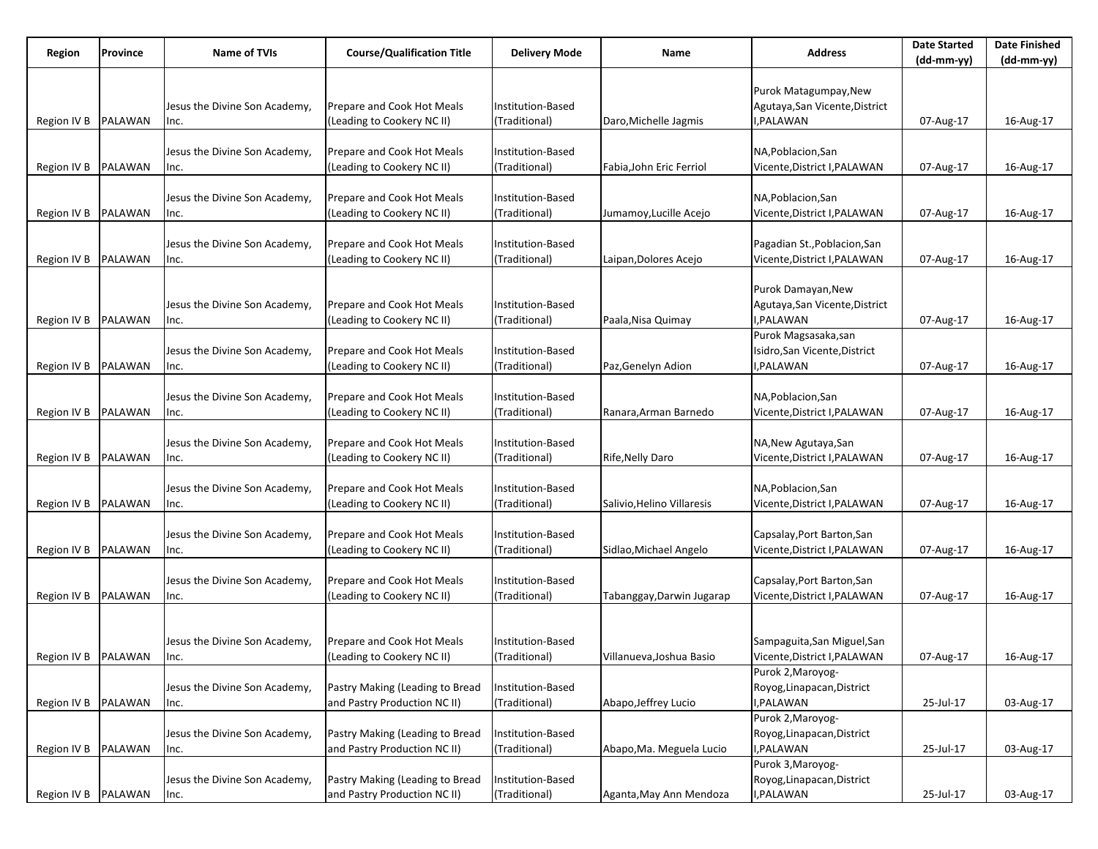| Region              | Province       | <b>Name of TVIs</b>           | <b>Course/Qualification Title</b> | <b>Delivery Mode</b> | Name                       | <b>Address</b>                 | <b>Date Started</b> | <b>Date Finished</b> |
|---------------------|----------------|-------------------------------|-----------------------------------|----------------------|----------------------------|--------------------------------|---------------------|----------------------|
|                     |                |                               |                                   |                      |                            |                                | (dd-mm-yy)          | (dd-mm-yy)           |
|                     |                |                               |                                   |                      |                            |                                |                     |                      |
|                     |                |                               |                                   |                      |                            | Purok Matagumpay, New          |                     |                      |
|                     |                | Jesus the Divine Son Academy, | Prepare and Cook Hot Meals        | Institution-Based    |                            | Agutaya, San Vicente, District |                     |                      |
| Region IV B         | <b>PALAWAN</b> | Inc.                          | (Leading to Cookery NC II)        | (Traditional)        | Daro, Michelle Jagmis      | I,PALAWAN                      | 07-Aug-17           | 16-Aug-17            |
|                     |                |                               |                                   |                      |                            |                                |                     |                      |
|                     |                | Jesus the Divine Son Academy, | Prepare and Cook Hot Meals        | Institution-Based    |                            | NA, Poblacion, San             |                     |                      |
| Region IV B         | PALAWAN        | Inc.                          | (Leading to Cookery NC II)        | (Traditional)        | Fabia, John Eric Ferriol   | Vicente, District I, PALAWAN   | 07-Aug-17           | 16-Aug-17            |
|                     |                |                               |                                   |                      |                            |                                |                     |                      |
|                     |                | Jesus the Divine Son Academy, | Prepare and Cook Hot Meals        | Institution-Based    |                            | NA, Poblacion, San             |                     |                      |
| Region IV B         | PALAWAN        | Inc.                          | (Leading to Cookery NC II)        | (Traditional)        | Jumamoy, Lucille Acejo     | Vicente, District I, PALAWAN   | 07-Aug-17           | 16-Aug-17            |
|                     |                |                               |                                   |                      |                            |                                |                     |                      |
|                     |                | Jesus the Divine Son Academy, | Prepare and Cook Hot Meals        | Institution-Based    |                            | Pagadian St., Poblacion, San   |                     |                      |
| Region IV B         | PALAWAN        | Inc.                          | (Leading to Cookery NC II)        | (Traditional)        | Laipan, Dolores Acejo      | Vicente, District I, PALAWAN   | 07-Aug-17           | 16-Aug-17            |
|                     |                |                               |                                   |                      |                            |                                |                     |                      |
|                     |                |                               |                                   |                      |                            | Purok Damayan, New             |                     |                      |
|                     |                | Jesus the Divine Son Academy, | Prepare and Cook Hot Meals        | Institution-Based    |                            | Agutaya, San Vicente, District |                     |                      |
| Region IV B         | PALAWAN        | Inc.                          | (Leading to Cookery NC II)        | (Traditional)        | Paala, Nisa Quimay         | I,PALAWAN                      | 07-Aug-17           | 16-Aug-17            |
|                     |                |                               |                                   |                      |                            | Purok Magsasaka,san            |                     |                      |
|                     |                | Jesus the Divine Son Academy, | Prepare and Cook Hot Meals        | Institution-Based    |                            | Isidro, San Vicente, District  |                     |                      |
| Region IV B         | <b>PALAWAN</b> | Inc.                          | (Leading to Cookery NC II)        | (Traditional)        | Paz, Genelyn Adion         | I, PALAWAN                     | 07-Aug-17           | 16-Aug-17            |
|                     |                |                               |                                   |                      |                            |                                |                     |                      |
|                     |                | Jesus the Divine Son Academy, | Prepare and Cook Hot Meals        | Institution-Based    |                            | NA, Poblacion, San             |                     |                      |
| Region IV B         | PALAWAN        | Inc.                          | (Leading to Cookery NC II)        | (Traditional)        | Ranara, Arman Barnedo      | Vicente, District I, PALAWAN   | 07-Aug-17           | 16-Aug-17            |
|                     |                |                               |                                   |                      |                            |                                |                     |                      |
|                     |                | Jesus the Divine Son Academy, | Prepare and Cook Hot Meals        | Institution-Based    |                            | NA, New Agutaya, San           |                     |                      |
| Region IV B         | PALAWAN        | Inc.                          | (Leading to Cookery NC II)        | (Traditional)        | Rife, Nelly Daro           | Vicente, District I, PALAWAN   | 07-Aug-17           | 16-Aug-17            |
|                     |                |                               |                                   |                      |                            |                                |                     |                      |
|                     |                | Jesus the Divine Son Academy, | Prepare and Cook Hot Meals        | Institution-Based    |                            | NA, Poblacion, San             |                     |                      |
| Region IV B         | PALAWAN        | Inc.                          | (Leading to Cookery NC II)        | (Traditional)        | Salivio, Helino Villaresis | Vicente, District I, PALAWAN   | 07-Aug-17           | 16-Aug-17            |
|                     |                |                               |                                   |                      |                            |                                |                     |                      |
|                     |                | Jesus the Divine Son Academy, | Prepare and Cook Hot Meals        | Institution-Based    |                            | Capsalay, Port Barton, San     |                     |                      |
| Region IV B         | PALAWAN        | Inc.                          | (Leading to Cookery NC II)        | (Traditional)        | Sidlao, Michael Angelo     | Vicente, District I, PALAWAN   | 07-Aug-17           | 16-Aug-17            |
|                     |                |                               |                                   |                      |                            |                                |                     |                      |
|                     |                | Jesus the Divine Son Academy, | Prepare and Cook Hot Meals        | Institution-Based    |                            | Capsalay, Port Barton, San     |                     |                      |
| Region IV B         | PALAWAN        | Inc.                          | (Leading to Cookery NC II)        | (Traditional)        | Tabanggay,Darwin Jugarap   | Vicente, District I, PALAWAN   | 07-Aug-17           | 16-Aug-17            |
|                     |                |                               |                                   |                      |                            |                                |                     |                      |
|                     |                |                               |                                   |                      |                            |                                |                     |                      |
|                     |                | Jesus the Divine Son Academy, | Prepare and Cook Hot Meals        | Institution-Based    |                            | Sampaguita, San Miguel, San    |                     |                      |
| Region IV B PALAWAN |                | Inc.                          | (Leading to Cookery NC II)        | (Traditional)        | Villanueva, Joshua Basio   | Vicente, District I, PALAWAN   | 07-Aug-17           | 16-Aug-17            |
|                     |                |                               |                                   |                      |                            | Purok 2, Maroyog-              |                     |                      |
|                     |                | Jesus the Divine Son Academy, | Pastry Making (Leading to Bread   | Institution-Based    |                            | Royog, Linapacan, District     |                     |                      |
| Region IV B         | PALAWAN        | Inc.                          | and Pastry Production NC II)      | (Traditional)        | Abapo, Jeffrey Lucio       | I,PALAWAN                      | 25-Jul-17           | 03-Aug-17            |
|                     |                |                               |                                   |                      |                            | Purok 2, Maroyog-              |                     |                      |
|                     |                | Jesus the Divine Son Academy, | Pastry Making (Leading to Bread   | Institution-Based    |                            | Royog, Linapacan, District     |                     |                      |
| Region IV B         | PALAWAN        | Inc.                          | and Pastry Production NC II)      | (Traditional)        | Abapo, Ma. Meguela Lucio   | I,PALAWAN                      | 25-Jul-17           | 03-Aug-17            |
|                     |                |                               |                                   |                      |                            | Purok 3, Maroyog-              |                     |                      |
|                     |                | Jesus the Divine Son Academy, | Pastry Making (Leading to Bread   | Institution-Based    |                            | Royog, Linapacan, District     |                     |                      |
| Region IV B PALAWAN |                | Inc.                          | and Pastry Production NC II)      | (Traditional)        | Aganta, May Ann Mendoza    | I,PALAWAN                      | 25-Jul-17           | 03-Aug-17            |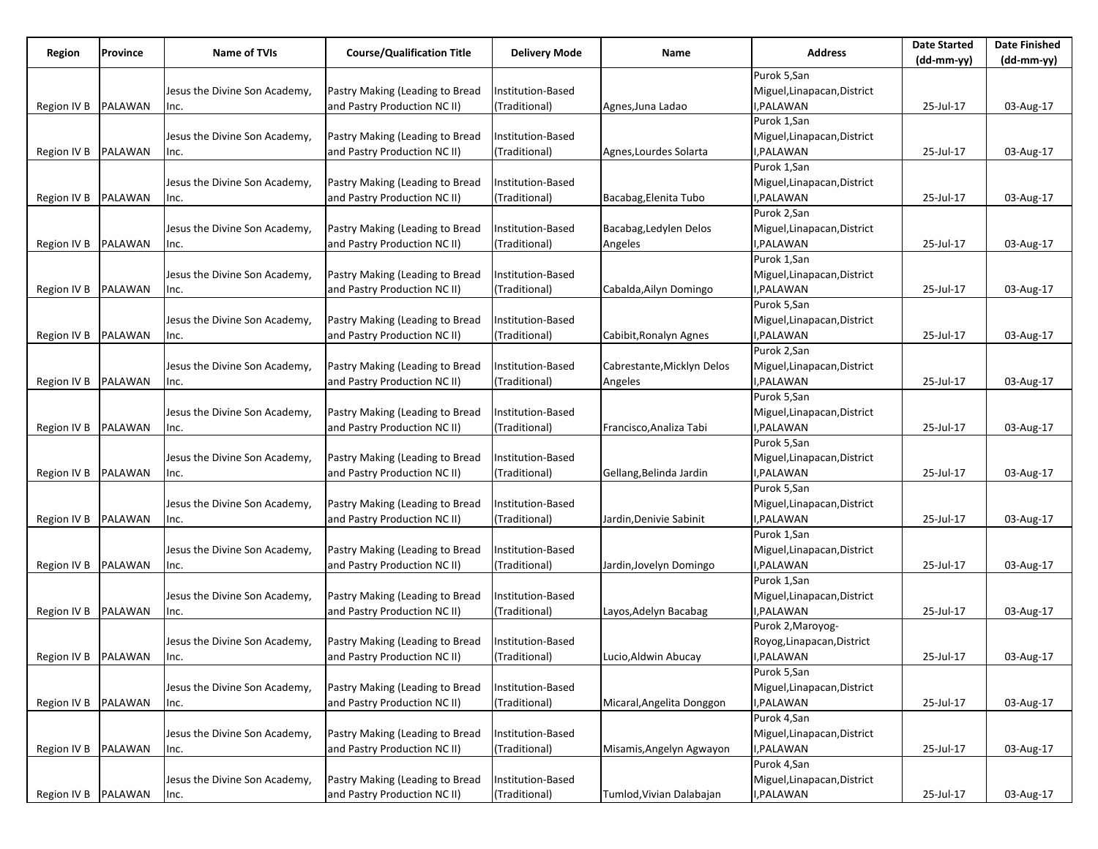| Region              | Province       | <b>Name of TVIs</b>           | <b>Course/Qualification Title</b> | Delivery Mode     | Name                       | <b>Address</b>              | <b>Date Started</b> | <b>Date Finished</b> |
|---------------------|----------------|-------------------------------|-----------------------------------|-------------------|----------------------------|-----------------------------|---------------------|----------------------|
|                     |                |                               |                                   |                   |                            |                             | (dd-mm-yy)          | (dd-mm-yy)           |
|                     |                |                               |                                   |                   |                            | Purok 5,San                 |                     |                      |
|                     |                | Jesus the Divine Son Academy, | Pastry Making (Leading to Bread   | Institution-Based |                            | Miguel, Linapacan, District |                     |                      |
| Region IV B         | PALAWAN        | Inc.                          | and Pastry Production NC II)      | (Traditional)     | Agnes,Juna Ladao           | I, PALAWAN                  | 25-Jul-17           | 03-Aug-17            |
|                     |                |                               |                                   |                   |                            | Purok 1, San                |                     |                      |
|                     |                | Jesus the Divine Son Academy, | Pastry Making (Leading to Bread   | Institution-Based |                            | Miguel, Linapacan, District |                     |                      |
| Region IV B         | PALAWAN        | Inc.                          | and Pastry Production NC II)      | (Traditional)     | Agnes,Lourdes Solarta      | I, PALAWAN                  | 25-Jul-17           | 03-Aug-17            |
|                     |                |                               |                                   |                   |                            | Purok 1, San                |                     |                      |
|                     |                | Jesus the Divine Son Academy, | Pastry Making (Leading to Bread   | Institution-Based |                            | Miguel, Linapacan, District |                     |                      |
| Region IV B         | PALAWAN        | Inc.                          | and Pastry Production NC II)      | (Traditional)     | Bacabag, Elenita Tubo      | I, PALAWAN                  | 25-Jul-17           | 03-Aug-17            |
|                     |                |                               |                                   |                   |                            | Purok 2,San                 |                     |                      |
|                     |                | Jesus the Divine Son Academy, | Pastry Making (Leading to Bread   | Institution-Based | Bacabag, Ledylen Delos     | Miguel, Linapacan, District |                     |                      |
| Region IV B         | PALAWAN        | Inc.                          | and Pastry Production NC II)      | (Traditional)     | Angeles                    | I, PALAWAN                  | 25-Jul-17           | 03-Aug-17            |
|                     |                |                               |                                   |                   |                            | Purok 1, San                |                     |                      |
|                     |                | Jesus the Divine Son Academy, | Pastry Making (Leading to Bread   | Institution-Based |                            | Miguel, Linapacan, District |                     |                      |
| Region IV B         | PALAWAN        | Inc.                          | and Pastry Production NC II)      | (Traditional)     | Cabalda, Ailyn Domingo     | I, PALAWAN                  | 25-Jul-17           | 03-Aug-17            |
|                     |                |                               |                                   |                   |                            | Purok 5,San                 |                     |                      |
|                     |                | Jesus the Divine Son Academy, | Pastry Making (Leading to Bread   | Institution-Based |                            | Miguel, Linapacan, District |                     |                      |
| Region IV B         | <b>PALAWAN</b> | Inc.                          | and Pastry Production NC II)      | (Traditional)     | Cabibit, Ronalyn Agnes     | I,PALAWAN                   | 25-Jul-17           | 03-Aug-17            |
|                     |                |                               |                                   |                   |                            | Purok 2,San                 |                     |                      |
|                     |                |                               | Pastry Making (Leading to Bread   | Institution-Based | Cabrestante, Micklyn Delos | Miguel, Linapacan, District |                     |                      |
|                     |                | Jesus the Divine Son Academy, | and Pastry Production NC II)      |                   |                            | I, PALAWAN                  |                     |                      |
| Region IV B         | PALAWAN        | Inc.                          |                                   | (Traditional)     | Angeles                    |                             | 25-Jul-17           | 03-Aug-17            |
|                     |                |                               |                                   |                   |                            | Purok 5,San                 |                     |                      |
|                     |                | Jesus the Divine Son Academy, | Pastry Making (Leading to Bread   | Institution-Based |                            | Miguel, Linapacan, District |                     |                      |
| Region IV B         | PALAWAN        | Inc.                          | and Pastry Production NC II)      | (Traditional)     | Francisco, Analiza Tabi    | I, PALAWAN                  | 25-Jul-17           | 03-Aug-17            |
|                     |                |                               |                                   |                   |                            | Purok 5,San                 |                     |                      |
|                     |                | Jesus the Divine Son Academy, | Pastry Making (Leading to Bread   | Institution-Based |                            | Miguel, Linapacan, District |                     |                      |
| Region IV B         | PALAWAN        | Inc.                          | and Pastry Production NC II)      | (Traditional)     | Gellang, Belinda Jardin    | I, PALAWAN                  | 25-Jul-17           | 03-Aug-17            |
|                     |                |                               |                                   |                   |                            | Purok 5,San                 |                     |                      |
|                     |                | Jesus the Divine Son Academy, | Pastry Making (Leading to Bread   | Institution-Based |                            | Miguel, Linapacan, District |                     |                      |
| Region IV B         | <b>PALAWAN</b> | Inc.                          | and Pastry Production NC II)      | (Traditional)     | Jardin, Denivie Sabinit    | I, PALAWAN                  | 25-Jul-17           | 03-Aug-17            |
|                     |                |                               |                                   |                   |                            | Purok 1, San                |                     |                      |
|                     |                | Jesus the Divine Son Academy, | Pastry Making (Leading to Bread   | Institution-Based |                            | Miguel, Linapacan, District |                     |                      |
| Region IV B         | PALAWAN        | Inc.                          | and Pastry Production NC II)      | (Traditional)     | Jardin, Jovelyn Domingo    | I, PALAWAN                  | 25-Jul-17           | 03-Aug-17            |
|                     |                |                               |                                   |                   |                            | Purok 1,San                 |                     |                      |
|                     |                | Jesus the Divine Son Academy, | Pastry Making (Leading to Bread   | Institution-Based |                            | Miguel, Linapacan, District |                     |                      |
| Region IV B         | <b>PALAWAN</b> | Inc.                          | and Pastry Production NC II)      | (Traditional)     | Layos, Adelyn Bacabag      | I, PALAWAN                  | 25-Jul-17           | 03-Aug-17            |
|                     |                |                               |                                   |                   |                            | Purok 2, Maroyog-           |                     |                      |
|                     |                | Jesus the Divine Son Academy, | Pastry Making (Leading to Bread   | Institution-Based |                            | Royog, Linapacan, District  |                     |                      |
| Region IV B PALAWAN |                | Inc.                          | and Pastry Production NC II)      | (Traditional)     | Lucio, Aldwin Abucay       | I, PALAWAN                  | 25-Jul-17           | 03-Aug-17            |
|                     |                |                               |                                   |                   |                            | Purok 5,San                 |                     |                      |
|                     |                | Jesus the Divine Son Academy, | Pastry Making (Leading to Bread   | Institution-Based |                            | Miguel, Linapacan, District |                     |                      |
| Region IV B         | PALAWAN        | Inc.                          | and Pastry Production NC II)      | (Traditional)     | Micaral, Angelita Donggon  | I, PALAWAN                  | 25-Jul-17           | 03-Aug-17            |
|                     |                |                               |                                   |                   |                            | Purok 4,San                 |                     |                      |
|                     |                | Jesus the Divine Son Academy, | Pastry Making (Leading to Bread   | Institution-Based |                            | Miguel, Linapacan, District |                     |                      |
| Region IV B         | PALAWAN        |                               | and Pastry Production NC II)      | (Traditional)     | Misamis, Angelyn Agwayon   | I, PALAWAN                  | 25-Jul-17           | 03-Aug-17            |
|                     |                | Inc.                          |                                   |                   |                            | Purok 4,San                 |                     |                      |
|                     |                | Jesus the Divine Son Academy, | Pastry Making (Leading to Bread   |                   |                            |                             |                     |                      |
|                     |                |                               |                                   | Institution-Based |                            | Miguel, Linapacan, District |                     |                      |
| Region IV B PALAWAN |                | Inc.                          | and Pastry Production NC II)      | (Traditional)     | Tumlod, Vivian Dalabajan   | I, PALAWAN                  | 25-Jul-17           | 03-Aug-17            |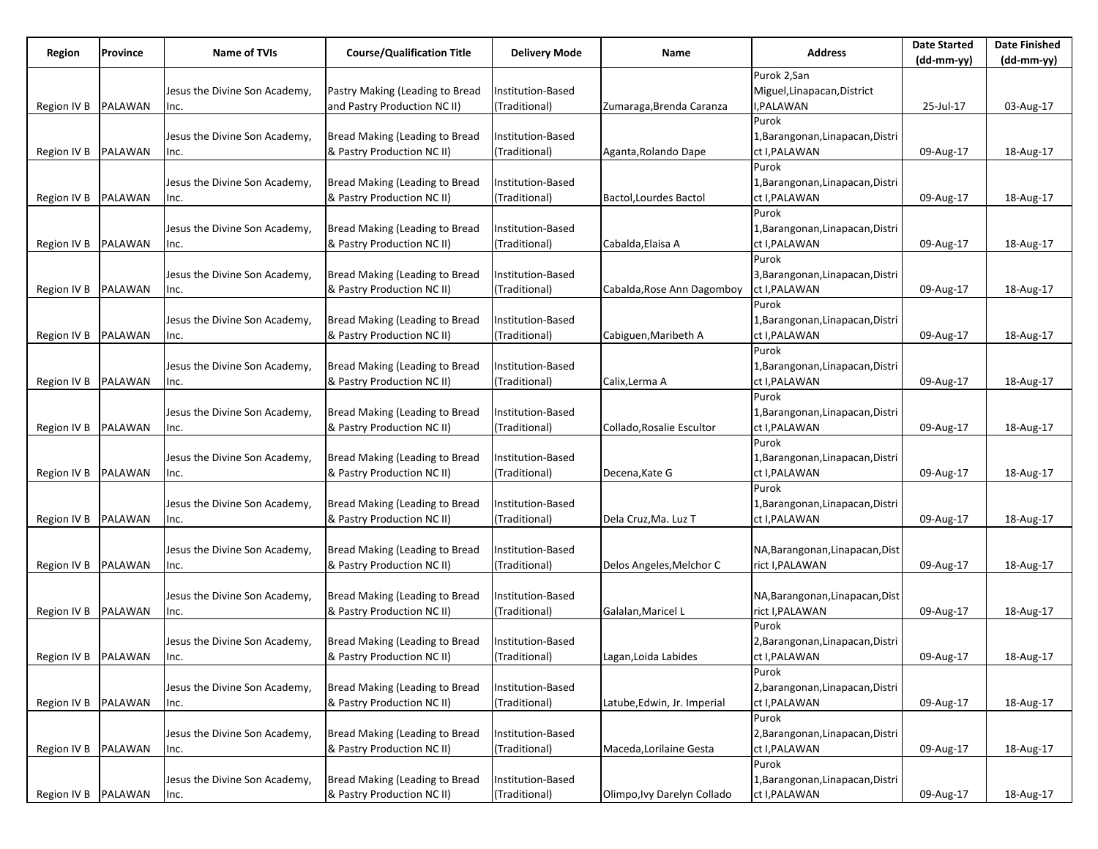| <b>Course/Qualification Title</b><br>Name of TVIs<br><b>Address</b><br>Region<br>Province<br><b>Delivery Mode</b><br>Name            | <b>Date Started</b><br>$(dd-mm-yy)$ | <b>Date Finished</b><br>$(dd-mm-yy)$ |
|--------------------------------------------------------------------------------------------------------------------------------------|-------------------------------------|--------------------------------------|
| Purok 2,San                                                                                                                          |                                     |                                      |
| Pastry Making (Leading to Bread<br>Miguel, Linapacan, District<br>Institution-Based                                                  |                                     |                                      |
| Jesus the Divine Son Academy,<br>I, PALAWAN                                                                                          |                                     |                                      |
| and Pastry Production NC II)<br>Region IV B<br>PALAWAN<br>(Traditional)<br>Zumaraga,Brenda Caranza<br>Inc.                           | 25-Jul-17                           | 03-Aug-17                            |
| Purok                                                                                                                                |                                     |                                      |
| Bread Making (Leading to Bread<br>Institution-Based<br>1, Barangonan, Linapacan, Distri<br>Jesus the Divine Son Academy,             |                                     |                                      |
| Region IV B<br>PALAWAN<br>& Pastry Production NC II)<br>(Traditional)<br>ct I, PALAWAN<br>Aganta, Rolando Dape<br>Inc.               | 09-Aug-17                           | 18-Aug-17                            |
| Purok                                                                                                                                |                                     |                                      |
| Bread Making (Leading to Bread<br>1, Barangonan, Linapacan, Distri<br>Jesus the Divine Son Academy,<br>Institution-Based             |                                     |                                      |
| & Pastry Production NC II)<br>Region IV B<br>PALAWAN<br>(Traditional)<br>ct I, PALAWAN<br>Bactol, Lourdes Bactol<br>Inc.             | 09-Aug-17                           | 18-Aug-17                            |
| Purok                                                                                                                                |                                     |                                      |
| Bread Making (Leading to Bread<br>Jesus the Divine Son Academy,<br>Institution-Based<br>1, Barangonan, Linapacan, Distri             |                                     |                                      |
| PALAWAN<br>Region IV B<br>& Pastry Production NC II)<br>(Traditional)<br>Cabalda, Elaisa A<br>ct I, PALAWAN<br>Inc.                  | 09-Aug-17                           | 18-Aug-17                            |
| Purok                                                                                                                                |                                     |                                      |
| Bread Making (Leading to Bread<br>Institution-Based<br>3, Barangonan, Linapacan, Distri<br>Jesus the Divine Son Academy,             |                                     |                                      |
| ct I, PALAWAN<br>Region IV B<br>PALAWAN<br>& Pastry Production NC II)<br>(Traditional)<br>Cabalda, Rose Ann Dagomboy<br>Inc.         | 09-Aug-17                           | 18-Aug-17                            |
| Purok                                                                                                                                |                                     |                                      |
| Bread Making (Leading to Bread<br>Institution-Based<br>Jesus the Divine Son Academy,<br>1, Barangonan, Linapacan, Distri             |                                     |                                      |
| (Traditional)                                                                                                                        |                                     |                                      |
| PALAWAN<br>& Pastry Production NC II)<br>ct I, PALAWAN<br>Region IV B<br>Cabiguen, Maribeth A<br>Inc.                                | 09-Aug-17                           | 18-Aug-17                            |
| Purok                                                                                                                                |                                     |                                      |
| Bread Making (Leading to Bread<br>Institution-Based<br>1, Barangonan, Linapacan, Distri<br>Jesus the Divine Son Academy,             |                                     |                                      |
| PALAWAN<br>& Pastry Production NC II)<br>(Traditional)<br>ct I, PALAWAN<br>Region IV B<br>Calix, Lerma A<br>Inc.                     | 09-Aug-17                           | 18-Aug-17                            |
| Purok                                                                                                                                |                                     |                                      |
| Bread Making (Leading to Bread<br>Jesus the Divine Son Academy,<br>Institution-Based<br>1, Barangonan, Linapacan, Distri             |                                     |                                      |
| <b>PALAWAN</b><br>& Pastry Production NC II)<br>(Traditional)<br>Collado, Rosalie Escultor<br>ct I, PALAWAN<br>Region IV B<br>Inc.   | 09-Aug-17                           | 18-Aug-17                            |
| Purok                                                                                                                                |                                     |                                      |
| Bread Making (Leading to Bread<br>Institution-Based<br>1, Barangonan, Linapacan, Distri<br>Jesus the Divine Son Academy,             |                                     |                                      |
| & Pastry Production NC II)<br>Region IV B<br>PALAWAN<br>(Traditional)<br>Decena, Kate G<br>ct I, PALAWAN<br>Inc.                     | 09-Aug-17                           | 18-Aug-17                            |
| Purok                                                                                                                                |                                     |                                      |
| Bread Making (Leading to Bread<br>Institution-Based<br>1, Barangonan, Linapacan, Distri<br>Jesus the Divine Son Academy,             |                                     |                                      |
| <b>PALAWAN</b><br>& Pastry Production NC II)<br>(Traditional)<br>Dela Cruz, Ma. Luz T<br>ct I, PALAWAN<br>Region IV B<br>Inc.        | 09-Aug-17                           | 18-Aug-17                            |
|                                                                                                                                      |                                     |                                      |
| Bread Making (Leading to Bread<br>Institution-Based<br>NA, Barangonan, Linapacan, Dist<br>Jesus the Divine Son Academy,              |                                     |                                      |
| & Pastry Production NC II)<br>Region IV B<br>PALAWAN<br>(Traditional)<br>Delos Angeles, Melchor C<br>rict I, PALAWAN<br>Inc.         | 09-Aug-17                           | 18-Aug-17                            |
|                                                                                                                                      |                                     |                                      |
| Bread Making (Leading to Bread<br>Institution-Based<br>NA, Barangonan, Linapacan, Dist                                               |                                     |                                      |
| Jesus the Divine Son Academy,                                                                                                        |                                     |                                      |
| rict I, PALAWAN<br>Region IV B<br>PALAWAN<br>& Pastry Production NC II)<br>(Traditional)<br>Galalan, Maricel L<br>Inc.               | 09-Aug-17                           | 18-Aug-17                            |
| Purok                                                                                                                                |                                     |                                      |
| Bread Making (Leading to Bread<br>2, Barangonan, Linapacan, Distri<br>Jesus the Divine Son Academy,<br>Institution-Based             |                                     |                                      |
| Region IV B PALAWAN<br>& Pastry Production NC II)<br>(Traditional)<br>ct I, PALAWAN<br>Lagan, Loida Labides<br>Inc.                  | 09-Aug-17                           | 18-Aug-17                            |
| Purok                                                                                                                                |                                     |                                      |
| Bread Making (Leading to Bread<br>Jesus the Divine Son Academy,<br>Institution-Based<br>2, barangonan, Linapacan, Distri             |                                     |                                      |
| <b>PALAWAN</b><br>& Pastry Production NC II)<br>(Traditional)<br>Latube, Edwin, Jr. Imperial<br>ct I, PALAWAN<br>Region IV B<br>Inc. | 09-Aug-17                           | 18-Aug-17                            |
| Purok                                                                                                                                |                                     |                                      |
| Bread Making (Leading to Bread<br>Institution-Based<br>2, Barangonan, Linapacan, Distri<br>Jesus the Divine Son Academy,             |                                     |                                      |
| PALAWAN<br>& Pastry Production NC II)<br>(Traditional)<br>Maceda, Lorilaine Gesta<br>ct I, PALAWAN<br>Region IV B<br>Inc.            | 09-Aug-17                           | 18-Aug-17                            |
| Purok                                                                                                                                |                                     |                                      |
| Bread Making (Leading to Bread<br>Jesus the Divine Son Academy,<br>Institution-Based<br>1, Barangonan, Linapacan, Distri             |                                     |                                      |
| PALAWAN<br>& Pastry Production NC II)<br>(Traditional)<br>ct I, PALAWAN<br>Region IV B<br>Olimpo, Ivy Darelyn Collado<br>Inc.        | 09-Aug-17                           | 18-Aug-17                            |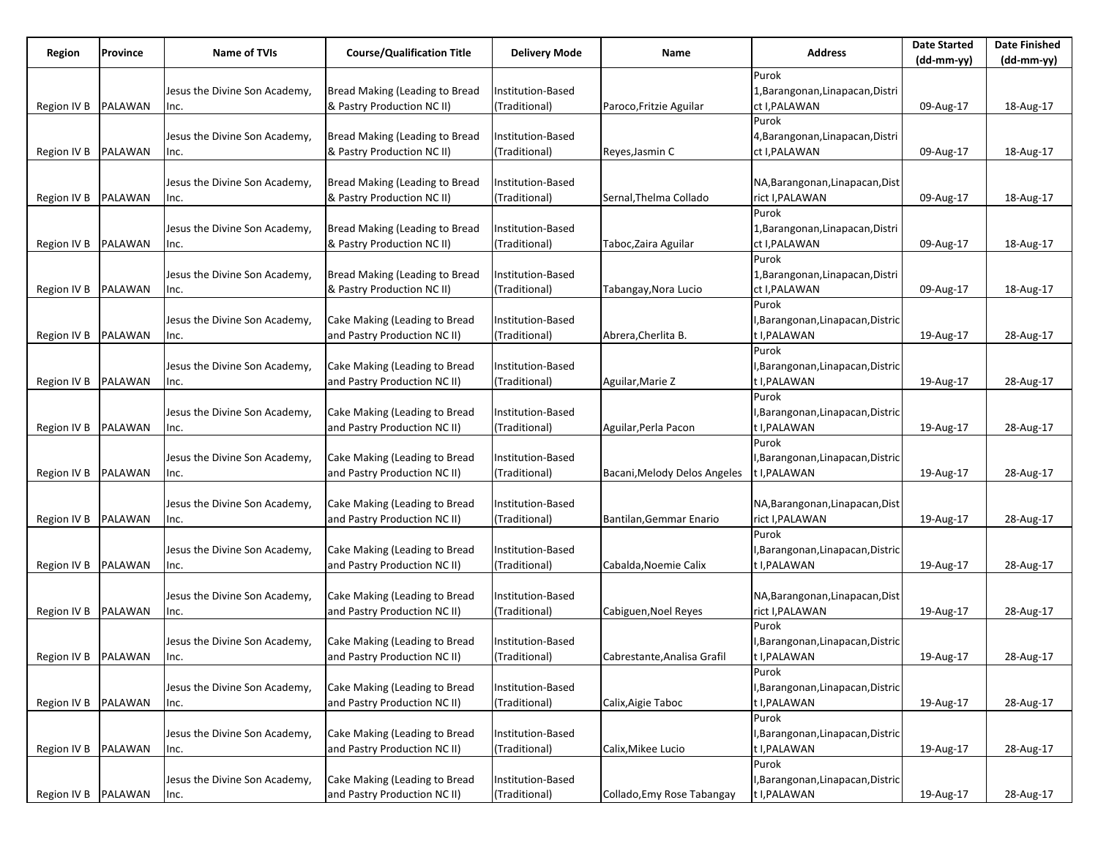| (dd-mm-yy)<br>(dd-mm-yy)<br>Purok<br>Bread Making (Leading to Bread<br>Jesus the Divine Son Academy,<br>Institution-Based<br>1, Barangonan, Linapacan, Distri<br>Region IV B<br>PALAWAN<br>& Pastry Production NC II)<br>(Traditional)<br>ct I, PALAWAN<br>Paroco, Fritzie Aguilar<br>09-Aug-17<br>18-Aug-17<br>Inc.<br>Purok<br>Bread Making (Leading to Bread<br>Jesus the Divine Son Academy,<br>Institution-Based<br>4, Barangonan, Linapacan, Distri<br>PALAWAN<br>& Pastry Production NC II)<br>(Traditional)<br>ct I, PALAWAN<br>Region IV B<br>09-Aug-17<br>18-Aug-17<br>Reyes,Jasmin C<br>Inc.<br>Bread Making (Leading to Bread<br>NA, Barangonan, Linapacan, Dist<br>Jesus the Divine Son Academy,<br>Institution-Based<br>rict I, PALAWAN<br>Region IV B<br>PALAWAN<br>& Pastry Production NC II)<br>(Traditional)<br>Sernal, Thelma Collado<br>09-Aug-17<br>18-Aug-17<br>Inc.<br>Purok<br>Bread Making (Leading to Bread<br>Jesus the Divine Son Academy,<br>Institution-Based<br>1,Barangonan,Linapacan,Distri<br>Region IV B<br>PALAWAN<br>& Pastry Production NC II)<br>(Traditional)<br>ct I, PALAWAN<br>18-Aug-17<br>Taboc,Zaira Aguilar<br>09-Aug-17<br>Inc.<br>Purok<br>Bread Making (Leading to Bread<br>Jesus the Divine Son Academy,<br>Institution-Based<br>1,Barangonan,Linapacan,Distri<br>Region IV B<br>PALAWAN<br>& Pastry Production NC II)<br>(Traditional)<br>ct I, PALAWAN<br>Tabangay, Nora Lucio<br>09-Aug-17<br>18-Aug-17<br>Inc.<br>Purok<br>Cake Making (Leading to Bread<br>Jesus the Divine Son Academy,<br>Institution-Based<br>I, Barangonan, Linapacan, Distric<br>PALAWAN<br>t I, PALAWAN<br>Region IV B<br>and Pastry Production NC II)<br>(Traditional)<br>Abrera, Cherlita B.<br>19-Aug-17<br>28-Aug-17<br>Inc.<br>Purok<br>Cake Making (Leading to Bread<br>Institution-Based<br>Jesus the Divine Son Academy,<br>I, Barangonan, Linapacan, Distric<br>PALAWAN<br>and Pastry Production NC II)<br>(Traditional)<br>t I, PALAWAN<br>Region IV B<br>Aguilar, Marie Z<br>19-Aug-17<br>28-Aug-17<br>Inc.<br>Purok<br>Cake Making (Leading to Bread<br>Jesus the Divine Son Academy,<br>Institution-Based<br>I,Barangonan,Linapacan,Distric<br><b>PALAWAN</b><br>and Pastry Production NC II)<br>(Traditional)<br>t I, PALAWAN<br>Region IV B<br>Aguilar, Perla Pacon<br>19-Aug-17<br>28-Aug-17<br>Inc.<br>Purok<br>Cake Making (Leading to Bread<br>Jesus the Divine Son Academy,<br>Institution-Based<br>I,Barangonan,Linapacan,Distric<br>Region IV B<br>PALAWAN<br>and Pastry Production NC II)<br>(Traditional)<br>Bacani, Melody Delos Angeles<br>t I, PALAWAN<br>28-Aug-17<br>19-Aug-17<br>Inc.<br>Cake Making (Leading to Bread<br>Jesus the Divine Son Academy,<br>Institution-Based<br>NA, Barangonan, Linapacan, Dist<br>PALAWAN<br>and Pastry Production NC II)<br>rict I, PALAWAN<br>Region IV B<br>(Traditional)<br>Bantilan, Gemmar Enario<br>19-Aug-17<br>28-Aug-17<br>Inc.<br>Purok<br>Cake Making (Leading to Bread<br>Institution-Based<br>I, Barangonan, Linapacan, Distric<br>Jesus the Divine Son Academy,<br>and Pastry Production NC II)<br>Region IV B<br>PALAWAN<br>(Traditional)<br>t I, PALAWAN<br>Cabalda, Noemie Calix<br>19-Aug-17<br>28-Aug-17<br>Inc.<br>Cake Making (Leading to Bread<br>Jesus the Divine Son Academy,<br>Institution-Based<br>NA, Barangonan, Linapacan, Dist<br>rict I, PALAWAN<br>Region IV B<br>PALAWAN<br>and Pastry Production NC II)<br>(Traditional)<br>Cabiguen, Noel Reyes<br>19-Aug-17<br>28-Aug-17<br>Inc.<br>Purok | Region | Province | <b>Name of TVIs</b> | <b>Course/Qualification Title</b> | <b>Delivery Mode</b> | Name | <b>Address</b> | <b>Date Started</b> | <b>Date Finished</b> |
|------------------------------------------------------------------------------------------------------------------------------------------------------------------------------------------------------------------------------------------------------------------------------------------------------------------------------------------------------------------------------------------------------------------------------------------------------------------------------------------------------------------------------------------------------------------------------------------------------------------------------------------------------------------------------------------------------------------------------------------------------------------------------------------------------------------------------------------------------------------------------------------------------------------------------------------------------------------------------------------------------------------------------------------------------------------------------------------------------------------------------------------------------------------------------------------------------------------------------------------------------------------------------------------------------------------------------------------------------------------------------------------------------------------------------------------------------------------------------------------------------------------------------------------------------------------------------------------------------------------------------------------------------------------------------------------------------------------------------------------------------------------------------------------------------------------------------------------------------------------------------------------------------------------------------------------------------------------------------------------------------------------------------------------------------------------------------------------------------------------------------------------------------------------------------------------------------------------------------------------------------------------------------------------------------------------------------------------------------------------------------------------------------------------------------------------------------------------------------------------------------------------------------------------------------------------------------------------------------------------------------------------------------------------------------------------------------------------------------------------------------------------------------------------------------------------------------------------------------------------------------------------------------------------------------------------------------------------------------------------------------------------------------------------------------------------------------------------------------------------------------------------------------------------------------------------------------------------------------------------------------------------------------------------------------------------------------------------------------------------------------------------------------------------------------------------------------------------------------------------------------------------------------|--------|----------|---------------------|-----------------------------------|----------------------|------|----------------|---------------------|----------------------|
|                                                                                                                                                                                                                                                                                                                                                                                                                                                                                                                                                                                                                                                                                                                                                                                                                                                                                                                                                                                                                                                                                                                                                                                                                                                                                                                                                                                                                                                                                                                                                                                                                                                                                                                                                                                                                                                                                                                                                                                                                                                                                                                                                                                                                                                                                                                                                                                                                                                                                                                                                                                                                                                                                                                                                                                                                                                                                                                                                                                                                                                                                                                                                                                                                                                                                                                                                                                                                                                                                                                              |        |          |                     |                                   |                      |      |                |                     |                      |
|                                                                                                                                                                                                                                                                                                                                                                                                                                                                                                                                                                                                                                                                                                                                                                                                                                                                                                                                                                                                                                                                                                                                                                                                                                                                                                                                                                                                                                                                                                                                                                                                                                                                                                                                                                                                                                                                                                                                                                                                                                                                                                                                                                                                                                                                                                                                                                                                                                                                                                                                                                                                                                                                                                                                                                                                                                                                                                                                                                                                                                                                                                                                                                                                                                                                                                                                                                                                                                                                                                                              |        |          |                     |                                   |                      |      |                |                     |                      |
|                                                                                                                                                                                                                                                                                                                                                                                                                                                                                                                                                                                                                                                                                                                                                                                                                                                                                                                                                                                                                                                                                                                                                                                                                                                                                                                                                                                                                                                                                                                                                                                                                                                                                                                                                                                                                                                                                                                                                                                                                                                                                                                                                                                                                                                                                                                                                                                                                                                                                                                                                                                                                                                                                                                                                                                                                                                                                                                                                                                                                                                                                                                                                                                                                                                                                                                                                                                                                                                                                                                              |        |          |                     |                                   |                      |      |                |                     |                      |
|                                                                                                                                                                                                                                                                                                                                                                                                                                                                                                                                                                                                                                                                                                                                                                                                                                                                                                                                                                                                                                                                                                                                                                                                                                                                                                                                                                                                                                                                                                                                                                                                                                                                                                                                                                                                                                                                                                                                                                                                                                                                                                                                                                                                                                                                                                                                                                                                                                                                                                                                                                                                                                                                                                                                                                                                                                                                                                                                                                                                                                                                                                                                                                                                                                                                                                                                                                                                                                                                                                                              |        |          |                     |                                   |                      |      |                |                     |                      |
|                                                                                                                                                                                                                                                                                                                                                                                                                                                                                                                                                                                                                                                                                                                                                                                                                                                                                                                                                                                                                                                                                                                                                                                                                                                                                                                                                                                                                                                                                                                                                                                                                                                                                                                                                                                                                                                                                                                                                                                                                                                                                                                                                                                                                                                                                                                                                                                                                                                                                                                                                                                                                                                                                                                                                                                                                                                                                                                                                                                                                                                                                                                                                                                                                                                                                                                                                                                                                                                                                                                              |        |          |                     |                                   |                      |      |                |                     |                      |
|                                                                                                                                                                                                                                                                                                                                                                                                                                                                                                                                                                                                                                                                                                                                                                                                                                                                                                                                                                                                                                                                                                                                                                                                                                                                                                                                                                                                                                                                                                                                                                                                                                                                                                                                                                                                                                                                                                                                                                                                                                                                                                                                                                                                                                                                                                                                                                                                                                                                                                                                                                                                                                                                                                                                                                                                                                                                                                                                                                                                                                                                                                                                                                                                                                                                                                                                                                                                                                                                                                                              |        |          |                     |                                   |                      |      |                |                     |                      |
|                                                                                                                                                                                                                                                                                                                                                                                                                                                                                                                                                                                                                                                                                                                                                                                                                                                                                                                                                                                                                                                                                                                                                                                                                                                                                                                                                                                                                                                                                                                                                                                                                                                                                                                                                                                                                                                                                                                                                                                                                                                                                                                                                                                                                                                                                                                                                                                                                                                                                                                                                                                                                                                                                                                                                                                                                                                                                                                                                                                                                                                                                                                                                                                                                                                                                                                                                                                                                                                                                                                              |        |          |                     |                                   |                      |      |                |                     |                      |
|                                                                                                                                                                                                                                                                                                                                                                                                                                                                                                                                                                                                                                                                                                                                                                                                                                                                                                                                                                                                                                                                                                                                                                                                                                                                                                                                                                                                                                                                                                                                                                                                                                                                                                                                                                                                                                                                                                                                                                                                                                                                                                                                                                                                                                                                                                                                                                                                                                                                                                                                                                                                                                                                                                                                                                                                                                                                                                                                                                                                                                                                                                                                                                                                                                                                                                                                                                                                                                                                                                                              |        |          |                     |                                   |                      |      |                |                     |                      |
|                                                                                                                                                                                                                                                                                                                                                                                                                                                                                                                                                                                                                                                                                                                                                                                                                                                                                                                                                                                                                                                                                                                                                                                                                                                                                                                                                                                                                                                                                                                                                                                                                                                                                                                                                                                                                                                                                                                                                                                                                                                                                                                                                                                                                                                                                                                                                                                                                                                                                                                                                                                                                                                                                                                                                                                                                                                                                                                                                                                                                                                                                                                                                                                                                                                                                                                                                                                                                                                                                                                              |        |          |                     |                                   |                      |      |                |                     |                      |
|                                                                                                                                                                                                                                                                                                                                                                                                                                                                                                                                                                                                                                                                                                                                                                                                                                                                                                                                                                                                                                                                                                                                                                                                                                                                                                                                                                                                                                                                                                                                                                                                                                                                                                                                                                                                                                                                                                                                                                                                                                                                                                                                                                                                                                                                                                                                                                                                                                                                                                                                                                                                                                                                                                                                                                                                                                                                                                                                                                                                                                                                                                                                                                                                                                                                                                                                                                                                                                                                                                                              |        |          |                     |                                   |                      |      |                |                     |                      |
|                                                                                                                                                                                                                                                                                                                                                                                                                                                                                                                                                                                                                                                                                                                                                                                                                                                                                                                                                                                                                                                                                                                                                                                                                                                                                                                                                                                                                                                                                                                                                                                                                                                                                                                                                                                                                                                                                                                                                                                                                                                                                                                                                                                                                                                                                                                                                                                                                                                                                                                                                                                                                                                                                                                                                                                                                                                                                                                                                                                                                                                                                                                                                                                                                                                                                                                                                                                                                                                                                                                              |        |          |                     |                                   |                      |      |                |                     |                      |
|                                                                                                                                                                                                                                                                                                                                                                                                                                                                                                                                                                                                                                                                                                                                                                                                                                                                                                                                                                                                                                                                                                                                                                                                                                                                                                                                                                                                                                                                                                                                                                                                                                                                                                                                                                                                                                                                                                                                                                                                                                                                                                                                                                                                                                                                                                                                                                                                                                                                                                                                                                                                                                                                                                                                                                                                                                                                                                                                                                                                                                                                                                                                                                                                                                                                                                                                                                                                                                                                                                                              |        |          |                     |                                   |                      |      |                |                     |                      |
|                                                                                                                                                                                                                                                                                                                                                                                                                                                                                                                                                                                                                                                                                                                                                                                                                                                                                                                                                                                                                                                                                                                                                                                                                                                                                                                                                                                                                                                                                                                                                                                                                                                                                                                                                                                                                                                                                                                                                                                                                                                                                                                                                                                                                                                                                                                                                                                                                                                                                                                                                                                                                                                                                                                                                                                                                                                                                                                                                                                                                                                                                                                                                                                                                                                                                                                                                                                                                                                                                                                              |        |          |                     |                                   |                      |      |                |                     |                      |
|                                                                                                                                                                                                                                                                                                                                                                                                                                                                                                                                                                                                                                                                                                                                                                                                                                                                                                                                                                                                                                                                                                                                                                                                                                                                                                                                                                                                                                                                                                                                                                                                                                                                                                                                                                                                                                                                                                                                                                                                                                                                                                                                                                                                                                                                                                                                                                                                                                                                                                                                                                                                                                                                                                                                                                                                                                                                                                                                                                                                                                                                                                                                                                                                                                                                                                                                                                                                                                                                                                                              |        |          |                     |                                   |                      |      |                |                     |                      |
|                                                                                                                                                                                                                                                                                                                                                                                                                                                                                                                                                                                                                                                                                                                                                                                                                                                                                                                                                                                                                                                                                                                                                                                                                                                                                                                                                                                                                                                                                                                                                                                                                                                                                                                                                                                                                                                                                                                                                                                                                                                                                                                                                                                                                                                                                                                                                                                                                                                                                                                                                                                                                                                                                                                                                                                                                                                                                                                                                                                                                                                                                                                                                                                                                                                                                                                                                                                                                                                                                                                              |        |          |                     |                                   |                      |      |                |                     |                      |
|                                                                                                                                                                                                                                                                                                                                                                                                                                                                                                                                                                                                                                                                                                                                                                                                                                                                                                                                                                                                                                                                                                                                                                                                                                                                                                                                                                                                                                                                                                                                                                                                                                                                                                                                                                                                                                                                                                                                                                                                                                                                                                                                                                                                                                                                                                                                                                                                                                                                                                                                                                                                                                                                                                                                                                                                                                                                                                                                                                                                                                                                                                                                                                                                                                                                                                                                                                                                                                                                                                                              |        |          |                     |                                   |                      |      |                |                     |                      |
|                                                                                                                                                                                                                                                                                                                                                                                                                                                                                                                                                                                                                                                                                                                                                                                                                                                                                                                                                                                                                                                                                                                                                                                                                                                                                                                                                                                                                                                                                                                                                                                                                                                                                                                                                                                                                                                                                                                                                                                                                                                                                                                                                                                                                                                                                                                                                                                                                                                                                                                                                                                                                                                                                                                                                                                                                                                                                                                                                                                                                                                                                                                                                                                                                                                                                                                                                                                                                                                                                                                              |        |          |                     |                                   |                      |      |                |                     |                      |
|                                                                                                                                                                                                                                                                                                                                                                                                                                                                                                                                                                                                                                                                                                                                                                                                                                                                                                                                                                                                                                                                                                                                                                                                                                                                                                                                                                                                                                                                                                                                                                                                                                                                                                                                                                                                                                                                                                                                                                                                                                                                                                                                                                                                                                                                                                                                                                                                                                                                                                                                                                                                                                                                                                                                                                                                                                                                                                                                                                                                                                                                                                                                                                                                                                                                                                                                                                                                                                                                                                                              |        |          |                     |                                   |                      |      |                |                     |                      |
|                                                                                                                                                                                                                                                                                                                                                                                                                                                                                                                                                                                                                                                                                                                                                                                                                                                                                                                                                                                                                                                                                                                                                                                                                                                                                                                                                                                                                                                                                                                                                                                                                                                                                                                                                                                                                                                                                                                                                                                                                                                                                                                                                                                                                                                                                                                                                                                                                                                                                                                                                                                                                                                                                                                                                                                                                                                                                                                                                                                                                                                                                                                                                                                                                                                                                                                                                                                                                                                                                                                              |        |          |                     |                                   |                      |      |                |                     |                      |
|                                                                                                                                                                                                                                                                                                                                                                                                                                                                                                                                                                                                                                                                                                                                                                                                                                                                                                                                                                                                                                                                                                                                                                                                                                                                                                                                                                                                                                                                                                                                                                                                                                                                                                                                                                                                                                                                                                                                                                                                                                                                                                                                                                                                                                                                                                                                                                                                                                                                                                                                                                                                                                                                                                                                                                                                                                                                                                                                                                                                                                                                                                                                                                                                                                                                                                                                                                                                                                                                                                                              |        |          |                     |                                   |                      |      |                |                     |                      |
|                                                                                                                                                                                                                                                                                                                                                                                                                                                                                                                                                                                                                                                                                                                                                                                                                                                                                                                                                                                                                                                                                                                                                                                                                                                                                                                                                                                                                                                                                                                                                                                                                                                                                                                                                                                                                                                                                                                                                                                                                                                                                                                                                                                                                                                                                                                                                                                                                                                                                                                                                                                                                                                                                                                                                                                                                                                                                                                                                                                                                                                                                                                                                                                                                                                                                                                                                                                                                                                                                                                              |        |          |                     |                                   |                      |      |                |                     |                      |
|                                                                                                                                                                                                                                                                                                                                                                                                                                                                                                                                                                                                                                                                                                                                                                                                                                                                                                                                                                                                                                                                                                                                                                                                                                                                                                                                                                                                                                                                                                                                                                                                                                                                                                                                                                                                                                                                                                                                                                                                                                                                                                                                                                                                                                                                                                                                                                                                                                                                                                                                                                                                                                                                                                                                                                                                                                                                                                                                                                                                                                                                                                                                                                                                                                                                                                                                                                                                                                                                                                                              |        |          |                     |                                   |                      |      |                |                     |                      |
|                                                                                                                                                                                                                                                                                                                                                                                                                                                                                                                                                                                                                                                                                                                                                                                                                                                                                                                                                                                                                                                                                                                                                                                                                                                                                                                                                                                                                                                                                                                                                                                                                                                                                                                                                                                                                                                                                                                                                                                                                                                                                                                                                                                                                                                                                                                                                                                                                                                                                                                                                                                                                                                                                                                                                                                                                                                                                                                                                                                                                                                                                                                                                                                                                                                                                                                                                                                                                                                                                                                              |        |          |                     |                                   |                      |      |                |                     |                      |
|                                                                                                                                                                                                                                                                                                                                                                                                                                                                                                                                                                                                                                                                                                                                                                                                                                                                                                                                                                                                                                                                                                                                                                                                                                                                                                                                                                                                                                                                                                                                                                                                                                                                                                                                                                                                                                                                                                                                                                                                                                                                                                                                                                                                                                                                                                                                                                                                                                                                                                                                                                                                                                                                                                                                                                                                                                                                                                                                                                                                                                                                                                                                                                                                                                                                                                                                                                                                                                                                                                                              |        |          |                     |                                   |                      |      |                |                     |                      |
|                                                                                                                                                                                                                                                                                                                                                                                                                                                                                                                                                                                                                                                                                                                                                                                                                                                                                                                                                                                                                                                                                                                                                                                                                                                                                                                                                                                                                                                                                                                                                                                                                                                                                                                                                                                                                                                                                                                                                                                                                                                                                                                                                                                                                                                                                                                                                                                                                                                                                                                                                                                                                                                                                                                                                                                                                                                                                                                                                                                                                                                                                                                                                                                                                                                                                                                                                                                                                                                                                                                              |        |          |                     |                                   |                      |      |                |                     |                      |
|                                                                                                                                                                                                                                                                                                                                                                                                                                                                                                                                                                                                                                                                                                                                                                                                                                                                                                                                                                                                                                                                                                                                                                                                                                                                                                                                                                                                                                                                                                                                                                                                                                                                                                                                                                                                                                                                                                                                                                                                                                                                                                                                                                                                                                                                                                                                                                                                                                                                                                                                                                                                                                                                                                                                                                                                                                                                                                                                                                                                                                                                                                                                                                                                                                                                                                                                                                                                                                                                                                                              |        |          |                     |                                   |                      |      |                |                     |                      |
|                                                                                                                                                                                                                                                                                                                                                                                                                                                                                                                                                                                                                                                                                                                                                                                                                                                                                                                                                                                                                                                                                                                                                                                                                                                                                                                                                                                                                                                                                                                                                                                                                                                                                                                                                                                                                                                                                                                                                                                                                                                                                                                                                                                                                                                                                                                                                                                                                                                                                                                                                                                                                                                                                                                                                                                                                                                                                                                                                                                                                                                                                                                                                                                                                                                                                                                                                                                                                                                                                                                              |        |          |                     |                                   |                      |      |                |                     |                      |
|                                                                                                                                                                                                                                                                                                                                                                                                                                                                                                                                                                                                                                                                                                                                                                                                                                                                                                                                                                                                                                                                                                                                                                                                                                                                                                                                                                                                                                                                                                                                                                                                                                                                                                                                                                                                                                                                                                                                                                                                                                                                                                                                                                                                                                                                                                                                                                                                                                                                                                                                                                                                                                                                                                                                                                                                                                                                                                                                                                                                                                                                                                                                                                                                                                                                                                                                                                                                                                                                                                                              |        |          |                     |                                   |                      |      |                |                     |                      |
|                                                                                                                                                                                                                                                                                                                                                                                                                                                                                                                                                                                                                                                                                                                                                                                                                                                                                                                                                                                                                                                                                                                                                                                                                                                                                                                                                                                                                                                                                                                                                                                                                                                                                                                                                                                                                                                                                                                                                                                                                                                                                                                                                                                                                                                                                                                                                                                                                                                                                                                                                                                                                                                                                                                                                                                                                                                                                                                                                                                                                                                                                                                                                                                                                                                                                                                                                                                                                                                                                                                              |        |          |                     |                                   |                      |      |                |                     |                      |
|                                                                                                                                                                                                                                                                                                                                                                                                                                                                                                                                                                                                                                                                                                                                                                                                                                                                                                                                                                                                                                                                                                                                                                                                                                                                                                                                                                                                                                                                                                                                                                                                                                                                                                                                                                                                                                                                                                                                                                                                                                                                                                                                                                                                                                                                                                                                                                                                                                                                                                                                                                                                                                                                                                                                                                                                                                                                                                                                                                                                                                                                                                                                                                                                                                                                                                                                                                                                                                                                                                                              |        |          |                     |                                   |                      |      |                |                     |                      |
|                                                                                                                                                                                                                                                                                                                                                                                                                                                                                                                                                                                                                                                                                                                                                                                                                                                                                                                                                                                                                                                                                                                                                                                                                                                                                                                                                                                                                                                                                                                                                                                                                                                                                                                                                                                                                                                                                                                                                                                                                                                                                                                                                                                                                                                                                                                                                                                                                                                                                                                                                                                                                                                                                                                                                                                                                                                                                                                                                                                                                                                                                                                                                                                                                                                                                                                                                                                                                                                                                                                              |        |          |                     |                                   |                      |      |                |                     |                      |
|                                                                                                                                                                                                                                                                                                                                                                                                                                                                                                                                                                                                                                                                                                                                                                                                                                                                                                                                                                                                                                                                                                                                                                                                                                                                                                                                                                                                                                                                                                                                                                                                                                                                                                                                                                                                                                                                                                                                                                                                                                                                                                                                                                                                                                                                                                                                                                                                                                                                                                                                                                                                                                                                                                                                                                                                                                                                                                                                                                                                                                                                                                                                                                                                                                                                                                                                                                                                                                                                                                                              |        |          |                     |                                   |                      |      |                |                     |                      |
|                                                                                                                                                                                                                                                                                                                                                                                                                                                                                                                                                                                                                                                                                                                                                                                                                                                                                                                                                                                                                                                                                                                                                                                                                                                                                                                                                                                                                                                                                                                                                                                                                                                                                                                                                                                                                                                                                                                                                                                                                                                                                                                                                                                                                                                                                                                                                                                                                                                                                                                                                                                                                                                                                                                                                                                                                                                                                                                                                                                                                                                                                                                                                                                                                                                                                                                                                                                                                                                                                                                              |        |          |                     |                                   |                      |      |                |                     |                      |
|                                                                                                                                                                                                                                                                                                                                                                                                                                                                                                                                                                                                                                                                                                                                                                                                                                                                                                                                                                                                                                                                                                                                                                                                                                                                                                                                                                                                                                                                                                                                                                                                                                                                                                                                                                                                                                                                                                                                                                                                                                                                                                                                                                                                                                                                                                                                                                                                                                                                                                                                                                                                                                                                                                                                                                                                                                                                                                                                                                                                                                                                                                                                                                                                                                                                                                                                                                                                                                                                                                                              |        |          |                     |                                   |                      |      |                |                     |                      |
|                                                                                                                                                                                                                                                                                                                                                                                                                                                                                                                                                                                                                                                                                                                                                                                                                                                                                                                                                                                                                                                                                                                                                                                                                                                                                                                                                                                                                                                                                                                                                                                                                                                                                                                                                                                                                                                                                                                                                                                                                                                                                                                                                                                                                                                                                                                                                                                                                                                                                                                                                                                                                                                                                                                                                                                                                                                                                                                                                                                                                                                                                                                                                                                                                                                                                                                                                                                                                                                                                                                              |        |          |                     |                                   |                      |      |                |                     |                      |
|                                                                                                                                                                                                                                                                                                                                                                                                                                                                                                                                                                                                                                                                                                                                                                                                                                                                                                                                                                                                                                                                                                                                                                                                                                                                                                                                                                                                                                                                                                                                                                                                                                                                                                                                                                                                                                                                                                                                                                                                                                                                                                                                                                                                                                                                                                                                                                                                                                                                                                                                                                                                                                                                                                                                                                                                                                                                                                                                                                                                                                                                                                                                                                                                                                                                                                                                                                                                                                                                                                                              |        |          |                     |                                   |                      |      |                |                     |                      |
|                                                                                                                                                                                                                                                                                                                                                                                                                                                                                                                                                                                                                                                                                                                                                                                                                                                                                                                                                                                                                                                                                                                                                                                                                                                                                                                                                                                                                                                                                                                                                                                                                                                                                                                                                                                                                                                                                                                                                                                                                                                                                                                                                                                                                                                                                                                                                                                                                                                                                                                                                                                                                                                                                                                                                                                                                                                                                                                                                                                                                                                                                                                                                                                                                                                                                                                                                                                                                                                                                                                              |        |          |                     |                                   |                      |      |                |                     |                      |
|                                                                                                                                                                                                                                                                                                                                                                                                                                                                                                                                                                                                                                                                                                                                                                                                                                                                                                                                                                                                                                                                                                                                                                                                                                                                                                                                                                                                                                                                                                                                                                                                                                                                                                                                                                                                                                                                                                                                                                                                                                                                                                                                                                                                                                                                                                                                                                                                                                                                                                                                                                                                                                                                                                                                                                                                                                                                                                                                                                                                                                                                                                                                                                                                                                                                                                                                                                                                                                                                                                                              |        |          |                     |                                   |                      |      |                |                     |                      |
|                                                                                                                                                                                                                                                                                                                                                                                                                                                                                                                                                                                                                                                                                                                                                                                                                                                                                                                                                                                                                                                                                                                                                                                                                                                                                                                                                                                                                                                                                                                                                                                                                                                                                                                                                                                                                                                                                                                                                                                                                                                                                                                                                                                                                                                                                                                                                                                                                                                                                                                                                                                                                                                                                                                                                                                                                                                                                                                                                                                                                                                                                                                                                                                                                                                                                                                                                                                                                                                                                                                              |        |          |                     |                                   |                      |      |                |                     |                      |
|                                                                                                                                                                                                                                                                                                                                                                                                                                                                                                                                                                                                                                                                                                                                                                                                                                                                                                                                                                                                                                                                                                                                                                                                                                                                                                                                                                                                                                                                                                                                                                                                                                                                                                                                                                                                                                                                                                                                                                                                                                                                                                                                                                                                                                                                                                                                                                                                                                                                                                                                                                                                                                                                                                                                                                                                                                                                                                                                                                                                                                                                                                                                                                                                                                                                                                                                                                                                                                                                                                                              |        |          |                     |                                   |                      |      |                |                     |                      |
| Cake Making (Leading to Bread<br>I, Barangonan, Linapacan, Distric<br>Jesus the Divine Son Academy,<br>Institution-Based                                                                                                                                                                                                                                                                                                                                                                                                                                                                                                                                                                                                                                                                                                                                                                                                                                                                                                                                                                                                                                                                                                                                                                                                                                                                                                                                                                                                                                                                                                                                                                                                                                                                                                                                                                                                                                                                                                                                                                                                                                                                                                                                                                                                                                                                                                                                                                                                                                                                                                                                                                                                                                                                                                                                                                                                                                                                                                                                                                                                                                                                                                                                                                                                                                                                                                                                                                                                     |        |          |                     |                                   |                      |      |                |                     |                      |
| Region IV B PALAWAN<br>(Traditional)<br>and Pastry Production NC II)<br>t I, PALAWAN<br>19-Aug-17<br>28-Aug-17<br>Cabrestante, Analisa Grafil<br>Inc.                                                                                                                                                                                                                                                                                                                                                                                                                                                                                                                                                                                                                                                                                                                                                                                                                                                                                                                                                                                                                                                                                                                                                                                                                                                                                                                                                                                                                                                                                                                                                                                                                                                                                                                                                                                                                                                                                                                                                                                                                                                                                                                                                                                                                                                                                                                                                                                                                                                                                                                                                                                                                                                                                                                                                                                                                                                                                                                                                                                                                                                                                                                                                                                                                                                                                                                                                                        |        |          |                     |                                   |                      |      |                |                     |                      |
| Purok                                                                                                                                                                                                                                                                                                                                                                                                                                                                                                                                                                                                                                                                                                                                                                                                                                                                                                                                                                                                                                                                                                                                                                                                                                                                                                                                                                                                                                                                                                                                                                                                                                                                                                                                                                                                                                                                                                                                                                                                                                                                                                                                                                                                                                                                                                                                                                                                                                                                                                                                                                                                                                                                                                                                                                                                                                                                                                                                                                                                                                                                                                                                                                                                                                                                                                                                                                                                                                                                                                                        |        |          |                     |                                   |                      |      |                |                     |                      |
| Cake Making (Leading to Bread<br>Jesus the Divine Son Academy,<br>Institution-Based<br>I, Barangonan, Linapacan, Distric                                                                                                                                                                                                                                                                                                                                                                                                                                                                                                                                                                                                                                                                                                                                                                                                                                                                                                                                                                                                                                                                                                                                                                                                                                                                                                                                                                                                                                                                                                                                                                                                                                                                                                                                                                                                                                                                                                                                                                                                                                                                                                                                                                                                                                                                                                                                                                                                                                                                                                                                                                                                                                                                                                                                                                                                                                                                                                                                                                                                                                                                                                                                                                                                                                                                                                                                                                                                     |        |          |                     |                                   |                      |      |                |                     |                      |
| PALAWAN<br>and Pastry Production NC II)<br>(Traditional)<br>Calix, Aigie Taboc<br>t I, PALAWAN<br>28-Aug-17<br>Region IV B<br>19-Aug-17<br>Inc.                                                                                                                                                                                                                                                                                                                                                                                                                                                                                                                                                                                                                                                                                                                                                                                                                                                                                                                                                                                                                                                                                                                                                                                                                                                                                                                                                                                                                                                                                                                                                                                                                                                                                                                                                                                                                                                                                                                                                                                                                                                                                                                                                                                                                                                                                                                                                                                                                                                                                                                                                                                                                                                                                                                                                                                                                                                                                                                                                                                                                                                                                                                                                                                                                                                                                                                                                                              |        |          |                     |                                   |                      |      |                |                     |                      |
| Purok                                                                                                                                                                                                                                                                                                                                                                                                                                                                                                                                                                                                                                                                                                                                                                                                                                                                                                                                                                                                                                                                                                                                                                                                                                                                                                                                                                                                                                                                                                                                                                                                                                                                                                                                                                                                                                                                                                                                                                                                                                                                                                                                                                                                                                                                                                                                                                                                                                                                                                                                                                                                                                                                                                                                                                                                                                                                                                                                                                                                                                                                                                                                                                                                                                                                                                                                                                                                                                                                                                                        |        |          |                     |                                   |                      |      |                |                     |                      |
| Cake Making (Leading to Bread<br>Institution-Based<br>I, Barangonan, Linapacan, Distric<br>Jesus the Divine Son Academy,                                                                                                                                                                                                                                                                                                                                                                                                                                                                                                                                                                                                                                                                                                                                                                                                                                                                                                                                                                                                                                                                                                                                                                                                                                                                                                                                                                                                                                                                                                                                                                                                                                                                                                                                                                                                                                                                                                                                                                                                                                                                                                                                                                                                                                                                                                                                                                                                                                                                                                                                                                                                                                                                                                                                                                                                                                                                                                                                                                                                                                                                                                                                                                                                                                                                                                                                                                                                     |        |          |                     |                                   |                      |      |                |                     |                      |
| PALAWAN<br>and Pastry Production NC II)<br>(Traditional)<br>Calix, Mikee Lucio<br>t I, PALAWAN<br>28-Aug-17<br>Region IV B<br>19-Aug-17<br>Inc.                                                                                                                                                                                                                                                                                                                                                                                                                                                                                                                                                                                                                                                                                                                                                                                                                                                                                                                                                                                                                                                                                                                                                                                                                                                                                                                                                                                                                                                                                                                                                                                                                                                                                                                                                                                                                                                                                                                                                                                                                                                                                                                                                                                                                                                                                                                                                                                                                                                                                                                                                                                                                                                                                                                                                                                                                                                                                                                                                                                                                                                                                                                                                                                                                                                                                                                                                                              |        |          |                     |                                   |                      |      |                |                     |                      |
| Purok                                                                                                                                                                                                                                                                                                                                                                                                                                                                                                                                                                                                                                                                                                                                                                                                                                                                                                                                                                                                                                                                                                                                                                                                                                                                                                                                                                                                                                                                                                                                                                                                                                                                                                                                                                                                                                                                                                                                                                                                                                                                                                                                                                                                                                                                                                                                                                                                                                                                                                                                                                                                                                                                                                                                                                                                                                                                                                                                                                                                                                                                                                                                                                                                                                                                                                                                                                                                                                                                                                                        |        |          |                     |                                   |                      |      |                |                     |                      |
| Jesus the Divine Son Academy,<br>Cake Making (Leading to Bread<br>Institution-Based<br>I, Barangonan, Linapacan, Distric                                                                                                                                                                                                                                                                                                                                                                                                                                                                                                                                                                                                                                                                                                                                                                                                                                                                                                                                                                                                                                                                                                                                                                                                                                                                                                                                                                                                                                                                                                                                                                                                                                                                                                                                                                                                                                                                                                                                                                                                                                                                                                                                                                                                                                                                                                                                                                                                                                                                                                                                                                                                                                                                                                                                                                                                                                                                                                                                                                                                                                                                                                                                                                                                                                                                                                                                                                                                     |        |          |                     |                                   |                      |      |                |                     |                      |
| 28-Aug-17<br>Region IV B PALAWAN<br>and Pastry Production NC II)<br>(Traditional)<br>Collado, Emy Rose Tabangay<br>t I, PALAWAN<br>19-Aug-17<br>Inc.                                                                                                                                                                                                                                                                                                                                                                                                                                                                                                                                                                                                                                                                                                                                                                                                                                                                                                                                                                                                                                                                                                                                                                                                                                                                                                                                                                                                                                                                                                                                                                                                                                                                                                                                                                                                                                                                                                                                                                                                                                                                                                                                                                                                                                                                                                                                                                                                                                                                                                                                                                                                                                                                                                                                                                                                                                                                                                                                                                                                                                                                                                                                                                                                                                                                                                                                                                         |        |          |                     |                                   |                      |      |                |                     |                      |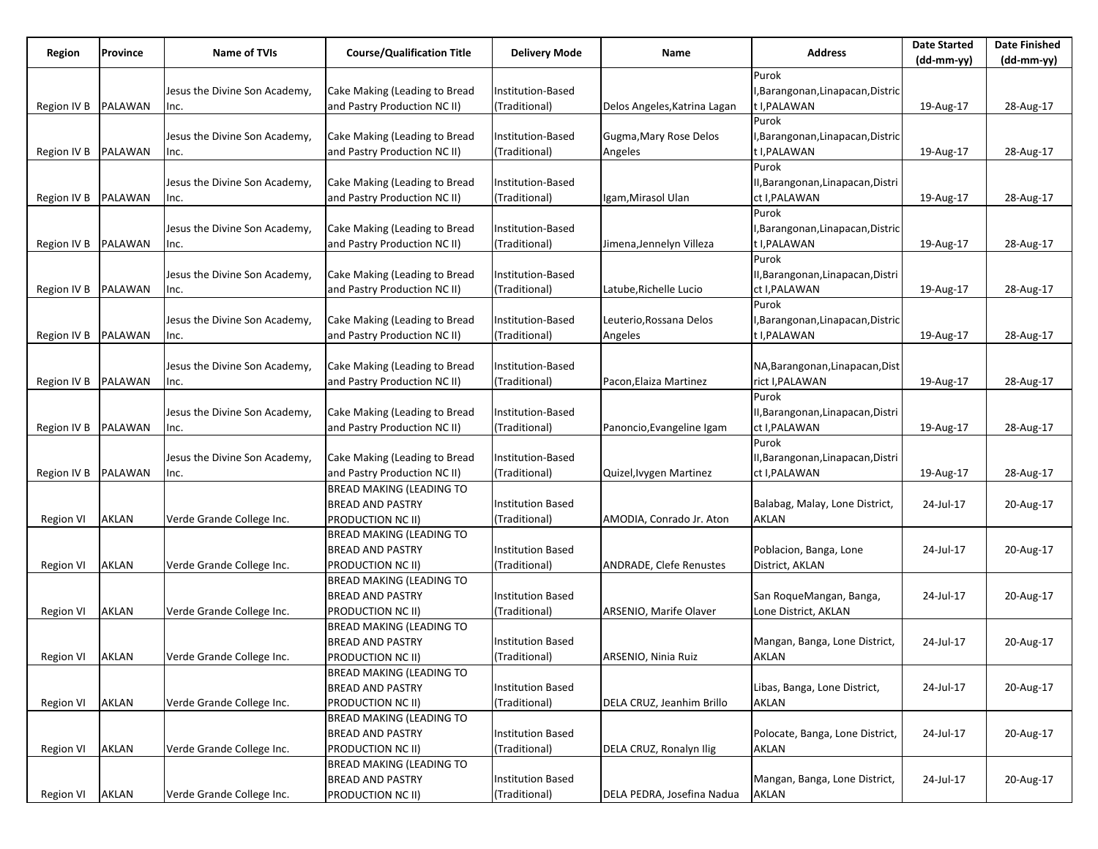| Region           | Province       | Name of TVIs                  | <b>Course/Qualification Title</b> | <b>Delivery Mode</b>     | Name                           | <b>Address</b>                    | <b>Date Started</b> | <b>Date Finished</b> |
|------------------|----------------|-------------------------------|-----------------------------------|--------------------------|--------------------------------|-----------------------------------|---------------------|----------------------|
|                  |                |                               |                                   |                          |                                |                                   | (dd-mm-yy)          | (dd-mm-yy)           |
|                  |                |                               |                                   |                          |                                | Purok                             |                     |                      |
|                  |                | Jesus the Divine Son Academy, | Cake Making (Leading to Bread     | Institution-Based        |                                | I, Barangonan, Linapacan, Distric |                     |                      |
| Region IV B      | PALAWAN        | Inc.                          | and Pastry Production NC II)      | (Traditional)            | Delos Angeles, Katrina Lagan   | t I, PALAWAN                      | 19-Aug-17           | 28-Aug-17            |
|                  |                |                               |                                   |                          |                                | Purok                             |                     |                      |
|                  |                | Jesus the Divine Son Academy, | Cake Making (Leading to Bread     | Institution-Based        | Gugma, Mary Rose Delos         | I, Barangonan, Linapacan, Distric |                     |                      |
| Region IV B      | <b>PALAWAN</b> | Inc.                          | and Pastry Production NC II)      | (Traditional)            | Angeles                        | t I, PALAWAN                      | 19-Aug-17           | 28-Aug-17            |
|                  |                |                               |                                   |                          |                                | Purok                             |                     |                      |
|                  |                | Jesus the Divine Son Academy, | Cake Making (Leading to Bread     | Institution-Based        |                                | II, Barangonan, Linapacan, Distri |                     |                      |
| Region IV B      | PALAWAN        | Inc.                          | and Pastry Production NC II)      | (Traditional)            | Igam, Mirasol Ulan             | ct I, PALAWAN                     | 19-Aug-17           | 28-Aug-17            |
|                  |                |                               |                                   |                          |                                | Purok                             |                     |                      |
|                  |                | Jesus the Divine Son Academy, | Cake Making (Leading to Bread     | Institution-Based        |                                | I, Barangonan, Linapacan, Distric |                     |                      |
| Region IV B      | <b>PALAWAN</b> | Inc.                          | and Pastry Production NC II)      | (Traditional)            | Jimena, Jennelyn Villeza       | t I, PALAWAN                      | 19-Aug-17           | 28-Aug-17            |
|                  |                |                               |                                   |                          |                                | Purok                             |                     |                      |
|                  |                | Jesus the Divine Son Academy, | Cake Making (Leading to Bread     | Institution-Based        |                                | II, Barangonan, Linapacan, Distri |                     |                      |
|                  | PALAWAN        |                               | and Pastry Production NC II)      | (Traditional)            |                                | ct I, PALAWAN                     |                     |                      |
| Region IV B      |                | Inc.                          |                                   |                          | Latube,Richelle Lucio          |                                   | 19-Aug-17           | 28-Aug-17            |
|                  |                |                               |                                   |                          |                                | Purok                             |                     |                      |
|                  |                | Jesus the Divine Son Academy, | Cake Making (Leading to Bread     | Institution-Based        | Leuterio, Rossana Delos        | J,Barangonan,Linapacan,Distric    |                     |                      |
| Region IV B      | PALAWAN        | Inc.                          | and Pastry Production NC II)      | (Traditional)            | Angeles                        | t I, PALAWAN                      | 19-Aug-17           | 28-Aug-17            |
|                  |                |                               |                                   |                          |                                |                                   |                     |                      |
|                  |                | Jesus the Divine Son Academy, | Cake Making (Leading to Bread     | Institution-Based        |                                | NA, Barangonan, Linapacan, Dist   |                     |                      |
| Region IV B      | PALAWAN        | Inc.                          | and Pastry Production NC II)      | (Traditional)            | Pacon, Elaiza Martinez         | rict I, PALAWAN                   | 19-Aug-17           | 28-Aug-17            |
|                  |                |                               |                                   |                          |                                | Purok                             |                     |                      |
|                  |                | Jesus the Divine Son Academy, | Cake Making (Leading to Bread     | Institution-Based        |                                | II,Barangonan,Linapacan,Distri    |                     |                      |
| Region IV B      | <b>PALAWAN</b> | Inc.                          | and Pastry Production NC II)      | (Traditional)            | Panoncio, Evangeline Igam      | ct I, PALAWAN                     | 19-Aug-17           | 28-Aug-17            |
|                  |                |                               |                                   |                          |                                | Purok                             |                     |                      |
|                  |                | Jesus the Divine Son Academy, | Cake Making (Leading to Bread     | Institution-Based        |                                | II,Barangonan,Linapacan,Distri    |                     |                      |
| Region IV B      | PALAWAN        | Inc.                          | and Pastry Production NC II)      | (Traditional)            | Quizel, Ivygen Martinez        | ct I, PALAWAN                     | 19-Aug-17           | 28-Aug-17            |
|                  |                |                               | <b>BREAD MAKING (LEADING TO</b>   |                          |                                |                                   |                     |                      |
|                  |                |                               | <b>BREAD AND PASTRY</b>           | Institution Based        |                                | Balabag, Malay, Lone District,    | 24-Jul-17           | 20-Aug-17            |
| Region VI        | AKLAN          | Verde Grande College Inc.     | <b>PRODUCTION NC II)</b>          | (Traditional)            | AMODIA, Conrado Jr. Aton       | <b>AKLAN</b>                      |                     |                      |
|                  |                |                               | <b>BREAD MAKING (LEADING TO</b>   |                          |                                |                                   |                     |                      |
|                  |                |                               | <b>BREAD AND PASTRY</b>           | <b>Institution Based</b> |                                | Poblacion, Banga, Lone            | 24-Jul-17           | 20-Aug-17            |
| Region VI        | AKLAN          | Verde Grande College Inc.     | <b>PRODUCTION NC II)</b>          | (Traditional)            | <b>ANDRADE, Clefe Renustes</b> | District, AKLAN                   |                     |                      |
|                  |                |                               | <b>BREAD MAKING (LEADING TO</b>   |                          |                                |                                   |                     |                      |
|                  |                |                               | <b>BREAD AND PASTRY</b>           | <b>Institution Based</b> |                                | San RoqueMangan, Banga,           | 24-Jul-17           | 20-Aug-17            |
|                  |                |                               |                                   |                          |                                |                                   |                     |                      |
| <b>Region VI</b> | AKLAN          | Verde Grande College Inc.     | <b>PRODUCTION NC II)</b>          | (Traditional)            | ARSENIO, Marife Olaver         | Lone District, AKLAN              |                     |                      |
|                  |                |                               | <b>BREAD MAKING (LEADING TO</b>   |                          |                                |                                   |                     |                      |
|                  |                |                               | <b>BREAD AND PASTRY</b>           | <b>Institution Based</b> |                                | Mangan, Banga, Lone District,     | 24-Jul-17           | 20-Aug-17            |
| Region VI        | <b>AKLAN</b>   | Verde Grande College Inc.     | PRODUCTION NC II)                 | (Traditional)            | ARSENIO, Ninia Ruiz            | AKLAN                             |                     |                      |
|                  |                |                               | <b>BREAD MAKING (LEADING TO</b>   |                          |                                |                                   |                     |                      |
|                  |                |                               | <b>BREAD AND PASTRY</b>           | <b>Institution Based</b> |                                | Libas, Banga, Lone District,      | 24-Jul-17           | 20-Aug-17            |
| <b>Region VI</b> | AKLAN          | Verde Grande College Inc.     | <b>PRODUCTION NC II)</b>          | (Traditional)            | DELA CRUZ, Jeanhim Brillo      | AKLAN                             |                     |                      |
|                  |                |                               | <b>BREAD MAKING (LEADING TO</b>   |                          |                                |                                   |                     |                      |
|                  |                |                               | <b>BREAD AND PASTRY</b>           | <b>Institution Based</b> |                                | Polocate, Banga, Lone District,   | 24-Jul-17           | 20-Aug-17            |
| Region VI        | <b>AKLAN</b>   | Verde Grande College Inc.     | PRODUCTION NC II)                 | (Traditional)            | DELA CRUZ, Ronalyn Ilig        | <b>AKLAN</b>                      |                     |                      |
|                  |                |                               | <b>BREAD MAKING (LEADING TO</b>   |                          |                                |                                   |                     |                      |
|                  |                |                               | <b>BREAD AND PASTRY</b>           | <b>Institution Based</b> |                                | Mangan, Banga, Lone District,     | 24-Jul-17           | 20-Aug-17            |
| Region VI        | AKLAN          | Verde Grande College Inc.     | PRODUCTION NC II)                 | (Traditional)            | DELA PEDRA, Josefina Nadua     | <b>AKLAN</b>                      |                     |                      |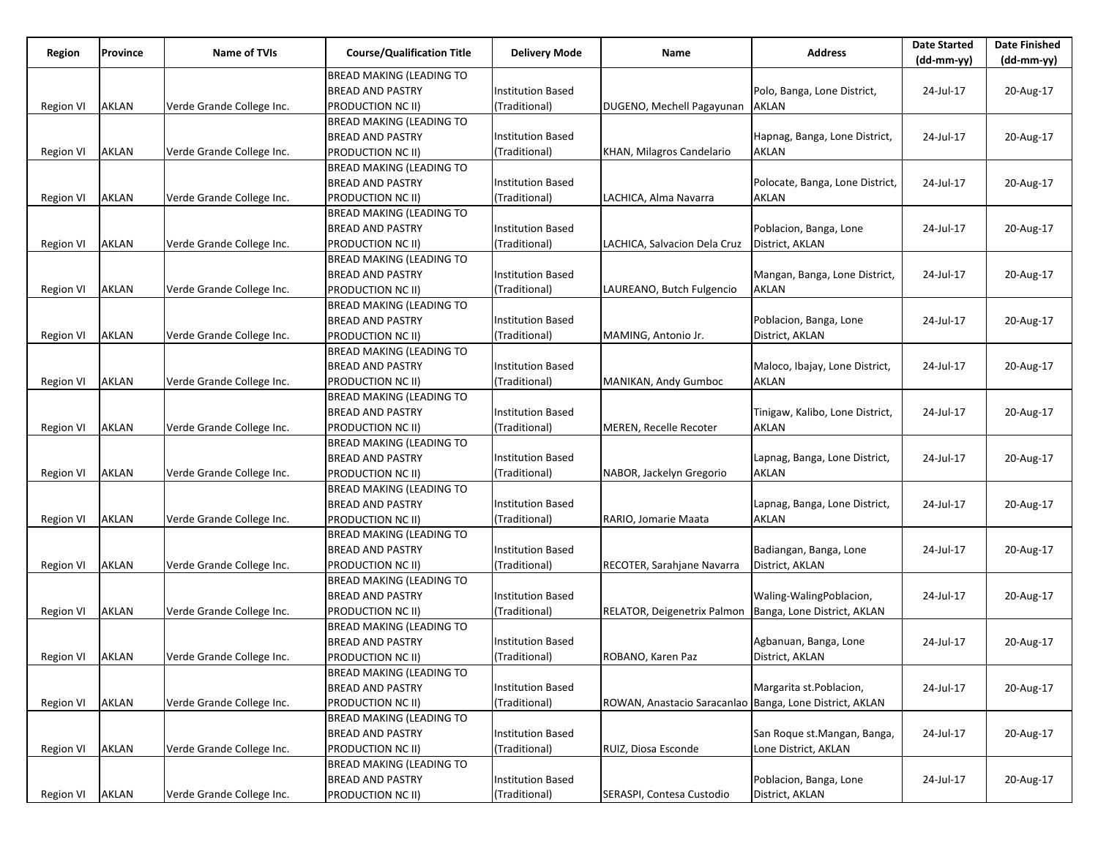| Region           | Province     | Name of TVIs              | <b>Course/Qualification Title</b> | <b>Delivery Mode</b>     | Name                                                    | <b>Address</b>                  | <b>Date Started</b><br>$(dd-mm-yy)$ | <b>Date Finished</b><br>$(dd-mm-yy)$ |
|------------------|--------------|---------------------------|-----------------------------------|--------------------------|---------------------------------------------------------|---------------------------------|-------------------------------------|--------------------------------------|
|                  |              |                           | <b>BREAD MAKING (LEADING TO</b>   |                          |                                                         |                                 |                                     |                                      |
|                  |              |                           | <b>BREAD AND PASTRY</b>           | Institution Based        |                                                         | Polo, Banga, Lone District,     | 24-Jul-17                           | 20-Aug-17                            |
| Region VI        | AKLAN        | Verde Grande College Inc. | PRODUCTION NC II)                 | (Traditional)            | DUGENO, Mechell Pagayunan                               | AKLAN                           |                                     |                                      |
|                  |              |                           | <b>BREAD MAKING (LEADING TO</b>   |                          |                                                         |                                 |                                     |                                      |
|                  |              |                           | <b>BREAD AND PASTRY</b>           | Institution Based        |                                                         | Hapnag, Banga, Lone District,   | 24-Jul-17                           | 20-Aug-17                            |
| Region VI        | AKLAN        | Verde Grande College Inc. | PRODUCTION NC II)                 | (Traditional)            | KHAN, Milagros Candelario                               | AKLAN                           |                                     |                                      |
|                  |              |                           | <b>BREAD MAKING (LEADING TO</b>   |                          |                                                         |                                 |                                     |                                      |
|                  |              |                           | <b>BREAD AND PASTRY</b>           | <b>Institution Based</b> |                                                         | Polocate, Banga, Lone District, | 24-Jul-17                           | 20-Aug-17                            |
| Region VI        | AKLAN        | Verde Grande College Inc. | PRODUCTION NC II)                 | (Traditional)            | LACHICA, Alma Navarra                                   | AKLAN                           |                                     |                                      |
|                  |              |                           | <b>BREAD MAKING (LEADING TO</b>   |                          |                                                         |                                 |                                     |                                      |
|                  |              |                           | <b>BREAD AND PASTRY</b>           | Institution Based        |                                                         | Poblacion, Banga, Lone          | 24-Jul-17                           | 20-Aug-17                            |
| Region VI        | AKLAN        | Verde Grande College Inc. | PRODUCTION NC II)                 | (Traditional)            | LACHICA, Salvacion Dela Cruz                            | District, AKLAN                 |                                     |                                      |
|                  |              |                           | <b>BREAD MAKING (LEADING TO</b>   |                          |                                                         |                                 |                                     |                                      |
|                  |              |                           | <b>BREAD AND PASTRY</b>           | Institution Based        |                                                         | Mangan, Banga, Lone District,   | 24-Jul-17                           | 20-Aug-17                            |
| Region VI        | AKLAN        | Verde Grande College Inc. | PRODUCTION NC II)                 | (Traditional)            | LAUREANO, Butch Fulgencio                               | AKLAN                           |                                     |                                      |
|                  |              |                           | <b>BREAD MAKING (LEADING TO</b>   |                          |                                                         |                                 |                                     |                                      |
|                  |              |                           | <b>BREAD AND PASTRY</b>           | <b>Institution Based</b> |                                                         | Poblacion, Banga, Lone          | 24-Jul-17                           | 20-Aug-17                            |
| Region VI        | AKLAN        | Verde Grande College Inc. | PRODUCTION NC II)                 | (Traditional)            | MAMING, Antonio Jr.                                     | District, AKLAN                 |                                     |                                      |
|                  |              |                           | <b>BREAD MAKING (LEADING TO</b>   |                          |                                                         |                                 |                                     |                                      |
|                  |              |                           | <b>BREAD AND PASTRY</b>           | <b>Institution Based</b> |                                                         | Maloco, Ibajay, Lone District,  | 24-Jul-17                           | 20-Aug-17                            |
| Region VI        | AKLAN        | Verde Grande College Inc. | PRODUCTION NC II)                 | (Traditional)            | MANIKAN, Andy Gumboc                                    | <b>AKLAN</b>                    |                                     |                                      |
|                  |              |                           | <b>BREAD MAKING (LEADING TO</b>   |                          |                                                         |                                 |                                     |                                      |
|                  |              |                           | <b>BREAD AND PASTRY</b>           | <b>Institution Based</b> |                                                         | Tinigaw, Kalibo, Lone District, | 24-Jul-17                           | 20-Aug-17                            |
| <b>Region VI</b> | AKLAN        | Verde Grande College Inc. | PRODUCTION NC II)                 | (Traditional)            | MEREN, Recelle Recoter                                  | <b>AKLAN</b>                    |                                     |                                      |
|                  |              |                           | <b>BREAD MAKING (LEADING TO</b>   |                          |                                                         |                                 |                                     |                                      |
|                  |              |                           | <b>BREAD AND PASTRY</b>           | Institution Based        |                                                         | Lapnag, Banga, Lone District,   | 24-Jul-17                           | 20-Aug-17                            |
| Region VI        | AKLAN        | Verde Grande College Inc. | PRODUCTION NC II)                 | (Traditional)            | NABOR, Jackelyn Gregorio                                | <b>AKLAN</b>                    |                                     |                                      |
|                  |              |                           | <b>BREAD MAKING (LEADING TO</b>   |                          |                                                         |                                 |                                     |                                      |
|                  |              |                           | <b>BREAD AND PASTRY</b>           | Institution Based        |                                                         | Lapnag, Banga, Lone District,   | 24-Jul-17                           | 20-Aug-17                            |
| Region VI        | AKLAN        | Verde Grande College Inc. | PRODUCTION NC II)                 | (Traditional)            | RARIO, Jomarie Maata                                    | AKLAN                           |                                     |                                      |
|                  |              |                           | <b>BREAD MAKING (LEADING TO</b>   |                          |                                                         |                                 |                                     |                                      |
|                  |              |                           | <b>BREAD AND PASTRY</b>           | <b>Institution Based</b> |                                                         | Badiangan, Banga, Lone          | 24-Jul-17                           | 20-Aug-17                            |
| Region VI        | AKLAN        | Verde Grande College Inc. | PRODUCTION NC II)                 | (Traditional)            | RECOTER, Sarahjane Navarra                              | District, AKLAN                 |                                     |                                      |
|                  |              |                           | <b>BREAD MAKING (LEADING TO</b>   |                          |                                                         |                                 |                                     |                                      |
|                  |              |                           | <b>BREAD AND PASTRY</b>           | <b>Institution Based</b> |                                                         | Waling-WalingPoblacion,         | 24-Jul-17                           | 20-Aug-17                            |
| Region VI        | AKLAN        | Verde Grande College Inc. | PRODUCTION NC II)                 | (Traditional)            | RELATOR, Deigenetrix Palmon                             | Banga, Lone District, AKLAN     |                                     |                                      |
|                  |              |                           | BREAD MAKING (LEADING TO          |                          |                                                         |                                 |                                     |                                      |
|                  |              |                           | <b>BREAD AND PASTRY</b>           | Institution Based        |                                                         | Agbanuan, Banga, Lone           | 24-Jul-17                           | 20-Aug-17                            |
| Region VI        | <b>AKLAN</b> | Verde Grande College Inc. | PRODUCTION NC II)                 | (Traditional)            | ROBANO, Karen Paz                                       | District, AKLAN                 |                                     |                                      |
|                  |              |                           | <b>BREAD MAKING (LEADING TO</b>   |                          |                                                         |                                 |                                     |                                      |
|                  |              |                           | <b>BREAD AND PASTRY</b>           | <b>Institution Based</b> |                                                         | Margarita st.Poblacion,         | 24-Jul-17                           | 20-Aug-17                            |
| <b>Region VI</b> | AKLAN        | Verde Grande College Inc. | PRODUCTION NC II)                 | (Traditional)            | ROWAN, Anastacio Saracanlao Banga, Lone District, AKLAN |                                 |                                     |                                      |
|                  |              |                           | <b>BREAD MAKING (LEADING TO</b>   |                          |                                                         |                                 |                                     |                                      |
|                  |              |                           | <b>BREAD AND PASTRY</b>           | <b>Institution Based</b> |                                                         | San Roque st.Mangan, Banga,     | 24-Jul-17                           | 20-Aug-17                            |
| <b>Region VI</b> | AKLAN        | Verde Grande College Inc. | PRODUCTION NC II)                 | (Traditional)            | RUIZ, Diosa Esconde                                     | Lone District, AKLAN            |                                     |                                      |
|                  |              |                           | <b>BREAD MAKING (LEADING TO</b>   |                          |                                                         |                                 |                                     |                                      |
|                  |              |                           | <b>BREAD AND PASTRY</b>           | <b>Institution Based</b> |                                                         | Poblacion, Banga, Lone          | 24-Jul-17                           | 20-Aug-17                            |
| Region VI        | AKLAN        | Verde Grande College Inc. | PRODUCTION NC II)                 | (Traditional)            | SERASPI, Contesa Custodio                               | District, AKLAN                 |                                     |                                      |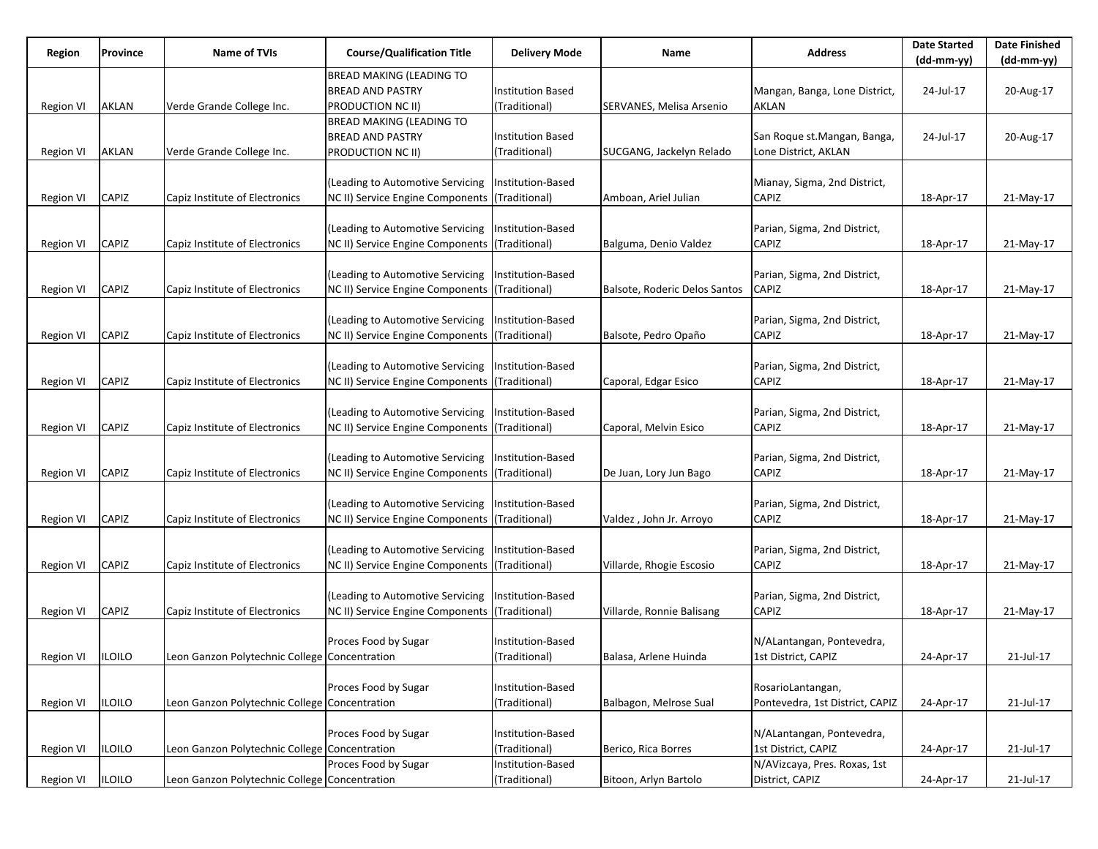| Region           | Province      | <b>Name of TVIs</b>                           | <b>Course/Qualification Title</b> | <b>Delivery Mode</b> | Name                          | <b>Address</b>                  | <b>Date Started</b> | <b>Date Finished</b><br>(dd-mm-yy) |
|------------------|---------------|-----------------------------------------------|-----------------------------------|----------------------|-------------------------------|---------------------------------|---------------------|------------------------------------|
|                  |               |                                               | BREAD MAKING (LEADING TO          |                      |                               |                                 | (dd-mm-yy)          |                                    |
|                  |               |                                               | <b>BREAD AND PASTRY</b>           | Institution Based    |                               | Mangan, Banga, Lone District,   | 24-Jul-17           | 20-Aug-17                          |
|                  | AKLAN         |                                               |                                   | (Traditional)        |                               | AKLAN                           |                     |                                    |
| Region VI        |               | Verde Grande College Inc.                     | PRODUCTION NC II)                 |                      | SERVANES, Melisa Arsenio      |                                 |                     |                                    |
|                  |               |                                               | BREAD MAKING (LEADING TO          |                      |                               |                                 |                     |                                    |
|                  |               |                                               | <b>BREAD AND PASTRY</b>           | Institution Based    |                               | San Roque st.Mangan, Banga,     | 24-Jul-17           | 20-Aug-17                          |
| Region VI        | AKLAN         | Verde Grande College Inc.                     | PRODUCTION NC II)                 | (Traditional)        | SUCGANG, Jackelyn Relado      | Lone District, AKLAN            |                     |                                    |
|                  |               |                                               |                                   |                      |                               |                                 |                     |                                    |
|                  |               |                                               | (Leading to Automotive Servicing  | Institution-Based    |                               | Mianay, Sigma, 2nd District,    |                     |                                    |
| Region VI        | CAPIZ         | Capiz Institute of Electronics                | NC II) Service Engine Components  | (Traditional)        | Amboan, Ariel Julian          | CAPIZ                           | 18-Apr-17           | 21-May-17                          |
|                  |               |                                               |                                   |                      |                               |                                 |                     |                                    |
|                  |               |                                               | (Leading to Automotive Servicing  | Institution-Based    |                               | Parian, Sigma, 2nd District,    |                     |                                    |
| Region VI        | CAPIZ         | Capiz Institute of Electronics                | NC II) Service Engine Components  | (Traditional)        | Balguma, Denio Valdez         | CAPIZ                           | 18-Apr-17           | 21-May-17                          |
|                  |               |                                               |                                   |                      |                               |                                 |                     |                                    |
|                  |               |                                               | (Leading to Automotive Servicing  | Institution-Based    |                               | Parian, Sigma, 2nd District,    |                     |                                    |
| Region VI        | CAPIZ         | Capiz Institute of Electronics                | NC II) Service Engine Components  | (Traditional)        | Balsote, Roderic Delos Santos | <b>CAPIZ</b>                    | 18-Apr-17           | 21-May-17                          |
|                  |               |                                               |                                   |                      |                               |                                 |                     |                                    |
|                  |               |                                               | (Leading to Automotive Servicing  | Institution-Based    |                               | Parian, Sigma, 2nd District,    |                     |                                    |
| Region VI        | CAPIZ         | Capiz Institute of Electronics                | NC II) Service Engine Components  | (Traditional)        | Balsote, Pedro Opaño          | CAPIZ                           | 18-Apr-17           | 21-May-17                          |
|                  |               |                                               |                                   |                      |                               |                                 |                     |                                    |
|                  |               |                                               | (Leading to Automotive Servicing  | Institution-Based    |                               | Parian, Sigma, 2nd District,    |                     |                                    |
| Region VI        | CAPIZ         | Capiz Institute of Electronics                | NC II) Service Engine Components  | (Traditional)        | Caporal, Edgar Esico          | CAPIZ                           | 18-Apr-17           | 21-May-17                          |
|                  |               |                                               |                                   |                      |                               |                                 |                     |                                    |
|                  |               |                                               | (Leading to Automotive Servicing  | Institution-Based    |                               | Parian, Sigma, 2nd District,    |                     |                                    |
| <b>Region VI</b> | CAPIZ         | Capiz Institute of Electronics                | NC II) Service Engine Components  | (Traditional)        | Caporal, Melvin Esico         | CAPIZ                           | 18-Apr-17           | 21-May-17                          |
|                  |               |                                               |                                   |                      |                               |                                 |                     |                                    |
|                  |               |                                               | (Leading to Automotive Servicing  | Institution-Based    |                               | Parian, Sigma, 2nd District,    |                     |                                    |
| Region VI        | CAPIZ         | Capiz Institute of Electronics                | NC II) Service Engine Components  | (Traditional)        | De Juan, Lory Jun Bago        | CAPIZ                           | 18-Apr-17           | 21-May-17                          |
|                  |               |                                               |                                   |                      |                               |                                 |                     |                                    |
|                  |               |                                               | (Leading to Automotive Servicing  | Institution-Based    |                               | Parian, Sigma, 2nd District,    |                     |                                    |
| Region VI        | CAPIZ         | Capiz Institute of Electronics                | NC II) Service Engine Components  | (Traditional)        | Valdez, John Jr. Arroyo       | CAPIZ                           | 18-Apr-17           | 21-May-17                          |
|                  |               |                                               |                                   |                      |                               |                                 |                     |                                    |
|                  |               |                                               | (Leading to Automotive Servicing  | Institution-Based    |                               | Parian, Sigma, 2nd District,    |                     |                                    |
| <b>Region VI</b> | CAPIZ         | Capiz Institute of Electronics                | NC II) Service Engine Components  | (Traditional)        | Villarde, Rhogie Escosio      | CAPIZ                           | 18-Apr-17           | 21-May-17                          |
|                  |               |                                               |                                   |                      |                               |                                 |                     |                                    |
|                  |               |                                               | (Leading to Automotive Servicing  | Institution-Based    |                               | Parian, Sigma, 2nd District,    |                     |                                    |
| Region VI        | CAPIZ         | Capiz Institute of Electronics                | NC II) Service Engine Components  | (Traditional)        | Villarde, Ronnie Balisang     | CAPIZ                           | 18-Apr-17           | 21-May-17                          |
|                  |               |                                               |                                   |                      |                               |                                 |                     |                                    |
|                  |               |                                               | Proces Food by Sugar              | Institution-Based    |                               | N/ALantangan, Pontevedra,       |                     |                                    |
| Region VI        | <b>ILOILO</b> | Leon Ganzon Polytechnic College Concentration |                                   | (Traditional)        | Balasa, Arlene Huinda         | 1st District, CAPIZ             | 24-Apr-17           | 21-Jul-17                          |
|                  |               |                                               |                                   |                      |                               |                                 |                     |                                    |
|                  |               |                                               | Proces Food by Sugar              | Institution-Based    |                               | RosarioLantangan,               |                     |                                    |
| <b>Region VI</b> | <b>ILOILO</b> | Leon Ganzon Polytechnic College Concentration |                                   | (Traditional)        | Balbagon, Melrose Sual        | Pontevedra, 1st District, CAPIZ | 24-Apr-17           | 21-Jul-17                          |
|                  |               |                                               |                                   |                      |                               |                                 |                     |                                    |
|                  |               |                                               | Proces Food by Sugar              | Institution-Based    |                               | N/ALantangan, Pontevedra,       |                     |                                    |
| <b>Region VI</b> | <b>ILOILO</b> | Leon Ganzon Polytechnic College Concentration |                                   | (Traditional)        | Berico, Rica Borres           | 1st District, CAPIZ             | 24-Apr-17           | 21-Jul-17                          |
|                  |               |                                               | Proces Food by Sugar              | Institution-Based    |                               | N/AVizcaya, Pres. Roxas, 1st    |                     |                                    |
| Region VI        | <b>ILOILO</b> | Leon Ganzon Polytechnic College Concentration |                                   | (Traditional)        | Bitoon, Arlyn Bartolo         | District, CAPIZ                 | 24-Apr-17           | 21-Jul-17                          |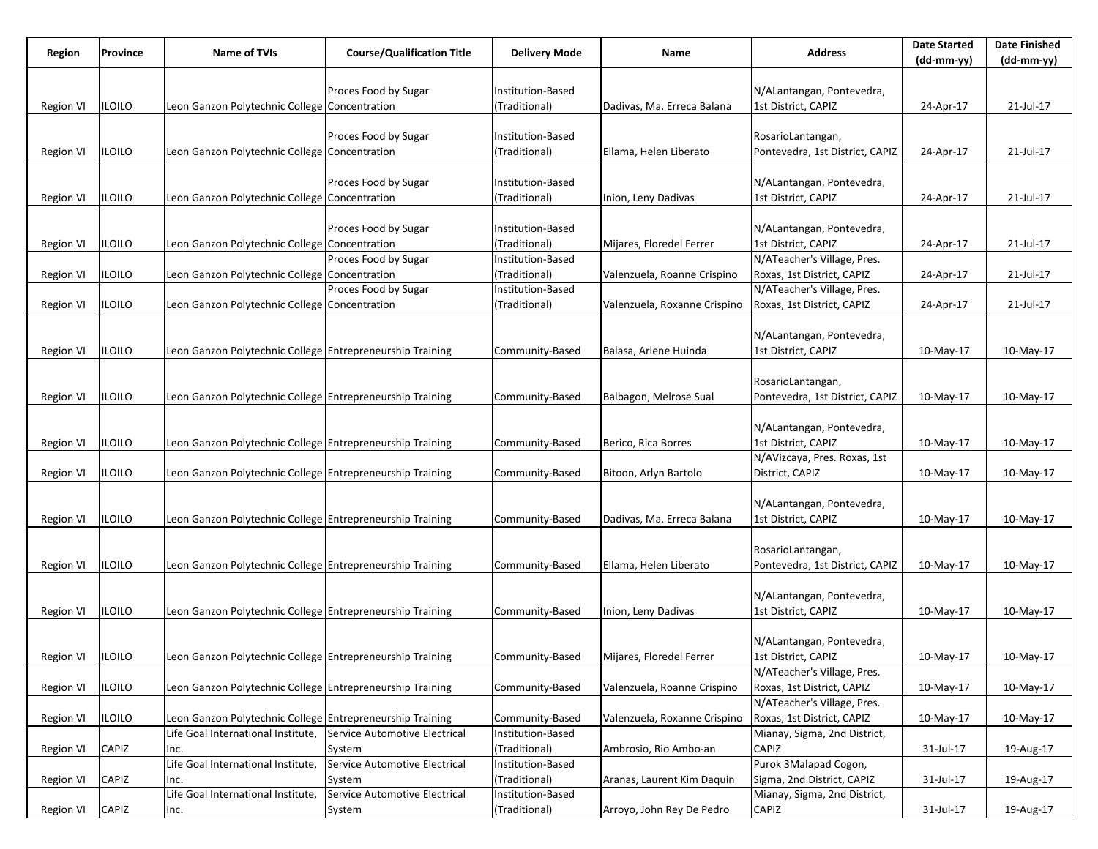| Proces Food by Sugar<br>N/ALantangan, Pontevedra,<br>Institution-Based<br>1st District, CAPIZ<br>iloilo<br>Leon Ganzon Polytechnic College Concentration<br>(Traditional)<br>21-Jul-17<br><b>Region VI</b><br>Dadivas, Ma. Erreca Balana<br>24-Apr-17<br>Proces Food by Sugar<br>Institution-Based<br>RosarioLantangan,<br>21-Jul-17<br>iloilo<br>Leon Ganzon Polytechnic College Concentration<br>(Traditional)<br>Pontevedra, 1st District, CAPIZ<br>Region VI<br>Ellama, Helen Liberato<br>24-Apr-17<br>Proces Food by Sugar<br>N/ALantangan, Pontevedra,<br>Institution-Based<br>1st District, CAPIZ<br>iloilo<br>Leon Ganzon Polytechnic College Concentration<br>(Traditional)<br>21-Jul-17<br>Inion, Leny Dadivas<br>24-Apr-17<br>Region VI<br>Proces Food by Sugar<br>N/ALantangan, Pontevedra,<br>nstitution-Based<br>1st District, CAPIZ<br>21-Jul-17<br>iloilo<br>Leon Ganzon Polytechnic College Concentration<br>(Traditional)<br>Mijares, Floredel Ferrer<br>24-Apr-17<br>Region VI<br>N/ATeacher's Village, Pres.<br>Proces Food by Sugar<br>Institution-Based<br>Roxas, 1st District, CAPIZ<br>iloilo<br>Leon Ganzon Polytechnic College Concentration<br>(Traditional)<br>Valenzuela, Roanne Crispino<br>21-Jul-17<br><b>Region VI</b><br>24-Apr-17<br>N/ATeacher's Village, Pres.<br>Proces Food by Sugar<br>Institution-Based<br>Leon Ganzon Polytechnic College Concentration<br>Valenzuela, Roxanne Crispino<br>Roxas, 1st District, CAPIZ<br>21-Jul-17<br><b>Region VI</b><br>iloilo<br>(Traditional)<br>24-Apr-17<br>N/ALantangan, Pontevedra,<br>iloilo<br>Leon Ganzon Polytechnic College Entrepreneurship Training<br>1st District, CAPIZ<br>10-May-17<br>Region VI<br>Community-Based<br>Balasa, Arlene Huinda<br>10-May-17<br>RosarioLantangan,<br>iloilo<br>Leon Ganzon Polytechnic College Entrepreneurship Training<br>Balbagon, Melrose Sual<br>Pontevedra, 1st District, CAPIZ<br><b>Region VI</b><br>Community-Based<br>10-May-17<br>10-May-17<br>N/ALantangan, Pontevedra,<br>1st District, CAPIZ<br>iloilo<br>Leon Ganzon Polytechnic College Entrepreneurship Training<br>Berico, Rica Borres<br>10-May-17<br>10-May-17<br>Region VI<br>Community-Based<br>N/AVizcaya, Pres. Roxas, 1st<br>District, CAPIZ<br>iloilo<br>Leon Ganzon Polytechnic College Entrepreneurship Training<br>Bitoon, Arlyn Bartolo<br>10-May-17<br><b>Region VI</b><br>Community-Based<br>10-May-17<br>N/ALantangan, Pontevedra,<br>Leon Ganzon Polytechnic College Entrepreneurship Training<br>1st District, CAPIZ<br>Region VI<br>iloilo<br>Community-Based<br> Dadivas, Ma. Erreca Balana<br>10-May-17<br>10-May-17<br>RosarioLantangan,<br>iloilo<br>Leon Ganzon Polytechnic College Entrepreneurship Training<br>Pontevedra, 1st District, CAPIZ<br>Region VI<br>Community-Based<br>Ellama, Helen Liberato<br>10-May-17<br>10-May-17<br>N/ALantangan, Pontevedra,<br>1st District, CAPIZ<br>iloilo<br>Leon Ganzon Polytechnic College Entrepreneurship Training<br><b>Region VI</b><br>Community-Based<br>Inion, Leny Dadivas<br>10-May-17<br>10-May-17<br>N/ALantangan, Pontevedra,<br>1st District, CAPIZ<br>Region VI<br><b>ILOILO</b><br>Leon Ganzon Polytechnic College Entrepreneurship Training<br>Community-Based<br>Mijares, Floredel Ferrer<br>10-May-17<br>10-May-17<br>N/ATeacher's Village, Pres.<br>Leon Ganzon Polytechnic College Entrepreneurship Training<br>Roxas, 1st District, CAPIZ<br>iloilo<br>Community-Based<br>Valenzuela, Roanne Crispino<br>10-May-17<br>10-May-17<br><b>Region VI</b><br>N/ATeacher's Village, Pres.<br>Roxas, 1st District, CAPIZ<br>iloilo<br>Leon Ganzon Polytechnic College Entrepreneurship Training<br>Community-Based<br>Valenzuela, Roxanne Crispino<br>Region VI<br>10-May-17<br>10-May-17<br>Life Goal International Institute,<br>Service Automotive Electrical<br>Institution-Based<br>Mianay, Sigma, 2nd District,<br>(Traditional)<br><b>CAPIZ</b><br>CAPIZ<br>Ambrosio, Rio Ambo-an<br>31-Jul-17<br>19-Aug-17<br>System<br><b>Region VI</b><br>Inc.<br>Purok 3Malapad Cogon,<br>Life Goal International Institute,<br>Service Automotive Electrical<br>Institution-Based<br>Sigma, 2nd District, CAPIZ<br>CAPIZ<br>(Traditional)<br>Aranas, Laurent Kim Daquin<br>31-Jul-17<br>19-Aug-17<br>Region VI<br>System<br>Inc. | Region | Province | <b>Name of TVIs</b>                | <b>Course/Qualification Title</b> | <b>Delivery Mode</b> | Name | <b>Address</b>               | <b>Date Started</b> | <b>Date Finished</b> |
|---------------------------------------------------------------------------------------------------------------------------------------------------------------------------------------------------------------------------------------------------------------------------------------------------------------------------------------------------------------------------------------------------------------------------------------------------------------------------------------------------------------------------------------------------------------------------------------------------------------------------------------------------------------------------------------------------------------------------------------------------------------------------------------------------------------------------------------------------------------------------------------------------------------------------------------------------------------------------------------------------------------------------------------------------------------------------------------------------------------------------------------------------------------------------------------------------------------------------------------------------------------------------------------------------------------------------------------------------------------------------------------------------------------------------------------------------------------------------------------------------------------------------------------------------------------------------------------------------------------------------------------------------------------------------------------------------------------------------------------------------------------------------------------------------------------------------------------------------------------------------------------------------------------------------------------------------------------------------------------------------------------------------------------------------------------------------------------------------------------------------------------------------------------------------------------------------------------------------------------------------------------------------------------------------------------------------------------------------------------------------------------------------------------------------------------------------------------------------------------------------------------------------------------------------------------------------------------------------------------------------------------------------------------------------------------------------------------------------------------------------------------------------------------------------------------------------------------------------------------------------------------------------------------------------------------------------------------------------------------------------------------------------------------------------------------------------------------------------------------------------------------------------------------------------------------------------------------------------------------------------------------------------------------------------------------------------------------------------------------------------------------------------------------------------------------------------------------------------------------------------------------------------------------------------------------------------------------------------------------------------------------------------------------------------------------------------------------------------------------------------------------------------------------------------------------------------------------------------------------------------------------------------------------------------------------------------------------------------------------------------------------------------------------------------------------------------------------------------------------------------------------------------------------------------------------------------------------------------------------------------------------------------------------------------------|--------|----------|------------------------------------|-----------------------------------|----------------------|------|------------------------------|---------------------|----------------------|
|                                                                                                                                                                                                                                                                                                                                                                                                                                                                                                                                                                                                                                                                                                                                                                                                                                                                                                                                                                                                                                                                                                                                                                                                                                                                                                                                                                                                                                                                                                                                                                                                                                                                                                                                                                                                                                                                                                                                                                                                                                                                                                                                                                                                                                                                                                                                                                                                                                                                                                                                                                                                                                                                                                                                                                                                                                                                                                                                                                                                                                                                                                                                                                                                                                                                                                                                                                                                                                                                                                                                                                                                                                                                                                                                                                                                                                                                                                                                                                                                                                                                                                                                                                                                                                                                                                         |        |          |                                    |                                   |                      |      |                              | (dd-mm-yy)          | (dd-mm-yy)           |
|                                                                                                                                                                                                                                                                                                                                                                                                                                                                                                                                                                                                                                                                                                                                                                                                                                                                                                                                                                                                                                                                                                                                                                                                                                                                                                                                                                                                                                                                                                                                                                                                                                                                                                                                                                                                                                                                                                                                                                                                                                                                                                                                                                                                                                                                                                                                                                                                                                                                                                                                                                                                                                                                                                                                                                                                                                                                                                                                                                                                                                                                                                                                                                                                                                                                                                                                                                                                                                                                                                                                                                                                                                                                                                                                                                                                                                                                                                                                                                                                                                                                                                                                                                                                                                                                                                         |        |          |                                    |                                   |                      |      |                              |                     |                      |
|                                                                                                                                                                                                                                                                                                                                                                                                                                                                                                                                                                                                                                                                                                                                                                                                                                                                                                                                                                                                                                                                                                                                                                                                                                                                                                                                                                                                                                                                                                                                                                                                                                                                                                                                                                                                                                                                                                                                                                                                                                                                                                                                                                                                                                                                                                                                                                                                                                                                                                                                                                                                                                                                                                                                                                                                                                                                                                                                                                                                                                                                                                                                                                                                                                                                                                                                                                                                                                                                                                                                                                                                                                                                                                                                                                                                                                                                                                                                                                                                                                                                                                                                                                                                                                                                                                         |        |          |                                    |                                   |                      |      |                              |                     |                      |
|                                                                                                                                                                                                                                                                                                                                                                                                                                                                                                                                                                                                                                                                                                                                                                                                                                                                                                                                                                                                                                                                                                                                                                                                                                                                                                                                                                                                                                                                                                                                                                                                                                                                                                                                                                                                                                                                                                                                                                                                                                                                                                                                                                                                                                                                                                                                                                                                                                                                                                                                                                                                                                                                                                                                                                                                                                                                                                                                                                                                                                                                                                                                                                                                                                                                                                                                                                                                                                                                                                                                                                                                                                                                                                                                                                                                                                                                                                                                                                                                                                                                                                                                                                                                                                                                                                         |        |          |                                    |                                   |                      |      |                              |                     |                      |
|                                                                                                                                                                                                                                                                                                                                                                                                                                                                                                                                                                                                                                                                                                                                                                                                                                                                                                                                                                                                                                                                                                                                                                                                                                                                                                                                                                                                                                                                                                                                                                                                                                                                                                                                                                                                                                                                                                                                                                                                                                                                                                                                                                                                                                                                                                                                                                                                                                                                                                                                                                                                                                                                                                                                                                                                                                                                                                                                                                                                                                                                                                                                                                                                                                                                                                                                                                                                                                                                                                                                                                                                                                                                                                                                                                                                                                                                                                                                                                                                                                                                                                                                                                                                                                                                                                         |        |          |                                    |                                   |                      |      |                              |                     |                      |
|                                                                                                                                                                                                                                                                                                                                                                                                                                                                                                                                                                                                                                                                                                                                                                                                                                                                                                                                                                                                                                                                                                                                                                                                                                                                                                                                                                                                                                                                                                                                                                                                                                                                                                                                                                                                                                                                                                                                                                                                                                                                                                                                                                                                                                                                                                                                                                                                                                                                                                                                                                                                                                                                                                                                                                                                                                                                                                                                                                                                                                                                                                                                                                                                                                                                                                                                                                                                                                                                                                                                                                                                                                                                                                                                                                                                                                                                                                                                                                                                                                                                                                                                                                                                                                                                                                         |        |          |                                    |                                   |                      |      |                              |                     |                      |
|                                                                                                                                                                                                                                                                                                                                                                                                                                                                                                                                                                                                                                                                                                                                                                                                                                                                                                                                                                                                                                                                                                                                                                                                                                                                                                                                                                                                                                                                                                                                                                                                                                                                                                                                                                                                                                                                                                                                                                                                                                                                                                                                                                                                                                                                                                                                                                                                                                                                                                                                                                                                                                                                                                                                                                                                                                                                                                                                                                                                                                                                                                                                                                                                                                                                                                                                                                                                                                                                                                                                                                                                                                                                                                                                                                                                                                                                                                                                                                                                                                                                                                                                                                                                                                                                                                         |        |          |                                    |                                   |                      |      |                              |                     |                      |
|                                                                                                                                                                                                                                                                                                                                                                                                                                                                                                                                                                                                                                                                                                                                                                                                                                                                                                                                                                                                                                                                                                                                                                                                                                                                                                                                                                                                                                                                                                                                                                                                                                                                                                                                                                                                                                                                                                                                                                                                                                                                                                                                                                                                                                                                                                                                                                                                                                                                                                                                                                                                                                                                                                                                                                                                                                                                                                                                                                                                                                                                                                                                                                                                                                                                                                                                                                                                                                                                                                                                                                                                                                                                                                                                                                                                                                                                                                                                                                                                                                                                                                                                                                                                                                                                                                         |        |          |                                    |                                   |                      |      |                              |                     |                      |
|                                                                                                                                                                                                                                                                                                                                                                                                                                                                                                                                                                                                                                                                                                                                                                                                                                                                                                                                                                                                                                                                                                                                                                                                                                                                                                                                                                                                                                                                                                                                                                                                                                                                                                                                                                                                                                                                                                                                                                                                                                                                                                                                                                                                                                                                                                                                                                                                                                                                                                                                                                                                                                                                                                                                                                                                                                                                                                                                                                                                                                                                                                                                                                                                                                                                                                                                                                                                                                                                                                                                                                                                                                                                                                                                                                                                                                                                                                                                                                                                                                                                                                                                                                                                                                                                                                         |        |          |                                    |                                   |                      |      |                              |                     |                      |
|                                                                                                                                                                                                                                                                                                                                                                                                                                                                                                                                                                                                                                                                                                                                                                                                                                                                                                                                                                                                                                                                                                                                                                                                                                                                                                                                                                                                                                                                                                                                                                                                                                                                                                                                                                                                                                                                                                                                                                                                                                                                                                                                                                                                                                                                                                                                                                                                                                                                                                                                                                                                                                                                                                                                                                                                                                                                                                                                                                                                                                                                                                                                                                                                                                                                                                                                                                                                                                                                                                                                                                                                                                                                                                                                                                                                                                                                                                                                                                                                                                                                                                                                                                                                                                                                                                         |        |          |                                    |                                   |                      |      |                              |                     |                      |
|                                                                                                                                                                                                                                                                                                                                                                                                                                                                                                                                                                                                                                                                                                                                                                                                                                                                                                                                                                                                                                                                                                                                                                                                                                                                                                                                                                                                                                                                                                                                                                                                                                                                                                                                                                                                                                                                                                                                                                                                                                                                                                                                                                                                                                                                                                                                                                                                                                                                                                                                                                                                                                                                                                                                                                                                                                                                                                                                                                                                                                                                                                                                                                                                                                                                                                                                                                                                                                                                                                                                                                                                                                                                                                                                                                                                                                                                                                                                                                                                                                                                                                                                                                                                                                                                                                         |        |          |                                    |                                   |                      |      |                              |                     |                      |
|                                                                                                                                                                                                                                                                                                                                                                                                                                                                                                                                                                                                                                                                                                                                                                                                                                                                                                                                                                                                                                                                                                                                                                                                                                                                                                                                                                                                                                                                                                                                                                                                                                                                                                                                                                                                                                                                                                                                                                                                                                                                                                                                                                                                                                                                                                                                                                                                                                                                                                                                                                                                                                                                                                                                                                                                                                                                                                                                                                                                                                                                                                                                                                                                                                                                                                                                                                                                                                                                                                                                                                                                                                                                                                                                                                                                                                                                                                                                                                                                                                                                                                                                                                                                                                                                                                         |        |          |                                    |                                   |                      |      |                              |                     |                      |
|                                                                                                                                                                                                                                                                                                                                                                                                                                                                                                                                                                                                                                                                                                                                                                                                                                                                                                                                                                                                                                                                                                                                                                                                                                                                                                                                                                                                                                                                                                                                                                                                                                                                                                                                                                                                                                                                                                                                                                                                                                                                                                                                                                                                                                                                                                                                                                                                                                                                                                                                                                                                                                                                                                                                                                                                                                                                                                                                                                                                                                                                                                                                                                                                                                                                                                                                                                                                                                                                                                                                                                                                                                                                                                                                                                                                                                                                                                                                                                                                                                                                                                                                                                                                                                                                                                         |        |          |                                    |                                   |                      |      |                              |                     |                      |
|                                                                                                                                                                                                                                                                                                                                                                                                                                                                                                                                                                                                                                                                                                                                                                                                                                                                                                                                                                                                                                                                                                                                                                                                                                                                                                                                                                                                                                                                                                                                                                                                                                                                                                                                                                                                                                                                                                                                                                                                                                                                                                                                                                                                                                                                                                                                                                                                                                                                                                                                                                                                                                                                                                                                                                                                                                                                                                                                                                                                                                                                                                                                                                                                                                                                                                                                                                                                                                                                                                                                                                                                                                                                                                                                                                                                                                                                                                                                                                                                                                                                                                                                                                                                                                                                                                         |        |          |                                    |                                   |                      |      |                              |                     |                      |
|                                                                                                                                                                                                                                                                                                                                                                                                                                                                                                                                                                                                                                                                                                                                                                                                                                                                                                                                                                                                                                                                                                                                                                                                                                                                                                                                                                                                                                                                                                                                                                                                                                                                                                                                                                                                                                                                                                                                                                                                                                                                                                                                                                                                                                                                                                                                                                                                                                                                                                                                                                                                                                                                                                                                                                                                                                                                                                                                                                                                                                                                                                                                                                                                                                                                                                                                                                                                                                                                                                                                                                                                                                                                                                                                                                                                                                                                                                                                                                                                                                                                                                                                                                                                                                                                                                         |        |          |                                    |                                   |                      |      |                              |                     |                      |
|                                                                                                                                                                                                                                                                                                                                                                                                                                                                                                                                                                                                                                                                                                                                                                                                                                                                                                                                                                                                                                                                                                                                                                                                                                                                                                                                                                                                                                                                                                                                                                                                                                                                                                                                                                                                                                                                                                                                                                                                                                                                                                                                                                                                                                                                                                                                                                                                                                                                                                                                                                                                                                                                                                                                                                                                                                                                                                                                                                                                                                                                                                                                                                                                                                                                                                                                                                                                                                                                                                                                                                                                                                                                                                                                                                                                                                                                                                                                                                                                                                                                                                                                                                                                                                                                                                         |        |          |                                    |                                   |                      |      |                              |                     |                      |
|                                                                                                                                                                                                                                                                                                                                                                                                                                                                                                                                                                                                                                                                                                                                                                                                                                                                                                                                                                                                                                                                                                                                                                                                                                                                                                                                                                                                                                                                                                                                                                                                                                                                                                                                                                                                                                                                                                                                                                                                                                                                                                                                                                                                                                                                                                                                                                                                                                                                                                                                                                                                                                                                                                                                                                                                                                                                                                                                                                                                                                                                                                                                                                                                                                                                                                                                                                                                                                                                                                                                                                                                                                                                                                                                                                                                                                                                                                                                                                                                                                                                                                                                                                                                                                                                                                         |        |          |                                    |                                   |                      |      |                              |                     |                      |
|                                                                                                                                                                                                                                                                                                                                                                                                                                                                                                                                                                                                                                                                                                                                                                                                                                                                                                                                                                                                                                                                                                                                                                                                                                                                                                                                                                                                                                                                                                                                                                                                                                                                                                                                                                                                                                                                                                                                                                                                                                                                                                                                                                                                                                                                                                                                                                                                                                                                                                                                                                                                                                                                                                                                                                                                                                                                                                                                                                                                                                                                                                                                                                                                                                                                                                                                                                                                                                                                                                                                                                                                                                                                                                                                                                                                                                                                                                                                                                                                                                                                                                                                                                                                                                                                                                         |        |          |                                    |                                   |                      |      |                              |                     |                      |
|                                                                                                                                                                                                                                                                                                                                                                                                                                                                                                                                                                                                                                                                                                                                                                                                                                                                                                                                                                                                                                                                                                                                                                                                                                                                                                                                                                                                                                                                                                                                                                                                                                                                                                                                                                                                                                                                                                                                                                                                                                                                                                                                                                                                                                                                                                                                                                                                                                                                                                                                                                                                                                                                                                                                                                                                                                                                                                                                                                                                                                                                                                                                                                                                                                                                                                                                                                                                                                                                                                                                                                                                                                                                                                                                                                                                                                                                                                                                                                                                                                                                                                                                                                                                                                                                                                         |        |          |                                    |                                   |                      |      |                              |                     |                      |
|                                                                                                                                                                                                                                                                                                                                                                                                                                                                                                                                                                                                                                                                                                                                                                                                                                                                                                                                                                                                                                                                                                                                                                                                                                                                                                                                                                                                                                                                                                                                                                                                                                                                                                                                                                                                                                                                                                                                                                                                                                                                                                                                                                                                                                                                                                                                                                                                                                                                                                                                                                                                                                                                                                                                                                                                                                                                                                                                                                                                                                                                                                                                                                                                                                                                                                                                                                                                                                                                                                                                                                                                                                                                                                                                                                                                                                                                                                                                                                                                                                                                                                                                                                                                                                                                                                         |        |          |                                    |                                   |                      |      |                              |                     |                      |
|                                                                                                                                                                                                                                                                                                                                                                                                                                                                                                                                                                                                                                                                                                                                                                                                                                                                                                                                                                                                                                                                                                                                                                                                                                                                                                                                                                                                                                                                                                                                                                                                                                                                                                                                                                                                                                                                                                                                                                                                                                                                                                                                                                                                                                                                                                                                                                                                                                                                                                                                                                                                                                                                                                                                                                                                                                                                                                                                                                                                                                                                                                                                                                                                                                                                                                                                                                                                                                                                                                                                                                                                                                                                                                                                                                                                                                                                                                                                                                                                                                                                                                                                                                                                                                                                                                         |        |          |                                    |                                   |                      |      |                              |                     |                      |
|                                                                                                                                                                                                                                                                                                                                                                                                                                                                                                                                                                                                                                                                                                                                                                                                                                                                                                                                                                                                                                                                                                                                                                                                                                                                                                                                                                                                                                                                                                                                                                                                                                                                                                                                                                                                                                                                                                                                                                                                                                                                                                                                                                                                                                                                                                                                                                                                                                                                                                                                                                                                                                                                                                                                                                                                                                                                                                                                                                                                                                                                                                                                                                                                                                                                                                                                                                                                                                                                                                                                                                                                                                                                                                                                                                                                                                                                                                                                                                                                                                                                                                                                                                                                                                                                                                         |        |          |                                    |                                   |                      |      |                              |                     |                      |
|                                                                                                                                                                                                                                                                                                                                                                                                                                                                                                                                                                                                                                                                                                                                                                                                                                                                                                                                                                                                                                                                                                                                                                                                                                                                                                                                                                                                                                                                                                                                                                                                                                                                                                                                                                                                                                                                                                                                                                                                                                                                                                                                                                                                                                                                                                                                                                                                                                                                                                                                                                                                                                                                                                                                                                                                                                                                                                                                                                                                                                                                                                                                                                                                                                                                                                                                                                                                                                                                                                                                                                                                                                                                                                                                                                                                                                                                                                                                                                                                                                                                                                                                                                                                                                                                                                         |        |          |                                    |                                   |                      |      |                              |                     |                      |
|                                                                                                                                                                                                                                                                                                                                                                                                                                                                                                                                                                                                                                                                                                                                                                                                                                                                                                                                                                                                                                                                                                                                                                                                                                                                                                                                                                                                                                                                                                                                                                                                                                                                                                                                                                                                                                                                                                                                                                                                                                                                                                                                                                                                                                                                                                                                                                                                                                                                                                                                                                                                                                                                                                                                                                                                                                                                                                                                                                                                                                                                                                                                                                                                                                                                                                                                                                                                                                                                                                                                                                                                                                                                                                                                                                                                                                                                                                                                                                                                                                                                                                                                                                                                                                                                                                         |        |          |                                    |                                   |                      |      |                              |                     |                      |
|                                                                                                                                                                                                                                                                                                                                                                                                                                                                                                                                                                                                                                                                                                                                                                                                                                                                                                                                                                                                                                                                                                                                                                                                                                                                                                                                                                                                                                                                                                                                                                                                                                                                                                                                                                                                                                                                                                                                                                                                                                                                                                                                                                                                                                                                                                                                                                                                                                                                                                                                                                                                                                                                                                                                                                                                                                                                                                                                                                                                                                                                                                                                                                                                                                                                                                                                                                                                                                                                                                                                                                                                                                                                                                                                                                                                                                                                                                                                                                                                                                                                                                                                                                                                                                                                                                         |        |          |                                    |                                   |                      |      |                              |                     |                      |
|                                                                                                                                                                                                                                                                                                                                                                                                                                                                                                                                                                                                                                                                                                                                                                                                                                                                                                                                                                                                                                                                                                                                                                                                                                                                                                                                                                                                                                                                                                                                                                                                                                                                                                                                                                                                                                                                                                                                                                                                                                                                                                                                                                                                                                                                                                                                                                                                                                                                                                                                                                                                                                                                                                                                                                                                                                                                                                                                                                                                                                                                                                                                                                                                                                                                                                                                                                                                                                                                                                                                                                                                                                                                                                                                                                                                                                                                                                                                                                                                                                                                                                                                                                                                                                                                                                         |        |          |                                    |                                   |                      |      |                              |                     |                      |
|                                                                                                                                                                                                                                                                                                                                                                                                                                                                                                                                                                                                                                                                                                                                                                                                                                                                                                                                                                                                                                                                                                                                                                                                                                                                                                                                                                                                                                                                                                                                                                                                                                                                                                                                                                                                                                                                                                                                                                                                                                                                                                                                                                                                                                                                                                                                                                                                                                                                                                                                                                                                                                                                                                                                                                                                                                                                                                                                                                                                                                                                                                                                                                                                                                                                                                                                                                                                                                                                                                                                                                                                                                                                                                                                                                                                                                                                                                                                                                                                                                                                                                                                                                                                                                                                                                         |        |          |                                    |                                   |                      |      |                              |                     |                      |
|                                                                                                                                                                                                                                                                                                                                                                                                                                                                                                                                                                                                                                                                                                                                                                                                                                                                                                                                                                                                                                                                                                                                                                                                                                                                                                                                                                                                                                                                                                                                                                                                                                                                                                                                                                                                                                                                                                                                                                                                                                                                                                                                                                                                                                                                                                                                                                                                                                                                                                                                                                                                                                                                                                                                                                                                                                                                                                                                                                                                                                                                                                                                                                                                                                                                                                                                                                                                                                                                                                                                                                                                                                                                                                                                                                                                                                                                                                                                                                                                                                                                                                                                                                                                                                                                                                         |        |          |                                    |                                   |                      |      |                              |                     |                      |
|                                                                                                                                                                                                                                                                                                                                                                                                                                                                                                                                                                                                                                                                                                                                                                                                                                                                                                                                                                                                                                                                                                                                                                                                                                                                                                                                                                                                                                                                                                                                                                                                                                                                                                                                                                                                                                                                                                                                                                                                                                                                                                                                                                                                                                                                                                                                                                                                                                                                                                                                                                                                                                                                                                                                                                                                                                                                                                                                                                                                                                                                                                                                                                                                                                                                                                                                                                                                                                                                                                                                                                                                                                                                                                                                                                                                                                                                                                                                                                                                                                                                                                                                                                                                                                                                                                         |        |          |                                    |                                   |                      |      |                              |                     |                      |
|                                                                                                                                                                                                                                                                                                                                                                                                                                                                                                                                                                                                                                                                                                                                                                                                                                                                                                                                                                                                                                                                                                                                                                                                                                                                                                                                                                                                                                                                                                                                                                                                                                                                                                                                                                                                                                                                                                                                                                                                                                                                                                                                                                                                                                                                                                                                                                                                                                                                                                                                                                                                                                                                                                                                                                                                                                                                                                                                                                                                                                                                                                                                                                                                                                                                                                                                                                                                                                                                                                                                                                                                                                                                                                                                                                                                                                                                                                                                                                                                                                                                                                                                                                                                                                                                                                         |        |          |                                    |                                   |                      |      |                              |                     |                      |
|                                                                                                                                                                                                                                                                                                                                                                                                                                                                                                                                                                                                                                                                                                                                                                                                                                                                                                                                                                                                                                                                                                                                                                                                                                                                                                                                                                                                                                                                                                                                                                                                                                                                                                                                                                                                                                                                                                                                                                                                                                                                                                                                                                                                                                                                                                                                                                                                                                                                                                                                                                                                                                                                                                                                                                                                                                                                                                                                                                                                                                                                                                                                                                                                                                                                                                                                                                                                                                                                                                                                                                                                                                                                                                                                                                                                                                                                                                                                                                                                                                                                                                                                                                                                                                                                                                         |        |          |                                    |                                   |                      |      |                              |                     |                      |
|                                                                                                                                                                                                                                                                                                                                                                                                                                                                                                                                                                                                                                                                                                                                                                                                                                                                                                                                                                                                                                                                                                                                                                                                                                                                                                                                                                                                                                                                                                                                                                                                                                                                                                                                                                                                                                                                                                                                                                                                                                                                                                                                                                                                                                                                                                                                                                                                                                                                                                                                                                                                                                                                                                                                                                                                                                                                                                                                                                                                                                                                                                                                                                                                                                                                                                                                                                                                                                                                                                                                                                                                                                                                                                                                                                                                                                                                                                                                                                                                                                                                                                                                                                                                                                                                                                         |        |          |                                    |                                   |                      |      |                              |                     |                      |
|                                                                                                                                                                                                                                                                                                                                                                                                                                                                                                                                                                                                                                                                                                                                                                                                                                                                                                                                                                                                                                                                                                                                                                                                                                                                                                                                                                                                                                                                                                                                                                                                                                                                                                                                                                                                                                                                                                                                                                                                                                                                                                                                                                                                                                                                                                                                                                                                                                                                                                                                                                                                                                                                                                                                                                                                                                                                                                                                                                                                                                                                                                                                                                                                                                                                                                                                                                                                                                                                                                                                                                                                                                                                                                                                                                                                                                                                                                                                                                                                                                                                                                                                                                                                                                                                                                         |        |          |                                    |                                   |                      |      |                              |                     |                      |
|                                                                                                                                                                                                                                                                                                                                                                                                                                                                                                                                                                                                                                                                                                                                                                                                                                                                                                                                                                                                                                                                                                                                                                                                                                                                                                                                                                                                                                                                                                                                                                                                                                                                                                                                                                                                                                                                                                                                                                                                                                                                                                                                                                                                                                                                                                                                                                                                                                                                                                                                                                                                                                                                                                                                                                                                                                                                                                                                                                                                                                                                                                                                                                                                                                                                                                                                                                                                                                                                                                                                                                                                                                                                                                                                                                                                                                                                                                                                                                                                                                                                                                                                                                                                                                                                                                         |        |          |                                    |                                   |                      |      |                              |                     |                      |
|                                                                                                                                                                                                                                                                                                                                                                                                                                                                                                                                                                                                                                                                                                                                                                                                                                                                                                                                                                                                                                                                                                                                                                                                                                                                                                                                                                                                                                                                                                                                                                                                                                                                                                                                                                                                                                                                                                                                                                                                                                                                                                                                                                                                                                                                                                                                                                                                                                                                                                                                                                                                                                                                                                                                                                                                                                                                                                                                                                                                                                                                                                                                                                                                                                                                                                                                                                                                                                                                                                                                                                                                                                                                                                                                                                                                                                                                                                                                                                                                                                                                                                                                                                                                                                                                                                         |        |          |                                    |                                   |                      |      |                              |                     |                      |
|                                                                                                                                                                                                                                                                                                                                                                                                                                                                                                                                                                                                                                                                                                                                                                                                                                                                                                                                                                                                                                                                                                                                                                                                                                                                                                                                                                                                                                                                                                                                                                                                                                                                                                                                                                                                                                                                                                                                                                                                                                                                                                                                                                                                                                                                                                                                                                                                                                                                                                                                                                                                                                                                                                                                                                                                                                                                                                                                                                                                                                                                                                                                                                                                                                                                                                                                                                                                                                                                                                                                                                                                                                                                                                                                                                                                                                                                                                                                                                                                                                                                                                                                                                                                                                                                                                         |        |          |                                    |                                   |                      |      |                              |                     |                      |
|                                                                                                                                                                                                                                                                                                                                                                                                                                                                                                                                                                                                                                                                                                                                                                                                                                                                                                                                                                                                                                                                                                                                                                                                                                                                                                                                                                                                                                                                                                                                                                                                                                                                                                                                                                                                                                                                                                                                                                                                                                                                                                                                                                                                                                                                                                                                                                                                                                                                                                                                                                                                                                                                                                                                                                                                                                                                                                                                                                                                                                                                                                                                                                                                                                                                                                                                                                                                                                                                                                                                                                                                                                                                                                                                                                                                                                                                                                                                                                                                                                                                                                                                                                                                                                                                                                         |        |          |                                    |                                   |                      |      |                              |                     |                      |
|                                                                                                                                                                                                                                                                                                                                                                                                                                                                                                                                                                                                                                                                                                                                                                                                                                                                                                                                                                                                                                                                                                                                                                                                                                                                                                                                                                                                                                                                                                                                                                                                                                                                                                                                                                                                                                                                                                                                                                                                                                                                                                                                                                                                                                                                                                                                                                                                                                                                                                                                                                                                                                                                                                                                                                                                                                                                                                                                                                                                                                                                                                                                                                                                                                                                                                                                                                                                                                                                                                                                                                                                                                                                                                                                                                                                                                                                                                                                                                                                                                                                                                                                                                                                                                                                                                         |        |          |                                    |                                   |                      |      |                              |                     |                      |
|                                                                                                                                                                                                                                                                                                                                                                                                                                                                                                                                                                                                                                                                                                                                                                                                                                                                                                                                                                                                                                                                                                                                                                                                                                                                                                                                                                                                                                                                                                                                                                                                                                                                                                                                                                                                                                                                                                                                                                                                                                                                                                                                                                                                                                                                                                                                                                                                                                                                                                                                                                                                                                                                                                                                                                                                                                                                                                                                                                                                                                                                                                                                                                                                                                                                                                                                                                                                                                                                                                                                                                                                                                                                                                                                                                                                                                                                                                                                                                                                                                                                                                                                                                                                                                                                                                         |        |          |                                    |                                   |                      |      |                              |                     |                      |
|                                                                                                                                                                                                                                                                                                                                                                                                                                                                                                                                                                                                                                                                                                                                                                                                                                                                                                                                                                                                                                                                                                                                                                                                                                                                                                                                                                                                                                                                                                                                                                                                                                                                                                                                                                                                                                                                                                                                                                                                                                                                                                                                                                                                                                                                                                                                                                                                                                                                                                                                                                                                                                                                                                                                                                                                                                                                                                                                                                                                                                                                                                                                                                                                                                                                                                                                                                                                                                                                                                                                                                                                                                                                                                                                                                                                                                                                                                                                                                                                                                                                                                                                                                                                                                                                                                         |        |          |                                    |                                   |                      |      |                              |                     |                      |
|                                                                                                                                                                                                                                                                                                                                                                                                                                                                                                                                                                                                                                                                                                                                                                                                                                                                                                                                                                                                                                                                                                                                                                                                                                                                                                                                                                                                                                                                                                                                                                                                                                                                                                                                                                                                                                                                                                                                                                                                                                                                                                                                                                                                                                                                                                                                                                                                                                                                                                                                                                                                                                                                                                                                                                                                                                                                                                                                                                                                                                                                                                                                                                                                                                                                                                                                                                                                                                                                                                                                                                                                                                                                                                                                                                                                                                                                                                                                                                                                                                                                                                                                                                                                                                                                                                         |        |          |                                    |                                   |                      |      |                              |                     |                      |
|                                                                                                                                                                                                                                                                                                                                                                                                                                                                                                                                                                                                                                                                                                                                                                                                                                                                                                                                                                                                                                                                                                                                                                                                                                                                                                                                                                                                                                                                                                                                                                                                                                                                                                                                                                                                                                                                                                                                                                                                                                                                                                                                                                                                                                                                                                                                                                                                                                                                                                                                                                                                                                                                                                                                                                                                                                                                                                                                                                                                                                                                                                                                                                                                                                                                                                                                                                                                                                                                                                                                                                                                                                                                                                                                                                                                                                                                                                                                                                                                                                                                                                                                                                                                                                                                                                         |        |          |                                    |                                   |                      |      |                              |                     |                      |
|                                                                                                                                                                                                                                                                                                                                                                                                                                                                                                                                                                                                                                                                                                                                                                                                                                                                                                                                                                                                                                                                                                                                                                                                                                                                                                                                                                                                                                                                                                                                                                                                                                                                                                                                                                                                                                                                                                                                                                                                                                                                                                                                                                                                                                                                                                                                                                                                                                                                                                                                                                                                                                                                                                                                                                                                                                                                                                                                                                                                                                                                                                                                                                                                                                                                                                                                                                                                                                                                                                                                                                                                                                                                                                                                                                                                                                                                                                                                                                                                                                                                                                                                                                                                                                                                                                         |        |          |                                    |                                   |                      |      |                              |                     |                      |
|                                                                                                                                                                                                                                                                                                                                                                                                                                                                                                                                                                                                                                                                                                                                                                                                                                                                                                                                                                                                                                                                                                                                                                                                                                                                                                                                                                                                                                                                                                                                                                                                                                                                                                                                                                                                                                                                                                                                                                                                                                                                                                                                                                                                                                                                                                                                                                                                                                                                                                                                                                                                                                                                                                                                                                                                                                                                                                                                                                                                                                                                                                                                                                                                                                                                                                                                                                                                                                                                                                                                                                                                                                                                                                                                                                                                                                                                                                                                                                                                                                                                                                                                                                                                                                                                                                         |        |          |                                    |                                   |                      |      |                              |                     |                      |
|                                                                                                                                                                                                                                                                                                                                                                                                                                                                                                                                                                                                                                                                                                                                                                                                                                                                                                                                                                                                                                                                                                                                                                                                                                                                                                                                                                                                                                                                                                                                                                                                                                                                                                                                                                                                                                                                                                                                                                                                                                                                                                                                                                                                                                                                                                                                                                                                                                                                                                                                                                                                                                                                                                                                                                                                                                                                                                                                                                                                                                                                                                                                                                                                                                                                                                                                                                                                                                                                                                                                                                                                                                                                                                                                                                                                                                                                                                                                                                                                                                                                                                                                                                                                                                                                                                         |        |          |                                    |                                   |                      |      |                              |                     |                      |
|                                                                                                                                                                                                                                                                                                                                                                                                                                                                                                                                                                                                                                                                                                                                                                                                                                                                                                                                                                                                                                                                                                                                                                                                                                                                                                                                                                                                                                                                                                                                                                                                                                                                                                                                                                                                                                                                                                                                                                                                                                                                                                                                                                                                                                                                                                                                                                                                                                                                                                                                                                                                                                                                                                                                                                                                                                                                                                                                                                                                                                                                                                                                                                                                                                                                                                                                                                                                                                                                                                                                                                                                                                                                                                                                                                                                                                                                                                                                                                                                                                                                                                                                                                                                                                                                                                         |        |          |                                    |                                   |                      |      |                              |                     |                      |
|                                                                                                                                                                                                                                                                                                                                                                                                                                                                                                                                                                                                                                                                                                                                                                                                                                                                                                                                                                                                                                                                                                                                                                                                                                                                                                                                                                                                                                                                                                                                                                                                                                                                                                                                                                                                                                                                                                                                                                                                                                                                                                                                                                                                                                                                                                                                                                                                                                                                                                                                                                                                                                                                                                                                                                                                                                                                                                                                                                                                                                                                                                                                                                                                                                                                                                                                                                                                                                                                                                                                                                                                                                                                                                                                                                                                                                                                                                                                                                                                                                                                                                                                                                                                                                                                                                         |        |          |                                    |                                   |                      |      |                              |                     |                      |
|                                                                                                                                                                                                                                                                                                                                                                                                                                                                                                                                                                                                                                                                                                                                                                                                                                                                                                                                                                                                                                                                                                                                                                                                                                                                                                                                                                                                                                                                                                                                                                                                                                                                                                                                                                                                                                                                                                                                                                                                                                                                                                                                                                                                                                                                                                                                                                                                                                                                                                                                                                                                                                                                                                                                                                                                                                                                                                                                                                                                                                                                                                                                                                                                                                                                                                                                                                                                                                                                                                                                                                                                                                                                                                                                                                                                                                                                                                                                                                                                                                                                                                                                                                                                                                                                                                         |        |          |                                    |                                   |                      |      |                              |                     |                      |
|                                                                                                                                                                                                                                                                                                                                                                                                                                                                                                                                                                                                                                                                                                                                                                                                                                                                                                                                                                                                                                                                                                                                                                                                                                                                                                                                                                                                                                                                                                                                                                                                                                                                                                                                                                                                                                                                                                                                                                                                                                                                                                                                                                                                                                                                                                                                                                                                                                                                                                                                                                                                                                                                                                                                                                                                                                                                                                                                                                                                                                                                                                                                                                                                                                                                                                                                                                                                                                                                                                                                                                                                                                                                                                                                                                                                                                                                                                                                                                                                                                                                                                                                                                                                                                                                                                         |        |          |                                    |                                   |                      |      |                              |                     |                      |
|                                                                                                                                                                                                                                                                                                                                                                                                                                                                                                                                                                                                                                                                                                                                                                                                                                                                                                                                                                                                                                                                                                                                                                                                                                                                                                                                                                                                                                                                                                                                                                                                                                                                                                                                                                                                                                                                                                                                                                                                                                                                                                                                                                                                                                                                                                                                                                                                                                                                                                                                                                                                                                                                                                                                                                                                                                                                                                                                                                                                                                                                                                                                                                                                                                                                                                                                                                                                                                                                                                                                                                                                                                                                                                                                                                                                                                                                                                                                                                                                                                                                                                                                                                                                                                                                                                         |        |          | Life Goal International Institute, | Service Automotive Electrical     | Institution-Based    |      | Mianay, Sigma, 2nd District, |                     |                      |
| CAPIZ<br><b>CAPIZ</b><br>31-Jul-17<br>19-Aug-17<br>(Traditional)<br>Arroyo, John Rey De Pedro<br>Region VI<br>System<br>Inc.                                                                                                                                                                                                                                                                                                                                                                                                                                                                                                                                                                                                                                                                                                                                                                                                                                                                                                                                                                                                                                                                                                                                                                                                                                                                                                                                                                                                                                                                                                                                                                                                                                                                                                                                                                                                                                                                                                                                                                                                                                                                                                                                                                                                                                                                                                                                                                                                                                                                                                                                                                                                                                                                                                                                                                                                                                                                                                                                                                                                                                                                                                                                                                                                                                                                                                                                                                                                                                                                                                                                                                                                                                                                                                                                                                                                                                                                                                                                                                                                                                                                                                                                                                            |        |          |                                    |                                   |                      |      |                              |                     |                      |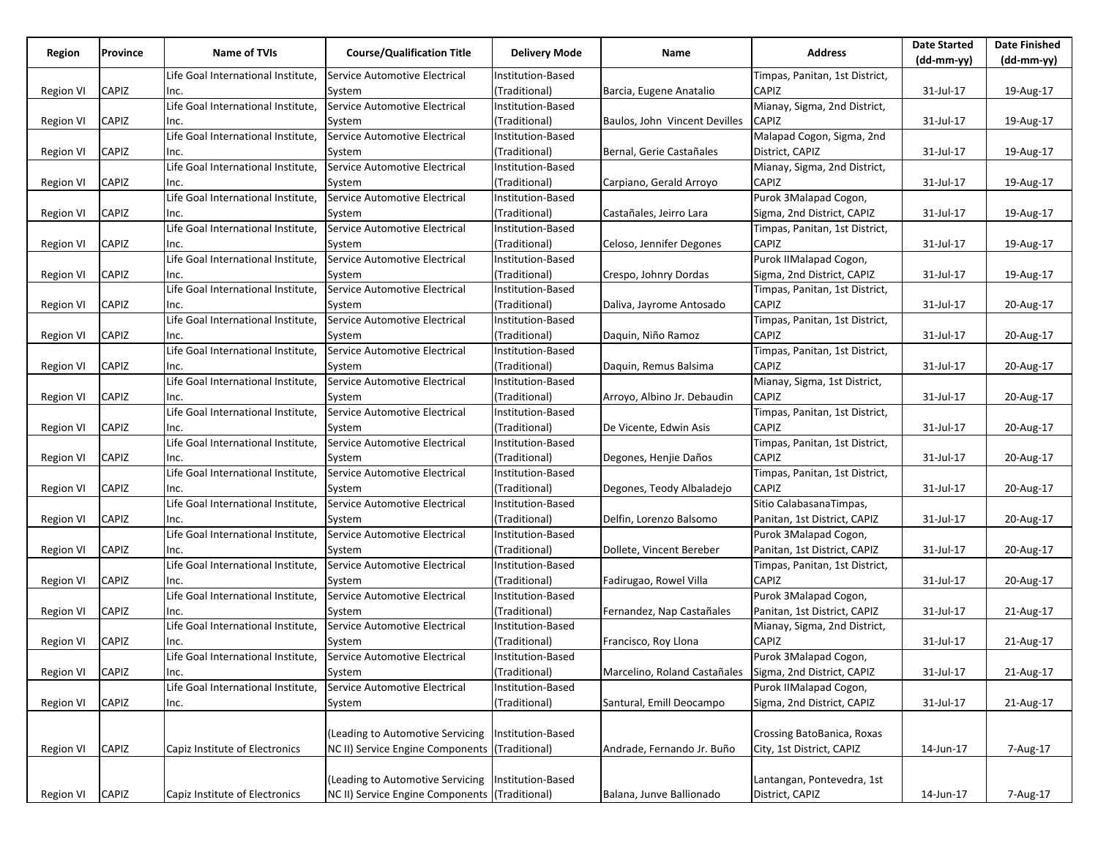| Life Goal International Institute,<br>Service Automotive Electrical<br>Institution-Based<br>Timpas, Panitan, 1st District,<br>CAPIZ<br>(Traditional)<br>CAPIZ<br>31-Jul-17<br>19-Aug-17<br><b>Region VI</b><br>System<br>Barcia, Eugene Anatalio<br>Inc.<br>Life Goal International Institute,<br>Service Automotive Electrical<br>Institution-Based<br>Mianay, Sigma, 2nd District,<br><b>CAPIZ</b><br>Region VI<br>CAPIZ<br>(Traditional)<br>Baulos, John Vincent Devilles<br>31-Jul-17<br>19-Aug-17<br>Inc.<br>System<br>Malapad Cogon, Sigma, 2nd<br>Life Goal International Institute,<br>Service Automotive Electrical<br>Institution-Based<br>CAPIZ<br>(Traditional)<br>District, CAPIZ<br>31-Jul-17<br>Region VI<br>Bernal, Gerie Castañales<br>19-Aug-17<br>System<br>Inc.<br>Life Goal International Institute,<br>Mianay, Sigma, 2nd District,<br>Service Automotive Electrical<br>Institution-Based<br>CAPIZ<br>(Traditional)<br>Carpiano, Gerald Arroyo<br>CAPIZ<br>Region VI<br>System<br>31-Jul-17<br>19-Aug-17<br>Inc.<br>Purok 3Malapad Cogon,<br>Life Goal International Institute,<br>Service Automotive Electrical<br>Institution-Based<br>Sigma, 2nd District, CAPIZ<br>Region VI<br>CAPIZ<br>(Traditional)<br>Castañales, Jeirro Lara<br>31-Jul-17<br>19-Aug-17<br>Inc.<br>System<br>Life Goal International Institute,<br>Service Automotive Electrical<br>Institution-Based<br>Timpas, Panitan, 1st District,<br>CAPIZ<br>CAPIZ<br>(Traditional)<br>Celoso, Jennifer Degones<br>31-Jul-17<br>19-Aug-17<br>Region VI<br>Inc.<br>System<br>Service Automotive Electrical<br>Purok IIMalapad Cogon,<br>Life Goal International Institute,<br>Institution-Based<br>CAPIZ<br>(Traditional)<br>Sigma, 2nd District, CAPIZ<br>31-Jul-17<br>19-Aug-17<br><b>Region VI</b><br>Inc.<br>System<br>Crespo, Johnry Dordas<br>Life Goal International Institute,<br>Service Automotive Electrical<br>Institution-Based<br>Timpas, Panitan, 1st District,<br>CAPIZ<br>(Traditional)<br>CAPIZ<br>Region VI<br>Daliva, Jayrome Antosado<br>31-Jul-17<br>20-Aug-17<br>Inc.<br>System<br>Life Goal International Institute,<br>Service Automotive Electrical<br>Timpas, Panitan, 1st District,<br>Institution-Based<br>CAPIZ<br>(Traditional)<br>Region VI<br>CAPIZ<br>Daquin, Niño Ramoz<br>31-Jul-17<br>20-Aug-17<br>System<br>Inc.<br>Life Goal International Institute,<br>Service Automotive Electrical<br>Institution-Based<br>Timpas, Panitan, 1st District,<br>CAPIZ<br>(Traditional)<br>CAPIZ<br>Daquin, Remus Balsima<br>Region VI<br>31-Jul-17<br>20-Aug-17<br>Inc.<br>System<br>Life Goal International Institute,<br>Service Automotive Electrical<br>Mianay, Sigma, 1st District,<br>Institution-Based<br>CAPIZ<br>CAPIZ<br>(Traditional)<br>System<br>Arroyo, Albino Jr. Debaudin<br>31-Jul-17<br>20-Aug-17<br>Region VI<br>Inc.<br>Life Goal International Institute,<br>Service Automotive Electrical<br>Timpas, Panitan, 1st District,<br>Institution-Based<br>CAPIZ<br>CAPIZ<br>(Traditional)<br>Region VI<br>De Vicente, Edwin Asis<br>31-Jul-17<br>20-Aug-17<br>Inc.<br>System<br>Life Goal International Institute,<br>Service Automotive Electrical<br>Institution-Based<br>Timpas, Panitan, 1st District,<br>CAPIZ<br>CAPIZ<br>(Traditional)<br>Degones, Henjie Daños<br>31-Jul-17<br>20-Aug-17<br>Region VI<br>Inc.<br>System<br>Life Goal International Institute,<br>Service Automotive Electrical<br>Institution-Based<br>Timpas, Panitan, 1st District,<br>CAPIZ<br>CAPIZ<br>(Traditional)<br>31-Jul-17<br>20-Aug-17<br><b>Region VI</b><br>System<br>Degones, Teody Albaladejo<br>Inc.<br>Life Goal International Institute,<br>Service Automotive Electrical<br>Sitio CalabasanaTimpas,<br>Institution-Based<br>CAPIZ<br>(Traditional)<br>Panitan, 1st District, CAPIZ<br><b>Region VI</b><br>Delfin, Lorenzo Balsomo<br>31-Jul-17<br>20-Aug-17<br>Inc.<br>System<br>Service Automotive Electrical<br>Purok 3Malapad Cogon,<br>Life Goal International Institute,<br>Institution-Based<br>CAPIZ<br>(Traditional)<br>Dollete, Vincent Bereber<br>Panitan, 1st District, CAPIZ<br>31-Jul-17<br>Region VI<br>System<br>20-Aug-17<br>Inc.<br>Life Goal International Institute,<br>Service Automotive Electrical<br>Institution-Based<br>Timpas, Panitan, 1st District,<br>CAPIZ<br>CAPIZ<br>(Traditional)<br>Fadirugao, Rowel Villa<br>31-Jul-17<br>20-Aug-17<br><b>Region VI</b><br>Inc.<br>System<br>Life Goal International Institute,<br>Purok 3Malapad Cogon,<br>Service Automotive Electrical<br>Institution-Based<br>CAPIZ<br>(Traditional)<br>Panitan, 1st District, CAPIZ<br><b>Region VI</b><br>Fernandez, Nap Castañales<br>31-Jul-17<br>21-Aug-17<br>Inc.<br>System<br>Life Goal International Institute,<br>Service Automotive Electrical<br>Mianay, Sigma, 2nd District,<br>Institution-Based<br>CAPIZ<br><b>Region VI</b><br>CAPIZ<br>(Traditional)<br>Francisco, Roy Llona<br>31-Jul-17<br>21-Aug-17<br>System<br>Inc.<br>Life Goal International Institute,<br>Purok 3Malapad Cogon,<br>Service Automotive Electrical<br>Institution-Based<br>CAPIZ<br>(Traditional)<br>Marcelino, Roland Castañales Sigma, 2nd District, CAPIZ<br>31-Jul-17<br>21-Aug-17<br><b>Region VI</b><br>System<br>Inc.<br>Service Automotive Electrical<br>Institution-Based<br>Purok IIMalapad Cogon,<br>Life Goal International Institute,<br>(Traditional)<br>Santural, Emill Deocampo<br>Sigma, 2nd District, CAPIZ<br><b>Region VI</b><br>CAPIZ<br>31-Jul-17<br>21-Aug-17<br>Inc.<br>System<br>(Leading to Automotive Servicing<br>Institution-Based<br>Crossing BatoBanica, Roxas<br>CAPIZ<br>Capiz Institute of Electronics<br>NC II) Service Engine Components<br>(Traditional)<br>Andrade, Fernando Jr. Buño<br>City, 1st District, CAPIZ<br>7-Aug-17<br>14-Jun-17<br><b>Region VI</b><br>(Leading to Automotive Servicing<br>Institution-Based<br>Lantangan, Pontevedra, 1st<br>NC II) Service Engine Components (Traditional) | Region    | <b>Province</b> | Name of TVIs                   | <b>Course/Qualification Title</b> | <b>Delivery Mode</b> | Name                     | <b>Address</b>  | <b>Date Started</b><br>$(dd-mm-yy)$ | <b>Date Finished</b><br>(dd-mm-yy) |
|---------------------------------------------------------------------------------------------------------------------------------------------------------------------------------------------------------------------------------------------------------------------------------------------------------------------------------------------------------------------------------------------------------------------------------------------------------------------------------------------------------------------------------------------------------------------------------------------------------------------------------------------------------------------------------------------------------------------------------------------------------------------------------------------------------------------------------------------------------------------------------------------------------------------------------------------------------------------------------------------------------------------------------------------------------------------------------------------------------------------------------------------------------------------------------------------------------------------------------------------------------------------------------------------------------------------------------------------------------------------------------------------------------------------------------------------------------------------------------------------------------------------------------------------------------------------------------------------------------------------------------------------------------------------------------------------------------------------------------------------------------------------------------------------------------------------------------------------------------------------------------------------------------------------------------------------------------------------------------------------------------------------------------------------------------------------------------------------------------------------------------------------------------------------------------------------------------------------------------------------------------------------------------------------------------------------------------------------------------------------------------------------------------------------------------------------------------------------------------------------------------------------------------------------------------------------------------------------------------------------------------------------------------------------------------------------------------------------------------------------------------------------------------------------------------------------------------------------------------------------------------------------------------------------------------------------------------------------------------------------------------------------------------------------------------------------------------------------------------------------------------------------------------------------------------------------------------------------------------------------------------------------------------------------------------------------------------------------------------------------------------------------------------------------------------------------------------------------------------------------------------------------------------------------------------------------------------------------------------------------------------------------------------------------------------------------------------------------------------------------------------------------------------------------------------------------------------------------------------------------------------------------------------------------------------------------------------------------------------------------------------------------------------------------------------------------------------------------------------------------------------------------------------------------------------------------------------------------------------------------------------------------------------------------------------------------------------------------------------------------------------------------------------------------------------------------------------------------------------------------------------------------------------------------------------------------------------------------------------------------------------------------------------------------------------------------------------------------------------------------------------------------------------------------------------------------------------------------------------------------------------------------------------------------------------------------------------------------------------------------------------------------------------------------------------------------------------------------------------------------------------------------------------------------------------------------------------------------------------------------------------------------------------------------------------------------------------------------------------------------------------------------------------------------------------------------------------------------------------------------------------------------------------------------------------------------------------------------------------------------------------------------------------------------------------------------------------------------------------------------------------------------------------------------------------------------------------------------------------------------------------------------------------------------------------------------------------------------|-----------|-----------------|--------------------------------|-----------------------------------|----------------------|--------------------------|-----------------|-------------------------------------|------------------------------------|
|                                                                                                                                                                                                                                                                                                                                                                                                                                                                                                                                                                                                                                                                                                                                                                                                                                                                                                                                                                                                                                                                                                                                                                                                                                                                                                                                                                                                                                                                                                                                                                                                                                                                                                                                                                                                                                                                                                                                                                                                                                                                                                                                                                                                                                                                                                                                                                                                                                                                                                                                                                                                                                                                                                                                                                                                                                                                                                                                                                                                                                                                                                                                                                                                                                                                                                                                                                                                                                                                                                                                                                                                                                                                                                                                                                                                                                                                                                                                                                                                                                                                                                                                                                                                                                                                                                                                                                                                                                                                                                                                                                                                                                                                                                                                                                                                                                                                                                                                                                                                                                                                                                                                                                                                                                                                                                                                                                                                                                                                                                                                                                                                                                                                                                                                                                                                                                                                                                                                                                     |           |                 |                                |                                   |                      |                          |                 |                                     |                                    |
|                                                                                                                                                                                                                                                                                                                                                                                                                                                                                                                                                                                                                                                                                                                                                                                                                                                                                                                                                                                                                                                                                                                                                                                                                                                                                                                                                                                                                                                                                                                                                                                                                                                                                                                                                                                                                                                                                                                                                                                                                                                                                                                                                                                                                                                                                                                                                                                                                                                                                                                                                                                                                                                                                                                                                                                                                                                                                                                                                                                                                                                                                                                                                                                                                                                                                                                                                                                                                                                                                                                                                                                                                                                                                                                                                                                                                                                                                                                                                                                                                                                                                                                                                                                                                                                                                                                                                                                                                                                                                                                                                                                                                                                                                                                                                                                                                                                                                                                                                                                                                                                                                                                                                                                                                                                                                                                                                                                                                                                                                                                                                                                                                                                                                                                                                                                                                                                                                                                                                                     |           |                 |                                |                                   |                      |                          |                 |                                     |                                    |
|                                                                                                                                                                                                                                                                                                                                                                                                                                                                                                                                                                                                                                                                                                                                                                                                                                                                                                                                                                                                                                                                                                                                                                                                                                                                                                                                                                                                                                                                                                                                                                                                                                                                                                                                                                                                                                                                                                                                                                                                                                                                                                                                                                                                                                                                                                                                                                                                                                                                                                                                                                                                                                                                                                                                                                                                                                                                                                                                                                                                                                                                                                                                                                                                                                                                                                                                                                                                                                                                                                                                                                                                                                                                                                                                                                                                                                                                                                                                                                                                                                                                                                                                                                                                                                                                                                                                                                                                                                                                                                                                                                                                                                                                                                                                                                                                                                                                                                                                                                                                                                                                                                                                                                                                                                                                                                                                                                                                                                                                                                                                                                                                                                                                                                                                                                                                                                                                                                                                                                     |           |                 |                                |                                   |                      |                          |                 |                                     |                                    |
|                                                                                                                                                                                                                                                                                                                                                                                                                                                                                                                                                                                                                                                                                                                                                                                                                                                                                                                                                                                                                                                                                                                                                                                                                                                                                                                                                                                                                                                                                                                                                                                                                                                                                                                                                                                                                                                                                                                                                                                                                                                                                                                                                                                                                                                                                                                                                                                                                                                                                                                                                                                                                                                                                                                                                                                                                                                                                                                                                                                                                                                                                                                                                                                                                                                                                                                                                                                                                                                                                                                                                                                                                                                                                                                                                                                                                                                                                                                                                                                                                                                                                                                                                                                                                                                                                                                                                                                                                                                                                                                                                                                                                                                                                                                                                                                                                                                                                                                                                                                                                                                                                                                                                                                                                                                                                                                                                                                                                                                                                                                                                                                                                                                                                                                                                                                                                                                                                                                                                                     |           |                 |                                |                                   |                      |                          |                 |                                     |                                    |
|                                                                                                                                                                                                                                                                                                                                                                                                                                                                                                                                                                                                                                                                                                                                                                                                                                                                                                                                                                                                                                                                                                                                                                                                                                                                                                                                                                                                                                                                                                                                                                                                                                                                                                                                                                                                                                                                                                                                                                                                                                                                                                                                                                                                                                                                                                                                                                                                                                                                                                                                                                                                                                                                                                                                                                                                                                                                                                                                                                                                                                                                                                                                                                                                                                                                                                                                                                                                                                                                                                                                                                                                                                                                                                                                                                                                                                                                                                                                                                                                                                                                                                                                                                                                                                                                                                                                                                                                                                                                                                                                                                                                                                                                                                                                                                                                                                                                                                                                                                                                                                                                                                                                                                                                                                                                                                                                                                                                                                                                                                                                                                                                                                                                                                                                                                                                                                                                                                                                                                     |           |                 |                                |                                   |                      |                          |                 |                                     |                                    |
|                                                                                                                                                                                                                                                                                                                                                                                                                                                                                                                                                                                                                                                                                                                                                                                                                                                                                                                                                                                                                                                                                                                                                                                                                                                                                                                                                                                                                                                                                                                                                                                                                                                                                                                                                                                                                                                                                                                                                                                                                                                                                                                                                                                                                                                                                                                                                                                                                                                                                                                                                                                                                                                                                                                                                                                                                                                                                                                                                                                                                                                                                                                                                                                                                                                                                                                                                                                                                                                                                                                                                                                                                                                                                                                                                                                                                                                                                                                                                                                                                                                                                                                                                                                                                                                                                                                                                                                                                                                                                                                                                                                                                                                                                                                                                                                                                                                                                                                                                                                                                                                                                                                                                                                                                                                                                                                                                                                                                                                                                                                                                                                                                                                                                                                                                                                                                                                                                                                                                                     |           |                 |                                |                                   |                      |                          |                 |                                     |                                    |
|                                                                                                                                                                                                                                                                                                                                                                                                                                                                                                                                                                                                                                                                                                                                                                                                                                                                                                                                                                                                                                                                                                                                                                                                                                                                                                                                                                                                                                                                                                                                                                                                                                                                                                                                                                                                                                                                                                                                                                                                                                                                                                                                                                                                                                                                                                                                                                                                                                                                                                                                                                                                                                                                                                                                                                                                                                                                                                                                                                                                                                                                                                                                                                                                                                                                                                                                                                                                                                                                                                                                                                                                                                                                                                                                                                                                                                                                                                                                                                                                                                                                                                                                                                                                                                                                                                                                                                                                                                                                                                                                                                                                                                                                                                                                                                                                                                                                                                                                                                                                                                                                                                                                                                                                                                                                                                                                                                                                                                                                                                                                                                                                                                                                                                                                                                                                                                                                                                                                                                     |           |                 |                                |                                   |                      |                          |                 |                                     |                                    |
|                                                                                                                                                                                                                                                                                                                                                                                                                                                                                                                                                                                                                                                                                                                                                                                                                                                                                                                                                                                                                                                                                                                                                                                                                                                                                                                                                                                                                                                                                                                                                                                                                                                                                                                                                                                                                                                                                                                                                                                                                                                                                                                                                                                                                                                                                                                                                                                                                                                                                                                                                                                                                                                                                                                                                                                                                                                                                                                                                                                                                                                                                                                                                                                                                                                                                                                                                                                                                                                                                                                                                                                                                                                                                                                                                                                                                                                                                                                                                                                                                                                                                                                                                                                                                                                                                                                                                                                                                                                                                                                                                                                                                                                                                                                                                                                                                                                                                                                                                                                                                                                                                                                                                                                                                                                                                                                                                                                                                                                                                                                                                                                                                                                                                                                                                                                                                                                                                                                                                                     |           |                 |                                |                                   |                      |                          |                 |                                     |                                    |
|                                                                                                                                                                                                                                                                                                                                                                                                                                                                                                                                                                                                                                                                                                                                                                                                                                                                                                                                                                                                                                                                                                                                                                                                                                                                                                                                                                                                                                                                                                                                                                                                                                                                                                                                                                                                                                                                                                                                                                                                                                                                                                                                                                                                                                                                                                                                                                                                                                                                                                                                                                                                                                                                                                                                                                                                                                                                                                                                                                                                                                                                                                                                                                                                                                                                                                                                                                                                                                                                                                                                                                                                                                                                                                                                                                                                                                                                                                                                                                                                                                                                                                                                                                                                                                                                                                                                                                                                                                                                                                                                                                                                                                                                                                                                                                                                                                                                                                                                                                                                                                                                                                                                                                                                                                                                                                                                                                                                                                                                                                                                                                                                                                                                                                                                                                                                                                                                                                                                                                     |           |                 |                                |                                   |                      |                          |                 |                                     |                                    |
|                                                                                                                                                                                                                                                                                                                                                                                                                                                                                                                                                                                                                                                                                                                                                                                                                                                                                                                                                                                                                                                                                                                                                                                                                                                                                                                                                                                                                                                                                                                                                                                                                                                                                                                                                                                                                                                                                                                                                                                                                                                                                                                                                                                                                                                                                                                                                                                                                                                                                                                                                                                                                                                                                                                                                                                                                                                                                                                                                                                                                                                                                                                                                                                                                                                                                                                                                                                                                                                                                                                                                                                                                                                                                                                                                                                                                                                                                                                                                                                                                                                                                                                                                                                                                                                                                                                                                                                                                                                                                                                                                                                                                                                                                                                                                                                                                                                                                                                                                                                                                                                                                                                                                                                                                                                                                                                                                                                                                                                                                                                                                                                                                                                                                                                                                                                                                                                                                                                                                                     |           |                 |                                |                                   |                      |                          |                 |                                     |                                    |
|                                                                                                                                                                                                                                                                                                                                                                                                                                                                                                                                                                                                                                                                                                                                                                                                                                                                                                                                                                                                                                                                                                                                                                                                                                                                                                                                                                                                                                                                                                                                                                                                                                                                                                                                                                                                                                                                                                                                                                                                                                                                                                                                                                                                                                                                                                                                                                                                                                                                                                                                                                                                                                                                                                                                                                                                                                                                                                                                                                                                                                                                                                                                                                                                                                                                                                                                                                                                                                                                                                                                                                                                                                                                                                                                                                                                                                                                                                                                                                                                                                                                                                                                                                                                                                                                                                                                                                                                                                                                                                                                                                                                                                                                                                                                                                                                                                                                                                                                                                                                                                                                                                                                                                                                                                                                                                                                                                                                                                                                                                                                                                                                                                                                                                                                                                                                                                                                                                                                                                     |           |                 |                                |                                   |                      |                          |                 |                                     |                                    |
|                                                                                                                                                                                                                                                                                                                                                                                                                                                                                                                                                                                                                                                                                                                                                                                                                                                                                                                                                                                                                                                                                                                                                                                                                                                                                                                                                                                                                                                                                                                                                                                                                                                                                                                                                                                                                                                                                                                                                                                                                                                                                                                                                                                                                                                                                                                                                                                                                                                                                                                                                                                                                                                                                                                                                                                                                                                                                                                                                                                                                                                                                                                                                                                                                                                                                                                                                                                                                                                                                                                                                                                                                                                                                                                                                                                                                                                                                                                                                                                                                                                                                                                                                                                                                                                                                                                                                                                                                                                                                                                                                                                                                                                                                                                                                                                                                                                                                                                                                                                                                                                                                                                                                                                                                                                                                                                                                                                                                                                                                                                                                                                                                                                                                                                                                                                                                                                                                                                                                                     |           |                 |                                |                                   |                      |                          |                 |                                     |                                    |
|                                                                                                                                                                                                                                                                                                                                                                                                                                                                                                                                                                                                                                                                                                                                                                                                                                                                                                                                                                                                                                                                                                                                                                                                                                                                                                                                                                                                                                                                                                                                                                                                                                                                                                                                                                                                                                                                                                                                                                                                                                                                                                                                                                                                                                                                                                                                                                                                                                                                                                                                                                                                                                                                                                                                                                                                                                                                                                                                                                                                                                                                                                                                                                                                                                                                                                                                                                                                                                                                                                                                                                                                                                                                                                                                                                                                                                                                                                                                                                                                                                                                                                                                                                                                                                                                                                                                                                                                                                                                                                                                                                                                                                                                                                                                                                                                                                                                                                                                                                                                                                                                                                                                                                                                                                                                                                                                                                                                                                                                                                                                                                                                                                                                                                                                                                                                                                                                                                                                                                     |           |                 |                                |                                   |                      |                          |                 |                                     |                                    |
|                                                                                                                                                                                                                                                                                                                                                                                                                                                                                                                                                                                                                                                                                                                                                                                                                                                                                                                                                                                                                                                                                                                                                                                                                                                                                                                                                                                                                                                                                                                                                                                                                                                                                                                                                                                                                                                                                                                                                                                                                                                                                                                                                                                                                                                                                                                                                                                                                                                                                                                                                                                                                                                                                                                                                                                                                                                                                                                                                                                                                                                                                                                                                                                                                                                                                                                                                                                                                                                                                                                                                                                                                                                                                                                                                                                                                                                                                                                                                                                                                                                                                                                                                                                                                                                                                                                                                                                                                                                                                                                                                                                                                                                                                                                                                                                                                                                                                                                                                                                                                                                                                                                                                                                                                                                                                                                                                                                                                                                                                                                                                                                                                                                                                                                                                                                                                                                                                                                                                                     |           |                 |                                |                                   |                      |                          |                 |                                     |                                    |
|                                                                                                                                                                                                                                                                                                                                                                                                                                                                                                                                                                                                                                                                                                                                                                                                                                                                                                                                                                                                                                                                                                                                                                                                                                                                                                                                                                                                                                                                                                                                                                                                                                                                                                                                                                                                                                                                                                                                                                                                                                                                                                                                                                                                                                                                                                                                                                                                                                                                                                                                                                                                                                                                                                                                                                                                                                                                                                                                                                                                                                                                                                                                                                                                                                                                                                                                                                                                                                                                                                                                                                                                                                                                                                                                                                                                                                                                                                                                                                                                                                                                                                                                                                                                                                                                                                                                                                                                                                                                                                                                                                                                                                                                                                                                                                                                                                                                                                                                                                                                                                                                                                                                                                                                                                                                                                                                                                                                                                                                                                                                                                                                                                                                                                                                                                                                                                                                                                                                                                     |           |                 |                                |                                   |                      |                          |                 |                                     |                                    |
|                                                                                                                                                                                                                                                                                                                                                                                                                                                                                                                                                                                                                                                                                                                                                                                                                                                                                                                                                                                                                                                                                                                                                                                                                                                                                                                                                                                                                                                                                                                                                                                                                                                                                                                                                                                                                                                                                                                                                                                                                                                                                                                                                                                                                                                                                                                                                                                                                                                                                                                                                                                                                                                                                                                                                                                                                                                                                                                                                                                                                                                                                                                                                                                                                                                                                                                                                                                                                                                                                                                                                                                                                                                                                                                                                                                                                                                                                                                                                                                                                                                                                                                                                                                                                                                                                                                                                                                                                                                                                                                                                                                                                                                                                                                                                                                                                                                                                                                                                                                                                                                                                                                                                                                                                                                                                                                                                                                                                                                                                                                                                                                                                                                                                                                                                                                                                                                                                                                                                                     |           |                 |                                |                                   |                      |                          |                 |                                     |                                    |
|                                                                                                                                                                                                                                                                                                                                                                                                                                                                                                                                                                                                                                                                                                                                                                                                                                                                                                                                                                                                                                                                                                                                                                                                                                                                                                                                                                                                                                                                                                                                                                                                                                                                                                                                                                                                                                                                                                                                                                                                                                                                                                                                                                                                                                                                                                                                                                                                                                                                                                                                                                                                                                                                                                                                                                                                                                                                                                                                                                                                                                                                                                                                                                                                                                                                                                                                                                                                                                                                                                                                                                                                                                                                                                                                                                                                                                                                                                                                                                                                                                                                                                                                                                                                                                                                                                                                                                                                                                                                                                                                                                                                                                                                                                                                                                                                                                                                                                                                                                                                                                                                                                                                                                                                                                                                                                                                                                                                                                                                                                                                                                                                                                                                                                                                                                                                                                                                                                                                                                     |           |                 |                                |                                   |                      |                          |                 |                                     |                                    |
|                                                                                                                                                                                                                                                                                                                                                                                                                                                                                                                                                                                                                                                                                                                                                                                                                                                                                                                                                                                                                                                                                                                                                                                                                                                                                                                                                                                                                                                                                                                                                                                                                                                                                                                                                                                                                                                                                                                                                                                                                                                                                                                                                                                                                                                                                                                                                                                                                                                                                                                                                                                                                                                                                                                                                                                                                                                                                                                                                                                                                                                                                                                                                                                                                                                                                                                                                                                                                                                                                                                                                                                                                                                                                                                                                                                                                                                                                                                                                                                                                                                                                                                                                                                                                                                                                                                                                                                                                                                                                                                                                                                                                                                                                                                                                                                                                                                                                                                                                                                                                                                                                                                                                                                                                                                                                                                                                                                                                                                                                                                                                                                                                                                                                                                                                                                                                                                                                                                                                                     |           |                 |                                |                                   |                      |                          |                 |                                     |                                    |
|                                                                                                                                                                                                                                                                                                                                                                                                                                                                                                                                                                                                                                                                                                                                                                                                                                                                                                                                                                                                                                                                                                                                                                                                                                                                                                                                                                                                                                                                                                                                                                                                                                                                                                                                                                                                                                                                                                                                                                                                                                                                                                                                                                                                                                                                                                                                                                                                                                                                                                                                                                                                                                                                                                                                                                                                                                                                                                                                                                                                                                                                                                                                                                                                                                                                                                                                                                                                                                                                                                                                                                                                                                                                                                                                                                                                                                                                                                                                                                                                                                                                                                                                                                                                                                                                                                                                                                                                                                                                                                                                                                                                                                                                                                                                                                                                                                                                                                                                                                                                                                                                                                                                                                                                                                                                                                                                                                                                                                                                                                                                                                                                                                                                                                                                                                                                                                                                                                                                                                     |           |                 |                                |                                   |                      |                          |                 |                                     |                                    |
|                                                                                                                                                                                                                                                                                                                                                                                                                                                                                                                                                                                                                                                                                                                                                                                                                                                                                                                                                                                                                                                                                                                                                                                                                                                                                                                                                                                                                                                                                                                                                                                                                                                                                                                                                                                                                                                                                                                                                                                                                                                                                                                                                                                                                                                                                                                                                                                                                                                                                                                                                                                                                                                                                                                                                                                                                                                                                                                                                                                                                                                                                                                                                                                                                                                                                                                                                                                                                                                                                                                                                                                                                                                                                                                                                                                                                                                                                                                                                                                                                                                                                                                                                                                                                                                                                                                                                                                                                                                                                                                                                                                                                                                                                                                                                                                                                                                                                                                                                                                                                                                                                                                                                                                                                                                                                                                                                                                                                                                                                                                                                                                                                                                                                                                                                                                                                                                                                                                                                                     |           |                 |                                |                                   |                      |                          |                 |                                     |                                    |
|                                                                                                                                                                                                                                                                                                                                                                                                                                                                                                                                                                                                                                                                                                                                                                                                                                                                                                                                                                                                                                                                                                                                                                                                                                                                                                                                                                                                                                                                                                                                                                                                                                                                                                                                                                                                                                                                                                                                                                                                                                                                                                                                                                                                                                                                                                                                                                                                                                                                                                                                                                                                                                                                                                                                                                                                                                                                                                                                                                                                                                                                                                                                                                                                                                                                                                                                                                                                                                                                                                                                                                                                                                                                                                                                                                                                                                                                                                                                                                                                                                                                                                                                                                                                                                                                                                                                                                                                                                                                                                                                                                                                                                                                                                                                                                                                                                                                                                                                                                                                                                                                                                                                                                                                                                                                                                                                                                                                                                                                                                                                                                                                                                                                                                                                                                                                                                                                                                                                                                     |           |                 |                                |                                   |                      |                          |                 |                                     |                                    |
|                                                                                                                                                                                                                                                                                                                                                                                                                                                                                                                                                                                                                                                                                                                                                                                                                                                                                                                                                                                                                                                                                                                                                                                                                                                                                                                                                                                                                                                                                                                                                                                                                                                                                                                                                                                                                                                                                                                                                                                                                                                                                                                                                                                                                                                                                                                                                                                                                                                                                                                                                                                                                                                                                                                                                                                                                                                                                                                                                                                                                                                                                                                                                                                                                                                                                                                                                                                                                                                                                                                                                                                                                                                                                                                                                                                                                                                                                                                                                                                                                                                                                                                                                                                                                                                                                                                                                                                                                                                                                                                                                                                                                                                                                                                                                                                                                                                                                                                                                                                                                                                                                                                                                                                                                                                                                                                                                                                                                                                                                                                                                                                                                                                                                                                                                                                                                                                                                                                                                                     |           |                 |                                |                                   |                      |                          |                 |                                     |                                    |
|                                                                                                                                                                                                                                                                                                                                                                                                                                                                                                                                                                                                                                                                                                                                                                                                                                                                                                                                                                                                                                                                                                                                                                                                                                                                                                                                                                                                                                                                                                                                                                                                                                                                                                                                                                                                                                                                                                                                                                                                                                                                                                                                                                                                                                                                                                                                                                                                                                                                                                                                                                                                                                                                                                                                                                                                                                                                                                                                                                                                                                                                                                                                                                                                                                                                                                                                                                                                                                                                                                                                                                                                                                                                                                                                                                                                                                                                                                                                                                                                                                                                                                                                                                                                                                                                                                                                                                                                                                                                                                                                                                                                                                                                                                                                                                                                                                                                                                                                                                                                                                                                                                                                                                                                                                                                                                                                                                                                                                                                                                                                                                                                                                                                                                                                                                                                                                                                                                                                                                     |           |                 |                                |                                   |                      |                          |                 |                                     |                                    |
|                                                                                                                                                                                                                                                                                                                                                                                                                                                                                                                                                                                                                                                                                                                                                                                                                                                                                                                                                                                                                                                                                                                                                                                                                                                                                                                                                                                                                                                                                                                                                                                                                                                                                                                                                                                                                                                                                                                                                                                                                                                                                                                                                                                                                                                                                                                                                                                                                                                                                                                                                                                                                                                                                                                                                                                                                                                                                                                                                                                                                                                                                                                                                                                                                                                                                                                                                                                                                                                                                                                                                                                                                                                                                                                                                                                                                                                                                                                                                                                                                                                                                                                                                                                                                                                                                                                                                                                                                                                                                                                                                                                                                                                                                                                                                                                                                                                                                                                                                                                                                                                                                                                                                                                                                                                                                                                                                                                                                                                                                                                                                                                                                                                                                                                                                                                                                                                                                                                                                                     |           |                 |                                |                                   |                      |                          |                 |                                     |                                    |
|                                                                                                                                                                                                                                                                                                                                                                                                                                                                                                                                                                                                                                                                                                                                                                                                                                                                                                                                                                                                                                                                                                                                                                                                                                                                                                                                                                                                                                                                                                                                                                                                                                                                                                                                                                                                                                                                                                                                                                                                                                                                                                                                                                                                                                                                                                                                                                                                                                                                                                                                                                                                                                                                                                                                                                                                                                                                                                                                                                                                                                                                                                                                                                                                                                                                                                                                                                                                                                                                                                                                                                                                                                                                                                                                                                                                                                                                                                                                                                                                                                                                                                                                                                                                                                                                                                                                                                                                                                                                                                                                                                                                                                                                                                                                                                                                                                                                                                                                                                                                                                                                                                                                                                                                                                                                                                                                                                                                                                                                                                                                                                                                                                                                                                                                                                                                                                                                                                                                                                     |           |                 |                                |                                   |                      |                          |                 |                                     |                                    |
|                                                                                                                                                                                                                                                                                                                                                                                                                                                                                                                                                                                                                                                                                                                                                                                                                                                                                                                                                                                                                                                                                                                                                                                                                                                                                                                                                                                                                                                                                                                                                                                                                                                                                                                                                                                                                                                                                                                                                                                                                                                                                                                                                                                                                                                                                                                                                                                                                                                                                                                                                                                                                                                                                                                                                                                                                                                                                                                                                                                                                                                                                                                                                                                                                                                                                                                                                                                                                                                                                                                                                                                                                                                                                                                                                                                                                                                                                                                                                                                                                                                                                                                                                                                                                                                                                                                                                                                                                                                                                                                                                                                                                                                                                                                                                                                                                                                                                                                                                                                                                                                                                                                                                                                                                                                                                                                                                                                                                                                                                                                                                                                                                                                                                                                                                                                                                                                                                                                                                                     |           |                 |                                |                                   |                      |                          |                 |                                     |                                    |
|                                                                                                                                                                                                                                                                                                                                                                                                                                                                                                                                                                                                                                                                                                                                                                                                                                                                                                                                                                                                                                                                                                                                                                                                                                                                                                                                                                                                                                                                                                                                                                                                                                                                                                                                                                                                                                                                                                                                                                                                                                                                                                                                                                                                                                                                                                                                                                                                                                                                                                                                                                                                                                                                                                                                                                                                                                                                                                                                                                                                                                                                                                                                                                                                                                                                                                                                                                                                                                                                                                                                                                                                                                                                                                                                                                                                                                                                                                                                                                                                                                                                                                                                                                                                                                                                                                                                                                                                                                                                                                                                                                                                                                                                                                                                                                                                                                                                                                                                                                                                                                                                                                                                                                                                                                                                                                                                                                                                                                                                                                                                                                                                                                                                                                                                                                                                                                                                                                                                                                     |           |                 |                                |                                   |                      |                          |                 |                                     |                                    |
|                                                                                                                                                                                                                                                                                                                                                                                                                                                                                                                                                                                                                                                                                                                                                                                                                                                                                                                                                                                                                                                                                                                                                                                                                                                                                                                                                                                                                                                                                                                                                                                                                                                                                                                                                                                                                                                                                                                                                                                                                                                                                                                                                                                                                                                                                                                                                                                                                                                                                                                                                                                                                                                                                                                                                                                                                                                                                                                                                                                                                                                                                                                                                                                                                                                                                                                                                                                                                                                                                                                                                                                                                                                                                                                                                                                                                                                                                                                                                                                                                                                                                                                                                                                                                                                                                                                                                                                                                                                                                                                                                                                                                                                                                                                                                                                                                                                                                                                                                                                                                                                                                                                                                                                                                                                                                                                                                                                                                                                                                                                                                                                                                                                                                                                                                                                                                                                                                                                                                                     |           |                 |                                |                                   |                      |                          |                 |                                     |                                    |
|                                                                                                                                                                                                                                                                                                                                                                                                                                                                                                                                                                                                                                                                                                                                                                                                                                                                                                                                                                                                                                                                                                                                                                                                                                                                                                                                                                                                                                                                                                                                                                                                                                                                                                                                                                                                                                                                                                                                                                                                                                                                                                                                                                                                                                                                                                                                                                                                                                                                                                                                                                                                                                                                                                                                                                                                                                                                                                                                                                                                                                                                                                                                                                                                                                                                                                                                                                                                                                                                                                                                                                                                                                                                                                                                                                                                                                                                                                                                                                                                                                                                                                                                                                                                                                                                                                                                                                                                                                                                                                                                                                                                                                                                                                                                                                                                                                                                                                                                                                                                                                                                                                                                                                                                                                                                                                                                                                                                                                                                                                                                                                                                                                                                                                                                                                                                                                                                                                                                                                     |           |                 |                                |                                   |                      |                          |                 |                                     |                                    |
|                                                                                                                                                                                                                                                                                                                                                                                                                                                                                                                                                                                                                                                                                                                                                                                                                                                                                                                                                                                                                                                                                                                                                                                                                                                                                                                                                                                                                                                                                                                                                                                                                                                                                                                                                                                                                                                                                                                                                                                                                                                                                                                                                                                                                                                                                                                                                                                                                                                                                                                                                                                                                                                                                                                                                                                                                                                                                                                                                                                                                                                                                                                                                                                                                                                                                                                                                                                                                                                                                                                                                                                                                                                                                                                                                                                                                                                                                                                                                                                                                                                                                                                                                                                                                                                                                                                                                                                                                                                                                                                                                                                                                                                                                                                                                                                                                                                                                                                                                                                                                                                                                                                                                                                                                                                                                                                                                                                                                                                                                                                                                                                                                                                                                                                                                                                                                                                                                                                                                                     |           |                 |                                |                                   |                      |                          |                 |                                     |                                    |
|                                                                                                                                                                                                                                                                                                                                                                                                                                                                                                                                                                                                                                                                                                                                                                                                                                                                                                                                                                                                                                                                                                                                                                                                                                                                                                                                                                                                                                                                                                                                                                                                                                                                                                                                                                                                                                                                                                                                                                                                                                                                                                                                                                                                                                                                                                                                                                                                                                                                                                                                                                                                                                                                                                                                                                                                                                                                                                                                                                                                                                                                                                                                                                                                                                                                                                                                                                                                                                                                                                                                                                                                                                                                                                                                                                                                                                                                                                                                                                                                                                                                                                                                                                                                                                                                                                                                                                                                                                                                                                                                                                                                                                                                                                                                                                                                                                                                                                                                                                                                                                                                                                                                                                                                                                                                                                                                                                                                                                                                                                                                                                                                                                                                                                                                                                                                                                                                                                                                                                     |           |                 |                                |                                   |                      |                          |                 |                                     |                                    |
|                                                                                                                                                                                                                                                                                                                                                                                                                                                                                                                                                                                                                                                                                                                                                                                                                                                                                                                                                                                                                                                                                                                                                                                                                                                                                                                                                                                                                                                                                                                                                                                                                                                                                                                                                                                                                                                                                                                                                                                                                                                                                                                                                                                                                                                                                                                                                                                                                                                                                                                                                                                                                                                                                                                                                                                                                                                                                                                                                                                                                                                                                                                                                                                                                                                                                                                                                                                                                                                                                                                                                                                                                                                                                                                                                                                                                                                                                                                                                                                                                                                                                                                                                                                                                                                                                                                                                                                                                                                                                                                                                                                                                                                                                                                                                                                                                                                                                                                                                                                                                                                                                                                                                                                                                                                                                                                                                                                                                                                                                                                                                                                                                                                                                                                                                                                                                                                                                                                                                                     |           |                 |                                |                                   |                      |                          |                 |                                     |                                    |
|                                                                                                                                                                                                                                                                                                                                                                                                                                                                                                                                                                                                                                                                                                                                                                                                                                                                                                                                                                                                                                                                                                                                                                                                                                                                                                                                                                                                                                                                                                                                                                                                                                                                                                                                                                                                                                                                                                                                                                                                                                                                                                                                                                                                                                                                                                                                                                                                                                                                                                                                                                                                                                                                                                                                                                                                                                                                                                                                                                                                                                                                                                                                                                                                                                                                                                                                                                                                                                                                                                                                                                                                                                                                                                                                                                                                                                                                                                                                                                                                                                                                                                                                                                                                                                                                                                                                                                                                                                                                                                                                                                                                                                                                                                                                                                                                                                                                                                                                                                                                                                                                                                                                                                                                                                                                                                                                                                                                                                                                                                                                                                                                                                                                                                                                                                                                                                                                                                                                                                     |           |                 |                                |                                   |                      |                          |                 |                                     |                                    |
|                                                                                                                                                                                                                                                                                                                                                                                                                                                                                                                                                                                                                                                                                                                                                                                                                                                                                                                                                                                                                                                                                                                                                                                                                                                                                                                                                                                                                                                                                                                                                                                                                                                                                                                                                                                                                                                                                                                                                                                                                                                                                                                                                                                                                                                                                                                                                                                                                                                                                                                                                                                                                                                                                                                                                                                                                                                                                                                                                                                                                                                                                                                                                                                                                                                                                                                                                                                                                                                                                                                                                                                                                                                                                                                                                                                                                                                                                                                                                                                                                                                                                                                                                                                                                                                                                                                                                                                                                                                                                                                                                                                                                                                                                                                                                                                                                                                                                                                                                                                                                                                                                                                                                                                                                                                                                                                                                                                                                                                                                                                                                                                                                                                                                                                                                                                                                                                                                                                                                                     |           |                 |                                |                                   |                      |                          |                 |                                     |                                    |
|                                                                                                                                                                                                                                                                                                                                                                                                                                                                                                                                                                                                                                                                                                                                                                                                                                                                                                                                                                                                                                                                                                                                                                                                                                                                                                                                                                                                                                                                                                                                                                                                                                                                                                                                                                                                                                                                                                                                                                                                                                                                                                                                                                                                                                                                                                                                                                                                                                                                                                                                                                                                                                                                                                                                                                                                                                                                                                                                                                                                                                                                                                                                                                                                                                                                                                                                                                                                                                                                                                                                                                                                                                                                                                                                                                                                                                                                                                                                                                                                                                                                                                                                                                                                                                                                                                                                                                                                                                                                                                                                                                                                                                                                                                                                                                                                                                                                                                                                                                                                                                                                                                                                                                                                                                                                                                                                                                                                                                                                                                                                                                                                                                                                                                                                                                                                                                                                                                                                                                     |           |                 |                                |                                   |                      |                          |                 |                                     |                                    |
|                                                                                                                                                                                                                                                                                                                                                                                                                                                                                                                                                                                                                                                                                                                                                                                                                                                                                                                                                                                                                                                                                                                                                                                                                                                                                                                                                                                                                                                                                                                                                                                                                                                                                                                                                                                                                                                                                                                                                                                                                                                                                                                                                                                                                                                                                                                                                                                                                                                                                                                                                                                                                                                                                                                                                                                                                                                                                                                                                                                                                                                                                                                                                                                                                                                                                                                                                                                                                                                                                                                                                                                                                                                                                                                                                                                                                                                                                                                                                                                                                                                                                                                                                                                                                                                                                                                                                                                                                                                                                                                                                                                                                                                                                                                                                                                                                                                                                                                                                                                                                                                                                                                                                                                                                                                                                                                                                                                                                                                                                                                                                                                                                                                                                                                                                                                                                                                                                                                                                                     |           |                 |                                |                                   |                      |                          |                 |                                     |                                    |
|                                                                                                                                                                                                                                                                                                                                                                                                                                                                                                                                                                                                                                                                                                                                                                                                                                                                                                                                                                                                                                                                                                                                                                                                                                                                                                                                                                                                                                                                                                                                                                                                                                                                                                                                                                                                                                                                                                                                                                                                                                                                                                                                                                                                                                                                                                                                                                                                                                                                                                                                                                                                                                                                                                                                                                                                                                                                                                                                                                                                                                                                                                                                                                                                                                                                                                                                                                                                                                                                                                                                                                                                                                                                                                                                                                                                                                                                                                                                                                                                                                                                                                                                                                                                                                                                                                                                                                                                                                                                                                                                                                                                                                                                                                                                                                                                                                                                                                                                                                                                                                                                                                                                                                                                                                                                                                                                                                                                                                                                                                                                                                                                                                                                                                                                                                                                                                                                                                                                                                     |           |                 |                                |                                   |                      |                          |                 |                                     |                                    |
|                                                                                                                                                                                                                                                                                                                                                                                                                                                                                                                                                                                                                                                                                                                                                                                                                                                                                                                                                                                                                                                                                                                                                                                                                                                                                                                                                                                                                                                                                                                                                                                                                                                                                                                                                                                                                                                                                                                                                                                                                                                                                                                                                                                                                                                                                                                                                                                                                                                                                                                                                                                                                                                                                                                                                                                                                                                                                                                                                                                                                                                                                                                                                                                                                                                                                                                                                                                                                                                                                                                                                                                                                                                                                                                                                                                                                                                                                                                                                                                                                                                                                                                                                                                                                                                                                                                                                                                                                                                                                                                                                                                                                                                                                                                                                                                                                                                                                                                                                                                                                                                                                                                                                                                                                                                                                                                                                                                                                                                                                                                                                                                                                                                                                                                                                                                                                                                                                                                                                                     |           |                 |                                |                                   |                      |                          |                 |                                     |                                    |
|                                                                                                                                                                                                                                                                                                                                                                                                                                                                                                                                                                                                                                                                                                                                                                                                                                                                                                                                                                                                                                                                                                                                                                                                                                                                                                                                                                                                                                                                                                                                                                                                                                                                                                                                                                                                                                                                                                                                                                                                                                                                                                                                                                                                                                                                                                                                                                                                                                                                                                                                                                                                                                                                                                                                                                                                                                                                                                                                                                                                                                                                                                                                                                                                                                                                                                                                                                                                                                                                                                                                                                                                                                                                                                                                                                                                                                                                                                                                                                                                                                                                                                                                                                                                                                                                                                                                                                                                                                                                                                                                                                                                                                                                                                                                                                                                                                                                                                                                                                                                                                                                                                                                                                                                                                                                                                                                                                                                                                                                                                                                                                                                                                                                                                                                                                                                                                                                                                                                                                     |           |                 |                                |                                   |                      |                          |                 |                                     |                                    |
|                                                                                                                                                                                                                                                                                                                                                                                                                                                                                                                                                                                                                                                                                                                                                                                                                                                                                                                                                                                                                                                                                                                                                                                                                                                                                                                                                                                                                                                                                                                                                                                                                                                                                                                                                                                                                                                                                                                                                                                                                                                                                                                                                                                                                                                                                                                                                                                                                                                                                                                                                                                                                                                                                                                                                                                                                                                                                                                                                                                                                                                                                                                                                                                                                                                                                                                                                                                                                                                                                                                                                                                                                                                                                                                                                                                                                                                                                                                                                                                                                                                                                                                                                                                                                                                                                                                                                                                                                                                                                                                                                                                                                                                                                                                                                                                                                                                                                                                                                                                                                                                                                                                                                                                                                                                                                                                                                                                                                                                                                                                                                                                                                                                                                                                                                                                                                                                                                                                                                                     |           |                 |                                |                                   |                      |                          |                 |                                     |                                    |
|                                                                                                                                                                                                                                                                                                                                                                                                                                                                                                                                                                                                                                                                                                                                                                                                                                                                                                                                                                                                                                                                                                                                                                                                                                                                                                                                                                                                                                                                                                                                                                                                                                                                                                                                                                                                                                                                                                                                                                                                                                                                                                                                                                                                                                                                                                                                                                                                                                                                                                                                                                                                                                                                                                                                                                                                                                                                                                                                                                                                                                                                                                                                                                                                                                                                                                                                                                                                                                                                                                                                                                                                                                                                                                                                                                                                                                                                                                                                                                                                                                                                                                                                                                                                                                                                                                                                                                                                                                                                                                                                                                                                                                                                                                                                                                                                                                                                                                                                                                                                                                                                                                                                                                                                                                                                                                                                                                                                                                                                                                                                                                                                                                                                                                                                                                                                                                                                                                                                                                     |           |                 |                                |                                   |                      |                          |                 |                                     |                                    |
|                                                                                                                                                                                                                                                                                                                                                                                                                                                                                                                                                                                                                                                                                                                                                                                                                                                                                                                                                                                                                                                                                                                                                                                                                                                                                                                                                                                                                                                                                                                                                                                                                                                                                                                                                                                                                                                                                                                                                                                                                                                                                                                                                                                                                                                                                                                                                                                                                                                                                                                                                                                                                                                                                                                                                                                                                                                                                                                                                                                                                                                                                                                                                                                                                                                                                                                                                                                                                                                                                                                                                                                                                                                                                                                                                                                                                                                                                                                                                                                                                                                                                                                                                                                                                                                                                                                                                                                                                                                                                                                                                                                                                                                                                                                                                                                                                                                                                                                                                                                                                                                                                                                                                                                                                                                                                                                                                                                                                                                                                                                                                                                                                                                                                                                                                                                                                                                                                                                                                                     |           |                 |                                |                                   |                      |                          |                 |                                     |                                    |
|                                                                                                                                                                                                                                                                                                                                                                                                                                                                                                                                                                                                                                                                                                                                                                                                                                                                                                                                                                                                                                                                                                                                                                                                                                                                                                                                                                                                                                                                                                                                                                                                                                                                                                                                                                                                                                                                                                                                                                                                                                                                                                                                                                                                                                                                                                                                                                                                                                                                                                                                                                                                                                                                                                                                                                                                                                                                                                                                                                                                                                                                                                                                                                                                                                                                                                                                                                                                                                                                                                                                                                                                                                                                                                                                                                                                                                                                                                                                                                                                                                                                                                                                                                                                                                                                                                                                                                                                                                                                                                                                                                                                                                                                                                                                                                                                                                                                                                                                                                                                                                                                                                                                                                                                                                                                                                                                                                                                                                                                                                                                                                                                                                                                                                                                                                                                                                                                                                                                                                     |           |                 |                                |                                   |                      |                          |                 |                                     |                                    |
|                                                                                                                                                                                                                                                                                                                                                                                                                                                                                                                                                                                                                                                                                                                                                                                                                                                                                                                                                                                                                                                                                                                                                                                                                                                                                                                                                                                                                                                                                                                                                                                                                                                                                                                                                                                                                                                                                                                                                                                                                                                                                                                                                                                                                                                                                                                                                                                                                                                                                                                                                                                                                                                                                                                                                                                                                                                                                                                                                                                                                                                                                                                                                                                                                                                                                                                                                                                                                                                                                                                                                                                                                                                                                                                                                                                                                                                                                                                                                                                                                                                                                                                                                                                                                                                                                                                                                                                                                                                                                                                                                                                                                                                                                                                                                                                                                                                                                                                                                                                                                                                                                                                                                                                                                                                                                                                                                                                                                                                                                                                                                                                                                                                                                                                                                                                                                                                                                                                                                                     |           |                 |                                |                                   |                      |                          |                 |                                     |                                    |
|                                                                                                                                                                                                                                                                                                                                                                                                                                                                                                                                                                                                                                                                                                                                                                                                                                                                                                                                                                                                                                                                                                                                                                                                                                                                                                                                                                                                                                                                                                                                                                                                                                                                                                                                                                                                                                                                                                                                                                                                                                                                                                                                                                                                                                                                                                                                                                                                                                                                                                                                                                                                                                                                                                                                                                                                                                                                                                                                                                                                                                                                                                                                                                                                                                                                                                                                                                                                                                                                                                                                                                                                                                                                                                                                                                                                                                                                                                                                                                                                                                                                                                                                                                                                                                                                                                                                                                                                                                                                                                                                                                                                                                                                                                                                                                                                                                                                                                                                                                                                                                                                                                                                                                                                                                                                                                                                                                                                                                                                                                                                                                                                                                                                                                                                                                                                                                                                                                                                                                     |           |                 |                                |                                   |                      |                          |                 |                                     |                                    |
|                                                                                                                                                                                                                                                                                                                                                                                                                                                                                                                                                                                                                                                                                                                                                                                                                                                                                                                                                                                                                                                                                                                                                                                                                                                                                                                                                                                                                                                                                                                                                                                                                                                                                                                                                                                                                                                                                                                                                                                                                                                                                                                                                                                                                                                                                                                                                                                                                                                                                                                                                                                                                                                                                                                                                                                                                                                                                                                                                                                                                                                                                                                                                                                                                                                                                                                                                                                                                                                                                                                                                                                                                                                                                                                                                                                                                                                                                                                                                                                                                                                                                                                                                                                                                                                                                                                                                                                                                                                                                                                                                                                                                                                                                                                                                                                                                                                                                                                                                                                                                                                                                                                                                                                                                                                                                                                                                                                                                                                                                                                                                                                                                                                                                                                                                                                                                                                                                                                                                                     |           |                 |                                |                                   |                      |                          |                 |                                     |                                    |
|                                                                                                                                                                                                                                                                                                                                                                                                                                                                                                                                                                                                                                                                                                                                                                                                                                                                                                                                                                                                                                                                                                                                                                                                                                                                                                                                                                                                                                                                                                                                                                                                                                                                                                                                                                                                                                                                                                                                                                                                                                                                                                                                                                                                                                                                                                                                                                                                                                                                                                                                                                                                                                                                                                                                                                                                                                                                                                                                                                                                                                                                                                                                                                                                                                                                                                                                                                                                                                                                                                                                                                                                                                                                                                                                                                                                                                                                                                                                                                                                                                                                                                                                                                                                                                                                                                                                                                                                                                                                                                                                                                                                                                                                                                                                                                                                                                                                                                                                                                                                                                                                                                                                                                                                                                                                                                                                                                                                                                                                                                                                                                                                                                                                                                                                                                                                                                                                                                                                                                     | Region VI | CAPIZ           | Capiz Institute of Electronics |                                   |                      | Balana, Junve Ballionado | District, CAPIZ | 14-Jun-17                           | 7-Aug-17                           |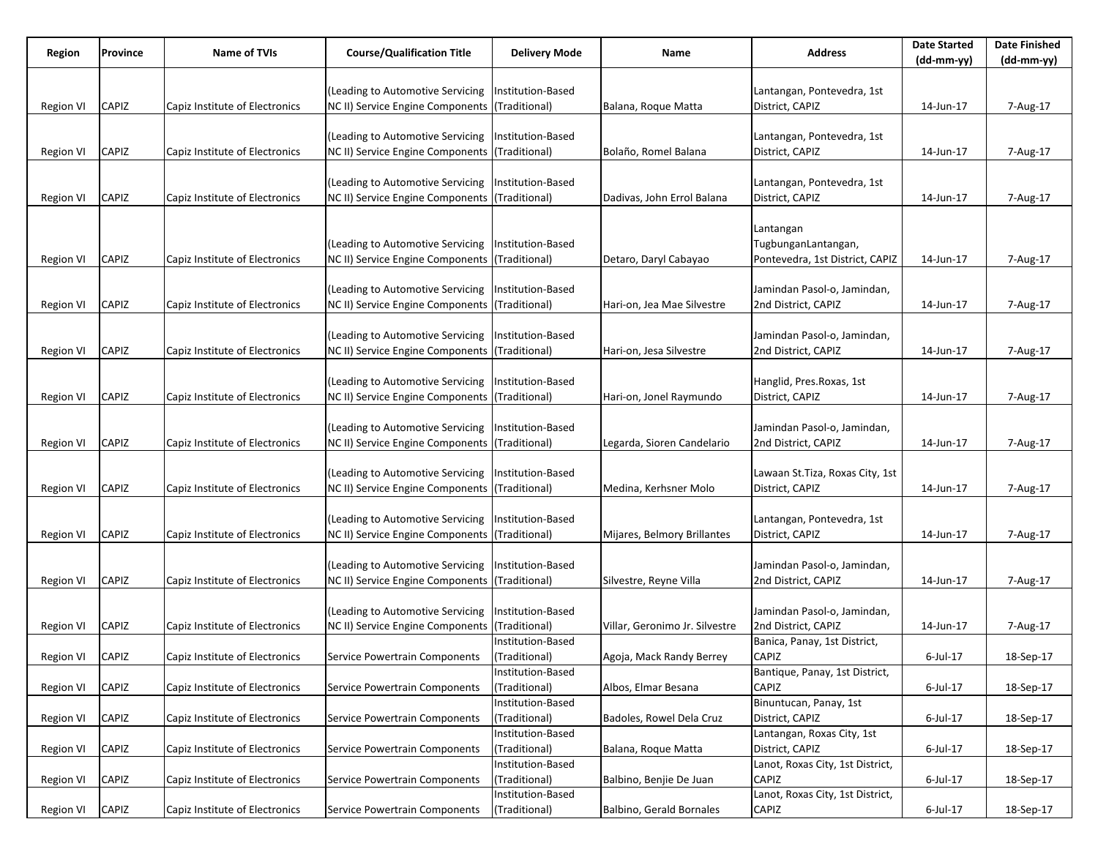| Region           | Province     | Name of TVIs                   | <b>Course/Qualification Title</b>              | <b>Delivery Mode</b>     | Name                           | Address                          | <b>Date Started</b> | <b>Date Finished</b> |
|------------------|--------------|--------------------------------|------------------------------------------------|--------------------------|--------------------------------|----------------------------------|---------------------|----------------------|
|                  |              |                                |                                                |                          |                                |                                  | (dd-mm-yy)          | (dd-mm-yy)           |
|                  |              |                                | (Leading to Automotive Servicing               | Institution-Based        |                                | Lantangan, Pontevedra, 1st       |                     |                      |
| Region VI        | CAPIZ        | Capiz Institute of Electronics | NC II) Service Engine Components (Traditional) |                          | Balana, Roque Matta            | District, CAPIZ                  | 14-Jun-17           | 7-Aug-17             |
|                  |              |                                |                                                |                          |                                |                                  |                     |                      |
|                  |              |                                | (Leading to Automotive Servicing               | Institution-Based        |                                | Lantangan, Pontevedra, 1st       |                     |                      |
| <b>Region VI</b> | CAPIZ        | Capiz Institute of Electronics | NC II) Service Engine Components (Traditional) |                          | Bolaño, Romel Balana           | District, CAPIZ                  | 14-Jun-17           | 7-Aug-17             |
|                  |              |                                |                                                |                          |                                |                                  |                     |                      |
|                  |              |                                | (Leading to Automotive Servicing               | Institution-Based        |                                | Lantangan, Pontevedra, 1st       |                     |                      |
| <b>Region VI</b> | CAPIZ        | Capiz Institute of Electronics | NC II) Service Engine Components (Traditional) |                          | Dadivas, John Errol Balana     | District, CAPIZ                  | 14-Jun-17           | 7-Aug-17             |
|                  |              |                                |                                                |                          |                                |                                  |                     |                      |
|                  |              |                                |                                                |                          |                                | Lantangan                        |                     |                      |
|                  |              |                                | (Leading to Automotive Servicing               | Institution-Based        |                                | TugbunganLantangan,              |                     |                      |
| Region VI        | CAPIZ        | Capiz Institute of Electronics | NC II) Service Engine Components (Traditional) |                          | Detaro, Daryl Cabayao          | Pontevedra, 1st District, CAPIZ  | 14-Jun-17           | 7-Aug-17             |
|                  |              |                                |                                                |                          |                                |                                  |                     |                      |
|                  |              |                                | (Leading to Automotive Servicing               | Institution-Based        |                                | Jamindan Pasol-o, Jamindan,      |                     |                      |
| <b>Region VI</b> | <b>CAPIZ</b> | Capiz Institute of Electronics | NC II) Service Engine Components (Traditional) |                          | Hari-on, Jea Mae Silvestre     | 2nd District, CAPIZ              | 14-Jun-17           | 7-Aug-17             |
|                  |              |                                |                                                |                          |                                |                                  |                     |                      |
|                  |              |                                | (Leading to Automotive Servicing               | Institution-Based        |                                | Jamindan Pasol-o, Jamindan,      |                     |                      |
| <b>Region VI</b> | CAPIZ        | Capiz Institute of Electronics | NC II) Service Engine Components (Traditional) |                          | Hari-on, Jesa Silvestre        | 2nd District, CAPIZ              | 14-Jun-17           | 7-Aug-17             |
|                  |              |                                |                                                |                          |                                |                                  |                     |                      |
|                  |              |                                | (Leading to Automotive Servicing               | Institution-Based        |                                | Hanglid, Pres. Roxas, 1st        |                     |                      |
| <b>Region VI</b> | CAPIZ        | Capiz Institute of Electronics | NC II) Service Engine Components (Traditional) |                          | Hari-on, Jonel Raymundo        | District, CAPIZ                  | 14-Jun-17           | 7-Aug-17             |
|                  |              |                                |                                                |                          |                                |                                  |                     |                      |
|                  |              |                                | (Leading to Automotive Servicing               | Institution-Based        |                                | Jamindan Pasol-o, Jamindan,      |                     |                      |
| <b>Region VI</b> | CAPIZ        | Capiz Institute of Electronics | NC II) Service Engine Components (Traditional) |                          | Legarda, Sioren Candelario     | 2nd District, CAPIZ              | 14-Jun-17           | 7-Aug-17             |
|                  |              |                                |                                                |                          |                                |                                  |                     |                      |
|                  |              |                                | (Leading to Automotive Servicing               | <b>Institution-Based</b> |                                | Lawaan St. Tiza, Roxas City, 1st |                     |                      |
| <b>Region VI</b> | CAPIZ        | Capiz Institute of Electronics | NC II) Service Engine Components (Traditional) |                          | Medina, Kerhsner Molo          | District, CAPIZ                  | 14-Jun-17           | 7-Aug-17             |
|                  |              |                                |                                                |                          |                                |                                  |                     |                      |
|                  |              |                                | (Leading to Automotive Servicing               | Institution-Based        |                                | Lantangan, Pontevedra, 1st       |                     |                      |
| <b>Region VI</b> | CAPIZ        | Capiz Institute of Electronics | NC II) Service Engine Components (Traditional) |                          | Mijares, Belmory Brillantes    | District, CAPIZ                  | 14-Jun-17           | 7-Aug-17             |
|                  |              |                                | (Leading to Automotive Servicing               | Institution-Based        |                                | Jamindan Pasol-o, Jamindan,      |                     |                      |
| <b>Region VI</b> | CAPIZ        | Capiz Institute of Electronics | NC II) Service Engine Components (Traditional) |                          | Silvestre, Reyne Villa         | 2nd District, CAPIZ              | 14-Jun-17           | 7-Aug-17             |
|                  |              |                                |                                                |                          |                                |                                  |                     |                      |
|                  |              |                                | (Leading to Automotive Servicing               | Institution-Based        |                                | Jamindan Pasol-o, Jamindan,      |                     |                      |
| Region VI        | CAPIZ        | Capiz Institute of Electronics | NC II) Service Engine Components (Traditional) |                          | Villar, Geronimo Jr. Silvestre | 2nd District, CAPIZ              | 14-Jun-17           | 7-Aug-17             |
|                  |              |                                |                                                | Institution-Based        |                                | Banica, Panay, 1st District,     |                     |                      |
| Region VI        | <b>CAPIZ</b> | Capiz Institute of Electronics | Service Powertrain Components                  | (Traditional)            | Agoja, Mack Randy Berrey       | CAPIZ                            | 6-Jul-17            | 18-Sep-17            |
|                  |              |                                |                                                | Institution-Based        |                                | Bantique, Panay, 1st District,   |                     |                      |
| Region VI        | <b>CAPIZ</b> | Capiz Institute of Electronics | Service Powertrain Components                  | (Traditional)            | Albos, Elmar Besana            | CAPIZ                            | $6$ -Jul-17         | 18-Sep-17            |
|                  |              |                                |                                                | Institution-Based        |                                | Binuntucan, Panay, 1st           |                     |                      |
| <b>Region VI</b> | <b>CAPIZ</b> | Capiz Institute of Electronics | Service Powertrain Components                  | (Traditional)            | Badoles, Rowel Dela Cruz       | District, CAPIZ                  | 6-Jul-17            | 18-Sep-17            |
|                  |              |                                |                                                | Institution-Based        |                                | Lantangan, Roxas City, 1st       |                     |                      |
| <b>Region VI</b> | CAPIZ        | Capiz Institute of Electronics | Service Powertrain Components                  | (Traditional)            | Balana, Roque Matta            | District, CAPIZ                  | 6-Jul-17            | 18-Sep-17            |
|                  |              |                                |                                                | Institution-Based        |                                | Lanot, Roxas City, 1st District, |                     |                      |
| <b>Region VI</b> | <b>CAPIZ</b> | Capiz Institute of Electronics | Service Powertrain Components                  | (Traditional)            | Balbino, Benjie De Juan        | <b>CAPIZ</b>                     | 6-Jul-17            | 18-Sep-17            |
|                  |              |                                |                                                | Institution-Based        |                                | Lanot, Roxas City, 1st District, |                     |                      |
| Region VI        | <b>CAPIZ</b> | Capiz Institute of Electronics | Service Powertrain Components                  | (Traditional)            | Balbino, Gerald Bornales       | CAPIZ                            | 6-Jul-17            | 18-Sep-17            |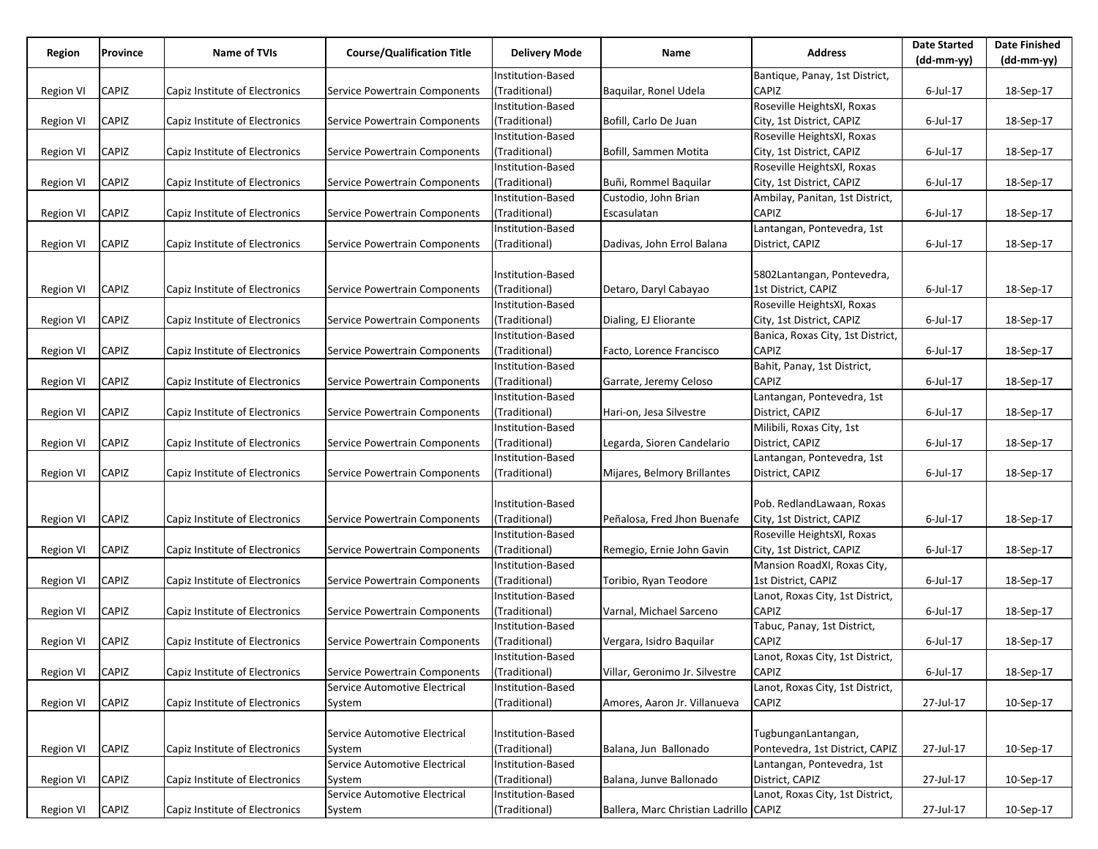| Region           | Province     | <b>Name of TVIs</b>            | <b>Course/Qualification Title</b> | <b>Delivery Mode</b> | Name                                   | <b>Address</b>                    | <b>Date Started</b><br>$(dd-mm-yy)$ | <b>Date Finished</b><br>(dd-mm-yy) |
|------------------|--------------|--------------------------------|-----------------------------------|----------------------|----------------------------------------|-----------------------------------|-------------------------------------|------------------------------------|
|                  |              |                                |                                   | Institution-Based    |                                        | Bantique, Panay, 1st District,    |                                     |                                    |
| <b>Region VI</b> | CAPIZ        | Capiz Institute of Electronics | Service Powertrain Components     | (Traditional)        | Baquilar, Ronel Udela                  | CAPIZ                             | $6$ -Jul-17                         | 18-Sep-17                          |
|                  |              |                                |                                   | Institution-Based    |                                        | Roseville HeightsXI, Roxas        |                                     |                                    |
| <b>Region VI</b> | CAPIZ        | Capiz Institute of Electronics | Service Powertrain Components     | (Traditional)        | Bofill, Carlo De Juan                  | City, 1st District, CAPIZ         | $6$ -Jul-17                         | 18-Sep-17                          |
|                  |              |                                |                                   | Institution-Based    |                                        | Roseville HeightsXI, Roxas        |                                     |                                    |
|                  |              |                                |                                   |                      |                                        |                                   |                                     |                                    |
| <b>Region VI</b> | CAPIZ        | Capiz Institute of Electronics | Service Powertrain Components     | (Traditional)        | Bofill, Sammen Motita                  | City, 1st District, CAPIZ         | $6$ -Jul-17                         | 18-Sep-17                          |
|                  |              |                                |                                   | Institution-Based    |                                        | Roseville HeightsXI, Roxas        |                                     |                                    |
| <b>Region VI</b> | CAPIZ        | Capiz Institute of Electronics | Service Powertrain Components     | (Traditional)        | Buñi, Rommel Baquilar                  | City, 1st District, CAPIZ         | $6$ -Jul-17                         | 18-Sep-17                          |
|                  |              |                                |                                   | Institution-Based    | Custodio, John Brian                   | Ambilay, Panitan, 1st District,   |                                     |                                    |
| <b>Region VI</b> | CAPIZ        | Capiz Institute of Electronics | Service Powertrain Components     | (Traditional)        | Escasulatan                            | CAPIZ                             | $6$ -Jul-17                         | 18-Sep-17                          |
|                  |              |                                |                                   | Institution-Based    |                                        | Lantangan, Pontevedra, 1st        |                                     |                                    |
| <b>Region VI</b> | CAPIZ        | Capiz Institute of Electronics | Service Powertrain Components     | (Traditional)        | Dadivas, John Errol Balana             | District, CAPIZ                   | $6$ -Jul-17                         | 18-Sep-17                          |
|                  |              |                                |                                   |                      |                                        |                                   |                                     |                                    |
|                  |              |                                |                                   | Institution-Based    |                                        | 5802Lantangan, Pontevedra,        |                                     |                                    |
| <b>Region VI</b> | CAPIZ        | Capiz Institute of Electronics | Service Powertrain Components     | (Traditional)        | Detaro, Daryl Cabayao                  | 1st District, CAPIZ               | $6$ -Jul-17                         | 18-Sep-17                          |
|                  |              |                                |                                   | Institution-Based    |                                        | Roseville HeightsXI, Roxas        |                                     |                                    |
| <b>Region VI</b> | CAPIZ        | Capiz Institute of Electronics | Service Powertrain Components     | (Traditional)        | Dialing, EJ Eliorante                  | City, 1st District, CAPIZ         | $6$ -Jul-17                         | 18-Sep-17                          |
|                  |              |                                |                                   | Institution-Based    |                                        | Banica, Roxas City, 1st District, |                                     |                                    |
| <b>Region VI</b> | CAPIZ        | Capiz Institute of Electronics | Service Powertrain Components     | (Traditional)        | Facto, Lorence Francisco               | CAPIZ                             | $6$ -Jul-17                         | 18-Sep-17                          |
|                  |              |                                |                                   | Institution-Based    |                                        | Bahit, Panay, 1st District,       |                                     |                                    |
| <b>Region VI</b> | CAPIZ        | Capiz Institute of Electronics | Service Powertrain Components     | (Traditional)        | Garrate, Jeremy Celoso                 | CAPIZ                             | $6$ -Jul-17                         | 18-Sep-17                          |
|                  |              |                                |                                   | Institution-Based    |                                        | Lantangan, Pontevedra, 1st        |                                     |                                    |
| <b>Region VI</b> | CAPIZ        | Capiz Institute of Electronics | Service Powertrain Components     | (Traditional)        | Hari-on, Jesa Silvestre                | District, CAPIZ                   | $6$ -Jul-17                         | 18-Sep-17                          |
|                  |              |                                |                                   | Institution-Based    |                                        | Milibili, Roxas City, 1st         |                                     |                                    |
| <b>Region VI</b> | CAPIZ        | Capiz Institute of Electronics | Service Powertrain Components     | (Traditional)        | Legarda, Sioren Candelario             | District, CAPIZ                   | $6$ -Jul-17                         | 18-Sep-17                          |
|                  |              |                                |                                   | Institution-Based    |                                        | Lantangan, Pontevedra, 1st        |                                     |                                    |
| <b>Region VI</b> | CAPIZ        | Capiz Institute of Electronics | Service Powertrain Components     | (Traditional)        | Mijares, Belmory Brillantes            | District, CAPIZ                   | $6$ -Jul-17                         | 18-Sep-17                          |
|                  |              |                                |                                   |                      |                                        |                                   |                                     |                                    |
|                  |              |                                |                                   | Institution-Based    |                                        | Pob. RedlandLawaan, Roxas         |                                     |                                    |
| <b>Region VI</b> | CAPIZ        | Capiz Institute of Electronics | Service Powertrain Components     | (Traditional)        | Peñalosa, Fred Jhon Buenafe            | City, 1st District, CAPIZ         | $6$ -Jul-17                         | 18-Sep-17                          |
|                  |              |                                |                                   | Institution-Based    |                                        | Roseville HeightsXI, Roxas        |                                     |                                    |
| <b>Region VI</b> | CAPIZ        | Capiz Institute of Electronics | Service Powertrain Components     | (Traditional)        | Remegio, Ernie John Gavin              | City, 1st District, CAPIZ         | $6$ -Jul-17                         | 18-Sep-17                          |
|                  |              |                                |                                   | Institution-Based    |                                        | Mansion RoadXI, Roxas City,       |                                     |                                    |
| <b>Region VI</b> | CAPIZ        | Capiz Institute of Electronics | Service Powertrain Components     | (Traditional)        | Toribio, Ryan Teodore                  | 1st District, CAPIZ               | $6$ -Jul-17                         | 18-Sep-17                          |
|                  |              |                                |                                   | Institution-Based    |                                        | Lanot, Roxas City, 1st District,  |                                     |                                    |
| <b>Region VI</b> | CAPIZ        | Capiz Institute of Electronics | Service Powertrain Components     | (Traditional)        | Varnal, Michael Sarceno                | CAPIZ                             | $6$ -Jul-17                         | 18-Sep-17                          |
|                  |              |                                |                                   | Institution-Based    |                                        | Tabuc, Panay, 1st District,       |                                     |                                    |
|                  | <b>CAPIZ</b> | Capiz Institute of Electronics |                                   | (Traditional)        |                                        | CAPIZ                             | $6$ -Jul-17                         |                                    |
| <b>Region VI</b> |              |                                | Service Powertrain Components     |                      | Vergara, Isidro Baquilar               | Lanot, Roxas City, 1st District,  |                                     | 18-Sep-17                          |
|                  |              | Capiz Institute of Electronics |                                   | Institution-Based    |                                        |                                   | $6$ -Jul-17                         |                                    |
| <b>Region VI</b> | CAPIZ        |                                | Service Powertrain Components     | (Traditional)        | Villar, Geronimo Jr. Silvestre         | CAPIZ                             |                                     | 18-Sep-17                          |
|                  |              |                                | Service Automotive Electrical     | Institution-Based    |                                        | Lanot, Roxas City, 1st District,  |                                     |                                    |
| <b>Region VI</b> | CAPIZ        | Capiz Institute of Electronics | System                            | (Traditional)        | Amores, Aaron Jr. Villanueva           | CAPIZ                             | 27-Jul-17                           | 10-Sep-17                          |
|                  |              |                                |                                   |                      |                                        |                                   |                                     |                                    |
|                  |              |                                | Service Automotive Electrical     | Institution-Based    |                                        | TugbunganLantangan,               |                                     |                                    |
| <b>Region VI</b> | CAPIZ        | Capiz Institute of Electronics | System                            | (Traditional)        | Balana, Jun Ballonado                  | Pontevedra, 1st District, CAPIZ   | 27-Jul-17                           | 10-Sep-17                          |
|                  |              |                                | Service Automotive Electrical     | Institution-Based    |                                        | Lantangan, Pontevedra, 1st        |                                     |                                    |
| <b>Region VI</b> | CAPIZ        | Capiz Institute of Electronics | System                            | (Traditional)        | Balana, Junve Ballonado                | District, CAPIZ                   | 27-Jul-17                           | 10-Sep-17                          |
|                  |              |                                | Service Automotive Electrical     | Institution-Based    |                                        | Lanot, Roxas City, 1st District,  |                                     |                                    |
| Region VI        | CAPIZ        | Capiz Institute of Electronics | System                            | (Traditional)        | Ballera, Marc Christian Ladrillo CAPIZ |                                   | 27-Jul-17                           | 10-Sep-17                          |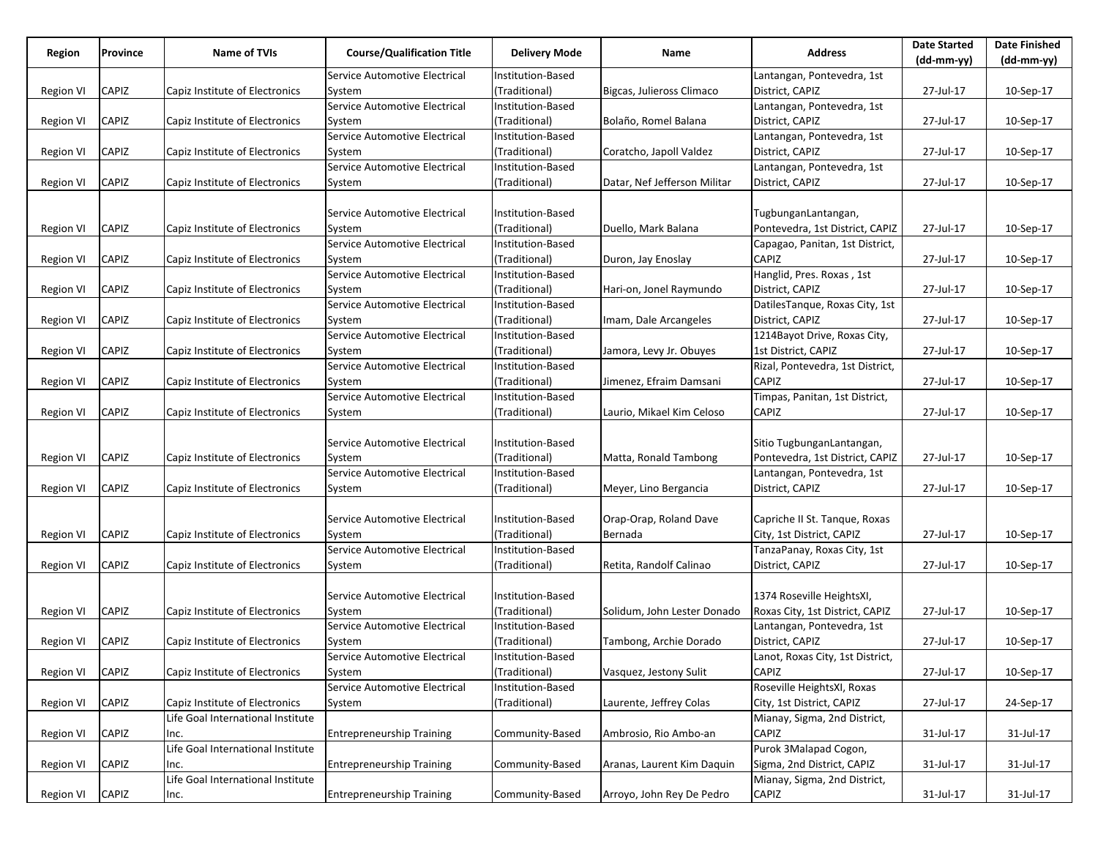| Lantangan, Pontevedra, 1st<br>Service Automotive Electrical<br>Institution-Based<br>CAPIZ<br>(Traditional)<br>Bigcas, Julieross Climaco<br>District, CAPIZ<br>27-Jul-17<br>10-Sep-17<br><b>Region VI</b><br>Capiz Institute of Electronics<br>System<br>Service Automotive Electrical<br>Institution-Based<br>Lantangan, Pontevedra, 1st<br>Capiz Institute of Electronics<br>District, CAPIZ<br><b>Region VI</b><br>CAPIZ<br>(Traditional)<br>Bolaño, Romel Balana<br>27-Jul-17<br>10-Sep-17<br>System<br>Service Automotive Electrical<br>Institution-Based<br>Lantangan, Pontevedra, 1st<br>CAPIZ<br>Capiz Institute of Electronics<br>(Traditional)<br>District, CAPIZ<br>27-Jul-17<br>10-Sep-17<br><b>Region VI</b><br>Coratcho, Japoll Valdez<br>System<br>Service Automotive Electrical<br>Institution-Based<br>Lantangan, Pontevedra, 1st<br>CAPIZ<br>Capiz Institute of Electronics<br>(Traditional)<br>Datar, Nef Jefferson Militar<br>District, CAPIZ<br>27-Jul-17<br>10-Sep-17<br><b>Region VI</b><br>System<br>Service Automotive Electrical<br>Institution-Based<br>TugbunganLantangan,<br>CAPIZ<br>Capiz Institute of Electronics<br>(Traditional)<br>Pontevedra, 1st District, CAPIZ<br>27-Jul-17<br>10-Sep-17<br><b>Region VI</b><br>Duello, Mark Balana<br>System<br>Service Automotive Electrical<br>Institution-Based<br>Capagao, Panitan, 1st District,<br><b>CAPIZ</b><br>CAPIZ<br>Capiz Institute of Electronics<br>(Traditional)<br>27-Jul-17<br>10-Sep-17<br><b>Region VI</b><br>System<br>Duron, Jay Enoslay<br>Hanglid, Pres. Roxas, 1st<br>Service Automotive Electrical<br>Institution-Based<br>CAPIZ<br>Capiz Institute of Electronics<br>(Traditional)<br>District, CAPIZ<br>27-Jul-17<br>10-Sep-17<br><b>Region VI</b><br>Hari-on, Jonel Raymundo<br>System<br>DatilesTanque, Roxas City, 1st<br>Service Automotive Electrical<br>Institution-Based<br>CAPIZ<br>Capiz Institute of Electronics<br>(Traditional)<br>District, CAPIZ<br>27-Jul-17<br>10-Sep-17<br><b>Region VI</b><br>Imam, Dale Arcangeles<br>System<br>Institution-Based<br>1214Bayot Drive, Roxas City,<br>Service Automotive Electrical<br>CAPIZ<br>Capiz Institute of Electronics<br>(Traditional)<br>Jamora, Levy Jr. Obuyes<br>1st District, CAPIZ<br>27-Jul-17<br>10-Sep-17<br><b>Region VI</b><br>System<br>Rizal, Pontevedra, 1st District,<br>Service Automotive Electrical<br>Institution-Based<br>CAPIZ<br>Capiz Institute of Electronics<br>(Traditional)<br>Jimenez, Efraim Damsani<br><b>CAPIZ</b><br><b>Region VI</b><br>27-Jul-17<br>10-Sep-17<br>System<br>Service Automotive Electrical<br>Institution-Based<br>Timpas, Panitan, 1st District,<br>CAPIZ<br>Capiz Institute of Electronics<br>(Traditional)<br><b>CAPIZ</b><br>27-Jul-17<br>10-Sep-17<br>Region VI<br>Laurio, Mikael Kim Celoso<br>System<br>Sitio TugbunganLantangan,<br>Service Automotive Electrical<br>Institution-Based<br>CAPIZ<br>Capiz Institute of Electronics<br>(Traditional)<br>27-Jul-17<br>Matta, Ronald Tambong<br>Pontevedra, 1st District, CAPIZ<br>10-Sep-17<br><b>Region VI</b><br>System<br>Institution-Based<br>Service Automotive Electrical<br>Lantangan, Pontevedra, 1st<br>CAPIZ<br>Capiz Institute of Electronics<br>(Traditional)<br>District, CAPIZ<br>27-Jul-17<br>10-Sep-17<br><b>Region VI</b><br>Meyer, Lino Bergancia<br>System<br><b>Institution-Based</b><br>Orap-Orap, Roland Dave<br>Capriche II St. Tanque, Roxas<br>Service Automotive Electrical<br>CAPIZ<br>Capiz Institute of Electronics<br>(Traditional)<br>City, 1st District, CAPIZ<br>27-Jul-17<br>10-Sep-17<br><b>Region VI</b><br>Bernada<br>System<br>Service Automotive Electrical<br>Institution-Based<br>TanzaPanay, Roxas City, 1st<br>CAPIZ<br>Capiz Institute of Electronics<br>(Traditional)<br>Retita, Randolf Calinao<br>District, CAPIZ<br>27-Jul-17<br>10-Sep-17<br><b>Region VI</b><br>System<br>1374 Roseville HeightsXI,<br>Service Automotive Electrical<br>Institution-Based<br>CAPIZ<br>Capiz Institute of Electronics<br>(Traditional)<br>Roxas City, 1st District, CAPIZ<br>27-Jul-17<br>10-Sep-17<br><b>Region VI</b><br>Solidum, John Lester Donado<br>System<br>Service Automotive Electrical<br>Institution-Based<br>Lantangan, Pontevedra, 1st<br>CAPIZ<br>Capiz Institute of Electronics<br>(Traditional)<br>Tambong, Archie Dorado<br>District, CAPIZ<br>27-Jul-17<br>10-Sep-17<br><b>Region VI</b><br>System<br>Lanot, Roxas City, 1st District,<br>Service Automotive Electrical<br>Institution-Based<br>CAPIZ<br>Capiz Institute of Electronics<br>(Traditional)<br><b>CAPIZ</b><br>27-Jul-17<br>10-Sep-17<br><b>Region VI</b><br>System<br>Vasquez, Jestony Sulit<br>Service Automotive Electrical<br>Institution-Based<br>Roseville HeightsXI, Roxas<br>CAPIZ<br>Capiz Institute of Electronics<br>(Traditional)<br>City, 1st District, CAPIZ<br>27-Jul-17<br><b>Region VI</b><br>Laurente, Jeffrey Colas<br>24-Sep-17<br>System<br>Life Goal International Institute<br>Mianay, Sigma, 2nd District,<br><b>CAPIZ</b><br>CAPIZ<br>31-Jul-17<br><b>Region VI</b><br><b>Entrepreneurship Training</b><br>Community-Based<br>Ambrosio, Rio Ambo-an<br>31-Jul-17<br>Inc.<br>Purok 3Malapad Cogon,<br>Life Goal International Institute<br>Sigma, 2nd District, CAPIZ<br>CAPIZ<br><b>Entrepreneurship Training</b><br>Community-Based<br>Aranas, Laurent Kim Daquin<br>31-Jul-17<br>31-Jul-17<br><b>Region VI</b><br>Inc.<br>Life Goal International Institute<br>Mianay, Sigma, 2nd District, | Region           | Province | Name of TVIs | <b>Course/Qualification Title</b> | Delivery Mode   | Name                      | <b>Address</b> | <b>Date Started</b> | <b>Date Finished</b> |
|-------------------------------------------------------------------------------------------------------------------------------------------------------------------------------------------------------------------------------------------------------------------------------------------------------------------------------------------------------------------------------------------------------------------------------------------------------------------------------------------------------------------------------------------------------------------------------------------------------------------------------------------------------------------------------------------------------------------------------------------------------------------------------------------------------------------------------------------------------------------------------------------------------------------------------------------------------------------------------------------------------------------------------------------------------------------------------------------------------------------------------------------------------------------------------------------------------------------------------------------------------------------------------------------------------------------------------------------------------------------------------------------------------------------------------------------------------------------------------------------------------------------------------------------------------------------------------------------------------------------------------------------------------------------------------------------------------------------------------------------------------------------------------------------------------------------------------------------------------------------------------------------------------------------------------------------------------------------------------------------------------------------------------------------------------------------------------------------------------------------------------------------------------------------------------------------------------------------------------------------------------------------------------------------------------------------------------------------------------------------------------------------------------------------------------------------------------------------------------------------------------------------------------------------------------------------------------------------------------------------------------------------------------------------------------------------------------------------------------------------------------------------------------------------------------------------------------------------------------------------------------------------------------------------------------------------------------------------------------------------------------------------------------------------------------------------------------------------------------------------------------------------------------------------------------------------------------------------------------------------------------------------------------------------------------------------------------------------------------------------------------------------------------------------------------------------------------------------------------------------------------------------------------------------------------------------------------------------------------------------------------------------------------------------------------------------------------------------------------------------------------------------------------------------------------------------------------------------------------------------------------------------------------------------------------------------------------------------------------------------------------------------------------------------------------------------------------------------------------------------------------------------------------------------------------------------------------------------------------------------------------------------------------------------------------------------------------------------------------------------------------------------------------------------------------------------------------------------------------------------------------------------------------------------------------------------------------------------------------------------------------------------------------------------------------------------------------------------------------------------------------------------------------------------------------------------------------------------------------------------------------------------------------------------------------------------------------------------------------------------------------------------------------------------------------------------------------------------------------------------------------------------------------------------------------------------------------------------------------------------------------------------------------------------------------------------------------------------------------------------------------------------------------------------------------------------------------------------------------------------------------------|------------------|----------|--------------|-----------------------------------|-----------------|---------------------------|----------------|---------------------|----------------------|
|                                                                                                                                                                                                                                                                                                                                                                                                                                                                                                                                                                                                                                                                                                                                                                                                                                                                                                                                                                                                                                                                                                                                                                                                                                                                                                                                                                                                                                                                                                                                                                                                                                                                                                                                                                                                                                                                                                                                                                                                                                                                                                                                                                                                                                                                                                                                                                                                                                                                                                                                                                                                                                                                                                                                                                                                                                                                                                                                                                                                                                                                                                                                                                                                                                                                                                                                                                                                                                                                                                                                                                                                                                                                                                                                                                                                                                                                                                                                                                                                                                                                                                                                                                                                                                                                                                                                                                                                                                                                                                                                                                                                                                                                                                                                                                                                                                                                                                                                                                                                                                                                                                                                                                                                                                                                                                                                                                                                                                                                                                             |                  |          |              |                                   |                 |                           |                | (dd-mm-yy)          | $(dd-mm-yy)$         |
|                                                                                                                                                                                                                                                                                                                                                                                                                                                                                                                                                                                                                                                                                                                                                                                                                                                                                                                                                                                                                                                                                                                                                                                                                                                                                                                                                                                                                                                                                                                                                                                                                                                                                                                                                                                                                                                                                                                                                                                                                                                                                                                                                                                                                                                                                                                                                                                                                                                                                                                                                                                                                                                                                                                                                                                                                                                                                                                                                                                                                                                                                                                                                                                                                                                                                                                                                                                                                                                                                                                                                                                                                                                                                                                                                                                                                                                                                                                                                                                                                                                                                                                                                                                                                                                                                                                                                                                                                                                                                                                                                                                                                                                                                                                                                                                                                                                                                                                                                                                                                                                                                                                                                                                                                                                                                                                                                                                                                                                                                                             |                  |          |              |                                   |                 |                           |                |                     |                      |
|                                                                                                                                                                                                                                                                                                                                                                                                                                                                                                                                                                                                                                                                                                                                                                                                                                                                                                                                                                                                                                                                                                                                                                                                                                                                                                                                                                                                                                                                                                                                                                                                                                                                                                                                                                                                                                                                                                                                                                                                                                                                                                                                                                                                                                                                                                                                                                                                                                                                                                                                                                                                                                                                                                                                                                                                                                                                                                                                                                                                                                                                                                                                                                                                                                                                                                                                                                                                                                                                                                                                                                                                                                                                                                                                                                                                                                                                                                                                                                                                                                                                                                                                                                                                                                                                                                                                                                                                                                                                                                                                                                                                                                                                                                                                                                                                                                                                                                                                                                                                                                                                                                                                                                                                                                                                                                                                                                                                                                                                                                             |                  |          |              |                                   |                 |                           |                |                     |                      |
|                                                                                                                                                                                                                                                                                                                                                                                                                                                                                                                                                                                                                                                                                                                                                                                                                                                                                                                                                                                                                                                                                                                                                                                                                                                                                                                                                                                                                                                                                                                                                                                                                                                                                                                                                                                                                                                                                                                                                                                                                                                                                                                                                                                                                                                                                                                                                                                                                                                                                                                                                                                                                                                                                                                                                                                                                                                                                                                                                                                                                                                                                                                                                                                                                                                                                                                                                                                                                                                                                                                                                                                                                                                                                                                                                                                                                                                                                                                                                                                                                                                                                                                                                                                                                                                                                                                                                                                                                                                                                                                                                                                                                                                                                                                                                                                                                                                                                                                                                                                                                                                                                                                                                                                                                                                                                                                                                                                                                                                                                                             |                  |          |              |                                   |                 |                           |                |                     |                      |
|                                                                                                                                                                                                                                                                                                                                                                                                                                                                                                                                                                                                                                                                                                                                                                                                                                                                                                                                                                                                                                                                                                                                                                                                                                                                                                                                                                                                                                                                                                                                                                                                                                                                                                                                                                                                                                                                                                                                                                                                                                                                                                                                                                                                                                                                                                                                                                                                                                                                                                                                                                                                                                                                                                                                                                                                                                                                                                                                                                                                                                                                                                                                                                                                                                                                                                                                                                                                                                                                                                                                                                                                                                                                                                                                                                                                                                                                                                                                                                                                                                                                                                                                                                                                                                                                                                                                                                                                                                                                                                                                                                                                                                                                                                                                                                                                                                                                                                                                                                                                                                                                                                                                                                                                                                                                                                                                                                                                                                                                                                             |                  |          |              |                                   |                 |                           |                |                     |                      |
|                                                                                                                                                                                                                                                                                                                                                                                                                                                                                                                                                                                                                                                                                                                                                                                                                                                                                                                                                                                                                                                                                                                                                                                                                                                                                                                                                                                                                                                                                                                                                                                                                                                                                                                                                                                                                                                                                                                                                                                                                                                                                                                                                                                                                                                                                                                                                                                                                                                                                                                                                                                                                                                                                                                                                                                                                                                                                                                                                                                                                                                                                                                                                                                                                                                                                                                                                                                                                                                                                                                                                                                                                                                                                                                                                                                                                                                                                                                                                                                                                                                                                                                                                                                                                                                                                                                                                                                                                                                                                                                                                                                                                                                                                                                                                                                                                                                                                                                                                                                                                                                                                                                                                                                                                                                                                                                                                                                                                                                                                                             |                  |          |              |                                   |                 |                           |                |                     |                      |
|                                                                                                                                                                                                                                                                                                                                                                                                                                                                                                                                                                                                                                                                                                                                                                                                                                                                                                                                                                                                                                                                                                                                                                                                                                                                                                                                                                                                                                                                                                                                                                                                                                                                                                                                                                                                                                                                                                                                                                                                                                                                                                                                                                                                                                                                                                                                                                                                                                                                                                                                                                                                                                                                                                                                                                                                                                                                                                                                                                                                                                                                                                                                                                                                                                                                                                                                                                                                                                                                                                                                                                                                                                                                                                                                                                                                                                                                                                                                                                                                                                                                                                                                                                                                                                                                                                                                                                                                                                                                                                                                                                                                                                                                                                                                                                                                                                                                                                                                                                                                                                                                                                                                                                                                                                                                                                                                                                                                                                                                                                             |                  |          |              |                                   |                 |                           |                |                     |                      |
|                                                                                                                                                                                                                                                                                                                                                                                                                                                                                                                                                                                                                                                                                                                                                                                                                                                                                                                                                                                                                                                                                                                                                                                                                                                                                                                                                                                                                                                                                                                                                                                                                                                                                                                                                                                                                                                                                                                                                                                                                                                                                                                                                                                                                                                                                                                                                                                                                                                                                                                                                                                                                                                                                                                                                                                                                                                                                                                                                                                                                                                                                                                                                                                                                                                                                                                                                                                                                                                                                                                                                                                                                                                                                                                                                                                                                                                                                                                                                                                                                                                                                                                                                                                                                                                                                                                                                                                                                                                                                                                                                                                                                                                                                                                                                                                                                                                                                                                                                                                                                                                                                                                                                                                                                                                                                                                                                                                                                                                                                                             |                  |          |              |                                   |                 |                           |                |                     |                      |
|                                                                                                                                                                                                                                                                                                                                                                                                                                                                                                                                                                                                                                                                                                                                                                                                                                                                                                                                                                                                                                                                                                                                                                                                                                                                                                                                                                                                                                                                                                                                                                                                                                                                                                                                                                                                                                                                                                                                                                                                                                                                                                                                                                                                                                                                                                                                                                                                                                                                                                                                                                                                                                                                                                                                                                                                                                                                                                                                                                                                                                                                                                                                                                                                                                                                                                                                                                                                                                                                                                                                                                                                                                                                                                                                                                                                                                                                                                                                                                                                                                                                                                                                                                                                                                                                                                                                                                                                                                                                                                                                                                                                                                                                                                                                                                                                                                                                                                                                                                                                                                                                                                                                                                                                                                                                                                                                                                                                                                                                                                             |                  |          |              |                                   |                 |                           |                |                     |                      |
|                                                                                                                                                                                                                                                                                                                                                                                                                                                                                                                                                                                                                                                                                                                                                                                                                                                                                                                                                                                                                                                                                                                                                                                                                                                                                                                                                                                                                                                                                                                                                                                                                                                                                                                                                                                                                                                                                                                                                                                                                                                                                                                                                                                                                                                                                                                                                                                                                                                                                                                                                                                                                                                                                                                                                                                                                                                                                                                                                                                                                                                                                                                                                                                                                                                                                                                                                                                                                                                                                                                                                                                                                                                                                                                                                                                                                                                                                                                                                                                                                                                                                                                                                                                                                                                                                                                                                                                                                                                                                                                                                                                                                                                                                                                                                                                                                                                                                                                                                                                                                                                                                                                                                                                                                                                                                                                                                                                                                                                                                                             |                  |          |              |                                   |                 |                           |                |                     |                      |
|                                                                                                                                                                                                                                                                                                                                                                                                                                                                                                                                                                                                                                                                                                                                                                                                                                                                                                                                                                                                                                                                                                                                                                                                                                                                                                                                                                                                                                                                                                                                                                                                                                                                                                                                                                                                                                                                                                                                                                                                                                                                                                                                                                                                                                                                                                                                                                                                                                                                                                                                                                                                                                                                                                                                                                                                                                                                                                                                                                                                                                                                                                                                                                                                                                                                                                                                                                                                                                                                                                                                                                                                                                                                                                                                                                                                                                                                                                                                                                                                                                                                                                                                                                                                                                                                                                                                                                                                                                                                                                                                                                                                                                                                                                                                                                                                                                                                                                                                                                                                                                                                                                                                                                                                                                                                                                                                                                                                                                                                                                             |                  |          |              |                                   |                 |                           |                |                     |                      |
|                                                                                                                                                                                                                                                                                                                                                                                                                                                                                                                                                                                                                                                                                                                                                                                                                                                                                                                                                                                                                                                                                                                                                                                                                                                                                                                                                                                                                                                                                                                                                                                                                                                                                                                                                                                                                                                                                                                                                                                                                                                                                                                                                                                                                                                                                                                                                                                                                                                                                                                                                                                                                                                                                                                                                                                                                                                                                                                                                                                                                                                                                                                                                                                                                                                                                                                                                                                                                                                                                                                                                                                                                                                                                                                                                                                                                                                                                                                                                                                                                                                                                                                                                                                                                                                                                                                                                                                                                                                                                                                                                                                                                                                                                                                                                                                                                                                                                                                                                                                                                                                                                                                                                                                                                                                                                                                                                                                                                                                                                                             |                  |          |              |                                   |                 |                           |                |                     |                      |
|                                                                                                                                                                                                                                                                                                                                                                                                                                                                                                                                                                                                                                                                                                                                                                                                                                                                                                                                                                                                                                                                                                                                                                                                                                                                                                                                                                                                                                                                                                                                                                                                                                                                                                                                                                                                                                                                                                                                                                                                                                                                                                                                                                                                                                                                                                                                                                                                                                                                                                                                                                                                                                                                                                                                                                                                                                                                                                                                                                                                                                                                                                                                                                                                                                                                                                                                                                                                                                                                                                                                                                                                                                                                                                                                                                                                                                                                                                                                                                                                                                                                                                                                                                                                                                                                                                                                                                                                                                                                                                                                                                                                                                                                                                                                                                                                                                                                                                                                                                                                                                                                                                                                                                                                                                                                                                                                                                                                                                                                                                             |                  |          |              |                                   |                 |                           |                |                     |                      |
|                                                                                                                                                                                                                                                                                                                                                                                                                                                                                                                                                                                                                                                                                                                                                                                                                                                                                                                                                                                                                                                                                                                                                                                                                                                                                                                                                                                                                                                                                                                                                                                                                                                                                                                                                                                                                                                                                                                                                                                                                                                                                                                                                                                                                                                                                                                                                                                                                                                                                                                                                                                                                                                                                                                                                                                                                                                                                                                                                                                                                                                                                                                                                                                                                                                                                                                                                                                                                                                                                                                                                                                                                                                                                                                                                                                                                                                                                                                                                                                                                                                                                                                                                                                                                                                                                                                                                                                                                                                                                                                                                                                                                                                                                                                                                                                                                                                                                                                                                                                                                                                                                                                                                                                                                                                                                                                                                                                                                                                                                                             |                  |          |              |                                   |                 |                           |                |                     |                      |
|                                                                                                                                                                                                                                                                                                                                                                                                                                                                                                                                                                                                                                                                                                                                                                                                                                                                                                                                                                                                                                                                                                                                                                                                                                                                                                                                                                                                                                                                                                                                                                                                                                                                                                                                                                                                                                                                                                                                                                                                                                                                                                                                                                                                                                                                                                                                                                                                                                                                                                                                                                                                                                                                                                                                                                                                                                                                                                                                                                                                                                                                                                                                                                                                                                                                                                                                                                                                                                                                                                                                                                                                                                                                                                                                                                                                                                                                                                                                                                                                                                                                                                                                                                                                                                                                                                                                                                                                                                                                                                                                                                                                                                                                                                                                                                                                                                                                                                                                                                                                                                                                                                                                                                                                                                                                                                                                                                                                                                                                                                             |                  |          |              |                                   |                 |                           |                |                     |                      |
|                                                                                                                                                                                                                                                                                                                                                                                                                                                                                                                                                                                                                                                                                                                                                                                                                                                                                                                                                                                                                                                                                                                                                                                                                                                                                                                                                                                                                                                                                                                                                                                                                                                                                                                                                                                                                                                                                                                                                                                                                                                                                                                                                                                                                                                                                                                                                                                                                                                                                                                                                                                                                                                                                                                                                                                                                                                                                                                                                                                                                                                                                                                                                                                                                                                                                                                                                                                                                                                                                                                                                                                                                                                                                                                                                                                                                                                                                                                                                                                                                                                                                                                                                                                                                                                                                                                                                                                                                                                                                                                                                                                                                                                                                                                                                                                                                                                                                                                                                                                                                                                                                                                                                                                                                                                                                                                                                                                                                                                                                                             |                  |          |              |                                   |                 |                           |                |                     |                      |
|                                                                                                                                                                                                                                                                                                                                                                                                                                                                                                                                                                                                                                                                                                                                                                                                                                                                                                                                                                                                                                                                                                                                                                                                                                                                                                                                                                                                                                                                                                                                                                                                                                                                                                                                                                                                                                                                                                                                                                                                                                                                                                                                                                                                                                                                                                                                                                                                                                                                                                                                                                                                                                                                                                                                                                                                                                                                                                                                                                                                                                                                                                                                                                                                                                                                                                                                                                                                                                                                                                                                                                                                                                                                                                                                                                                                                                                                                                                                                                                                                                                                                                                                                                                                                                                                                                                                                                                                                                                                                                                                                                                                                                                                                                                                                                                                                                                                                                                                                                                                                                                                                                                                                                                                                                                                                                                                                                                                                                                                                                             |                  |          |              |                                   |                 |                           |                |                     |                      |
|                                                                                                                                                                                                                                                                                                                                                                                                                                                                                                                                                                                                                                                                                                                                                                                                                                                                                                                                                                                                                                                                                                                                                                                                                                                                                                                                                                                                                                                                                                                                                                                                                                                                                                                                                                                                                                                                                                                                                                                                                                                                                                                                                                                                                                                                                                                                                                                                                                                                                                                                                                                                                                                                                                                                                                                                                                                                                                                                                                                                                                                                                                                                                                                                                                                                                                                                                                                                                                                                                                                                                                                                                                                                                                                                                                                                                                                                                                                                                                                                                                                                                                                                                                                                                                                                                                                                                                                                                                                                                                                                                                                                                                                                                                                                                                                                                                                                                                                                                                                                                                                                                                                                                                                                                                                                                                                                                                                                                                                                                                             |                  |          |              |                                   |                 |                           |                |                     |                      |
|                                                                                                                                                                                                                                                                                                                                                                                                                                                                                                                                                                                                                                                                                                                                                                                                                                                                                                                                                                                                                                                                                                                                                                                                                                                                                                                                                                                                                                                                                                                                                                                                                                                                                                                                                                                                                                                                                                                                                                                                                                                                                                                                                                                                                                                                                                                                                                                                                                                                                                                                                                                                                                                                                                                                                                                                                                                                                                                                                                                                                                                                                                                                                                                                                                                                                                                                                                                                                                                                                                                                                                                                                                                                                                                                                                                                                                                                                                                                                                                                                                                                                                                                                                                                                                                                                                                                                                                                                                                                                                                                                                                                                                                                                                                                                                                                                                                                                                                                                                                                                                                                                                                                                                                                                                                                                                                                                                                                                                                                                                             |                  |          |              |                                   |                 |                           |                |                     |                      |
|                                                                                                                                                                                                                                                                                                                                                                                                                                                                                                                                                                                                                                                                                                                                                                                                                                                                                                                                                                                                                                                                                                                                                                                                                                                                                                                                                                                                                                                                                                                                                                                                                                                                                                                                                                                                                                                                                                                                                                                                                                                                                                                                                                                                                                                                                                                                                                                                                                                                                                                                                                                                                                                                                                                                                                                                                                                                                                                                                                                                                                                                                                                                                                                                                                                                                                                                                                                                                                                                                                                                                                                                                                                                                                                                                                                                                                                                                                                                                                                                                                                                                                                                                                                                                                                                                                                                                                                                                                                                                                                                                                                                                                                                                                                                                                                                                                                                                                                                                                                                                                                                                                                                                                                                                                                                                                                                                                                                                                                                                                             |                  |          |              |                                   |                 |                           |                |                     |                      |
|                                                                                                                                                                                                                                                                                                                                                                                                                                                                                                                                                                                                                                                                                                                                                                                                                                                                                                                                                                                                                                                                                                                                                                                                                                                                                                                                                                                                                                                                                                                                                                                                                                                                                                                                                                                                                                                                                                                                                                                                                                                                                                                                                                                                                                                                                                                                                                                                                                                                                                                                                                                                                                                                                                                                                                                                                                                                                                                                                                                                                                                                                                                                                                                                                                                                                                                                                                                                                                                                                                                                                                                                                                                                                                                                                                                                                                                                                                                                                                                                                                                                                                                                                                                                                                                                                                                                                                                                                                                                                                                                                                                                                                                                                                                                                                                                                                                                                                                                                                                                                                                                                                                                                                                                                                                                                                                                                                                                                                                                                                             |                  |          |              |                                   |                 |                           |                |                     |                      |
|                                                                                                                                                                                                                                                                                                                                                                                                                                                                                                                                                                                                                                                                                                                                                                                                                                                                                                                                                                                                                                                                                                                                                                                                                                                                                                                                                                                                                                                                                                                                                                                                                                                                                                                                                                                                                                                                                                                                                                                                                                                                                                                                                                                                                                                                                                                                                                                                                                                                                                                                                                                                                                                                                                                                                                                                                                                                                                                                                                                                                                                                                                                                                                                                                                                                                                                                                                                                                                                                                                                                                                                                                                                                                                                                                                                                                                                                                                                                                                                                                                                                                                                                                                                                                                                                                                                                                                                                                                                                                                                                                                                                                                                                                                                                                                                                                                                                                                                                                                                                                                                                                                                                                                                                                                                                                                                                                                                                                                                                                                             |                  |          |              |                                   |                 |                           |                |                     |                      |
|                                                                                                                                                                                                                                                                                                                                                                                                                                                                                                                                                                                                                                                                                                                                                                                                                                                                                                                                                                                                                                                                                                                                                                                                                                                                                                                                                                                                                                                                                                                                                                                                                                                                                                                                                                                                                                                                                                                                                                                                                                                                                                                                                                                                                                                                                                                                                                                                                                                                                                                                                                                                                                                                                                                                                                                                                                                                                                                                                                                                                                                                                                                                                                                                                                                                                                                                                                                                                                                                                                                                                                                                                                                                                                                                                                                                                                                                                                                                                                                                                                                                                                                                                                                                                                                                                                                                                                                                                                                                                                                                                                                                                                                                                                                                                                                                                                                                                                                                                                                                                                                                                                                                                                                                                                                                                                                                                                                                                                                                                                             |                  |          |              |                                   |                 |                           |                |                     |                      |
|                                                                                                                                                                                                                                                                                                                                                                                                                                                                                                                                                                                                                                                                                                                                                                                                                                                                                                                                                                                                                                                                                                                                                                                                                                                                                                                                                                                                                                                                                                                                                                                                                                                                                                                                                                                                                                                                                                                                                                                                                                                                                                                                                                                                                                                                                                                                                                                                                                                                                                                                                                                                                                                                                                                                                                                                                                                                                                                                                                                                                                                                                                                                                                                                                                                                                                                                                                                                                                                                                                                                                                                                                                                                                                                                                                                                                                                                                                                                                                                                                                                                                                                                                                                                                                                                                                                                                                                                                                                                                                                                                                                                                                                                                                                                                                                                                                                                                                                                                                                                                                                                                                                                                                                                                                                                                                                                                                                                                                                                                                             |                  |          |              |                                   |                 |                           |                |                     |                      |
|                                                                                                                                                                                                                                                                                                                                                                                                                                                                                                                                                                                                                                                                                                                                                                                                                                                                                                                                                                                                                                                                                                                                                                                                                                                                                                                                                                                                                                                                                                                                                                                                                                                                                                                                                                                                                                                                                                                                                                                                                                                                                                                                                                                                                                                                                                                                                                                                                                                                                                                                                                                                                                                                                                                                                                                                                                                                                                                                                                                                                                                                                                                                                                                                                                                                                                                                                                                                                                                                                                                                                                                                                                                                                                                                                                                                                                                                                                                                                                                                                                                                                                                                                                                                                                                                                                                                                                                                                                                                                                                                                                                                                                                                                                                                                                                                                                                                                                                                                                                                                                                                                                                                                                                                                                                                                                                                                                                                                                                                                                             |                  |          |              |                                   |                 |                           |                |                     |                      |
|                                                                                                                                                                                                                                                                                                                                                                                                                                                                                                                                                                                                                                                                                                                                                                                                                                                                                                                                                                                                                                                                                                                                                                                                                                                                                                                                                                                                                                                                                                                                                                                                                                                                                                                                                                                                                                                                                                                                                                                                                                                                                                                                                                                                                                                                                                                                                                                                                                                                                                                                                                                                                                                                                                                                                                                                                                                                                                                                                                                                                                                                                                                                                                                                                                                                                                                                                                                                                                                                                                                                                                                                                                                                                                                                                                                                                                                                                                                                                                                                                                                                                                                                                                                                                                                                                                                                                                                                                                                                                                                                                                                                                                                                                                                                                                                                                                                                                                                                                                                                                                                                                                                                                                                                                                                                                                                                                                                                                                                                                                             |                  |          |              |                                   |                 |                           |                |                     |                      |
|                                                                                                                                                                                                                                                                                                                                                                                                                                                                                                                                                                                                                                                                                                                                                                                                                                                                                                                                                                                                                                                                                                                                                                                                                                                                                                                                                                                                                                                                                                                                                                                                                                                                                                                                                                                                                                                                                                                                                                                                                                                                                                                                                                                                                                                                                                                                                                                                                                                                                                                                                                                                                                                                                                                                                                                                                                                                                                                                                                                                                                                                                                                                                                                                                                                                                                                                                                                                                                                                                                                                                                                                                                                                                                                                                                                                                                                                                                                                                                                                                                                                                                                                                                                                                                                                                                                                                                                                                                                                                                                                                                                                                                                                                                                                                                                                                                                                                                                                                                                                                                                                                                                                                                                                                                                                                                                                                                                                                                                                                                             |                  |          |              |                                   |                 |                           |                |                     |                      |
|                                                                                                                                                                                                                                                                                                                                                                                                                                                                                                                                                                                                                                                                                                                                                                                                                                                                                                                                                                                                                                                                                                                                                                                                                                                                                                                                                                                                                                                                                                                                                                                                                                                                                                                                                                                                                                                                                                                                                                                                                                                                                                                                                                                                                                                                                                                                                                                                                                                                                                                                                                                                                                                                                                                                                                                                                                                                                                                                                                                                                                                                                                                                                                                                                                                                                                                                                                                                                                                                                                                                                                                                                                                                                                                                                                                                                                                                                                                                                                                                                                                                                                                                                                                                                                                                                                                                                                                                                                                                                                                                                                                                                                                                                                                                                                                                                                                                                                                                                                                                                                                                                                                                                                                                                                                                                                                                                                                                                                                                                                             |                  |          |              |                                   |                 |                           |                |                     |                      |
|                                                                                                                                                                                                                                                                                                                                                                                                                                                                                                                                                                                                                                                                                                                                                                                                                                                                                                                                                                                                                                                                                                                                                                                                                                                                                                                                                                                                                                                                                                                                                                                                                                                                                                                                                                                                                                                                                                                                                                                                                                                                                                                                                                                                                                                                                                                                                                                                                                                                                                                                                                                                                                                                                                                                                                                                                                                                                                                                                                                                                                                                                                                                                                                                                                                                                                                                                                                                                                                                                                                                                                                                                                                                                                                                                                                                                                                                                                                                                                                                                                                                                                                                                                                                                                                                                                                                                                                                                                                                                                                                                                                                                                                                                                                                                                                                                                                                                                                                                                                                                                                                                                                                                                                                                                                                                                                                                                                                                                                                                                             |                  |          |              |                                   |                 |                           |                |                     |                      |
|                                                                                                                                                                                                                                                                                                                                                                                                                                                                                                                                                                                                                                                                                                                                                                                                                                                                                                                                                                                                                                                                                                                                                                                                                                                                                                                                                                                                                                                                                                                                                                                                                                                                                                                                                                                                                                                                                                                                                                                                                                                                                                                                                                                                                                                                                                                                                                                                                                                                                                                                                                                                                                                                                                                                                                                                                                                                                                                                                                                                                                                                                                                                                                                                                                                                                                                                                                                                                                                                                                                                                                                                                                                                                                                                                                                                                                                                                                                                                                                                                                                                                                                                                                                                                                                                                                                                                                                                                                                                                                                                                                                                                                                                                                                                                                                                                                                                                                                                                                                                                                                                                                                                                                                                                                                                                                                                                                                                                                                                                                             |                  |          |              |                                   |                 |                           |                |                     |                      |
|                                                                                                                                                                                                                                                                                                                                                                                                                                                                                                                                                                                                                                                                                                                                                                                                                                                                                                                                                                                                                                                                                                                                                                                                                                                                                                                                                                                                                                                                                                                                                                                                                                                                                                                                                                                                                                                                                                                                                                                                                                                                                                                                                                                                                                                                                                                                                                                                                                                                                                                                                                                                                                                                                                                                                                                                                                                                                                                                                                                                                                                                                                                                                                                                                                                                                                                                                                                                                                                                                                                                                                                                                                                                                                                                                                                                                                                                                                                                                                                                                                                                                                                                                                                                                                                                                                                                                                                                                                                                                                                                                                                                                                                                                                                                                                                                                                                                                                                                                                                                                                                                                                                                                                                                                                                                                                                                                                                                                                                                                                             |                  |          |              |                                   |                 |                           |                |                     |                      |
|                                                                                                                                                                                                                                                                                                                                                                                                                                                                                                                                                                                                                                                                                                                                                                                                                                                                                                                                                                                                                                                                                                                                                                                                                                                                                                                                                                                                                                                                                                                                                                                                                                                                                                                                                                                                                                                                                                                                                                                                                                                                                                                                                                                                                                                                                                                                                                                                                                                                                                                                                                                                                                                                                                                                                                                                                                                                                                                                                                                                                                                                                                                                                                                                                                                                                                                                                                                                                                                                                                                                                                                                                                                                                                                                                                                                                                                                                                                                                                                                                                                                                                                                                                                                                                                                                                                                                                                                                                                                                                                                                                                                                                                                                                                                                                                                                                                                                                                                                                                                                                                                                                                                                                                                                                                                                                                                                                                                                                                                                                             |                  |          |              |                                   |                 |                           |                |                     |                      |
|                                                                                                                                                                                                                                                                                                                                                                                                                                                                                                                                                                                                                                                                                                                                                                                                                                                                                                                                                                                                                                                                                                                                                                                                                                                                                                                                                                                                                                                                                                                                                                                                                                                                                                                                                                                                                                                                                                                                                                                                                                                                                                                                                                                                                                                                                                                                                                                                                                                                                                                                                                                                                                                                                                                                                                                                                                                                                                                                                                                                                                                                                                                                                                                                                                                                                                                                                                                                                                                                                                                                                                                                                                                                                                                                                                                                                                                                                                                                                                                                                                                                                                                                                                                                                                                                                                                                                                                                                                                                                                                                                                                                                                                                                                                                                                                                                                                                                                                                                                                                                                                                                                                                                                                                                                                                                                                                                                                                                                                                                                             |                  |          |              |                                   |                 |                           |                |                     |                      |
|                                                                                                                                                                                                                                                                                                                                                                                                                                                                                                                                                                                                                                                                                                                                                                                                                                                                                                                                                                                                                                                                                                                                                                                                                                                                                                                                                                                                                                                                                                                                                                                                                                                                                                                                                                                                                                                                                                                                                                                                                                                                                                                                                                                                                                                                                                                                                                                                                                                                                                                                                                                                                                                                                                                                                                                                                                                                                                                                                                                                                                                                                                                                                                                                                                                                                                                                                                                                                                                                                                                                                                                                                                                                                                                                                                                                                                                                                                                                                                                                                                                                                                                                                                                                                                                                                                                                                                                                                                                                                                                                                                                                                                                                                                                                                                                                                                                                                                                                                                                                                                                                                                                                                                                                                                                                                                                                                                                                                                                                                                             |                  |          |              |                                   |                 |                           |                |                     |                      |
|                                                                                                                                                                                                                                                                                                                                                                                                                                                                                                                                                                                                                                                                                                                                                                                                                                                                                                                                                                                                                                                                                                                                                                                                                                                                                                                                                                                                                                                                                                                                                                                                                                                                                                                                                                                                                                                                                                                                                                                                                                                                                                                                                                                                                                                                                                                                                                                                                                                                                                                                                                                                                                                                                                                                                                                                                                                                                                                                                                                                                                                                                                                                                                                                                                                                                                                                                                                                                                                                                                                                                                                                                                                                                                                                                                                                                                                                                                                                                                                                                                                                                                                                                                                                                                                                                                                                                                                                                                                                                                                                                                                                                                                                                                                                                                                                                                                                                                                                                                                                                                                                                                                                                                                                                                                                                                                                                                                                                                                                                                             |                  |          |              |                                   |                 |                           |                |                     |                      |
|                                                                                                                                                                                                                                                                                                                                                                                                                                                                                                                                                                                                                                                                                                                                                                                                                                                                                                                                                                                                                                                                                                                                                                                                                                                                                                                                                                                                                                                                                                                                                                                                                                                                                                                                                                                                                                                                                                                                                                                                                                                                                                                                                                                                                                                                                                                                                                                                                                                                                                                                                                                                                                                                                                                                                                                                                                                                                                                                                                                                                                                                                                                                                                                                                                                                                                                                                                                                                                                                                                                                                                                                                                                                                                                                                                                                                                                                                                                                                                                                                                                                                                                                                                                                                                                                                                                                                                                                                                                                                                                                                                                                                                                                                                                                                                                                                                                                                                                                                                                                                                                                                                                                                                                                                                                                                                                                                                                                                                                                                                             |                  |          |              |                                   |                 |                           |                |                     |                      |
|                                                                                                                                                                                                                                                                                                                                                                                                                                                                                                                                                                                                                                                                                                                                                                                                                                                                                                                                                                                                                                                                                                                                                                                                                                                                                                                                                                                                                                                                                                                                                                                                                                                                                                                                                                                                                                                                                                                                                                                                                                                                                                                                                                                                                                                                                                                                                                                                                                                                                                                                                                                                                                                                                                                                                                                                                                                                                                                                                                                                                                                                                                                                                                                                                                                                                                                                                                                                                                                                                                                                                                                                                                                                                                                                                                                                                                                                                                                                                                                                                                                                                                                                                                                                                                                                                                                                                                                                                                                                                                                                                                                                                                                                                                                                                                                                                                                                                                                                                                                                                                                                                                                                                                                                                                                                                                                                                                                                                                                                                                             |                  |          |              |                                   |                 |                           |                |                     |                      |
|                                                                                                                                                                                                                                                                                                                                                                                                                                                                                                                                                                                                                                                                                                                                                                                                                                                                                                                                                                                                                                                                                                                                                                                                                                                                                                                                                                                                                                                                                                                                                                                                                                                                                                                                                                                                                                                                                                                                                                                                                                                                                                                                                                                                                                                                                                                                                                                                                                                                                                                                                                                                                                                                                                                                                                                                                                                                                                                                                                                                                                                                                                                                                                                                                                                                                                                                                                                                                                                                                                                                                                                                                                                                                                                                                                                                                                                                                                                                                                                                                                                                                                                                                                                                                                                                                                                                                                                                                                                                                                                                                                                                                                                                                                                                                                                                                                                                                                                                                                                                                                                                                                                                                                                                                                                                                                                                                                                                                                                                                                             |                  |          |              |                                   |                 |                           |                |                     |                      |
|                                                                                                                                                                                                                                                                                                                                                                                                                                                                                                                                                                                                                                                                                                                                                                                                                                                                                                                                                                                                                                                                                                                                                                                                                                                                                                                                                                                                                                                                                                                                                                                                                                                                                                                                                                                                                                                                                                                                                                                                                                                                                                                                                                                                                                                                                                                                                                                                                                                                                                                                                                                                                                                                                                                                                                                                                                                                                                                                                                                                                                                                                                                                                                                                                                                                                                                                                                                                                                                                                                                                                                                                                                                                                                                                                                                                                                                                                                                                                                                                                                                                                                                                                                                                                                                                                                                                                                                                                                                                                                                                                                                                                                                                                                                                                                                                                                                                                                                                                                                                                                                                                                                                                                                                                                                                                                                                                                                                                                                                                                             |                  |          |              |                                   |                 |                           |                |                     |                      |
|                                                                                                                                                                                                                                                                                                                                                                                                                                                                                                                                                                                                                                                                                                                                                                                                                                                                                                                                                                                                                                                                                                                                                                                                                                                                                                                                                                                                                                                                                                                                                                                                                                                                                                                                                                                                                                                                                                                                                                                                                                                                                                                                                                                                                                                                                                                                                                                                                                                                                                                                                                                                                                                                                                                                                                                                                                                                                                                                                                                                                                                                                                                                                                                                                                                                                                                                                                                                                                                                                                                                                                                                                                                                                                                                                                                                                                                                                                                                                                                                                                                                                                                                                                                                                                                                                                                                                                                                                                                                                                                                                                                                                                                                                                                                                                                                                                                                                                                                                                                                                                                                                                                                                                                                                                                                                                                                                                                                                                                                                                             |                  |          |              |                                   |                 |                           |                |                     |                      |
|                                                                                                                                                                                                                                                                                                                                                                                                                                                                                                                                                                                                                                                                                                                                                                                                                                                                                                                                                                                                                                                                                                                                                                                                                                                                                                                                                                                                                                                                                                                                                                                                                                                                                                                                                                                                                                                                                                                                                                                                                                                                                                                                                                                                                                                                                                                                                                                                                                                                                                                                                                                                                                                                                                                                                                                                                                                                                                                                                                                                                                                                                                                                                                                                                                                                                                                                                                                                                                                                                                                                                                                                                                                                                                                                                                                                                                                                                                                                                                                                                                                                                                                                                                                                                                                                                                                                                                                                                                                                                                                                                                                                                                                                                                                                                                                                                                                                                                                                                                                                                                                                                                                                                                                                                                                                                                                                                                                                                                                                                                             |                  |          |              |                                   |                 |                           |                |                     |                      |
|                                                                                                                                                                                                                                                                                                                                                                                                                                                                                                                                                                                                                                                                                                                                                                                                                                                                                                                                                                                                                                                                                                                                                                                                                                                                                                                                                                                                                                                                                                                                                                                                                                                                                                                                                                                                                                                                                                                                                                                                                                                                                                                                                                                                                                                                                                                                                                                                                                                                                                                                                                                                                                                                                                                                                                                                                                                                                                                                                                                                                                                                                                                                                                                                                                                                                                                                                                                                                                                                                                                                                                                                                                                                                                                                                                                                                                                                                                                                                                                                                                                                                                                                                                                                                                                                                                                                                                                                                                                                                                                                                                                                                                                                                                                                                                                                                                                                                                                                                                                                                                                                                                                                                                                                                                                                                                                                                                                                                                                                                                             |                  |          |              |                                   |                 |                           |                |                     |                      |
|                                                                                                                                                                                                                                                                                                                                                                                                                                                                                                                                                                                                                                                                                                                                                                                                                                                                                                                                                                                                                                                                                                                                                                                                                                                                                                                                                                                                                                                                                                                                                                                                                                                                                                                                                                                                                                                                                                                                                                                                                                                                                                                                                                                                                                                                                                                                                                                                                                                                                                                                                                                                                                                                                                                                                                                                                                                                                                                                                                                                                                                                                                                                                                                                                                                                                                                                                                                                                                                                                                                                                                                                                                                                                                                                                                                                                                                                                                                                                                                                                                                                                                                                                                                                                                                                                                                                                                                                                                                                                                                                                                                                                                                                                                                                                                                                                                                                                                                                                                                                                                                                                                                                                                                                                                                                                                                                                                                                                                                                                                             |                  |          |              |                                   |                 |                           |                |                     |                      |
|                                                                                                                                                                                                                                                                                                                                                                                                                                                                                                                                                                                                                                                                                                                                                                                                                                                                                                                                                                                                                                                                                                                                                                                                                                                                                                                                                                                                                                                                                                                                                                                                                                                                                                                                                                                                                                                                                                                                                                                                                                                                                                                                                                                                                                                                                                                                                                                                                                                                                                                                                                                                                                                                                                                                                                                                                                                                                                                                                                                                                                                                                                                                                                                                                                                                                                                                                                                                                                                                                                                                                                                                                                                                                                                                                                                                                                                                                                                                                                                                                                                                                                                                                                                                                                                                                                                                                                                                                                                                                                                                                                                                                                                                                                                                                                                                                                                                                                                                                                                                                                                                                                                                                                                                                                                                                                                                                                                                                                                                                                             |                  |          |              |                                   |                 |                           |                |                     |                      |
|                                                                                                                                                                                                                                                                                                                                                                                                                                                                                                                                                                                                                                                                                                                                                                                                                                                                                                                                                                                                                                                                                                                                                                                                                                                                                                                                                                                                                                                                                                                                                                                                                                                                                                                                                                                                                                                                                                                                                                                                                                                                                                                                                                                                                                                                                                                                                                                                                                                                                                                                                                                                                                                                                                                                                                                                                                                                                                                                                                                                                                                                                                                                                                                                                                                                                                                                                                                                                                                                                                                                                                                                                                                                                                                                                                                                                                                                                                                                                                                                                                                                                                                                                                                                                                                                                                                                                                                                                                                                                                                                                                                                                                                                                                                                                                                                                                                                                                                                                                                                                                                                                                                                                                                                                                                                                                                                                                                                                                                                                                             |                  |          |              |                                   |                 |                           |                |                     |                      |
|                                                                                                                                                                                                                                                                                                                                                                                                                                                                                                                                                                                                                                                                                                                                                                                                                                                                                                                                                                                                                                                                                                                                                                                                                                                                                                                                                                                                                                                                                                                                                                                                                                                                                                                                                                                                                                                                                                                                                                                                                                                                                                                                                                                                                                                                                                                                                                                                                                                                                                                                                                                                                                                                                                                                                                                                                                                                                                                                                                                                                                                                                                                                                                                                                                                                                                                                                                                                                                                                                                                                                                                                                                                                                                                                                                                                                                                                                                                                                                                                                                                                                                                                                                                                                                                                                                                                                                                                                                                                                                                                                                                                                                                                                                                                                                                                                                                                                                                                                                                                                                                                                                                                                                                                                                                                                                                                                                                                                                                                                                             |                  |          |              |                                   |                 |                           |                |                     |                      |
|                                                                                                                                                                                                                                                                                                                                                                                                                                                                                                                                                                                                                                                                                                                                                                                                                                                                                                                                                                                                                                                                                                                                                                                                                                                                                                                                                                                                                                                                                                                                                                                                                                                                                                                                                                                                                                                                                                                                                                                                                                                                                                                                                                                                                                                                                                                                                                                                                                                                                                                                                                                                                                                                                                                                                                                                                                                                                                                                                                                                                                                                                                                                                                                                                                                                                                                                                                                                                                                                                                                                                                                                                                                                                                                                                                                                                                                                                                                                                                                                                                                                                                                                                                                                                                                                                                                                                                                                                                                                                                                                                                                                                                                                                                                                                                                                                                                                                                                                                                                                                                                                                                                                                                                                                                                                                                                                                                                                                                                                                                             |                  |          |              |                                   |                 |                           |                |                     |                      |
|                                                                                                                                                                                                                                                                                                                                                                                                                                                                                                                                                                                                                                                                                                                                                                                                                                                                                                                                                                                                                                                                                                                                                                                                                                                                                                                                                                                                                                                                                                                                                                                                                                                                                                                                                                                                                                                                                                                                                                                                                                                                                                                                                                                                                                                                                                                                                                                                                                                                                                                                                                                                                                                                                                                                                                                                                                                                                                                                                                                                                                                                                                                                                                                                                                                                                                                                                                                                                                                                                                                                                                                                                                                                                                                                                                                                                                                                                                                                                                                                                                                                                                                                                                                                                                                                                                                                                                                                                                                                                                                                                                                                                                                                                                                                                                                                                                                                                                                                                                                                                                                                                                                                                                                                                                                                                                                                                                                                                                                                                                             |                  |          |              |                                   |                 |                           |                |                     |                      |
|                                                                                                                                                                                                                                                                                                                                                                                                                                                                                                                                                                                                                                                                                                                                                                                                                                                                                                                                                                                                                                                                                                                                                                                                                                                                                                                                                                                                                                                                                                                                                                                                                                                                                                                                                                                                                                                                                                                                                                                                                                                                                                                                                                                                                                                                                                                                                                                                                                                                                                                                                                                                                                                                                                                                                                                                                                                                                                                                                                                                                                                                                                                                                                                                                                                                                                                                                                                                                                                                                                                                                                                                                                                                                                                                                                                                                                                                                                                                                                                                                                                                                                                                                                                                                                                                                                                                                                                                                                                                                                                                                                                                                                                                                                                                                                                                                                                                                                                                                                                                                                                                                                                                                                                                                                                                                                                                                                                                                                                                                                             |                  |          |              |                                   |                 |                           |                |                     |                      |
|                                                                                                                                                                                                                                                                                                                                                                                                                                                                                                                                                                                                                                                                                                                                                                                                                                                                                                                                                                                                                                                                                                                                                                                                                                                                                                                                                                                                                                                                                                                                                                                                                                                                                                                                                                                                                                                                                                                                                                                                                                                                                                                                                                                                                                                                                                                                                                                                                                                                                                                                                                                                                                                                                                                                                                                                                                                                                                                                                                                                                                                                                                                                                                                                                                                                                                                                                                                                                                                                                                                                                                                                                                                                                                                                                                                                                                                                                                                                                                                                                                                                                                                                                                                                                                                                                                                                                                                                                                                                                                                                                                                                                                                                                                                                                                                                                                                                                                                                                                                                                                                                                                                                                                                                                                                                                                                                                                                                                                                                                                             |                  |          |              |                                   |                 |                           |                |                     |                      |
|                                                                                                                                                                                                                                                                                                                                                                                                                                                                                                                                                                                                                                                                                                                                                                                                                                                                                                                                                                                                                                                                                                                                                                                                                                                                                                                                                                                                                                                                                                                                                                                                                                                                                                                                                                                                                                                                                                                                                                                                                                                                                                                                                                                                                                                                                                                                                                                                                                                                                                                                                                                                                                                                                                                                                                                                                                                                                                                                                                                                                                                                                                                                                                                                                                                                                                                                                                                                                                                                                                                                                                                                                                                                                                                                                                                                                                                                                                                                                                                                                                                                                                                                                                                                                                                                                                                                                                                                                                                                                                                                                                                                                                                                                                                                                                                                                                                                                                                                                                                                                                                                                                                                                                                                                                                                                                                                                                                                                                                                                                             | <b>Region VI</b> | CAPIZ    | Inc.         | <b>Entrepreneurship Training</b>  | Community-Based | Arroyo, John Rey De Pedro | <b>CAPIZ</b>   | 31-Jul-17           | 31-Jul-17            |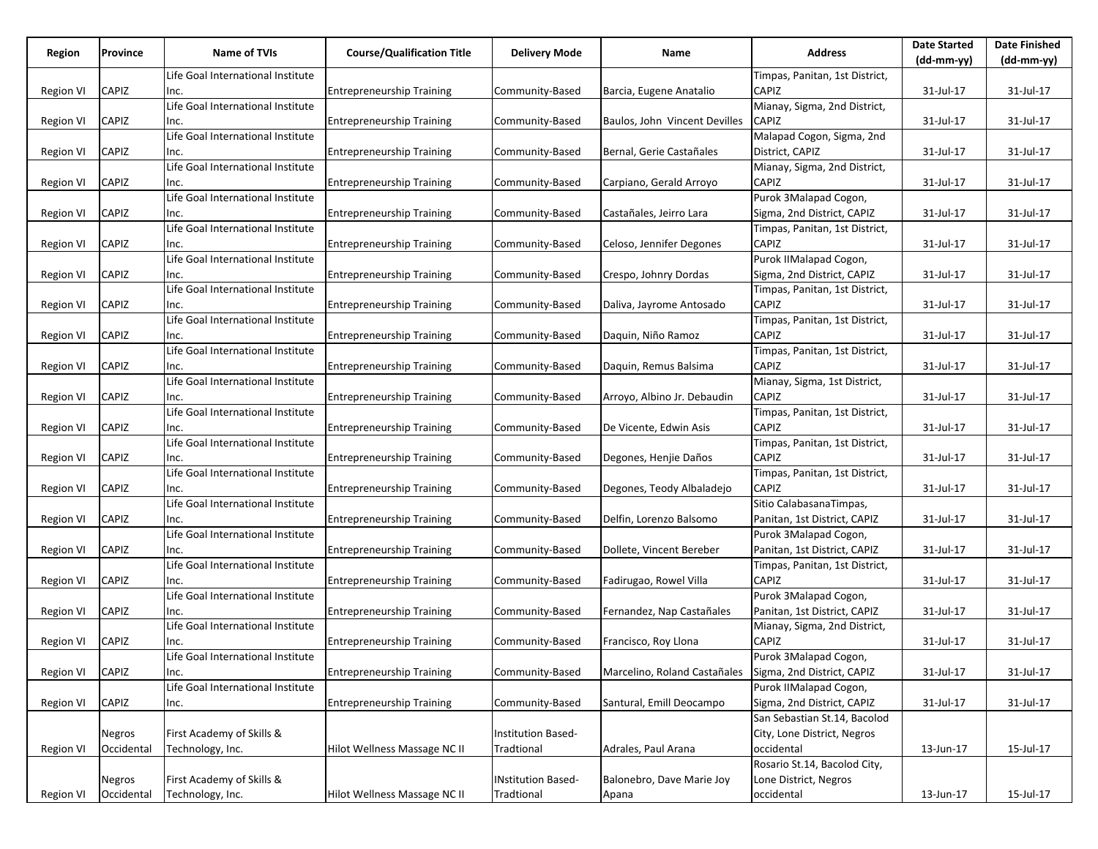| Region           | Province      | <b>Name of TVIs</b>               | <b>Course/Qualification Title</b> | <b>Delivery Mode</b>      | Name                          | <b>Address</b>                 | <b>Date Started</b> | <b>Date Finished</b> |
|------------------|---------------|-----------------------------------|-----------------------------------|---------------------------|-------------------------------|--------------------------------|---------------------|----------------------|
|                  |               |                                   |                                   |                           |                               |                                | (dd-mm-yy)          | (dd-mm-yy)           |
|                  |               | Life Goal International Institute |                                   |                           |                               | Timpas, Panitan, 1st District, |                     |                      |
| <b>Region VI</b> | CAPIZ         | Inc.                              | <b>Entrepreneurship Training</b>  | Community-Based           | Barcia, Eugene Anatalio       | <b>CAPIZ</b>                   | 31-Jul-17           | 31-Jul-17            |
|                  |               | Life Goal International Institute |                                   |                           |                               | Mianay, Sigma, 2nd District,   |                     |                      |
| Region VI        | CAPIZ         | Inc.                              | <b>Entrepreneurship Training</b>  | Community-Based           | Baulos, John Vincent Devilles | <b>CAPIZ</b>                   | 31-Jul-17           | 31-Jul-17            |
|                  |               | Life Goal International Institute |                                   |                           |                               | Malapad Cogon, Sigma, 2nd      |                     |                      |
| Region VI        | CAPIZ         | Inc.                              | <b>Entrepreneurship Training</b>  | Community-Based           | Bernal, Gerie Castañales      | District, CAPIZ                | 31-Jul-17           | 31-Jul-17            |
|                  |               | Life Goal International Institute |                                   |                           |                               | Mianay, Sigma, 2nd District,   |                     |                      |
| Region VI        | CAPIZ         | Inc.                              | <b>Entrepreneurship Training</b>  | Community-Based           | Carpiano, Gerald Arroyo       | CAPIZ                          | 31-Jul-17           | 31-Jul-17            |
|                  |               | Life Goal International Institute |                                   |                           |                               | Purok 3Malapad Cogon,          |                     |                      |
| Region VI        | CAPIZ         | Inc.                              | <b>Entrepreneurship Training</b>  | Community-Based           | Castañales, Jeirro Lara       | Sigma, 2nd District, CAPIZ     | 31-Jul-17           | 31-Jul-17            |
|                  |               | Life Goal International Institute |                                   |                           |                               | Timpas, Panitan, 1st District, |                     |                      |
| Region VI        | CAPIZ         | Inc.                              | <b>Entrepreneurship Training</b>  | Community-Based           | Celoso, Jennifer Degones      | <b>CAPIZ</b>                   | 31-Jul-17           | 31-Jul-17            |
|                  |               | Life Goal International Institute |                                   |                           |                               | Purok IIMalapad Cogon,         |                     |                      |
| Region VI        | CAPIZ         | Inc.                              | <b>Entrepreneurship Training</b>  | Community-Based           | Crespo, Johnry Dordas         | Sigma, 2nd District, CAPIZ     | 31-Jul-17           | 31-Jul-17            |
|                  |               | Life Goal International Institute |                                   |                           |                               | Timpas, Panitan, 1st District, |                     |                      |
| Region VI        | CAPIZ         | Inc.                              | <b>Entrepreneurship Training</b>  | Community-Based           | Daliva, Jayrome Antosado      | CAPIZ                          | 31-Jul-17           | 31-Jul-17            |
|                  |               | Life Goal International Institute |                                   |                           |                               | Timpas, Panitan, 1st District, |                     |                      |
| <b>Region VI</b> | CAPIZ         | Inc.                              | <b>Entrepreneurship Training</b>  | Community-Based           | Daquin, Niño Ramoz            | <b>CAPIZ</b>                   | 31-Jul-17           | 31-Jul-17            |
|                  |               | Life Goal International Institute |                                   |                           |                               | Timpas, Panitan, 1st District, |                     |                      |
| Region VI        | CAPIZ         | Inc.                              | <b>Entrepreneurship Training</b>  | Community-Based           | Daguin, Remus Balsima         | CAPIZ                          | 31-Jul-17           | 31-Jul-17            |
|                  |               | Life Goal International Institute |                                   |                           |                               | Mianay, Sigma, 1st District,   |                     |                      |
| Region VI        | CAPIZ         | Inc.                              | <b>Entrepreneurship Training</b>  | Community-Based           | Arroyo, Albino Jr. Debaudin   | CAPIZ                          | 31-Jul-17           | 31-Jul-17            |
|                  |               | Life Goal International Institute |                                   |                           |                               | Timpas, Panitan, 1st District, |                     |                      |
| Region VI        | CAPIZ         | Inc.                              | <b>Entrepreneurship Training</b>  | Community-Based           | De Vicente, Edwin Asis        | <b>CAPIZ</b>                   | 31-Jul-17           | 31-Jul-17            |
|                  |               | Life Goal International Institute |                                   |                           |                               | Timpas, Panitan, 1st District, |                     |                      |
| Region VI        | CAPIZ         | Inc.                              | <b>Entrepreneurship Training</b>  | Community-Based           | Degones, Henjie Daños         | CAPIZ                          | 31-Jul-17           | 31-Jul-17            |
|                  |               | Life Goal International Institute |                                   |                           |                               | Timpas, Panitan, 1st District, |                     |                      |
| Region VI        | CAPIZ         | Inc.                              | <b>Entrepreneurship Training</b>  | Community-Based           | Degones, Teody Albaladejo     | CAPIZ                          | 31-Jul-17           | 31-Jul-17            |
|                  |               | Life Goal International Institute |                                   |                           |                               | Sitio CalabasanaTimpas,        |                     |                      |
| <b>Region VI</b> | CAPIZ         | Inc.                              | <b>Entrepreneurship Training</b>  | Community-Based           | Delfin, Lorenzo Balsomo       | Panitan, 1st District, CAPIZ   | 31-Jul-17           | 31-Jul-17            |
|                  |               | Life Goal International Institute |                                   |                           |                               | Purok 3Malapad Cogon,          |                     |                      |
| Region VI        | CAPIZ         | Inc.                              | <b>Entrepreneurship Training</b>  | Community-Based           | Dollete, Vincent Bereber      | Panitan, 1st District, CAPIZ   | 31-Jul-17           | 31-Jul-17            |
|                  |               | Life Goal International Institute |                                   |                           |                               | Timpas, Panitan, 1st District, |                     |                      |
| <b>Region VI</b> | CAPIZ         | Inc.                              | <b>Entrepreneurship Training</b>  | Community-Based           | Fadirugao, Rowel Villa        | CAPIZ                          | 31-Jul-17           | 31-Jul-17            |
|                  |               | Life Goal International Institute |                                   |                           |                               | Purok 3Malapad Cogon,          |                     |                      |
| Region VI        | CAPIZ         | Inc.                              | <b>Entrepreneurship Training</b>  | Community-Based           | Fernandez, Nap Castañales     | Panitan, 1st District, CAPIZ   | 31-Jul-17           | 31-Jul-17            |
|                  |               | Life Goal International Institute |                                   |                           |                               | Mianay, Sigma, 2nd District,   |                     |                      |
| Region VI        | CAPIZ         | Inc.                              | <b>Entrepreneurship Training</b>  | Community-Based           | Francisco, Roy Llona          | <b>CAPIZ</b>                   | 31-Jul-17           | 31-Jul-17            |
|                  |               | Life Goal International Institute |                                   |                           |                               | Purok 3Malapad Cogon,          |                     |                      |
| <b>Region VI</b> | CAPIZ         | Inc.                              | <b>Entrepreneurship Training</b>  | Community-Based           | Marcelino, Roland Castañales  | Sigma, 2nd District, CAPIZ     | 31-Jul-17           | 31-Jul-17            |
|                  |               | Life Goal International Institute |                                   |                           |                               | Purok IIMalapad Cogon,         |                     |                      |
| <b>Region VI</b> | CAPIZ         | Inc.                              | <b>Entrepreneurship Training</b>  | Community-Based           | Santural, Emill Deocampo      | Sigma, 2nd District, CAPIZ     | 31-Jul-17           | 31-Jul-17            |
|                  |               |                                   |                                   |                           |                               | San Sebastian St.14, Bacolod   |                     |                      |
|                  | Negros        | First Academy of Skills &         |                                   | <b>Institution Based-</b> |                               | City, Lone District, Negros    |                     |                      |
| Region VI        | Occidental    | Technology, Inc.                  | Hilot Wellness Massage NC II      | Tradtional                | Adrales, Paul Arana           | occidental                     | 13-Jun-17           | 15-Jul-17            |
|                  |               |                                   |                                   |                           |                               | Rosario St.14, Bacolod City,   |                     |                      |
|                  | <b>Negros</b> | First Academy of Skills &         |                                   | <b>INstitution Based-</b> | Balonebro, Dave Marie Joy     | Lone District, Negros          |                     |                      |
| <b>Region VI</b> | Occidental    | Technology, Inc.                  | Hilot Wellness Massage NC II      | Tradtional                | Apana                         | occidental                     | 13-Jun-17           | 15-Jul-17            |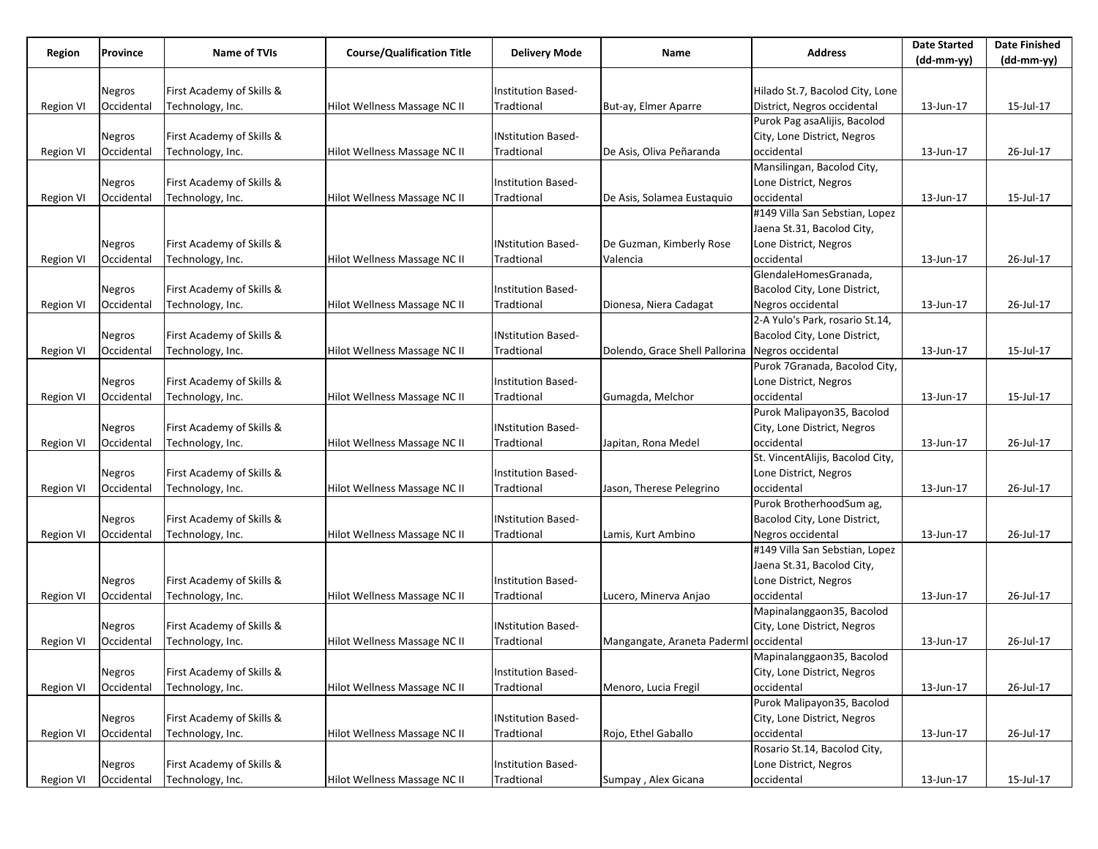| Region           | Province   | <b>Name of TVIs</b>       | <b>Course/Qualification Title</b> | <b>Delivery Mode</b>      | Name                                   | <b>Address</b>                   | <b>Date Started</b> | <b>Date Finished</b> |
|------------------|------------|---------------------------|-----------------------------------|---------------------------|----------------------------------------|----------------------------------|---------------------|----------------------|
|                  |            |                           |                                   |                           |                                        |                                  | $(dd-mm-yy)$        | $(dd-mm-yy)$         |
|                  |            |                           |                                   |                           |                                        |                                  |                     |                      |
|                  | Negros     | First Academy of Skills & |                                   | Institution Based-        |                                        | Hilado St.7, Bacolod City, Lone  |                     |                      |
| Region VI        | Occidental | Technology, Inc.          | Hilot Wellness Massage NC II      | Tradtional                | But-ay, Elmer Aparre                   | District, Negros occidental      | 13-Jun-17           | 15-Jul-17            |
|                  |            |                           |                                   |                           |                                        | Purok Pag asaAlijis, Bacolod     |                     |                      |
|                  | Negros     | First Academy of Skills & |                                   | <b>INstitution Based-</b> |                                        | City, Lone District, Negros      |                     |                      |
| Region VI        | Occidental | Technology, Inc.          | Hilot Wellness Massage NC II      | Tradtional                | De Asis, Oliva Peñaranda               | occidental                       | 13-Jun-17           | 26-Jul-17            |
|                  |            |                           |                                   |                           |                                        | Mansilingan, Bacolod City,       |                     |                      |
|                  | Negros     | First Academy of Skills & |                                   | Institution Based-        |                                        | Lone District, Negros            |                     |                      |
| Region VI        | Occidental | Technology, Inc.          | Hilot Wellness Massage NC II      | Tradtional                | De Asis, Solamea Eustaquio             | occidental                       | 13-Jun-17           | 15-Jul-17            |
|                  |            |                           |                                   |                           |                                        | #149 Villa San Sebstian, Lopez   |                     |                      |
|                  |            |                           |                                   |                           |                                        | Jaena St.31, Bacolod City,       |                     |                      |
|                  | Negros     | First Academy of Skills & |                                   | <b>INstitution Based-</b> | De Guzman, Kimberly Rose               | Lone District, Negros            |                     |                      |
| Region VI        | Occidental | Technology, Inc.          | Hilot Wellness Massage NC II      | Tradtional                | Valencia                               | occidental                       | 13-Jun-17           | 26-Jul-17            |
|                  |            |                           |                                   |                           |                                        | GlendaleHomesGranada,            |                     |                      |
|                  | Negros     | First Academy of Skills & |                                   | Institution Based-        |                                        | Bacolod City, Lone District,     |                     |                      |
| Region VI        | Occidental | Technology, Inc.          | Hilot Wellness Massage NC II      | Tradtional                | Dionesa, Niera Cadagat                 | Negros occidental                | 13-Jun-17           | 26-Jul-17            |
|                  |            |                           |                                   |                           |                                        | 2-A Yulo's Park, rosario St.14,  |                     |                      |
|                  | Negros     | First Academy of Skills & |                                   | <b>INstitution Based-</b> |                                        | Bacolod City, Lone District,     |                     |                      |
| <b>Region VI</b> | Occidental | Technology, Inc.          | Hilot Wellness Massage NC II      | Tradtional                | Dolendo, Grace Shell Pallorina         | Negros occidental                | 13-Jun-17           | 15-Jul-17            |
|                  |            |                           |                                   |                           |                                        | Purok 7Granada, Bacolod City,    |                     |                      |
|                  | Negros     | First Academy of Skills & |                                   | Institution Based-        |                                        | Lone District, Negros            |                     |                      |
| Region VI        | Occidental | Technology, Inc.          | Hilot Wellness Massage NC II      | Tradtional                | Gumagda, Melchor                       | occidental                       | 13-Jun-17           | 15-Jul-17            |
|                  |            |                           |                                   |                           |                                        | Purok Malipayon35, Bacolod       |                     |                      |
|                  | Negros     | First Academy of Skills & |                                   | <b>INstitution Based-</b> |                                        | City, Lone District, Negros      |                     |                      |
| Region VI        | Occidental | Technology, Inc.          | Hilot Wellness Massage NC II      | Tradtional                | Japitan, Rona Medel                    | occidental                       | 13-Jun-17           | 26-Jul-17            |
|                  |            |                           |                                   |                           |                                        | St. VincentAlijis, Bacolod City, |                     |                      |
|                  | Negros     | First Academy of Skills & |                                   | Institution Based-        |                                        | Lone District, Negros            |                     |                      |
| Region VI        | Occidental | Technology, Inc.          | Hilot Wellness Massage NC II      | Tradtional                | Jason, Therese Pelegrino               | occidental                       | 13-Jun-17           | 26-Jul-17            |
|                  |            |                           |                                   |                           |                                        | Purok BrotherhoodSum ag,         |                     |                      |
|                  | Negros     | First Academy of Skills & |                                   | <b>INstitution Based-</b> |                                        | Bacolod City, Lone District,     |                     |                      |
| Region VI        | Occidental | Technology, Inc.          | Hilot Wellness Massage NC II      | Tradtional                | Lamis, Kurt Ambino                     | Negros occidental                | 13-Jun-17           | 26-Jul-17            |
|                  |            |                           |                                   |                           |                                        | #149 Villa San Sebstian, Lopez   |                     |                      |
|                  |            |                           |                                   |                           |                                        | Jaena St.31, Bacolod City,       |                     |                      |
|                  | Negros     | First Academy of Skills & |                                   | Institution Based-        |                                        | Lone District, Negros            |                     |                      |
| Region VI        | Occidental | Technology, Inc.          | Hilot Wellness Massage NC II      | Tradtional                | Lucero, Minerva Anjao                  | occidental                       | 13-Jun-17           | 26-Jul-17            |
|                  |            |                           |                                   |                           |                                        | Mapinalanggaon35, Bacolod        |                     |                      |
|                  | Negros     | First Academy of Skills & |                                   | <b>INstitution Based-</b> |                                        | City, Lone District, Negros      |                     |                      |
| Region VI        | Occidental | Technology, Inc.          | Hilot Wellness Massage NC II      | Tradtional                | Mangangate, Araneta Paderml occidental |                                  | 13-Jun-17           | 26-Jul-17            |
|                  |            |                           |                                   |                           |                                        | Mapinalanggaon35, Bacolod        |                     |                      |
|                  | Negros     | First Academy of Skills & |                                   | Institution Based-        |                                        | City, Lone District, Negros      |                     |                      |
| Region VI        | Occidental | Technology, Inc.          | Hilot Wellness Massage NC II      | Tradtional                | Menoro, Lucia Fregil                   | occidental                       | 13-Jun-17           | 26-Jul-17            |
|                  |            |                           |                                   |                           |                                        | Purok Malipayon35, Bacolod       |                     |                      |
|                  | Negros     | First Academy of Skills & |                                   | <b>INstitution Based-</b> |                                        | City, Lone District, Negros      |                     |                      |
| Region VI        | Occidental | Technology, Inc.          | Hilot Wellness Massage NC II      | Tradtional                | Rojo, Ethel Gaballo                    | occidental                       | 13-Jun-17           | 26-Jul-17            |
|                  |            |                           |                                   |                           |                                        | Rosario St.14, Bacolod City,     |                     |                      |
|                  | Negros     | First Academy of Skills & |                                   | Institution Based-        |                                        | Lone District, Negros            |                     |                      |
| Region VI        | Occidental | Technology, Inc.          | Hilot Wellness Massage NC II      | Tradtional                | Sumpay, Alex Gicana                    | occidental                       | 13-Jun-17           | 15-Jul-17            |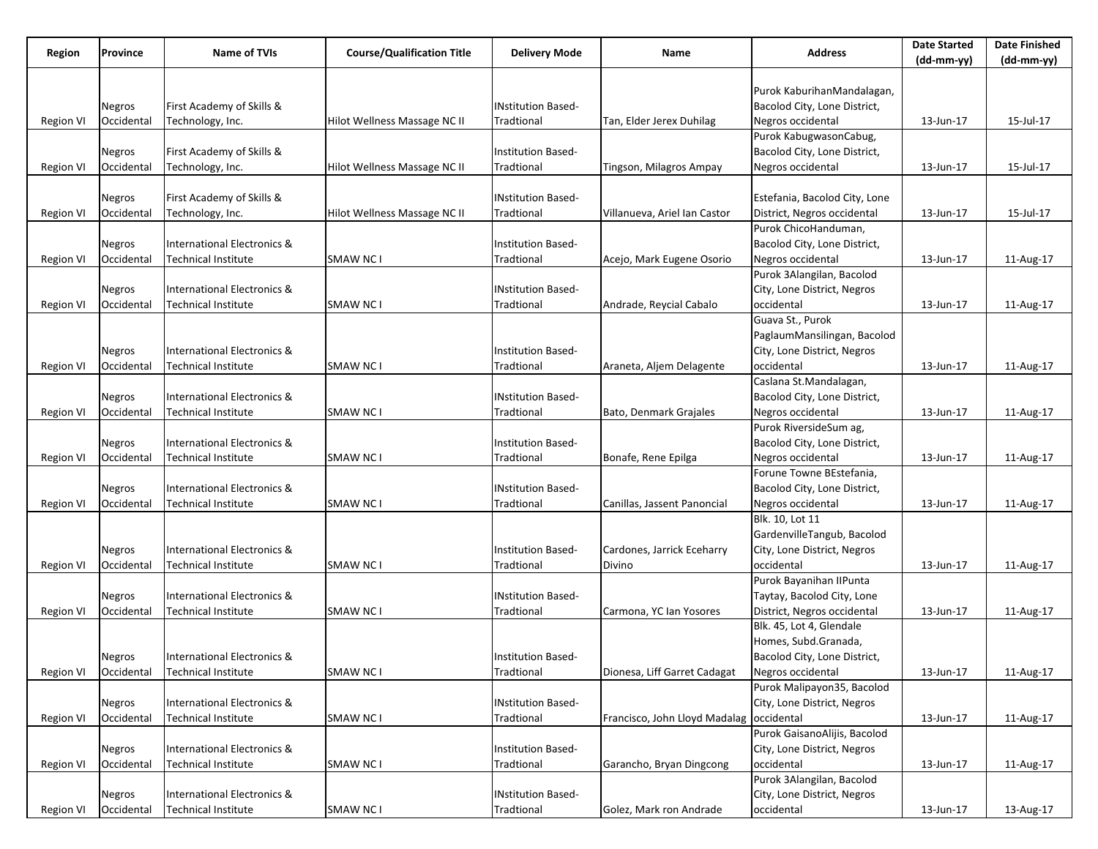| Region           | Province   | <b>Name of TVIs</b>                    | <b>Course/Qualification Title</b> | <b>Delivery Mode</b>      | Name                                     | <b>Address</b>                | <b>Date Started</b> | <b>Date Finished</b> |
|------------------|------------|----------------------------------------|-----------------------------------|---------------------------|------------------------------------------|-------------------------------|---------------------|----------------------|
|                  |            |                                        |                                   |                           |                                          |                               | $(dd-mm-yy)$        | $(dd-mm-yy)$         |
|                  |            |                                        |                                   |                           |                                          | Purok KaburihanMandalagan,    |                     |                      |
|                  | Negros     | First Academy of Skills &              |                                   | <b>INstitution Based-</b> |                                          | Bacolod City, Lone District,  |                     |                      |
| <b>Region VI</b> | Occidental | Technology, Inc.                       | Hilot Wellness Massage NC II      | Tradtional                | Tan, Elder Jerex Duhilag                 | Negros occidental             | 13-Jun-17           | 15-Jul-17            |
|                  |            |                                        |                                   |                           |                                          | Purok KabugwasonCabug,        |                     |                      |
|                  | Negros     | First Academy of Skills &              |                                   | Institution Based-        |                                          | Bacolod City, Lone District,  |                     |                      |
| Region VI        | Occidental | Technology, Inc.                       | Hilot Wellness Massage NC II      | Tradtional                | Tingson, Milagros Ampay                  | Negros occidental             | 13-Jun-17           | 15-Jul-17            |
|                  |            |                                        |                                   |                           |                                          |                               |                     |                      |
|                  | Negros     | First Academy of Skills &              |                                   | <b>INstitution Based-</b> |                                          | Estefania, Bacolod City, Lone |                     |                      |
| Region VI        | Occidental | Technology, Inc.                       | Hilot Wellness Massage NC II      | Tradtional                | Villanueva, Ariel Ian Castor             | District, Negros occidental   | 13-Jun-17           | 15-Jul-17            |
|                  |            |                                        |                                   |                           |                                          | Purok ChicoHanduman,          |                     |                      |
|                  | Negros     | International Electronics &            |                                   | Institution Based-        |                                          | Bacolod City, Lone District,  |                     |                      |
| Region VI        | Occidental | <b>Technical Institute</b>             | <b>SMAW NC1</b>                   | Tradtional                | Acejo, Mark Eugene Osorio                | Negros occidental             | 13-Jun-17           | 11-Aug-17            |
|                  |            |                                        |                                   |                           |                                          | Purok 3Alangilan, Bacolod     |                     |                      |
|                  | Negros     | International Electronics &            |                                   | <b>INstitution Based-</b> |                                          | City, Lone District, Negros   |                     |                      |
| <b>Region VI</b> | Occidental | <b>Technical Institute</b>             | <b>SMAW NC1</b>                   | Tradtional                | Andrade, Reycial Cabalo                  | occidental                    | 13-Jun-17           | 11-Aug-17            |
|                  |            |                                        |                                   |                           |                                          | Guava St., Purok              |                     |                      |
|                  |            |                                        |                                   |                           |                                          | PaglaumMansilingan, Bacolod   |                     |                      |
|                  | Negros     | International Electronics &            |                                   | Institution Based-        |                                          | City, Lone District, Negros   |                     |                      |
| <b>Region VI</b> | Occidental | Technical Institute                    | <b>SMAW NC1</b>                   | Tradtional                | Araneta, Aljem Delagente                 | occidental                    | 13-Jun-17           | 11-Aug-17            |
|                  |            |                                        |                                   |                           |                                          | Caslana St.Mandalagan,        |                     |                      |
|                  | Negros     | International Electronics &            |                                   | <b>INstitution Based-</b> |                                          | Bacolod City, Lone District,  |                     |                      |
| <b>Region VI</b> | Occidental | Technical Institute                    | <b>SMAW NC1</b>                   | Tradtional                | Bato, Denmark Grajales                   | Negros occidental             | 13-Jun-17           | 11-Aug-17            |
|                  |            |                                        |                                   |                           |                                          | Purok RiversideSum ag,        |                     |                      |
|                  | Negros     | International Electronics &            |                                   | Institution Based-        |                                          | Bacolod City, Lone District,  |                     |                      |
| Region VI        | Occidental | Technical Institute                    | <b>SMAW NC1</b>                   | Tradtional                | Bonafe, Rene Epilga                      | Negros occidental             | 13-Jun-17           | 11-Aug-17            |
|                  |            |                                        |                                   |                           |                                          | Forune Towne BEstefania,      |                     |                      |
|                  | Negros     | <b>International Electronics &amp;</b> |                                   | <b>INstitution Based-</b> |                                          | Bacolod City, Lone District,  |                     |                      |
| <b>Region VI</b> | Occidental | Technical Institute                    | <b>SMAW NC1</b>                   | Tradtional                | Canillas, Jassent Panoncial              | Negros occidental             | 13-Jun-17           | 11-Aug-17            |
|                  |            |                                        |                                   |                           |                                          | Blk. 10, Lot 11               |                     |                      |
|                  |            |                                        |                                   |                           |                                          | GardenvilleTangub, Bacolod    |                     |                      |
|                  | Negros     | International Electronics &            |                                   | Institution Based-        | Cardones, Jarrick Eceharry               | City, Lone District, Negros   |                     |                      |
| <b>Region VI</b> | Occidental | Technical Institute                    | <b>SMAW NC1</b>                   | Tradtional                | Divino                                   | occidental                    | 13-Jun-17           | 11-Aug-17            |
|                  |            |                                        |                                   |                           |                                          | Purok Bayanihan IIPunta       |                     |                      |
|                  | Negros     | International Electronics &            |                                   | <b>INstitution Based-</b> |                                          | Taytay, Bacolod City, Lone    |                     |                      |
| <b>Region VI</b> | Occidental | Technical Institute                    | <b>SMAW NC1</b>                   | Tradtional                | Carmona, YC Ian Yosores                  | District, Negros occidental   | 13-Jun-17           | 11-Aug-17            |
|                  |            |                                        |                                   |                           |                                          | Blk. 45, Lot 4, Glendale      |                     |                      |
|                  |            |                                        |                                   |                           |                                          | Homes, Subd.Granada,          |                     |                      |
|                  | Negros     | International Electronics &            |                                   | Institution Based-        |                                          | Bacolod City, Lone District,  |                     |                      |
| <b>Region VI</b> | Occidental | Technical Institute                    | <b>SMAW NC1</b>                   | Tradtional                | Dionesa, Liff Garret Cadagat             | Negros occidental             | 13-Jun-17           | 11-Aug-17            |
|                  |            |                                        |                                   |                           |                                          | Purok Malipayon35, Bacolod    |                     |                      |
|                  | Negros     | International Electronics &            |                                   | <b>INstitution Based-</b> |                                          | City, Lone District, Negros   |                     |                      |
| Region VI        | Occidental | <b>Technical Institute</b>             | <b>SMAW NC1</b>                   | Tradtional                | Francisco, John Lloyd Madalag occidental |                               | 13-Jun-17           | 11-Aug-17            |
|                  |            |                                        |                                   |                           |                                          | Purok GaisanoAlijis, Bacolod  |                     |                      |
|                  | Negros     | <b>International Electronics &amp;</b> |                                   | Institution Based-        |                                          | City, Lone District, Negros   |                     |                      |
| <b>Region VI</b> | Occidental | Technical Institute                    | SMAW NC I                         | Tradtional                | Garancho, Bryan Dingcong                 | occidental                    | 13-Jun-17           | 11-Aug-17            |
|                  |            |                                        |                                   |                           |                                          | Purok 3Alangilan, Bacolod     |                     |                      |
|                  | Negros     | International Electronics &            |                                   | <b>INstitution Based-</b> |                                          | City, Lone District, Negros   |                     |                      |
| <b>Region VI</b> | Occidental | <b>Technical Institute</b>             | SMAW NC I                         | Tradtional                | Golez, Mark ron Andrade                  | occidental                    | 13-Jun-17           | 13-Aug-17            |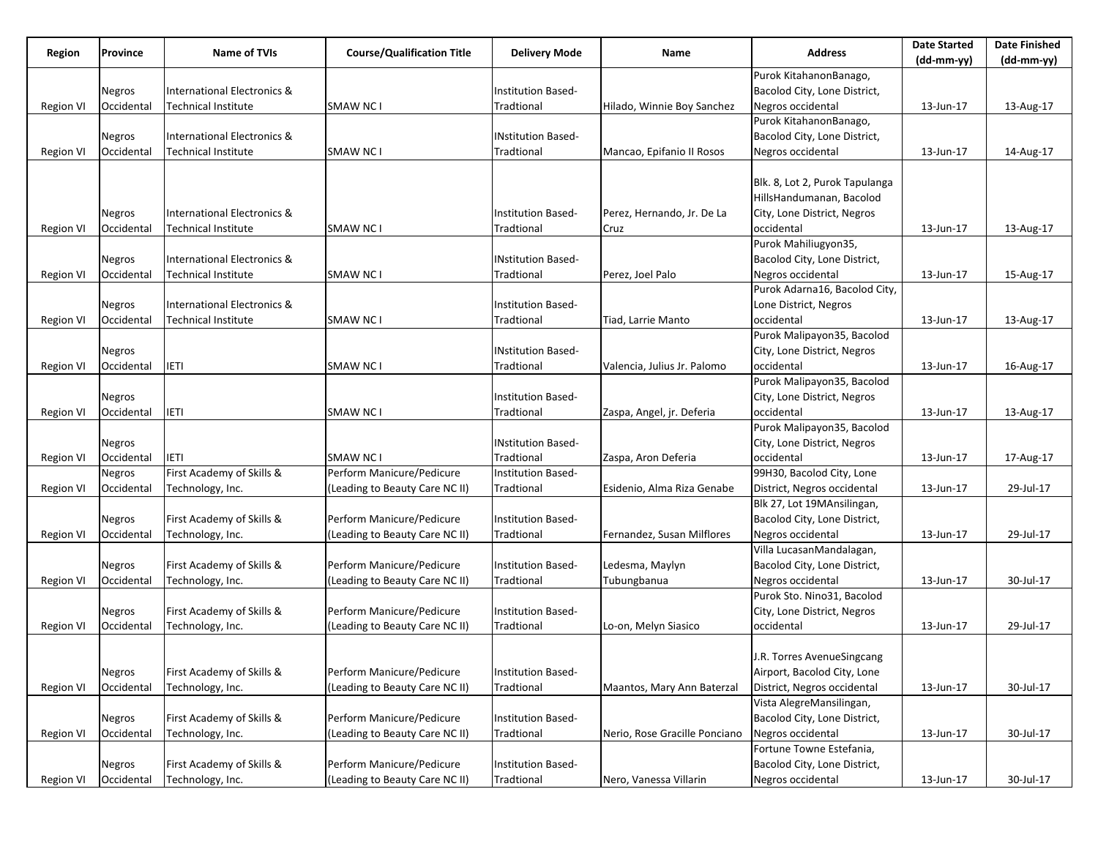| Region           | Province   | <b>Name of TVIs</b>                    | <b>Course/Qualification Title</b> | <b>Delivery Mode</b>      | Name                          | <b>Address</b>                 | <b>Date Started</b> | <b>Date Finished</b> |
|------------------|------------|----------------------------------------|-----------------------------------|---------------------------|-------------------------------|--------------------------------|---------------------|----------------------|
|                  |            |                                        |                                   |                           |                               |                                | $(dd-mm-yy)$        | $(dd-mm-yy)$         |
|                  |            |                                        |                                   |                           |                               | Purok KitahanonBanago,         |                     |                      |
|                  | Negros     | International Electronics &            |                                   | Institution Based-        |                               | Bacolod City, Lone District,   |                     |                      |
| Region VI        | Occidental | <b>Technical Institute</b>             | <b>SMAW NC1</b>                   | Tradtional                | Hilado, Winnie Boy Sanchez    | Negros occidental              | 13-Jun-17           | 13-Aug-17            |
|                  |            |                                        |                                   |                           |                               | Purok KitahanonBanago,         |                     |                      |
|                  | Negros     | <b>International Electronics &amp;</b> |                                   | <b>INstitution Based-</b> |                               | Bacolod City, Lone District,   |                     |                      |
| Region VI        | Occidental | <b>Technical Institute</b>             | <b>SMAW NC1</b>                   | Tradtional                | Mancao, Epifanio II Rosos     | Negros occidental              | 13-Jun-17           | 14-Aug-17            |
|                  |            |                                        |                                   |                           |                               |                                |                     |                      |
|                  |            |                                        |                                   |                           |                               | Blk. 8, Lot 2, Purok Tapulanga |                     |                      |
|                  |            |                                        |                                   |                           |                               | HillsHandumanan, Bacolod       |                     |                      |
|                  | Negros     | International Electronics &            |                                   | Institution Based-        | Perez, Hernando, Jr. De La    | City, Lone District, Negros    |                     |                      |
| Region VI        | Occidental | Technical Institute                    | SMAW NC1                          | Tradtional                | Cruz                          | occidental                     | 13-Jun-17           | 13-Aug-17            |
|                  |            |                                        |                                   |                           |                               | Purok Mahiliugyon35,           |                     |                      |
|                  | Negros     | International Electronics &            |                                   | <b>INstitution Based-</b> |                               | Bacolod City, Lone District,   |                     |                      |
| <b>Region VI</b> | Occidental | <b>Technical Institute</b>             | <b>SMAW NC1</b>                   | Tradtional                | Perez, Joel Palo              | Negros occidental              | 13-Jun-17           | 15-Aug-17            |
|                  |            |                                        |                                   |                           |                               | Purok Adarna16, Bacolod City,  |                     |                      |
|                  | Negros     | International Electronics &            |                                   | Institution Based-        |                               | Lone District, Negros          |                     |                      |
| Region VI        | Occidental | <b>Technical Institute</b>             | SMAW NC1                          | Tradtional                | Tiad, Larrie Manto            | occidental                     | 13-Jun-17           | 13-Aug-17            |
|                  |            |                                        |                                   |                           |                               | Purok Malipayon35, Bacolod     |                     |                      |
|                  | Negros     |                                        |                                   | <b>INstitution Based-</b> |                               | City, Lone District, Negros    |                     |                      |
| Region VI        | Occidental | <b>IETI</b>                            | <b>SMAW NC1</b>                   | Tradtional                | Valencia, Julius Jr. Palomo   | occidental                     | 13-Jun-17           | 16-Aug-17            |
|                  |            |                                        |                                   |                           |                               | Purok Malipayon35, Bacolod     |                     |                      |
|                  | Negros     |                                        |                                   | Institution Based-        |                               | City, Lone District, Negros    |                     |                      |
| <b>Region VI</b> | Occidental | <b>IETI</b>                            | <b>SMAW NC1</b>                   | Tradtional                | Zaspa, Angel, jr. Deferia     | occidental                     | 13-Jun-17           | 13-Aug-17            |
|                  |            |                                        |                                   |                           |                               | Purok Malipayon35, Bacolod     |                     |                      |
|                  | Negros     |                                        |                                   | <b>INstitution Based-</b> |                               | City, Lone District, Negros    |                     |                      |
| Region VI        | Occidental | <b>IETI</b>                            | <b>SMAW NC I</b>                  | Tradtional                | Zaspa, Aron Deferia           | occidental                     | 13-Jun-17           | 17-Aug-17            |
|                  | Negros     | First Academy of Skills &              | Perform Manicure/Pedicure         | Institution Based-        |                               | 99H30, Bacolod City, Lone      |                     |                      |
| Region VI        | Occidental | Technology, Inc.                       | (Leading to Beauty Care NC II)    | Tradtional                | Esidenio, Alma Riza Genabe    | District, Negros occidental    | 13-Jun-17           | 29-Jul-17            |
|                  |            |                                        |                                   |                           |                               | Blk 27, Lot 19MAnsilingan,     |                     |                      |
|                  | Negros     | First Academy of Skills &              | Perform Manicure/Pedicure         | Institution Based-        |                               | Bacolod City, Lone District,   |                     |                      |
| Region VI        | Occidental | Technology, Inc.                       | (Leading to Beauty Care NC II)    | Tradtional                | Fernandez, Susan Milflores    | Negros occidental              | 13-Jun-17           | 29-Jul-17            |
|                  |            |                                        |                                   |                           |                               | Villa LucasanMandalagan,       |                     |                      |
|                  | Negros     | First Academy of Skills &              | Perform Manicure/Pedicure         | Institution Based-        | Ledesma, Maylyn               | Bacolod City, Lone District,   |                     |                      |
| Region VI        | Occidental | Technology, Inc.                       | (Leading to Beauty Care NC II)    | Tradtional                | Tubungbanua                   | Negros occidental              | 13-Jun-17           | 30-Jul-17            |
|                  |            |                                        |                                   |                           |                               | Purok Sto. Nino31, Bacolod     |                     |                      |
|                  | Negros     | First Academy of Skills &              | Perform Manicure/Pedicure         | Institution Based-        |                               | City, Lone District, Negros    |                     |                      |
| <b>Region VI</b> | Occidental | Technology, Inc.                       | (Leading to Beauty Care NC II)    | Tradtional                | Lo-on, Melyn Siasico          | occidental                     | 13-Jun-17           | 29-Jul-17            |
|                  |            |                                        |                                   |                           |                               |                                |                     |                      |
|                  |            |                                        |                                   |                           |                               | J.R. Torres AvenueSingcang     |                     |                      |
|                  | Negros     | First Academy of Skills &              | Perform Manicure/Pedicure         | Institution Based-        |                               | Airport, Bacolod City, Lone    |                     |                      |
| <b>Region VI</b> | Occidental | Technology, Inc.                       | (Leading to Beauty Care NC II)    | Tradtional                | Maantos, Mary Ann Baterzal    | District, Negros occidental    | 13-Jun-17           | 30-Jul-17            |
|                  |            |                                        |                                   |                           |                               | Vista AlegreMansilingan,       |                     |                      |
|                  | Negros     | First Academy of Skills &              | Perform Manicure/Pedicure         | Institution Based-        |                               | Bacolod City, Lone District,   |                     |                      |
| <b>Region VI</b> | Occidental | Technology, Inc.                       | (Leading to Beauty Care NC II)    | Tradtional                | Nerio, Rose Gracille Ponciano | Negros occidental              | 13-Jun-17           | 30-Jul-17            |
|                  |            |                                        |                                   |                           |                               | Fortune Towne Estefania,       |                     |                      |
|                  | Negros     | First Academy of Skills &              | Perform Manicure/Pedicure         | Institution Based-        |                               | Bacolod City, Lone District,   |                     |                      |
| Region VI        | Occidental | Technology, Inc.                       | (Leading to Beauty Care NC II)    | Tradtional                | Nero, Vanessa Villarin        | Negros occidental              | 13-Jun-17           | 30-Jul-17            |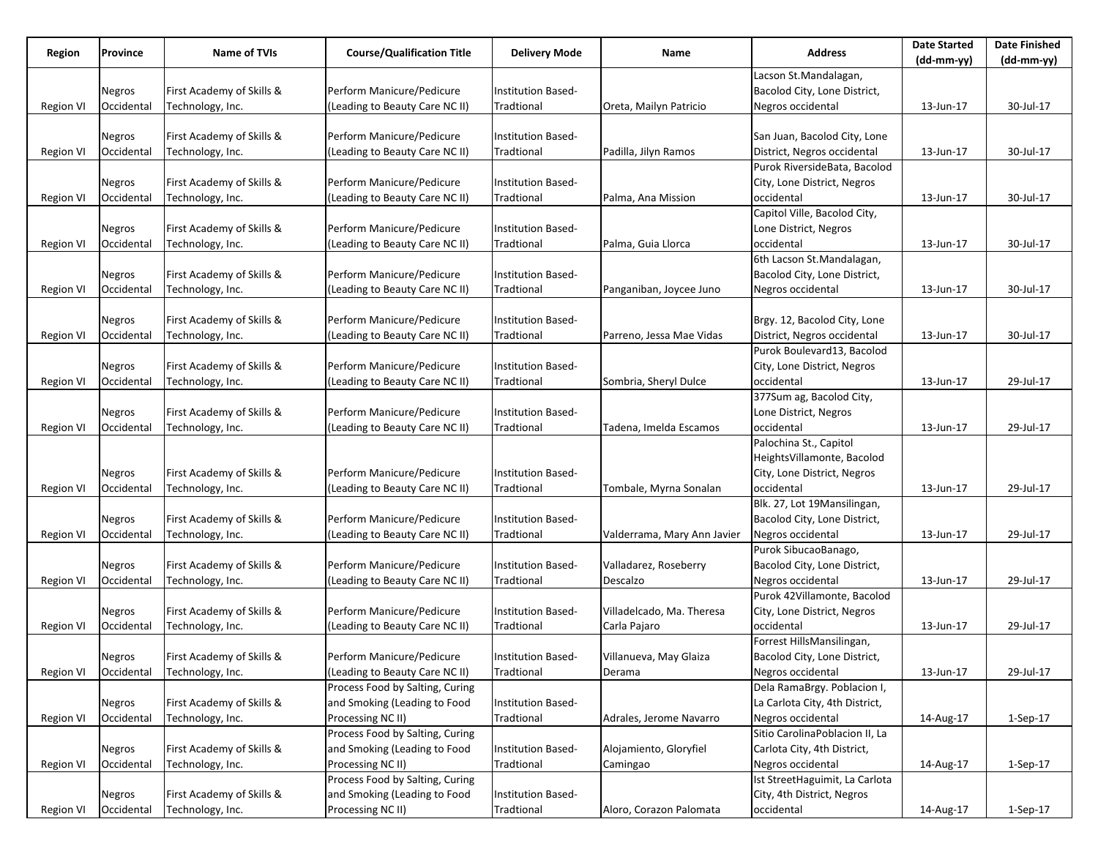| Region           | Province      | <b>Name of TVIs</b>       | <b>Course/Qualification Title</b> | <b>Delivery Mode</b>      | Name                        | <b>Address</b>                 | <b>Date Started</b> | <b>Date Finished</b> |
|------------------|---------------|---------------------------|-----------------------------------|---------------------------|-----------------------------|--------------------------------|---------------------|----------------------|
|                  |               |                           |                                   |                           |                             | Lacson St.Mandalagan,          | $(dd-mm-yy)$        | $(dd-mm-yy)$         |
|                  |               |                           |                                   |                           |                             |                                |                     |                      |
|                  | Negros        | First Academy of Skills & | Perform Manicure/Pedicure         | Institution Based-        |                             | Bacolod City, Lone District,   |                     |                      |
| Region VI        | Occidental    | Technology, Inc.          | (Leading to Beauty Care NC II)    | Tradtional                | Oreta, Mailyn Patricio      | Negros occidental              | 13-Jun-17           | 30-Jul-17            |
|                  |               |                           |                                   |                           |                             |                                |                     |                      |
|                  | Negros        | First Academy of Skills & | Perform Manicure/Pedicure         | Institution Based-        |                             | San Juan, Bacolod City, Lone   |                     |                      |
| <b>Region VI</b> | Occidental    | Technology, Inc.          | (Leading to Beauty Care NC II)    | Tradtional                | Padilla, Jilyn Ramos        | District, Negros occidental    | 13-Jun-17           | 30-Jul-17            |
|                  |               |                           |                                   |                           |                             | Purok RiversideBata, Bacolod   |                     |                      |
|                  | Negros        | First Academy of Skills & | Perform Manicure/Pedicure         | Institution Based-        |                             | City, Lone District, Negros    |                     |                      |
| Region VI        | Occidental    | Technology, Inc.          | (Leading to Beauty Care NC II)    | Tradtional                | Palma, Ana Mission          | occidental                     | 13-Jun-17           | 30-Jul-17            |
|                  |               |                           |                                   |                           |                             | Capitol Ville, Bacolod City,   |                     |                      |
|                  | Negros        | First Academy of Skills & | Perform Manicure/Pedicure         | Institution Based-        |                             | Lone District, Negros          |                     |                      |
| <b>Region VI</b> | Occidental    | Technology, Inc.          | (Leading to Beauty Care NC II)    | Tradtional                | Palma, Guia Llorca          | occidental                     | 13-Jun-17           | 30-Jul-17            |
|                  |               |                           |                                   |                           |                             | 6th Lacson St.Mandalagan,      |                     |                      |
|                  | <b>Negros</b> | First Academy of Skills & | Perform Manicure/Pedicure         | Institution Based-        |                             | Bacolod City, Lone District,   |                     |                      |
| <b>Region VI</b> | Occidental    | Technology, Inc.          | (Leading to Beauty Care NC II)    | Tradtional                | Panganiban, Joycee Juno     | Negros occidental              | 13-Jun-17           | 30-Jul-17            |
|                  |               |                           |                                   |                           |                             |                                |                     |                      |
|                  | Negros        | First Academy of Skills & | Perform Manicure/Pedicure         | Institution Based-        |                             | Brgy. 12, Bacolod City, Lone   |                     |                      |
| <b>Region VI</b> | Occidental    | Technology, Inc.          | (Leading to Beauty Care NC II)    | Tradtional                | Parreno, Jessa Mae Vidas    | District, Negros occidental    | 13-Jun-17           | 30-Jul-17            |
|                  |               |                           |                                   |                           |                             | Purok Boulevard13, Bacolod     |                     |                      |
|                  | Negros        | First Academy of Skills & | Perform Manicure/Pedicure         | <b>Institution Based-</b> |                             | City, Lone District, Negros    |                     |                      |
| Region VI        | Occidental    | Technology, Inc.          | (Leading to Beauty Care NC II)    | Tradtional                | Sombria, Sheryl Dulce       | occidental                     | 13-Jun-17           | 29-Jul-17            |
|                  |               |                           |                                   |                           |                             | 377Sum ag, Bacolod City,       |                     |                      |
|                  | Negros        | First Academy of Skills & | Perform Manicure/Pedicure         | Institution Based-        |                             | Lone District, Negros          |                     |                      |
| <b>Region VI</b> | Occidental    | Technology, Inc.          | (Leading to Beauty Care NC II)    | Tradtional                | Tadena, Imelda Escamos      | occidental                     | 13-Jun-17           | 29-Jul-17            |
|                  |               |                           |                                   |                           |                             | Palochina St., Capitol         |                     |                      |
|                  |               |                           |                                   |                           |                             | HeightsVillamonte, Bacolod     |                     |                      |
|                  | Negros        | First Academy of Skills & | Perform Manicure/Pedicure         | Institution Based-        |                             | City, Lone District, Negros    |                     |                      |
| Region VI        | Occidental    | Technology, Inc.          | (Leading to Beauty Care NC II)    | Tradtional                | Tombale, Myrna Sonalan      | occidental                     | 13-Jun-17           | 29-Jul-17            |
|                  |               |                           |                                   |                           |                             | Blk. 27, Lot 19Mansilingan,    |                     |                      |
|                  | Negros        | First Academy of Skills & | Perform Manicure/Pedicure         | Institution Based-        |                             | Bacolod City, Lone District,   |                     |                      |
| <b>Region VI</b> | Occidental    | Technology, Inc.          | (Leading to Beauty Care NC II)    | Tradtional                | Valderrama, Mary Ann Javier | Negros occidental              | 13-Jun-17           | 29-Jul-17            |
|                  |               |                           |                                   |                           |                             | Purok SibucaoBanago,           |                     |                      |
|                  | Negros        | First Academy of Skills & | Perform Manicure/Pedicure         | Institution Based-        | Valladarez, Roseberry       | Bacolod City, Lone District,   |                     |                      |
| Region VI        | Occidental    | Technology, Inc.          | (Leading to Beauty Care NC II)    | Tradtional                | Descalzo                    | Negros occidental              | 13-Jun-17           | 29-Jul-17            |
|                  |               |                           |                                   |                           |                             | Purok 42Villamonte, Bacolod    |                     |                      |
|                  | Negros        | First Academy of Skills & | Perform Manicure/Pedicure         | Institution Based-        | Villadelcado, Ma. Theresa   | City, Lone District, Negros    |                     |                      |
| <b>Region VI</b> | Occidental    | Technology, Inc.          | (Leading to Beauty Care NC II)    | Tradtional                | Carla Pajaro                | occidental                     | 13-Jun-17           | 29-Jul-17            |
|                  |               |                           |                                   |                           |                             | Forrest HillsMansilingan,      |                     |                      |
|                  | Negros        | First Academy of Skills & | Perform Manicure/Pedicure         | Institution Based-        | Villanueva, May Glaiza      | Bacolod City, Lone District,   |                     |                      |
| Region VI        | Occidental    | Technology, Inc.          | (Leading to Beauty Care NC II)    | Tradtional                | Derama                      | Negros occidental              | 13-Jun-17           | 29-Jul-17            |
|                  |               |                           | Process Food by Salting, Curing   |                           |                             | Dela RamaBrgy. Poblacion I,    |                     |                      |
|                  | <b>Negros</b> | First Academy of Skills & | and Smoking (Leading to Food      | Institution Based-        |                             | La Carlota City, 4th District, |                     |                      |
| Region VI        | Occidental    | Technology, Inc.          | Processing NC II)                 | Tradtional                | Adrales, Jerome Navarro     | Negros occidental              | 14-Aug-17           | $1-Sep-17$           |
|                  |               |                           | Process Food by Salting, Curing   |                           |                             | Sitio CarolinaPoblacion II, La |                     |                      |
|                  | <b>Negros</b> | First Academy of Skills & | and Smoking (Leading to Food      | Institution Based-        | Alojamiento, Gloryfiel      | Carlota City, 4th District,    |                     |                      |
| Region VI        | Occidental    | Technology, Inc.          | Processing NC II)                 | Tradtional                | Camingao                    | Negros occidental              | 14-Aug-17           | $1-Sep-17$           |
|                  |               |                           | Process Food by Salting, Curing   |                           |                             | Ist StreetHaguimit, La Carlota |                     |                      |
|                  | <b>Negros</b> | First Academy of Skills & | and Smoking (Leading to Food      | Institution Based-        |                             | City, 4th District, Negros     |                     |                      |
| <b>Region VI</b> | Occidental    | Technology, Inc.          | Processing NC II)                 | Tradtional                | Aloro, Corazon Palomata     | occidental                     | 14-Aug-17           | 1-Sep-17             |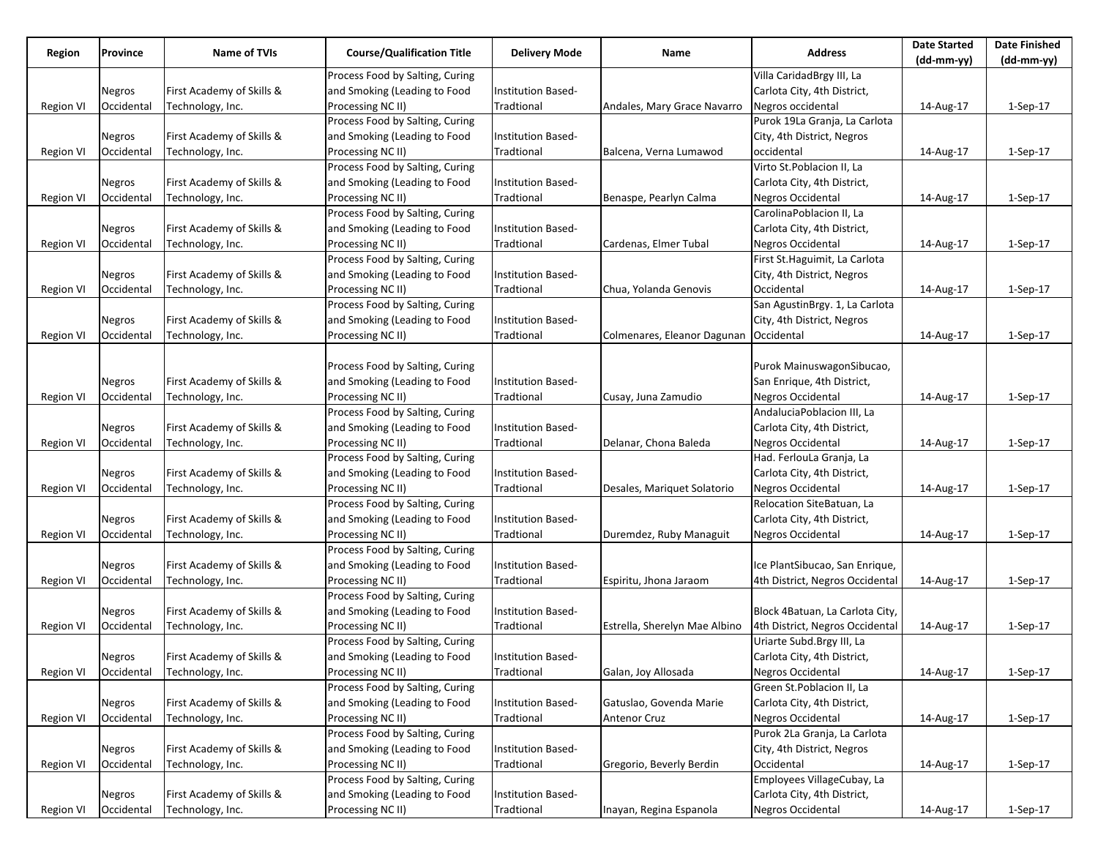| Region<br>Province | <b>Name of TVIs</b> |                           |                                   |                           |                                        | <b>Date Started</b>             | <b>Date Finished</b> |            |
|--------------------|---------------------|---------------------------|-----------------------------------|---------------------------|----------------------------------------|---------------------------------|----------------------|------------|
|                    |                     |                           | <b>Course/Qualification Title</b> | <b>Delivery Mode</b>      | Name                                   | <b>Address</b>                  | (dd-mm-yy)           | (dd-mm-yy) |
|                    |                     |                           | Process Food by Salting, Curing   |                           |                                        | Villa CaridadBrgy III, La       |                      |            |
|                    | Negros              | First Academy of Skills & | and Smoking (Leading to Food      | Institution Based-        |                                        | Carlota City, 4th District,     |                      |            |
| Region VI          | Occidental          | Technology, Inc.          | Processing NC II)                 | Tradtional                | Andales, Mary Grace Navarro            | Negros occidental               | 14-Aug-17            | 1-Sep-17   |
|                    |                     |                           | Process Food by Salting, Curing   |                           |                                        | Purok 19La Granja, La Carlota   |                      |            |
|                    | Negros              | First Academy of Skills & | and Smoking (Leading to Food      | Institution Based-        |                                        | City, 4th District, Negros      |                      |            |
| Region VI          | Occidental          | Technology, Inc.          | Processing NC II)                 | Tradtional                | Balcena, Verna Lumawod                 | occidental                      | 14-Aug-17            | $1-Sep-17$ |
|                    |                     |                           | Process Food by Salting, Curing   |                           |                                        | Virto St.Poblacion II, La       |                      |            |
|                    | Negros              | First Academy of Skills & | and Smoking (Leading to Food      | Institution Based-        |                                        | Carlota City, 4th District,     |                      |            |
| Region VI          | Occidental          | Technology, Inc.          | Processing NC II)                 | Tradtional                | Benaspe, Pearlyn Calma                 | Negros Occidental               | 14-Aug-17            | $1-Sep-17$ |
|                    |                     |                           | Process Food by Salting, Curing   |                           |                                        | CarolinaPoblacion II, La        |                      |            |
|                    | Negros              | First Academy of Skills & | and Smoking (Leading to Food      | Institution Based-        |                                        | Carlota City, 4th District,     |                      |            |
| <b>Region VI</b>   | Occidental          | Technology, Inc.          | Processing NC II)                 | Tradtional                | Cardenas, Elmer Tubal                  | Negros Occidental               | 14-Aug-17            | 1-Sep-17   |
|                    |                     |                           | Process Food by Salting, Curing   |                           |                                        | First St. Haguimit, La Carlota  |                      |            |
|                    | Negros              | First Academy of Skills & | and Smoking (Leading to Food      | Institution Based-        |                                        | City, 4th District, Negros      |                      |            |
| <b>Region VI</b>   | Occidental          | Technology, Inc.          | Processing NC II)                 | Tradtional                | Chua, Yolanda Genovis                  | Occidental                      | 14-Aug-17            | 1-Sep-17   |
|                    |                     |                           | Process Food by Salting, Curing   |                           |                                        | San AgustinBrgy. 1, La Carlota  |                      |            |
|                    | Negros              | First Academy of Skills & | and Smoking (Leading to Food      | Institution Based-        |                                        | City, 4th District, Negros      |                      |            |
|                    | Occidental          |                           |                                   | Tradtional                | Colmenares, Eleanor Dagunan Occidental |                                 |                      |            |
| <b>Region VI</b>   |                     | Technology, Inc.          | Processing NC II)                 |                           |                                        |                                 | 14-Aug-17            | $1-Sep-17$ |
|                    |                     |                           |                                   |                           |                                        |                                 |                      |            |
|                    |                     |                           | Process Food by Salting, Curing   |                           |                                        | Purok MainuswagonSibucao,       |                      |            |
|                    | Negros              | First Academy of Skills & | and Smoking (Leading to Food      | Institution Based-        |                                        | San Enrique, 4th District,      |                      |            |
| <b>Region VI</b>   | Occidental          | Technology, Inc.          | Processing NC II)                 | Tradtional                | Cusay, Juna Zamudio                    | Negros Occidental               | 14-Aug-17            | 1-Sep-17   |
|                    |                     |                           | Process Food by Salting, Curing   |                           |                                        | AndaluciaPoblacion III, La      |                      |            |
|                    | <b>Negros</b>       | First Academy of Skills & | and Smoking (Leading to Food      | Institution Based-        |                                        | Carlota City, 4th District,     |                      |            |
| <b>Region VI</b>   | Occidental          | Technology, Inc.          | Processing NC II)                 | Tradtional                | Delanar, Chona Baleda                  | Negros Occidental               | 14-Aug-17            | 1-Sep-17   |
|                    |                     |                           | Process Food by Salting, Curing   |                           |                                        | Had. FerlouLa Granja, La        |                      |            |
|                    | Negros              | First Academy of Skills & | and Smoking (Leading to Food      | Institution Based-        |                                        | Carlota City, 4th District,     |                      |            |
| Region VI          | Occidental          | Technology, Inc.          | Processing NC II)                 | Tradtional                | Desales, Mariquet Solatorio            | Negros Occidental               | 14-Aug-17            | 1-Sep-17   |
|                    |                     |                           | Process Food by Salting, Curing   |                           |                                        | Relocation SiteBatuan, La       |                      |            |
|                    | Negros              | First Academy of Skills & | and Smoking (Leading to Food      | Institution Based-        |                                        | Carlota City, 4th District,     |                      |            |
| <b>Region VI</b>   | Occidental          | Technology, Inc.          | Processing NC II)                 | Tradtional                | Duremdez, Ruby Managuit                | Negros Occidental               | 14-Aug-17            | $1-Sep-17$ |
|                    |                     |                           | Process Food by Salting, Curing   |                           |                                        |                                 |                      |            |
|                    | Negros              | First Academy of Skills & | and Smoking (Leading to Food      | Institution Based-        |                                        | Ice PlantSibucao, San Enrique,  |                      |            |
| Region VI          | Occidental          | Technology, Inc.          | Processing NC II)                 | Tradtional                | Espiritu, Jhona Jaraom                 | 4th District, Negros Occidental | 14-Aug-17            | $1-Sep-17$ |
|                    |                     |                           | Process Food by Salting, Curing   |                           |                                        |                                 |                      |            |
|                    | Negros              | First Academy of Skills & | and Smoking (Leading to Food      | Institution Based-        |                                        | Block 4Batuan, La Carlota City, |                      |            |
| <b>Region VI</b>   | Occidental          | Technology, Inc.          | Processing NC II)                 | Tradtional                | Estrella, Sherelyn Mae Albino          | 4th District, Negros Occidental | 14-Aug-17            | 1-Sep-17   |
|                    |                     |                           | Process Food by Salting, Curing   |                           |                                        | Uriarte Subd.Brgy III, La       |                      |            |
|                    | Negros              | First Academy of Skills & | and Smoking (Leading to Food      | Institution Based-        |                                        | Carlota City, 4th District,     |                      |            |
| Region VI          | Occidental          | Technology, Inc.          | Processing NC II)                 | Tradtional                | Galan, Joy Allosada                    | Negros Occidental               | 14-Aug-17            | 1-Sep-17   |
|                    |                     |                           | Process Food by Salting, Curing   |                           |                                        | Green St.Poblacion II, La       |                      |            |
|                    | <b>Negros</b>       | First Academy of Skills & | and Smoking (Leading to Food      | Institution Based-        | Gatuslao, Govenda Marie                | Carlota City, 4th District,     |                      |            |
| Region VI          | Occidental          | Technology, Inc.          | Processing NC II)                 | Tradtional                | <b>Antenor Cruz</b>                    | Negros Occidental               | 14-Aug-17            | 1-Sep-17   |
|                    |                     |                           | Process Food by Salting, Curing   |                           |                                        | Purok 2La Granja, La Carlota    |                      |            |
|                    | <b>Negros</b>       | First Academy of Skills & | and Smoking (Leading to Food      | Institution Based-        |                                        | City, 4th District, Negros      |                      |            |
| Region VI          | Occidental          | Technology, Inc.          | Processing NC II)                 | Tradtional                | Gregorio, Beverly Berdin               | Occidental                      | 14-Aug-17            | $1-Sep-17$ |
|                    |                     |                           | Process Food by Salting, Curing   |                           |                                        | Employees VillageCubay, La      |                      |            |
|                    | <b>Negros</b>       | First Academy of Skills & | and Smoking (Leading to Food      | <b>Institution Based-</b> |                                        | Carlota City, 4th District,     |                      |            |
| <b>Region VI</b>   | Occidental          | Technology, Inc.          | Processing NC II)                 | Tradtional                | Inayan, Regina Espanola                | Negros Occidental               | 14-Aug-17            | 1-Sep-17   |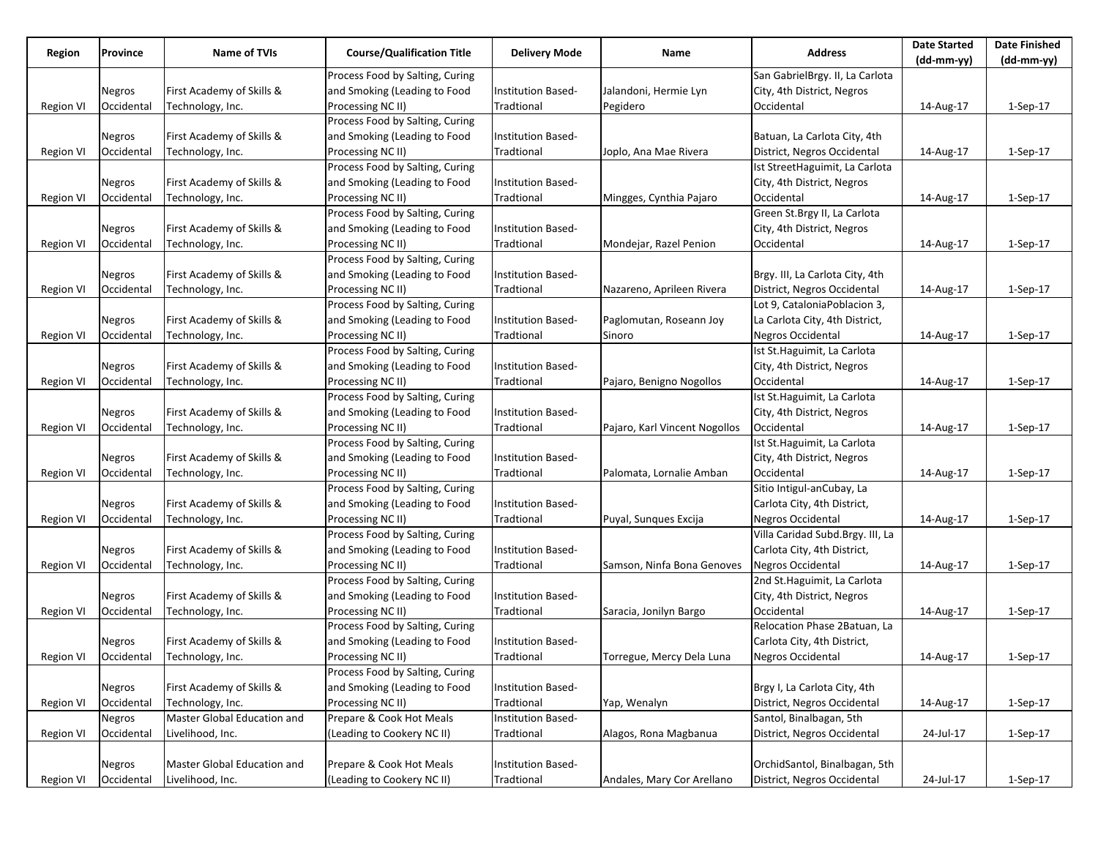| Region<br>Province |            | Name of TVIs                |                                   |                           |                               |                                  | <b>Date Started</b> | <b>Date Finished</b> |
|--------------------|------------|-----------------------------|-----------------------------------|---------------------------|-------------------------------|----------------------------------|---------------------|----------------------|
|                    |            |                             | <b>Course/Qualification Title</b> | <b>Delivery Mode</b>      | Name                          | <b>Address</b>                   | (dd-mm-yy)          | (dd-mm-yy)           |
|                    |            |                             | Process Food by Salting, Curing   |                           |                               | San GabrielBrgy. II, La Carlota  |                     |                      |
|                    | Negros     | First Academy of Skills &   | and Smoking (Leading to Food      | <b>Institution Based-</b> | Jalandoni, Hermie Lyn         | City, 4th District, Negros       |                     |                      |
| <b>Region VI</b>   | Occidental | Technology, Inc.            | Processing NC II)                 | Tradtional                | Pegidero                      | Occidental                       | 14-Aug-17           | 1-Sep-17             |
|                    |            |                             | Process Food by Salting, Curing   |                           |                               |                                  |                     |                      |
|                    | Negros     | First Academy of Skills &   | and Smoking (Leading to Food      | Institution Based-        |                               | Batuan, La Carlota City, 4th     |                     |                      |
| <b>Region VI</b>   | Occidental | Technology, Inc.            | Processing NC II)                 | Tradtional                | Joplo, Ana Mae Rivera         | District, Negros Occidental      | 14-Aug-17           | $1-Sep-17$           |
|                    |            |                             | Process Food by Salting, Curing   |                           |                               | Ist StreetHaguimit, La Carlota   |                     |                      |
|                    | Negros     | First Academy of Skills &   | and Smoking (Leading to Food      | Institution Based-        |                               | City, 4th District, Negros       |                     |                      |
| <b>Region VI</b>   | Occidental | Technology, Inc.            | Processing NC II)                 | Tradtional                | Mingges, Cynthia Pajaro       | Occidental                       | 14-Aug-17           | $1-Sep-17$           |
|                    |            |                             | Process Food by Salting, Curing   |                           |                               | Green St.Brgy II, La Carlota     |                     |                      |
|                    | Negros     | First Academy of Skills &   | and Smoking (Leading to Food      | Institution Based-        |                               | City, 4th District, Negros       |                     |                      |
| <b>Region VI</b>   | Occidental | Technology, Inc.            | Processing NC II)                 | Tradtional                | Mondejar, Razel Penion        | Occidental                       | 14-Aug-17           | 1-Sep-17             |
|                    |            |                             | Process Food by Salting, Curing   |                           |                               |                                  |                     |                      |
|                    | Negros     | First Academy of Skills &   | and Smoking (Leading to Food      | Institution Based-        |                               | Brgy. III, La Carlota City, 4th  |                     |                      |
| <b>Region VI</b>   | Occidental | Technology, Inc.            | Processing NC II)                 | Tradtional                | Nazareno, Aprileen Rivera     | District, Negros Occidental      | 14-Aug-17           | $1-Sep-17$           |
|                    |            |                             | Process Food by Salting, Curing   |                           |                               | Lot 9, CataloniaPoblacion 3,     |                     |                      |
|                    | Negros     | First Academy of Skills &   | and Smoking (Leading to Food      | Institution Based-        | Paglomutan, Roseann Joy       | La Carlota City, 4th District,   |                     |                      |
| <b>Region VI</b>   | Occidental | Technology, Inc.            | Processing NC II)                 | Tradtional                | Sinoro                        | Negros Occidental                | 14-Aug-17           | $1-Sep-17$           |
|                    |            |                             | Process Food by Salting, Curing   |                           |                               | Ist St. Haguimit, La Carlota     |                     |                      |
|                    | Negros     | First Academy of Skills &   | and Smoking (Leading to Food      | Institution Based-        |                               | City, 4th District, Negros       |                     |                      |
| Region VI          | Occidental | Technology, Inc.            | Processing NC II)                 | Tradtional                | Pajaro, Benigno Nogollos      | Occidental                       | 14-Aug-17           | $1-Sep-17$           |
|                    |            |                             | Process Food by Salting, Curing   |                           |                               | Ist St.Haguimit, La Carlota      |                     |                      |
|                    | Negros     | First Academy of Skills &   | and Smoking (Leading to Food      | Institution Based-        |                               | City, 4th District, Negros       |                     |                      |
| <b>Region VI</b>   | Occidental | Technology, Inc.            | Processing NC II)                 | Tradtional                | Pajaro, Karl Vincent Nogollos | Occidental                       | 14-Aug-17           | $1-Sep-17$           |
|                    |            |                             | Process Food by Salting, Curing   |                           |                               | Ist St. Haguimit, La Carlota     |                     |                      |
|                    | Negros     | First Academy of Skills &   | and Smoking (Leading to Food      | <b>Institution Based-</b> |                               | City, 4th District, Negros       |                     |                      |
| Region VI          | Occidental | Technology, Inc.            | Processing NC II)                 | Tradtional                | Palomata, Lornalie Amban      | Occidental                       | 14-Aug-17           | 1-Sep-17             |
|                    |            |                             | Process Food by Salting, Curing   |                           |                               | Sitio Intigul-anCubay, La        |                     |                      |
|                    | Negros     | First Academy of Skills &   | and Smoking (Leading to Food      | Institution Based-        |                               | Carlota City, 4th District,      |                     |                      |
| Region VI          | Occidental | Technology, Inc.            | Processing NC II)                 | Tradtional                | Puyal, Sunques Excija         | Negros Occidental                | 14-Aug-17           | $1-Sep-17$           |
|                    |            |                             | Process Food by Salting, Curing   |                           |                               | Villa Caridad Subd.Brgy. III, La |                     |                      |
|                    | Negros     | First Academy of Skills &   | and Smoking (Leading to Food      | <b>Institution Based-</b> |                               | Carlota City, 4th District,      |                     |                      |
| Region VI          | Occidental | Technology, Inc.            | Processing NC II)                 | Tradtional                | Samson, Ninfa Bona Genoves    | Negros Occidental                | 14-Aug-17           | 1-Sep-17             |
|                    |            |                             | Process Food by Salting, Curing   |                           |                               | 2nd St. Haguimit, La Carlota     |                     |                      |
|                    | Negros     | First Academy of Skills &   | and Smoking (Leading to Food      | Institution Based-        |                               | City, 4th District, Negros       |                     |                      |
| Region VI          | Occidental | Technology, Inc.            | Processing NC II)                 | Tradtional                | Saracia, Jonilyn Bargo        | Occidental                       | 14-Aug-17           | $1-Sep-17$           |
|                    |            |                             | Process Food by Salting, Curing   |                           |                               | Relocation Phase 2Batuan, La     |                     |                      |
|                    | Negros     | First Academy of Skills &   | and Smoking (Leading to Food      | Institution Based-        |                               | Carlota City, 4th District,      |                     |                      |
| Region VI          | Occidental | Technology, Inc.            | Processing NC II)                 | Tradtional                | Torregue, Mercy Dela Luna     | Negros Occidental                | 14-Aug-17           | 1-Sep-17             |
|                    |            |                             | Process Food by Salting, Curing   |                           |                               |                                  |                     |                      |
|                    | Negros     | First Academy of Skills &   | and Smoking (Leading to Food      | Institution Based-        |                               | Brgy I, La Carlota City, 4th     |                     |                      |
| Region VI          | Occidental | Technology, Inc.            | Processing NC II)                 | Tradtional                | Yap, Wenalyn                  | District, Negros Occidental      | 14-Aug-17           | 1-Sep-17             |
|                    | Negros     | Master Global Education and | Prepare & Cook Hot Meals          | Institution Based-        |                               | Santol, Binalbagan, 5th          |                     |                      |
| <b>Region VI</b>   | Occidental | Livelihood, Inc.            | (Leading to Cookery NC II)        | Tradtional                | Alagos, Rona Magbanua         | District, Negros Occidental      | 24-Jul-17           | 1-Sep-17             |
|                    |            |                             |                                   |                           |                               |                                  |                     |                      |
|                    | Negros     | Master Global Education and | Prepare & Cook Hot Meals          | Institution Based-        |                               | OrchidSantol, Binalbagan, 5th    |                     |                      |
| <b>Region VI</b>   | Occidental | Livelihood, Inc.            | (Leading to Cookery NC II)        | Tradtional                | Andales, Mary Cor Arellano    | District, Negros Occidental      | 24-Jul-17           | 1-Sep-17             |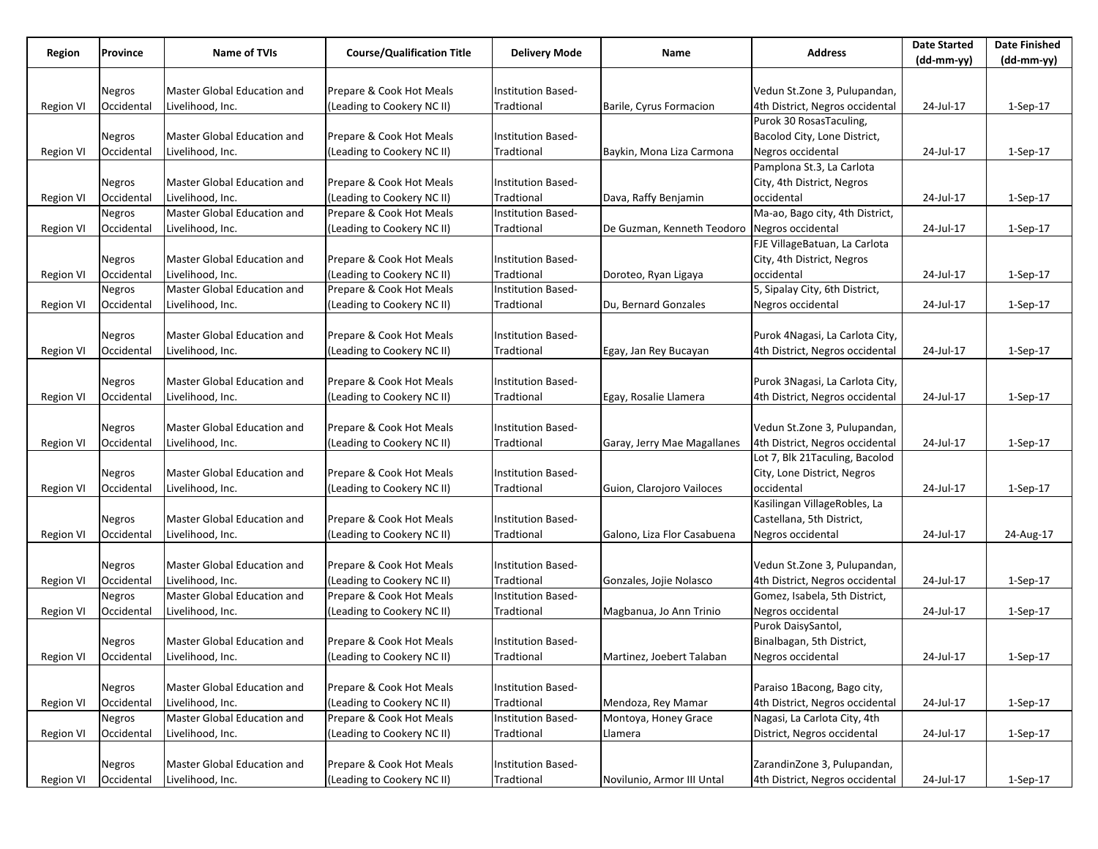| Region<br>Province |               | <b>Name of TVIs</b>                |                                   |                           |                                              |                                 | <b>Date Started</b> | <b>Date Finished</b> |
|--------------------|---------------|------------------------------------|-----------------------------------|---------------------------|----------------------------------------------|---------------------------------|---------------------|----------------------|
|                    |               |                                    | <b>Course/Qualification Title</b> | <b>Delivery Mode</b>      | Name                                         | <b>Address</b>                  | $(dd-mm-yy)$        | $(dd-mm-yy)$         |
|                    |               |                                    |                                   |                           |                                              |                                 |                     |                      |
|                    | Negros        | Master Global Education and        | Prepare & Cook Hot Meals          | Institution Based-        |                                              | Vedun St.Zone 3, Pulupandan,    |                     |                      |
| <b>Region VI</b>   | Occidental    | Livelihood, Inc.                   | (Leading to Cookery NC II)        | Tradtional                | Barile, Cyrus Formacion                      | 4th District, Negros occidental | 24-Jul-17           | $1-Sep-17$           |
|                    |               |                                    |                                   |                           |                                              | Purok 30 RosasTaculing,         |                     |                      |
|                    | Negros        | Master Global Education and        | Prepare & Cook Hot Meals          | Institution Based-        |                                              | Bacolod City, Lone District,    |                     |                      |
| <b>Region VI</b>   | Occidental    | Livelihood, Inc.                   | (Leading to Cookery NC II)        | Tradtional                | Baykin, Mona Liza Carmona                    | Negros occidental               | 24-Jul-17           | 1-Sep-17             |
|                    |               |                                    |                                   |                           |                                              | Pamplona St.3, La Carlota       |                     |                      |
|                    | Negros        | Master Global Education and        | Prepare & Cook Hot Meals          | Institution Based-        |                                              | City, 4th District, Negros      |                     |                      |
| Region VI          | Occidental    | Livelihood, Inc.                   | (Leading to Cookery NC II)        | Tradtional                | Dava, Raffy Benjamin                         | occidental                      | 24-Jul-17           | 1-Sep-17             |
|                    | Negros        | Master Global Education and        | Prepare & Cook Hot Meals          | Institution Based-        |                                              | Ma-ao, Bago city, 4th District, |                     |                      |
| Region VI          | Occidental    | Livelihood, Inc.                   | (Leading to Cookery NC II)        | Tradtional                | De Guzman, Kenneth Teodoro Negros occidental |                                 | 24-Jul-17           | 1-Sep-17             |
|                    |               |                                    |                                   |                           |                                              | FJE VillageBatuan, La Carlota   |                     |                      |
|                    | Negros        | Master Global Education and        | Prepare & Cook Hot Meals          | Institution Based-        |                                              | City, 4th District, Negros      |                     |                      |
| Region VI          | Occidental    | Livelihood, Inc.                   | (Leading to Cookery NC II)        | Tradtional                | Doroteo, Ryan Ligaya                         | occidental                      | 24-Jul-17           | 1-Sep-17             |
|                    | Negros        | <b>Master Global Education and</b> | Prepare & Cook Hot Meals          | Institution Based-        |                                              | 5, Sipalay City, 6th District,  |                     |                      |
| <b>Region VI</b>   | Occidental    | Livelihood, Inc.                   | (Leading to Cookery NC II)        | Tradtional                | Du, Bernard Gonzales                         | Negros occidental               | 24-Jul-17           | $1-Sep-17$           |
|                    |               |                                    |                                   |                           |                                              |                                 |                     |                      |
|                    | Negros        | Master Global Education and        | Prepare & Cook Hot Meals          | Institution Based-        |                                              | Purok 4Nagasi, La Carlota City, |                     |                      |
| Region VI          | Occidental    | Livelihood, Inc.                   | (Leading to Cookery NC II)        | Tradtional                | Egay, Jan Rey Bucayan                        | 4th District, Negros occidental | 24-Jul-17           | 1-Sep-17             |
|                    |               |                                    |                                   |                           |                                              |                                 |                     |                      |
|                    | Negros        | Master Global Education and        | Prepare & Cook Hot Meals          | Institution Based-        |                                              | Purok 3Nagasi, La Carlota City, |                     |                      |
| <b>Region VI</b>   | Occidental    | Livelihood, Inc.                   | (Leading to Cookery NC II)        | Tradtional                | Egay, Rosalie Llamera                        | 4th District, Negros occidental | 24-Jul-17           | $1-Sep-17$           |
|                    |               |                                    |                                   |                           |                                              |                                 |                     |                      |
|                    | Negros        | Master Global Education and        | Prepare & Cook Hot Meals          | <b>Institution Based-</b> |                                              | Vedun St.Zone 3, Pulupandan,    |                     |                      |
| <b>Region VI</b>   | Occidental    | Livelihood, Inc.                   | (Leading to Cookery NC II)        | Tradtional                | Garay, Jerry Mae Magallanes                  | 4th District, Negros occidental | 24-Jul-17           | 1-Sep-17             |
|                    |               |                                    |                                   |                           |                                              | Lot 7, Blk 21Taculing, Bacolod  |                     |                      |
|                    | Negros        | Master Global Education and        | Prepare & Cook Hot Meals          | Institution Based-        |                                              | City, Lone District, Negros     |                     |                      |
| Region VI          | Occidental    | Livelihood, Inc.                   | (Leading to Cookery NC II)        | Tradtional                | Guion, Clarojoro Vailoces                    | occidental                      | 24-Jul-17           | 1-Sep-17             |
|                    |               |                                    |                                   |                           |                                              | Kasilingan VillageRobles, La    |                     |                      |
|                    | Negros        | Master Global Education and        | Prepare & Cook Hot Meals          | Institution Based-        |                                              | Castellana, 5th District,       |                     |                      |
| <b>Region VI</b>   | Occidental    | Livelihood, Inc.                   | (Leading to Cookery NC II)        | Tradtional                | Galono, Liza Flor Casabuena                  | Negros occidental               | 24-Jul-17           | 24-Aug-17            |
|                    |               |                                    |                                   |                           |                                              |                                 |                     |                      |
|                    | Negros        | Master Global Education and        | Prepare & Cook Hot Meals          | Institution Based-        |                                              | Vedun St.Zone 3, Pulupandan,    |                     |                      |
| Region VI          | Occidental    | Livelihood, Inc.                   | (Leading to Cookery NC II)        | Tradtional                | Gonzales, Jojie Nolasco                      | 4th District, Negros occidental | 24-Jul-17           | 1-Sep-17             |
|                    | Negros        | Master Global Education and        | Prepare & Cook Hot Meals          | Institution Based-        |                                              | Gomez, Isabela, 5th District,   |                     |                      |
| <b>Region VI</b>   | Occidental    | Livelihood, Inc.                   | (Leading to Cookery NC II)        | Tradtional                | Magbanua, Jo Ann Trinio                      | Negros occidental               | 24-Jul-17           | $1-Sep-17$           |
|                    |               |                                    |                                   |                           |                                              | Purok DaisySantol,              |                     |                      |
|                    | Negros        | Master Global Education and        | Prepare & Cook Hot Meals          | Institution Based-        |                                              | Binalbagan, 5th District,       |                     |                      |
| Region VI          | Occidental    | Livelihood, Inc.                   | (Leading to Cookery NC II)        | Tradtional                | Martinez, Joebert Talaban                    | Negros occidental               | 24-Jul-17           | 1-Sep-17             |
|                    |               |                                    |                                   |                           |                                              |                                 |                     |                      |
|                    | Negros        | Master Global Education and        | Prepare & Cook Hot Meals          | Institution Based-        |                                              | Paraiso 1Bacong, Bago city,     |                     |                      |
| <b>Region VI</b>   | Occidental    | Livelihood, Inc.                   | (Leading to Cookery NC II)        | Tradtional                | Mendoza, Rey Mamar                           | 4th District, Negros occidental | 24-Jul-17           | $1-Sep-17$           |
|                    | Negros        | Master Global Education and        | Prepare & Cook Hot Meals          | Institution Based-        | Montoya, Honey Grace                         | Nagasi, La Carlota City, 4th    |                     |                      |
| <b>Region VI</b>   | Occidental    | Livelihood, Inc.                   | (Leading to Cookery NC II)        | Tradtional                | Llamera                                      | District, Negros occidental     | 24-Jul-17           | 1-Sep-17             |
|                    |               |                                    |                                   |                           |                                              |                                 |                     |                      |
|                    | <b>Negros</b> | Master Global Education and        | Prepare & Cook Hot Meals          | <b>Institution Based-</b> |                                              | ZarandinZone 3, Pulupandan,     |                     |                      |
| <b>Region VI</b>   | Occidental    | Livelihood, Inc.                   | (Leading to Cookery NC II)        | Tradtional                | Novilunio, Armor III Untal                   | 4th District, Negros occidental | 24-Jul-17           | 1-Sep-17             |
|                    |               |                                    |                                   |                           |                                              |                                 |                     |                      |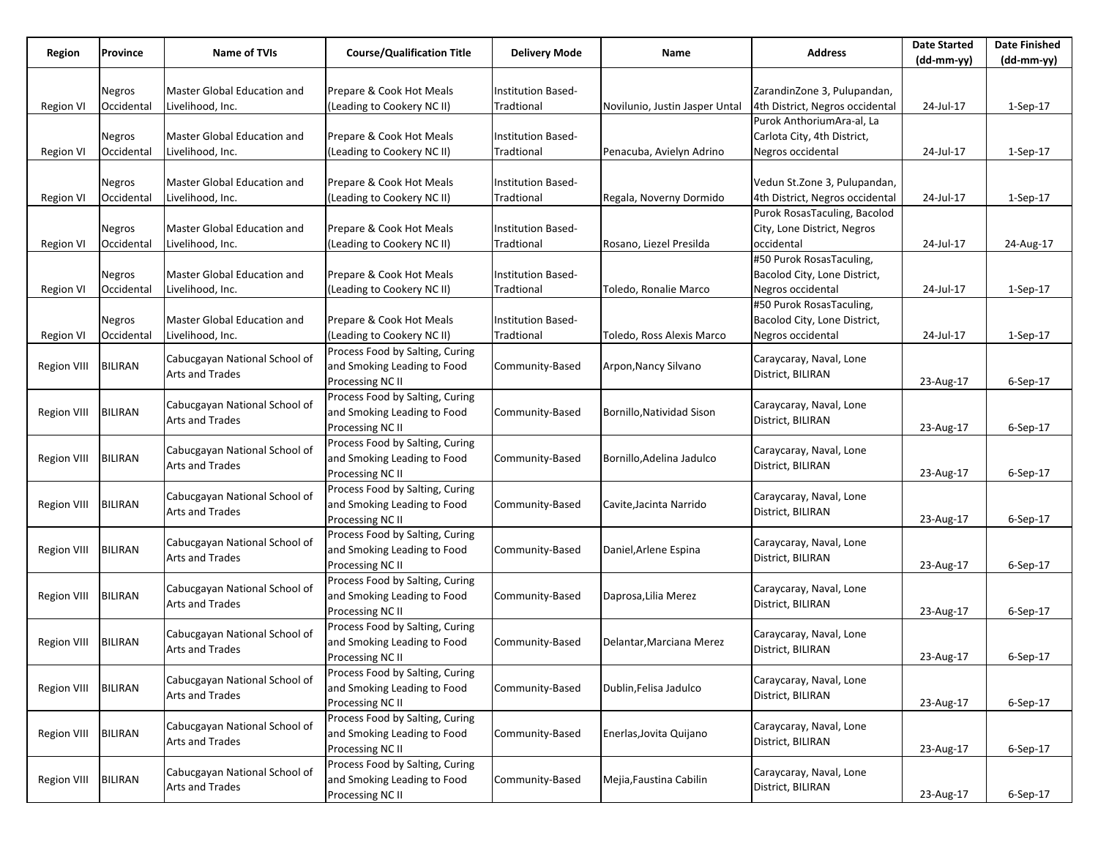| Region             | Province       | Name of TVIs<br><b>Course/Qualification Title</b><br><b>Address</b><br><b>Delivery Mode</b><br>Name |                                                     | <b>Date Started</b>       | <b>Date Finished</b>           |                                 |            |                |
|--------------------|----------------|-----------------------------------------------------------------------------------------------------|-----------------------------------------------------|---------------------------|--------------------------------|---------------------------------|------------|----------------|
|                    |                |                                                                                                     |                                                     |                           |                                |                                 | (dd-mm-yy) | $(dd-mm-yy)$   |
|                    |                |                                                                                                     |                                                     |                           |                                |                                 |            |                |
|                    | Negros         | Master Global Education and                                                                         | Prepare & Cook Hot Meals                            | Institution Based-        |                                | ZarandinZone 3, Pulupandan,     |            |                |
| Region VI          | Occidental     | Livelihood, Inc.                                                                                    | (Leading to Cookery NC II)                          | Tradtional                | Novilunio, Justin Jasper Untal | 4th District, Negros occidental | 24-Jul-17  | 1-Sep-17       |
|                    |                |                                                                                                     |                                                     |                           |                                | Purok AnthoriumAra-al, La       |            |                |
|                    | Negros         | Master Global Education and                                                                         | Prepare & Cook Hot Meals                            | Institution Based-        |                                | Carlota City, 4th District,     |            |                |
| Region VI          | Occidental     | Livelihood, Inc.                                                                                    | (Leading to Cookery NC II)                          | Tradtional                | Penacuba, Avielyn Adrino       | Negros occidental               | 24-Jul-17  | $1-Sep-17$     |
|                    | <b>Negros</b>  | Master Global Education and                                                                         | Prepare & Cook Hot Meals                            | <b>Institution Based-</b> |                                | Vedun St.Zone 3, Pulupandan,    |            |                |
|                    | Occidental     | Livelihood, Inc.                                                                                    | (Leading to Cookery NC II)                          | Tradtional                | Regala, Noverny Dormido        | 4th District, Negros occidental | 24-Jul-17  |                |
| <b>Region VI</b>   |                |                                                                                                     |                                                     |                           |                                | Purok RosasTaculing, Bacolod    |            | $1-Sep-17$     |
|                    | Negros         | Master Global Education and                                                                         | Prepare & Cook Hot Meals                            | Institution Based-        |                                | City, Lone District, Negros     |            |                |
| <b>Region VI</b>   | Occidental     | Livelihood, Inc.                                                                                    | (Leading to Cookery NC II)                          | Tradtional                | Rosano, Liezel Presilda        | occidental                      | 24-Jul-17  | 24-Aug-17      |
|                    |                |                                                                                                     |                                                     |                           |                                | #50 Purok RosasTaculing,        |            |                |
|                    | Negros         | Master Global Education and                                                                         | Prepare & Cook Hot Meals                            | Institution Based-        |                                | Bacolod City, Lone District,    |            |                |
| Region VI          | Occidental     | Livelihood, Inc.                                                                                    | (Leading to Cookery NC II)                          | Tradtional                | Toledo, Ronalie Marco          | Negros occidental               | 24-Jul-17  | $1-Sep-17$     |
|                    |                |                                                                                                     |                                                     |                           |                                | #50 Purok RosasTaculing,        |            |                |
|                    | Negros         | Master Global Education and                                                                         | Prepare & Cook Hot Meals                            | Institution Based-        |                                | Bacolod City, Lone District,    |            |                |
| Region VI          | Occidental     | Livelihood, Inc.                                                                                    | (Leading to Cookery NC II)                          | Tradtional                | Toledo, Ross Alexis Marco      | Negros occidental               | 24-Jul-17  | $1-Sep-17$     |
|                    |                |                                                                                                     | Process Food by Salting, Curing                     |                           |                                |                                 |            |                |
| <b>Region VIII</b> | <b>BILIRAN</b> | Cabucgayan National School of                                                                       | and Smoking Leading to Food                         | Community-Based           | Arpon, Nancy Silvano           | Caraycaray, Naval, Lone         |            |                |
|                    |                | Arts and Trades                                                                                     | Processing NC II                                    |                           |                                | District, BILIRAN               | 23-Aug-17  | $6-$ Sep $-17$ |
|                    |                |                                                                                                     | Process Food by Salting, Curing                     |                           |                                |                                 |            |                |
| <b>Region VIII</b> | <b>BILIRAN</b> | Cabucgayan National School of                                                                       | and Smoking Leading to Food                         | Community-Based           | Bornillo, Natividad Sison      | Caraycaray, Naval, Lone         |            |                |
|                    |                | Arts and Trades                                                                                     | Processing NC II                                    |                           |                                | District, BILIRAN               | 23-Aug-17  | 6-Sep-17       |
|                    |                | Cabucgayan National School of                                                                       | Process Food by Salting, Curing                     |                           |                                | Caraycaray, Naval, Lone         |            |                |
| <b>Region VIII</b> | <b>BILIRAN</b> | Arts and Trades                                                                                     | and Smoking Leading to Food                         | Community-Based           | Bornillo, Adelina Jadulco      | District, BILIRAN               |            |                |
|                    |                |                                                                                                     | Processing NC II                                    |                           |                                |                                 | 23-Aug-17  | $6-Sep-17$     |
|                    |                | Cabucgayan National School of                                                                       | Process Food by Salting, Curing                     |                           |                                | Caraycaray, Naval, Lone         |            |                |
| <b>Region VIII</b> | <b>BILIRAN</b> | Arts and Trades                                                                                     | and Smoking Leading to Food                         | Community-Based           | Cavite, Jacinta Narrido        | District, BILIRAN               |            |                |
|                    |                |                                                                                                     | Processing NC II                                    |                           |                                |                                 | 23-Aug-17  | $6-Sep-17$     |
|                    |                | Cabucgayan National School of                                                                       | Process Food by Salting, Curing                     |                           |                                | Caraycaray, Naval, Lone         |            |                |
| <b>Region VIII</b> | <b>BILIRAN</b> | <b>Arts and Trades</b>                                                                              | and Smoking Leading to Food                         | Community-Based           | Daniel, Arlene Espina          | District, BILIRAN               |            |                |
|                    |                |                                                                                                     | Processing NC II                                    |                           |                                |                                 | 23-Aug-17  | $6-Sep-17$     |
|                    |                | Cabucgayan National School of                                                                       | Process Food by Salting, Curing                     |                           |                                | Caraycaray, Naval, Lone         |            |                |
| <b>Region VIII</b> | <b>BILIRAN</b> | Arts and Trades                                                                                     | and Smoking Leading to Food                         | Community-Based           | Daprosa, Lilia Merez           | District, BILIRAN               |            |                |
|                    |                |                                                                                                     | Processing NC II                                    |                           |                                |                                 | 23-Aug-17  | 6-Sep-17       |
|                    |                | Cabucgayan National School of                                                                       | Process Food by Salting, Curing                     |                           |                                | Caraycaray, Naval, Lone         |            |                |
| Region VIII        | <b>BILIRAN</b> | <b>Arts and Trades</b>                                                                              | and Smoking Leading to Food                         | Community-Based           | Delantar, Marciana Merez       | District, BILIRAN               |            |                |
|                    |                |                                                                                                     | Processing NC II<br>Process Food by Salting, Curing |                           |                                |                                 | 23-Aug-17  | 6-Sep-17       |
| <b>Region VIII</b> | <b>BILIRAN</b> | Cabucgayan National School of                                                                       | and Smoking Leading to Food                         | Community-Based           | Dublin, Felisa Jadulco         | Caraycaray, Naval, Lone         |            |                |
|                    |                | Arts and Trades                                                                                     | Processing NC II                                    |                           |                                | District, BILIRAN               | 23-Aug-17  | 6-Sep-17       |
|                    |                |                                                                                                     | Process Food by Salting, Curing                     |                           |                                |                                 |            |                |
| <b>Region VIII</b> | <b>BILIRAN</b> | Cabucgayan National School of                                                                       | and Smoking Leading to Food                         | Community-Based           | Enerlas, Jovita Quijano        | Caraycaray, Naval, Lone         |            |                |
|                    |                | Arts and Trades                                                                                     | Processing NC II                                    |                           |                                | District, BILIRAN               | 23-Aug-17  | 6-Sep-17       |
|                    |                |                                                                                                     | Process Food by Salting, Curing                     |                           |                                |                                 |            |                |
| <b>Region VIII</b> | <b>BILIRAN</b> | Cabucgayan National School of                                                                       | and Smoking Leading to Food                         | Community-Based           | Mejia, Faustina Cabilin        | Caraycaray, Naval, Lone         |            |                |
|                    |                | <b>Arts and Trades</b>                                                                              | Processing NC II                                    |                           |                                | District, BILIRAN               | 23-Aug-17  | 6-Sep-17       |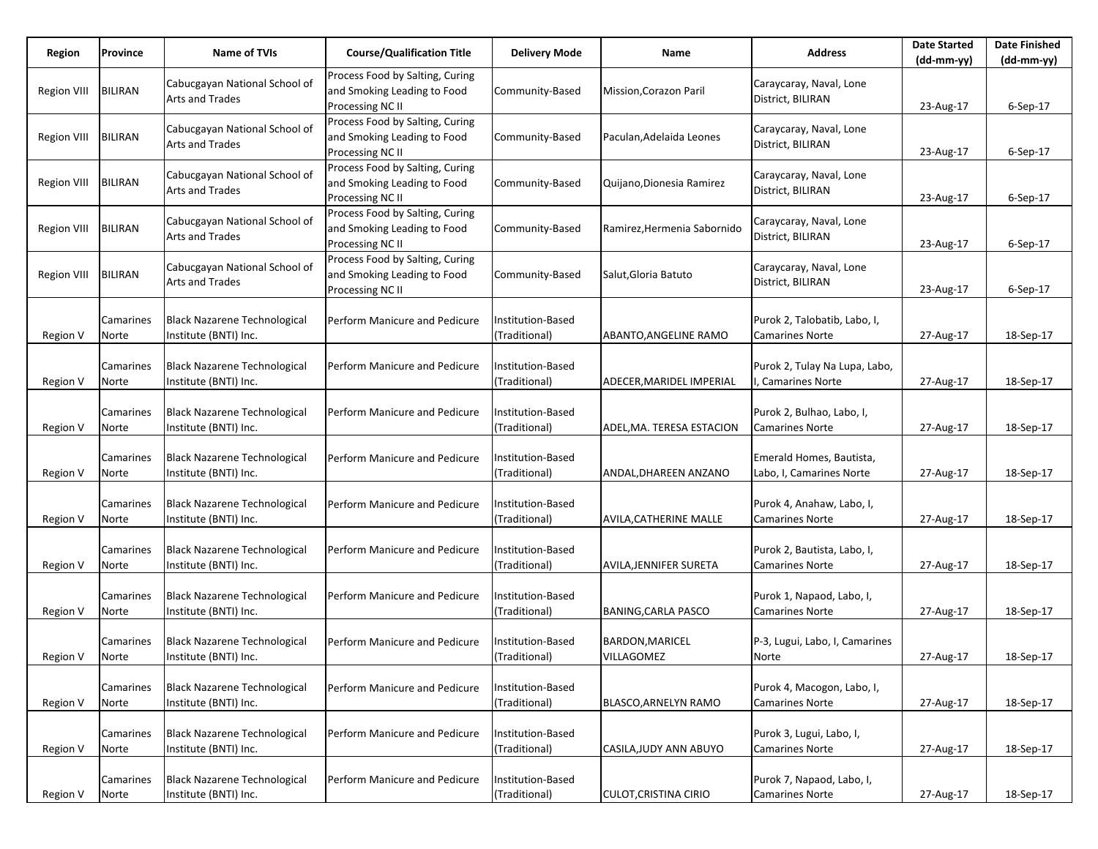| Region             | Province           | Name of TVIs                                                 | <b>Course/Qualification Title</b>                                                  | <b>Delivery Mode</b>               | Name                                 | <b>Address</b>                                        | <b>Date Started</b><br>$(dd-mm-yy)$ | <b>Date Finished</b><br>$(dd-mm-yy)$ |
|--------------------|--------------------|--------------------------------------------------------------|------------------------------------------------------------------------------------|------------------------------------|--------------------------------------|-------------------------------------------------------|-------------------------------------|--------------------------------------|
| Region VIII        | <b>BILIRAN</b>     | Cabucgayan National School of<br>Arts and Trades             | Process Food by Salting, Curing<br>and Smoking Leading to Food<br>Processing NC II | Community-Based                    | Mission, Corazon Paril               | Caraycaray, Naval, Lone<br>District, BILIRAN          | 23-Aug-17                           | 6-Sep-17                             |
| Region VIII        | <b>BILIRAN</b>     | Cabucgayan National School of<br>Arts and Trades             | Process Food by Salting, Curing<br>and Smoking Leading to Food<br>Processing NC II | Community-Based                    | Paculan, Adelaida Leones             | Caraycaray, Naval, Lone<br>District, BILIRAN          | 23-Aug-17                           | $6-Sep-17$                           |
| <b>Region VIII</b> | <b>BILIRAN</b>     | Cabucgayan National School of<br>Arts and Trades             | Process Food by Salting, Curing<br>and Smoking Leading to Food<br>Processing NC II | Community-Based                    | Quijano, Dionesia Ramirez            | Caraycaray, Naval, Lone<br>District, BILIRAN          | 23-Aug-17                           | $6-Sep-17$                           |
| Region VIII        | <b>BILIRAN</b>     | Cabucgayan National School of<br><b>Arts and Trades</b>      | Process Food by Salting, Curing<br>and Smoking Leading to Food<br>Processing NC II | Community-Based                    | Ramirez, Hermenia Sabornido          | Caraycaray, Naval, Lone<br>District, BILIRAN          | 23-Aug-17                           | $6-$ Sep $-17$                       |
| <b>Region VIII</b> | <b>BILIRAN</b>     | Cabucgayan National School of<br>Arts and Trades             | Process Food by Salting, Curing<br>and Smoking Leading to Food<br>Processing NC II | Community-Based                    | Salut, Gloria Batuto                 | Caraycaray, Naval, Lone<br>District, BILIRAN          | 23-Aug-17                           | 6-Sep-17                             |
| Region V           | Camarines<br>Norte | <b>Black Nazarene Technological</b><br>Institute (BNTI) Inc. | Perform Manicure and Pedicure                                                      | nstitution-Based<br>(Traditional)  | ABANTO, ANGELINE RAMO                | Purok 2, Talobatib, Labo, I,<br>Camarines Norte       | 27-Aug-17                           | 18-Sep-17                            |
| Region V           | Camarines<br>Norte | <b>Black Nazarene Technological</b><br>Institute (BNTI) Inc. | Perform Manicure and Pedicure                                                      | Institution-Based<br>(Traditional) | ADECER, MARIDEL IMPERIAL             | Purok 2, Tulay Na Lupa, Labo,<br>Camarines Norte      | 27-Aug-17                           | 18-Sep-17                            |
| Region V           | Camarines<br>Norte | <b>Black Nazarene Technological</b><br>Institute (BNTI) Inc. | Perform Manicure and Pedicure                                                      | nstitution-Based<br>(Traditional)  | ADEL, MA. TERESA ESTACION            | Purok 2, Bulhao, Labo, I,<br><b>Camarines Norte</b>   | 27-Aug-17                           | 18-Sep-17                            |
| Region V           | Camarines<br>Norte | <b>Black Nazarene Technological</b><br>Institute (BNTI) Inc. | Perform Manicure and Pedicure                                                      | Institution-Based<br>(Traditional) | ANDAL, DHAREEN ANZANO                | Emerald Homes, Bautista,<br>Labo, I, Camarines Norte  | 27-Aug-17                           | 18-Sep-17                            |
| Region V           | Camarines<br>Norte | <b>Black Nazarene Technological</b><br>Institute (BNTI) Inc. | Perform Manicure and Pedicure                                                      | nstitution-Based<br>(Traditional)  | AVILA, CATHERINE MALLE               | Purok 4, Anahaw, Labo, I,<br><b>Camarines Norte</b>   | 27-Aug-17                           | 18-Sep-17                            |
| Region V           | Camarines<br>Norte | <b>Black Nazarene Technological</b><br>Institute (BNTI) Inc. | Perform Manicure and Pedicure                                                      | Institution-Based<br>(Traditional) | <b>AVILA, JENNIFER SURETA</b>        | Purok 2, Bautista, Labo, I,<br><b>Camarines Norte</b> | 27-Aug-17                           | 18-Sep-17                            |
| Region V           | Camarines<br>Norte | <b>Black Nazarene Technological</b><br>Institute (BNTI) Inc. | Perform Manicure and Pedicure                                                      | Institution-Based<br>(Traditional) | BANING, CARLA PASCO                  | Purok 1, Napaod, Labo, I,<br>Camarines Norte          | 27-Aug-17                           | 18-Sep-17                            |
| Region V           | Camarines<br>Norte | <b>Black Nazarene Technological</b><br>Institute (BNTI) Inc. | Perform Manicure and Pedicure                                                      | Institution-Based<br>(Traditional) | <b>BARDON, MARICEL</b><br>VILLAGOMEZ | P-3, Lugui, Labo, I, Camarines<br>Norte               | 27-Aug-17                           | 18-Sep-17                            |
| Region V           | Camarines<br>Norte | <b>Black Nazarene Technological</b><br>Institute (BNTI) Inc. | Perform Manicure and Pedicure                                                      | Institution-Based<br>(Traditional) | <b>BLASCO, ARNELYN RAMO</b>          | Purok 4, Macogon, Labo, I,<br><b>Camarines Norte</b>  | 27-Aug-17                           | 18-Sep-17                            |
| Region V           | Camarines<br>Norte | <b>Black Nazarene Technological</b><br>Institute (BNTI) Inc. | Perform Manicure and Pedicure                                                      | Institution-Based<br>(Traditional) | CASILA, JUDY ANN ABUYO               | Purok 3, Lugui, Labo, I,<br><b>Camarines Norte</b>    | 27-Aug-17                           | 18-Sep-17                            |
| Region V           | Camarines<br>Norte | <b>Black Nazarene Technological</b><br>Institute (BNTI) Inc. | Perform Manicure and Pedicure                                                      | nstitution-Based<br>(Traditional)  | <b>CULOT, CRISTINA CIRIO</b>         | Purok 7, Napaod, Labo, I,<br><b>Camarines Norte</b>   | 27-Aug-17                           | 18-Sep-17                            |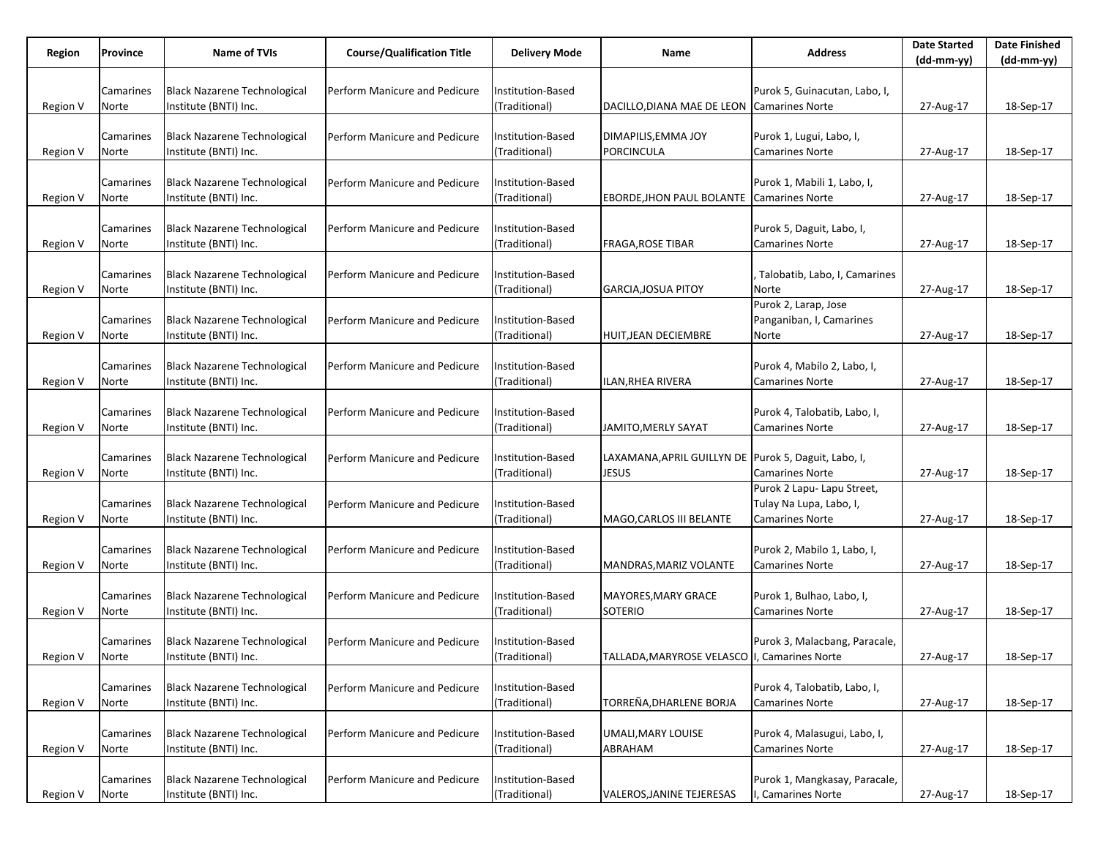|          | Province  | Name of TVIs                        | <b>Course/Qualification Title</b> |                      | Name                                                 | <b>Address</b>                | <b>Date Started</b> | <b>Date Finished</b> |
|----------|-----------|-------------------------------------|-----------------------------------|----------------------|------------------------------------------------------|-------------------------------|---------------------|----------------------|
| Region   |           |                                     |                                   | <b>Delivery Mode</b> |                                                      |                               | (dd-mm-yy)          | $(dd-mm-yy)$         |
|          |           |                                     |                                   |                      |                                                      |                               |                     |                      |
|          | Camarines | <b>Black Nazarene Technological</b> | Perform Manicure and Pedicure     | nstitution-Based     |                                                      | Purok 5, Guinacutan, Labo, I, |                     |                      |
| Region V | Norte     | Institute (BNTI) Inc.               |                                   | (Traditional)        | DACILLO, DIANA MAE DE LEON Camarines Norte           |                               | 27-Aug-17           | 18-Sep-17            |
|          |           |                                     |                                   |                      |                                                      |                               |                     |                      |
|          | Camarines | <b>Black Nazarene Technological</b> | Perform Manicure and Pedicure     | Institution-Based    | DIMAPILIS, EMMA JOY                                  | Purok 1, Lugui, Labo, I,      |                     |                      |
| Region V | Norte     | Institute (BNTI) Inc.               |                                   | (Traditional)        | <b>PORCINCULA</b>                                    | Camarines Norte               | 27-Aug-17           | 18-Sep-17            |
|          |           |                                     |                                   |                      |                                                      |                               |                     |                      |
|          | Camarines | <b>Black Nazarene Technological</b> | Perform Manicure and Pedicure     | Institution-Based    |                                                      | Purok 1, Mabili 1, Labo, I,   |                     |                      |
| Region V | Norte     | Institute (BNTI) Inc.               |                                   | (Traditional)        | <b>EBORDE, JHON PAUL BOLANTE Camarines Norte</b>     |                               | 27-Aug-17           | 18-Sep-17            |
|          |           |                                     |                                   |                      |                                                      |                               |                     |                      |
|          | Camarines | <b>Black Nazarene Technological</b> | Perform Manicure and Pedicure     | Institution-Based    |                                                      | Purok 5, Daguit, Labo, I,     |                     |                      |
| Region V | Norte     | Institute (BNTI) Inc.               |                                   | (Traditional)        | <b>FRAGA, ROSE TIBAR</b>                             | <b>Camarines Norte</b>        | 27-Aug-17           | 18-Sep-17            |
|          |           |                                     |                                   |                      |                                                      |                               |                     |                      |
|          | Camarines | <b>Black Nazarene Technological</b> | Perform Manicure and Pedicure     | Institution-Based    |                                                      | Talobatib, Labo, I, Camarines |                     |                      |
| Region V | Norte     | Institute (BNTI) Inc.               |                                   | (Traditional)        | <b>GARCIA, JOSUA PITOY</b>                           | <b>Norte</b>                  | 27-Aug-17           | 18-Sep-17            |
|          |           |                                     |                                   |                      |                                                      | Purok 2, Larap, Jose          |                     |                      |
|          | Camarines | <b>Black Nazarene Technological</b> | Perform Manicure and Pedicure     | nstitution-Based     |                                                      | Panganiban, I, Camarines      |                     |                      |
| Region V | Norte     | Institute (BNTI) Inc.               |                                   | (Traditional)        | HUIT,JEAN DECIEMBRE                                  | Norte                         | 27-Aug-17           | 18-Sep-17            |
|          |           |                                     |                                   |                      |                                                      |                               |                     |                      |
|          | Camarines | <b>Black Nazarene Technological</b> | Perform Manicure and Pedicure     | Institution-Based    |                                                      | Purok 4, Mabilo 2, Labo, I,   |                     |                      |
| Region V | Norte     | Institute (BNTI) Inc.               |                                   | (Traditional)        | ILAN,RHEA RIVERA                                     | <b>Camarines Norte</b>        | 27-Aug-17           | 18-Sep-17            |
|          |           |                                     |                                   |                      |                                                      |                               |                     |                      |
|          | Camarines | <b>Black Nazarene Technological</b> | Perform Manicure and Pedicure     | Institution-Based    |                                                      | Purok 4, Talobatib, Labo, I,  |                     |                      |
| Region V | Norte     | Institute (BNTI) Inc.               |                                   | (Traditional)        | <b>JAMITO, MERLY SAYAT</b>                           | <b>Camarines Norte</b>        | 27-Aug-17           | 18-Sep-17            |
|          |           |                                     |                                   |                      |                                                      |                               |                     |                      |
|          | Camarines | <b>Black Nazarene Technological</b> | Perform Manicure and Pedicure     | Institution-Based    | LAXAMANA, APRIL GUILLYN DE Purok 5, Daguit, Labo, I, |                               |                     |                      |
| Region V | Norte     | Institute (BNTI) Inc.               |                                   | (Traditional)        | <b>JESUS</b>                                         | <b>Camarines Norte</b>        | 27-Aug-17           | 18-Sep-17            |
|          |           |                                     |                                   |                      |                                                      | Purok 2 Lapu- Lapu Street,    |                     |                      |
|          | Camarines | <b>Black Nazarene Technological</b> | Perform Manicure and Pedicure     | Institution-Based    |                                                      | Tulay Na Lupa, Labo, I,       |                     |                      |
| Region V | Norte     | Institute (BNTI) Inc.               |                                   | (Traditional)        | MAGO, CARLOS III BELANTE                             | <b>Camarines Norte</b>        | 27-Aug-17           | 18-Sep-17            |
|          |           |                                     |                                   |                      |                                                      |                               |                     |                      |
|          | Camarines | <b>Black Nazarene Technological</b> | Perform Manicure and Pedicure     | Institution-Based    |                                                      | Purok 2, Mabilo 1, Labo, I,   |                     |                      |
| Region V | Norte     | Institute (BNTI) Inc.               |                                   | (Traditional)        | MANDRAS, MARIZ VOLANTE                               | <b>Camarines Norte</b>        | 27-Aug-17           | 18-Sep-17            |
|          |           |                                     |                                   |                      |                                                      |                               |                     |                      |
|          | Camarines | <b>Black Nazarene Technological</b> | Perform Manicure and Pedicure     | Institution-Based    | MAYORES, MARY GRACE                                  | Purok 1, Bulhao, Labo, I,     |                     |                      |
| Region V | Norte     | Institute (BNTI) Inc.               |                                   | (Traditional)        | <b>SOTERIO</b>                                       | <b>Camarines Norte</b>        | 27-Aug-17           | 18-Sep-17            |
|          |           |                                     |                                   |                      |                                                      |                               |                     |                      |
|          | Camarines | <b>Black Nazarene Technological</b> | Perform Manicure and Pedicure     | Institution-Based    |                                                      | Purok 3, Malacbang, Paracale, |                     |                      |
| Region V | Norte     | Institute (BNTI) Inc.               |                                   | (Traditional)        | TALLADA, MARYROSE VELASCO  I, Camarines Norte        |                               | 27-Aug-17           | 18-Sep-17            |
|          |           |                                     |                                   |                      |                                                      |                               |                     |                      |
|          | Camarines | <b>Black Nazarene Technological</b> | Perform Manicure and Pedicure     | Institution-Based    |                                                      | Purok 4, Talobatib, Labo, I,  |                     |                      |
| Region V | Norte     | Institute (BNTI) Inc.               |                                   | (Traditional)        | TORREÑA, DHARLENE BORJA                              | <b>Camarines Norte</b>        | 27-Aug-17           | 18-Sep-17            |
|          |           |                                     |                                   |                      |                                                      |                               |                     |                      |
|          | Camarines | <b>Black Nazarene Technological</b> | Perform Manicure and Pedicure     | Institution-Based    | UMALI, MARY LOUISE                                   | Purok 4, Malasugui, Labo, I,  |                     |                      |
| Region V | Norte     | Institute (BNTI) Inc.               |                                   | (Traditional)        | ABRAHAM                                              | <b>Camarines Norte</b>        | 27-Aug-17           | 18-Sep-17            |
|          |           |                                     |                                   |                      |                                                      |                               |                     |                      |
|          | Camarines | <b>Black Nazarene Technological</b> | Perform Manicure and Pedicure     | Institution-Based    |                                                      | Purok 1, Mangkasay, Paracale, |                     |                      |
| Region V | Norte     | Institute (BNTI) Inc.               |                                   | (Traditional)        | VALEROS, JANINE TEJERESAS                            | , Camarines Norte             | 27-Aug-17           | 18-Sep-17            |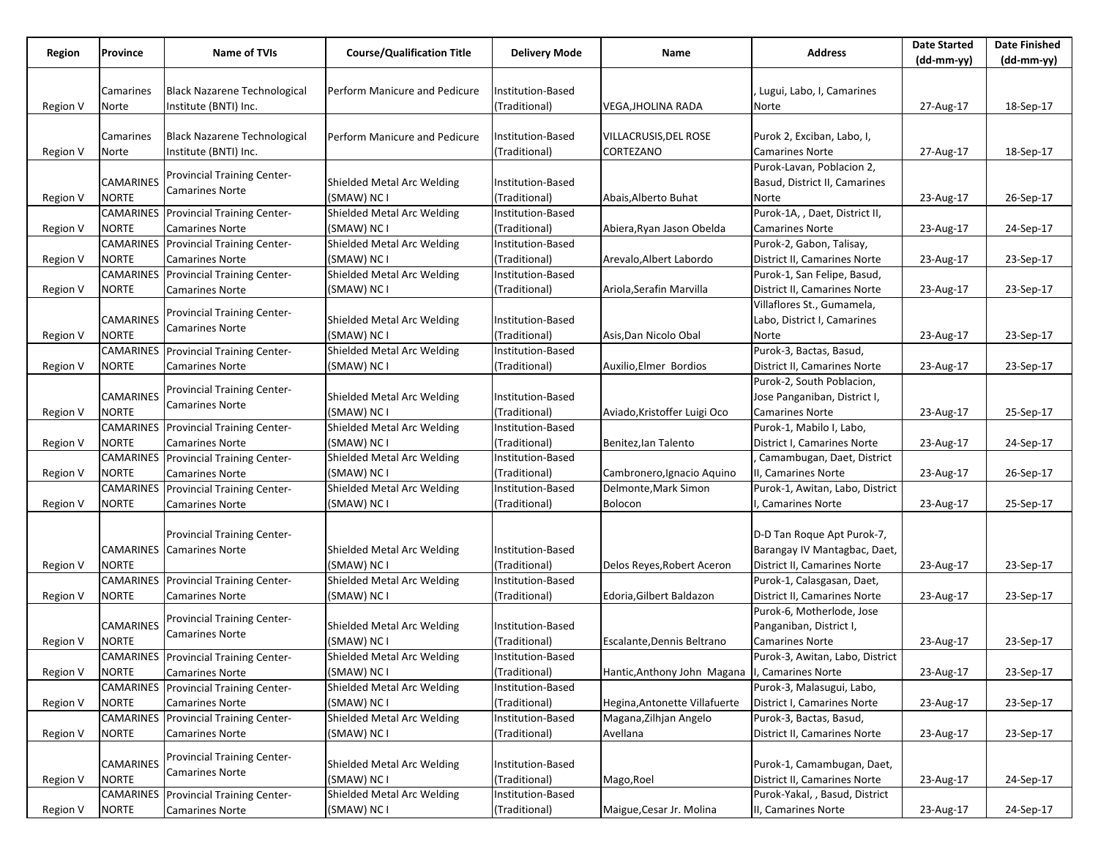|          |                  |                                              |                                   |                      |                                                |                                 | <b>Date Started</b> | <b>Date Finished</b> |
|----------|------------------|----------------------------------------------|-----------------------------------|----------------------|------------------------------------------------|---------------------------------|---------------------|----------------------|
| Region   | Province         | Name of TVIs                                 | <b>Course/Qualification Title</b> | <b>Delivery Mode</b> | Name                                           | <b>Address</b>                  | (dd-mm-yy)          | (dd-mm-yy)           |
|          |                  |                                              |                                   |                      |                                                |                                 |                     |                      |
|          | Camarines        | <b>Black Nazarene Technological</b>          | Perform Manicure and Pedicure     | Institution-Based    |                                                | Lugui, Labo, I, Camarines       |                     |                      |
| Region V | Norte            | Institute (BNTI) Inc.                        |                                   | (Traditional)        | VEGA, JHOLINA RADA                             | Norte                           | 27-Aug-17           | 18-Sep-17            |
|          |                  |                                              |                                   |                      |                                                |                                 |                     |                      |
|          | Camarines        | <b>Black Nazarene Technological</b>          | Perform Manicure and Pedicure     | Institution-Based    | VILLACRUSIS, DEL ROSE                          | Purok 2, Exciban, Labo, I,      |                     |                      |
| Region V | Norte            | Institute (BNTI) Inc.                        |                                   | (Traditional)        | CORTEZANO                                      | <b>Camarines Norte</b>          | 27-Aug-17           | 18-Sep-17            |
|          |                  |                                              |                                   |                      |                                                | Purok-Lavan, Poblacion 2,       |                     |                      |
|          | CAMARINES        | <b>Provincial Training Center-</b>           | Shielded Metal Arc Welding        | Institution-Based    |                                                | Basud, District II, Camarines   |                     |                      |
| Region V | NORTE            | <b>Camarines Norte</b>                       | (SMAW) NC I                       | (Traditional)        | Abais, Alberto Buhat                           | Norte                           | 23-Aug-17           | 26-Sep-17            |
|          |                  | <b>CAMARINES</b> Provincial Training Center- | Shielded Metal Arc Welding        | Institution-Based    |                                                | Purok-1A, , Daet, District II,  |                     |                      |
| Region V | <b>NORTE</b>     | <b>Camarines Norte</b>                       | (SMAW) NC I                       | (Traditional)        | Abiera, Ryan Jason Obelda                      | <b>Camarines Norte</b>          | 23-Aug-17           | 24-Sep-17            |
|          |                  | <b>CAMARINES</b> Provincial Training Center- | Shielded Metal Arc Welding        | Institution-Based    |                                                | Purok-2, Gabon, Talisay,        |                     |                      |
| Region V | NORTE            | <b>Camarines Norte</b>                       | (SMAW) NC I                       | (Traditional)        | Arevalo, Albert Labordo                        | District II, Camarines Norte    | 23-Aug-17           | 23-Sep-17            |
|          |                  | <b>CAMARINES</b> Provincial Training Center- | Shielded Metal Arc Welding        | Institution-Based    |                                                | Purok-1, San Felipe, Basud,     |                     |                      |
| Region V | <b>NORTE</b>     | <b>Camarines Norte</b>                       | (SMAW) NC I                       | (Traditional)        | Ariola, Serafin Marvilla                       | District II, Camarines Norte    | 23-Aug-17           | 23-Sep-17            |
|          |                  |                                              |                                   |                      |                                                | Villaflores St., Gumamela,      |                     |                      |
|          | CAMARINES        | <b>Provincial Training Center-</b>           | Shielded Metal Arc Welding        | Institution-Based    |                                                | Labo, District I, Camarines     |                     |                      |
| Region V | <b>NORTE</b>     | <b>Camarines Norte</b>                       | (SMAW) NC I                       | (Traditional)        | Asis, Dan Nicolo Obal                          | Norte                           | 23-Aug-17           | 23-Sep-17            |
|          |                  | <b>CAMARINES</b> Provincial Training Center- | Shielded Metal Arc Welding        | Institution-Based    |                                                | Purok-3, Bactas, Basud,         |                     |                      |
| Region V | <b>NORTE</b>     | <b>Camarines Norte</b>                       | (SMAW) NC I                       | (Traditional)        | Auxilio, Elmer Bordios                         | District II, Camarines Norte    | 23-Aug-17           | 23-Sep-17            |
|          |                  |                                              |                                   |                      |                                                | Purok-2, South Poblacion,       |                     |                      |
|          | CAMARINES        | <b>Provincial Training Center-</b>           | Shielded Metal Arc Welding        | Institution-Based    |                                                | Jose Panganiban, District I,    |                     |                      |
| Region V | <b>NORTE</b>     | <b>Camarines Norte</b>                       | (SMAW) NC I                       | (Traditional)        | Aviado, Kristoffer Luigi Oco                   | Camarines Norte                 | 23-Aug-17           | 25-Sep-17            |
|          |                  | <b>CAMARINES</b> Provincial Training Center- | Shielded Metal Arc Welding        | Institution-Based    |                                                | Purok-1, Mabilo I, Labo,        |                     |                      |
| Region V | <b>NORTE</b>     | <b>Camarines Norte</b>                       | (SMAW) NC I                       | (Traditional)        | Benitez, lan Talento                           | District I, Camarines Norte     | 23-Aug-17           | 24-Sep-17            |
|          |                  | <b>CAMARINES</b> Provincial Training Center- | Shielded Metal Arc Welding        | Institution-Based    |                                                | Camambugan, Daet, District      |                     |                      |
| Region V | <b>NORTE</b>     | <b>Camarines Norte</b>                       | (SMAW) NC I                       | (Traditional)        | Cambronero, Ignacio Aquino                     | II, Camarines Norte             | 23-Aug-17           | 26-Sep-17            |
|          | CAMARINES        | Provincial Training Center-                  | Shielded Metal Arc Welding        | Institution-Based    | Delmonte, Mark Simon                           | Purok-1, Awitan, Labo, District |                     |                      |
| Region V | NORTE            | <b>Camarines Norte</b>                       | (SMAW) NC I                       | (Traditional)        | <b>Bolocon</b>                                 | , Camarines Norte               | 23-Aug-17           | 25-Sep-17            |
|          |                  |                                              |                                   |                      |                                                |                                 |                     |                      |
|          |                  | Provincial Training Center-                  |                                   |                      |                                                | D-D Tan Roque Apt Purok-7,      |                     |                      |
|          |                  | <b>CAMARINES</b> Camarines Norte             | Shielded Metal Arc Welding        | Institution-Based    |                                                | Barangay IV Mantagbac, Daet,    |                     |                      |
| Region V | NORTE            |                                              | (SMAW) NC I                       | (Traditional)        | Delos Reyes, Robert Aceron                     | District II, Camarines Norte    | 23-Aug-17           | 23-Sep-17            |
|          |                  | <b>CAMARINES</b> Provincial Training Center- | Shielded Metal Arc Welding        | Institution-Based    |                                                | Purok-1, Calasgasan, Daet,      |                     |                      |
| Region V | NORTE            | <b>Camarines Norte</b>                       | (SMAW) NC I                       | (Traditional)        | Edoria, Gilbert Baldazon                       | District II, Camarines Norte    | 23-Aug-17           | 23-Sep-17            |
|          |                  |                                              |                                   |                      |                                                | Purok-6, Motherlode, Jose       |                     |                      |
|          | <b>CAMARINES</b> | <b>Provincial Training Center-</b>           | Shielded Metal Arc Welding        | Institution-Based    |                                                | Panganiban, District I,         |                     |                      |
| Region V | <b>NORTE</b>     | <b>Camarines Norte</b>                       | (SMAW) NC I                       | (Traditional)        | Escalante, Dennis Beltrano                     | Camarines Norte                 | 23-Aug-17           | 23-Sep-17            |
|          |                  | <b>CAMARINES</b> Provincial Training Center- | Shielded Metal Arc Welding        | Institution-Based    |                                                | Purok-3, Awitan, Labo, District |                     |                      |
| Region V | <b>NORTE</b>     | <b>Camarines Norte</b>                       | (SMAW) NC I                       | (Traditional)        | Hantic, Anthony John Magana I, Camarines Norte |                                 | 23-Aug-17           | 23-Sep-17            |
|          | CAMARINES        | Provincial Training Center-                  | Shielded Metal Arc Welding        | Institution-Based    |                                                | Purok-3, Malasugui, Labo,       |                     |                      |
| Region V | <b>NORTE</b>     | <b>Camarines Norte</b>                       | (SMAW) NC I                       | (Traditional)        | Hegina, Antonette Villafuerte                  | District I, Camarines Norte     | 23-Aug-17           | 23-Sep-17            |
|          |                  | <b>CAMARINES</b> Provincial Training Center- | Shielded Metal Arc Welding        | Institution-Based    | Magana, Zilhjan Angelo                         | Purok-3, Bactas, Basud,         |                     |                      |
| Region V | NORTE            | <b>Camarines Norte</b>                       | (SMAW) NC I                       | (Traditional)        | Avellana                                       | District II, Camarines Norte    | 23-Aug-17           | 23-Sep-17            |
|          |                  | <b>Provincial Training Center-</b>           |                                   |                      |                                                |                                 |                     |                      |
|          | CAMARINES        | <b>Camarines Norte</b>                       | Shielded Metal Arc Welding        | Institution-Based    |                                                | Purok-1, Camambugan, Daet,      |                     |                      |
| Region V | <b>NORTE</b>     |                                              | (SMAW) NC I                       | (Traditional)        | Mago, Roel                                     | District II, Camarines Norte    | 23-Aug-17           | 24-Sep-17            |
|          |                  | <b>CAMARINES</b> Provincial Training Center- | Shielded Metal Arc Welding        | Institution-Based    |                                                | Purok-Yakal, , Basud, District  |                     |                      |
| Region V | <b>NORTE</b>     | <b>Camarines Norte</b>                       | (SMAW) NC I                       | (Traditional)        | Maigue, Cesar Jr. Molina                       | II, Camarines Norte             | 23-Aug-17           | 24-Sep-17            |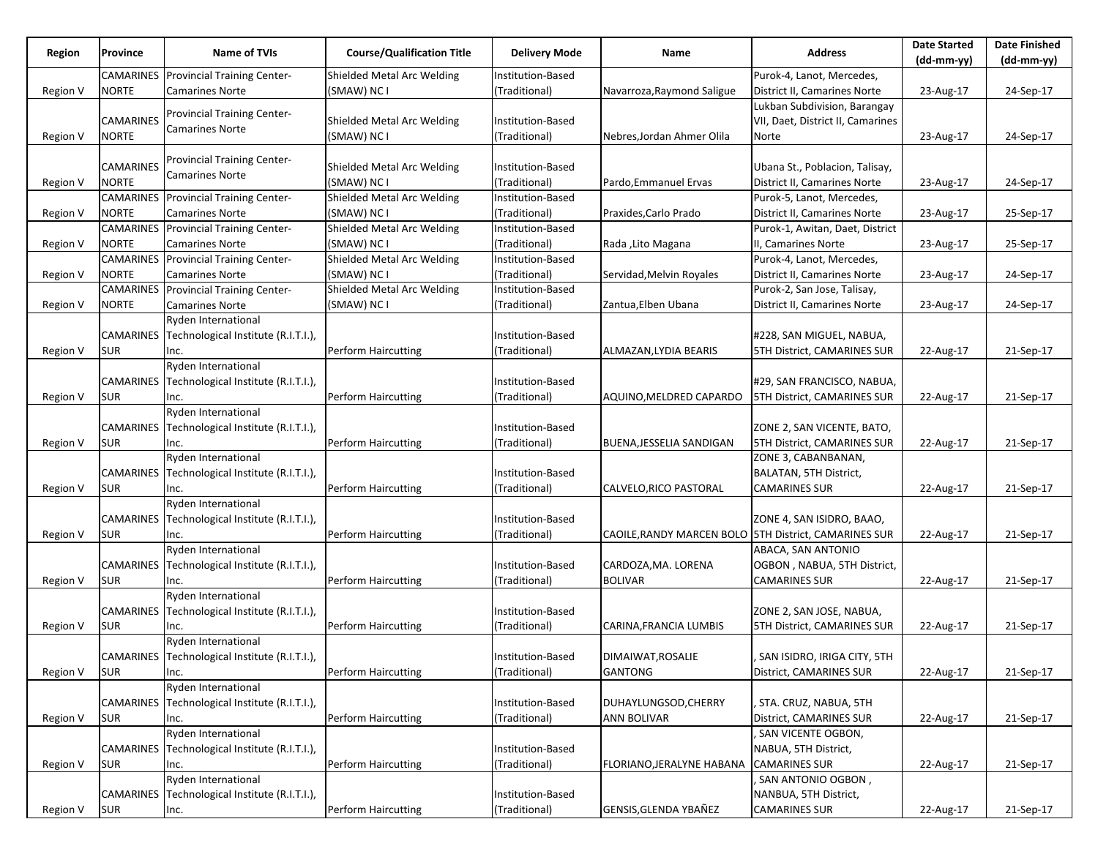|          |                  |                                                              |                                   |                      |                                                       |                                             | <b>Date Started</b> | <b>Date Finished</b> |
|----------|------------------|--------------------------------------------------------------|-----------------------------------|----------------------|-------------------------------------------------------|---------------------------------------------|---------------------|----------------------|
| Region   | Province         | Name of TVIs                                                 | <b>Course/Qualification Title</b> | <b>Delivery Mode</b> | Name                                                  | <b>Address</b>                              | $(dd-mm-yy)$        | $(dd-mm-yy)$         |
|          |                  | <b>CAMARINES</b> Provincial Training Center-                 | Shielded Metal Arc Welding        | Institution-Based    |                                                       | Purok-4, Lanot, Mercedes,                   |                     |                      |
| Region V | <b>NORTE</b>     | <b>Camarines Norte</b>                                       | (SMAW) NC I                       | (Traditional)        | Navarroza, Raymond Saligue                            | District II, Camarines Norte                | 23-Aug-17           | 24-Sep-17            |
|          |                  |                                                              |                                   |                      |                                                       | Lukban Subdivision, Barangay                |                     |                      |
|          | <b>CAMARINES</b> | Provincial Training Center-                                  | Shielded Metal Arc Welding        | Institution-Based    |                                                       | VII, Daet, District II, Camarines           |                     |                      |
| Region V | <b>NORTE</b>     | <b>Camarines Norte</b>                                       | (SMAW) NC I                       | (Traditional)        | Nebres, Jordan Ahmer Olila                            | Norte                                       | 23-Aug-17           | 24-Sep-17            |
|          |                  |                                                              |                                   |                      |                                                       |                                             |                     |                      |
|          | <b>CAMARINES</b> | <b>Provincial Training Center-</b><br><b>Camarines Norte</b> | Shielded Metal Arc Welding        | Institution-Based    |                                                       | Ubana St., Poblacion, Talisay,              |                     |                      |
| Region V | <b>NORTE</b>     |                                                              | (SMAW) NC I                       | (Traditional)        | Pardo, Emmanuel Ervas                                 | District II, Camarines Norte                | 23-Aug-17           | 24-Sep-17            |
|          |                  | <b>CAMARINES</b> Provincial Training Center-                 | Shielded Metal Arc Welding        | Institution-Based    |                                                       | Purok-5, Lanot, Mercedes,                   |                     |                      |
| Region V | NORTE            | <b>Camarines Norte</b>                                       | (SMAW) NC I                       | (Traditional)        | Praxides, Carlo Prado                                 | District II, Camarines Norte                | 23-Aug-17           | 25-Sep-17            |
|          |                  | <b>CAMARINES</b> Provincial Training Center-                 | Shielded Metal Arc Welding        | Institution-Based    |                                                       | Purok-1, Awitan, Daet, District             |                     |                      |
| Region V | <b>NORTE</b>     | <b>Camarines Norte</b>                                       | (SMAW) NC I                       | (Traditional)        | Rada ,Lito Magana                                     | II, Camarines Norte                         | 23-Aug-17           | 25-Sep-17            |
|          |                  | <b>CAMARINES</b> Provincial Training Center-                 | Shielded Metal Arc Welding        | Institution-Based    |                                                       | Purok-4, Lanot, Mercedes,                   |                     |                      |
| Region V | <b>NORTE</b>     | <b>Camarines Norte</b>                                       | (SMAW) NC I                       | (Traditional)        | Servidad, Melvin Royales                              | District II, Camarines Norte                | 23-Aug-17           | 24-Sep-17            |
|          |                  | <b>CAMARINES</b> Provincial Training Center-                 | Shielded Metal Arc Welding        | Institution-Based    |                                                       | Purok-2, San Jose, Talisay,                 |                     |                      |
| Region V | NORTE            | <b>Camarines Norte</b>                                       | (SMAW) NC I                       | (Traditional)        | Zantua, Elben Ubana                                   | District II, Camarines Norte                | 23-Aug-17           | 24-Sep-17            |
|          |                  | <b>Ryden International</b>                                   |                                   |                      |                                                       |                                             |                     |                      |
|          |                  | CAMARINES Technological Institute (R.I.T.I.),                |                                   | Institution-Based    |                                                       | #228, SAN MIGUEL, NABUA,                    |                     |                      |
| Region V | SUR              | Inc.                                                         | Perform Haircutting               | (Traditional)        | ALMAZAN, LYDIA BEARIS                                 | 5TH District, CAMARINES SUR                 | 22-Aug-17           | 21-Sep-17            |
|          |                  | Ryden International                                          |                                   |                      |                                                       |                                             |                     |                      |
|          |                  | CAMARINES Technological Institute (R.I.T.I.),                |                                   | Institution-Based    |                                                       | #29, SAN FRANCISCO, NABUA,                  |                     |                      |
| Region V | <b>SUR</b>       | Inc.                                                         | Perform Haircutting               | (Traditional)        | AQUINO, MELDRED CAPARDO                               | <b>5TH District, CAMARINES SUR</b>          | 22-Aug-17           | 21-Sep-17            |
|          |                  | Ryden International                                          |                                   |                      |                                                       |                                             |                     |                      |
|          |                  | CAMARINES Technological Institute (R.I.T.I.),                |                                   | Institution-Based    |                                                       | ZONE 2, SAN VICENTE, BATO,                  |                     |                      |
| Region V | <b>SUR</b>       | Inc.                                                         | Perform Haircutting               | (Traditional)        | BUENA, JESSELIA SANDIGAN                              | <b>5TH District, CAMARINES SUR</b>          | 22-Aug-17           | 21-Sep-17            |
|          |                  | Ryden International                                          |                                   |                      |                                                       | ZONE 3, CABANBANAN,                         |                     |                      |
|          |                  | CAMARINES Technological Institute (R.I.T.I.),                |                                   | Institution-Based    |                                                       | <b>BALATAN, 5TH District,</b>               |                     |                      |
| Region V | <b>SUR</b>       | Inc.                                                         | Perform Haircutting               | (Traditional)        | CALVELO, RICO PASTORAL                                | <b>CAMARINES SUR</b>                        | 22-Aug-17           | 21-Sep-17            |
|          |                  | Ryden International                                          |                                   |                      |                                                       |                                             |                     |                      |
|          |                  | CAMARINES Technological Institute (R.I.T.I.),                |                                   | Institution-Based    |                                                       | ZONE 4, SAN ISIDRO, BAAO,                   |                     |                      |
| Region V | <b>SUR</b>       | Inc.                                                         | Perform Haircutting               | (Traditional)        | CAOILE, RANDY MARCEN BOLO 5TH District, CAMARINES SUR |                                             | 22-Aug-17           | 21-Sep-17            |
|          |                  | Ryden International                                          |                                   |                      |                                                       | ABACA, SAN ANTONIO                          |                     |                      |
|          |                  | CAMARINES Technological Institute (R.I.T.I.),                |                                   | Institution-Based    | CARDOZA, MA. LORENA                                   | OGBON, NABUA, 5TH District,                 |                     |                      |
| Region V | <b>SUR</b>       | Inc.                                                         | Perform Haircutting               | (Traditional)        | <b>BOLIVAR</b>                                        | <b>CAMARINES SUR</b>                        | 22-Aug-17           | 21-Sep-17            |
|          |                  | Ryden International                                          |                                   |                      |                                                       |                                             |                     |                      |
|          |                  | CAMARINES Technological Institute (R.I.T.I.),                |                                   | Institution-Based    |                                                       | ZONE 2, SAN JOSE, NABUA,                    |                     |                      |
| Region V | <b>SUR</b>       | Inc.                                                         | Perform Haircutting               | (Traditional)        | CARINA, FRANCIA LUMBIS                                | 5TH District, CAMARINES SUR                 | 22-Aug-17           | 21-Sep-17            |
|          |                  | Ryden International                                          |                                   |                      |                                                       |                                             |                     |                      |
|          |                  | CAMARINES Technological Institute (R.I.T.I.)                 |                                   | Institution-Based    | DIMAIWAT, ROSALIE                                     | SAN ISIDRO, IRIGA CITY, 5TH                 |                     |                      |
| Region V | <b>SUR</b>       | Inc.                                                         | Perform Haircutting               | (Traditional)        | <b>GANTONG</b>                                        | District, CAMARINES SUR                     | 22-Aug-17           | 21-Sep-17            |
|          |                  | Ryden International                                          |                                   |                      |                                                       |                                             |                     |                      |
|          |                  | CAMARINES Technological Institute (R.I.T.I.),                |                                   | Institution-Based    | DUHAYLUNGSOD, CHERRY                                  | , STA. CRUZ, NABUA, 5TH                     |                     |                      |
| Region V | <b>SUR</b>       | Inc.                                                         | Perform Haircutting               | (Traditional)        | <b>ANN BOLIVAR</b>                                    | District, CAMARINES SUR                     | 22-Aug-17           | 21-Sep-17            |
|          |                  | Ryden International                                          |                                   |                      |                                                       | , SAN VICENTE OGBON,                        |                     |                      |
|          |                  | CAMARINES Technological Institute (R.I.T.I.),                | Perform Haircutting               | Institution-Based    |                                                       | NABUA, 5TH District,                        |                     |                      |
| Region V | <b>SUR</b>       | Inc.<br>Ryden International                                  |                                   | (Traditional)        | FLORIANO, JERALYNE HABANA                             | <b>CAMARINES SUR</b>                        | 22-Aug-17           | 21-Sep-17            |
|          |                  | CAMARINES Technological Institute (R.I.T.I.),                |                                   | Institution-Based    |                                                       | SAN ANTONIO OGBON,<br>NANBUA, 5TH District, |                     |                      |
| Region V | <b>SUR</b>       | Inc.                                                         | <b>Perform Haircutting</b>        | (Traditional)        | GENSIS, GLENDA YBAÑEZ                                 | <b>CAMARINES SUR</b>                        | 22-Aug-17           | 21-Sep-17            |
|          |                  |                                                              |                                   |                      |                                                       |                                             |                     |                      |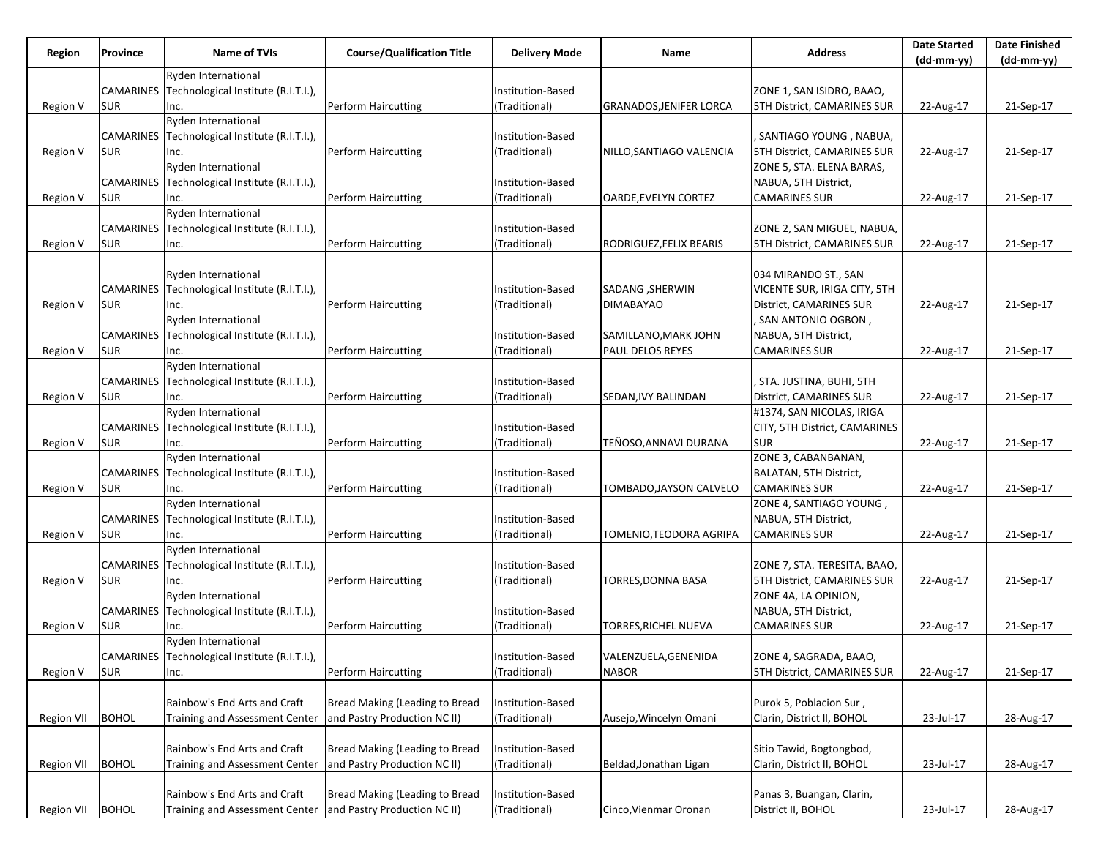| Region     | Province     | <b>Name of TVIs</b>                           | <b>Course/Qualification Title</b> | <b>Delivery Mode</b> | Name                           | <b>Address</b>                     | <b>Date Started</b> | <b>Date Finished</b> |
|------------|--------------|-----------------------------------------------|-----------------------------------|----------------------|--------------------------------|------------------------------------|---------------------|----------------------|
|            |              |                                               |                                   |                      |                                |                                    | $(dd-mm-yy)$        | $(dd-mm-yy)$         |
|            |              | <b>Ryden International</b>                    |                                   |                      |                                |                                    |                     |                      |
|            | CAMARINES    | Technological Institute (R.I.T.I.),           |                                   | Institution-Based    |                                | ZONE 1, SAN ISIDRO, BAAO,          |                     |                      |
| Region V   | SUR          | Inc.                                          | Perform Haircutting               | (Traditional)        | <b>GRANADOS, JENIFER LORCA</b> | <b>5TH District, CAMARINES SUR</b> | 22-Aug-17           | 21-Sep-17            |
|            |              | Ryden International                           |                                   |                      |                                |                                    |                     |                      |
|            |              | CAMARINES Technological Institute (R.I.T.I.), |                                   | Institution-Based    |                                | . SANTIAGO YOUNG , NABUA,          |                     |                      |
| Region V   | <b>SUR</b>   | Inc.                                          | Perform Haircutting               | (Traditional)        | NILLO, SANTIAGO VALENCIA       | <b>5TH District, CAMARINES SUR</b> | 22-Aug-17           | 21-Sep-17            |
|            |              | Ryden International                           |                                   |                      |                                | ZONE 5, STA. ELENA BARAS,          |                     |                      |
|            |              | CAMARINES Technological Institute (R.I.T.I.), |                                   | Institution-Based    |                                | NABUA, 5TH District,               |                     |                      |
| Region V   | <b>SUR</b>   | Inc.                                          | Perform Haircutting               | (Traditional)        | OARDE, EVELYN CORTEZ           | <b>CAMARINES SUR</b>               | 22-Aug-17           | 21-Sep-17            |
|            |              | Ryden International                           |                                   |                      |                                |                                    |                     |                      |
|            |              | CAMARINES Technological Institute (R.I.T.I.), |                                   | Institution-Based    |                                | ZONE 2, SAN MIGUEL, NABUA,         |                     |                      |
| Region V   | <b>SUR</b>   | Inc.                                          | Perform Haircutting               | (Traditional)        | RODRIGUEZ, FELIX BEARIS        | 5TH District, CAMARINES SUR        | 22-Aug-17           | 21-Sep-17            |
|            |              |                                               |                                   |                      |                                |                                    |                     |                      |
|            |              | Ryden International                           |                                   |                      |                                | 034 MIRANDO ST., SAN               |                     |                      |
|            |              | CAMARINES Technological Institute (R.I.T.I.), |                                   | Institution-Based    | SADANG , SHERWIN               | VICENTE SUR, IRIGA CITY, 5TH       |                     |                      |
| Region V   | SUR          | Inc.                                          | Perform Haircutting               | Traditional)         | <b>DIMABAYAO</b>               | District, CAMARINES SUR            | 22-Aug-17           | 21-Sep-17            |
|            |              | Ryden International                           |                                   |                      |                                | , SAN ANTONIO OGBON,               |                     |                      |
|            |              | CAMARINES Technological Institute (R.I.T.I.), |                                   | Institution-Based    | SAMILLANO, MARK JOHN           | NABUA, 5TH District,               |                     |                      |
| Region V   | SUR          | Inc.                                          | Perform Haircutting               | (Traditional)        | PAUL DELOS REYES               | <b>CAMARINES SUR</b>               | 22-Aug-17           | 21-Sep-17            |
|            |              | Ryden International                           |                                   |                      |                                |                                    |                     |                      |
|            |              | CAMARINES Technological Institute (R.I.T.I.), |                                   | Institution-Based    |                                | STA. JUSTINA, BUHI, 5TH            |                     |                      |
| Region V   | SUR          | Inc.                                          | Perform Haircutting               | Traditional)         | SEDAN, IVY BALINDAN            | District, CAMARINES SUR            | 22-Aug-17           | 21-Sep-17            |
|            |              | Ryden International                           |                                   |                      |                                | #1374, SAN NICOLAS, IRIGA          |                     |                      |
|            |              | CAMARINES Technological Institute (R.I.T.I.), |                                   | Institution-Based    |                                | CITY, 5TH District, CAMARINES      |                     |                      |
| Region V   | <b>SUR</b>   | Inc.                                          | Perform Haircutting               | (Traditional)        | TEÑOSO, ANNAVI DURANA          | <b>SUR</b>                         | 22-Aug-17           | 21-Sep-17            |
|            |              | Ryden International                           |                                   |                      |                                | ZONE 3, CABANBANAN,                |                     |                      |
|            |              | CAMARINES Technological Institute (R.I.T.I.), |                                   | Institution-Based    |                                | <b>BALATAN, 5TH District,</b>      |                     |                      |
| Region V   | SUR          | Inc.                                          | Perform Haircutting               | (Traditional)        | TOMBADO, JAYSON CALVELO        | <b>CAMARINES SUR</b>               | 22-Aug-17           | 21-Sep-17            |
|            |              | Ryden International                           |                                   |                      |                                | ZONE 4, SANTIAGO YOUNG,            |                     |                      |
|            |              | CAMARINES Technological Institute (R.I.T.I.), |                                   | Institution-Based    |                                | NABUA, 5TH District,               |                     |                      |
| Region V   | <b>SUR</b>   | Inc.                                          | Perform Haircutting               | (Traditional)        | TOMENIO,TEODORA AGRIPA         | <b>CAMARINES SUR</b>               | 22-Aug-17           | 21-Sep-17            |
|            |              | Ryden International                           |                                   |                      |                                |                                    |                     |                      |
|            |              | CAMARINES Technological Institute (R.I.T.I.), |                                   | Institution-Based    |                                | ZONE 7, STA. TERESITA, BAAO,       |                     |                      |
| Region V   | <b>SUR</b>   | Inc.                                          | Perform Haircutting               | (Traditional)        | TORRES,DONNA BASA              | <b>5TH District, CAMARINES SUR</b> | 22-Aug-17           | 21-Sep-17            |
|            |              | Ryden International                           |                                   |                      |                                | ZONE 4A, LA OPINION,               |                     |                      |
|            |              | CAMARINES Technological Institute (R.I.T.I.), |                                   | Institution-Based    |                                | NABUA, 5TH District,               |                     |                      |
| Region V   | <b>SUR</b>   | Inc.                                          | Perform Haircutting               | (Traditional)        | TORRES, RICHEL NUEVA           | <b>CAMARINES SUR</b>               | 22-Aug-17           | 21-Sep-17            |
|            |              | <b>Ryden International</b>                    |                                   |                      |                                |                                    |                     |                      |
|            |              | CAMARINES Technological Institute (R.I.T.I.)  |                                   | Institution-Based    | VALENZUELA, GENENIDA           | ZONE 4, SAGRADA, BAAO,             |                     |                      |
| Region V   | <b>SUR</b>   | Inc.                                          | Perform Haircutting               | (Traditional)        | <b>NABOR</b>                   | 5TH District, CAMARINES SUR        | 22-Aug-17           | 21-Sep-17            |
|            |              |                                               |                                   |                      |                                |                                    |                     |                      |
|            |              | Rainbow's End Arts and Craft                  | Bread Making (Leading to Bread    | Institution-Based    |                                | Purok 5, Poblacion Sur,            |                     |                      |
| Region VII | <b>BOHOL</b> | Training and Assessment Center                | and Pastry Production NC II)      | (Traditional)        | Ausejo, Wincelyn Omani         | Clarin, District II, BOHOL         | 23-Jul-17           | 28-Aug-17            |
|            |              |                                               |                                   |                      |                                |                                    |                     |                      |
|            |              | Rainbow's End Arts and Craft                  | Bread Making (Leading to Bread    | Institution-Based    |                                | Sitio Tawid, Bogtongbod,           |                     |                      |
| Region VII | <b>BOHOL</b> | <b>Training and Assessment Center</b>         | and Pastry Production NC II)      | (Traditional)        | Beldad, Jonathan Ligan         | Clarin, District II, BOHOL         | 23-Jul-17           | 28-Aug-17            |
|            |              | Rainbow's End Arts and Craft                  | Bread Making (Leading to Bread    | Institution-Based    |                                | Panas 3, Buangan, Clarin,          |                     |                      |
| Region VII | <b>BOHOL</b> | Training and Assessment Center                | and Pastry Production NC II)      | (Traditional)        | Cinco, Vienmar Oronan          | District II, BOHOL                 | 23-Jul-17           | 28-Aug-17            |
|            |              |                                               |                                   |                      |                                |                                    |                     |                      |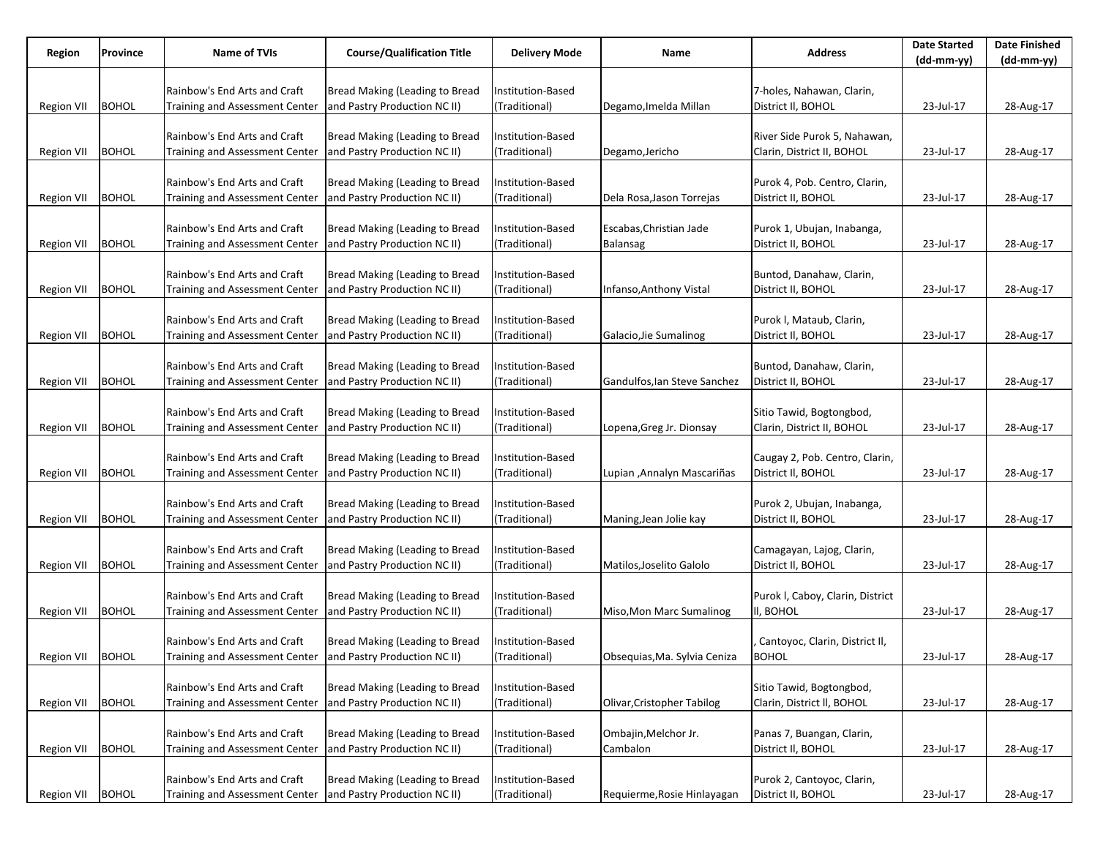| Region             | Province     | <b>Name of TVIs</b>                                         | <b>Course/Qualification Title</b>                              | <b>Delivery Mode</b>               | Name                         | <b>Address</b>                                         | <b>Date Started</b> | Date Finished |
|--------------------|--------------|-------------------------------------------------------------|----------------------------------------------------------------|------------------------------------|------------------------------|--------------------------------------------------------|---------------------|---------------|
|                    |              |                                                             |                                                                |                                    |                              |                                                        | (dd-mm-yy)          | $(dd-mm-yy)$  |
|                    |              | Rainbow's End Arts and Craft                                | Bread Making (Leading to Bread                                 | nstitution-Based                   |                              | 7-holes, Nahawan, Clarin,                              |                     |               |
| Region VII         | <b>BOHOL</b> | Training and Assessment Center                              | and Pastry Production NC II)                                   | (Traditional)                      | Degamo, Imelda Millan        | District II, BOHOL                                     | 23-Jul-17           | 28-Aug-17     |
|                    |              |                                                             |                                                                |                                    |                              |                                                        |                     |               |
|                    |              | Rainbow's End Arts and Craft                                | Bread Making (Leading to Bread                                 | nstitution-Based                   |                              | River Side Purok 5, Nahawan,                           |                     |               |
| Region VII         | <b>BOHOL</b> | Training and Assessment Center                              | and Pastry Production NC II)                                   | (Traditional)                      | Degamo, Jericho              | Clarin, District II, BOHOL                             | 23-Jul-17           | 28-Aug-17     |
|                    |              |                                                             |                                                                |                                    |                              |                                                        |                     |               |
|                    |              | Rainbow's End Arts and Craft                                | Bread Making (Leading to Bread                                 | Institution-Based                  |                              | Purok 4, Pob. Centro, Clarin,                          |                     |               |
| Region VII         | <b>BOHOL</b> | <b>Training and Assessment Center</b>                       | and Pastry Production NC II)                                   | (Traditional)                      | Dela Rosa, Jason Torrejas    | District II, BOHOL                                     | 23-Jul-17           | 28-Aug-17     |
|                    |              |                                                             |                                                                |                                    |                              |                                                        |                     |               |
|                    |              | Rainbow's End Arts and Craft                                | Bread Making (Leading to Bread                                 | Institution-Based                  | Escabas, Christian Jade      | Purok 1, Ubujan, Inabanga,                             |                     |               |
| Region VII         | <b>BOHOL</b> | <b>Training and Assessment Center</b>                       | and Pastry Production NC II)                                   | (Traditional)                      | Balansag                     | District II, BOHOL                                     | 23-Jul-17           | 28-Aug-17     |
|                    |              |                                                             |                                                                |                                    |                              |                                                        |                     |               |
|                    |              | Rainbow's End Arts and Craft                                | Bread Making (Leading to Bread                                 | Institution-Based                  |                              | Buntod, Danahaw, Clarin,                               |                     |               |
| Region VII         | <b>BOHOL</b> | Training and Assessment Center                              | and Pastry Production NC II)                                   | (Traditional)                      | Infanso, Anthony Vistal      | District II, BOHOL                                     | 23-Jul-17           | 28-Aug-17     |
|                    |              |                                                             |                                                                |                                    |                              |                                                        |                     |               |
|                    |              | Rainbow's End Arts and Craft                                | Bread Making (Leading to Bread                                 | nstitution-Based                   |                              | Purok I, Mataub, Clarin,                               |                     |               |
| Region VII         | <b>BOHOL</b> | Training and Assessment Center                              | and Pastry Production NC II)                                   | (Traditional)                      | Galacio, Jie Sumalinog       | District II, BOHOL                                     | 23-Jul-17           | 28-Aug-17     |
|                    |              |                                                             |                                                                |                                    |                              |                                                        |                     |               |
|                    |              | Rainbow's End Arts and Craft                                | Bread Making (Leading to Bread                                 | Institution-Based                  |                              | Buntod, Danahaw, Clarin,                               |                     |               |
| Region VII         | <b>BOHOL</b> | Training and Assessment Center                              | and Pastry Production NC II)                                   | (Traditional)                      | Gandulfos, Ian Steve Sanchez | District II, BOHOL                                     | 23-Jul-17           | 28-Aug-17     |
|                    |              | Rainbow's End Arts and Craft                                |                                                                |                                    |                              |                                                        |                     |               |
| Region VII         | <b>BOHOL</b> | <b>Training and Assessment Center</b>                       | Bread Making (Leading to Bread<br>and Pastry Production NC II) | Institution-Based<br>(Traditional) | Lopena, Greg Jr. Dionsay     | Sitio Tawid, Bogtongbod,<br>Clarin, District II, BOHOL | 23-Jul-17           | 28-Aug-17     |
|                    |              |                                                             |                                                                |                                    |                              |                                                        |                     |               |
|                    |              | Rainbow's End Arts and Craft                                | Bread Making (Leading to Bread                                 | Institution-Based                  |                              | Caugay 2, Pob. Centro, Clarin,                         |                     |               |
| Region VII         | <b>BOHOL</b> | Training and Assessment Center                              | and Pastry Production NC II)                                   | (Traditional)                      | Lupian , Annalyn Mascariñas  | District II, BOHOL                                     | 23-Jul-17           | 28-Aug-17     |
|                    |              |                                                             |                                                                |                                    |                              |                                                        |                     |               |
|                    |              | Rainbow's End Arts and Craft                                | Bread Making (Leading to Bread                                 | Institution-Based                  |                              | Purok 2, Ubujan, Inabanga,                             |                     |               |
| <b>Region VII</b>  | <b>BOHOL</b> | Training and Assessment Center                              | and Pastry Production NC II)                                   | (Traditional)                      | Maning, Jean Jolie kay       | District II, BOHOL                                     | 23-Jul-17           | 28-Aug-17     |
|                    |              |                                                             |                                                                |                                    |                              |                                                        |                     |               |
|                    |              | Rainbow's End Arts and Craft                                | Bread Making (Leading to Bread                                 | Institution-Based                  |                              | Camagayan, Lajog, Clarin,                              |                     |               |
| Region VII         | <b>BOHOL</b> | Training and Assessment Center                              | and Pastry Production NC II)                                   | (Traditional)                      | Matilos, Joselito Galolo     | District II, BOHOL                                     | 23-Jul-17           | 28-Aug-17     |
|                    |              |                                                             |                                                                |                                    |                              |                                                        |                     |               |
|                    |              | Rainbow's End Arts and Craft                                | Bread Making (Leading to Bread                                 | Institution-Based                  |                              | Purok I, Caboy, Clarin, District                       |                     |               |
| Region VII         | <b>BOHOL</b> | Training and Assessment Center                              | and Pastry Production NC II)                                   | (Traditional)                      | Miso, Mon Marc Sumalinog     | II, BOHOL                                              | 23-Jul-17           | 28-Aug-17     |
|                    |              |                                                             |                                                                |                                    |                              |                                                        |                     |               |
|                    |              | Rainbow's End Arts and Craft                                | Bread Making (Leading to Bread                                 | Institution-Based                  |                              | Cantoyoc, Clarin, District II,                         |                     |               |
| Region VII   BOHOL |              | Training and Assessment Center and Pastry Production NC II) |                                                                | (Traditional)                      | Obsequias, Ma. Sylvia Ceniza | <b>BOHOL</b>                                           | 23-Jul-17           | 28-Aug-17     |
|                    |              |                                                             |                                                                |                                    |                              |                                                        |                     |               |
|                    |              | Rainbow's End Arts and Craft                                | Bread Making (Leading to Bread                                 | Institution-Based                  |                              | Sitio Tawid, Bogtongbod,                               |                     |               |
| Region VII         | <b>BOHOL</b> | Training and Assessment Center                              | and Pastry Production NC II)                                   | (Traditional)                      | Olivar, Cristopher Tabilog   | Clarin, District II, BOHOL                             | 23-Jul-17           | 28-Aug-17     |
|                    |              | Rainbow's End Arts and Craft                                | Bread Making (Leading to Bread                                 | Institution-Based                  | Ombajin, Melchor Jr.         |                                                        |                     |               |
| Region VII         | <b>BOHOL</b> | Training and Assessment Center                              | and Pastry Production NC II)                                   | (Traditional)                      | Cambalon                     | Panas 7, Buangan, Clarin,<br>District II, BOHOL        | 23-Jul-17           | 28-Aug-17     |
|                    |              |                                                             |                                                                |                                    |                              |                                                        |                     |               |
|                    |              | Rainbow's End Arts and Craft                                | Bread Making (Leading to Bread                                 | Institution-Based                  |                              | Purok 2, Cantoyoc, Clarin,                             |                     |               |
| Region VII         | <b>BOHOL</b> | Training and Assessment Center                              | and Pastry Production NC II)                                   | (Traditional)                      | Requierme, Rosie Hinlayagan  | District II, BOHOL                                     | 23-Jul-17           | 28-Aug-17     |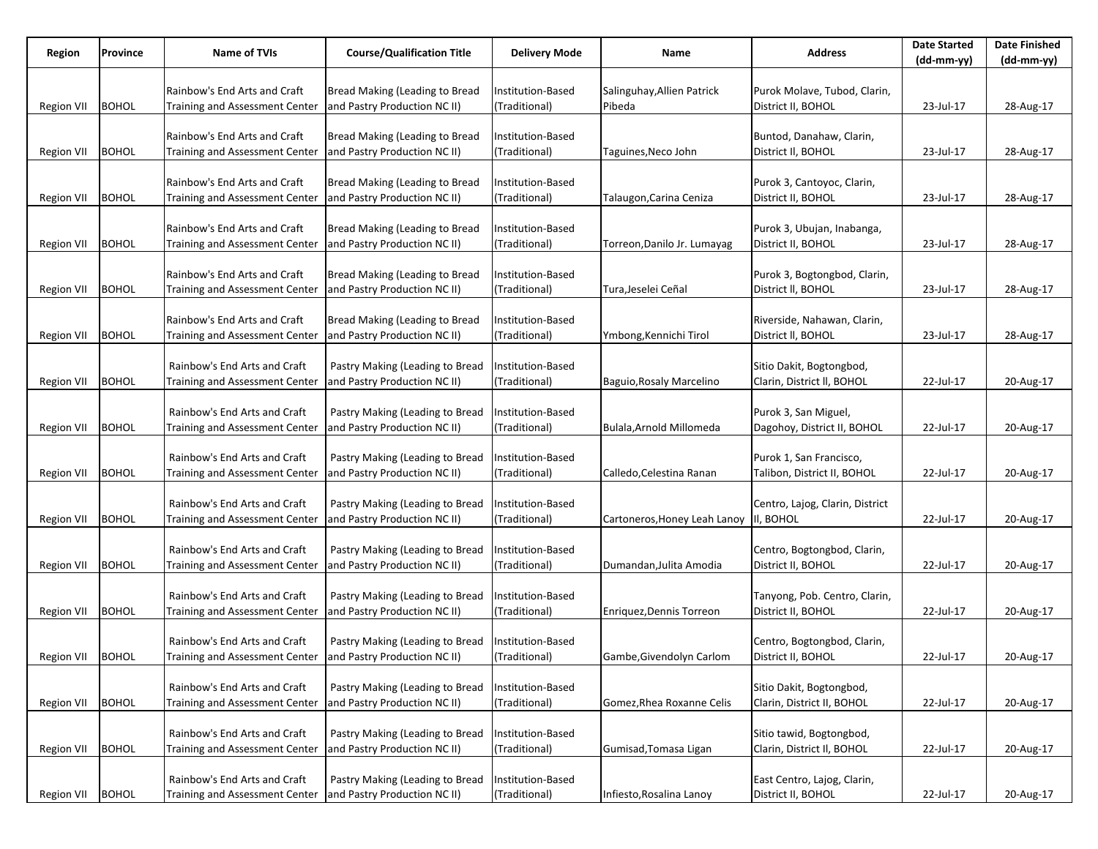| Region             | Province     | Name of TVIs                                                | <b>Course/Qualification Title</b> | <b>Delivery Mode</b> | Name                        | <b>Address</b>                                         | <b>Date Started</b> | <b>Date Finished</b> |
|--------------------|--------------|-------------------------------------------------------------|-----------------------------------|----------------------|-----------------------------|--------------------------------------------------------|---------------------|----------------------|
|                    |              |                                                             |                                   |                      |                             |                                                        | (dd-mm-yy)          | $(dd-mm-yy)$         |
|                    |              | Rainbow's End Arts and Craft                                | Bread Making (Leading to Bread    | Institution-Based    | Salinguhay,Allien Patrick   | Purok Molave, Tubod, Clarin,                           |                     |                      |
| Region VII         | <b>BOHOL</b> | Training and Assessment Center                              | and Pastry Production NC II)      | (Traditional)        | Pibeda                      | District II, BOHOL                                     | 23-Jul-17           | 28-Aug-17            |
|                    |              |                                                             |                                   |                      |                             |                                                        |                     |                      |
|                    |              | Rainbow's End Arts and Craft                                | Bread Making (Leading to Bread    | Institution-Based    |                             | Buntod, Danahaw, Clarin,                               |                     |                      |
| Region VII         | <b>BOHOL</b> | Training and Assessment Center                              | and Pastry Production NC II)      | (Traditional)        | Taguines,Neco John          | District II, BOHOL                                     | 23-Jul-17           | 28-Aug-17            |
|                    |              |                                                             |                                   |                      |                             |                                                        |                     |                      |
|                    |              | Rainbow's End Arts and Craft                                | Bread Making (Leading to Bread    | Institution-Based    |                             | Purok 3, Cantoyoc, Clarin,                             |                     |                      |
| Region VII         | <b>BOHOL</b> | Training and Assessment Center                              | and Pastry Production NC II)      | (Traditional)        | Talaugon, Carina Ceniza     | District II, BOHOL                                     | 23-Jul-17           | 28-Aug-17            |
|                    |              |                                                             |                                   |                      |                             |                                                        |                     |                      |
|                    |              | Rainbow's End Arts and Craft                                | Bread Making (Leading to Bread    | Institution-Based    |                             | Purok 3, Ubujan, Inabanga,                             |                     |                      |
| Region VII         | <b>BOHOL</b> | Training and Assessment Center                              | and Pastry Production NC II)      | (Traditional)        | Torreon,Danilo Jr. Lumayag  | District II, BOHOL                                     | 23-Jul-17           | 28-Aug-17            |
|                    |              |                                                             |                                   |                      |                             |                                                        |                     |                      |
|                    |              | Rainbow's End Arts and Craft                                | Bread Making (Leading to Bread    | Institution-Based    |                             | Purok 3, Bogtongbod, Clarin,                           |                     |                      |
| Region VII         | <b>BOHOL</b> | Training and Assessment Center                              | and Pastry Production NC II)      | (Traditional)        | Tura,Jeselei Ceñal          | District II, BOHOL                                     | 23-Jul-17           | 28-Aug-17            |
|                    |              |                                                             |                                   |                      |                             |                                                        |                     |                      |
|                    |              | Rainbow's End Arts and Craft                                | Bread Making (Leading to Bread    | Institution-Based    |                             | Riverside, Nahawan, Clarin,                            |                     |                      |
| <b>Region VII</b>  | <b>BOHOL</b> | <b>Training and Assessment Center</b>                       | and Pastry Production NC II)      | (Traditional)        | Ymbong,Kennichi Tirol       | District II, BOHOL                                     | 23-Jul-17           | 28-Aug-17            |
|                    |              |                                                             |                                   |                      |                             |                                                        |                     |                      |
|                    |              | Rainbow's End Arts and Craft                                | Pastry Making (Leading to Bread   | Institution-Based    |                             | Sitio Dakit, Bogtongbod,<br>Clarin, District II, BOHOL |                     |                      |
| Region VII         | <b>BOHOL</b> | Training and Assessment Center                              | and Pastry Production NC II)      | (Traditional)        | Baguio, Rosaly Marcelino    |                                                        | 22-Jul-17           | 20-Aug-17            |
|                    |              | Rainbow's End Arts and Craft                                | Pastry Making (Leading to Bread   | Institution-Based    |                             | Purok 3, San Miguel,                                   |                     |                      |
| Region VII         | <b>BOHOL</b> | <b>Training and Assessment Center</b>                       | and Pastry Production NC II)      | (Traditional)        | Bulala, Arnold Millomeda    | Dagohoy, District II, BOHOL                            | 22-Jul-17           | 20-Aug-17            |
|                    |              |                                                             |                                   |                      |                             |                                                        |                     |                      |
|                    |              | Rainbow's End Arts and Craft                                | Pastry Making (Leading to Bread   | Institution-Based    |                             | Purok 1, San Francisco,                                |                     |                      |
| Region VII         | <b>BOHOL</b> | Training and Assessment Center                              | and Pastry Production NC II)      | (Traditional)        | Calledo, Celestina Ranan    | Talibon, District II, BOHOL                            | 22-Jul-17           | 20-Aug-17            |
|                    |              |                                                             |                                   |                      |                             |                                                        |                     |                      |
|                    |              | Rainbow's End Arts and Craft                                | Pastry Making (Leading to Bread   | Institution-Based    |                             | Centro, Lajog, Clarin, District                        |                     |                      |
| <b>Region VII</b>  | <b>BOHOL</b> | Training and Assessment Center                              | and Pastry Production NC II)      | (Traditional)        | Cartoneros,Honey Leah Lanoy | I, BOHOL                                               | 22-Jul-17           | 20-Aug-17            |
|                    |              |                                                             |                                   |                      |                             |                                                        |                     |                      |
|                    |              | Rainbow's End Arts and Craft                                | Pastry Making (Leading to Bread   | Institution-Based    |                             | Centro, Bogtongbod, Clarin,                            |                     |                      |
| Region VII         | <b>BOHOL</b> | <b>Training and Assessment Center</b>                       | and Pastry Production NC II)      | (Traditional)        | Dumandan, Julita Amodia     | District II, BOHOL                                     | 22-Jul-17           | 20-Aug-17            |
|                    |              |                                                             |                                   |                      |                             |                                                        |                     |                      |
|                    |              | Rainbow's End Arts and Craft                                | Pastry Making (Leading to Bread   | Institution-Based    |                             | Tanyong, Pob. Centro, Clarin,                          |                     |                      |
| Region VII         | <b>BOHOL</b> | Training and Assessment Center                              | and Pastry Production NC II)      | (Traditional)        | Enriquez, Dennis Torreon    | District II, BOHOL                                     | 22-Jul-17           | 20-Aug-17            |
|                    |              |                                                             |                                   |                      |                             |                                                        |                     |                      |
|                    |              | Rainbow's End Arts and Craft                                | Pastry Making (Leading to Bread   | Institution-Based    |                             | Centro, Bogtongbod, Clarin,                            |                     |                      |
| Region VII   BOHOL |              | Training and Assessment Center and Pastry Production NC II) |                                   | (Traditional)        | Gambe, Givendolyn Carlom    | District II, BOHOL                                     | 22-Jul-17           | 20-Aug-17            |
|                    |              | Rainbow's End Arts and Craft                                | Pastry Making (Leading to Bread   | Institution-Based    |                             | Sitio Dakit, Bogtongbod,                               |                     |                      |
| Region VII         | <b>BOHOL</b> | Training and Assessment Center                              | and Pastry Production NC II)      | (Traditional)        | Gomez, Rhea Roxanne Celis   | Clarin, District II, BOHOL                             | 22-Jul-17           | 20-Aug-17            |
|                    |              |                                                             |                                   |                      |                             |                                                        |                     |                      |
|                    |              | Rainbow's End Arts and Craft                                | Pastry Making (Leading to Bread   | Institution-Based    |                             | Sitio tawid, Bogtongbod,                               |                     |                      |
| Region VII         | <b>BOHOL</b> | Training and Assessment Center                              | and Pastry Production NC II)      | (Traditional)        | Gumisad, Tomasa Ligan       | Clarin, District II, BOHOL                             | 22-Jul-17           | 20-Aug-17            |
|                    |              |                                                             |                                   |                      |                             |                                                        |                     |                      |
|                    |              | Rainbow's End Arts and Craft                                | Pastry Making (Leading to Bread   | Institution-Based    |                             | East Centro, Lajog, Clarin,                            |                     |                      |
| Region VII         | <b>BOHOL</b> | Training and Assessment Center                              | and Pastry Production NC II)      | (Traditional)        | Infiesto, Rosalina Lanoy    | District II, BOHOL                                     | 22-Jul-17           | 20-Aug-17            |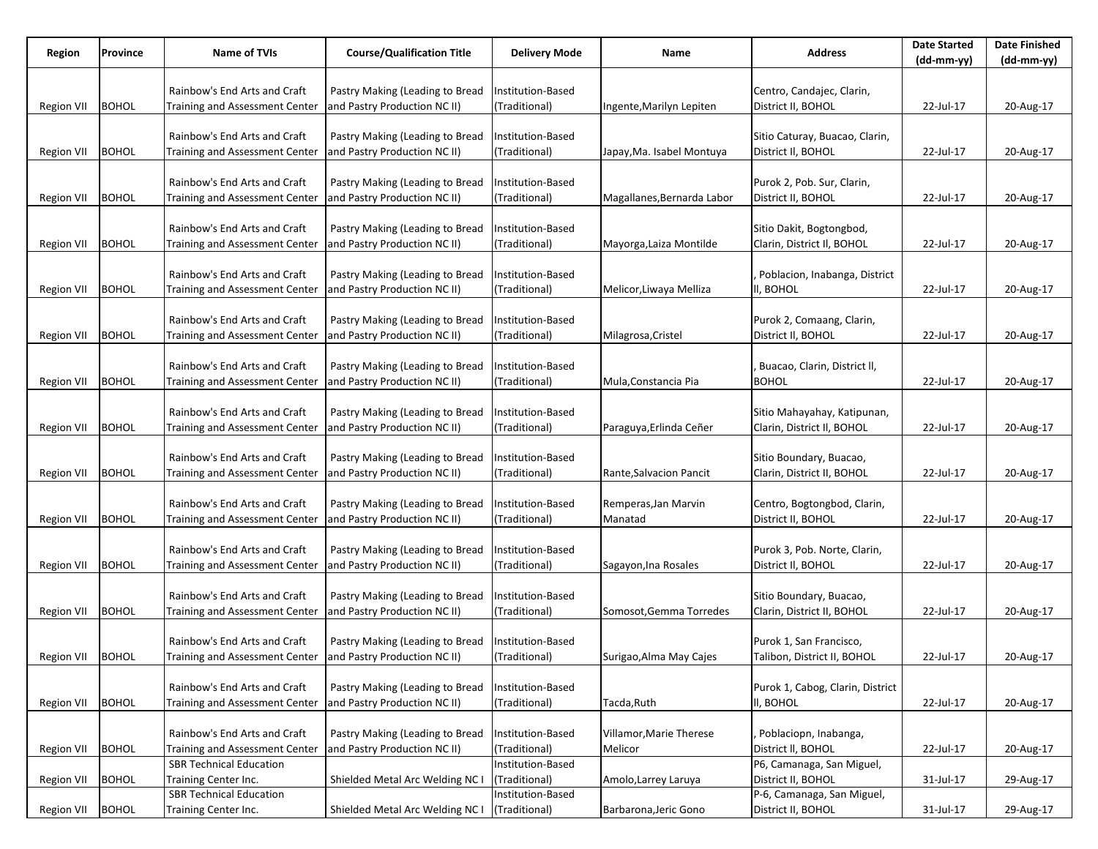| Region             | Province     | Name of TVIs                                                | <b>Course/Qualification Title</b> | <b>Delivery Mode</b> | Name                       | <b>Address</b>                   | <b>Date Started</b> | <b>Date Finished</b> |
|--------------------|--------------|-------------------------------------------------------------|-----------------------------------|----------------------|----------------------------|----------------------------------|---------------------|----------------------|
|                    |              |                                                             |                                   |                      |                            |                                  | (dd-mm-yy)          | $(dd-mm-yy)$         |
|                    |              |                                                             |                                   |                      |                            |                                  |                     |                      |
|                    |              | Rainbow's End Arts and Craft                                | Pastry Making (Leading to Bread   | Institution-Based    |                            | Centro, Candajec, Clarin,        |                     |                      |
| Region VII         | <b>BOHOL</b> | Training and Assessment Center                              | and Pastry Production NC II)      | (Traditional)        | Ingente,Marilyn Lepiten    | District II, BOHOL               | 22-Jul-17           | 20-Aug-17            |
|                    |              |                                                             |                                   |                      |                            |                                  |                     |                      |
|                    |              | Rainbow's End Arts and Craft                                | Pastry Making (Leading to Bread   | Institution-Based    |                            | Sitio Caturay, Buacao, Clarin,   |                     |                      |
| Region VII         | <b>BOHOL</b> | Training and Assessment Center                              | and Pastry Production NC II)      | (Traditional)        | Japay,Ma. Isabel Montuya   | District II, BOHOL               | 22-Jul-17           | 20-Aug-17            |
|                    |              |                                                             |                                   |                      |                            |                                  |                     |                      |
|                    |              | Rainbow's End Arts and Craft                                | Pastry Making (Leading to Bread   | Institution-Based    |                            | Purok 2, Pob. Sur, Clarin,       |                     |                      |
| Region VII         | <b>BOHOL</b> | Training and Assessment Center                              | and Pastry Production NC II)      | (Traditional)        | Magallanes, Bernarda Labor | District II, BOHOL               | 22-Jul-17           | 20-Aug-17            |
|                    |              |                                                             |                                   |                      |                            |                                  |                     |                      |
|                    |              | Rainbow's End Arts and Craft                                | Pastry Making (Leading to Bread   | Institution-Based    |                            | Sitio Dakit, Bogtongbod,         |                     |                      |
| Region VII         | <b>BOHOL</b> | <b>Training and Assessment Center</b>                       | and Pastry Production NC II)      | (Traditional)        | Mayorga,Laiza Montilde     | Clarin, District II, BOHOL       | 22-Jul-17           | 20-Aug-17            |
|                    |              |                                                             |                                   |                      |                            |                                  |                     |                      |
|                    |              | Rainbow's End Arts and Craft                                | Pastry Making (Leading to Bread   | Institution-Based    |                            | Poblacion, Inabanga, District    |                     |                      |
| Region VII         | <b>BOHOL</b> | <b>Training and Assessment Center</b>                       | and Pastry Production NC II)      | (Traditional)        | Melicor, Liwaya Melliza    | II, BOHOL                        | 22-Jul-17           | 20-Aug-17            |
|                    |              |                                                             |                                   |                      |                            |                                  |                     |                      |
|                    |              | Rainbow's End Arts and Craft                                | Pastry Making (Leading to Bread   | Institution-Based    |                            | Purok 2, Comaang, Clarin,        |                     |                      |
| <b>Region VII</b>  | <b>BOHOL</b> | <b>Training and Assessment Center</b>                       | and Pastry Production NC II)      | (Traditional)        | Milagrosa, Cristel         | District II, BOHOL               | 22-Jul-17           | 20-Aug-17            |
|                    |              |                                                             |                                   |                      |                            |                                  |                     |                      |
|                    |              | Rainbow's End Arts and Craft                                | Pastry Making (Leading to Bread   | Institution-Based    |                            | Buacao, Clarin, District II,     |                     |                      |
|                    | <b>BOHOL</b> | Training and Assessment Center                              | and Pastry Production NC II)      | (Traditional)        |                            | <b>BOHOL</b>                     |                     |                      |
| Region VII         |              |                                                             |                                   |                      | Mula, Constancia Pia       |                                  | 22-Jul-17           | 20-Aug-17            |
|                    |              |                                                             |                                   |                      |                            |                                  |                     |                      |
|                    |              | Rainbow's End Arts and Craft                                | Pastry Making (Leading to Bread   | Institution-Based    |                            | Sitio Mahayahay, Katipunan,      |                     |                      |
| Region VII         | <b>BOHOL</b> | <b>Training and Assessment Center</b>                       | and Pastry Production NC II)      | (Traditional)        | Paraguya, Erlinda Ceñer    | Clarin, District II, BOHOL       | 22-Jul-17           | 20-Aug-17            |
|                    |              |                                                             |                                   |                      |                            |                                  |                     |                      |
|                    |              | Rainbow's End Arts and Craft                                | Pastry Making (Leading to Bread   | Institution-Based    |                            | Sitio Boundary, Buacao,          |                     |                      |
| Region VII         | <b>BOHOL</b> | Training and Assessment Center                              | and Pastry Production NC II)      | (Traditional)        | Rante, Salvacion Pancit    | Clarin, District II, BOHOL       | 22-Jul-17           | 20-Aug-17            |
|                    |              |                                                             |                                   |                      |                            |                                  |                     |                      |
|                    |              | Rainbow's End Arts and Craft                                | Pastry Making (Leading to Bread   | Institution-Based    | Remperas, Jan Marvin       | Centro, Bogtongbod, Clarin,      |                     |                      |
| <b>Region VII</b>  | <b>BOHOL</b> | Training and Assessment Center                              | and Pastry Production NC II)      | (Traditional)        | Manatad                    | District II, BOHOL               | 22-Jul-17           | 20-Aug-17            |
|                    |              |                                                             |                                   |                      |                            |                                  |                     |                      |
|                    |              | Rainbow's End Arts and Craft                                | Pastry Making (Leading to Bread   | Institution-Based    |                            | Purok 3, Pob. Norte, Clarin,     |                     |                      |
| Region VII         | <b>BOHOL</b> | <b>Training and Assessment Center</b>                       | and Pastry Production NC II)      | (Traditional)        | Sagayon, Ina Rosales       | District II, BOHOL               | 22-Jul-17           | 20-Aug-17            |
|                    |              |                                                             |                                   |                      |                            |                                  |                     |                      |
|                    |              | Rainbow's End Arts and Craft                                | Pastry Making (Leading to Bread   | Institution-Based    |                            | Sitio Boundary, Buacao,          |                     |                      |
| Region VII         | <b>BOHOL</b> | Training and Assessment Center                              | and Pastry Production NC II)      | (Traditional)        | Somosot, Gemma Torredes    | Clarin, District II, BOHOL       | 22-Jul-17           | 20-Aug-17            |
|                    |              |                                                             |                                   |                      |                            |                                  |                     |                      |
|                    |              | Rainbow's End Arts and Craft                                | Pastry Making (Leading to Bread   | Institution-Based    |                            | Purok 1, San Francisco,          |                     |                      |
| Region VII   BOHOL |              | Training and Assessment Center and Pastry Production NC II) |                                   | (Traditional)        | Surigao, Alma May Cajes    | Talibon, District II, BOHOL      | 22-Jul-17           | 20-Aug-17            |
|                    |              |                                                             |                                   |                      |                            |                                  |                     |                      |
|                    |              | Rainbow's End Arts and Craft                                | Pastry Making (Leading to Bread   | Institution-Based    |                            | Purok 1, Cabog, Clarin, District |                     |                      |
| Region VII         | <b>BOHOL</b> | Training and Assessment Center                              | and Pastry Production NC II)      | (Traditional)        | Tacda, Ruth                | II, BOHOL                        | 22-Jul-17           | 20-Aug-17            |
|                    |              |                                                             |                                   |                      |                            |                                  |                     |                      |
|                    |              | Rainbow's End Arts and Craft                                | Pastry Making (Leading to Bread   | Institution-Based    | Villamor, Marie Therese    | Poblaciopn, Inabanga,            |                     |                      |
| Region VII         | <b>BOHOL</b> | Training and Assessment Center                              | and Pastry Production NC II)      | (Traditional)        | Melicor                    | District II, BOHOL               | 22-Jul-17           | 20-Aug-17            |
|                    |              | <b>SBR Technical Education</b>                              |                                   | Institution-Based    |                            | P6, Camanaga, San Miguel,        |                     |                      |
| Region VII         | <b>BOHOL</b> | Training Center Inc.                                        | Shielded Metal Arc Welding NC I   | (Traditional)        | Amolo, Larrey Laruya       | District II, BOHOL               | 31-Jul-17           |                      |
|                    |              | <b>SBR Technical Education</b>                              |                                   | Institution-Based    |                            | P-6, Camanaga, San Miguel,       |                     | 29-Aug-17            |
| Region VII         | <b>BOHOL</b> |                                                             | Shielded Metal Arc Welding NC I   | (Traditional)        | Barbarona, Jeric Gono      | District II, BOHOL               | 31-Jul-17           | 29-Aug-17            |
|                    |              | Training Center Inc.                                        |                                   |                      |                            |                                  |                     |                      |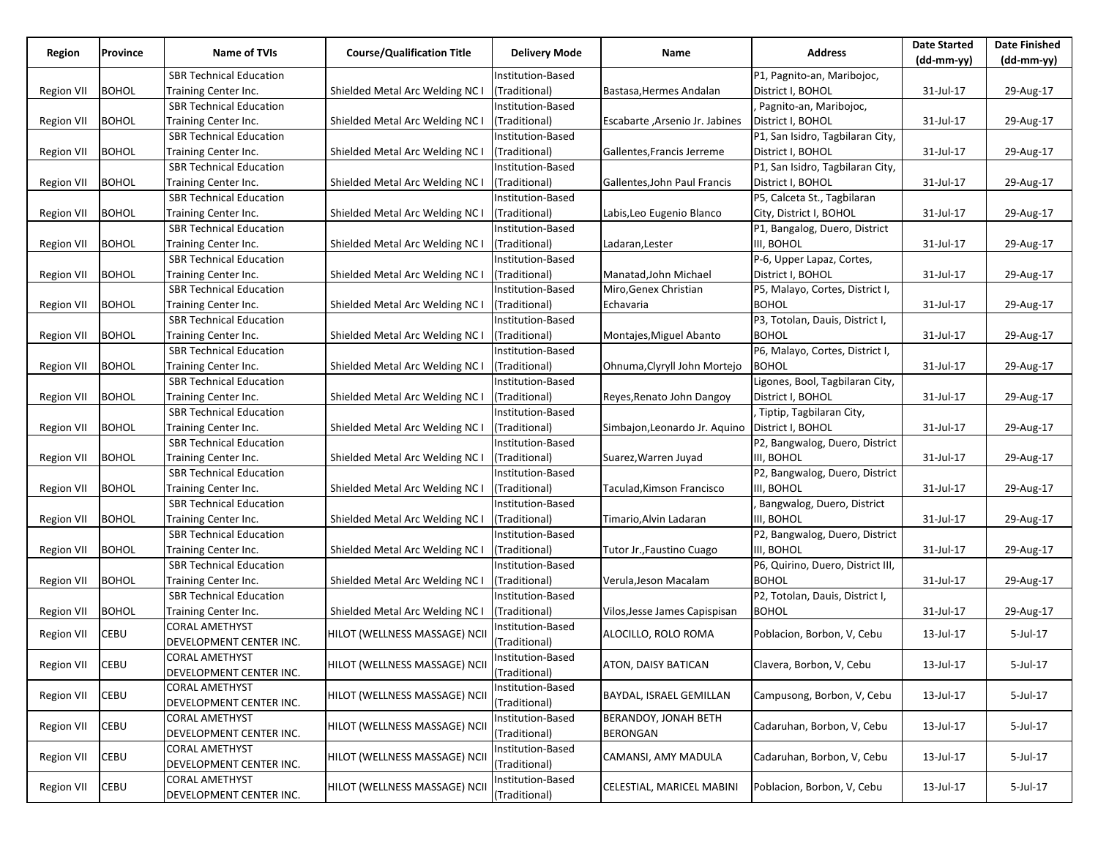| Region            | Province     | Name of TVIs                   | <b>Course/Qualification Title</b> | <b>Delivery Mode</b> | Name                           | Address                           | <b>Date Started</b><br>$(dd-mm-yy)$ | <b>Date Finished</b><br>$(dd-mm-yy)$ |
|-------------------|--------------|--------------------------------|-----------------------------------|----------------------|--------------------------------|-----------------------------------|-------------------------------------|--------------------------------------|
|                   |              | <b>SBR Technical Education</b> |                                   | Institution-Based    |                                | P1, Pagnito-an, Maribojoc,        |                                     |                                      |
| Region VII        | <b>BOHOL</b> | Training Center Inc.           | Shielded Metal Arc Welding NC I   | (Traditional)        | Bastasa, Hermes Andalan        | District I, BOHOL                 | 31-Jul-17                           | 29-Aug-17                            |
|                   |              | <b>SBR Technical Education</b> |                                   | Institution-Based    |                                | Pagnito-an, Maribojoc,            |                                     |                                      |
| Region VII        | <b>BOHOL</b> | Training Center Inc.           | Shielded Metal Arc Welding NC I   | (Traditional)        | Escabarte, Arsenio Jr. Jabines | District I, BOHOL                 | 31-Jul-17                           | 29-Aug-17                            |
|                   |              | <b>SBR Technical Education</b> |                                   | Institution-Based    |                                | P1, San Isidro, Tagbilaran City,  |                                     |                                      |
| <b>Region VII</b> | <b>BOHOL</b> | Training Center Inc.           | Shielded Metal Arc Welding NC I   | (Traditional)        | Gallentes, Francis Jerreme     | District I, BOHOL                 | 31-Jul-17                           | 29-Aug-17                            |
|                   |              | <b>SBR Technical Education</b> |                                   | Institution-Based    |                                | P1, San Isidro, Tagbilaran City,  |                                     |                                      |
| <b>Region VII</b> | <b>BOHOL</b> | Training Center Inc.           | Shielded Metal Arc Welding NC I   | (Traditional)        | Gallentes, John Paul Francis   | District I, BOHOL                 | 31-Jul-17                           | 29-Aug-17                            |
|                   |              | SBR Technical Education        |                                   | Institution-Based    |                                | P5, Calceta St., Tagbilaran       |                                     |                                      |
| <b>Region VII</b> | <b>BOHOL</b> | Training Center Inc.           | Shielded Metal Arc Welding NC I   | (Traditional)        | Labis, Leo Eugenio Blanco      | City, District I, BOHOL           | 31-Jul-17                           | 29-Aug-17                            |
|                   |              | <b>SBR Technical Education</b> |                                   | Institution-Based    |                                | P1, Bangalog, Duero, District     |                                     |                                      |
| <b>Region VII</b> | <b>BOHOL</b> | Training Center Inc.           | Shielded Metal Arc Welding NC I   | (Traditional)        | Ladaran, Lester                | III, BOHOL                        | 31-Jul-17                           | 29-Aug-17                            |
|                   |              | <b>SBR Technical Education</b> |                                   | Institution-Based    |                                | P-6, Upper Lapaz, Cortes,         |                                     |                                      |
| Region VII        | <b>BOHOL</b> | Training Center Inc.           | Shielded Metal Arc Welding NC I   | (Traditional)        | Manatad, John Michael          | District I, BOHOL                 | 31-Jul-17                           | 29-Aug-17                            |
|                   |              | SBR Technical Education        |                                   | Institution-Based    | Miro, Genex Christian          | P5, Malayo, Cortes, District I,   |                                     |                                      |
| <b>Region VII</b> | <b>BOHOL</b> | Training Center Inc.           | Shielded Metal Arc Welding NC I   | (Traditional)        | Echavaria                      | <b>BOHOL</b>                      | 31-Jul-17                           | 29-Aug-17                            |
|                   |              | <b>SBR Technical Education</b> |                                   | Institution-Based    |                                | P3, Totolan, Dauis, District I,   |                                     |                                      |
| Region VII        | <b>BOHOL</b> | Training Center Inc.           | Shielded Metal Arc Welding NC I   | (Traditional)        | Montajes, Miguel Abanto        | <b>BOHOL</b>                      | 31-Jul-17                           | 29-Aug-17                            |
|                   |              | <b>SBR Technical Education</b> |                                   | Institution-Based    |                                | P6, Malayo, Cortes, District I,   |                                     |                                      |
| Region VII        | <b>BOHOL</b> | Training Center Inc.           | Shielded Metal Arc Welding NC I   | (Traditional)        | Ohnuma, Clyryll John Mortejo   | <b>BOHOL</b>                      | 31-Jul-17                           | 29-Aug-17                            |
|                   |              | SBR Technical Education        |                                   | Institution-Based    |                                | Ligones, Bool, Tagbilaran City,   |                                     |                                      |
| <b>Region VII</b> | <b>BOHOL</b> | Training Center Inc.           | Shielded Metal Arc Welding NC I   | (Traditional)        | Reyes, Renato John Dangoy      | District I, BOHOL                 | 31-Jul-17                           | 29-Aug-17                            |
|                   |              | SBR Technical Education        |                                   | Institution-Based    |                                | Tiptip, Tagbilaran City,          |                                     |                                      |
| <b>Region VII</b> | <b>BOHOL</b> | Training Center Inc.           | Shielded Metal Arc Welding NC I   | (Traditional)        | Simbajon, Leonardo Jr. Aquino  | District I, BOHOL                 | 31-Jul-17                           | 29-Aug-17                            |
|                   |              | <b>SBR Technical Education</b> |                                   | Institution-Based    |                                | P2, Bangwalog, Duero, District    |                                     |                                      |
| <b>Region VII</b> | <b>BOHOL</b> | Training Center Inc.           | Shielded Metal Arc Welding NC I   | (Traditional)        | Suarez, Warren Juyad           | III, BOHOL                        | 31-Jul-17                           | 29-Aug-17                            |
|                   |              | SBR Technical Education        |                                   | Institution-Based    |                                | P2, Bangwalog, Duero, District    |                                     |                                      |
| <b>Region VII</b> | <b>BOHOL</b> | Training Center Inc.           | Shielded Metal Arc Welding NC I   | (Traditional)        | Taculad, Kimson Francisco      | III, BOHOL                        | 31-Jul-17                           | 29-Aug-17                            |
|                   |              | <b>SBR Technical Education</b> |                                   | Institution-Based    |                                | Bangwalog, Duero, District        |                                     |                                      |
| <b>Region VII</b> | <b>BOHOL</b> | Training Center Inc.           | Shielded Metal Arc Welding NC I   | (Traditional)        | Timario, Alvin Ladaran         | III, BOHOL                        | 31-Jul-17                           | 29-Aug-17                            |
|                   |              | <b>SBR Technical Education</b> |                                   | Institution-Based    |                                | P2, Bangwalog, Duero, District    |                                     |                                      |
| <b>Region VII</b> | <b>BOHOL</b> | Training Center Inc.           | Shielded Metal Arc Welding NC I   | (Traditional)        | Tutor Jr., Faustino Cuago      | III, BOHOL                        | 31-Jul-17                           | 29-Aug-17                            |
|                   |              | <b>SBR Technical Education</b> |                                   | Institution-Based    |                                | P6, Quirino, Duero, District III, |                                     |                                      |
| Region VII        | <b>BOHOL</b> | Training Center Inc.           | Shielded Metal Arc Welding NC I   | (Traditional)        | Verula, Jeson Macalam          | <b>BOHOL</b>                      | 31-Jul-17                           | 29-Aug-17                            |
|                   |              | <b>SBR Technical Education</b> |                                   | Institution-Based    |                                | P2, Totolan, Dauis, District I,   |                                     |                                      |
| <b>Region VII</b> | <b>BOHOL</b> | Training Center Inc.           | Shielded Metal Arc Welding NC I   | (Traditional)        | Vilos, Jesse James Capispisan  | <b>BOHOL</b>                      | 31-Jul-17                           | 29-Aug-17                            |
|                   |              | CORAL AMETHYST                 |                                   | Institution-Based    |                                |                                   |                                     |                                      |
| <b>Region VII</b> | CEBU         | DEVELOPMENT CENTER INC.        | HILOT (WELLNESS MASSAGE) NCII     | (Traditional)        | ALOCILLO, ROLO ROMA            | Poblacion, Borbon, V, Cebu        | 13-Jul-17                           | 5-Jul-17                             |
|                   |              | <b>CORAL AMETHYST</b>          |                                   | Institution-Based    |                                |                                   |                                     |                                      |
| Region VII        | <b>CEBU</b>  | DEVELOPMENT CENTER INC.        | HILOT (WELLNESS MASSAGE) NCII     | (Traditional)        | ATON, DAISY BATICAN            | Clavera, Borbon, V, Cebu          | 13-Jul-17                           | 5-Jul-17                             |
|                   |              | <b>CORAL AMETHYST</b>          |                                   | Institution-Based    |                                |                                   |                                     |                                      |
| <b>Region VII</b> | CEBU         | DEVELOPMENT CENTER INC.        | HILOT (WELLNESS MASSAGE) NCII     | (Traditional)        | BAYDAL, ISRAEL GEMILLAN        | Campusong, Borbon, V, Cebu        | 13-Jul-17                           | 5-Jul-17                             |
|                   |              | <b>CORAL AMETHYST</b>          |                                   | Institution-Based    | <b>BERANDOY, JONAH BETH</b>    |                                   |                                     |                                      |
| <b>Region VII</b> | CEBU         | DEVELOPMENT CENTER INC.        | HILOT (WELLNESS MASSAGE) NCII     | (Traditional)        | <b>BERONGAN</b>                | Cadaruhan, Borbon, V, Cebu        | 13-Jul-17                           | 5-Jul-17                             |
|                   |              | <b>CORAL AMETHYST</b>          |                                   | Institution-Based    |                                |                                   |                                     |                                      |
| Region VII        | CEBU         | DEVELOPMENT CENTER INC.        | HILOT (WELLNESS MASSAGE) NCII     | (Traditional)        | CAMANSI, AMY MADULA            | Cadaruhan, Borbon, V, Cebu        | 13-Jul-17                           | 5-Jul-17                             |
|                   |              | <b>CORAL AMETHYST</b>          |                                   | Institution-Based    |                                |                                   |                                     |                                      |
| <b>Region VII</b> | CEBU         | DEVELOPMENT CENTER INC.        | HILOT (WELLNESS MASSAGE) NCII     | (Traditional)        | CELESTIAL, MARICEL MABINI      | Poblacion, Borbon, V, Cebu        | 13-Jul-17                           | 5-Jul-17                             |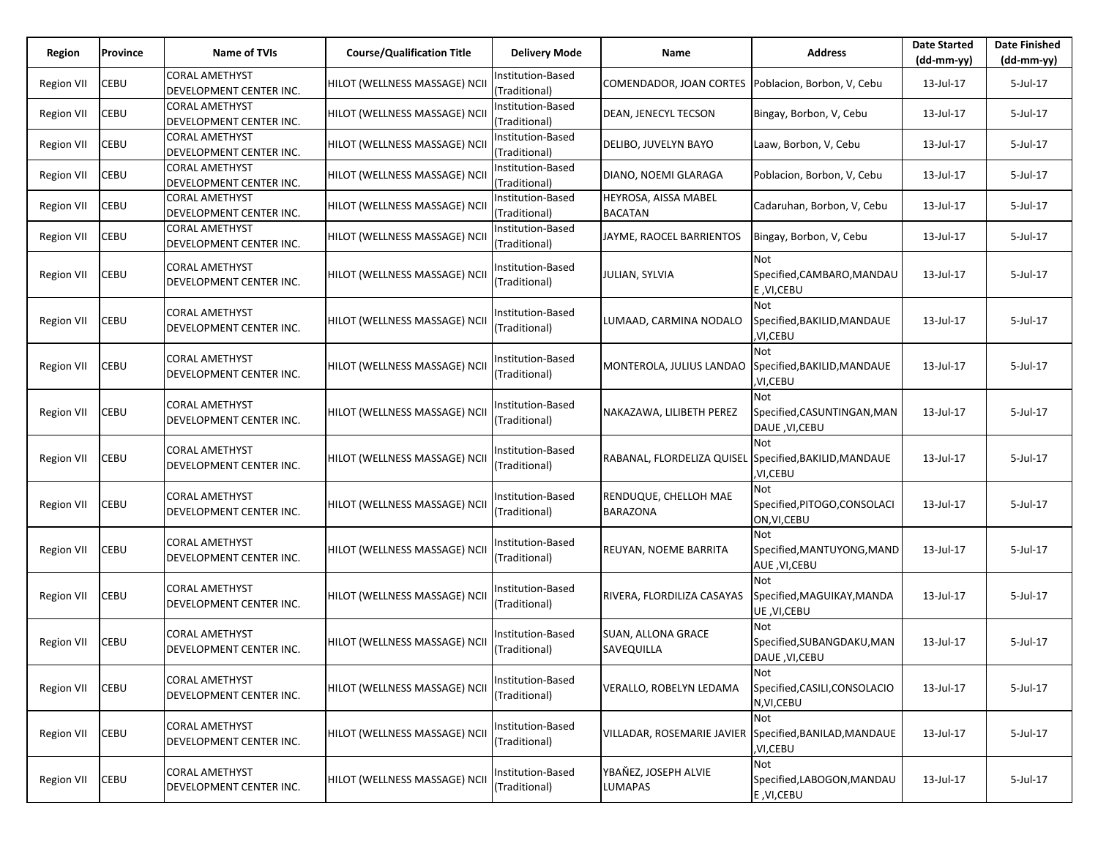| Region            | Province    | Name of TVIs                                     | <b>Course/Qualification Title</b> | <b>Delivery Mode</b>               | Name                                                   | <b>Address</b>                                              | <b>Date Started</b><br>$(dd-mm-yy)$ | <b>Date Finished</b><br>(dd-mm-yy) |
|-------------------|-------------|--------------------------------------------------|-----------------------------------|------------------------------------|--------------------------------------------------------|-------------------------------------------------------------|-------------------------------------|------------------------------------|
| Region VII        | CEBU        | <b>CORAL AMETHYST</b><br>DEVELOPMENT CENTER INC. | HILOT (WELLNESS MASSAGE) NCII     | Institution-Based<br>(Traditional) | COMENDADOR, JOAN CORTES Poblacion, Borbon, V, Cebu     |                                                             | 13-Jul-17                           | 5-Jul-17                           |
| <b>Region VII</b> | CEBU        | <b>CORAL AMETHYST</b><br>DEVELOPMENT CENTER INC. | HILOT (WELLNESS MASSAGE) NCII     | Institution-Based<br>(Traditional) | <b>DEAN, JENECYL TECSON</b>                            | Bingay, Borbon, V, Cebu                                     | 13-Jul-17                           | 5-Jul-17                           |
| <b>Region VII</b> | CEBU        | <b>CORAL AMETHYST</b><br>DEVELOPMENT CENTER INC. | HILOT (WELLNESS MASSAGE) NCII     | nstitution-Based<br>(Traditional)  | DELIBO, JUVELYN BAYO                                   | Laaw, Borbon, V, Cebu                                       | 13-Jul-17                           | 5-Jul-17                           |
| <b>Region VII</b> | CEBU        | <b>CORAL AMETHYST</b><br>DEVELOPMENT CENTER INC. | HILOT (WELLNESS MASSAGE) NCII     | Institution-Based<br>(Traditional) | DIANO, NOEMI GLARAGA                                   | Poblacion, Borbon, V, Cebu                                  | 13-Jul-17                           | 5-Jul-17                           |
| <b>Region VII</b> | CEBU        | CORAL AMETHYST<br>DEVELOPMENT CENTER INC.        | HILOT (WELLNESS MASSAGE) NCII     | Institution-Based<br>(Traditional) | HEYROSA, AISSA MABEL<br><b>BACATAN</b>                 | Cadaruhan, Borbon, V, Cebu                                  | 13-Jul-17                           | 5-Jul-17                           |
| Region VII        | CEBU        | <b>CORAL AMETHYST</b><br>DEVELOPMENT CENTER INC. | HILOT (WELLNESS MASSAGE) NCII     | Institution-Based<br>(Traditional) | JAYME, RAOCEL BARRIENTOS                               | Bingay, Borbon, V, Cebu                                     | 13-Jul-17                           | 5-Jul-17                           |
| Region VII        | CEBU        | CORAL AMETHYST<br>DEVELOPMENT CENTER INC.        | HILOT (WELLNESS MASSAGE) NCII     | Institution-Based<br>(Traditional) | <b>JULIAN, SYLVIA</b>                                  | <b>Not</b><br>Specified,CAMBARO,MANDAU<br>E, VI, CEBU       | 13-Jul-17                           | 5-Jul-17                           |
| Region VII        | CEBU        | CORAL AMETHYST<br>DEVELOPMENT CENTER INC.        | HILOT (WELLNESS MASSAGE) NCII     | Institution-Based<br>(Traditional) | LUMAAD, CARMINA NODALO                                 | Not<br>Specified,BAKILID,MANDAUE<br>,VI,CEBU                | 13-Jul-17                           | 5-Jul-17                           |
| Region VII        | CEBU        | <b>CORAL AMETHYST</b><br>DEVELOPMENT CENTER INC. | HILOT (WELLNESS MASSAGE) NCII     | Institution-Based<br>(Traditional) | MONTEROLA, JULIUS LANDAO                               | Not<br>Specified, BAKILID, MANDAUE<br>,VI,CEBU              | 13-Jul-17                           | 5-Jul-17                           |
| Region VII        | CEBU        | CORAL AMETHYST<br>DEVELOPMENT CENTER INC.        | HILOT (WELLNESS MASSAGE) NCII     | nstitution-Based<br>(Traditional)  | NAKAZAWA, LILIBETH PEREZ                               | Not<br>Specified, CASUNTINGAN, MAN<br><b>DAUE, VI, CEBU</b> | 13-Jul-17                           | 5-Jul-17                           |
| <b>Region VII</b> | <b>CEBU</b> | CORAL AMETHYST<br>DEVELOPMENT CENTER INC.        | HILOT (WELLNESS MASSAGE) NCII     | Institution-Based<br>(Traditional) | RABANAL, FLORDELIZA QUISEL Specified, BAKILID, MANDAUE | Not<br>,VI,CEBU                                             | 13-Jul-17                           | $5$ -Jul-17                        |
| Region VII        | CEBU        | CORAL AMETHYST<br>DEVELOPMENT CENTER INC.        | HILOT (WELLNESS MASSAGE) NCII     | Institution-Based<br>(Traditional) | RENDUQUE, CHELLOH MAE<br><b>BARAZONA</b>               | Not<br>Specified, PITOGO, CONSOLACI<br>ON, VI, CEBU         | 13-Jul-17                           | 5-Jul-17                           |
| <b>Region VII</b> | CEBU        | CORAL AMETHYST<br>DEVELOPMENT CENTER INC.        | HILOT (WELLNESS MASSAGE) NCII     | nstitution-Based<br>(Traditional)  | REUYAN, NOEME BARRITA                                  | Not<br>Specified,MANTUYONG,MAND<br>AUE, VI, CEBU            | 13-Jul-17                           | 5-Jul-17                           |
| <b>Region VII</b> | CEBU        | CORAL AMETHYST<br>DEVELOPMENT CENTER INC.        | HILOT (WELLNESS MASSAGE) NCII     | nstitution-Based<br>(Traditional)  | RIVERA, FLORDILIZA CASAYAS                             | Not<br>Specified, MAGUIKAY, MANDA<br>UE, VI, CEBU           | 13-Jul-17                           | 5-Jul-17                           |
| <b>Region VII</b> | CEBU        | CORAL AMETHYST<br>DEVELOPMENT CENTER INC.        | HILOT (WELLNESS MASSAGE) NCII     | nstitution-Based<br>(Traditional)  | <b>SUAN, ALLONA GRACE</b><br>SAVEQUILLA                | Not<br>Specified, SUBANGDAKU, MAN<br><b>DAUE, VI, CEBU</b>  | 13-Jul-17                           | 5-Jul-17                           |
| <b>Region VII</b> | CEBU        | <b>CORAL AMETHYST</b><br>DEVELOPMENT CENTER INC. | HILOT (WELLNESS MASSAGE) NCII     | Institution-Based<br>(Traditional) | VERALLO, ROBELYN LEDAMA                                | Not<br>Specified, CASILI, CONSOLACIO<br>N, VI, CEBU         | 13-Jul-17                           | 5-Jul-17                           |
| <b>Region VII</b> | <b>CEBU</b> | <b>CORAL AMETHYST</b><br>DEVELOPMENT CENTER INC. | HILOT (WELLNESS MASSAGE) NCII     | nstitution-Based<br>(Traditional)  | VILLADAR, ROSEMARIE JAVIER Specified, BANILAD, MANDAUE | Not<br>,VI,CEBU                                             | 13-Jul-17                           | 5-Jul-17                           |
| <b>Region VII</b> | <b>CEBU</b> | <b>CORAL AMETHYST</b><br>DEVELOPMENT CENTER INC. | HILOT (WELLNESS MASSAGE) NCII     | nstitution-Based<br>(Traditional)  | YBAŇEZ, JOSEPH ALVIE<br><b>LUMAPAS</b>                 | Not<br>Specified,LABOGON,MANDAU<br>E, VI, CEBU              | 13-Jul-17                           | 5-Jul-17                           |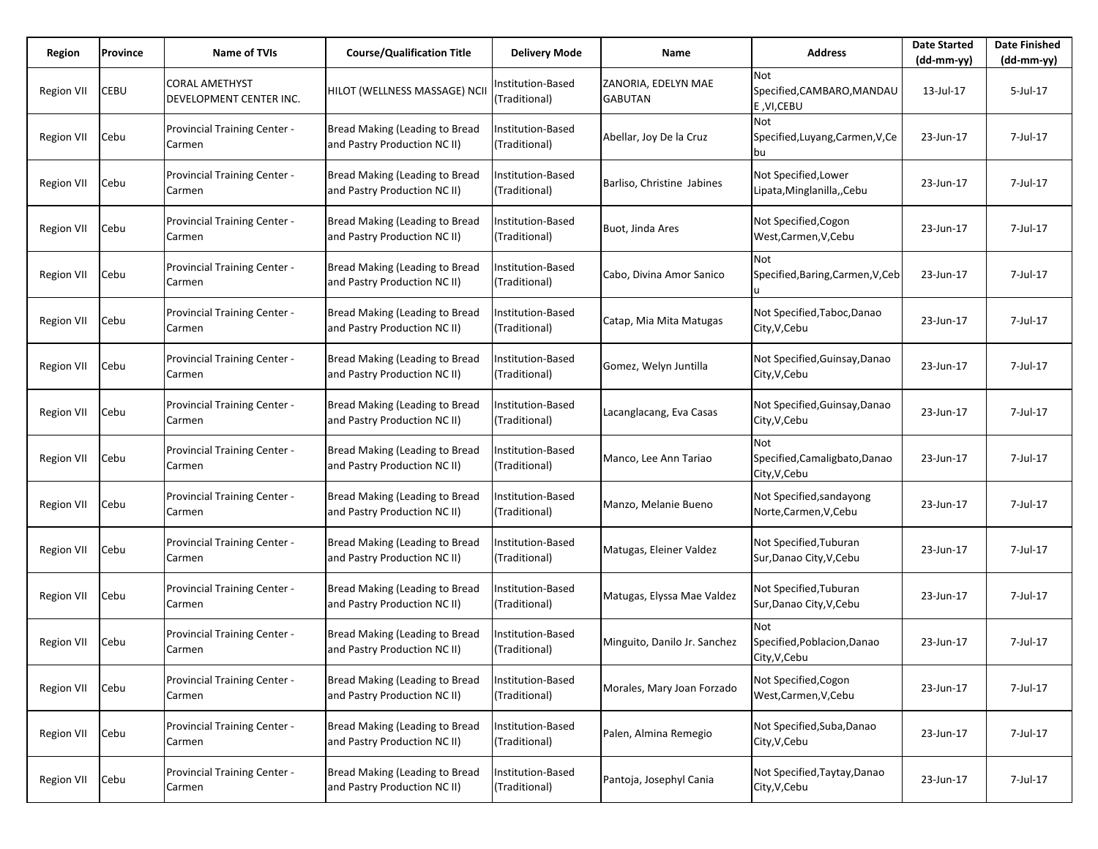| Region            | Province | Name of TVIs                                  | <b>Course/Qualification Title</b>                                     | <b>Delivery Mode</b>               | Name                                  | <b>Address</b>                                        | <b>Date Started</b><br>(dd-mm-yy) | <b>Date Finished</b><br>$(dd-mm-yy)$ |
|-------------------|----------|-----------------------------------------------|-----------------------------------------------------------------------|------------------------------------|---------------------------------------|-------------------------------------------------------|-----------------------------------|--------------------------------------|
| <b>Region VII</b> | CEBU     | CORAL AMETHYST<br>DEVELOPMENT CENTER INC.     | HILOT (WELLNESS MASSAGE) NCII                                         | nstitution-Based<br>(Traditional)  | ZANORIA, EDELYN MAE<br><b>GABUTAN</b> | Not<br>Specified,CAMBARO,MANDAU<br>E, VI, CEBU        | 13-Jul-17                         | 5-Jul-17                             |
| <b>Region VII</b> | Cebu     | <b>Provincial Training Center -</b><br>Carmen | Bread Making (Leading to Bread<br>and Pastry Production NC II)        | nstitution-Based<br>(Traditional)  | Abellar, Joy De la Cruz               | Not<br>Specified, Luyang, Carmen, V, Ce<br>bu         | 23-Jun-17                         | 7-Jul-17                             |
| <b>Region VII</b> | Cebu     | <b>Provincial Training Center -</b><br>Carmen | <b>Bread Making (Leading to Bread</b><br>and Pastry Production NC II) | Institution-Based<br>(Traditional) | Barliso, Christine Jabines            | Not Specified, Lower<br>Lipata, Minglanilla,, Cebu    | 23-Jun-17                         | 7-Jul-17                             |
| <b>Region VII</b> | Cebu     | <b>Provincial Training Center -</b><br>Carmen | Bread Making (Leading to Bread<br>and Pastry Production NC II)        | nstitution-Based<br>(Traditional)  | Buot, Jinda Ares                      | Not Specified, Cogon<br>West, Carmen, V, Cebu         | 23-Jun-17                         | 7-Jul-17                             |
| <b>Region VII</b> | Cebu     | <b>Provincial Training Center -</b><br>Carmen | Bread Making (Leading to Bread<br>and Pastry Production NC II)        | Institution-Based<br>(Traditional) | Cabo, Divina Amor Sanico              | <b>Not</b><br>Specified,Baring,Carmen,V,Ceb           | 23-Jun-17                         | 7-Jul-17                             |
| <b>Region VII</b> | Cebu     | <b>Provincial Training Center -</b><br>Carmen | Bread Making (Leading to Bread<br>and Pastry Production NC II)        | nstitution-Based<br>(Traditional)  | Catap, Mia Mita Matugas               | Not Specified, Taboc, Danao<br>City, V, Cebu          | 23-Jun-17                         | 7-Jul-17                             |
| <b>Region VII</b> | Cebu     | <b>Provincial Training Center -</b><br>Carmen | Bread Making (Leading to Bread<br>and Pastry Production NC II)        | Institution-Based<br>(Traditional) | Gomez, Welyn Juntilla                 | Not Specified, Guinsay, Danao<br>City, V, Cebu        | 23-Jun-17                         | 7-Jul-17                             |
| <b>Region VII</b> | Cebu     | Provincial Training Center -<br>Carmen        | Bread Making (Leading to Bread<br>and Pastry Production NC II)        | nstitution-Based<br>(Traditional)  | Lacanglacang, Eva Casas               | Not Specified, Guinsay, Danao<br>City, V, Cebu        | 23-Jun-17                         | 7-Jul-17                             |
| <b>Region VII</b> | Cebu     | Provincial Training Center -<br>Carmen        | Bread Making (Leading to Bread<br>and Pastry Production NC II)        | Institution-Based<br>(Traditional) | Manco, Lee Ann Tariao                 | Not<br>Specified, Camaligbato, Danao<br>City, V, Cebu | 23-Jun-17                         | 7-Jul-17                             |
| <b>Region VII</b> | Cebu     | Provincial Training Center -<br>Carmen        | Bread Making (Leading to Bread<br>and Pastry Production NC II)        | nstitution-Based<br>(Traditional)  | Manzo, Melanie Bueno                  | Not Specified, sandayong<br>Norte,Carmen,V,Cebu       | 23-Jun-17                         | 7-Jul-17                             |
| Region VII        | Cebu     | <b>Provincial Training Center -</b><br>Carmen | Bread Making (Leading to Bread<br>and Pastry Production NC II)        | Institution-Based<br>(Traditional) | Matugas, Eleiner Valdez               | Not Specified, Tuburan<br>Sur, Danao City, V, Cebu    | 23-Jun-17                         | 7-Jul-17                             |
| <b>Region VII</b> | Cebu     | Provincial Training Center -<br>Carmen        | Bread Making (Leading to Bread<br>and Pastry Production NC II)        | nstitution-Based<br>(Traditional)  | Matugas, Elyssa Mae Valdez            | Not Specified, Tuburan<br>Sur, Danao City, V, Cebu    | 23-Jun-17                         | 7-Jul-17                             |
| <b>Region VII</b> | Cebu     | Provincial Training Center -<br>Carmen        | Bread Making (Leading to Bread<br>and Pastry Production NC II)        | nstitution-Based<br>(Traditional)  | Minguito, Danilo Jr. Sanchez          | Not<br>Specified, Poblacion, Danao<br>City, V, Cebu   | 23-Jun-17                         | 7-Jul-17                             |
| <b>Region VII</b> | Cebu     | Provincial Training Center -<br>Carmen        | Bread Making (Leading to Bread<br>and Pastry Production NC II)        | nstitution-Based<br>(Traditional)  | Morales, Mary Joan Forzado            | Not Specified, Cogon<br>West, Carmen, V, Cebu         | 23-Jun-17                         | 7-Jul-17                             |
| <b>Region VII</b> | Cebu     | Provincial Training Center -<br>Carmen        | Bread Making (Leading to Bread<br>and Pastry Production NC II)        | Institution-Based<br>(Traditional) | Palen, Almina Remegio                 | Not Specified, Suba, Danao<br>City, V, Cebu           | 23-Jun-17                         | 7-Jul-17                             |
| <b>Region VII</b> | Cebu     | Provincial Training Center -<br>Carmen        | Bread Making (Leading to Bread<br>and Pastry Production NC II)        | nstitution-Based<br>(Traditional)  | Pantoja, Josephyl Cania               | Not Specified, Taytay, Danao<br>City, V, Cebu         | 23-Jun-17                         | 7-Jul-17                             |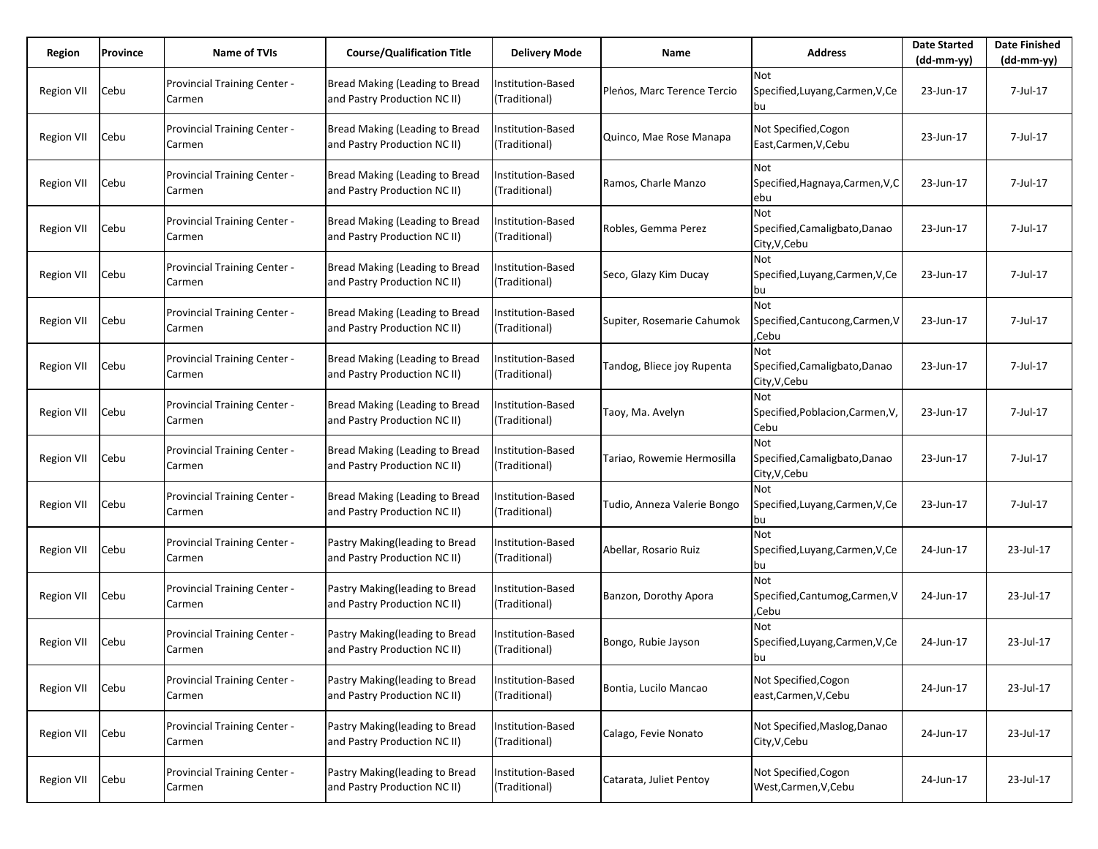| Region            | Province | <b>Name of TVIs</b>                           | <b>Course/Qualification Title</b>                              | <b>Delivery Mode</b>                      | Name                        | <b>Address</b>                                        | <b>Date Started</b><br>$(dd-mm-yy)$ | <b>Date Finished</b><br>(dd-mm-yy) |
|-------------------|----------|-----------------------------------------------|----------------------------------------------------------------|-------------------------------------------|-----------------------------|-------------------------------------------------------|-------------------------------------|------------------------------------|
| Region VII        | Cebu     | Provincial Training Center -<br>Carmen        | Bread Making (Leading to Bread<br>and Pastry Production NC II) | Institution-Based<br>(Traditional)        | Plenos, Marc Terence Tercio | Not<br>Specified, Luyang, Carmen, V, Ce<br>bu         | 23-Jun-17                           | 7-Jul-17                           |
| Region VII        | Cebu     | <b>Provincial Training Center -</b><br>Carmen | Bread Making (Leading to Bread<br>and Pastry Production NC II) | <b>Institution-Based</b><br>(Traditional) | Quinco, Mae Rose Manapa     | Not Specified, Cogon<br>East, Carmen, V, Cebu         | 23-Jun-17                           | 7-Jul-17                           |
| Region VII        | Cebu     | Provincial Training Center -<br>Carmen        | Bread Making (Leading to Bread<br>and Pastry Production NC II) | Institution-Based<br>(Traditional)        | Ramos, Charle Manzo         | Not<br>Specified, Hagnaya, Carmen, V, C<br>ebu        | 23-Jun-17                           | 7-Jul-17                           |
| Region VII        | Cebu     | Provincial Training Center -<br>Carmen        | Bread Making (Leading to Bread<br>and Pastry Production NC II) | Institution-Based<br>(Traditional)        | Robles, Gemma Perez         | Not<br>Specified, Camaligbato, Danao<br>City, V, Cebu | 23-Jun-17                           | 7-Jul-17                           |
| <b>Region VII</b> | Cebu     | Provincial Training Center -<br>Carmen        | Bread Making (Leading to Bread<br>and Pastry Production NC II) | Institution-Based<br>(Traditional)        | Seco, Glazy Kim Ducay       | <b>Not</b><br>Specified, Luyang, Carmen, V, Ce<br>bu  | 23-Jun-17                           | 7-Jul-17                           |
| Region VII        | Cebu     | Provincial Training Center -<br>Carmen        | Bread Making (Leading to Bread<br>and Pastry Production NC II) | Institution-Based<br>(Traditional)        | Supiter, Rosemarie Cahumok  | Not<br>Specified, Cantucong, Carmen, V<br>Cebu,       | 23-Jun-17                           | 7-Jul-17                           |
| <b>Region VII</b> | Cebu     | Provincial Training Center -<br>Carmen        | Bread Making (Leading to Bread<br>and Pastry Production NC II) | Institution-Based<br>(Traditional)        | Tandog, Bliece joy Rupenta  | Not<br>Specified, Camaligbato, Danao<br>City, V, Cebu | 23-Jun-17                           | 7-Jul-17                           |
| <b>Region VII</b> | Cebu     | Provincial Training Center -<br>Carmen        | Bread Making (Leading to Bread<br>and Pastry Production NC II) | Institution-Based<br>(Traditional)        | Taoy, Ma. Avelyn            | Not<br>Specified, Poblacion, Carmen, V,<br>Cebu       | 23-Jun-17                           | 7-Jul-17                           |
| Region VII        | Cebu     | Provincial Training Center -<br>Carmen        | Bread Making (Leading to Bread<br>and Pastry Production NC II) | Institution-Based<br>(Traditional)        | Tariao, Rowemie Hermosilla  | Not<br>Specified, Camaligbato, Danao<br>City, V, Cebu | 23-Jun-17                           | 7-Jul-17                           |
| <b>Region VII</b> | Cebu     | Provincial Training Center -<br>Carmen        | Bread Making (Leading to Bread<br>and Pastry Production NC II) | <b>Institution-Based</b><br>(Traditional) | Tudio, Anneza Valerie Bongo | Not<br>Specified, Luyang, Carmen, V, Ce<br>bu         | 23-Jun-17                           | 7-Jul-17                           |
| Region VII        | Cebu     | Provincial Training Center -<br>Carmen        | Pastry Making(leading to Bread<br>and Pastry Production NC II) | <b>Institution-Based</b><br>(Traditional) | Abellar, Rosario Ruiz       | Not<br>Specified, Luyang, Carmen, V, Ce<br>bu         | 24-Jun-17                           | 23-Jul-17                          |
| <b>Region VII</b> | Cebu     | Provincial Training Center -<br>Carmen        | Pastry Making(leading to Bread<br>and Pastry Production NC II) | Institution-Based<br>(Traditional)        | Banzon, Dorothy Apora       | Not<br>Specified, Cantumog, Carmen, V<br>Cebu,        | 24-Jun-17                           | 23-Jul-17                          |
| Region VII        | Cebu     | Provincial Training Center -<br>Carmen        | Pastry Making(leading to Bread<br>and Pastry Production NC II) | <b>Institution-Based</b><br>(Traditional) | Bongo, Rubie Jayson         | Not<br>Specified, Luyang, Carmen, V, Ce<br>υu         | 24-Jun-17                           | 23-Jul-17                          |
| <b>Region VII</b> | Cebu     | Provincial Training Center -<br>Carmen        | Pastry Making(leading to Bread<br>and Pastry Production NC II) | Institution-Based<br>(Traditional)        | Bontia, Lucilo Mancao       | Not Specified, Cogon<br>east, Carmen, V, Cebu         | 24-Jun-17                           | 23-Jul-17                          |
| Region VII        | Cebu     | Provincial Training Center -<br>Carmen        | Pastry Making(leading to Bread<br>and Pastry Production NC II) | Institution-Based<br>(Traditional)        | Calago, Fevie Nonato        | Not Specified, Maslog, Danao<br>City, V, Cebu         | 24-Jun-17                           | 23-Jul-17                          |
| <b>Region VII</b> | Cebu     | Provincial Training Center -<br>Carmen        | Pastry Making(leading to Bread<br>and Pastry Production NC II) | Institution-Based<br>(Traditional)        | Catarata, Juliet Pentoy     | Not Specified, Cogon<br>West, Carmen, V, Cebu         | 24-Jun-17                           | 23-Jul-17                          |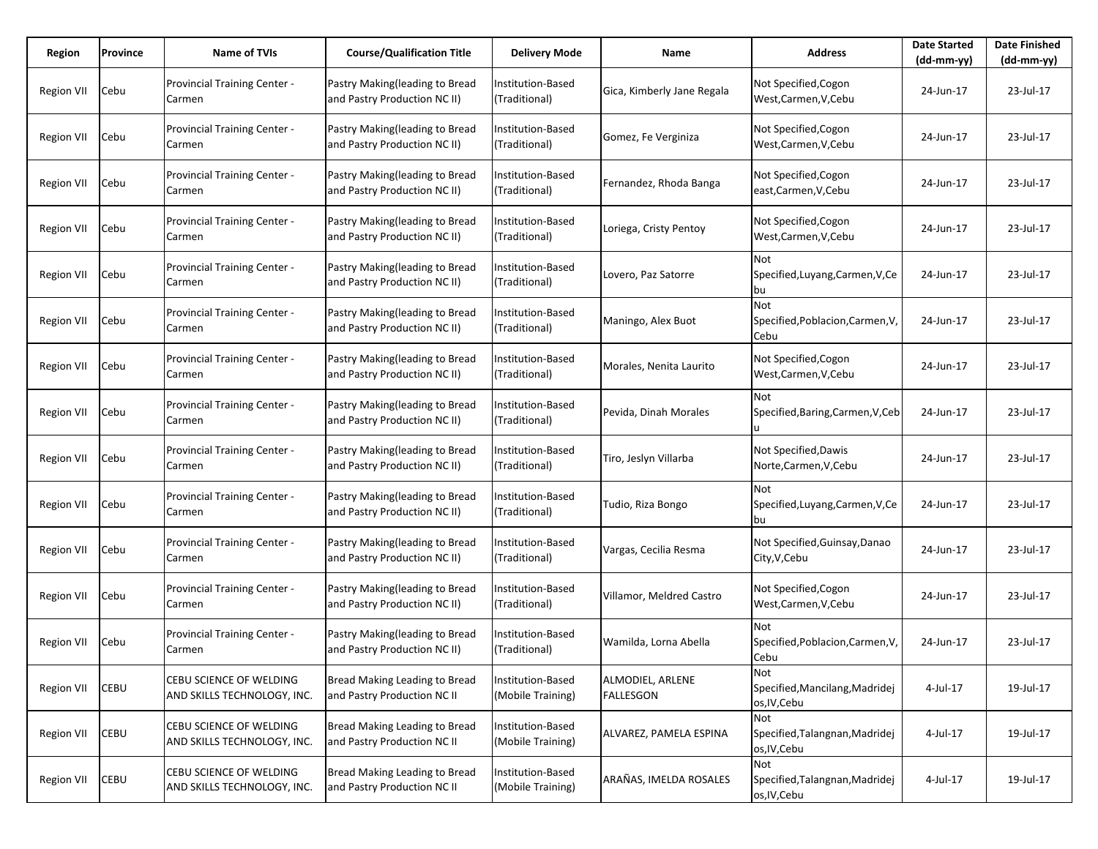| Region            | Province | Name of TVIs                                           | <b>Course/Qualification Title</b>                              | <b>Delivery Mode</b>                      | Name                                 | <b>Address</b>                                        | <b>Date Started</b><br>$(dd-mm-yy)$ | <b>Date Finished</b><br>(dd-mm-yy) |
|-------------------|----------|--------------------------------------------------------|----------------------------------------------------------------|-------------------------------------------|--------------------------------------|-------------------------------------------------------|-------------------------------------|------------------------------------|
| Region VII        | Cebu     | Provincial Training Center -<br>Carmen                 | Pastry Making(leading to Bread<br>and Pastry Production NC II) | Institution-Based<br>(Traditional)        | Gica, Kimberly Jane Regala           | Not Specified, Cogon<br>West, Carmen, V, Cebu         | 24-Jun-17                           | 23-Jul-17                          |
| Region VII        | Cebu     | <b>Provincial Training Center -</b><br>Carmen          | Pastry Making(leading to Bread<br>and Pastry Production NC II) | Institution-Based<br>(Traditional)        | Gomez, Fe Verginiza                  | Not Specified, Cogon<br>West, Carmen, V, Cebu         | 24-Jun-17                           | 23-Jul-17                          |
| Region VII        | Cebu     | Provincial Training Center -<br>Carmen                 | Pastry Making(leading to Bread<br>and Pastry Production NC II) | Institution-Based<br>(Traditional)        | Fernandez, Rhoda Banga               | Not Specified, Cogon<br>east, Carmen, V, Cebu         | 24-Jun-17                           | 23-Jul-17                          |
| Region VII        | Cebu     | Provincial Training Center -<br>Carmen                 | Pastry Making(leading to Bread<br>and Pastry Production NC II) | Institution-Based<br>(Traditional)        | Loriega, Cristy Pentoy               | Not Specified, Cogon<br>West,Carmen,V,Cebu            | 24-Jun-17                           | 23-Jul-17                          |
| <b>Region VII</b> | Cebu     | Provincial Training Center -<br>Carmen                 | Pastry Making(leading to Bread<br>and Pastry Production NC II) | Institution-Based<br>(Traditional)        | Lovero, Paz Satorre                  | Not<br>Specified, Luyang, Carmen, V, Ce<br>bu         | 24-Jun-17                           | 23-Jul-17                          |
| <b>Region VII</b> | Cebu     | Provincial Training Center -<br>Carmen                 | Pastry Making(leading to Bread<br>and Pastry Production NC II) | Institution-Based<br>(Traditional)        | Maningo, Alex Buot                   | Not<br>Specified, Poblacion, Carmen, V,<br>Cebu       | 24-Jun-17                           | 23-Jul-17                          |
| <b>Region VII</b> | Cebu     | <b>Provincial Training Center -</b><br>Carmen          | Pastry Making(leading to Bread<br>and Pastry Production NC II) | Institution-Based<br>(Traditional)        | Morales, Nenita Laurito              | Not Specified, Cogon<br>West, Carmen, V, Cebu         | 24-Jun-17                           | 23-Jul-17                          |
| Region VII        | Cebu     | Provincial Training Center -<br>Carmen                 | Pastry Making(leading to Bread<br>and Pastry Production NC II) | Institution-Based<br>(Traditional)        | Pevida, Dinah Morales                | Not<br>Specified, Baring, Carmen, V, Ceb              | 24-Jun-17                           | 23-Jul-17                          |
| <b>Region VII</b> | Cebu     | Provincial Training Center -<br>Carmen                 | Pastry Making(leading to Bread<br>and Pastry Production NC II) | Institution-Based<br>(Traditional)        | Tiro, Jeslyn Villarba                | Not Specified, Dawis<br>Norte,Carmen,V,Cebu           | 24-Jun-17                           | 23-Jul-17                          |
| Region VII        | Cebu     | Provincial Training Center -<br>Carmen                 | Pastry Making(leading to Bread<br>and Pastry Production NC II) | Institution-Based<br>(Traditional)        | Tudio, Riza Bongo                    | Not<br>Specified, Luyang, Carmen, V, Ce<br>bu         | 24-Jun-17                           | 23-Jul-17                          |
| Region VII        | Cebu     | Provincial Training Center -<br>Carmen                 | Pastry Making(leading to Bread<br>and Pastry Production NC II) | Institution-Based<br>(Traditional)        | Vargas, Cecilia Resma                | Not Specified, Guinsay, Danao<br>City, V, Cebu        | 24-Jun-17                           | 23-Jul-17                          |
| Region VII        | Cebu     | Provincial Training Center -<br>Carmen                 | Pastry Making(leading to Bread<br>and Pastry Production NC II) | Institution-Based<br>(Traditional)        | Villamor, Meldred Castro             | Not Specified,Cogon<br>West, Carmen, V, Cebu          | 24-Jun-17                           | 23-Jul-17                          |
| Region VII        | Cebu     | Provincial Training Center -<br>Carmen                 | Pastry Making(leading to Bread<br>and Pastry Production NC II) | <b>Institution-Based</b><br>(Traditional) | Wamilda, Lorna Abella                | Not<br>Specified, Poblacion, Carmen, V,<br>Cebu       | 24-Jun-17                           | 23-Jul-17                          |
| <b>Region VII</b> | CEBU     | CEBU SCIENCE OF WELDING<br>AND SKILLS TECHNOLOGY, INC. | Bread Making Leading to Bread<br>and Pastry Production NC II   | Institution-Based<br>(Mobile Training)    | ALMODIEL, ARLENE<br><b>FALLESGON</b> | Not<br>Specified, Mancilang, Madridej<br>os, IV, Cebu | 4-Jul-17                            | 19-Jul-17                          |
| <b>Region VII</b> | CEBU     | CEBU SCIENCE OF WELDING<br>AND SKILLS TECHNOLOGY, INC. | Bread Making Leading to Bread<br>and Pastry Production NC II   | Institution-Based<br>(Mobile Training)    | ALVAREZ, PAMELA ESPINA               | Not<br>Specified, Talangnan, Madridej<br>os, IV, Cebu | 4-Jul-17                            | 19-Jul-17                          |
| <b>Region VII</b> | CEBU     | CEBU SCIENCE OF WELDING<br>AND SKILLS TECHNOLOGY, INC. | Bread Making Leading to Bread<br>and Pastry Production NC II   | Institution-Based<br>(Mobile Training)    | ARAÑAS, IMELDA ROSALES               | Not<br>Specified, Talangnan, Madridej<br>os, IV, Cebu | 4-Jul-17                            | 19-Jul-17                          |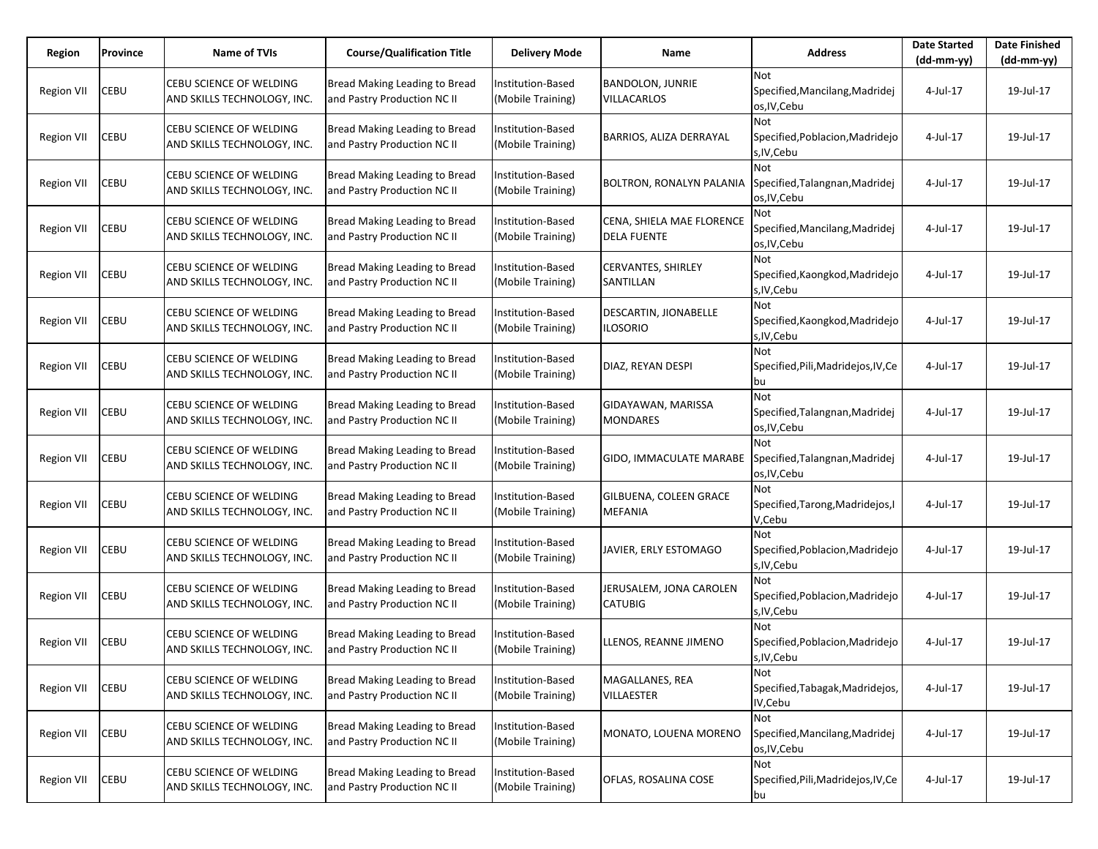| Region            | Province | <b>Name of TVIs</b>                                           | <b>Course/Qualification Title</b>                            | <b>Delivery Mode</b>                          | Name                                            | <b>Address</b>                                               | <b>Date Started</b><br>$(dd-mm-yy)$ | <b>Date Finished</b><br>(dd-mm-yy) |
|-------------------|----------|---------------------------------------------------------------|--------------------------------------------------------------|-----------------------------------------------|-------------------------------------------------|--------------------------------------------------------------|-------------------------------------|------------------------------------|
| Region VII        | CEBU     | <b>CEBU SCIENCE OF WELDING</b><br>AND SKILLS TECHNOLOGY, INC. | Bread Making Leading to Bread<br>and Pastry Production NC II | Institution-Based<br>(Mobile Training)        | <b>BANDOLON, JUNRIE</b><br><b>VILLACARLOS</b>   | Not<br>Specified, Mancilang, Madridej<br>os, IV, Cebu        | 4-Jul-17                            | 19-Jul-17                          |
| Region VII        | CEBU     | CEBU SCIENCE OF WELDING<br>AND SKILLS TECHNOLOGY, INC.        | Bread Making Leading to Bread<br>and Pastry Production NC II | Institution-Based<br>(Mobile Training)        | BARRIOS, ALIZA DERRAYAL                         | Not<br>Specified, Poblacion, Madridejo<br>s, IV, Cebu        | 4-Jul-17                            | 19-Jul-17                          |
| <b>Region VII</b> | CEBU     | CEBU SCIENCE OF WELDING<br>AND SKILLS TECHNOLOGY, INC.        | Bread Making Leading to Bread<br>and Pastry Production NC II | Institution-Based<br>(Mobile Training)        | BOLTRON, RONALYN PALANIA                        | Not<br>Specified, Talangnan, Madridej<br>os, IV, Cebu        | 4-Jul-17                            | 19-Jul-17                          |
| <b>Region VII</b> | CEBU     | CEBU SCIENCE OF WELDING<br>AND SKILLS TECHNOLOGY, INC.        | Bread Making Leading to Bread<br>and Pastry Production NC II | Institution-Based<br>(Mobile Training)        | CENA, SHIELA MAE FLORENCE<br><b>DELA FUENTE</b> | Not<br>Specified, Mancilang, Madridej<br>os, IV, Cebu        | 4-Jul-17                            | 19-Jul-17                          |
| <b>Region VII</b> | CEBU     | CEBU SCIENCE OF WELDING<br>AND SKILLS TECHNOLOGY, INC.        | Bread Making Leading to Bread<br>and Pastry Production NC II | Institution-Based<br>(Mobile Training)        | CERVANTES, SHIRLEY<br>SANTILLAN                 | Not<br>Specified, Kaongkod, Madridejo<br>s, IV, Cebu         | 4-Jul-17                            | 19-Jul-17                          |
| <b>Region VII</b> | CEBU     | CEBU SCIENCE OF WELDING<br>AND SKILLS TECHNOLOGY, INC.        | Bread Making Leading to Bread<br>and Pastry Production NC II | Institution-Based<br>(Mobile Training)        | DESCARTIN, JIONABELLE<br><b>ILOSORIO</b>        | Not<br>Specified, Kaongkod, Madridejo<br>s, IV, Cebu         | 4-Jul-17                            | 19-Jul-17                          |
| <b>Region VII</b> | CEBU     | CEBU SCIENCE OF WELDING<br>AND SKILLS TECHNOLOGY, INC.        | Bread Making Leading to Bread<br>and Pastry Production NC II | Institution-Based<br>(Mobile Training)        | DIAZ, REYAN DESPI                               | Not<br>Specified, Pili, Madridejos, IV, Ce<br>bu             | 4-Jul-17                            | 19-Jul-17                          |
| Region VII        | CEBU     | <b>CEBU SCIENCE OF WELDING</b><br>AND SKILLS TECHNOLOGY, INC. | Bread Making Leading to Bread<br>and Pastry Production NC II | Institution-Based<br>(Mobile Training)        | GIDAYAWAN, MARISSA<br><b>MONDARES</b>           | Not<br>Specified, Talangnan, Madridej<br>os, IV, Cebu        | 4-Jul-17                            | 19-Jul-17                          |
| Region VII        | CEBU     | CEBU SCIENCE OF WELDING<br>AND SKILLS TECHNOLOGY, INC.        | Bread Making Leading to Bread<br>and Pastry Production NC II | Institution-Based<br>(Mobile Training)        | GIDO, IMMACULATE MARABE                         | Not<br>Specified, Talangnan, Madridej<br>os, IV, Cebu        | 4-Jul-17                            | 19-Jul-17                          |
| <b>Region VII</b> | CEBU     | CEBU SCIENCE OF WELDING<br>AND SKILLS TECHNOLOGY, INC.        | Bread Making Leading to Bread<br>and Pastry Production NC II | <b>Institution-Based</b><br>(Mobile Training) | GILBUENA, COLEEN GRACE<br>MEFANIA               | Not<br>Specified, Tarong, Madridejos, I<br>V,Cebu            | 4-Jul-17                            | 19-Jul-17                          |
| <b>Region VII</b> | CEBU     | CEBU SCIENCE OF WELDING<br>AND SKILLS TECHNOLOGY, INC.        | Bread Making Leading to Bread<br>and Pastry Production NC II | Institution-Based<br>(Mobile Training)        | JAVIER, ERLY ESTOMAGO                           | <b>Not</b><br>Specified, Poblacion, Madridejo<br>s, IV, Cebu | 4-Jul-17                            | 19-Jul-17                          |
| Region VII        | CEBU     | CEBU SCIENCE OF WELDING<br>AND SKILLS TECHNOLOGY, INC.        | Bread Making Leading to Bread<br>and Pastry Production NC II | Institution-Based<br>(Mobile Training)        | JERUSALEM, JONA CAROLEN<br><b>CATUBIG</b>       | Not<br>Specified, Poblacion, Madridejo<br>s, IV, Cebu        | 4-Jul-17                            | 19-Jul-17                          |
| Region VII        | CEBU     | CEBU SCIENCE OF WELDING<br>AND SKILLS TECHNOLOGY, INC.        | Bread Making Leading to Bread<br>and Pastry Production NC II | <b>Institution-Based</b><br>(Mobile Training) | LLENOS, REANNE JIMENO                           | Not<br>Specified, Poblacion, Madridejo<br>s, IV, Cebu        | 4-Jul-17                            | 19-Jul-17                          |
| <b>Region VII</b> | CEBU     | CEBU SCIENCE OF WELDING<br>AND SKILLS TECHNOLOGY, INC.        | Bread Making Leading to Bread<br>and Pastry Production NC II | Institution-Based<br>(Mobile Training)        | MAGALLANES, REA<br><b>VILLAESTER</b>            | Not<br>Specified, Tabagak, Madridejos,<br>IV, Cebu           | 4-Jul-17                            | 19-Jul-17                          |
| <b>Region VII</b> | CEBU     | CEBU SCIENCE OF WELDING<br>AND SKILLS TECHNOLOGY, INC.        | Bread Making Leading to Bread<br>and Pastry Production NC II | Institution-Based<br>(Mobile Training)        | MONATO, LOUENA MORENO                           | Not<br>Specified, Mancilang, Madridej<br>os, IV, Cebu        | 4-Jul-17                            | 19-Jul-17                          |
| <b>Region VII</b> | CEBU     | CEBU SCIENCE OF WELDING<br>AND SKILLS TECHNOLOGY, INC.        | Bread Making Leading to Bread<br>and Pastry Production NC II | Institution-Based<br>(Mobile Training)        | OFLAS, ROSALINA COSE                            | Not<br>Specified, Pili, Madridejos, IV, Ce<br>bu             | 4-Jul-17                            | 19-Jul-17                          |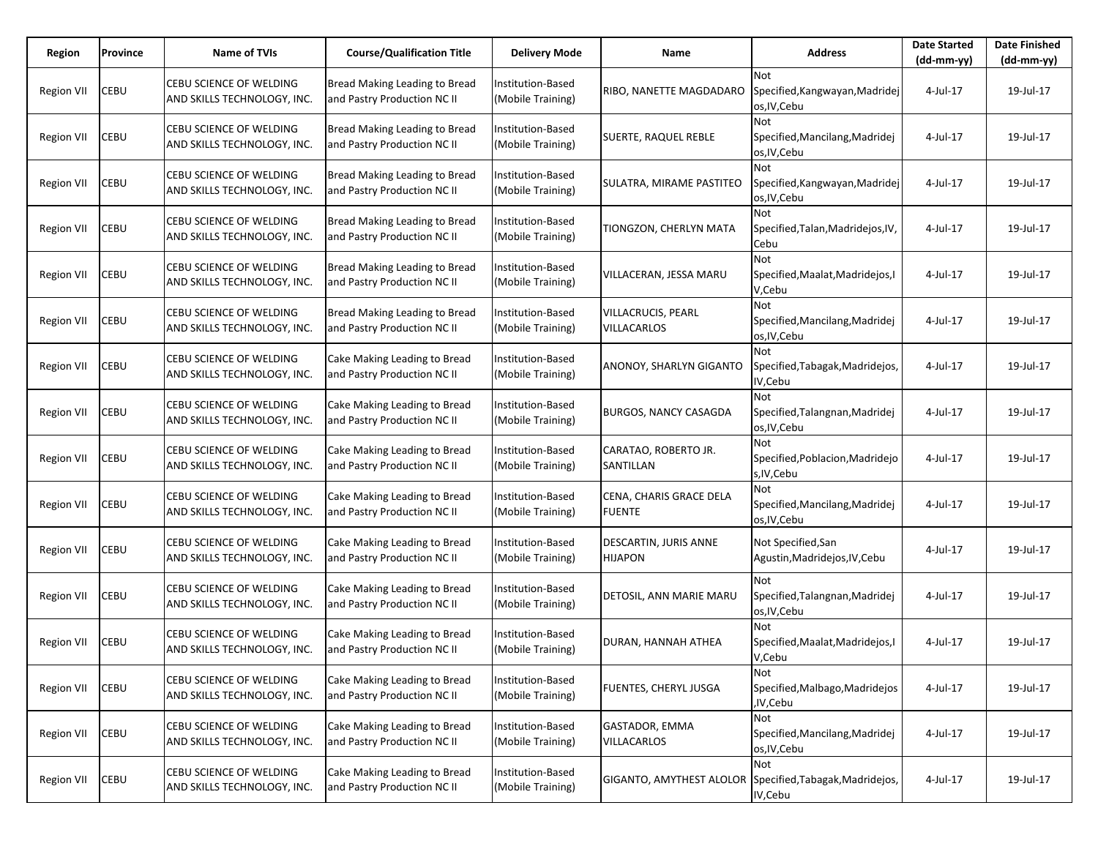| Region            | Province | Name of TVIs                                                  | <b>Course/Qualification Title</b>                            | <b>Delivery Mode</b>                          | Name                                     | <b>Address</b>                                               | <b>Date Started</b><br>$(dd-mm-yy)$ | <b>Date Finished</b><br>(dd-mm-yy) |
|-------------------|----------|---------------------------------------------------------------|--------------------------------------------------------------|-----------------------------------------------|------------------------------------------|--------------------------------------------------------------|-------------------------------------|------------------------------------|
| Region VII        | CEBU     | CEBU SCIENCE OF WELDING<br>AND SKILLS TECHNOLOGY, INC.        | Bread Making Leading to Bread<br>and Pastry Production NC II | Institution-Based<br>(Mobile Training)        | RIBO, NANETTE MAGDADARO                  | Not<br>Specified, Kangwayan, Madridej<br>os, IV, Cebu        | 4-Jul-17                            | 19-Jul-17                          |
| Region VII        | CEBU     | CEBU SCIENCE OF WELDING<br>AND SKILLS TECHNOLOGY, INC.        | Bread Making Leading to Bread<br>and Pastry Production NC II | Institution-Based<br>(Mobile Training)        | SUERTE, RAQUEL REBLE                     | Not<br>Specified, Mancilang, Madridej<br>os, IV, Cebu        | 4-Jul-17                            | 19-Jul-17                          |
| Region VII        | CEBU     | <b>CEBU SCIENCE OF WELDING</b><br>AND SKILLS TECHNOLOGY, INC. | Bread Making Leading to Bread<br>and Pastry Production NC II | Institution-Based<br>(Mobile Training)        | SULATRA, MIRAME PASTITEO                 | Not<br>Specified, Kangwayan, Madridej<br>os, IV, Cebu        | 4-Jul-17                            | 19-Jul-17                          |
| Region VII        | CEBU     | CEBU SCIENCE OF WELDING<br>AND SKILLS TECHNOLOGY, INC.        | Bread Making Leading to Bread<br>and Pastry Production NC II | Institution-Based<br>(Mobile Training)        | TIONGZON, CHERLYN MATA                   | Not<br>Specified, Talan, Madridejos, IV,<br>Cebu             | 4-Jul-17                            | 19-Jul-17                          |
| <b>Region VII</b> | CEBU     | CEBU SCIENCE OF WELDING<br>AND SKILLS TECHNOLOGY, INC.        | Bread Making Leading to Bread<br>and Pastry Production NC II | Institution-Based<br>(Mobile Training)        | VILLACERAN, JESSA MARU                   | Not<br>Specified, Maalat, Madridejos, I<br>V,Cebu            | 4-Jul-17                            | 19-Jul-17                          |
| Region VII        | CEBU     | CEBU SCIENCE OF WELDING<br>AND SKILLS TECHNOLOGY, INC.        | Bread Making Leading to Bread<br>and Pastry Production NC II | Institution-Based<br>(Mobile Training)        | VILLACRUCIS, PEARL<br><b>VILLACARLOS</b> | Not<br>Specified, Mancilang, Madridej<br>os, IV, Cebu        | 4-Jul-17                            | 19-Jul-17                          |
| Region VII        | CEBU     | CEBU SCIENCE OF WELDING<br>AND SKILLS TECHNOLOGY, INC.        | Cake Making Leading to Bread<br>and Pastry Production NC II  | Institution-Based<br>(Mobile Training)        | ANONOY, SHARLYN GIGANTO                  | Not<br>Specified, Tabagak, Madridejos,<br>IV,Cebu            | 4-Jul-17                            | 19-Jul-17                          |
| Region VII        | CEBU     | CEBU SCIENCE OF WELDING<br>AND SKILLS TECHNOLOGY, INC.        | Cake Making Leading to Bread<br>and Pastry Production NC II  | <b>Institution-Based</b><br>(Mobile Training) | <b>BURGOS, NANCY CASAGDA</b>             | Not<br>Specified, Talangnan, Madridej<br>os, IV, Cebu        | 4-Jul-17                            | 19-Jul-17                          |
| Region VII        | CEBU     | CEBU SCIENCE OF WELDING<br>AND SKILLS TECHNOLOGY, INC.        | Cake Making Leading to Bread<br>and Pastry Production NC II  | Institution-Based<br>(Mobile Training)        | CARATAO, ROBERTO JR.<br>SANTILLAN        | <b>Not</b><br>Specified, Poblacion, Madridejo<br>s, IV, Cebu | 4-Jul-17                            | 19-Jul-17                          |
| Region VII        | CEBU     | CEBU SCIENCE OF WELDING<br>AND SKILLS TECHNOLOGY, INC.        | Cake Making Leading to Bread<br>and Pastry Production NC II  | <b>Institution-Based</b><br>(Mobile Training) | CENA, CHARIS GRACE DELA<br><b>FUENTE</b> | Not<br>Specified, Mancilang, Madridej<br>os, IV, Cebu        | 4-Jul-17                            | 19-Jul-17                          |
| Region VII        | CEBU     | CEBU SCIENCE OF WELDING<br>AND SKILLS TECHNOLOGY, INC.        | Cake Making Leading to Bread<br>and Pastry Production NC II  | Institution-Based<br>(Mobile Training)        | DESCARTIN, JURIS ANNE<br><b>HIJAPON</b>  | Not Specified,San<br>Agustin, Madridejos, IV, Cebu           | 4-Jul-17                            | 19-Jul-17                          |
| Region VII        | CEBU     | CEBU SCIENCE OF WELDING<br>AND SKILLS TECHNOLOGY, INC.        | Cake Making Leading to Bread<br>and Pastry Production NC II  | <b>Institution-Based</b><br>(Mobile Training) | DETOSIL, ANN MARIE MARU                  | Not<br>Specified, Talangnan, Madridej<br>os, IV, Cebu        | 4-Jul-17                            | 19-Jul-17                          |
| Region VII        | CEBU     | CEBU SCIENCE OF WELDING<br>AND SKILLS TECHNOLOGY, INC.        | Cake Making Leading to Bread<br>and Pastry Production NC II  | Institution-Based<br>(Mobile Training)        | DURAN, HANNAH ATHEA                      | Not<br>Specified, Maalat, Madridejos, I<br>V,Cebu            | 4-Jul-17                            | 19-Jul-17                          |
| <b>Region VII</b> | CEBU     | CEBU SCIENCE OF WELDING<br>AND SKILLS TECHNOLOGY, INC.        | Cake Making Leading to Bread<br>and Pastry Production NC II  | Institution-Based<br>(Mobile Training)        | FUENTES, CHERYL JUSGA                    | Not<br>Specified, Malbago, Madridejos<br>,IV,Cebu            | 4-Jul-17                            | 19-Jul-17                          |
| <b>Region VII</b> | CEBU     | CEBU SCIENCE OF WELDING<br>AND SKILLS TECHNOLOGY, INC.        | Cake Making Leading to Bread<br>and Pastry Production NC II  | Institution-Based<br>(Mobile Training)        | GASTADOR, EMMA<br><b>VILLACARLOS</b>     | Not<br>Specified, Mancilang, Madridej<br>os, IV, Cebu        | 4-Jul-17                            | 19-Jul-17                          |
| <b>Region VII</b> | CEBU     | CEBU SCIENCE OF WELDING<br>AND SKILLS TECHNOLOGY, INC.        | Cake Making Leading to Bread<br>and Pastry Production NC II  | Institution-Based<br>(Mobile Training)        | GIGANTO, AMYTHEST ALOLOR                 | Not<br>Specified, Tabagak, Madridejos,<br>IV, Cebu           | 4-Jul-17                            | 19-Jul-17                          |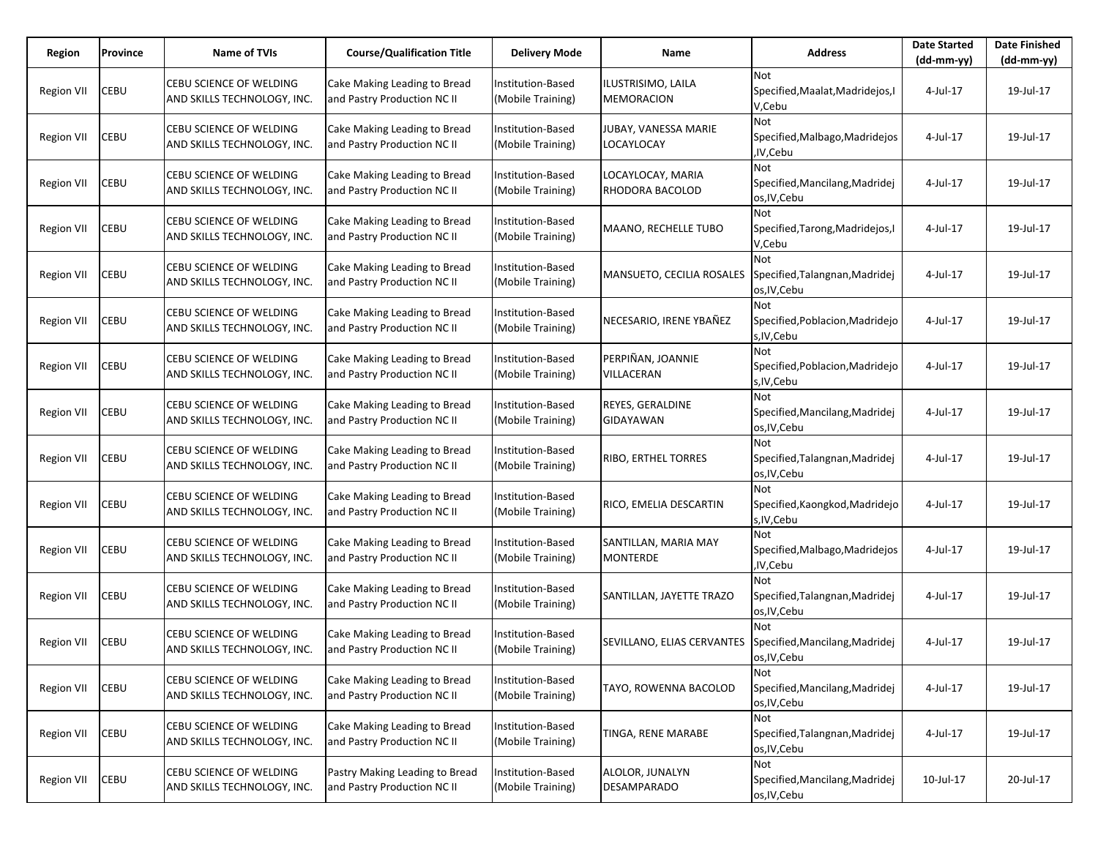| Region            | Province | Name of TVIs                                           | <b>Course/Qualification Title</b>                             | <b>Delivery Mode</b>                   | Name                                    | <b>Address</b>                                               | <b>Date Started</b><br>$(dd-mm-yy)$ | <b>Date Finished</b><br>$(dd-mm-yy)$ |
|-------------------|----------|--------------------------------------------------------|---------------------------------------------------------------|----------------------------------------|-----------------------------------------|--------------------------------------------------------------|-------------------------------------|--------------------------------------|
| Region VII        | CEBU     | CEBU SCIENCE OF WELDING<br>AND SKILLS TECHNOLOGY, INC. | Cake Making Leading to Bread<br>and Pastry Production NC II   | Institution-Based<br>(Mobile Training) | ILUSTRISIMO, LAILA<br><b>MEMORACION</b> | Not<br>Specified, Maalat, Madridejos, I<br>V,Cebu            | 4-Jul-17                            | 19-Jul-17                            |
| Region VII        | CEBU     | CEBU SCIENCE OF WELDING<br>AND SKILLS TECHNOLOGY, INC. | Cake Making Leading to Bread<br>and Pastry Production NC II   | Institution-Based<br>(Mobile Training) | JUBAY, VANESSA MARIE<br>LOCAYLOCAY      | Not<br>Specified, Malbago, Madridejos<br>,IV,Cebu            | 4-Jul-17                            | 19-Jul-17                            |
| Region VII        | CEBU     | CEBU SCIENCE OF WELDING<br>AND SKILLS TECHNOLOGY, INC. | Cake Making Leading to Bread<br>and Pastry Production NC II   | Institution-Based<br>(Mobile Training) | LOCAYLOCAY, MARIA<br>RHODORA BACOLOD    | <b>Not</b><br>Specified, Mancilang, Madridej<br>os, IV, Cebu | 4-Jul-17                            | 19-Jul-17                            |
| Region VII        | CEBU     | CEBU SCIENCE OF WELDING<br>AND SKILLS TECHNOLOGY, INC. | Cake Making Leading to Bread<br>and Pastry Production NC II   | Institution-Based<br>(Mobile Training) | MAANO, RECHELLE TUBO                    | Not<br>Specified, Tarong, Madridejos, I<br>V,Cebu            | 4-Jul-17                            | 19-Jul-17                            |
| <b>Region VII</b> | CEBU     | CEBU SCIENCE OF WELDING<br>AND SKILLS TECHNOLOGY, INC. | Cake Making Leading to Bread<br>and Pastry Production NC II   | Institution-Based<br>(Mobile Training) | MANSUETO, CECILIA ROSALES               | Not<br>Specified, Talangnan, Madridej<br>os, IV, Cebu        | 4-Jul-17                            | 19-Jul-17                            |
| Region VII        | CEBU     | CEBU SCIENCE OF WELDING<br>AND SKILLS TECHNOLOGY, INC. | Cake Making Leading to Bread<br>and Pastry Production NC II   | Institution-Based<br>(Mobile Training) | NECESARIO, IRENE YBAÑEZ                 | Not<br>Specified, Poblacion, Madridejo<br>s, IV, Cebu        | 4-Jul-17                            | 19-Jul-17                            |
| <b>Region VII</b> | CEBU     | CEBU SCIENCE OF WELDING<br>AND SKILLS TECHNOLOGY, INC. | Cake Making Leading to Bread<br>and Pastry Production NC II   | Institution-Based<br>(Mobile Training) | PERPIÑAN, JOANNIE<br>VILLACERAN         | Not<br>Specified, Poblacion, Madridejo<br>s, IV, Cebu        | 4-Jul-17                            | 19-Jul-17                            |
| Region VII        | CEBU     | CEBU SCIENCE OF WELDING<br>AND SKILLS TECHNOLOGY, INC. | Cake Making Leading to Bread<br>and Pastry Production NC II   | Institution-Based<br>(Mobile Training) | REYES, GERALDINE<br>GIDAYAWAN           | Not<br>Specified, Mancilang, Madridej<br>os, IV, Cebu        | 4-Jul-17                            | 19-Jul-17                            |
| Region VII        | CEBU     | CEBU SCIENCE OF WELDING<br>AND SKILLS TECHNOLOGY, INC. | Cake Making Leading to Bread<br>and Pastry Production NC II   | Institution-Based<br>(Mobile Training) | <b>RIBO, ERTHEL TORRES</b>              | <b>Not</b><br>Specified, Talangnan, Madridej<br>os, IV, Cebu | 4-Jul-17                            | 19-Jul-17                            |
| Region VII        | CEBU     | CEBU SCIENCE OF WELDING<br>AND SKILLS TECHNOLOGY, INC. | Cake Making Leading to Bread<br>and Pastry Production NC II   | Institution-Based<br>(Mobile Training) | RICO, EMELIA DESCARTIN                  | <b>Not</b><br>Specified, Kaongkod, Madridejo<br>s, IV, Cebu  | 4-Jul-17                            | 19-Jul-17                            |
| <b>Region VII</b> | CEBU     | CEBU SCIENCE OF WELDING<br>AND SKILLS TECHNOLOGY, INC. | Cake Making Leading to Bread<br>and Pastry Production NC II   | Institution-Based<br>(Mobile Training) | SANTILLAN, MARIA MAY<br><b>MONTERDE</b> | Not<br>Specified, Malbago, Madridejos<br>,IV,Cebu            | 4-Jul-17                            | 19-Jul-17                            |
| <b>Region VII</b> | CEBU     | CEBU SCIENCE OF WELDING<br>AND SKILLS TECHNOLOGY, INC. | Cake Making Leading to Bread<br>and Pastry Production NC II   | Institution-Based<br>(Mobile Training) | SANTILLAN, JAYETTE TRAZO                | Not<br>Specified, Talangnan, Madridej<br>os, IV, Cebu        | 4-Jul-17                            | 19-Jul-17                            |
| Region VII        | CEBU     | CEBU SCIENCE OF WELDING<br>AND SKILLS TECHNOLOGY, INC. | Cake Making Leading to Bread<br>and Pastry Production NC II   | Institution-Based<br>(Mobile Training) | SEVILLANO, ELIAS CERVANTES              | Not<br>Specified, Mancilang, Madridej<br>os, IV, Cebu        | 4-Jul-17                            | 19-Jul-17                            |
| <b>Region VII</b> | CEBU     | CEBU SCIENCE OF WELDING<br>AND SKILLS TECHNOLOGY, INC. | Cake Making Leading to Bread<br>and Pastry Production NC II   | Institution-Based<br>(Mobile Training) | TAYO, ROWENNA BACOLOD                   | Not<br>Specified, Mancilang, Madridej<br>os, IV, Cebu        | 4-Jul-17                            | 19-Jul-17                            |
| <b>Region VII</b> | CEBU     | CEBU SCIENCE OF WELDING<br>AND SKILLS TECHNOLOGY, INC. | Cake Making Leading to Bread<br>and Pastry Production NC II   | Institution-Based<br>(Mobile Training) | TINGA, RENE MARABE                      | Not<br>Specified, Talangnan, Madridej<br>os, IV, Cebu        | 4-Jul-17                            | 19-Jul-17                            |
| <b>Region VII</b> | CEBU     | CEBU SCIENCE OF WELDING<br>AND SKILLS TECHNOLOGY, INC. | Pastry Making Leading to Bread<br>and Pastry Production NC II | Institution-Based<br>(Mobile Training) | ALOLOR, JUNALYN<br>DESAMPARADO          | Not<br>Specified, Mancilang, Madridej<br>os, IV, Cebu        | 10-Jul-17                           | 20-Jul-17                            |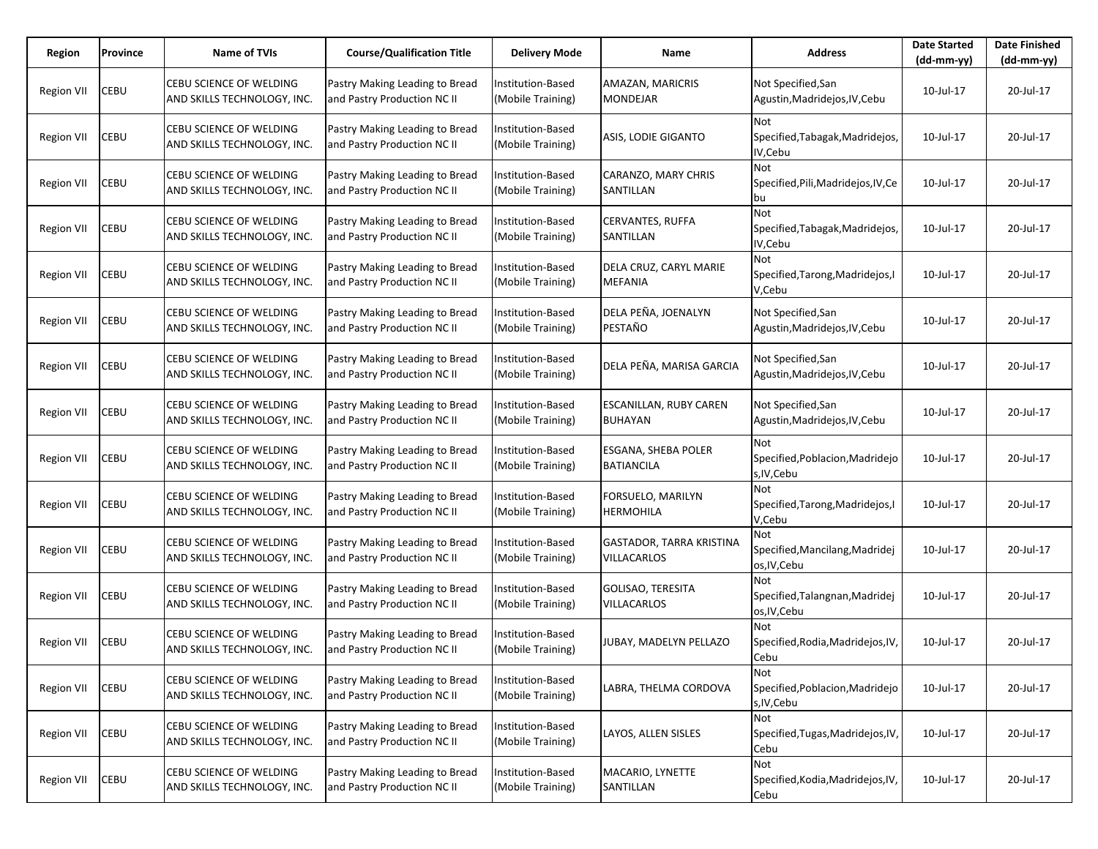| Region            | Province | Name of TVIs                                                  | <b>Course/Qualification Title</b>                             | <b>Delivery Mode</b>                   | Name                                                  | <b>Address</b>                                            | <b>Date Started</b><br>(dd-mm-yy) | <b>Date Finished</b><br>$(dd-mm-yy)$ |
|-------------------|----------|---------------------------------------------------------------|---------------------------------------------------------------|----------------------------------------|-------------------------------------------------------|-----------------------------------------------------------|-----------------------------------|--------------------------------------|
| <b>Region VII</b> | CEBU     | CEBU SCIENCE OF WELDING<br>AND SKILLS TECHNOLOGY, INC.        | Pastry Making Leading to Bread<br>and Pastry Production NC II | Institution-Based<br>(Mobile Training) | <b>AMAZAN, MARICRIS</b><br><b>MONDEJAR</b>            | Not Specified, San<br>Agustin, Madridejos, IV, Cebu       | 10-Jul-17                         | 20-Jul-17                            |
| Region VII        | CEBU     | CEBU SCIENCE OF WELDING<br>AND SKILLS TECHNOLOGY, INC.        | Pastry Making Leading to Bread<br>and Pastry Production NC II | Institution-Based<br>(Mobile Training) | <b>ASIS, LODIE GIGANTO</b>                            | Not<br>Specified, Tabagak, Madridejos,<br>IV,Cebu         | 10-Jul-17                         | 20-Jul-17                            |
| Region VII        | CEBU     | CEBU SCIENCE OF WELDING<br>AND SKILLS TECHNOLOGY, INC.        | Pastry Making Leading to Bread<br>and Pastry Production NC II | Institution-Based<br>(Mobile Training) | CARANZO, MARY CHRIS<br>SANTILLAN                      | <b>Not</b><br>Specified, Pili, Madridejos, IV, Ce<br>bu   | 10-Jul-17                         | 20-Jul-17                            |
| <b>Region VII</b> | CEBU     | CEBU SCIENCE OF WELDING<br>AND SKILLS TECHNOLOGY, INC.        | Pastry Making Leading to Bread<br>and Pastry Production NC II | nstitution-Based<br>(Mobile Training)  | <b>CERVANTES, RUFFA</b><br>SANTILLAN                  | <b>Not</b><br>Specified, Tabagak, Madridejos,<br>IV, Cebu | 10-Jul-17                         | 20-Jul-17                            |
| <b>Region VII</b> | CEBU     | CEBU SCIENCE OF WELDING<br>AND SKILLS TECHNOLOGY, INC.        | Pastry Making Leading to Bread<br>and Pastry Production NC II | Institution-Based<br>(Mobile Training) | DELA CRUZ, CARYL MARIE<br><b>MEFANIA</b>              | Not.<br>Specified, Tarong, Madridejos, I<br>V,Cebu        | 10-Jul-17                         | 20-Jul-17                            |
| <b>Region VII</b> | CEBU     | CEBU SCIENCE OF WELDING<br>AND SKILLS TECHNOLOGY, INC.        | Pastry Making Leading to Bread<br>and Pastry Production NC II | nstitution-Based<br>(Mobile Training)  | DELA PEÑA, JOENALYN<br>PESTAÑO                        | Not Specified, San<br>Agustin, Madridejos, IV, Cebu       | 10-Jul-17                         | 20-Jul-17                            |
| <b>Region VII</b> | CEBU     | CEBU SCIENCE OF WELDING<br>AND SKILLS TECHNOLOGY, INC.        | Pastry Making Leading to Bread<br>and Pastry Production NC II | Institution-Based<br>(Mobile Training) | DELA PEÑA, MARISA GARCIA                              | Not Specified, San<br>Agustin, Madridejos, IV, Cebu       | 10-Jul-17                         | 20-Jul-17                            |
| Region VII        | CEBU     | CEBU SCIENCE OF WELDING<br>AND SKILLS TECHNOLOGY, INC.        | Pastry Making Leading to Bread<br>and Pastry Production NC II | nstitution-Based<br>(Mobile Training)  | <b>ESCANILLAN, RUBY CAREN</b><br><b>BUHAYAN</b>       | Not Specified, San<br>Agustin, Madridejos, IV, Cebu       | 10-Jul-17                         | 20-Jul-17                            |
| <b>Region VII</b> | CEBU     | CEBU SCIENCE OF WELDING<br>AND SKILLS TECHNOLOGY, INC.        | Pastry Making Leading to Bread<br>and Pastry Production NC II | Institution-Based<br>(Mobile Training) | <b>ESGANA, SHEBA POLER</b><br><b>BATIANCILA</b>       | Not<br>Specified, Poblacion, Madridejo<br>s, IV, Cebu     | 10-Jul-17                         | 20-Jul-17                            |
| <b>Region VII</b> | CEBU     | CEBU SCIENCE OF WELDING<br>AND SKILLS TECHNOLOGY, INC.        | Pastry Making Leading to Bread<br>and Pastry Production NC II | nstitution-Based<br>(Mobile Training)  | FORSUELO, MARILYN<br><b>HERMOHILA</b>                 | Not<br>Specified, Tarong, Madridejos, I<br>V,Cebu         | 10-Jul-17                         | 20-Jul-17                            |
| Region VII        | CEBU     | CEBU SCIENCE OF WELDING<br>AND SKILLS TECHNOLOGY, INC.        | Pastry Making Leading to Bread<br>and Pastry Production NC II | Institution-Based<br>(Mobile Training) | <b>GASTADOR, TARRA KRISTINA</b><br><b>VILLACARLOS</b> | Not<br>Specified, Mancilang, Madridej<br>os, IV, Cebu     | 10-Jul-17                         | 20-Jul-17                            |
| Region VII        | CEBU     | <b>CEBU SCIENCE OF WELDING</b><br>AND SKILLS TECHNOLOGY, INC. | Pastry Making Leading to Bread<br>and Pastry Production NC II | nstitution-Based<br>(Mobile Training)  | <b>GOLISAO, TERESITA</b><br><b>VILLACARLOS</b>        | Not<br>Specified, Talangnan, Madridej<br>os, IV, Cebu     | 10-Jul-17                         | 20-Jul-17                            |
| <b>Region VII</b> | CEBU     | CEBU SCIENCE OF WELDING<br>AND SKILLS TECHNOLOGY, INC.        | Pastry Making Leading to Bread<br>and Pastry Production NC II | nstitution-Based<br>(Mobile Training)  | JUBAY, MADELYN PELLAZO                                | Not<br>Specified, Rodia, Madridejos, IV,<br>Cebu          | 10-Jul-17                         | 20-Jul-17                            |
| <b>Region VII</b> | CEBU     | CEBU SCIENCE OF WELDING<br>AND SKILLS TECHNOLOGY, INC.        | Pastry Making Leading to Bread<br>and Pastry Production NC II | nstitution-Based<br>(Mobile Training)  | LABRA, THELMA CORDOVA                                 | Not<br>Specified, Poblacion, Madridejo<br>s, IV, Cebu     | 10-Jul-17                         | 20-Jul-17                            |
| <b>Region VII</b> | CEBU     | CEBU SCIENCE OF WELDING<br>AND SKILLS TECHNOLOGY, INC.        | Pastry Making Leading to Bread<br>and Pastry Production NC II | Institution-Based<br>(Mobile Training) | LAYOS, ALLEN SISLES                                   | Not<br>Specified, Tugas, Madridejos, IV,<br>Cebu          | 10-Jul-17                         | 20-Jul-17                            |
| <b>Region VII</b> | CEBU     | CEBU SCIENCE OF WELDING<br>AND SKILLS TECHNOLOGY, INC.        | Pastry Making Leading to Bread<br>and Pastry Production NC II | Institution-Based<br>(Mobile Training) | MACARIO, LYNETTE<br>SANTILLAN                         | Not<br>Specified, Kodia, Madridejos, IV,<br>Cebu          | 10-Jul-17                         | 20-Jul-17                            |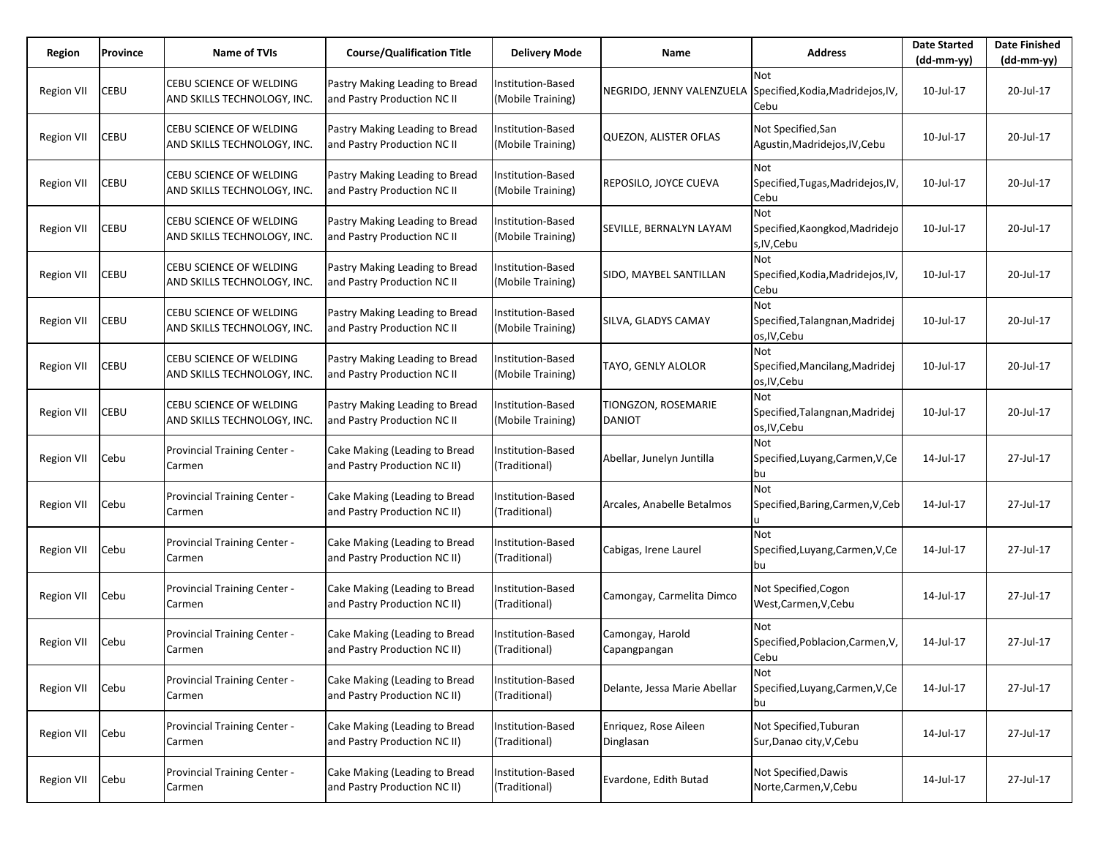| Region            | Province | Name of TVIs                                                  | <b>Course/Qualification Title</b>                             | <b>Delivery Mode</b>                      | Name                                 | <b>Address</b>                                        | <b>Date Started</b><br>$(dd-mm-yy)$ | <b>Date Finished</b><br>(dd-mm-yy) |
|-------------------|----------|---------------------------------------------------------------|---------------------------------------------------------------|-------------------------------------------|--------------------------------------|-------------------------------------------------------|-------------------------------------|------------------------------------|
| <b>Region VII</b> | CEBU     | CEBU SCIENCE OF WELDING<br>AND SKILLS TECHNOLOGY, INC.        | Pastry Making Leading to Bread<br>and Pastry Production NC II | Institution-Based<br>(Mobile Training)    | NEGRIDO, JENNY VALENZUELA            | Not<br>Specified, Kodia, Madridejos, IV,<br>Cebu      | 10-Jul-17                           | 20-Jul-17                          |
| Region VII        | CEBU     | CEBU SCIENCE OF WELDING<br>AND SKILLS TECHNOLOGY, INC.        | Pastry Making Leading to Bread<br>and Pastry Production NC II | Institution-Based<br>(Mobile Training)    | <b>QUEZON, ALISTER OFLAS</b>         | Not Specified, San<br>Agustin, Madridejos, IV, Cebu   | 10-Jul-17                           | 20-Jul-17                          |
| Region VII        | CEBU     | CEBU SCIENCE OF WELDING<br>AND SKILLS TECHNOLOGY, INC.        | Pastry Making Leading to Bread<br>and Pastry Production NC II | Institution-Based<br>(Mobile Training)    | REPOSILO, JOYCE CUEVA                | Not<br>Specified, Tugas, Madridejos, IV,<br>Cebu      | 10-Jul-17                           | 20-Jul-17                          |
| Region VII        | CEBU     | <b>CEBU SCIENCE OF WELDING</b><br>AND SKILLS TECHNOLOGY, INC. | Pastry Making Leading to Bread<br>and Pastry Production NC II | Institution-Based<br>(Mobile Training)    | SEVILLE, BERNALYN LAYAM              | Not<br>Specified, Kaongkod, Madridejo<br>s, IV, Cebu  | 10-Jul-17                           | 20-Jul-17                          |
| Region VII        | CEBU     | CEBU SCIENCE OF WELDING<br>AND SKILLS TECHNOLOGY, INC.        | Pastry Making Leading to Bread<br>and Pastry Production NC II | Institution-Based<br>(Mobile Training)    | SIDO, MAYBEL SANTILLAN               | Not<br>Specified, Kodia, Madridejos, IV,<br>Cebu      | 10-Jul-17                           | 20-Jul-17                          |
| Region VII        | CEBU     | <b>CEBU SCIENCE OF WELDING</b><br>AND SKILLS TECHNOLOGY, INC. | Pastry Making Leading to Bread<br>and Pastry Production NC II | Institution-Based<br>(Mobile Training)    | SILVA, GLADYS CAMAY                  | Not<br>Specified, Talangnan, Madridej<br>os, IV, Cebu | 10-Jul-17                           | 20-Jul-17                          |
| Region VII        | CEBU     | CEBU SCIENCE OF WELDING<br>AND SKILLS TECHNOLOGY, INC.        | Pastry Making Leading to Bread<br>and Pastry Production NC II | Institution-Based<br>(Mobile Training)    | TAYO, GENLY ALOLOR                   | Not<br>Specified, Mancilang, Madridej<br>os, IV, Cebu | 10-Jul-17                           | 20-Jul-17                          |
| <b>Region VII</b> | CEBU     | CEBU SCIENCE OF WELDING<br>AND SKILLS TECHNOLOGY, INC.        | Pastry Making Leading to Bread<br>and Pastry Production NC II | Institution-Based<br>(Mobile Training)    | TIONGZON, ROSEMARIE<br><b>DANIOT</b> | Not<br>Specified, Talangnan, Madridej<br>os, IV, Cebu | 10-Jul-17                           | 20-Jul-17                          |
| Region VII        | Cebu     | Provincial Training Center -<br>Carmen                        | Cake Making (Leading to Bread<br>and Pastry Production NC II) | Institution-Based<br>(Traditional)        | Abellar, Junelyn Juntilla            | <b>Not</b><br>Specified, Luyang, Carmen, V, Ce<br>bu  | 14-Jul-17                           | 27-Jul-17                          |
| Region VII        | Cebu     | Provincial Training Center -<br>Carmen                        | Cake Making (Leading to Bread<br>and Pastry Production NC II) | <b>Institution-Based</b><br>(Traditional) | Arcales, Anabelle Betalmos           | Not<br>Specified, Baring, Carmen, V, Ceb<br>u         | 14-Jul-17                           | 27-Jul-17                          |
| Region VII        | Cebu     | Provincial Training Center -<br>Carmen                        | Cake Making (Leading to Bread<br>and Pastry Production NC II) | Institution-Based<br>(Traditional)        | Cabigas, Irene Laurel                | Not<br>Specified, Luyang, Carmen, V, Ce<br>bu         | 14-Jul-17                           | 27-Jul-17                          |
| <b>Region VII</b> | Cebu     | Provincial Training Center -<br>Carmen                        | Cake Making (Leading to Bread<br>and Pastry Production NC II) | <b>Institution-Based</b><br>(Traditional) | Camongay, Carmelita Dimco            | Not Specified, Cogon<br>West, Carmen, V, Cebu         | 14-Jul-17                           | 27-Jul-17                          |
| Region VII        | Cebu     | Provincial Training Center -<br>Carmen                        | Cake Making (Leading to Bread<br>and Pastry Production NC II) | Institution-Based<br>(Traditional)        | Camongay, Harold<br>Capangpangan     | Not<br>Specified, Poblacion, Carmen, V,<br>Cebu       | 14-Jul-17                           | 27-Jul-17                          |
| <b>Region VII</b> | Cebu     | Provincial Training Center -<br>Carmen                        | Cake Making (Leading to Bread<br>and Pastry Production NC II) | Institution-Based<br>(Traditional)        | Delante, Jessa Marie Abellar         | Not<br>Specified, Luyang, Carmen, V, Ce<br>bu         | 14-Jul-17                           | 27-Jul-17                          |
| Region VII        | Cebu     | Provincial Training Center -<br>Carmen                        | Cake Making (Leading to Bread<br>and Pastry Production NC II) | Institution-Based<br>(Traditional)        | Enriquez, Rose Aileen<br>Dinglasan   | Not Specified, Tuburan<br>Sur, Danao city, V, Cebu    | 14-Jul-17                           | 27-Jul-17                          |
| <b>Region VII</b> | Cebu     | Provincial Training Center -<br>Carmen                        | Cake Making (Leading to Bread<br>and Pastry Production NC II) | Institution-Based<br>(Traditional)        | Evardone, Edith Butad                | Not Specified, Dawis<br>Norte, Carmen, V, Cebu        | 14-Jul-17                           | 27-Jul-17                          |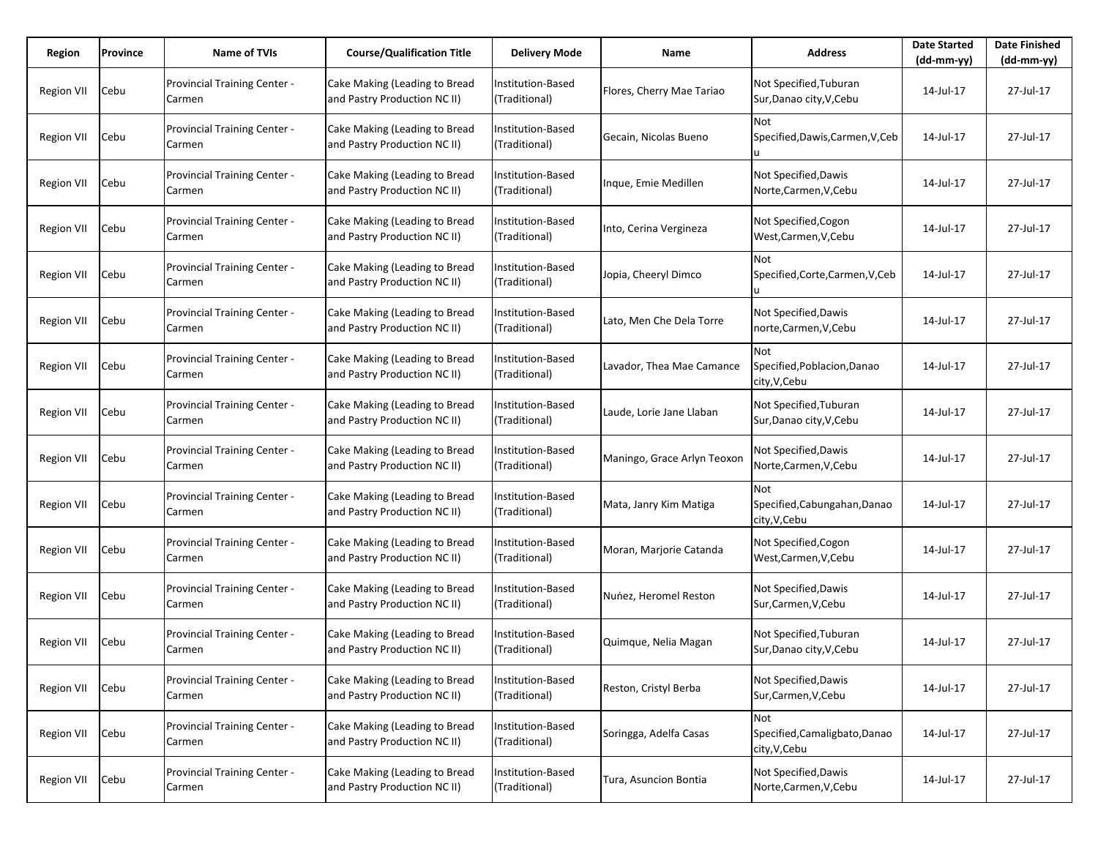| Region            | Province | <b>Name of TVIs</b>                    | <b>Course/Qualification Title</b>                             | <b>Delivery Mode</b>               | Name                        | <b>Address</b>                                              | <b>Date Started</b><br>$(dd-mm-yy)$ | <b>Date Finished</b><br>$(dd-mm-yy)$ |
|-------------------|----------|----------------------------------------|---------------------------------------------------------------|------------------------------------|-----------------------------|-------------------------------------------------------------|-------------------------------------|--------------------------------------|
| <b>Region VII</b> | Cebu     | Provincial Training Center -<br>Carmen | Cake Making (Leading to Bread<br>and Pastry Production NC II) | Institution-Based<br>(Traditional) | Flores, Cherry Mae Tariao   | Not Specified, Tuburan<br>Sur, Danao city, V, Cebu          | 14-Jul-17                           | 27-Jul-17                            |
| Region VII        | Cebu     | Provincial Training Center -<br>Carmen | Cake Making (Leading to Bread<br>and Pastry Production NC II) | Institution-Based<br>(Traditional) | Gecain, Nicolas Bueno       | Not<br>Specified, Dawis, Carmen, V, Ceb                     | 14-Jul-17                           | 27-Jul-17                            |
| Region VII        | Cebu     | Provincial Training Center -<br>Carmen | Cake Making (Leading to Bread<br>and Pastry Production NC II) | Institution-Based<br>(Traditional) | Inque, Emie Medillen        | Not Specified, Dawis<br>Norte,Carmen,V,Cebu                 | 14-Jul-17                           | 27-Jul-17                            |
| Region VII        | Cebu     | Provincial Training Center -<br>Carmen | Cake Making (Leading to Bread<br>and Pastry Production NC II) | Institution-Based<br>(Traditional) | Into, Cerina Vergineza      | Not Specified, Cogon<br>West, Carmen, V, Cebu               | 14-Jul-17                           | 27-Jul-17                            |
| <b>Region VII</b> | Cebu     | Provincial Training Center -<br>Carmen | Cake Making (Leading to Bread<br>and Pastry Production NC II) | Institution-Based<br>(Traditional) | Jopia, Cheeryl Dimco        | Not<br>Specified, Corte, Carmen, V, Ceb                     | 14-Jul-17                           | 27-Jul-17                            |
| Region VII        | Cebu     | Provincial Training Center -<br>Carmen | Cake Making (Leading to Bread<br>and Pastry Production NC II) | Institution-Based<br>(Traditional) | Lato, Men Che Dela Torre    | Not Specified, Dawis<br>norte,Carmen,V,Cebu                 | 14-Jul-17                           | 27-Jul-17                            |
| <b>Region VII</b> | Cebu     | Provincial Training Center -<br>Carmen | Cake Making (Leading to Bread<br>and Pastry Production NC II) | Institution-Based<br>(Traditional) | Lavador, Thea Mae Camance   | Not<br>Specified, Poblacion, Danao<br>city, V, Cebu         | 14-Jul-17                           | 27-Jul-17                            |
| <b>Region VII</b> | Cebu     | Provincial Training Center -<br>Carmen | Cake Making (Leading to Bread<br>and Pastry Production NC II) | Institution-Based<br>(Traditional) | Laude, Lorie Jane Llaban    | Not Specified, Tuburan<br>Sur, Danao city, V, Cebu          | 14-Jul-17                           | 27-Jul-17                            |
| <b>Region VII</b> | Cebu     | Provincial Training Center -<br>Carmen | Cake Making (Leading to Bread<br>and Pastry Production NC II) | Institution-Based<br>(Traditional) | Maningo, Grace Arlyn Teoxon | Not Specified, Dawis<br>Norte,Carmen,V,Cebu                 | 14-Jul-17                           | 27-Jul-17                            |
| Region VII        | Cebu     | Provincial Training Center -<br>Carmen | Cake Making (Leading to Bread<br>and Pastry Production NC II) | Institution-Based<br>(Traditional) | Mata, Janry Kim Matiga      | <b>Not</b><br>Specified, Cabungahan, Danao<br>city, V, Cebu | 14-Jul-17                           | 27-Jul-17                            |
| Region VII        | Cebu     | Provincial Training Center -<br>Carmen | Cake Making (Leading to Bread<br>and Pastry Production NC II) | Institution-Based<br>(Traditional) | Moran, Marjorie Catanda     | Not Specified, Cogon<br>West, Carmen, V, Cebu               | 14-Jul-17                           | 27-Jul-17                            |
| <b>Region VII</b> | Cebu     | Provincial Training Center -<br>Carmen | Cake Making (Leading to Bread<br>and Pastry Production NC II) | Institution-Based<br>(Traditional) | Nunez, Heromel Reston       | Not Specified, Dawis<br>Sur, Carmen, V, Cebu                | 14-Jul-17                           | 27-Jul-17                            |
| Region VII        | Cebu     | Provincial Training Center -<br>Carmen | Cake Making (Leading to Bread<br>and Pastry Production NC II) | Institution-Based<br>(Traditional) | Quimque, Nelia Magan        | Not Specified, Tuburan<br>Sur, Danao city, V, Cebu          | 14-Jul-17                           | 27-Jul-17                            |
| <b>Region VII</b> | Cebu     | Provincial Training Center -<br>Carmen | Cake Making (Leading to Bread<br>and Pastry Production NC II) | Institution-Based<br>(Traditional) | Reston, Cristyl Berba       | Not Specified, Dawis<br>Sur, Carmen, V, Cebu                | 14-Jul-17                           | 27-Jul-17                            |
| <b>Region VII</b> | Cebu     | Provincial Training Center -<br>Carmen | Cake Making (Leading to Bread<br>and Pastry Production NC II) | Institution-Based<br>(Traditional) | Soringga, Adelfa Casas      | Not<br>Specified, Camaligbato, Danao<br>city, V, Cebu       | 14-Jul-17                           | 27-Jul-17                            |
| <b>Region VII</b> | Cebu     | Provincial Training Center -<br>Carmen | Cake Making (Leading to Bread<br>and Pastry Production NC II) | Institution-Based<br>(Traditional) | Tura, Asuncion Bontia       | Not Specified, Dawis<br>Norte, Carmen, V, Cebu              | 14-Jul-17                           | 27-Jul-17                            |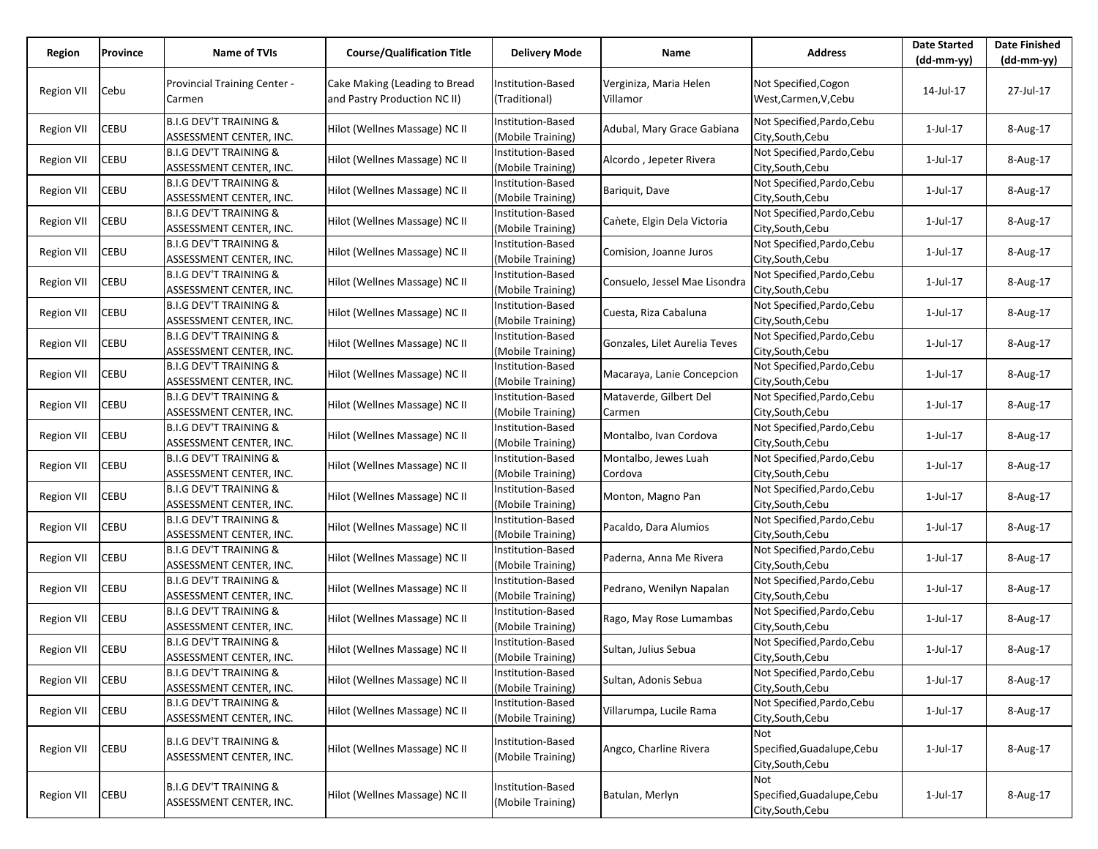| Region            | Province    | <b>Name of TVIs</b>                                          | <b>Course/Qualification Title</b> | Delivery Mode                          | Name                          | <b>Address</b>                                  | <b>Date Started</b><br>$(dd-mm-yy)$ | <b>Date Finished</b> |
|-------------------|-------------|--------------------------------------------------------------|-----------------------------------|----------------------------------------|-------------------------------|-------------------------------------------------|-------------------------------------|----------------------|
|                   |             |                                                              |                                   |                                        |                               |                                                 |                                     | (dd-mm-yy)           |
| <b>Region VII</b> | Cebu        | Provincial Training Center -                                 | Cake Making (Leading to Bread     | Institution-Based                      | Verginiza, Maria Helen        | Not Specified, Cogon                            | 14-Jul-17                           | 27-Jul-17            |
|                   |             | Carmen                                                       | and Pastry Production NC II)      | (Traditional)                          | Villamor                      | West, Carmen, V, Cebu                           |                                     |                      |
|                   |             | <b>B.I.G DEV'T TRAINING &amp;</b>                            |                                   | Institution-Based                      |                               | Not Specified, Pardo, Cebu                      |                                     |                      |
| <b>Region VII</b> | CEBU        | ASSESSMENT CENTER, INC.                                      | Hilot (Wellnes Massage) NC II     | (Mobile Training)                      | Adubal, Mary Grace Gabiana    | City, South, Cebu                               | 1-Jul-17                            | 8-Aug-17             |
|                   | CEBU        | <b>B.I.G DEV'T TRAINING &amp;</b>                            | Hilot (Wellnes Massage) NC II     | Institution-Based                      |                               | Not Specified, Pardo, Cebu                      |                                     |                      |
| <b>Region VII</b> |             | ASSESSMENT CENTER, INC.                                      |                                   | (Mobile Training)                      | Alcordo, Jepeter Rivera       | City, South, Cebu                               | 1-Jul-17                            | 8-Aug-17             |
| <b>Region VII</b> | CEBU        | <b>B.I.G DEV'T TRAINING &amp;</b>                            | Hilot (Wellnes Massage) NC II     | Institution-Based                      | Bariquit, Dave                | Not Specified, Pardo, Cebu                      | $1$ -Jul- $17$                      | 8-Aug-17             |
|                   |             | ASSESSMENT CENTER, INC.                                      |                                   | (Mobile Training)                      |                               | City, South, Cebu                               |                                     |                      |
| <b>Region VII</b> | CEBU        | <b>B.I.G DEV'T TRAINING &amp;</b>                            | Hilot (Wellnes Massage) NC II     | Institution-Based                      | Cañete, Elgin Dela Victoria   | Not Specified, Pardo, Cebu                      | 1-Jul-17                            | 8-Aug-17             |
|                   |             | ASSESSMENT CENTER, INC.                                      |                                   | (Mobile Training)                      |                               | City, South, Cebu                               |                                     |                      |
| <b>Region VII</b> | CEBU        | <b>B.I.G DEV'T TRAINING &amp;</b>                            | Hilot (Wellnes Massage) NC II     | Institution-Based                      | Comision, Joanne Juros        | Not Specified, Pardo, Cebu                      | 1-Jul-17                            | 8-Aug-17             |
|                   |             | ASSESSMENT CENTER, INC.                                      |                                   | (Mobile Training)                      |                               | City, South, Cebu                               |                                     |                      |
| <b>Region VII</b> | CEBU        | <b>B.I.G DEV'T TRAINING &amp;</b>                            | Hilot (Wellnes Massage) NC II     | Institution-Based                      | Consuelo, Jessel Mae Lisondra | Not Specified, Pardo, Cebu                      | 1-Jul-17                            | 8-Aug-17             |
|                   |             | ASSESSMENT CENTER, INC.<br><b>B.I.G DEV'T TRAINING &amp;</b> |                                   | (Mobile Training)                      |                               | City, South, Cebu                               |                                     |                      |
| <b>Region VII</b> | CEBU        | ASSESSMENT CENTER, INC.                                      | Hilot (Wellnes Massage) NC II     | Institution-Based<br>(Mobile Training) | Cuesta, Riza Cabaluna         | Not Specified, Pardo, Cebu<br>City, South, Cebu | 1-Jul-17                            | 8-Aug-17             |
|                   |             | <b>B.I.G DEV'T TRAINING &amp;</b>                            |                                   | Institution-Based                      |                               | Not Specified, Pardo, Cebu                      |                                     |                      |
| Region VII        | CEBU        | ASSESSMENT CENTER, INC.                                      | Hilot (Wellnes Massage) NC II     | (Mobile Training)                      | Gonzales, Lilet Aurelia Teves | City, South, Cebu                               | 1-Jul-17                            | 8-Aug-17             |
|                   |             | <b>B.I.G DEV'T TRAINING &amp;</b>                            |                                   | Institution-Based                      |                               | Not Specified, Pardo, Cebu                      |                                     |                      |
| <b>Region VII</b> | <b>CEBU</b> | ASSESSMENT CENTER, INC.                                      | Hilot (Wellnes Massage) NC II     | (Mobile Training)                      | Macaraya, Lanie Concepcion    | City, South, Cebu                               | 1-Jul-17                            | 8-Aug-17             |
|                   |             | <b>B.I.G DEV'T TRAINING &amp;</b>                            |                                   | Institution-Based                      | Mataverde, Gilbert Del        | Not Specified, Pardo, Cebu                      |                                     |                      |
| <b>Region VII</b> | CEBU        | ASSESSMENT CENTER, INC.                                      | Hilot (Wellnes Massage) NC II     | (Mobile Training)                      | Carmen                        | City, South, Cebu                               | 1-Jul-17                            | 8-Aug-17             |
|                   |             | <b>B.I.G DEV'T TRAINING &amp;</b>                            |                                   | Institution-Based                      |                               | Not Specified, Pardo, Cebu                      |                                     |                      |
| <b>Region VII</b> | CEBU        | ASSESSMENT CENTER, INC.                                      | Hilot (Wellnes Massage) NC II     | (Mobile Training)                      | Montalbo, Ivan Cordova        | City, South, Cebu                               | 1-Jul-17                            | 8-Aug-17             |
| <b>Region VII</b> | CEBU        | <b>B.I.G DEV'T TRAINING &amp;</b>                            | Hilot (Wellnes Massage) NC II     | Institution-Based                      | Montalbo, Jewes Luah          | Not Specified, Pardo, Cebu                      | 1-Jul-17                            | 8-Aug-17             |
|                   |             | ASSESSMENT CENTER, INC.                                      |                                   | (Mobile Training)                      | Cordova                       | City, South, Cebu                               |                                     |                      |
| <b>Region VII</b> | CEBU        | <b>B.I.G DEV'T TRAINING &amp;</b>                            | Hilot (Wellnes Massage) NC II     | Institution-Based                      | Monton, Magno Pan             | Not Specified, Pardo, Cebu                      | 1-Jul-17                            | 8-Aug-17             |
|                   |             | ASSESSMENT CENTER, INC.                                      |                                   | (Mobile Training)                      |                               | City, South, Cebu                               |                                     |                      |
| <b>Region VII</b> | CEBU        | <b>B.I.G DEV'T TRAINING &amp;</b>                            | Hilot (Wellnes Massage) NC II     | Institution-Based                      | Pacaldo, Dara Alumios         | Not Specified, Pardo, Cebu                      | 1-Jul-17                            | 8-Aug-17             |
|                   |             | ASSESSMENT CENTER, INC.                                      |                                   | (Mobile Training)                      |                               | City, South, Cebu                               |                                     |                      |
| <b>Region VII</b> | <b>CEBU</b> | <b>B.I.G DEV'T TRAINING &amp;</b>                            | Hilot (Wellnes Massage) NC II     | Institution-Based<br>(Mobile Training) | Paderna, Anna Me Rivera       | Not Specified, Pardo, Cebu                      | 1-Jul-17                            | 8-Aug-17             |
|                   |             | ASSESSMENT CENTER, INC.<br><b>B.I.G DEV'T TRAINING &amp;</b> |                                   | Institution-Based                      |                               | City, South, Cebu<br>Not Specified, Pardo, Cebu |                                     |                      |
| Region VII        | CEBU        | ASSESSMENT CENTER, INC.                                      | Hilot (Wellnes Massage) NC II     | (Mobile Training)                      | Pedrano, Wenilyn Napalan      | City, South, Cebu                               | 1-Jul-17                            | 8-Aug-17             |
|                   |             | <b>B.I.G DEV'T TRAINING &amp;</b>                            |                                   | Institution-Based                      |                               | Not Specified, Pardo, Cebu                      |                                     |                      |
| <b>Region VII</b> | CEBU        | ASSESSMENT CENTER, INC.                                      | Hilot (Wellnes Massage) NC II     | (Mobile Training)                      | Rago, May Rose Lumambas       | City, South, Cebu                               | 1-Jul-17                            | 8-Aug-17             |
|                   |             | <b>B.I.G DEV'T TRAINING &amp;</b>                            |                                   | Institution-Based                      |                               | Not Specified, Pardo, Cebu                      |                                     |                      |
| <b>Region VII</b> | CEBU        | ASSESSMENT CENTER, INC.                                      | Hilot (Wellnes Massage) NC II     | (Mobile Training)                      | Sultan, Julius Sebua          | City, South, Cebu                               | 1-Jul-17                            | 8-Aug-17             |
|                   |             | <b>B.I.G DEV'T TRAINING &amp;</b>                            |                                   | Institution-Based                      |                               | Not Specified, Pardo, Cebu                      |                                     |                      |
| <b>Region VII</b> | CEBU        | ASSESSMENT CENTER, INC.                                      | Hilot (Wellnes Massage) NC II     | (Mobile Training)                      | Sultan, Adonis Sebua          | City, South, Cebu                               | 1-Jul-17                            | 8-Aug-17             |
| <b>Region VII</b> | CEBU        | <b>B.I.G DEV'T TRAINING &amp;</b>                            | Hilot (Wellnes Massage) NC II     | Institution-Based                      | Villarumpa, Lucile Rama       | Not Specified, Pardo, Cebu                      | 1-Jul-17                            | 8-Aug-17             |
|                   |             | ASSESSMENT CENTER, INC.                                      |                                   | (Mobile Training)                      |                               | City, South, Cebu                               |                                     |                      |
|                   |             | <b>B.I.G DEV'T TRAINING &amp;</b>                            |                                   | Institution-Based                      |                               | Not                                             |                                     |                      |
| <b>Region VII</b> | CEBU        | ASSESSMENT CENTER, INC.                                      | Hilot (Wellnes Massage) NC II     | (Mobile Training)                      | Angco, Charline Rivera        | Specified, Guadalupe, Cebu                      | $1$ -Jul- $17$                      | 8-Aug-17             |
|                   |             |                                                              |                                   |                                        |                               | City, South, Cebu                               |                                     |                      |
|                   |             | <b>B.I.G DEV'T TRAINING &amp;</b>                            |                                   | Institution-Based                      |                               | Not                                             |                                     |                      |
| Region VII        | CEBU        | ASSESSMENT CENTER, INC.                                      | Hilot (Wellnes Massage) NC II     | (Mobile Training)                      | Batulan, Merlyn               | Specified, Guadalupe, Cebu                      | 1-Jul-17                            | 8-Aug-17             |
|                   |             |                                                              |                                   |                                        |                               | City, South, Cebu                               |                                     |                      |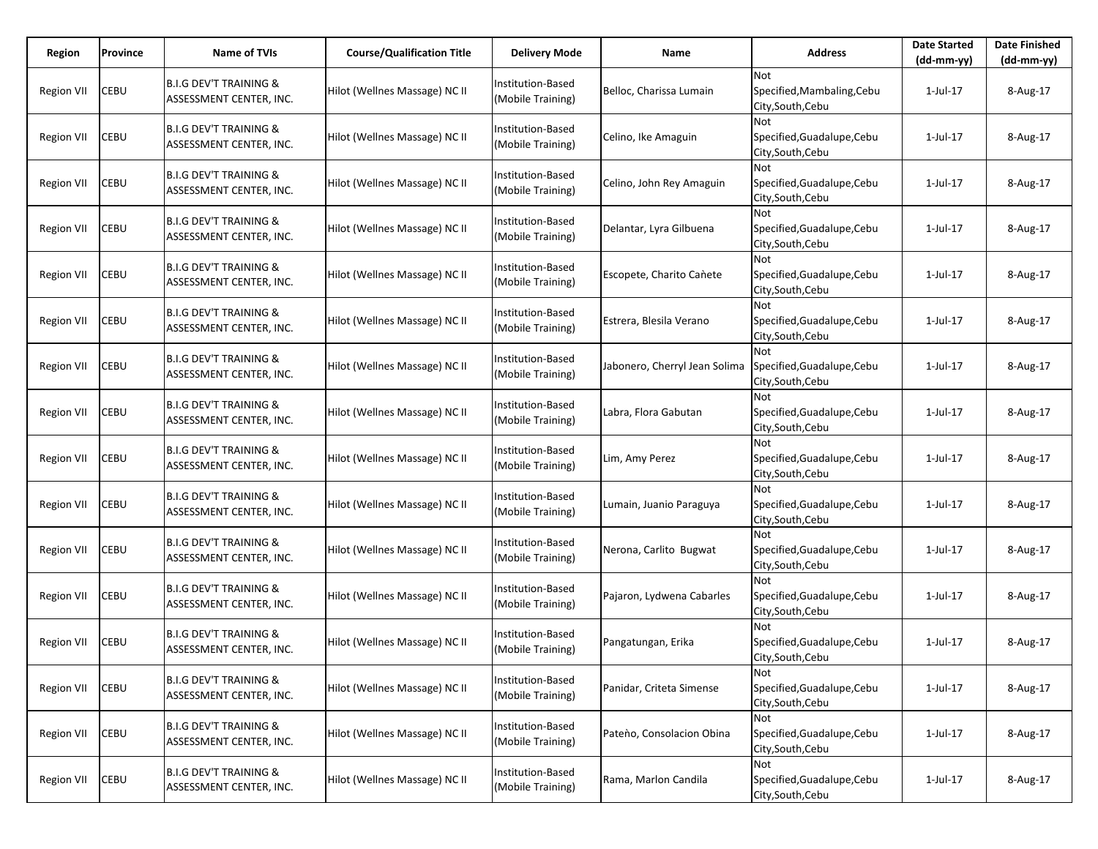| Region            | Province    | Name of TVIs                                                 | <b>Course/Qualification Title</b> | <b>Delivery Mode</b>                   | Name                          | <b>Address</b>                                                | <b>Date Started</b><br>$(dd-mm-yy)$ | <b>Date Finished</b><br>(dd-mm-yy) |
|-------------------|-------------|--------------------------------------------------------------|-----------------------------------|----------------------------------------|-------------------------------|---------------------------------------------------------------|-------------------------------------|------------------------------------|
| <b>Region VII</b> | CEBU        | <b>B.I.G DEV'T TRAINING &amp;</b><br>ASSESSMENT CENTER, INC. | Hilot (Wellnes Massage) NC II     | Institution-Based<br>(Mobile Training) | Belloc, Charissa Lumain       | <b>Not</b><br>Specified, Mambaling, Cebu<br>City,South,Cebu   | 1-Jul-17                            | 8-Aug-17                           |
| <b>Region VII</b> | CEBU        | <b>B.I.G DEV'T TRAINING &amp;</b><br>ASSESSMENT CENTER, INC. | Hilot (Wellnes Massage) NC II     | Institution-Based<br>(Mobile Training) | Celino, Ike Amaguin           | Not<br>Specified, Guadalupe, Cebu<br>City, South, Cebu        | 1-Jul-17                            | 8-Aug-17                           |
| <b>Region VII</b> | <b>CEBU</b> | <b>B.I.G DEV'T TRAINING &amp;</b><br>ASSESSMENT CENTER, INC. | Hilot (Wellnes Massage) NC II     | Institution-Based<br>(Mobile Training) | Celino, John Rey Amaguin      | Not<br>Specified, Guadalupe, Cebu<br>City, South, Cebu        | 1-Jul-17                            | 8-Aug-17                           |
| <b>Region VII</b> | CEBU        | <b>B.I.G DEV'T TRAINING &amp;</b><br>ASSESSMENT CENTER, INC. | Hilot (Wellnes Massage) NC II     | Institution-Based<br>(Mobile Training) | Delantar, Lyra Gilbuena       | Not<br>Specified, Guadalupe, Cebu<br>City, South, Cebu        | 1-Jul-17                            | 8-Aug-17                           |
| Region VII        | CEBU        | <b>B.I.G DEV'T TRAINING &amp;</b><br>ASSESSMENT CENTER, INC. | Hilot (Wellnes Massage) NC II     | Institution-Based<br>(Mobile Training) | Escopete, Charito Cañete      | <b>Not</b><br>Specified, Guadalupe, Cebu<br>City, South, Cebu | 1-Jul-17                            | 8-Aug-17                           |
| Region VII        | CEBU        | <b>B.I.G DEV'T TRAINING &amp;</b><br>ASSESSMENT CENTER, INC. | Hilot (Wellnes Massage) NC II     | Institution-Based<br>(Mobile Training) | Estrera, Blesila Verano       | Not<br>Specified, Guadalupe, Cebu<br>City, South, Cebu        | 1-Jul-17                            | 8-Aug-17                           |
| Region VII        | CEBU        | <b>B.I.G DEV'T TRAINING &amp;</b><br>ASSESSMENT CENTER, INC. | Hilot (Wellnes Massage) NC II     | Institution-Based<br>(Mobile Training) | Jabonero, Cherryl Jean Solima | Not<br>Specified, Guadalupe, Cebu<br>City, South, Cebu        | 1-Jul-17                            | 8-Aug-17                           |
| <b>Region VII</b> | CEBU        | <b>B.I.G DEV'T TRAINING &amp;</b><br>ASSESSMENT CENTER, INC. | Hilot (Wellnes Massage) NC II     | Institution-Based<br>(Mobile Training) | Labra, Flora Gabutan          | Not<br>Specified, Guadalupe, Cebu<br>City, South, Cebu        | 1-Jul-17                            | 8-Aug-17                           |
| <b>Region VII</b> | CEBU        | <b>B.I.G DEV'T TRAINING &amp;</b><br>ASSESSMENT CENTER, INC. | Hilot (Wellnes Massage) NC II     | Institution-Based<br>(Mobile Training) | Lim, Amy Perez                | Not<br>Specified, Guadalupe, Cebu<br>City, South, Cebu        | 1-Jul-17                            | 8-Aug-17                           |
| <b>Region VII</b> | CEBU        | <b>B.I.G DEV'T TRAINING &amp;</b><br>ASSESSMENT CENTER, INC. | Hilot (Wellnes Massage) NC II     | Institution-Based<br>(Mobile Training) | Lumain, Juanio Paraguya       | Not<br>Specified, Guadalupe, Cebu<br>City,South,Cebu          | 1-Jul-17                            | 8-Aug-17                           |
| <b>Region VII</b> | CEBU        | <b>B.I.G DEV'T TRAINING &amp;</b><br>ASSESSMENT CENTER, INC. | Hilot (Wellnes Massage) NC II     | Institution-Based<br>(Mobile Training) | Nerona, Carlito Bugwat        | Not<br>Specified, Guadalupe, Cebu<br>City, South, Cebu        | 1-Jul-17                            | 8-Aug-17                           |
| <b>Region VII</b> | CEBU        | <b>B.I.G DEV'T TRAINING &amp;</b><br>ASSESSMENT CENTER, INC. | Hilot (Wellnes Massage) NC II     | Institution-Based<br>(Mobile Training) | Pajaron, Lydwena Cabarles     | Not<br>Specified, Guadalupe, Cebu<br>City, South, Cebu        | 1-Jul-17                            | 8-Aug-17                           |
| <b>Region VII</b> | CEBU        | <b>B.I.G DEV'T TRAINING &amp;</b><br>ASSESSMENT CENTER, INC. | Hilot (Wellnes Massage) NC II     | Institution-Based<br>(Mobile Training) | Pangatungan, Erika            | Not<br>Specified, Guadalupe, Cebu<br>City, South, Cebu        | 1-Jul-17                            | 8-Aug-17                           |
| <b>Region VII</b> | CEBU        | <b>B.I.G DEV'T TRAINING &amp;</b><br>ASSESSMENT CENTER, INC. | Hilot (Wellnes Massage) NC II     | Institution-Based<br>(Mobile Training) | Panidar, Criteta Simense      | Not<br>Specified, Guadalupe, Cebu<br>City, South, Cebu        | 1-Jul-17                            | 8-Aug-17                           |
| <b>Region VII</b> | CEBU        | <b>B.I.G DEV'T TRAINING &amp;</b><br>ASSESSMENT CENTER, INC. | Hilot (Wellnes Massage) NC II     | Institution-Based<br>(Mobile Training) | Pateno, Consolacion Obina     | Not<br>Specified, Guadalupe, Cebu<br>City, South, Cebu        | $1$ -Jul- $17$                      | 8-Aug-17                           |
| <b>Region VII</b> | CEBU        | <b>B.I.G DEV'T TRAINING &amp;</b><br>ASSESSMENT CENTER, INC. | Hilot (Wellnes Massage) NC II     | Institution-Based<br>(Mobile Training) | Rama, Marlon Candila          | Not<br>Specified, Guadalupe, Cebu<br>City, South, Cebu        | $1$ -Jul- $17$                      | 8-Aug-17                           |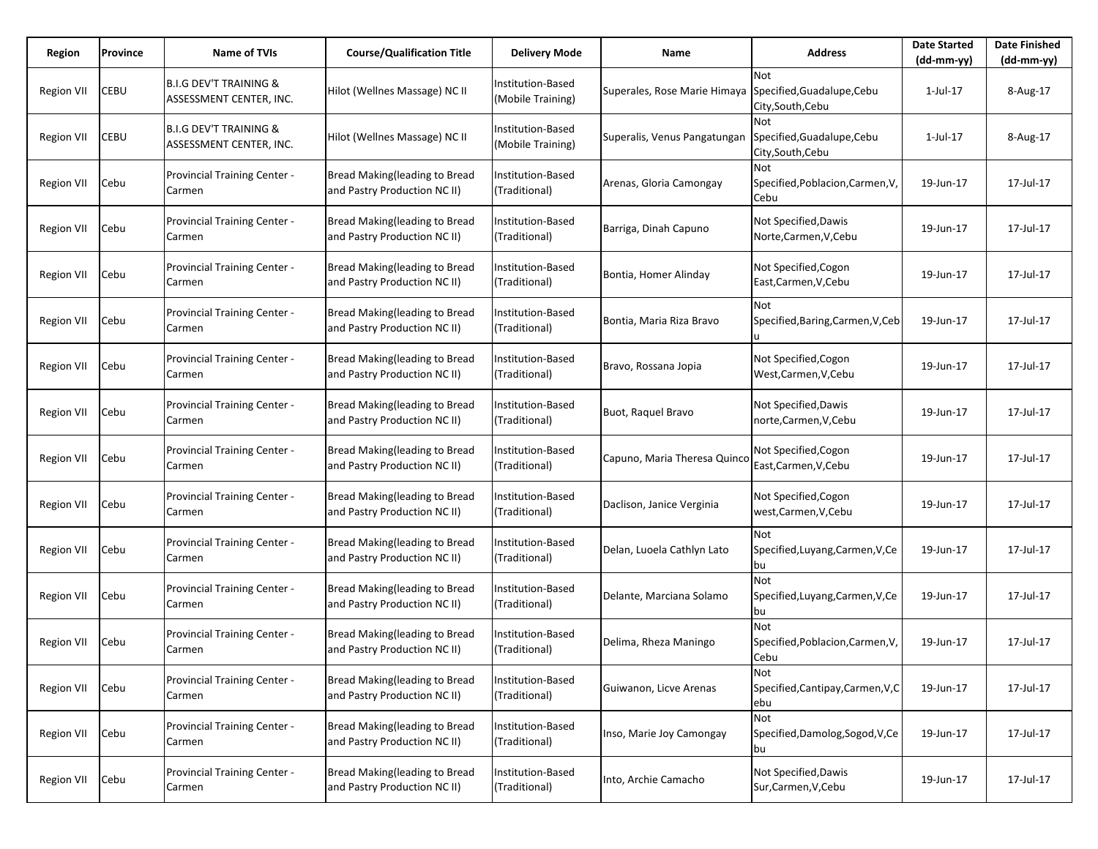| Region            | Province | <b>Name of TVIs</b>                                          | <b>Course/Qualification Title</b>                                    | <b>Delivery Mode</b>                          | Name                         | <b>Address</b>                                         | <b>Date Started</b><br>$(dd-mm-yy)$ | <b>Date Finished</b><br>$(dd-mm-yy)$ |
|-------------------|----------|--------------------------------------------------------------|----------------------------------------------------------------------|-----------------------------------------------|------------------------------|--------------------------------------------------------|-------------------------------------|--------------------------------------|
| <b>Region VII</b> | CEBU     | <b>B.I.G DEV'T TRAINING &amp;</b><br>ASSESSMENT CENTER, INC. | Hilot (Wellnes Massage) NC II                                        | Institution-Based<br>(Mobile Training)        | Superales, Rose Marie Himaya | Not<br>Specified, Guadalupe, Cebu<br>City,South,Cebu   | 1-Jul-17                            | 8-Aug-17                             |
| Region VII        | CEBU     | <b>B.I.G DEV'T TRAINING &amp;</b><br>ASSESSMENT CENTER, INC. | Hilot (Wellnes Massage) NC II                                        | <b>Institution-Based</b><br>(Mobile Training) | Superalis, Venus Pangatungan | Not<br>Specified, Guadalupe, Cebu<br>City, South, Cebu | 1-Jul-17                            | 8-Aug-17                             |
| Region VII        | Cebu     | Provincial Training Center -<br>Carmen                       | Bread Making(leading to Bread<br>and Pastry Production NC II)        | Institution-Based<br>(Traditional)            | Arenas, Gloria Camongay      | Not<br>Specified, Poblacion, Carmen, V,<br>Cebu        | 19-Jun-17                           | 17-Jul-17                            |
| Region VII        | Cebu     | Provincial Training Center -<br>Carmen                       | Bread Making(leading to Bread<br>and Pastry Production NC II)        | Institution-Based<br>(Traditional)            | Barriga, Dinah Capuno        | Not Specified, Dawis<br>Norte, Carmen, V, Cebu         | 19-Jun-17                           | 17-Jul-17                            |
| <b>Region VII</b> | Cebu     | Provincial Training Center -<br>Carmen                       | Bread Making(leading to Bread<br>and Pastry Production NC II)        | Institution-Based<br>(Traditional)            | Bontia, Homer Alinday        | Not Specified, Cogon<br>East, Carmen, V, Cebu          | 19-Jun-17                           | 17-Jul-17                            |
| Region VII        | Cebu     | Provincial Training Center -<br>Carmen                       | Bread Making(leading to Bread<br>and Pastry Production NC II)        | Institution-Based<br>(Traditional)            | Bontia, Maria Riza Bravo     | Not<br>Specified, Baring, Carmen, V, Ceb               | 19-Jun-17                           | 17-Jul-17                            |
| <b>Region VII</b> | Cebu     | Provincial Training Center -<br>Carmen                       | Bread Making(leading to Bread<br>and Pastry Production NC II)        | Institution-Based<br>(Traditional)            | Bravo, Rossana Jopia         | Not Specified, Cogon<br>West,Carmen,V,Cebu             | 19-Jun-17                           | 17-Jul-17                            |
| <b>Region VII</b> | Cebu     | Provincial Training Center -<br>Carmen                       | <b>Bread Making(leading to Bread</b><br>and Pastry Production NC II) | <b>Institution-Based</b><br>(Traditional)     | Buot, Raquel Bravo           | Not Specified, Dawis<br>norte,Carmen,V,Cebu            | 19-Jun-17                           | 17-Jul-17                            |
| <b>Region VII</b> | Cebu     | Provincial Training Center -<br>Carmen                       | <b>Bread Making(leading to Bread</b><br>and Pastry Production NC II) | Institution-Based<br>(Traditional)            | Capuno, Maria Theresa Quinco | Not Specified, Cogon<br>East, Carmen, V, Cebu          | 19-Jun-17                           | 17-Jul-17                            |
| <b>Region VII</b> | Cebu     | Provincial Training Center -<br>Carmen                       | Bread Making(leading to Bread<br>and Pastry Production NC II)        | <b>Institution-Based</b><br>(Traditional)     | Daclison, Janice Verginia    | Not Specified, Cogon<br>west, Carmen, V, Cebu          | 19-Jun-17                           | 17-Jul-17                            |
| Region VII        | Cebu     | Provincial Training Center -<br>Carmen                       | Bread Making(leading to Bread<br>and Pastry Production NC II)        | Institution-Based<br>(Traditional)            | Delan, Luoela Cathlyn Lato   | <b>Not</b><br>Specified, Luyang, Carmen, V, Ce<br>bu   | 19-Jun-17                           | 17-Jul-17                            |
| <b>Region VII</b> | Cebu     | Provincial Training Center -<br>Carmen                       | Bread Making(leading to Bread<br>and Pastry Production NC II)        | <b>Institution-Based</b><br>(Traditional)     | Delante, Marciana Solamo     | Not<br>Specified, Luyang, Carmen, V, Ce<br>bu          | 19-Jun-17                           | 17-Jul-17                            |
| Region VII        | Cebu     | Provincial Training Center -<br>Carmen                       | Bread Making(leading to Bread<br>and Pastry Production NC II)        | Institution-Based<br>(Traditional)            | Delima, Rheza Maningo        | Not<br>Specified, Poblacion, Carmen, V,<br>Cebu        | 19-Jun-17                           | 17-Jul-17                            |
| <b>Region VII</b> | Cebu     | Provincial Training Center -<br>Carmen                       | Bread Making(leading to Bread<br>and Pastry Production NC II)        | Institution-Based<br>(Traditional)            | Guiwanon, Licve Arenas       | Not<br>Specified, Cantipay, Carmen, V, C<br>lebu       | 19-Jun-17                           | 17-Jul-17                            |
| Region VII        | Cebu     | Provincial Training Center -<br>Carmen                       | Bread Making(leading to Bread<br>and Pastry Production NC II)        | Institution-Based<br>(Traditional)            | Inso, Marie Joy Camongay     | Not<br>Specified, Damolog, Sogod, V, Ce<br>bu          | 19-Jun-17                           | 17-Jul-17                            |
| <b>Region VII</b> | Cebu     | Provincial Training Center -<br>Carmen                       | Bread Making(leading to Bread<br>and Pastry Production NC II)        | Institution-Based<br>(Traditional)            | Into, Archie Camacho         | Not Specified, Dawis<br>Sur, Carmen, V, Cebu           | 19-Jun-17                           | 17-Jul-17                            |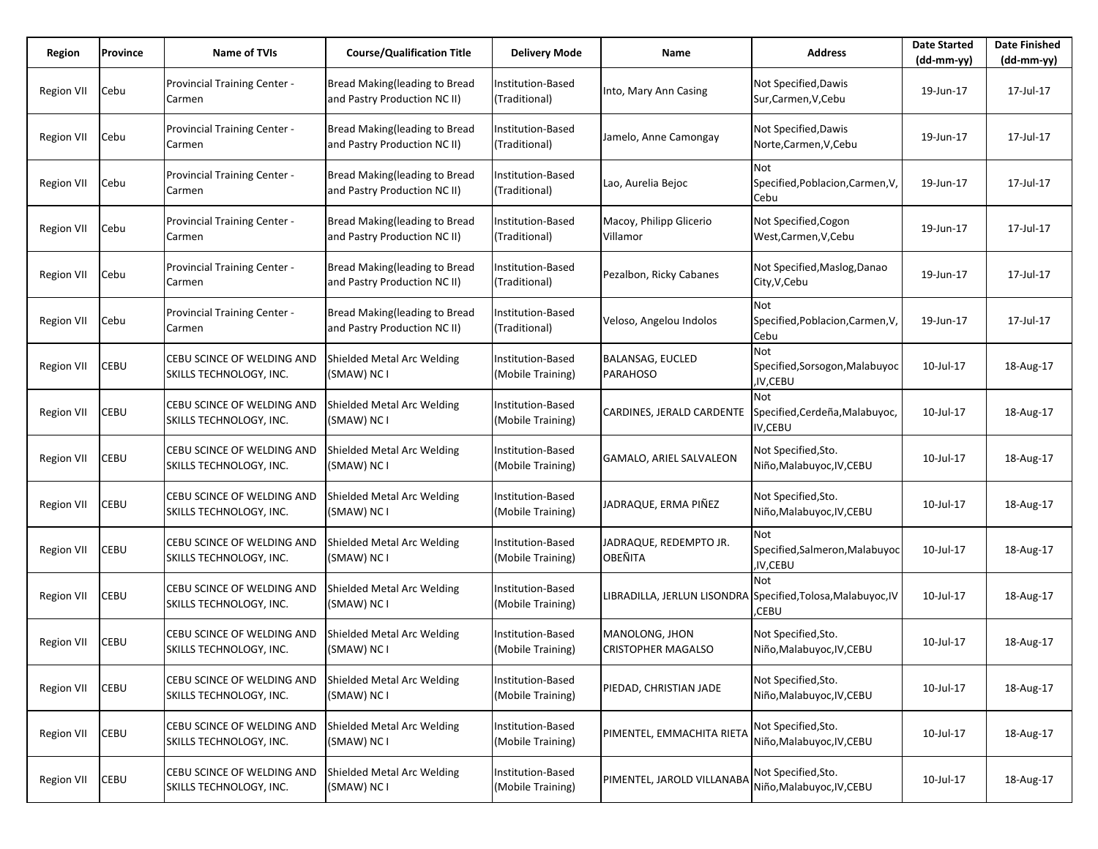| Region            | Province | <b>Name of TVIs</b>                                   | <b>Course/Qualification Title</b>                             | <b>Delivery Mode</b>                          | Name                                        | <b>Address</b>                                                               | <b>Date Started</b><br>$(dd-mm-yy)$ | <b>Date Finished</b><br>(dd-mm-yy) |
|-------------------|----------|-------------------------------------------------------|---------------------------------------------------------------|-----------------------------------------------|---------------------------------------------|------------------------------------------------------------------------------|-------------------------------------|------------------------------------|
| <b>Region VII</b> | Cebu     | Provincial Training Center -<br>Carmen                | Bread Making(leading to Bread<br>and Pastry Production NC II) | Institution-Based<br>(Traditional)            | Into, Mary Ann Casing                       | Not Specified, Dawis<br>Sur, Carmen, V, Cebu                                 | 19-Jun-17                           | 17-Jul-17                          |
| Region VII        | Cebu     | <b>Provincial Training Center -</b><br>Carmen         | Bread Making(leading to Bread<br>and Pastry Production NC II) | <b>Institution-Based</b><br>(Traditional)     | Jamelo, Anne Camongay                       | Not Specified, Dawis<br>Norte, Carmen, V, Cebu                               | 19-Jun-17                           | 17-Jul-17                          |
| Region VII        | Cebu     | Provincial Training Center -<br>Carmen                | Bread Making(leading to Bread<br>and Pastry Production NC II) | Institution-Based<br>(Traditional)            | Lao, Aurelia Bejoc                          | Not<br>Specified, Poblacion, Carmen, V,<br>Cebu                              | 19-Jun-17                           | 17-Jul-17                          |
| Region VII        | Cebu     | Provincial Training Center -<br>Carmen                | Bread Making(leading to Bread<br>and Pastry Production NC II) | Institution-Based<br>(Traditional)            | Macoy, Philipp Glicerio<br>Villamor         | Not Specified, Cogon<br>West, Carmen, V, Cebu                                | 19-Jun-17                           | 17-Jul-17                          |
| <b>Region VII</b> | Cebu     | Provincial Training Center -<br>Carmen                | Bread Making(leading to Bread<br>and Pastry Production NC II) | Institution-Based<br>(Traditional)            | Pezalbon, Ricky Cabanes                     | Not Specified, Maslog, Danao<br>City, V, Cebu                                | 19-Jun-17                           | 17-Jul-17                          |
| Region VII        | Cebu     | Provincial Training Center -<br>Carmen                | Bread Making(leading to Bread<br>and Pastry Production NC II) | Institution-Based<br>(Traditional)            | Veloso, Angelou Indolos                     | Not<br>Specified, Poblacion, Carmen, V,<br>Cebu                              | 19-Jun-17                           | 17-Jul-17                          |
| Region VII        | CEBU     | CEBU SCINCE OF WELDING AND<br>SKILLS TECHNOLOGY, INC. | Shielded Metal Arc Welding<br>(SMAW) NC I                     | Institution-Based<br>(Mobile Training)        | <b>BALANSAG, EUCLED</b><br><b>PARAHOSO</b>  | Not<br>Specified, Sorsogon, Malabuyoc<br>,IV,CEBU                            | 10-Jul-17                           | 18-Aug-17                          |
| Region VII        | CEBU     | CEBU SCINCE OF WELDING AND<br>SKILLS TECHNOLOGY, INC. | Shielded Metal Arc Welding<br>(SMAW) NC I                     | <b>Institution-Based</b><br>(Mobile Training) | CARDINES, JERALD CARDENTE                   | Not<br>Specified, Cerdeña, Malabuyoc,<br>IV,CEBU                             | 10-Jul-17                           | 18-Aug-17                          |
| Region VII        | CEBU     | CEBU SCINCE OF WELDING AND<br>SKILLS TECHNOLOGY, INC. | Shielded Metal Arc Welding<br>(SMAW) NC I                     | <b>Institution-Based</b><br>(Mobile Training) | <b>GAMALO, ARIEL SALVALEON</b>              | Not Specified, Sto.<br>Niño, Malabuyoc, IV, CEBU                             | 10-Jul-17                           | 18-Aug-17                          |
| Region VII        | CEBU     | CEBU SCINCE OF WELDING AND<br>SKILLS TECHNOLOGY, INC. | Shielded Metal Arc Welding<br>(SMAW) NC I                     | <b>Institution-Based</b><br>(Mobile Training) | JADRAQUE, ERMA PIÑEZ                        | Not Specified, Sto.<br>Niño, Malabuyoc, IV, CEBU                             | 10-Jul-17                           | 18-Aug-17                          |
| <b>Region VII</b> | CEBU     | CEBU SCINCE OF WELDING AND<br>SKILLS TECHNOLOGY, INC. | Shielded Metal Arc Welding<br>(SMAW) NC I                     | Institution-Based<br>(Mobile Training)        | JADRAQUE, REDEMPTO JR.<br><b>OBEÑITA</b>    | Not<br>Specified, Salmeron, Malabuyoc<br>,IV,CEBU                            | 10-Jul-17                           | 18-Aug-17                          |
| Region VII        | CEBU     | CEBU SCINCE OF WELDING AND<br>SKILLS TECHNOLOGY, INC. | Shielded Metal Arc Welding<br>(SMAW) NC I                     | Institution-Based<br>(Mobile Training)        |                                             | Not<br>LIBRADILLA, JERLUN LISONDRA Specified, Tolosa, Malabuyoc, IV<br>CEBU, | 10-Jul-17                           | 18-Aug-17                          |
| <b>Region VII</b> | CEBU     | CEBU SCINCE OF WELDING AND<br>SKILLS TECHNOLOGY, INC. | Shielded Metal Arc Welding<br>(SMAW) NC I                     | <b>Institution-Based</b><br>(Mobile Training) | MANOLONG, JHON<br><b>CRISTOPHER MAGALSO</b> | Not Specified, Sto.<br>Niño, Malabuyoc, IV, CEBU                             | 10-Jul-17                           | 18-Aug-17                          |
| <b>Region VII</b> | CEBU     | CEBU SCINCE OF WELDING AND<br>SKILLS TECHNOLOGY, INC. | Shielded Metal Arc Welding<br>(SMAW) NC I                     | Institution-Based<br>(Mobile Training)        | PIEDAD, CHRISTIAN JADE                      | Not Specified, Sto.<br>Niño, Malabuyoc, IV, CEBU                             | 10-Jul-17                           | 18-Aug-17                          |
| <b>Region VII</b> | CEBU     | CEBU SCINCE OF WELDING AND<br>SKILLS TECHNOLOGY, INC. | Shielded Metal Arc Welding<br>(SMAW) NC I                     | Institution-Based<br>(Mobile Training)        | PIMENTEL, EMMACHITA RIETA                   | Not Specified, Sto.<br>Niño, Malabuyoc, IV, CEBU                             | 10-Jul-17                           | 18-Aug-17                          |
| <b>Region VII</b> | CEBU     | CEBU SCINCE OF WELDING AND<br>SKILLS TECHNOLOGY, INC. | Shielded Metal Arc Welding<br>(SMAW) NC I                     | Institution-Based<br>(Mobile Training)        | PIMENTEL, JAROLD VILLANABA                  | Not Specified, Sto.<br>Niño, Malabuyoc, IV, CEBU                             | 10-Jul-17                           | 18-Aug-17                          |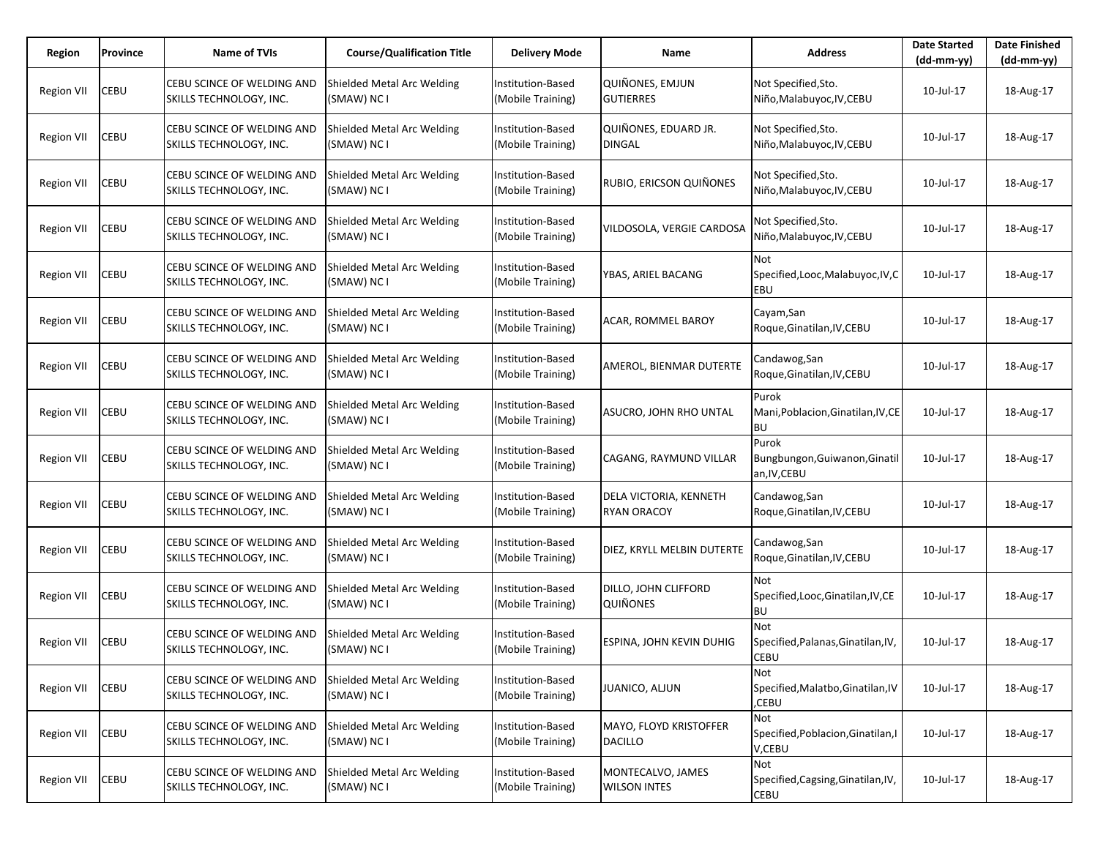| Region            | Province | <b>Name of TVIs</b>                                   | <b>Course/Qualification Title</b>         | <b>Delivery Mode</b>                          | Name                                         | <b>Address</b>                                           | <b>Date Started</b><br>$(dd-mm-yy)$ | <b>Date Finished</b><br>(dd-mm-yy) |
|-------------------|----------|-------------------------------------------------------|-------------------------------------------|-----------------------------------------------|----------------------------------------------|----------------------------------------------------------|-------------------------------------|------------------------------------|
| <b>Region VII</b> | CEBU     | CEBU SCINCE OF WELDING AND<br>SKILLS TECHNOLOGY, INC. | Shielded Metal Arc Welding<br>(SMAW) NC I | Institution-Based<br>(Mobile Training)        | <b>QUIÑONES, EMJUN</b><br><b>GUTIERRES</b>   | Not Specified, Sto.<br>Niño, Malabuyoc, IV, CEBU         | 10-Jul-17                           | 18-Aug-17                          |
| Region VII        | CEBU     | CEBU SCINCE OF WELDING AND<br>SKILLS TECHNOLOGY, INC. | Shielded Metal Arc Welding<br>(SMAW) NC I | <b>Institution-Based</b><br>(Mobile Training) | QUIÑONES, EDUARD JR.<br><b>DINGAL</b>        | Not Specified, Sto.<br>Niño, Malabuyoc, IV, CEBU         | 10-Jul-17                           | 18-Aug-17                          |
| Region VII        | CEBU     | CEBU SCINCE OF WELDING AND<br>SKILLS TECHNOLOGY, INC. | Shielded Metal Arc Welding<br>(SMAW) NC I | Institution-Based<br>(Mobile Training)        | RUBIO, ERICSON QUIÑONES                      | Not Specified, Sto.<br>Niño, Malabuyoc, IV, CEBU         | 10-Jul-17                           | 18-Aug-17                          |
| Region VII        | CEBU     | CEBU SCINCE OF WELDING AND<br>SKILLS TECHNOLOGY, INC. | Shielded Metal Arc Welding<br>(SMAW) NC I | Institution-Based<br>(Mobile Training)        | VILDOSOLA, VERGIE CARDOSA                    | Not Specified, Sto.<br>Niño, Malabuyoc, IV, CEBU         | 10-Jul-17                           | 18-Aug-17                          |
| <b>Region VII</b> | CEBU     | CEBU SCINCE OF WELDING AND<br>SKILLS TECHNOLOGY, INC. | Shielded Metal Arc Welding<br>(SMAW) NC I | <b>Institution-Based</b><br>(Mobile Training) | YBAS, ARIEL BACANG                           | Not<br>Specified, Looc, Malabuyoc, IV, C<br>EBU          | 10-Jul-17                           | 18-Aug-17                          |
| Region VII        | CEBU     | CEBU SCINCE OF WELDING AND<br>SKILLS TECHNOLOGY, INC. | Shielded Metal Arc Welding<br>(SMAW) NC I | <b>Institution-Based</b><br>(Mobile Training) | ACAR, ROMMEL BAROY                           | Cayam, San<br>Roque, Ginatilan, IV, CEBU                 | 10-Jul-17                           | 18-Aug-17                          |
| Region VII        | CEBU     | CEBU SCINCE OF WELDING AND<br>SKILLS TECHNOLOGY, INC. | Shielded Metal Arc Welding<br>(SMAW) NC I | <b>Institution-Based</b><br>(Mobile Training) | AMEROL, BIENMAR DUTERTE                      | Candawog, San<br>Roque, Ginatilan, IV, CEBU              | 10-Jul-17                           | 18-Aug-17                          |
| Region VII        | CEBU     | CEBU SCINCE OF WELDING AND<br>SKILLS TECHNOLOGY, INC. | Shielded Metal Arc Welding<br>(SMAW) NC I | Institution-Based<br>(Mobile Training)        | ASUCRO, JOHN RHO UNTAL                       | Purok<br>Mani, Poblacion, Ginatilan, IV, CE<br><b>BU</b> | 10-Jul-17                           | 18-Aug-17                          |
| Region VII        | CEBU     | CEBU SCINCE OF WELDING AND<br>SKILLS TECHNOLOGY, INC. | Shielded Metal Arc Welding<br>(SMAW) NC I | <b>Institution-Based</b><br>(Mobile Training) | CAGANG, RAYMUND VILLAR                       | Purok<br>Bungbungon, Guiwanon, Ginatil<br>an, IV, CEBU   | 10-Jul-17                           | 18-Aug-17                          |
| Region VII        | CEBU     | CEBU SCINCE OF WELDING AND<br>SKILLS TECHNOLOGY, INC. | Shielded Metal Arc Welding<br>(SMAW) NC I | Institution-Based<br>(Mobile Training)        | DELA VICTORIA, KENNETH<br><b>RYAN ORACOY</b> | Candawog, San<br>Roque, Ginatilan, IV, CEBU              | 10-Jul-17                           | 18-Aug-17                          |
| Region VII        | CEBU     | CEBU SCINCE OF WELDING AND<br>SKILLS TECHNOLOGY, INC. | Shielded Metal Arc Welding<br>(SMAW) NC I | Institution-Based<br>(Mobile Training)        | DIEZ, KRYLL MELBIN DUTERTE                   | Candawog, San<br>Roque, Ginatilan, IV, CEBU              | 10-Jul-17                           | 18-Aug-17                          |
| Region VII        | CEBU     | CEBU SCINCE OF WELDING AND<br>SKILLS TECHNOLOGY, INC. | Shielded Metal Arc Welding<br>(SMAW) NC I | Institution-Based<br>(Mobile Training)        | DILLO, JOHN CLIFFORD<br><b>QUIÑONES</b>      | Not<br>Specified, Looc, Ginatilan, IV, CE<br><b>BU</b>   | 10-Jul-17                           | 18-Aug-17                          |
| <b>Region VII</b> | CEBU     | CEBU SCINCE OF WELDING AND<br>SKILLS TECHNOLOGY, INC. | Shielded Metal Arc Welding<br>(SMAW) NC I | <b>Institution-Based</b><br>(Mobile Training) | ESPINA, JOHN KEVIN DUHIG                     | Not<br>Specified, Palanas, Ginatilan, IV,<br>CEBU        | 10-Jul-17                           | 18-Aug-17                          |
| <b>Region VII</b> | CEBU     | CEBU SCINCE OF WELDING AND<br>SKILLS TECHNOLOGY, INC. | Shielded Metal Arc Welding<br>(SMAW) NC I | Institution-Based<br>(Mobile Training)        | JUANICO, ALJUN                               | Not<br>Specified, Malatbo, Ginatilan, IV<br>,CEBU        | 10-Jul-17                           | 18-Aug-17                          |
| <b>Region VII</b> | CEBU     | CEBU SCINCE OF WELDING AND<br>SKILLS TECHNOLOGY, INC. | Shielded Metal Arc Welding<br>(SMAW) NC I | Institution-Based<br>(Mobile Training)        | MAYO, FLOYD KRISTOFFER<br><b>DACILLO</b>     | Not<br>Specified, Poblacion, Ginatilan, I<br>V,CEBU      | 10-Jul-17                           | 18-Aug-17                          |
| <b>Region VII</b> | CEBU     | CEBU SCINCE OF WELDING AND<br>SKILLS TECHNOLOGY, INC. | Shielded Metal Arc Welding<br>(SMAW) NC I | Institution-Based<br>(Mobile Training)        | MONTECALVO, JAMES<br><b>WILSON INTES</b>     | Not<br>Specified, Cagsing, Ginatilan, IV,<br><b>CEBU</b> | 10-Jul-17                           | 18-Aug-17                          |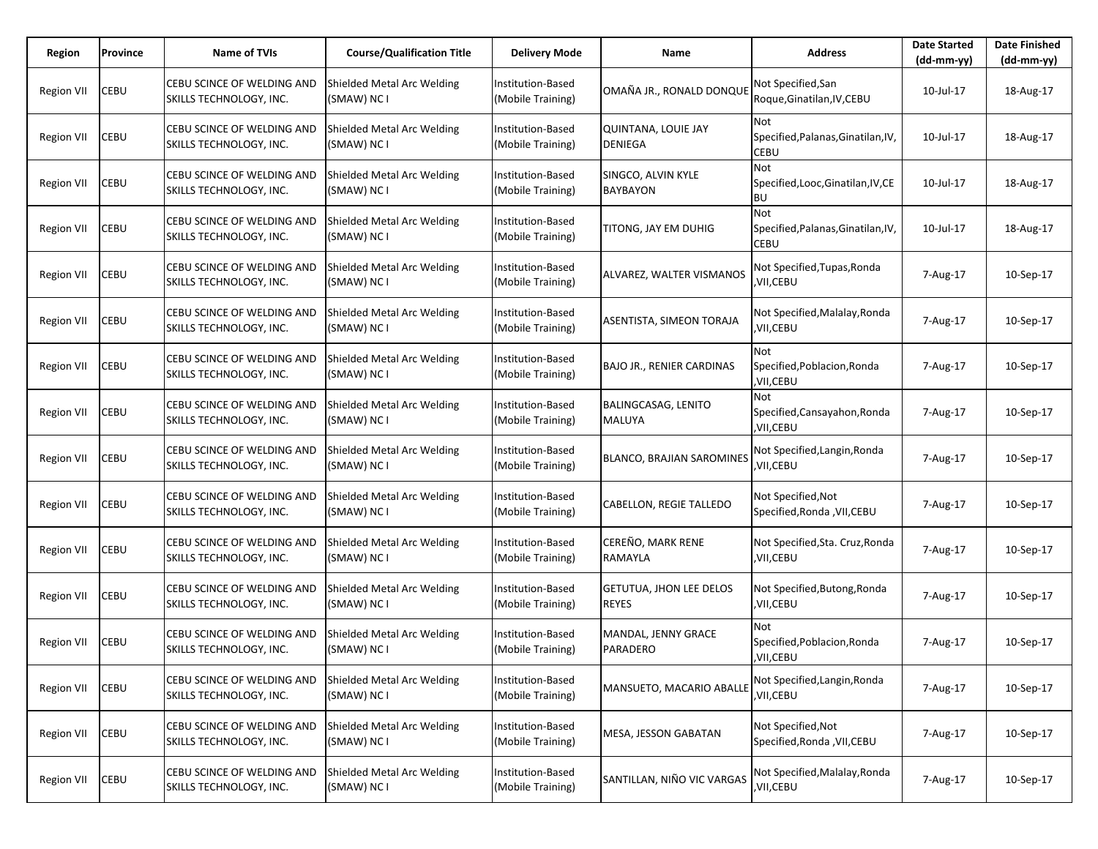| Region            | Province    | Name of TVIs                                          | <b>Course/Qualification Title</b>         | <b>Delivery Mode</b>                   | Name                                           | <b>Address</b>                                           | <b>Date Started</b><br>$(dd-mm-yy)$ | <b>Date Finished</b><br>(dd-mm-yy) |
|-------------------|-------------|-------------------------------------------------------|-------------------------------------------|----------------------------------------|------------------------------------------------|----------------------------------------------------------|-------------------------------------|------------------------------------|
| <b>Region VII</b> | CEBU        | CEBU SCINCE OF WELDING AND<br>SKILLS TECHNOLOGY, INC. | Shielded Metal Arc Welding<br>(SMAW) NC I | Institution-Based<br>(Mobile Training) | OMAÑA JR., RONALD DONQUI                       | Not Specified, San<br>Roque, Ginatilan, IV, CEBU         | 10-Jul-17                           | 18-Aug-17                          |
| <b>Region VII</b> | CEBU        | CEBU SCINCE OF WELDING AND<br>SKILLS TECHNOLOGY, INC. | Shielded Metal Arc Welding<br>(SMAW) NC I | Institution-Based<br>(Mobile Training) | QUINTANA, LOUIE JAY<br><b>DENIEGA</b>          | Not<br>Specified, Palanas, Ginatilan, IV,<br>CEBU        | 10-Jul-17                           | 18-Aug-17                          |
| <b>Region VII</b> | <b>CEBU</b> | CEBU SCINCE OF WELDING AND<br>SKILLS TECHNOLOGY, INC. | Shielded Metal Arc Welding<br>(SMAW) NC I | Institution-Based<br>(Mobile Training) | SINGCO, ALVIN KYLE<br><b>BAYBAYON</b>          | Not<br>Specified, Looc, Ginatilan, IV, CE<br><b>BU</b>   | 10-Jul-17                           | 18-Aug-17                          |
| <b>Region VII</b> | CEBU        | CEBU SCINCE OF WELDING AND<br>SKILLS TECHNOLOGY, INC. | Shielded Metal Arc Welding<br>(SMAW) NC I | Institution-Based<br>(Mobile Training) | TITONG, JAY EM DUHIG                           | Not<br>Specified, Palanas, Ginatilan, IV,<br><b>CEBU</b> | 10-Jul-17                           | 18-Aug-17                          |
| Region VII        | CEBU        | CEBU SCINCE OF WELDING AND<br>SKILLS TECHNOLOGY, INC. | Shielded Metal Arc Welding<br>(SMAW) NC I | Institution-Based<br>(Mobile Training) | ALVAREZ, WALTER VISMANOS                       | Not Specified,Tupas,Ronda<br>,VII,CEBU                   | 7-Aug-17                            | 10-Sep-17                          |
| <b>Region VII</b> | CEBU        | CEBU SCINCE OF WELDING AND<br>SKILLS TECHNOLOGY, INC. | Shielded Metal Arc Welding<br>(SMAW) NC I | Institution-Based<br>(Mobile Training) | ASENTISTA, SIMEON TORAJA                       | Not Specified, Malalay, Ronda<br>,VII,CEBU               | 7-Aug-17                            | 10-Sep-17                          |
| <b>Region VII</b> | CEBU        | CEBU SCINCE OF WELDING AND<br>SKILLS TECHNOLOGY, INC. | Shielded Metal Arc Welding<br>(SMAW) NC I | Institution-Based<br>(Mobile Training) | <b>BAJO JR., RENIER CARDINAS</b>               | Not<br>Specified, Poblacion, Ronda<br>,VII,CEBU          | 7-Aug-17                            | 10-Sep-17                          |
| <b>Region VII</b> | CEBU        | CEBU SCINCE OF WELDING AND<br>SKILLS TECHNOLOGY, INC. | Shielded Metal Arc Welding<br>(SMAW) NC I | Institution-Based<br>(Mobile Training) | BALINGCASAG, LENITO<br>MALUYA                  | Not<br>Specified, Cansayahon, Ronda<br>,VII,CEBU         | 7-Aug-17                            | 10-Sep-17                          |
| <b>Region VII</b> | CEBU        | CEBU SCINCE OF WELDING AND<br>SKILLS TECHNOLOGY, INC. | Shielded Metal Arc Welding<br>(SMAW) NC I | Institution-Based<br>(Mobile Training) | <b>BLANCO, BRAJIAN SAROMINES</b>               | Not Specified, Langin, Ronda<br>,VII,CEBU                | 7-Aug-17                            | 10-Sep-17                          |
| <b>Region VII</b> | CEBU        | CEBU SCINCE OF WELDING AND<br>SKILLS TECHNOLOGY, INC. | Shielded Metal Arc Welding<br>(SMAW) NC I | Institution-Based<br>(Mobile Training) | CABELLON, REGIE TALLEDO                        | Not Specified,Not<br>Specified, Ronda, VII, CEBU         | 7-Aug-17                            | 10-Sep-17                          |
| <b>Region VII</b> | CEBU        | CEBU SCINCE OF WELDING AND<br>SKILLS TECHNOLOGY, INC. | Shielded Metal Arc Welding<br>(SMAW) NC I | Institution-Based<br>(Mobile Training) | CEREÑO, MARK RENE<br>RAMAYLA                   | Not Specified, Sta. Cruz, Ronda<br>,VII,CEBU             | 7-Aug-17                            | 10-Sep-17                          |
| <b>Region VII</b> | CEBU        | CEBU SCINCE OF WELDING AND<br>SKILLS TECHNOLOGY, INC. | Shielded Metal Arc Welding<br>(SMAW) NC I | Institution-Based<br>(Mobile Training) | <b>GETUTUA, JHON LEE DELOS</b><br><b>REYES</b> | Not Specified, Butong, Ronda<br>,VII,CEBU                | 7-Aug-17                            | 10-Sep-17                          |
| <b>Region VII</b> | CEBU        | CEBU SCINCE OF WELDING AND<br>SKILLS TECHNOLOGY, INC. | Shielded Metal Arc Welding<br>(SMAW) NC I | Institution-Based<br>(Mobile Training) | MANDAL, JENNY GRACE<br><b>PARADERO</b>         | Not<br>Specified, Poblacion, Ronda<br>,VII,CEBU          | 7-Aug-17                            | 10-Sep-17                          |
| <b>Region VII</b> | CEBU        | CEBU SCINCE OF WELDING AND<br>SKILLS TECHNOLOGY, INC. | Shielded Metal Arc Welding<br>(SMAW) NC I | Institution-Based<br>(Mobile Training) | MANSUETO, MACARIO ABALLI                       | Not Specified, Langin, Ronda<br>,VII,CEBU                | 7-Aug-17                            | 10-Sep-17                          |
| <b>Region VII</b> | CEBU        | CEBU SCINCE OF WELDING AND<br>SKILLS TECHNOLOGY, INC. | Shielded Metal Arc Welding<br>(SMAW) NC I | Institution-Based<br>(Mobile Training) | MESA, JESSON GABATAN                           | Not Specified, Not<br>Specified, Ronda, VII, CEBU        | 7-Aug-17                            | 10-Sep-17                          |
| <b>Region VII</b> | CEBU        | CEBU SCINCE OF WELDING AND<br>SKILLS TECHNOLOGY, INC. | Shielded Metal Arc Welding<br>(SMAW) NC I | Institution-Based<br>(Mobile Training) | SANTILLAN, NIÑO VIC VARGAS                     | Not Specified, Malalay, Ronda<br>,VII,CEBU               | 7-Aug-17                            | 10-Sep-17                          |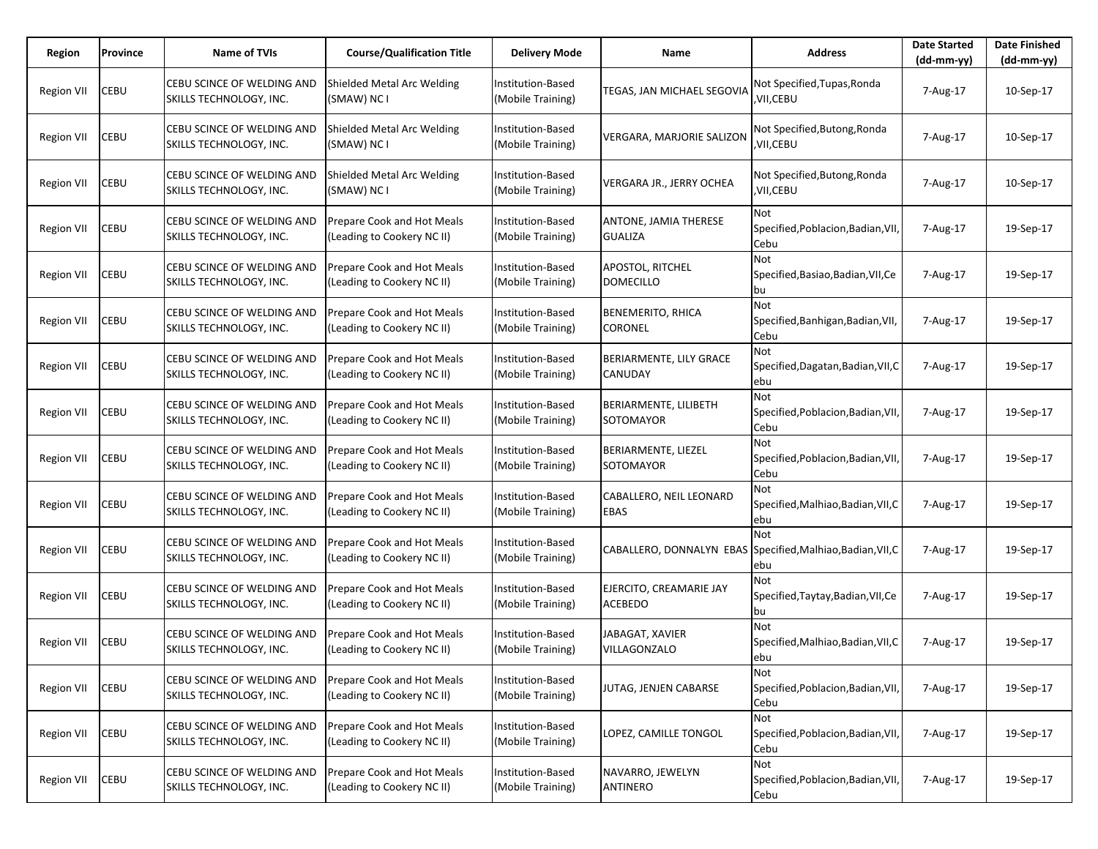| Region            | Province | Name of TVIs                                          | <b>Course/Qualification Title</b>                        | <b>Delivery Mode</b>                   | Name                                      | <b>Address</b>                                    | <b>Date Started</b><br>$(dd-mm-yy)$ | <b>Date Finished</b><br>(dd-mm-yy) |
|-------------------|----------|-------------------------------------------------------|----------------------------------------------------------|----------------------------------------|-------------------------------------------|---------------------------------------------------|-------------------------------------|------------------------------------|
| <b>Region VII</b> | CEBU     | CEBU SCINCE OF WELDING AND<br>SKILLS TECHNOLOGY, INC. | Shielded Metal Arc Welding<br>(SMAW) NC I                | Institution-Based<br>(Mobile Training) | TEGAS, JAN MICHAEL SEGOVIA                | Not Specified, Tupas, Ronda<br>,VII,CEBU          | 7-Aug-17                            | 10-Sep-17                          |
| <b>Region VII</b> | CEBU     | CEBU SCINCE OF WELDING AND<br>SKILLS TECHNOLOGY, INC. | Shielded Metal Arc Welding<br>(SMAW) NC I                | Institution-Based<br>(Mobile Training) | VERGARA, MARJORIE SALIZON                 | Not Specified, Butong, Ronda<br>,VII,CEBU         | 7-Aug-17                            | 10-Sep-17                          |
| <b>Region VII</b> | CEBU     | CEBU SCINCE OF WELDING AND<br>SKILLS TECHNOLOGY, INC. | Shielded Metal Arc Welding<br>(SMAW) NC I                | Institution-Based<br>(Mobile Training) | VERGARA JR., JERRY OCHEA                  | Not Specified, Butong, Ronda<br>,VII,CEBU         | 7-Aug-17                            | 10-Sep-17                          |
| <b>Region VII</b> | CEBU     | CEBU SCINCE OF WELDING AND<br>SKILLS TECHNOLOGY, INC. | Prepare Cook and Hot Meals<br>(Leading to Cookery NC II) | Institution-Based<br>(Mobile Training) | ANTONE, JAMIA THERESE<br><b>GUALIZA</b>   | Not<br>Specified, Poblacion, Badian, VII<br>Cebu  | 7-Aug-17                            | 19-Sep-17                          |
| Region VII        | CEBU     | CEBU SCINCE OF WELDING AND<br>SKILLS TECHNOLOGY, INC. | Prepare Cook and Hot Meals<br>(Leading to Cookery NC II) | Institution-Based<br>(Mobile Training) | APOSTOL, RITCHEL<br><b>DOMECILLO</b>      | Not<br>Specified, Basiao, Badian, VII, Ce<br>bu   | 7-Aug-17                            | 19-Sep-17                          |
| <b>Region VII</b> | CEBU     | CEBU SCINCE OF WELDING AND<br>SKILLS TECHNOLOGY, INC. | Prepare Cook and Hot Meals<br>(Leading to Cookery NC II) | Institution-Based<br>(Mobile Training) | BENEMERITO, RHICA<br><b>CORONEL</b>       | Not<br>Specified, Banhigan, Badian, VII,<br>Cebu  | 7-Aug-17                            | 19-Sep-17                          |
| <b>Region VII</b> | CEBU     | CEBU SCINCE OF WELDING AND<br>SKILLS TECHNOLOGY, INC. | Prepare Cook and Hot Meals<br>(Leading to Cookery NC II) | Institution-Based<br>(Mobile Training) | BERIARMENTE, LILY GRACE<br>CANUDAY        | Not<br>Specified, Dagatan, Badian, VII, C<br>ebu  | 7-Aug-17                            | 19-Sep-17                          |
| <b>Region VII</b> | CEBU     | CEBU SCINCE OF WELDING AND<br>SKILLS TECHNOLOGY, INC. | Prepare Cook and Hot Meals<br>(Leading to Cookery NC II) | Institution-Based<br>(Mobile Training) | BERIARMENTE, LILIBETH<br>SOTOMAYOR        | Not<br>Specified, Poblacion, Badian, VII,<br>Cebu | 7-Aug-17                            | 19-Sep-17                          |
| <b>Region VII</b> | CEBU     | CEBU SCINCE OF WELDING AND<br>SKILLS TECHNOLOGY, INC. | Prepare Cook and Hot Meals<br>(Leading to Cookery NC II) | Institution-Based<br>(Mobile Training) | BERIARMENTE, LIEZEL<br>SOTOMAYOR          | Not<br>Specified, Poblacion, Badian, VII,<br>Cebu | 7-Aug-17                            | 19-Sep-17                          |
| <b>Region VII</b> | CEBU     | CEBU SCINCE OF WELDING AND<br>SKILLS TECHNOLOGY, INC. | Prepare Cook and Hot Meals<br>(Leading to Cookery NC II) | Institution-Based<br>(Mobile Training) | CABALLERO, NEIL LEONARD<br>EBAS           | Not<br>Specified, Malhiao, Badian, VII, C<br>ebu  | 7-Aug-17                            | 19-Sep-17                          |
| <b>Region VII</b> | CEBU     | CEBU SCINCE OF WELDING AND<br>SKILLS TECHNOLOGY, INC. | Prepare Cook and Hot Meals<br>(Leading to Cookery NC II) | Institution-Based<br>(Mobile Training) | CABALLERO, DONNALYN EBAS                  | Not<br>Specified, Malhiao, Badian, VII, C<br>ebu  | 7-Aug-17                            | 19-Sep-17                          |
| <b>Region VII</b> | CEBU     | CEBU SCINCE OF WELDING AND<br>SKILLS TECHNOLOGY, INC. | Prepare Cook and Hot Meals<br>(Leading to Cookery NC II) | Institution-Based<br>(Mobile Training) | EJERCITO, CREAMARIE JAY<br><b>ACEBEDO</b> | Not<br>Specified, Taytay, Badian, VII, Ce<br>bu   | 7-Aug-17                            | 19-Sep-17                          |
| <b>Region VII</b> | CEBU     | CEBU SCINCE OF WELDING AND<br>SKILLS TECHNOLOGY, INC. | Prepare Cook and Hot Meals<br>(Leading to Cookery NC II) | Institution-Based<br>(Mobile Training) | JABAGAT, XAVIER<br>VILLAGONZALO           | Not<br>Specified, Malhiao, Badian, VII, C<br>ebu  | 7-Aug-17                            | 19-Sep-17                          |
| <b>Region VII</b> | CEBU     | CEBU SCINCE OF WELDING AND<br>SKILLS TECHNOLOGY, INC. | Prepare Cook and Hot Meals<br>(Leading to Cookery NC II) | Institution-Based<br>(Mobile Training) | JUTAG, JENJEN CABARSE                     | Not<br>Specified, Poblacion, Badian, VII,<br>Cebu | 7-Aug-17                            | 19-Sep-17                          |
| <b>Region VII</b> | CEBU     | CEBU SCINCE OF WELDING AND<br>SKILLS TECHNOLOGY, INC. | Prepare Cook and Hot Meals<br>(Leading to Cookery NC II) | Institution-Based<br>(Mobile Training) | LOPEZ, CAMILLE TONGOL                     | Not<br>Specified, Poblacion, Badian, VII,<br>Cebu | 7-Aug-17                            | 19-Sep-17                          |
| <b>Region VII</b> | CEBU     | CEBU SCINCE OF WELDING AND<br>SKILLS TECHNOLOGY, INC. | Prepare Cook and Hot Meals<br>(Leading to Cookery NC II) | Institution-Based<br>(Mobile Training) | NAVARRO, JEWELYN<br>ANTINERO              | Not<br>Specified, Poblacion, Badian, VII,<br>Cebu | 7-Aug-17                            | 19-Sep-17                          |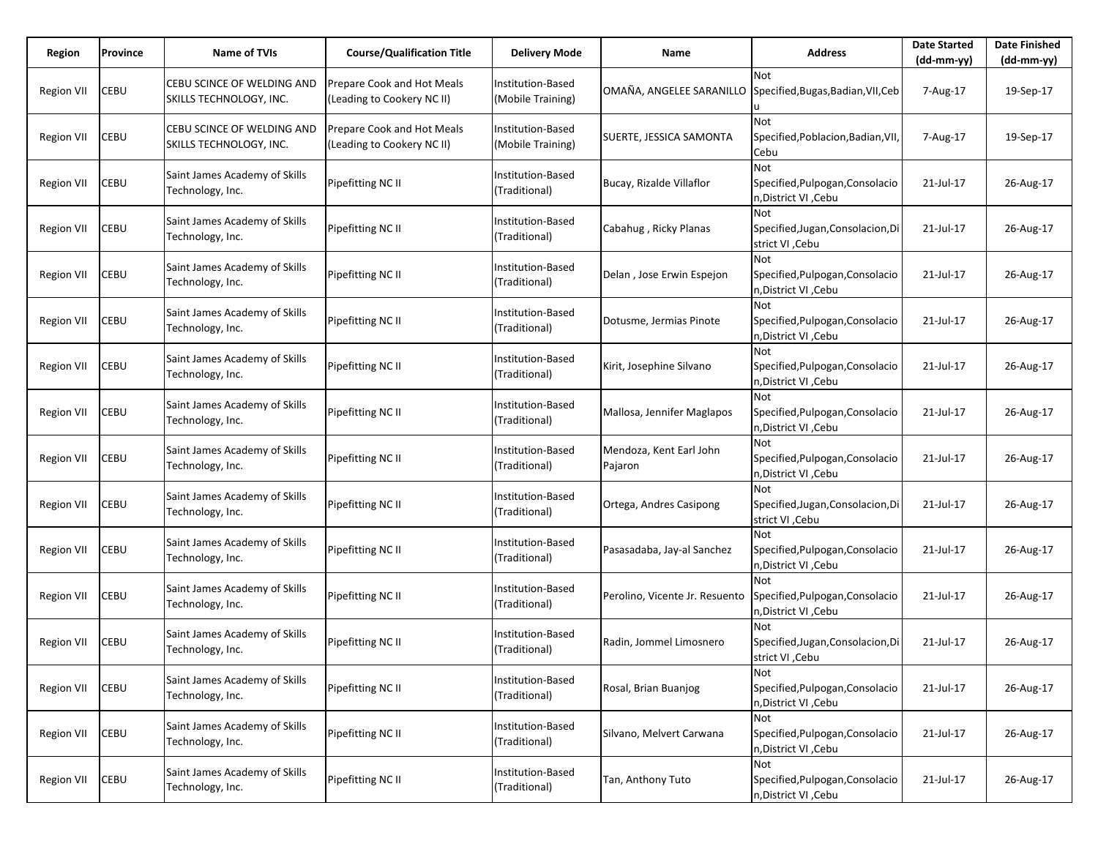| Region            | Province | <b>Name of TVIs</b>                                   | <b>Course/Qualification Title</b>                        | Delivery Mode                                 | Name                               | <b>Address</b>                                                        | <b>Date Started</b><br>$(dd-mm-yy)$ | <b>Date Finished</b><br>$(dd-mm-yy)$ |
|-------------------|----------|-------------------------------------------------------|----------------------------------------------------------|-----------------------------------------------|------------------------------------|-----------------------------------------------------------------------|-------------------------------------|--------------------------------------|
| <b>Region VII</b> | CEBU     | CEBU SCINCE OF WELDING AND<br>SKILLS TECHNOLOGY, INC. | Prepare Cook and Hot Meals<br>(Leading to Cookery NC II) | <b>Institution-Based</b><br>(Mobile Training) | OMAÑA, ANGELEE SARANILLO           | <b>Not</b><br>Specified, Bugas, Badian, VII, Ceb                      | 7-Aug-17                            | 19-Sep-17                            |
| <b>Region VII</b> | CEBU     | CEBU SCINCE OF WELDING AND<br>SKILLS TECHNOLOGY, INC. | Prepare Cook and Hot Meals<br>(Leading to Cookery NC II) | <b>Institution-Based</b><br>(Mobile Training) | SUERTE, JESSICA SAMONTA            | <b>Not</b><br>Specified, Poblacion, Badian, VII,<br>Cebu              | 7-Aug-17                            | 19-Sep-17                            |
| <b>Region VII</b> | CEBU     | Saint James Academy of Skills<br>Technology, Inc.     | Pipefitting NC II                                        | <b>Institution-Based</b><br>(Traditional)     | Bucay, Rizalde Villaflor           | <b>Not</b><br>Specified, Pulpogan, Consolacio<br>n, District VI, Cebu | 21-Jul-17                           | 26-Aug-17                            |
| Region VII        | CEBU     | Saint James Academy of Skills<br>Technology, Inc.     | Pipefitting NC II                                        | Institution-Based<br>(Traditional)            | Cabahug, Ricky Planas              | <b>Not</b><br>Specified, Jugan, Consolacion, Di<br>strict VI, Cebu    | 21-Jul-17                           | 26-Aug-17                            |
| Region VII        | CEBU     | Saint James Academy of Skills<br>Technology, Inc.     | Pipefitting NC II                                        | Institution-Based<br>(Traditional)            | Delan, Jose Erwin Espejon          | <b>Not</b><br>Specified, Pulpogan, Consolacio<br>n, District VI, Cebu | 21-Jul-17                           | 26-Aug-17                            |
| <b>Region VII</b> | CEBU     | Saint James Academy of Skills<br>Technology, Inc.     | Pipefitting NC II                                        | <b>Institution-Based</b><br>(Traditional)     | Dotusme, Jermias Pinote            | <b>Not</b><br>Specified, Pulpogan, Consolacio<br>n, District VI, Cebu | 21-Jul-17                           | 26-Aug-17                            |
| Region VII        | CEBU     | Saint James Academy of Skills<br>Technology, Inc.     | Pipefitting NC II                                        | Institution-Based<br>(Traditional)            | Kirit, Josephine Silvano           | Not<br>Specified, Pulpogan, Consolacio<br>n, District VI, Cebu        | 21-Jul-17                           | 26-Aug-17                            |
| Region VII        | CEBU     | Saint James Academy of Skills<br>Technology, Inc.     | Pipefitting NC II                                        | <b>Institution-Based</b><br>(Traditional)     | Mallosa, Jennifer Maglapos         | Not<br>Specified, Pulpogan, Consolacio<br>n, District VI, Cebu        | 21-Jul-17                           | 26-Aug-17                            |
| Region VII        | CEBU     | Saint James Academy of Skills<br>Technology, Inc.     | Pipefitting NC II                                        | Institution-Based<br>(Traditional)            | Mendoza, Kent Earl John<br>Pajaron | <b>Not</b><br>Specified, Pulpogan, Consolacio<br>n, District VI, Cebu | 21-Jul-17                           | 26-Aug-17                            |
| Region VII        | CEBU     | Saint James Academy of Skills<br>Technology, Inc.     | Pipefitting NC II                                        | <b>Institution-Based</b><br>(Traditional)     | Ortega, Andres Casipong            | <b>Not</b><br>Specified, Jugan, Consolacion, Di<br>strict VI , Cebu   | 21-Jul-17                           | 26-Aug-17                            |
| Region VII        | CEBU     | Saint James Academy of Skills<br>Technology, Inc.     | Pipefitting NC II                                        | Institution-Based<br>(Traditional)            | Pasasadaba, Jay-al Sanchez         | <b>Not</b><br>Specified, Pulpogan, Consolacio<br>n, District VI, Cebu | 21-Jul-17                           | 26-Aug-17                            |
| Region VII        | CEBU     | Saint James Academy of Skills<br>Technology, Inc.     | Pipefitting NC II                                        | <b>Institution-Based</b><br>(Traditional)     | Perolino, Vicente Jr. Resuento     | Not<br>Specified, Pulpogan, Consolacio<br>n, District VI, Cebu        | 21-Jul-17                           | 26-Aug-17                            |
| <b>Region VII</b> | CEBU     | Saint James Academy of Skills<br>Technology, Inc.     | Pipefitting NC II                                        | <b>Institution-Based</b><br>(Traditional)     | Radin, Jommel Limosnero            | Not<br>Specified, Jugan, Consolacion, Di<br>strict VI , Cebu          | 21-Jul-17                           | 26-Aug-17                            |
| <b>Region VII</b> | CEBU     | Saint James Academy of Skills<br>Technology, Inc.     | Pipefitting NC II                                        | Institution-Based<br>(Traditional)            | Rosal, Brian Buanjog               | Not<br>Specified, Pulpogan, Consolacio<br>n, District VI, Cebu        | 21-Jul-17                           | 26-Aug-17                            |
| <b>Region VII</b> | CEBU     | Saint James Academy of Skills<br>Technology, Inc.     | Pipefitting NC II                                        | Institution-Based<br>(Traditional)            | Silvano, Melvert Carwana           | Not<br>Specified, Pulpogan, Consolacio<br>n, District VI, Cebu        | 21-Jul-17                           | 26-Aug-17                            |
| <b>Region VII</b> | CEBU     | Saint James Academy of Skills<br>Technology, Inc.     | Pipefitting NC II                                        | Institution-Based<br>(Traditional)            | Tan, Anthony Tuto                  | Not<br>Specified, Pulpogan, Consolacio<br>n, District VI, Cebu        | 21-Jul-17                           | 26-Aug-17                            |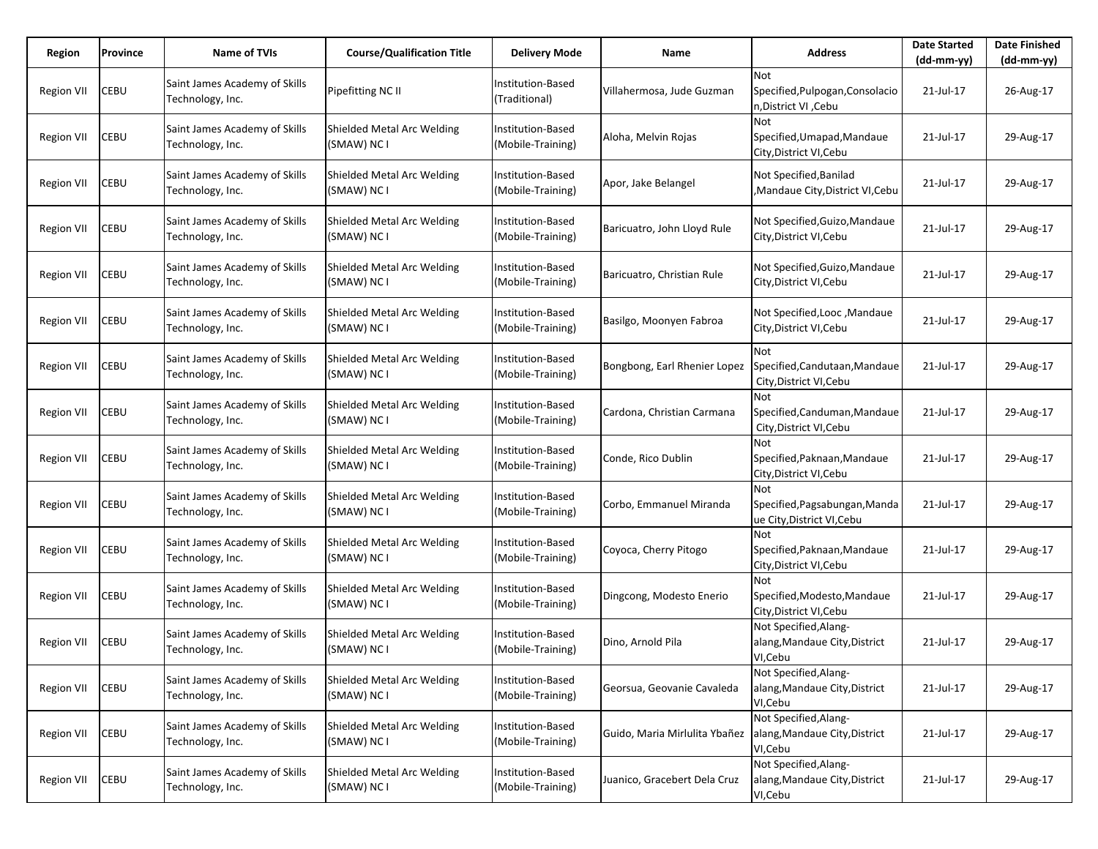| Region            | Province    | Name of TVIs                                      | <b>Course/Qualification Title</b>         | <b>Delivery Mode</b>                          | Name                          | <b>Address</b>                                                     | <b>Date Started</b><br>$(dd-mm-yy)$ | <b>Date Finished</b><br>(dd-mm-yy) |
|-------------------|-------------|---------------------------------------------------|-------------------------------------------|-----------------------------------------------|-------------------------------|--------------------------------------------------------------------|-------------------------------------|------------------------------------|
| <b>Region VII</b> | CEBU        | Saint James Academy of Skills<br>Technology, Inc. | Pipefitting NC II                         | <b>Institution-Based</b><br>(Traditional)     | Villahermosa, Jude Guzman     | Not<br>Specified, Pulpogan, Consolacio<br>n, District VI, Cebu     | 21-Jul-17                           | 26-Aug-17                          |
| <b>Region VII</b> | CEBU        | Saint James Academy of Skills<br>Technology, Inc. | Shielded Metal Arc Welding<br>(SMAW) NC I | Institution-Based<br>(Mobile-Training)        | Aloha, Melvin Rojas           | Not<br>Specified, Umapad, Mandaue<br>City, District VI, Cebu       | 21-Jul-17                           | 29-Aug-17                          |
| Region VII        | CEBU        | Saint James Academy of Skills<br>Technology, Inc. | Shielded Metal Arc Welding<br>(SMAW) NC I | Institution-Based<br>(Mobile-Training)        | Apor, Jake Belangel           | Not Specified, Banilad<br>Mandaue City, District VI, Cebu          | 21-Jul-17                           | 29-Aug-17                          |
| Region VII        | CEBU        | Saint James Academy of Skills<br>Technology, Inc. | Shielded Metal Arc Welding<br>(SMAW) NC I | Institution-Based<br>(Mobile-Training)        | Baricuatro, John Lloyd Rule   | Not Specified, Guizo, Mandaue<br>City, District VI, Cebu           | 21-Jul-17                           | 29-Aug-17                          |
| <b>Region VII</b> | CEBU        | Saint James Academy of Skills<br>Technology, Inc. | Shielded Metal Arc Welding<br>(SMAW) NC I | Institution-Based<br>(Mobile-Training)        | Baricuatro, Christian Rule    | Not Specified, Guizo, Mandaue<br>City, District VI, Cebu           | 21-Jul-17                           | 29-Aug-17                          |
| <b>Region VII</b> | CEBU        | Saint James Academy of Skills<br>Technology, Inc. | Shielded Metal Arc Welding<br>(SMAW) NC I | Institution-Based<br>(Mobile-Training)        | Basilgo, Moonyen Fabroa       | Not Specified, Looc, Mandaue<br>City, District VI, Cebu            | 21-Jul-17                           | 29-Aug-17                          |
| Region VII        | CEBU        | Saint James Academy of Skills<br>Technology, Inc. | Shielded Metal Arc Welding<br>(SMAW) NC I | Institution-Based<br>(Mobile-Training)        | Bongbong, Earl Rhenier Lopez  | Not<br>Specified, Candutaan, Mandaue<br>City, District VI, Cebu    | 21-Jul-17                           | 29-Aug-17                          |
| <b>Region VII</b> | CEBU        | Saint James Academy of Skills<br>Technology, Inc. | Shielded Metal Arc Welding<br>(SMAW) NC I | Institution-Based<br>(Mobile-Training)        | Cardona, Christian Carmana    | Not<br>Specified, Canduman, Mandaue<br>City, District VI, Cebu     | 21-Jul-17                           | 29-Aug-17                          |
| <b>Region VII</b> | CEBU        | Saint James Academy of Skills<br>Technology, Inc. | Shielded Metal Arc Welding<br>(SMAW) NC I | Institution-Based<br>(Mobile-Training)        | Conde, Rico Dublin            | Not<br>Specified, Paknaan, Mandaue<br>City, District VI, Cebu      | 21-Jul-17                           | 29-Aug-17                          |
| <b>Region VII</b> | CEBU        | Saint James Academy of Skills<br>Technology, Inc. | Shielded Metal Arc Welding<br>(SMAW) NC I | <b>Institution-Based</b><br>(Mobile-Training) | Corbo, Emmanuel Miranda       | Not<br>Specified, Pagsabungan, Manda<br>ue City, District VI, Cebu | 21-Jul-17                           | 29-Aug-17                          |
| Region VII        | CEBU        | Saint James Academy of Skills<br>Technology, Inc. | Shielded Metal Arc Welding<br>(SMAW) NC I | Institution-Based<br>(Mobile-Training)        | Coyoca, Cherry Pitogo         | Not<br>Specified, Paknaan, Mandaue<br>City, District VI, Cebu      | 21-Jul-17                           | 29-Aug-17                          |
| <b>Region VII</b> | CEBU        | Saint James Academy of Skills<br>Technology, Inc. | Shielded Metal Arc Welding<br>(SMAW) NC I | Institution-Based<br>(Mobile-Training)        | Dingcong, Modesto Enerio      | Not<br>Specified, Modesto, Mandaue<br>City, District VI, Cebu      | 21-Jul-17                           | 29-Aug-17                          |
| Region VII        | <b>CEBU</b> | Saint James Academy of Skills<br>Technology, Inc. | Shielded Metal Arc Welding<br>(SMAW) NC I | <b>Institution-Based</b><br>(Mobile-Training) | Dino, Arnold Pila             | Not Specified, Alang-<br>alang, Mandaue City, District<br>VI,Cebu  | 21-Jul-17                           | 29-Aug-17                          |
| <b>Region VII</b> | CEBU        | Saint James Academy of Skills<br>Technology, Inc. | Shielded Metal Arc Welding<br>(SMAW) NC I | Institution-Based<br>(Mobile-Training)        | Georsua, Geovanie Cavaleda    | Not Specified, Alang-<br>alang, Mandaue City, District<br>VI, Cebu | 21-Jul-17                           | 29-Aug-17                          |
| Region VII        | CEBU        | Saint James Academy of Skills<br>Technology, Inc. | Shielded Metal Arc Welding<br>(SMAW) NC I | Institution-Based<br>(Mobile-Training)        | Guido, Maria Mirlulita Ybañez | Not Specified, Alang-<br>alang, Mandaue City, District<br>VI, Cebu | 21-Jul-17                           | 29-Aug-17                          |
| <b>Region VII</b> | CEBU        | Saint James Academy of Skills<br>Technology, Inc. | Shielded Metal Arc Welding<br>(SMAW) NC I | Institution-Based<br>(Mobile-Training)        | Juanico, Gracebert Dela Cruz  | Not Specified, Alang-<br>alang, Mandaue City, District<br>VI, Cebu | 21-Jul-17                           | 29-Aug-17                          |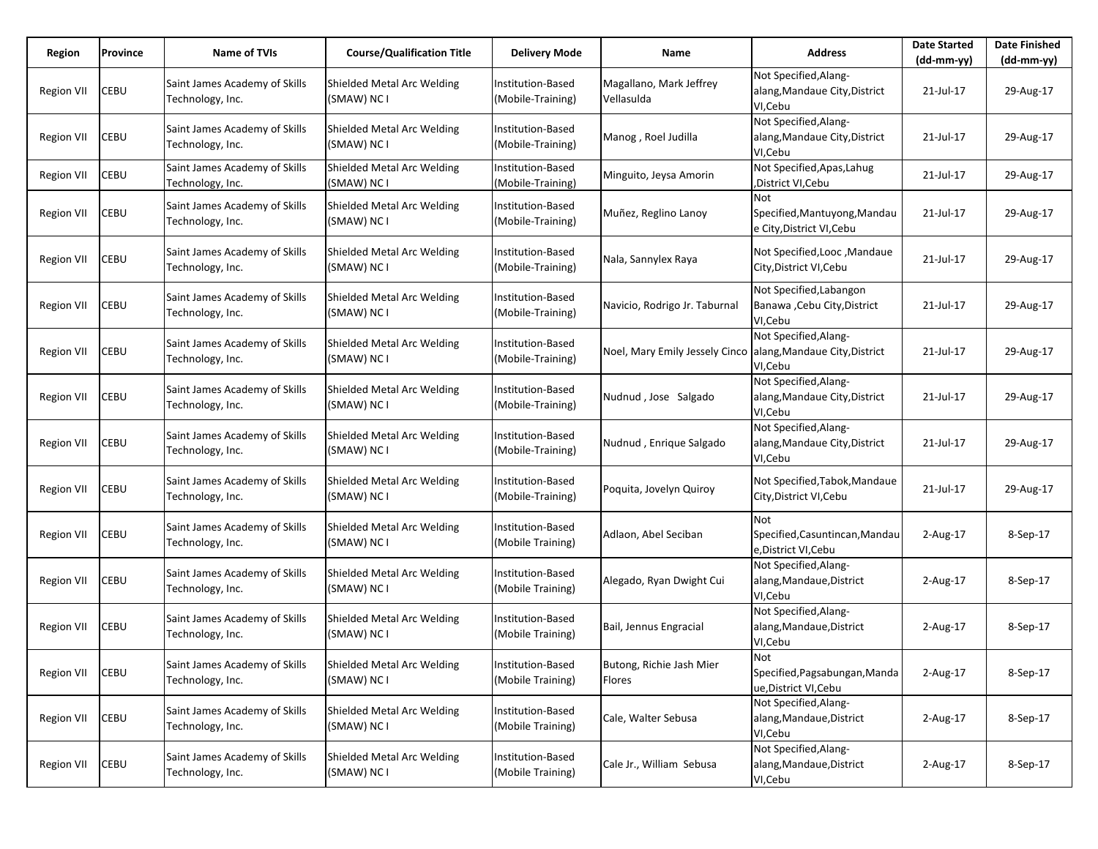| Region            | Province | <b>Name of TVIs</b>                               | <b>Course/Qualification Title</b>         | <b>Delivery Mode</b>                   | Name                                                          | <b>Address</b>                                                      | <b>Date Started</b><br>$(dd-mm-vv)$ | <b>Date Finished</b><br>(dd-mm-yy) |
|-------------------|----------|---------------------------------------------------|-------------------------------------------|----------------------------------------|---------------------------------------------------------------|---------------------------------------------------------------------|-------------------------------------|------------------------------------|
| <b>Region VII</b> | CEBU     | Saint James Academy of Skills<br>Technology, Inc. | Shielded Metal Arc Welding<br>(SMAW) NC I | Institution-Based<br>(Mobile-Training) | Magallano, Mark Jeffrey<br>Vellasulda                         | Not Specified, Alang-<br>alang, Mandaue City, District<br>VI, Cebu  | 21-Jul-17                           | 29-Aug-17                          |
| <b>Region VII</b> | CEBU     | Saint James Academy of Skills<br>Technology, Inc. | Shielded Metal Arc Welding<br>(SMAW) NC I | Institution-Based<br>(Mobile-Training) | Manog, Roel Judilla                                           | Not Specified, Alang-<br>alang, Mandaue City, District<br>VI, Cebu  | 21-Jul-17                           | 29-Aug-17                          |
| <b>Region VII</b> | CEBU     | Saint James Academy of Skills<br>Technology, Inc. | Shielded Metal Arc Welding<br>(SMAW) NC I | Institution-Based<br>(Mobile-Training) | Minguito, Jeysa Amorin                                        | Not Specified, Apas, Lahug<br>,District VI,Cebu                     | 21-Jul-17                           | 29-Aug-17                          |
| <b>Region VII</b> | CEBU     | Saint James Academy of Skills<br>Technology, Inc. | Shielded Metal Arc Welding<br>(SMAW) NC I | Institution-Based<br>(Mobile-Training) | Muñez, Reglino Lanoy                                          | Not<br>Specified, Mantuyong, Mandau<br>e City, District VI, Cebu    | 21-Jul-17                           | 29-Aug-17                          |
| Region VII        | CEBU     | Saint James Academy of Skills<br>Technology, Inc. | Shielded Metal Arc Welding<br>(SMAW) NC I | Institution-Based<br>(Mobile-Training) | Nala, Sannylex Raya                                           | Not Specified, Looc, Mandaue<br>City, District VI, Cebu             | 21-Jul-17                           | 29-Aug-17                          |
| <b>Region VII</b> | CEBU     | Saint James Academy of Skills<br>Technology, Inc. | Shielded Metal Arc Welding<br>(SMAW) NC I | Institution-Based<br>(Mobile-Training) | Navicio, Rodrigo Jr. Taburnal                                 | Not Specified, Labangon<br>Banawa , Cebu City, District<br>VI, Cebu | 21-Jul-17                           | 29-Aug-17                          |
| <b>Region VII</b> | CEBU     | Saint James Academy of Skills<br>Technology, Inc. | Shielded Metal Arc Welding<br>(SMAW) NC I | Institution-Based<br>(Mobile-Training) | Noel, Mary Emily Jessely Cinco allang, Mandaue City, District | Not Specified, Alang-<br>VI,Cebu                                    | 21-Jul-17                           | 29-Aug-17                          |
| <b>Region VII</b> | CEBU     | Saint James Academy of Skills<br>Technology, Inc. | Shielded Metal Arc Welding<br>(SMAW) NC I | Institution-Based<br>(Mobile-Training) | Nudnud, Jose Salgado                                          | Not Specified, Alang-<br>alang, Mandaue City, District<br>VI, Cebu  | 21-Jul-17                           | 29-Aug-17                          |
| <b>Region VII</b> | CEBU     | Saint James Academy of Skills<br>Technology, Inc. | Shielded Metal Arc Welding<br>(SMAW) NC I | Institution-Based<br>(Mobile-Training) | Nudnud, Enrique Salgado                                       | Not Specified, Alang-<br>alang, Mandaue City, District<br>VI, Cebu  | 21-Jul-17                           | 29-Aug-17                          |
| <b>Region VII</b> | CEBU     | Saint James Academy of Skills<br>Technology, Inc. | Shielded Metal Arc Welding<br>(SMAW) NC I | Institution-Based<br>(Mobile-Training) | Poquita, Jovelyn Quiroy                                       | Not Specified, Tabok, Mandaue<br>City, District VI, Cebu            | 21-Jul-17                           | 29-Aug-17                          |
| <b>Region VII</b> | CEBU     | Saint James Academy of Skills<br>Technology, Inc. | Shielded Metal Arc Welding<br>(SMAW) NC I | Institution-Based<br>(Mobile Training) | Adlaon, Abel Seciban                                          | Not<br>Specified, Casuntincan, Mandau<br>e, District VI, Cebu       | 2-Aug-17                            | 8-Sep-17                           |
| <b>Region VII</b> | CEBU     | Saint James Academy of Skills<br>Technology, Inc. | Shielded Metal Arc Welding<br>(SMAW) NC I | Institution-Based<br>(Mobile Training) | Alegado, Ryan Dwight Cui                                      | Not Specified, Alang-<br>alang, Mandaue, District<br>VI, Cebu       | $2$ -Aug-17                         | 8-Sep-17                           |
| <b>Region VII</b> | CEBU     | Saint James Academy of Skills<br>Technology, Inc. | Shielded Metal Arc Welding<br>(SMAW) NC I | Institution-Based<br>(Mobile Training) | Bail, Jennus Engracial                                        | Not Specified, Alang-<br>alang, Mandaue, District<br>VI,Cebu        | $2$ -Aug-17                         | 8-Sep-17                           |
| <b>Region VII</b> | CEBU     | Saint James Academy of Skills<br>Technology, Inc. | Shielded Metal Arc Welding<br>(SMAW) NC I | Institution-Based<br>(Mobile Training) | Butong, Richie Jash Mier<br>Flores                            | Not<br>Specified, Pagsabungan, Manda<br>ue, District VI, Cebu       | 2-Aug-17                            | 8-Sep-17                           |
| <b>Region VII</b> | CEBU     | Saint James Academy of Skills<br>Technology, Inc. | Shielded Metal Arc Welding<br>(SMAW) NC I | Institution-Based<br>(Mobile Training) | Cale, Walter Sebusa                                           | Not Specified, Alang-<br>alang, Mandaue, District<br>VI,Cebu        | 2-Aug-17                            | 8-Sep-17                           |
| Region VII        | CEBU     | Saint James Academy of Skills<br>Technology, Inc. | Shielded Metal Arc Welding<br>(SMAW) NC I | Institution-Based<br>(Mobile Training) | Cale Jr., William Sebusa                                      | Not Specified, Alang-<br>alang, Mandaue, District<br>VI, Cebu       | 2-Aug-17                            | 8-Sep-17                           |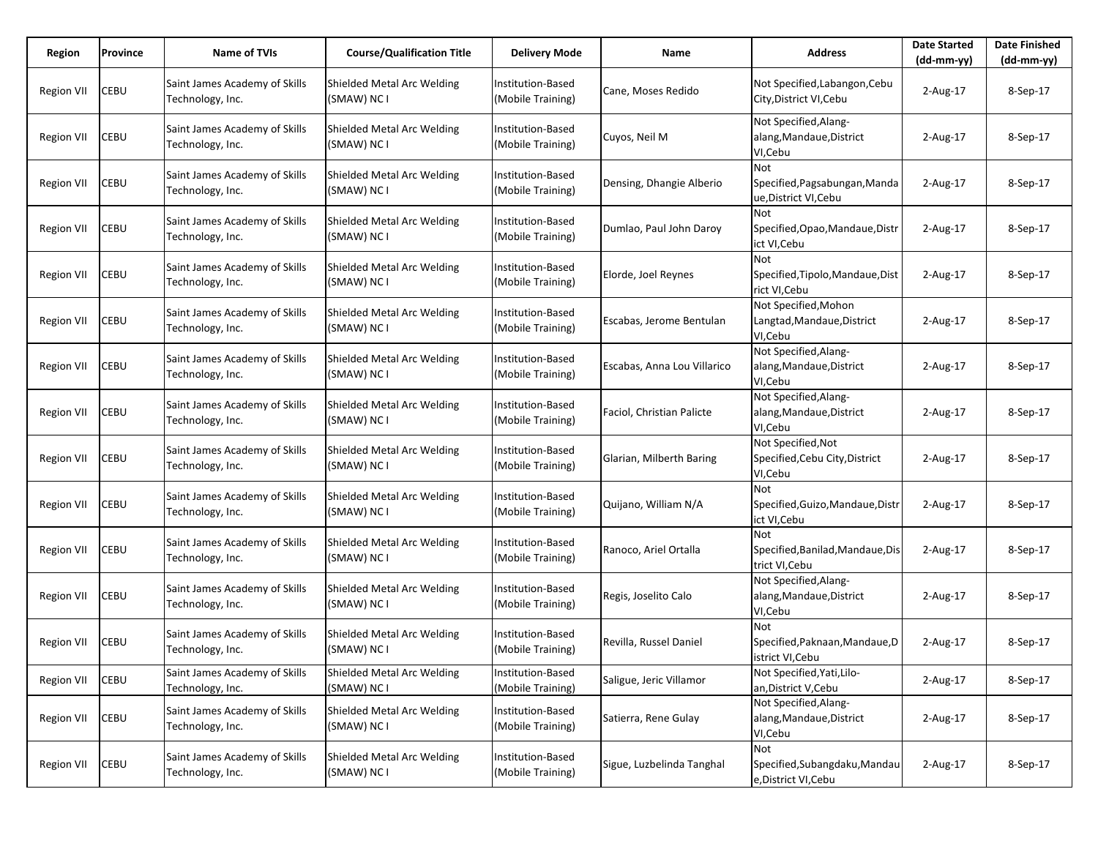| Region            | Province    | <b>Name of TVIs</b>                               | <b>Course/Qualification Title</b>         | <b>Delivery Mode</b>                   | Name                        | <b>Address</b>                                                  | <b>Date Started</b><br>$(dd-mm-yy)$ | <b>Date Finished</b><br>$(dd-mm-yy)$ |
|-------------------|-------------|---------------------------------------------------|-------------------------------------------|----------------------------------------|-----------------------------|-----------------------------------------------------------------|-------------------------------------|--------------------------------------|
| <b>Region VII</b> | CEBU        | Saint James Academy of Skills<br>Technology, Inc. | Shielded Metal Arc Welding<br>(SMAW) NC I | Institution-Based<br>(Mobile Training) | Cane, Moses Redido          | Not Specified, Labangon, Cebu<br>City, District VI, Cebu        | $2$ -Aug-17                         | 8-Sep-17                             |
| Region VII        | CEBU        | Saint James Academy of Skills<br>Technology, Inc. | Shielded Metal Arc Welding<br>(SMAW) NC I | Institution-Based<br>(Mobile Training) | Cuyos, Neil M               | Not Specified, Alang-<br>alang, Mandaue, District<br>VI, Cebu   | $2$ -Aug-17                         | 8-Sep-17                             |
| <b>Region VII</b> | CEBU        | Saint James Academy of Skills<br>Technology, Inc. | Shielded Metal Arc Welding<br>(SMAW) NC I | Institution-Based<br>(Mobile Training) | Densing, Dhangie Alberio    | Not<br>Specified, Pagsabungan, Manda<br>ue,District VI,Cebu     | $2$ -Aug-17                         | 8-Sep-17                             |
| <b>Region VII</b> | CEBU        | Saint James Academy of Skills<br>Technology, Inc. | Shielded Metal Arc Welding<br>(SMAW) NC I | Institution-Based<br>(Mobile Training) | Dumlao, Paul John Daroy     | Not<br>Specified, Opao, Mandaue, Distr<br>ict VI,Cebu           | $2$ -Aug-17                         | 8-Sep-17                             |
| <b>Region VII</b> | CEBU        | Saint James Academy of Skills<br>Technology, Inc. | Shielded Metal Arc Welding<br>(SMAW) NC I | Institution-Based<br>(Mobile Training) | Elorde, Joel Reynes         | Not<br>Specified, Tipolo, Mandaue, Dist<br>rict VI, Cebu        | $2$ -Aug-17                         | 8-Sep-17                             |
| <b>Region VII</b> | CEBU        | Saint James Academy of Skills<br>Technology, Inc. | Shielded Metal Arc Welding<br>(SMAW) NC I | Institution-Based<br>(Mobile Training) | Escabas, Jerome Bentulan    | Not Specified, Mohon<br>Langtad, Mandaue, District<br>VI,Cebu   | $2-Aug-17$                          | 8-Sep-17                             |
| Region VII        | <b>CEBU</b> | Saint James Academy of Skills<br>Technology, Inc. | Shielded Metal Arc Welding<br>(SMAW) NC I | Institution-Based<br>(Mobile Training) | Escabas, Anna Lou Villarico | Not Specified, Alang-<br>alang, Mandaue, District<br>VI,Cebu    | $2$ -Aug-17                         | 8-Sep-17                             |
| <b>Region VII</b> | CEBU        | Saint James Academy of Skills<br>Technology, Inc. | Shielded Metal Arc Welding<br>(SMAW) NC I | Institution-Based<br>(Mobile Training) | Faciol, Christian Palicte   | Not Specified, Alang-<br>alang, Mandaue, District<br>VI, Cebu   | $2$ -Aug-17                         | 8-Sep-17                             |
| Region VII        | CEBU        | Saint James Academy of Skills<br>Technology, Inc. | Shielded Metal Arc Welding<br>(SMAW) NC I | Institution-Based<br>(Mobile Training) | Glarian, Milberth Baring    | Not Specified, Not<br>Specified, Cebu City, District<br>VI,Cebu | $2$ -Aug-17                         | 8-Sep-17                             |
| <b>Region VII</b> | CEBU        | Saint James Academy of Skills<br>Technology, Inc. | Shielded Metal Arc Welding<br>(SMAW) NC I | Institution-Based<br>(Mobile Training) | Quijano, William N/A        | <b>Not</b><br>Specified, Guizo, Mandaue, Distr<br>ict VI, Cebu  | 2-Aug-17                            | 8-Sep-17                             |
| Region VII        | CEBU        | Saint James Academy of Skills<br>Technology, Inc. | Shielded Metal Arc Welding<br>(SMAW) NC I | Institution-Based<br>(Mobile Training) | Ranoco, Ariel Ortalla       | Not<br>Specified, Banilad, Mandaue, Dis<br>trict VI, Cebu       | 2-Aug-17                            | 8-Sep-17                             |
| <b>Region VII</b> | CEBU        | Saint James Academy of Skills<br>Technology, Inc. | Shielded Metal Arc Welding<br>(SMAW) NC I | Institution-Based<br>(Mobile Training) | Regis, Joselito Calo        | Not Specified, Alang-<br>alang, Mandaue, District<br>VI, Cebu   | $2$ -Aug-17                         | 8-Sep-17                             |
| <b>Region VII</b> | <b>CEBU</b> | Saint James Academy of Skills<br>Technology, Inc. | Shielded Metal Arc Welding<br>(SMAW) NC I | Institution-Based<br>(Mobile Training) | Revilla, Russel Daniel      | Not<br>Specified, Paknaan, Mandaue, D<br>istrict VI,Cebu        | $2$ -Aug-17                         | 8-Sep-17                             |
| <b>Region VII</b> | CEBU        | Saint James Academy of Skills<br>Technology, Inc. | Shielded Metal Arc Welding<br>(SMAW) NC I | Institution-Based<br>(Mobile Training) | Saligue, Jeric Villamor     | Not Specified, Yati, Lilo-<br>an, District V, Cebu              | 2-Aug-17                            | 8-Sep-17                             |
| Region VII        | <b>CEBU</b> | Saint James Academy of Skills<br>Technology, Inc. | Shielded Metal Arc Welding<br>(SMAW) NC I | Institution-Based<br>(Mobile Training) | Satierra, Rene Gulay        | Not Specified, Alang-<br>alang, Mandaue, District<br>VI, Cebu   | 2-Aug-17                            | 8-Sep-17                             |
| <b>Region VII</b> | CEBU        | Saint James Academy of Skills<br>Technology, Inc. | Shielded Metal Arc Welding<br>(SMAW) NC I | Institution-Based<br>(Mobile Training) | Sigue, Luzbelinda Tanghal   | Not<br>Specified, Subangdaku, Mandau<br>e, District VI, Cebu    | 2-Aug-17                            | 8-Sep-17                             |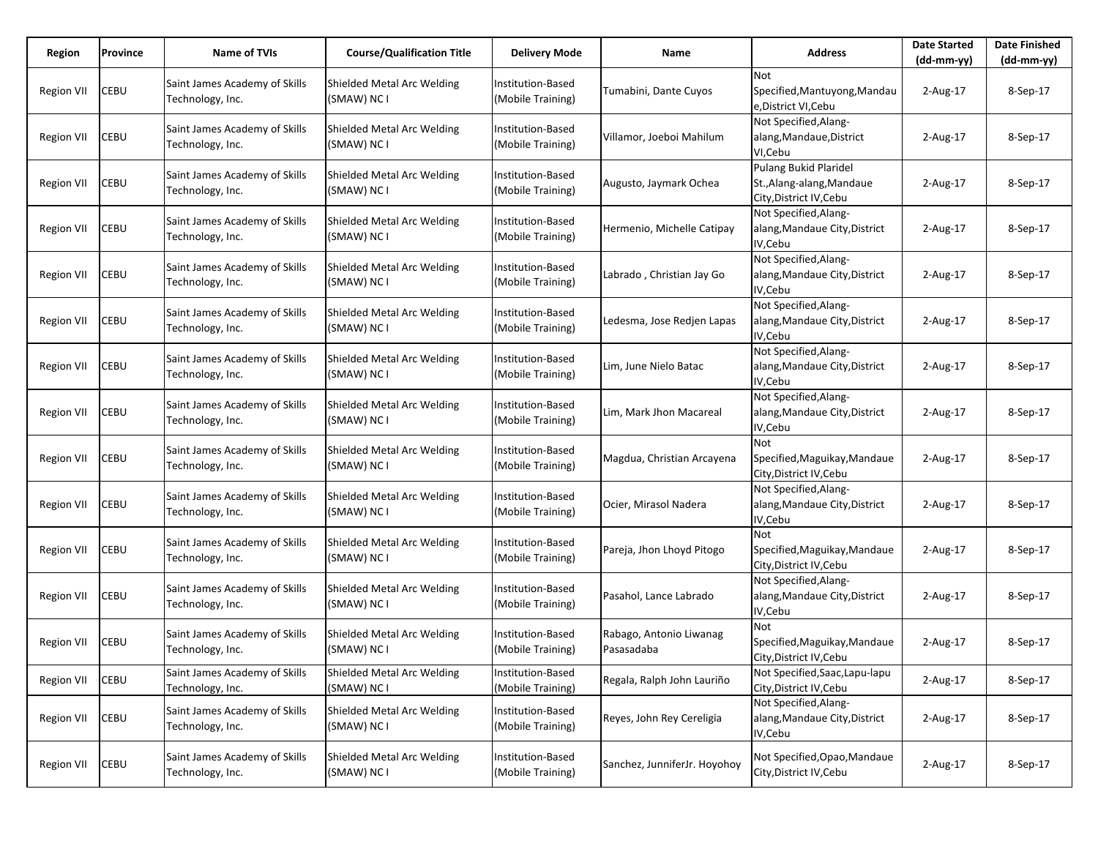| Region            | Province    | <b>Name of TVIs</b>                               | <b>Course/Qualification Title</b>         | <b>Delivery Mode</b>                   | Name                                  | <b>Address</b>                                                                | <b>Date Started</b> | <b>Date Finished</b> |
|-------------------|-------------|---------------------------------------------------|-------------------------------------------|----------------------------------------|---------------------------------------|-------------------------------------------------------------------------------|---------------------|----------------------|
|                   |             |                                                   |                                           |                                        |                                       |                                                                               | $(dd-mm-yy)$        | $(dd-mm-yy)$         |
| <b>Region VII</b> | CEBU        | Saint James Academy of Skills<br>Technology, Inc. | Shielded Metal Arc Welding<br>(SMAW) NC I | Institution-Based<br>(Mobile Training) | Tumabini, Dante Cuyos                 | <b>Not</b><br>Specified, Mantuyong, Mandau<br>e,District VI,Cebu              | 2-Aug-17            | 8-Sep-17             |
| Region VII        | CEBU        | Saint James Academy of Skills<br>Technology, Inc. | Shielded Metal Arc Welding<br>(SMAW) NC I | Institution-Based<br>(Mobile Training) | Villamor, Joeboi Mahilum              | Not Specified, Alang-<br>alang, Mandaue, District<br>VI, Cebu                 | $2$ -Aug-17         | 8-Sep-17             |
| <b>Region VII</b> | CEBU        | Saint James Academy of Skills<br>Technology, Inc. | Shielded Metal Arc Welding<br>(SMAW) NC I | Institution-Based<br>(Mobile Training) | Augusto, Jaymark Ochea                | Pulang Bukid Plaridel<br>St., Alang-alang, Mandaue<br>City, District IV, Cebu | $2$ -Aug-17         | 8-Sep-17             |
| Region VII        | CEBU        | Saint James Academy of Skills<br>Technology, Inc. | Shielded Metal Arc Welding<br>(SMAW) NC I | Institution-Based<br>(Mobile Training) | Hermenio, Michelle Catipay            | Not Specified, Alang-<br>alang, Mandaue City, District<br>IV,Cebu             | $2$ -Aug-17         | 8-Sep-17             |
| <b>Region VII</b> | CEBU        | Saint James Academy of Skills<br>Technology, Inc. | Shielded Metal Arc Welding<br>(SMAW) NC I | Institution-Based<br>(Mobile Training) | Labrado, Christian Jay Go             | Not Specified, Alang-<br>alang, Mandaue City, District<br>IV,Cebu             | $2$ -Aug-17         | 8-Sep-17             |
| <b>Region VII</b> | CEBU        | Saint James Academy of Skills<br>Technology, Inc. | Shielded Metal Arc Welding<br>(SMAW) NC I | Institution-Based<br>(Mobile Training) | Ledesma, Jose Redien Lapas            | Not Specified, Alang-<br>alang, Mandaue City, District<br>IV,Cebu             | $2$ -Aug-17         | 8-Sep-17             |
| Region VII        | <b>CEBU</b> | Saint James Academy of Skills<br>Technology, Inc. | Shielded Metal Arc Welding<br>(SMAW) NC I | Institution-Based<br>(Mobile Training) | Lim, June Nielo Batac                 | Not Specified, Alang-<br>alang, Mandaue City, District<br>IV,Cebu             | $2$ -Aug-17         | 8-Sep-17             |
| <b>Region VII</b> | CEBU        | Saint James Academy of Skills<br>Technology, Inc. | Shielded Metal Arc Welding<br>(SMAW) NC I | Institution-Based<br>(Mobile Training) | Lim, Mark Jhon Macareal               | Not Specified, Alang-<br>alang, Mandaue City, District<br>IV, Cebu            | $2$ -Aug-17         | 8-Sep-17             |
| Region VII        | CEBU        | Saint James Academy of Skills<br>Technology, Inc. | Shielded Metal Arc Welding<br>(SMAW) NC I | Institution-Based<br>(Mobile Training) | Magdua, Christian Arcayena            | <b>Not</b><br>Specified, Maguikay, Mandaue<br>City, District IV, Cebu         | $2$ -Aug-17         | 8-Sep-17             |
| <b>Region VII</b> | CEBU        | Saint James Academy of Skills<br>Technology, Inc. | Shielded Metal Arc Welding<br>(SMAW) NC I | Institution-Based<br>(Mobile Training) | Ocier, Mirasol Nadera                 | Not Specified, Alang-<br>alang, Mandaue City, District<br>IV, Cebu            | 2-Aug-17            | 8-Sep-17             |
| Region VII        | CEBU        | Saint James Academy of Skills<br>Technology, Inc. | Shielded Metal Arc Welding<br>(SMAW) NC I | Institution-Based<br>(Mobile Training) | Pareja, Jhon Lhoyd Pitogo             | Not<br>Specified, Maguikay, Mandaue<br>City, District IV, Cebu                | 2-Aug-17            | 8-Sep-17             |
| <b>Region VII</b> | CEBU        | Saint James Academy of Skills<br>Technology, Inc. | Shielded Metal Arc Welding<br>(SMAW) NC I | Institution-Based<br>(Mobile Training) | Pasahol, Lance Labrado                | Not Specified, Alang-<br>alang, Mandaue City, District<br>IV, Cebu            | $2$ -Aug-17         | 8-Sep-17             |
| Region VII        | <b>CEBU</b> | Saint James Academy of Skills<br>Technology, Inc. | Shielded Metal Arc Welding<br>(SMAW) NC I | Institution-Based<br>(Mobile Training) | Rabago, Antonio Liwanag<br>Pasasadaba | Not<br>Specified, Maguikay, Mandaue<br>City, District IV, Cebu                | $2$ -Aug-17         | 8-Sep-17             |
| Region VII        | CEBU        | Saint James Academy of Skills<br>Technology, Inc. | Shielded Metal Arc Welding<br>(SMAW) NC I | Institution-Based<br>(Mobile Training) | Regala, Ralph John Lauriño            | Not Specified, Saac, Lapu-lapu<br>City, District IV, Cebu                     | 2-Aug-17            | 8-Sep-17             |
| Region VII        | <b>CEBU</b> | Saint James Academy of Skills<br>Technology, Inc. | Shielded Metal Arc Welding<br>(SMAW) NC I | Institution-Based<br>(Mobile Training) | Reyes, John Rey Cereligia             | Not Specified, Alang-<br>alang, Mandaue City, District<br>IV, Cebu            | 2-Aug-17            | 8-Sep-17             |
| <b>Region VII</b> | CEBU        | Saint James Academy of Skills<br>Technology, Inc. | Shielded Metal Arc Welding<br>(SMAW) NC I | Institution-Based<br>(Mobile Training) | Sanchez, JunniferJr. Hoyohoy          | Not Specified, Opao, Mandaue<br>City, District IV, Cebu                       | 2-Aug-17            | 8-Sep-17             |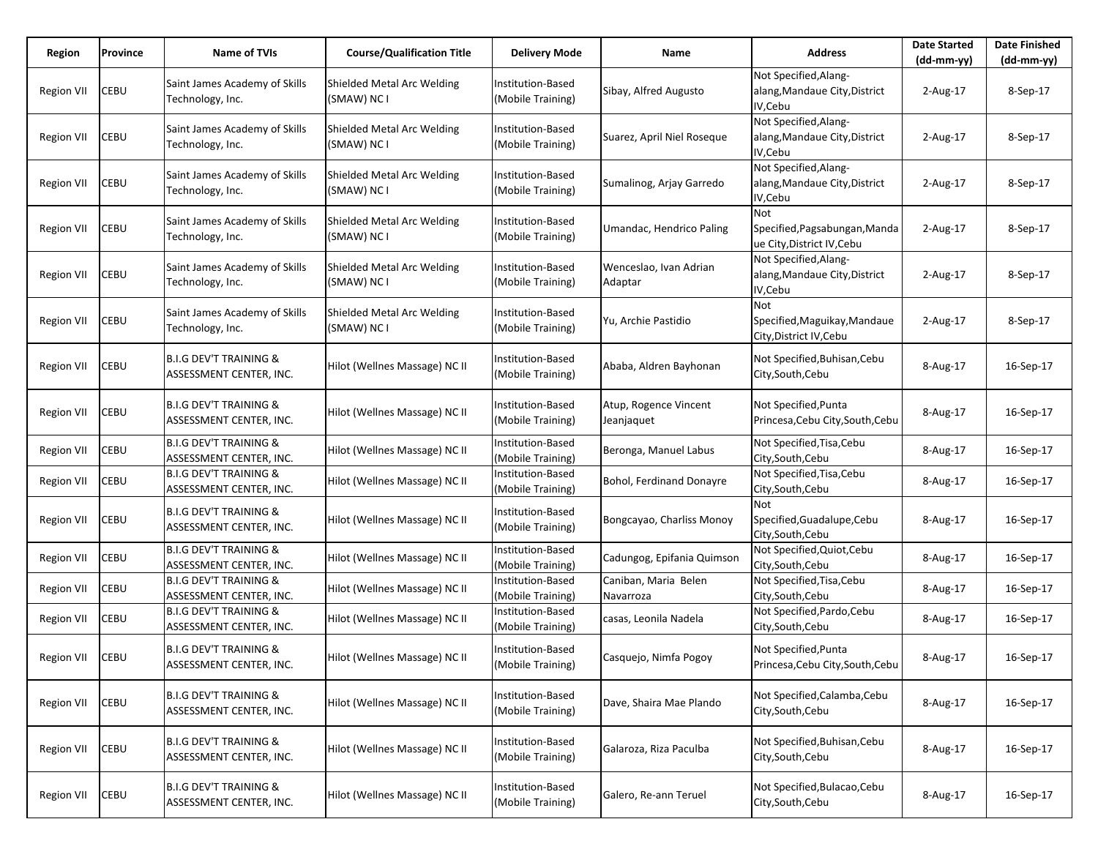| Region            | Province | Name of TVIs                                                 | <b>Course/Qualification Title</b>         | <b>Delivery Mode</b>                   | Name                                | <b>Address</b>                                                            | <b>Date Started</b><br>$(dd-mm-yy)$ | <b>Date Finished</b><br>(dd-mm-yy) |
|-------------------|----------|--------------------------------------------------------------|-------------------------------------------|----------------------------------------|-------------------------------------|---------------------------------------------------------------------------|-------------------------------------|------------------------------------|
| <b>Region VII</b> | CEBU     | Saint James Academy of Skills<br>Technology, Inc.            | Shielded Metal Arc Welding<br>(SMAW) NC I | Institution-Based<br>(Mobile Training) | Sibay, Alfred Augusto               | Not Specified, Alang-<br>alang, Mandaue City, District<br>IV,Cebu         | 2-Aug-17                            | 8-Sep-17                           |
| Region VII        | CEBU     | Saint James Academy of Skills<br>Technology, Inc.            | Shielded Metal Arc Welding<br>(SMAW) NC I | Institution-Based<br>(Mobile Training) | Suarez, April Niel Roseque          | Not Specified, Alang-<br>alang, Mandaue City, District<br>IV,Cebu         | $2$ -Aug-17                         | 8-Sep-17                           |
| Region VII        | CEBU     | Saint James Academy of Skills<br>Technology, Inc.            | Shielded Metal Arc Welding<br>(SMAW) NC I | Institution-Based<br>(Mobile Training) | Sumalinog, Arjay Garredo            | Not Specified, Alang-<br>alang, Mandaue City, District<br>IV,Cebu         | $2$ -Aug-17                         | 8-Sep-17                           |
| Region VII        | CEBU     | Saint James Academy of Skills<br>Technology, Inc.            | Shielded Metal Arc Welding<br>(SMAW) NC I | Institution-Based<br>(Mobile Training) | Umandac, Hendrico Paling            | <b>Not</b><br>Specified, Pagsabungan, Manda<br>ue City, District IV, Cebu | $2-Aug-17$                          | 8-Sep-17                           |
| Region VII        | CEBU     | Saint James Academy of Skills<br>Technology, Inc.            | Shielded Metal Arc Welding<br>(SMAW) NC I | Institution-Based<br>(Mobile Training) | Wenceslao, Ivan Adrian<br>Adaptar   | Not Specified, Alang-<br>alang, Mandaue City, District<br>IV,Cebu         | $2$ -Aug-17                         | 8-Sep-17                           |
| Region VII        | CEBU     | Saint James Academy of Skills<br>Technology, Inc.            | Shielded Metal Arc Welding<br>(SMAW) NC I | Institution-Based<br>(Mobile Training) | Yu, Archie Pastidio                 | Not<br>Specified, Maguikay, Mandaue<br>City, District IV, Cebu            | 2-Aug-17                            | 8-Sep-17                           |
| Region VII        | CEBU     | <b>B.I.G DEV'T TRAINING &amp;</b><br>ASSESSMENT CENTER, INC. | Hilot (Wellnes Massage) NC II             | Institution-Based<br>(Mobile Training) | Ababa, Aldren Bayhonan              | Not Specified, Buhisan, Cebu<br>City, South, Cebu                         | 8-Aug-17                            | 16-Sep-17                          |
| <b>Region VII</b> | CEBU     | <b>B.I.G DEV'T TRAINING &amp;</b><br>ASSESSMENT CENTER, INC. | Hilot (Wellnes Massage) NC II             | Institution-Based<br>(Mobile Training) | Atup, Rogence Vincent<br>Jeanjaquet | Not Specified, Punta<br>Princesa, Cebu City, South, Cebu                  | 8-Aug-17                            | 16-Sep-17                          |
| Region VII        | CEBU     | B.I.G DEV'T TRAINING &<br>ASSESSMENT CENTER, INC.            | Hilot (Wellnes Massage) NC II             | Institution-Based<br>(Mobile Training) | Beronga, Manuel Labus               | Not Specified, Tisa, Cebu<br>City, South, Cebu                            | 8-Aug-17                            | 16-Sep-17                          |
| <b>Region VII</b> | CEBU     | <b>B.I.G DEV'T TRAINING &amp;</b><br>ASSESSMENT CENTER, INC. | Hilot (Wellnes Massage) NC II             | Institution-Based<br>(Mobile Training) | Bohol, Ferdinand Donayre            | Not Specified, Tisa, Cebu<br>City, South, Cebu                            | 8-Aug-17                            | 16-Sep-17                          |
| Region VII        | CEBU     | <b>B.I.G DEV'T TRAINING &amp;</b><br>ASSESSMENT CENTER, INC. | Hilot (Wellnes Massage) NC II             | Institution-Based<br>(Mobile Training) | Bongcayao, Charliss Monoy           | Not<br>Specified, Guadalupe, Cebu<br>City, South, Cebu                    | 8-Aug-17                            | 16-Sep-17                          |
| Region VII        | CEBU     | <b>B.I.G DEV'T TRAINING &amp;</b><br>ASSESSMENT CENTER, INC. | Hilot (Wellnes Massage) NC II             | Institution-Based<br>(Mobile Training) | Cadungog, Epifania Quimson          | Not Specified, Quiot, Cebu<br>City, South, Cebu                           | 8-Aug-17                            | 16-Sep-17                          |
| <b>Region VII</b> | CEBU     | <b>B.I.G DEV'T TRAINING &amp;</b><br>ASSESSMENT CENTER, INC. | Hilot (Wellnes Massage) NC II             | Institution-Based<br>(Mobile Training) | Caniban, Maria Belen<br>Navarroza   | Not Specified, Tisa, Cebu<br>City, South, Cebu                            | 8-Aug-17                            | 16-Sep-17                          |
| Region VII        | CEBU     | <b>B.I.G DEV'T TRAINING &amp;</b><br>ASSESSMENT CENTER, INC. | Hilot (Wellnes Massage) NC II             | Institution-Based<br>(Mobile Training) | casas, Leonila Nadela               | Not Specified, Pardo, Cebu<br>City, South, Cebu                           | 8-Aug-17                            | 16-Sep-17                          |
| Region VII CEBU   |          | B.I.G DEV'T TRAINING &<br>ASSESSMENT CENTER, INC.            | Hilot (Wellnes Massage) NC II             | Institution-Based<br>(Mobile Training) | Casquejo, Nimfa Pogoy               | Not Specified, Punta<br>Princesa, Cebu City, South, Cebu                  | 8-Aug-17                            | 16-Sep-17                          |
| <b>Region VII</b> | CEBU     | <b>B.I.G DEV'T TRAINING &amp;</b><br>ASSESSMENT CENTER, INC. | Hilot (Wellnes Massage) NC II             | Institution-Based<br>(Mobile Training) | Dave, Shaira Mae Plando             | Not Specified, Calamba, Cebu<br>City, South, Cebu                         | 8-Aug-17                            | 16-Sep-17                          |
| <b>Region VII</b> | CEBU     | <b>B.I.G DEV'T TRAINING &amp;</b><br>ASSESSMENT CENTER, INC. | Hilot (Wellnes Massage) NC II             | Institution-Based<br>(Mobile Training) | Galaroza, Riza Paculba              | Not Specified, Buhisan, Cebu<br>City, South, Cebu                         | 8-Aug-17                            | 16-Sep-17                          |
| Region VII        | CEBU     | <b>B.I.G DEV'T TRAINING &amp;</b><br>ASSESSMENT CENTER, INC. | Hilot (Wellnes Massage) NC II             | Institution-Based<br>(Mobile Training) | Galero, Re-ann Teruel               | Not Specified, Bulacao, Cebu<br>City, South, Cebu                         | 8-Aug-17                            | 16-Sep-17                          |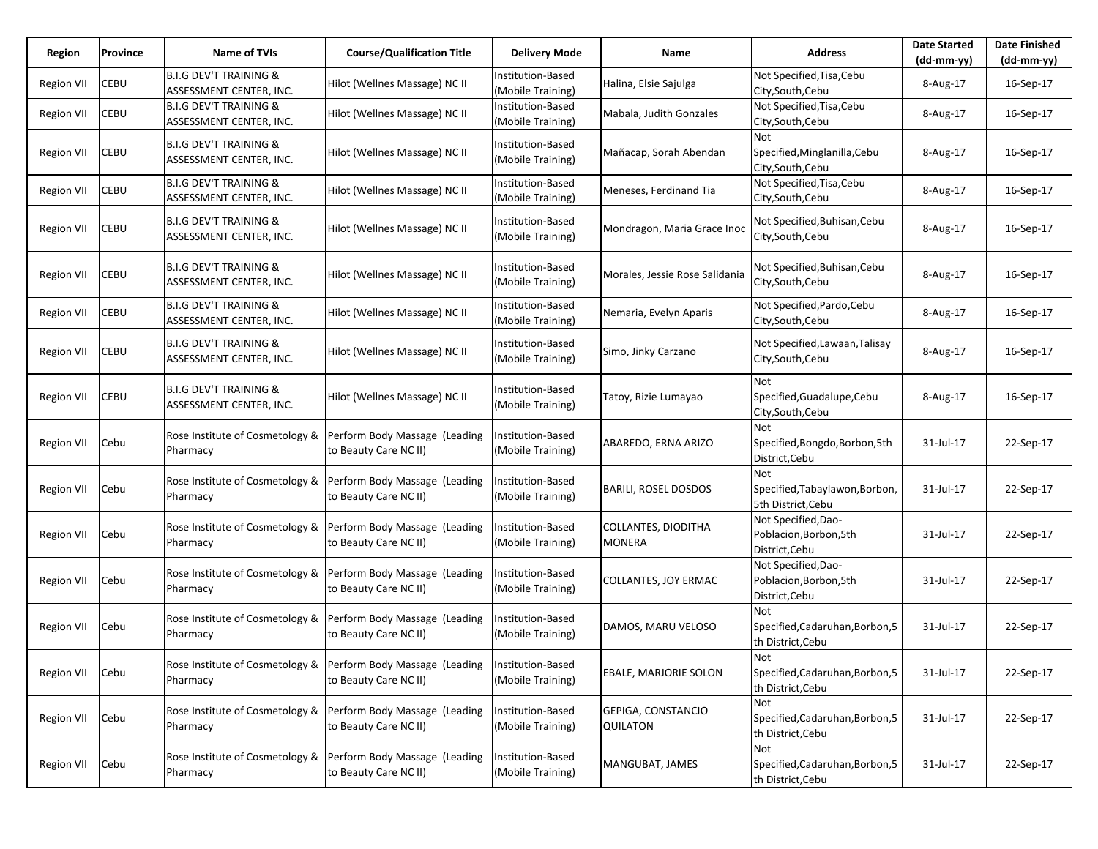| Region            | Province    | Name of TVIs                                                 | <b>Course/Qualification Title</b>                      | <b>Delivery Mode</b>                   | Name                                  | <b>Address</b>                                                  | <b>Date Started</b><br>$(dd-mm-yy)$ | <b>Date Finished</b><br>$(dd-mm-yy)$ |
|-------------------|-------------|--------------------------------------------------------------|--------------------------------------------------------|----------------------------------------|---------------------------------------|-----------------------------------------------------------------|-------------------------------------|--------------------------------------|
| <b>Region VII</b> | CEBU        | <b>B.I.G DEV'T TRAINING &amp;</b><br>ASSESSMENT CENTER, INC. | Hilot (Wellnes Massage) NC II                          | Institution-Based<br>(Mobile Training) | Halina, Elsie Sajulga                 | Not Specified, Tisa, Cebu<br>City, South, Cebu                  | 8-Aug-17                            | 16-Sep-17                            |
| <b>Region VII</b> | CEBU        | <b>B.I.G DEV'T TRAINING &amp;</b><br>ASSESSMENT CENTER, INC. | Hilot (Wellnes Massage) NC II                          | Institution-Based<br>(Mobile Training) | Mabala, Judith Gonzales               | Not Specified, Tisa, Cebu<br>City, South, Cebu                  | 8-Aug-17                            | 16-Sep-17                            |
| <b>Region VII</b> | CEBU        | <b>B.I.G DEV'T TRAINING &amp;</b><br>ASSESSMENT CENTER, INC. | Hilot (Wellnes Massage) NC II                          | Institution-Based<br>(Mobile Training) | Mañacap, Sorah Abendan                | Not<br>Specified, Minglanilla, Cebu<br>City, South, Cebu        | 8-Aug-17                            | 16-Sep-17                            |
| Region VII        | CEBU        | <b>B.I.G DEV'T TRAINING &amp;</b><br>ASSESSMENT CENTER, INC. | Hilot (Wellnes Massage) NC II                          | Institution-Based<br>(Mobile Training) | Meneses, Ferdinand Tia                | Not Specified, Tisa, Cebu<br>City, South, Cebu                  | 8-Aug-17                            | 16-Sep-17                            |
| <b>Region VII</b> | CEBU        | <b>B.I.G DEV'T TRAINING &amp;</b><br>ASSESSMENT CENTER, INC. | Hilot (Wellnes Massage) NC II                          | Institution-Based<br>(Mobile Training) | Mondragon, Maria Grace Inoc           | Not Specified,Buhisan,Cebu<br>City, South, Cebu                 | 8-Aug-17                            | 16-Sep-17                            |
| <b>Region VII</b> | <b>CEBU</b> | <b>B.I.G DEV'T TRAINING &amp;</b><br>ASSESSMENT CENTER, INC. | Hilot (Wellnes Massage) NC II                          | Institution-Based<br>(Mobile Training) | Morales, Jessie Rose Salidania        | Not Specified, Buhisan, Cebu<br>City, South, Cebu               | 8-Aug-17                            | 16-Sep-17                            |
| <b>Region VII</b> | CEBU        | <b>B.I.G DEV'T TRAINING &amp;</b><br>ASSESSMENT CENTER, INC. | Hilot (Wellnes Massage) NC II                          | Institution-Based<br>(Mobile Training) | Nemaria, Evelyn Aparis                | Not Specified, Pardo, Cebu<br>City, South, Cebu                 | 8-Aug-17                            | 16-Sep-17                            |
| <b>Region VII</b> | CEBU        | <b>B.I.G DEV'T TRAINING &amp;</b><br>ASSESSMENT CENTER, INC. | Hilot (Wellnes Massage) NC II                          | Institution-Based<br>(Mobile Training) | Simo, Jinky Carzano                   | Not Specified, Lawaan, Talisay<br>City, South, Cebu             | 8-Aug-17                            | 16-Sep-17                            |
| <b>Region VII</b> | CEBU        | <b>B.I.G DEV'T TRAINING &amp;</b><br>ASSESSMENT CENTER, INC. | Hilot (Wellnes Massage) NC II                          | Institution-Based<br>(Mobile Training) | Tatoy, Rizie Lumayao                  | Not<br>Specified, Guadalupe, Cebu<br>City, South, Cebu          | 8-Aug-17                            | 16-Sep-17                            |
| <b>Region VII</b> | Cebu        | Rose Institute of Cosmetology &<br>Pharmacy                  | Perform Body Massage (Leading<br>to Beauty Care NC II) | Institution-Based<br>(Mobile Training) | ABAREDO, ERNA ARIZO                   | <b>Not</b><br>Specified, Bongdo, Borbon, 5th<br>District, Cebu  | 31-Jul-17                           | 22-Sep-17                            |
| <b>Region VII</b> | Cebu        | Rose Institute of Cosmetology &<br>Pharmacy                  | Perform Body Massage (Leading<br>to Beauty Care NC II) | Institution-Based<br>(Mobile Training) | <b>BARILI, ROSEL DOSDOS</b>           | Not<br>Specified, Tabaylawon, Borbon,<br>5th District, Cebu     | 31-Jul-17                           | 22-Sep-17                            |
| <b>Region VII</b> | Cebu        | Rose Institute of Cosmetology &<br>Pharmacy                  | Perform Body Massage (Leading<br>to Beauty Care NC II) | Institution-Based<br>(Mobile Training) | COLLANTES, DIODITHA<br><b>MONERA</b>  | Not Specified, Dao-<br>Poblacion, Borbon, 5th<br>District, Cebu | 31-Jul-17                           | 22-Sep-17                            |
| <b>Region VII</b> | Cebu        | Rose Institute of Cosmetology &<br>Pharmacy                  | Perform Body Massage (Leading<br>to Beauty Care NC II) | Institution-Based<br>(Mobile Training) | COLLANTES, JOY ERMAC                  | Not Specified, Dao-<br>Poblacion, Borbon, 5th<br>District, Cebu | 31-Jul-17                           | 22-Sep-17                            |
| Region VII        | Cebu        | Rose Institute of Cosmetology &<br>Pharmacy                  | Perform Body Massage (Leading<br>to Beauty Care NC II) | nstitution-Based<br>(Mobile Training)  | DAMOS, MARU VELOSO                    | Not<br>Specified, Cadaruhan, Borbon, 5<br>th District, Cebu     | 31-Jul-17                           | 22-Sep-17                            |
| <b>Region VII</b> | Cebu        | Rose Institute of Cosmetology &<br>Pharmacy                  | Perform Body Massage (Leading<br>to Beauty Care NC II) | Institution-Based<br>(Mobile Training) | EBALE, MARJORIE SOLON                 | Not<br>Specified, Cadaruhan, Borbon, 5<br>th District, Cebu     | 31-Jul-17                           | 22-Sep-17                            |
| <b>Region VII</b> | Cebu        | Rose Institute of Cosmetology &<br>Pharmacy                  | Perform Body Massage (Leading<br>to Beauty Care NC II) | Institution-Based<br>(Mobile Training) | GEPIGA, CONSTANCIO<br><b>QUILATON</b> | Not<br>Specified, Cadaruhan, Borbon, 5<br>th District, Cebu     | 31-Jul-17                           | 22-Sep-17                            |
| <b>Region VII</b> | Cebu        | Rose Institute of Cosmetology &<br>Pharmacy                  | Perform Body Massage (Leading<br>to Beauty Care NC II) | Institution-Based<br>(Mobile Training) | MANGUBAT, JAMES                       | Not<br>Specified, Cadaruhan, Borbon, 5<br>th District, Cebu     | 31-Jul-17                           | 22-Sep-17                            |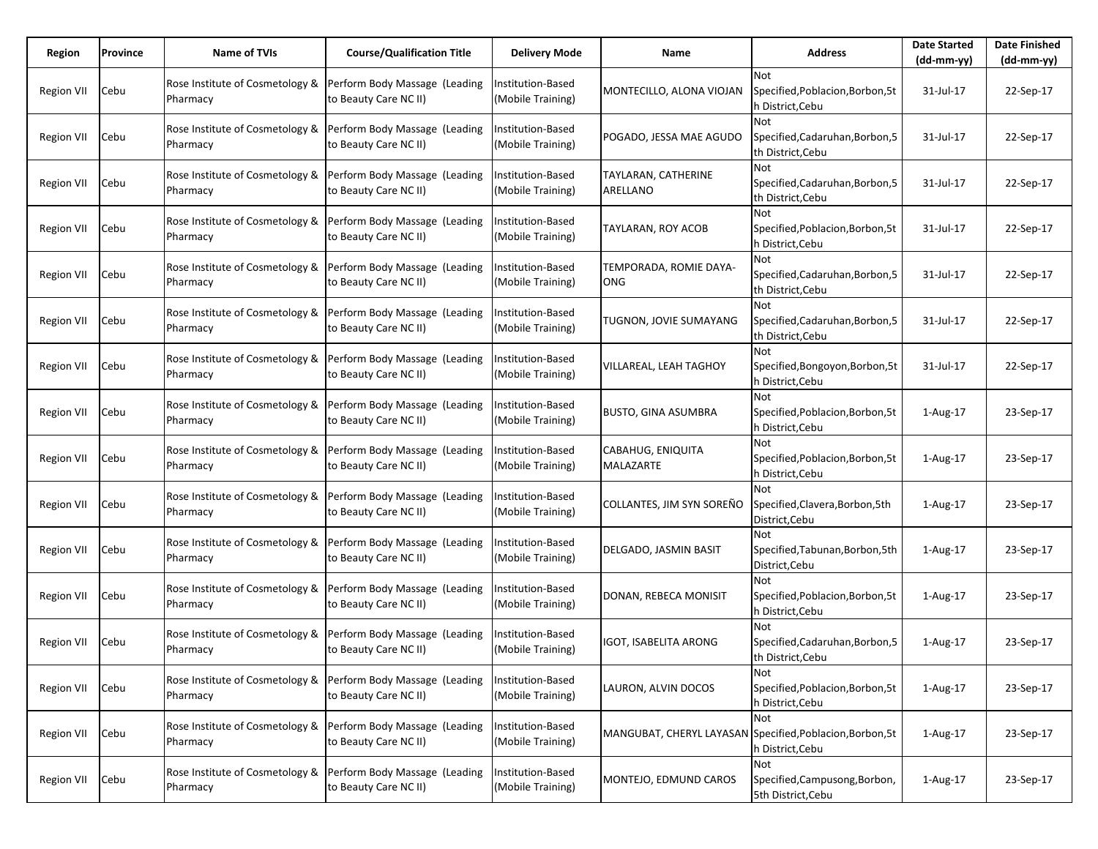| Region            | Province | <b>Name of TVIs</b>                         | <b>Course/Qualification Title</b>                      | <b>Delivery Mode</b>                   | Name                            | <b>Address</b>                                                                      | <b>Date Started</b><br>$(dd-mm-yy)$ | <b>Date Finished</b><br>$(dd-mm-yy)$ |
|-------------------|----------|---------------------------------------------|--------------------------------------------------------|----------------------------------------|---------------------------------|-------------------------------------------------------------------------------------|-------------------------------------|--------------------------------------|
| <b>Region VII</b> | Cebu     | Rose Institute of Cosmetology &<br>Pharmacy | Perform Body Massage (Leading<br>to Beauty Care NC II) | Institution-Based<br>(Mobile Training) | MONTECILLO, ALONA VIOJAN        | Not<br>Specified, Poblacion, Borbon, 5t<br>h District,Cebu                          | 31-Jul-17                           | 22-Sep-17                            |
| <b>Region VII</b> | Cebu     | Rose Institute of Cosmetology &<br>Pharmacy | Perform Body Massage (Leading<br>to Beauty Care NC II) | nstitution-Based<br>(Mobile Training)  | POGADO, JESSA MAE AGUDO         | Not<br>Specified, Cadaruhan, Borbon, 5<br>th District,Cebu                          | 31-Jul-17                           | 22-Sep-17                            |
| <b>Region VII</b> | Cebu     | Rose Institute of Cosmetology &<br>Pharmacy | Perform Body Massage (Leading<br>to Beauty Care NC II) | Institution-Based<br>(Mobile Training) | TAYLARAN, CATHERINE<br>ARELLANO | Not<br>Specified, Cadaruhan, Borbon, 5<br>th District, Cebu                         | 31-Jul-17                           | 22-Sep-17                            |
| <b>Region VII</b> | Cebu     | Rose Institute of Cosmetology &<br>Pharmacy | Perform Body Massage (Leading<br>to Beauty Care NC II) | nstitution-Based<br>(Mobile Training)  | TAYLARAN, ROY ACOB              | Not<br>Specified, Poblacion, Borbon, 5t<br>h District,Cebu                          | 31-Jul-17                           | 22-Sep-17                            |
| Region VII        | Cebu     | Rose Institute of Cosmetology &<br>Pharmacy | Perform Body Massage (Leading<br>to Beauty Care NC II) | Institution-Based<br>(Mobile Training) | TEMPORADA, ROMIE DAYA-<br>ONG   | <b>Not</b><br>Specified, Cadaruhan, Borbon, 5<br>th District, Cebu                  | 31-Jul-17                           | 22-Sep-17                            |
| <b>Region VII</b> | Cebu     | Rose Institute of Cosmetology &<br>Pharmacy | Perform Body Massage (Leading<br>to Beauty Care NC II) | nstitution-Based<br>(Mobile Training)  | TUGNON, JOVIE SUMAYANG          | Not<br>Specified, Cadaruhan, Borbon, 5<br>th District, Cebu                         | 31-Jul-17                           | 22-Sep-17                            |
| Region VII        | Cebu     | Rose Institute of Cosmetology &<br>Pharmacy | Perform Body Massage (Leading<br>to Beauty Care NC II) | Institution-Based<br>(Mobile Training) | VILLAREAL, LEAH TAGHOY          | Not<br>Specified, Bongoyon, Borbon, 5t<br>h District,Cebu                           | 31-Jul-17                           | 22-Sep-17                            |
| <b>Region VII</b> | Cebu     | Rose Institute of Cosmetology &<br>Pharmacy | Perform Body Massage (Leading<br>to Beauty Care NC II) | nstitution-Based<br>(Mobile Training)  | <b>BUSTO, GINA ASUMBRA</b>      | Not<br>Specified, Poblacion, Borbon, 5t<br>h District, Cebu                         | 1-Aug-17                            | 23-Sep-17                            |
| Region VII        | Cebu     | Rose Institute of Cosmetology &<br>Pharmacy | Perform Body Massage (Leading<br>to Beauty Care NC II) | Institution-Based<br>(Mobile Training) | CABAHUG, ENIQUITA<br>MALAZARTE  | Not<br>Specified, Poblacion, Borbon, 5t<br>h District, Cebu                         | 1-Aug-17                            | 23-Sep-17                            |
| <b>Region VII</b> | Cebu     | Rose Institute of Cosmetology &<br>Pharmacy | Perform Body Massage (Leading<br>to Beauty Care NC II) | nstitution-Based<br>(Mobile Training)  | COLLANTES, JIM SYN SOREÑO       | Not<br>Specified, Clavera, Borbon, 5th<br>District, Cebu                            | 1-Aug-17                            | 23-Sep-17                            |
| Region VII        | Cebu     | Rose Institute of Cosmetology &<br>Pharmacy | Perform Body Massage (Leading<br>to Beauty Care NC II) | nstitution-Based<br>(Mobile Training)  | DELGADO, JASMIN BASIT           | Not<br>Specified, Tabunan, Borbon, 5th<br>District, Cebu                            | 1-Aug-17                            | 23-Sep-17                            |
| <b>Region VII</b> | Cebu     | Rose Institute of Cosmetology &<br>Pharmacy | Perform Body Massage (Leading<br>to Beauty Care NC II) | nstitution-Based<br>(Mobile Training)  | DONAN, REBECA MONISIT           | Not<br>Specified, Poblacion, Borbon, 5t<br>h District, Cebu                         | 1-Aug-17                            | 23-Sep-17                            |
| Region VII        | Cebu     | Rose Institute of Cosmetology &<br>Pharmacy | Perform Body Massage (Leading<br>to Beauty Care NC II) | nstitution-Based<br>(Mobile Training)  | <b>IGOT, ISABELITA ARONG</b>    | Not<br>Specified, Cadaruhan, Borbon, 5<br>th District, Cebu                         | 1-Aug-17                            | 23-Sep-17                            |
| <b>Region VII</b> | Cebu     | Rose Institute of Cosmetology &<br>Pharmacy | Perform Body Massage (Leading<br>to Beauty Care NC II) | nstitution-Based<br>(Mobile Training)  | LAURON, ALVIN DOCOS             | Not<br>Specified, Poblacion, Borbon, 5t<br>h District, Cebu                         | 1-Aug-17                            | 23-Sep-17                            |
| Region VII        | Cebu     | Rose Institute of Cosmetology &<br>Pharmacy | Perform Body Massage (Leading<br>to Beauty Care NC II) | nstitution-Based<br>(Mobile Training)  |                                 | Not<br>MANGUBAT, CHERYL LAYASAN Specified, Poblacion, Borbon, 5t<br>h District,Cebu | 1-Aug-17                            | 23-Sep-17                            |
| <b>Region VII</b> | Cebu     | Rose Institute of Cosmetology &<br>Pharmacy | Perform Body Massage (Leading<br>to Beauty Care NC II) | nstitution-Based<br>(Mobile Training)  | MONTEJO, EDMUND CAROS           | Not<br>Specified, Campusong, Borbon,<br>5th District, Cebu                          | 1-Aug-17                            | 23-Sep-17                            |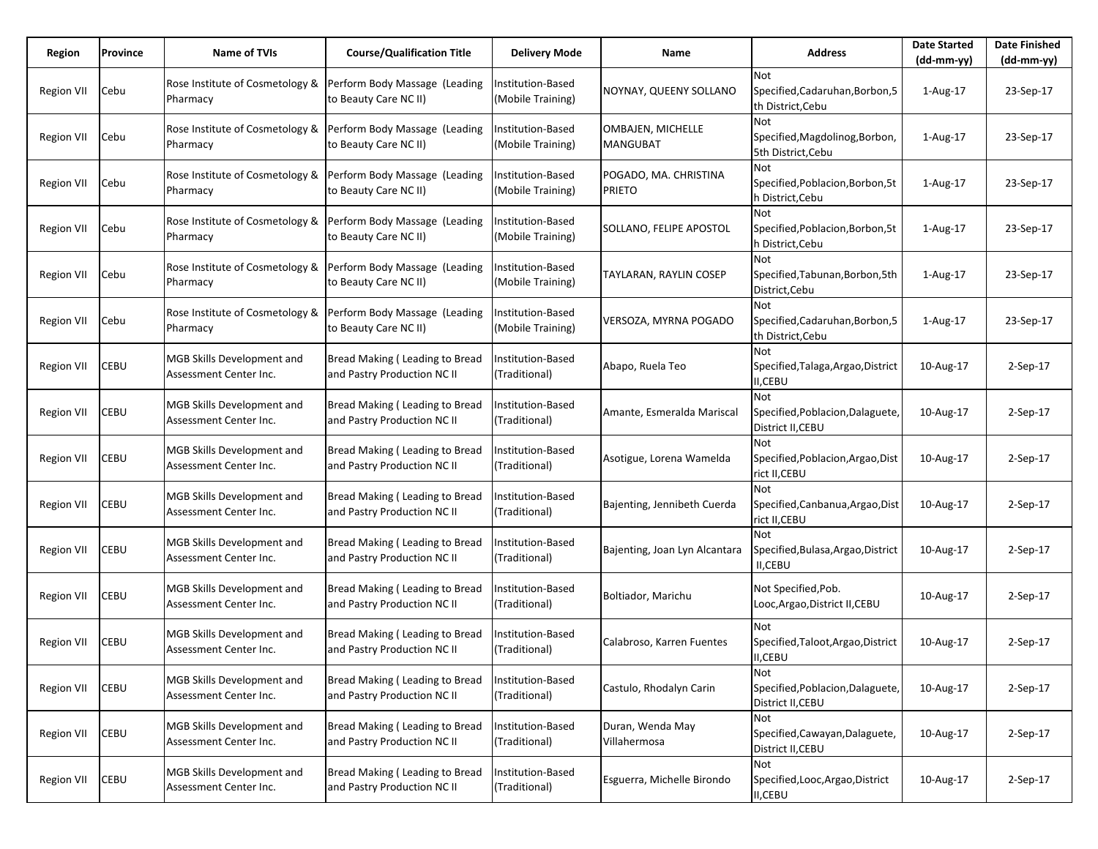| Region            | Province    | Name of TVIs                                                | <b>Course/Qualification Title</b>                                                      | <b>Delivery Mode</b>                      | Name                                   | <b>Address</b>                                                      | <b>Date Started</b><br>$(dd-mm-yy)$ | <b>Date Finished</b><br>(dd-mm-yy) |
|-------------------|-------------|-------------------------------------------------------------|----------------------------------------------------------------------------------------|-------------------------------------------|----------------------------------------|---------------------------------------------------------------------|-------------------------------------|------------------------------------|
| Region VII        | Cebu        | Rose Institute of Cosmetology &<br>Pharmacy                 | Perform Body Massage (Leading<br>to Beauty Care NC II)                                 | Institution-Based<br>(Mobile Training)    | NOYNAY, QUEENY SOLLANO                 | Not<br>Specified, Cadaruhan, Borbon, 5<br>th District, Cebu         | 1-Aug-17                            | 23-Sep-17                          |
| Region VII        | Cebu        | Rose Institute of Cosmetology &<br>Pharmacy                 | Perform Body Massage (Leading<br>to Beauty Care NC II)                                 | Institution-Based<br>(Mobile Training)    | OMBAJEN, MICHELLE<br><b>MANGUBAT</b>   | Not<br>Specified, Magdolinog, Borbon,<br>5th District, Cebu         | 1-Aug-17                            | 23-Sep-17                          |
| <b>Region VII</b> | Cebu        | Rose Institute of Cosmetology &<br>Pharmacy                 | Perform Body Massage (Leading<br>to Beauty Care NC II)                                 | Institution-Based<br>(Mobile Training)    | POGADO, MA. CHRISTINA<br><b>PRIETO</b> | <b>Not</b><br>Specified, Poblacion, Borbon, 5t<br>h District, Cebu  | $1-Aug-17$                          | 23-Sep-17                          |
| <b>Region VII</b> | Cebu        | Rose Institute of Cosmetology &<br>Pharmacy                 | Perform Body Massage (Leading<br>to Beauty Care NC II)                                 | nstitution-Based<br>(Mobile Training)     | SOLLANO, FELIPE APOSTOL                | Not<br>Specified, Poblacion, Borbon, 5t<br>h District, Cebu         | 1-Aug-17                            | 23-Sep-17                          |
| <b>Region VII</b> | Cebu        | Pharmacy                                                    | Rose Institute of Cosmetology & Perform Body Massage (Leading<br>to Beauty Care NC II) | Institution-Based<br>(Mobile Training)    | TAYLARAN, RAYLIN COSEP                 | <b>Not</b><br>Specified, Tabunan, Borbon, 5th<br>District, Cebu     | 1-Aug-17                            | 23-Sep-17                          |
| <b>Region VII</b> | Cebu        | Rose Institute of Cosmetology &<br>Pharmacy                 | Perform Body Massage (Leading<br>to Beauty Care NC II)                                 | Institution-Based<br>(Mobile Training)    | VERSOZA, MYRNA POGADO                  | Not<br>Specified, Cadaruhan, Borbon, 5<br>th District, Cebu         | 1-Aug-17                            | 23-Sep-17                          |
| <b>Region VII</b> | CEBU        | MGB Skills Development and<br>Assessment Center Inc.        | Bread Making (Leading to Bread<br>and Pastry Production NC II                          | Institution-Based<br>(Traditional)        | Abapo, Ruela Teo                       | Not<br>Specified, Talaga, Argao, District<br><b>II,CEBU</b>         | 10-Aug-17                           | $2-Sep-17$                         |
| <b>Region VII</b> | CEBU        | <b>MGB Skills Development and</b><br>Assessment Center Inc. | Bread Making (Leading to Bread<br>and Pastry Production NC II                          | Institution-Based<br>(Traditional)        | Amante, Esmeralda Mariscal             | <b>Not</b><br>Specified, Poblacion, Dalaguete,<br>District II, CEBU | 10-Aug-17                           | 2-Sep-17                           |
| <b>Region VII</b> | CEBU        | MGB Skills Development and<br>Assessment Center Inc.        | Bread Making (Leading to Bread<br>and Pastry Production NC II                          | Institution-Based<br>(Traditional)        | Asotigue, Lorena Wamelda               | <b>Not</b><br>Specified, Poblacion, Argao, Dist<br>rict II, CEBU    | 10-Aug-17                           | $2-Sep-17$                         |
| <b>Region VII</b> | CEBU        | <b>MGB Skills Development and</b><br>Assessment Center Inc. | Bread Making (Leading to Bread<br>and Pastry Production NC II                          | Institution-Based<br>(Traditional)        | Bajenting, Jennibeth Cuerda            | <b>Not</b><br>Specified, Canbanua, Argao, Dist<br>rict II, CEBU     | 10-Aug-17                           | 2-Sep-17                           |
| <b>Region VII</b> | CEBU        | <b>MGB Skills Development and</b><br>Assessment Center Inc. | Bread Making (Leading to Bread<br>and Pastry Production NC II                          | <b>Institution-Based</b><br>(Traditional) | Bajenting, Joan Lyn Alcantara          | Not<br>Specified, Bulasa, Argao, District<br>II,CEBU                | 10-Aug-17                           | 2-Sep-17                           |
| <b>Region VII</b> | CEBU        | <b>MGB Skills Development and</b><br>Assessment Center Inc. | Bread Making (Leading to Bread<br>and Pastry Production NC II                          | Institution-Based<br>(Traditional)        | Boltiador, Marichu                     | Not Specified, Pob.<br>Looc, Argao, District II, CEBU               | 10-Aug-17                           | 2-Sep-17                           |
| Region VII        | <b>CEBU</b> | MGB Skills Development and<br>Assessment Center Inc.        | Bread Making (Leading to Bread<br>and Pastry Production NC II                          | Institution-Based<br>(Traditional)        | Calabroso, Karren Fuentes              | Not<br>Specified, Taloot, Argao, District<br><b>II,CEBU</b>         | 10-Aug-17                           | 2-Sep-17                           |
| <b>Region VII</b> | CEBU        | MGB Skills Development and<br>Assessment Center Inc.        | Bread Making (Leading to Bread<br>and Pastry Production NC II                          | Institution-Based<br>(Traditional)        | Castulo, Rhodalyn Carin                | Not<br>Specified, Poblacion, Dalaguete,<br>District II, CEBU        | 10-Aug-17                           | 2-Sep-17                           |
| Region VII        | CEBU        | MGB Skills Development and<br>Assessment Center Inc.        | Bread Making (Leading to Bread<br>and Pastry Production NC II                          | Institution-Based<br>(Traditional)        | Duran, Wenda May<br>Villahermosa       | <b>Not</b><br>Specified, Cawayan, Dalaguete,<br>District II, CEBU   | 10-Aug-17                           | 2-Sep-17                           |
| <b>Region VII</b> | CEBU        | MGB Skills Development and<br>Assessment Center Inc.        | Bread Making (Leading to Bread<br>and Pastry Production NC II                          | Institution-Based<br>(Traditional)        | Esguerra, Michelle Birondo             | Not<br>Specified, Looc, Argao, District<br><b>II,CEBU</b>           | 10-Aug-17                           | 2-Sep-17                           |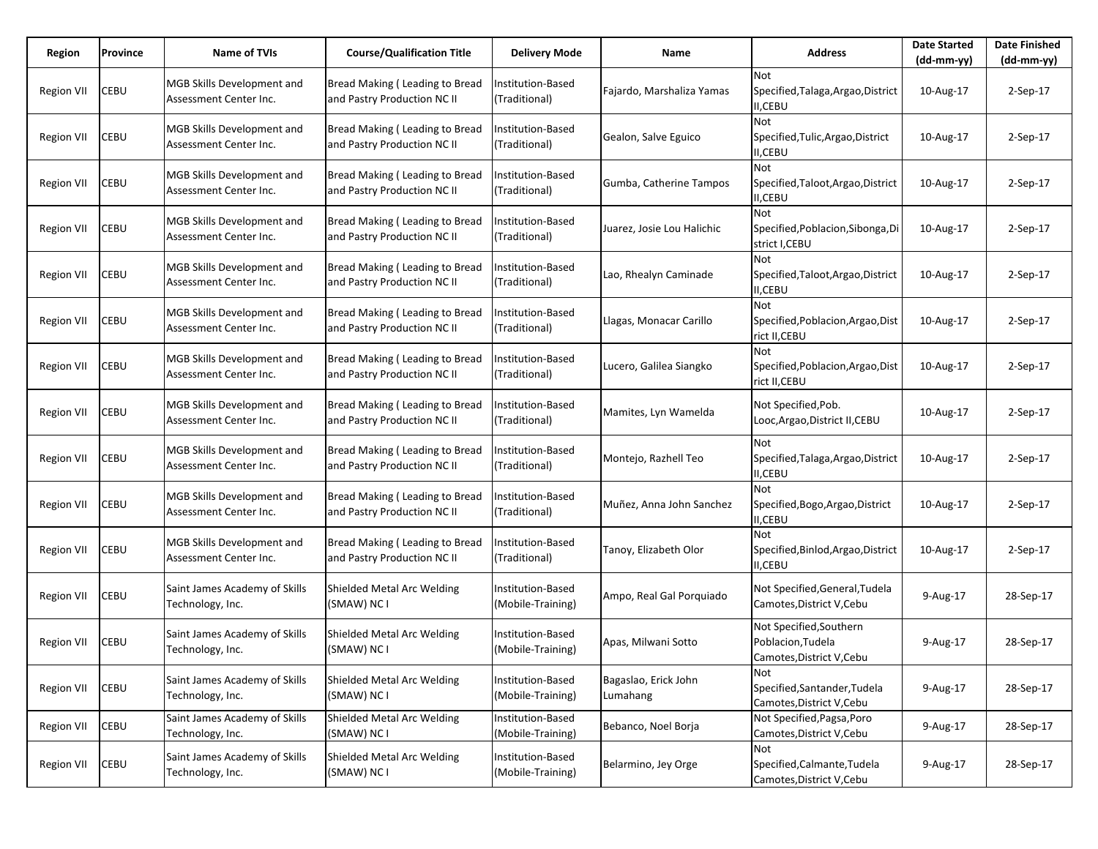| Region            | Province    | Name of TVIs                                                | <b>Course/Qualification Title</b>                             | <b>Delivery Mode</b>                          | Name                             | <b>Address</b>                                                            | <b>Date Started</b><br>$(dd-mm-yy)$ | <b>Date Finished</b><br>$(dd-mm-yy)$ |
|-------------------|-------------|-------------------------------------------------------------|---------------------------------------------------------------|-----------------------------------------------|----------------------------------|---------------------------------------------------------------------------|-------------------------------------|--------------------------------------|
| <b>Region VII</b> | CEBU        | MGB Skills Development and<br>Assessment Center Inc.        | Bread Making (Leading to Bread<br>and Pastry Production NC II | Institution-Based<br>(Traditional)            | Fajardo, Marshaliza Yamas        | Not<br>Specified, Talaga, Argao, District<br><b>II,CEBU</b>               | 10-Aug-17                           | 2-Sep-17                             |
| Region VII        | CEBU        | MGB Skills Development and<br>Assessment Center Inc.        | Bread Making (Leading to Bread<br>and Pastry Production NC II | Institution-Based<br>(Traditional)            | Gealon, Salve Eguico             | Not<br>Specified, Tulic, Argao, District<br>II,CEBU                       | 10-Aug-17                           | 2-Sep-17                             |
| Region VII        | CEBU        | <b>MGB Skills Development and</b><br>Assessment Center Inc. | Bread Making (Leading to Bread<br>and Pastry Production NC II | Institution-Based<br>(Traditional)            | Gumba, Catherine Tampos          | <b>Not</b><br>Specified, Taloot, Argao, District<br>II,CEBU               | 10-Aug-17                           | 2-Sep-17                             |
| <b>Region VII</b> | CEBU        | MGB Skills Development and<br>Assessment Center Inc.        | Bread Making (Leading to Bread<br>and Pastry Production NC II | Institution-Based<br>(Traditional)            | Juarez, Josie Lou Halichic       | Not<br>Specified, Poblacion, Sibonga, Di<br>strict I,CEBU                 | 10-Aug-17                           | 2-Sep-17                             |
| <b>Region VII</b> | <b>CEBU</b> | <b>MGB Skills Development and</b><br>Assessment Center Inc. | Bread Making (Leading to Bread<br>and Pastry Production NC II | Institution-Based<br>(Traditional)            | Lao, Rhealyn Caminade            | <b>Not</b><br>Specified, Taloot, Argao, District<br><b>II,CEBU</b>        | 10-Aug-17                           | $2-Sep-17$                           |
| <b>Region VII</b> | CEBU        | <b>MGB Skills Development and</b><br>Assessment Center Inc. | Bread Making (Leading to Bread<br>and Pastry Production NC II | Institution-Based<br>(Traditional)            | Llagas, Monacar Carillo          | Not<br>Specified, Poblacion, Argao, Dist<br>rict II, CEBU                 | 10-Aug-17                           | 2-Sep-17                             |
| Region VII        | CEBU        | <b>MGB Skills Development and</b><br>Assessment Center Inc. | Bread Making (Leading to Bread<br>and Pastry Production NC II | Institution-Based<br>(Traditional)            | Lucero, Galilea Siangko          | <b>Not</b><br>Specified, Poblacion, Argao, Dist<br>rict II,CEBU           | 10-Aug-17                           | $2-Sep-17$                           |
| <b>Region VII</b> | CEBU        | <b>MGB Skills Development and</b><br>Assessment Center Inc. | Bread Making (Leading to Bread<br>and Pastry Production NC II | Institution-Based<br>(Traditional)            | Mamites, Lyn Wamelda             | Not Specified, Pob.<br>Looc, Argao, District II, CEBU                     | 10-Aug-17                           | $2-Sep-17$                           |
| <b>Region VII</b> | CEBU        | <b>MGB Skills Development and</b><br>Assessment Center Inc. | Bread Making (Leading to Bread<br>and Pastry Production NC II | Institution-Based<br>(Traditional)            | Montejo, Razhell Teo             | Not<br>Specified, Talaga, Argao, District<br>II,CEBU                      | 10-Aug-17                           | $2-Sep-17$                           |
| <b>Region VII</b> | CEBU        | MGB Skills Development and<br>Assessment Center Inc.        | Bread Making (Leading to Bread<br>and Pastry Production NC II | Institution-Based<br>(Traditional)            | Muñez, Anna John Sanchez         | Not<br>Specified, Bogo, Argao, District<br><b>II,CEBU</b>                 | 10-Aug-17                           | $2-Sep-17$                           |
| <b>Region VII</b> | CEBU        | <b>MGB Skills Development and</b><br>Assessment Center Inc. | Bread Making (Leading to Bread<br>and Pastry Production NC II | <b>Institution-Based</b><br>(Traditional)     | Tanoy, Elizabeth Olor            | Not<br>Specified, Binlod, Argao, District<br><b>II,CEBU</b>               | 10-Aug-17                           | $2-Sep-17$                           |
| Region VII        | CEBU        | Saint James Academy of Skills<br>Technology, Inc.           | Shielded Metal Arc Welding<br>(SMAW) NC I                     | Institution-Based<br>(Mobile-Training)        | Ampo, Real Gal Porquiado         | Not Specified, General, Tudela<br>Camotes, District V, Cebu               | 9-Aug-17                            | 28-Sep-17                            |
| Region VII        | <b>CEBU</b> | Saint James Academy of Skills<br>Technology, Inc.           | Shielded Metal Arc Welding<br>(SMAW) NC I                     | <b>Institution-Based</b><br>(Mobile-Training) | Apas, Milwani Sotto              | Not Specified, Southern<br>Poblacion, Tudela<br>Camotes, District V, Cebu | 9-Aug-17                            | 28-Sep-17                            |
| <b>Region VII</b> | CEBU        | Saint James Academy of Skills<br>Technology, Inc.           | Shielded Metal Arc Welding<br>(SMAW) NC I                     | Institution-Based<br>(Mobile-Training)        | Bagaslao, Erick John<br>Lumahang | Not<br>Specified, Santander, Tudela<br>Camotes, District V, Cebu          | 9-Aug-17                            | 28-Sep-17                            |
| Region VII        | <b>CEBU</b> | Saint James Academy of Skills<br>Technology, Inc.           | Shielded Metal Arc Welding<br>(SMAW) NC I                     | Institution-Based<br>(Mobile-Training)        | Bebanco, Noel Borja              | Not Specified, Pagsa, Poro<br>Camotes, District V, Cebu                   | 9-Aug-17                            | 28-Sep-17                            |
| <b>Region VII</b> | CEBU        | Saint James Academy of Skills<br>Technology, Inc.           | Shielded Metal Arc Welding<br>(SMAW) NC I                     | Institution-Based<br>(Mobile-Training)        | Belarmino, Jey Orge              | Not<br>Specified, Calmante, Tudela<br>Camotes, District V, Cebu           | 9-Aug-17                            | 28-Sep-17                            |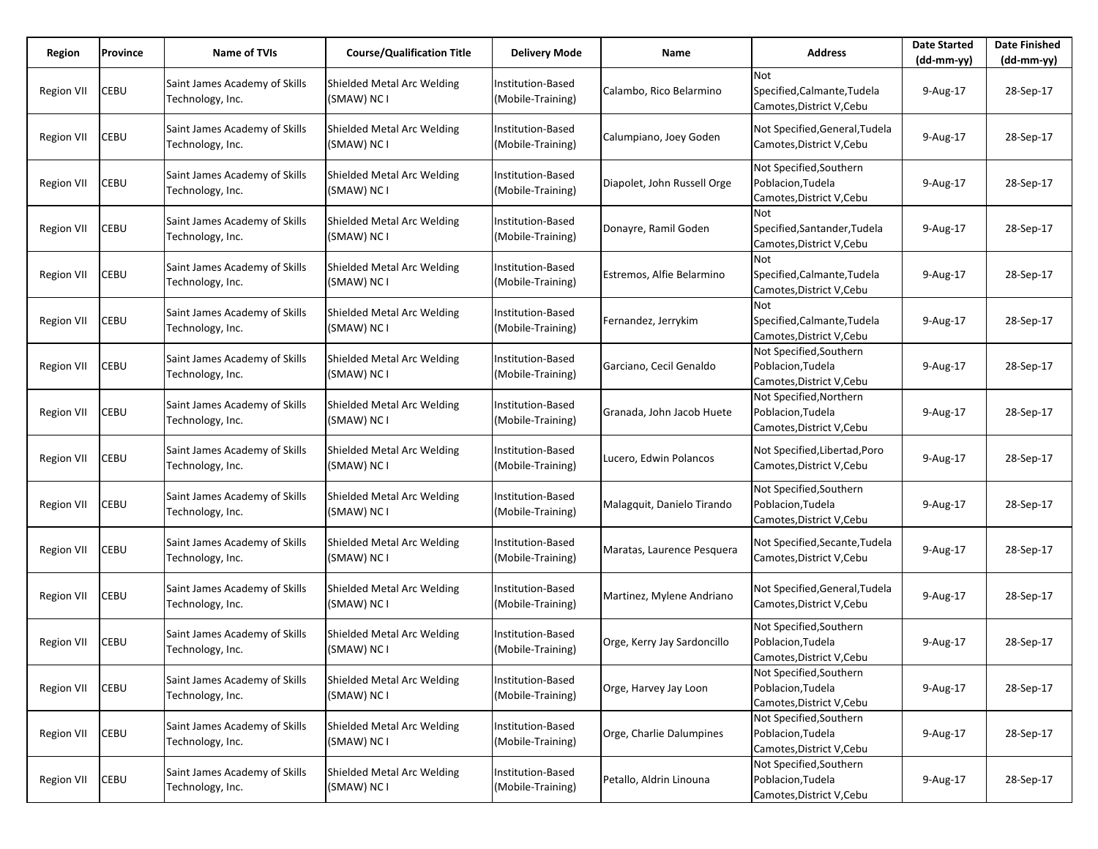| Region            | Province    | Name of TVIs                                      | <b>Course/Qualification Title</b>         | <b>Delivery Mode</b>                          | Name                        | <b>Address</b>                                                            | <b>Date Started</b><br>$(dd-mm-vv)$ | <b>Date Finished</b><br>(dd-mm-yy) |
|-------------------|-------------|---------------------------------------------------|-------------------------------------------|-----------------------------------------------|-----------------------------|---------------------------------------------------------------------------|-------------------------------------|------------------------------------|
| <b>Region VII</b> | CEBU        | Saint James Academy of Skills<br>Technology, Inc. | Shielded Metal Arc Welding<br>(SMAW) NC I | <b>Institution-Based</b><br>(Mobile-Training) | Calambo, Rico Belarmino     | <b>Not</b><br>Specified, Calmante, Tudela<br>Camotes, District V, Cebu    | 9-Aug-17                            | 28-Sep-17                          |
| <b>Region VII</b> | CEBU        | Saint James Academy of Skills<br>Technology, Inc. | Shielded Metal Arc Welding<br>(SMAW) NC I | Institution-Based<br>(Mobile-Training)        | Calumpiano, Joey Goden      | Not Specified, General, Tudela<br>Camotes, District V, Cebu               | 9-Aug-17                            | 28-Sep-17                          |
| Region VII        | CEBU        | Saint James Academy of Skills<br>Technology, Inc. | Shielded Metal Arc Welding<br>(SMAW) NC I | Institution-Based<br>(Mobile-Training)        | Diapolet, John Russell Orge | Not Specified, Southern<br>Poblacion, Tudela<br>Camotes, District V, Cebu | 9-Aug-17                            | 28-Sep-17                          |
| <b>Region VII</b> | CEBU        | Saint James Academy of Skills<br>Technology, Inc. | Shielded Metal Arc Welding<br>(SMAW) NC I | Institution-Based<br>(Mobile-Training)        | Donayre, Ramil Goden        | Not<br>Specified, Santander, Tudela<br>Camotes, District V, Cebu          | 9-Aug-17                            | 28-Sep-17                          |
| <b>Region VII</b> | CEBU        | Saint James Academy of Skills<br>Technology, Inc. | Shielded Metal Arc Welding<br>(SMAW) NC I | Institution-Based<br>(Mobile-Training)        | Estremos, Alfie Belarmino   | <b>Not</b><br>Specified, Calmante, Tudela<br>Camotes, District V, Cebu    | 9-Aug-17                            | 28-Sep-17                          |
| <b>Region VII</b> | CEBU        | Saint James Academy of Skills<br>Technology, Inc. | Shielded Metal Arc Welding<br>(SMAW) NC I | Institution-Based<br>(Mobile-Training)        | Fernandez, Jerrykim         | Not<br>Specified, Calmante, Tudela<br>Camotes, District V, Cebu           | 9-Aug-17                            | 28-Sep-17                          |
| Region VII        | CEBU        | Saint James Academy of Skills<br>Technology, Inc. | Shielded Metal Arc Welding<br>(SMAW) NC I | Institution-Based<br>(Mobile-Training)        | Garciano, Cecil Genaldo     | Not Specified, Southern<br>Poblacion, Tudela<br>Camotes, District V, Cebu | 9-Aug-17                            | 28-Sep-17                          |
| <b>Region VII</b> | CEBU        | Saint James Academy of Skills<br>Technology, Inc. | Shielded Metal Arc Welding<br>(SMAW) NC I | Institution-Based<br>(Mobile-Training)        | Granada, John Jacob Huete   | Not Specified, Northern<br>Poblacion, Tudela<br>Camotes, District V, Cebu | 9-Aug-17                            | 28-Sep-17                          |
| <b>Region VII</b> | <b>CEBU</b> | Saint James Academy of Skills<br>Technology, Inc. | Shielded Metal Arc Welding<br>(SMAW) NC I | Institution-Based<br>(Mobile-Training)        | Lucero, Edwin Polancos      | Not Specified, Libertad, Poro<br>Camotes, District V, Cebu                | 9-Aug-17                            | 28-Sep-17                          |
| <b>Region VII</b> | CEBU        | Saint James Academy of Skills<br>Technology, Inc. | Shielded Metal Arc Welding<br>(SMAW) NC I | <b>Institution-Based</b><br>(Mobile-Training) | Malagquit, Danielo Tirando  | Not Specified, Southern<br>Poblacion, Tudela<br>Camotes, District V, Cebu | 9-Aug-17                            | 28-Sep-17                          |
| Region VII        | CEBU        | Saint James Academy of Skills<br>Technology, Inc. | Shielded Metal Arc Welding<br>(SMAW) NC I | Institution-Based<br>(Mobile-Training)        | Maratas, Laurence Pesquera  | Not Specified, Secante, Tudela<br>Camotes, District V, Cebu               | 9-Aug-17                            | 28-Sep-17                          |
| <b>Region VII</b> | CEBU        | Saint James Academy of Skills<br>Technology, Inc. | Shielded Metal Arc Welding<br>(SMAW) NC I | Institution-Based<br>(Mobile-Training)        | Martinez, Mylene Andriano   | Not Specified, General, Tudela<br>Camotes, District V, Cebu               | 9-Aug-17                            | 28-Sep-17                          |
| Region VII        | <b>CEBU</b> | Saint James Academy of Skills<br>Technology, Inc. | Shielded Metal Arc Welding<br>(SMAW) NC I | Institution-Based<br>(Mobile-Training)        | Orge, Kerry Jay Sardoncillo | Not Specified, Southern<br>Poblacion, Tudela<br>Camotes, District V, Cebu | 9-Aug-17                            | 28-Sep-17                          |
| <b>Region VII</b> | CEBU        | Saint James Academy of Skills<br>Technology, Inc. | Shielded Metal Arc Welding<br>(SMAW) NC I | Institution-Based<br>(Mobile-Training)        | Orge, Harvey Jay Loon       | Not Specified, Southern<br>Poblacion, Tudela<br>Camotes, District V, Cebu | 9-Aug-17                            | 28-Sep-17                          |
| Region VII        | CEBU        | Saint James Academy of Skills<br>Technology, Inc. | Shielded Metal Arc Welding<br>(SMAW) NC I | Institution-Based<br>(Mobile-Training)        | Orge, Charlie Dalumpines    | Not Specified, Southern<br>Poblacion, Tudela<br>Camotes, District V, Cebu | 9-Aug-17                            | 28-Sep-17                          |
| <b>Region VII</b> | CEBU        | Saint James Academy of Skills<br>Technology, Inc. | Shielded Metal Arc Welding<br>(SMAW) NC I | Institution-Based<br>(Mobile-Training)        | Petallo, Aldrin Linouna     | Not Specified, Southern<br>Poblacion, Tudela<br>Camotes, District V, Cebu | 9-Aug-17                            | 28-Sep-17                          |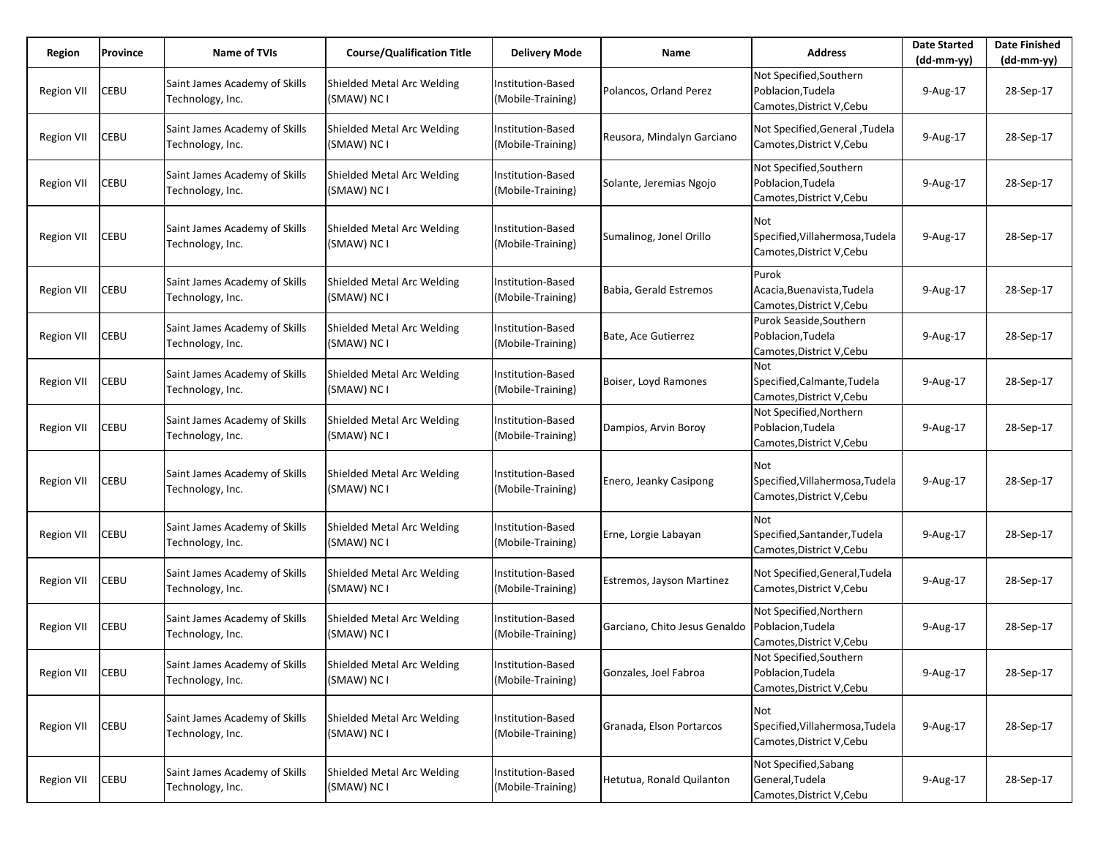| Region            | Province | Name of TVIs                                      | <b>Course/Qualification Title</b>         | <b>Delivery Mode</b>                   | Name                                              | <b>Address</b>                                                            | <b>Date Started</b><br>$(dd-mm-yy)$ | <b>Date Finished</b><br>$(dd-mm-yy)$ |
|-------------------|----------|---------------------------------------------------|-------------------------------------------|----------------------------------------|---------------------------------------------------|---------------------------------------------------------------------------|-------------------------------------|--------------------------------------|
| <b>Region VII</b> | CEBU     | Saint James Academy of Skills<br>Technology, Inc. | Shielded Metal Arc Welding<br>(SMAW) NC I | Institution-Based<br>(Mobile-Training) | Polancos, Orland Perez                            | Not Specified, Southern<br>Poblacion, Tudela<br>Camotes, District V, Cebu | 9-Aug-17                            | 28-Sep-17                            |
| <b>Region VII</b> | CEBU     | Saint James Academy of Skills<br>Technology, Inc. | Shielded Metal Arc Welding<br>(SMAW) NC I | Institution-Based<br>(Mobile-Training) | Reusora, Mindalyn Garciano                        | Not Specified, General, Tudela<br>Camotes, District V, Cebu               | 9-Aug-17                            | 28-Sep-17                            |
| <b>Region VII</b> | CEBU     | Saint James Academy of Skills<br>Technology, Inc. | Shielded Metal Arc Welding<br>(SMAW) NC I | Institution-Based<br>(Mobile-Training) | Solante, Jeremias Ngojo                           | Not Specified, Southern<br>Poblacion, Tudela<br>Camotes, District V, Cebu | 9-Aug-17                            | 28-Sep-17                            |
| <b>Region VII</b> | CEBU     | Saint James Academy of Skills<br>Technology, Inc. | Shielded Metal Arc Welding<br>(SMAW) NC I | Institution-Based<br>(Mobile-Training) | Sumalinog, Jonel Orillo                           | Not<br>Specified, Villahermosa, Tudela<br>Camotes, District V, Cebu       | 9-Aug-17                            | 28-Sep-17                            |
| <b>Region VII</b> | CEBU     | Saint James Academy of Skills<br>Technology, Inc. | Shielded Metal Arc Welding<br>(SMAW) NC I | Institution-Based<br>(Mobile-Training) | Babia, Gerald Estremos                            | Purok<br>Acacia, Buenavista, Tudela<br>Camotes, District V, Cebu          | 9-Aug-17                            | 28-Sep-17                            |
| <b>Region VII</b> | CEBU     | Saint James Academy of Skills<br>Technology, Inc. | Shielded Metal Arc Welding<br>(SMAW) NC I | Institution-Based<br>(Mobile-Training) | Bate, Ace Gutierrez                               | Purok Seaside, Southern<br>Poblacion, Tudela<br>Camotes, District V, Cebu | 9-Aug-17                            | 28-Sep-17                            |
| <b>Region VII</b> | CEBU     | Saint James Academy of Skills<br>Technology, Inc. | Shielded Metal Arc Welding<br>(SMAW) NC I | Institution-Based<br>(Mobile-Training) | Boiser, Loyd Ramones                              | <b>Not</b><br>Specified, Calmante, Tudela<br>Camotes, District V, Cebu    | 9-Aug-17                            | 28-Sep-17                            |
| <b>Region VII</b> | CEBU     | Saint James Academy of Skills<br>Technology, Inc. | Shielded Metal Arc Welding<br>(SMAW) NC I | Institution-Based<br>(Mobile-Training) | Dampios, Arvin Boroy                              | Not Specified, Northern<br>Poblacion, Tudela<br>Camotes, District V, Cebu | 9-Aug-17                            | 28-Sep-17                            |
| <b>Region VII</b> | CEBU     | Saint James Academy of Skills<br>Technology, Inc. | Shielded Metal Arc Welding<br>(SMAW) NC I | Institution-Based<br>(Mobile-Training) | Enero, Jeanky Casipong                            | Not<br>Specified, Villahermosa, Tudela<br>Camotes, District V, Cebu       | 9-Aug-17                            | 28-Sep-17                            |
| <b>Region VII</b> | CEBU     | Saint James Academy of Skills<br>Technology, Inc. | Shielded Metal Arc Welding<br>(SMAW) NC I | Institution-Based<br>(Mobile-Training) | Erne, Lorgie Labayan                              | <b>Not</b><br>Specified, Santander, Tudela<br>Camotes, District V, Cebu   | 9-Aug-17                            | 28-Sep-17                            |
| <b>Region VII</b> | CEBU     | Saint James Academy of Skills<br>Technology, Inc. | Shielded Metal Arc Welding<br>(SMAW) NC I | Institution-Based<br>(Mobile-Training) | Estremos, Jayson Martinez                         | Not Specified, General, Tudela<br>Camotes, District V, Cebu               | 9-Aug-17                            | 28-Sep-17                            |
| <b>Region VII</b> | CEBU     | Saint James Academy of Skills<br>Technology, Inc. | Shielded Metal Arc Welding<br>(SMAW) NC I | Institution-Based<br>(Mobile-Training) | Garciano, Chito Jesus Genaldo   Poblacion, Tudela | Not Specified, Northern<br>Camotes,District V,Cebu                        | 9-Aug-17                            | 28-Sep-17                            |
| <b>Region VII</b> | CEBU     | Saint James Academy of Skills<br>Technology, Inc. | Shielded Metal Arc Welding<br>(SMAW) NC I | Institution-Based<br>(Mobile-Training) | Gonzales, Joel Fabroa                             | Not Specified, Southern<br>Poblacion, Tudela<br>Camotes, District V, Cebu | 9-Aug-17                            | 28-Sep-17                            |
| Region VII        | CEBU     | Saint James Academy of Skills<br>Technology, Inc. | Shielded Metal Arc Welding<br>(SMAW) NC I | Institution-Based<br>(Mobile-Training) | Granada, Elson Portarcos                          | Not<br>Specified, Villahermosa, Tudela<br>Camotes, District V, Cebu       | 9-Aug-17                            | 28-Sep-17                            |
| <b>Region VII</b> | CEBU     | Saint James Academy of Skills<br>Technology, Inc. | Shielded Metal Arc Welding<br>(SMAW) NC I | Institution-Based<br>(Mobile-Training) | Hetutua, Ronald Quilanton                         | Not Specified, Sabang<br>General, Tudela<br>Camotes, District V, Cebu     | 9-Aug-17                            | 28-Sep-17                            |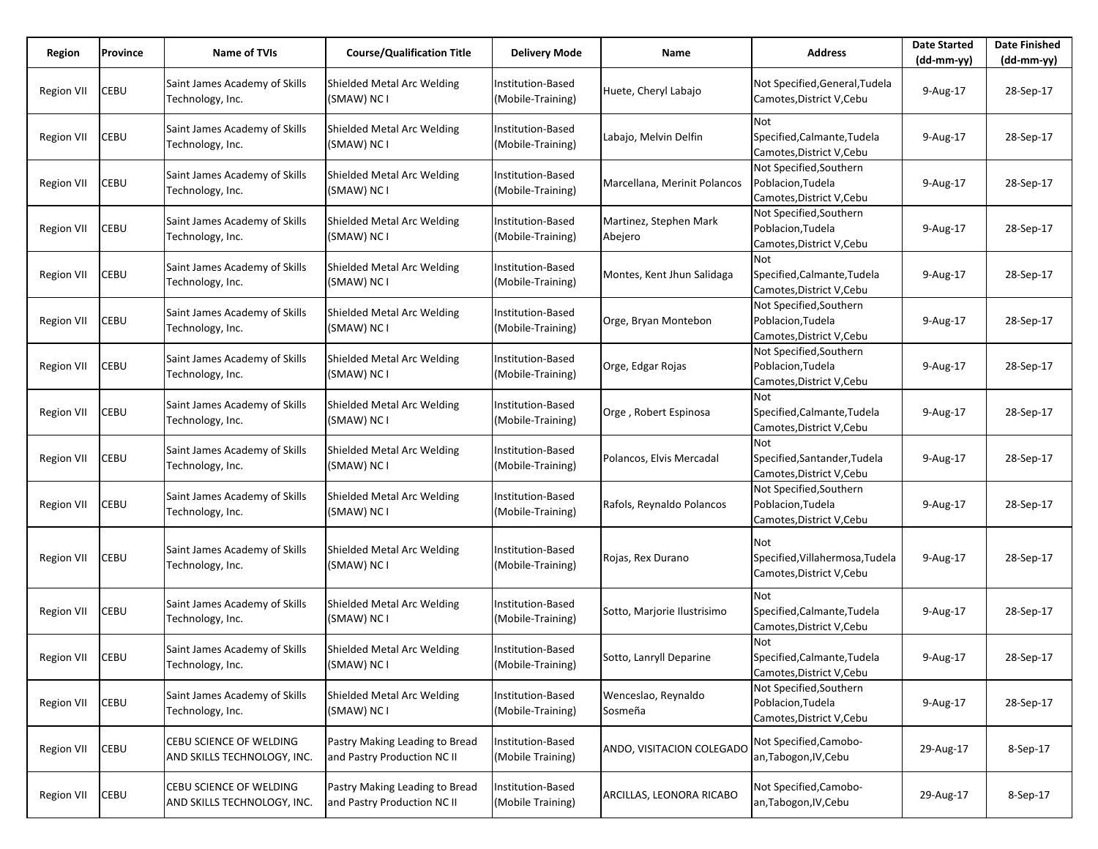| Region            | Province    | <b>Name of TVIs</b>                                    | <b>Course/Qualification Title</b>                             | <b>Delivery Mode</b>                          | Name                              | <b>Address</b>                                                            | <b>Date Started</b><br>$(dd-mm-yy)$ | <b>Date Finished</b><br>$(dd-mm-yy)$ |
|-------------------|-------------|--------------------------------------------------------|---------------------------------------------------------------|-----------------------------------------------|-----------------------------------|---------------------------------------------------------------------------|-------------------------------------|--------------------------------------|
| <b>Region VII</b> | CEBU        | Saint James Academy of Skills<br>Technology, Inc.      | Shielded Metal Arc Welding<br>(SMAW) NC I                     | Institution-Based<br>(Mobile-Training)        | Huete, Cheryl Labajo              | Not Specified, General, Tudela<br>Camotes, District V, Cebu               | 9-Aug-17                            | 28-Sep-17                            |
| <b>Region VII</b> | CEBU        | Saint James Academy of Skills<br>Technology, Inc.      | Shielded Metal Arc Welding<br>(SMAW) NC I                     | Institution-Based<br>(Mobile-Training)        | Labajo, Melvin Delfin             | Not<br>Specified, Calmante, Tudela<br>Camotes, District V, Cebu           | 9-Aug-17                            | 28-Sep-17                            |
| Region VII        | CEBU        | Saint James Academy of Skills<br>Technology, Inc.      | Shielded Metal Arc Welding<br>(SMAW) NC I                     | Institution-Based<br>(Mobile-Training)        | Marcellana, Merinit Polancos      | Not Specified, Southern<br>Poblacion, Tudela<br>Camotes, District V, Cebu | 9-Aug-17                            | 28-Sep-17                            |
| <b>Region VII</b> | CEBU        | Saint James Academy of Skills<br>Technology, Inc.      | Shielded Metal Arc Welding<br>(SMAW) NC I                     | <b>Institution-Based</b><br>(Mobile-Training) | Martinez, Stephen Mark<br>Abejero | Not Specified, Southern<br>Poblacion, Tudela<br>Camotes, District V, Cebu | 9-Aug-17                            | 28-Sep-17                            |
| <b>Region VII</b> | <b>CEBU</b> | Saint James Academy of Skills<br>Technology, Inc.      | Shielded Metal Arc Welding<br>(SMAW) NC I                     | Institution-Based<br>(Mobile-Training)        | Montes, Kent Jhun Salidaga        | Not<br>Specified, Calmante, Tudela<br>Camotes, District V, Cebu           | 9-Aug-17                            | 28-Sep-17                            |
| <b>Region VII</b> | CEBU        | Saint James Academy of Skills<br>Technology, Inc.      | Shielded Metal Arc Welding<br>(SMAW) NC I                     | <b>Institution-Based</b><br>(Mobile-Training) | Orge, Bryan Montebon              | Not Specified, Southern<br>Poblacion, Tudela<br>Camotes, District V, Cebu | 9-Aug-17                            | 28-Sep-17                            |
| Region VII        | CEBU        | Saint James Academy of Skills<br>Technology, Inc.      | Shielded Metal Arc Welding<br>(SMAW) NC I                     | Institution-Based<br>(Mobile-Training)        | Orge, Edgar Rojas                 | Not Specified, Southern<br>Poblacion, Tudela<br>Camotes, District V, Cebu | 9-Aug-17                            | 28-Sep-17                            |
| <b>Region VII</b> | CEBU        | Saint James Academy of Skills<br>Technology, Inc.      | Shielded Metal Arc Welding<br>(SMAW) NC I                     | Institution-Based<br>(Mobile-Training)        | Orge, Robert Espinosa             | Not<br>Specified, Calmante, Tudela<br>Camotes, District V, Cebu           | 9-Aug-17                            | 28-Sep-17                            |
| Region VII        | CEBU        | Saint James Academy of Skills<br>Technology, Inc.      | Shielded Metal Arc Welding<br>(SMAW) NC I                     | Institution-Based<br>(Mobile-Training)        | Polancos, Elvis Mercadal          | <b>Not</b><br>Specified, Santander, Tudela<br>Camotes, District V, Cebu   | 9-Aug-17                            | 28-Sep-17                            |
| <b>Region VII</b> | CEBU        | Saint James Academy of Skills<br>Technology, Inc.      | Shielded Metal Arc Welding<br>(SMAW) NC I                     | Institution-Based<br>(Mobile-Training)        | Rafols, Reynaldo Polancos         | Not Specified, Southern<br>Poblacion, Tudela<br>Camotes, District V, Cebu | 9-Aug-17                            | 28-Sep-17                            |
| <b>Region VII</b> | <b>CEBU</b> | Saint James Academy of Skills<br>Technology, Inc.      | Shielded Metal Arc Welding<br>(SMAW) NC I                     | Institution-Based<br>(Mobile-Training)        | Rojas, Rex Durano                 | Not<br>Specified, Villahermosa, Tudela<br>Camotes, District V, Cebu       | 9-Aug-17                            | 28-Sep-17                            |
| <b>Region VII</b> | CEBU        | Saint James Academy of Skills<br>Technology, Inc.      | Shielded Metal Arc Welding<br>(SMAW) NC I                     | Institution-Based<br>(Mobile-Training)        | Sotto, Marjorie Ilustrisimo       | Not<br>Specified, Calmante, Tudela<br>Camotes, District V, Cebu           | 9-Aug-17                            | 28-Sep-17                            |
| Region VII        | <b>CEBU</b> | Saint James Academy of Skills<br>Technology, Inc.      | Shielded Metal Arc Welding<br>(SMAW) NC I                     | Institution-Based<br>(Mobile-Training)        | Sotto, Lanryll Deparine           | Not<br>Specified, Calmante, Tudela<br>Camotes, District V, Cebu           | 9-Aug-17                            | 28-Sep-17                            |
| <b>Region VII</b> | CEBU        | Saint James Academy of Skills<br>Technology, Inc.      | Shielded Metal Arc Welding<br>(SMAW) NC I                     | Institution-Based<br>(Mobile-Training)        | Wenceslao, Reynaldo<br>Sosmeña    | Not Specified, Southern<br>Poblacion, Tudela<br>Camotes, District V, Cebu | 9-Aug-17                            | 28-Sep-17                            |
| <b>Region VII</b> | <b>CEBU</b> | CEBU SCIENCE OF WELDING<br>AND SKILLS TECHNOLOGY, INC. | Pastry Making Leading to Bread<br>and Pastry Production NC II | Institution-Based<br>(Mobile Training)        | ANDO, VISITACION COLEGADO         | Not Specified, Camobo-<br>an, Tabogon, IV, Cebu                           | 29-Aug-17                           | 8-Sep-17                             |
| <b>Region VII</b> | CEBU        | CEBU SCIENCE OF WELDING<br>AND SKILLS TECHNOLOGY, INC. | Pastry Making Leading to Bread<br>and Pastry Production NC II | Institution-Based<br>(Mobile Training)        | ARCILLAS, LEONORA RICABO          | Not Specified, Camobo-<br>an, Tabogon, IV, Cebu                           | 29-Aug-17                           | 8-Sep-17                             |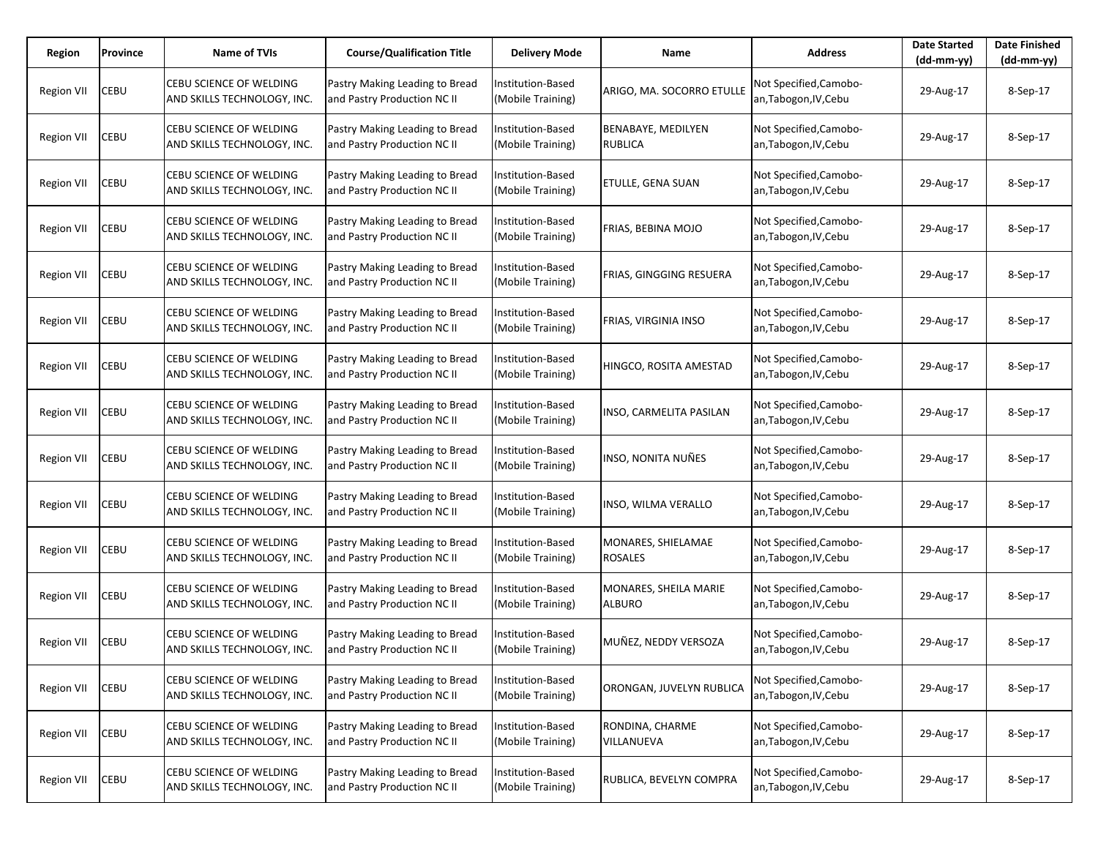| Region            | Province | <b>Name of TVIs</b>                                    | <b>Course/Qualification Title</b>                             | <b>Delivery Mode</b>                   | Name                                   | <b>Address</b>                                  | <b>Date Started</b><br>(dd-mm-yy) | <b>Date Finished</b><br>$(dd-mm-yy)$ |
|-------------------|----------|--------------------------------------------------------|---------------------------------------------------------------|----------------------------------------|----------------------------------------|-------------------------------------------------|-----------------------------------|--------------------------------------|
| <b>Region VII</b> | CEBU     | CEBU SCIENCE OF WELDING<br>AND SKILLS TECHNOLOGY, INC. | Pastry Making Leading to Bread<br>and Pastry Production NC II | Institution-Based<br>(Mobile Training) | ARIGO, MA. SOCORRO ETULLE              | Not Specified, Camobo-<br>an, Tabogon, IV, Cebu | 29-Aug-17                         | 8-Sep-17                             |
| <b>Region VII</b> | CEBU     | CEBU SCIENCE OF WELDING<br>AND SKILLS TECHNOLOGY, INC. | Pastry Making Leading to Bread<br>and Pastry Production NC II | Institution-Based<br>(Mobile Training) | BENABAYE, MEDILYEN<br><b>RUBLICA</b>   | Not Specified, Camobo-<br>an, Tabogon, IV, Cebu | 29-Aug-17                         | 8-Sep-17                             |
| <b>Region VII</b> | CEBU     | CEBU SCIENCE OF WELDING<br>AND SKILLS TECHNOLOGY, INC. | Pastry Making Leading to Bread<br>and Pastry Production NC II | Institution-Based<br>(Mobile Training) | <b>ETULLE, GENA SUAN</b>               | Not Specified, Camobo-<br>an, Tabogon, IV, Cebu | 29-Aug-17                         | 8-Sep-17                             |
| <b>Region VII</b> | CEBU     | CEBU SCIENCE OF WELDING<br>AND SKILLS TECHNOLOGY, INC. | Pastry Making Leading to Bread<br>and Pastry Production NC II | nstitution-Based<br>(Mobile Training)  | FRIAS, BEBINA MOJO                     | Not Specified, Camobo-<br>an, Tabogon, IV, Cebu | 29-Aug-17                         | 8-Sep-17                             |
| Region VII        | CEBU     | CEBU SCIENCE OF WELDING<br>AND SKILLS TECHNOLOGY, INC. | Pastry Making Leading to Bread<br>and Pastry Production NC II | Institution-Based<br>(Mobile Training) | FRIAS, GINGGING RESUERA                | Not Specified, Camobo-<br>an, Tabogon, IV, Cebu | 29-Aug-17                         | 8-Sep-17                             |
| <b>Region VII</b> | CEBU     | CEBU SCIENCE OF WELDING<br>AND SKILLS TECHNOLOGY, INC. | Pastry Making Leading to Bread<br>and Pastry Production NC II | nstitution-Based<br>(Mobile Training)  | <b>FRIAS, VIRGINIA INSO</b>            | Not Specified, Camobo-<br>an, Tabogon, IV, Cebu | 29-Aug-17                         | 8-Sep-17                             |
| <b>Region VII</b> | CEBU     | CEBU SCIENCE OF WELDING<br>AND SKILLS TECHNOLOGY, INC. | Pastry Making Leading to Bread<br>and Pastry Production NC II | Institution-Based<br>(Mobile Training) | HINGCO, ROSITA AMESTAD                 | Not Specified, Camobo-<br>an, Tabogon, IV, Cebu | 29-Aug-17                         | 8-Sep-17                             |
| <b>Region VII</b> | CEBU     | CEBU SCIENCE OF WELDING<br>AND SKILLS TECHNOLOGY, INC. | Pastry Making Leading to Bread<br>and Pastry Production NC II | nstitution-Based<br>(Mobile Training)  | <b>INSO, CARMELITA PASILAN</b>         | Not Specified, Camobo-<br>an, Tabogon, IV, Cebu | 29-Aug-17                         | 8-Sep-17                             |
| <b>Region VII</b> | CEBU     | CEBU SCIENCE OF WELDING<br>AND SKILLS TECHNOLOGY, INC. | Pastry Making Leading to Bread<br>and Pastry Production NC II | nstitution-Based<br>(Mobile Training)  | INSO, NONITA NUÑES                     | Not Specified, Camobo-<br>an, Tabogon, IV, Cebu | 29-Aug-17                         | 8-Sep-17                             |
| <b>Region VII</b> | CEBU     | CEBU SCIENCE OF WELDING<br>AND SKILLS TECHNOLOGY, INC. | Pastry Making Leading to Bread<br>and Pastry Production NC II | nstitution-Based<br>(Mobile Training)  | INSO, WILMA VERALLO                    | Not Specified, Camobo-<br>an, Tabogon, IV, Cebu | 29-Aug-17                         | 8-Sep-17                             |
| <b>Region VII</b> | CEBU     | CEBU SCIENCE OF WELDING<br>AND SKILLS TECHNOLOGY, INC. | Pastry Making Leading to Bread<br>and Pastry Production NC II | Institution-Based<br>(Mobile Training) | MONARES, SHIELAMAE<br><b>ROSALES</b>   | Not Specified, Camobo-<br>an, Tabogon, IV, Cebu | 29-Aug-17                         | 8-Sep-17                             |
| <b>Region VII</b> | CEBU     | CEBU SCIENCE OF WELDING<br>AND SKILLS TECHNOLOGY, INC. | Pastry Making Leading to Bread<br>and Pastry Production NC II | nstitution-Based<br>(Mobile Training)  | MONARES, SHEILA MARIE<br><b>ALBURO</b> | Not Specified, Camobo-<br>an, Tabogon, IV, Cebu | 29-Aug-17                         | 8-Sep-17                             |
| <b>Region VII</b> | CEBU     | CEBU SCIENCE OF WELDING<br>AND SKILLS TECHNOLOGY, INC. | Pastry Making Leading to Bread<br>and Pastry Production NC II | nstitution-Based<br>(Mobile Training)  | MUÑEZ, NEDDY VERSOZA                   | Not Specified, Camobo-<br>an, Tabogon, IV, Cebu | 29-Aug-17                         | 8-Sep-17                             |
| <b>Region VII</b> | CEBU     | CEBU SCIENCE OF WELDING<br>AND SKILLS TECHNOLOGY, INC. | Pastry Making Leading to Bread<br>and Pastry Production NC II | nstitution-Based<br>(Mobile Training)  | ORONGAN, JUVELYN RUBLICA               | Not Specified, Camobo-<br>an, Tabogon, IV, Cebu | 29-Aug-17                         | 8-Sep-17                             |
| <b>Region VII</b> | CEBU     | CEBU SCIENCE OF WELDING<br>AND SKILLS TECHNOLOGY, INC. | Pastry Making Leading to Bread<br>and Pastry Production NC II | Institution-Based<br>(Mobile Training) | RONDINA, CHARME<br>VILLANUEVA          | Not Specified, Camobo-<br>an, Tabogon, IV, Cebu | 29-Aug-17                         | 8-Sep-17                             |
| <b>Region VII</b> | CEBU     | CEBU SCIENCE OF WELDING<br>AND SKILLS TECHNOLOGY, INC. | Pastry Making Leading to Bread<br>and Pastry Production NC II | Institution-Based<br>(Mobile Training) | RUBLICA, BEVELYN COMPRA                | Not Specified, Camobo-<br>an, Tabogon, IV, Cebu | 29-Aug-17                         | 8-Sep-17                             |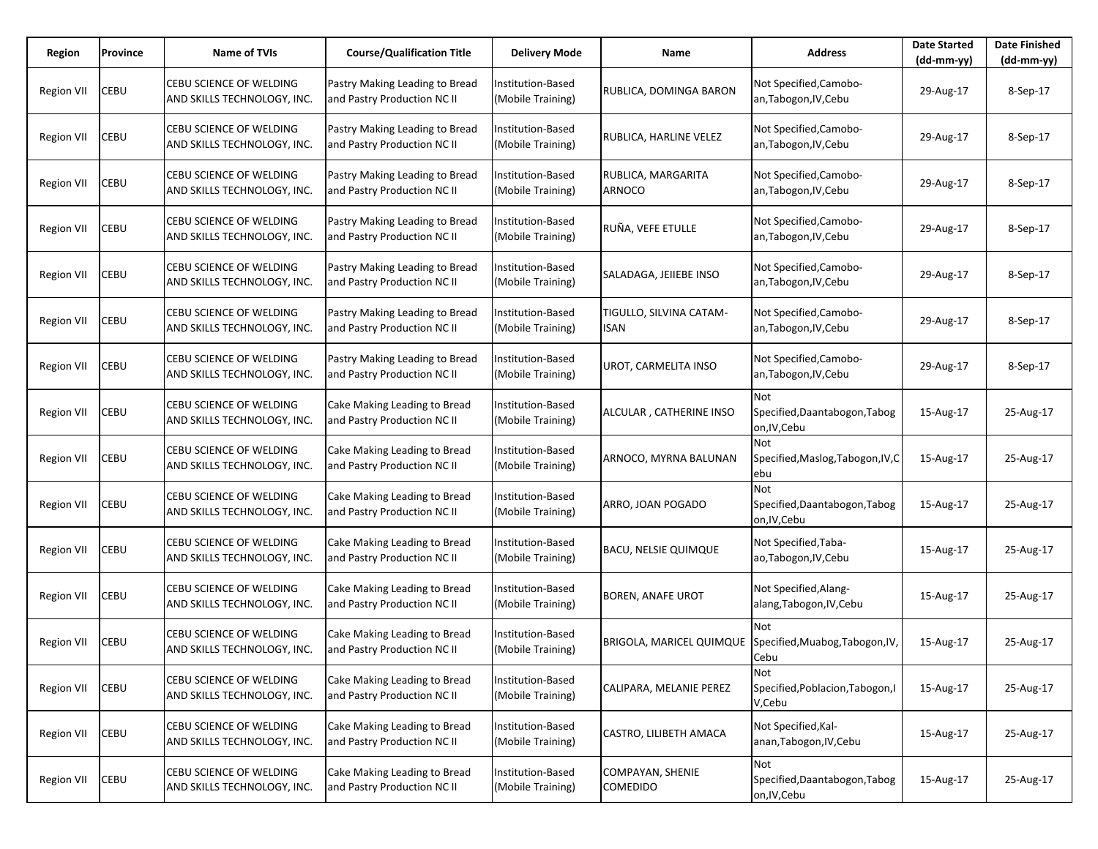| Region            | Province | Name of TVIs                                                  | <b>Course/Qualification Title</b>                             | <b>Delivery Mode</b>                          | Name                                                     | <b>Address</b>                                       | <b>Date Started</b><br>$(dd-mm-yy)$ | <b>Date Finished</b><br>(dd-mm-yy) |
|-------------------|----------|---------------------------------------------------------------|---------------------------------------------------------------|-----------------------------------------------|----------------------------------------------------------|------------------------------------------------------|-------------------------------------|------------------------------------|
| <b>Region VII</b> | CEBU     | CEBU SCIENCE OF WELDING<br>AND SKILLS TECHNOLOGY, INC.        | Pastry Making Leading to Bread<br>and Pastry Production NC II | Institution-Based<br>(Mobile Training)        | RUBLICA, DOMINGA BARON                                   | Not Specified, Camobo-<br>an, Tabogon, IV, Cebu      | 29-Aug-17                           | 8-Sep-17                           |
| Region VII        | CEBU     | CEBU SCIENCE OF WELDING<br>AND SKILLS TECHNOLOGY, INC.        | Pastry Making Leading to Bread<br>and Pastry Production NC II | Institution-Based<br>(Mobile Training)        | RUBLICA, HARLINE VELEZ                                   | Not Specified, Camobo-<br>an, Tabogon, IV, Cebu      | 29-Aug-17                           | 8-Sep-17                           |
| Region VII        | CEBU     | <b>CEBU SCIENCE OF WELDING</b><br>AND SKILLS TECHNOLOGY, INC. | Pastry Making Leading to Bread<br>and Pastry Production NC II | Institution-Based<br>(Mobile Training)        | RUBLICA, MARGARITA<br>ARNOCO                             | Not Specified, Camobo-<br>an, Tabogon, IV, Cebu      | 29-Aug-17                           | 8-Sep-17                           |
| Region VII        | CEBU     | CEBU SCIENCE OF WELDING<br>AND SKILLS TECHNOLOGY, INC.        | Pastry Making Leading to Bread<br>and Pastry Production NC II | Institution-Based<br>(Mobile Training)        | RUÑA, VEFE ETULLE                                        | Not Specified, Camobo-<br>an, Tabogon, IV, Cebu      | 29-Aug-17                           | 8-Sep-17                           |
| Region VII        | CEBU     | CEBU SCIENCE OF WELDING<br>AND SKILLS TECHNOLOGY, INC.        | Pastry Making Leading to Bread<br>and Pastry Production NC II | Institution-Based<br>(Mobile Training)        | SALADAGA, JEIIEBE INSO                                   | Not Specified, Camobo-<br>an, Tabogon, IV, Cebu      | 29-Aug-17                           | 8-Sep-17                           |
| Region VII        | CEBU     | CEBU SCIENCE OF WELDING<br>AND SKILLS TECHNOLOGY, INC.        | Pastry Making Leading to Bread<br>and Pastry Production NC II | Institution-Based<br>(Mobile Training)        | TIGULLO, SILVINA CATAM-<br><b>ISAN</b>                   | Not Specified, Camobo-<br>an, Tabogon, IV, Cebu      | 29-Aug-17                           | 8-Sep-17                           |
| Region VII        | CEBU     | CEBU SCIENCE OF WELDING<br>AND SKILLS TECHNOLOGY, INC.        | Pastry Making Leading to Bread<br>and Pastry Production NC II | Institution-Based<br>(Mobile Training)        | UROT, CARMELITA INSO                                     | Not Specified, Camobo-<br>an, Tabogon, IV, Cebu      | 29-Aug-17                           | 8-Sep-17                           |
| <b>Region VII</b> | CEBU     | CEBU SCIENCE OF WELDING<br>AND SKILLS TECHNOLOGY, INC.        | Cake Making Leading to Bread<br>and Pastry Production NC II   | <b>Institution-Based</b><br>(Mobile Training) | ALCULAR, CATHERINE INSO                                  | Not<br>Specified, Daantabogon, Tabog<br>on, IV, Cebu | 15-Aug-17                           | 25-Aug-17                          |
| <b>Region VII</b> | CEBU     | CEBU SCIENCE OF WELDING<br>AND SKILLS TECHNOLOGY, INC.        | Cake Making Leading to Bread<br>and Pastry Production NC II   | Institution-Based<br>(Mobile Training)        | ARNOCO, MYRNA BALUNAN                                    | Not<br>Specified, Maslog, Tabogon, IV, C<br>ebu      | 15-Aug-17                           | 25-Aug-17                          |
| Region VII        | CEBU     | CEBU SCIENCE OF WELDING<br>AND SKILLS TECHNOLOGY, INC.        | Cake Making Leading to Bread<br>and Pastry Production NC II   | <b>Institution-Based</b><br>(Mobile Training) | ARRO, JOAN POGADO                                        | Not<br>Specified, Daantabogon, Tabog<br>on, IV, Cebu | 15-Aug-17                           | 25-Aug-17                          |
| <b>Region VII</b> | CEBU     | CEBU SCIENCE OF WELDING<br>AND SKILLS TECHNOLOGY, INC.        | Cake Making Leading to Bread<br>and Pastry Production NC II   | Institution-Based<br>(Mobile Training)        | <b>BACU, NELSIE QUIMQUE</b>                              | Not Specified, Taba-<br>ao, Tabogon, IV, Cebu        | 15-Aug-17                           | 25-Aug-17                          |
| Region VII        | CEBU     | <b>CEBU SCIENCE OF WELDING</b><br>AND SKILLS TECHNOLOGY, INC. | Cake Making Leading to Bread<br>and Pastry Production NC II   | Institution-Based<br>(Mobile Training)        | <b>BOREN, ANAFE UROT</b>                                 | Not Specified,Alang-<br>alang, Tabogon, IV, Cebu     | 15-Aug-17                           | 25-Aug-17                          |
| Region VII        | CEBU     | CEBU SCIENCE OF WELDING<br>AND SKILLS TECHNOLOGY, INC.        | Cake Making Leading to Bread<br>and Pastry Production NC II   | Institution-Based<br>(Mobile Training)        | BRIGOLA, MARICEL QUIMQUE Specified, Muabog, Tabogon, IV, | Not<br>Cebu                                          | 15-Aug-17                           | 25-Aug-17                          |
| <b>Region VII</b> | CEBU     | CEBU SCIENCE OF WELDING<br>AND SKILLS TECHNOLOGY, INC.        | Cake Making Leading to Bread<br>and Pastry Production NC II   | Institution-Based<br>(Mobile Training)        | CALIPARA, MELANIE PEREZ                                  | Not<br>Specified, Poblacion, Tabogon, I<br>V,Cebu    | 15-Aug-17                           | 25-Aug-17                          |
| <b>Region VII</b> | CEBU     | CEBU SCIENCE OF WELDING<br>AND SKILLS TECHNOLOGY, INC.        | Cake Making Leading to Bread<br>and Pastry Production NC II   | Institution-Based<br>(Mobile Training)        | CASTRO, LILIBETH AMACA                                   | Not Specified, Kal-<br>anan, Tabogon, IV, Cebu       | 15-Aug-17                           | 25-Aug-17                          |
| <b>Region VII</b> | CEBU     | CEBU SCIENCE OF WELDING<br>AND SKILLS TECHNOLOGY, INC.        | Cake Making Leading to Bread<br>and Pastry Production NC II   | Institution-Based<br>(Mobile Training)        | COMPAYAN, SHENIE<br>COMEDIDO                             | Not<br>Specified, Daantabogon, Tabog<br>on, IV, Cebu | 15-Aug-17                           | 25-Aug-17                          |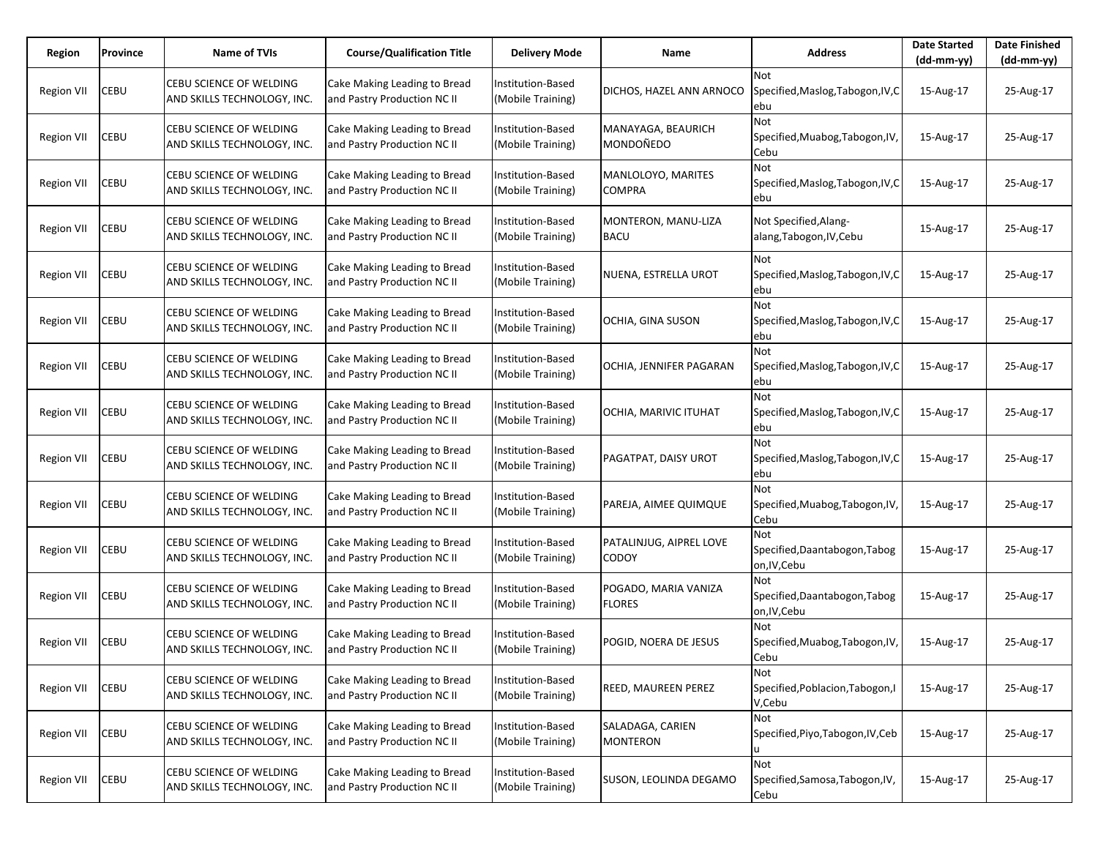| Region            | Province | <b>Name of TVIs</b>                                    | <b>Course/Qualification Title</b>                           | <b>Delivery Mode</b>                          | Name                                    | <b>Address</b>                                         | <b>Date Started</b><br>$(dd-mm-yy)$ | <b>Date Finished</b><br>(dd-mm-yy) |
|-------------------|----------|--------------------------------------------------------|-------------------------------------------------------------|-----------------------------------------------|-----------------------------------------|--------------------------------------------------------|-------------------------------------|------------------------------------|
| <b>Region VII</b> | CEBU     | CEBU SCIENCE OF WELDING<br>AND SKILLS TECHNOLOGY, INC. | Cake Making Leading to Bread<br>and Pastry Production NC II | Institution-Based<br>(Mobile Training)        | DICHOS, HAZEL ANN ARNOCO                | <b>Not</b><br>Specified, Maslog, Tabogon, IV, C<br>ebu | 15-Aug-17                           | 25-Aug-17                          |
| <b>Region VII</b> | CEBU     | CEBU SCIENCE OF WELDING<br>AND SKILLS TECHNOLOGY, INC. | Cake Making Leading to Bread<br>and Pastry Production NC II | Institution-Based<br>(Mobile Training)        | MANAYAGA, BEAURICH<br>MONDOÑEDO         | Not<br>Specified, Muabog, Tabogon, IV,<br>Cebu         | 15-Aug-17                           | 25-Aug-17                          |
| <b>Region VII</b> | CEBU     | CEBU SCIENCE OF WELDING<br>AND SKILLS TECHNOLOGY, INC. | Cake Making Leading to Bread<br>and Pastry Production NC II | Institution-Based<br>(Mobile Training)        | MANLOLOYO, MARITES<br><b>COMPRA</b>     | Not<br>Specified, Maslog, Tabogon, IV, C<br>ebu        | 15-Aug-17                           | 25-Aug-17                          |
| Region VII        | CEBU     | CEBU SCIENCE OF WELDING<br>AND SKILLS TECHNOLOGY, INC. | Cake Making Leading to Bread<br>and Pastry Production NC II | Institution-Based<br>(Mobile Training)        | MONTERON, MANU-LIZA<br>BACU             | Not Specified,Alang-<br>alang, Tabogon, IV, Cebu       | 15-Aug-17                           | 25-Aug-17                          |
| Region VII        | CEBU     | CEBU SCIENCE OF WELDING<br>AND SKILLS TECHNOLOGY, INC. | Cake Making Leading to Bread<br>and Pastry Production NC II | Institution-Based<br>(Mobile Training)        | NUENA, ESTRELLA UROT                    | Not<br>Specified, Maslog, Tabogon, IV, C<br>ebu        | 15-Aug-17                           | 25-Aug-17                          |
| <b>Region VII</b> | CEBU     | CEBU SCIENCE OF WELDING<br>AND SKILLS TECHNOLOGY, INC. | Cake Making Leading to Bread<br>and Pastry Production NC II | Institution-Based<br>(Mobile Training)        | OCHIA, GINA SUSON                       | Not<br>Specified, Maslog, Tabogon, IV, C<br>ebu        | 15-Aug-17                           | 25-Aug-17                          |
| <b>Region VII</b> | CEBU     | CEBU SCIENCE OF WELDING<br>AND SKILLS TECHNOLOGY, INC. | Cake Making Leading to Bread<br>and Pastry Production NC II | Institution-Based<br>(Mobile Training)        | OCHIA, JENNIFER PAGARAN                 | Not<br>Specified, Maslog, Tabogon, IV, C<br>ebu        | 15-Aug-17                           | 25-Aug-17                          |
| <b>Region VII</b> | CEBU     | CEBU SCIENCE OF WELDING<br>AND SKILLS TECHNOLOGY, INC. | Cake Making Leading to Bread<br>and Pastry Production NC II | Institution-Based<br>(Mobile Training)        | OCHIA, MARIVIC ITUHAT                   | Not<br>Specified, Maslog, Tabogon, IV, C<br>ebu        | 15-Aug-17                           | 25-Aug-17                          |
| <b>Region VII</b> | CEBU     | CEBU SCIENCE OF WELDING<br>AND SKILLS TECHNOLOGY, INC. | Cake Making Leading to Bread<br>and Pastry Production NC II | Institution-Based<br>(Mobile Training)        | PAGATPAT, DAISY UROT                    | Not<br>Specified, Maslog, Tabogon, IV, C<br>ebu        | 15-Aug-17                           | 25-Aug-17                          |
| <b>Region VII</b> | CEBU     | CEBU SCIENCE OF WELDING<br>AND SKILLS TECHNOLOGY, INC. | Cake Making Leading to Bread<br>and Pastry Production NC II | Institution-Based<br>(Mobile Training)        | PAREJA, AIMEE QUIMQUE                   | Not<br>Specified, Muabog, Tabogon, IV,<br>Cebu         | 15-Aug-17                           | 25-Aug-17                          |
| <b>Region VII</b> | CEBU     | CEBU SCIENCE OF WELDING<br>AND SKILLS TECHNOLOGY, INC. | Cake Making Leading to Bread<br>and Pastry Production NC II | Institution-Based<br>(Mobile Training)        | PATALINJUG, AIPREL LOVE<br><b>CODOY</b> | Not<br>Specified, Daantabogon, Tabog<br>on, IV, Cebu   | 15-Aug-17                           | 25-Aug-17                          |
| <b>Region VII</b> | CEBU     | CEBU SCIENCE OF WELDING<br>AND SKILLS TECHNOLOGY, INC. | Cake Making Leading to Bread<br>and Pastry Production NC II | Institution-Based<br>(Mobile Training)        | POGADO, MARIA VANIZA<br><b>FLORES</b>   | Not<br>Specified, Daantabogon, Tabog<br>on, IV, Cebu   | 15-Aug-17                           | 25-Aug-17                          |
| <b>Region VII</b> | CEBU     | CEBU SCIENCE OF WELDING<br>AND SKILLS TECHNOLOGY, INC. | Cake Making Leading to Bread<br>and Pastry Production NC II | Institution-Based<br>(Mobile Training)        | POGID, NOERA DE JESUS                   | Not<br>Specified, Muabog, Tabogon, IV,<br>Cebu         | 15-Aug-17                           | 25-Aug-17                          |
| <b>Region VII</b> | CEBU     | CEBU SCIENCE OF WELDING<br>AND SKILLS TECHNOLOGY, INC. | Cake Making Leading to Bread<br>and Pastry Production NC II | <b>Institution-Based</b><br>(Mobile Training) | REED, MAUREEN PEREZ                     | Not<br>Specified, Poblacion, Tabogon, I<br>V,Cebu      | 15-Aug-17                           | 25-Aug-17                          |
| <b>Region VII</b> | CEBU     | CEBU SCIENCE OF WELDING<br>AND SKILLS TECHNOLOGY, INC. | Cake Making Leading to Bread<br>and Pastry Production NC II | Institution-Based<br>(Mobile Training)        | SALADAGA, CARIEN<br><b>MONTERON</b>     | Not<br>Specified, Piyo, Tabogon, IV, Ceb               | 15-Aug-17                           | 25-Aug-17                          |
| <b>Region VII</b> | CEBU     | CEBU SCIENCE OF WELDING<br>AND SKILLS TECHNOLOGY, INC. | Cake Making Leading to Bread<br>and Pastry Production NC II | Institution-Based<br>(Mobile Training)        | SUSON, LEOLINDA DEGAMO                  | Not<br>Specified, Samosa, Tabogon, IV,<br>Cebu         | 15-Aug-17                           | 25-Aug-17                          |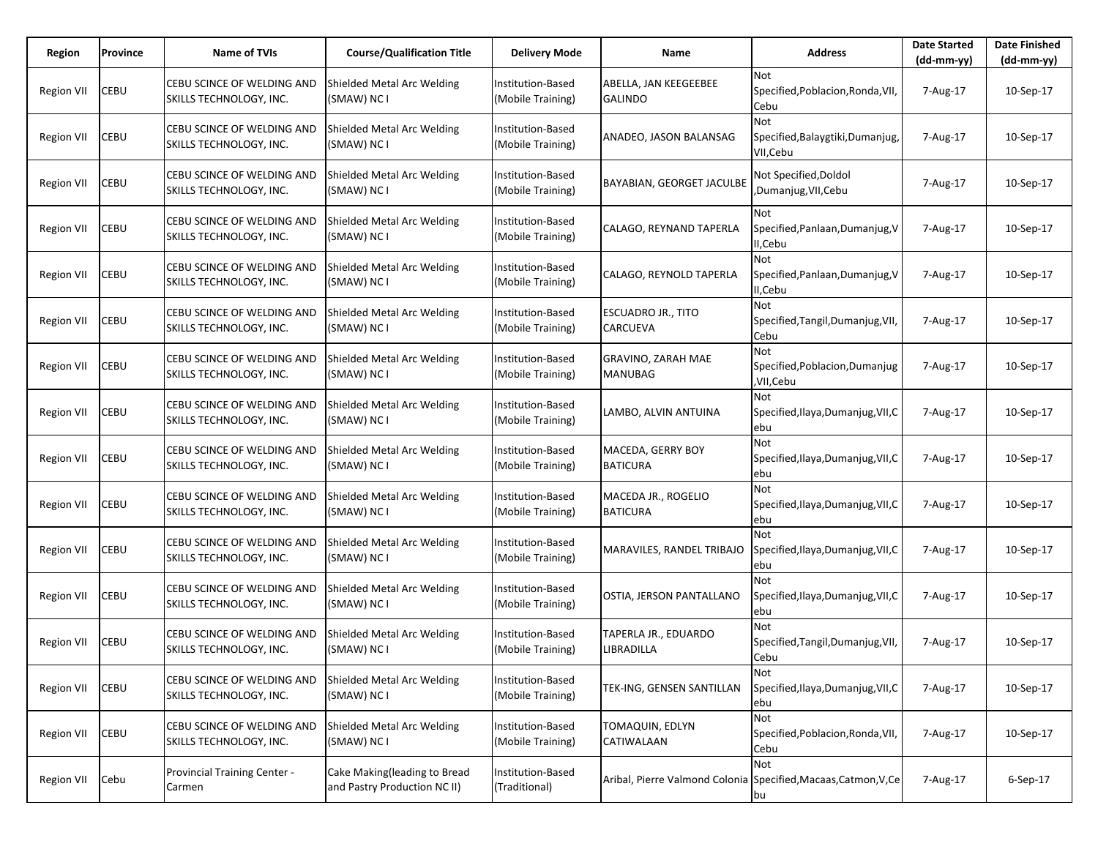| Region            | Province | <b>Name of TVIs</b>                                   | <b>Course/Qualification Title</b>                            | <b>Delivery Mode</b>                          | Name                                                            | <b>Address</b>                                              | <b>Date Started</b><br>$(dd-mm-yy)$ | <b>Date Finished</b><br>$(dd-mm-yy)$ |
|-------------------|----------|-------------------------------------------------------|--------------------------------------------------------------|-----------------------------------------------|-----------------------------------------------------------------|-------------------------------------------------------------|-------------------------------------|--------------------------------------|
| <b>Region VII</b> | CEBU     | CEBU SCINCE OF WELDING AND<br>SKILLS TECHNOLOGY, INC. | Shielded Metal Arc Welding<br>(SMAW) NC I                    | Institution-Based<br>(Mobile Training)        | ABELLA, JAN KEEGEEBEE<br><b>GALINDO</b>                         | <b>Not</b><br>Specified, Poblacion, Ronda, VII,<br>Cebu     | 7-Aug-17                            | 10-Sep-17                            |
| Region VII        | CEBU     | CEBU SCINCE OF WELDING AND<br>SKILLS TECHNOLOGY, INC. | Shielded Metal Arc Welding<br>(SMAW) NC I                    | <b>Institution-Based</b><br>(Mobile Training) | ANADEO, JASON BALANSAG                                          | <b>Not</b><br>Specified, Balaygtiki, Dumanjug,<br>VII, Cebu | 7-Aug-17                            | 10-Sep-17                            |
| Region VII        | CEBU     | CEBU SCINCE OF WELDING AND<br>SKILLS TECHNOLOGY, INC. | Shielded Metal Arc Welding<br>(SMAW) NC I                    | Institution-Based<br>(Mobile Training)        | <b>BAYABIAN, GEORGET JACULBE</b>                                | Not Specified, Doldol<br>,Dumanjug,VII,Cebu                 | 7-Aug-17                            | 10-Sep-17                            |
| Region VII        | CEBU     | CEBU SCINCE OF WELDING AND<br>SKILLS TECHNOLOGY, INC. | Shielded Metal Arc Welding<br>(SMAW) NC I                    | Institution-Based<br>(Mobile Training)        | CALAGO, REYNAND TAPERLA                                         | Not<br>Specified, Panlaan, Dumanjug, V<br>II, Cebu          | 7-Aug-17                            | 10-Sep-17                            |
| Region VII        | CEBU     | CEBU SCINCE OF WELDING AND<br>SKILLS TECHNOLOGY, INC. | Shielded Metal Arc Welding<br>(SMAW) NC I                    | Institution-Based<br>(Mobile Training)        | CALAGO, REYNOLD TAPERLA                                         | Not<br>Specified, Panlaan, Dumanjug, V<br>II, Cebu          | 7-Aug-17                            | 10-Sep-17                            |
| Region VII        | CEBU     | CEBU SCINCE OF WELDING AND<br>SKILLS TECHNOLOGY, INC. | Shielded Metal Arc Welding<br>(SMAW) NC I                    | Institution-Based<br>(Mobile Training)        | <b>ESCUADRO JR., TITO</b><br>CARCUEVA                           | <b>Not</b><br>Specified, Tangil, Dumanjug, VII,<br>Cebu     | 7-Aug-17                            | 10-Sep-17                            |
| Region VII        | CEBU     | CEBU SCINCE OF WELDING AND<br>SKILLS TECHNOLOGY, INC. | Shielded Metal Arc Welding<br>(SMAW) NC I                    | Institution-Based<br>(Mobile Training)        | GRAVINO, ZARAH MAE<br><b>MANUBAG</b>                            | <b>Not</b><br>Specified, Poblacion, Dumanjug<br>,VII,Cebu   | 7-Aug-17                            | 10-Sep-17                            |
| Region VII        | CEBU     | CEBU SCINCE OF WELDING AND<br>SKILLS TECHNOLOGY, INC. | Shielded Metal Arc Welding<br>(SMAW) NC I                    | Institution-Based<br>(Mobile Training)        | LAMBO, ALVIN ANTUINA                                            | Not<br>Specified, Ilaya, Dumanjug, VII, C<br>lebu           | 7-Aug-17                            | 10-Sep-17                            |
| Region VII        | CEBU     | CEBU SCINCE OF WELDING AND<br>SKILLS TECHNOLOGY, INC. | Shielded Metal Arc Welding<br>(SMAW) NC I                    | Institution-Based<br>(Mobile Training)        | MACEDA, GERRY BOY<br><b>BATICURA</b>                            | Not<br>Specified, Ilaya, Dumanjug, VII, C<br>ebu            | 7-Aug-17                            | 10-Sep-17                            |
| Region VII        | CEBU     | CEBU SCINCE OF WELDING AND<br>SKILLS TECHNOLOGY, INC. | Shielded Metal Arc Welding<br>(SMAW) NC I                    | Institution-Based<br>(Mobile Training)        | MACEDA JR., ROGELIO<br><b>BATICURA</b>                          | <b>Not</b><br>Specified, Ilaya, Dumanjug, VII, C<br>ebu     | 7-Aug-17                            | 10-Sep-17                            |
| <b>Region VII</b> | CEBU     | CEBU SCINCE OF WELDING AND<br>SKILLS TECHNOLOGY, INC. | Shielded Metal Arc Welding<br>(SMAW) NC I                    | <b>Institution-Based</b><br>(Mobile Training) | MARAVILES, RANDEL TRIBAJO                                       | <b>Not</b><br>Specified, Ilaya, Dumanjug, VII, C<br>ebu     | 7-Aug-17                            | 10-Sep-17                            |
| Region VII        | CEBU     | CEBU SCINCE OF WELDING AND<br>SKILLS TECHNOLOGY, INC. | Shielded Metal Arc Welding<br>(SMAW) NC I                    | Institution-Based<br>(Mobile Training)        | OSTIA, JERSON PANTALLANO                                        | <b>Not</b><br>Specified, Ilaya, Dumanjug, VII, C<br>lebu    | 7-Aug-17                            | 10-Sep-17                            |
| <b>Region VII</b> | CEBU     | CEBU SCINCE OF WELDING AND<br>SKILLS TECHNOLOGY, INC. | Shielded Metal Arc Welding<br>(SMAW) NC I                    | <b>Institution-Based</b><br>(Mobile Training) | TAPERLA JR., EDUARDO<br>LIBRADILLA                              | <b>Not</b><br>Specified, Tangil, Dumanjug, VII,<br>Cebu     | 7-Aug-17                            | 10-Sep-17                            |
| <b>Region VII</b> | CEBU     | CEBU SCINCE OF WELDING AND<br>SKILLS TECHNOLOGY, INC. | Shielded Metal Arc Welding<br>(SMAW) NC I                    | Institution-Based<br>(Mobile Training)        | TEK-ING, GENSEN SANTILLAN                                       | Not<br>Specified, Ilaya, Dumanjug, VII, C<br>ebu            | 7-Aug-17                            | 10-Sep-17                            |
| <b>Region VII</b> | CEBU     | CEBU SCINCE OF WELDING AND<br>SKILLS TECHNOLOGY, INC. | Shielded Metal Arc Welding<br>(SMAW) NC I                    | Institution-Based<br>(Mobile Training)        | TOMAQUIN, EDLYN<br>CATIWALAAN                                   | Not<br>Specified, Poblacion, Ronda, VII,<br>Cebu            | 7-Aug-17                            | 10-Sep-17                            |
| <b>Region VII</b> | Cebu     | Provincial Training Center -<br>Carmen                | Cake Making(leading to Bread<br>and Pastry Production NC II) | Institution-Based<br>(Traditional)            | Aribal, Pierre Valmond Colonia Specified, Macaas, Catmon, V, Ce | Not<br>bu                                                   | 7-Aug-17                            | $6-$ Sep $-17$                       |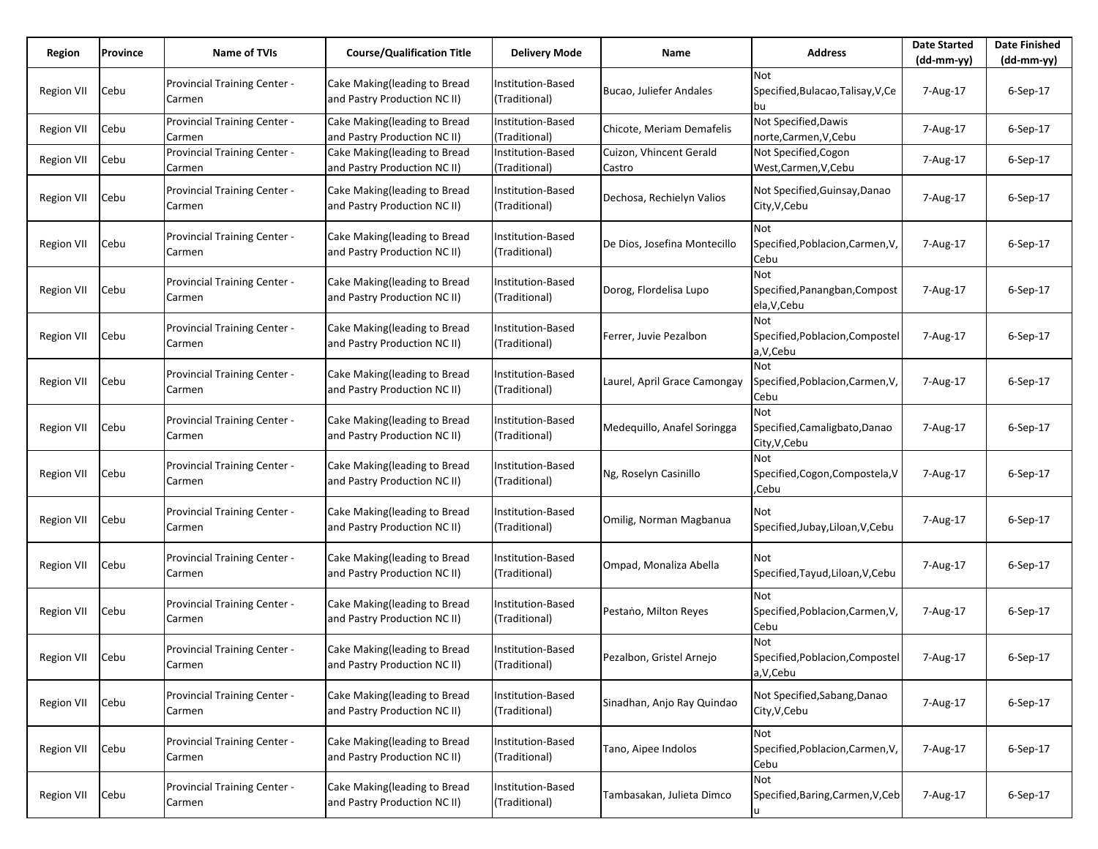| Region            | Province | <b>Name of TVIs</b>                           | <b>Course/Qualification Title</b>                            | Delivery Mode                             | Name                              | <b>Address</b>                                         | <b>Date Started</b><br>$(dd-mm-yy)$ | <b>Date Finished</b><br>$(dd-mm-yy)$ |
|-------------------|----------|-----------------------------------------------|--------------------------------------------------------------|-------------------------------------------|-----------------------------------|--------------------------------------------------------|-------------------------------------|--------------------------------------|
| Region VII        | Cebu     | Provincial Training Center -<br>Carmen        | Cake Making(leading to Bread<br>and Pastry Production NC II) | Institution-Based<br>(Traditional)        | Bucao, Juliefer Andales           | <b>Not</b><br>Specified, Bulacao, Talisay, V, Ce<br>bu | 7-Aug-17                            | $6-$ Sep $-17$                       |
| <b>Region VII</b> | Cebu     | Provincial Training Center -<br>Carmen        | Cake Making(leading to Bread<br>and Pastry Production NC II) | Institution-Based<br>(Traditional)        | Chicote, Meriam Demafelis         | Not Specified, Dawis<br>norte,Carmen,V,Cebu            | 7-Aug-17                            | 6-Sep-17                             |
| Region VII        | Cebu     | Provincial Training Center -<br>Carmen        | Cake Making(leading to Bread<br>and Pastry Production NC II) | Institution-Based<br>(Traditional)        | Cuizon, Vhincent Gerald<br>Castro | Not Specified, Cogon<br>West, Carmen, V, Cebu          | 7-Aug-17                            | 6-Sep-17                             |
| <b>Region VII</b> | Cebu     | Provincial Training Center -<br>Carmen        | Cake Making(leading to Bread<br>and Pastry Production NC II) | Institution-Based<br>(Traditional)        | Dechosa, Rechielyn Valios         | Not Specified, Guinsay, Danao<br>City, V, Cebu         | 7-Aug-17                            | 6-Sep-17                             |
| Region VII        | Cebu     | <b>Provincial Training Center -</b><br>Carmen | Cake Making(leading to Bread<br>and Pastry Production NC II) | Institution-Based<br>(Traditional)        | De Dios, Josefina Montecillo      | Not<br>Specified, Poblacion, Carmen, V,<br>Cebu        | 7-Aug-17                            | $6-Sep-17$                           |
| Region VII        | Cebu     | Provincial Training Center -<br>Carmen        | Cake Making(leading to Bread<br>and Pastry Production NC II) | Institution-Based<br>(Traditional)        | Dorog, Flordelisa Lupo            | Not<br>Specified, Panangban, Compost<br>ela, V, Cebu   | 7-Aug-17                            | 6-Sep-17                             |
| Region VII        | Cebu     | <b>Provincial Training Center -</b><br>Carmen | Cake Making(leading to Bread<br>and Pastry Production NC II) | Institution-Based<br>(Traditional)        | Ferrer, Juvie Pezalbon            | Not<br>Specified, Poblacion, Compostel<br>a,V,Cebu     | 7-Aug-17                            | $6-Sep-17$                           |
| Region VII        | Cebu     | <b>Provincial Training Center -</b><br>Carmen | Cake Making(leading to Bread<br>and Pastry Production NC II) | Institution-Based<br>(Traditional)        | Laurel, April Grace Camongay      | Not<br>Specified, Poblacion, Carmen, V,<br>Cebu        | 7-Aug-17                            | $6-Sep-17$                           |
| Region VII        | Cebu     | Provincial Training Center -<br>Carmen        | Cake Making(leading to Bread<br>and Pastry Production NC II) | Institution-Based<br>(Traditional)        | Medequillo, Anafel Soringga       | Not<br>Specified, Camaligbato, Danao<br>City, V, Cebu  | 7-Aug-17                            | 6-Sep-17                             |
| Region VII        | Cebu     | Provincial Training Center -<br>Carmen        | Cake Making(leading to Bread<br>and Pastry Production NC II) | Institution-Based<br>(Traditional)        | Ng, Roselyn Casinillo             | Not<br>Specified, Cogon, Compostela, V<br>Cebu,        | 7-Aug-17                            | $6-Sep-17$                           |
| <b>Region VII</b> | Cebu     | <b>Provincial Training Center -</b><br>Carmen | Cake Making(leading to Bread<br>and Pastry Production NC II) | <b>Institution-Based</b><br>(Traditional) | Omilig, Norman Magbanua           | Not<br>Specified, Jubay, Liloan, V, Cebu               | 7-Aug-17                            | 6-Sep-17                             |
| <b>Region VII</b> | Cebu     | <b>Provincial Training Center -</b><br>Carmen | Cake Making(leading to Bread<br>and Pastry Production NC II) | <b>Institution-Based</b><br>(Traditional) | Ompad, Monaliza Abella            | Not<br>Specified, Tayud, Liloan, V, Cebu               | 7-Aug-17                            | 6-Sep-17                             |
| <b>Region VII</b> | Cebu     | Provincial Training Center -<br>Carmen        | Cake Making(leading to Bread<br>and Pastry Production NC II) | Institution-Based<br>(Traditional)        | Pestano, Milton Reyes             | Not<br>Specified, Poblacion, Carmen, V,<br>Cebu        | 7-Aug-17                            | 6-Sep-17                             |
| Region VII Cebu   |          | <b>Provincial Training Center -</b><br>Carmen | Cake Making(leading to Bread<br>and Pastry Production NC II) | Institution-Based<br>(Traditional)        | Pezalbon, Gristel Arnejo          | Not<br>Specified, Poblacion, Compostel<br>a,V,Cebu     | 7-Aug-17                            | 6-Sep-17                             |
| <b>Region VII</b> | Cebu     | Provincial Training Center -<br>Carmen        | Cake Making(leading to Bread<br>and Pastry Production NC II) | Institution-Based<br>(Traditional)        | Sinadhan, Anjo Ray Quindao        | Not Specified, Sabang, Danao<br>City, V, Cebu          | 7-Aug-17                            | 6-Sep-17                             |
| Region VII        | Cebu     | Provincial Training Center -<br>Carmen        | Cake Making(leading to Bread<br>and Pastry Production NC II) | Institution-Based<br>(Traditional)        | Tano, Aipee Indolos               | Not<br>Specified, Poblacion, Carmen, V,<br>Cebu        | 7-Aug-17                            | 6-Sep-17                             |
| Region VII        | Cebu     | Provincial Training Center -<br>Carmen        | Cake Making(leading to Bread<br>and Pastry Production NC II) | Institution-Based<br>(Traditional)        | Tambasakan, Julieta Dimco         | Not<br>Specified, Baring, Carmen, V, Ceb               | 7-Aug-17                            | 6-Sep-17                             |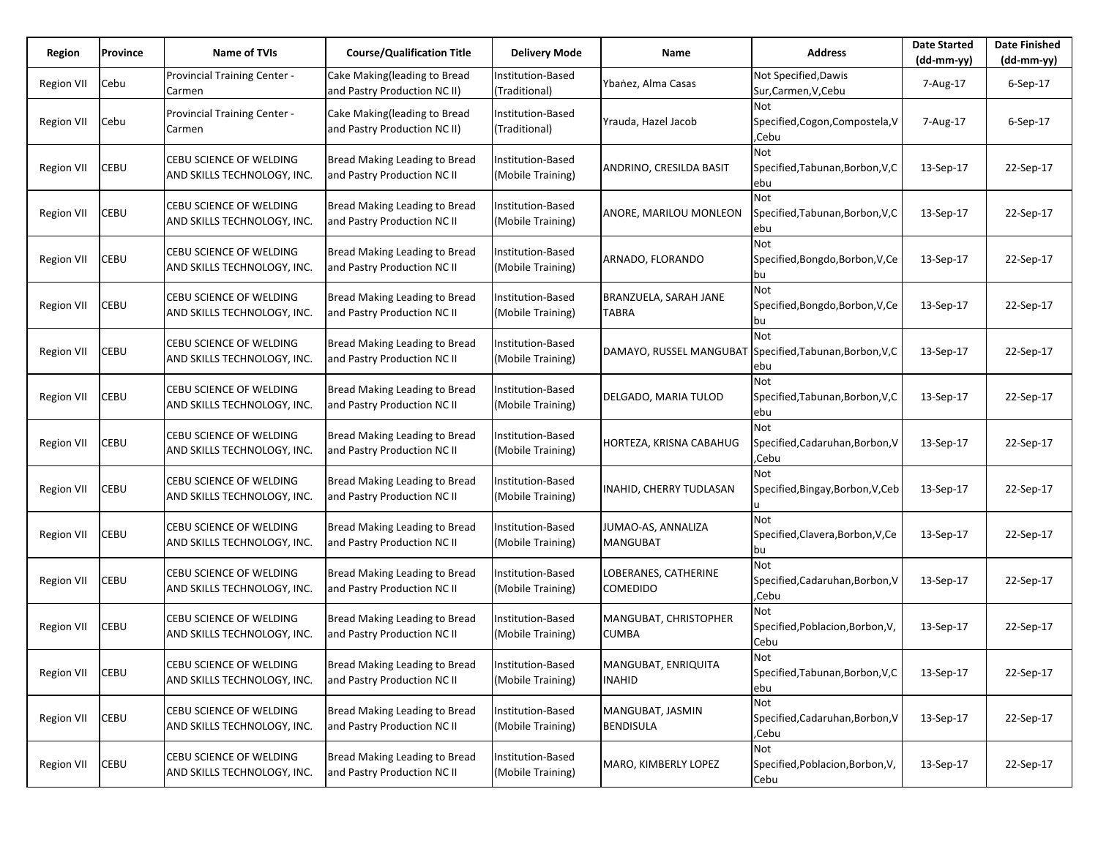| Region            | Province | Name of TVIs                                           | <b>Course/Qualification Title</b>                            | <b>Delivery Mode</b>                   | Name                                    | <b>Address</b>                                  | <b>Date Started</b><br>(dd-mm-yy) | <b>Date Finished</b><br>$(dd-mm-yy)$ |
|-------------------|----------|--------------------------------------------------------|--------------------------------------------------------------|----------------------------------------|-----------------------------------------|-------------------------------------------------|-----------------------------------|--------------------------------------|
| <b>Region VII</b> | Cebu     | Provincial Training Center -<br>Carmen                 | Cake Making(leading to Bread<br>and Pastry Production NC II) | Institution-Based<br>(Traditional)     | Ybanez, Alma Casas                      | Not Specified, Dawis<br>Sur, Carmen, V, Cebu    | 7-Aug-17                          | $6-$ Sep $-17$                       |
| Region VII        | Cebu     | Provincial Training Center -<br>Carmen                 | Cake Making(leading to Bread<br>and Pastry Production NC II) | Institution-Based<br>(Traditional)     | Yrauda, Hazel Jacob                     | Not<br>Specified, Cogon, Compostela, V<br>,Cebu | 7-Aug-17                          | $6-Sep-17$                           |
| <b>Region VII</b> | CEBU     | CEBU SCIENCE OF WELDING<br>AND SKILLS TECHNOLOGY, INC. | Bread Making Leading to Bread<br>and Pastry Production NC II | Institution-Based<br>(Mobile Training) | ANDRINO, CRESILDA BASIT                 | Not<br>Specified, Tabunan, Borbon, V, C<br>ebu  | 13-Sep-17                         | 22-Sep-17                            |
| Region VII        | CEBU     | CEBU SCIENCE OF WELDING<br>AND SKILLS TECHNOLOGY, INC. | Bread Making Leading to Bread<br>and Pastry Production NC II | Institution-Based<br>(Mobile Training) | ANORE, MARILOU MONLEON                  | Not<br>Specified, Tabunan, Borbon, V, C<br>ebu  | 13-Sep-17                         | 22-Sep-17                            |
| <b>Region VII</b> | CEBU     | CEBU SCIENCE OF WELDING<br>AND SKILLS TECHNOLOGY, INC. | Bread Making Leading to Bread<br>and Pastry Production NC II | Institution-Based<br>(Mobile Training) | ARNADO, FLORANDO                        | Not<br>Specified, Bongdo, Borbon, V, Ce<br>bu   | 13-Sep-17                         | 22-Sep-17                            |
| Region VII        | CEBU     | CEBU SCIENCE OF WELDING<br>AND SKILLS TECHNOLOGY, INC. | Bread Making Leading to Bread<br>and Pastry Production NC II | Institution-Based<br>(Mobile Training) | BRANZUELA, SARAH JANE<br>TABRA          | Not<br>Specified, Bongdo, Borbon, V, Ce<br>bu   | 13-Sep-17                         | 22-Sep-17                            |
| <b>Region VII</b> | CEBU     | CEBU SCIENCE OF WELDING<br>AND SKILLS TECHNOLOGY, INC. | Bread Making Leading to Bread<br>and Pastry Production NC II | Institution-Based<br>(Mobile Training) | DAMAYO, RUSSEL MANGUBAT                 | Not<br>Specified, Tabunan, Borbon, V, C<br>ebu  | 13-Sep-17                         | 22-Sep-17                            |
| <b>Region VII</b> | CEBU     | CEBU SCIENCE OF WELDING<br>AND SKILLS TECHNOLOGY, INC. | Bread Making Leading to Bread<br>and Pastry Production NC II | Institution-Based<br>(Mobile Training) | DELGADO, MARIA TULOD                    | Not<br>Specified, Tabunan, Borbon, V, C<br>ebu  | 13-Sep-17                         | 22-Sep-17                            |
| <b>Region VII</b> | CEBU     | CEBU SCIENCE OF WELDING<br>AND SKILLS TECHNOLOGY, INC. | Bread Making Leading to Bread<br>and Pastry Production NC II | Institution-Based<br>(Mobile Training) | HORTEZA, KRISNA CABAHUG                 | Not<br>Specified, Cadaruhan, Borbon, V<br>Cebu. | 13-Sep-17                         | 22-Sep-17                            |
| Region VII        | CEBU     | CEBU SCIENCE OF WELDING<br>AND SKILLS TECHNOLOGY, INC. | Bread Making Leading to Bread<br>and Pastry Production NC II | Institution-Based<br>(Mobile Training) | INAHID, CHERRY TUDLASAN                 | Not<br>Specified, Bingay, Borbon, V, Ceb        | 13-Sep-17                         | 22-Sep-17                            |
| <b>Region VII</b> | CEBU     | CEBU SCIENCE OF WELDING<br>AND SKILLS TECHNOLOGY, INC. | Bread Making Leading to Bread<br>and Pastry Production NC II | Institution-Based<br>(Mobile Training) | JUMAO-AS, ANNALIZA<br><b>MANGUBAT</b>   | Not<br>Specified, Clavera, Borbon, V, Ce<br>bu  | 13-Sep-17                         | 22-Sep-17                            |
| <b>Region VII</b> | CEBU     | CEBU SCIENCE OF WELDING<br>AND SKILLS TECHNOLOGY, INC. | Bread Making Leading to Bread<br>and Pastry Production NC II | Institution-Based<br>(Mobile Training) | LOBERANES, CATHERINE<br><b>COMEDIDO</b> | Not<br>Specified, Cadaruhan, Borbon, V<br>.Cebu | 13-Sep-17                         | 22-Sep-17                            |
| <b>Region VII</b> | CEBU     | CEBU SCIENCE OF WELDING<br>AND SKILLS TECHNOLOGY, INC. | Bread Making Leading to Bread<br>and Pastry Production NC II | Institution-Based<br>(Mobile Training) | MANGUBAT, CHRISTOPHER<br>CUMBA          | Not<br>Specified, Poblacion, Borbon, V,<br>Cebu | 13-Sep-17                         | 22-Sep-17                            |
| <b>Region VII</b> | CEBU     | CEBU SCIENCE OF WELDING<br>AND SKILLS TECHNOLOGY, INC. | Bread Making Leading to Bread<br>and Pastry Production NC II | Institution-Based<br>(Mobile Training) | MANGUBAT, ENRIQUITA<br><b>INAHID</b>    | Not<br>Specified, Tabunan, Borbon, V, C<br>ebu  | 13-Sep-17                         | 22-Sep-17                            |
| <b>Region VII</b> | CEBU     | CEBU SCIENCE OF WELDING<br>AND SKILLS TECHNOLOGY, INC. | Bread Making Leading to Bread<br>and Pastry Production NC II | Institution-Based<br>(Mobile Training) | MANGUBAT, JASMIN<br><b>BENDISULA</b>    | Not<br>Specified, Cadaruhan, Borbon, V<br>,Cebu | 13-Sep-17                         | 22-Sep-17                            |
| <b>Region VII</b> | CEBU     | CEBU SCIENCE OF WELDING<br>AND SKILLS TECHNOLOGY, INC. | Bread Making Leading to Bread<br>and Pastry Production NC II | Institution-Based<br>(Mobile Training) | MARO, KIMBERLY LOPEZ                    | Not<br>Specified, Poblacion, Borbon, V,<br>Cebu | 13-Sep-17                         | 22-Sep-17                            |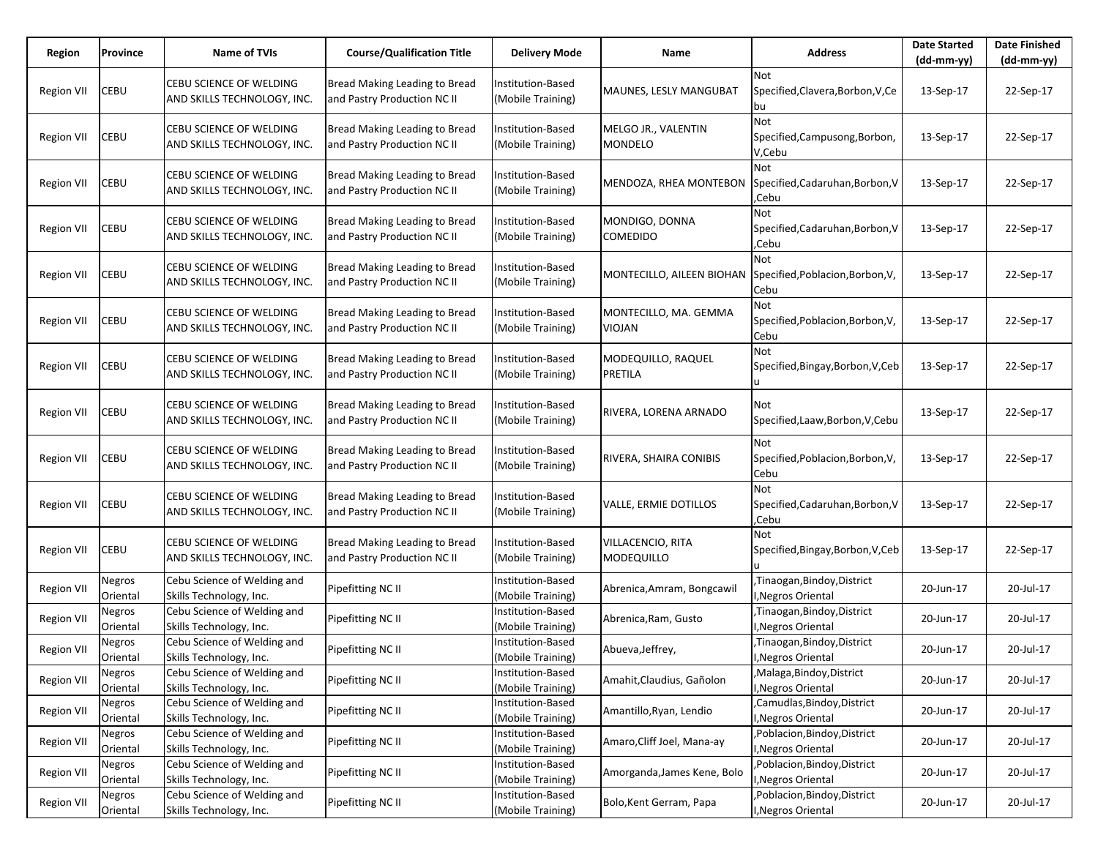| Region            | Province           | Name of TVIs                                           | <b>Course/Qualification Title</b>                            | Delivery Mode                          | Name                                   | <b>Address</b>                                    | <b>Date Started</b><br>$(dd-mm-yy)$ | <b>Date Finished</b><br>$(dd-mm-yy)$ |
|-------------------|--------------------|--------------------------------------------------------|--------------------------------------------------------------|----------------------------------------|----------------------------------------|---------------------------------------------------|-------------------------------------|--------------------------------------|
| Region VII        | CEBU               | CEBU SCIENCE OF WELDING<br>AND SKILLS TECHNOLOGY, INC. | Bread Making Leading to Bread<br>and Pastry Production NC II | Institution-Based<br>(Mobile Training) | MAUNES, LESLY MANGUBAT                 | Not<br>Specified, Clavera, Borbon, V, Ce<br>bu    | 13-Sep-17                           | 22-Sep-17                            |
| <b>Region VII</b> | CEBU               | CEBU SCIENCE OF WELDING<br>AND SKILLS TECHNOLOGY, INC. | Bread Making Leading to Bread<br>and Pastry Production NC II | Institution-Based<br>(Mobile Training) | MELGO JR., VALENTIN<br>MONDELO         | Not<br>Specified, Campusong, Borbon,<br>V,Cebu    | 13-Sep-17                           | 22-Sep-17                            |
| <b>Region VII</b> | CEBU               | CEBU SCIENCE OF WELDING<br>AND SKILLS TECHNOLOGY, INC. | Bread Making Leading to Bread<br>and Pastry Production NC II | Institution-Based<br>(Mobile Training) | MENDOZA, RHEA MONTEBON                 | Not<br>Specified, Cadaruhan, Borbon, V<br>,Cebu   | 13-Sep-17                           | 22-Sep-17                            |
| <b>Region VII</b> | CEBU               | CEBU SCIENCE OF WELDING<br>AND SKILLS TECHNOLOGY, INC. | Bread Making Leading to Bread<br>and Pastry Production NC II | Institution-Based<br>(Mobile Training) | MONDIGO, DONNA<br>COMEDIDO             | Not<br>Specified, Cadaruhan, Borbon, V<br>,Cebu   | 13-Sep-17                           | 22-Sep-17                            |
| <b>Region VII</b> | CEBU               | CEBU SCIENCE OF WELDING<br>AND SKILLS TECHNOLOGY, INC. | Bread Making Leading to Bread<br>and Pastry Production NC II | Institution-Based<br>(Mobile Training) | MONTECILLO, AILEEN BIOHAN              | Not<br>Specified, Poblacion, Borbon, V,<br>Cebu   | 13-Sep-17                           | 22-Sep-17                            |
| <b>Region VII</b> | CEBU               | CEBU SCIENCE OF WELDING<br>AND SKILLS TECHNOLOGY, INC. | Bread Making Leading to Bread<br>and Pastry Production NC II | Institution-Based<br>(Mobile Training) | MONTECILLO, MA. GEMMA<br><b>VIOJAN</b> | Not<br>Specified, Poblacion, Borbon, V,<br>Cebu   | 13-Sep-17                           | 22-Sep-17                            |
| <b>Region VII</b> | CEBU               | CEBU SCIENCE OF WELDING<br>AND SKILLS TECHNOLOGY, INC. | Bread Making Leading to Bread<br>and Pastry Production NC II | Institution-Based<br>(Mobile Training) | MODEQUILLO, RAQUEL<br>PRETILA          | Not<br>Specified, Bingay, Borbon, V, Ceb          | 13-Sep-17                           | 22-Sep-17                            |
| <b>Region VII</b> | CEBU               | CEBU SCIENCE OF WELDING<br>AND SKILLS TECHNOLOGY, INC. | Bread Making Leading to Bread<br>and Pastry Production NC II | Institution-Based<br>(Mobile Training) | RIVERA, LORENA ARNADO                  | Not<br>Specified, Laaw, Borbon, V, Cebu           | 13-Sep-17                           | 22-Sep-17                            |
| Region VII        | CEBU               | CEBU SCIENCE OF WELDING<br>AND SKILLS TECHNOLOGY, INC. | Bread Making Leading to Bread<br>and Pastry Production NC II | Institution-Based<br>(Mobile Training) | RIVERA, SHAIRA CONIBIS                 | Not<br>Specified, Poblacion, Borbon, V,<br>Cebu   | 13-Sep-17                           | 22-Sep-17                            |
| Region VII        | CEBU               | CEBU SCIENCE OF WELDING<br>AND SKILLS TECHNOLOGY, INC. | Bread Making Leading to Bread<br>and Pastry Production NC II | Institution-Based<br>(Mobile Training) | VALLE, ERMIE DOTILLOS                  | Not<br>Specified, Cadaruhan, Borbon, V<br>,Cebu   | 13-Sep-17                           | 22-Sep-17                            |
| Region VII        | CEBU               | CEBU SCIENCE OF WELDING<br>AND SKILLS TECHNOLOGY, INC. | Bread Making Leading to Bread<br>and Pastry Production NC II | Institution-Based<br>(Mobile Training) | VILLACENCIO, RITA<br><b>MODEQUILLO</b> | Not<br>Specified, Bingay, Borbon, V, Ceb          | 13-Sep-17                           | 22-Sep-17                            |
| Region VII        | Negros<br>Oriental | Cebu Science of Welding and<br>Skills Technology, Inc. | Pipefitting NC II                                            | Institution-Based<br>(Mobile Training) | Abrenica, Amram, Bongcawil             | ,Tinaogan,Bindoy,District<br>I, Negros Oriental   | 20-Jun-17                           | 20-Jul-17                            |
| <b>Region VII</b> | Negros<br>Oriental | Cebu Science of Welding and<br>Skills Technology, Inc. | Pipefitting NC II                                            | Institution-Based<br>Mobile Training)  | Abrenica, Ram, Gusto                   | Tinaogan, Bindoy, District<br>I, Negros Oriental  | 20-Jun-17                           | 20-Jul-17                            |
| Region VII        | Negros<br>Oriental | Cebu Science of Welding and<br>Skills Technology, Inc. | Pipefitting NC II                                            | Institution-Based<br>(Mobile Training) | Abueva, Jeffrey,                       | ,Tinaogan,Bindoy,District<br>I, Negros Oriental   | 20-Jun-17                           | 20-Jul-17                            |
| Region VII        | Negros<br>Oriental | Cebu Science of Welding and<br>Skills Technology, Inc. | Pipefitting NC II                                            | Institution-Based<br>(Mobile Training) | Amahit, Claudius, Gañolon              | ,Malaga,Bindoy,District<br>I, Negros Oriental     | 20-Jun-17                           | 20-Jul-17                            |
| <b>Region VII</b> | Negros<br>Oriental | Cebu Science of Welding and<br>Skills Technology, Inc. | Pipefitting NC II                                            | Institution-Based<br>(Mobile Training) | Amantillo, Ryan, Lendio                | Camudlas, Bindoy, District<br>I, Negros Oriental  | 20-Jun-17                           | 20-Jul-17                            |
| <b>Region VII</b> | Negros<br>Oriental | Cebu Science of Welding and<br>Skills Technology, Inc. | Pipefitting NC II                                            | Institution-Based<br>(Mobile Training) | Amaro, Cliff Joel, Mana-ay             | Poblacion, Bindoy, District<br>I, Negros Oriental | 20-Jun-17                           | 20-Jul-17                            |
| <b>Region VII</b> | Negros<br>Oriental | Cebu Science of Welding and<br>Skills Technology, Inc. | Pipefitting NC II                                            | Institution-Based<br>(Mobile Training) | Amorganda, James Kene, Bolo            | ,Poblacion,Bindoy,District<br>I, Negros Oriental  | 20-Jun-17                           | 20-Jul-17                            |
| <b>Region VII</b> | Negros<br>Oriental | Cebu Science of Welding and<br>Skills Technology, Inc. | Pipefitting NC II                                            | Institution-Based<br>(Mobile Training) | Bolo, Kent Gerram, Papa                | Poblacion, Bindoy, District<br>I, Negros Oriental | 20-Jun-17                           | 20-Jul-17                            |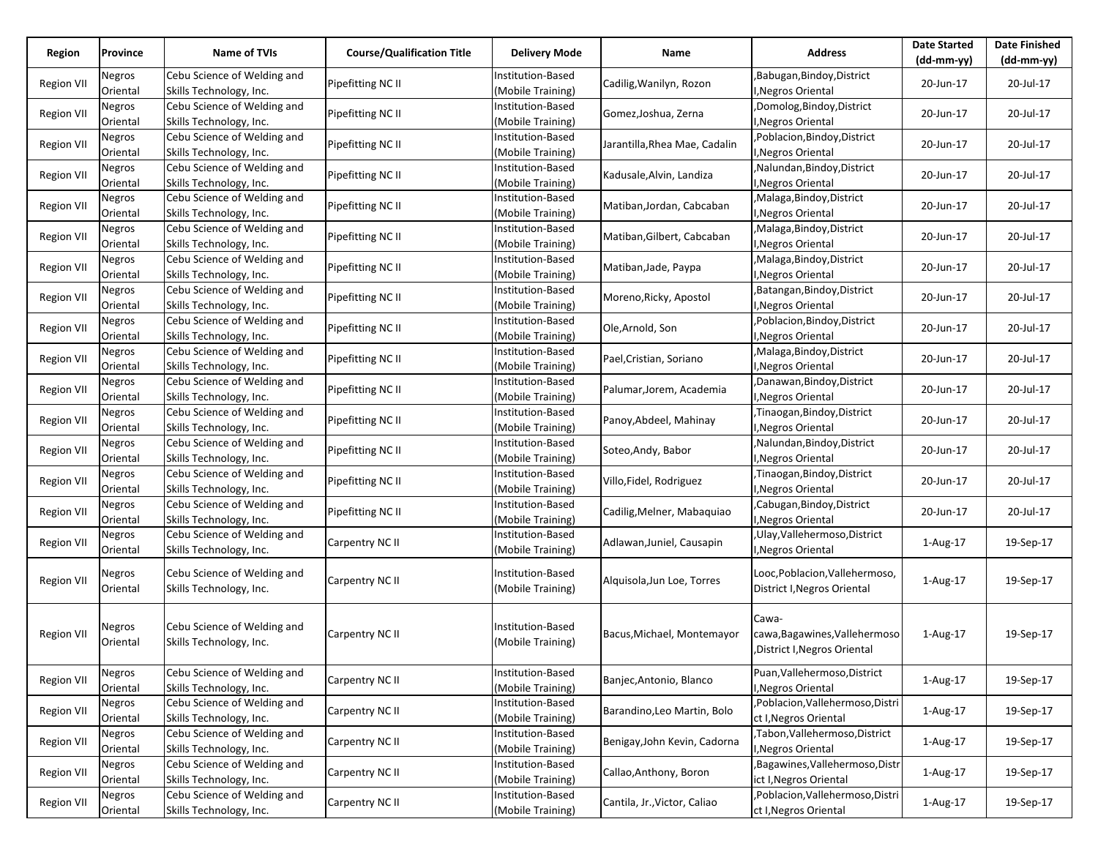| Region            | Province                  | <b>Name of TVIs</b>                                    | <b>Course/Qualification Title</b> | <b>Delivery Mode</b>                          | Name                          | <b>Address</b>                                                          | <b>Date Started</b><br>(dd-mm-yy) | <b>Date Finished</b><br>(dd-mm-yy) |
|-------------------|---------------------------|--------------------------------------------------------|-----------------------------------|-----------------------------------------------|-------------------------------|-------------------------------------------------------------------------|-----------------------------------|------------------------------------|
| <b>Region VII</b> | Negros<br>Oriental        | Cebu Science of Welding and<br>Skills Technology, Inc. | Pipefitting NC II                 | Institution-Based<br>(Mobile Training)        | Cadilig, Wanilyn, Rozon       | Babugan,Bindoy,District<br>I, Negros Oriental                           | 20-Jun-17                         | 20-Jul-17                          |
| <b>Region VII</b> | Negros<br>Oriental        | Cebu Science of Welding and<br>Skills Technology, Inc. | Pipefitting NC II                 | <b>Institution-Based</b><br>(Mobile Training) | Gomez, Joshua, Zerna          | ,Domolog,Bindoy,District<br>I, Negros Oriental                          | 20-Jun-17                         | 20-Jul-17                          |
| <b>Region VII</b> | Negros<br>Oriental        | Cebu Science of Welding and<br>Skills Technology, Inc. | Pipefitting NC II                 | Institution-Based<br>(Mobile Training)        | Jarantilla, Rhea Mae, Cadalin | Poblacion, Bindoy, District<br>I, Negros Oriental                       | 20-Jun-17                         | 20-Jul-17                          |
| <b>Region VII</b> | Negros<br>Oriental        | Cebu Science of Welding and<br>Skills Technology, Inc. | Pipefitting NC II                 | <b>Institution-Based</b><br>(Mobile Training) | Kadusale, Alvin, Landiza      | Nalundan, Bindoy, District<br>I, Negros Oriental                        | 20-Jun-17                         | 20-Jul-17                          |
| <b>Region VII</b> | Negros<br>Oriental        | Cebu Science of Welding and<br>Skills Technology, Inc. | Pipefitting NC II                 | Institution-Based<br>(Mobile Training)        | Matiban, Jordan, Cabcaban     | Malaga, Bindoy, District<br>I, Negros Oriental                          | 20-Jun-17                         | 20-Jul-17                          |
| <b>Region VII</b> | Negros<br>Oriental        | Cebu Science of Welding and<br>Skills Technology, Inc. | Pipefitting NC II                 | Institution-Based<br>(Mobile Training)        | Matiban, Gilbert, Cabcaban    | Malaga, Bindoy, District<br>I, Negros Oriental                          | 20-Jun-17                         | 20-Jul-17                          |
| <b>Region VII</b> | Negros<br>Oriental        | Cebu Science of Welding and<br>Skills Technology, Inc. | Pipefitting NC II                 | Institution-Based<br>(Mobile Training)        | Matiban, Jade, Paypa          | Malaga, Bindoy, District<br><b>Negros Oriental</b>                      | 20-Jun-17                         | 20-Jul-17                          |
| <b>Region VII</b> | Negros<br>Oriental        | Cebu Science of Welding and<br>Skills Technology, Inc. | Pipefitting NC II                 | <b>Institution-Based</b><br>(Mobile Training) | Moreno, Ricky, Apostol        | Batangan, Bindoy, District<br>I, Negros Oriental                        | 20-Jun-17                         | 20-Jul-17                          |
| <b>Region VII</b> | Negros<br>Oriental        | Cebu Science of Welding and<br>Skills Technology, Inc. | Pipefitting NC II                 | Institution-Based<br>(Mobile Training)        | Ole, Arnold, Son              | Poblacion, Bindoy, District<br>I, Negros Oriental                       | 20-Jun-17                         | 20-Jul-17                          |
| <b>Region VII</b> | Negros<br>Oriental        | Cebu Science of Welding and<br>Skills Technology, Inc. | Pipefitting NC II                 | Institution-Based<br>(Mobile Training)        | Pael, Cristian, Soriano       | Malaga, Bindoy, District<br>I, Negros Oriental                          | 20-Jun-17                         | 20-Jul-17                          |
| <b>Region VII</b> | Negros<br>Oriental        | Cebu Science of Welding and<br>Skills Technology, Inc. | Pipefitting NC II                 | Institution-Based<br>(Mobile Training)        | Palumar, Jorem, Academia      | ,Danawan,Bindoy,District<br>I, Negros Oriental                          | 20-Jun-17                         | 20-Jul-17                          |
| <b>Region VII</b> | Negros<br>Oriental        | Cebu Science of Welding and<br>Skills Technology, Inc. | Pipefitting NC II                 | Institution-Based<br>(Mobile Training)        | Panoy, Abdeel, Mahinay        | ,Tinaogan,Bindoy,District<br>I, Negros Oriental                         | 20-Jun-17                         | 20-Jul-17                          |
| <b>Region VII</b> | Negros<br>Oriental        | Cebu Science of Welding and<br>Skills Technology, Inc. | Pipefitting NC II                 | Institution-Based<br>(Mobile Training)        | Soteo, Andy, Babor            | Nalundan, Bindoy, District<br><b>Negros Oriental</b>                    | 20-Jun-17                         | 20-Jul-17                          |
| <b>Region VII</b> | <b>Negros</b><br>Oriental | Cebu Science of Welding and<br>Skills Technology, Inc. | Pipefitting NC II                 | Institution-Based<br>(Mobile Training)        | Villo, Fidel, Rodriguez       | ,Tinaogan,Bindoy,District<br>I, Negros Oriental                         | 20-Jun-17                         | 20-Jul-17                          |
| <b>Region VII</b> | Negros<br>Oriental        | Cebu Science of Welding and<br>Skills Technology, Inc. | Pipefitting NC II                 | Institution-Based<br>(Mobile Training)        | Cadilig, Melner, Mabaquiao    | Cabugan, Bindoy, District<br>I, Negros Oriental                         | 20-Jun-17                         | 20-Jul-17                          |
| <b>Region VII</b> | Negros<br>Oriental        | Cebu Science of Welding and<br>Skills Technology, Inc. | Carpentry NC II                   | Institution-Based<br>(Mobile Training)        | Adlawan, Juniel, Causapin     | Ulay, Vallehermoso, District<br>J, Negros Oriental                      | 1-Aug-17                          | 19-Sep-17                          |
| <b>Region VII</b> | Negros<br>Oriental        | Cebu Science of Welding and<br>Skills Technology, Inc. | Carpentry NC II                   | Institution-Based<br>(Mobile Training)        | Alquisola, Jun Loe, Torres    | Looc, Poblacion, Vallehermoso,<br>District I, Negros Oriental           | 1-Aug-17                          | 19-Sep-17                          |
| <b>Region VII</b> | Negros<br>Oriental        | Cebu Science of Welding and<br>Skills Technology, Inc. | Carpentry NC II                   | Institution-Based<br>(Mobile Training)        | Bacus, Michael, Montemayor    | Cawa-<br>cawa, Bagawines, Vallehermoso<br>, District I, Negros Oriental | 1-Aug-17                          | 19-Sep-17                          |
| <b>Region VII</b> | Negros<br>Oriental        | Cebu Science of Welding and<br>Skills Technology, Inc. | Carpentry NC II                   | Institution-Based<br>(Mobile Training)        | Banjec, Antonio, Blanco       | Puan, Vallehermoso, District<br>I, Negros Oriental                      | 1-Aug-17                          | 19-Sep-17                          |
| <b>Region VII</b> | Negros<br>Oriental        | Cebu Science of Welding and<br>Skills Technology, Inc. | Carpentry NC II                   | Institution-Based<br>(Mobile Training)        | Barandino, Leo Martin, Bolo   | Poblacion, Vallehermoso, Distri<br>ct I, Negros Oriental                | 1-Aug-17                          | 19-Sep-17                          |
| <b>Region VII</b> | Negros<br>Oriental        | Cebu Science of Welding and<br>Skills Technology, Inc. | Carpentry NC II                   | Institution-Based<br>(Mobile Training)        | Benigay, John Kevin, Cadorna  | Tabon, Vallehermoso, District<br>I, Negros Oriental                     | 1-Aug-17                          | 19-Sep-17                          |
| <b>Region VII</b> | Negros<br>Oriental        | Cebu Science of Welding and<br>Skills Technology, Inc. | Carpentry NC II                   | Institution-Based<br>(Mobile Training)        | Callao, Anthony, Boron        | Bagawines, Vallehermoso, Distr<br>ict I, Negros Oriental                | 1-Aug-17                          | 19-Sep-17                          |
| <b>Region VII</b> | Negros<br>Oriental        | Cebu Science of Welding and<br>Skills Technology, Inc. | Carpentry NC II                   | Institution-Based<br>(Mobile Training)        | Cantila, Jr., Victor, Caliao  | Poblacion, Vallehermoso, Distri<br>ct I, Negros Oriental                | 1-Aug-17                          | 19-Sep-17                          |